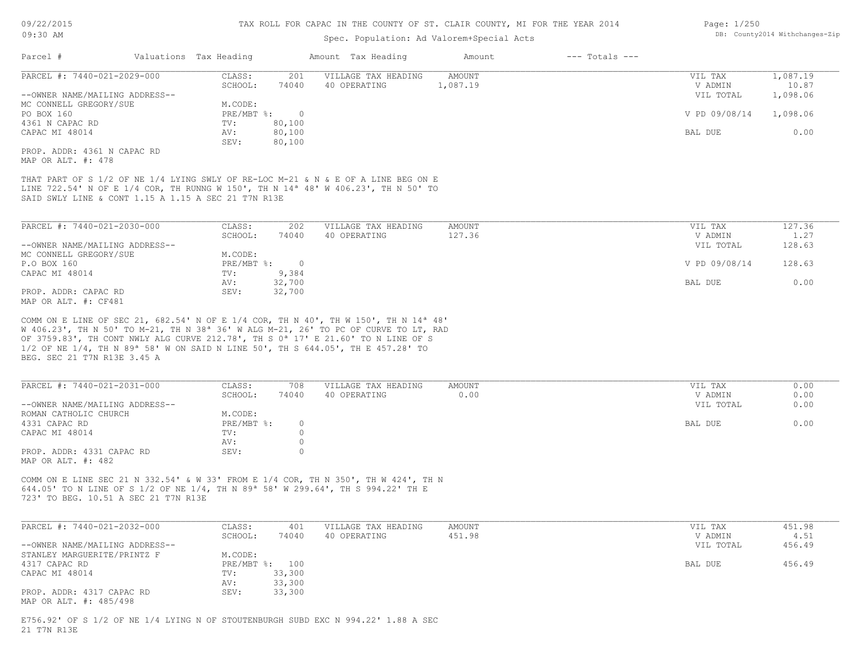### Spec. Population: Ad Valorem+Special Acts

| Page: 1/250 |                                |
|-------------|--------------------------------|
|             | DB: County2014 Withchanges-Zip |

| Parcel #                                            | Valuations Tax Heading |          | Amount Tax Heading                                                                                                                                                                 | Amount   | $---$ Totals $---$ |               |          |
|-----------------------------------------------------|------------------------|----------|------------------------------------------------------------------------------------------------------------------------------------------------------------------------------------|----------|--------------------|---------------|----------|
| PARCEL #: 7440-021-2029-000                         | CLASS:                 | 201      | VILLAGE TAX HEADING                                                                                                                                                                | AMOUNT   |                    | VIL TAX       | 1,087.19 |
|                                                     | SCHOOL:                | 74040    | 40 OPERATING                                                                                                                                                                       | 1,087.19 |                    | V ADMIN       | 10.87    |
| --OWNER NAME/MAILING ADDRESS--                      |                        |          |                                                                                                                                                                                    |          |                    | VIL TOTAL     | 1,098.06 |
| MC CONNELL GREGORY/SUE                              | M.CODE:                |          |                                                                                                                                                                                    |          |                    |               |          |
| PO BOX 160                                          | PRE/MBT %:             | $\Omega$ |                                                                                                                                                                                    |          |                    | V PD 09/08/14 | 1,098.06 |
| 4361 N CAPAC RD                                     | TV:                    | 80,100   |                                                                                                                                                                                    |          |                    |               |          |
| CAPAC MI 48014                                      | AV:                    | 80,100   |                                                                                                                                                                                    |          |                    | BAL DUE       | 0.00     |
|                                                     | SEV:                   | 80,100   |                                                                                                                                                                                    |          |                    |               |          |
| PROP. ADDR: 4361 N CAPAC RD                         |                        |          |                                                                                                                                                                                    |          |                    |               |          |
| MAP OR ALT. #: 478                                  |                        |          |                                                                                                                                                                                    |          |                    |               |          |
| SAID SWLY LINE & CONT 1.15 A 1.15 A SEC 21 T7N R13E |                        |          | THAT PART OF S 1/2 OF NE 1/4 LYING SWLY OF RE-LOC M-21 & N & E OF A LINE BEG ON E<br>LINE 722.54' N OF E 1/4 COR, TH RUNNG W 150', TH N 14 <sup>a</sup> 48' W 406.23', TH N 50' TO |          |                    |               |          |

| PARCEL #: 7440-021-2030-000    | CLASS:     | 202    | VILLAGE TAX HEADING | AMOUNT | VIL TAX       | 127.36 |
|--------------------------------|------------|--------|---------------------|--------|---------------|--------|
|                                | SCHOOL:    | 74040  | 40 OPERATING        | 127.36 | V ADMIN       | 1.27   |
| --OWNER NAME/MAILING ADDRESS-- |            |        |                     |        | VIL TOTAL     | 128.63 |
| MC CONNELL GREGORY/SUE         | M.CODE:    |        |                     |        |               |        |
| P.O BOX 160                    | PRE/MBT %: | $\cap$ |                     |        | V PD 09/08/14 | 128.63 |
| CAPAC MI 48014                 | TV:        | 9,384  |                     |        |               |        |
|                                | AV:        | 32,700 |                     |        | BAL DUE       | 0.00   |
| PROP. ADDR: CAPAC RD           | SEV:       | 32,700 |                     |        |               |        |
| MAP OR ALT. #: CF481           |            |        |                     |        |               |        |

BEG. SEC 21 T7N R13E 3.45 A 1/2 OF NE 1/4, TH N 89ª 58' W ON SAID N LINE 50', TH S 644.05', TH E 457.28' TO OF 3759.83', TH CONT NWLY ALG CURVE 212.78', TH S 0ª 17' E 21.60' TO N LINE OF S W 406.23', TH N 50' TO M-21, TH N 38ª 36' W ALG M-21, 26' TO PC OF CURVE TO LT, RAD COMM ON E LINE OF SEC 21, 682.54' N OF E 1/4 COR, TH N 40', TH W 150', TH N 14ª 48'

| PARCEL #: 7440-021-2031-000    | CLASS:       | 708      | VILLAGE TAX HEADING | AMOUNT | VIL TAX   | 0.00 |
|--------------------------------|--------------|----------|---------------------|--------|-----------|------|
|                                | SCHOOL:      | 74040    | 40 OPERATING        | 0.00   | V ADMIN   | 0.00 |
| --OWNER NAME/MAILING ADDRESS-- |              |          |                     |        | VIL TOTAL | 0.00 |
| ROMAN CATHOLIC CHURCH          | M.CODE:      |          |                     |        |           |      |
| 4331 CAPAC RD                  | $PRE/MBT$ %: | $\Omega$ |                     |        | BAL DUE   | 0.00 |
| CAPAC MI 48014                 | TV:          |          |                     |        |           |      |
|                                | AV:          |          |                     |        |           |      |
| PROP. ADDR: 4331 CAPAC RD      | SEV:         | (        |                     |        |           |      |
| MAP OR ALT. #: 482             |              |          |                     |        |           |      |

723' TO BEG. 10.51 A SEC 21 T7N R13E 644.05' TO N LINE OF S 1/2 OF NE 1/4, TH N 89ª 58' W 299.64', TH S 994.22' TH E COMM ON E LINE SEC 21 N 332.54' & W 33' FROM E 1/4 COR, TH N 350', TH W 424', TH N

| PARCEL #: 7440-021-2032-000    | CLASS:  | 401            | VILLAGE TAX HEADING | AMOUNT | VIL TAX   | 451.98 |
|--------------------------------|---------|----------------|---------------------|--------|-----------|--------|
|                                | SCHOOL: | 74040          | 40 OPERATING        | 451.98 | V ADMIN   | 4.51   |
| --OWNER NAME/MAILING ADDRESS-- |         |                |                     |        | VIL TOTAL | 456.49 |
| STANLEY MARGUERITE/PRINTZ F    | M.CODE: |                |                     |        |           |        |
| 4317 CAPAC RD                  |         | PRE/MBT %: 100 |                     |        | BAL DUE   | 456.49 |
| CAPAC MI 48014                 | TV:     | 33,300         |                     |        |           |        |
|                                | AV:     | 33,300         |                     |        |           |        |
| PROP. ADDR: 4317 CAPAC RD      | SEV:    | 33,300         |                     |        |           |        |
| MAP OR ALT. #: 485/498         |         |                |                     |        |           |        |

21 T7N R13E E756.92' OF S 1/2 OF NE 1/4 LYING N OF STOUTENBURGH SUBD EXC N 994.22' 1.88 A SEC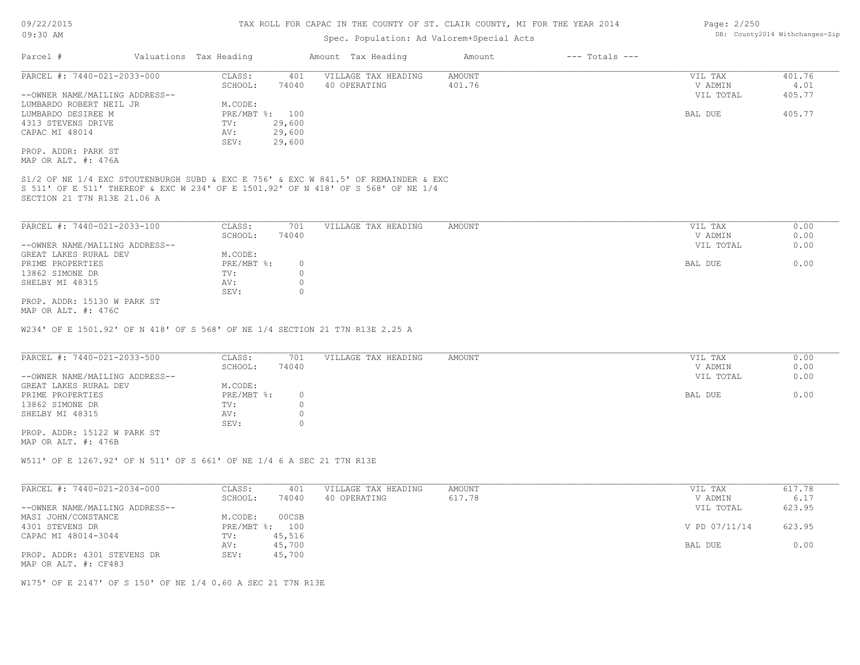## Spec. Population: Ad Valorem+Special Acts

| Parcel #                       | Valuations Tax Heading |                | Amount Tax Heading  | Amount | $---$ Totals $---$ |           |                                    |
|--------------------------------|------------------------|----------------|---------------------|--------|--------------------|-----------|------------------------------------|
| PARCEL #: 7440-021-2033-000    | CLASS:                 | 401            | VILLAGE TAX HEADING | AMOUNT |                    | VIL TAX   | 401.76<br>4.01<br>405.77<br>405.77 |
|                                | SCHOOL:                | 74040          | 40 OPERATING        | 401.76 |                    | V ADMIN   |                                    |
| --OWNER NAME/MAILING ADDRESS-- |                        |                |                     |        |                    | VIL TOTAL |                                    |
| LUMBARDO ROBERT NEIL JR        | M.CODE:                |                |                     |        |                    |           |                                    |
| LUMBARDO DESIREE M             |                        | PRE/MBT %: 100 |                     |        |                    | BAL DUE   |                                    |
| 4313 STEVENS DRIVE             | TV:                    | 29,600         |                     |        |                    |           |                                    |
| CAPAC MI 48014                 | AV:                    | 29,600         |                     |        |                    |           |                                    |
|                                | SEV:                   | 29,600         |                     |        |                    |           |                                    |
| PROP. ADDR: PARK ST            |                        |                |                     |        |                    |           |                                    |
| MAP OR ALT. #: 476A            |                        |                |                     |        |                    |           |                                    |

SECTION 21 T7N R13E 21.06 A S 511' OF E 511' THEREOF & EXC W 234' OF E 1501.92' OF N 418' OF S 568' OF NE 1/4

| PARCEL #: 7440-021-2033-100    | CLASS:     | 701   | VILLAGE TAX HEADING | AMOUNT | VIL TAX<br>0.00   |
|--------------------------------|------------|-------|---------------------|--------|-------------------|
|                                | SCHOOL:    | 74040 |                     |        | 0.00<br>V ADMIN   |
| --OWNER NAME/MAILING ADDRESS-- |            |       |                     |        | 0.00<br>VIL TOTAL |
| GREAT LAKES RURAL DEV          | M.CODE:    |       |                     |        |                   |
| PRIME PROPERTIES               | PRE/MBT %: |       |                     |        | 0.00<br>BAL DUE   |
| 13862 SIMONE DR                | TV:        |       |                     |        |                   |
| SHELBY MI 48315                | AV:        |       |                     |        |                   |
|                                | SEV:       |       |                     |        |                   |
| PROP. ADDR: 15130 W PARK ST    |            |       |                     |        |                   |

MAP OR ALT. #: 476C

W234' OF E 1501.92' OF N 418' OF S 568' OF NE 1/4 SECTION 21 T7N R13E 2.25 A

| PARCEL #: 7440-021-2033-500    | CLASS:     | 701   | VILLAGE TAX HEADING | AMOUNT | VIL TAX   | 0.00 |
|--------------------------------|------------|-------|---------------------|--------|-----------|------|
|                                | SCHOOL:    | 74040 |                     |        | V ADMIN   | 0.00 |
| --OWNER NAME/MAILING ADDRESS-- |            |       |                     |        | VIL TOTAL | 0.00 |
| GREAT LAKES RURAL DEV          | M.CODE:    |       |                     |        |           |      |
| PRIME PROPERTIES               | PRE/MBT %: |       |                     |        | BAL DUE   | 0.00 |
| 13862 SIMONE DR                | TV:        |       |                     |        |           |      |
| SHELBY MI 48315                | AV:        |       |                     |        |           |      |
|                                | SEV:       |       |                     |        |           |      |

MAP OR ALT. #: 476B PROP. ADDR: 15122 W PARK ST

W511' OF E 1267.92' OF N 511' OF S 661' OF NE 1/4 6 A SEC 21 T7N R13E

| PARCEL #: 7440-021-2034-000                         | CLASS:  | 401            | VILLAGE TAX HEADING | AMOUNT | VIL TAX       | 617.78 |
|-----------------------------------------------------|---------|----------------|---------------------|--------|---------------|--------|
|                                                     | SCHOOL: | 74040          | 40 OPERATING        | 617.78 | V ADMIN       | 6.17   |
| --OWNER NAME/MAILING ADDRESS--                      |         |                |                     |        | VIL TOTAL     | 623.95 |
| MASI JOHN/CONSTANCE                                 | M.CODE: | 00CSB          |                     |        |               |        |
| 4301 STEVENS DR                                     |         | PRE/MBT %: 100 |                     |        | V PD 07/11/14 | 623.95 |
| CAPAC MI 48014-3044                                 | TV:     | 45,516         |                     |        |               |        |
|                                                     | AV:     | 45,700         |                     |        | BAL DUE       | 0.00   |
| PROP. ADDR: 4301 STEVENS DR<br>MAP OR ALT. #: CF483 | SEV:    | 45,700         |                     |        |               |        |

W175' OF E 2147' OF S 150' OF NE 1/4 0.60 A SEC 21 T7N R13E

Page: 2/250 DB: County2014 Withchanges-Zip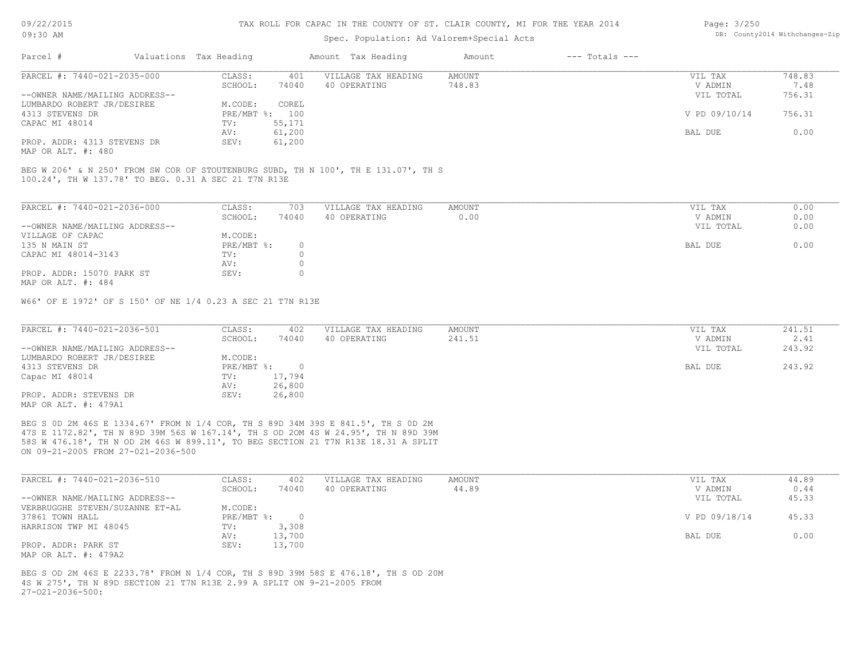### Spec. Population: Ad Valorem+Special Acts

| Page: 3/250 |                                |
|-------------|--------------------------------|
|             | DB: County2014 Withchanges-Zip |

| Parcel #                       | Valuations Tax Heading |        | Amount Tax Heading  | Amount | $---$ Totals $---$ |               |        |
|--------------------------------|------------------------|--------|---------------------|--------|--------------------|---------------|--------|
| PARCEL #: 7440-021-2035-000    | CLASS:                 | 401    | VILLAGE TAX HEADING | AMOUNT |                    | VIL TAX       | 748.83 |
|                                | SCHOOL:                | 74040  | 40 OPERATING        | 748.83 |                    | V ADMIN       | 7.48   |
| --OWNER NAME/MAILING ADDRESS-- |                        |        |                     |        |                    | VIL TOTAL     | 756.31 |
| LUMBARDO ROBERT JR/DESIREE     | M.CODE:                | COREL  |                     |        |                    |               |        |
| 4313 STEVENS DR                | PRE/MBT %: 100         |        |                     |        |                    | V PD 09/10/14 | 756.31 |
| CAPAC MI 48014                 | TV:                    | 55,171 |                     |        |                    |               |        |
|                                | AV:                    | 61,200 |                     |        |                    | BAL DUE       | 0.00   |
| PROP. ADDR: 4313 STEVENS DR    | SEV:                   | 61,200 |                     |        |                    |               |        |
|                                |                        |        |                     |        |                    |               |        |

MAP OR ALT. #: 480

100.24', TH W 137.78' TO BEG. 0.31 A SEC 21 T7N R13E BEG W 206' & N 250' FROM SW COR OF STOUTENBURG SUBD, TH N 100', TH E 131.07', TH S

| PARCEL #: 7440-021-2036-000    | CLASS:     | 703   | VILLAGE TAX HEADING | AMOUNT | VIL TAX   | 0.00 |
|--------------------------------|------------|-------|---------------------|--------|-----------|------|
|                                | SCHOOL:    | 74040 | 40 OPERATING        | 0.00   | V ADMIN   | 0.00 |
| --OWNER NAME/MAILING ADDRESS-- |            |       |                     |        | VIL TOTAL | 0.00 |
| VILLAGE OF CAPAC               | M.CODE:    |       |                     |        |           |      |
| 135 N MAIN ST                  | PRE/MBT %: |       |                     |        | BAL DUE   | 0.00 |
| CAPAC MI 48014-3143            | TV:        |       |                     |        |           |      |
|                                | AV:        |       |                     |        |           |      |
| PROP. ADDR: 15070 PARK ST      | SEV:       |       |                     |        |           |      |
| MAP OR ALT. #: 484             |            |       |                     |        |           |      |

W66' OF E 1972' OF S 150' OF NE 1/4 0.23 A SEC 21 T7N R13E

| PARCEL #: 7440-021-2036-501    | CLASS:     | 402    | VILLAGE TAX HEADING | AMOUNT | VIL TAX   | 241.51 |
|--------------------------------|------------|--------|---------------------|--------|-----------|--------|
|                                | SCHOOL:    | 74040  | 40 OPERATING        | 241.51 | V ADMIN   | 2.41   |
| --OWNER NAME/MAILING ADDRESS-- |            |        |                     |        | VIL TOTAL | 243.92 |
| LUMBARDO ROBERT JR/DESIREE     | M.CODE:    |        |                     |        |           |        |
| 4313 STEVENS DR                | PRE/MBT %: |        |                     |        | BAL DUE   | 243.92 |
| Capac MI 48014                 | TV:        | 17,794 |                     |        |           |        |
|                                | AV:        | 26,800 |                     |        |           |        |
| PROP. ADDR: STEVENS DR         | SEV:       | 26,800 |                     |        |           |        |
| MAP OR ALT. #: 479A1           |            |        |                     |        |           |        |

ON 09-21-2005 FROM 27-021-2036-500 58S W 476.18', TH N OD 2M 46S W 899.11', TO BEG SECTION 21 T7N R13E 18.31 A SPLIT 47S E 1172.82', TH N 89D 39M 56S W 167.14', TH S OD 2OM 4S W 24.95', TH N 89D 39M BEG S 0D 2M 46S E 1334.67' FROM N 1/4 COR, TH S 89D 34M 39S E 841.5', TH S 0D 2M

| PARCEL #: 7440-021-2036-510     | CLASS:     | 402    | VILLAGE TAX HEADING | AMOUNT | VIL TAX       | 44.89 |
|---------------------------------|------------|--------|---------------------|--------|---------------|-------|
|                                 | SCHOOL:    | 74040  | 40 OPERATING        | 44.89  | V ADMIN       | 0.44  |
| --OWNER NAME/MAILING ADDRESS--  |            |        |                     |        | VIL TOTAL     | 45.33 |
| VERBRUGGHE STEVEN/SUZANNE ET-AL | M.CODE:    |        |                     |        |               |       |
| 37861 TOWN HALL                 | PRE/MBT %: |        |                     |        | V PD 09/18/14 | 45.33 |
| HARRISON TWP MI 48045           | TV:        | 3,308  |                     |        |               |       |
|                                 | AV:        | 13,700 |                     |        | BAL DUE       | 0.00  |
| PROP. ADDR: PARK ST             | SEV:       | 13,700 |                     |        |               |       |
| MAP OR ALT. #: 479A2            |            |        |                     |        |               |       |

 $27-021-2036-500$ : 4S W 275', TH N 89D SECTION 21 T7N R13E 2.99 A SPLIT ON 9-21-2005 FROM BEG S OD 2M 46S E 2233.78' FROM N 1/4 COR, TH S 89D 39M 58S E 476.18', TH S OD 20M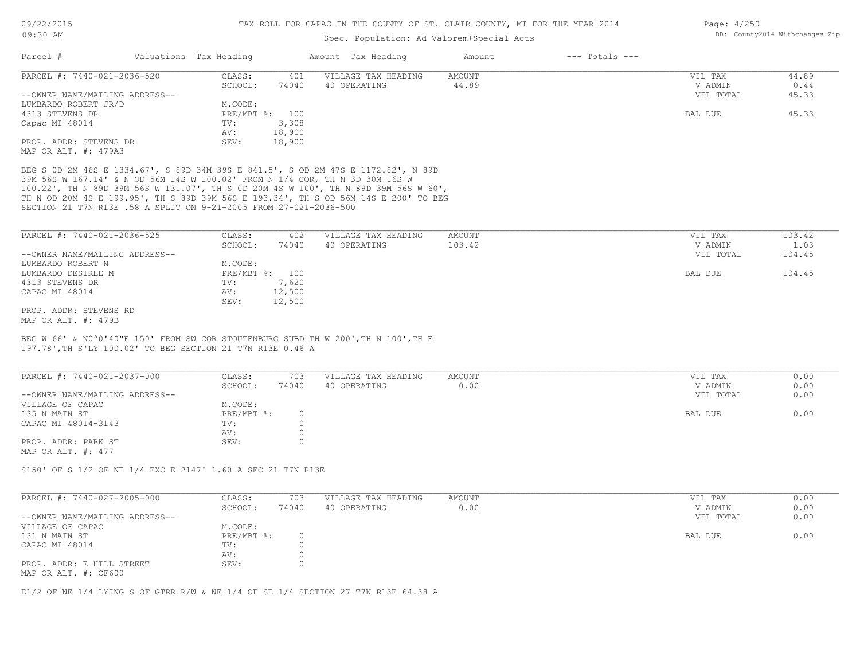### Spec. Population: Ad Valorem+Special Acts

| Page: $4/250$ |                                |
|---------------|--------------------------------|
|               | DB: County2014 Withchanges-Zip |

| Parcel #                       | Valuations Tax Heading |        | Amount Tax Heading  | Amount | $---$ Totals $---$ |           |       |
|--------------------------------|------------------------|--------|---------------------|--------|--------------------|-----------|-------|
| PARCEL #: 7440-021-2036-520    | CLASS:                 | 401    | VILLAGE TAX HEADING | AMOUNT |                    | VIL TAX   | 44.89 |
|                                | SCHOOL:                | 74040  | 40 OPERATING        | 44.89  |                    | V ADMIN   | 0.44  |
| --OWNER NAME/MAILING ADDRESS-- |                        |        |                     |        |                    | VIL TOTAL | 45.33 |
| LUMBARDO ROBERT JR/D           | M.CODE:                |        |                     |        |                    |           |       |
| 4313 STEVENS DR                | PRE/MBT %: 100         |        |                     |        |                    | BAL DUE   | 45.33 |
| Capac MI 48014                 | TV:                    | 3,308  |                     |        |                    |           |       |
|                                | AV:                    | 18,900 |                     |        |                    |           |       |
| PROP. ADDR: STEVENS DR         | SEV:                   | 18,900 |                     |        |                    |           |       |
| MAP OR ALT. #: 479A3           |                        |        |                     |        |                    |           |       |

SECTION 21 T7N R13E .58 A SPLIT ON 9-21-2005 FROM 27-021-2036-500 TH N OD 20M 4S E 199.95', TH S 89D 39M 56S E 193.34', TH S OD 56M 14S E 200' TO BEG 100.22', TH N 89D 39M 56S W 131.07', TH S 0D 20M 4S W 100', TH N 89D 39M 56S W 60', 39M 56S W 167.14' & N OD 56M 14S W 100.02' FROM N 1/4 COR, TH N 3D 30M 16S W BEG S 0D 2M 46S E 1334.67', S 89D 34M 39S E 841.5', S OD 2M 47S E 1172.82', N 89D

| PARCEL #: 7440-021-2036-525    | CLASS:  | 402            | VILLAGE TAX HEADING | AMOUNT | VIL TAX   | 103.42 |
|--------------------------------|---------|----------------|---------------------|--------|-----------|--------|
|                                | SCHOOL: | 74040          | 40 OPERATING        | 103.42 | V ADMIN   | 1.03   |
| --OWNER NAME/MAILING ADDRESS-- |         |                |                     |        | VIL TOTAL | 104.45 |
| LUMBARDO ROBERT N              | M.CODE: |                |                     |        |           |        |
| LUMBARDO DESIREE M             |         | PRE/MBT %: 100 |                     |        | BAL DUE   | 104.45 |
| 4313 STEVENS DR                | TV:     | 7,620          |                     |        |           |        |
| CAPAC MI 48014                 | AV:     | 12,500         |                     |        |           |        |
|                                | SEV:    | 12,500         |                     |        |           |        |
| PROP. ADDR: STEVENS RD         |         |                |                     |        |           |        |
| MAP OR ALT. #: 479B            |         |                |                     |        |           |        |

197.78',TH S'LY 100.02' TO BEG SECTION 21 T7N R13E 0.46 A BEG W 66' & N0ª0'40"E 150' FROM SW COR STOUTENBURG SUBD TH W 200',TH N 100',TH E

| PARCEL #: 7440-021-2037-000    | CLASS:     | 703   | VILLAGE TAX HEADING | AMOUNT | VIL TAX   | 0.00 |
|--------------------------------|------------|-------|---------------------|--------|-----------|------|
|                                | SCHOOL:    | 74040 | 40 OPERATING        | 0.00   | V ADMIN   | 0.00 |
| --OWNER NAME/MAILING ADDRESS-- |            |       |                     |        | VIL TOTAL | 0.00 |
| VILLAGE OF CAPAC               | M.CODE:    |       |                     |        |           |      |
| 135 N MAIN ST                  | PRE/MBT %: |       |                     |        | BAL DUE   | 0.00 |
| CAPAC MI 48014-3143            | TV:        |       |                     |        |           |      |
|                                | AV:        |       |                     |        |           |      |
| PROP. ADDR: PARK ST            | SEV:       |       |                     |        |           |      |
| MAP OR ALT. $\#: 477$          |            |       |                     |        |           |      |

S150' OF S 1/2 OF NE 1/4 EXC E 2147' 1.60 A SEC 21 T7N R13E

| PARCEL #: 7440-027-2005-000    | CLASS:     | 703   | VILLAGE TAX HEADING | AMOUNT | VIL TAX   | 0.00 |
|--------------------------------|------------|-------|---------------------|--------|-----------|------|
|                                | SCHOOL:    | 74040 | 40 OPERATING        | 0.00   | V ADMIN   | 0.00 |
| --OWNER NAME/MAILING ADDRESS-- |            |       |                     |        | VIL TOTAL | 0.00 |
| VILLAGE OF CAPAC               | M.CODE:    |       |                     |        |           |      |
| 131 N MAIN ST                  | PRE/MBT %: |       |                     |        | BAL DUE   | 0.00 |
| CAPAC MI 48014                 | TV:        |       |                     |        |           |      |
|                                | AV:        |       |                     |        |           |      |
| PROP. ADDR: E HILL STREET      | SEV:       |       |                     |        |           |      |
| MAP OR ALT. #: CF600           |            |       |                     |        |           |      |

 $\_$  , and the state of the state of the state of the state of the state of the state of the state of the state of the state of the state of the state of the state of the state of the state of the state of the state of the

E1/2 OF NE 1/4 LYING S OF GTRR R/W & NE 1/4 OF SE 1/4 SECTION 27 T7N R13E 64.38 A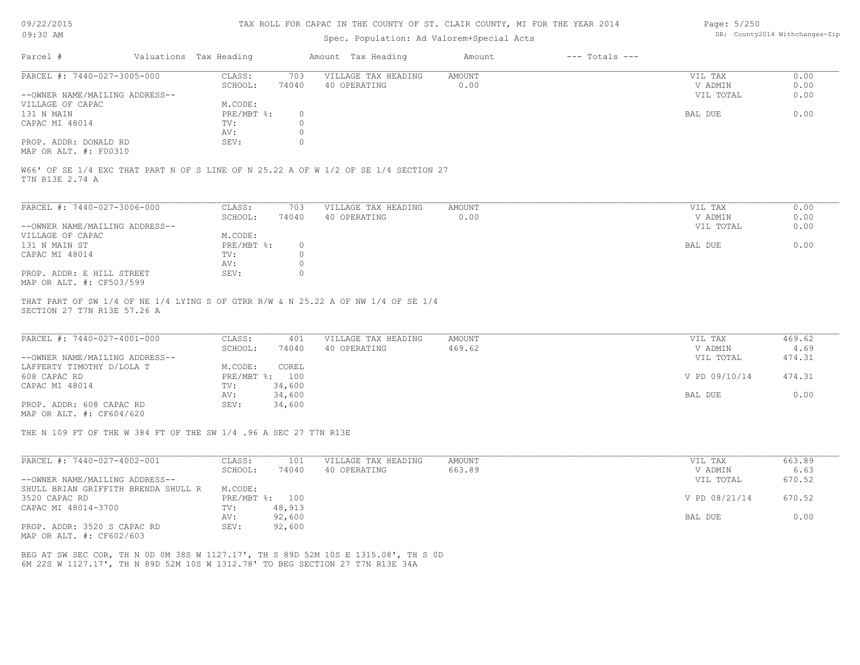#### TAX ROLL FOR CAPAC IN THE COUNTY OF ST. CLAIR COUNTY, MI FOR THE YEAR 2014

# Spec. Population: Ad Valorem+Special Acts

| Page: $5/250$ |                                |
|---------------|--------------------------------|
|               | DB: County2014 Withchanges-Zip |

| Parcel #                       | Valuations Tax Heading |       | Amount Tax Heading  | Amount | $---$ Totals $---$ |           |      |
|--------------------------------|------------------------|-------|---------------------|--------|--------------------|-----------|------|
| PARCEL #: 7440-027-3005-000    | CLASS:                 | 703   | VILLAGE TAX HEADING | AMOUNT |                    | VIL TAX   | 0.00 |
|                                | SCHOOL:                | 74040 | 40 OPERATING        | 0.00   |                    | V ADMIN   | 0.00 |
| --OWNER NAME/MAILING ADDRESS-- |                        |       |                     |        |                    | VIL TOTAL | 0.00 |
| VILLAGE OF CAPAC               | M.CODE:                |       |                     |        |                    |           |      |
| 131 N MAIN                     | $PRE/MBT$ $\div$       |       |                     |        |                    | BAL DUE   | 0.00 |
| CAPAC MI 48014                 | TV:                    |       |                     |        |                    |           |      |
|                                | AV:                    |       |                     |        |                    |           |      |
| PROP. ADDR: DONALD RD          | SEV:                   |       |                     |        |                    |           |      |
|                                |                        |       |                     |        |                    |           |      |

MAP OR ALT. #: F00310

T7N R13E 2.74 A W66' OF SE 1/4 EXC THAT PART N OF S LINE OF N 25.22 A OF W 1/2 OF SE 1/4 SECTION 27

| PARCEL #: 7440-027-3006-000    | CLASS:     | 703   | VILLAGE TAX HEADING | AMOUNT | VIL TAX   | 0.00 |
|--------------------------------|------------|-------|---------------------|--------|-----------|------|
|                                | SCHOOL:    | 74040 | 40 OPERATING        | 0.00   | V ADMIN   | 0.00 |
| --OWNER NAME/MAILING ADDRESS-- |            |       |                     |        | VIL TOTAL | 0.00 |
| VILLAGE OF CAPAC               | M.CODE:    |       |                     |        |           |      |
| 131 N MAIN ST                  | PRE/MBT %: |       |                     |        | BAL DUE   | 0.00 |
| CAPAC MI 48014                 | TV:        |       |                     |        |           |      |
|                                | AV:        |       |                     |        |           |      |
| PROP. ADDR: E HILL STREET      | SEV:       |       |                     |        |           |      |
| MAP OR ALT. #: CF503/599       |            |       |                     |        |           |      |

SECTION 27 T7N R13E 57.26 A THAT PART OF SW 1/4 OF NE 1/4 LYING S OF GTRR R/W & N 25.22 A OF NW 1/4 OF SE 1/4

| PARCEL #: 7440-027-4001-000    | CLASS:  | 401            | VILLAGE TAX HEADING | AMOUNT | VIL TAX       | 469.62 |
|--------------------------------|---------|----------------|---------------------|--------|---------------|--------|
|                                | SCHOOL: | 74040          | 40 OPERATING        | 469.62 | V ADMIN       | 4.69   |
| --OWNER NAME/MAILING ADDRESS-- |         |                |                     |        | VIL TOTAL     | 474.31 |
| LAFFERTY TIMOTHY D/LOLA T      | M.CODE: | COREL          |                     |        |               |        |
| 608 CAPAC RD                   |         | PRE/MBT %: 100 |                     |        | V PD 09/10/14 | 474.31 |
| CAPAC MI 48014                 | TV:     | 34,600         |                     |        |               |        |
|                                | AV:     | 34,600         |                     |        | BAL DUE       | 0.00   |
| PROP. ADDR: 608 CAPAC RD       | SEV:    | 34,600         |                     |        |               |        |
|                                |         |                |                     |        |               |        |

MAP OR ALT. #: CF604/620

THE N 109 FT OF THE W 384 FT OF THE SW 1/4 .96 A SEC 27 T7N R13E

| PARCEL #: 7440-027-4002-001                                                               | CLASS:       | 101    | VILLAGE TAX HEADING | AMOUNT | VIL TAX       | 663.89 |
|-------------------------------------------------------------------------------------------|--------------|--------|---------------------|--------|---------------|--------|
|                                                                                           | SCHOOL:      | 74040  | 40 OPERATING        | 663.89 | V ADMIN       | 6.63   |
| --OWNER NAME/MAILING ADDRESS--                                                            |              |        |                     |        | VIL TOTAL     | 670.52 |
| SHULL BRIAN GRIFFITH BRENDA SHULL R                                                       | M.CODE:      |        |                     |        |               |        |
| 3520 CAPAC RD                                                                             | $PRE/MBT$ %: | 100    |                     |        | V PD 08/21/14 | 670.52 |
| CAPAC MI 48014-3700                                                                       | TV:          | 48,913 |                     |        |               |        |
|                                                                                           | AV:          | 92,600 |                     |        | BAL DUE       | 0.00   |
| PROP. ADDR: 3520 S CAPAC RD                                                               | SEV:         | 92,600 |                     |        |               |        |
| $\cdots$ $\cdots$ $\cdots$ $\cdots$ $\cdots$ $\cdots$ $\cdots$ $\cdots$ $\cdots$ $\cdots$ |              |        |                     |        |               |        |

MAP OR ALT. #: CF602/603

6M 22S W 1127.17', TH N 89D 52M 10S W 1312.78' TO BEG SECTION 27 T7N R13E 34A BEG AT SW SEC COR, TH N 0D 0M 38S W 1127.17', TH S 89D 52M 10S E 1315.08', TH S 0D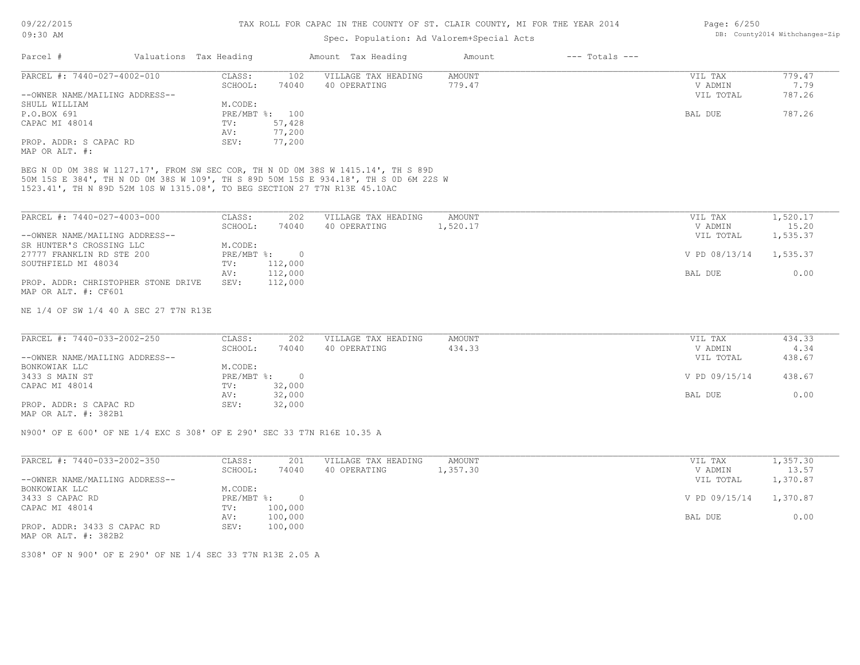| 09:30 AM                                                                            |                        |                              | Spec. Population: Ad Valorem+Special Acts | DB: County2014 Withchanges-Zip |                    |               |          |
|-------------------------------------------------------------------------------------|------------------------|------------------------------|-------------------------------------------|--------------------------------|--------------------|---------------|----------|
| Parcel #                                                                            | Valuations Tax Heading |                              | Amount Tax Heading                        | Amount                         | $---$ Totals $---$ |               |          |
| PARCEL #: 7440-027-4002-010                                                         | CLASS:                 | 102                          | VILLAGE TAX HEADING                       | <b>AMOUNT</b>                  |                    | VIL TAX       | 779.47   |
|                                                                                     | SCHOOL:                | 74040                        | 40 OPERATING                              | 779.47                         |                    | V ADMIN       | 7.79     |
| --OWNER NAME/MAILING ADDRESS--                                                      |                        |                              |                                           |                                |                    | VIL TOTAL     | 787.26   |
| SHULL WILLIAM                                                                       | M.CODE:                |                              |                                           |                                |                    |               |          |
| P.O.BOX 691                                                                         |                        | PRE/MBT %: 100               |                                           |                                |                    | BAL DUE       | 787.26   |
| CAPAC MI 48014                                                                      | TV:                    | 57,428                       |                                           |                                |                    |               |          |
|                                                                                     | AV:                    | 77,200                       |                                           |                                |                    |               |          |
| PROP. ADDR: S CAPAC RD<br>MAP OR ALT. #:                                            | SEV:                   | 77,200                       |                                           |                                |                    |               |          |
| BEG N OD OM 38S W 1127.17', FROM SW SEC COR, TH N OD OM 38S W 1415.14', TH S 89D    |                        |                              |                                           |                                |                    |               |          |
| 50M 15S E 384', TH N OD OM 38S W 109', TH S 89D 50M 15S E 934.18', TH S OD 6M 22S W |                        |                              |                                           |                                |                    |               |          |
| 1523.41', TH N 89D 52M 10S W 1315.08', TO BEG SECTION 27 T7N R13E 45.10AC           |                        |                              |                                           |                                |                    |               |          |
|                                                                                     |                        |                              |                                           |                                |                    |               |          |
| PARCEL #: 7440-027-4003-000                                                         | CLASS:                 | 202                          | VILLAGE TAX HEADING                       | <b>AMOUNT</b>                  |                    | VIL TAX       | 1,520.17 |
|                                                                                     | SCHOOL:                | 74040                        | 40 OPERATING                              | 1,520.17                       |                    | V ADMIN       | 15.20    |
| --OWNER NAME/MAILING ADDRESS--                                                      |                        |                              |                                           |                                |                    | VIL TOTAL     | 1,535.37 |
| SR HUNTER'S CROSSING LLC                                                            | M.CODE:                |                              |                                           |                                |                    |               |          |
|                                                                                     |                        | PRE/MBT %:<br>$\overline{0}$ |                                           |                                |                    |               |          |
| 27777 FRANKLIN RD STE 200                                                           |                        |                              |                                           |                                |                    | V PD 08/13/14 | 1,535.37 |
| SOUTHFIELD MI 48034                                                                 | TV:                    | 112,000                      |                                           |                                |                    |               |          |
|                                                                                     | AV:                    | 112,000                      |                                           |                                |                    | BAL DUE       | 0.00     |
| PROP. ADDR: CHRISTOPHER STONE DRIVE                                                 | SEV:                   | 112,000                      |                                           |                                |                    |               |          |
| MAP OR ALT. #: CF601                                                                |                        |                              |                                           |                                |                    |               |          |
|                                                                                     |                        |                              |                                           |                                |                    |               |          |
| NE 1/4 OF SW 1/4 40 A SEC 27 T7N R13E                                               |                        |                              |                                           |                                |                    |               |          |
|                                                                                     |                        |                              |                                           |                                |                    |               |          |
| PARCEL #: 7440-033-2002-250                                                         | CLASS:                 | 202                          | VILLAGE TAX HEADING                       | <b>AMOUNT</b>                  |                    | VIL TAX       | 434.33   |
|                                                                                     | SCHOOL:                | 74040                        | 40 OPERATING                              | 434.33                         |                    | V ADMIN       | 4.34     |
| --OWNER NAME/MAILING ADDRESS--                                                      |                        |                              |                                           |                                |                    | VIL TOTAL     | 438.67   |
| BONKOWIAK LLC                                                                       | M.CODE:                |                              |                                           |                                |                    |               |          |
| 3433 S MAIN ST                                                                      | PRE/MBT %:             | $\circ$                      |                                           |                                |                    | V PD 09/15/14 | 438.67   |
| CAPAC MI 48014                                                                      | TV:                    | 32,000                       |                                           |                                |                    |               |          |
|                                                                                     | AV:                    | 32,000                       |                                           |                                |                    | BAL DUE       | 0.00     |
| PROP. ADDR: S CAPAC RD                                                              | SEV:                   | 32,000                       |                                           |                                |                    |               |          |
| MAP OR ALT. #: 382B1                                                                |                        |                              |                                           |                                |                    |               |          |
| N900' OF E 600' OF NE 1/4 EXC S 308' OF E 290' SEC 33 T7N R16E 10.35 A              |                        |                              |                                           |                                |                    |               |          |
|                                                                                     |                        |                              |                                           |                                |                    |               |          |
| PARCEL #: 7440-033-2002-350                                                         | CLASS:                 | 201                          | VILLAGE TAX HEADING                       | <b>AMOUNT</b>                  |                    | VIL TAX       | 1,357.30 |
|                                                                                     | SCHOOL:                | 74040                        | 40 OPERATING                              | 1,357.30                       |                    | V ADMIN       | 13.57    |
| --OWNER NAME/MAILING ADDRESS--                                                      |                        |                              |                                           |                                |                    | VIL TOTAL     | 1,370.87 |
| BONKOWIAK LLC                                                                       | M.CODE:                |                              |                                           |                                |                    |               |          |
| 3433 S CAPAC RD                                                                     | PRE/MBT %:             | $\circ$                      |                                           |                                |                    | V PD 09/15/14 | 1,370.87 |
| CAPAC MI 48014                                                                      | TV:                    | 100,000                      |                                           |                                |                    |               |          |
|                                                                                     | AV:                    | 100,000                      |                                           |                                |                    | BAL DUE       | 0.00     |
| PROP. ADDR: 3433 S CAPAC RD                                                         | SEV:                   | 100,000                      |                                           |                                |                    |               |          |
| MAP OR ALT. #: 382B2                                                                |                        |                              |                                           |                                |                    |               |          |
|                                                                                     |                        |                              |                                           |                                |                    |               |          |
| S308' OF N 900' OF E 290' OF NE 1/4 SEC 33 T7N R13E 2.05 A                          |                        |                              |                                           |                                |                    |               |          |
|                                                                                     |                        |                              |                                           |                                |                    |               |          |
|                                                                                     |                        |                              |                                           |                                |                    |               |          |
|                                                                                     |                        |                              |                                           |                                |                    |               |          |
|                                                                                     |                        |                              |                                           |                                |                    |               |          |

Page: 6/250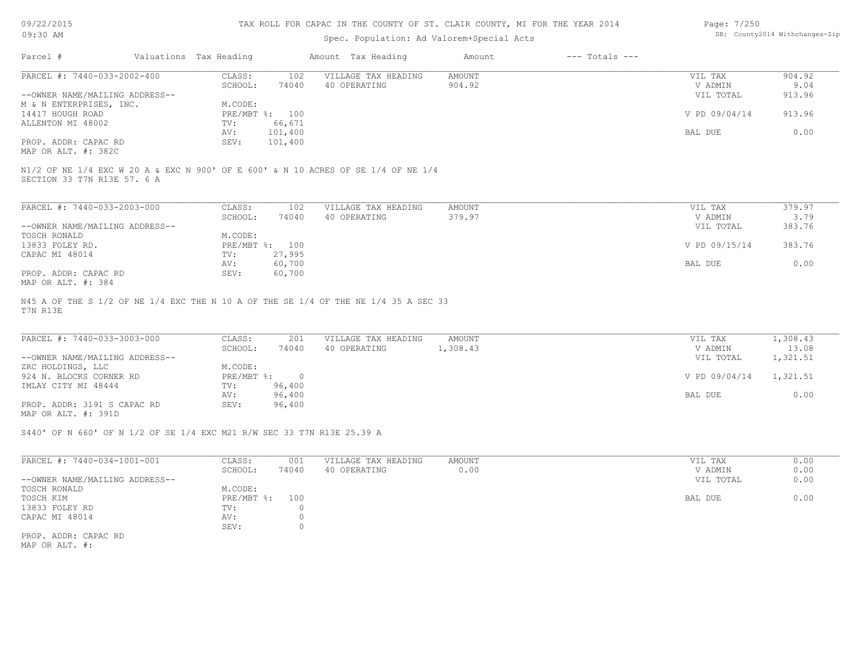| 09/22/2015 |  |
|------------|--|
| 09:30 AM   |  |

## Spec. Population: Ad Valorem+Special Acts

| Page: 7/250 |                                |
|-------------|--------------------------------|
|             | DB: County2014 Withchanges-Zip |

| Parcel #                                   | Valuations Tax Heading |                | Amount Tax Heading                                                                  | Amount        | $---$ Totals $---$ |               |        |
|--------------------------------------------|------------------------|----------------|-------------------------------------------------------------------------------------|---------------|--------------------|---------------|--------|
| PARCEL #: 7440-033-2002-400                | CLASS:                 | 102            | VILLAGE TAX HEADING                                                                 | <b>AMOUNT</b> |                    | VIL TAX       | 904.92 |
|                                            | SCHOOL:                | 74040          | 40 OPERATING                                                                        | 904.92        |                    | V ADMIN       | 9.04   |
| --OWNER NAME/MAILING ADDRESS--             |                        |                |                                                                                     |               |                    | VIL TOTAL     | 913.96 |
| M & N ENTERPRISES, INC.                    | M.CODE:                |                |                                                                                     |               |                    |               |        |
| 14417 HOUGH ROAD                           |                        | PRE/MBT %: 100 |                                                                                     |               |                    | V PD 09/04/14 | 913.96 |
| ALLENTON MI 48002                          | TV:                    | 66,671         |                                                                                     |               |                    |               |        |
|                                            | AV:                    | 101,400        |                                                                                     |               |                    | BAL DUE       | 0.00   |
| PROP. ADDR: CAPAC RD                       | SEV:                   | 101,400        |                                                                                     |               |                    |               |        |
| MAP OR ALT. #: 382C                        |                        |                |                                                                                     |               |                    |               |        |
|                                            |                        |                |                                                                                     |               |                    |               |        |
| PARCEL #: 7440-033-2003-000                | CLASS:                 | 102            | VILLAGE TAX HEADING                                                                 | <b>AMOUNT</b> |                    | VIL TAX       | 379.97 |
|                                            | SCHOOL:                | 74040          | 40 OPERATING                                                                        | 379.97        |                    | V ADMIN       | 3.79   |
| --OWNER NAME/MAILING ADDRESS--             |                        |                |                                                                                     |               |                    | VIL TOTAL     | 383.76 |
| TOSCH RONALD                               | M.CODE:                |                |                                                                                     |               |                    |               |        |
| 13833 FOLEY RD.                            | PRE/MBT %:             | 100            |                                                                                     |               |                    | V PD 09/15/14 | 383.76 |
| CAPAC MI 48014                             | TV:                    | 27,995         |                                                                                     |               |                    |               |        |
|                                            | AV:                    | 60,700         |                                                                                     |               |                    | BAL DUE       | 0.00   |
| PROP. ADDR: CAPAC RD<br>MAP OR ALT. #: 384 | SEV:                   | 60,700         |                                                                                     |               |                    |               |        |
| T7N R13E                                   |                        |                | N45 A OF THE S 1/2 OF NE 1/4 EXC THE N 10 A OF THE SE 1/4 OF THE NE 1/4 35 A SEC 33 |               |                    |               |        |

| PARCEL #: 7440-033-3003-000    | CLASS:       | 201    | VILLAGE TAX HEADING | AMOUNT   | VIL TAX       | 1,308.43 |
|--------------------------------|--------------|--------|---------------------|----------|---------------|----------|
|                                | SCHOOL:      | 74040  | 40 OPERATING        | 1,308.43 | V ADMIN       | 13.08    |
| --OWNER NAME/MAILING ADDRESS-- |              |        |                     |          | VIL TOTAL     | 1,321.51 |
| ZRC HOLDINGS, LLC              | M.CODE:      |        |                     |          |               |          |
| 924 N. BLOCKS CORNER RD        | $PRE/MBT$ %: |        |                     |          | V PD 09/04/14 | 1,321.51 |
| IMLAY CITY MI 48444            | TV:          | 96,400 |                     |          |               |          |
|                                | AV:          | 96,400 |                     |          | BAL DUE       | 0.00     |
| PROP. ADDR: 3191 S CAPAC RD    | SEV:         | 96,400 |                     |          |               |          |
| MAP OR ALT. #: 391D            |              |        |                     |          |               |          |

S440' OF N 660' OF N 1/2 OF SE 1/4 EXC M21 R/W SEC 33 T7N R13E 25.39 A

| PARCEL #: 7440-034-1001-001    | CLASS:       | 001   | VILLAGE TAX HEADING | AMOUNT | VIL TAX<br>0.00   |
|--------------------------------|--------------|-------|---------------------|--------|-------------------|
|                                | SCHOOL:      | 74040 | 40 OPERATING        | 0.00   | 0.00<br>V ADMIN   |
| --OWNER NAME/MAILING ADDRESS-- |              |       |                     |        | 0.00<br>VIL TOTAL |
| TOSCH RONALD                   | M.CODE:      |       |                     |        |                   |
| TOSCH KIM                      | $PRE/MBT$ %: | 100   |                     |        | 0.00<br>BAL DUE   |
| 13833 FOLEY RD                 | TV:          |       |                     |        |                   |
| CAPAC MI 48014                 | AV:          |       |                     |        |                   |
|                                | SEV:         |       |                     |        |                   |
| PROP. ADDR: CAPAC RD           |              |       |                     |        |                   |
|                                |              |       |                     |        |                   |

MAP OR ALT. #: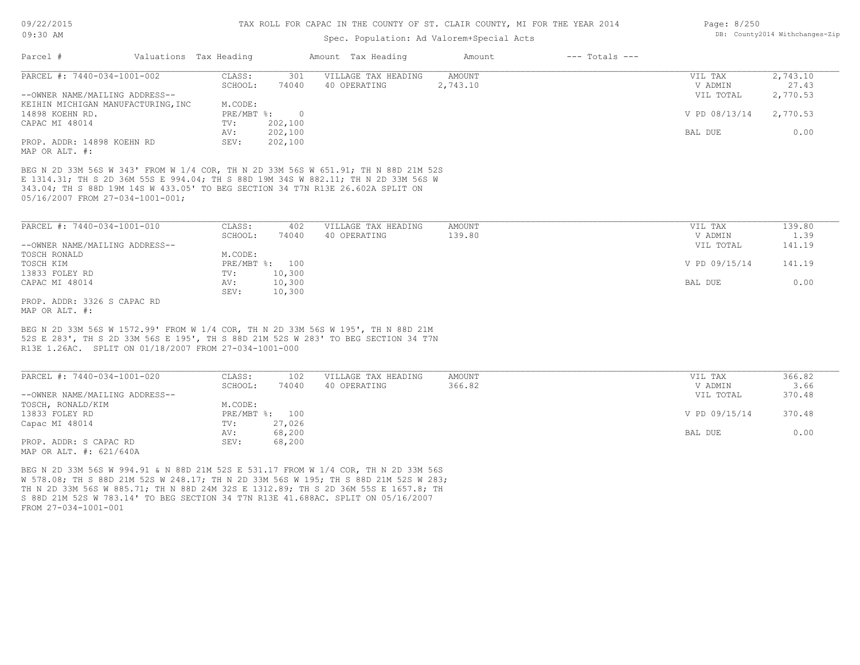### Spec. Population: Ad Valorem+Special Acts

| Page: 8/250 |                                |
|-------------|--------------------------------|
|             | DB: County2014 Withchanges-Zip |

| Parcel #                           | Valuations Tax Heading                                                            |                  | Amount Tax Heading  | Amount        | $---$ Totals $---$ |               |          |
|------------------------------------|-----------------------------------------------------------------------------------|------------------|---------------------|---------------|--------------------|---------------|----------|
| PARCEL #: 7440-034-1001-002        | CLASS:                                                                            | 301              | VILLAGE TAX HEADING | <b>AMOUNT</b> |                    | VIL TAX       | 2,743.10 |
|                                    | SCHOOL:                                                                           | 74040            | 40 OPERATING        | 2,743.10      |                    | V ADMIN       | 27.43    |
| --OWNER NAME/MAILING ADDRESS--     |                                                                                   |                  |                     |               |                    | VIL TOTAL     | 2,770.53 |
| KEIHIN MICHIGAN MANUFACTURING, INC | M.CODE:                                                                           |                  |                     |               |                    |               |          |
| 14898 KOEHN RD.                    | PRE/MBT %:                                                                        | $\overline{0}$   |                     |               |                    | V PD 08/13/14 | 2,770.53 |
| CAPAC MI 48014                     | TV:                                                                               | 202,100          |                     |               |                    |               |          |
|                                    | AV:                                                                               | 202,100          |                     |               |                    | BAL DUE       | 0.00     |
| PROP. ADDR: 14898 KOEHN RD         | SEV:                                                                              | 202,100          |                     |               |                    |               |          |
| MAP OR ALT. #:                     |                                                                                   |                  |                     |               |                    |               |          |
|                                    |                                                                                   |                  |                     |               |                    |               |          |
| PARCEL #: 7440-034-1001-010        | CLASS:                                                                            | 402              | VILLAGE TAX HEADING | <b>AMOUNT</b> |                    | VIL TAX       | 139.80   |
|                                    | SCHOOL:                                                                           | 74040            | 40 OPERATING        | 139.80        |                    | V ADMIN       | 1.39     |
| --OWNER NAME/MAILING ADDRESS--     |                                                                                   |                  |                     |               |                    | VIL TOTAL     | 141.19   |
| TOSCH RONALD                       | M.CODE:                                                                           |                  |                     |               |                    |               |          |
| TOSCH KIM                          |                                                                                   | PRE/MBT %: 100   |                     |               |                    | V PD 09/15/14 | 141.19   |
| 13833 FOLEY RD                     | TV:                                                                               | 10,300           |                     |               |                    |               |          |
| CAPAC MI 48014                     | AV:<br>SEV:                                                                       | 10,300<br>10,300 |                     |               |                    | BAL DUE       | 0.00     |
| PROP. ADDR: 3326 S CAPAC RD        |                                                                                   |                  |                     |               |                    |               |          |
| MAP OR ALT. #:                     |                                                                                   |                  |                     |               |                    |               |          |
|                                    |                                                                                   |                  |                     |               |                    |               |          |
|                                    | BEG N 2D 33M 56S W 1572.99' FROM W 1/4 COR, TH N 2D 33M 56S W 195', TH N 88D 21M  |                  |                     |               |                    |               |          |
|                                    | 52S E 283', TH S 2D 33M 56S E 195', TH S 88D 21M 52S W 283' TO BEG SECTION 34 T7N |                  |                     |               |                    |               |          |
|                                    | R13E 1.26AC. SPLIT ON 01/18/2007 FROM 27-034-1001-000                             |                  |                     |               |                    |               |          |
|                                    |                                                                                   |                  |                     |               |                    |               |          |
| PARCEL #: 7440-034-1001-020        | CLASS:                                                                            | 102              | VILLAGE TAX HEADING | <b>AMOUNT</b> |                    | VIL TAX       | 366.82   |
|                                    | SCHOOL:                                                                           | 74040            | 40 OPERATING        | 366.82        |                    | V ADMIN       | 3.66     |

|                                | -------      | .      | ------ | .             | ----   |
|--------------------------------|--------------|--------|--------|---------------|--------|
| --OWNER NAME/MAILING ADDRESS-- |              |        |        | VIL TOTAL     | 370.48 |
| TOSCH, RONALD/KIM              | M.CODE:      |        |        |               |        |
| 13833 FOLEY RD                 | $PRE/MBT$ %: | 100    |        | V PD 09/15/14 | 370.48 |
| Capac MI 48014                 | TV:          | 27,026 |        |               |        |
|                                | AV:          | 68,200 |        | BAL DUE       | 0.00   |
| PROP. ADDR: S CAPAC RD         | SEV:         | 68,200 |        |               |        |
|                                |              |        |        |               |        |

MAP OR ALT. #: 621/640A

FROM 27-034-1001-001 S 88D 21M 52S W 783.14' TO BEG SECTION 34 T7N R13E 41.688AC. SPLIT ON 05/16/2007 TH N 2D 33M 56S W 885.71; TH N 88D 24M 32S E 1312.89; TH S 2D 36M 55S E 1657.8; TH W 578.08; TH S 88D 21M 52S W 248.17; TH N 2D 33M 56S W 195; TH S 88D 21M 52S W 283; BEG N 2D 33M 56S W 994.91 & N 88D 21M 52S E 531.17 FROM W 1/4 COR, TH N 2D 33M 56S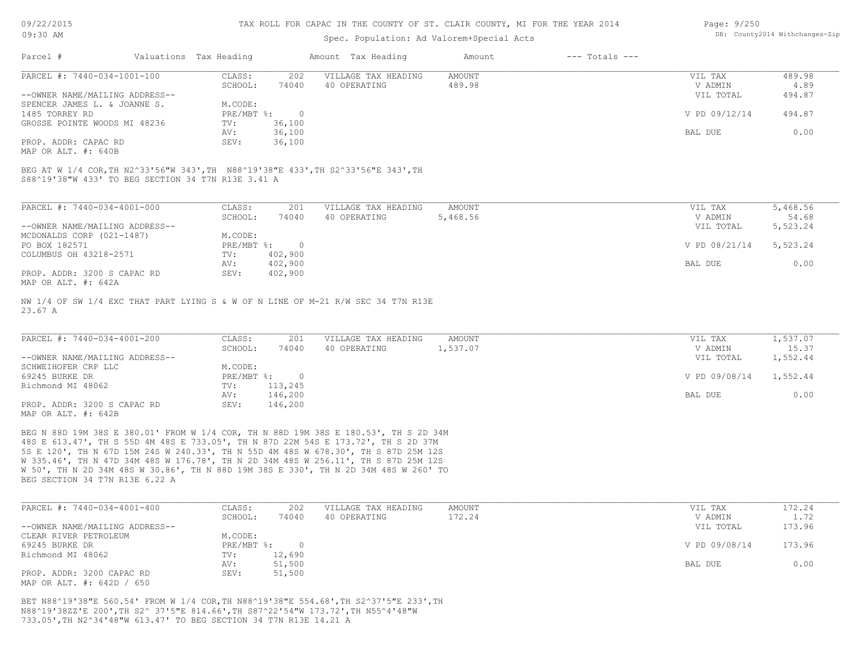#### TAX ROLL FOR CAPAC IN THE COUNTY OF ST. CLAIR COUNTY, MI FOR THE YEAR 2014

### Spec. Population: Ad Valorem+Special Acts

| Page: 9/250 |                                |
|-------------|--------------------------------|
|             | DB: County2014 Withchanges-Zip |

| Parcel #                       | Valuations Tax Heading |        | Amount Tax Heading  | Amount | $---$ Totals $---$ |               |        |
|--------------------------------|------------------------|--------|---------------------|--------|--------------------|---------------|--------|
| PARCEL #: 7440-034-1001-100    | CLASS:                 | 202    | VILLAGE TAX HEADING | AMOUNT |                    | VIL TAX       | 489.98 |
|                                | SCHOOL:                | 74040  | 40 OPERATING        | 489.98 |                    | V ADMIN       | 4.89   |
| --OWNER NAME/MAILING ADDRESS-- |                        |        |                     |        |                    | VIL TOTAL     | 494.87 |
| SPENCER JAMES L. & JOANNE S.   | M.CODE:                |        |                     |        |                    |               |        |
| 1485 TORREY RD                 | PRE/MBT %:             |        |                     |        |                    | V PD 09/12/14 | 494.87 |
| GROSSE POINTE WOODS MI 48236   | TV:                    | 36,100 |                     |        |                    |               |        |
|                                | AV:                    | 36,100 |                     |        |                    | BAL DUE       | 0.00   |
| PROP. ADDR: CAPAC RD           | SEV:                   | 36,100 |                     |        |                    |               |        |

MAP OR ALT. #: 640B

S88^19'38"W 433' TO BEG SECTION 34 T7N R13E 3.41 A BEG AT W 1/4 COR,TH N2^33'56"W 343',TH N88^19'38"E 433',TH S2^33'56"E 343',TH

| PARCEL #: 7440-034-4001-000    | CLASS:       | 201      | VILLAGE TAX HEADING | AMOUNT   | 5,468.56<br>VIL TAX       |
|--------------------------------|--------------|----------|---------------------|----------|---------------------------|
|                                | SCHOOL:      | 74040    | 40 OPERATING        | 5,468.56 | 54.68<br>V ADMIN          |
| --OWNER NAME/MAILING ADDRESS-- |              |          |                     |          | 5,523.24<br>VIL TOTAL     |
| MCDONALDS CORP (021-1487)      | M.CODE:      |          |                     |          |                           |
| PO BOX 182571                  | $PRE/MBT$ %: | $\Omega$ |                     |          | V PD 08/21/14<br>5,523.24 |
| COLUMBUS OH 43218-2571         | TV:          | 402,900  |                     |          |                           |
|                                | AV:          | 402,900  |                     |          | 0.00<br>BAL DUE           |
| PROP. ADDR: 3200 S CAPAC RD    | SEV:         | 402,900  |                     |          |                           |
| MAP OR ALT. #: 642A            |              |          |                     |          |                           |

23.67 A NW 1/4 OF SW 1/4 EXC THAT PART LYING S & W OF N LINE OF M-21 R/W SEC 34 T7N R13E

| PARCEL #: 7440-034-4001-200    | CLASS:       | 201     | VILLAGE TAX HEADING | AMOUNT   | VIL TAX       | 1,537.07 |
|--------------------------------|--------------|---------|---------------------|----------|---------------|----------|
|                                | SCHOOL:      | 74040   | 40 OPERATING        | 1,537.07 | V ADMIN       | 15.37    |
| --OWNER NAME/MAILING ADDRESS-- |              |         |                     |          | VIL TOTAL     | 1,552.44 |
| SCHWEIHOFER CRP LLC            | M.CODE:      |         |                     |          |               |          |
| 69245 BURKE DR                 | $PRE/MBT$ %: |         |                     |          | V PD 09/08/14 | 1,552.44 |
| Richmond MI 48062              | TV:          | 113,245 |                     |          |               |          |
|                                | AV:          | 146,200 |                     |          | BAL DUE       | 0.00     |
| PROP. ADDR: 3200 S CAPAC RD    | SEV:         | 146,200 |                     |          |               |          |
| MAP OR ALT. #: 642B            |              |         |                     |          |               |          |

BEG SECTION 34 T7N R13E 6.22 A W 50', TH N 2D 34M 48S W 30.86', TH N 88D 19M 38S E 330', TH N 2D 34M 48S W 260' TO W 335.46', TH N 47D 34M 48S W 176.78', TH N 2D 34M 48S W 256.11', TH S 87D 25M 12S 5S E 120', TH N 67D 15M 24S W 240.33', TH N 55D 4M 48S W 678.30', TH S 87D 25M 12S 48S E 613.47', TH S 55D 4M 48S E 733.05', TH N 87D 22M 54S E 173.72', TH S 2D 37M BEG N 88D 19M 38S E 380.01' FROM W 1/4 COR, TH N 88D 19M 38S E 180.53', TH S 2D 34M

| PARCEL #: 7440-034-4001-400    | CLASS:       | 202    | VILLAGE TAX HEADING | AMOUNT | VIL TAX       | 172.24 |
|--------------------------------|--------------|--------|---------------------|--------|---------------|--------|
|                                | SCHOOL:      | 74040  | 40 OPERATING        | 172.24 | V ADMIN       | 1.72   |
| --OWNER NAME/MAILING ADDRESS-- |              |        |                     |        | VIL TOTAL     | 173.96 |
| CLEAR RIVER PETROLEUM          | M.CODE:      |        |                     |        |               |        |
| 69245 BURKE DR                 | $PRE/MBT$ %: |        |                     |        | V PD 09/08/14 | 173.96 |
| Richmond MI 48062              | TV:          | 12,690 |                     |        |               |        |
|                                | AV:          | 51,500 |                     |        | BAL DUE       | 0.00   |
| PROP. ADDR: 3200 CAPAC RD      | SEV:         | 51,500 |                     |        |               |        |
| MAP OR ALT. #: 642D / 650      |              |        |                     |        |               |        |

733.05',TH N2^34'48"W 613.47' TO BEG SECTION 34 T7N R13E 14.21 A N88^19'38ZZ'E 200',TH S2^ 37'5"E 814.66',TH S87^22'54"W 173.72',TH N55^4'48"W BET N88^19'38"E 560.54' FROM W 1/4 COR,TH N88^19'38"E 554.68',TH S2^37'5"E 233',TH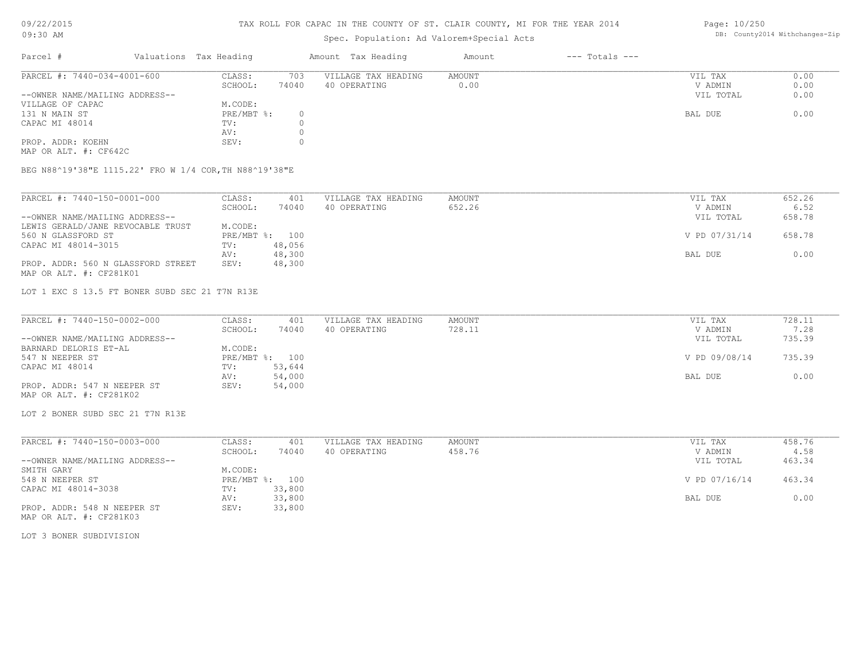### TAX ROLL FOR CAPAC IN THE COUNTY OF ST. CLAIR COUNTY, MI FOR THE YEAR 2014

# Spec. Population: Ad Valorem+Special Acts

| Parcel #                       | Valuations Tax Heading |       | Amount Tax Heading  | Amount | $---$ Totals $---$ |           |      |
|--------------------------------|------------------------|-------|---------------------|--------|--------------------|-----------|------|
| PARCEL #: 7440-034-4001-600    | CLASS:                 | 703   | VILLAGE TAX HEADING | AMOUNT |                    | VIL TAX   | 0.00 |
|                                | SCHOOL:                | 74040 | 40 OPERATING        | 0.00   |                    | V ADMIN   | 0.00 |
| --OWNER NAME/MAILING ADDRESS-- |                        |       |                     |        |                    | VIL TOTAL | 0.00 |
| VILLAGE OF CAPAC               | M.CODE:                |       |                     |        |                    |           |      |
| 131 N MAIN ST                  | $PRE/MBT$ %:           |       |                     |        |                    | BAL DUE   | 0.00 |
| CAPAC MI 48014                 | TV:                    |       |                     |        |                    |           |      |
|                                | AV:                    |       |                     |        |                    |           |      |
| PROP. ADDR: KOEHN              | SEV:                   |       |                     |        |                    |           |      |

MAP OR ALT. #: CF642C

BEG N88^19'38"E 1115.22' FRO W 1/4 COR,TH N88^19'38"E

| PARCEL #: 7440-150-0001-000        | CLASS:  | 401            | VILLAGE TAX HEADING | AMOUNT | VIL TAX       | 652.26 |
|------------------------------------|---------|----------------|---------------------|--------|---------------|--------|
|                                    | SCHOOL: | 74040          | 40 OPERATING        | 652.26 | V ADMIN       | 6.52   |
| --OWNER NAME/MAILING ADDRESS--     |         |                |                     |        | VIL TOTAL     | 658.78 |
| LEWIS GERALD/JANE REVOCABLE TRUST  | M.CODE: |                |                     |        |               |        |
| 560 N GLASSFORD ST                 |         | PRE/MBT %: 100 |                     |        | V PD 07/31/14 | 658.78 |
| CAPAC MI 48014-3015                | TV:     | 48,056         |                     |        |               |        |
|                                    | AV:     | 48,300         |                     |        | BAL DUE       | 0.00   |
| PROP. ADDR: 560 N GLASSFORD STREET | SEV:    | 48,300         |                     |        |               |        |
| MAP OR ALT. #: CF281K01            |         |                |                     |        |               |        |

LOT 1 EXC S 13.5 FT BONER SUBD SEC 21 T7N R13E

| PARCEL #: 7440-150-0002-000    | CLASS:  | 401            | VILLAGE TAX HEADING | AMOUNT | VIL TAX       | 728.11 |
|--------------------------------|---------|----------------|---------------------|--------|---------------|--------|
|                                | SCHOOL: | 74040          | 40 OPERATING        | 728.11 | V ADMIN       | 7.28   |
| --OWNER NAME/MAILING ADDRESS-- |         |                |                     |        | VIL TOTAL     | 735.39 |
| BARNARD DELORIS ET-AL          | M.CODE: |                |                     |        |               |        |
| 547 N NEEPER ST                |         | PRE/MBT %: 100 |                     |        | V PD 09/08/14 | 735.39 |
| CAPAC MI 48014                 | TV:     | 53,644         |                     |        |               |        |
|                                | AV:     | 54,000         |                     |        | BAL DUE       | 0.00   |
| PROP. ADDR: 547 N NEEPER ST    | SEV:    | 54,000         |                     |        |               |        |
| MAP OR ALT. #: CF281K02        |         |                |                     |        |               |        |

LOT 2 BONER SUBD SEC 21 T7N R13E

| PARCEL #: 7440-150-0003-000    | CLASS:     | 401    | VILLAGE TAX HEADING | AMOUNT | VIL TAX       | 458.76 |
|--------------------------------|------------|--------|---------------------|--------|---------------|--------|
|                                | SCHOOL:    | 74040  | 40 OPERATING        | 458.76 | V ADMIN       | 4.58   |
| --OWNER NAME/MAILING ADDRESS-- |            |        |                     |        | VIL TOTAL     | 463.34 |
| SMITH GARY                     | M.CODE:    |        |                     |        |               |        |
| 548 N NEEPER ST                | PRE/MBT %: | 100    |                     |        | V PD 07/16/14 | 463.34 |
| CAPAC MI 48014-3038            | TV:        | 33,800 |                     |        |               |        |
|                                | AV:        | 33,800 |                     |        | BAL DUE       | 0.00   |
| PROP. ADDR: 548 N NEEPER ST    | SEV:       | 33,800 |                     |        |               |        |

MAP OR ALT. #: CF281K03

LOT 3 BONER SUBDIVISION

Page: 10/250 DB: County2014 Withchanges-Zip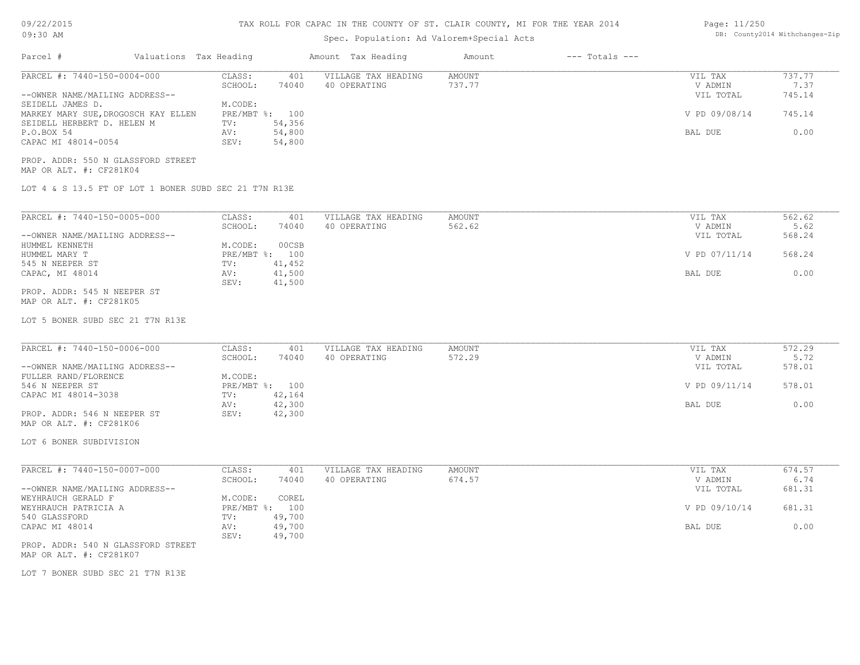# 09/22/2015

## TAX ROLL FOR CAPAC IN THE COUNTY OF ST. CLAIR COUNTY, MI FOR THE YEAR 2014

| Page: 11/250 |                               |
|--------------|-------------------------------|
|              | DB: County2014 Withchanges-Zi |

| 09:30 AM                                                                          |                                                  | Spec. Population: Ad Valorem+Special Acts | DB: County2014 Withchanges-Zip |                                 |                          |
|-----------------------------------------------------------------------------------|--------------------------------------------------|-------------------------------------------|--------------------------------|---------------------------------|--------------------------|
| Parcel #<br>Valuations Tax Heading                                                |                                                  | Amount Tax Heading                        | $---$ Totals $---$<br>Amount   |                                 |                          |
| PARCEL #: 7440-150-0004-000<br>--OWNER NAME/MAILING ADDRESS--<br>SEIDELL JAMES D. | CLASS:<br>401<br>SCHOOL:<br>74040<br>M.CODE:     | VILLAGE TAX HEADING<br>40 OPERATING       | <b>AMOUNT</b><br>737.77        | VIL TAX<br>V ADMIN<br>VIL TOTAL | 737.77<br>7.37<br>745.14 |
| MARKEY MARY SUE, DROGOSCH KAY ELLEN<br>SEIDELL HERBERT D. HELEN M                 | PRE/MBT %: 100<br>54,356<br>TV:                  |                                           |                                | V PD 09/08/14                   | 745.14                   |
| P.O.BOX 54<br>CAPAC MI 48014-0054                                                 | 54,800<br>AV:<br>54,800<br>SEV:                  |                                           |                                | BAL DUE                         | 0.00                     |
| PROP. ADDR: 550 N GLASSFORD STREET<br>MAP OR ALT. #: CF281K04                     |                                                  |                                           |                                |                                 |                          |
| LOT 4 & S 13.5 FT OF LOT 1 BONER SUBD SEC 21 T7N R13E                             |                                                  |                                           |                                |                                 |                          |
| PARCEL #: 7440-150-0005-000<br>--OWNER NAME/MAILING ADDRESS--                     | CLASS:<br>401<br>SCHOOL:<br>74040                | VILLAGE TAX HEADING<br>40 OPERATING       | AMOUNT<br>562.62               | VIL TAX<br>V ADMIN<br>VIL TOTAL | 562.62<br>5.62<br>568.24 |
| HUMMEL KENNETH<br>HUMMEL MARY T                                                   | M.CODE:<br>00CSB<br>PRE/MBT %: 100               |                                           |                                | V PD 07/11/14                   | 568.24                   |
| 545 N NEEPER ST<br>CAPAC, MI 48014                                                | 41,452<br>TV:<br>41,500<br>AV:<br>41,500<br>SEV: |                                           |                                | BAL DUE                         | 0.00                     |
| PROP. ADDR: 545 N NEEPER ST<br>MAP OR ALT. #: CF281K05                            |                                                  |                                           |                                |                                 |                          |
| LOT 5 BONER SUBD SEC 21 T7N R13E                                                  |                                                  |                                           |                                |                                 |                          |
| PARCEL #: 7440-150-0006-000                                                       | CLASS:<br>401<br>SCHOOL:<br>74040                | VILLAGE TAX HEADING<br>40 OPERATING       | <b>AMOUNT</b><br>572.29        | VIL TAX<br>V ADMIN              | 572.29<br>5.72           |
| --OWNER NAME/MAILING ADDRESS--<br>FULLER RAND/FLORENCE<br>546 N NEEPER ST         | M.CODE:<br>PRE/MBT %: 100                        |                                           |                                | VIL TOTAL<br>V PD 09/11/14      | 578.01<br>578.01         |
| CAPAC MI 48014-3038                                                               | 42,164<br>TV:<br>42,300<br>AV:                   |                                           |                                | BAL DUE                         | 0.00                     |
| PROP. ADDR: 546 N NEEPER ST<br>MAP OR ALT. #: CF281K06                            | 42,300<br>SEV:                                   |                                           |                                |                                 |                          |
| LOT 6 BONER SUBDIVISION                                                           |                                                  |                                           |                                |                                 |                          |
| PARCEL #: 7440-150-0007-000<br>--OWNER NAME/MAILING ADDRESS--                     | CLASS:<br>401<br>SCHOOL:<br>74040                | VILLAGE TAX HEADING<br>40 OPERATING       | AMOUNT<br>674.57               | VIL TAX<br>V ADMIN<br>VIL TOTAL | 674.57<br>6.74<br>681.31 |
| WEYHRAUCH GERALD F<br>WEYHRAUCH PATRICIA A                                        | M.CODE:<br>COREL<br>PRE/MBT %: 100               |                                           |                                | V PD 09/10/14                   | 681.31                   |
| 540 GLASSFORD<br>CAPAC MI 48014                                                   | 49,700<br>TV:<br>49,700<br>AV:<br>SEV:<br>49,700 |                                           |                                | BAL DUE                         | 0.00                     |
| PROP. ADDR: 540 N GLASSFORD STREET<br>MAP OR ALT. #: CF281K07                     |                                                  |                                           |                                |                                 |                          |
| LOT 7 BONER SUBD SEC 21 T7N R13E                                                  |                                                  |                                           |                                |                                 |                          |
|                                                                                   |                                                  |                                           |                                |                                 |                          |
|                                                                                   |                                                  |                                           |                                |                                 |                          |
|                                                                                   |                                                  |                                           |                                |                                 |                          |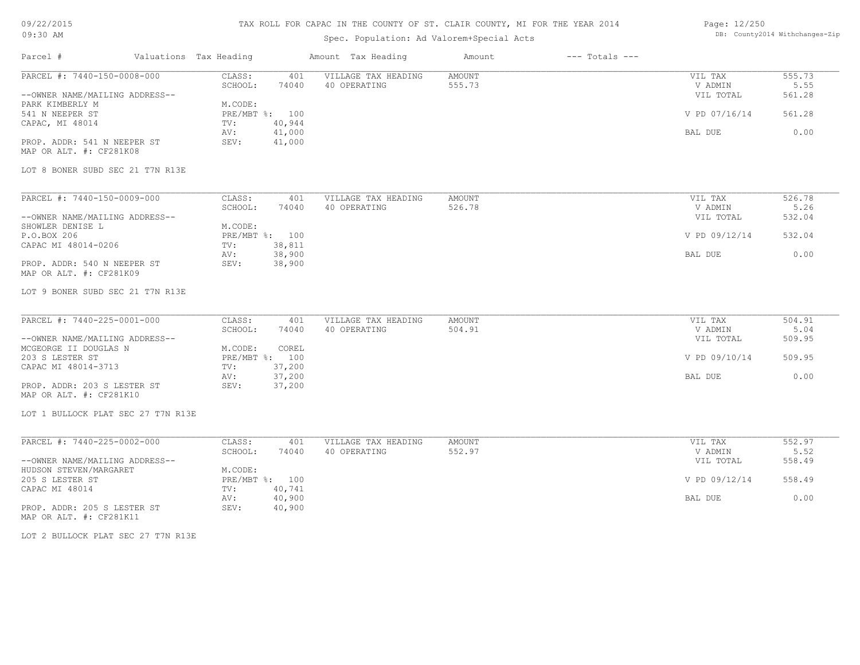## TAX ROLL FOR CAPAC IN THE COUNTY OF ST. CLAIR COUNTY, MI FOR THE YEAR 2014

# Spec. Population: Ad Valorem+Special Acts

### Page: 12/250 DB: County2014 Withchanges-Zip

| Parcel #<br>Valuations Tax Heading |                  | Amount Tax Heading  | Amount | $---$ Totals $---$ |               |        |
|------------------------------------|------------------|---------------------|--------|--------------------|---------------|--------|
| PARCEL #: 7440-150-0008-000        | CLASS:<br>401    | VILLAGE TAX HEADING | AMOUNT |                    | VIL TAX       | 555.73 |
|                                    | SCHOOL:<br>74040 | 40 OPERATING        | 555.73 |                    | V ADMIN       | 5.55   |
| --OWNER NAME/MAILING ADDRESS--     |                  |                     |        |                    | VIL TOTAL     | 561.28 |
| PARK KIMBERLY M                    | M.CODE:          |                     |        |                    |               |        |
| 541 N NEEPER ST                    | PRE/MBT %: 100   |                     |        |                    | V PD 07/16/14 | 561.28 |
| CAPAC, MI 48014                    | 40,944<br>TV:    |                     |        |                    |               |        |
|                                    | 41,000<br>AV:    |                     |        |                    | BAL DUE       | 0.00   |
| PROP. ADDR: 541 N NEEPER ST        | 41,000<br>SEV:   |                     |        |                    |               |        |
| MAP OR ALT. #: CF281K08            |                  |                     |        |                    |               |        |
|                                    |                  |                     |        |                    |               |        |
| LOT 8 BONER SUBD SEC 21 T7N R13E   |                  |                     |        |                    |               |        |
|                                    |                  |                     |        |                    |               |        |
| PARCEL #: 7440-150-0009-000        | CLASS:<br>401    | VILLAGE TAX HEADING | AMOUNT |                    | VIL TAX       | 526.78 |
|                                    | SCHOOL:<br>74040 | 40 OPERATING        | 526.78 |                    | V ADMIN       | 5.26   |
| --OWNER NAME/MAILING ADDRESS--     |                  |                     |        |                    | VIL TOTAL     | 532.04 |
| SHOWLER DENISE L                   | M.CODE:          |                     |        |                    |               |        |
| P.O.BOX 206                        | PRE/MBT %: 100   |                     |        |                    | V PD 09/12/14 | 532.04 |
| CAPAC MI 48014-0206                | TV:<br>38,811    |                     |        |                    |               |        |
|                                    | 38,900<br>AV:    |                     |        |                    | BAL DUE       | 0.00   |
| PROP. ADDR: 540 N NEEPER ST        | 38,900<br>SEV:   |                     |        |                    |               |        |
| MAP OR ALT. #: CF281K09            |                  |                     |        |                    |               |        |
| LOT 9 BONER SUBD SEC 21 T7N R13E   |                  |                     |        |                    |               |        |
|                                    |                  |                     |        |                    |               |        |
| PARCEL #: 7440-225-0001-000        | CLASS:<br>401    | VILLAGE TAX HEADING | AMOUNT |                    | VIL TAX       | 504.91 |
|                                    | SCHOOL:<br>74040 | 40 OPERATING        | 504.91 |                    | V ADMIN       | 5.04   |
| --OWNER NAME/MAILING ADDRESS--     |                  |                     |        |                    | VIL TOTAL     | 509.95 |
| MCGEORGE II DOUGLAS N              | M.CODE:<br>COREL |                     |        |                    |               |        |
| 203 S LESTER ST                    | PRE/MBT %: 100   |                     |        |                    | V PD 09/10/14 | 509.95 |
| CAPAC MI 48014-3713                | 37,200<br>TV:    |                     |        |                    |               |        |
|                                    | 37,200<br>AV:    |                     |        |                    | BAL DUE       | 0.00   |
| PROP. ADDR: 203 S LESTER ST        | 37,200<br>SEV:   |                     |        |                    |               |        |
| MAP OR ALT. #: CF281K10            |                  |                     |        |                    |               |        |
|                                    |                  |                     |        |                    |               |        |
| LOT 1 BULLOCK PLAT SEC 27 T7N R13E |                  |                     |        |                    |               |        |
| PARCEL #: 7440-225-0002-000        | CLASS:<br>401    | VILLAGE TAX HEADING | AMOUNT |                    | VIL TAX       | 552.97 |
|                                    | SCHOOL:<br>74040 | 40 OPERATING        | 552.97 |                    | V ADMIN       | 5.52   |
| --OWNER NAME/MAILING ADDRESS--     |                  |                     |        |                    | VIL TOTAL     | 558.49 |
| HUDSON STEVEN/MARGARET             | M.CODE:          |                     |        |                    |               |        |
| 205 S LESTER ST                    | PRE/MBT %: 100   |                     |        |                    | V PD 09/12/14 | 558.49 |
| CAPAC MI 48014                     | 40,741<br>TV:    |                     |        |                    |               |        |
|                                    | 40,900<br>AV:    |                     |        |                    | BAL DUE       | 0.00   |
| PROP. ADDR: 205 S LESTER ST        | 40,900<br>SEV:   |                     |        |                    |               |        |
| MAP OR ALT. #: CF281K11            |                  |                     |        |                    |               |        |
|                                    |                  |                     |        |                    |               |        |

LOT 2 BULLOCK PLAT SEC 27 T7N R13E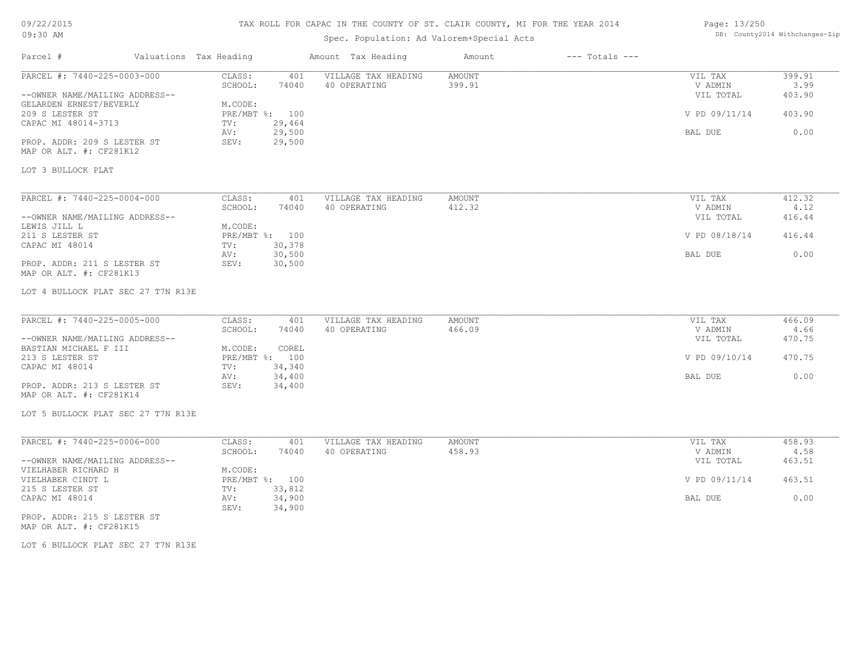# TAX ROLL FOR CAPAC IN THE COUNTY OF ST. CLAIR COUNTY, MI FOR THE YEAR 2014

# Spec. Population: Ad Valorem+Special Acts

### Page: 13/250 DB: County2014 Withchanges-Zip

| Parcel #                                                          | Valuations Tax Heading                     | Amount Tax Heading                  | Amount                  | $---$ Totals $---$ |                      |                |
|-------------------------------------------------------------------|--------------------------------------------|-------------------------------------|-------------------------|--------------------|----------------------|----------------|
| PARCEL #: 7440-225-0003-000                                       | CLASS:<br>401<br>SCHOOL:<br>74040          | VILLAGE TAX HEADING<br>40 OPERATING | <b>AMOUNT</b><br>399.91 |                    | VIL TAX<br>V ADMIN   | 399.91<br>3.99 |
| --OWNER NAME/MAILING ADDRESS--                                    |                                            |                                     |                         |                    | VIL TOTAL            | 403.90         |
| GELARDEN ERNEST/BEVERLY<br>209 S LESTER ST<br>CAPAC MI 48014-3713 | M.CODE:<br>PRE/MBT %: 100<br>29,464<br>TV: |                                     |                         |                    | V PD 09/11/14        | 403.90         |
|                                                                   | 29,500<br>AV:                              |                                     |                         |                    | BAL DUE              | 0.00           |
| PROP. ADDR: 209 S LESTER ST<br>MAP OR ALT. #: CF281K12            | 29,500<br>SEV:                             |                                     |                         |                    |                      |                |
| LOT 3 BULLOCK PLAT                                                |                                            |                                     |                         |                    |                      |                |
| PARCEL #: 7440-225-0004-000                                       | CLASS:<br>401                              | VILLAGE TAX HEADING                 | <b>AMOUNT</b>           |                    | VIL TAX              | 412.32         |
| --OWNER NAME/MAILING ADDRESS--                                    | SCHOOL:<br>74040                           | 40 OPERATING                        | 412.32                  |                    | V ADMIN<br>VIL TOTAL | 4.12<br>416.44 |
| LEWIS JILL L<br>211 S LESTER ST                                   | M.CODE:<br>PRE/MBT %: 100                  |                                     |                         |                    | V PD 08/18/14        | 416.44         |
| CAPAC MI 48014                                                    | 30,378<br>TV:                              |                                     |                         |                    |                      |                |
| PROP. ADDR: 211 S LESTER ST<br>MAP OR ALT. #: CF281K13            | 30,500<br>AV:<br>30,500<br>SEV:            |                                     |                         |                    | BAL DUE              | 0.00           |
| LOT 4 BULLOCK PLAT SEC 27 T7N R13E                                |                                            |                                     |                         |                    |                      |                |
| PARCEL #: 7440-225-0005-000                                       | CLASS:<br>401                              | VILLAGE TAX HEADING                 | <b>AMOUNT</b>           |                    | VIL TAX              | 466.09         |
| --OWNER NAME/MAILING ADDRESS--                                    | SCHOOL:<br>74040                           | 40 OPERATING                        | 466.09                  |                    | V ADMIN<br>VIL TOTAL | 4.66<br>470.75 |
| BASTIAN MICHAEL F III                                             | M.CODE:<br>COREL                           |                                     |                         |                    |                      |                |
| 213 S LESTER ST<br>CAPAC MI 48014                                 | PRE/MBT %: 100<br>34,340<br>TV:            |                                     |                         |                    | V PD 09/10/14        | 470.75         |
| PROP. ADDR: 213 S LESTER ST<br>MAP OR ALT. #: CF281K14            | 34,400<br>AV:<br>34,400<br>SEV:            |                                     |                         |                    | BAL DUE              | 0.00           |
| LOT 5 BULLOCK PLAT SEC 27 T7N R13E                                |                                            |                                     |                         |                    |                      |                |
| PARCEL #: 7440-225-0006-000                                       | CLASS:<br>401                              | VILLAGE TAX HEADING                 | <b>AMOUNT</b>           |                    | VIL TAX              | 458.93         |
| --OWNER NAME/MAILING ADDRESS--                                    | SCHOOL:<br>74040                           | 40 OPERATING                        | 458.93                  |                    | V ADMIN<br>VIL TOTAL | 4.58<br>463.51 |
| VIELHABER RICHARD H<br>VIELHABER CINDT L                          | M.CODE:<br>PRE/MBT %: 100                  |                                     |                         |                    | V PD 09/11/14        | 463.51         |
| 215 S LESTER ST<br>CAPAC MI 48014                                 | 33,812<br>TV:<br>34,900<br>AV:             |                                     |                         |                    | BAL DUE              | 0.00           |
| PROP. ADDR: 215 S LESTER ST<br>MAP OR ALT. #: CF281K15            | 34,900<br>SEV:                             |                                     |                         |                    |                      |                |
|                                                                   |                                            |                                     |                         |                    |                      |                |

LOT 6 BULLOCK PLAT SEC 27 T7N R13E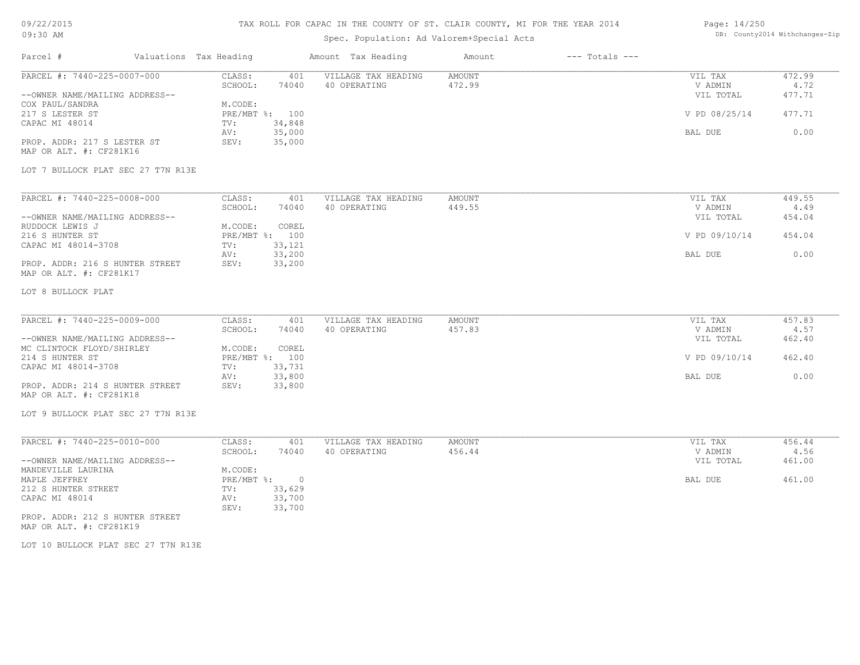## TAX ROLL FOR CAPAC IN THE COUNTY OF ST. CLAIR COUNTY, MI FOR THE YEAR 2014

# Spec. Population: Ad Valorem+Special Acts

### Page: 14/250 DB: County2014 Withchanges-Zip

| PARCEL #: 7440-225-0007-000                                 | CLASS:<br>401<br>SCHOOL:<br>74040  | VILLAGE TAX HEADING<br>40 OPERATING | AMOUNT<br>472.99 | VIL TAX<br>V ADMIN   | 472.99<br>4.72 |
|-------------------------------------------------------------|------------------------------------|-------------------------------------|------------------|----------------------|----------------|
| --OWNER NAME/MAILING ADDRESS--                              |                                    |                                     |                  | VIL TOTAL            | 477.71         |
| COX PAUL/SANDRA                                             | M.CODE:                            |                                     |                  |                      |                |
| 217 S LESTER ST                                             | PRE/MBT %: 100                     |                                     |                  | V PD 08/25/14        | 477.71         |
| CAPAC MI 48014                                              | 34,848<br>TV:                      |                                     |                  |                      |                |
|                                                             | 35,000<br>AV:                      |                                     |                  | BAL DUE              | 0.00           |
| PROP. ADDR: 217 S LESTER ST                                 | 35,000<br>SEV:                     |                                     |                  |                      |                |
| MAP OR ALT. #: CF281K16                                     |                                    |                                     |                  |                      |                |
| LOT 7 BULLOCK PLAT SEC 27 T7N R13E                          |                                    |                                     |                  |                      |                |
|                                                             |                                    |                                     |                  |                      |                |
| PARCEL #: 7440-225-0008-000                                 | CLASS:<br>401                      | VILLAGE TAX HEADING                 | AMOUNT           | VIL TAX              | 449.55         |
|                                                             | SCHOOL:<br>74040                   | 40 OPERATING                        | 449.55           | V ADMIN              | 4.49           |
| --OWNER NAME/MAILING ADDRESS--                              |                                    |                                     |                  | VIL TOTAL            | 454.04         |
| RUDDOCK LEWIS J                                             | COREL<br>M.CODE:<br>PRE/MBT %: 100 |                                     |                  | V PD 09/10/14        | 454.04         |
| 216 S HUNTER ST<br>CAPAC MI 48014-3708                      | 33,121<br>TV:                      |                                     |                  |                      |                |
|                                                             | 33,200<br>AV:                      |                                     |                  | BAL DUE              | 0.00           |
| PROP. ADDR: 216 S HUNTER STREET                             | 33,200<br>SEV:                     |                                     |                  |                      |                |
| MAP OR ALT. #: CF281K17                                     |                                    |                                     |                  |                      |                |
| LOT 8 BULLOCK PLAT                                          |                                    |                                     |                  |                      |                |
|                                                             |                                    |                                     |                  |                      |                |
| PARCEL #: 7440-225-0009-000                                 | CLASS:<br>401                      | VILLAGE TAX HEADING                 | AMOUNT           | VIL TAX              | 457.83         |
|                                                             | SCHOOL:<br>74040                   | 40 OPERATING                        | 457.83           | V ADMIN              | 4.57           |
| --OWNER NAME/MAILING ADDRESS--<br>MC CLINTOCK FLOYD/SHIRLEY | M.CODE:<br>COREL                   |                                     |                  | VIL TOTAL            | 462.40         |
| 214 S HUNTER ST                                             | PRE/MBT %: 100                     |                                     |                  | V PD 09/10/14        | 462.40         |
| CAPAC MI 48014-3708                                         | 33,731<br>TV:                      |                                     |                  |                      |                |
|                                                             | 33,800<br>AV:                      |                                     |                  | BAL DUE              | 0.00           |
| PROP. ADDR: 214 S HUNTER STREET                             | 33,800<br>SEV:                     |                                     |                  |                      |                |
| MAP OR ALT. #: CF281K18                                     |                                    |                                     |                  |                      |                |
| LOT 9 BULLOCK PLAT SEC 27 T7N R13E                          |                                    |                                     |                  |                      |                |
|                                                             |                                    |                                     |                  |                      |                |
| PARCEL #: 7440-225-0010-000                                 | CLASS:<br>401                      | VILLAGE TAX HEADING                 | AMOUNT           | VIL TAX              | 456.44         |
| --OWNER NAME/MAILING ADDRESS--                              | SCHOOL:<br>74040                   | 40 OPERATING                        | 456.44           | V ADMIN<br>VIL TOTAL | 4.56<br>461.00 |
| MANDEVILLE LAURINA                                          | M.CODE:                            |                                     |                  |                      |                |
| MAPLE JEFFREY                                               | PRE/MBT %: 0                       |                                     |                  | BAL DUE              | 461.00         |
| 212 S HUNTER STREET                                         | 33,629<br>TV:                      |                                     |                  |                      |                |
| CAPAC MI 48014                                              | 33,700<br>AV:                      |                                     |                  |                      |                |
|                                                             | SEV:<br>33,700                     |                                     |                  |                      |                |
| PROP. ADDR: 212 S HUNTER STREET<br>MAP OR ALT. #: CF281K19  |                                    |                                     |                  |                      |                |
|                                                             |                                    |                                     |                  |                      |                |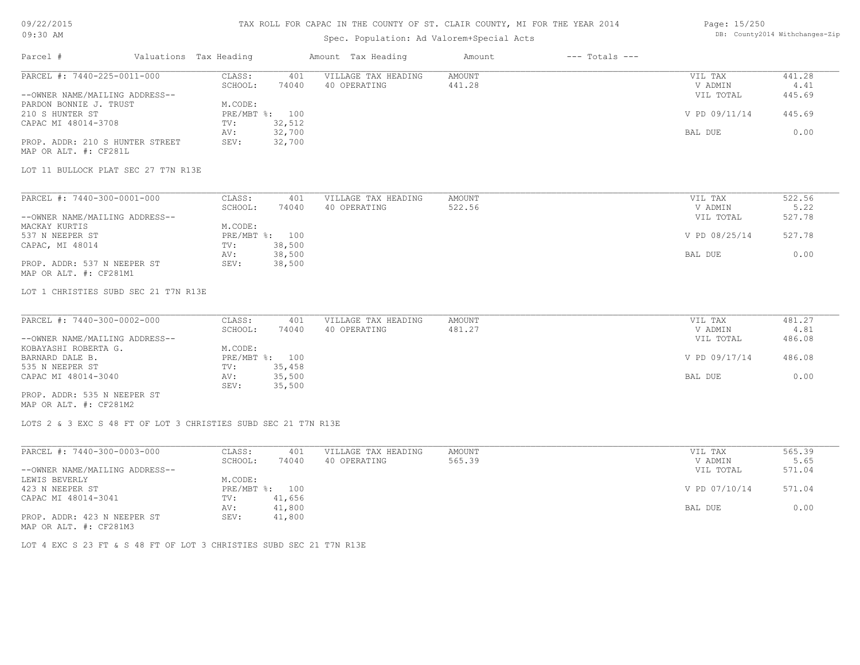# 09/22/2015

#### TAX ROLL FOR CAPAC IN THE COUNTY OF ST. CLAIR COUNTY, MI FOR THE YEAR 2014 Page: 15/250

| 09:30 AM                                              |                                                                     |             | Spec. Population: Ad Valorem+Special Acts | DB: County2014 Withchanges-Zip |               |                    |                |        |
|-------------------------------------------------------|---------------------------------------------------------------------|-------------|-------------------------------------------|--------------------------------|---------------|--------------------|----------------|--------|
| Parcel #                                              | Valuations Tax Heading                                              |             |                                           | Amount Tax Heading             | Amount        | $---$ Totals $---$ |                |        |
| PARCEL #: 7440-225-0011-000                           |                                                                     | CLASS:      | 401                                       | VILLAGE TAX HEADING            | AMOUNT        |                    | VIL TAX        | 441.28 |
|                                                       |                                                                     | SCHOOL:     | 74040                                     | 40 OPERATING                   | 441.28        |                    | V ADMIN        | 4.41   |
| --OWNER NAME/MAILING ADDRESS--                        |                                                                     |             |                                           |                                |               |                    | VIL TOTAL      | 445.69 |
| PARDON BONNIE J. TRUST                                |                                                                     | M.CODE:     |                                           |                                |               |                    |                |        |
| 210 S HUNTER ST                                       |                                                                     |             | PRE/MBT %: 100<br>32,512                  |                                |               |                    | V PD 09/11/14  | 445.69 |
| CAPAC MI 48014-3708                                   |                                                                     | TV:         | 32,700                                    |                                |               |                    | BAL DUE        | 0.00   |
|                                                       | PROP. ADDR: 210 S HUNTER STREET                                     | AV:<br>SEV: | 32,700                                    |                                |               |                    |                |        |
| MAP OR ALT. #: CF281L                                 |                                                                     |             |                                           |                                |               |                    |                |        |
|                                                       | LOT 11 BULLOCK PLAT SEC 27 T7N R13E                                 |             |                                           |                                |               |                    |                |        |
| PARCEL #: 7440-300-0001-000                           |                                                                     | CLASS:      | 401                                       | VILLAGE TAX HEADING            | AMOUNT        |                    | VIL TAX        | 522.56 |
|                                                       |                                                                     | SCHOOL:     | 74040                                     | 40 OPERATING                   | 522.56        |                    | V ADMIN        | 5.22   |
| --OWNER NAME/MAILING ADDRESS--                        |                                                                     |             |                                           |                                |               |                    | VIL TOTAL      | 527.78 |
| MACKAY KURTIS                                         |                                                                     | M.CODE:     |                                           |                                |               |                    |                |        |
| 537 N NEEPER ST                                       |                                                                     |             | PRE/MBT %: 100                            |                                |               |                    | V PD 08/25/14  | 527.78 |
| CAPAC, MI 48014                                       |                                                                     | TV:         | 38,500                                    |                                |               |                    |                |        |
|                                                       |                                                                     | AV:         | 38,500                                    |                                |               |                    | BAL DUE        | 0.00   |
| PROP. ADDR: 537 N NEEPER ST<br>MAP OR ALT. #: CF281M1 |                                                                     | SEV:        | 38,500                                    |                                |               |                    |                |        |
|                                                       | LOT 1 CHRISTIES SUBD SEC 21 T7N R13E                                |             |                                           |                                |               |                    |                |        |
| PARCEL #: 7440-300-0002-000                           |                                                                     | CLASS:      | 401                                       | VILLAGE TAX HEADING            | AMOUNT        |                    | VIL TAX        | 481.27 |
|                                                       |                                                                     | SCHOOL:     | 74040                                     | 40 OPERATING                   | 481.27        |                    | V ADMIN        | 4.81   |
| --OWNER NAME/MAILING ADDRESS--                        |                                                                     |             |                                           |                                |               |                    | VIL TOTAL      | 486.08 |
| KOBAYASHI ROBERTA G.                                  |                                                                     | M.CODE:     |                                           |                                |               |                    |                |        |
| BARNARD DALE B.                                       |                                                                     |             | PRE/MBT %: 100                            |                                |               |                    | V PD 09/17/14  | 486.08 |
| 535 N NEEPER ST                                       |                                                                     | TV:         | 35,458                                    |                                |               |                    |                |        |
| CAPAC MI 48014-3040                                   |                                                                     | AV:<br>SEV: | 35,500<br>35,500                          |                                |               |                    | <b>BAL DUE</b> | 0.00   |
| PROP. ADDR: 535 N NEEPER ST<br>MAP OR ALT. #: CF281M2 |                                                                     |             |                                           |                                |               |                    |                |        |
|                                                       | LOTS 2 & 3 EXC S 48 FT OF LOT 3 CHRISTIES SUBD SEC 21 T7N R13E      |             |                                           |                                |               |                    |                |        |
| PARCEL #: 7440-300-0003-000                           |                                                                     | CLASS:      | 401                                       | VILLAGE TAX HEADING            | <b>AMOUNT</b> |                    | VIL TAX        | 565.39 |
|                                                       |                                                                     | SCHOOL:     | 74040                                     | 40 OPERATING                   | 565.39        |                    | V ADMIN        | 5.65   |
| --OWNER NAME/MAILING ADDRESS--                        |                                                                     |             |                                           |                                |               |                    | VIL TOTAL      | 571.04 |
| LEWIS BEVERLY                                         |                                                                     | M.CODE:     |                                           |                                |               |                    |                |        |
| 423 N NEEPER ST                                       |                                                                     |             | PRE/MBT %: 100                            |                                |               |                    | V PD 07/10/14  | 571.04 |
| CAPAC MI 48014-3041                                   |                                                                     | TV:         | 41,656                                    |                                |               |                    |                |        |
|                                                       |                                                                     | AV:         | 41,800                                    |                                |               |                    | BAL DUE        | 0.00   |
| PROP. ADDR: 423 N NEEPER ST<br>MAP OR ALT. #: CF281M3 |                                                                     | SEV:        | 41,800                                    |                                |               |                    |                |        |
|                                                       | LOT 4 EXC S 23 FT & S 48 FT OF LOT 3 CHRISTIES SUBD SEC 21 T7N R13E |             |                                           |                                |               |                    |                |        |
|                                                       |                                                                     |             |                                           |                                |               |                    |                |        |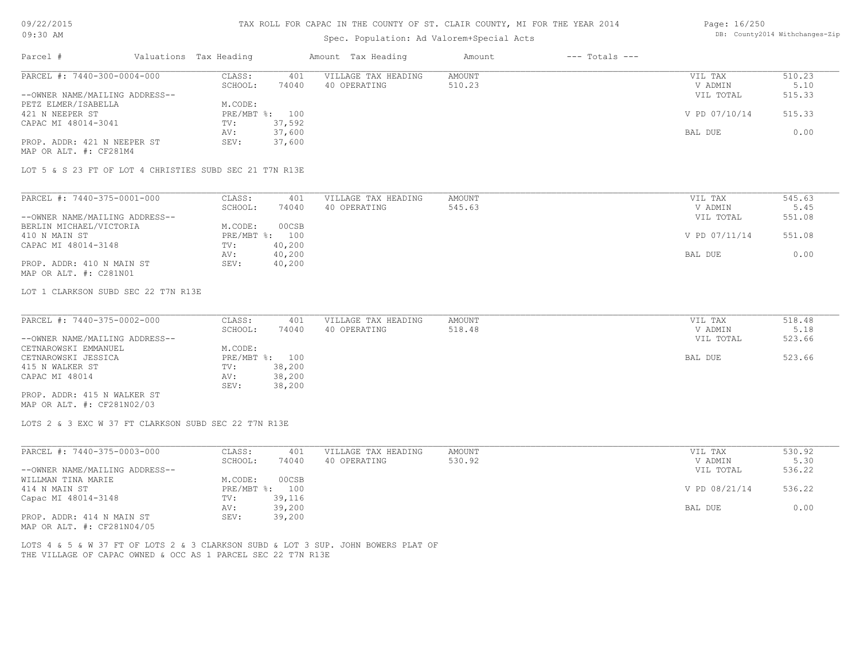### TAX ROLL FOR CAPAC IN THE COUNTY OF ST. CLAIR COUNTY, MI FOR THE YEAR 2014

# Spec. Population: Ad Valorem+Special Acts

### Page: 16/250 DB: County2014 Withchanges-Zip

| Parcel #                                                                          | Valuations Tax Heading            | Amount Tax Heading                  | Amount                  | $---$ Totals $---$ |                    |                |
|-----------------------------------------------------------------------------------|-----------------------------------|-------------------------------------|-------------------------|--------------------|--------------------|----------------|
| PARCEL #: 7440-300-0004-000                                                       | CLASS:<br>401<br>SCHOOL:<br>74040 | VILLAGE TAX HEADING<br>40 OPERATING | <b>AMOUNT</b><br>510.23 |                    | VIL TAX<br>V ADMIN | 510.23<br>5.10 |
| --OWNER NAME/MAILING ADDRESS--                                                    |                                   |                                     |                         |                    | VIL TOTAL          | 515.33         |
| PETZ ELMER/ISABELLA                                                               | M.CODE:                           |                                     |                         |                    |                    |                |
| 421 N NEEPER ST                                                                   | PRE/MBT %: 100                    |                                     |                         |                    | V PD 07/10/14      | 515.33         |
| CAPAC MI 48014-3041                                                               | 37,592<br>TV:                     |                                     |                         |                    |                    |                |
|                                                                                   | 37,600<br>AV:                     |                                     |                         |                    | BAL DUE            | 0.00           |
| PROP. ADDR: 421 N NEEPER ST<br>MAP OR ALT. #: CF281M4                             | 37,600<br>SEV:                    |                                     |                         |                    |                    |                |
| LOT 5 & S 23 FT OF LOT 4 CHRISTIES SUBD SEC 21 T7N R13E                           |                                   |                                     |                         |                    |                    |                |
| PARCEL #: 7440-375-0001-000                                                       | CLASS:<br>401                     | VILLAGE TAX HEADING                 | <b>AMOUNT</b>           |                    | VIL TAX            | 545.63         |
|                                                                                   | SCHOOL:<br>74040                  | 40 OPERATING                        | 545.63                  |                    | V ADMIN            | 5.45           |
| --OWNER NAME/MAILING ADDRESS--                                                    |                                   |                                     |                         |                    | VIL TOTAL          | 551.08         |
| BERLIN MICHAEL/VICTORIA                                                           | 00CSB<br>M.CODE:                  |                                     |                         |                    |                    |                |
| 410 N MAIN ST                                                                     | PRE/MBT %: 100                    |                                     |                         |                    | V PD 07/11/14      | 551.08         |
|                                                                                   |                                   |                                     |                         |                    |                    |                |
| CAPAC MI 48014-3148                                                               | TV:<br>40,200                     |                                     |                         |                    |                    | 0.00           |
| PROP. ADDR: 410 N MAIN ST                                                         | 40,200<br>AV:<br>SEV:<br>40,200   |                                     |                         |                    | BAL DUE            |                |
| MAP OR ALT. #: C281N01                                                            |                                   |                                     |                         |                    |                    |                |
| LOT 1 CLARKSON SUBD SEC 22 T7N R13E                                               |                                   |                                     |                         |                    |                    |                |
|                                                                                   |                                   |                                     |                         |                    |                    |                |
| PARCEL #: 7440-375-0002-000                                                       | CLASS:<br>401                     | VILLAGE TAX HEADING                 | AMOUNT                  |                    | VIL TAX            | 518.48         |
|                                                                                   | SCHOOL:<br>74040                  | 40 OPERATING                        | 518.48                  |                    | V ADMIN            | 5.18           |
| --OWNER NAME/MAILING ADDRESS--                                                    |                                   |                                     |                         |                    | VIL TOTAL          | 523.66         |
| CETNAROWSKI EMMANUEL                                                              | M.CODE:                           |                                     |                         |                    |                    |                |
| CETNAROWSKI JESSICA                                                               | PRE/MBT %: 100                    |                                     |                         |                    | BAL DUE            | 523.66         |
| 415 N WALKER ST                                                                   | 38,200<br>TV:                     |                                     |                         |                    |                    |                |
| CAPAC MI 48014                                                                    | AV:<br>38,200                     |                                     |                         |                    |                    |                |
|                                                                                   | 38,200<br>SEV:                    |                                     |                         |                    |                    |                |
| PROP. ADDR: 415 N WALKER ST<br>MAP OR ALT. #: CF281N02/03                         |                                   |                                     |                         |                    |                    |                |
| LOTS 2 & 3 EXC W 37 FT CLARKSON SUBD SEC 22 T7N R13E                              |                                   |                                     |                         |                    |                    |                |
| PARCEL #: 7440-375-0003-000                                                       | CLASS:<br>401                     | VILLAGE TAX HEADING                 | <b>AMOUNT</b>           |                    | VIL TAX            | 530.92         |
|                                                                                   | SCHOOL:<br>74040                  | 40 OPERATING                        | 530.92                  |                    | V ADMIN            | 5.30           |
| --OWNER NAME/MAILING ADDRESS--                                                    |                                   |                                     |                         |                    | VIL TOTAL          | 536.22         |
| WILLMAN TINA MARIE                                                                | M.CODE:<br>00CSB                  |                                     |                         |                    |                    |                |
| 414 N MAIN ST                                                                     | PRE/MBT %: 100                    |                                     |                         |                    | V PD 08/21/14      | 536.22         |
| Capac MI 48014-3148                                                               | TV:<br>39,116                     |                                     |                         |                    |                    |                |
|                                                                                   | 39,200<br>AV:                     |                                     |                         |                    | BAL DUE            | 0.00           |
| PROP. ADDR: 414 N MAIN ST<br>MAP OR ALT. #: CF281N04/05                           | SEV:<br>39,200                    |                                     |                         |                    |                    |                |
| LOTS 4 & 5 & W 37 FT OF LOTS 2 & 3 CLARKSON SUBD & LOT 3 SUP. JOHN BOWERS PLAT OF |                                   |                                     |                         |                    |                    |                |
| THE VILLAGE OF CAPAC OWNED & OCC AS 1 PARCEL SEC 22 T7N R13E                      |                                   |                                     |                         |                    |                    |                |
|                                                                                   |                                   |                                     |                         |                    |                    |                |
|                                                                                   |                                   |                                     |                         |                    |                    |                |
|                                                                                   |                                   |                                     |                         |                    |                    |                |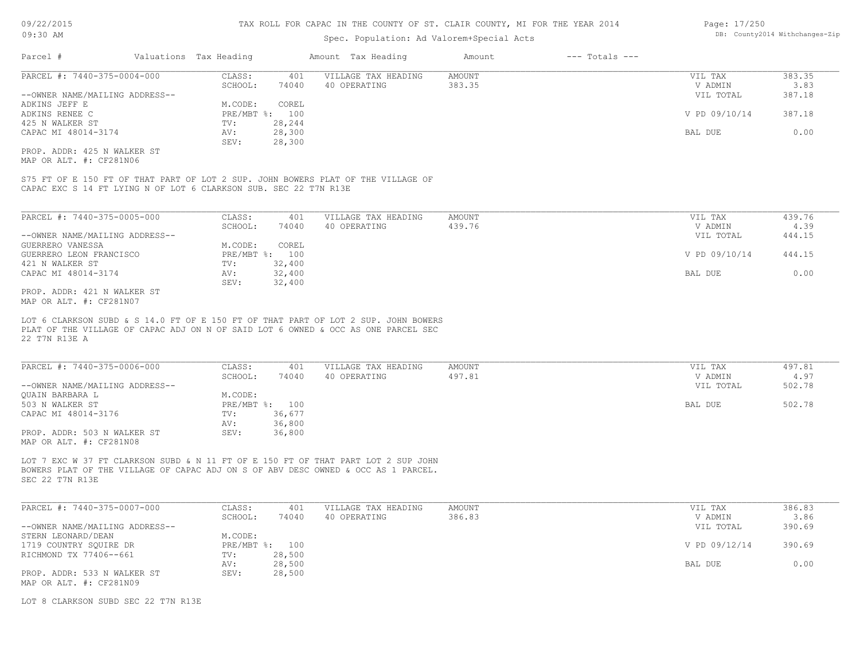| Page: 17/250 |                              |
|--------------|------------------------------|
|              | DB: County2014 Withchanges-Z |

| Valuations Tax Heading<br>CLASS:<br>SCHOOL:<br>M.CODE:<br>TV:<br>AV:<br>SEV: | 401<br>74040<br>COREL<br>PRE/MBT %: 100<br>28,244<br>28,300<br>28,300 | Spec. Population: Ad Valorem+Special Acts<br>Amount Tax Heading<br>VILLAGE TAX HEADING<br>40 OPERATING | Amount<br>AMOUNT<br>383.35                                                                              | $---$ Totals $---$                                                                                                                                                                                                                                                                                                                                                          | VIL TAX<br>V ADMIN<br>VIL TOTAL | DB: County2014 Withchanges-Zip<br>383.35<br>3.83<br>387.18  |
|------------------------------------------------------------------------------|-----------------------------------------------------------------------|--------------------------------------------------------------------------------------------------------|---------------------------------------------------------------------------------------------------------|-----------------------------------------------------------------------------------------------------------------------------------------------------------------------------------------------------------------------------------------------------------------------------------------------------------------------------------------------------------------------------|---------------------------------|-------------------------------------------------------------|
|                                                                              |                                                                       |                                                                                                        |                                                                                                         |                                                                                                                                                                                                                                                                                                                                                                             |                                 |                                                             |
|                                                                              |                                                                       |                                                                                                        |                                                                                                         |                                                                                                                                                                                                                                                                                                                                                                             |                                 |                                                             |
|                                                                              |                                                                       |                                                                                                        |                                                                                                         |                                                                                                                                                                                                                                                                                                                                                                             |                                 |                                                             |
|                                                                              |                                                                       |                                                                                                        |                                                                                                         |                                                                                                                                                                                                                                                                                                                                                                             |                                 |                                                             |
|                                                                              |                                                                       |                                                                                                        |                                                                                                         |                                                                                                                                                                                                                                                                                                                                                                             |                                 |                                                             |
|                                                                              |                                                                       |                                                                                                        |                                                                                                         |                                                                                                                                                                                                                                                                                                                                                                             |                                 |                                                             |
|                                                                              |                                                                       |                                                                                                        |                                                                                                         |                                                                                                                                                                                                                                                                                                                                                                             | V PD 09/10/14                   | 387.18                                                      |
|                                                                              |                                                                       |                                                                                                        |                                                                                                         |                                                                                                                                                                                                                                                                                                                                                                             |                                 |                                                             |
|                                                                              |                                                                       |                                                                                                        |                                                                                                         |                                                                                                                                                                                                                                                                                                                                                                             | BAL DUE                         | 0.00                                                        |
|                                                                              |                                                                       |                                                                                                        |                                                                                                         |                                                                                                                                                                                                                                                                                                                                                                             |                                 |                                                             |
|                                                                              |                                                                       |                                                                                                        |                                                                                                         |                                                                                                                                                                                                                                                                                                                                                                             |                                 |                                                             |
|                                                                              |                                                                       |                                                                                                        |                                                                                                         |                                                                                                                                                                                                                                                                                                                                                                             |                                 |                                                             |
|                                                                              |                                                                       |                                                                                                        |                                                                                                         |                                                                                                                                                                                                                                                                                                                                                                             |                                 |                                                             |
|                                                                              |                                                                       |                                                                                                        |                                                                                                         |                                                                                                                                                                                                                                                                                                                                                                             |                                 | 439.76                                                      |
|                                                                              |                                                                       |                                                                                                        |                                                                                                         |                                                                                                                                                                                                                                                                                                                                                                             |                                 | 4.39                                                        |
|                                                                              |                                                                       |                                                                                                        |                                                                                                         |                                                                                                                                                                                                                                                                                                                                                                             |                                 | 444.15                                                      |
|                                                                              |                                                                       |                                                                                                        |                                                                                                         |                                                                                                                                                                                                                                                                                                                                                                             |                                 |                                                             |
|                                                                              |                                                                       |                                                                                                        |                                                                                                         |                                                                                                                                                                                                                                                                                                                                                                             |                                 | 444.15                                                      |
|                                                                              |                                                                       |                                                                                                        |                                                                                                         |                                                                                                                                                                                                                                                                                                                                                                             |                                 |                                                             |
|                                                                              |                                                                       |                                                                                                        |                                                                                                         |                                                                                                                                                                                                                                                                                                                                                                             |                                 | 0.00                                                        |
|                                                                              |                                                                       |                                                                                                        |                                                                                                         |                                                                                                                                                                                                                                                                                                                                                                             |                                 |                                                             |
|                                                                              |                                                                       |                                                                                                        |                                                                                                         |                                                                                                                                                                                                                                                                                                                                                                             |                                 |                                                             |
| CLASS:                                                                       | 401                                                                   | VILLAGE TAX HEADING                                                                                    | <b>AMOUNT</b>                                                                                           |                                                                                                                                                                                                                                                                                                                                                                             | VIL TAX                         | 497.81                                                      |
| SCHOOL:                                                                      | 74040                                                                 | 40 OPERATING                                                                                           | 497.81                                                                                                  |                                                                                                                                                                                                                                                                                                                                                                             | V ADMIN                         | 4.97                                                        |
|                                                                              |                                                                       |                                                                                                        |                                                                                                         |                                                                                                                                                                                                                                                                                                                                                                             | VIL TOTAL                       | 502.78                                                      |
| M.CODE:                                                                      |                                                                       |                                                                                                        |                                                                                                         |                                                                                                                                                                                                                                                                                                                                                                             |                                 |                                                             |
|                                                                              |                                                                       |                                                                                                        |                                                                                                         |                                                                                                                                                                                                                                                                                                                                                                             | BAL DUE                         | 502.78                                                      |
| TV:                                                                          | 36,677                                                                |                                                                                                        |                                                                                                         |                                                                                                                                                                                                                                                                                                                                                                             |                                 |                                                             |
| AV:                                                                          | 36,800                                                                |                                                                                                        |                                                                                                         |                                                                                                                                                                                                                                                                                                                                                                             |                                 |                                                             |
| SEV:                                                                         | 36,800                                                                |                                                                                                        |                                                                                                         |                                                                                                                                                                                                                                                                                                                                                                             |                                 |                                                             |
|                                                                              |                                                                       |                                                                                                        |                                                                                                         |                                                                                                                                                                                                                                                                                                                                                                             |                                 |                                                             |
|                                                                              | CLASS:<br>M.CODE:<br>TV:<br>AV:<br>SEV:                               | 401<br>SCHOOL:<br>74040<br>COREL<br>PRE/MBT %: 100<br>32,400<br>32,400<br>32,400<br>PRE/MBT %: 100     | CAPAC EXC S 14 FT LYING N OF LOT 6 CLARKSON SUB. SEC 22 T7N R13E<br>VILLAGE TAX HEADING<br>40 OPERATING | S75 FT OF E 150 FT OF THAT PART OF LOT 2 SUP. JOHN BOWERS PLAT OF THE VILLAGE OF<br><b>AMOUNT</b><br>439.76<br>LOT 6 CLARKSON SUBD & S 14.0 FT OF E 150 FT OF THAT PART OF LOT 2 SUP. JOHN BOWERS<br>PLAT OF THE VILLAGE OF CAPAC ADJ ON N OF SAID LOT 6 OWNED & OCC AS ONE PARCEL SEC<br>LOT 7 EXC W 37 FT CLARKSON SUBD & N 11 FT OF E 150 FT OF THAT PART LOT 2 SUP JOHN |                                 | VIL TAX<br>V ADMIN<br>VIL TOTAL<br>V PD 09/10/14<br>BAL DUE |

SEC 22 T7N R13E

| PARCEL #: 7440-375-0007-000    | CLASS:       | 401    | VILLAGE TAX HEADING | AMOUNT | VIL TAX       | 386.83 |
|--------------------------------|--------------|--------|---------------------|--------|---------------|--------|
|                                | SCHOOL:      | 74040  | 40 OPERATING        | 386.83 | V ADMIN       | 3.86   |
| --OWNER NAME/MAILING ADDRESS-- |              |        |                     |        | VIL TOTAL     | 390.69 |
| STERN LEONARD/DEAN             | M.CODE:      |        |                     |        |               |        |
| 1719 COUNTRY SOUIRE DR         | $PRE/MBT$ %: | 100    |                     |        | V PD 09/12/14 | 390.69 |
| RICHMOND TX 77406--661         | TV:          | 28,500 |                     |        |               |        |
|                                | AV:          | 28,500 |                     |        | BAL DUE       | 0.00   |
| PROP. ADDR: 533 N WALKER ST    | SEV:         | 28,500 |                     |        |               |        |
| MAP OR ALT. #: CF281N09        |              |        |                     |        |               |        |

 $\_$  , and the state of the state of the state of the state of the state of the state of the state of the state of the state of the state of the state of the state of the state of the state of the state of the state of the

LOT 8 CLARKSON SUBD SEC 22 T7N R13E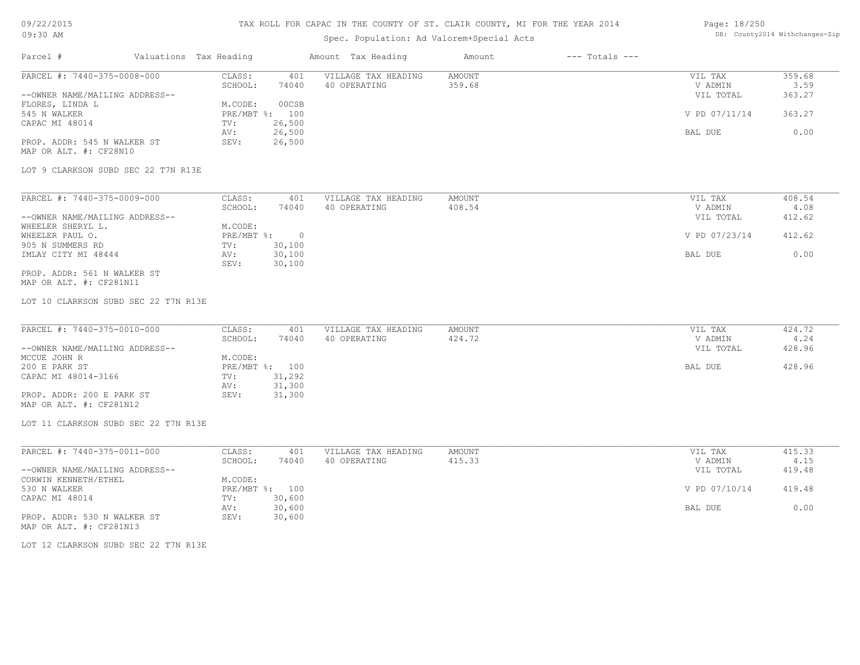# 09/22/2015

### TAX ROLL FOR CAPAC IN THE COUNTY OF ST. CLAIR COUNTY, MI FOR THE YEAR 2014

### Page: 18/250 DB: County2014 Withchanges-Zip

| 09:30 AM                                               |                        |                             |                          | Spec. Population: Ad Valorem+Special Acts | DB: County2014 Withchanges-Zip |                    |                      |                |
|--------------------------------------------------------|------------------------|-----------------------------|--------------------------|-------------------------------------------|--------------------------------|--------------------|----------------------|----------------|
| Parcel #                                               | Valuations Tax Heading |                             |                          | Amount Tax Heading                        | Amount                         | $---$ Totals $---$ |                      |                |
| PARCEL #: 7440-375-0008-000                            |                        | CLASS:<br>SCHOOL:           | 401<br>74040             | VILLAGE TAX HEADING<br>40 OPERATING       | <b>AMOUNT</b><br>359.68        |                    | VIL TAX<br>V ADMIN   | 359.68<br>3.59 |
| --OWNER NAME/MAILING ADDRESS--                         |                        |                             |                          |                                           |                                |                    | VIL TOTAL            | 363.27         |
| FLORES, LINDA L<br>545 N WALKER                        |                        | M.CODE:                     | 00CSB<br>PRE/MBT %: 100  |                                           |                                |                    | V PD 07/11/14        | 363.27         |
| CAPAC MI 48014                                         |                        | TV:<br>AV:                  | 26,500<br>26,500         |                                           |                                |                    | BAL DUE              | 0.00           |
| PROP. ADDR: 545 N WALKER ST<br>MAP OR ALT. #: CF28N10  |                        | SEV:                        | 26,500                   |                                           |                                |                    |                      |                |
| LOT 9 CLARKSON SUBD SEC 22 T7N R13E                    |                        |                             |                          |                                           |                                |                    |                      |                |
| PARCEL #: 7440-375-0009-000                            |                        | CLASS:                      | 401                      | VILLAGE TAX HEADING                       | AMOUNT                         |                    | VIL TAX              | 408.54         |
| --OWNER NAME/MAILING ADDRESS--                         |                        | SCHOOL:                     | 74040                    | 40 OPERATING                              | 408.54                         |                    | V ADMIN<br>VIL TOTAL | 4.08<br>412.62 |
| WHEELER SHERYL L.<br>WHEELER PAUL O.                   |                        | M.CODE:<br>$PRE/MBT$ $\div$ | $\overline{0}$           |                                           |                                |                    | V PD 07/23/14        | 412.62         |
| 905 N SUMMERS RD<br>IMLAY CITY MI 48444                |                        | TV:<br>AV:                  | 30,100<br>30,100         |                                           |                                |                    | BAL DUE              | 0.00           |
| PROP. ADDR: 561 N WALKER ST<br>MAP OR ALT. #: CF281N11 |                        | SEV:                        | 30,100                   |                                           |                                |                    |                      |                |
| LOT 10 CLARKSON SUBD SEC 22 T7N R13E                   |                        |                             |                          |                                           |                                |                    |                      |                |
| PARCEL #: 7440-375-0010-000                            |                        | CLASS:                      | 401                      | VILLAGE TAX HEADING                       | AMOUNT                         |                    | VIL TAX              | 424.72         |
| --OWNER NAME/MAILING ADDRESS--                         |                        | SCHOOL:                     | 74040                    | 40 OPERATING                              | 424.72                         |                    | V ADMIN<br>VIL TOTAL | 4.24<br>428.96 |
| MCCUE JOHN R<br>200 E PARK ST                          |                        | M.CODE:                     | PRE/MBT %: 100           |                                           |                                |                    | BAL DUE              | 428.96         |
| CAPAC MI 48014-3166                                    |                        | TV:                         | 31,292                   |                                           |                                |                    |                      |                |
| PROP. ADDR: 200 E PARK ST<br>MAP OR ALT. #: CF281N12   |                        | AV:<br>SEV:                 | 31,300<br>31,300         |                                           |                                |                    |                      |                |
| LOT 11 CLARKSON SUBD SEC 22 T7N R13E                   |                        |                             |                          |                                           |                                |                    |                      |                |
| PARCEL #: 7440-375-0011-000                            |                        | CLASS:                      | 401                      | VILLAGE TAX HEADING                       | AMOUNT                         |                    | VIL TAX              | 415.33         |
|                                                        |                        | SCHOOL:                     | 74040                    | 40 OPERATING                              | 415.33                         |                    | V ADMIN              | 4.15           |
| --OWNER NAME/MAILING ADDRESS--<br>CORWIN KENNETH/ETHEL |                        | M.CODE:                     |                          |                                           |                                |                    | VIL TOTAL            | 419.48         |
| 530 N WALKER<br>CAPAC MI 48014                         |                        | TV:                         | PRE/MBT %: 100<br>30,600 |                                           |                                |                    | V PD 07/10/14        | 419.48         |
|                                                        |                        | AV:                         | 30,600                   |                                           |                                |                    | BAL DUE              | 0.00           |
| PROP. ADDR: 530 N WALKER ST<br>MAP OR ALT. #: CF281N13 |                        | SEV:                        | 30,600                   |                                           |                                |                    |                      |                |
| LOT 12 CLARKSON SUBD SEC 22 T7N R13E                   |                        |                             |                          |                                           |                                |                    |                      |                |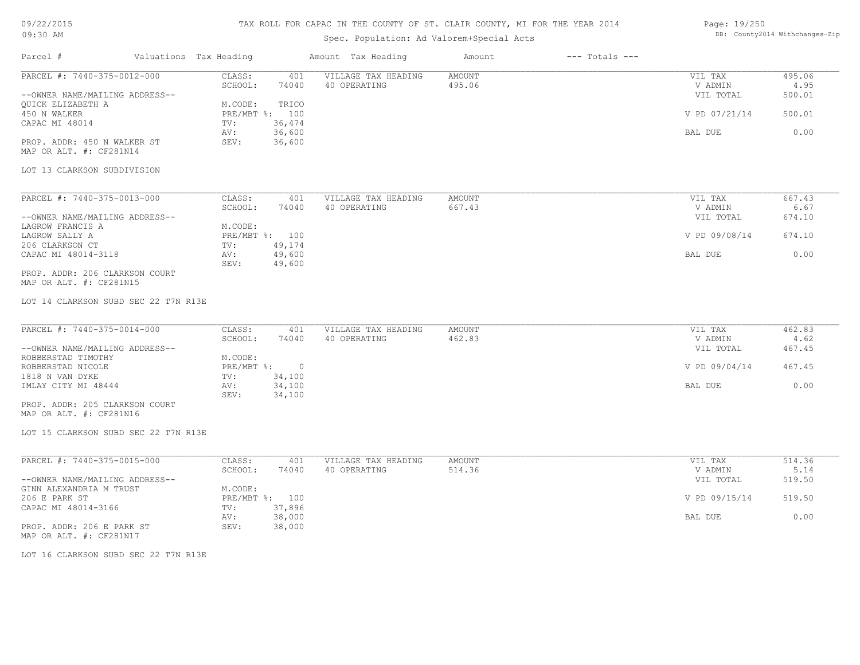### TAX ROLL FOR CAPAC IN THE COUNTY OF ST. CLAIR COUNTY, MI FOR THE YEAR 2014

# Spec. Population: Ad Valorem+Special Acts

| Page: 19/250 |                                |
|--------------|--------------------------------|
|              | DB: County2014 Withchanges-Zip |

|                                                           |                                    | spec. ropulation. Ad valorem special Acts |                              |                      |                |
|-----------------------------------------------------------|------------------------------------|-------------------------------------------|------------------------------|----------------------|----------------|
| Parcel #<br>Valuations Tax Heading                        |                                    | Amount Tax Heading                        | $---$ Totals $---$<br>Amount |                      |                |
| PARCEL #: 7440-375-0012-000                               | CLASS:<br>401                      | VILLAGE TAX HEADING                       | <b>AMOUNT</b>                | VIL TAX              | 495.06         |
|                                                           | SCHOOL:<br>74040                   | 40 OPERATING                              | 495.06                       | V ADMIN              | 4.95           |
| --OWNER NAME/MAILING ADDRESS--                            |                                    |                                           |                              | VIL TOTAL            | 500.01         |
| QUICK ELIZABETH A<br>450 N WALKER                         | M.CODE:<br>TRICO<br>PRE/MBT %: 100 |                                           |                              | V PD 07/21/14        | 500.01         |
| CAPAC MI 48014                                            | 36,474<br>TV:                      |                                           |                              |                      |                |
|                                                           | 36,600<br>AV:                      |                                           |                              | <b>BAL DUE</b>       | 0.00           |
| PROP. ADDR: 450 N WALKER ST                               | 36,600<br>SEV:                     |                                           |                              |                      |                |
| MAP OR ALT. #: CF281N14                                   |                                    |                                           |                              |                      |                |
| LOT 13 CLARKSON SUBDIVISION                               |                                    |                                           |                              |                      |                |
|                                                           |                                    |                                           |                              |                      |                |
| PARCEL #: 7440-375-0013-000                               | CLASS:<br>401                      | VILLAGE TAX HEADING                       | <b>AMOUNT</b>                | VIL TAX              | 667.43         |
|                                                           | SCHOOL:<br>74040                   | 40 OPERATING                              | 667.43                       | V ADMIN              | 6.67           |
| --OWNER NAME/MAILING ADDRESS--                            |                                    |                                           |                              | VIL TOTAL            | 674.10         |
| LAGROW FRANCIS A                                          | M.CODE:                            |                                           |                              |                      |                |
| LAGROW SALLY A                                            | PRE/MBT %: 100                     |                                           |                              | V PD 09/08/14        | 674.10         |
| 206 CLARKSON CT<br>CAPAC MI 48014-3118                    | 49,174<br>TV:<br>49,600<br>AV:     |                                           |                              | BAL DUE              | 0.00           |
|                                                           | 49,600<br>SEV:                     |                                           |                              |                      |                |
| PROP. ADDR: 206 CLARKSON COURT                            |                                    |                                           |                              |                      |                |
| MAP OR ALT. #: CF281N15                                   |                                    |                                           |                              |                      |                |
| LOT 14 CLARKSON SUBD SEC 22 T7N R13E                      |                                    |                                           |                              |                      |                |
| PARCEL #: 7440-375-0014-000                               |                                    |                                           |                              |                      | 462.83         |
|                                                           | CLASS:<br>401<br>SCHOOL:<br>74040  | VILLAGE TAX HEADING<br>40 OPERATING       | <b>AMOUNT</b><br>462.83      | VIL TAX<br>V ADMIN   | 4.62           |
| --OWNER NAME/MAILING ADDRESS--                            |                                    |                                           |                              | VIL TOTAL            | 467.45         |
| ROBBERSTAD TIMOTHY                                        | M.CODE:                            |                                           |                              |                      |                |
| ROBBERSTAD NICOLE                                         | PRE/MBT %:<br>$\overline{0}$       |                                           |                              | V PD 09/04/14        | 467.45         |
| 1818 N VAN DYKE                                           | 34,100<br>TV:                      |                                           |                              |                      |                |
| IMLAY CITY MI 48444                                       | 34,100<br>AV:                      |                                           |                              | BAL DUE              | 0.00           |
|                                                           | 34,100<br>SEV:                     |                                           |                              |                      |                |
| PROP. ADDR: 205 CLARKSON COURT<br>MAP OR ALT. #: CF281N16 |                                    |                                           |                              |                      |                |
| LOT 15 CLARKSON SUBD SEC 22 T7N R13E                      |                                    |                                           |                              |                      |                |
|                                                           |                                    |                                           |                              |                      |                |
| PARCEL #: 7440-375-0015-000                               | CLASS:<br>401                      | VILLAGE TAX HEADING                       | AMOUNT                       | VIL TAX              | 514.36         |
| --OWNER NAME/MAILING ADDRESS--                            | SCHOOL:<br>74040                   | 40 OPERATING                              | 514.36                       | V ADMIN<br>VIL TOTAL | 5.14<br>519.50 |
| GINN ALEXANDRIA M TRUST                                   | M.CODE:                            |                                           |                              |                      |                |
| 206 E PARK ST                                             | PRE/MBT %: 100                     |                                           |                              | V PD 09/15/14        | 519.50         |
| CAPAC MI 48014-3166                                       | 37,896<br>TV:                      |                                           |                              |                      |                |
|                                                           | 38,000<br>AV:                      |                                           |                              | BAL DUE              | 0.00           |
| PROP. ADDR: 206 E PARK ST<br>MAP OR ALT. #: CF281N17      | 38,000<br>SEV:                     |                                           |                              |                      |                |
| LOT 16 CLARKSON SUBD SEC 22 T7N R13E                      |                                    |                                           |                              |                      |                |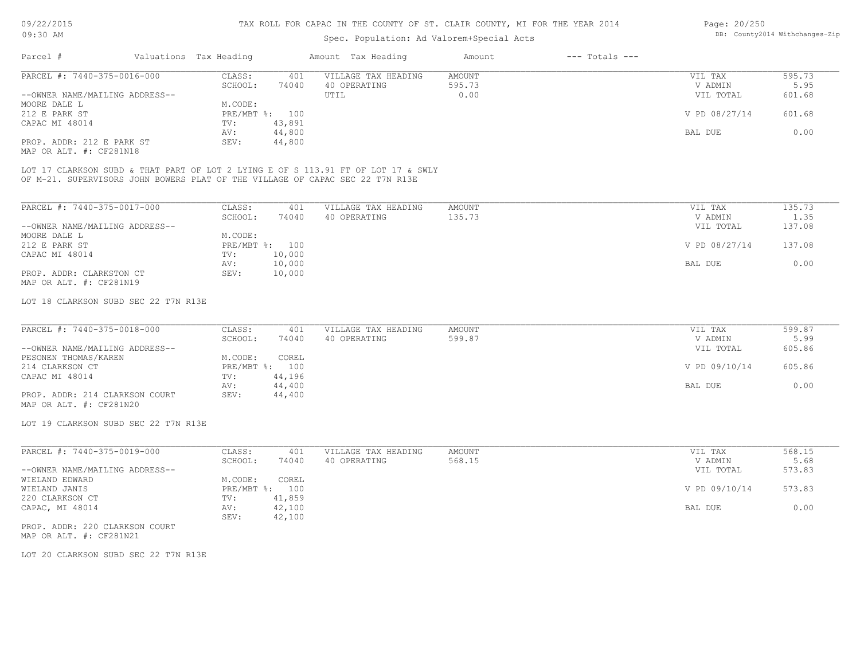## Spec. Population: Ad Valorem+Special Acts

| Page: 20/250 |                                |
|--------------|--------------------------------|
|              | DB: County2014 Withchanges-Zip |

| 595.73                  |
|-------------------------|
| 5.95                    |
| 601.68                  |
|                         |
| V PD 08/27/14<br>601.68 |
|                         |
| 0.00                    |
|                         |
|                         |

MAP OR ALT. #: CF281N18

OF M-21. SUPERVISORS JOHN BOWERS PLAT OF THE VILLAGE OF CAPAC SEC 22 T7N R13E LOT 17 CLARKSON SUBD & THAT PART OF LOT 2 LYING E OF S 113.91 FT OF LOT 17 & SWLY

| PARCEL #: 7440-375-0017-000    | CLASS:       | 401    | VILLAGE TAX HEADING | AMOUNT | 135.73<br>VIL TAX       |
|--------------------------------|--------------|--------|---------------------|--------|-------------------------|
|                                | SCHOOL:      | 74040  | 40 OPERATING        | 135.73 | 1.35<br>V ADMIN         |
| --OWNER NAME/MAILING ADDRESS-- |              |        |                     |        | 137.08<br>VIL TOTAL     |
| MOORE DALE L                   | M.CODE:      |        |                     |        |                         |
| 212 E PARK ST                  | $PRE/MBT$ %: | 100    |                     |        | V PD 08/27/14<br>137.08 |
| CAPAC MI 48014                 | TV:          | 10,000 |                     |        |                         |
|                                | AV:          | 10,000 |                     |        | 0.00<br>BAL DUE         |
| PROP. ADDR: CLARKSTON CT       | SEV:         | 10,000 |                     |        |                         |
| MAP OR ALT. #: CF281N19        |              |        |                     |        |                         |

LOT 18 CLARKSON SUBD SEC 22 T7N R13E

| PARCEL #: 7440-375-0018-000    | CLASS:  | 401            | VILLAGE TAX HEADING | AMOUNT | VIL TAX       | 599.87 |
|--------------------------------|---------|----------------|---------------------|--------|---------------|--------|
|                                | SCHOOL: | 74040          | 40 OPERATING        | 599.87 | V ADMIN       | 5.99   |
| --OWNER NAME/MAILING ADDRESS-- |         |                |                     |        | VIL TOTAL     | 605.86 |
| PESONEN THOMAS/KAREN           | M.CODE: | COREL          |                     |        |               |        |
| 214 CLARKSON CT                |         | PRE/MBT %: 100 |                     |        | V PD 09/10/14 | 605.86 |
| CAPAC MI 48014                 | TV:     | 44,196         |                     |        |               |        |
|                                | AV:     | 44,400         |                     |        | BAL DUE       | 0.00   |
| PROP. ADDR: 214 CLARKSON COURT | SEV:    | 44,400         |                     |        |               |        |
| MAP OR ALT. #: CF281N20        |         |                |                     |        |               |        |

LOT 19 CLARKSON SUBD SEC 22 T7N R13E

| PARCEL #: 7440-375-0019-000    | CLASS:     | 401    | VILLAGE TAX HEADING | AMOUNT | VIL TAX       | 568.15 |
|--------------------------------|------------|--------|---------------------|--------|---------------|--------|
|                                | SCHOOL:    | 74040  | 40 OPERATING        | 568.15 | V ADMIN       | 5.68   |
| --OWNER NAME/MAILING ADDRESS-- |            |        |                     |        | VIL TOTAL     | 573.83 |
| WIELAND EDWARD                 | M.CODE:    | COREL  |                     |        |               |        |
| WIELAND JANIS                  | PRE/MBT %: | 100    |                     |        | V PD 09/10/14 | 573.83 |
| 220 CLARKSON CT                | TV:        | 41,859 |                     |        |               |        |
| CAPAC, MI 48014                | AV:        | 42,100 |                     |        | BAL DUE       | 0.00   |
|                                | SEV:       | 42,100 |                     |        |               |        |

MAP OR ALT. #: CF281N21 PROP. ADDR: 220 CLARKSON COURT

LOT 20 CLARKSON SUBD SEC 22 T7N R13E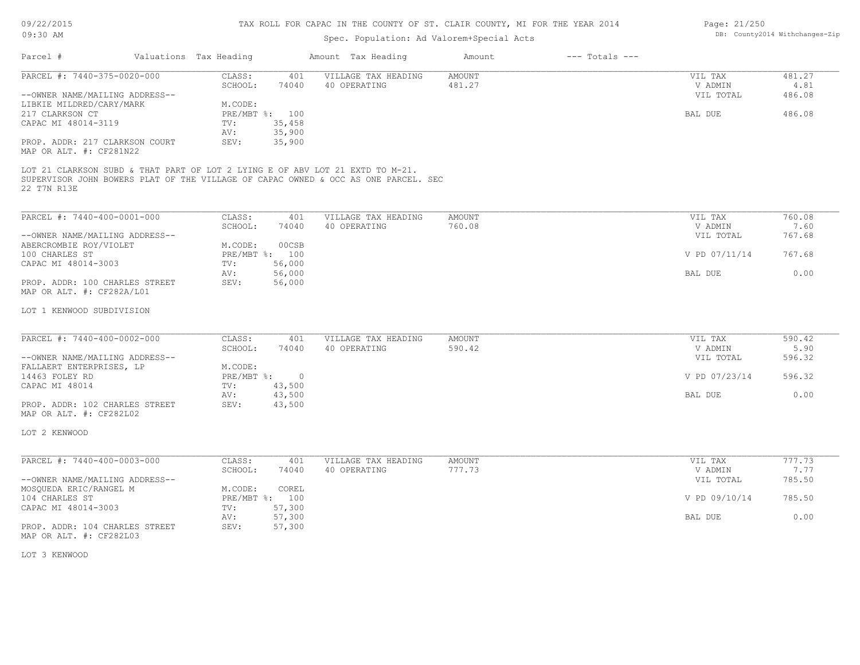### TAX ROLL FOR CAPAC IN THE COUNTY OF ST. CLAIR COUNTY, MI FOR THE YEAR 2014

# Spec. Population: Ad Valorem+Special Acts

| Page: 21/250 |                                |
|--------------|--------------------------------|
|              | DB: County2014 Withchanges-Zip |

| Parcel #                                                                                     | Valuations Tax Heading |                                 |                | Amount Tax Heading                                                                 | Amount           | $---$ Totals $---$ |                      |                |
|----------------------------------------------------------------------------------------------|------------------------|---------------------------------|----------------|------------------------------------------------------------------------------------|------------------|--------------------|----------------------|----------------|
| PARCEL #: 7440-375-0020-000                                                                  |                        | CLASS:<br>SCHOOL:               | 401<br>74040   | VILLAGE TAX HEADING<br>40 OPERATING                                                | AMOUNT<br>481.27 |                    | VIL TAX<br>V ADMIN   | 481.27<br>4.81 |
| --OWNER NAME/MAILING ADDRESS--<br>LIBKIE MILDRED/CARY/MARK                                   |                        |                                 |                |                                                                                    |                  |                    | VIL TOTAL            | 486.08         |
| 217 CLARKSON CT                                                                              |                        | M.CODE:<br>PRE/MBT %: 100       |                |                                                                                    |                  |                    | BAL DUE              | 486.08         |
| CAPAC MI 48014-3119                                                                          |                        | 35,458<br>TV:                   |                |                                                                                    |                  |                    |                      |                |
|                                                                                              |                        | 35,900<br>AV:                   |                |                                                                                    |                  |                    |                      |                |
| PROP. ADDR: 217 CLARKSON COURT<br>MAP OR ALT. #: CF281N22                                    |                        | 35,900<br>SEV:                  |                |                                                                                    |                  |                    |                      |                |
| LOT 21 CLARKSON SUBD & THAT PART OF LOT 2 LYING E OF ABV LOT 21 EXTD TO M-21.<br>22 T7N R13E |                        |                                 |                | SUPERVISOR JOHN BOWERS PLAT OF THE VILLAGE OF CAPAC OWNED & OCC AS ONE PARCEL. SEC |                  |                    |                      |                |
| PARCEL #: 7440-400-0001-000                                                                  |                        | CLASS:                          | 401            | VILLAGE TAX HEADING                                                                | <b>AMOUNT</b>    |                    | VIL TAX              | 760.08         |
|                                                                                              |                        | SCHOOL:                         | 74040          | 40 OPERATING                                                                       | 760.08           |                    | V ADMIN              | 7.60           |
| --OWNER NAME/MAILING ADDRESS--                                                               |                        |                                 |                |                                                                                    |                  |                    | VIL TOTAL            | 767.68         |
| ABERCROMBIE ROY/VIOLET                                                                       |                        | M.CODE:                         | 00CSB          |                                                                                    |                  |                    |                      |                |
| 100 CHARLES ST                                                                               |                        | PRE/MBT %: 100                  |                |                                                                                    |                  |                    | V PD 07/11/14        | 767.68         |
| CAPAC MI 48014-3003                                                                          |                        | 56,000<br>TV:<br>AV:<br>56,000  |                |                                                                                    |                  |                    | BAL DUE              | 0.00           |
| PROP. ADDR: 100 CHARLES STREET<br>MAP OR ALT. #: CF282A/L01                                  |                        | SEV:<br>56,000                  |                |                                                                                    |                  |                    |                      |                |
| LOT 1 KENWOOD SUBDIVISION                                                                    |                        |                                 |                |                                                                                    |                  |                    |                      |                |
|                                                                                              |                        |                                 |                |                                                                                    |                  |                    |                      |                |
| PARCEL #: 7440-400-0002-000                                                                  |                        | CLASS:                          | 401            | VILLAGE TAX HEADING                                                                | AMOUNT           |                    | VIL TAX              | 590.42         |
| --OWNER NAME/MAILING ADDRESS--                                                               |                        | SCHOOL:                         | 74040          | 40 OPERATING                                                                       | 590.42           |                    | V ADMIN<br>VIL TOTAL | 5.90<br>596.32 |
| FALLAERT ENTERPRISES, LP                                                                     |                        | M.CODE:                         |                |                                                                                    |                  |                    |                      |                |
| 14463 FOLEY RD                                                                               |                        | $PRE/MBT$ %:                    | $\overline{0}$ |                                                                                    |                  |                    | V PD 07/23/14        | 596.32         |
| CAPAC MI 48014                                                                               |                        | 43,500<br>TV:                   |                |                                                                                    |                  |                    |                      |                |
|                                                                                              |                        | 43,500<br>AV:                   |                |                                                                                    |                  |                    | BAL DUE              | 0.00           |
| PROP. ADDR: 102 CHARLES STREET<br>MAP OR ALT. #: CF282L02                                    |                        | SEV:<br>43,500                  |                |                                                                                    |                  |                    |                      |                |
| LOT 2 KENWOOD                                                                                |                        |                                 |                |                                                                                    |                  |                    |                      |                |
| PARCEL #: 7440-400-0003-000                                                                  |                        | CLASS:                          | 401            | VILLAGE TAX HEADING                                                                | <b>AMOUNT</b>    |                    | VIL TAX              | 777.73         |
|                                                                                              |                        | SCHOOL:                         | 74040          | 40 OPERATING                                                                       | 777.73           |                    | V ADMIN              | 7.77           |
| --OWNER NAME/MAILING ADDRESS--                                                               |                        |                                 |                |                                                                                    |                  |                    | VIL TOTAL            | 785.50         |
| MOSQUEDA ERIC/RANGEL M<br>104 CHARLES ST                                                     |                        | M.CODE:<br>PRE/MBT %: 100       | COREL          |                                                                                    |                  |                    | V PD 09/10/14        | 785.50         |
| CAPAC MI 48014-3003                                                                          |                        | 57,300<br>TV:                   |                |                                                                                    |                  |                    |                      |                |
| PROP. ADDR: 104 CHARLES STREET                                                               |                        | AV:<br>57,300<br>SEV:<br>57,300 |                |                                                                                    |                  |                    | BAL DUE              | 0.00           |
| MAP OR ALT. #: CF282L03                                                                      |                        |                                 |                |                                                                                    |                  |                    |                      |                |
| LOT 3 KENWOOD                                                                                |                        |                                 |                |                                                                                    |                  |                    |                      |                |
|                                                                                              |                        |                                 |                |                                                                                    |                  |                    |                      |                |
|                                                                                              |                        |                                 |                |                                                                                    |                  |                    |                      |                |
|                                                                                              |                        |                                 |                |                                                                                    |                  |                    |                      |                |
|                                                                                              |                        |                                 |                |                                                                                    |                  |                    |                      |                |
|                                                                                              |                        |                                 |                |                                                                                    |                  |                    |                      |                |
|                                                                                              |                        |                                 |                |                                                                                    |                  |                    |                      |                |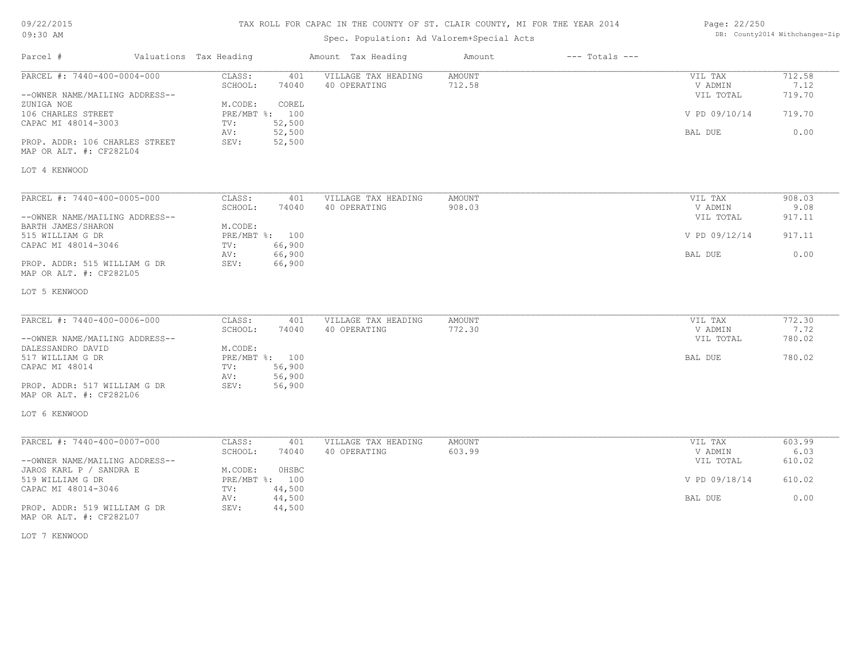# TAX ROLL FOR CAPAC IN THE COUNTY OF ST. CLAIR COUNTY, MI FOR THE YEAR 2014

# Spec. Population: Ad Valorem+Special Acts

| Page: 22/250 |                                |
|--------------|--------------------------------|
|              | DB: County2014 Withchanges-Zip |

| Parcel #                                                  | Valuations Tax Heading                              | Amount Tax Heading                         | Amount           | $---$ Totals $---$ |                    |                |
|-----------------------------------------------------------|-----------------------------------------------------|--------------------------------------------|------------------|--------------------|--------------------|----------------|
| PARCEL #: 7440-400-0004-000                               | CLASS:<br>SCHOOL:<br>74040                          | 401<br>VILLAGE TAX HEADING<br>40 OPERATING | AMOUNT<br>712.58 |                    | VIL TAX<br>V ADMIN | 712.58<br>7.12 |
| --OWNER NAME/MAILING ADDRESS--                            |                                                     |                                            |                  |                    | VIL TOTAL          | 719.70         |
| ZUNIGA NOE<br>106 CHARLES STREET<br>CAPAC MI 48014-3003   | M.CODE:<br>COREL<br>PRE/MBT %: 100<br>52,500<br>TV: |                                            |                  |                    | V PD 09/10/14      | 719.70         |
| PROP. ADDR: 106 CHARLES STREET<br>MAP OR ALT. #: CF282L04 | AV:<br>52,500<br>SEV:<br>52,500                     |                                            |                  |                    | BAL DUE            | 0.00           |
| LOT 4 KENWOOD                                             |                                                     |                                            |                  |                    |                    |                |
| PARCEL #: 7440-400-0005-000                               | CLASS:                                              | 401<br>VILLAGE TAX HEADING                 | AMOUNT           |                    | VIL TAX            | 908.03         |
|                                                           | SCHOOL:<br>74040                                    | 40 OPERATING                               | 908.03           |                    | V ADMIN            | 9.08           |
| --OWNER NAME/MAILING ADDRESS--<br>BARTH JAMES/SHARON      | M.CODE:                                             |                                            |                  |                    | VIL TOTAL          | 917.11         |
| 515 WILLIAM G DR                                          | PRE/MBT %: 100                                      |                                            |                  |                    | V PD 09/12/14      | 917.11         |
| CAPAC MI 48014-3046                                       | 66,900<br>TV:<br>66,900<br>AV:                      |                                            |                  |                    | BAL DUE            | 0.00           |
| PROP. ADDR: 515 WILLIAM G DR<br>MAP OR ALT. #: CF282L05   | SEV:<br>66,900                                      |                                            |                  |                    |                    |                |
| LOT 5 KENWOOD                                             |                                                     |                                            |                  |                    |                    |                |
| PARCEL #: 7440-400-0006-000                               | CLASS:                                              | VILLAGE TAX HEADING<br>401                 | AMOUNT           |                    | VIL TAX            | 772.30         |
|                                                           | SCHOOL:<br>74040                                    | 40 OPERATING                               | 772.30           |                    | V ADMIN            | 7.72           |
| --OWNER NAME/MAILING ADDRESS--                            |                                                     |                                            |                  |                    | VIL TOTAL          | 780.02         |
| DALESSANDRO DAVID                                         | M.CODE:                                             |                                            |                  |                    |                    |                |
| 517 WILLIAM G DR<br>CAPAC MI 48014                        | PRE/MBT %: 100<br>56,900<br>TV:                     |                                            |                  |                    | BAL DUE            | 780.02         |
|                                                           | 56,900<br>AV:                                       |                                            |                  |                    |                    |                |
| PROP. ADDR: 517 WILLIAM G DR<br>MAP OR ALT. #: CF282L06   | SEV:<br>56,900                                      |                                            |                  |                    |                    |                |
| LOT 6 KENWOOD                                             |                                                     |                                            |                  |                    |                    |                |
| PARCEL #: 7440-400-0007-000                               | CLASS:                                              | 401<br>VILLAGE TAX HEADING                 | <b>AMOUNT</b>    |                    | VIL TAX            | 603.99         |
|                                                           | SCHOOL:<br>74040                                    | 40 OPERATING                               | 603.99           |                    | V ADMIN            | 6.03           |
| --OWNER NAME/MAILING ADDRESS--                            |                                                     |                                            |                  |                    | VIL TOTAL          | 610.02         |
| JAROS KARL P / SANDRA E                                   | M.CODE:<br>OHSBC                                    |                                            |                  |                    |                    |                |
| 519 WILLIAM G DR                                          | PRE/MBT %: 100                                      |                                            |                  |                    | V PD 09/18/14      | 610.02         |
| CAPAC MI 48014-3046                                       | 44,500<br>TV:<br>44,500<br>AV:                      |                                            |                  |                    | BAL DUE            | 0.00           |
| PROP. ADDR: 519 WILLIAM G DR<br>MAP OR ALT. #: CF282L07   | SEV:<br>44,500                                      |                                            |                  |                    |                    |                |

LOT 7 KENWOOD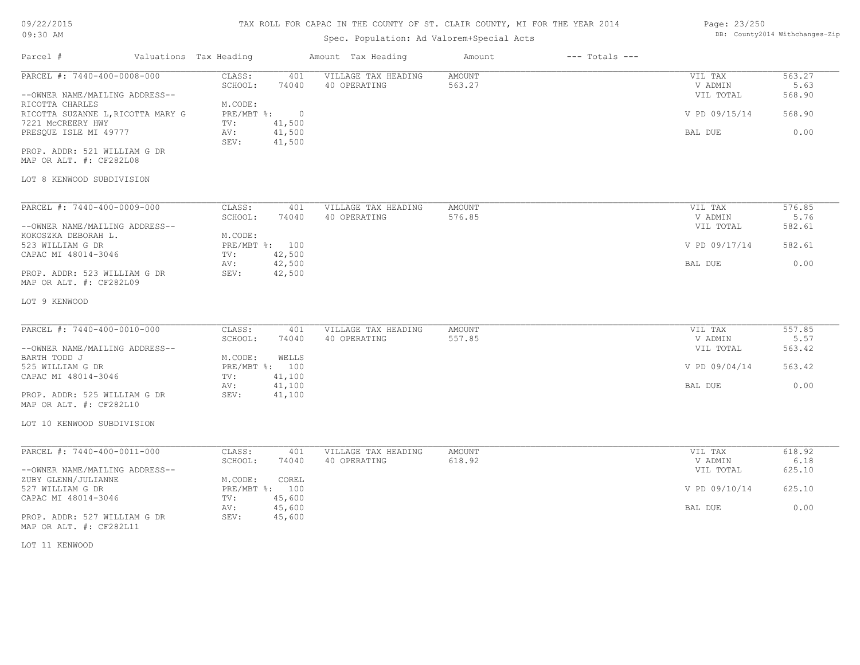# 09/22/2015

09:30 AM

### TAX ROLL FOR CAPAC IN THE COUNTY OF ST. CLAIR COUNTY, MI FOR THE YEAR 2014

# Spec. Population: Ad Valorem+Special Acts

### Page: 23/250 DB: County2014 Withchanges-Zip

| Parcel #                                                                                                                                                                                                                                                    | Valuations Tax Heading                                                                                                                          | Amount Tax Heading                  | $---$ Totals $---$<br>Amount |                                                             |                                            |
|-------------------------------------------------------------------------------------------------------------------------------------------------------------------------------------------------------------------------------------------------------------|-------------------------------------------------------------------------------------------------------------------------------------------------|-------------------------------------|------------------------------|-------------------------------------------------------------|--------------------------------------------|
| PARCEL #: 7440-400-0008-000<br>--OWNER NAME/MAILING ADDRESS--<br>RICOTTA CHARLES<br>RICOTTA SUZANNE L, RICOTTA MARY G<br>7221 MCCREERY HWY<br>PRESQUE ISLE MI 49777<br>PROP. ADDR: 521 WILLIAM G DR<br>MAP OR ALT. #: CF282L08<br>LOT 8 KENWOOD SUBDIVISION | CLASS:<br>401<br>SCHOOL:<br>74040<br>M.CODE:<br>$PRE/MBT$ $\frac{6}{3}$ :<br>$\overline{0}$<br>41,500<br>TV:<br>41,500<br>AV:<br>41,500<br>SEV: | VILLAGE TAX HEADING<br>40 OPERATING | AMOUNT<br>563.27             | VIL TAX<br>V ADMIN<br>VIL TOTAL<br>V PD 09/15/14<br>BAL DUE | 563.27<br>5.63<br>568.90<br>568.90<br>0.00 |
| PARCEL #: 7440-400-0009-000                                                                                                                                                                                                                                 | CLASS:<br>401                                                                                                                                   | VILLAGE TAX HEADING                 | AMOUNT                       | VIL TAX                                                     | 576.85                                     |
| --OWNER NAME/MAILING ADDRESS--                                                                                                                                                                                                                              | SCHOOL:<br>74040                                                                                                                                | 40 OPERATING                        | 576.85                       | V ADMIN<br>VIL TOTAL                                        | 5.76<br>582.61                             |
| KOKOSZKA DEBORAH L.<br>523 WILLIAM G DR<br>CAPAC MI 48014-3046                                                                                                                                                                                              | M.CODE:<br>PRE/MBT %: 100<br>42,500<br>TV:                                                                                                      |                                     |                              | V PD 09/17/14                                               | 582.61                                     |
| PROP. ADDR: 523 WILLIAM G DR<br>MAP OR ALT. #: CF282L09                                                                                                                                                                                                     | 42,500<br>AV:<br>SEV:<br>42,500                                                                                                                 |                                     |                              | BAL DUE                                                     | 0.00                                       |
| LOT 9 KENWOOD                                                                                                                                                                                                                                               |                                                                                                                                                 |                                     |                              |                                                             |                                            |
| PARCEL #: 7440-400-0010-000                                                                                                                                                                                                                                 | CLASS:<br>401<br>SCHOOL:<br>74040                                                                                                               | VILLAGE TAX HEADING<br>40 OPERATING | <b>AMOUNT</b><br>557.85      | VIL TAX<br>V ADMIN                                          | 557.85<br>5.57                             |
| --OWNER NAME/MAILING ADDRESS--<br>BARTH TODD J                                                                                                                                                                                                              | WELLS<br>M.CODE:                                                                                                                                |                                     |                              | VIL TOTAL                                                   | 563.42                                     |
| 525 WILLIAM G DR<br>CAPAC MI 48014-3046                                                                                                                                                                                                                     | PRE/MBT %: 100<br>TV:<br>41,100<br>41,100<br>AV:                                                                                                |                                     |                              | V PD 09/04/14<br>BAL DUE                                    | 563.42<br>0.00                             |
| PROP. ADDR: 525 WILLIAM G DR<br>MAP OR ALT. #: CF282L10                                                                                                                                                                                                     | 41,100<br>SEV:                                                                                                                                  |                                     |                              |                                                             |                                            |
| LOT 10 KENWOOD SUBDIVISION                                                                                                                                                                                                                                  |                                                                                                                                                 |                                     |                              |                                                             |                                            |
| PARCEL #: 7440-400-0011-000                                                                                                                                                                                                                                 | CLASS:<br>401<br>SCHOOL:<br>74040                                                                                                               | VILLAGE TAX HEADING<br>40 OPERATING | <b>AMOUNT</b><br>618.92      | VIL TAX<br>V ADMIN                                          | 618.92<br>6.18                             |
| --OWNER NAME/MAILING ADDRESS--<br>ZUBY GLENN/JULIANNE<br>527 WILLIAM G DR                                                                                                                                                                                   | M.CODE:<br>COREL<br>PRE/MBT %: 100                                                                                                              |                                     |                              | VIL TOTAL<br>V PD 09/10/14                                  | 625.10<br>625.10                           |
| CAPAC MI 48014-3046                                                                                                                                                                                                                                         | TV:<br>45,600<br>45,600<br>AV:                                                                                                                  |                                     |                              | BAL DUE                                                     | 0.00                                       |
| PROP. ADDR: 527 WILLIAM G DR<br>MAP OR ALT. #: CF282L11                                                                                                                                                                                                     | SEV:<br>45,600                                                                                                                                  |                                     |                              |                                                             |                                            |
|                                                                                                                                                                                                                                                             |                                                                                                                                                 |                                     |                              |                                                             |                                            |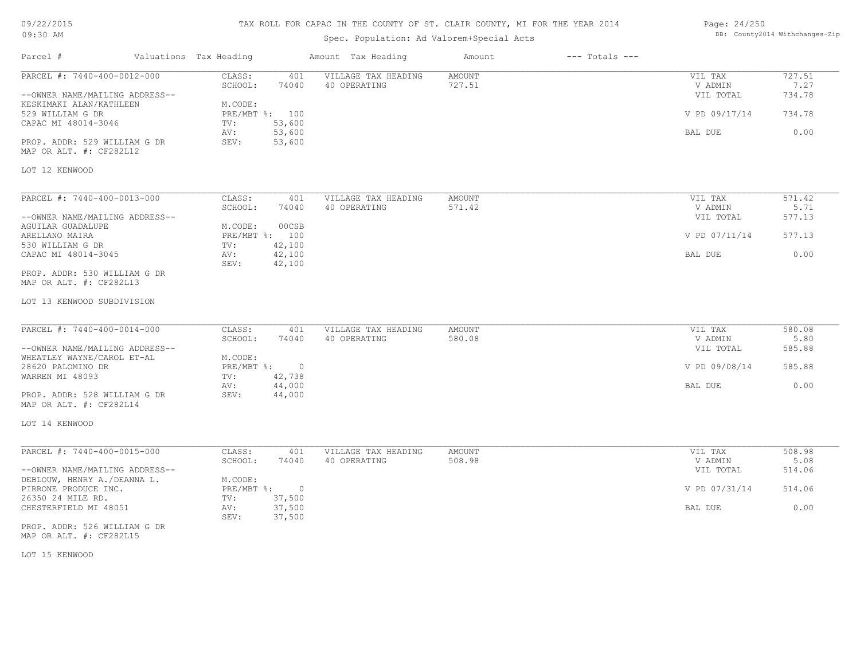## TAX ROLL FOR CAPAC IN THE COUNTY OF ST. CLAIR COUNTY, MI FOR THE YEAR 2014

# Spec. Population: Ad Valorem+Special Acts

| Page: 24/250 |                                |
|--------------|--------------------------------|
|              | DB: County2014 Withchanges-Zip |

| Parcel #                                                      | Valuations Tax Heading |                                  |                  | Amount Tax Heading                  | Amount                  | $---$ Totals $---$ |                            |                          |
|---------------------------------------------------------------|------------------------|----------------------------------|------------------|-------------------------------------|-------------------------|--------------------|----------------------------|--------------------------|
| PARCEL #: 7440-400-0012-000<br>--OWNER NAME/MAILING ADDRESS-- |                        | CLASS:<br>SCHOOL:                | 401<br>74040     | VILLAGE TAX HEADING<br>40 OPERATING | <b>AMOUNT</b><br>727.51 |                    | VIL TAX<br>V ADMIN         | 727.51<br>7.27<br>734.78 |
| KESKIMAKI ALAN/KATHLEEN<br>529 WILLIAM G DR                   |                        | M.CODE:<br>PRE/MBT %: 100        |                  |                                     |                         |                    | VIL TOTAL<br>V PD 09/17/14 | 734.78                   |
| CAPAC MI 48014-3046                                           |                        | TV:<br>AV:                       | 53,600<br>53,600 |                                     |                         |                    | BAL DUE                    | 0.00                     |
| PROP. ADDR: 529 WILLIAM G DR<br>MAP OR ALT. #: CF282L12       |                        | SEV:                             | 53,600           |                                     |                         |                    |                            |                          |
| LOT 12 KENWOOD                                                |                        |                                  |                  |                                     |                         |                    |                            |                          |
| PARCEL #: 7440-400-0013-000                                   |                        | CLASS:                           | 401              | VILLAGE TAX HEADING                 | AMOUNT                  |                    | VIL TAX                    | 571.42                   |
| --OWNER NAME/MAILING ADDRESS--                                |                        | SCHOOL:                          | 74040            | 40 OPERATING                        | 571.42                  |                    | V ADMIN<br>VIL TOTAL       | 5.71<br>577.13           |
| AGUILAR GUADALUPE<br>ARELLANO MAIRA<br>530 WILLIAM G DR       |                        | M.CODE:<br>PRE/MBT %: 100<br>TV: | 00CSB<br>42,100  |                                     |                         |                    | V PD 07/11/14              | 577.13                   |
| CAPAC MI 48014-3045                                           |                        | AV:<br>SEV:                      | 42,100<br>42,100 |                                     |                         |                    | BAL DUE                    | 0.00                     |
| PROP. ADDR: 530 WILLIAM G DR<br>MAP OR ALT. #: CF282L13       |                        |                                  |                  |                                     |                         |                    |                            |                          |
| LOT 13 KENWOOD SUBDIVISION                                    |                        |                                  |                  |                                     |                         |                    |                            |                          |
| PARCEL #: 7440-400-0014-000                                   |                        | CLASS:                           | 401              | VILLAGE TAX HEADING                 | AMOUNT                  |                    | VIL TAX                    | 580.08                   |
|                                                               |                        | SCHOOL:                          | 74040            | 40 OPERATING                        | 580.08                  |                    | V ADMIN                    | 5.80                     |
| --OWNER NAME/MAILING ADDRESS--<br>WHEATLEY WAYNE/CAROL ET-AL  |                        | M.CODE:                          |                  |                                     |                         |                    | VIL TOTAL                  | 585.88                   |
| 28620 PALOMINO DR<br>WARREN MI 48093                          |                        | PRE/MBT %: 0<br>TV:              | 42,738           |                                     |                         |                    | V PD 09/08/14              | 585.88                   |
| PROP. ADDR: 528 WILLIAM G DR                                  |                        | AV:<br>SEV:                      | 44,000<br>44,000 |                                     |                         |                    | BAL DUE                    | 0.00                     |
| MAP OR ALT. #: CF282L14                                       |                        |                                  |                  |                                     |                         |                    |                            |                          |
| LOT 14 KENWOOD                                                |                        |                                  |                  |                                     |                         |                    |                            |                          |
| PARCEL #: 7440-400-0015-000                                   |                        | CLASS:                           | 401              | VILLAGE TAX HEADING                 | <b>AMOUNT</b>           |                    | VIL TAX                    | 508.98                   |
|                                                               |                        | SCHOOL:                          | 74040            | 40 OPERATING                        | 508.98                  |                    | V ADMIN                    | 5.08                     |
| --OWNER NAME/MAILING ADDRESS--<br>DEBLOUW, HENRY A./DEANNA L. |                        | M.CODE:                          |                  |                                     |                         |                    | VIL TOTAL                  | 514.06                   |
| PIRRONE PRODUCE INC.<br>26350 24 MILE RD.                     |                        | PRE/MBT %: 0<br>TV:              | 37,500           |                                     |                         |                    | V PD 07/31/14              | 514.06                   |
| CHESTERFIELD MI 48051                                         |                        | AV:<br>SEV:                      | 37,500<br>37,500 |                                     |                         |                    | BAL DUE                    | 0.00                     |
| PROP. ADDR: 526 WILLIAM G DR<br>MAP OR ALT. #: CF282L15       |                        |                                  |                  |                                     |                         |                    |                            |                          |

LOT 15 KENWOOD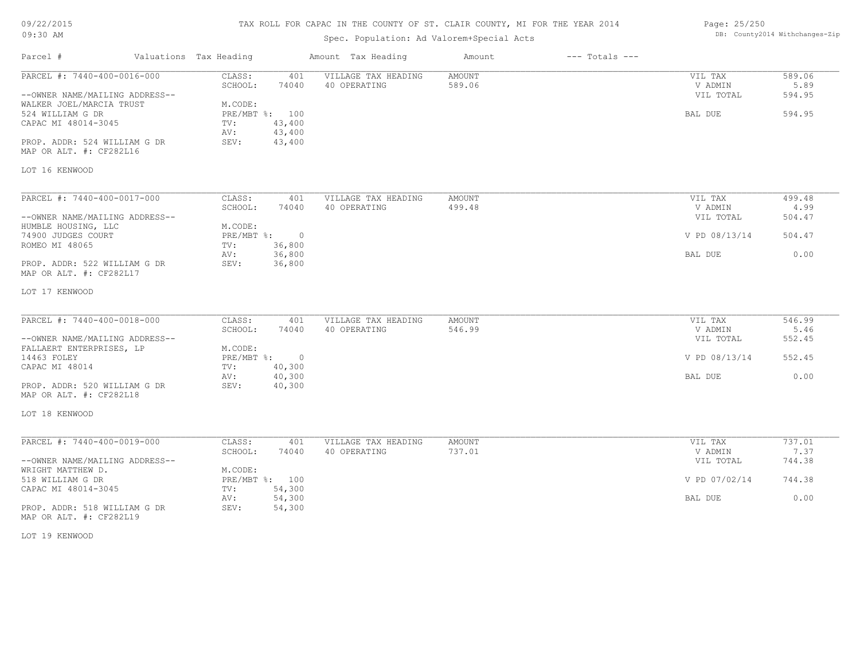### TAX ROLL FOR CAPAC IN THE COUNTY OF ST. CLAIR COUNTY, MI FOR THE YEAR 2014

| 09/22/2015                     |                        |                | TAX ROLL FOR CAPAC IN THE COUNTY OF ST. CLAIR COUNTY, MI FOR THE YEAR 2014 | Page: 25/250  |                    |               |        |
|--------------------------------|------------------------|----------------|----------------------------------------------------------------------------|---------------|--------------------|---------------|--------|
| 09:30 AM                       |                        |                | DB: County2014 Withchanges-Zip                                             |               |                    |               |        |
| Parcel #                       | Valuations Tax Heading |                | Amount Tax Heading                                                         | Amount        | $---$ Totals $---$ |               |        |
| PARCEL #: 7440-400-0016-000    | CLASS:                 | 401            | VILLAGE TAX HEADING                                                        | <b>AMOUNT</b> |                    | VIL TAX       | 589.06 |
|                                | SCHOOL:                | 74040          | 40 OPERATING                                                               | 589.06        |                    | V ADMIN       | 5.89   |
| --OWNER NAME/MAILING ADDRESS-- |                        |                |                                                                            |               |                    | VIL TOTAL     | 594.95 |
| WALKER JOEL/MARCIA TRUST       | M.CODE:                |                |                                                                            |               |                    |               |        |
| 524 WILLIAM G DR               |                        | PRE/MBT %: 100 |                                                                            |               |                    | BAL DUE       | 594.95 |
| CAPAC MI 48014-3045            | TV:                    | 43,400         |                                                                            |               |                    |               |        |
|                                | AV:                    | 43,400         |                                                                            |               |                    |               |        |
| PROP. ADDR: 524 WILLIAM G DR   | SEV:                   | 43,400         |                                                                            |               |                    |               |        |
| MAP OR ALT. #: CF282L16        |                        |                |                                                                            |               |                    |               |        |
| LOT 16 KENWOOD                 |                        |                |                                                                            |               |                    |               |        |
|                                |                        |                |                                                                            |               |                    |               |        |
| PARCEL #: 7440-400-0017-000    | CLASS:                 | 401            | VILLAGE TAX HEADING                                                        | AMOUNT        |                    | VIL TAX       | 499.48 |
|                                | SCHOOL:                | 74040          | 40 OPERATING                                                               | 499.48        |                    | V ADMIN       | 4.99   |
| --OWNER NAME/MAILING ADDRESS-- |                        |                |                                                                            |               |                    | VIL TOTAL     | 504.47 |
| HUMBLE HOUSING, LLC            | M.CODE:                |                |                                                                            |               |                    |               |        |
| 74900 JUDGES COURT             | PRE/MBT %:             | $\overline{0}$ |                                                                            |               |                    | V PD 08/13/14 | 504.47 |
| ROMEO MI 48065                 | TV:                    | 36,800         |                                                                            |               |                    |               |        |
|                                | AV:                    | 36,800         |                                                                            |               |                    | BAL DUE       | 0.00   |
| PROP. ADDR: 522 WILLIAM G DR   | SEV:                   | 36,800         |                                                                            |               |                    |               |        |
| MAP OR ALT. #: CF282L17        |                        |                |                                                                            |               |                    |               |        |
| LOT 17 KENWOOD                 |                        |                |                                                                            |               |                    |               |        |
|                                |                        |                |                                                                            |               |                    |               |        |
| PARCEL #: 7440-400-0018-000    | CLASS:                 | 401            | VILLAGE TAX HEADING                                                        | AMOUNT        |                    | VIL TAX       | 546.99 |
|                                | SCHOOL:                | 74040          | 40 OPERATING                                                               | 546.99        |                    | V ADMIN       | 5.46   |
| --OWNER NAME/MAILING ADDRESS-- |                        |                |                                                                            |               |                    | VIL TOTAL     | 552.45 |
| FALLAERT ENTERPRISES, LP       | M.CODE:                |                |                                                                            |               |                    |               |        |
|                                |                        |                |                                                                            |               |                    |               |        |

|                                | -------    | .      | ------------- | ------- | .             | $- - - -$ |
|--------------------------------|------------|--------|---------------|---------|---------------|-----------|
| --OWNER NAME/MAILING ADDRESS-- |            |        |               |         | VIL TOTAL     | 552.45    |
| FALLAERT ENTERPRISES, LP       | M.CODE:    |        |               |         |               |           |
| 14463 FOLEY                    | PRE/MBT %: | - 0    |               |         | V PD 08/13/14 | 552.45    |
| CAPAC MI 48014                 | TV:        | 40,300 |               |         |               |           |
|                                | AV:        | 40,300 |               |         | BAL DUE       | 0.00      |
| PROP. ADDR: 520 WILLIAM G DR   | SEV:       | 40,300 |               |         |               |           |
| MAP OR ALT. #: CF282L18        |            |        |               |         |               |           |

LOT 18 KENWOOD

| PARCEL #: 7440-400-0019-000    | CLASS:       | 401    | VILLAGE TAX HEADING | AMOUNT | VIL TAX       | 737.01 |
|--------------------------------|--------------|--------|---------------------|--------|---------------|--------|
|                                | SCHOOL:      | 74040  | 40 OPERATING        | 737.01 | V ADMIN       | 7.37   |
| --OWNER NAME/MAILING ADDRESS-- |              |        |                     |        | VIL TOTAL     | 744.38 |
| WRIGHT MATTHEW D.              | M.CODE:      |        |                     |        |               |        |
| 518 WILLIAM G DR               | $PRE/MBT$ %: | 100    |                     |        | V PD 07/02/14 | 744.38 |
| CAPAC MI 48014-3045            | TV:          | 54,300 |                     |        |               |        |
|                                | AV:          | 54,300 |                     |        | BAL DUE       | 0.00   |
| PROP. ADDR: 518 WILLIAM G DR   | SEV:         | 54,300 |                     |        |               |        |

MAP OR ALT. #: CF282L19

LOT 19 KENWOOD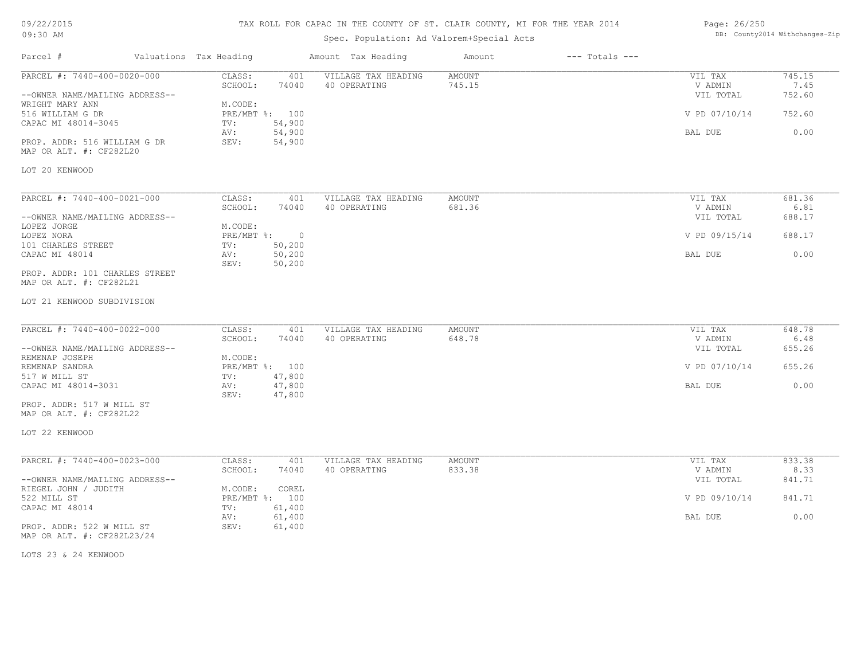## TAX ROLL FOR CAPAC IN THE COUNTY OF ST. CLAIR COUNTY, MI FOR THE YEAR 2014

# Spec. Population: Ad Valorem+Special Acts

| Page: 26/250 |                                |
|--------------|--------------------------------|
|              | DB: County2014 Withchanges-Zip |

| CLASS:<br>VILLAGE TAX HEADING<br><b>AMOUNT</b><br>745.15<br>401<br>VIL TAX<br>745.15<br>SCHOOL:<br>74040<br>40 OPERATING<br>7.45<br>V ADMIN<br>VIL TOTAL<br>752.60<br>M.CODE:<br>V PD 07/10/14<br>752.60<br>PRE/MBT %: 100<br>54,900<br>TV:<br>0.00<br>54,900<br>AV:<br>BAL DUE<br>SEV:<br>54,900<br>MAP OR ALT. #: CF282L20<br>CLASS:<br>401<br>VILLAGE TAX HEADING<br><b>AMOUNT</b><br>681.36<br>VIL TAX<br>SCHOOL:<br>74040<br>40 OPERATING<br>681.36<br>V ADMIN<br>6.81<br>688.17<br>VIL TOTAL<br>M.CODE:<br>$\overline{\phantom{0}}$<br>PRE/MBT %:<br>V PD 09/15/14<br>688.17<br>50,200<br>TV:<br>50,200<br>0.00<br>AV:<br>BAL DUE<br>50,200<br>SEV:<br>PROP. ADDR: 101 CHARLES STREET<br>648.78<br>CLASS:<br>VILLAGE TAX HEADING<br>401<br>AMOUNT<br>VIL TAX<br>SCHOOL:<br>648.78<br>6.48<br>74040<br>40 OPERATING<br>V ADMIN<br>655.26<br>VIL TOTAL<br>M.CODE:<br>PRE/MBT %: 100<br>V PD 07/10/14<br>655.26<br>47,800<br>TV:<br>47,800<br>0.00<br>BAL DUE<br>AV:<br>47,800<br>SEV:<br>LOT 22 KENWOOD<br>PARCEL #: 7440-400-0023-000<br>CLASS:<br>VILLAGE TAX HEADING<br><b>AMOUNT</b><br>833.38<br>401<br>VIL TAX<br>SCHOOL:<br>74040<br>40 OPERATING<br>833.38<br>V ADMIN<br>8.33<br>841.71<br>VIL TOTAL<br>RIEGEL JOHN / JUDITH<br>M.CODE:<br>COREL<br>PRE/MBT %: 100<br>V PD 09/10/14<br>841.71<br>61,400<br>TV:<br>61,400<br>0.00<br>AV:<br>BAL DUE<br>SEV:<br>61,400 | Parcel #                                                                                                                                                    | Valuations Tax Heading | Amount Tax Heading | Amount | $---$ Totals $---$ |  |
|----------------------------------------------------------------------------------------------------------------------------------------------------------------------------------------------------------------------------------------------------------------------------------------------------------------------------------------------------------------------------------------------------------------------------------------------------------------------------------------------------------------------------------------------------------------------------------------------------------------------------------------------------------------------------------------------------------------------------------------------------------------------------------------------------------------------------------------------------------------------------------------------------------------------------------------------------------------------------------------------------------------------------------------------------------------------------------------------------------------------------------------------------------------------------------------------------------------------------------------------------------------------------------------------------------------------------------------------------------------------------------|-------------------------------------------------------------------------------------------------------------------------------------------------------------|------------------------|--------------------|--------|--------------------|--|
|                                                                                                                                                                                                                                                                                                                                                                                                                                                                                                                                                                                                                                                                                                                                                                                                                                                                                                                                                                                                                                                                                                                                                                                                                                                                                                                                                                                  | PARCEL #: 7440-400-0020-000<br>--OWNER NAME/MAILING ADDRESS--<br>WRIGHT MARY ANN<br>516 WILLIAM G DR<br>CAPAC MI 48014-3045<br>PROP. ADDR: 516 WILLIAM G DR |                        |                    |        |                    |  |
|                                                                                                                                                                                                                                                                                                                                                                                                                                                                                                                                                                                                                                                                                                                                                                                                                                                                                                                                                                                                                                                                                                                                                                                                                                                                                                                                                                                  | LOT 20 KENWOOD                                                                                                                                              |                        |                    |        |                    |  |
|                                                                                                                                                                                                                                                                                                                                                                                                                                                                                                                                                                                                                                                                                                                                                                                                                                                                                                                                                                                                                                                                                                                                                                                                                                                                                                                                                                                  | PARCEL #: 7440-400-0021-000<br>--OWNER NAME/MAILING ADDRESS--<br>LOPEZ JORGE                                                                                |                        |                    |        |                    |  |
|                                                                                                                                                                                                                                                                                                                                                                                                                                                                                                                                                                                                                                                                                                                                                                                                                                                                                                                                                                                                                                                                                                                                                                                                                                                                                                                                                                                  | LOPEZ NORA<br>101 CHARLES STREET<br>CAPAC MI 48014                                                                                                          |                        |                    |        |                    |  |
|                                                                                                                                                                                                                                                                                                                                                                                                                                                                                                                                                                                                                                                                                                                                                                                                                                                                                                                                                                                                                                                                                                                                                                                                                                                                                                                                                                                  | MAP OR ALT. #: CF282L21<br>LOT 21 KENWOOD SUBDIVISION                                                                                                       |                        |                    |        |                    |  |
|                                                                                                                                                                                                                                                                                                                                                                                                                                                                                                                                                                                                                                                                                                                                                                                                                                                                                                                                                                                                                                                                                                                                                                                                                                                                                                                                                                                  | PARCEL #: 7440-400-0022-000<br>--OWNER NAME/MAILING ADDRESS--<br>REMENAP JOSEPH                                                                             |                        |                    |        |                    |  |
|                                                                                                                                                                                                                                                                                                                                                                                                                                                                                                                                                                                                                                                                                                                                                                                                                                                                                                                                                                                                                                                                                                                                                                                                                                                                                                                                                                                  | REMENAP SANDRA<br>517 W MILL ST<br>CAPAC MI 48014-3031                                                                                                      |                        |                    |        |                    |  |
|                                                                                                                                                                                                                                                                                                                                                                                                                                                                                                                                                                                                                                                                                                                                                                                                                                                                                                                                                                                                                                                                                                                                                                                                                                                                                                                                                                                  | PROP. ADDR: 517 W MILL ST<br>MAP OR ALT. #: CF282L22                                                                                                        |                        |                    |        |                    |  |
|                                                                                                                                                                                                                                                                                                                                                                                                                                                                                                                                                                                                                                                                                                                                                                                                                                                                                                                                                                                                                                                                                                                                                                                                                                                                                                                                                                                  |                                                                                                                                                             |                        |                    |        |                    |  |
|                                                                                                                                                                                                                                                                                                                                                                                                                                                                                                                                                                                                                                                                                                                                                                                                                                                                                                                                                                                                                                                                                                                                                                                                                                                                                                                                                                                  | --OWNER NAME/MAILING ADDRESS--                                                                                                                              |                        |                    |        |                    |  |
|                                                                                                                                                                                                                                                                                                                                                                                                                                                                                                                                                                                                                                                                                                                                                                                                                                                                                                                                                                                                                                                                                                                                                                                                                                                                                                                                                                                  | 522 MILL ST<br>CAPAC MI 48014                                                                                                                               |                        |                    |        |                    |  |
|                                                                                                                                                                                                                                                                                                                                                                                                                                                                                                                                                                                                                                                                                                                                                                                                                                                                                                                                                                                                                                                                                                                                                                                                                                                                                                                                                                                  | PROP. ADDR: 522 W MILL ST<br>MAP OR ALT. #: CF282L23/24                                                                                                     |                        |                    |        |                    |  |

LOTS 23 & 24 KENWOOD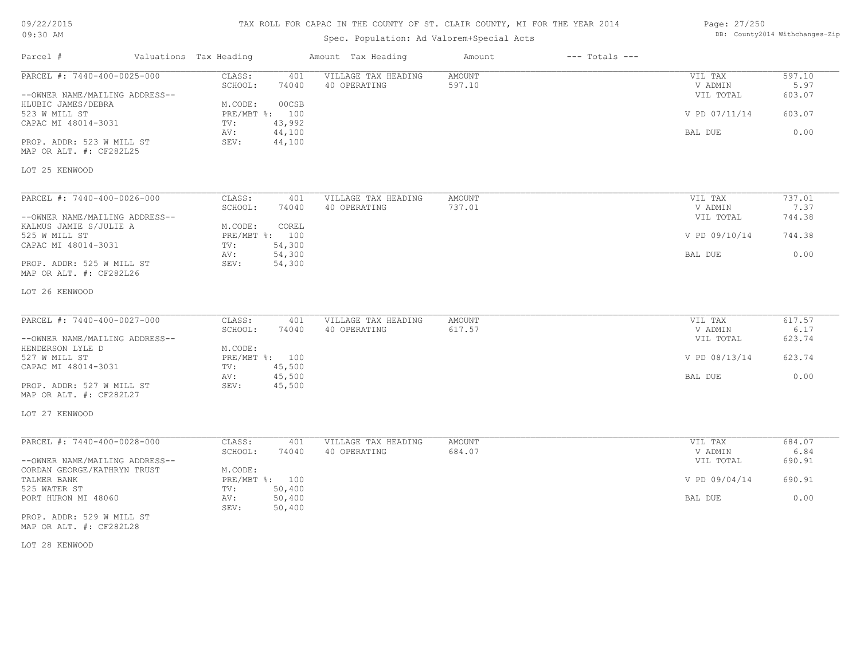### TAX ROLL FOR CAPAC IN THE COUNTY OF ST. CLAIR COUNTY, MI FOR THE YEAR 2014

# Spec. Population: Ad Valorem+Special Acts

| Page: 27/250 |                                |
|--------------|--------------------------------|
|              | DB: County2014 Withchanges-Zip |

| Parcel #                                             | Valuations Tax Heading |                          | Amount Tax Heading                  | Amount           | $---$ Totals $---$ |                    |                |
|------------------------------------------------------|------------------------|--------------------------|-------------------------------------|------------------|--------------------|--------------------|----------------|
| PARCEL #: 7440-400-0025-000                          | CLASS:                 | 401                      | VILLAGE TAX HEADING                 | AMOUNT           |                    | VIL TAX            | 597.10         |
|                                                      | SCHOOL:                | 74040                    | 40 OPERATING                        | 597.10           |                    | V ADMIN            | 5.97           |
| --OWNER NAME/MAILING ADDRESS--<br>HLUBIC JAMES/DEBRA | M.CODE:                | 00CSB                    |                                     |                  |                    | VIL TOTAL          | 603.07         |
| 523 W MILL ST<br>CAPAC MI 48014-3031                 | TV:                    | PRE/MBT %: 100<br>43,992 |                                     |                  |                    | V PD 07/11/14      | 603.07         |
|                                                      | AV:                    | 44,100                   |                                     |                  |                    | BAL DUE            | 0.00           |
| PROP. ADDR: 523 W MILL ST<br>MAP OR ALT. #: CF282L25 | SEV:                   | 44,100                   |                                     |                  |                    |                    |                |
| LOT 25 KENWOOD                                       |                        |                          |                                     |                  |                    |                    |                |
|                                                      |                        |                          |                                     |                  |                    |                    |                |
| PARCEL #: 7440-400-0026-000                          | CLASS:<br>SCHOOL:      | 401<br>74040             | VILLAGE TAX HEADING<br>40 OPERATING | AMOUNT<br>737.01 |                    | VIL TAX<br>V ADMIN | 737.01<br>7.37 |
| --OWNER NAME/MAILING ADDRESS--                       |                        |                          |                                     |                  |                    | VIL TOTAL          | 744.38         |
| KALMUS JAMIE S/JULIE A                               | M.CODE:                | COREL                    |                                     |                  |                    |                    |                |
| 525 W MILL ST                                        |                        | PRE/MBT %: 100           |                                     |                  |                    | V PD 09/10/14      | 744.38         |
| CAPAC MI 48014-3031                                  | TV:                    | 54,300                   |                                     |                  |                    |                    |                |
|                                                      | AV:                    | 54,300                   |                                     |                  |                    | BAL DUE            | 0.00           |
| PROP. ADDR: 525 W MILL ST<br>MAP OR ALT. #: CF282L26 | SEV:                   | 54,300                   |                                     |                  |                    |                    |                |
| LOT 26 KENWOOD                                       |                        |                          |                                     |                  |                    |                    |                |
|                                                      |                        |                          |                                     |                  |                    |                    |                |
| PARCEL #: 7440-400-0027-000                          | CLASS:<br>SCHOOL:      | 401<br>74040             | VILLAGE TAX HEADING<br>40 OPERATING | AMOUNT<br>617.57 |                    | VIL TAX<br>V ADMIN | 617.57<br>6.17 |
| --OWNER NAME/MAILING ADDRESS--                       |                        |                          |                                     |                  |                    | VIL TOTAL          | 623.74         |
| HENDERSON LYLE D                                     | M.CODE:                |                          |                                     |                  |                    |                    |                |
| 527 W MILL ST                                        |                        | PRE/MBT %: 100           |                                     |                  |                    | V PD 08/13/14      | 623.74         |
| CAPAC MI 48014-3031                                  | TV:                    | 45,500                   |                                     |                  |                    |                    |                |
|                                                      | AV:                    | 45,500                   |                                     |                  |                    | BAL DUE            | 0.00           |
| PROP. ADDR: 527 W MILL ST<br>MAP OR ALT. #: CF282L27 | SEV:                   | 45,500                   |                                     |                  |                    |                    |                |
| LOT 27 KENWOOD                                       |                        |                          |                                     |                  |                    |                    |                |
|                                                      |                        |                          |                                     |                  |                    |                    |                |
| PARCEL #: 7440-400-0028-000                          | CLASS:<br>SCHOOL:      | 401<br>74040             | VILLAGE TAX HEADING<br>40 OPERATING | AMOUNT<br>684.07 |                    | VIL TAX<br>V ADMIN | 684.07<br>6.84 |
| --OWNER NAME/MAILING ADDRESS--                       |                        |                          |                                     |                  |                    | VIL TOTAL          | 690.91         |
| CORDAN GEORGE/KATHRYN TRUST                          | M.CODE:                |                          |                                     |                  |                    |                    |                |
| TALMER BANK                                          |                        | PRE/MBT %: 100           |                                     |                  |                    | V PD 09/04/14      | 690.91         |
| 525 WATER ST                                         | TV:                    | 50,400                   |                                     |                  |                    |                    |                |
| PORT HURON MI 48060                                  | AV:<br>SEV:            | 50,400<br>50,400         |                                     |                  |                    | BAL DUE            | 0.00           |
| PROP. ADDR: 529 W MILL ST<br>MAP OR ALT. #: CF282L28 |                        |                          |                                     |                  |                    |                    |                |

LOT 28 KENWOOD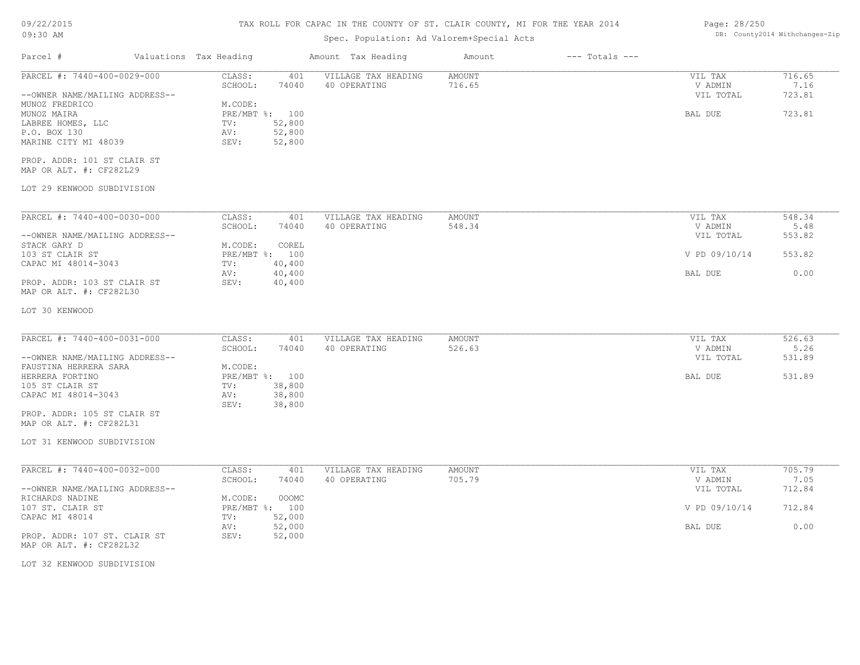## TAX ROLL FOR CAPAC IN THE COUNTY OF ST. CLAIR COUNTY, MI FOR THE YEAR 2014

## Spec. Population: Ad Valorem+Special Acts

| Parcel #                                                                        | Valuations Tax Heading               |                            | Amount Tax Heading                  | Amount                  | $---$ Totals $---$ |                                 |                          |
|---------------------------------------------------------------------------------|--------------------------------------|----------------------------|-------------------------------------|-------------------------|--------------------|---------------------------------|--------------------------|
| PARCEL #: 7440-400-0029-000<br>--OWNER NAME/MAILING ADDRESS--<br>MUNOZ FREDRICO | CLASS:<br>SCHOOL:<br>M.CODE:         | 401<br>74040               | VILLAGE TAX HEADING<br>40 OPERATING | <b>AMOUNT</b><br>716.65 |                    | VIL TAX<br>V ADMIN<br>VIL TOTAL | 716.65<br>7.16<br>723.81 |
| MUNOZ MAIRA<br>LABREE HOMES, LLC<br>P.O. BOX 130                                | PRE/MBT %: 100<br>TV:<br>AV:<br>SEV: | 52,800<br>52,800           |                                     |                         |                    | BAL DUE                         | 723.81                   |
| MARINE CITY MI 48039<br>PROP. ADDR: 101 ST CLAIR ST                             |                                      | 52,800                     |                                     |                         |                    |                                 |                          |
| MAP OR ALT. #: CF282L29                                                         |                                      |                            |                                     |                         |                    |                                 |                          |
| LOT 29 KENWOOD SUBDIVISION                                                      |                                      |                            |                                     |                         |                    |                                 |                          |
| PARCEL #: 7440-400-0030-000                                                     | CLASS:                               | 401                        | VILLAGE TAX HEADING                 | <b>AMOUNT</b>           |                    | VIL TAX                         | 548.34                   |
| --OWNER NAME/MAILING ADDRESS--                                                  | SCHOOL:                              | 74040                      | 40 OPERATING                        | 548.34                  |                    | V ADMIN<br>VIL TOTAL            | 5.48<br>553.82           |
| STACK GARY D<br>103 ST CLAIR ST<br>CAPAC MI 48014-3043                          | M.CODE:<br>PRE/MBT %: 100            | COREL<br>40,400            |                                     |                         |                    | V PD 09/10/14                   | 553.82                   |
| PROP. ADDR: 103 ST CLAIR ST                                                     | TV:<br>AV:<br>SEV:                   | 40,400<br>40,400           |                                     |                         |                    | BAL DUE                         | 0.00                     |
| MAP OR ALT. #: CF282L30                                                         |                                      |                            |                                     |                         |                    |                                 |                          |
| LOT 30 KENWOOD                                                                  |                                      |                            |                                     |                         |                    |                                 |                          |
| PARCEL #: 7440-400-0031-000                                                     | CLASS:<br>SCHOOL:                    | 401<br>74040               | VILLAGE TAX HEADING<br>40 OPERATING | AMOUNT<br>526.63        |                    | VIL TAX<br>V ADMIN              | 526.63<br>5.26           |
| --OWNER NAME/MAILING ADDRESS--<br>FAUSTINA HERRERA SARA                         | M.CODE:                              |                            |                                     |                         |                    | VIL TOTAL                       | 531.89                   |
| HERRERA FORTINO                                                                 | PRE/MBT %: 100                       |                            |                                     |                         |                    | BAL DUE                         | 531.89                   |
| 105 ST CLAIR ST<br>CAPAC MI 48014-3043                                          | TV:<br>AV:<br>SEV:                   | 38,800<br>38,800<br>38,800 |                                     |                         |                    |                                 |                          |
| PROP. ADDR: 105 ST CLAIR ST<br>MAP OR ALT. #: CF282L31                          |                                      |                            |                                     |                         |                    |                                 |                          |
| LOT 31 KENWOOD SUBDIVISION                                                      |                                      |                            |                                     |                         |                    |                                 |                          |
| PARCEL #: 7440-400-0032-000                                                     | CLASS:                               | 401                        | VILLAGE TAX HEADING                 | AMOUNT                  |                    | VIL TAX                         | 705.79                   |
| --OWNER NAME/MAILING ADDRESS--                                                  | SCHOOL:                              | 74040                      | 40 OPERATING                        | 705.79                  |                    | V ADMIN<br>VIL TOTAL            | 7.05<br>712.84           |
| RICHARDS NADINE<br>107 ST. CLAIR ST<br>CAPAC MI 48014                           | M.CODE:<br>PRE/MBT %: 100<br>TV:     | 000MC<br>52,000            |                                     |                         |                    | V PD 09/10/14                   | 712.84                   |
| PROP. ADDR: 107 ST. CLAIR ST                                                    | AV:<br>SEV:                          | 52,000<br>52,000           |                                     |                         |                    | BAL DUE                         | 0.00                     |
| MAP OR ALT. #: CF282L32                                                         |                                      |                            |                                     |                         |                    |                                 |                          |
| LOT 32 KENWOOD SUBDIVISION                                                      |                                      |                            |                                     |                         |                    |                                 |                          |
|                                                                                 |                                      |                            |                                     |                         |                    |                                 |                          |

Page: 28/250 DB: County2014 Withchanges-Zip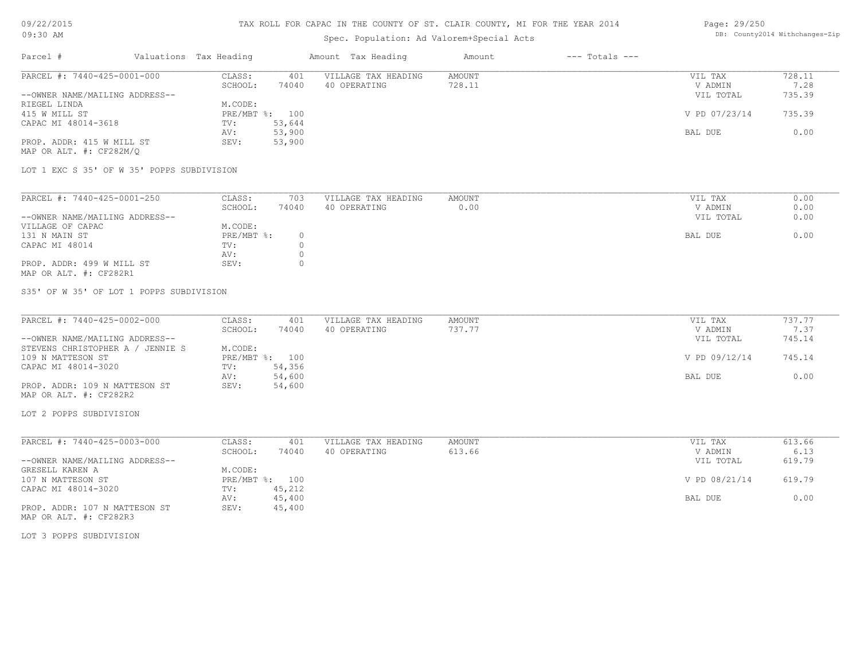### TAX ROLL FOR CAPAC IN THE COUNTY OF ST. CLAIR COUNTY, MI FOR THE YEAR 2014

# Spec. Population: Ad Valorem+Special Acts

### Page: 29/250 DB: County2014 Withchanges-Zip

| Parcel #                       | Valuations Tax Heading |        | Amount Tax Heading  | Amount | $---$ Totals $---$ |               |        |
|--------------------------------|------------------------|--------|---------------------|--------|--------------------|---------------|--------|
| PARCEL #: 7440-425-0001-000    | CLASS:                 | 401    | VILLAGE TAX HEADING | AMOUNT |                    | VIL TAX       | 728.11 |
|                                | SCHOOL:                | 74040  | 40 OPERATING        | 728.11 |                    | V ADMIN       | 7.28   |
| --OWNER NAME/MAILING ADDRESS-- |                        |        |                     |        |                    | VIL TOTAL     | 735.39 |
| RIEGEL LINDA                   | M.CODE:                |        |                     |        |                    |               |        |
| 415 W MILL ST                  | PRE/MBT %: 100         |        |                     |        |                    | V PD 07/23/14 | 735.39 |
| CAPAC MI 48014-3618            | TV:                    | 53,644 |                     |        |                    |               |        |
|                                | AV:                    | 53,900 |                     |        |                    | BAL DUE       | 0.00   |
| PROP. ADDR: 415 W MILL ST      | SEV:                   | 53,900 |                     |        |                    |               |        |
| MAP OR ALT. #: CF282M/O        |                        |        |                     |        |                    |               |        |

LOT 1 EXC S 35' OF W 35' POPPS SUBDIVISION

| PARCEL #: 7440-425-0001-250    | CLASS:     | 703   | VILLAGE TAX HEADING | AMOUNT | VIL TAX |           | 0.00 |
|--------------------------------|------------|-------|---------------------|--------|---------|-----------|------|
|                                | SCHOOL:    | 74040 | 40 OPERATING        | 0.00   | V ADMIN |           | 0.00 |
| --OWNER NAME/MAILING ADDRESS-- |            |       |                     |        |         | VIL TOTAL | 0.00 |
| VILLAGE OF CAPAC               | M.CODE:    |       |                     |        |         |           |      |
| 131 N MAIN ST                  | PRE/MBT %: |       |                     |        | BAL DUE |           | 0.00 |
| CAPAC MI 48014                 | TV:        |       |                     |        |         |           |      |
|                                | AV:        |       |                     |        |         |           |      |
| PROP. ADDR: 499 W MILL ST      | SEV:       |       |                     |        |         |           |      |
| MAP OR ALT. #: CF282R1         |            |       |                     |        |         |           |      |

S35' OF W 35' OF LOT 1 POPPS SUBDIVISION

| PARCEL #: 7440-425-0002-000      | CLASS:  | 401            | VILLAGE TAX HEADING | AMOUNT | VIL TAX       | 737.77 |
|----------------------------------|---------|----------------|---------------------|--------|---------------|--------|
|                                  | SCHOOL: | 74040          | 40 OPERATING        | 737.77 | V ADMIN       | 7.37   |
| --OWNER NAME/MAILING ADDRESS--   |         |                |                     |        | VIL TOTAL     | 745.14 |
| STEVENS CHRISTOPHER A / JENNIE S | M.CODE: |                |                     |        |               |        |
| 109 N MATTESON ST                |         | PRE/MBT %: 100 |                     |        | V PD 09/12/14 | 745.14 |
| CAPAC MI 48014-3020              | TV:     | 54,356         |                     |        |               |        |
|                                  | AV:     | 54,600         |                     |        | BAL DUE       | 0.00   |
| PROP. ADDR: 109 N MATTESON ST    | SEV:    | 54,600         |                     |        |               |        |
| MAP OR ALT. #: CF282R2           |         |                |                     |        |               |        |

LOT 2 POPPS SUBDIVISION

| PARCEL #: 7440-425-0003-000    | CLASS:     | 401    | VILLAGE TAX HEADING | AMOUNT | VIL TAX       | 613.66 |
|--------------------------------|------------|--------|---------------------|--------|---------------|--------|
|                                | SCHOOL:    | 74040  | 40 OPERATING        | 613.66 | V ADMIN       | 6.13   |
| --OWNER NAME/MAILING ADDRESS-- |            |        |                     |        | VIL TOTAL     | 619.79 |
| GRESELL KAREN A                | M.CODE:    |        |                     |        |               |        |
| 107 N MATTESON ST              | PRE/MBT %: | 100    |                     |        | V PD 08/21/14 | 619.79 |
| CAPAC MI 48014-3020            | TV:        | 45,212 |                     |        |               |        |
|                                | AV:        | 45,400 |                     |        | BAL DUE       | 0.00   |
| PROP. ADDR: 107 N MATTESON ST  | SEV:       | 45,400 |                     |        |               |        |

MAP OR ALT. #: CF282R3

LOT 3 POPPS SUBDIVISION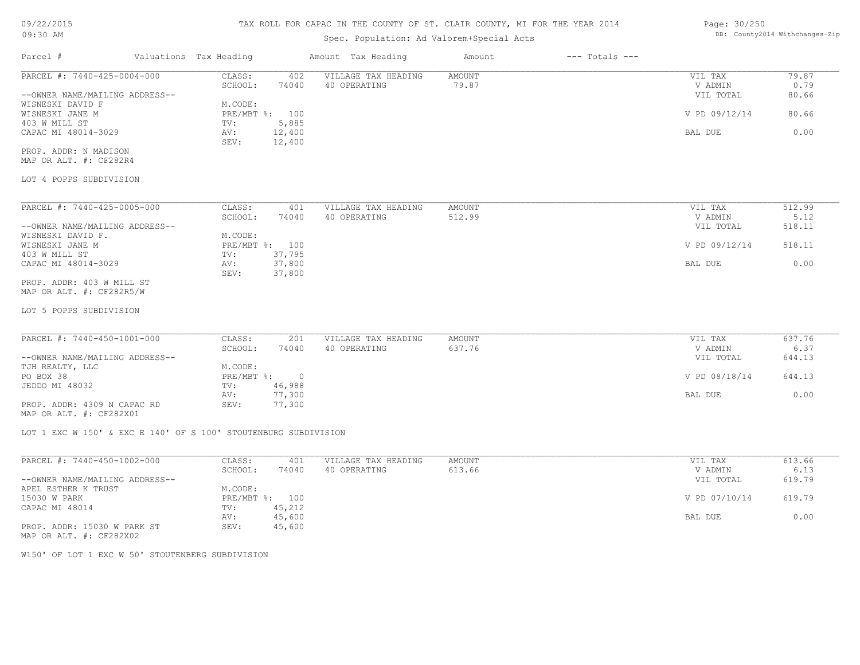# 09/22/2015

| 09/22/2015                                                      | TAX ROLL FOR CAPAC IN THE COUNTY OF ST. CLAIR COUNTY, MI FOR THE YEAR 2014 |                        |                |                                     |                                |                    | Page: 30/250       |                |  |
|-----------------------------------------------------------------|----------------------------------------------------------------------------|------------------------|----------------|-------------------------------------|--------------------------------|--------------------|--------------------|----------------|--|
| 09:30 AM                                                        |                                                                            |                        |                |                                     | DB: County2014 Withchanges-Zip |                    |                    |                |  |
| Parcel #                                                        |                                                                            | Valuations Tax Heading |                | Amount Tax Heading                  | Amount                         | $---$ Totals $---$ |                    |                |  |
| PARCEL #: 7440-425-0004-000                                     |                                                                            | CLASS:                 | 402            | VILLAGE TAX HEADING                 | AMOUNT                         |                    | VIL TAX            | 79.87          |  |
|                                                                 |                                                                            | SCHOOL:                | 74040          | 40 OPERATING                        | 79.87                          |                    | V ADMIN            | 0.79           |  |
| --OWNER NAME/MAILING ADDRESS--                                  |                                                                            |                        |                |                                     |                                |                    | VIL TOTAL          | 80.66          |  |
| WISNESKI DAVID F                                                |                                                                            | M.CODE:                |                |                                     |                                |                    |                    |                |  |
| WISNESKI JANE M                                                 |                                                                            |                        | PRE/MBT %: 100 |                                     |                                |                    | V PD 09/12/14      | 80.66          |  |
| 403 W MILL ST                                                   |                                                                            | TV:                    | 5,885          |                                     |                                |                    |                    |                |  |
| CAPAC MI 48014-3029                                             |                                                                            | AV:                    | 12,400         |                                     |                                |                    | <b>BAL DUE</b>     | 0.00           |  |
|                                                                 |                                                                            | SEV:                   | 12,400         |                                     |                                |                    |                    |                |  |
| PROP. ADDR: N MADISON<br>MAP OR ALT. #: CF282R4                 |                                                                            |                        |                |                                     |                                |                    |                    |                |  |
|                                                                 |                                                                            |                        |                |                                     |                                |                    |                    |                |  |
| LOT 4 POPPS SUBDIVISION                                         |                                                                            |                        |                |                                     |                                |                    |                    |                |  |
|                                                                 |                                                                            |                        |                |                                     |                                |                    |                    |                |  |
| PARCEL #: 7440-425-0005-000                                     |                                                                            | CLASS:<br>SCHOOL:      | 401<br>74040   | VILLAGE TAX HEADING<br>40 OPERATING | AMOUNT<br>512.99               |                    | VIL TAX<br>V ADMIN | 512.99<br>5.12 |  |
|                                                                 |                                                                            |                        |                |                                     |                                |                    |                    |                |  |
| --OWNER NAME/MAILING ADDRESS--<br>WISNESKI DAVID F.             |                                                                            | M.CODE:                |                |                                     |                                |                    | VIL TOTAL          | 518.11         |  |
| WISNESKI JANE M                                                 |                                                                            |                        | PRE/MBT %: 100 |                                     |                                |                    | V PD 09/12/14      | 518.11         |  |
| 403 W MILL ST                                                   |                                                                            | TV:                    | 37,795         |                                     |                                |                    |                    |                |  |
| CAPAC MI 48014-3029                                             |                                                                            | AV:                    | 37,800         |                                     |                                |                    | BAL DUE            | 0.00           |  |
|                                                                 |                                                                            | SEV:                   | 37,800         |                                     |                                |                    |                    |                |  |
| PROP. ADDR: 403 W MILL ST<br>MAP OR ALT. #: CF282R5/W           |                                                                            |                        |                |                                     |                                |                    |                    |                |  |
| LOT 5 POPPS SUBDIVISION                                         |                                                                            |                        |                |                                     |                                |                    |                    |                |  |
| PARCEL #: 7440-450-1001-000                                     |                                                                            | CLASS:                 | 201            | VILLAGE TAX HEADING                 | AMOUNT                         |                    | VIL TAX            | 637.76         |  |
|                                                                 |                                                                            | SCHOOL:                | 74040          | 40 OPERATING                        | 637.76                         |                    | V ADMIN            | 6.37           |  |
| --OWNER NAME/MAILING ADDRESS--                                  |                                                                            |                        |                |                                     |                                |                    | VIL TOTAL          | 644.13         |  |
| TJH REALTY, LLC                                                 |                                                                            | M.CODE:                |                |                                     |                                |                    |                    |                |  |
| PO BOX 38                                                       |                                                                            | PRE/MBT %:             | $\overline{0}$ |                                     |                                |                    | V PD 08/18/14      | 644.13         |  |
| JEDDO MI 48032                                                  |                                                                            | TV:                    | 46,988         |                                     |                                |                    |                    |                |  |
|                                                                 |                                                                            | AV:                    | 77,300         |                                     |                                |                    | BAL DUE            | 0.00           |  |
| PROP. ADDR: 4309 N CAPAC RD<br>MAP OR ALT. #: CF282X01          |                                                                            | SEV:                   | 77,300         |                                     |                                |                    |                    |                |  |
| LOT 1 EXC W 150' & EXC E 140' OF S 100' STOUTENBURG SUBDIVISION |                                                                            |                        |                |                                     |                                |                    |                    |                |  |
| PARCEL #: 7440-450-1002-000                                     |                                                                            | CLASS:                 | 401            | VILLAGE TAX HEADING                 | AMOUNT                         |                    | VIL TAX            | 613.66         |  |
|                                                                 |                                                                            | SCHOOL:                | 74040          | 40 OPERATING                        | 613.66                         |                    | V ADMIN            | 6.13           |  |
| --OWNER NAME/MAILING ADDRESS--                                  |                                                                            |                        |                |                                     |                                |                    | VIL TOTAL          | 619.79         |  |
| APEL ESTHER K TRUST                                             |                                                                            | M.CODE:                |                |                                     |                                |                    |                    |                |  |
| 15030 W PARK                                                    |                                                                            |                        | PRE/MBT %: 100 |                                     |                                |                    | V PD 07/10/14      | 619.79         |  |
| CAPAC MI 48014                                                  |                                                                            |                        | TV: 45,212     |                                     |                                |                    |                    |                |  |
|                                                                 |                                                                            | AV:                    | 45,600         |                                     |                                |                    | BAL DUE            | 0.00           |  |
| PROP. ADDR: 15030 W PARK ST<br>MAP OR ALT. #: CF282X02          |                                                                            | SEV:                   | 45,600         |                                     |                                |                    |                    |                |  |
| W150' OF LOT 1 EXC W 50' STOUTENBERG SUBDIVISION                |                                                                            |                        |                |                                     |                                |                    |                    |                |  |
|                                                                 |                                                                            |                        |                |                                     |                                |                    |                    |                |  |
|                                                                 |                                                                            |                        |                |                                     |                                |                    |                    |                |  |
|                                                                 |                                                                            |                        |                |                                     |                                |                    |                    |                |  |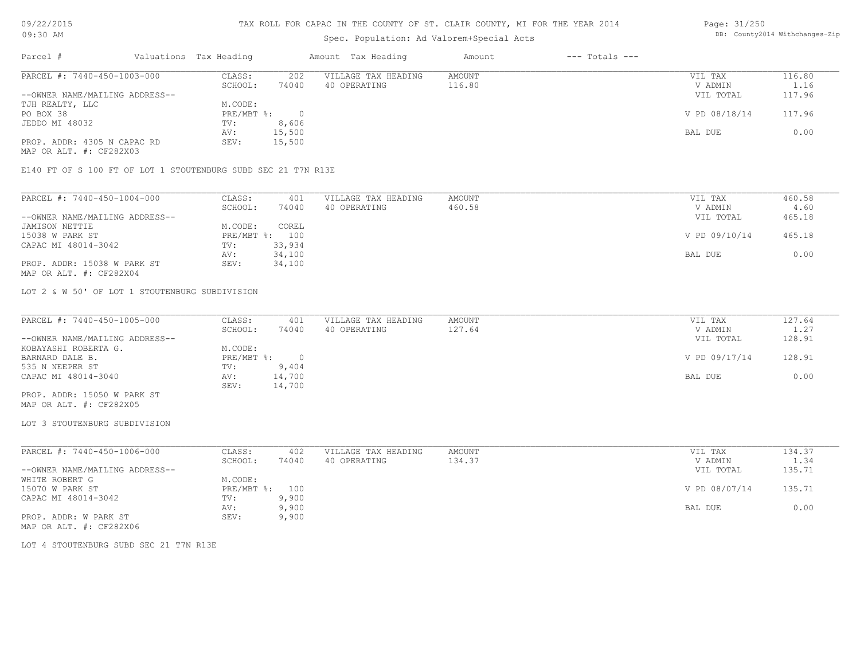# Spec. Population: Ad Valorem+Special Acts

### Page: 31/250 DB: County2014 Withchanges-Zip

| Parcel #                       | Valuations Tax Heading |        | Amount Tax Heading  | Amount | $---$ Totals $---$ |               |        |
|--------------------------------|------------------------|--------|---------------------|--------|--------------------|---------------|--------|
| PARCEL #: 7440-450-1003-000    | CLASS:                 | 202    | VILLAGE TAX HEADING | AMOUNT |                    | VIL TAX       | 116.80 |
|                                | SCHOOL:                | 74040  | 40 OPERATING        | 116.80 |                    | V ADMIN       | 1.16   |
| --OWNER NAME/MAILING ADDRESS-- |                        |        |                     |        |                    | VIL TOTAL     | 117.96 |
| TJH REALTY, LLC                | M.CODE:                |        |                     |        |                    |               |        |
| PO BOX 38                      | $PRE/MBT$ %:           |        |                     |        |                    | V PD 08/18/14 | 117.96 |
| JEDDO MI 48032                 | TV:                    | 8,606  |                     |        |                    |               |        |
|                                | AV:                    | 15,500 |                     |        |                    | BAL DUE       | 0.00   |
| PROP. ADDR: 4305 N CAPAC RD    | SEV:                   | 15,500 |                     |        |                    |               |        |
|                                |                        |        |                     |        |                    |               |        |

MAP OR ALT. #: CF282X03

E140 FT OF S 100 FT OF LOT 1 STOUTENBURG SUBD SEC 21 T7N R13E

| PARCEL #: 7440-450-1004-000    | CLASS:     | 401    | VILLAGE TAX HEADING | AMOUNT | VIL TAX       | 460.58 |
|--------------------------------|------------|--------|---------------------|--------|---------------|--------|
|                                | SCHOOL:    | 74040  | 40 OPERATING        | 460.58 | V ADMIN       | 4.60   |
| --OWNER NAME/MAILING ADDRESS-- |            |        |                     |        | VIL TOTAL     | 465.18 |
| JAMISON NETTIE                 | M.CODE:    | COREL  |                     |        |               |        |
| 15038 W PARK ST                | PRE/MBT %: | 100    |                     |        | V PD 09/10/14 | 465.18 |
| CAPAC MI 48014-3042            | TV:        | 33,934 |                     |        |               |        |
|                                | AV:        | 34,100 |                     |        | BAL DUE       | 0.00   |
| PROP. ADDR: 15038 W PARK ST    | SEV:       | 34,100 |                     |        |               |        |
| MAP OR ALT. #: CF282X04        |            |        |                     |        |               |        |

LOT 2 & W 50' OF LOT 1 STOUTENBURG SUBDIVISION

| PARCEL #: 7440-450-1005-000    | CLASS:     | 401    | VILLAGE TAX HEADING | AMOUNT | VIL TAX       | 127.64 |
|--------------------------------|------------|--------|---------------------|--------|---------------|--------|
|                                | SCHOOL:    | 74040  | 40 OPERATING        | 127.64 | V ADMIN       | 1.27   |
| --OWNER NAME/MAILING ADDRESS-- |            |        |                     |        | VIL TOTAL     | 128.91 |
| KOBAYASHI ROBERTA G.           | M.CODE:    |        |                     |        |               |        |
| BARNARD DALE B.                | PRE/MBT %: |        |                     |        | V PD 09/17/14 | 128.91 |
| 535 N NEEPER ST                | TV:        | 9,404  |                     |        |               |        |
| CAPAC MI 48014-3040            | AV:        | 14,700 |                     |        | BAL DUE       | 0.00   |
|                                | SEV:       | 14,700 |                     |        |               |        |
| PROP. ADDR: 15050 W PARK ST    |            |        |                     |        |               |        |

MAP OR ALT. #: CF282X05

LOT 3 STOUTENBURG SUBDIVISION

| PARCEL #: 7440-450-1006-000    | CLASS:  | 402            | VILLAGE TAX HEADING | AMOUNT | VIL TAX       | 134.37 |
|--------------------------------|---------|----------------|---------------------|--------|---------------|--------|
|                                | SCHOOL: | 74040          | 40 OPERATING        | 134.37 | V ADMIN       | 1.34   |
| --OWNER NAME/MAILING ADDRESS-- |         |                |                     |        | VIL TOTAL     | 135.71 |
| WHITE ROBERT G                 | M.CODE: |                |                     |        |               |        |
| 15070 W PARK ST                |         | PRE/MBT %: 100 |                     |        | V PD 08/07/14 | 135.71 |
| CAPAC MI 48014-3042            | TV:     | 9,900          |                     |        |               |        |
|                                | AV:     | 9,900          |                     |        | BAL DUE       | 0.00   |
| PROP. ADDR: W PARK ST          | SEV:    | 9,900          |                     |        |               |        |
| MAP OR ALT. #: CF282X06        |         |                |                     |        |               |        |

LOT 4 STOUTENBURG SUBD SEC 21 T7N R13E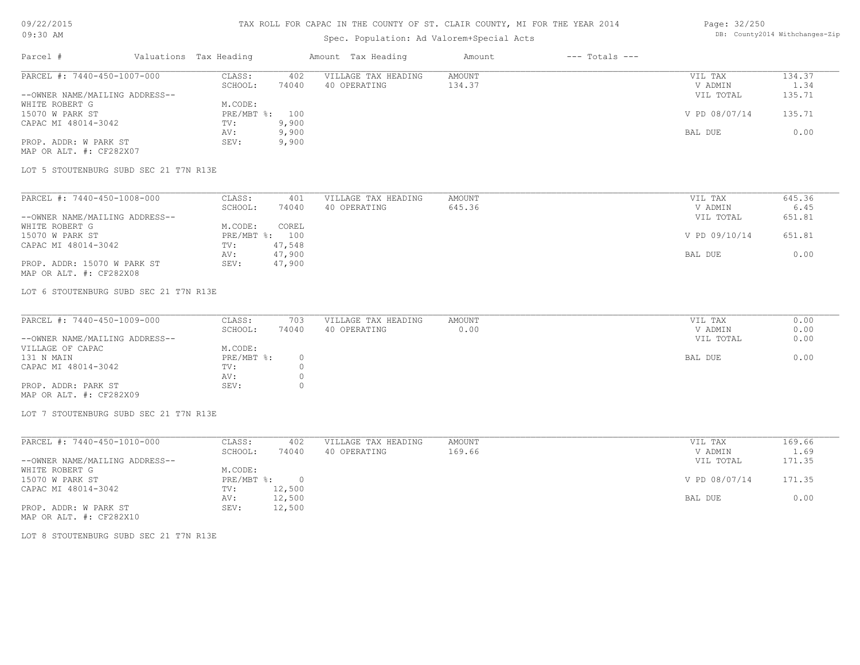### TAX ROLL FOR CAPAC IN THE COUNTY OF ST. CLAIR COUNTY, MI FOR THE YEAR 2014

# Spec. Population: Ad Valorem+Special Acts

### Page: 32/250 DB: County2014 Withchanges-Zip

| Parcel #                       | Valuations Tax Heading |       | Amount Tax Heading  | Amount | $---$ Totals $---$ |               |        |
|--------------------------------|------------------------|-------|---------------------|--------|--------------------|---------------|--------|
| PARCEL #: 7440-450-1007-000    | CLASS:                 | 402   | VILLAGE TAX HEADING | AMOUNT |                    | VIL TAX       | 134.37 |
|                                | SCHOOL:                | 74040 | 40 OPERATING        | 134.37 |                    | V ADMIN       | 1.34   |
| --OWNER NAME/MAILING ADDRESS-- |                        |       |                     |        |                    | VIL TOTAL     | 135.71 |
| WHITE ROBERT G                 | M.CODE:                |       |                     |        |                    |               |        |
| 15070 W PARK ST                | $PRE/MBT$ %:           | 100   |                     |        |                    | V PD 08/07/14 | 135.71 |
| CAPAC MI 48014-3042            | TV:                    | 9,900 |                     |        |                    |               |        |
|                                | AV:                    | 9,900 |                     |        |                    | BAL DUE       | 0.00   |
| PROP. ADDR: W PARK ST          | SEV:                   | 9,900 |                     |        |                    |               |        |
| MAP OR ALT. #: CF282X07        |                        |       |                     |        |                    |               |        |

LOT 5 STOUTENBURG SUBD SEC 21 T7N R13E

| PARCEL #: 7440-450-1008-000    | CLASS:  | 401            | VILLAGE TAX HEADING | AMOUNT | VIL TAX       | 645.36 |
|--------------------------------|---------|----------------|---------------------|--------|---------------|--------|
|                                | SCHOOL: | 74040          | 40 OPERATING        | 645.36 | V ADMIN       | 6.45   |
| --OWNER NAME/MAILING ADDRESS-- |         |                |                     |        | VIL TOTAL     | 651.81 |
| WHITE ROBERT G                 | M.CODE: | COREL          |                     |        |               |        |
| 15070 W PARK ST                |         | PRE/MBT %: 100 |                     |        | V PD 09/10/14 | 651.81 |
| CAPAC MI 48014-3042            | TV:     | 47,548         |                     |        |               |        |
|                                | AV:     | 47,900         |                     |        | BAL DUE       | 0.00   |
| PROP. ADDR: 15070 W PARK ST    | SEV:    | 47,900         |                     |        |               |        |
| MAP OR ALT. #: CF282X08        |         |                |                     |        |               |        |

LOT 6 STOUTENBURG SUBD SEC 21 T7N R13E

| PARCEL #: 7440-450-1009-000    | CLASS:       | 703   | VILLAGE TAX HEADING | AMOUNT | VIL TAX   | 0.00 |
|--------------------------------|--------------|-------|---------------------|--------|-----------|------|
|                                | SCHOOL:      | 74040 | 40 OPERATING        | 0.00   | V ADMIN   | 0.00 |
| --OWNER NAME/MAILING ADDRESS-- |              |       |                     |        | VIL TOTAL | 0.00 |
| VILLAGE OF CAPAC               | M.CODE:      |       |                     |        |           |      |
| 131 N MAIN                     | $PRE/MBT$ %: |       |                     |        | BAL DUE   | 0.00 |
| CAPAC MI 48014-3042            | TV:          |       |                     |        |           |      |
|                                | AV:          |       |                     |        |           |      |
| PROP. ADDR: PARK ST            | SEV:         |       |                     |        |           |      |
| MAP OR ALT. #: CF282X09        |              |       |                     |        |           |      |

LOT 7 STOUTENBURG SUBD SEC 21 T7N R13E

| PARCEL #: 7440-450-1010-000    | CLASS:     | 402    | VILLAGE TAX HEADING | AMOUNT | VIL TAX       | 169.66 |
|--------------------------------|------------|--------|---------------------|--------|---------------|--------|
|                                | SCHOOL:    | 74040  | 40 OPERATING        | 169.66 | V ADMIN       | 1.69   |
| --OWNER NAME/MAILING ADDRESS-- |            |        |                     |        | VIL TOTAL     | 171.35 |
| WHITE ROBERT G                 | M.CODE:    |        |                     |        |               |        |
| 15070 W PARK ST                | PRE/MBT %: | $\cap$ |                     |        | V PD 08/07/14 | 171.35 |
| CAPAC MI 48014-3042            | TV:        | 12,500 |                     |        |               |        |
|                                | AV:        | 12,500 |                     |        | BAL DUE       | 0.00   |
| PROP. ADDR: W PARK ST          | SEV:       | 12,500 |                     |        |               |        |

MAP OR ALT. #: CF282X10

LOT 8 STOUTENBURG SUBD SEC 21 T7N R13E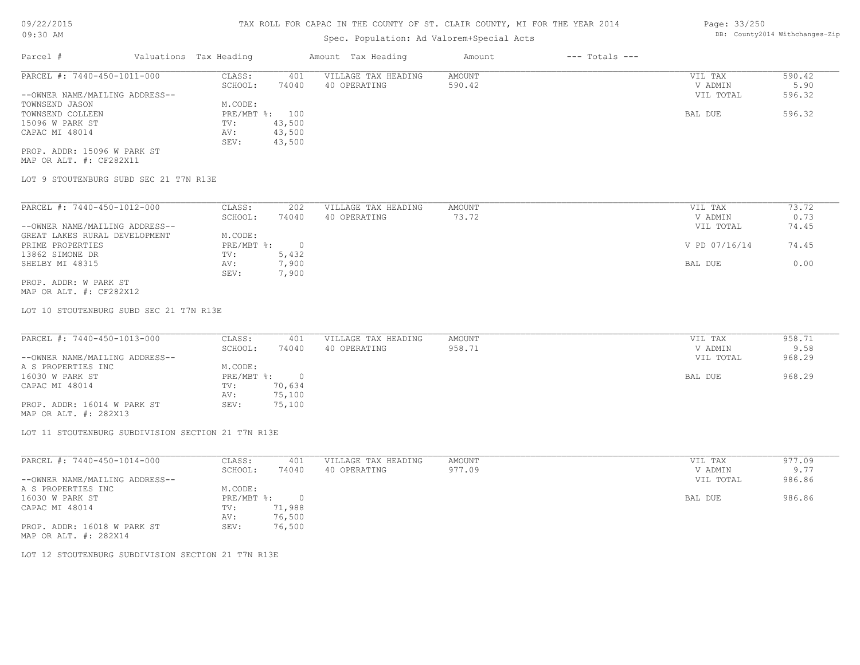# Spec. Population: Ad Valorem+Special Acts

| Parcel #                       | Valuations Tax Heading |                | Amount Tax Heading  | Amount | $---$ Totals $---$ |           |        |
|--------------------------------|------------------------|----------------|---------------------|--------|--------------------|-----------|--------|
| PARCEL #: 7440-450-1011-000    | CLASS:                 | 401            | VILLAGE TAX HEADING | AMOUNT |                    | VIL TAX   | 590.42 |
|                                | SCHOOL:                | 74040          | 40 OPERATING        | 590.42 |                    | V ADMIN   | 5.90   |
| --OWNER NAME/MAILING ADDRESS-- |                        |                |                     |        |                    | VIL TOTAL | 596.32 |
| TOWNSEND JASON                 | M.CODE:                |                |                     |        |                    |           |        |
| TOWNSEND COLLEEN               |                        | PRE/MBT %: 100 |                     |        |                    | BAL DUE   | 596.32 |
| 15096 W PARK ST                | TV:                    | 43,500         |                     |        |                    |           |        |
| CAPAC MI 48014                 | AV:                    | 43,500         |                     |        |                    |           |        |
|                                | SEV:                   | 43,500         |                     |        |                    |           |        |
|                                |                        |                |                     |        |                    |           |        |

MAP OR ALT. #: CF282X11 PROP. ADDR: 15096 W PARK ST

LOT 9 STOUTENBURG SUBD SEC 21 T7N R13E

| PARCEL #: 7440-450-1012-000    | CLASS:     | 202       | VILLAGE TAX HEADING | AMOUNT | VIL TAX       | 73.72 |
|--------------------------------|------------|-----------|---------------------|--------|---------------|-------|
|                                | SCHOOL:    | 74040     | 40 OPERATING        | 73.72  | V ADMIN       | 0.73  |
| --OWNER NAME/MAILING ADDRESS-- |            |           |                     |        | VIL TOTAL     | 74.45 |
| GREAT LAKES RURAL DEVELOPMENT  | M.CODE:    |           |                     |        |               |       |
| PRIME PROPERTIES               | PRE/MBT %: |           |                     |        | V PD 07/16/14 | 74.45 |
| 13862 SIMONE DR                | TV:        | 5,432     |                     |        |               |       |
| SHELBY MI 48315                | AV:        | , 900     |                     |        | BAL DUE       | 0.00  |
|                                | SEV:       | $^7$ ,900 |                     |        |               |       |
| PROP. ADDR: W PARK ST          |            |           |                     |        |               |       |

MAP OR ALT. #: CF282X12

LOT 10 STOUTENBURG SUBD SEC 21 T7N R13E

| PARCEL #: 7440-450-1013-000    | CLASS:     | 401    | VILLAGE TAX HEADING | AMOUNT | VIL TAX   | 958.71 |
|--------------------------------|------------|--------|---------------------|--------|-----------|--------|
|                                | SCHOOL:    | 74040  | 40 OPERATING        | 958.71 | V ADMIN   | 9.58   |
| --OWNER NAME/MAILING ADDRESS-- |            |        |                     |        | VIL TOTAL | 968.29 |
| A S PROPERTIES INC             | M.CODE:    |        |                     |        |           |        |
| 16030 W PARK ST                | PRE/MBT %: |        |                     |        | BAL DUE   | 968.29 |
| CAPAC MI 48014                 | TV:        | 70,634 |                     |        |           |        |
|                                | AV:        | 75,100 |                     |        |           |        |
| PROP. ADDR: 16014 W PARK ST    | SEV:       | 75,100 |                     |        |           |        |

MAP OR ALT. #: 282X13

LOT 11 STOUTENBURG SUBDIVISION SECTION 21 T7N R13E

| PARCEL #: 7440-450-1014-000    | CLASS:     | 401      | VILLAGE TAX HEADING | AMOUNT | VIL TAX   | 977.09 |
|--------------------------------|------------|----------|---------------------|--------|-----------|--------|
|                                | SCHOOL:    | 74040    | 40 OPERATING        | 977.09 | V ADMIN   | 9.77   |
| --OWNER NAME/MAILING ADDRESS-- |            |          |                     |        | VIL TOTAL | 986.86 |
| A S PROPERTIES INC             | M.CODE:    |          |                     |        |           |        |
| 16030 W PARK ST                | PRE/MBT %: | $\Omega$ |                     |        | BAL DUE   | 986.86 |
| CAPAC MI 48014                 | TV:        | 71,988   |                     |        |           |        |
|                                | AV:        | 76,500   |                     |        |           |        |
| PROP. ADDR: 16018 W PARK ST    | SEV:       | 76,500   |                     |        |           |        |
| MAP OR ALT. #: 282X14          |            |          |                     |        |           |        |

LOT 12 STOUTENBURG SUBDIVISION SECTION 21 T7N R13E

Page: 33/250 DB: County2014 Withchanges-Zip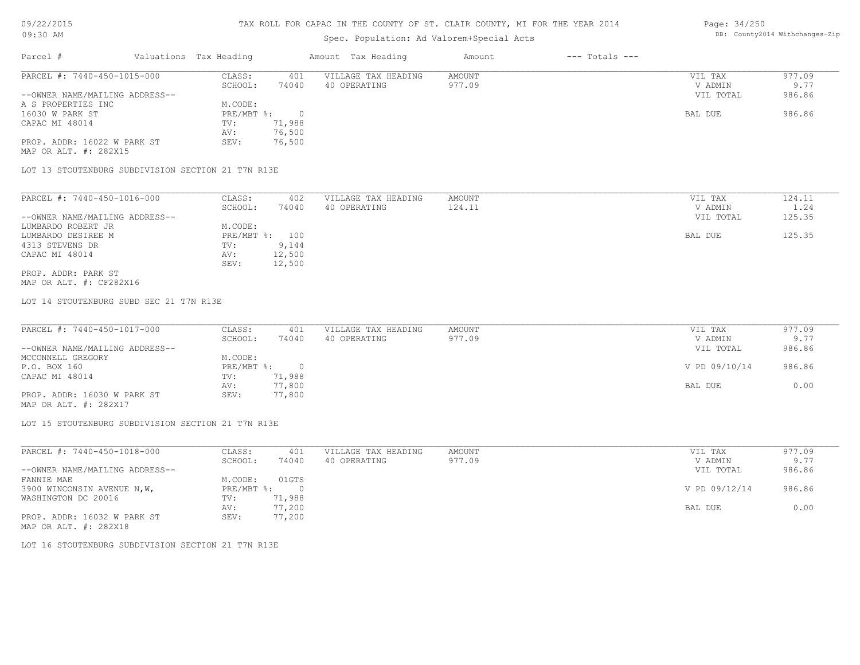# Spec. Population: Ad Valorem+Special Acts

### Page: 34/250 DB: County2014 Withchanges-Zip

| Parcel #                       | Valuations Tax Heading |        | Amount Tax Heading  | Amount | $---$ Totals $---$ |           |        |
|--------------------------------|------------------------|--------|---------------------|--------|--------------------|-----------|--------|
| PARCEL #: 7440-450-1015-000    | CLASS:                 | 401    | VILLAGE TAX HEADING | AMOUNT |                    | VIL TAX   | 977.09 |
|                                | SCHOOL:                | 74040  | 40 OPERATING        | 977.09 |                    | V ADMIN   | 9.77   |
| --OWNER NAME/MAILING ADDRESS-- |                        |        |                     |        |                    | VIL TOTAL | 986.86 |
| A S PROPERTIES INC             | M.CODE:                |        |                     |        |                    |           |        |
| 16030 W PARK ST                | $PRE/MBT$ %:           |        |                     |        |                    | BAL DUE   | 986.86 |
| CAPAC MI 48014                 | TV:                    | 71,988 |                     |        |                    |           |        |
|                                | AV:                    | 76,500 |                     |        |                    |           |        |
| PROP. ADDR: 16022 W PARK ST    | SEV:                   | 76,500 |                     |        |                    |           |        |
| MAP OR ALT. #: 282X15          |                        |        |                     |        |                    |           |        |

LOT 13 STOUTENBURG SUBDIVISION SECTION 21 T7N R13E

| PARCEL #: 7440-450-1016-000    | CLASS:     | 402    | VILLAGE TAX HEADING | AMOUNT | VIL TAX   | 124.11 |
|--------------------------------|------------|--------|---------------------|--------|-----------|--------|
|                                | SCHOOL:    | 74040  | 40 OPERATING        | 124.11 | V ADMIN   | 1.24   |
| --OWNER NAME/MAILING ADDRESS-- |            |        |                     |        | VIL TOTAL | 125.35 |
| LUMBARDO ROBERT JR             | M.CODE:    |        |                     |        |           |        |
| LUMBARDO DESIREE M             | PRE/MBT %: | 100    |                     |        | BAL DUE   | 125.35 |
| 4313 STEVENS DR                | TV:        | 9,144  |                     |        |           |        |
| CAPAC MI 48014                 | AV:        | 12,500 |                     |        |           |        |
|                                | SEV:       | 12,500 |                     |        |           |        |
| PROP. ADDR: PARK ST            |            |        |                     |        |           |        |

MAP OR ALT. #: CF282X16

LOT 14 STOUTENBURG SUBD SEC 21 T7N R13E

| PARCEL #: 7440-450-1017-000    | CLASS:       | 401    | VILLAGE TAX HEADING | AMOUNT | VIL TAX       | 977.09 |
|--------------------------------|--------------|--------|---------------------|--------|---------------|--------|
|                                | SCHOOL:      | 74040  | 40 OPERATING        | 977.09 | V ADMIN       | 9.77   |
| --OWNER NAME/MAILING ADDRESS-- |              |        |                     |        | VIL TOTAL     | 986.86 |
| MCCONNELL GREGORY              | M.CODE:      |        |                     |        |               |        |
| P.O. BOX 160                   | $PRE/MBT$ %: |        |                     |        | V PD 09/10/14 | 986.86 |
| CAPAC MI 48014                 | TV:          | 71,988 |                     |        |               |        |
|                                | AV:          | 77,800 |                     |        | BAL DUE       | 0.00   |
| PROP. ADDR: 16030 W PARK ST    | SEV:         | 77,800 |                     |        |               |        |
|                                |              |        |                     |        |               |        |

MAP OR ALT. #: 282X17

LOT 15 STOUTENBURG SUBDIVISION SECTION 21 T7N R13E

| PARCEL #: 7440-450-1018-000    | CLASS:       | 401    | VILLAGE TAX HEADING | AMOUNT | VIL TAX       | 977.09 |
|--------------------------------|--------------|--------|---------------------|--------|---------------|--------|
|                                | SCHOOL:      | 74040  | 40 OPERATING        | 977.09 | V ADMIN       | 9.77   |
| --OWNER NAME/MAILING ADDRESS-- |              |        |                     |        | VIL TOTAL     | 986.86 |
| FANNIE MAE                     | M.CODE:      | 01GTS  |                     |        |               |        |
| 3900 WINCONSIN AVENUE N, W,    | $PRE/MBT$ %: |        |                     |        | V PD 09/12/14 | 986.86 |
| WASHINGTON DC 20016            | TV:          | 71,988 |                     |        |               |        |
|                                | AV:          | 77,200 |                     |        | BAL DUE       | 0.00   |
| PROP. ADDR: 16032 W PARK ST    | SEV:         | 77,200 |                     |        |               |        |
| MAP OR ALT. #: 282X18          |              |        |                     |        |               |        |

LOT 16 STOUTENBURG SUBDIVISION SECTION 21 T7N R13E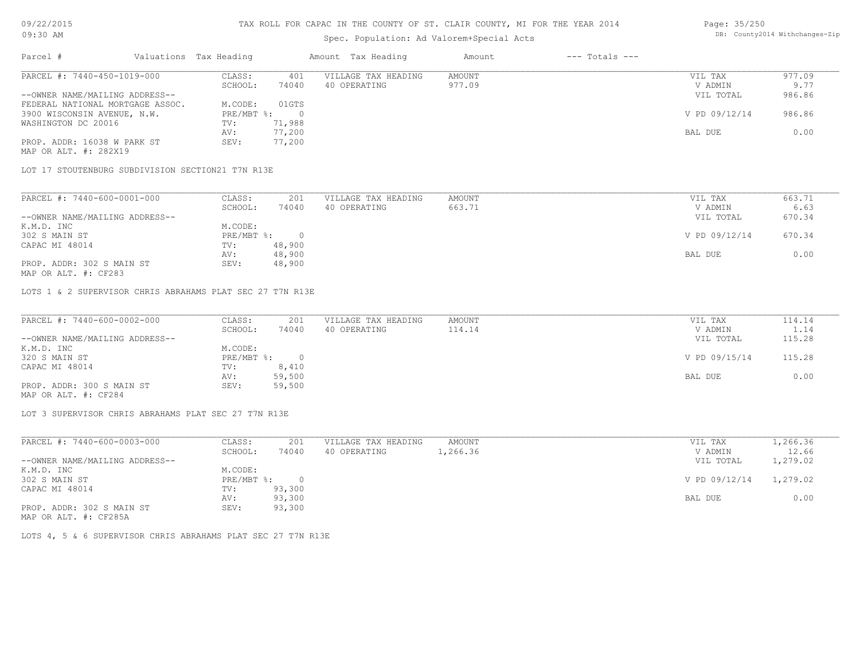# Spec. Population: Ad Valorem+Special Acts

### Page: 35/250 DB: County2014 Withchanges-Zip

| Parcel #                         | Valuations Tax Heading |        | Amount Tax Heading  | Amount | $---$ Totals $---$ |               |        |
|----------------------------------|------------------------|--------|---------------------|--------|--------------------|---------------|--------|
| PARCEL #: 7440-450-1019-000      | CLASS:                 | 401    | VILLAGE TAX HEADING | AMOUNT |                    | VIL TAX       | 977.09 |
|                                  | SCHOOL:                | 74040  | 40 OPERATING        | 977.09 |                    | V ADMIN       | 9.77   |
| --OWNER NAME/MAILING ADDRESS--   |                        |        |                     |        |                    | VIL TOTAL     | 986.86 |
| FEDERAL NATIONAL MORTGAGE ASSOC. | M.CODE:                | 01GTS  |                     |        |                    |               |        |
| 3900 WISCONSIN AVENUE, N.W.      | $PRE/MBT$ %:           |        |                     |        |                    | V PD 09/12/14 | 986.86 |
| WASHINGTON DC 20016              | TV:                    | 71,988 |                     |        |                    |               |        |
|                                  | AV:                    | 77,200 |                     |        |                    | BAL DUE       | 0.00   |
| PROP. ADDR: 16038 W PARK ST      | SEV:                   | 77,200 |                     |        |                    |               |        |
| MAP OR ALT. #: 282X19            |                        |        |                     |        |                    |               |        |

LOT 17 STOUTENBURG SUBDIVISION SECTION21 T7N R13E

| PARCEL #: 7440-600-0001-000    | CLASS:     | 201    | VILLAGE TAX HEADING | AMOUNT | VIL TAX       | 663.71 |
|--------------------------------|------------|--------|---------------------|--------|---------------|--------|
|                                | SCHOOL:    | 74040  | 40 OPERATING        | 663.71 | V ADMIN       | 6.63   |
| --OWNER NAME/MAILING ADDRESS-- |            |        |                     |        | VIL TOTAL     | 670.34 |
| K.M.D. INC                     | M.CODE:    |        |                     |        |               |        |
| 302 S MAIN ST                  | PRE/MBT %: |        |                     |        | V PD 09/12/14 | 670.34 |
| CAPAC MI 48014                 | TV:        | 48,900 |                     |        |               |        |
|                                | AV:        | 48,900 |                     |        | BAL DUE       | 0.00   |
| PROP. ADDR: 302 S MAIN ST      | SEV:       | 48,900 |                     |        |               |        |

MAP OR ALT. #: CF283

LOTS 1 & 2 SUPERVISOR CHRIS ABRAHAMS PLAT SEC 27 T7N R13E

| PARCEL #: 7440-600-0002-000    | CLASS:     | 201    | VILLAGE TAX HEADING | AMOUNT | VIL TAX       | 114.14 |
|--------------------------------|------------|--------|---------------------|--------|---------------|--------|
|                                | SCHOOL:    | 74040  | 40 OPERATING        | 114.14 | V ADMIN       | 1.14   |
| --OWNER NAME/MAILING ADDRESS-- |            |        |                     |        | VIL TOTAL     | 115.28 |
| K.M.D. INC                     | M.CODE:    |        |                     |        |               |        |
| 320 S MAIN ST                  | PRE/MBT %: | $\cap$ |                     |        | V PD 09/15/14 | 115.28 |
| CAPAC MI 48014                 | TV:        | 8,410  |                     |        |               |        |
|                                | AV:        | 59,500 |                     |        | BAL DUE       | 0.00   |
| PROP. ADDR: 300 S MAIN ST      | SEV:       | 59,500 |                     |        |               |        |
| MAP OR ALT. #: CF284           |            |        |                     |        |               |        |

 $\_$  , and the state of the state of the state of the state of the state of the state of the state of the state of the state of the state of the state of the state of the state of the state of the state of the state of the

LOT 3 SUPERVISOR CHRIS ABRAHAMS PLAT SEC 27 T7N R13E

| PARCEL #: 7440-600-0003-000    | CLASS:     | 201      | VILLAGE TAX HEADING | AMOUNT   | 1,266.36<br>VIL TAX       |
|--------------------------------|------------|----------|---------------------|----------|---------------------------|
|                                | SCHOOL:    | 74040    | 40 OPERATING        | l,266.36 | 12.66<br>V ADMIN          |
| --OWNER NAME/MAILING ADDRESS-- |            |          |                     |          | 1,279.02<br>VIL TOTAL     |
| K.M.D. INC                     | M.CODE:    |          |                     |          |                           |
| 302 S MAIN ST                  | PRE/MBT %: | $\Omega$ |                     |          | V PD 09/12/14<br>1,279.02 |
| CAPAC MI 48014                 | TV:        | 93,300   |                     |          |                           |
|                                | AV:        | 93,300   |                     |          | 0.00<br>BAL DUE           |
| PROP. ADDR: 302 S MAIN ST      | SEV:       | 93,300   |                     |          |                           |
| MAP OR ALT. #: CF285A          |            |          |                     |          |                           |

LOTS 4, 5 & 6 SUPERVISOR CHRIS ABRAHAMS PLAT SEC 27 T7N R13E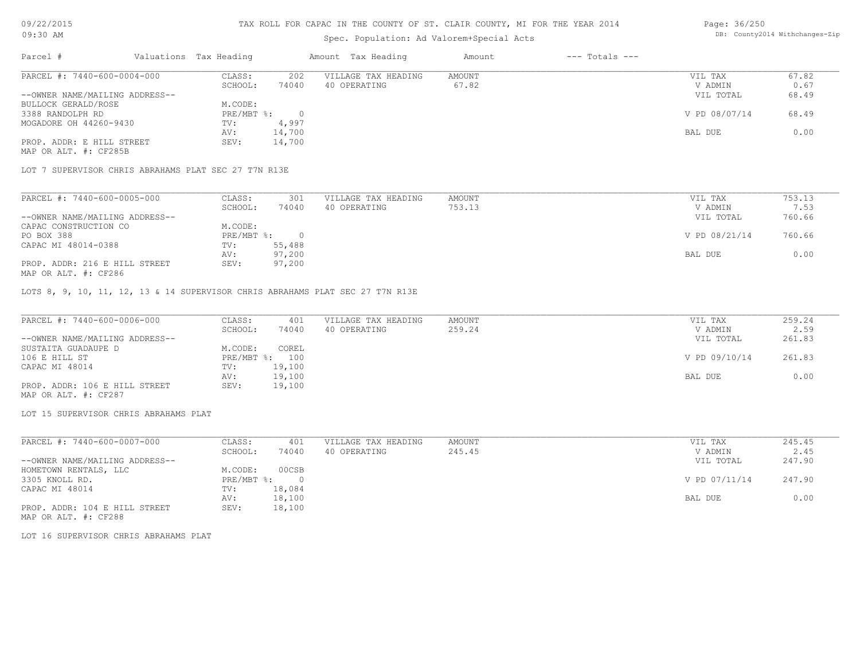### TAX ROLL FOR CAPAC IN THE COUNTY OF ST. CLAIR COUNTY, MI FOR THE YEAR 2014

# Spec. Population: Ad Valorem+Special Acts

| Parcel #                       | Valuations Tax Heading |        | Amount Tax Heading  | Amount | $---$ Totals $---$ |               |       |
|--------------------------------|------------------------|--------|---------------------|--------|--------------------|---------------|-------|
| PARCEL #: 7440-600-0004-000    | CLASS:                 | 202    | VILLAGE TAX HEADING | AMOUNT |                    | VIL TAX       | 67.82 |
|                                | SCHOOL:                | 74040  | 40 OPERATING        | 67.82  |                    | V ADMIN       | 0.67  |
| --OWNER NAME/MAILING ADDRESS-- |                        |        |                     |        |                    | VIL TOTAL     | 68.49 |
| BULLOCK GERALD/ROSE            | M.CODE:                |        |                     |        |                    |               |       |
| 3388 RANDOLPH RD               | PRE/MBT %:             |        |                     |        |                    | V PD 08/07/14 | 68.49 |
| MOGADORE OH 44260-9430         | TV:                    | 4,997  |                     |        |                    |               |       |
|                                | AV:                    | 14,700 |                     |        |                    | BAL DUE       | 0.00  |
| PROP. ADDR: E HILL STREET      | SEV:                   | 14,700 |                     |        |                    |               |       |

MAP OR ALT. #: CF285B

LOT 7 SUPERVISOR CHRIS ABRAHAMS PLAT SEC 27 T7N R13E

| PARCEL #: 7440-600-0005-000    | CLASS:     | 301    | VILLAGE TAX HEADING | AMOUNT | VIL TAX       | 753.13 |
|--------------------------------|------------|--------|---------------------|--------|---------------|--------|
|                                | SCHOOL:    | 74040  | 40 OPERATING        | 753.13 | V ADMIN       | 7.53   |
| --OWNER NAME/MAILING ADDRESS-- |            |        |                     |        | VIL TOTAL     | 760.66 |
| CAPAC CONSTRUCTION CO          | M.CODE:    |        |                     |        |               |        |
| PO BOX 388                     | PRE/MBT %: |        |                     |        | V PD 08/21/14 | 760.66 |
| CAPAC MI 48014-0388            | TV:        | 55,488 |                     |        |               |        |
|                                | AV:        | 97,200 |                     |        | BAL DUE       | 0.00   |
| PROP. ADDR: 216 E HILL STREET  | SEV:       | 97,200 |                     |        |               |        |
| MAP OR ALT. #: CF286           |            |        |                     |        |               |        |

LOTS 8, 9, 10, 11, 12, 13 & 14 SUPERVISOR CHRIS ABRAHAMS PLAT SEC 27 T7N R13E

| PARCEL #: 7440-600-0006-000    | CLASS:  | 401            | VILLAGE TAX HEADING | AMOUNT | VIL TAX       | 259.24 |
|--------------------------------|---------|----------------|---------------------|--------|---------------|--------|
|                                | SCHOOL: | 74040          | 40 OPERATING        | 259.24 | V ADMIN       | 2.59   |
| --OWNER NAME/MAILING ADDRESS-- |         |                |                     |        | VIL TOTAL     | 261.83 |
| SUSTAITA GUADAUPE D            | M.CODE: | COREL          |                     |        |               |        |
| 106 E HILL ST                  |         | PRE/MBT %: 100 |                     |        | V PD 09/10/14 | 261.83 |
| CAPAC MI 48014                 | TV:     | 19,100         |                     |        |               |        |
|                                | AV:     | 19,100         |                     |        | BAL DUE       | 0.00   |
| PROP. ADDR: 106 E HILL STREET  | SEV:    | 19,100         |                     |        |               |        |
| MAP OR ALT. #: CF287           |         |                |                     |        |               |        |

LOT 15 SUPERVISOR CHRIS ABRAHAMS PLAT

| PARCEL #: 7440-600-0007-000    | CLASS:     | 401    | VILLAGE TAX HEADING | AMOUNT | VIL TAX       | 245.45 |
|--------------------------------|------------|--------|---------------------|--------|---------------|--------|
|                                | SCHOOL:    | 74040  | 40 OPERATING        | 245.45 | V ADMIN       | 2.45   |
| --OWNER NAME/MAILING ADDRESS-- |            |        |                     |        | VIL TOTAL     | 247.90 |
| HOMETOWN RENTALS, LLC          | M.CODE:    | 00CSB  |                     |        |               |        |
| 3305 KNOLL RD.                 | PRE/MBT %: |        |                     |        | V PD 07/11/14 | 247.90 |
| CAPAC MI 48014                 | TV:        | 18,084 |                     |        |               |        |
|                                | AV:        | 18,100 |                     |        | BAL DUE       | 0.00   |
| PROP. ADDR: 104 E HILL STREET  | SEV:       | 18,100 |                     |        |               |        |

MAP OR ALT. #: CF288

LOT 16 SUPERVISOR CHRIS ABRAHAMS PLAT

Page: 36/250 DB: County2014 Withchanges-Zip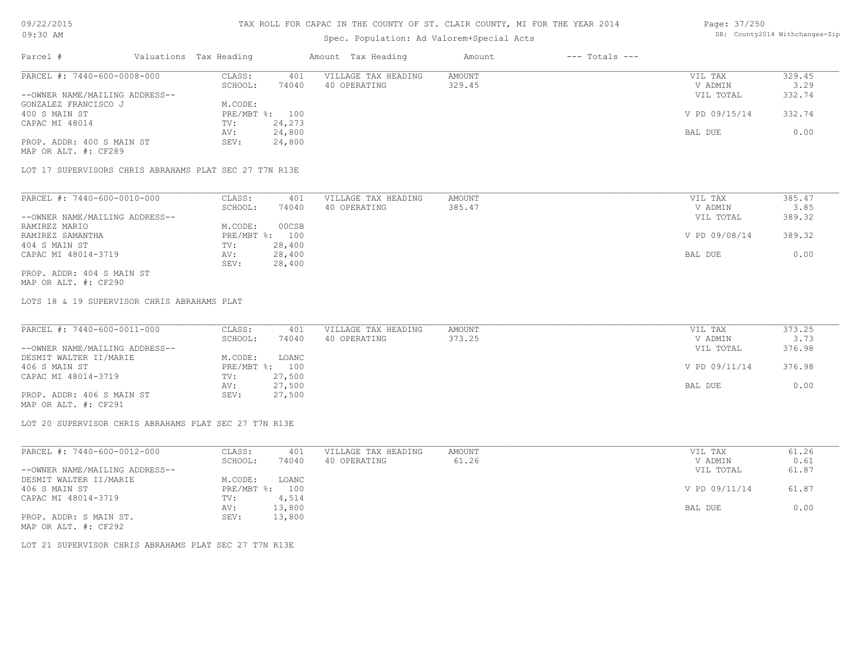## Spec. Population: Ad Valorem+Special Acts

|          |                                |                        |       | spec. ropulation. Ad valuiem special Acts |        |                |           |        |
|----------|--------------------------------|------------------------|-------|-------------------------------------------|--------|----------------|-----------|--------|
| Parcel # |                                | Valuations Tax Heading |       | Amount Tax Heading                        | Amount | --- Totals --- |           |        |
|          | PARCEL #: 7440-600-0008-000    | CLASS:                 |       | VILLAGE TAX HEADING                       | AMOUNT |                | VIL TAX   | 329.45 |
|          |                                | SCHOOL:                | 74040 | 40 OPERATING                              | 329.45 |                | V ADMIN   | 329    |
|          | --OWNER NAME/MAILING ADDRESS-- |                        |       |                                           |        |                | VIL TOTAL | 332.74 |

| --OWNER NAME/MAILING ADDRESS-- |                   | ATT LOIYT     | 332.14 |
|--------------------------------|-------------------|---------------|--------|
| GONZALEZ FRANCISCO J           | M.CODE:           |               |        |
| 400 S MAIN ST                  | PRE/MBT %:<br>100 | V PD 09/15/14 | 332.74 |
| CAPAC MI 48014                 | 24,273<br>TV:     |               |        |
|                                | 24,800<br>AV:     | BAL DUE       | 0.00   |
| PROP. ADDR: 400 S MAIN ST      | 24,800<br>SEV:    |               |        |
| MAP OR ALT. #: CF289           |                   |               |        |

LOT 17 SUPERVISORS CHRIS ABRAHAMS PLAT SEC 27 T7N R13E

| PARCEL #: 7440-600-0010-000    | CLASS:  | 401            | VILLAGE TAX HEADING | AMOUNT | VIL TAX       | 385.47 |
|--------------------------------|---------|----------------|---------------------|--------|---------------|--------|
|                                | SCHOOL: | 74040          | 40 OPERATING        | 385.47 | V ADMIN       | 3.85   |
| --OWNER NAME/MAILING ADDRESS-- |         |                |                     |        | VIL TOTAL     | 389.32 |
| RAMIREZ MARIO                  | M.CODE: | 00CSB          |                     |        |               |        |
| RAMIREZ SAMANTHA               |         | PRE/MBT %: 100 |                     |        | V PD 09/08/14 | 389.32 |
| 404 S MAIN ST                  | TV:     | 28,400         |                     |        |               |        |
| CAPAC MI 48014-3719            | AV:     | 28,400         |                     |        | BAL DUE       | 0.00   |
|                                | SEV:    | 28,400         |                     |        |               |        |
| PROP. ADDR: 404 S MAIN ST      |         |                |                     |        |               |        |

MAP OR ALT. #: CF290

LOTS 18 & 19 SUPERVISOR CHRIS ABRAHAMS PLAT

| PARCEL #: 7440-600-0011-000    | CLASS:  | 401            | VILLAGE TAX HEADING | AMOUNT | VIL TAX       | 373.25 |
|--------------------------------|---------|----------------|---------------------|--------|---------------|--------|
|                                | SCHOOL: | 74040          | 40 OPERATING        | 373.25 | V ADMIN       | 3.73   |
| --OWNER NAME/MAILING ADDRESS-- |         |                |                     |        | VIL TOTAL     | 376.98 |
| DESMIT WALTER II/MARIE         | M.CODE: | LOANC          |                     |        |               |        |
| 406 S MAIN ST                  |         | PRE/MBT %: 100 |                     |        | V PD 09/11/14 | 376.98 |
| CAPAC MI 48014-3719            | TV:     | 27,500         |                     |        |               |        |
|                                | AV:     | 27,500         |                     |        | BAL DUE       | 0.00   |
| PROP. ADDR: 406 S MAIN ST      | SEV:    | 27,500         |                     |        |               |        |
| MAP OR ALT. #: CF291           |         |                |                     |        |               |        |

LOT 20 SUPERVISOR CHRIS ABRAHAMS PLAT SEC 27 T7N R13E

| PARCEL #: 7440-600-0012-000    | CLASS:  | 401            | VILLAGE TAX HEADING | AMOUNT | VIL TAX       | 61.26 |
|--------------------------------|---------|----------------|---------------------|--------|---------------|-------|
|                                | SCHOOL: | 74040          | 40 OPERATING        | 61.26  | V ADMIN       | 0.61  |
| --OWNER NAME/MAILING ADDRESS-- |         |                |                     |        | VIL TOTAL     | 61.87 |
| DESMIT WALTER II/MARIE         | M.CODE: | LOANC          |                     |        |               |       |
| 406 S MAIN ST                  |         | PRE/MBT %: 100 |                     |        | V PD 09/11/14 | 61.87 |
| CAPAC MI 48014-3719            | TV:     | 4,514          |                     |        |               |       |
|                                | AV:     | 13,800         |                     |        | BAL DUE       | 0.00  |
| PROP. ADDR: S MAIN ST.         | SEV:    | 13,800         |                     |        |               |       |
| MAP OR ALT. #: CF292           |         |                |                     |        |               |       |

LOT 21 SUPERVISOR CHRIS ABRAHAMS PLAT SEC 27 T7N R13E

Page: 37/250 DB: County2014 Withchanges-Zip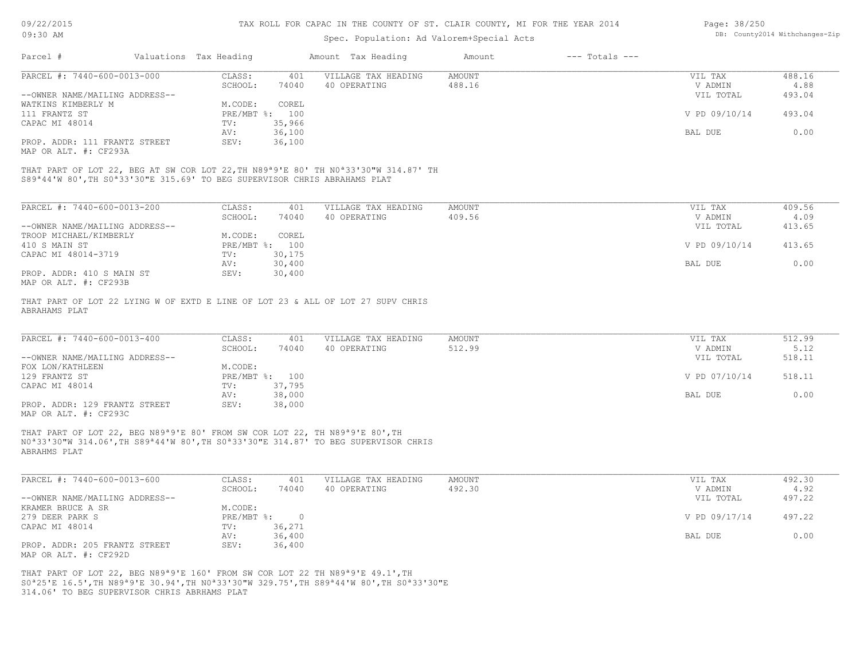| 09/22/2015                                                                                                                                | TAX ROLL FOR CAPAC IN THE COUNTY OF ST. CLAIR COUNTY, MI FOR THE YEAR 2014 | Page: 38/250   |                     |                                           |                    |                                |        |  |
|-------------------------------------------------------------------------------------------------------------------------------------------|----------------------------------------------------------------------------|----------------|---------------------|-------------------------------------------|--------------------|--------------------------------|--------|--|
| 09:30 AM                                                                                                                                  |                                                                            |                |                     | Spec. Population: Ad Valorem+Special Acts |                    | DB: County2014 Withchanges-Zip |        |  |
| Parcel #                                                                                                                                  | Valuations Tax Heading                                                     |                | Amount Tax Heading  | Amount                                    | $---$ Totals $---$ |                                |        |  |
| PARCEL #: 7440-600-0013-000                                                                                                               | CLASS:                                                                     | 401            | VILLAGE TAX HEADING | <b>AMOUNT</b>                             |                    | VIL TAX                        | 488.16 |  |
|                                                                                                                                           | SCHOOL:                                                                    | 74040          | 40 OPERATING        | 488.16                                    |                    | V ADMIN                        | 4.88   |  |
| --OWNER NAME/MAILING ADDRESS--<br>WATKINS KIMBERLY M                                                                                      | M.CODE:                                                                    | COREL          |                     |                                           |                    | VIL TOTAL                      | 493.04 |  |
| 111 FRANTZ ST                                                                                                                             | PRE/MBT %: 100                                                             |                |                     |                                           |                    | V PD 09/10/14                  | 493.04 |  |
| CAPAC MI 48014                                                                                                                            | TV:                                                                        | 35,966         |                     |                                           |                    |                                |        |  |
|                                                                                                                                           | AV:                                                                        | 36,100         |                     |                                           |                    | BAL DUE                        | 0.00   |  |
| PROP. ADDR: 111 FRANTZ STREET<br>MAP OR ALT. #: CF293A                                                                                    | SEV:                                                                       | 36,100         |                     |                                           |                    |                                |        |  |
| THAT PART OF LOT 22, BEG AT SW COR LOT 22, TH N89ª9'E 80' TH N0ª33'30"W 314.87' TH                                                        |                                                                            |                |                     |                                           |                    |                                |        |  |
| S89 <sup>ª</sup> 44'W 80', TH S0 <sup>ª</sup> 33'30"E 315.69' TO BEG SUPERVISOR CHRIS ABRAHAMS PLAT                                       |                                                                            |                |                     |                                           |                    |                                |        |  |
| PARCEL #: 7440-600-0013-200                                                                                                               | CLASS:                                                                     | 401            | VILLAGE TAX HEADING | <b>AMOUNT</b>                             |                    | VIL TAX                        | 409.56 |  |
|                                                                                                                                           | SCHOOL:                                                                    | 74040          | 40 OPERATING        | 409.56                                    |                    | V ADMIN                        | 4.09   |  |
| --OWNER NAME/MAILING ADDRESS--                                                                                                            |                                                                            |                |                     |                                           |                    | VIL TOTAL                      | 413.65 |  |
| TROOP MICHAEL/KIMBERLY                                                                                                                    | M.CODE:                                                                    | COREL          |                     |                                           |                    |                                |        |  |
| 410 S MAIN ST<br>CAPAC MI 48014-3719                                                                                                      | PRE/MBT %: 100<br>TV:                                                      | 30,175         |                     |                                           |                    | V PD 09/10/14                  | 413.65 |  |
|                                                                                                                                           | AV:                                                                        | 30,400         |                     |                                           |                    | BAL DUE                        | 0.00   |  |
| PROP. ADDR: 410 S MAIN ST                                                                                                                 | SEV:                                                                       | 30,400         |                     |                                           |                    |                                |        |  |
| MAP OR ALT. #: CF293B                                                                                                                     |                                                                            |                |                     |                                           |                    |                                |        |  |
| THAT PART OF LOT 22 LYING W OF EXTD E LINE OF LOT 23 & ALL OF LOT 27 SUPV CHRIS<br>ABRAHAMS PLAT                                          |                                                                            |                |                     |                                           |                    |                                |        |  |
|                                                                                                                                           |                                                                            |                |                     |                                           |                    |                                |        |  |
| PARCEL #: $7440-600-0013-400$                                                                                                             | CLASS:                                                                     | 401            | VILLAGE TAX HEADING | <b>AMOUNT</b>                             |                    | VIL TAX                        | 512.99 |  |
|                                                                                                                                           | SCHOOL:                                                                    | 74040          | 40 OPERATING        | 512.99                                    |                    | V ADMIN                        | 5.12   |  |
| --OWNER NAME/MAILING ADDRESS--<br>FOX LON/KATHLEEN                                                                                        | M.CODE:                                                                    |                |                     |                                           |                    | VIL TOTAL                      | 518.11 |  |
| 129 FRANTZ ST                                                                                                                             |                                                                            | PRE/MBT %: 100 |                     |                                           |                    | V PD 07/10/14                  | 518.11 |  |
| CAPAC MI 48014                                                                                                                            | TV:                                                                        | 37,795         |                     |                                           |                    |                                |        |  |
|                                                                                                                                           | AV:                                                                        | 38,000         |                     |                                           |                    | BAL DUE                        | 0.00   |  |
| PROP. ADDR: 129 FRANTZ STREET<br>MAP OR ALT. #: CF293C                                                                                    | SEV:                                                                       | 38,000         |                     |                                           |                    |                                |        |  |
| THAT PART OF LOT 22, BEG N89 <sup>a</sup> 9'E 80' FROM SW COR LOT 22, TH N89 <sup>a</sup> 9'E 80', TH                                     |                                                                            |                |                     |                                           |                    |                                |        |  |
| NO <sup>a</sup> 33'30"W 314.06', TH S89 <sup>a</sup> 44'W 80', TH S0 <sup>a</sup> 33'30"E 314.87' TO BEG SUPERVISOR CHRIS<br>ABRAHMS PLAT |                                                                            |                |                     |                                           |                    |                                |        |  |
|                                                                                                                                           |                                                                            |                |                     |                                           |                    |                                |        |  |

| PARCEL #: 7440-600-0013-600    | CLASS:     | 401    | VILLAGE TAX HEADING | AMOUNT | VIL TAX       | 492.30 |
|--------------------------------|------------|--------|---------------------|--------|---------------|--------|
|                                | SCHOOL:    | 74040  | 40 OPERATING        | 492.30 | V ADMIN       | 4.92   |
| --OWNER NAME/MAILING ADDRESS-- |            |        |                     |        | VIL TOTAL     | 497.22 |
| KRAMER BRUCE A SR              | M.CODE:    |        |                     |        |               |        |
| 279 DEER PARK S                | PRE/MBT %: |        |                     |        | V PD 09/17/14 | 497.22 |
| CAPAC MI 48014                 | TV:        | 36,271 |                     |        |               |        |
|                                | AV:        | 36,400 |                     |        | BAL DUE       | 0.00   |
| PROP. ADDR: 205 FRANTZ STREET  | SEV:       | 36,400 |                     |        |               |        |
| MAP OR ALT. #: CF292D          |            |        |                     |        |               |        |

\_\_\_\_\_\_\_\_\_\_\_\_\_\_\_\_\_\_\_\_\_\_\_\_\_\_\_\_\_\_\_\_\_\_\_\_\_\_\_\_\_\_\_\_\_\_\_\_\_\_\_\_\_\_\_\_\_\_\_\_\_\_\_\_\_\_\_\_\_\_\_\_\_\_\_\_\_\_\_\_\_\_\_\_\_\_\_\_\_\_\_\_\_\_\_\_\_\_\_\_\_\_\_\_\_\_\_\_\_\_\_\_\_\_\_\_\_\_\_\_\_\_\_\_\_\_\_\_\_\_\_\_\_\_\_\_\_\_\_\_\_\_\_\_\_\_\_\_\_\_\_\_\_\_\_\_\_\_\_\_\_\_\_\_\_\_\_\_\_\_\_\_\_\_\_

314.06' TO BEG SUPERVISOR CHRIS ABRHAMS PLAT S0ª25'E 16.5',TH N89ª9'E 30.94',TH N0ª33'30"W 329.75',TH S89ª44'W 80',TH S0ª33'30"E THAT PART OF LOT 22, BEG N89ª9'E 160' FROM SW COR LOT 22 TH N89ª9'E 49.1',TH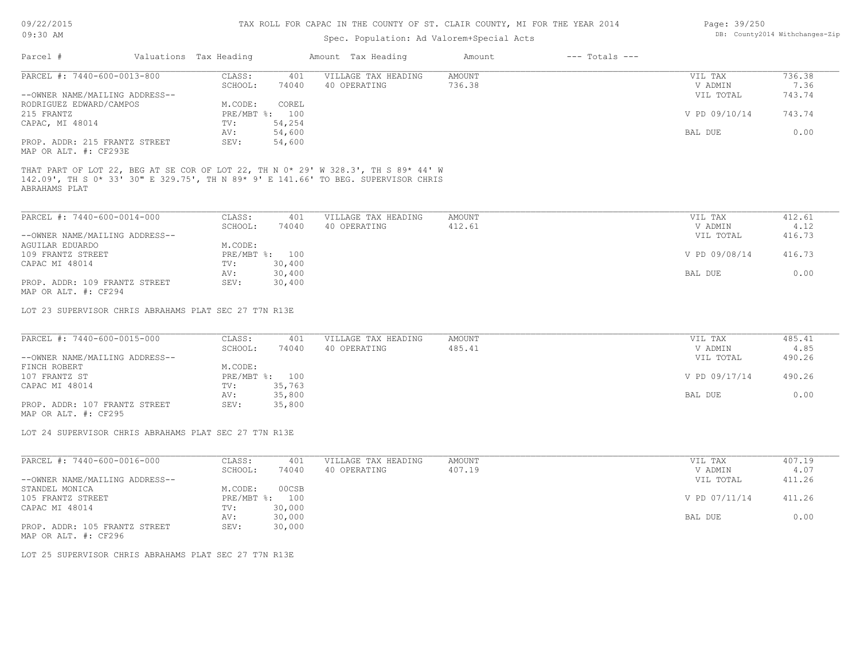| DB: County2014 Withchanges-Zip<br>09:30 AM<br>Spec. Population: Ad Valorem+Special Acts<br>Valuations Tax Heading<br>$---$ Totals $---$<br>Parcel #<br>Amount Tax Heading<br>Amount<br>PARCEL #: 7440-600-0013-800<br>CLASS:<br>VILLAGE TAX HEADING<br>736.38<br>401<br>AMOUNT<br>VIL TAX<br>SCHOOL:<br>74040<br>40 OPERATING<br>736.38<br>V ADMIN<br>7.36<br>--OWNER NAME/MAILING ADDRESS--<br>743.74<br>VIL TOTAL<br>RODRIGUEZ EDWARD/CAMPOS<br>M.CODE:<br>COREL<br>743.74<br>215 FRANTZ<br>PRE/MBT %: 100<br>V PD 09/10/14<br>54,254<br>TV:<br>54,600<br>BAL DUE<br>0.00<br>AV:<br>PROP. ADDR: 215 FRANTZ STREET<br>54,600<br>SEV:<br>VILLAGE TAX HEADING<br>CLASS:<br>401<br>AMOUNT<br>VIL TAX<br>412.61<br>SCHOOL:<br>40 OPERATING<br>412.61<br>V ADMIN<br>4.12<br>74040<br>--OWNER NAME/MAILING ADDRESS--<br>VIL TOTAL<br>416.73<br>M.CODE:<br>PRE/MBT %: 100<br>V PD 09/08/14<br>416.73<br>30,400<br>CAPAC MI 48014<br>TV:<br>30,400<br>0.00<br>AV:<br>BAL DUE<br>PROP. ADDR: 109 FRANTZ STREET<br>SEV:<br>30,400<br>LOT 23 SUPERVISOR CHRIS ABRAHAMS PLAT SEC 27 T7N R13E<br>PARCEL #: 7440-600-0015-000<br>485.41<br>CLASS:<br>401<br>AMOUNT<br>VILLAGE TAX HEADING<br>VIL TAX<br>40 OPERATING<br>485.41<br>SCHOOL:<br>74040<br>V ADMIN<br>4.85<br>--OWNER NAME/MAILING ADDRESS--<br>490.26<br>VIL TOTAL<br>M.CODE:<br>FINCH ROBERT<br>PRE/MBT %: 100<br>V PD 09/17/14<br>490.26<br>35,763<br>CAPAC MI 48014<br>TV:<br>0.00<br>35,800<br>BAL DUE<br>AV:<br>PROP. ADDR: 107 FRANTZ STREET<br>35,800<br>SEV:<br>LOT 24 SUPERVISOR CHRIS ABRAHAMS PLAT SEC 27 T7N R13E<br>PARCEL #: 7440-600-0016-000<br>407.19<br>CLASS:<br>VILLAGE TAX HEADING<br>AMOUNT<br>VIL TAX<br>401<br>SCHOOL:<br>74040<br>40 OPERATING<br>407.19<br>V ADMIN<br>4.07<br>411.26<br>--OWNER NAME/MAILING ADDRESS--<br>VIL TOTAL<br>M.CODE:<br>00CSB<br>PRE/MBT %: 100<br>V PD 07/11/14<br>411.26<br>30,000<br>$\texttt{TV}$ :<br>0.00<br>30,000<br>BAL DUE<br>AV:<br>30,000<br>PROP. ADDR: 105 FRANTZ STREET<br>SEV: |  |  |  |  |
|---------------------------------------------------------------------------------------------------------------------------------------------------------------------------------------------------------------------------------------------------------------------------------------------------------------------------------------------------------------------------------------------------------------------------------------------------------------------------------------------------------------------------------------------------------------------------------------------------------------------------------------------------------------------------------------------------------------------------------------------------------------------------------------------------------------------------------------------------------------------------------------------------------------------------------------------------------------------------------------------------------------------------------------------------------------------------------------------------------------------------------------------------------------------------------------------------------------------------------------------------------------------------------------------------------------------------------------------------------------------------------------------------------------------------------------------------------------------------------------------------------------------------------------------------------------------------------------------------------------------------------------------------------------------------------------------------------------------------------------------------------------------------------------------------------------------------------------------------------------------------------------------------------------------------------------------------------------------------------------------------|--|--|--|--|
|                                                                                                                                                                                                                                                                                                                                                                                                                                                                                                                                                                                                                                                                                                                                                                                                                                                                                                                                                                                                                                                                                                                                                                                                                                                                                                                                                                                                                                                                                                                                                                                                                                                                                                                                                                                                                                                                                                                                                                                                   |  |  |  |  |
|                                                                                                                                                                                                                                                                                                                                                                                                                                                                                                                                                                                                                                                                                                                                                                                                                                                                                                                                                                                                                                                                                                                                                                                                                                                                                                                                                                                                                                                                                                                                                                                                                                                                                                                                                                                                                                                                                                                                                                                                   |  |  |  |  |
| CAPAC, MI 48014<br>MAP OR ALT. #: CF293E<br>THAT PART OF LOT 22, BEG AT SE COR OF LOT 22, TH N 0* 29' W 328.3', TH S 89* 44' W<br>142.09', TH S 0* 33' 30" E 329.75', TH N 89* 9' E 141.66' TO BEG. SUPERVISOR CHRIS<br>ABRAHAMS PLAT<br>PARCEL #: 7440-600-0014-000                                                                                                                                                                                                                                                                                                                                                                                                                                                                                                                                                                                                                                                                                                                                                                                                                                                                                                                                                                                                                                                                                                                                                                                                                                                                                                                                                                                                                                                                                                                                                                                                                                                                                                                              |  |  |  |  |
|                                                                                                                                                                                                                                                                                                                                                                                                                                                                                                                                                                                                                                                                                                                                                                                                                                                                                                                                                                                                                                                                                                                                                                                                                                                                                                                                                                                                                                                                                                                                                                                                                                                                                                                                                                                                                                                                                                                                                                                                   |  |  |  |  |
|                                                                                                                                                                                                                                                                                                                                                                                                                                                                                                                                                                                                                                                                                                                                                                                                                                                                                                                                                                                                                                                                                                                                                                                                                                                                                                                                                                                                                                                                                                                                                                                                                                                                                                                                                                                                                                                                                                                                                                                                   |  |  |  |  |
|                                                                                                                                                                                                                                                                                                                                                                                                                                                                                                                                                                                                                                                                                                                                                                                                                                                                                                                                                                                                                                                                                                                                                                                                                                                                                                                                                                                                                                                                                                                                                                                                                                                                                                                                                                                                                                                                                                                                                                                                   |  |  |  |  |
|                                                                                                                                                                                                                                                                                                                                                                                                                                                                                                                                                                                                                                                                                                                                                                                                                                                                                                                                                                                                                                                                                                                                                                                                                                                                                                                                                                                                                                                                                                                                                                                                                                                                                                                                                                                                                                                                                                                                                                                                   |  |  |  |  |
|                                                                                                                                                                                                                                                                                                                                                                                                                                                                                                                                                                                                                                                                                                                                                                                                                                                                                                                                                                                                                                                                                                                                                                                                                                                                                                                                                                                                                                                                                                                                                                                                                                                                                                                                                                                                                                                                                                                                                                                                   |  |  |  |  |
|                                                                                                                                                                                                                                                                                                                                                                                                                                                                                                                                                                                                                                                                                                                                                                                                                                                                                                                                                                                                                                                                                                                                                                                                                                                                                                                                                                                                                                                                                                                                                                                                                                                                                                                                                                                                                                                                                                                                                                                                   |  |  |  |  |
|                                                                                                                                                                                                                                                                                                                                                                                                                                                                                                                                                                                                                                                                                                                                                                                                                                                                                                                                                                                                                                                                                                                                                                                                                                                                                                                                                                                                                                                                                                                                                                                                                                                                                                                                                                                                                                                                                                                                                                                                   |  |  |  |  |
|                                                                                                                                                                                                                                                                                                                                                                                                                                                                                                                                                                                                                                                                                                                                                                                                                                                                                                                                                                                                                                                                                                                                                                                                                                                                                                                                                                                                                                                                                                                                                                                                                                                                                                                                                                                                                                                                                                                                                                                                   |  |  |  |  |
|                                                                                                                                                                                                                                                                                                                                                                                                                                                                                                                                                                                                                                                                                                                                                                                                                                                                                                                                                                                                                                                                                                                                                                                                                                                                                                                                                                                                                                                                                                                                                                                                                                                                                                                                                                                                                                                                                                                                                                                                   |  |  |  |  |
| AGUILAR EDUARDO<br>109 FRANTZ STREET<br>MAP OR ALT. #: CF294<br>107 FRANTZ ST<br>STANDEL MONICA<br>MAP OR ALT. #: CF296                                                                                                                                                                                                                                                                                                                                                                                                                                                                                                                                                                                                                                                                                                                                                                                                                                                                                                                                                                                                                                                                                                                                                                                                                                                                                                                                                                                                                                                                                                                                                                                                                                                                                                                                                                                                                                                                           |  |  |  |  |
|                                                                                                                                                                                                                                                                                                                                                                                                                                                                                                                                                                                                                                                                                                                                                                                                                                                                                                                                                                                                                                                                                                                                                                                                                                                                                                                                                                                                                                                                                                                                                                                                                                                                                                                                                                                                                                                                                                                                                                                                   |  |  |  |  |
|                                                                                                                                                                                                                                                                                                                                                                                                                                                                                                                                                                                                                                                                                                                                                                                                                                                                                                                                                                                                                                                                                                                                                                                                                                                                                                                                                                                                                                                                                                                                                                                                                                                                                                                                                                                                                                                                                                                                                                                                   |  |  |  |  |
|                                                                                                                                                                                                                                                                                                                                                                                                                                                                                                                                                                                                                                                                                                                                                                                                                                                                                                                                                                                                                                                                                                                                                                                                                                                                                                                                                                                                                                                                                                                                                                                                                                                                                                                                                                                                                                                                                                                                                                                                   |  |  |  |  |
|                                                                                                                                                                                                                                                                                                                                                                                                                                                                                                                                                                                                                                                                                                                                                                                                                                                                                                                                                                                                                                                                                                                                                                                                                                                                                                                                                                                                                                                                                                                                                                                                                                                                                                                                                                                                                                                                                                                                                                                                   |  |  |  |  |
|                                                                                                                                                                                                                                                                                                                                                                                                                                                                                                                                                                                                                                                                                                                                                                                                                                                                                                                                                                                                                                                                                                                                                                                                                                                                                                                                                                                                                                                                                                                                                                                                                                                                                                                                                                                                                                                                                                                                                                                                   |  |  |  |  |
|                                                                                                                                                                                                                                                                                                                                                                                                                                                                                                                                                                                                                                                                                                                                                                                                                                                                                                                                                                                                                                                                                                                                                                                                                                                                                                                                                                                                                                                                                                                                                                                                                                                                                                                                                                                                                                                                                                                                                                                                   |  |  |  |  |
|                                                                                                                                                                                                                                                                                                                                                                                                                                                                                                                                                                                                                                                                                                                                                                                                                                                                                                                                                                                                                                                                                                                                                                                                                                                                                                                                                                                                                                                                                                                                                                                                                                                                                                                                                                                                                                                                                                                                                                                                   |  |  |  |  |
|                                                                                                                                                                                                                                                                                                                                                                                                                                                                                                                                                                                                                                                                                                                                                                                                                                                                                                                                                                                                                                                                                                                                                                                                                                                                                                                                                                                                                                                                                                                                                                                                                                                                                                                                                                                                                                                                                                                                                                                                   |  |  |  |  |
|                                                                                                                                                                                                                                                                                                                                                                                                                                                                                                                                                                                                                                                                                                                                                                                                                                                                                                                                                                                                                                                                                                                                                                                                                                                                                                                                                                                                                                                                                                                                                                                                                                                                                                                                                                                                                                                                                                                                                                                                   |  |  |  |  |
|                                                                                                                                                                                                                                                                                                                                                                                                                                                                                                                                                                                                                                                                                                                                                                                                                                                                                                                                                                                                                                                                                                                                                                                                                                                                                                                                                                                                                                                                                                                                                                                                                                                                                                                                                                                                                                                                                                                                                                                                   |  |  |  |  |
|                                                                                                                                                                                                                                                                                                                                                                                                                                                                                                                                                                                                                                                                                                                                                                                                                                                                                                                                                                                                                                                                                                                                                                                                                                                                                                                                                                                                                                                                                                                                                                                                                                                                                                                                                                                                                                                                                                                                                                                                   |  |  |  |  |
|                                                                                                                                                                                                                                                                                                                                                                                                                                                                                                                                                                                                                                                                                                                                                                                                                                                                                                                                                                                                                                                                                                                                                                                                                                                                                                                                                                                                                                                                                                                                                                                                                                                                                                                                                                                                                                                                                                                                                                                                   |  |  |  |  |
|                                                                                                                                                                                                                                                                                                                                                                                                                                                                                                                                                                                                                                                                                                                                                                                                                                                                                                                                                                                                                                                                                                                                                                                                                                                                                                                                                                                                                                                                                                                                                                                                                                                                                                                                                                                                                                                                                                                                                                                                   |  |  |  |  |
|                                                                                                                                                                                                                                                                                                                                                                                                                                                                                                                                                                                                                                                                                                                                                                                                                                                                                                                                                                                                                                                                                                                                                                                                                                                                                                                                                                                                                                                                                                                                                                                                                                                                                                                                                                                                                                                                                                                                                                                                   |  |  |  |  |
|                                                                                                                                                                                                                                                                                                                                                                                                                                                                                                                                                                                                                                                                                                                                                                                                                                                                                                                                                                                                                                                                                                                                                                                                                                                                                                                                                                                                                                                                                                                                                                                                                                                                                                                                                                                                                                                                                                                                                                                                   |  |  |  |  |
| MAP OR ALT. #: CF295<br>105 FRANTZ STREET<br>CAPAC MI 48014<br>LOT 25 SUPERVISOR CHRIS ABRAHAMS PLAT SEC 27 T7N R13E                                                                                                                                                                                                                                                                                                                                                                                                                                                                                                                                                                                                                                                                                                                                                                                                                                                                                                                                                                                                                                                                                                                                                                                                                                                                                                                                                                                                                                                                                                                                                                                                                                                                                                                                                                                                                                                                              |  |  |  |  |
|                                                                                                                                                                                                                                                                                                                                                                                                                                                                                                                                                                                                                                                                                                                                                                                                                                                                                                                                                                                                                                                                                                                                                                                                                                                                                                                                                                                                                                                                                                                                                                                                                                                                                                                                                                                                                                                                                                                                                                                                   |  |  |  |  |
|                                                                                                                                                                                                                                                                                                                                                                                                                                                                                                                                                                                                                                                                                                                                                                                                                                                                                                                                                                                                                                                                                                                                                                                                                                                                                                                                                                                                                                                                                                                                                                                                                                                                                                                                                                                                                                                                                                                                                                                                   |  |  |  |  |
|                                                                                                                                                                                                                                                                                                                                                                                                                                                                                                                                                                                                                                                                                                                                                                                                                                                                                                                                                                                                                                                                                                                                                                                                                                                                                                                                                                                                                                                                                                                                                                                                                                                                                                                                                                                                                                                                                                                                                                                                   |  |  |  |  |
|                                                                                                                                                                                                                                                                                                                                                                                                                                                                                                                                                                                                                                                                                                                                                                                                                                                                                                                                                                                                                                                                                                                                                                                                                                                                                                                                                                                                                                                                                                                                                                                                                                                                                                                                                                                                                                                                                                                                                                                                   |  |  |  |  |
|                                                                                                                                                                                                                                                                                                                                                                                                                                                                                                                                                                                                                                                                                                                                                                                                                                                                                                                                                                                                                                                                                                                                                                                                                                                                                                                                                                                                                                                                                                                                                                                                                                                                                                                                                                                                                                                                                                                                                                                                   |  |  |  |  |
|                                                                                                                                                                                                                                                                                                                                                                                                                                                                                                                                                                                                                                                                                                                                                                                                                                                                                                                                                                                                                                                                                                                                                                                                                                                                                                                                                                                                                                                                                                                                                                                                                                                                                                                                                                                                                                                                                                                                                                                                   |  |  |  |  |
|                                                                                                                                                                                                                                                                                                                                                                                                                                                                                                                                                                                                                                                                                                                                                                                                                                                                                                                                                                                                                                                                                                                                                                                                                                                                                                                                                                                                                                                                                                                                                                                                                                                                                                                                                                                                                                                                                                                                                                                                   |  |  |  |  |
|                                                                                                                                                                                                                                                                                                                                                                                                                                                                                                                                                                                                                                                                                                                                                                                                                                                                                                                                                                                                                                                                                                                                                                                                                                                                                                                                                                                                                                                                                                                                                                                                                                                                                                                                                                                                                                                                                                                                                                                                   |  |  |  |  |
|                                                                                                                                                                                                                                                                                                                                                                                                                                                                                                                                                                                                                                                                                                                                                                                                                                                                                                                                                                                                                                                                                                                                                                                                                                                                                                                                                                                                                                                                                                                                                                                                                                                                                                                                                                                                                                                                                                                                                                                                   |  |  |  |  |
|                                                                                                                                                                                                                                                                                                                                                                                                                                                                                                                                                                                                                                                                                                                                                                                                                                                                                                                                                                                                                                                                                                                                                                                                                                                                                                                                                                                                                                                                                                                                                                                                                                                                                                                                                                                                                                                                                                                                                                                                   |  |  |  |  |
|                                                                                                                                                                                                                                                                                                                                                                                                                                                                                                                                                                                                                                                                                                                                                                                                                                                                                                                                                                                                                                                                                                                                                                                                                                                                                                                                                                                                                                                                                                                                                                                                                                                                                                                                                                                                                                                                                                                                                                                                   |  |  |  |  |
|                                                                                                                                                                                                                                                                                                                                                                                                                                                                                                                                                                                                                                                                                                                                                                                                                                                                                                                                                                                                                                                                                                                                                                                                                                                                                                                                                                                                                                                                                                                                                                                                                                                                                                                                                                                                                                                                                                                                                                                                   |  |  |  |  |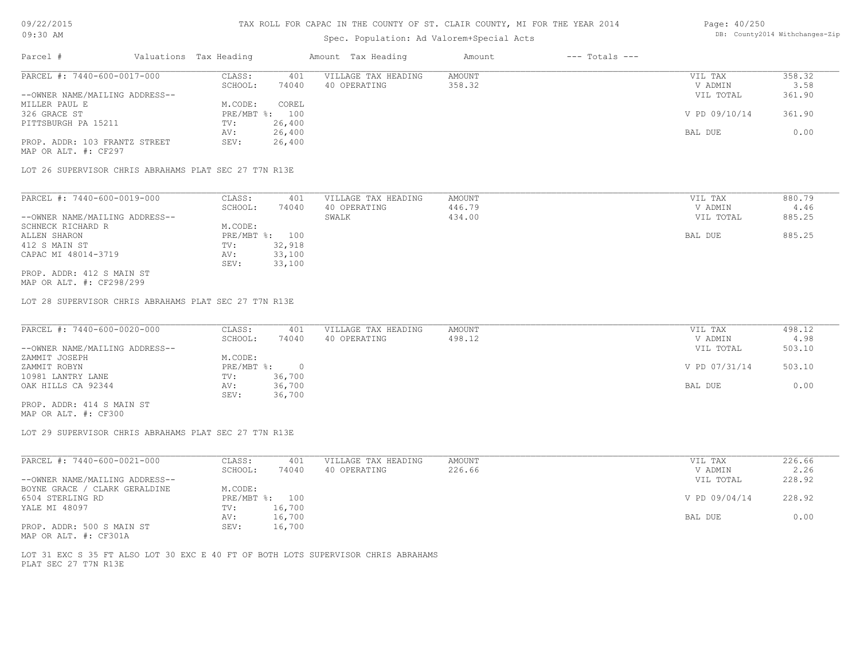## Spec. Population: Ad Valorem+Special Acts

| Page: 40/250 |                                |
|--------------|--------------------------------|
|              | DB: County2014 Withchanges-Zip |

| Parcel #                                              | Valuations Tax Heading |        | Amount Tax Heading  | Amount | $---$ Totals $---$ |               |        |
|-------------------------------------------------------|------------------------|--------|---------------------|--------|--------------------|---------------|--------|
| PARCEL #: 7440-600-0017-000                           | CLASS:                 | 401    | VILLAGE TAX HEADING | AMOUNT |                    | VIL TAX       | 358.32 |
|                                                       | SCHOOL:                | 74040  | 40 OPERATING        | 358.32 |                    | V ADMIN       | 3.58   |
| --OWNER NAME/MAILING ADDRESS--                        |                        |        |                     |        |                    | VIL TOTAL     | 361.90 |
| MILLER PAUL E                                         | M.CODE:                | COREL  |                     |        |                    |               |        |
| 326 GRACE ST                                          | PRE/MBT %:             | 100    |                     |        |                    | V PD 09/10/14 | 361.90 |
| PITTSBURGH PA 15211                                   | TV:                    | 26,400 |                     |        |                    |               |        |
|                                                       | AV:                    | 26,400 |                     |        |                    | BAL DUE       | 0.00   |
| PROP. ADDR: 103 FRANTZ STREET                         | SEV:                   | 26,400 |                     |        |                    |               |        |
| MAP OR ALT. #: CF297                                  |                        |        |                     |        |                    |               |        |
|                                                       |                        |        |                     |        |                    |               |        |
| LOT 26 SUPERVISOR CHRIS ABRAHAMS PLAT SEC 27 T7N R13E |                        |        |                     |        |                    |               |        |
|                                                       |                        |        |                     |        |                    |               |        |
| PARCEL #: 7440-600-0019-000                           | CLASS:                 | 401    | VILLAGE TAX HEADING | AMOUNT |                    | VIL TAX       | 880.79 |
|                                                       | SCHOOL:                | 74040  | 40 OPERATING        | 446.79 |                    | V ADMIN       | 4.46   |
| --OWNER NAME/MAILING ADDRESS--                        |                        |        | SWALK               | 434.00 |                    | VIL TOTAL     | 885.25 |
| SCHNECK RICHARD R                                     | M.CODE:                |        |                     |        |                    |               |        |
| ALLEN SHARON                                          | $PRE/MBT$ %:           | 100    |                     |        |                    | BAL DUE       | 885.25 |
| 412 S MAIN ST                                         | TV:                    | 32,918 |                     |        |                    |               |        |
| CAPAC MI 48014-3719                                   | AV:                    | 33,100 |                     |        |                    |               |        |

MAP OR ALT. #: CF298/299 PROP. ADDR: 412 S MAIN ST

LOT 28 SUPERVISOR CHRIS ABRAHAMS PLAT SEC 27 T7N R13E

SEV: 33,100

| PARCEL #: 7440-600-0020-000    | CLASS:     | 401    | VILLAGE TAX HEADING | AMOUNT | VIL TAX       | 498.12 |
|--------------------------------|------------|--------|---------------------|--------|---------------|--------|
|                                | SCHOOL:    | 74040  | 40 OPERATING        | 498.12 | V ADMIN       | 4.98   |
| --OWNER NAME/MAILING ADDRESS-- |            |        |                     |        | VIL TOTAL     | 503.10 |
| ZAMMIT JOSEPH                  | M.CODE:    |        |                     |        |               |        |
| ZAMMIT ROBYN                   | PRE/MBT %: |        |                     |        | V PD 07/31/14 | 503.10 |
| 10981 LANTRY LANE              | TV:        | 36,700 |                     |        |               |        |
| OAK HILLS CA 92344             | AV:        | 36,700 |                     |        | BAL DUE       | 0.00   |
|                                | SEV:       | 36,700 |                     |        |               |        |
| PROP. ADDR: 414 S MAIN ST      |            |        |                     |        |               |        |

MAP OR ALT. #: CF300

LOT 29 SUPERVISOR CHRIS ABRAHAMS PLAT SEC 27 T7N R13E

| PARCEL #: 7440-600-0021-000    | CLASS:       | 401    | VILLAGE TAX HEADING | AMOUNT | VIL TAX       | 226.66 |
|--------------------------------|--------------|--------|---------------------|--------|---------------|--------|
|                                | SCHOOL:      | 74040  | 40 OPERATING        | 226.66 | V ADMIN       | 2.26   |
| --OWNER NAME/MAILING ADDRESS-- |              |        |                     |        | VIL TOTAL     | 228.92 |
| BOYNE GRACE / CLARK GERALDINE  | M.CODE:      |        |                     |        |               |        |
| 6504 STERLING RD               | $PRE/MBT$ %: | 100    |                     |        | V PD 09/04/14 | 228.92 |
| YALE MI 48097                  | TV:          | 16,700 |                     |        |               |        |
|                                | AV:          | 16,700 |                     |        | BAL DUE       | 0.00   |
| PROP. ADDR: 500 S MAIN ST      | SEV:         | 16,700 |                     |        |               |        |
|                                |              |        |                     |        |               |        |

MAP OR ALT. #: CF301A

PLAT SEC 27 T7N R13E LOT 31 EXC S 35 FT ALSO LOT 30 EXC E 40 FT OF BOTH LOTS SUPERVISOR CHRIS ABRAHAMS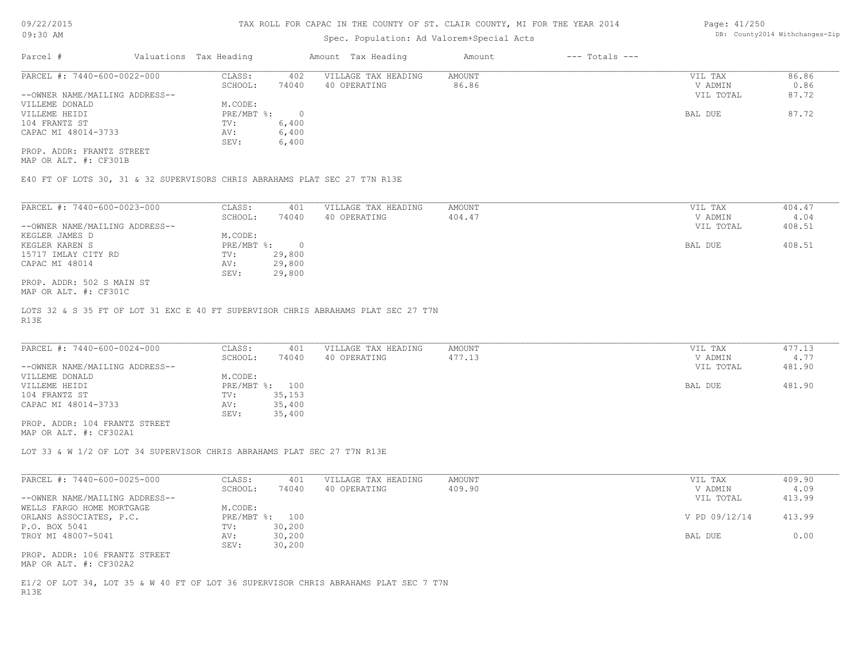## Spec. Population: Ad Valorem+Special Acts

| 14 | Page: 41/250 |                                |
|----|--------------|--------------------------------|
|    |              | DB: County2014 Withchanges-Zip |
|    |              |                                |

| Parcel #                       | Valuations Tax Heading |       | Amount Tax Heading  | Amount | $---$ Totals $---$ |           |       |
|--------------------------------|------------------------|-------|---------------------|--------|--------------------|-----------|-------|
| PARCEL #: 7440-600-0022-000    | CLASS:                 | 402   | VILLAGE TAX HEADING | AMOUNT |                    | VIL TAX   | 86.86 |
|                                | SCHOOL:                | 74040 | 40 OPERATING        | 86.86  |                    | V ADMIN   | 0.86  |
| --OWNER NAME/MAILING ADDRESS-- |                        |       |                     |        |                    | VIL TOTAL | 87.72 |
| VILLEME DONALD                 | M.CODE:                |       |                     |        |                    |           |       |
| VILLEME HEIDI                  | PRE/MBT %:             |       |                     |        |                    | BAL DUE   | 87.72 |
| 104 FRANTZ ST                  | TV:                    | 6,400 |                     |        |                    |           |       |
| CAPAC MI 48014-3733            | AV:                    | 6,400 |                     |        |                    |           |       |
|                                | SEV:                   | 6,400 |                     |        |                    |           |       |
|                                |                        |       |                     |        |                    |           |       |

MAP OR ALT. #: CF301B PROP. ADDR: FRANTZ STREET

E40 FT OF LOTS 30, 31 & 32 SUPERVISORS CHRIS ABRAHAMS PLAT SEC 27 T7N R13E

| PARCEL #: 7440-600-0023-000    | CLASS:     | 401    | VILLAGE TAX HEADING | AMOUNT | VIL TAX   | 404.47 |
|--------------------------------|------------|--------|---------------------|--------|-----------|--------|
|                                | SCHOOL:    | 74040  | 40 OPERATING        | 404.47 | V ADMIN   | 4.04   |
| --OWNER NAME/MAILING ADDRESS-- |            |        |                     |        | VIL TOTAL | 408.51 |
| KEGLER JAMES D                 | M.CODE:    |        |                     |        |           |        |
| KEGLER KAREN S                 | PRE/MBT %: | $\cap$ |                     |        | BAL DUE   | 408.51 |
| 15717 IMLAY CITY RD            | TV:        | 29,800 |                     |        |           |        |
| CAPAC MI 48014                 | AV:        | 29,800 |                     |        |           |        |
|                                | SEV:       | 29,800 |                     |        |           |        |
| PROP. ADDR: 502 S MAIN ST      |            |        |                     |        |           |        |
| MAP OR ALT. #: CF301C          |            |        |                     |        |           |        |

R13E LOTS 32 & S 35 FT OF LOT 31 EXC E 40 FT SUPERVISOR CHRIS ABRAHAMS PLAT SEC 27 T7N

| PARCEL #: 7440-600-0024-000    | CLASS:  | 401            | VILLAGE TAX HEADING | AMOUNT | VIL TAX   | 477.13 |
|--------------------------------|---------|----------------|---------------------|--------|-----------|--------|
|                                | SCHOOL: | 74040          | 40 OPERATING        | 477.13 | V ADMIN   | 4.77   |
| --OWNER NAME/MAILING ADDRESS-- |         |                |                     |        | VIL TOTAL | 481.90 |
| VILLEME DONALD                 | M.CODE: |                |                     |        |           |        |
| VILLEME HEIDI                  |         | PRE/MBT %: 100 |                     |        | BAL DUE   | 481.90 |
| 104 FRANTZ ST                  | TV:     | 35,153         |                     |        |           |        |
| CAPAC MI 48014-3733            | AV:     | 35,400         |                     |        |           |        |
|                                | SEV:    | 35,400         |                     |        |           |        |
| PROP. ADDR: 104 FRANTZ STREET  |         |                |                     |        |           |        |

MAP OR ALT. #: CF302A1

LOT 33 & W 1/2 OF LOT 34 SUPERVISOR CHRIS ABRAHAMS PLAT SEC 27 T7N R13E

| PARCEL #: 7440-600-0025-000    | CLASS:  | 401            | VILLAGE TAX HEADING | AMOUNT | VIL TAX       | 409.90 |
|--------------------------------|---------|----------------|---------------------|--------|---------------|--------|
|                                | SCHOOL: | 74040          | 40 OPERATING        | 409.90 | V ADMIN       | 4.09   |
| --OWNER NAME/MAILING ADDRESS-- |         |                |                     |        | VIL TOTAL     | 413.99 |
| WELLS FARGO HOME MORTGAGE      | M.CODE: |                |                     |        |               |        |
| ORLANS ASSOCIATES, P.C.        |         | PRE/MBT %: 100 |                     |        | V PD 09/12/14 | 413.99 |
| P.O. BOX 5041                  | TV:     | 30,200         |                     |        |               |        |
| TROY MI 48007-5041             | AV:     | 30,200         |                     |        | BAL DUE       | 0.00   |
|                                | SEV:    | 30,200         |                     |        |               |        |
| PROP. ADDR: 106 FRANTZ STREET  |         |                |                     |        |               |        |
| MAP OR ALT. #: CF302A2         |         |                |                     |        |               |        |

R13E E1/2 OF LOT 34, LOT 35 & W 40 FT OF LOT 36 SUPERVISOR CHRIS ABRAHAMS PLAT SEC 7 T7N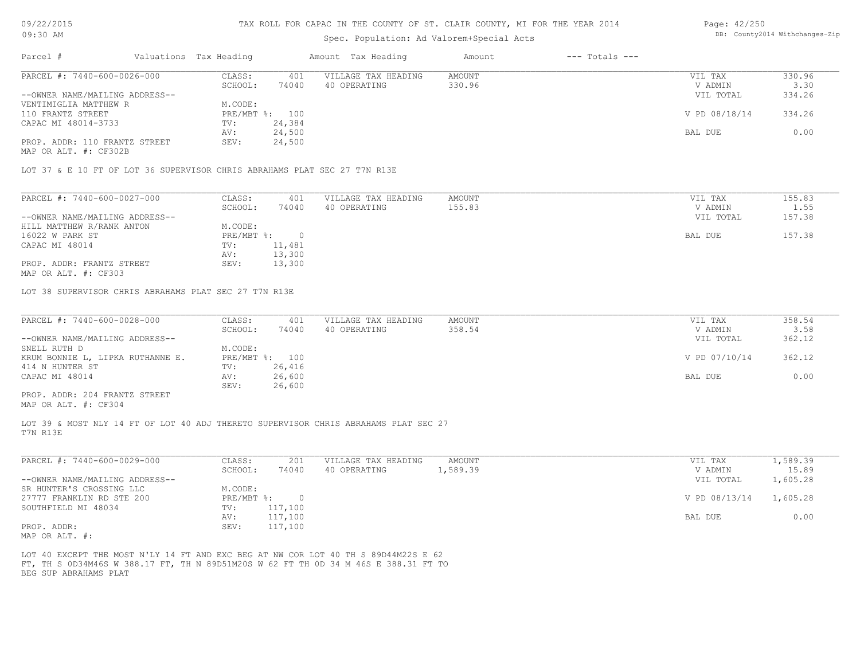## Spec. Population: Ad Valorem+Special Acts

#### Page: 42/250 DB: County2014 Withchanges-Zip

| Parcel #                       | Valuations Tax Heading |                | Amount Tax Heading  | Amount | $---$ Totals $---$ |               |        |
|--------------------------------|------------------------|----------------|---------------------|--------|--------------------|---------------|--------|
| PARCEL #: 7440-600-0026-000    | CLASS:                 | 401            | VILLAGE TAX HEADING | AMOUNT |                    | VIL TAX       | 330.96 |
|                                | SCHOOL:                | 74040          | 40 OPERATING        | 330.96 |                    | V ADMIN       | 3.30   |
| --OWNER NAME/MAILING ADDRESS-- |                        |                |                     |        |                    | VIL TOTAL     | 334.26 |
| VENTIMIGLIA MATTHEW R          | M.CODE:                |                |                     |        |                    |               |        |
| 110 FRANTZ STREET              |                        | PRE/MBT %: 100 |                     |        |                    | V PD 08/18/14 | 334.26 |
| CAPAC MI 48014-3733            | TV:                    | 24,384         |                     |        |                    |               |        |
|                                | AV:                    | 24,500         |                     |        |                    | BAL DUE       | 0.00   |
| PROP. ADDR: 110 FRANTZ STREET  | SEV:                   | 24,500         |                     |        |                    |               |        |
| MAP OR ALT. #: CF302B          |                        |                |                     |        |                    |               |        |
|                                |                        |                |                     |        |                    |               |        |

LOT 37 & E 10 FT OF LOT 36 SUPERVISOR CHRIS ABRAHAMS PLAT SEC 27 T7N R13E

| PARCEL #: 7440-600-0027-000    | CLASS:       | 401    | VILLAGE TAX HEADING | AMOUNT | VIL TAX   | 155.83 |
|--------------------------------|--------------|--------|---------------------|--------|-----------|--------|
|                                | SCHOOL:      | 74040  | 40 OPERATING        | 155.83 | V ADMIN   | 1.55   |
| --OWNER NAME/MAILING ADDRESS-- |              |        |                     |        | VIL TOTAL | 157.38 |
| HILL MATTHEW R/RANK ANTON      | M.CODE:      |        |                     |        |           |        |
| 16022 W PARK ST                | $PRE/MBT$ %: |        |                     |        | BAL DUE   | 157.38 |
| CAPAC MI 48014                 | TV:          | 11,481 |                     |        |           |        |
|                                | AV:          | 13,300 |                     |        |           |        |
| PROP. ADDR: FRANTZ STREET      | SEV:         | 13,300 |                     |        |           |        |
| MAP OR ALT. #: CF303           |              |        |                     |        |           |        |

LOT 38 SUPERVISOR CHRIS ABRAHAMS PLAT SEC 27 T7N R13E

| PARCEL #: 7440-600-0028-000      | CLASS:     | 401    | VILLAGE TAX HEADING | AMOUNT | VIL TAX       | 358.54 |
|----------------------------------|------------|--------|---------------------|--------|---------------|--------|
|                                  | SCHOOL:    | 74040  | 40 OPERATING        | 358.54 | V ADMIN       | 3.58   |
| --OWNER NAME/MAILING ADDRESS--   |            |        |                     |        | VIL TOTAL     | 362.12 |
| SNELL RUTH D                     | M.CODE:    |        |                     |        |               |        |
| KRUM BONNIE L, LIPKA RUTHANNE E. | PRE/MBT %: | 100    |                     |        | V PD 07/10/14 | 362.12 |
| 414 N HUNTER ST                  | TV:        | 26,416 |                     |        |               |        |
| CAPAC MI 48014                   | AV:        | 26,600 |                     |        | BAL DUE       | 0.00   |
|                                  | SEV:       | 26,600 |                     |        |               |        |
| PROP. ADDR: 204 FRANTZ STREET    |            |        |                     |        |               |        |

 $\mathcal{L}_\mathcal{L} = \mathcal{L}_\mathcal{L} = \mathcal{L}_\mathcal{L} = \mathcal{L}_\mathcal{L} = \mathcal{L}_\mathcal{L} = \mathcal{L}_\mathcal{L} = \mathcal{L}_\mathcal{L} = \mathcal{L}_\mathcal{L} = \mathcal{L}_\mathcal{L} = \mathcal{L}_\mathcal{L} = \mathcal{L}_\mathcal{L} = \mathcal{L}_\mathcal{L} = \mathcal{L}_\mathcal{L} = \mathcal{L}_\mathcal{L} = \mathcal{L}_\mathcal{L} = \mathcal{L}_\mathcal{L} = \mathcal{L}_\mathcal{L}$ 

MAP OR ALT. #: CF304

T7N R13E LOT 39 & MOST NLY 14 FT OF LOT 40 ADJ THERETO SUPERVISOR CHRIS ABRAHAMS PLAT SEC 27

| PARCEL #: 7440-600-0029-000    | CLASS:     | 201     | VILLAGE TAX HEADING | AMOUNT   | VIL TAX       | .,589.39 |
|--------------------------------|------------|---------|---------------------|----------|---------------|----------|
|                                | SCHOOL:    | 74040   | 40 OPERATING        | 1,589.39 | V ADMIN       | 15.89    |
| --OWNER NAME/MAILING ADDRESS-- |            |         |                     |          | VIL TOTAL     | 1,605.28 |
| SR HUNTER'S CROSSING LLC       | M.CODE:    |         |                     |          |               |          |
| 27777 FRANKLIN RD STE 200      | PRE/MBT %: |         |                     |          | V PD 08/13/14 | 1,605.28 |
| SOUTHFIELD MI 48034            | TV:        | 117,100 |                     |          |               |          |
|                                | AV:        | 117,100 |                     |          | BAL DUE       | 0.00     |
| PROP. ADDR:                    | SEV:       | 117,100 |                     |          |               |          |
| $\frac{1}{2}$                  |            |         |                     |          |               |          |

MAP OR ALT. #:

BEG SUP ABRAHAMS PLAT FT, TH S 0D34M46S W 388.17 FT, TH N 89D51M20S W 62 FT TH 0D 34 M 46S E 388.31 FT TO LOT 40 EXCEPT THE MOST N'LY 14 FT AND EXC BEG AT NW COR LOT 40 TH S 89D44M22S E 62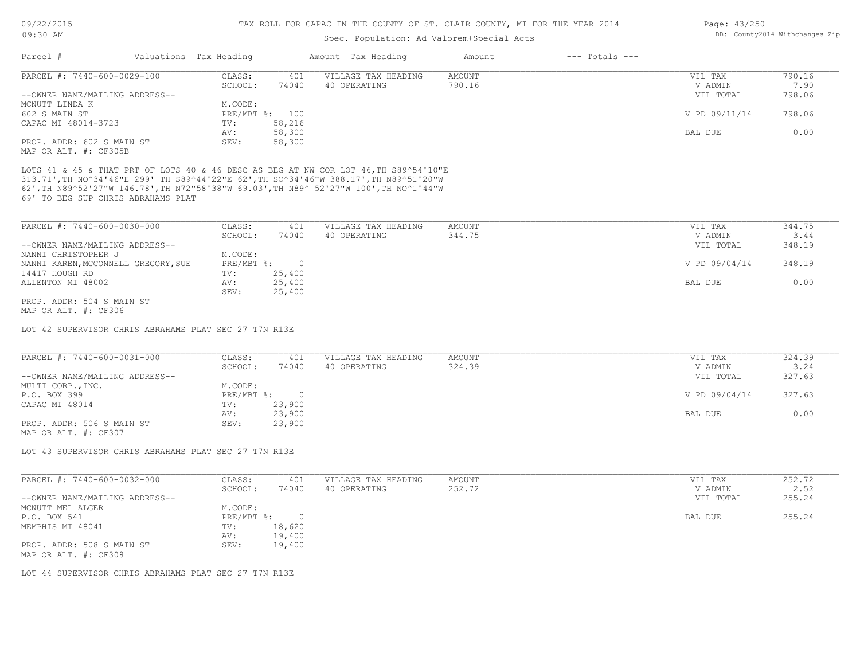## Spec. Population: Ad Valorem+Special Acts

| Page: 43/250 |                                |
|--------------|--------------------------------|
|              | DB: County2014 Withchanges-Zip |

| Parcel #                            | Valuations Tax Heading |                | Amount Tax Heading                                                                 | Amount | $---$ Totals $---$ |               |        |
|-------------------------------------|------------------------|----------------|------------------------------------------------------------------------------------|--------|--------------------|---------------|--------|
| PARCEL #: 7440-600-0029-100         | CLASS:                 | 401            | VILLAGE TAX HEADING                                                                | AMOUNT |                    | VIL TAX       | 790.16 |
|                                     | SCHOOL:                | 74040          | 40 OPERATING                                                                       | 790.16 |                    | V ADMIN       | 7.90   |
| --OWNER NAME/MAILING ADDRESS--      |                        |                |                                                                                    |        |                    | VIL TOTAL     | 798.06 |
| MCNUTT LINDA K                      | M.CODE:                |                |                                                                                    |        |                    |               |        |
| 602 S MAIN ST                       | $PRE/MBT$ %:           | 100            |                                                                                    |        |                    | V PD 09/11/14 | 798.06 |
| CAPAC MI 48014-3723                 | TV:                    | 58,216         |                                                                                    |        |                    |               |        |
|                                     | AV:                    | 58,300         |                                                                                    |        |                    | BAL DUE       | 0.00   |
| PROP. ADDR: 602 S MAIN ST           | SEV:                   | 58,300         |                                                                                    |        |                    |               |        |
| MAP OR ALT. #: CF305B               |                        |                |                                                                                    |        |                    |               |        |
| 69' TO BEG SUP CHRIS ABRAHAMS PLAT  |                        |                | 62',TH N89^52'27"W 146.78',TH N72"58'38"W 69.03',TH N89^ 52'27"W 100',TH NO^1'44"W |        |                    |               |        |
| PARCEL #: 7440-600-0030-000         | CLASS:                 | 401            | VILLAGE TAX HEADING                                                                | AMOUNT |                    | VIL TAX       | 344.75 |
|                                     | SCHOOL:                | 74040          | 40 OPERATING                                                                       | 344.75 |                    | V ADMIN       | 3.44   |
| --OWNER NAME/MAILING ADDRESS--      |                        |                |                                                                                    |        |                    | VIL TOTAL     | 348.19 |
| NANNI CHRISTOPHER J                 | M.CODE:                |                |                                                                                    |        |                    |               |        |
| NANNI KAREN, MCCONNELL GREGORY, SUE | $PRE/MBT$ $\div$       | $\overline{0}$ |                                                                                    |        |                    | V PD 09/04/14 | 348.19 |
| 14417 HOUGH RD                      | TV:                    | 25,400         |                                                                                    |        |                    |               |        |
| ALLENTON MI 48002                   | AV:                    | 25,400         |                                                                                    |        |                    | BAL DUE       | 0.00   |
|                                     | SEV:                   | 25,400         |                                                                                    |        |                    |               |        |

MAP OR ALT. #: CF306 PROP. ADDR: 504 S MAIN ST

LOT 42 SUPERVISOR CHRIS ABRAHAMS PLAT SEC 27 T7N R13E

| PARCEL #: 7440-600-0031-000    | CLASS:       | 401    | VILLAGE TAX HEADING | AMOUNT | VIL TAX       | 324.39 |
|--------------------------------|--------------|--------|---------------------|--------|---------------|--------|
|                                | SCHOOL:      | 74040  | 40 OPERATING        | 324.39 | V ADMIN       | 3.24   |
| --OWNER NAME/MAILING ADDRESS-- |              |        |                     |        | VIL TOTAL     | 327.63 |
| MULTI CORP., INC.              | M.CODE:      |        |                     |        |               |        |
| P.O. BOX 399                   | $PRE/MBT$ %: |        |                     |        | V PD 09/04/14 | 327.63 |
| CAPAC MI 48014                 | TV:          | 23,900 |                     |        |               |        |
|                                | AV:          | 23,900 |                     |        | BAL DUE       | 0.00   |
| PROP. ADDR: 506 S MAIN ST      | SEV:         | 23,900 |                     |        |               |        |
| MAP OR ALT. #: CF307           |              |        |                     |        |               |        |

LOT 43 SUPERVISOR CHRIS ABRAHAMS PLAT SEC 27 T7N R13E

| PARCEL #: 7440-600-0032-000    | CLASS:     | 401    | VILLAGE TAX HEADING | AMOUNT | VIL TAX   | 252.72 |
|--------------------------------|------------|--------|---------------------|--------|-----------|--------|
|                                | SCHOOL:    | 74040  | 40 OPERATING        | 252.72 | V ADMIN   | 2.52   |
| --OWNER NAME/MAILING ADDRESS-- |            |        |                     |        | VIL TOTAL | 255.24 |
| MCNUTT MEL ALGER               | M.CODE:    |        |                     |        |           |        |
| P.O. BOX 541                   | PRE/MBT %: |        |                     |        | BAL DUE   | 255.24 |
| MEMPHIS MI 48041               | TV:        | 18,620 |                     |        |           |        |
|                                | AV:        | 19,400 |                     |        |           |        |
| PROP. ADDR: 508 S MAIN ST      | SEV:       | 19,400 |                     |        |           |        |
| MAP OR ALT. #: CF308           |            |        |                     |        |           |        |

LOT 44 SUPERVISOR CHRIS ABRAHAMS PLAT SEC 27 T7N R13E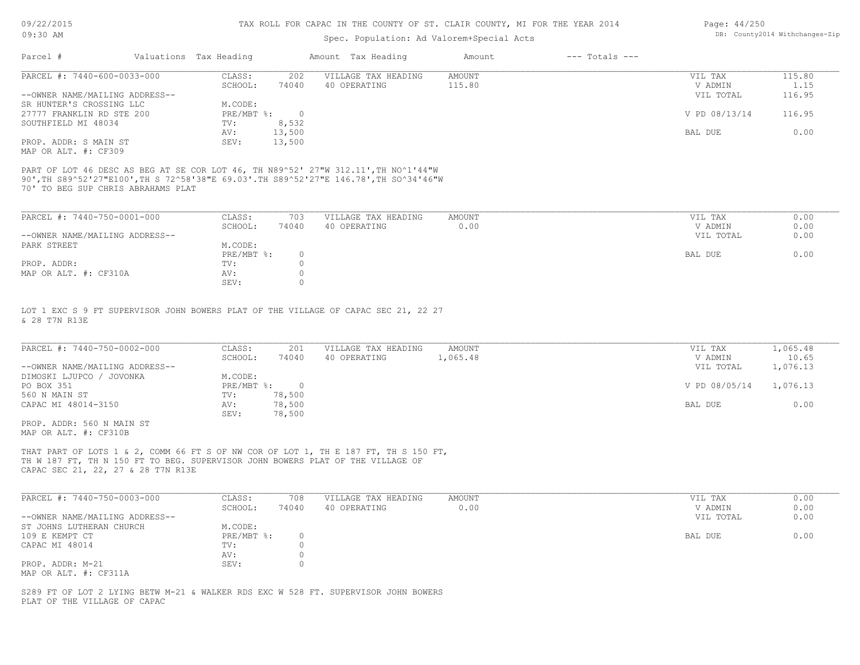## Spec. Population: Ad Valorem+Special Acts

| Page: $44/250$ |                                |
|----------------|--------------------------------|
|                | DB: County2014 Withchanges-Zip |

| Parcel #                       | Valuations Tax Heading |        | Amount Tax Heading  | Amount | $---$ Totals $---$ |               |        |
|--------------------------------|------------------------|--------|---------------------|--------|--------------------|---------------|--------|
| PARCEL #: 7440-600-0033-000    | CLASS:                 | 202    | VILLAGE TAX HEADING | AMOUNT |                    | VIL TAX       | 115.80 |
|                                | SCHOOL:                | 74040  | 40 OPERATING        | 115.80 |                    | V ADMIN       | 1.15   |
| --OWNER NAME/MAILING ADDRESS-- |                        |        |                     |        |                    | VIL TOTAL     | 116.95 |
| SR HUNTER'S CROSSING LLC       | M.CODE:                |        |                     |        |                    |               |        |
| 27777 FRANKLIN RD STE 200      | PRE/MBT %:             |        |                     |        |                    | V PD 08/13/14 | 116.95 |
| SOUTHFIELD MI 48034            | TV:                    | 8,532  |                     |        |                    |               |        |
|                                | AV:                    | 13,500 |                     |        |                    | BAL DUE       | 0.00   |
| PROP. ADDR: S MAIN ST          | SEV:                   | 13,500 |                     |        |                    |               |        |
| MAP OR ALT. #: CF309           |                        |        |                     |        |                    |               |        |

PART OF LOT 46 DESC AS BEG AT SE COR LOT 46, TH N89^52' 27"W 312.11',TH NO^1'44"W

70' TO BEG SUP CHRIS ABRAHAMS PLAT 90',TH S89^52'27"E100',TH S 72^58'38"E 69.03'.TH S89^52'27"E 146.78',TH SO^34'46"W

SEV: 0 MAP OR ALT. #: CF310A <br>
SEV: 0<br>
O PROP. ADDR: TV: 0 PRE/MBT  $\text{\$:}\quad \quad 0\quad \quad$ PARK STREET MODE: M.CODE: MACODE: --OWNER NAME/MAILING ADDRESS-- VIL TOTAL 0.00 SCHOOL: 74040 40 OPERATING 0.00 V ADMIN 0.00 PARCEL #: 7440-750-0001-000 CLASS: 703 VILLAGE TAX HEADING AMOUNT AMOUNT VIL TAX 0.00<br>SCHOOL: 74040 40 OPERATING 0.00 0.00 VADMIN 0.00  $\mathcal{L}_\mathcal{L} = \mathcal{L}_\mathcal{L} = \mathcal{L}_\mathcal{L} = \mathcal{L}_\mathcal{L} = \mathcal{L}_\mathcal{L} = \mathcal{L}_\mathcal{L} = \mathcal{L}_\mathcal{L} = \mathcal{L}_\mathcal{L} = \mathcal{L}_\mathcal{L} = \mathcal{L}_\mathcal{L} = \mathcal{L}_\mathcal{L} = \mathcal{L}_\mathcal{L} = \mathcal{L}_\mathcal{L} = \mathcal{L}_\mathcal{L} = \mathcal{L}_\mathcal{L} = \mathcal{L}_\mathcal{L} = \mathcal{L}_\mathcal{L}$ 

& 28 T7N R13E LOT 1 EXC S 9 FT SUPERVISOR JOHN BOWERS PLAT OF THE VILLAGE OF CAPAC SEC 21, 22 27

| PARCEL #: 7440-750-0002-000    | CLASS:       | 201    | VILLAGE TAX HEADING | AMOUNT   | VIL TAX       | 1,065.48 |
|--------------------------------|--------------|--------|---------------------|----------|---------------|----------|
|                                | SCHOOL:      | 74040  | 40 OPERATING        | 1,065.48 | V ADMIN       | 10.65    |
| --OWNER NAME/MAILING ADDRESS-- |              |        |                     |          | VIL TOTAL     | 1,076.13 |
| DIMOSKI LJUPCO / JOVONKA       | M.CODE:      |        |                     |          |               |          |
| PO BOX 351                     | $PRE/MBT$ %: |        |                     |          | V PD 08/05/14 | 1,076.13 |
| 560 N MAIN ST                  | TV:          | 78,500 |                     |          |               |          |
| CAPAC MI 48014-3150            | AV:          | 78,500 |                     |          | BAL DUE       | 0.00     |
|                                | SEV:         | 78,500 |                     |          |               |          |
| PROP, ADDR: 560 N MAIN ST      |              |        |                     |          |               |          |

MAP OR ALT. #: CF310B

CAPAC SEC 21, 22, 27 & 28 T7N R13E TH W 187 FT, TH N 150 FT TO BEG. SUPERVISOR JOHN BOWERS PLAT OF THE VILLAGE OF THAT PART OF LOTS 1 & 2, COMM 66 FT S OF NW COR OF LOT 1, TH E 187 FT, TH S 150 FT,

| PARCEL #: 7440-750-0003-000    | CLASS:     | 708   | VILLAGE TAX HEADING | AMOUNT | VIL TAX   | 0.00 |
|--------------------------------|------------|-------|---------------------|--------|-----------|------|
|                                | SCHOOL:    | 74040 | 40 OPERATING        | 0.00   | V ADMIN   | 0.00 |
| --OWNER NAME/MAILING ADDRESS-- |            |       |                     |        | VIL TOTAL | 0.00 |
| ST JOHNS LUTHERAN CHURCH       | M.CODE:    |       |                     |        |           |      |
| 109 E KEMPT CT                 | PRE/MBT %: |       |                     |        | BAL DUE   | 0.00 |
| CAPAC MI 48014                 | TV:        |       |                     |        |           |      |
|                                | AV:        |       |                     |        |           |      |
| PROP. ADDR: M-21               | SEV:       |       |                     |        |           |      |
| MAP OR ALT. #: CF311A          |            |       |                     |        |           |      |

PLAT OF THE VILLAGE OF CAPAC S289 FT OF LOT 2 LYING BETW M-21 & WALKER RDS EXC W 528 FT. SUPERVISOR JOHN BOWERS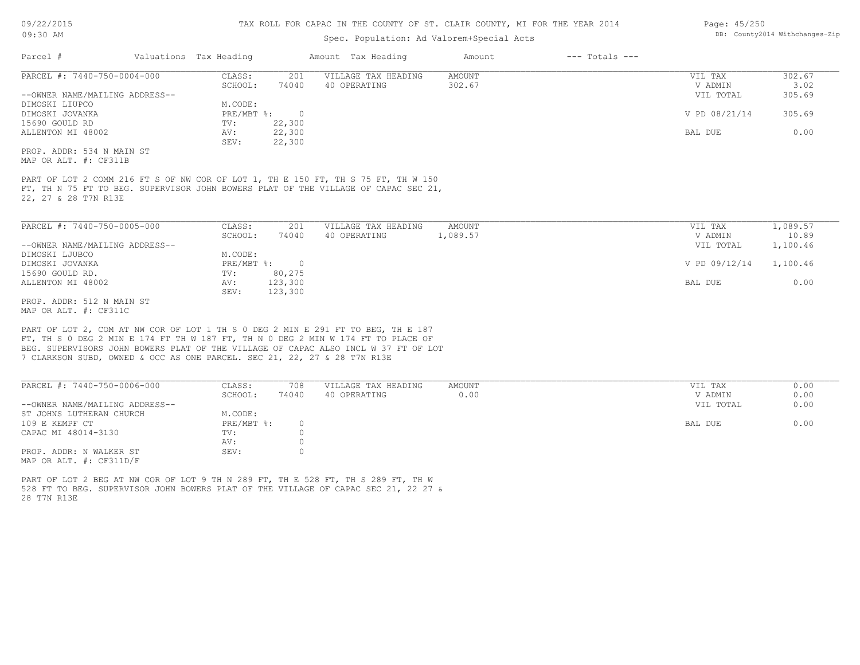## Spec. Population: Ad Valorem+Special Acts

| Page: 45/250 |                                |
|--------------|--------------------------------|
|              | DB: County2014 Withchanges-Zip |

|                                |         |          | Amount Tax Heading  | Amount | $---$ Totals $---$ |               |        |
|--------------------------------|---------|----------|---------------------|--------|--------------------|---------------|--------|
| PARCEL #: 7440-750-0004-000    | CLASS:  | 201      | VILLAGE TAX HEADING | AMOUNT |                    | VIL TAX       | 302.67 |
|                                | SCHOOL: | 74040    | 40 OPERATING        | 302.67 |                    | V ADMIN       | 3.02   |
| --OWNER NAME/MAILING ADDRESS-- |         |          |                     |        |                    | VIL TOTAL     | 305.69 |
|                                | M.CODE: |          |                     |        |                    |               |        |
|                                |         | $\Omega$ |                     |        |                    | V PD 08/21/14 | 305.69 |
|                                | TV:     | 22,300   |                     |        |                    |               |        |
| ALLENTON MI 48002              | AV:     | 22,300   |                     |        |                    | BAL DUE       | 0.00   |
|                                | SEV:    | 22,300   |                     |        |                    |               |        |
| PROP. ADDR: 534 N MAIN ST      |         |          |                     |        |                    |               |        |
| MAP OR ALT. #: CF311B          |         |          |                     |        |                    |               |        |
|                                |         |          | $PRE/MBT$ %:        |        |                    |               |        |

22, 27 & 28 T7N R13E FT, TH N 75 FT TO BEG. SUPERVISOR JOHN BOWERS PLAT OF THE VILLAGE OF CAPAC SEC 21, PART OF LOT 2 COMM 216 FT S OF NW COR OF LOT 1, TH E 150 FT, TH S 75 FT, TH W 150

| PARCEL #: 7440-750-0005-000    | CLASS:     | 201     | VILLAGE TAX HEADING | AMOUNT   | VIL TAX       | 1,089.57 |
|--------------------------------|------------|---------|---------------------|----------|---------------|----------|
|                                | SCHOOL:    | 74040   | 40 OPERATING        | 1,089.57 | V ADMIN       | 10.89    |
| --OWNER NAME/MAILING ADDRESS-- |            |         |                     |          | VIL TOTAL     | 1,100.46 |
| DIMOSKI LJUBCO                 | M.CODE:    |         |                     |          |               |          |
| DIMOSKI JOVANKA                | PRE/MBT %: | $\cap$  |                     |          | V PD 09/12/14 | 1,100.46 |
| 15690 GOULD RD.                | TV:        | 80,275  |                     |          |               |          |
| ALLENTON MI 48002              | AV:        | 123,300 |                     |          | BAL DUE       | 0.00     |
|                                | SEV:       | 123,300 |                     |          |               |          |
| PROP. ADDR: 512 N MAIN ST      |            |         |                     |          |               |          |

MAP OR ALT. #: CF311C

7 CLARKSON SUBD, OWNED & OCC AS ONE PARCEL. SEC 21, 22, 27 & 28 T7N R13E BEG. SUPERVISORS JOHN BOWERS PLAT OF THE VILLAGE OF CAPAC ALSO INCL W 37 FT OF LOT FT, TH S 0 DEG 2 MIN E 174 FT TH W 187 FT, TH N 0 DEG 2 MIN W 174 FT TO PLACE OF PART OF LOT 2, COM AT NW COR OF LOT 1 TH S 0 DEG 2 MIN E 291 FT TO BEG, TH E 187

| PARCEL #: 7440-750-0006-000    | CLASS:     | 708   | VILLAGE TAX HEADING | AMOUNT | VIL TAX   | 0.00 |
|--------------------------------|------------|-------|---------------------|--------|-----------|------|
|                                | SCHOOL:    | 74040 | 40 OPERATING        | 0.00   | V ADMIN   | 0.00 |
| --OWNER NAME/MAILING ADDRESS-- |            |       |                     |        | VIL TOTAL | 0.00 |
| ST JOHNS LUTHERAN CHURCH       | M.CODE:    |       |                     |        |           |      |
| 109 E KEMPF CT                 | PRE/MBT %: |       |                     |        | BAL DUE   | 0.00 |
| CAPAC MI 48014-3130            | TV:        |       |                     |        |           |      |
|                                | AV:        |       |                     |        |           |      |
| PROP. ADDR: N WALKER ST        | SEV:       |       |                     |        |           |      |
| MAP OR ALT. #: CF311D/F        |            |       |                     |        |           |      |

28 T7N R13E 528 FT TO BEG. SUPERVISOR JOHN BOWERS PLAT OF THE VILLAGE OF CAPAC SEC 21, 22 27 & PART OF LOT 2 BEG AT NW COR OF LOT 9 TH N 289 FT, TH E 528 FT, TH S 289 FT, TH W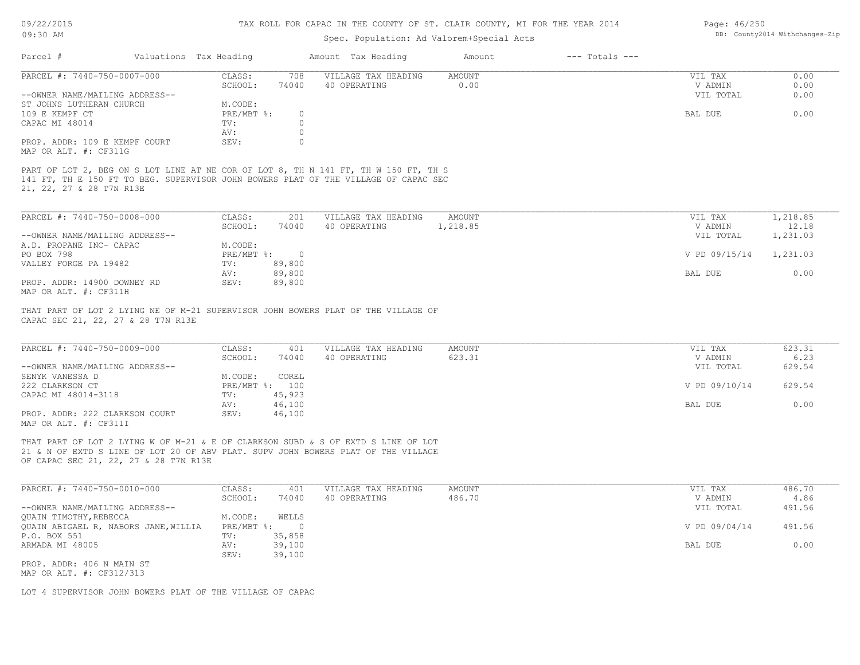### 09/22/2015 09:30 AM

## TAX ROLL FOR CAPAC IN THE COUNTY OF ST. CLAIR COUNTY, MI FOR THE YEAR 2014

## Spec. Popul

| 09/22/2015<br>09:30 AM |                             |                        |     | TAX ROLL FOR CAPAC IN THE COUNTY OF ST. CLAIR COUNTY, MI FOR THE YEAR 2014<br>Spec. Population: Ad Valorem+Special Acts |        |                    | Page: 46/250 | DB: County2014 Withchanges-Zip |
|------------------------|-----------------------------|------------------------|-----|-------------------------------------------------------------------------------------------------------------------------|--------|--------------------|--------------|--------------------------------|
| Parcel #               |                             | Valuations Tax Heading |     | Amount Tax Heading                                                                                                      | Amount | $---$ Totals $---$ |              |                                |
|                        | PARCEL #: 7440-750-0007-000 | CLASS:                 | 708 | VILLAGE TAX HEADING                                                                                                     | AMOUNT |                    | VIL TAX      |                                |

| PARCEL #: 7440-750-0007-000    | CLASS:       | 708   | VILLAGE TAX HEADING | AMOUNT | VIL TAX   | 0.00 |
|--------------------------------|--------------|-------|---------------------|--------|-----------|------|
|                                | SCHOOL:      | 74040 | 40 OPERATING        | 0.00   | V ADMIN   | 0.00 |
| --OWNER NAME/MAILING ADDRESS-- |              |       |                     |        | VIL TOTAL | 0.00 |
| ST JOHNS LUTHERAN CHURCH       | M.CODE:      |       |                     |        |           |      |
| 109 E KEMPF CT                 | $PRE/MBT$ %: |       |                     |        | BAL DUE   | 0.00 |
| CAPAC MI 48014                 | TV:          |       |                     |        |           |      |
|                                | AV:          |       |                     |        |           |      |
| PROP. ADDR: 109 E KEMPF COURT  | SEV:         |       |                     |        |           |      |

MAP OR ALT. #: CF311G

21, 22, 27 & 28 T7N R13E 141 FT, TH E 150 FT TO BEG. SUPERVISOR JOHN BOWERS PLAT OF THE VILLAGE OF CAPAC SEC PART OF LOT 2, BEG ON S LOT LINE AT NE COR OF LOT 8, TH N 141 FT, TH W 150 FT, TH S

| PARCEL #: 7440-750-0008-000    | CLASS:     | 201    | VILLAGE TAX HEADING | AMOUNT   | VIL TAX       | 1,218.85 |
|--------------------------------|------------|--------|---------------------|----------|---------------|----------|
|                                | SCHOOL:    | 74040  | 40 OPERATING        | 1,218.85 | V ADMIN       | 12.18    |
| --OWNER NAME/MAILING ADDRESS-- |            |        |                     |          | VIL TOTAL     | 1,231.03 |
| A.D. PROPANE INC- CAPAC        | M.CODE:    |        |                     |          |               |          |
| PO BOX 798                     | PRE/MBT %: |        |                     |          | V PD 09/15/14 | 1,231.03 |
| VALLEY FORGE PA 19482          | TV:        | 89,800 |                     |          |               |          |
|                                | AV:        | 89,800 |                     |          | BAL DUE       | 0.00     |
| PROP. ADDR: 14900 DOWNEY RD    | SEV:       | 89,800 |                     |          |               |          |
| MAP OR ALT. #: CF311H          |            |        |                     |          |               |          |

THAT PART OF LOT 2 LYING NE OF M-21 SUPERVISOR JOHN BOWERS PLAT OF THE VILLAGE OF

CAPAC SEC 21, 22, 27 & 28 T7N R13E

| PARCEL #: 7440-750-0009-000    | CLASS:  | 401            | VILLAGE TAX HEADING | AMOUNT | VIL TAX       | 623.31 |
|--------------------------------|---------|----------------|---------------------|--------|---------------|--------|
|                                | SCHOOL: | 74040          | 40 OPERATING        | 623.31 | V ADMIN       | 6.23   |
| --OWNER NAME/MAILING ADDRESS-- |         |                |                     |        | VIL TOTAL     | 629.54 |
| SENYK VANESSA D                | M.CODE: | COREL          |                     |        |               |        |
| 222 CLARKSON CT                |         | PRE/MBT %: 100 |                     |        | V PD 09/10/14 | 629.54 |
| CAPAC MI 48014-3118            | TV:     | 45,923         |                     |        |               |        |
|                                | AV:     | 46,100         |                     |        | BAL DUE       | 0.00   |
| PROP. ADDR: 222 CLARKSON COURT | SEV:    | 46,100         |                     |        |               |        |
| MAP OR ALT. #: CF311I          |         |                |                     |        |               |        |

THAT PART OF LOT 2 LYING W OF M-21 & E OF CLARKSON SUBD & S OF EXTD S LINE OF LOT

OF CAPAC SEC 21, 22, 27 & 28 T7N R13E 21 & N OF EXTD S LINE OF LOT 20 OF ABV PLAT. SUPV JOHN BOWERS PLAT OF THE VILLAGE

| PARCEL #: 7440-750-0010-000          | CLASS:       | 401    | VILLAGE TAX HEADING | AMOUNT | VIL TAX       | 486.70 |
|--------------------------------------|--------------|--------|---------------------|--------|---------------|--------|
|                                      | SCHOOL:      | 74040  | 40 OPERATING        | 486.70 | V ADMIN       | 4.86   |
| --OWNER NAME/MAILING ADDRESS--       |              |        |                     |        | VIL TOTAL     | 491.56 |
| QUAIN TIMOTHY, REBECCA               | M.CODE:      | WELLS  |                     |        |               |        |
| QUAIN ABIGAEL R, NABORS JANE, WILLIA | $PRE/MBT$ %: |        |                     |        | V PD 09/04/14 | 491.56 |
| P.O. BOX 551                         | TV:          | 35,858 |                     |        |               |        |
| ARMADA MI 48005                      | AV:          | 39,100 |                     |        | BAL DUE       | 0.00   |
|                                      | SEV:         | 39,100 |                     |        |               |        |
| PROP. ADDR: 406 N MAIN ST            |              |        |                     |        |               |        |

MAP OR ALT. #: CF312/313

LOT 4 SUPERVISOR JOHN BOWERS PLAT OF THE VILLAGE OF CAPAC

Page: 46/250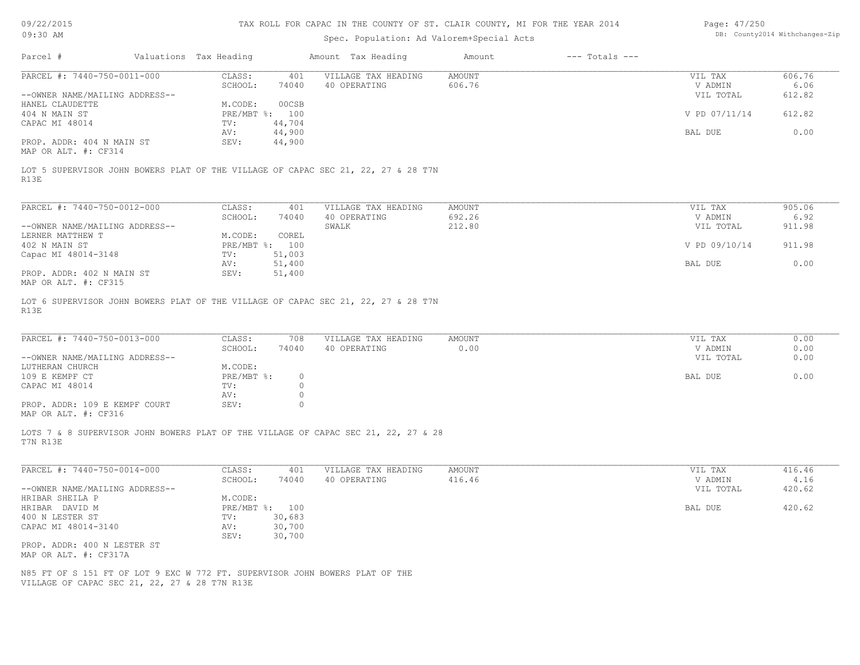09/22/2015

## TAX ROLL FOR CAPAC IN THE COUNTY OF ST. CLAIR COUNTY, MI FOR THE YEAR 2014

| Page: 47/250 |                               |
|--------------|-------------------------------|
|              | DB: County2014 Withchanges-Zi |

| Parcel #<br>Valuations Tax Heading<br>Amount Tax Heading<br>$---$ Totals $---$<br>Amount<br>PARCEL #: 7440-750-0011-000<br>CLASS:<br>VILLAGE TAX HEADING<br><b>AMOUNT</b><br>VIL TAX<br>606.76<br>401<br>606.76<br>6.06<br>SCHOOL:<br>74040<br>40 OPERATING<br>V ADMIN<br>612.82<br>--OWNER NAME/MAILING ADDRESS--<br>VIL TOTAL<br>HANEL CLAUDETTE<br>M.CODE:<br>00CSB<br>PRE/MBT %: 100<br>612.82<br>404 N MAIN ST<br>V PD 07/11/14<br>CAPAC MI 48014<br>TV:<br>44,704<br>44,900<br>BAL DUE<br>0.00<br>AV:<br>PROP. ADDR: 404 N MAIN ST<br>44,900<br>SEV:<br>MAP OR ALT. #: CF314<br>LOT 5 SUPERVISOR JOHN BOWERS PLAT OF THE VILLAGE OF CAPAC SEC 21, 22, 27 & 28 T7N<br>R13E<br>PARCEL #: 7440-750-0012-000<br>CLASS:<br>VILLAGE TAX HEADING<br><b>AMOUNT</b><br>VIL TAX<br>905.06<br>401<br>692.26<br>6.92<br>SCHOOL:<br>74040<br>40 OPERATING<br>V ADMIN<br>212.80<br>911.98<br>--OWNER NAME/MAILING ADDRESS--<br>SWALK<br>VIL TOTAL<br>LERNER MATTHEW T<br>M.CODE:<br>COREL<br>911.98<br>402 N MAIN ST<br>PRE/MBT %: 100<br>V PD 09/10/14<br>51,003<br>Capac MI 48014-3148<br>TV:<br>51,400<br>0.00<br>BAL DUE<br>AV:<br>PROP. ADDR: 402 N MAIN ST<br>SEV:<br>51,400<br>MAP OR ALT. #: CF315<br>LOT 6 SUPERVISOR JOHN BOWERS PLAT OF THE VILLAGE OF CAPAC SEC 21, 22, 27 & 28 T7N<br>R13E<br>PARCEL #: 7440-750-0013-000<br>CLASS:<br>708<br>0.00<br>VILLAGE TAX HEADING<br>AMOUNT<br>VIL TAX<br>SCHOOL:<br>40 OPERATING<br>0.00<br>0.00<br>74040<br>V ADMIN<br>--OWNER NAME/MAILING ADDRESS--<br>VIL TOTAL<br>0.00<br>LUTHERAN CHURCH<br>M.CODE:<br>0.00<br>109 E KEMPF CT<br>PRE/MBT %:<br>BAL DUE<br>$\circ$<br>CAPAC MI 48014<br>TV:<br>$\circ$<br>$\circ$<br>AV:<br>PROP. ADDR: 109 E KEMPF COURT<br>SEV:<br>$\circ$<br>MAP OR ALT. #: CF316<br>LOTS 7 & 8 SUPERVISOR JOHN BOWERS PLAT OF THE VILLAGE OF CAPAC SEC 21, 22, 27 & 28<br>T7N R13E<br>PARCEL #: 7440-750-0014-000<br>CLASS:<br>VILLAGE TAX HEADING<br>416.46<br>401<br>AMOUNT<br>VIL TAX<br>416.46<br>4.16<br>SCHOOL:<br>74040<br>40 OPERATING<br>V ADMIN<br>--OWNER NAME/MAILING ADDRESS--<br>420.62<br>VIL TOTAL<br>HRIBAR SHEILA P<br>M.CODE:<br>420.62<br>HRIBAR DAVID M<br>PRE/MBT %: 100<br>BAL DUE<br>400 N LESTER ST<br>TV:<br>30,683<br>30,700<br>CAPAC MI 48014-3140<br>AV:<br>30,700<br>SEV:<br>PROP. ADDR: 400 N LESTER ST<br>MAP OR ALT. #: CF317A<br>N85 FT OF S 151 FT OF LOT 9 EXC W 772 FT. SUPERVISOR JOHN BOWERS PLAT OF THE<br>VILLAGE OF CAPAC SEC 21, 22, 27 & 28 T7N R13E | 09:30 AM |  | Spec. Population: Ad Valorem+Special Acts |  | DB: County2014 Withchanges-Zip |
|-------------------------------------------------------------------------------------------------------------------------------------------------------------------------------------------------------------------------------------------------------------------------------------------------------------------------------------------------------------------------------------------------------------------------------------------------------------------------------------------------------------------------------------------------------------------------------------------------------------------------------------------------------------------------------------------------------------------------------------------------------------------------------------------------------------------------------------------------------------------------------------------------------------------------------------------------------------------------------------------------------------------------------------------------------------------------------------------------------------------------------------------------------------------------------------------------------------------------------------------------------------------------------------------------------------------------------------------------------------------------------------------------------------------------------------------------------------------------------------------------------------------------------------------------------------------------------------------------------------------------------------------------------------------------------------------------------------------------------------------------------------------------------------------------------------------------------------------------------------------------------------------------------------------------------------------------------------------------------------------------------------------------------------------------------------------------------------------------------------------------------------------------------------------------------------------------------------------------------------------------------------------------------------------------------------------------------------------------------------------------------------------------------------------------------------------------------------------------|----------|--|-------------------------------------------|--|--------------------------------|
|                                                                                                                                                                                                                                                                                                                                                                                                                                                                                                                                                                                                                                                                                                                                                                                                                                                                                                                                                                                                                                                                                                                                                                                                                                                                                                                                                                                                                                                                                                                                                                                                                                                                                                                                                                                                                                                                                                                                                                                                                                                                                                                                                                                                                                                                                                                                                                                                                                                                         |          |  |                                           |  |                                |
|                                                                                                                                                                                                                                                                                                                                                                                                                                                                                                                                                                                                                                                                                                                                                                                                                                                                                                                                                                                                                                                                                                                                                                                                                                                                                                                                                                                                                                                                                                                                                                                                                                                                                                                                                                                                                                                                                                                                                                                                                                                                                                                                                                                                                                                                                                                                                                                                                                                                         |          |  |                                           |  |                                |
|                                                                                                                                                                                                                                                                                                                                                                                                                                                                                                                                                                                                                                                                                                                                                                                                                                                                                                                                                                                                                                                                                                                                                                                                                                                                                                                                                                                                                                                                                                                                                                                                                                                                                                                                                                                                                                                                                                                                                                                                                                                                                                                                                                                                                                                                                                                                                                                                                                                                         |          |  |                                           |  |                                |
|                                                                                                                                                                                                                                                                                                                                                                                                                                                                                                                                                                                                                                                                                                                                                                                                                                                                                                                                                                                                                                                                                                                                                                                                                                                                                                                                                                                                                                                                                                                                                                                                                                                                                                                                                                                                                                                                                                                                                                                                                                                                                                                                                                                                                                                                                                                                                                                                                                                                         |          |  |                                           |  |                                |
|                                                                                                                                                                                                                                                                                                                                                                                                                                                                                                                                                                                                                                                                                                                                                                                                                                                                                                                                                                                                                                                                                                                                                                                                                                                                                                                                                                                                                                                                                                                                                                                                                                                                                                                                                                                                                                                                                                                                                                                                                                                                                                                                                                                                                                                                                                                                                                                                                                                                         |          |  |                                           |  |                                |
|                                                                                                                                                                                                                                                                                                                                                                                                                                                                                                                                                                                                                                                                                                                                                                                                                                                                                                                                                                                                                                                                                                                                                                                                                                                                                                                                                                                                                                                                                                                                                                                                                                                                                                                                                                                                                                                                                                                                                                                                                                                                                                                                                                                                                                                                                                                                                                                                                                                                         |          |  |                                           |  |                                |
|                                                                                                                                                                                                                                                                                                                                                                                                                                                                                                                                                                                                                                                                                                                                                                                                                                                                                                                                                                                                                                                                                                                                                                                                                                                                                                                                                                                                                                                                                                                                                                                                                                                                                                                                                                                                                                                                                                                                                                                                                                                                                                                                                                                                                                                                                                                                                                                                                                                                         |          |  |                                           |  |                                |
|                                                                                                                                                                                                                                                                                                                                                                                                                                                                                                                                                                                                                                                                                                                                                                                                                                                                                                                                                                                                                                                                                                                                                                                                                                                                                                                                                                                                                                                                                                                                                                                                                                                                                                                                                                                                                                                                                                                                                                                                                                                                                                                                                                                                                                                                                                                                                                                                                                                                         |          |  |                                           |  |                                |
|                                                                                                                                                                                                                                                                                                                                                                                                                                                                                                                                                                                                                                                                                                                                                                                                                                                                                                                                                                                                                                                                                                                                                                                                                                                                                                                                                                                                                                                                                                                                                                                                                                                                                                                                                                                                                                                                                                                                                                                                                                                                                                                                                                                                                                                                                                                                                                                                                                                                         |          |  |                                           |  |                                |
|                                                                                                                                                                                                                                                                                                                                                                                                                                                                                                                                                                                                                                                                                                                                                                                                                                                                                                                                                                                                                                                                                                                                                                                                                                                                                                                                                                                                                                                                                                                                                                                                                                                                                                                                                                                                                                                                                                                                                                                                                                                                                                                                                                                                                                                                                                                                                                                                                                                                         |          |  |                                           |  |                                |
|                                                                                                                                                                                                                                                                                                                                                                                                                                                                                                                                                                                                                                                                                                                                                                                                                                                                                                                                                                                                                                                                                                                                                                                                                                                                                                                                                                                                                                                                                                                                                                                                                                                                                                                                                                                                                                                                                                                                                                                                                                                                                                                                                                                                                                                                                                                                                                                                                                                                         |          |  |                                           |  |                                |
|                                                                                                                                                                                                                                                                                                                                                                                                                                                                                                                                                                                                                                                                                                                                                                                                                                                                                                                                                                                                                                                                                                                                                                                                                                                                                                                                                                                                                                                                                                                                                                                                                                                                                                                                                                                                                                                                                                                                                                                                                                                                                                                                                                                                                                                                                                                                                                                                                                                                         |          |  |                                           |  |                                |
|                                                                                                                                                                                                                                                                                                                                                                                                                                                                                                                                                                                                                                                                                                                                                                                                                                                                                                                                                                                                                                                                                                                                                                                                                                                                                                                                                                                                                                                                                                                                                                                                                                                                                                                                                                                                                                                                                                                                                                                                                                                                                                                                                                                                                                                                                                                                                                                                                                                                         |          |  |                                           |  |                                |
|                                                                                                                                                                                                                                                                                                                                                                                                                                                                                                                                                                                                                                                                                                                                                                                                                                                                                                                                                                                                                                                                                                                                                                                                                                                                                                                                                                                                                                                                                                                                                                                                                                                                                                                                                                                                                                                                                                                                                                                                                                                                                                                                                                                                                                                                                                                                                                                                                                                                         |          |  |                                           |  |                                |
|                                                                                                                                                                                                                                                                                                                                                                                                                                                                                                                                                                                                                                                                                                                                                                                                                                                                                                                                                                                                                                                                                                                                                                                                                                                                                                                                                                                                                                                                                                                                                                                                                                                                                                                                                                                                                                                                                                                                                                                                                                                                                                                                                                                                                                                                                                                                                                                                                                                                         |          |  |                                           |  |                                |
|                                                                                                                                                                                                                                                                                                                                                                                                                                                                                                                                                                                                                                                                                                                                                                                                                                                                                                                                                                                                                                                                                                                                                                                                                                                                                                                                                                                                                                                                                                                                                                                                                                                                                                                                                                                                                                                                                                                                                                                                                                                                                                                                                                                                                                                                                                                                                                                                                                                                         |          |  |                                           |  |                                |
|                                                                                                                                                                                                                                                                                                                                                                                                                                                                                                                                                                                                                                                                                                                                                                                                                                                                                                                                                                                                                                                                                                                                                                                                                                                                                                                                                                                                                                                                                                                                                                                                                                                                                                                                                                                                                                                                                                                                                                                                                                                                                                                                                                                                                                                                                                                                                                                                                                                                         |          |  |                                           |  |                                |
|                                                                                                                                                                                                                                                                                                                                                                                                                                                                                                                                                                                                                                                                                                                                                                                                                                                                                                                                                                                                                                                                                                                                                                                                                                                                                                                                                                                                                                                                                                                                                                                                                                                                                                                                                                                                                                                                                                                                                                                                                                                                                                                                                                                                                                                                                                                                                                                                                                                                         |          |  |                                           |  |                                |
|                                                                                                                                                                                                                                                                                                                                                                                                                                                                                                                                                                                                                                                                                                                                                                                                                                                                                                                                                                                                                                                                                                                                                                                                                                                                                                                                                                                                                                                                                                                                                                                                                                                                                                                                                                                                                                                                                                                                                                                                                                                                                                                                                                                                                                                                                                                                                                                                                                                                         |          |  |                                           |  |                                |
|                                                                                                                                                                                                                                                                                                                                                                                                                                                                                                                                                                                                                                                                                                                                                                                                                                                                                                                                                                                                                                                                                                                                                                                                                                                                                                                                                                                                                                                                                                                                                                                                                                                                                                                                                                                                                                                                                                                                                                                                                                                                                                                                                                                                                                                                                                                                                                                                                                                                         |          |  |                                           |  |                                |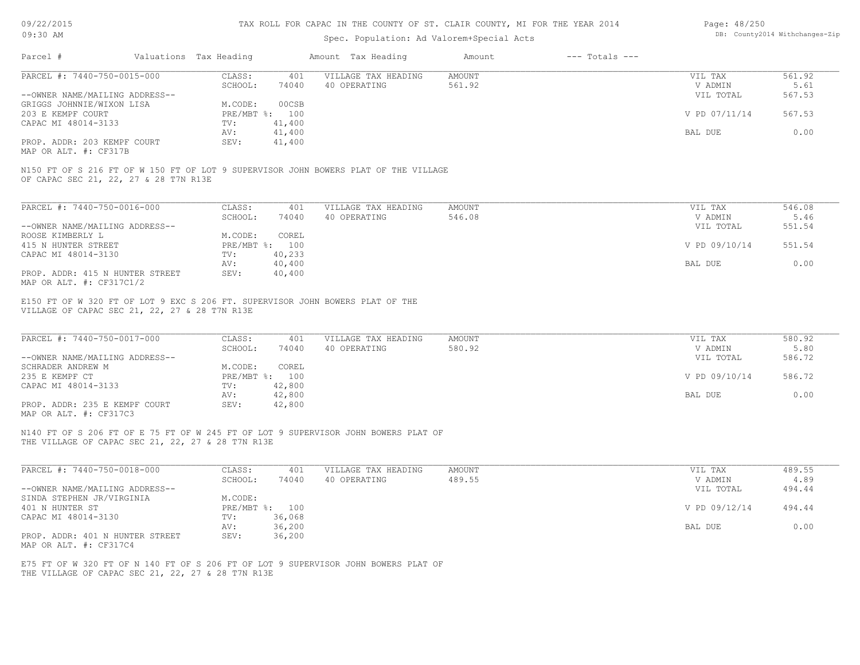09/22/2015

## TAX ROLL FOR CAPAC IN THE COUNTY OF ST. CLAIR COUNTY, MI FOR THE YEAR 2014

| Page: 48/250 |                               |
|--------------|-------------------------------|
|              | DB: County2014 Withchanges-Zi |

| 09:30 AM                                                                                                                       |                                    | Spec. Population: Ad Valorem+Special Acts |               |                    |                 | DB: County2014 Withchanges-Zip |
|--------------------------------------------------------------------------------------------------------------------------------|------------------------------------|-------------------------------------------|---------------|--------------------|-----------------|--------------------------------|
| Parcel #                                                                                                                       | Valuations Tax Heading             | Amount Tax Heading                        | Amount        | $---$ Totals $---$ |                 |                                |
| PARCEL #: 7440-750-0015-000                                                                                                    | CLASS:<br>401                      | VILLAGE TAX HEADING                       | AMOUNT        |                    | VIL TAX         | 561.92                         |
|                                                                                                                                | SCHOOL:<br>74040                   | 40 OPERATING                              | 561.92        |                    | V ADMIN         | 5.61                           |
| --OWNER NAME/MAILING ADDRESS--                                                                                                 |                                    |                                           |               |                    | VIL TOTAL       | 567.53                         |
| GRIGGS JOHNNIE/WIXON LISA<br>203 E KEMPF COURT                                                                                 | M.CODE:<br>00CSB<br>PRE/MBT %: 100 |                                           |               |                    | V PD 07/11/14   | 567.53                         |
| CAPAC MI 48014-3133                                                                                                            | 41,400<br>TV:                      |                                           |               |                    |                 |                                |
|                                                                                                                                | 41,400<br>AV:                      |                                           |               |                    | BAL DUE         | 0.00                           |
| PROP. ADDR: 203 KEMPF COURT                                                                                                    | 41,400<br>SEV:                     |                                           |               |                    |                 |                                |
| MAP OR ALT. #: CF317B                                                                                                          |                                    |                                           |               |                    |                 |                                |
| N150 FT OF S 216 FT OF W 150 FT OF LOT 9 SUPERVISOR JOHN BOWERS PLAT OF THE VILLAGE                                            |                                    |                                           |               |                    |                 |                                |
| OF CAPAC SEC 21, 22, 27 & 28 T7N R13E                                                                                          |                                    |                                           |               |                    |                 |                                |
| PARCEL #: 7440-750-0016-000                                                                                                    | CLASS:<br>401                      | VILLAGE TAX HEADING                       | AMOUNT        |                    | VIL TAX         | 546.08                         |
|                                                                                                                                | SCHOOL:<br>74040                   | 40 OPERATING                              | 546.08        |                    | V ADMIN         | 5.46                           |
| --OWNER NAME/MAILING ADDRESS--                                                                                                 |                                    |                                           |               |                    | VIL TOTAL       | 551.54                         |
| ROOSE KIMBERLY L                                                                                                               | M.CODE:<br>COREL                   |                                           |               |                    |                 |                                |
| 415 N HUNTER STREET                                                                                                            | PRE/MBT %: 100                     |                                           |               |                    | V PD 09/10/14   | 551.54                         |
| CAPAC MI 48014-3130                                                                                                            | 40,233<br>TV:                      |                                           |               |                    |                 |                                |
|                                                                                                                                | 40,400<br>AV:                      |                                           |               |                    | BAL DUE         | 0.00                           |
| PROP. ADDR: 415 N HUNTER STREET<br>MAP OR ALT. #: CF317C1/2                                                                    | 40,400<br>SEV:                     |                                           |               |                    |                 |                                |
|                                                                                                                                |                                    |                                           |               |                    |                 |                                |
| E150 FT OF W 320 FT OF LOT 9 EXC S 206 FT. SUPERVISOR JOHN BOWERS PLAT OF THE<br>VILLAGE OF CAPAC SEC 21, 22, 27 & 28 T7N R13E |                                    |                                           |               |                    |                 |                                |
|                                                                                                                                |                                    |                                           |               |                    |                 |                                |
| PARCEL #: 7440-750-0017-000                                                                                                    | CLASS:<br>401                      | VILLAGE TAX HEADING                       | AMOUNT        |                    | VIL TAX         | 580.92                         |
|                                                                                                                                | SCHOOL:<br>74040                   | 40 OPERATING                              | 580.92        |                    | V ADMIN         | 5.80                           |
| --OWNER NAME/MAILING ADDRESS--                                                                                                 |                                    |                                           |               |                    | VIL TOTAL       | 586.72                         |
| SCHRADER ANDREW M                                                                                                              | M.CODE:<br>COREL                   |                                           |               |                    |                 |                                |
| 235 E KEMPF CT                                                                                                                 | PRE/MBT %: 100                     |                                           |               |                    | V PD 09/10/14   | 586.72                         |
| CAPAC MI 48014-3133                                                                                                            | 42,800<br>TV:                      |                                           |               |                    |                 |                                |
|                                                                                                                                | 42,800<br>AV:                      |                                           |               |                    | BAL DUE         | 0.00                           |
| PROP. ADDR: 235 E KEMPF COURT<br>MAP OR ALT. #: CF317C3                                                                        | 42,800<br>SEV:                     |                                           |               |                    |                 |                                |
| N140 FT OF S 206 FT OF E 75 FT OF W 245 FT OF LOT 9 SUPERVISOR JOHN BOWERS PLAT OF                                             |                                    |                                           |               |                    |                 |                                |
| THE VILLAGE OF CAPAC SEC 21, 22, 27 & 28 T7N R13E                                                                              |                                    |                                           |               |                    |                 |                                |
|                                                                                                                                |                                    |                                           |               |                    |                 |                                |
| DADCET #: 7440 750 0019 000                                                                                                    | CTRO                               | $101$ $1777770$ may $1172070$             | <b>AMOUNT</b> |                    | <b>TITT</b> may | 100E                           |

| PARCEL #: 7440-750-0018-000     | CLASS:       | 401    | VILLAGE TAX HEADING | AMOUNT | VIL TAX       | 489.55 |
|---------------------------------|--------------|--------|---------------------|--------|---------------|--------|
|                                 | SCHOOL:      | 74040  | 40 OPERATING        | 489.55 | V ADMIN       | 4.89   |
| --OWNER NAME/MAILING ADDRESS--  |              |        |                     |        | VIL TOTAL     | 494.44 |
| SINDA STEPHEN JR/VIRGINIA       | M.CODE:      |        |                     |        |               |        |
| 401 N HUNTER ST                 | $PRE/MBT$ %: | 100    |                     |        | V PD 09/12/14 | 494.44 |
| CAPAC MI 48014-3130             | TV:          | 36,068 |                     |        |               |        |
|                                 | AV:          | 36,200 |                     |        | BAL DUE       | 0.00   |
| PROP. ADDR: 401 N HUNTER STREET | SEV:         | 36,200 |                     |        |               |        |
| MAP OR ALT. #: CF317C4          |              |        |                     |        |               |        |

THE VILLAGE OF CAPAC SEC 21, 22, 27 & 28 T7N R13E E75 FT OF W 320 FT OF N 140 FT OF S 206 FT OF LOT 9 SUPERVISOR JOHN BOWERS PLAT OF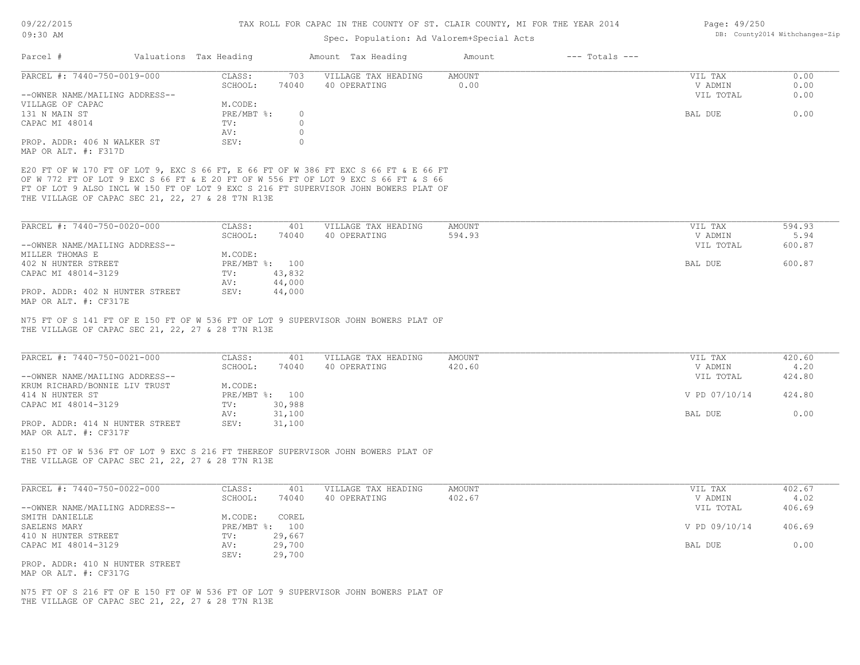Page: 49/250

| Parcel #<br>Valuations Tax Heading<br>Amount Tax Heading<br>$---$ Totals $---$<br>Amount<br>CLASS:<br>703<br>VILLAGE TAX HEADING<br><b>AMOUNT</b><br>VIL TAX<br>0.00<br>SCHOOL:<br>74040<br>40 OPERATING<br>V ADMIN<br>VIL TOTAL<br>M.CODE:<br>PRE/MBT %:<br>$\circ$<br>BAL DUE<br>$\circ$<br>TV:<br>$\circ$<br>AV:<br>SEV:<br>$\Omega$<br>CLASS:<br>401<br>VILLAGE TAX HEADING<br>AMOUNT<br>VIL TAX<br>SCHOOL:<br>74040<br>40 OPERATING<br>594.93<br>V ADMIN<br>VIL TOTAL<br>M.CODE:<br>PRE/MBT %: 100<br>BAL DUE<br>43,832<br>TV:<br>44,000<br>AV:<br>SEV:<br>44,000<br>CLASS:<br>VILLAGE TAX HEADING<br><b>AMOUNT</b><br>401<br>VIL TAX<br>SCHOOL:<br>74040<br>40 OPERATING<br>420.60<br>V ADMIN<br>VIL TOTAL<br>M.CODE:<br>V PD 07/10/14<br>PRE/MBT %: 100<br>TV:<br>30,988<br>31,100<br>AV:<br>BAL DUE<br>31,100<br>SEV:<br>CLASS:<br>401<br>VILLAGE TAX HEADING<br>AMOUNT<br>VIL TAX<br>40 OPERATING<br>402.67<br>SCHOOL:<br>74040<br>V ADMIN<br>VIL TOTAL<br>M.CODE: COREL<br>V PD 09/10/14<br>PRE/MBT %: 100<br>29,667<br>TV:<br>29,700<br>AV:<br>BAL DUE | DB: County2014 Withchanges-Zip |
|-------------------------------------------------------------------------------------------------------------------------------------------------------------------------------------------------------------------------------------------------------------------------------------------------------------------------------------------------------------------------------------------------------------------------------------------------------------------------------------------------------------------------------------------------------------------------------------------------------------------------------------------------------------------------------------------------------------------------------------------------------------------------------------------------------------------------------------------------------------------------------------------------------------------------------------------------------------------------------------------------------------------------------------------------------------------|--------------------------------|
| PARCEL #: 7440-750-0019-000<br>--OWNER NAME/MAILING ADDRESS--<br>VILLAGE OF CAPAC<br>131 N MAIN ST<br>CAPAC MI 48014<br>PROP. ADDR: 406 N WALKER ST<br>MAP OR ALT. #: F317D<br>E20 FT OF W 170 FT OF LOT 9, EXC S 66 FT, E 66 FT OF W 386 FT EXC S 66 FT & E 66 FT<br>OF W 772 FT OF LOT 9 EXC S 66 FT & E 20 FT OF W 556 FT OF LOT 9 EXC S 66 FT & S 66<br>FT OF LOT 9 ALSO INCL W 150 FT OF LOT 9 EXC S 216 FT SUPERVISOR JOHN BOWERS PLAT OF<br>PARCEL #: 7440-750-0020-000<br>--OWNER NAME/MAILING ADDRESS--<br>MILLER THOMAS E<br>402 N HUNTER STREET<br>CAPAC MI 48014-3129<br>PROP. ADDR: 402 N HUNTER STREET<br>PARCEL #: 7440-750-0021-000<br>--OWNER NAME/MAILING ADDRESS--<br>KRUM RICHARD/BONNIE LIV TRUST<br>414 N HUNTER ST<br>CAPAC MI 48014-3129<br>PROP. ADDR: 414 N HUNTER STREET<br>E150 FT OF W 536 FT OF LOT 9 EXC S 216 FT THEREOF SUPERVISOR JOHN BOWERS PLAT OF<br>--OWNER NAME/MAILING ADDRESS--<br>SMITH DANIELLE<br>SAELENS MARY<br>410 N HUNTER STREET<br>CAPAC MI 48014-3129                                                         |                                |
|                                                                                                                                                                                                                                                                                                                                                                                                                                                                                                                                                                                                                                                                                                                                                                                                                                                                                                                                                                                                                                                                   | 0.00<br>0.00                   |
| MAP OR ALT. #: CF317E<br>N75 FT OF S 141 FT OF E 150 FT OF W 536 FT OF LOT 9 SUPERVISOR JOHN BOWERS PLAT OF<br>MAP OR ALT. #: CF317F<br>PARCEL #: 7440-750-0022-000                                                                                                                                                                                                                                                                                                                                                                                                                                                                                                                                                                                                                                                                                                                                                                                                                                                                                               | 0.00                           |
| THE VILLAGE OF CAPAC SEC 21, 22, 27 & 28 T7N R13E<br>THE VILLAGE OF CAPAC SEC 21, 22, 27 & 28 T7N R13E<br>THE VILLAGE OF CAPAC SEC 21, 22, 27 & 28 T7N R13E                                                                                                                                                                                                                                                                                                                                                                                                                                                                                                                                                                                                                                                                                                                                                                                                                                                                                                       |                                |
|                                                                                                                                                                                                                                                                                                                                                                                                                                                                                                                                                                                                                                                                                                                                                                                                                                                                                                                                                                                                                                                                   | 0.00                           |
|                                                                                                                                                                                                                                                                                                                                                                                                                                                                                                                                                                                                                                                                                                                                                                                                                                                                                                                                                                                                                                                                   |                                |
|                                                                                                                                                                                                                                                                                                                                                                                                                                                                                                                                                                                                                                                                                                                                                                                                                                                                                                                                                                                                                                                                   |                                |
|                                                                                                                                                                                                                                                                                                                                                                                                                                                                                                                                                                                                                                                                                                                                                                                                                                                                                                                                                                                                                                                                   |                                |
|                                                                                                                                                                                                                                                                                                                                                                                                                                                                                                                                                                                                                                                                                                                                                                                                                                                                                                                                                                                                                                                                   |                                |
|                                                                                                                                                                                                                                                                                                                                                                                                                                                                                                                                                                                                                                                                                                                                                                                                                                                                                                                                                                                                                                                                   |                                |
|                                                                                                                                                                                                                                                                                                                                                                                                                                                                                                                                                                                                                                                                                                                                                                                                                                                                                                                                                                                                                                                                   | 594.93                         |
|                                                                                                                                                                                                                                                                                                                                                                                                                                                                                                                                                                                                                                                                                                                                                                                                                                                                                                                                                                                                                                                                   | 5.94                           |
|                                                                                                                                                                                                                                                                                                                                                                                                                                                                                                                                                                                                                                                                                                                                                                                                                                                                                                                                                                                                                                                                   | 600.87                         |
|                                                                                                                                                                                                                                                                                                                                                                                                                                                                                                                                                                                                                                                                                                                                                                                                                                                                                                                                                                                                                                                                   |                                |
|                                                                                                                                                                                                                                                                                                                                                                                                                                                                                                                                                                                                                                                                                                                                                                                                                                                                                                                                                                                                                                                                   | 600.87                         |
|                                                                                                                                                                                                                                                                                                                                                                                                                                                                                                                                                                                                                                                                                                                                                                                                                                                                                                                                                                                                                                                                   |                                |
|                                                                                                                                                                                                                                                                                                                                                                                                                                                                                                                                                                                                                                                                                                                                                                                                                                                                                                                                                                                                                                                                   |                                |
|                                                                                                                                                                                                                                                                                                                                                                                                                                                                                                                                                                                                                                                                                                                                                                                                                                                                                                                                                                                                                                                                   |                                |
|                                                                                                                                                                                                                                                                                                                                                                                                                                                                                                                                                                                                                                                                                                                                                                                                                                                                                                                                                                                                                                                                   | 420.60<br>4.20                 |
|                                                                                                                                                                                                                                                                                                                                                                                                                                                                                                                                                                                                                                                                                                                                                                                                                                                                                                                                                                                                                                                                   | 424.80                         |
|                                                                                                                                                                                                                                                                                                                                                                                                                                                                                                                                                                                                                                                                                                                                                                                                                                                                                                                                                                                                                                                                   |                                |
|                                                                                                                                                                                                                                                                                                                                                                                                                                                                                                                                                                                                                                                                                                                                                                                                                                                                                                                                                                                                                                                                   | 424.80                         |
|                                                                                                                                                                                                                                                                                                                                                                                                                                                                                                                                                                                                                                                                                                                                                                                                                                                                                                                                                                                                                                                                   |                                |
|                                                                                                                                                                                                                                                                                                                                                                                                                                                                                                                                                                                                                                                                                                                                                                                                                                                                                                                                                                                                                                                                   | 0.00                           |
|                                                                                                                                                                                                                                                                                                                                                                                                                                                                                                                                                                                                                                                                                                                                                                                                                                                                                                                                                                                                                                                                   |                                |
|                                                                                                                                                                                                                                                                                                                                                                                                                                                                                                                                                                                                                                                                                                                                                                                                                                                                                                                                                                                                                                                                   |                                |
|                                                                                                                                                                                                                                                                                                                                                                                                                                                                                                                                                                                                                                                                                                                                                                                                                                                                                                                                                                                                                                                                   | 402.67                         |
|                                                                                                                                                                                                                                                                                                                                                                                                                                                                                                                                                                                                                                                                                                                                                                                                                                                                                                                                                                                                                                                                   | 4.02                           |
|                                                                                                                                                                                                                                                                                                                                                                                                                                                                                                                                                                                                                                                                                                                                                                                                                                                                                                                                                                                                                                                                   | 406.69                         |
|                                                                                                                                                                                                                                                                                                                                                                                                                                                                                                                                                                                                                                                                                                                                                                                                                                                                                                                                                                                                                                                                   | 406.69                         |
|                                                                                                                                                                                                                                                                                                                                                                                                                                                                                                                                                                                                                                                                                                                                                                                                                                                                                                                                                                                                                                                                   |                                |
|                                                                                                                                                                                                                                                                                                                                                                                                                                                                                                                                                                                                                                                                                                                                                                                                                                                                                                                                                                                                                                                                   | 0.00                           |
| 29,700<br>SEV:                                                                                                                                                                                                                                                                                                                                                                                                                                                                                                                                                                                                                                                                                                                                                                                                                                                                                                                                                                                                                                                    |                                |
| PROP. ADDR: 410 N HUNTER STREET<br>MAP OR ALT. #: CF317G                                                                                                                                                                                                                                                                                                                                                                                                                                                                                                                                                                                                                                                                                                                                                                                                                                                                                                                                                                                                          |                                |
| N75 FT OF S 216 FT OF E 150 FT OF W 536 FT OF LOT 9 SUPERVISOR JOHN BOWERS PLAT OF<br>THE VILLAGE OF CAPAC SEC 21, 22, 27 & 28 T7N R13E                                                                                                                                                                                                                                                                                                                                                                                                                                                                                                                                                                                                                                                                                                                                                                                                                                                                                                                           |                                |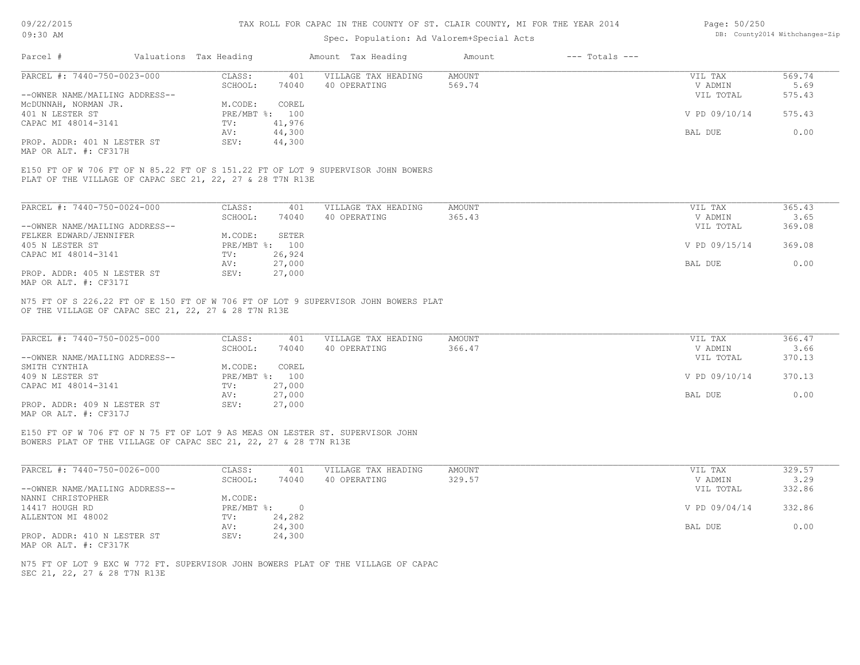## Spec. Population: Ad Valorem+Special Acts

#### Page: 50/250 DB: County2014 Withchanges-Zip

| PARCEL #: 7440-750-0023-000<br>CLASS:<br>AMOUNT<br>401<br>VILLAGE TAX HEADING<br>VIL TAX<br>74040<br>SCHOOL:<br>40 OPERATING<br>569.74<br>V ADMIN<br>--OWNER NAME/MAILING ADDRESS--<br>VIL TOTAL<br>COREL<br>M.CODE:<br>PRE/MBT %: 100<br>V PD 09/10/14<br>41,976<br>TV:<br>44,300<br>BAL DUE<br>AV:<br>PROP. ADDR: 401 N LESTER ST<br>44,300<br>SEV: | Parcel #              | Valuations Tax Heading | Amount Tax Heading | Amount | $---$ Totals $---$ |        |
|-------------------------------------------------------------------------------------------------------------------------------------------------------------------------------------------------------------------------------------------------------------------------------------------------------------------------------------------------------|-----------------------|------------------------|--------------------|--------|--------------------|--------|
|                                                                                                                                                                                                                                                                                                                                                       |                       |                        |                    |        |                    | 569.74 |
|                                                                                                                                                                                                                                                                                                                                                       |                       |                        |                    |        |                    | 5.69   |
|                                                                                                                                                                                                                                                                                                                                                       |                       |                        |                    |        |                    | 575.43 |
|                                                                                                                                                                                                                                                                                                                                                       | MCDUNNAH, NORMAN JR.  |                        |                    |        |                    |        |
|                                                                                                                                                                                                                                                                                                                                                       | 401 N LESTER ST       |                        |                    |        |                    | 575.43 |
|                                                                                                                                                                                                                                                                                                                                                       | CAPAC MI 48014-3141   |                        |                    |        |                    |        |
|                                                                                                                                                                                                                                                                                                                                                       |                       |                        |                    |        |                    | 0.00   |
|                                                                                                                                                                                                                                                                                                                                                       |                       |                        |                    |        |                    |        |
|                                                                                                                                                                                                                                                                                                                                                       | MAP OR ALT. #: CF317H |                        |                    |        |                    |        |
|                                                                                                                                                                                                                                                                                                                                                       |                       |                        |                    |        |                    |        |
|                                                                                                                                                                                                                                                                                                                                                       |                       |                        |                    |        |                    |        |
|                                                                                                                                                                                                                                                                                                                                                       |                       |                        |                    |        |                    |        |
| PLAT OF THE VILLAGE OF CAPAC SEC 21, 22, 27 & 28 T7N R13E                                                                                                                                                                                                                                                                                             |                       |                        |                    |        |                    |        |

| PARCEL #: 7440-750-0024-000    | CLASS:  | 401            | VILLAGE TAX HEADING | AMOUNT | VIL TAX       | 365.43 |
|--------------------------------|---------|----------------|---------------------|--------|---------------|--------|
|                                | SCHOOL: | 74040          | 40 OPERATING        | 365.43 | V ADMIN       | 3.65   |
| --OWNER NAME/MAILING ADDRESS-- |         |                |                     |        | VIL TOTAL     | 369.08 |
| FELKER EDWARD/JENNIFER         | M.CODE: | SETER          |                     |        |               |        |
| 405 N LESTER ST                |         | PRE/MBT %: 100 |                     |        | V PD 09/15/14 | 369.08 |
| CAPAC MI 48014-3141            | TV:     | 26,924         |                     |        |               |        |
|                                | AV:     | 27,000         |                     |        | BAL DUE       | 0.00   |
| PROP. ADDR: 405 N LESTER ST    | SEV:    | 27,000         |                     |        |               |        |
| MAP OR ALT. #: CF317I          |         |                |                     |        |               |        |

OF THE VILLAGE OF CAPAC SEC 21, 22, 27 & 28 T7N R13E N75 FT OF S 226.22 FT OF E 150 FT OF W 706 FT OF LOT 9 SUPERVISOR JOHN BOWERS PLAT

| PARCEL #: 7440-750-0025-000    | CLASS:  | 401            | VILLAGE TAX HEADING | AMOUNT | VIL TAX       | 366.47 |
|--------------------------------|---------|----------------|---------------------|--------|---------------|--------|
|                                | SCHOOL: | 74040          | 40 OPERATING        | 366.47 | V ADMIN       | 3.66   |
| --OWNER NAME/MAILING ADDRESS-- |         |                |                     |        | VIL TOTAL     | 370.13 |
| SMITH CYNTHIA                  | M.CODE: | COREL          |                     |        |               |        |
| 409 N LESTER ST                |         | PRE/MBT %: 100 |                     |        | V PD 09/10/14 | 370.13 |
| CAPAC MI 48014-3141            | TV:     | 27,000         |                     |        |               |        |
|                                | AV:     | 27,000         |                     |        | BAL DUE       | 0.00   |
| PROP. ADDR: 409 N LESTER ST    | SEV:    | 27,000         |                     |        |               |        |
| MAP OR ALT. #: CF317J          |         |                |                     |        |               |        |

BOWERS PLAT OF THE VILLAGE OF CAPAC SEC 21, 22, 27 & 28 T7N R13E E150 FT OF W 706 FT OF N 75 FT OF LOT 9 AS MEAS ON LESTER ST. SUPERVISOR JOHN

| PARCEL #: 7440-750-0026-000    | CLASS:       | 401    | VILLAGE TAX HEADING | AMOUNT | VIL TAX       | 329.57 |
|--------------------------------|--------------|--------|---------------------|--------|---------------|--------|
|                                | SCHOOL:      | 74040  | 40 OPERATING        | 329.57 | V ADMIN       | 3.29   |
| --OWNER NAME/MAILING ADDRESS-- |              |        |                     |        | VIL TOTAL     | 332.86 |
| NANNI CHRISTOPHER              | M.CODE:      |        |                     |        |               |        |
| 14417 HOUGH RD                 | $PRE/MBT$ %: |        |                     |        | V PD 09/04/14 | 332.86 |
| ALLENTON MI 48002              | TV:          | 24,282 |                     |        |               |        |
|                                | AV:          | 24,300 |                     |        | BAL DUE       | 0.00   |
| PROP. ADDR: 410 N LESTER ST    | SEV:         | 24,300 |                     |        |               |        |
| MAP OR ALT. #: CF317K          |              |        |                     |        |               |        |

SEC 21, 22, 27 & 28 T7N R13E N75 FT OF LOT 9 EXC W 772 FT. SUPERVISOR JOHN BOWERS PLAT OF THE VILLAGE OF CAPAC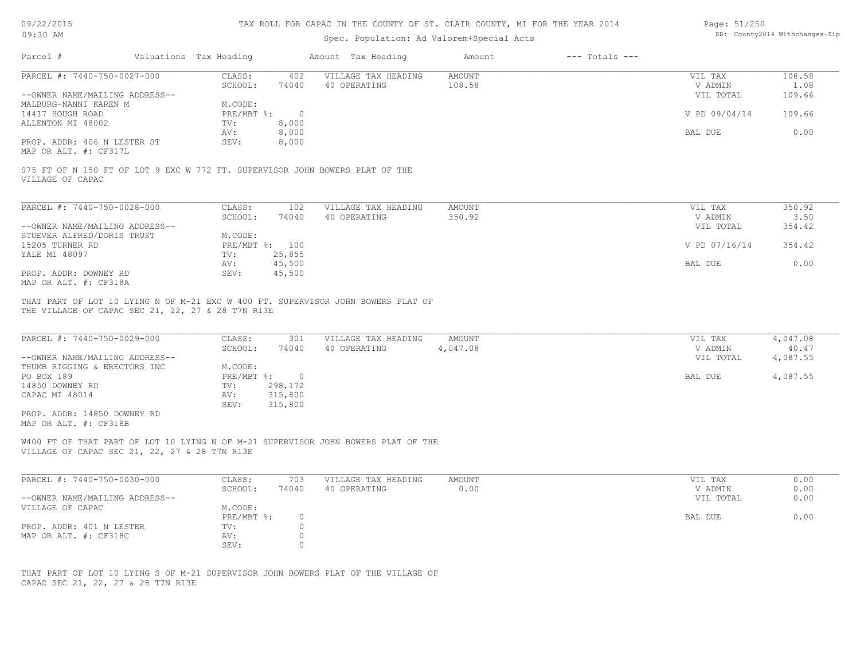# 09/22/2015

#### TAX ROLL FOR CAPAC IN THE COUNTY OF ST. CLAIR COUNTY, MI FOR THE YEAR 2014

| Page: 51/250 |                                |
|--------------|--------------------------------|
|              | DB: County2014 Withchanges-Zip |

|                                                                                                                                                                |                        |                |                                           |                           |                    |                    | DB: County2014 Withchanges-Zip |
|----------------------------------------------------------------------------------------------------------------------------------------------------------------|------------------------|----------------|-------------------------------------------|---------------------------|--------------------|--------------------|--------------------------------|
| 09:30 AM                                                                                                                                                       |                        |                | Spec. Population: Ad Valorem+Special Acts |                           |                    |                    |                                |
| Parcel #                                                                                                                                                       |                        |                |                                           |                           | $---$ Totals $---$ |                    |                                |
|                                                                                                                                                                | Valuations Tax Heading |                | Amount Tax Heading                        | Amount                    |                    |                    |                                |
| PARCEL #: 7440-750-0027-000                                                                                                                                    | CLASS:                 | 402            | VILLAGE TAX HEADING                       | <b>AMOUNT</b>             |                    | VIL TAX            | 108.58                         |
|                                                                                                                                                                | SCHOOL:                | 74040          | 40 OPERATING                              | 108.58                    |                    | V ADMIN            | 1.08                           |
| --OWNER NAME/MAILING ADDRESS--                                                                                                                                 |                        |                |                                           |                           |                    | VIL TOTAL          | 109.66                         |
| MALBURG-NANNI KAREN M                                                                                                                                          | M.CODE:                |                |                                           |                           |                    |                    |                                |
| 14417 HOUGH ROAD                                                                                                                                               | $PRE/MBT$ %:           | $\overline{0}$ |                                           |                           |                    | V PD 09/04/14      | 109.66                         |
| ALLENTON MI 48002                                                                                                                                              | TV:                    | 8,000          |                                           |                           |                    |                    |                                |
|                                                                                                                                                                | AV:                    | 8,000          |                                           |                           |                    | BAL DUE            | 0.00                           |
| PROP. ADDR: 406 N LESTER ST                                                                                                                                    | SEV:                   | 8,000          |                                           |                           |                    |                    |                                |
| MAP OR ALT. #: CF317L                                                                                                                                          |                        |                |                                           |                           |                    |                    |                                |
|                                                                                                                                                                |                        |                |                                           |                           |                    |                    |                                |
| S75 FT OF N 150 FT OF LOT 9 EXC W 772 FT. SUPERVISOR JOHN BOWERS PLAT OF THE                                                                                   |                        |                |                                           |                           |                    |                    |                                |
| VILLAGE OF CAPAC                                                                                                                                               |                        |                |                                           |                           |                    |                    |                                |
|                                                                                                                                                                |                        |                |                                           |                           |                    |                    |                                |
| PARCEL #: 7440-750-0028-000                                                                                                                                    | CLASS:                 | 102            | VILLAGE TAX HEADING                       | <b>AMOUNT</b>             |                    | VIL TAX            | 350.92                         |
|                                                                                                                                                                | SCHOOL:                | 74040          | 40 OPERATING                              | 350.92                    |                    | V ADMIN            | 3.50                           |
|                                                                                                                                                                |                        |                |                                           |                           |                    |                    | 354.42                         |
| --OWNER NAME/MAILING ADDRESS--                                                                                                                                 |                        |                |                                           |                           |                    | VIL TOTAL          |                                |
| STUEVER ALFRED/DORIS TRUST                                                                                                                                     | M.CODE:                |                |                                           |                           |                    |                    |                                |
| 15205 TURNER RD                                                                                                                                                |                        | PRE/MBT %: 100 |                                           |                           |                    | V PD 07/16/14      | 354.42                         |
| YALE MI 48097                                                                                                                                                  | TV:                    | 25,855         |                                           |                           |                    |                    |                                |
|                                                                                                                                                                | AV:                    | 45,500         |                                           |                           |                    | BAL DUE            | 0.00                           |
|                                                                                                                                                                | SEV:                   | 45,500         |                                           |                           |                    |                    |                                |
| PROP. ADDR: DOWNEY RD                                                                                                                                          |                        |                |                                           |                           |                    |                    |                                |
| MAP OR ALT. #: CF318A<br>THAT PART OF LOT 10 LYING N OF M-21 EXC W 400 FT. SUPERVISOR JOHN BOWERS PLAT OF<br>THE VILLAGE OF CAPAC SEC 21, 22, 27 & 28 T7N R13E |                        |                |                                           |                           |                    |                    |                                |
| PARCEL #: 7440-750-0029-000                                                                                                                                    | CLASS:<br>SCHOOL:      | 301<br>74040   | VILLAGE TAX HEADING<br>40 OPERATING       | <b>AMOUNT</b><br>4,047.08 |                    | VIL TAX<br>V ADMIN | 4,047.08<br>40.47              |
| --OWNER NAME/MAILING ADDRESS--                                                                                                                                 |                        |                |                                           |                           |                    | VIL TOTAL          | 4,087.55                       |
| THUMB RIGGING & ERECTORS INC                                                                                                                                   | M.CODE:                |                |                                           |                           |                    |                    |                                |
| PO BOX 189                                                                                                                                                     | $PRE/MBT$ $\div$       | $\overline{0}$ |                                           |                           |                    | BAL DUE            | 4,087.55                       |
| 14850 DOWNEY RD                                                                                                                                                | TV:                    | 298,172        |                                           |                           |                    |                    |                                |
| CAPAC MI 48014                                                                                                                                                 | AV:                    | 315,800        |                                           |                           |                    |                    |                                |
|                                                                                                                                                                | SEV:                   | 315,800        |                                           |                           |                    |                    |                                |
| PROP. ADDR: 14850 DOWNEY RD                                                                                                                                    |                        |                |                                           |                           |                    |                    |                                |
| MAP OR ALT. #: CF318B                                                                                                                                          |                        |                |                                           |                           |                    |                    |                                |
| W400 FT OF THAT PART OF LOT 10 LYING N OF M-21 SUPERVISOR JOHN BOWERS PLAT OF THE                                                                              |                        |                |                                           |                           |                    |                    |                                |
| VILLAGE OF CAPAC SEC 21, 22, 27 & 28 T7N R13E                                                                                                                  |                        |                |                                           |                           |                    |                    |                                |
|                                                                                                                                                                |                        |                |                                           |                           |                    |                    |                                |
| PARCEL #: 7440-750-0030-000                                                                                                                                    | CLASS:                 | 703            | VILLAGE TAX HEADING                       | AMOUNT                    |                    | VIL TAX            | 0.00                           |
|                                                                                                                                                                | SCHOOL:                | 74040          | 40 OPERATING                              | 0.00                      |                    | V ADMIN            | 0.00                           |
| --OWNER NAME/MAILING ADDRESS--                                                                                                                                 |                        |                |                                           |                           |                    | VIL TOTAL          | 0.00                           |
| VILLAGE OF CAPAC                                                                                                                                               | M.CODE:                |                |                                           |                           |                    |                    |                                |
|                                                                                                                                                                | PRE/MBT %:             | $\circ$        |                                           |                           |                    | BAL DUE            | 0.00                           |
| PROP. ADDR: 401 N LESTER                                                                                                                                       | TV:                    | $\Omega$       |                                           |                           |                    |                    |                                |
| MAP OR ALT. #: CF318C                                                                                                                                          |                        | $\circ$        |                                           |                           |                    |                    |                                |
|                                                                                                                                                                | AV:<br>SEV:            | $\circ$        |                                           |                           |                    |                    |                                |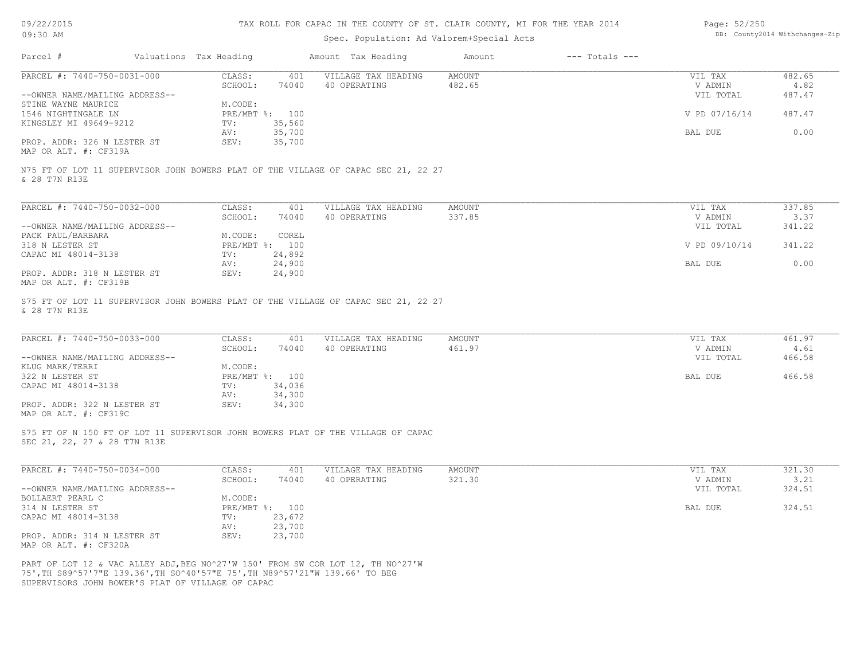| 09/22/2015 |  |
|------------|--|
| $09:30$ AM |  |

## Spec. Population: Ad Valorem+Special Acts

| Page: 52/250 |                                |
|--------------|--------------------------------|
|              | DB: County2014 Withchanges-Zip |

| Parcel #                                                                     | Valuations Tax Heading |                          | Amount Tax Heading                                                                 | Amount                  | $---$ Totals $---$ |                    |                |
|------------------------------------------------------------------------------|------------------------|--------------------------|------------------------------------------------------------------------------------|-------------------------|--------------------|--------------------|----------------|
| PARCEL #: 7440-750-0031-000                                                  | CLASS:<br>SCHOOL:      | 401<br>74040             | VILLAGE TAX HEADING<br>40 OPERATING                                                | <b>AMOUNT</b><br>482.65 |                    | VIL TAX<br>V ADMIN | 482.65<br>4.82 |
| --OWNER NAME/MAILING ADDRESS--                                               |                        |                          |                                                                                    |                         |                    | VIL TOTAL          | 487.47         |
| STINE WAYNE MAURICE<br>1546 NIGHTINGALE LN                                   | M.CODE:                | PRE/MBT %: 100           |                                                                                    |                         |                    | V PD 07/16/14      | 487.47         |
| KINGSLEY MI 49649-9212                                                       | TV:                    | 35,560                   |                                                                                    |                         |                    |                    |                |
|                                                                              | AV:                    | 35,700                   |                                                                                    |                         |                    | <b>BAL DUE</b>     | 0.00           |
| PROP. ADDR: 326 N LESTER ST<br>MAP OR ALT. #: CF319A                         | SEV:                   | 35,700                   |                                                                                    |                         |                    |                    |                |
|                                                                              |                        |                          | N75 FT OF LOT 11 SUPERVISOR JOHN BOWERS PLAT OF THE VILLAGE OF CAPAC SEC 21, 22 27 |                         |                    |                    |                |
| & 28 T7N R13E                                                                |                        |                          |                                                                                    |                         |                    |                    |                |
| PARCEL #: 7440-750-0032-000                                                  | CLASS:                 | 401                      | VILLAGE TAX HEADING                                                                | <b>AMOUNT</b>           |                    | VIL TAX            | 337.85         |
|                                                                              | SCHOOL:                | 74040                    | 40 OPERATING                                                                       | 337.85                  |                    | V ADMIN            | 3.37           |
| --OWNER NAME/MAILING ADDRESS--<br>PACK PAUL/BARBARA                          | M.CODE:                | COREL                    |                                                                                    |                         |                    | VIL TOTAL          | 341.22         |
| 318 N LESTER ST                                                              |                        | PRE/MBT %: 100           |                                                                                    |                         |                    | V PD 09/10/14      | 341.22         |
| CAPAC MI 48014-3138                                                          | TV:                    | 24,892                   |                                                                                    |                         |                    |                    |                |
|                                                                              | AV:                    | 24,900                   |                                                                                    |                         |                    | BAL DUE            | 0.00           |
| PROP. ADDR: 318 N LESTER ST                                                  | SEV:                   | 24,900                   |                                                                                    |                         |                    |                    |                |
| MAP OR ALT. #: CF319B                                                        |                        |                          |                                                                                    |                         |                    |                    |                |
|                                                                              |                        |                          | S75 FT OF LOT 11 SUPERVISOR JOHN BOWERS PLAT OF THE VILLAGE OF CAPAC SEC 21, 22 27 |                         |                    |                    |                |
| & 28 T7N R13E                                                                |                        |                          |                                                                                    |                         |                    |                    |                |
|                                                                              |                        |                          |                                                                                    |                         |                    |                    |                |
| PARCEL #: 7440-750-0033-000                                                  | CLASS:                 | 401                      | VILLAGE TAX HEADING                                                                | <b>AMOUNT</b>           |                    | VIL TAX            | 461.97         |
|                                                                              | SCHOOL:                | 74040                    | 40 OPERATING                                                                       | 461.97                  |                    | V ADMIN            | 4.61           |
| --OWNER NAME/MAILING ADDRESS--                                               |                        |                          |                                                                                    |                         |                    | VIL TOTAL          | 466.58         |
| KLUG MARK/TERRI                                                              | M.CODE:                |                          |                                                                                    |                         |                    |                    |                |
| 322 N LESTER ST                                                              | TV:                    | PRE/MBT %: 100<br>34,036 |                                                                                    |                         |                    | BAL DUE            | 466.58         |
| CAPAC MI 48014-3138                                                          | AV:                    | 34,300                   |                                                                                    |                         |                    |                    |                |
| PROP. ADDR: 322 N LESTER ST                                                  | SEV:                   | 34,300                   |                                                                                    |                         |                    |                    |                |
| MAP OR ALT. #: CF319C                                                        |                        |                          |                                                                                    |                         |                    |                    |                |
|                                                                              |                        |                          |                                                                                    |                         |                    |                    |                |
|                                                                              |                        |                          | S75 FT OF N 150 FT OF LOT 11 SUPERVISOR JOHN BOWERS PLAT OF THE VILLAGE OF CAPAC   |                         |                    |                    |                |
| SEC 21, 22, 27 & 28 T7N R13E                                                 |                        |                          |                                                                                    |                         |                    |                    |                |
| PARCEL #: 7440-750-0034-000                                                  | CLASS:                 | 401                      | VILLAGE TAX HEADING                                                                | <b>AMOUNT</b>           |                    | VIL TAX            | 321.30         |
|                                                                              | SCHOOL:                | 74040                    | 40 OPERATING                                                                       | 321.30                  |                    | V ADMIN            | 3.21           |
| --OWNER NAME/MAILING ADDRESS--                                               |                        |                          |                                                                                    |                         |                    | VIL TOTAL          | 324.51         |
| BOLLAERT PEARL C                                                             | M.CODE:                |                          |                                                                                    |                         |                    |                    |                |
| 314 N LESTER ST                                                              |                        | PRE/MBT %: 100           |                                                                                    |                         |                    | BAL DUE            | 324.51         |
| CAPAC MI 48014-3138                                                          | TV:                    | 23,672                   |                                                                                    |                         |                    |                    |                |
|                                                                              | AV:                    | 23,700                   |                                                                                    |                         |                    |                    |                |
| PROP. ADDR: 314 N LESTER ST                                                  | SEV:                   | 23,700                   |                                                                                    |                         |                    |                    |                |
| MAP OR ALT. #: CF320A                                                        |                        |                          |                                                                                    |                         |                    |                    |                |
|                                                                              |                        |                          | PART OF LOT 12 & VAC ALLEY ADJ, BEG NO^27'W 150' FROM SW COR LOT 12, TH NO^27'W    |                         |                    |                    |                |
| 75', TH S89^57'7"E 139.36', TH SO^40'57"E 75', TH N89^57'21"W 139.66' TO BEG |                        |                          |                                                                                    |                         |                    |                    |                |
| SUPERVISORS JOHN BOWER'S PLAT OF VILLAGE OF CAPAC                            |                        |                          |                                                                                    |                         |                    |                    |                |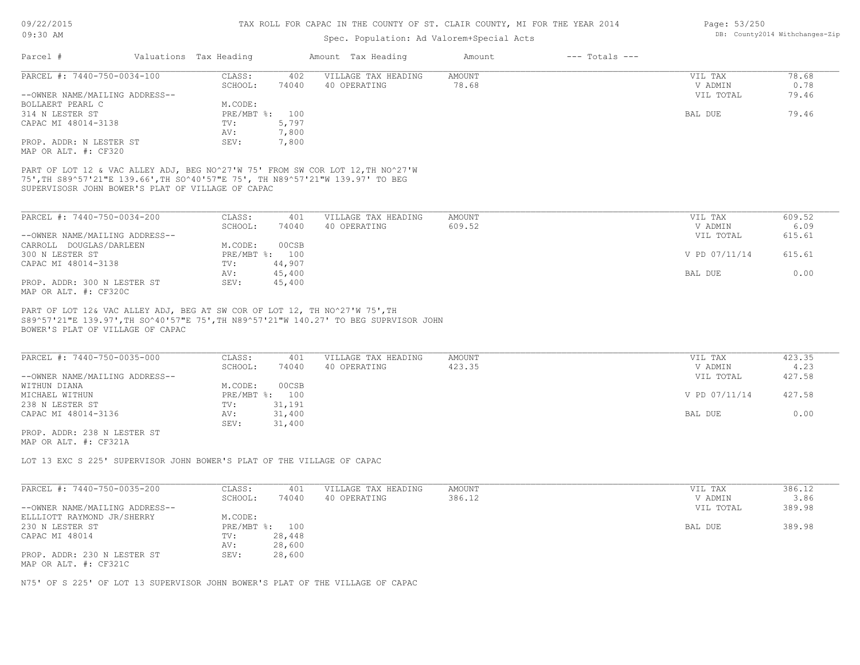## Spec. Population: Ad Valorem+Special Acts

| Parcel #                                                                                                                                                                                                                                     | Valuations Tax Heading | Amount Tax Heading  | Amount        | $---$ Totals $---$ |               |        |
|----------------------------------------------------------------------------------------------------------------------------------------------------------------------------------------------------------------------------------------------|------------------------|---------------------|---------------|--------------------|---------------|--------|
| PARCEL #: 7440-750-0034-100                                                                                                                                                                                                                  | CLASS:<br>402          | VILLAGE TAX HEADING | <b>AMOUNT</b> |                    | VIL TAX       | 78.68  |
|                                                                                                                                                                                                                                              | 74040<br>SCHOOL:       | 40 OPERATING        | 78.68         |                    | V ADMIN       | 0.78   |
| --OWNER NAME/MAILING ADDRESS--                                                                                                                                                                                                               |                        |                     |               |                    | VIL TOTAL     | 79.46  |
| BOLLAERT PEARL C                                                                                                                                                                                                                             | M.CODE:                |                     |               |                    |               |        |
| 314 N LESTER ST                                                                                                                                                                                                                              | $PRE/MBT$ %:<br>100    |                     |               |                    | BAL DUE       | 79.46  |
| CAPAC MI 48014-3138                                                                                                                                                                                                                          | 5,797<br>TV:           |                     |               |                    |               |        |
|                                                                                                                                                                                                                                              | 7,800<br>AV:           |                     |               |                    |               |        |
| PROP. ADDR: N LESTER ST                                                                                                                                                                                                                      | SEV:<br>7,800          |                     |               |                    |               |        |
|                                                                                                                                                                                                                                              |                        |                     |               |                    |               |        |
| MAP OR ALT. #: CF320<br>PART OF LOT 12 & VAC ALLEY ADJ, BEG NO^27'W 75' FROM SW COR LOT 12, TH NO^27'W<br>75', TH S89^57'21"E 139.66', TH SO^40'57"E 75', TH N89^57'21"W 139.97' TO BEG<br>SUPERVISOSR JOHN BOWER'S PLAT OF VILLAGE OF CAPAC |                        |                     |               |                    |               |        |
| PARCEL #: 7440-750-0034-200                                                                                                                                                                                                                  | CLASS:<br>401          | VILLAGE TAX HEADING | AMOUNT        |                    | VIL TAX       | 609.52 |
|                                                                                                                                                                                                                                              | SCHOOL:<br>74040       | 40 OPERATING        | 609.52        |                    | V ADMIN       | 6.09   |
| --OWNER NAME/MAILING ADDRESS--                                                                                                                                                                                                               |                        |                     |               |                    | VIL TOTAL     | 615.61 |
| CARROLL DOUGLAS/DARLEEN                                                                                                                                                                                                                      | 00CSB<br>M.CODE:       |                     |               |                    |               |        |
| 300 N LESTER ST                                                                                                                                                                                                                              | PRE/MBT %: 100         |                     |               |                    | V PD 07/11/14 | 615.61 |
| CAPAC MI 48014-3138                                                                                                                                                                                                                          | 44,907<br>TV:          |                     |               |                    |               |        |
|                                                                                                                                                                                                                                              | 45,400<br>AV:          |                     |               |                    | BAL DUE       | 0.00   |
| PROP. ADDR: 300 N LESTER ST<br>MAP OR ALT. #: CF320C                                                                                                                                                                                         | 45,400<br>SEV:         |                     |               |                    |               |        |

BOWER'S PLAT OF VILLAGE OF CAPAC

| PARCEL #: 7440-750-0035-000    | CLASS:  | 401            | VILLAGE TAX HEADING | AMOUNT | VIL TAX       | 423.35 |
|--------------------------------|---------|----------------|---------------------|--------|---------------|--------|
|                                | SCHOOL: | 74040          | 40 OPERATING        | 423.35 | V ADMIN       | 4.23   |
| --OWNER NAME/MAILING ADDRESS-- |         |                |                     |        | VIL TOTAL     | 427.58 |
| WITHUN DIANA                   | M.CODE: | 00CSB          |                     |        |               |        |
| MICHAEL WITHUN                 |         | PRE/MBT %: 100 |                     |        | V PD 07/11/14 | 427.58 |
| 238 N LESTER ST                | TV:     | 31,191         |                     |        |               |        |
| CAPAC MI 48014-3136            | AV:     | 31,400         |                     |        | BAL DUE       | 0.00   |
|                                | SEV:    | 31,400         |                     |        |               |        |

MAP OR ALT. #: CF321A PROP. ADDR: 238 N LESTER ST

LOT 13 EXC S 225' SUPERVISOR JOHN BOWER'S PLAT OF THE VILLAGE OF CAPAC

| PARCEL #: 7440-750-0035-200    | CLASS:         | 401    | VILLAGE TAX HEADING | AMOUNT | VIL TAX   | 386.12 |
|--------------------------------|----------------|--------|---------------------|--------|-----------|--------|
|                                | SCHOOL:        | 74040  | 40 OPERATING        | 386.12 | V ADMIN   | 3.86   |
| --OWNER NAME/MAILING ADDRESS-- |                |        |                     |        | VIL TOTAL | 389.98 |
| ELLLIOTT RAYMOND JR/SHERRY     | M.CODE:        |        |                     |        |           |        |
| 230 N LESTER ST                | PRE/MBT %: 100 |        |                     |        | BAL DUE   | 389.98 |
| CAPAC MI 48014                 | TV:            | 28,448 |                     |        |           |        |
|                                | AV:            | 28,600 |                     |        |           |        |
| PROP. ADDR: 230 N LESTER ST    | SEV:           | 28,600 |                     |        |           |        |
| MAP OR ALT. #: CF321C          |                |        |                     |        |           |        |

N75' OF S 225' OF LOT 13 SUPERVISOR JOHN BOWER'S PLAT OF THE VILLAGE OF CAPAC

Page: 53/250 DB: County2014 Withchanges-Zip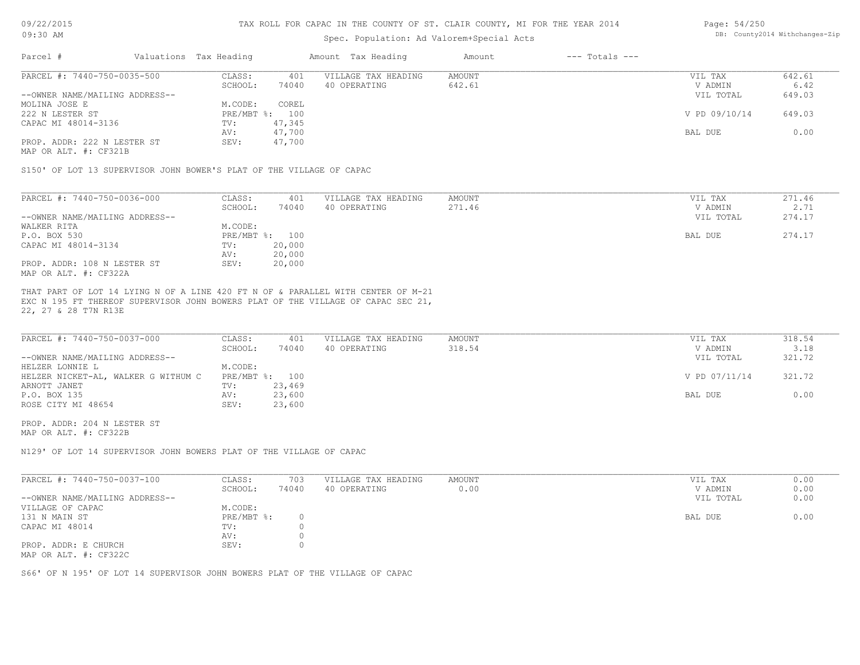## Spec. Population: Ad Valorem+Special Acts

#### Page: 54/250 DB: County2014 Withchanges-Zip

| Parcel #                       | Valuations Tax Heading |        | Amount Tax Heading  | Amount | $---$ Totals $---$ |               |        |
|--------------------------------|------------------------|--------|---------------------|--------|--------------------|---------------|--------|
| PARCEL #: 7440-750-0035-500    | CLASS:                 | 401    | VILLAGE TAX HEADING | AMOUNT |                    | VIL TAX       | 642.61 |
|                                | SCHOOL:                | 74040  | 40 OPERATING        | 642.61 |                    | V ADMIN       | 6.42   |
| --OWNER NAME/MAILING ADDRESS-- |                        |        |                     |        |                    | VIL TOTAL     | 649.03 |
| MOLINA JOSE E                  | M.CODE:                | COREL  |                     |        |                    |               |        |
| 222 N LESTER ST                | PRE/MBT %: 100         |        |                     |        |                    | V PD 09/10/14 | 649.03 |
| CAPAC MI 48014-3136            | TV:                    | 47,345 |                     |        |                    |               |        |
|                                | AV:                    | 47,700 |                     |        |                    | BAL DUE       | 0.00   |
| PROP. ADDR: 222 N LESTER ST    | SEV:                   | 47,700 |                     |        |                    |               |        |
|                                |                        |        |                     |        |                    |               |        |

MAP OR ALT. #: CF321B

S150' OF LOT 13 SUPERVISOR JOHN BOWER'S PLAT OF THE VILLAGE OF CAPAC

| PARCEL #: 7440-750-0036-000    | CLASS:  | 401            | VILLAGE TAX HEADING | AMOUNT | VIL TAX   | 271.46 |
|--------------------------------|---------|----------------|---------------------|--------|-----------|--------|
|                                | SCHOOL: | 74040          | 40 OPERATING        | 271.46 | V ADMIN   | 2.71   |
| --OWNER NAME/MAILING ADDRESS-- |         |                |                     |        | VIL TOTAL | 274.17 |
| WALKER RITA                    | M.CODE: |                |                     |        |           |        |
| P.O. BOX 530                   |         | PRE/MBT %: 100 |                     |        | BAL DUE   | 274.17 |
| CAPAC MI 48014-3134            | TV:     | 20,000         |                     |        |           |        |
|                                | AV:     | 20,000         |                     |        |           |        |
| PROP. ADDR: 108 N LESTER ST    | SEV:    | 20,000         |                     |        |           |        |
| MAP OR ALT. #: CF322A          |         |                |                     |        |           |        |

22, 27 & 28 T7N R13E EXC N 195 FT THEREOF SUPERVISOR JOHN BOWERS PLAT OF THE VILLAGE OF CAPAC SEC 21, THAT PART OF LOT 14 LYING N OF A LINE 420 FT N OF & PARALLEL WITH CENTER OF M-21

| PARCEL #: 7440-750-0037-000         | CLASS:         | 401    | VILLAGE TAX HEADING | AMOUNT | VIL TAX       | 318.54 |
|-------------------------------------|----------------|--------|---------------------|--------|---------------|--------|
|                                     | SCHOOL:        | 74040  | 40 OPERATING        | 318.54 | V ADMIN       | 3.18   |
| --OWNER NAME/MAILING ADDRESS--      |                |        |                     |        | VIL TOTAL     | 321.72 |
| HELZER LONNIE L                     | M.CODE:        |        |                     |        |               |        |
| HELZER NICKET-AL, WALKER G WITHUM C | PRE/MBT %: 100 |        |                     |        | V PD 07/11/14 | 321.72 |
| ARNOTT JANET                        | TV:            | 23,469 |                     |        |               |        |
| P.O. BOX 135                        | AV:            | 23,600 |                     |        | BAL DUE       | 0.00   |
| ROSE CITY MI 48654                  | SEV:           | 23,600 |                     |        |               |        |

MAP OR ALT. #: CF322B PROP. ADDR: 204 N LESTER ST

N129' OF LOT 14 SUPERVISOR JOHN BOWERS PLAT OF THE VILLAGE OF CAPAC

| PARCEL #: 7440-750-0037-100    | CLASS:       | 703   | VILLAGE TAX HEADING | AMOUNT | VIL TAX   | 0.00 |
|--------------------------------|--------------|-------|---------------------|--------|-----------|------|
|                                | SCHOOL:      | 74040 | 40 OPERATING        | 0.00   | V ADMIN   | 0.00 |
| --OWNER NAME/MAILING ADDRESS-- |              |       |                     |        | VIL TOTAL | 0.00 |
| VILLAGE OF CAPAC               | M.CODE:      |       |                     |        |           |      |
| 131 N MAIN ST                  | $PRE/MBT$ %: |       |                     |        | BAL DUE   | 0.00 |
| CAPAC MI 48014                 | TV:          |       |                     |        |           |      |
|                                | AV:          |       |                     |        |           |      |
| PROP. ADDR: E CHURCH           | SEV:         |       |                     |        |           |      |
| MAP OR ALT. #: CF322C          |              |       |                     |        |           |      |

S66' OF N 195' OF LOT 14 SUPERVISOR JOHN BOWERS PLAT OF THE VILLAGE OF CAPAC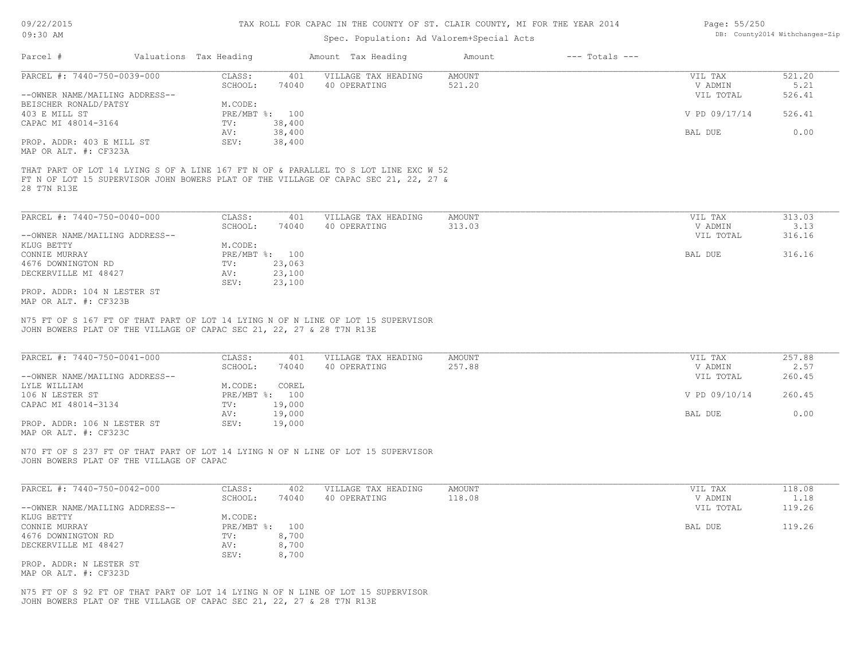### 09/22/2015 09:30 AM

#### TAX ROLL FOR CAPAC IN THE COUNTY OF ST. CLAIR COUNTY, MI FOR THE YEAR 2014

## Spec. Population: Ad Valorem+Special Acts

| Page: 55/250 |                                |
|--------------|--------------------------------|
|              | DB: County2014 Withchanges-Zip |

| Parcel #                                                                                                                                                  | Valuations Tax Heading | Amount Tax Heading  | $---$ Totals $---$<br>Amount |               |        |
|-----------------------------------------------------------------------------------------------------------------------------------------------------------|------------------------|---------------------|------------------------------|---------------|--------|
| PARCEL #: 7440-750-0039-000                                                                                                                               | CLASS:<br>401          | VILLAGE TAX HEADING | AMOUNT                       | VIL TAX       | 521.20 |
|                                                                                                                                                           | SCHOOL:<br>74040       | 40 OPERATING        | 521.20                       | V ADMIN       | 5.21   |
| --OWNER NAME/MAILING ADDRESS--                                                                                                                            |                        |                     |                              | VIL TOTAL     | 526.41 |
| BEISCHER RONALD/PATSY                                                                                                                                     | M.CODE:                |                     |                              |               |        |
| 403 E MILL ST                                                                                                                                             | PRE/MBT %: 100         |                     |                              | V PD 09/17/14 | 526.41 |
| CAPAC MI 48014-3164                                                                                                                                       | 38,400<br>TV:          |                     |                              |               |        |
|                                                                                                                                                           | 38,400<br>AV:          |                     |                              | BAL DUE       | 0.00   |
| PROP. ADDR: 403 E MILL ST                                                                                                                                 | 38,400<br>SEV:         |                     |                              |               |        |
| MAP OR ALT. #: CF323A                                                                                                                                     |                        |                     |                              |               |        |
| FT N OF LOT 15 SUPERVISOR JOHN BOWERS PLAT OF THE VILLAGE OF CAPAC SEC 21, 22, 27 &<br>28 T7N R13E                                                        |                        |                     |                              |               |        |
| PARCEL #: 7440-750-0040-000                                                                                                                               | CLASS:<br>401          | VILLAGE TAX HEADING | AMOUNT                       | VIL TAX       | 313.03 |
|                                                                                                                                                           | SCHOOL:<br>74040       | 40 OPERATING        | 313.03                       | V ADMIN       | 3.13   |
| --OWNER NAME/MAILING ADDRESS--                                                                                                                            |                        |                     |                              | VIL TOTAL     | 316.16 |
| KLUG BETTY                                                                                                                                                | M.CODE:                |                     |                              |               |        |
| CONNIE MURRAY                                                                                                                                             | PRE/MBT %: 100         |                     |                              | BAL DUE       | 316.16 |
| 4676 DOWNINGTON RD                                                                                                                                        | 23,063<br>TV:          |                     |                              |               |        |
| DECKERVILLE MI 48427                                                                                                                                      | 23,100<br>AV:          |                     |                              |               |        |
|                                                                                                                                                           | SEV:<br>23,100         |                     |                              |               |        |
| PROP. ADDR: 104 N LESTER ST                                                                                                                               |                        |                     |                              |               |        |
| MAP OR ALT. #: CF323B                                                                                                                                     |                        |                     |                              |               |        |
| N75 FT OF S 167 FT OF THAT PART OF LOT 14 LYING N OF N LINE OF LOT 15 SUPERVISOR<br>JOHN BOWERS PLAT OF THE VILLAGE OF CAPAC SEC 21, 22, 27 & 28 T7N R13E |                        |                     |                              |               |        |
| PARCEL #: 7440-750-0041-000                                                                                                                               | CLASS:<br>401          | VILLAGE TAX HEADING | <b>AMOUNT</b>                | VIL TAX       | 257.88 |
|                                                                                                                                                           | 74040<br>SCHOOL:       | 40 OPERATING        | 257.88                       | V ADMIN       | 2.57   |
| --OWNER NAME/MAILING ADDRESS--                                                                                                                            |                        |                     |                              | VIL TOTAL     | 260.45 |
| LYLE WILLIAM                                                                                                                                              | M.CODE:<br>COREL       |                     |                              |               |        |
| 106 N LESTER ST                                                                                                                                           | PRE/MBT %: 100         |                     |                              | V PD 09/10/14 | 260.45 |
|                                                                                                                                                           | $m_{17}$ $n_{00}$      |                     |                              |               |        |

MAP OR ALT. #: CF323C PROP. ADDR: 106 N LESTER ST SEV: 19,000 AV: 19,000 BAL DUE 0.00

JOHN BOWERS PLAT OF THE VILLAGE OF CAPAC N70 FT OF S 237 FT OF THAT PART OF LOT 14 LYING N OF N LINE OF LOT 15 SUPERVISOR

CAPAC MI 48014-3134 TV: 19,000

| PARCEL #: 7440-750-0042-000    | CLASS:       | 402   | VILLAGE TAX HEADING | AMOUNT | VIL TAX   | 118.08 |
|--------------------------------|--------------|-------|---------------------|--------|-----------|--------|
|                                | SCHOOL:      | 74040 | 40 OPERATING        | 118.08 | V ADMIN   | 1.18   |
| --OWNER NAME/MAILING ADDRESS-- |              |       |                     |        | VIL TOTAL | 119.26 |
| KLUG BETTY                     | M.CODE:      |       |                     |        |           |        |
| CONNIE MURRAY                  | $PRE/MBT$ %: | 100   |                     |        | BAL DUE   | 119.26 |
| 4676 DOWNINGTON RD             | TV:          | 8,700 |                     |        |           |        |
| DECKERVILLE MI 48427           | AV:          | 8,700 |                     |        |           |        |
|                                | SEV:         | 8,700 |                     |        |           |        |
| PROP. ADDR: N LESTER ST        |              |       |                     |        |           |        |
|                                |              |       |                     |        |           |        |

MAP OR ALT. #: CF323D

JOHN BOWERS PLAT OF THE VILLAGE OF CAPAC SEC 21, 22, 27 & 28 T7N R13E N75 FT OF S 92 FT OF THAT PART OF LOT 14 LYING N OF N LINE OF LOT 15 SUPERVISOR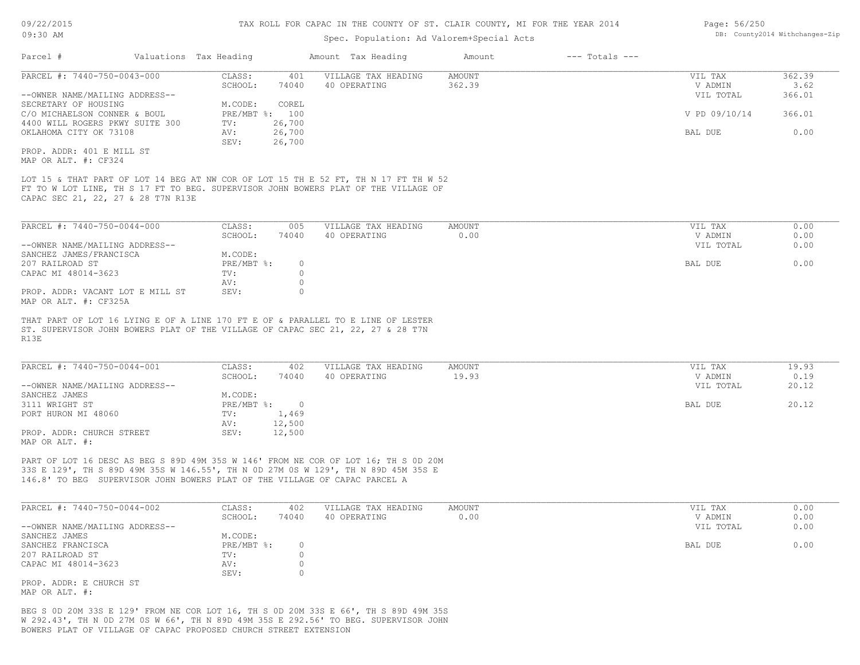| 09:30 AM                                                                   |                        |                   |                    | Spec. Population: Ad Valorem+Special Acts                                                                                                                                 | DB: County2014 Withchanges-Zip |                    |               |        |
|----------------------------------------------------------------------------|------------------------|-------------------|--------------------|---------------------------------------------------------------------------------------------------------------------------------------------------------------------------|--------------------------------|--------------------|---------------|--------|
| Parcel #                                                                   | Valuations Tax Heading |                   |                    | Amount Tax Heading                                                                                                                                                        | Amount                         | $---$ Totals $---$ |               |        |
| PARCEL #: 7440-750-0043-000                                                |                        | CLASS:            | 401                | VILLAGE TAX HEADING                                                                                                                                                       | <b>AMOUNT</b>                  |                    | VIL TAX       | 362.39 |
|                                                                            |                        | SCHOOL:           | 74040              | 40 OPERATING                                                                                                                                                              | 362.39                         |                    | V ADMIN       | 3.62   |
| --OWNER NAME/MAILING ADDRESS--                                             |                        |                   |                    |                                                                                                                                                                           |                                |                    | VIL TOTAL     | 366.01 |
| SECRETARY OF HOUSING                                                       |                        | M.CODE:           | COREL              |                                                                                                                                                                           |                                |                    |               |        |
| C/O MICHAELSON CONNER & BOUL                                               |                        | PRE/MBT %: 100    |                    |                                                                                                                                                                           |                                |                    | V PD 09/10/14 | 366.01 |
| 4400 WILL ROGERS PKWY SUITE 300<br>OKLAHOMA CITY OK 73108                  |                        | TV:<br>AV:        | 26,700<br>26,700   |                                                                                                                                                                           |                                |                    | BAL DUE       | 0.00   |
|                                                                            |                        | SEV:              | 26,700             |                                                                                                                                                                           |                                |                    |               |        |
| PROP. ADDR: 401 E MILL ST                                                  |                        |                   |                    |                                                                                                                                                                           |                                |                    |               |        |
| MAP OR ALT. #: CF324                                                       |                        |                   |                    |                                                                                                                                                                           |                                |                    |               |        |
| CAPAC SEC 21, 22, 27 & 28 T7N R13E                                         |                        |                   |                    | LOT 15 & THAT PART OF LOT 14 BEG AT NW COR OF LOT 15 TH E 52 FT, TH N 17 FT TH W 52<br>FT TO W LOT LINE, TH S 17 FT TO BEG. SUPERVISOR JOHN BOWERS PLAT OF THE VILLAGE OF |                                |                    |               |        |
| PARCEL #: 7440-750-0044-000                                                |                        | CLASS:            | 005                | VILLAGE TAX HEADING                                                                                                                                                       | <b>AMOUNT</b>                  |                    | VIL TAX       | 0.00   |
|                                                                            |                        | SCHOOL:           | 74040              | 40 OPERATING                                                                                                                                                              | 0.00                           |                    | V ADMIN       | 0.00   |
| --OWNER NAME/MAILING ADDRESS--                                             |                        |                   |                    |                                                                                                                                                                           |                                |                    | VIL TOTAL     | 0.00   |
| SANCHEZ JAMES/FRANCISCA                                                    |                        | M.CODE:           |                    |                                                                                                                                                                           |                                |                    |               |        |
| 207 RAILROAD ST                                                            |                        | PRE/MBT %:        | $\circ$            |                                                                                                                                                                           |                                |                    | BAL DUE       | 0.00   |
| CAPAC MI 48014-3623                                                        |                        | TV:               | $\circ$<br>$\circ$ |                                                                                                                                                                           |                                |                    |               |        |
| PROP. ADDR: VACANT LOT E MILL ST<br>MAP OR ALT. #: CF325A                  |                        | AV:<br>SEV:       | $\circ$            |                                                                                                                                                                           |                                |                    |               |        |
| R13E                                                                       |                        |                   |                    | THAT PART OF LOT 16 LYING E OF A LINE 170 FT E OF & PARALLEL TO E LINE OF LESTER<br>ST. SUPERVISOR JOHN BOWERS PLAT OF THE VILLAGE OF CAPAC SEC 21, 22, 27 & 28 T7N       |                                |                    |               |        |
| PARCEL #: 7440-750-0044-001                                                |                        | CLASS:            | 402                | VILLAGE TAX HEADING                                                                                                                                                       | <b>AMOUNT</b>                  |                    | VIL TAX       | 19.93  |
|                                                                            |                        | SCHOOL:           | 74040              | 40 OPERATING                                                                                                                                                              | 19.93                          |                    | V ADMIN       | 0.19   |
| --OWNER NAME/MAILING ADDRESS--                                             |                        |                   |                    |                                                                                                                                                                           |                                |                    | VIL TOTAL     | 20.12  |
| SANCHEZ JAMES                                                              |                        | M.CODE:           |                    |                                                                                                                                                                           |                                |                    |               |        |
| 3111 WRIGHT ST<br>PORT HURON MI 48060                                      |                        | PRE/MBT %:<br>TV: | $\circ$<br>1,469   |                                                                                                                                                                           |                                |                    | BAL DUE       | 20.12  |
|                                                                            |                        | AV:               | 12,500             |                                                                                                                                                                           |                                |                    |               |        |
| PROP. ADDR: CHURCH STREET                                                  |                        | SEV:              | 12,500             |                                                                                                                                                                           |                                |                    |               |        |
| MAP OR ALT. #:                                                             |                        |                   |                    |                                                                                                                                                                           |                                |                    |               |        |
| 146.8' TO BEG SUPERVISOR JOHN BOWERS PLAT OF THE VILLAGE OF CAPAC PARCEL A |                        |                   |                    | PART OF LOT 16 DESC AS BEG S 89D 49M 35S W 146' FROM NE COR OF LOT 16; TH S OD 20M<br>33S E 129', TH S 89D 49M 35S W 146.55', TH N OD 27M OS W 129', TH N 89D 45M 35S E   |                                |                    |               |        |
| PARCEL #: 7440-750-0044-002                                                |                        | CLASS:            | 402                | VILLAGE TAX HEADING                                                                                                                                                       | <b>AMOUNT</b>                  |                    | VIL TAX       | 0.00   |
|                                                                            |                        | SCHOOL:           | 74040              | 40 OPERATING                                                                                                                                                              | 0.00                           |                    | V ADMIN       | 0.00   |
| --OWNER NAME/MAILING ADDRESS--                                             |                        |                   |                    |                                                                                                                                                                           |                                |                    | VIL TOTAL     | 0.00   |
| SANCHEZ JAMES                                                              |                        | M.CODE:           |                    |                                                                                                                                                                           |                                |                    |               |        |
| SANCHEZ FRANCISCA                                                          |                        | PRE/MBT %:        | $\circ$            |                                                                                                                                                                           |                                |                    | BAL DUE       | 0.00   |
| 207 RAILROAD ST                                                            |                        | TV:               | $\circ$            |                                                                                                                                                                           |                                |                    |               |        |
| CAPAC MI 48014-3623                                                        |                        | AV:               | $\circ$            |                                                                                                                                                                           |                                |                    |               |        |
|                                                                            |                        | SEV:              | $\Omega$           |                                                                                                                                                                           |                                |                    |               |        |

MAP OR ALT. #: PROP. ADDR: E CHURCH ST

BOWERS PLAT OF VILLAGE OF CAPAC PROPOSED CHURCH STREET EXTENSION W 292.43', TH N 0D 27M 0S W 66', TH N 89D 49M 35S E 292.56' TO BEG. SUPERVISOR JOHN BEG S 0D 20M 33S E 129' FROM NE COR LOT 16, TH S 0D 20M 33S E 66', TH S 89D 49M 35S Page: 56/250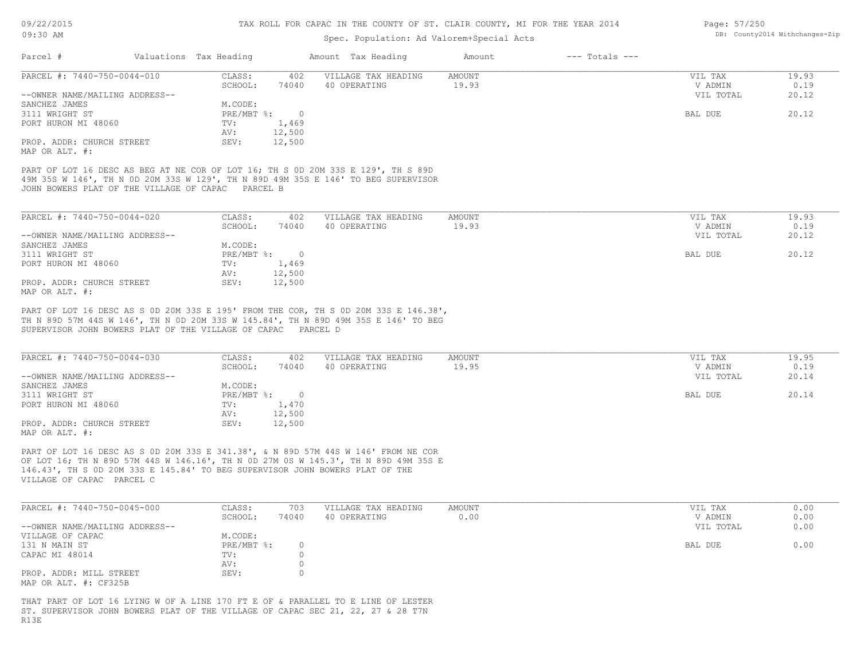## Spec. Population: Ad Valorem+Special Acts

| Page: 57/250 |                                |
|--------------|--------------------------------|
|              | DB: County2014 Withchanges-Zip |

| Parcel #                       | Valuations Tax Heading |        | Amount Tax Heading  | Amount | $---$ Totals $---$ |           |       |
|--------------------------------|------------------------|--------|---------------------|--------|--------------------|-----------|-------|
| PARCEL #: 7440-750-0044-010    | CLASS:                 | 402    | VILLAGE TAX HEADING | AMOUNT |                    | VIL TAX   | 19.93 |
|                                | SCHOOL:                | 74040  | 40 OPERATING        | 19.93  |                    | V ADMIN   | 0.19  |
| --OWNER NAME/MAILING ADDRESS-- |                        |        |                     |        |                    | VIL TOTAL | 20.12 |
| SANCHEZ JAMES                  | M.CODE:                |        |                     |        |                    |           |       |
| 3111 WRIGHT ST                 | $PRE/MBT$ %:           |        |                     |        |                    | BAL DUE   | 20.12 |
| PORT HURON MI 48060            | TV:                    | 1,469  |                     |        |                    |           |       |
|                                | AV:                    | 12,500 |                     |        |                    |           |       |
| PROP. ADDR: CHURCH STREET      | SEV:                   | 12,500 |                     |        |                    |           |       |
| MAP OR ALT. #:                 |                        |        |                     |        |                    |           |       |

JOHN BOWERS PLAT OF THE VILLAGE OF CAPAC PARCEL B 49M 35S W 146', TH N 0D 20M 33S W 129', TH N 89D 49M 35S E 146' TO BEG SUPERVISOR PART OF LOT 16 DESC AS BEG AT NE COR OF LOT 16; TH S 0D 20M 33S E 129', TH S 89D

| PARCEL #: 7440-750-0044-020    | CLASS:     | 402    | VILLAGE TAX HEADING | AMOUNT | VIL TAX   | 19.93 |
|--------------------------------|------------|--------|---------------------|--------|-----------|-------|
|                                | SCHOOL:    | 74040  | 40 OPERATING        | 19.93  | V ADMIN   | 0.19  |
| --OWNER NAME/MAILING ADDRESS-- |            |        |                     |        | VIL TOTAL | 20.12 |
| SANCHEZ JAMES                  | M.CODE:    |        |                     |        |           |       |
| 3111 WRIGHT ST                 | PRE/MBT %: |        |                     |        | BAL DUE   | 20.12 |
| PORT HURON MI 48060            | TV:        | 1,469  |                     |        |           |       |
|                                | AV:        | 12,500 |                     |        |           |       |
| PROP. ADDR: CHURCH STREET      | SEV:       | 12,500 |                     |        |           |       |
| MAP OR ALT. #:                 |            |        |                     |        |           |       |

SUPERVISOR JOHN BOWERS PLAT OF THE VILLAGE OF CAPAC PARCEL D TH N 89D 57M 44S W 146', TH N 0D 20M 33S W 145.84', TH N 89D 49M 35S E 146' TO BEG PART OF LOT 16 DESC AS S 0D 20M 33S E 195' FROM THE COR, TH S 0D 20M 33S E 146.38',

| PARCEL #: 7440-750-0044-030    | CLASS:     | 402    | VILLAGE TAX HEADING | AMOUNT | VIL TAX   | 19.95 |
|--------------------------------|------------|--------|---------------------|--------|-----------|-------|
|                                | SCHOOL:    | 74040  | 40 OPERATING        | 19.95  | V ADMIN   | 0.19  |
| --OWNER NAME/MAILING ADDRESS-- |            |        |                     |        | VIL TOTAL | 20.14 |
| SANCHEZ JAMES                  | M.CODE:    |        |                     |        |           |       |
| 3111 WRIGHT ST                 | PRE/MBT %: |        |                     |        | BAL DUE   | 20.14 |
| PORT HURON MI 48060            | TV:        | 1,470  |                     |        |           |       |
|                                | AV:        | 12,500 |                     |        |           |       |
| PROP. ADDR: CHURCH STREET      | SEV:       | 12,500 |                     |        |           |       |
| MAP OR ALT. #:                 |            |        |                     |        |           |       |

VILLAGE OF CAPAC PARCEL C 146.43', TH S 0D 20M 33S E 145.84' TO BEG SUPERVISOR JOHN BOWERS PLAT OF THE OF LOT 16; TH N 89D 57M 44S W 146.16', TH N 0D 27M 0S W 145.3', TH N 89D 49M 35S E PART OF LOT 16 DESC AS S 0D 20M 33S E 341.38', & N 89D 57M 44S W 146' FROM NE COR

| PARCEL #: 7440-750-0045-000    | CLASS:     | 703   | VILLAGE TAX HEADING | AMOUNT | VIL TAX   | 0.00 |
|--------------------------------|------------|-------|---------------------|--------|-----------|------|
|                                | SCHOOL:    | 74040 | 40 OPERATING        | 0.00   | V ADMIN   | 0.00 |
| --OWNER NAME/MAILING ADDRESS-- |            |       |                     |        | VIL TOTAL | 0.00 |
| VILLAGE OF CAPAC               | M.CODE:    |       |                     |        |           |      |
| 131 N MAIN ST                  | PRE/MBT %: |       |                     |        | BAL DUE   | 0.00 |
| CAPAC MI 48014                 | TV:        |       |                     |        |           |      |
|                                | AV:        |       |                     |        |           |      |
| PROP. ADDR: MILL STREET        | SEV:       |       |                     |        |           |      |
| MAP OR ALT. #: CF325B          |            |       |                     |        |           |      |

R13E ST. SUPERVISOR JOHN BOWERS PLAT OF THE VILLAGE OF CAPAC SEC 21, 22, 27 & 28 T7N THAT PART OF LOT 16 LYING W OF A LINE 170 FT E OF & PARALLEL TO E LINE OF LESTER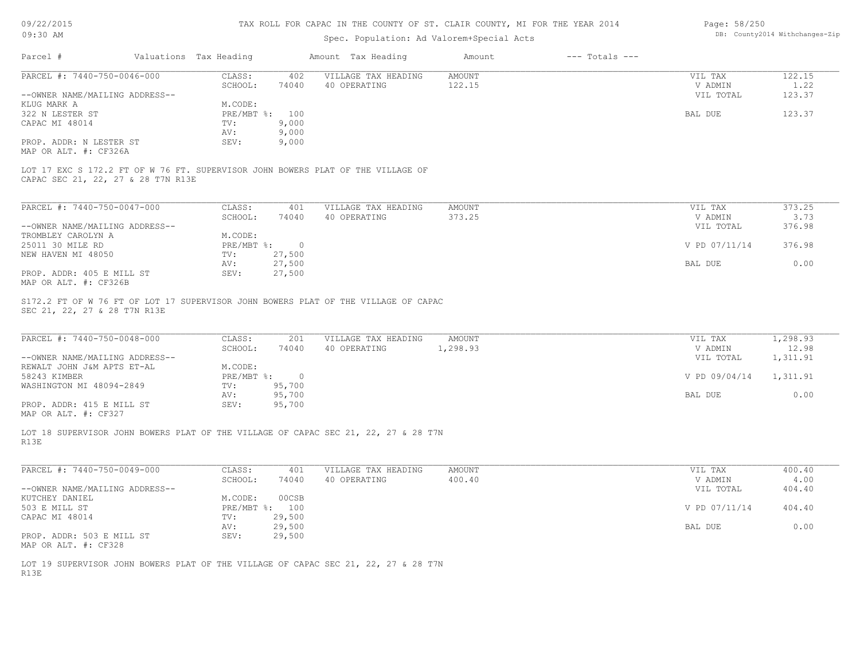| 09/22/2015 |  |
|------------|--|
|------------|--|

| Page: 58/250 |                                |
|--------------|--------------------------------|
|              | DB: County2014 Withchanges-Zip |

| 09:30 AM                                                                                                              |                        |                | Spec. Population: Ad Valorem+Special Acts | DB: County2014 Withchanges-Zip |                    |                      |                   |
|-----------------------------------------------------------------------------------------------------------------------|------------------------|----------------|-------------------------------------------|--------------------------------|--------------------|----------------------|-------------------|
| Parcel #                                                                                                              | Valuations Tax Heading |                | Amount Tax Heading                        | Amount                         | $---$ Totals $---$ |                      |                   |
| PARCEL #: 7440-750-0046-000                                                                                           | CLASS:<br>SCHOOL:      | 402<br>74040   | VILLAGE TAX HEADING<br>40 OPERATING       | <b>AMOUNT</b><br>122.15        |                    | VIL TAX<br>V ADMIN   | 122.15<br>1.22    |
| --OWNER NAME/MAILING ADDRESS--                                                                                        |                        |                |                                           |                                |                    | VIL TOTAL            | 123.37            |
| KLUG MARK A                                                                                                           | M.CODE:                |                |                                           |                                |                    |                      |                   |
| 322 N LESTER ST                                                                                                       | PRE/MBT %: 100         |                |                                           |                                |                    | BAL DUE              | 123.37            |
| CAPAC MI 48014                                                                                                        | TV:                    | 9,000          |                                           |                                |                    |                      |                   |
|                                                                                                                       | AV:                    | 9,000          |                                           |                                |                    |                      |                   |
| PROP. ADDR: N LESTER ST<br>MAP OR ALT. #: CF326A                                                                      | SEV:                   | 9,000          |                                           |                                |                    |                      |                   |
| LOT 17 EXC S 172.2 FT OF W 76 FT. SUPERVISOR JOHN BOWERS PLAT OF THE VILLAGE OF<br>CAPAC SEC 21, 22, 27 & 28 T7N R13E |                        |                |                                           |                                |                    |                      |                   |
| PARCEL #: 7440-750-0047-000                                                                                           | CLASS:                 | 401            | VILLAGE TAX HEADING                       | <b>AMOUNT</b>                  |                    | VIL TAX              | 373.25            |
|                                                                                                                       | SCHOOL:                | 74040          | 40 OPERATING                              | 373.25                         |                    | V ADMIN              | 3.73              |
| --OWNER NAME/MAILING ADDRESS--                                                                                        |                        |                |                                           |                                |                    | VIL TOTAL            | 376.98            |
| TROMBLEY CAROLYN A                                                                                                    | M.CODE:                |                |                                           |                                |                    |                      |                   |
| 25011 30 MILE RD                                                                                                      | $PRE/MBT$ %:           | $\overline{0}$ |                                           |                                |                    | V PD 07/11/14        | 376.98            |
| NEW HAVEN MI 48050                                                                                                    | TV:                    | 27,500         |                                           |                                |                    |                      |                   |
|                                                                                                                       | AV:                    | 27,500         |                                           |                                |                    | BAL DUE              | 0.00              |
| PROP. ADDR: 405 E MILL ST<br>MAP OR ALT. #: CF326B                                                                    | SEV:                   | 27,500         |                                           |                                |                    |                      |                   |
| PARCEL #: 7440-750-0048-000                                                                                           | CLASS:                 | 201            | VILLAGE TAX HEADING                       | <b>AMOUNT</b>                  |                    | VIL TAX              | 1,298.93          |
| --OWNER NAME/MAILING ADDRESS--                                                                                        | SCHOOL:                | 74040          | 40 OPERATING                              | 1,298.93                       |                    | V ADMIN<br>VIL TOTAL | 12.98<br>1,311.91 |
| REWALT JOHN J&M APTS ET-AL                                                                                            | M.CODE:                |                |                                           |                                |                    |                      |                   |
| 58243 KIMBER                                                                                                          | $PRE/MBT$ %:           | $\overline{0}$ |                                           |                                |                    | V PD 09/04/14        | 1,311.91          |
| WASHINGTON MI 48094-2849                                                                                              | TV:                    | 95,700         |                                           |                                |                    |                      |                   |
|                                                                                                                       | AV:                    | 95,700         |                                           |                                |                    | BAL DUE              | 0.00              |
| PROP. ADDR: 415 E MILL ST<br>MAP OR ALT. #: CF327                                                                     | SEV:                   | 95,700         |                                           |                                |                    |                      |                   |
| LOT 18 SUPERVISOR JOHN BOWERS PLAT OF THE VILLAGE OF CAPAC SEC 21, 22, 27 & 28 T7N<br>R13E                            |                        |                |                                           |                                |                    |                      |                   |
| PARCEL #: 7440-750-0049-000                                                                                           | CLASS:                 | 401            | VILLAGE TAX HEADING                       | <b>AMOUNT</b>                  |                    | VIL TAX              | 400.40            |
|                                                                                                                       | SCHOOL:                | 74040          | 40 OPERATING                              | 400.40                         |                    | V ADMIN              | 4.00              |
| --OWNER NAME/MAILING ADDRESS--                                                                                        |                        |                |                                           |                                |                    | VIL TOTAL            | 404.40            |
| KUTCHEY DANIEL                                                                                                        | M.CODE:                | 00CSB          |                                           |                                |                    |                      |                   |
| 503 E MILL ST                                                                                                         | PRE/MBT %: 100         |                |                                           |                                |                    | V PD 07/11/14        | 404.40            |
| CAPAC MI 48014                                                                                                        | TV:                    | 29,500         |                                           |                                |                    |                      |                   |
|                                                                                                                       | AV:                    | 29,500         |                                           |                                |                    | BAL DUE              | 0.00              |
| PROP. ADDR: 503 E MILL ST                                                                                             | SEV:                   | 29,500         |                                           |                                |                    |                      |                   |
| MAP OR ALT. #: CF328                                                                                                  |                        |                |                                           |                                |                    |                      |                   |
| LOT 19 SUPERVISOR JOHN BOWERS PLAT OF THE VILLAGE OF CAPAC SEC 21, 22, 27 & 28 T7N<br>R13E                            |                        |                |                                           |                                |                    |                      |                   |
|                                                                                                                       |                        |                |                                           |                                |                    |                      |                   |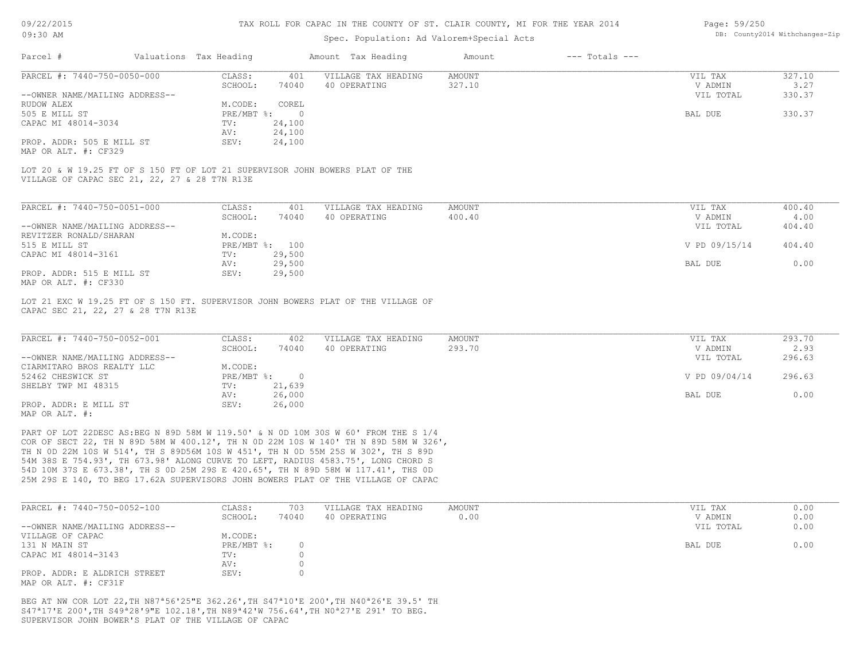## Spec. Population: Ad Valorem+Special Acts

#### Page: 59/250 DB: County2014 Withchanges-Zip

| Parcel #                       |                                               | Valuations Tax Heading |                | Amount Tax Heading                                                           | Amount | $---$ Totals $---$ |           |        |
|--------------------------------|-----------------------------------------------|------------------------|----------------|------------------------------------------------------------------------------|--------|--------------------|-----------|--------|
| PARCEL #: 7440-750-0050-000    |                                               | CLASS:                 | 401            | VILLAGE TAX HEADING                                                          | AMOUNT |                    | VIL TAX   | 327.10 |
|                                |                                               | SCHOOL:                | 74040          | 40 OPERATING                                                                 | 327.10 |                    | V ADMIN   | 3.27   |
| --OWNER NAME/MAILING ADDRESS-- |                                               |                        |                |                                                                              |        |                    | VIL TOTAL | 330.37 |
| RUDOW ALEX                     |                                               | M.CODE:                | COREL          |                                                                              |        |                    |           |        |
| 505 E MILL ST                  |                                               | PRE/MBT %:             | $\overline{0}$ |                                                                              |        |                    | BAL DUE   | 330.37 |
| CAPAC MI 48014-3034            |                                               | TV:                    | 24,100         |                                                                              |        |                    |           |        |
|                                |                                               | AV:                    | 24,100         |                                                                              |        |                    |           |        |
| PROP. ADDR: 505 E MILL ST      |                                               | SEV:                   | 24,100         |                                                                              |        |                    |           |        |
| MAP OR ALT. #: CF329           |                                               |                        |                |                                                                              |        |                    |           |        |
|                                |                                               |                        |                | LOT 20 & W 19.25 FT OF S 150 FT OF LOT 21 SUPERVISOR JOHN BOWERS PLAT OF THE |        |                    |           |        |
|                                | VILLAGE OF CAPAC SEC 21, 22, 27 & 28 T7N R13E |                        |                |                                                                              |        |                    |           |        |

| PARCEL #: 7440-750-0051-000    | CLASS:       | 401    | VILLAGE TAX HEADING | AMOUNT | VIL TAX       | 400.40 |
|--------------------------------|--------------|--------|---------------------|--------|---------------|--------|
|                                | SCHOOL:      | 74040  | 40 OPERATING        | 400.40 | V ADMIN       | 4.00   |
| --OWNER NAME/MAILING ADDRESS-- |              |        |                     |        | VIL TOTAL     | 404.40 |
| REVITZER RONALD/SHARAN         | M.CODE:      |        |                     |        |               |        |
| 515 E MILL ST                  | $PRE/MBT$ %: | 100    |                     |        | V PD 09/15/14 | 404.40 |
| CAPAC MI 48014-3161            | TV:          | 29,500 |                     |        |               |        |
|                                | AV:          | 29,500 |                     |        | BAL DUE       | 0.00   |
| PROP. ADDR: 515 E MILL ST      | SEV:         | 29,500 |                     |        |               |        |
| MAP OR ALT. #: CF330           |              |        |                     |        |               |        |

CAPAC SEC 21, 22, 27 & 28 T7N R13E LOT 21 EXC W 19.25 FT OF S 150 FT. SUPERVISOR JOHN BOWERS PLAT OF THE VILLAGE OF

| PARCEL #: 7440-750-0052-001    | CLASS:     | 402    | VILLAGE TAX HEADING | AMOUNT | VIL TAX       | 293.70 |
|--------------------------------|------------|--------|---------------------|--------|---------------|--------|
|                                | SCHOOL:    | 74040  | 40 OPERATING        | 293.70 | V ADMIN       | 2.93   |
| --OWNER NAME/MAILING ADDRESS-- |            |        |                     |        | VIL TOTAL     | 296.63 |
| CIARMITARO BROS REALTY LLC     | M.CODE:    |        |                     |        |               |        |
| 52462 CHESWICK ST              | PRE/MBT %: |        |                     |        | V PD 09/04/14 | 296.63 |
| SHELBY TWP MI 48315            | TV:        | 21,639 |                     |        |               |        |
|                                | AV:        | 26,000 |                     |        | BAL DUE       | 0.00   |
| PROP. ADDR: E MILL ST          | SEV:       | 26,000 |                     |        |               |        |
| MAP OR ALT. #:                 |            |        |                     |        |               |        |

25M 29S E 140, TO BEG 17.62A SUPERVISORS JOHN BOWERS PLAT OF THE VILLAGE OF CAPAC 54D 10M 37S E 673.38', TH S 0D 25M 29S E 420.65', TH N 89D 58M W 117.41', THS 0D 54M 38S E 754.93', TH 673.98' ALONG CURVE TO LEFT, RADIUS 4583.75', LONG CHORD S TH N 0D 22M 10S W 514', TH S 89D56M 10S W 451', TH N 0D 55M 25S W 302', TH S 89D COR OF SECT 22, TH N 89D 58M W 400.12', TH N 0D 22M 10S W 140' TH N 89D 58M W 326', PART OF LOT 22DESC AS:BEG N 89D 58M W 119.50' & N 0D 10M 30S W 60' FROM THE S 1/4

| PARCEL #: 7440-750-0052-100    | CLASS:     | 703   | VILLAGE TAX HEADING | AMOUNT | VIL TAX   | 0.00 |
|--------------------------------|------------|-------|---------------------|--------|-----------|------|
|                                | SCHOOL:    | 74040 | 40 OPERATING        | 0.00   | V ADMIN   | 0.00 |
| --OWNER NAME/MAILING ADDRESS-- |            |       |                     |        | VIL TOTAL | 0.00 |
| VILLAGE OF CAPAC               | M.CODE:    |       |                     |        |           |      |
| 131 N MAIN ST                  | PRE/MBT %: |       |                     |        | BAL DUE   | 0.00 |
| CAPAC MI 48014-3143            | TV:        |       |                     |        |           |      |
|                                | AV:        |       |                     |        |           |      |
| PROP. ADDR: E ALDRICH STREET   | SEV:       |       |                     |        |           |      |
| MAP OR ALT. #: CF31F           |            |       |                     |        |           |      |

SUPERVISOR JOHN BOWER'S PLAT OF THE VILLAGE OF CAPAC S47ª17'E 200',TH S49ª28'9"E 102.18',TH N89ª42'W 756.64',TH N0ª27'E 291' TO BEG. BEG AT NW COR LOT 22,TH N87ª56'25"E 362.26',TH S47ª10'E 200',TH N40ª26'E 39.5' TH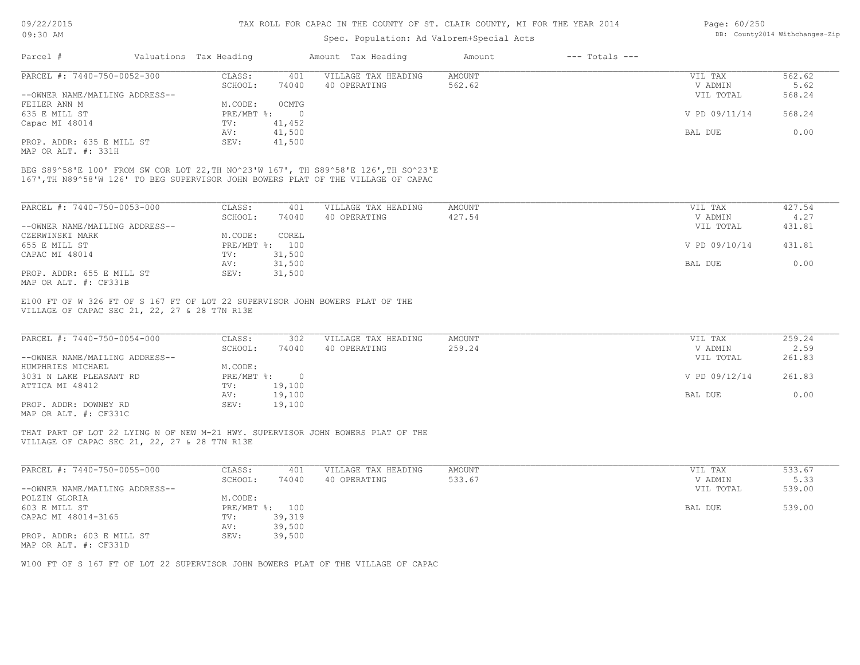## Spec. Population: Ad Valorem+Special Acts

| Page: 60/250 |                                |
|--------------|--------------------------------|
|              | DB: County2014 Withchanges-Zip |

| PARCEL #: 7440-750-0052-300<br>VILLAGE TAX HEADING<br>CLASS:<br>AMOUNT<br>VIL TAX<br>401 |        |
|------------------------------------------------------------------------------------------|--------|
|                                                                                          | 562.62 |
| 74040<br>SCHOOL:<br>562.62<br>40 OPERATING<br>V ADMIN                                    | 5.62   |
| --OWNER NAME/MAILING ADDRESS--<br>VIL TOTAL                                              | 568.24 |
| 0 CMTG<br>M.CODE:<br>FEILER ANN M                                                        |        |
| V PD 09/11/14<br>635 E MILL ST<br>$PRE/MBT$ %:                                           | 568.24 |
| Capac MI 48014<br>41,452<br>TV:                                                          |        |
| 41,500<br>BAL DUE<br>AV:                                                                 | 0.00   |
| PROP. ADDR: 635 E MILL ST<br>41,500<br>SEV:                                              |        |

MAP OR ALT. #: 331H

167',TH N89^58'W 126' TO BEG SUPERVISOR JOHN BOWERS PLAT OF THE VILLAGE OF CAPAC BEG S89^58'E 100' FROM SW COR LOT 22,TH NO^23'W 167', TH S89^58'E 126',TH SO^23'E

| PARCEL #: 7440-750-0053-000    | CLASS:       | 401    | VILLAGE TAX HEADING | AMOUNT | VIL TAX       | 427.54 |
|--------------------------------|--------------|--------|---------------------|--------|---------------|--------|
|                                | SCHOOL:      | 74040  | 40 OPERATING        | 427.54 | V ADMIN       | 4.27   |
| --OWNER NAME/MAILING ADDRESS-- |              |        |                     |        | VIL TOTAL     | 431.81 |
| CZERWINSKI MARK                | M.CODE:      | COREL  |                     |        |               |        |
| 655 E MILL ST                  | $PRE/MBT$ %: | 100    |                     |        | V PD 09/10/14 | 431.81 |
| CAPAC MI 48014                 | TV:          | 31,500 |                     |        |               |        |
|                                | AV:          | 31,500 |                     |        | BAL DUE       | 0.00   |
| PROP. ADDR: 655 E MILL ST      | SEV:         | 31,500 |                     |        |               |        |
| MAP OR ALT. #: CF331B          |              |        |                     |        |               |        |

VILLAGE OF CAPAC SEC 21, 22, 27 & 28 T7N R13E E100 FT OF W 326 FT OF S 167 FT OF LOT 22 SUPERVISOR JOHN BOWERS PLAT OF THE

| PARCEL #: 7440-750-0054-000    | CLASS:       | 302    | VILLAGE TAX HEADING | AMOUNT | VIL TAX       | 259.24 |
|--------------------------------|--------------|--------|---------------------|--------|---------------|--------|
|                                | SCHOOL:      | 74040  | 40 OPERATING        | 259.24 | V ADMIN       | 2.59   |
| --OWNER NAME/MAILING ADDRESS-- |              |        |                     |        | VIL TOTAL     | 261.83 |
| HUMPHRIES MICHAEL              | M.CODE:      |        |                     |        |               |        |
| 3031 N LAKE PLEASANT RD        | $PRE/MBT$ %: |        |                     |        | V PD 09/12/14 | 261.83 |
| ATTICA MI 48412                | TV:          | 19,100 |                     |        |               |        |
|                                | AV:          | 19,100 |                     |        | BAL DUE       | 0.00   |
| PROP. ADDR: DOWNEY RD          | SEV:         | 19,100 |                     |        |               |        |
|                                |              |        |                     |        |               |        |

MAP OR ALT. #: CF331C

VILLAGE OF CAPAC SEC 21, 22, 27 & 28 T7N R13E THAT PART OF LOT 22 LYING N OF NEW M-21 HWY. SUPERVISOR JOHN BOWERS PLAT OF THE

| PARCEL #: 7440-750-0055-000    | CLASS:                    | 401    | VILLAGE TAX HEADING | AMOUNT | VIL TAX   | 533.67 |
|--------------------------------|---------------------------|--------|---------------------|--------|-----------|--------|
|                                | SCHOOL:                   | 74040  | 40 OPERATING        | 533.67 | V ADMIN   | 5.33   |
| --OWNER NAME/MAILING ADDRESS-- |                           |        |                     |        | VIL TOTAL | 539.00 |
| POLZIN GLORIA                  | M.CODE:                   |        |                     |        |           |        |
| 603 E MILL ST                  | $PRE/MBT$ $\frac{1}{6}$ : | 100    |                     |        | BAL DUE   | 539.00 |
| CAPAC MI 48014-3165            | TV:                       | 39,319 |                     |        |           |        |
|                                | AV:                       | 39,500 |                     |        |           |        |
| PROP. ADDR: 603 E MILL ST      | SEV:                      | 39,500 |                     |        |           |        |
| MAP OR ALT. #: CF331D          |                           |        |                     |        |           |        |

 $\mathcal{L}_\mathcal{L} = \mathcal{L}_\mathcal{L} = \mathcal{L}_\mathcal{L} = \mathcal{L}_\mathcal{L} = \mathcal{L}_\mathcal{L} = \mathcal{L}_\mathcal{L} = \mathcal{L}_\mathcal{L} = \mathcal{L}_\mathcal{L} = \mathcal{L}_\mathcal{L} = \mathcal{L}_\mathcal{L} = \mathcal{L}_\mathcal{L} = \mathcal{L}_\mathcal{L} = \mathcal{L}_\mathcal{L} = \mathcal{L}_\mathcal{L} = \mathcal{L}_\mathcal{L} = \mathcal{L}_\mathcal{L} = \mathcal{L}_\mathcal{L}$ 

W100 FT OF S 167 FT OF LOT 22 SUPERVISOR JOHN BOWERS PLAT OF THE VILLAGE OF CAPAC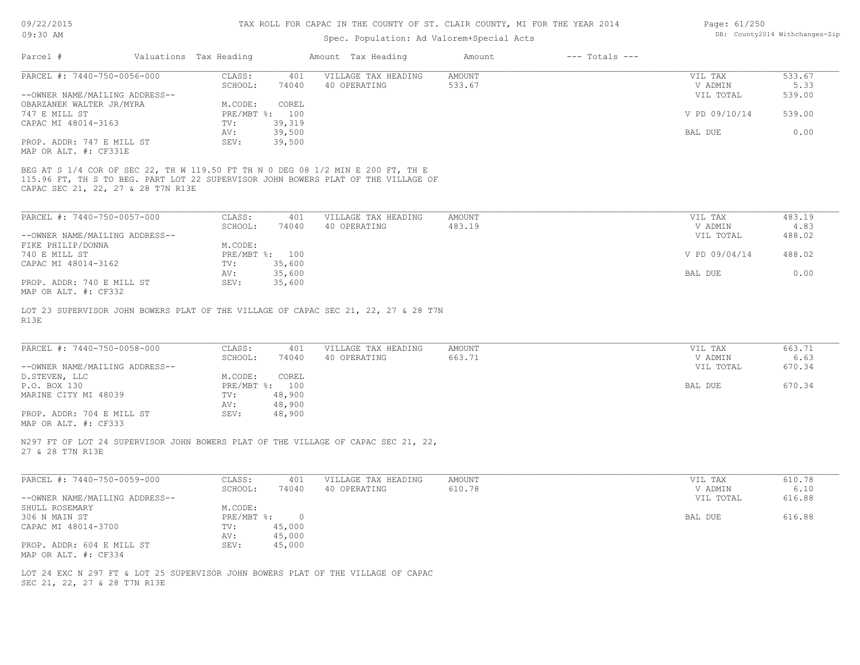## Spec. Population: Ad Valorem+Special Acts

| Page: 61/250 |                                |
|--------------|--------------------------------|
|              | DB: County2014 Withchanges-Zip |

|                                                   |                        |                | opoo. Iopazaozon. na vazozom opoozaz nood                                          |                         |                    |                    |                |
|---------------------------------------------------|------------------------|----------------|------------------------------------------------------------------------------------|-------------------------|--------------------|--------------------|----------------|
| Parcel #                                          | Valuations Tax Heading |                | Amount Tax Heading                                                                 | Amount                  | $---$ Totals $---$ |                    |                |
| PARCEL #: 7440-750-0056-000                       | CLASS:                 | 401            | VILLAGE TAX HEADING                                                                | <b>AMOUNT</b>           |                    | VIL TAX            | 533.67         |
|                                                   | SCHOOL:                | 74040          | 40 OPERATING                                                                       | 533.67                  |                    | V ADMIN            | 5.33           |
| --OWNER NAME/MAILING ADDRESS--                    |                        |                |                                                                                    |                         |                    | VIL TOTAL          | 539.00         |
| OBARZANEK WALTER JR/MYRA                          | M.CODE:                | COREL          |                                                                                    |                         |                    |                    |                |
| 747 E MILL ST                                     |                        | PRE/MBT %: 100 |                                                                                    |                         |                    | V PD 09/10/14      | 539.00         |
| CAPAC MI 48014-3163                               | TV:                    | 39,319         |                                                                                    |                         |                    |                    |                |
|                                                   | AV:                    | 39,500         |                                                                                    |                         |                    | BAL DUE            | 0.00           |
| PROP. ADDR: 747 E MILL ST                         | SEV:                   | 39,500         |                                                                                    |                         |                    |                    |                |
| MAP OR ALT. #: CF331E                             |                        |                |                                                                                    |                         |                    |                    |                |
| PARCEL #: 7440-750-0057-000                       | CLASS:<br>SCHOOL:      | 401<br>74040   | VILLAGE TAX HEADING<br>40 OPERATING                                                | <b>AMOUNT</b><br>483.19 |                    | VIL TAX<br>V ADMIN | 483.19<br>4.83 |
| --OWNER NAME/MAILING ADDRESS--                    |                        |                |                                                                                    |                         |                    | VIL TOTAL          | 488.02         |
| FIKE PHILIP/DONNA                                 | M.CODE:                |                |                                                                                    |                         |                    |                    |                |
| 740 E MILL ST                                     |                        | PRE/MBT %: 100 |                                                                                    |                         |                    | V PD 09/04/14      | 488.02         |
| CAPAC MI 48014-3162                               | TV:                    | 35,600         |                                                                                    |                         |                    |                    |                |
|                                                   | AV:                    | 35,600         |                                                                                    |                         |                    | <b>BAL DUE</b>     | 0.00           |
| PROP. ADDR: 740 E MILL ST<br>MAP OR ALT. #: CF332 | SEV:                   | 35,600         |                                                                                    |                         |                    |                    |                |
| R13E                                              |                        |                | LOT 23 SUPERVISOR JOHN BOWERS PLAT OF THE VILLAGE OF CAPAC SEC 21, 22, 27 & 28 T7N |                         |                    |                    |                |
| PARCEL #: 7440-750-0058-000                       | CLASS:                 | 401            | VILLAGE TAX HEADING                                                                | <b>AMOUNT</b>           |                    | VIL TAX            | 663.71         |

| PARCEL #: /440-/50-0058-000    | CLASS :    | 4 U L  | VILLAGE TAX HEADING | AMOUN'L' | VIL TAX   | 663.71 |
|--------------------------------|------------|--------|---------------------|----------|-----------|--------|
|                                | SCHOOL:    | 74040  | 40 OPERATING        | 663.71   | V ADMIN   | 6.63   |
| --OWNER NAME/MAILING ADDRESS-- |            |        |                     |          | VIL TOTAL | 670.34 |
| D.STEVEN, LLC                  | M.CODE:    | COREL  |                     |          |           |        |
| P.O. BOX 130                   | PRE/MBT %: | 100    |                     |          | BAL DUE   | 670.34 |
| MARINE CITY MI 48039           | TV:        | 48,900 |                     |          |           |        |
|                                | AV:        | 48,900 |                     |          |           |        |
| PROP. ADDR: 704 E MILL ST      | SEV:       | 48,900 |                     |          |           |        |
| MAP OR ALT. #: CF333           |            |        |                     |          |           |        |

27 & 28 T7N R13E N297 FT OF LOT 24 SUPERVISOR JOHN BOWERS PLAT OF THE VILLAGE OF CAPAC SEC 21, 22,

| PARCEL #: 7440-750-0059-000    | CLASS:       | 401    | VILLAGE TAX HEADING | AMOUNT | VIL TAX   | 610.78 |
|--------------------------------|--------------|--------|---------------------|--------|-----------|--------|
|                                | SCHOOL:      | 74040  | 40 OPERATING        | 610.78 | V ADMIN   | 6.10   |
| --OWNER NAME/MAILING ADDRESS-- |              |        |                     |        | VIL TOTAL | 616.88 |
| SHULL ROSEMARY                 | M.CODE:      |        |                     |        |           |        |
| 306 N MAIN ST                  | $PRE/MBT$ %: |        |                     |        | BAL DUE   | 616.88 |
| CAPAC MI 48014-3700            | TV:          | 45,000 |                     |        |           |        |
|                                | AV:          | 45,000 |                     |        |           |        |
| PROP. ADDR: 604 E MILL ST      | SEV:         | 45,000 |                     |        |           |        |
| MAP OR ALT. #: CF334           |              |        |                     |        |           |        |

SEC 21, 22, 27 & 28 T7N R13E LOT 24 EXC N 297 FT & LOT 25 SUPERVISOR JOHN BOWERS PLAT OF THE VILLAGE OF CAPAC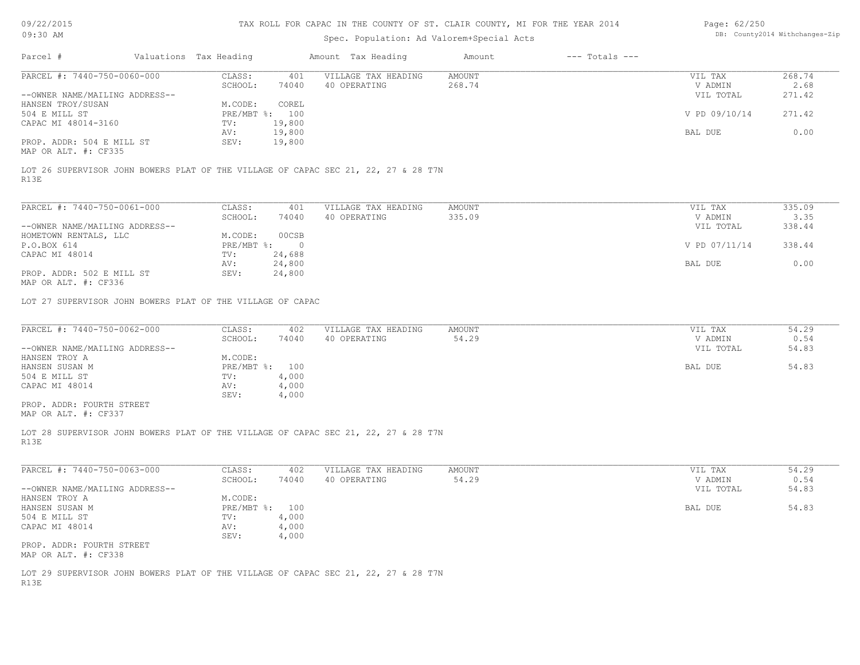09/22/2015  $0.0.20$ 

## TAX ROLL FOR CAPAC IN THE COUNTY OF ST. CLAIR COUNTY, MI FOR THE YEAR 2014

| Page: 62/250 |                                |
|--------------|--------------------------------|
|              | DB: County2014 Withchanges-Zip |

| 09:30 AM                                                                                   |                           | Spec. Population: Ad Valorem+Special Acts |                              |               | DB: County2014 Withchanges-Zip |
|--------------------------------------------------------------------------------------------|---------------------------|-------------------------------------------|------------------------------|---------------|--------------------------------|
| Parcel #<br>Valuations Tax Heading                                                         |                           | Amount Tax Heading                        | $---$ Totals $---$<br>Amount |               |                                |
| PARCEL #: 7440-750-0060-000                                                                | CLASS:                    | 401<br>VILLAGE TAX HEADING                | AMOUNT                       | VIL TAX       | 268.74                         |
|                                                                                            | SCHOOL:<br>74040          | 40 OPERATING                              | 268.74                       | V ADMIN       | 2.68                           |
| --OWNER NAME/MAILING ADDRESS--                                                             |                           |                                           |                              | VIL TOTAL     | 271.42                         |
| HANSEN TROY/SUSAN                                                                          | M.CODE:<br>COREL          |                                           |                              |               |                                |
| 504 E MILL ST                                                                              | PRE/MBT %: 100            |                                           |                              | V PD 09/10/14 | 271.42                         |
| CAPAC MI 48014-3160                                                                        | 19,800<br>TV:             |                                           |                              |               |                                |
|                                                                                            | 19,800<br>AV:             |                                           |                              | BAL DUE       | 0.00                           |
| PROP. ADDR: 504 E MILL ST<br>MAP OR ALT. #: CF335                                          | 19,800<br>SEV:            |                                           |                              |               |                                |
| LOT 26 SUPERVISOR JOHN BOWERS PLAT OF THE VILLAGE OF CAPAC SEC 21, 22, 27 & 28 T7N<br>R13E |                           |                                           |                              |               |                                |
| PARCEL #: 7440-750-0061-000                                                                | CLASS:                    | VILLAGE TAX HEADING<br>401                | AMOUNT                       | VIL TAX       | 335.09                         |
|                                                                                            | SCHOOL:<br>74040          | 40 OPERATING                              | 335.09                       | V ADMIN       | 3.35                           |
| --OWNER NAME/MAILING ADDRESS--                                                             |                           |                                           |                              | VIL TOTAL     | 338.44                         |
| HOMETOWN RENTALS, LLC                                                                      | M.CODE:<br>00CSB          |                                           |                              |               |                                |
| P.O.BOX 614                                                                                | $PRE/MBT$ %:              | $\overline{0}$                            |                              | V PD 07/11/14 | 338.44                         |
| CAPAC MI 48014                                                                             | TV:<br>24,688             |                                           |                              |               |                                |
|                                                                                            | 24,800<br>AV:             |                                           |                              | BAL DUE       | 0.00                           |
| PROP. ADDR: 502 E MILL ST                                                                  | SEV:<br>24,800            |                                           |                              |               |                                |
| MAP OR ALT. #: CF336                                                                       |                           |                                           |                              |               |                                |
|                                                                                            |                           |                                           |                              |               |                                |
| LOT 27 SUPERVISOR JOHN BOWERS PLAT OF THE VILLAGE OF CAPAC                                 |                           |                                           |                              |               |                                |
| PARCEL #: 7440-750-0062-000                                                                | CLASS:                    | VILLAGE TAX HEADING<br>402                | AMOUNT                       | VIL TAX       | 54.29                          |
|                                                                                            | SCHOOL:<br>74040          | 40 OPERATING                              | 54.29                        | V ADMIN       | 0.54                           |
| --OWNER NAME/MAILING ADDRESS--                                                             |                           |                                           |                              | VIL TOTAL     | 54.83                          |
| HANSEN TROY A                                                                              | M.CODE:                   |                                           |                              |               |                                |
| HANSEN SUSAN M                                                                             | PRE/MBT %: 100            |                                           |                              | BAL DUE       | 54.83                          |
| 504 E MILL ST                                                                              | 4,000<br>TV:              |                                           |                              |               |                                |
| CAPAC MI 48014                                                                             | 4,000<br>AV:              |                                           |                              |               |                                |
|                                                                                            | SEV:<br>4,000             |                                           |                              |               |                                |
| PROP. ADDR: FOURTH STREET                                                                  |                           |                                           |                              |               |                                |
| MAP OR ALT. #: CF337                                                                       |                           |                                           |                              |               |                                |
| LOT 28 SUPERVISOR JOHN BOWERS PLAT OF THE VILLAGE OF CAPAC SEC 21, 22, 27 & 28 T7N<br>R13E |                           |                                           |                              |               |                                |
| PARCEL #: 7440-750-0063-000                                                                | CLASS:                    | VILLAGE TAX HEADING<br>402                | AMOUNT                       | VIL TAX       | 54.29                          |
|                                                                                            | SCHOOL:<br>74040          | 40 OPERATING                              | 54.29                        | V ADMIN       | 0.54                           |
| --OWNER NAME/MAILING ADDRESS--                                                             |                           |                                           |                              | VIL TOTAL     | 54.83                          |
| HANSEN TROY A                                                                              | M.CODE:<br>PRE/MBT %: 100 |                                           |                              |               | 54.83                          |
| HANSEN SUSAN M                                                                             |                           |                                           |                              | BAL DUE       |                                |
| 504 E MILL ST                                                                              | 4,000<br>TV:              |                                           |                              |               |                                |
| CAPAC MI 48014                                                                             | 4,000<br>AV:              |                                           |                              |               |                                |
| PROP. ADDR: FOURTH STREET<br>MAP OR ALT. #: CF338                                          | 4,000<br>SEV:             |                                           |                              |               |                                |
| LOT 29 SUPERVISOR JOHN BOWERS PLAT OF THE VILLAGE OF CAPAC SEC 21, 22, 27 & 28 T7N<br>R13E |                           |                                           |                              |               |                                |
|                                                                                            |                           |                                           |                              |               |                                |
|                                                                                            |                           |                                           |                              |               |                                |
|                                                                                            |                           |                                           |                              |               |                                |
|                                                                                            |                           |                                           |                              |               |                                |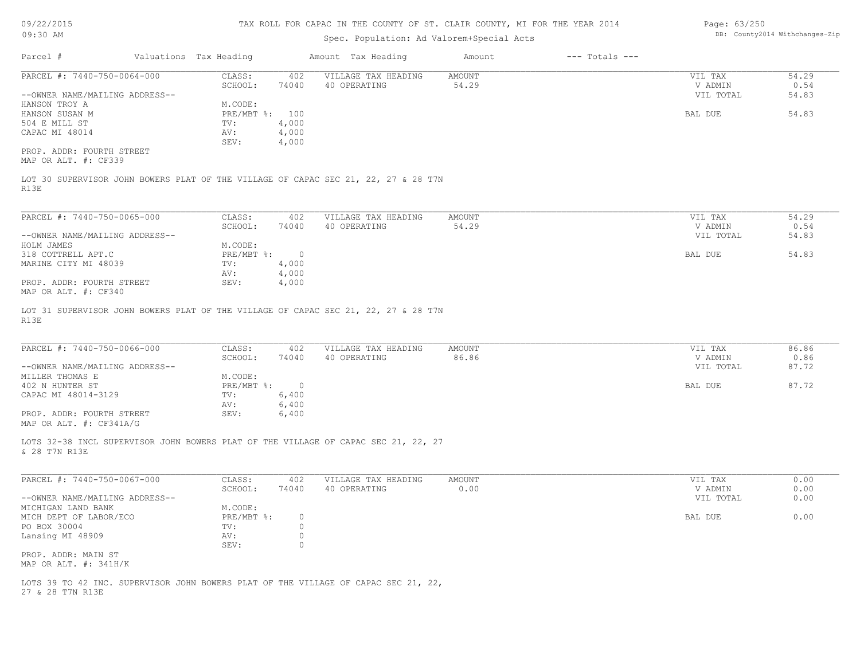09/22/2015

## TAX ROLL FOR CAPAC IN THE COUNTY OF ST. CLAIR COUNTY, MI FOR THE YEAR 2014

| Page: 63/250 |                                |
|--------------|--------------------------------|
|              | DB: County2014 Withchanges-Zip |

| V <i>JI LLI L</i> VIL<br>09:30 AM                                                                      | this nome for ching in the count. Of Of, Central County, his fort the femal got:<br>Spec. Population: Ad Valorem+Special Acts |                          |                                     |                       |                    |                    | Luye. voluov<br>DB: County2014 Withchanges-Zip |  |  |
|--------------------------------------------------------------------------------------------------------|-------------------------------------------------------------------------------------------------------------------------------|--------------------------|-------------------------------------|-----------------------|--------------------|--------------------|------------------------------------------------|--|--|
| Parcel #                                                                                               | Valuations Tax Heading                                                                                                        |                          | Amount Tax Heading                  | Amount                | $---$ Totals $---$ |                    |                                                |  |  |
| PARCEL #: 7440-750-0064-000                                                                            | CLASS:<br>SCHOOL:                                                                                                             | 402<br>74040             | VILLAGE TAX HEADING<br>40 OPERATING | AMOUNT<br>54.29       |                    | VIL TAX<br>V ADMIN | 54.29<br>0.54                                  |  |  |
| --OWNER NAME/MAILING ADDRESS--                                                                         |                                                                                                                               |                          |                                     |                       |                    | VIL TOTAL          | 54.83                                          |  |  |
| HANSON TROY A                                                                                          | M.CODE:                                                                                                                       |                          |                                     |                       |                    |                    |                                                |  |  |
| HANSON SUSAN M                                                                                         |                                                                                                                               | PRE/MBT %: 100           |                                     |                       |                    | BAL DUE            | 54.83                                          |  |  |
| 504 E MILL ST<br>CAPAC MI 48014                                                                        | TV:<br>AV:                                                                                                                    | 4,000<br>4,000           |                                     |                       |                    |                    |                                                |  |  |
|                                                                                                        | SEV:                                                                                                                          | 4,000                    |                                     |                       |                    |                    |                                                |  |  |
| PROP. ADDR: FOURTH STREET<br>MAP OR ALT. #: CF339                                                      |                                                                                                                               |                          |                                     |                       |                    |                    |                                                |  |  |
| LOT 30 SUPERVISOR JOHN BOWERS PLAT OF THE VILLAGE OF CAPAC SEC 21, 22, 27 & 28 T7N<br>R13E             |                                                                                                                               |                          |                                     |                       |                    |                    |                                                |  |  |
| PARCEL #: 7440-750-0065-000                                                                            | CLASS:                                                                                                                        | 402                      | VILLAGE TAX HEADING                 | AMOUNT                |                    | VIL TAX            | 54.29                                          |  |  |
|                                                                                                        | SCHOOL:                                                                                                                       | 74040                    | 40 OPERATING                        | 54.29                 |                    | V ADMIN            | 0.54                                           |  |  |
| --OWNER NAME/MAILING ADDRESS--                                                                         |                                                                                                                               |                          |                                     |                       |                    | VIL TOTAL          | 54.83                                          |  |  |
| HOLM JAMES                                                                                             | M.CODE:                                                                                                                       |                          |                                     |                       |                    |                    |                                                |  |  |
| 318 COTTRELL APT.C                                                                                     | PRE/MBT %:                                                                                                                    | $\overline{0}$           |                                     |                       |                    | BAL DUE            | 54.83                                          |  |  |
| MARINE CITY MI 48039                                                                                   | TV:                                                                                                                           | 4,000                    |                                     |                       |                    |                    |                                                |  |  |
| PROP. ADDR: FOURTH STREET                                                                              | AV:<br>SEV:                                                                                                                   | 4,000<br>4,000           |                                     |                       |                    |                    |                                                |  |  |
| MAP OR ALT. #: CF340                                                                                   |                                                                                                                               |                          |                                     |                       |                    |                    |                                                |  |  |
| PARCEL #: 7440-750-0066-000                                                                            | CLASS:                                                                                                                        | 402                      | VILLAGE TAX HEADING                 | AMOUNT                |                    | VIL TAX            | 86.86                                          |  |  |
|                                                                                                        | SCHOOL:                                                                                                                       | 74040                    | 40 OPERATING                        | 86.86                 |                    | V ADMIN            | 0.86                                           |  |  |
| --OWNER NAME/MAILING ADDRESS--                                                                         |                                                                                                                               |                          |                                     |                       |                    | VIL TOTAL          | 87.72                                          |  |  |
| MILLER THOMAS E                                                                                        | M.CODE:                                                                                                                       |                          |                                     |                       |                    |                    |                                                |  |  |
| 402 N HUNTER ST                                                                                        | $PRE/MBT$ %:                                                                                                                  | $\overline{\phantom{0}}$ |                                     |                       |                    | BAL DUE            | 87.72                                          |  |  |
| CAPAC MI 48014-3129                                                                                    | TV:<br>AV:                                                                                                                    | 6,400<br>6,400           |                                     |                       |                    |                    |                                                |  |  |
| PROP. ADDR: FOURTH STREET                                                                              | SEV:                                                                                                                          | 6,400                    |                                     |                       |                    |                    |                                                |  |  |
| MAP OR ALT. #: CF341A/G                                                                                |                                                                                                                               |                          |                                     |                       |                    |                    |                                                |  |  |
| LOTS 32-38 INCL SUPERVISOR JOHN BOWERS PLAT OF THE VILLAGE OF CAPAC SEC 21, 22, 27<br>& 28 T7N R13E    |                                                                                                                               |                          |                                     |                       |                    |                    |                                                |  |  |
| PARCEL #: 7440-750-0067-000                                                                            | CLASS:<br>SCHOOL:                                                                                                             | 402<br>74040             | VILLAGE TAX HEADING<br>40 OPERATING | <b>AMOUNT</b><br>0.00 |                    | VIL TAX<br>V ADMIN | 0.00<br>0.00                                   |  |  |
| --OWNER NAME/MAILING ADDRESS--                                                                         |                                                                                                                               |                          |                                     |                       |                    | VIL TOTAL          | 0.00                                           |  |  |
| MICHIGAN LAND BANK                                                                                     | M.CODE:                                                                                                                       |                          |                                     |                       |                    |                    |                                                |  |  |
| MICH DEPT OF LABOR/ECO                                                                                 | $PRE/MBT$ $\frac{1}{6}$ :                                                                                                     | $\circ$                  |                                     |                       |                    | BAL DUE            | 0.00                                           |  |  |
| PO BOX 30004                                                                                           | TV:                                                                                                                           | $\circ$                  |                                     |                       |                    |                    |                                                |  |  |
| Lansing MI 48909                                                                                       | AV:                                                                                                                           | $\circ$                  |                                     |                       |                    |                    |                                                |  |  |
| PROP. ADDR: MAIN ST                                                                                    | SEV:                                                                                                                          | $\circ$                  |                                     |                       |                    |                    |                                                |  |  |
| MAP OR ALT. #: 341H/K                                                                                  |                                                                                                                               |                          |                                     |                       |                    |                    |                                                |  |  |
|                                                                                                        |                                                                                                                               |                          |                                     |                       |                    |                    |                                                |  |  |
| LOTS 39 TO 42 INC. SUPERVISOR JOHN BOWERS PLAT OF THE VILLAGE OF CAPAC SEC 21, 22,<br>27 & 28 T7N R13E |                                                                                                                               |                          |                                     |                       |                    |                    |                                                |  |  |
|                                                                                                        |                                                                                                                               |                          |                                     |                       |                    |                    |                                                |  |  |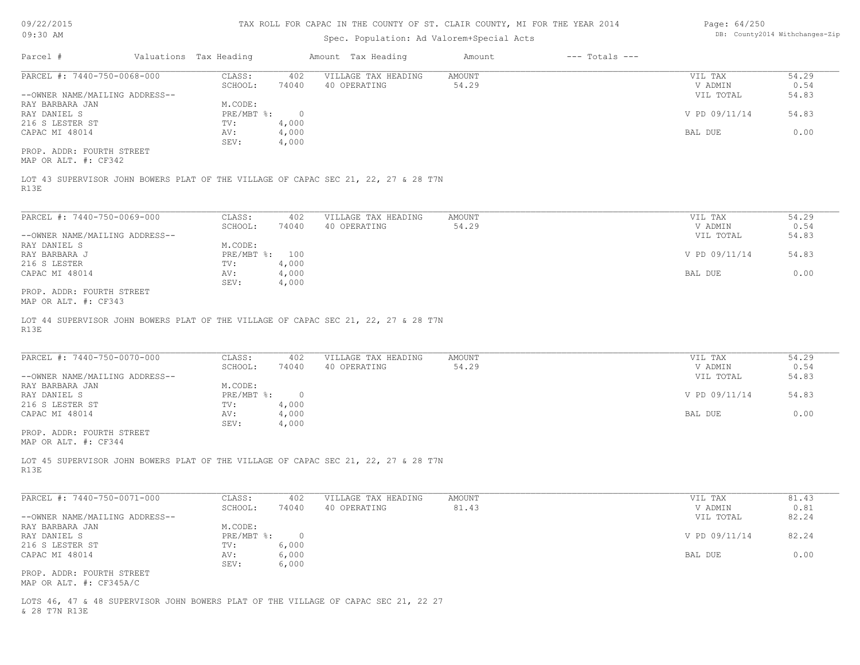09/22/2015

## TAX ROLL FOR CAPAC IN THE COUNTY OF ST. CLAIR COUNTY, MI FOR THE YEAR 2014

| Page: 64/250 |                                |
|--------------|--------------------------------|
|              | DB: County2014 Withchanges-Zip |

| v <i>-1</i> 221 2020<br>09:30 AM                                                                                                                                                                   | INN NOIN LON ONLIG IN INN COONIE OF OI, ONNEN COONIE, NE LON INN INNN AVEI<br>Spec. Population: Ad Valorem+Special Acts |                                                                    |                                                           |              |                     | DB: County2014 Withchanges-Zip |                    |                                                             |                                         |
|----------------------------------------------------------------------------------------------------------------------------------------------------------------------------------------------------|-------------------------------------------------------------------------------------------------------------------------|--------------------------------------------------------------------|-----------------------------------------------------------|--------------|---------------------|--------------------------------|--------------------|-------------------------------------------------------------|-----------------------------------------|
| Parcel #                                                                                                                                                                                           |                                                                                                                         | Valuations Tax Heading                                             |                                                           |              | Amount Tax Heading  | Amount                         | $---$ Totals $---$ |                                                             |                                         |
| PARCEL #: 7440-750-0068-000                                                                                                                                                                        |                                                                                                                         | CLASS:                                                             | 402                                                       |              | VILLAGE TAX HEADING | <b>AMOUNT</b>                  |                    | VIL TAX                                                     | 54.29                                   |
|                                                                                                                                                                                                    |                                                                                                                         | SCHOOL:                                                            | 74040                                                     | 40 OPERATING |                     | 54.29                          |                    | V ADMIN                                                     | 0.54                                    |
| --OWNER NAME/MAILING ADDRESS--                                                                                                                                                                     |                                                                                                                         |                                                                    |                                                           |              |                     |                                |                    | VIL TOTAL                                                   | 54.83                                   |
| RAY BARBARA JAN                                                                                                                                                                                    |                                                                                                                         | M.CODE:                                                            |                                                           |              |                     |                                |                    |                                                             |                                         |
| RAY DANIEL S                                                                                                                                                                                       |                                                                                                                         | $PRE/MBT$ $\div$ 0                                                 |                                                           |              |                     |                                |                    | V PD 09/11/14                                               | 54.83                                   |
| 216 S LESTER ST                                                                                                                                                                                    |                                                                                                                         | TV:                                                                | 4,000                                                     |              |                     |                                |                    |                                                             |                                         |
| CAPAC MI 48014                                                                                                                                                                                     |                                                                                                                         | AV:                                                                | 4,000                                                     |              |                     |                                |                    | BAL DUE                                                     | 0.00                                    |
|                                                                                                                                                                                                    |                                                                                                                         | SEV:                                                               | 4,000                                                     |              |                     |                                |                    |                                                             |                                         |
| PROP. ADDR: FOURTH STREET<br>MAP OR ALT. #: CF342                                                                                                                                                  |                                                                                                                         |                                                                    |                                                           |              |                     |                                |                    |                                                             |                                         |
| R13E                                                                                                                                                                                               | LOT 43 SUPERVISOR JOHN BOWERS PLAT OF THE VILLAGE OF CAPAC SEC 21, 22, 27 & 28 T7N                                      |                                                                    |                                                           |              |                     |                                |                    |                                                             |                                         |
| PARCEL #: 7440-750-0069-000                                                                                                                                                                        |                                                                                                                         | CLASS:                                                             | 402                                                       |              | VILLAGE TAX HEADING | AMOUNT                         |                    | VIL TAX                                                     | 54.29                                   |
|                                                                                                                                                                                                    |                                                                                                                         | SCHOOL:                                                            | 74040                                                     | 40 OPERATING |                     | 54.29                          |                    | V ADMIN                                                     | 0.54                                    |
| --OWNER NAME/MAILING ADDRESS--                                                                                                                                                                     |                                                                                                                         |                                                                    |                                                           |              |                     |                                |                    | VIL TOTAL                                                   | 54.83                                   |
| RAY DANIEL S                                                                                                                                                                                       |                                                                                                                         | M.CODE:                                                            |                                                           |              |                     |                                |                    |                                                             |                                         |
| RAY BARBARA J                                                                                                                                                                                      |                                                                                                                         | PRE/MBT %: 100                                                     |                                                           |              |                     |                                |                    | V PD 09/11/14                                               | 54.83                                   |
| 216 S LESTER                                                                                                                                                                                       |                                                                                                                         | TV:                                                                | 4,000                                                     |              |                     |                                |                    |                                                             |                                         |
| CAPAC MI 48014                                                                                                                                                                                     |                                                                                                                         | AV:                                                                | 4,000                                                     |              |                     |                                |                    | BAL DUE                                                     | 0.00                                    |
|                                                                                                                                                                                                    |                                                                                                                         | SEV:                                                               | 4,000                                                     |              |                     |                                |                    |                                                             |                                         |
| PROP. ADDR: FOURTH STREET<br>MAP OR ALT. #: CF343                                                                                                                                                  |                                                                                                                         |                                                                    |                                                           |              |                     |                                |                    |                                                             |                                         |
| R13E<br>PARCEL #: 7440-750-0070-000<br>--OWNER NAME/MAILING ADDRESS--<br>RAY BARBARA JAN<br>RAY DANIEL S<br>216 S LESTER ST<br>CAPAC MI 48014<br>PROP. ADDR: FOURTH STREET<br>MAP OR ALT. #: CF344 |                                                                                                                         | CLASS:<br>SCHOOL:<br>M.CODE:<br>$PRE/MBT$ %:<br>TV:<br>AV:<br>SEV: | 402<br>74040<br>$\overline{0}$<br>4,000<br>4,000<br>4,000 | 40 OPERATING | VILLAGE TAX HEADING | <b>AMOUNT</b><br>54.29         |                    | VIL TAX<br>V ADMIN<br>VIL TOTAL<br>V PD 09/11/14<br>BAL DUE | 54.29<br>0.54<br>54.83<br>54.83<br>0.00 |
| R13E                                                                                                                                                                                               | LOT 45 SUPERVISOR JOHN BOWERS PLAT OF THE VILLAGE OF CAPAC SEC 21, 22, 27 & 28 T7N                                      |                                                                    |                                                           |              |                     |                                |                    |                                                             |                                         |
| PARCEL #: 7440-750-0071-000                                                                                                                                                                        |                                                                                                                         | CLASS:<br>SCHOOL:                                                  | 402<br>74040                                              | 40 OPERATING | VILLAGE TAX HEADING | <b>AMOUNT</b><br>81.43         |                    | VIL TAX<br>V ADMIN                                          | 81.43<br>0.81                           |
| --OWNER NAME/MAILING ADDRESS--                                                                                                                                                                     |                                                                                                                         |                                                                    |                                                           |              |                     |                                |                    | VIL TOTAL                                                   | 82.24                                   |
| RAY BARBARA JAN                                                                                                                                                                                    |                                                                                                                         | M.CODE:                                                            |                                                           |              |                     |                                |                    |                                                             |                                         |
| RAY DANIEL S                                                                                                                                                                                       |                                                                                                                         | $PRE/MBT$ $\frac{6}{3}$ :                                          | $\overline{0}$                                            |              |                     |                                |                    | V PD 09/11/14                                               | 82.24                                   |
| 216 S LESTER ST                                                                                                                                                                                    |                                                                                                                         | TV:                                                                | 6,000                                                     |              |                     |                                |                    |                                                             |                                         |
| CAPAC MI 48014                                                                                                                                                                                     |                                                                                                                         | AV:                                                                | 6,000                                                     |              |                     |                                |                    | BAL DUE                                                     | 0.00                                    |
|                                                                                                                                                                                                    |                                                                                                                         | SEV:                                                               | 6,000                                                     |              |                     |                                |                    |                                                             |                                         |
| PROP. ADDR: FOURTH STREET                                                                                                                                                                          |                                                                                                                         |                                                                    |                                                           |              |                     |                                |                    |                                                             |                                         |
| MAP OR ALT. #: CF345A/C                                                                                                                                                                            |                                                                                                                         |                                                                    |                                                           |              |                     |                                |                    |                                                             |                                         |
|                                                                                                                                                                                                    |                                                                                                                         |                                                                    |                                                           |              |                     |                                |                    |                                                             |                                         |

& 28 T7N R13E LOTS 46, 47 & 48 SUPERVISOR JOHN BOWERS PLAT OF THE VILLAGE OF CAPAC SEC 21, 22 27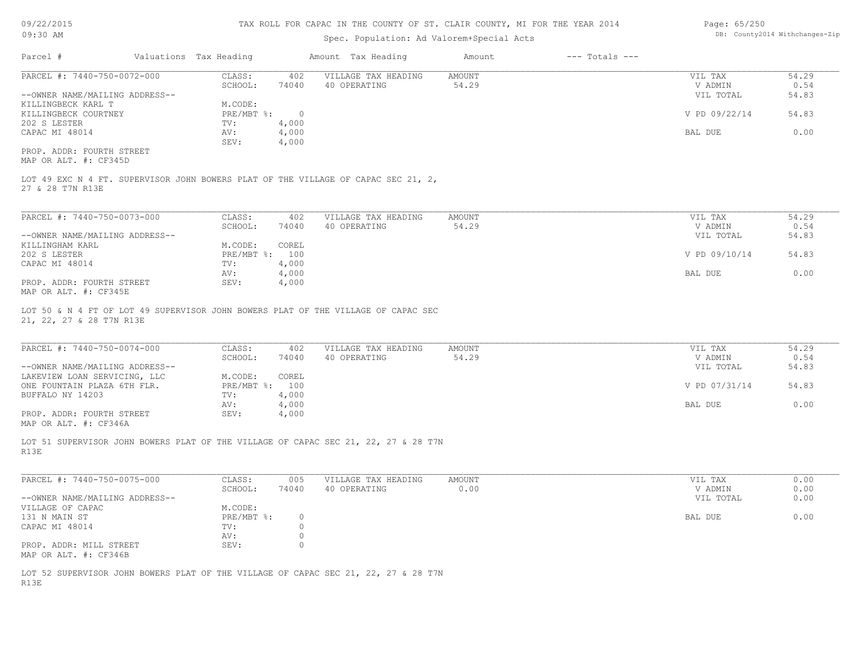09/22/2015 09:30 AM

#### TAX ROLL FOR CAPAC IN THE COUNTY OF ST. CLAIR COUNTY, MI FOR THE YEAR 2014

## Spec. Population: Ad Valorem+Special Acts

| Page: 65/250 |                                |
|--------------|--------------------------------|
|              | DB: County2014 Withchanges-Zip |

| Parcel #                       | Valuations Tax Heading | Amount Tax Heading |                     | Amount | $---$ Totals $---$ |               |       |
|--------------------------------|------------------------|--------------------|---------------------|--------|--------------------|---------------|-------|
| PARCEL #: 7440-750-0072-000    | CLASS:                 | 402                | VILLAGE TAX HEADING | AMOUNT |                    | VIL TAX       | 54.29 |
|                                | SCHOOL:                | 74040              | 40 OPERATING        | 54.29  |                    | V ADMIN       | 0.54  |
| --OWNER NAME/MAILING ADDRESS-- |                        |                    |                     |        |                    | VIL TOTAL     | 54.83 |
| KILLINGBECK KARL T             | M.CODE:                |                    |                     |        |                    |               |       |
| KILLINGBECK COURTNEY           | $PRE/MBT$ %:           |                    |                     |        |                    | V PD 09/22/14 | 54.83 |
| 202 S LESTER                   | TV:                    | 4,000              |                     |        |                    |               |       |
| CAPAC MI 48014                 | AV:                    | 4,000              |                     |        |                    | BAL DUE       | 0.00  |
|                                | SEV:                   | 4,000              |                     |        |                    |               |       |
| PROP, ADDR: FOURTH STREET      |                        |                    |                     |        |                    |               |       |

MAP OR ALT. #: CF345D

27 & 28 T7N R13E LOT 49 EXC N 4 FT. SUPERVISOR JOHN BOWERS PLAT OF THE VILLAGE OF CAPAC SEC 21, 2,

| PARCEL #: 7440-750-0073-000    | CLASS:         | 402   | VILLAGE TAX HEADING | AMOUNT | VIL TAX |               | 54.29 |
|--------------------------------|----------------|-------|---------------------|--------|---------|---------------|-------|
|                                | SCHOOL:        | 74040 | 40 OPERATING        | 54.29  | V ADMIN |               | 0.54  |
| --OWNER NAME/MAILING ADDRESS-- |                |       |                     |        |         | VIL TOTAL     | 54.83 |
| KILLINGHAM KARL                | M.CODE:        | COREL |                     |        |         |               |       |
| 202 S LESTER                   | PRE/MBT %: 100 |       |                     |        |         | V PD 09/10/14 | 54.83 |
| CAPAC MI 48014                 | TV:            | 4,000 |                     |        |         |               |       |
|                                | AV:            | 4,000 |                     |        | BAL DUE |               | 0.00  |
| PROP. ADDR: FOURTH STREET      | SEV:           | 4,000 |                     |        |         |               |       |
| $\frac{1}{2}$                  |                |       |                     |        |         |               |       |

MAP OR ALT. #: CF345E

21, 22, 27 & 28 T7N R13E LOT 50 & N 4 FT OF LOT 49 SUPERVISOR JOHN BOWERS PLAT OF THE VILLAGE OF CAPAC SEC

| PARCEL #: 7440-750-0074-000    | CLASS:       | 402   | VILLAGE TAX HEADING | AMOUNT | VIL TAX       | 54.29 |
|--------------------------------|--------------|-------|---------------------|--------|---------------|-------|
|                                | SCHOOL:      | 74040 | 40 OPERATING        | 54.29  | V ADMIN       | 0.54  |
| --OWNER NAME/MAILING ADDRESS-- |              |       |                     |        | VIL TOTAL     | 54.83 |
| LAKEVIEW LOAN SERVICING, LLC   | M.CODE:      | COREL |                     |        |               |       |
| ONE FOUNTAIN PLAZA 6TH FLR.    | $PRE/MBT$ %: | 100   |                     |        | V PD 07/31/14 | 54.83 |
| BUFFALO NY 14203               | TV:          | 4,000 |                     |        |               |       |
|                                | AV:          | 4,000 |                     |        | BAL DUE       | 0.00  |
| PROP. ADDR: FOURTH STREET      | SEV:         | 4,000 |                     |        |               |       |
| MAP OR ALT. #: CF346A          |              |       |                     |        |               |       |

 $\mathcal{L}_\mathcal{L} = \mathcal{L}_\mathcal{L} = \mathcal{L}_\mathcal{L} = \mathcal{L}_\mathcal{L} = \mathcal{L}_\mathcal{L} = \mathcal{L}_\mathcal{L} = \mathcal{L}_\mathcal{L} = \mathcal{L}_\mathcal{L} = \mathcal{L}_\mathcal{L} = \mathcal{L}_\mathcal{L} = \mathcal{L}_\mathcal{L} = \mathcal{L}_\mathcal{L} = \mathcal{L}_\mathcal{L} = \mathcal{L}_\mathcal{L} = \mathcal{L}_\mathcal{L} = \mathcal{L}_\mathcal{L} = \mathcal{L}_\mathcal{L}$ 

R13E LOT 51 SUPERVISOR JOHN BOWERS PLAT OF THE VILLAGE OF CAPAC SEC 21, 22, 27 & 28 T7N

MAP OR ALT. #: CF346B PROP. ADDR: MILL STREET SEV: 0 AV: 0 CAPAC MI 48014 TV: 0<br>
AV: 0 131 N MAIN ST PRE/MBT %: 0 BAL DUE 0.00 VILLAGE OF CAPAC M.CODE: M.CODE: 131 N MAIN ST --OWNER NAME/MAILING ADDRESS-- VIL TOTAL 0.00 SCHOOL: 74040 40 OPERATING 0.00 V ADMIN 0.00 PARCEL #: 7440-750-0075-000 CLASS: 005 VILLAGE TAX HEADING AMOUNT AUGUST ON THE VIL TAX 0.00<br>SCHOOL: 74040 40 OPERATING 0.00 000 VADMIN 0.00 \_\_\_\_\_\_\_\_\_\_\_\_\_\_\_\_\_\_\_\_\_\_\_\_\_\_\_\_\_\_\_\_\_\_\_\_\_\_\_\_\_\_\_\_\_\_\_\_\_\_\_\_\_\_\_\_\_\_\_\_\_\_\_\_\_\_\_\_\_\_\_\_\_\_\_\_\_\_\_\_\_\_\_\_\_\_\_\_\_\_\_\_\_\_\_\_\_\_\_\_\_\_\_\_\_\_\_\_\_\_\_\_\_\_\_\_\_\_\_\_\_\_\_\_\_\_\_\_\_\_\_\_\_\_\_\_\_\_\_\_\_\_\_\_\_\_\_\_\_\_\_\_\_\_\_\_\_\_\_\_\_\_\_\_\_\_\_\_\_\_\_\_\_\_\_

R13E LOT 52 SUPERVISOR JOHN BOWERS PLAT OF THE VILLAGE OF CAPAC SEC 21, 22, 27 & 28 T7N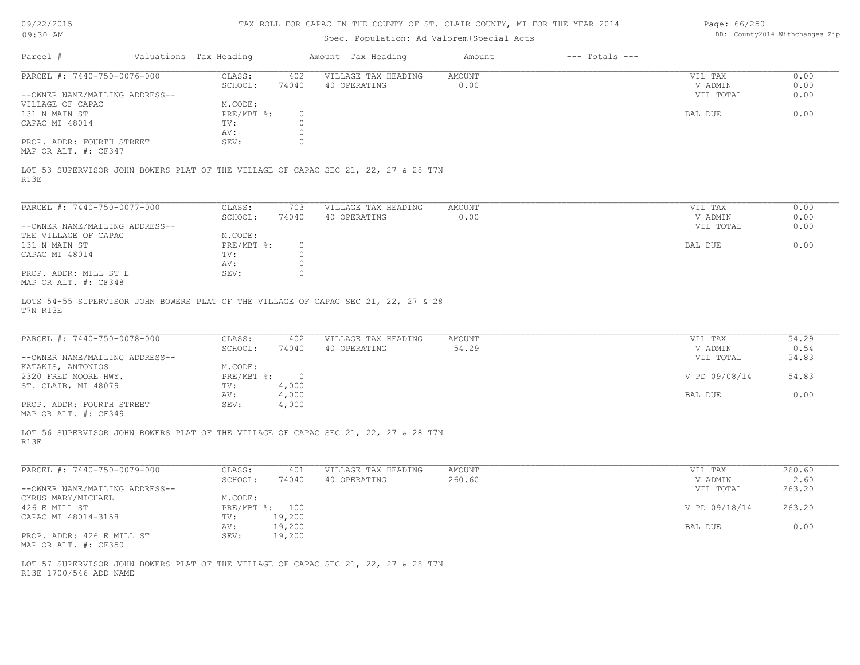| Page: $66/250$ |                                |
|----------------|--------------------------------|
|                | DB: County2014 Withchanges-Zip |

| 09/22/2015<br>09:30 AM                               |                        |                    | TAX ROLL FOR CAPAC IN THE COUNTY OF ST. CLAIR COUNTY, MI FOR THE YEAR 2014<br>Spec. Population: Ad Valorem+Special Acts |                        |                    | Page: 66/250<br>DB: County2014 Withchanges-Zip |               |  |
|------------------------------------------------------|------------------------|--------------------|-------------------------------------------------------------------------------------------------------------------------|------------------------|--------------------|------------------------------------------------|---------------|--|
|                                                      |                        |                    |                                                                                                                         |                        |                    |                                                |               |  |
| Parcel #                                             | Valuations Tax Heading |                    | Amount Tax Heading                                                                                                      | Amount                 | $---$ Totals $---$ |                                                |               |  |
| PARCEL #: 7440-750-0076-000                          | CLASS:<br>SCHOOL:      | 402<br>74040       | VILLAGE TAX HEADING<br>40 OPERATING                                                                                     | <b>AMOUNT</b><br>0.00  |                    | VIL TAX<br>V ADMIN                             | 0.00<br>0.00  |  |
| --OWNER NAME/MAILING ADDRESS--                       |                        |                    |                                                                                                                         |                        |                    | VIL TOTAL                                      | 0.00          |  |
| VILLAGE OF CAPAC                                     | M.CODE:                |                    |                                                                                                                         |                        |                    |                                                |               |  |
| 131 N MAIN ST<br>CAPAC MI 48014                      | $PRE/MBT$ %:<br>TV:    | $\circ$<br>$\circ$ |                                                                                                                         |                        |                    | BAL DUE                                        | 0.00          |  |
|                                                      | AV:                    | $\circ$            |                                                                                                                         |                        |                    |                                                |               |  |
| PROP. ADDR: FOURTH STREET<br>MAP OR ALT. #: CF347    | SEV:                   | $\circ$            |                                                                                                                         |                        |                    |                                                |               |  |
|                                                      |                        |                    | LOT 53 SUPERVISOR JOHN BOWERS PLAT OF THE VILLAGE OF CAPAC SEC 21, 22, 27 & 28 T7N                                      |                        |                    |                                                |               |  |
| R13E                                                 |                        |                    |                                                                                                                         |                        |                    |                                                |               |  |
| PARCEL #: 7440-750-0077-000                          | CLASS:                 | 703                | VILLAGE TAX HEADING                                                                                                     | <b>AMOUNT</b>          |                    | VIL TAX                                        | 0.00          |  |
|                                                      | SCHOOL:                | 74040              | 40 OPERATING                                                                                                            | 0.00                   |                    | V ADMIN                                        | 0.00          |  |
| --OWNER NAME/MAILING ADDRESS--                       |                        |                    |                                                                                                                         |                        |                    | VIL TOTAL                                      | 0.00          |  |
| THE VILLAGE OF CAPAC                                 | M.CODE:                |                    |                                                                                                                         |                        |                    |                                                |               |  |
| 131 N MAIN ST                                        | $PRE/MBT$ %:           | $\circ$<br>$\circ$ |                                                                                                                         |                        |                    | BAL DUE                                        | 0.00          |  |
| CAPAC MI 48014                                       | TV:<br>AV:             | $\circledcirc$     |                                                                                                                         |                        |                    |                                                |               |  |
| PROP. ADDR: MILL ST E                                | SEV:                   | $\circ$            |                                                                                                                         |                        |                    |                                                |               |  |
| MAP OR ALT. #: CF348                                 |                        |                    |                                                                                                                         |                        |                    |                                                |               |  |
| T7N R13E                                             |                        |                    | LOTS 54-55 SUPERVISOR JOHN BOWERS PLAT OF THE VILLAGE OF CAPAC SEC 21, 22, 27 & 28                                      |                        |                    |                                                |               |  |
| PARCEL #: 7440-750-0078-000                          | CLASS:<br>SCHOOL:      | 402<br>74040       | VILLAGE TAX HEADING<br>40 OPERATING                                                                                     | <b>AMOUNT</b><br>54.29 |                    | VIL TAX<br>V ADMIN                             | 54.29<br>0.54 |  |
| --OWNER NAME/MAILING ADDRESS--                       |                        |                    |                                                                                                                         |                        |                    | VIL TOTAL                                      | 54.83         |  |
| KATAKIS, ANTONIOS                                    | M.CODE:                |                    |                                                                                                                         |                        |                    |                                                |               |  |
| 2320 FRED MOORE HWY.                                 | $PRE/MBT$ $\div$       | $\overline{0}$     |                                                                                                                         |                        |                    | V PD 09/08/14                                  | 54.83         |  |
| ST. CLAIR, MI 48079                                  | TV:                    | 4,000              |                                                                                                                         |                        |                    |                                                |               |  |
|                                                      | AV:                    | 4,000              |                                                                                                                         |                        |                    | BAL DUE                                        | 0.00          |  |
| PROP. ADDR: FOURTH STREET<br>MAP OR ALT. #: CF349    | SEV:                   | 4,000              |                                                                                                                         |                        |                    |                                                |               |  |
| R13E                                                 |                        |                    | LOT 56 SUPERVISOR JOHN BOWERS PLAT OF THE VILLAGE OF CAPAC SEC 21, 22, 27 & 28 T7N                                      |                        |                    |                                                |               |  |
| PARCEL #: 7440-750-0079-000                          | CLASS:                 | 401                | VILLAGE TAX HEADING                                                                                                     | <b>AMOUNT</b>          |                    | VIL TAX                                        | 260.60        |  |
|                                                      | SCHOOL:                | 74040              | 40 OPERATING                                                                                                            | 260.60                 |                    | V ADMIN                                        | 2.60          |  |
| --OWNER NAME/MAILING ADDRESS--<br>CYRUS MARY/MICHAEL | M.CODE:                |                    |                                                                                                                         |                        |                    | VIL TOTAL                                      | 263.20        |  |
| 426 E MILL ST                                        | PRE/MBT %: 100         |                    |                                                                                                                         |                        |                    | V PD 09/18/14                                  | 263.20        |  |
| CAPAC MI 48014-3158                                  | TV:                    | 19,200             |                                                                                                                         |                        |                    |                                                |               |  |
|                                                      | AV:                    | 19,200             |                                                                                                                         |                        |                    | BAL DUE                                        | 0.00          |  |
| PROP. ADDR: 426 E MILL ST<br>MAP OR ALT. #: CF350    | SEV:                   | 19,200             |                                                                                                                         |                        |                    |                                                |               |  |

R13E 1700/546 ADD NAME LOT 57 SUPERVISOR JOHN BOWERS PLAT OF THE VILLAGE OF CAPAC SEC 21, 22, 27 & 28 T7N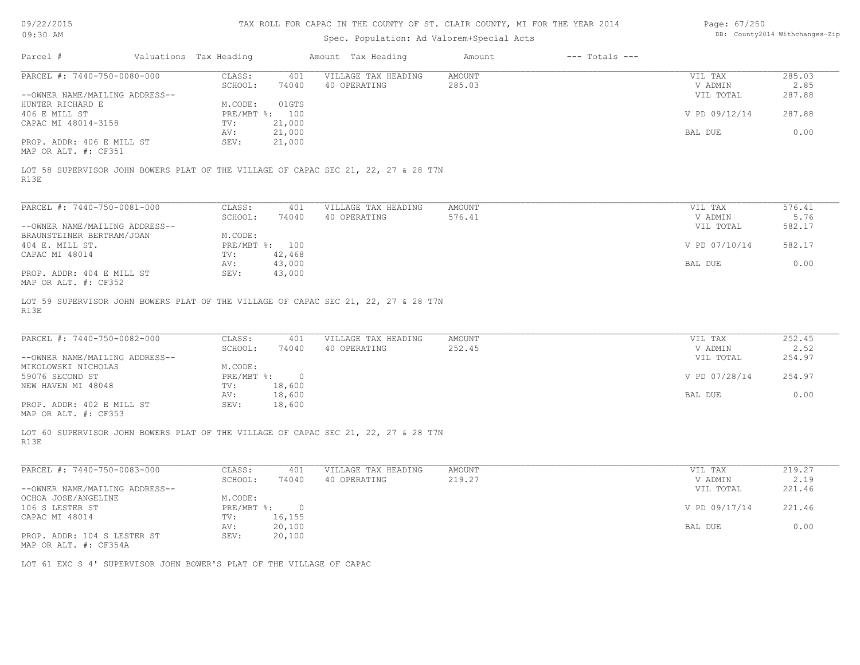| Page: 67/250 |                                |
|--------------|--------------------------------|
|              | DB: County2014 Withchanges-Zip |

| 09/22/2015<br>09:30 AM                                               |                        |                  | TAX ROLL FOR CAPAC IN THE COUNTY OF ST. CLAIR COUNTY, MI FOR THE YEAR 2014<br>Spec. Population: Ad Valorem+Special Acts |               |                    | Page: 67/250         | DB: County2014 Withchanges-Zip |
|----------------------------------------------------------------------|------------------------|------------------|-------------------------------------------------------------------------------------------------------------------------|---------------|--------------------|----------------------|--------------------------------|
| Parcel #                                                             | Valuations Tax Heading |                  | Amount Tax Heading                                                                                                      | Amount        | $---$ Totals $---$ |                      |                                |
| PARCEL #: 7440-750-0080-000                                          | CLASS:                 | 401              | VILLAGE TAX HEADING                                                                                                     | <b>AMOUNT</b> |                    | VIL TAX              | 285.03                         |
|                                                                      | SCHOOL:                | 74040            | 40 OPERATING                                                                                                            | 285.03        |                    | V ADMIN              | 2.85                           |
| --OWNER NAME/MAILING ADDRESS--                                       |                        |                  |                                                                                                                         |               |                    | VIL TOTAL            | 287.88                         |
| HUNTER RICHARD E                                                     | M.CODE:                | 01GTS            |                                                                                                                         |               |                    |                      |                                |
| 406 E MILL ST                                                        | PRE/MBT %: 100         |                  |                                                                                                                         |               |                    | V PD 09/12/14        | 287.88                         |
| CAPAC MI 48014-3158                                                  | TV:                    | 21,000           |                                                                                                                         |               |                    |                      |                                |
|                                                                      | AV:                    | 21,000           |                                                                                                                         |               |                    | BAL DUE              | 0.00                           |
| PROP. ADDR: 406 E MILL ST<br>MAP OR ALT. #: CF351                    | SEV:                   | 21,000           |                                                                                                                         |               |                    |                      |                                |
| R13E                                                                 |                        |                  | LOT 58 SUPERVISOR JOHN BOWERS PLAT OF THE VILLAGE OF CAPAC SEC 21, 22, 27 & 28 T7N                                      |               |                    |                      |                                |
|                                                                      |                        |                  |                                                                                                                         |               |                    |                      |                                |
| PARCEL #: 7440-750-0081-000                                          | CLASS:                 | 401              | VILLAGE TAX HEADING                                                                                                     | <b>AMOUNT</b> |                    | VIL TAX              | 576.41                         |
| --OWNER NAME/MAILING ADDRESS--                                       | SCHOOL:                | 74040            | 40 OPERATING                                                                                                            | 576.41        |                    | V ADMIN<br>VIL TOTAL | 5.76<br>582.17                 |
| BRAUNSTEINER BERTRAM/JOAN                                            | M.CODE:                |                  |                                                                                                                         |               |                    |                      |                                |
| 404 E. MILL ST.                                                      | PRE/MBT %: 100         |                  |                                                                                                                         |               |                    | V PD 07/10/14        | 582.17                         |
| CAPAC MI 48014                                                       | TV:                    | 42,468           |                                                                                                                         |               |                    |                      |                                |
|                                                                      | AV:                    | 43,000           |                                                                                                                         |               |                    | BAL DUE              | 0.00                           |
| PROP. ADDR: 404 E MILL ST<br>MAP OR ALT. #: CF352                    | SEV:                   | 43,000           |                                                                                                                         |               |                    |                      |                                |
| PARCEL #: 7440-750-0082-000                                          | CLASS:                 | 401              | VILLAGE TAX HEADING                                                                                                     | <b>AMOUNT</b> |                    | VIL TAX              | 252.45                         |
|                                                                      | SCHOOL:                | 74040            | 40 OPERATING                                                                                                            | 252.45        |                    | V ADMIN              | 2.52                           |
| --OWNER NAME/MAILING ADDRESS--                                       |                        |                  |                                                                                                                         |               |                    | VIL TOTAL            | 254.97                         |
| MIKOLOWSKI NICHOLAS                                                  | M.CODE:                |                  |                                                                                                                         |               |                    |                      |                                |
| 59076 SECOND ST                                                      | PRE/MBT %:             | $\overline{0}$   |                                                                                                                         |               |                    | V PD 07/28/14        | 254.97                         |
| NEW HAVEN MI 48048                                                   | TV:                    | 18,600<br>18,600 |                                                                                                                         |               |                    | BAL DUE              | 0.00                           |
| PROP. ADDR: 402 E MILL ST                                            | AV:<br>SEV:            | 18,600           |                                                                                                                         |               |                    |                      |                                |
| MAP OR ALT. #: CF353                                                 |                        |                  |                                                                                                                         |               |                    |                      |                                |
| R13E                                                                 |                        |                  | LOT 60 SUPERVISOR JOHN BOWERS PLAT OF THE VILLAGE OF CAPAC SEC 21, 22, 27 & 28 T7N                                      |               |                    |                      |                                |
| PARCEL #: 7440-750-0083-000                                          | CLASS:                 | 401              | VILLAGE TAX HEADING                                                                                                     | <b>AMOUNT</b> |                    | VIL TAX              | 219.27                         |
|                                                                      | SCHOOL:                | 74040            | 40 OPERATING                                                                                                            | 219.27        |                    | V ADMIN              | 2.19                           |
| --OWNER NAME/MAILING ADDRESS--                                       |                        |                  |                                                                                                                         |               |                    | VIL TOTAL            | 221.46                         |
| OCHOA JOSE/ANGELINE                                                  | M.CODE:                |                  |                                                                                                                         |               |                    |                      |                                |
| 106 S LESTER ST                                                      | $PRE/MBT$ $\div$       | $\overline{0}$   |                                                                                                                         |               |                    | V PD 09/17/14        | 221.46                         |
| CAPAC MI 48014                                                       | TV:                    | 16,155           |                                                                                                                         |               |                    |                      |                                |
|                                                                      | AV:                    | 20,100           |                                                                                                                         |               |                    | BAL DUE              | 0.00                           |
| PROP. ADDR: 104 S LESTER ST<br>MAP OR ALT. #: CF354A                 | SEV:                   | 20,100           |                                                                                                                         |               |                    |                      |                                |
| LOT 61 EXC S 4' SUPERVISOR JOHN BOWER'S PLAT OF THE VILLAGE OF CAPAC |                        |                  |                                                                                                                         |               |                    |                      |                                |
|                                                                      |                        |                  |                                                                                                                         |               |                    |                      |                                |
|                                                                      |                        |                  |                                                                                                                         |               |                    |                      |                                |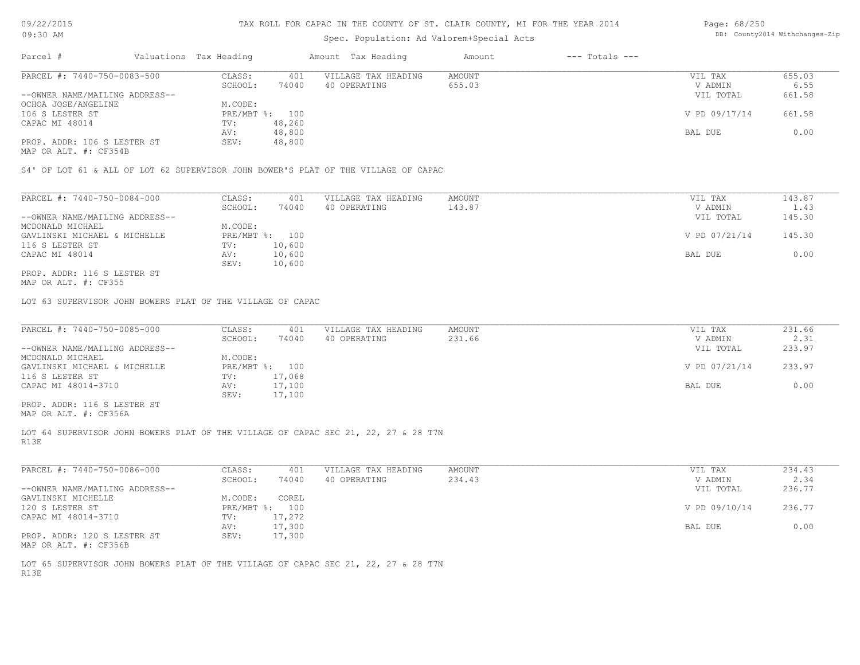## Spec. Population: Ad Valorem+Special Acts

| Page: 68/250 |                                |
|--------------|--------------------------------|
|              | DB: County2014 Withchanges-Zip |

| Parcel #                                                                                                            | Valuations Tax Heading |        | Amount Tax Heading  | Amount | $---$ Totals $---$ |               |        |
|---------------------------------------------------------------------------------------------------------------------|------------------------|--------|---------------------|--------|--------------------|---------------|--------|
| PARCEL #: 7440-750-0083-500<br>--OWNER NAME/MAILING ADDRESS--<br>OCHOA JOSE/ANGELINE<br>PROP. ADDR: 106 S LESTER ST | CLASS:                 | 401    | VILLAGE TAX HEADING | AMOUNT |                    | VIL TAX       | 655.03 |
|                                                                                                                     | SCHOOL:                | 74040  | 40 OPERATING        | 655.03 |                    | V ADMIN       | 6.55   |
|                                                                                                                     |                        |        |                     |        |                    | VIL TOTAL     | 661.58 |
|                                                                                                                     | M.CODE:                |        |                     |        |                    |               |        |
| 106 S LESTER ST                                                                                                     | PRE/MBT %: 100         |        |                     |        |                    | V PD 09/17/14 | 661.58 |
| CAPAC MI 48014                                                                                                      | TV:                    | 48,260 |                     |        |                    |               |        |
|                                                                                                                     | AV:                    | 48,800 |                     |        |                    | BAL DUE       | 0.00   |
|                                                                                                                     | SEV:                   | 48,800 |                     |        |                    |               |        |
|                                                                                                                     |                        |        |                     |        |                    |               |        |

MAP OR ALT. #: CF354B

S4' OF LOT 61 & ALL OF LOT 62 SUPERVISOR JOHN BOWER'S PLAT OF THE VILLAGE OF CAPAC

| PARCEL #: 7440-750-0084-000    | CLASS:     | 401    | VILLAGE TAX HEADING | AMOUNT | VIL TAX       | 143.87 |
|--------------------------------|------------|--------|---------------------|--------|---------------|--------|
|                                | SCHOOL:    | 74040  | 40 OPERATING        | 143.87 | V ADMIN       | 1.43   |
| --OWNER NAME/MAILING ADDRESS-- |            |        |                     |        | VIL TOTAL     | 145.30 |
| MCDONALD MICHAEL               | M.CODE:    |        |                     |        |               |        |
| GAVLINSKI MICHAEL & MICHELLE   | PRE/MBT %: | 100    |                     |        | V PD 07/21/14 | 145.30 |
| 116 S LESTER ST                | TV:        | 10,600 |                     |        |               |        |
| CAPAC MI 48014                 | AV:        | 10,600 |                     |        | BAL DUE       | 0.00   |
|                                | SEV:       | 10,600 |                     |        |               |        |
| PROP. ADDR: 116 S LESTER ST    |            |        |                     |        |               |        |

MAP OR ALT. #: CF355

LOT 63 SUPERVISOR JOHN BOWERS PLAT OF THE VILLAGE OF CAPAC

| PARCEL #: 7440-750-0085-000    | CLASS:         | 401    | VILLAGE TAX HEADING | AMOUNT | VIL TAX       | 231.66 |
|--------------------------------|----------------|--------|---------------------|--------|---------------|--------|
|                                | SCHOOL:        | 74040  | 40 OPERATING        | 231.66 | V ADMIN       | 2.31   |
| --OWNER NAME/MAILING ADDRESS-- |                |        |                     |        | VIL TOTAL     | 233.97 |
| MCDONALD MICHAEL               | M.CODE:        |        |                     |        |               |        |
| GAVLINSKI MICHAEL & MICHELLE   | PRE/MBT %: 100 |        |                     |        | V PD 07/21/14 | 233.97 |
| 116 S LESTER ST                | TV:            | 17,068 |                     |        |               |        |
| CAPAC MI 48014-3710            | AV:            | 17,100 |                     |        | BAL DUE       | 0.00   |
|                                | SEV:           | 17,100 |                     |        |               |        |
| PROP. ADDR: 116 S LESTER ST    |                |        |                     |        |               |        |

MAP OR ALT. #: CF356A

R13E LOT 64 SUPERVISOR JOHN BOWERS PLAT OF THE VILLAGE OF CAPAC SEC 21, 22, 27 & 28 T7N

| PARCEL #: 7440-750-0086-000    | CLASS:       | 401    | VILLAGE TAX HEADING | AMOUNT | VIL TAX       | 234.43 |
|--------------------------------|--------------|--------|---------------------|--------|---------------|--------|
|                                | SCHOOL:      | 74040  | 40 OPERATING        | 234.43 | V ADMIN       | 2.34   |
| --OWNER NAME/MAILING ADDRESS-- |              |        |                     |        | VIL TOTAL     | 236.77 |
| GAVLINSKI MICHELLE             | M.CODE:      | COREL  |                     |        |               |        |
| 120 S LESTER ST                | $PRE/MBT$ %: | 100    |                     |        | V PD 09/10/14 | 236.77 |
| CAPAC MI 48014-3710            | TV:          | 17,272 |                     |        |               |        |
|                                | AV:          | 17,300 |                     |        | BAL DUE       | 0.00   |
| PROP. ADDR: 120 S LESTER ST    | SEV:         | 17,300 |                     |        |               |        |
| MAP OR ALT. #: CF356B          |              |        |                     |        |               |        |

R13E LOT 65 SUPERVISOR JOHN BOWERS PLAT OF THE VILLAGE OF CAPAC SEC 21, 22, 27 & 28 T7N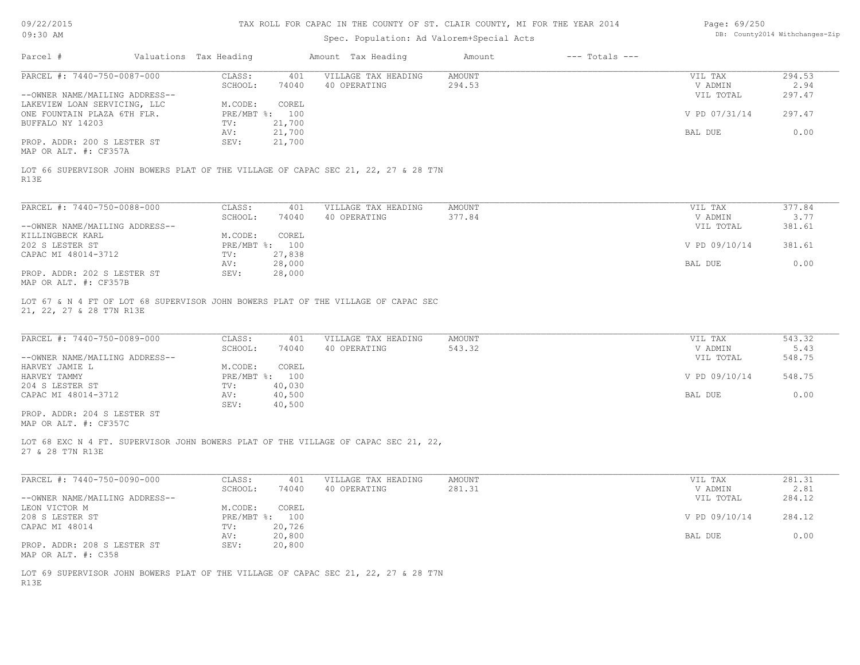| 09/22/2015<br>09:30 AM                                      |                           |                  | TAX ROLL FOR CAPAC IN THE COUNTY OF ST. CLAIR COUNTY, MI FOR THE YEAR 2014                                               |                         |                    | Page: 69/250<br>DB: County2014 Withchanges-Zip |                |  |
|-------------------------------------------------------------|---------------------------|------------------|--------------------------------------------------------------------------------------------------------------------------|-------------------------|--------------------|------------------------------------------------|----------------|--|
|                                                             |                           |                  | Spec. Population: Ad Valorem+Special Acts                                                                                |                         |                    |                                                |                |  |
| Parcel #                                                    | Valuations Tax Heading    |                  | Amount Tax Heading                                                                                                       | Amount                  | $---$ Totals $---$ |                                                |                |  |
| PARCEL #: 7440-750-0087-000                                 | CLASS:<br>SCHOOL:         | 401<br>74040     | VILLAGE TAX HEADING<br>40 OPERATING                                                                                      | AMOUNT<br>294.53        |                    | VIL TAX<br>V ADMIN                             | 294.53<br>2.94 |  |
| --OWNER NAME/MAILING ADDRESS--                              |                           |                  |                                                                                                                          |                         |                    | VIL TOTAL                                      | 297.47         |  |
| LAKEVIEW LOAN SERVICING, LLC<br>ONE FOUNTAIN PLAZA 6TH FLR. | M.CODE:<br>PRE/MBT %: 100 | COREL            |                                                                                                                          |                         |                    | V PD 07/31/14                                  | 297.47         |  |
| BUFFALO NY 14203                                            | TV:                       | 21,700           |                                                                                                                          |                         |                    |                                                |                |  |
|                                                             | AV:                       | 21,700           |                                                                                                                          |                         |                    | BAL DUE                                        | 0.00           |  |
| PROP. ADDR: 200 S LESTER ST<br>MAP OR ALT. #: CF357A        | SEV:                      | 21,700           |                                                                                                                          |                         |                    |                                                |                |  |
|                                                             |                           |                  | LOT 66 SUPERVISOR JOHN BOWERS PLAT OF THE VILLAGE OF CAPAC SEC 21, 22, 27 & 28 T7N                                       |                         |                    |                                                |                |  |
| R13E                                                        |                           |                  |                                                                                                                          |                         |                    |                                                |                |  |
| PARCEL #: 7440-750-0088-000                                 | CLASS:                    | 401              | VILLAGE TAX HEADING                                                                                                      | <b>AMOUNT</b>           |                    | VIL TAX                                        | 377.84         |  |
|                                                             | SCHOOL:                   | 74040            | 40 OPERATING                                                                                                             | 377.84                  |                    | V ADMIN                                        | 3.77           |  |
| --OWNER NAME/MAILING ADDRESS--                              |                           |                  |                                                                                                                          |                         |                    | VIL TOTAL                                      | 381.61         |  |
| KILLINGBECK KARL                                            | M.CODE:                   | COREL            |                                                                                                                          |                         |                    |                                                |                |  |
| 202 S LESTER ST<br>CAPAC MI 48014-3712                      | PRE/MBT %: 100<br>TV:     | 27,838           |                                                                                                                          |                         |                    | V PD 09/10/14                                  | 381.61         |  |
|                                                             | AV:                       | 28,000           |                                                                                                                          |                         |                    | BAL DUE                                        | 0.00           |  |
| PROP. ADDR: 202 S LESTER ST                                 | SEV:                      | 28,000           |                                                                                                                          |                         |                    |                                                |                |  |
| MAP OR ALT. #: CF357B                                       |                           |                  |                                                                                                                          |                         |                    |                                                |                |  |
| 21, 22, 27 & 28 T7N R13E<br>PARCEL #: 7440-750-0089-000     | CLASS:<br>SCHOOL:         | 401<br>74040     | LOT 67 & N 4 FT OF LOT 68 SUPERVISOR JOHN BOWERS PLAT OF THE VILLAGE OF CAPAC SEC<br>VILLAGE TAX HEADING<br>40 OPERATING | <b>AMOUNT</b><br>543.32 |                    | VIL TAX<br>V ADMIN                             | 543.32<br>5.43 |  |
| --OWNER NAME/MAILING ADDRESS--                              |                           |                  |                                                                                                                          |                         |                    | VIL TOTAL                                      | 548.75         |  |
| HARVEY JAMIE L                                              | M.CODE:                   | COREL            |                                                                                                                          |                         |                    |                                                |                |  |
| HARVEY TAMMY                                                | PRE/MBT %: 100            |                  |                                                                                                                          |                         |                    | V PD 09/10/14                                  | 548.75         |  |
| 204 S LESTER ST<br>CAPAC MI 48014-3712                      | TV:<br>AV:                | 40,030<br>40,500 |                                                                                                                          |                         |                    | BAL DUE                                        | 0.00           |  |
|                                                             | SEV:                      | 40,500           |                                                                                                                          |                         |                    |                                                |                |  |
| PROP. ADDR: 204 S LESTER ST<br>MAP OR ALT. #: CF357C        |                           |                  |                                                                                                                          |                         |                    |                                                |                |  |
| 27 & 28 T7N R13E                                            |                           |                  | LOT 68 EXC N 4 FT. SUPERVISOR JOHN BOWERS PLAT OF THE VILLAGE OF CAPAC SEC 21, 22,                                       |                         |                    |                                                |                |  |
|                                                             |                           |                  |                                                                                                                          |                         |                    |                                                |                |  |
| PARCEL #: 7440-750-0090-000                                 | CLASS:                    | 401              | VILLAGE TAX HEADING                                                                                                      | <b>AMOUNT</b>           |                    | VIL TAX                                        | 281.31         |  |
|                                                             | SCHOOL:                   | 74040            | 40 OPERATING                                                                                                             | 281.31                  |                    | V ADMIN                                        | 2.81           |  |
| --OWNER NAME/MAILING ADDRESS--                              |                           |                  |                                                                                                                          |                         |                    | VIL TOTAL                                      | 284.12         |  |
| LEON VICTOR M                                               | M.CODE:                   | COREL            |                                                                                                                          |                         |                    |                                                |                |  |
| 208 S LESTER ST<br>CAPAC MI 48014                           | PRE/MBT %: 100<br>TV:     | 20,726           |                                                                                                                          |                         |                    | V PD 09/10/14                                  | 284.12         |  |
|                                                             | AV:                       | 20,800           |                                                                                                                          |                         |                    | BAL DUE                                        | 0.00           |  |
| PROP. ADDR: 208 S LESTER ST<br>MAP OR ALT. #: C358          | SEV:                      | 20,800           |                                                                                                                          |                         |                    |                                                |                |  |

R13E LOT 69 SUPERVISOR JOHN BOWERS PLAT OF THE VILLAGE OF CAPAC SEC 21, 22, 27 & 28 T7N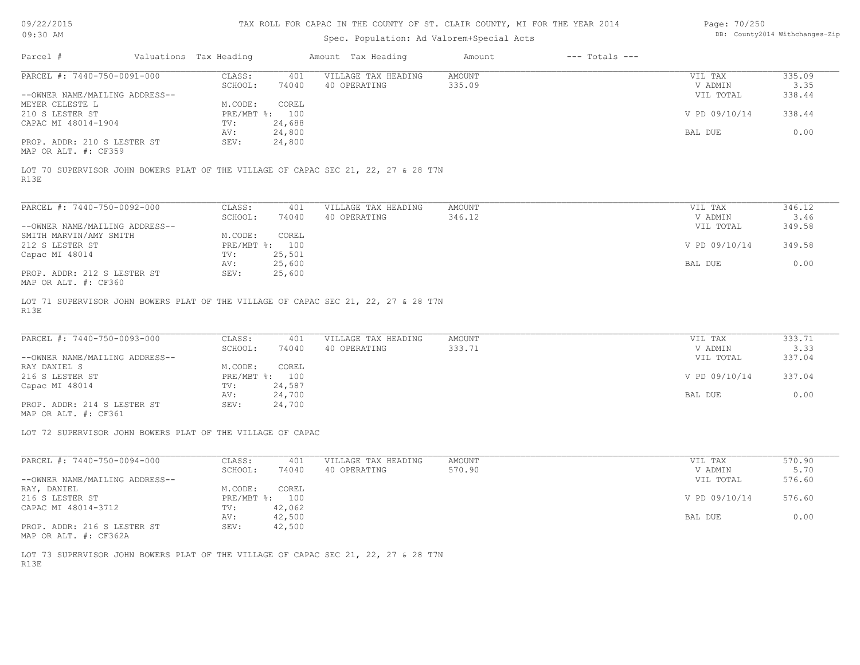09/22/2015 09:30 AM

#### TAX ROLL FOR CAPAC IN THE COUNTY OF ST. CLAIR COUNTY, MI FOR THE YEAR 2014

## Spec. Population: Ad Valorem+Special Acts

| Page: 70/250 |                                |
|--------------|--------------------------------|
|              | DB: County2014 Withchanges-Zip |

| Parcel #                       | Valuations Tax Heading |                | Amount Tax Heading  | Amount | $---$ Totals $---$ |               |        |
|--------------------------------|------------------------|----------------|---------------------|--------|--------------------|---------------|--------|
| PARCEL #: 7440-750-0091-000    | CLASS:                 | 401            | VILLAGE TAX HEADING | AMOUNT |                    | VIL TAX       | 335.09 |
|                                | SCHOOL:                | 74040          | 40 OPERATING        | 335.09 |                    | V ADMIN       | 3.35   |
| --OWNER NAME/MAILING ADDRESS-- |                        |                |                     |        |                    | VIL TOTAL     | 338.44 |
| MEYER CELESTE L                | M.CODE:                | COREL          |                     |        |                    |               |        |
| 210 S LESTER ST                |                        | PRE/MBT %: 100 |                     |        |                    | V PD 09/10/14 | 338.44 |
| CAPAC MI 48014-1904            | TV:                    | 24,688         |                     |        |                    |               |        |
|                                | AV:                    | 24,800         |                     |        |                    | BAL DUE       | 0.00   |
| PROP. ADDR: 210 S LESTER ST    | SEV:                   | 24,800         |                     |        |                    |               |        |
| MAP OR ALT. #: CF359           |                        |                |                     |        |                    |               |        |

R13E LOT 70 SUPERVISOR JOHN BOWERS PLAT OF THE VILLAGE OF CAPAC SEC 21, 22, 27 & 28 T7N

| PARCEL #: 7440-750-0092-000    | CLASS:       | 401    | VILLAGE TAX HEADING | AMOUNT | VIL TAX       | 346.12 |
|--------------------------------|--------------|--------|---------------------|--------|---------------|--------|
|                                | SCHOOL:      | 74040  | 40 OPERATING        | 346.12 | V ADMIN       | 3.46   |
| --OWNER NAME/MAILING ADDRESS-- |              |        |                     |        | VIL TOTAL     | 349.58 |
| SMITH MARVIN/AMY SMITH         | M.CODE:      | COREL  |                     |        |               |        |
| 212 S LESTER ST                | $PRE/MBT$ %: | 100    |                     |        | V PD 09/10/14 | 349.58 |
| Capac MI 48014                 | TV:          | 25,501 |                     |        |               |        |
|                                | AV:          | 25,600 |                     |        | BAL DUE       | 0.00   |
| PROP. ADDR: 212 S LESTER ST    | SEV:         | 25,600 |                     |        |               |        |
| MAP OR ALT. #: CF360           |              |        |                     |        |               |        |

R13E LOT 71 SUPERVISOR JOHN BOWERS PLAT OF THE VILLAGE OF CAPAC SEC 21, 22, 27 & 28 T7N

| PARCEL #: 7440-750-0093-000    | CLASS:  | 401            | VILLAGE TAX HEADING | AMOUNT | VIL TAX       | 333.71 |
|--------------------------------|---------|----------------|---------------------|--------|---------------|--------|
|                                | SCHOOL: | 74040          | 40 OPERATING        | 333.71 | V ADMIN       | 3.33   |
| --OWNER NAME/MAILING ADDRESS-- |         |                |                     |        | VIL TOTAL     | 337.04 |
| RAY DANIEL S                   | M.CODE: | COREL          |                     |        |               |        |
| 216 S LESTER ST                |         | PRE/MBT %: 100 |                     |        | V PD 09/10/14 | 337.04 |
| Capac MI 48014                 | TV:     | 24,587         |                     |        |               |        |
|                                | AV:     | 24,700         |                     |        | BAL DUE       | 0.00   |
| PROP. ADDR: 214 S LESTER ST    | SEV:    | 24,700         |                     |        |               |        |
|                                |         |                |                     |        |               |        |

MAP OR ALT. #: CF361

LOT 72 SUPERVISOR JOHN BOWERS PLAT OF THE VILLAGE OF CAPAC

| PARCEL #: 7440-750-0094-000    | CLASS:     | 401    | VILLAGE TAX HEADING | AMOUNT | VIL TAX       | 570.90 |
|--------------------------------|------------|--------|---------------------|--------|---------------|--------|
|                                | SCHOOL:    | 74040  | 40 OPERATING        | 570.90 | V ADMIN       | 5.70   |
| --OWNER NAME/MAILING ADDRESS-- |            |        |                     |        | VIL TOTAL     | 576.60 |
| RAY, DANIEL                    | M.CODE:    | COREL  |                     |        |               |        |
| 216 S LESTER ST                | PRE/MBT %: | 100    |                     |        | V PD 09/10/14 | 576.60 |
| CAPAC MI 48014-3712            | TV:        | 42,062 |                     |        |               |        |
|                                | AV:        | 42,500 |                     |        | BAL DUE       | 0.00   |
| PROP. ADDR: 216 S LESTER ST    | SEV:       | 42,500 |                     |        |               |        |

MAP OR ALT. #: CF362A

R13E LOT 73 SUPERVISOR JOHN BOWERS PLAT OF THE VILLAGE OF CAPAC SEC 21, 22, 27 & 28 T7N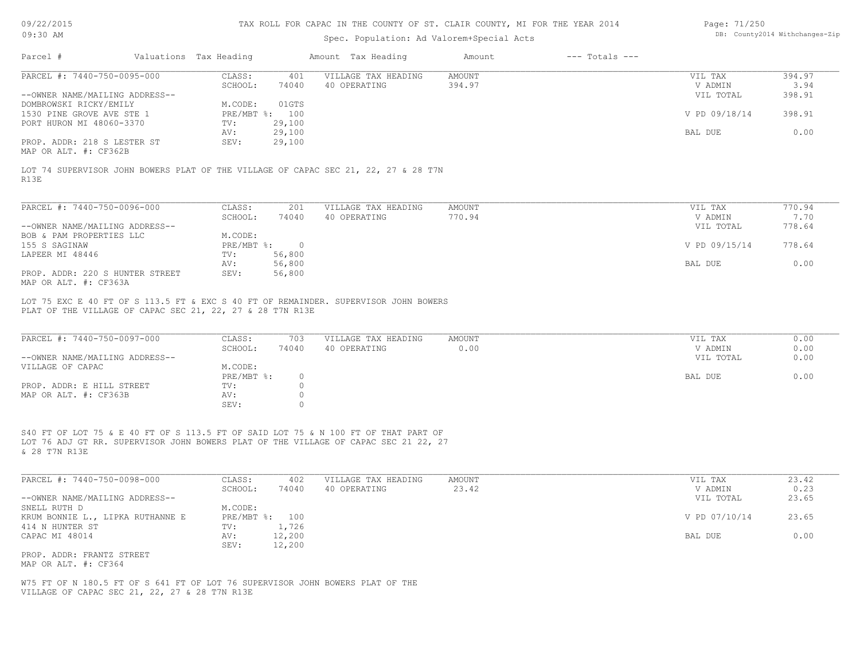| 09/22/2015 |  |
|------------|--|
|------------|--|

| Page: 71/250 |                                |
|--------------|--------------------------------|
|              | DB: County2014 Withchanges-Zip |

| 09/22/2015                                           |                        |                  | TAX ROLL FOR CAPAC IN THE COUNTY OF ST. CLAIR COUNTY, MI FOR THE YEAR 2014                                                                                                |               |                                | Page: 71/250         |               |
|------------------------------------------------------|------------------------|------------------|---------------------------------------------------------------------------------------------------------------------------------------------------------------------------|---------------|--------------------------------|----------------------|---------------|
| $09:30$ AM                                           |                        |                  | Spec. Population: Ad Valorem+Special Acts                                                                                                                                 |               | DB: County2014 Withchanges-Zip |                      |               |
| Parcel #                                             | Valuations Tax Heading |                  | Amount Tax Heading                                                                                                                                                        | Amount        | $---$ Totals $---$             |                      |               |
| PARCEL #: 7440-750-0095-000                          | CLASS:                 | 401              | VILLAGE TAX HEADING                                                                                                                                                       | AMOUNT        |                                | VIL TAX              | 394.97        |
|                                                      | SCHOOL:                | 74040            | 40 OPERATING                                                                                                                                                              | 394.97        |                                | V ADMIN              | 3.94          |
| --OWNER NAME/MAILING ADDRESS--                       |                        |                  |                                                                                                                                                                           |               |                                | VIL TOTAL            | 398.91        |
| DOMBROWSKI RICKY/EMILY                               | M.CODE:                | 01GTS            |                                                                                                                                                                           |               |                                |                      |               |
| 1530 PINE GROVE AVE STE 1                            |                        | PRE/MBT %: 100   |                                                                                                                                                                           |               |                                | V PD 09/18/14        | 398.91        |
| PORT HURON MI 48060-3370                             | TV:                    | 29,100           |                                                                                                                                                                           |               |                                |                      |               |
|                                                      | AV:                    | 29,100           |                                                                                                                                                                           |               |                                | BAL DUE              | 0.00          |
| PROP. ADDR: 218 S LESTER ST<br>MAP OR ALT. #: CF362B | SEV:                   | 29,100           |                                                                                                                                                                           |               |                                |                      |               |
| R13E                                                 |                        |                  | LOT 74 SUPERVISOR JOHN BOWERS PLAT OF THE VILLAGE OF CAPAC SEC 21, 22, 27 & 28 T7N                                                                                        |               |                                |                      |               |
|                                                      |                        |                  |                                                                                                                                                                           |               |                                |                      |               |
| PARCEL #: 7440-750-0096-000                          | CLASS:                 | 201              | VILLAGE TAX HEADING                                                                                                                                                       | <b>AMOUNT</b> |                                | VIL TAX              | 770.94        |
|                                                      | SCHOOL:                | 74040            | 40 OPERATING                                                                                                                                                              | 770.94        |                                | V ADMIN              | 7.70          |
| --OWNER NAME/MAILING ADDRESS--                       |                        |                  |                                                                                                                                                                           |               |                                | VIL TOTAL            | 778.64        |
| BOB & PAM PROPERTIES LLC                             | M.CODE:                |                  |                                                                                                                                                                           |               |                                |                      |               |
| 155 S SAGINAW                                        | PRE/MBT %:             | $\overline{0}$   |                                                                                                                                                                           |               |                                | V PD 09/15/14        | 778.64        |
| LAPEER MI 48446                                      | TV:<br>AV:             | 56,800<br>56,800 |                                                                                                                                                                           |               |                                | BAL DUE              | 0.00          |
| PROP. ADDR: 220 S HUNTER STREET                      | SEV:                   | 56,800           |                                                                                                                                                                           |               |                                |                      |               |
| MAP OR ALT. #: CF363A                                |                        |                  |                                                                                                                                                                           |               |                                |                      |               |
| PARCEL #: 7440-750-0097-000                          | CLASS:                 | 703              | VILLAGE TAX HEADING                                                                                                                                                       | <b>AMOUNT</b> |                                | VIL TAX              | 0.00          |
|                                                      | SCHOOL:                | 74040            | 40 OPERATING                                                                                                                                                              | 0.00          |                                | V ADMIN              | 0.00          |
| --OWNER NAME/MAILING ADDRESS--                       |                        |                  |                                                                                                                                                                           |               |                                | VIL TOTAL            | 0.00          |
| VILLAGE OF CAPAC                                     | M.CODE:                |                  |                                                                                                                                                                           |               |                                |                      |               |
|                                                      | $PRE/MBT$ $\div$       | $\circ$          |                                                                                                                                                                           |               |                                | BAL DUE              | 0.00          |
| PROP. ADDR: E HILL STREET                            | TV:                    | $\circ$          |                                                                                                                                                                           |               |                                |                      |               |
| MAP OR ALT. #: CF363B                                | AV:                    | $\circ$          |                                                                                                                                                                           |               |                                |                      |               |
|                                                      | SEV:                   | $\Omega$         |                                                                                                                                                                           |               |                                |                      |               |
| & 28 T7N R13E                                        |                        |                  | S40 FT OF LOT 75 & E 40 FT OF S 113.5 FT OF SAID LOT 75 & N 100 FT OF THAT PART OF<br>LOT 76 ADJ GT RR. SUPERVISOR JOHN BOWERS PLAT OF THE VILLAGE OF CAPAC SEC 21 22, 27 |               |                                |                      |               |
| PARCEL #: 7440-750-0098-000                          | CLASS:                 | 402              | VILLAGE TAX HEADING                                                                                                                                                       | AMOUNT        |                                | VIL TAX              | 23.42         |
| --OWNER NAME/MAILING ADDRESS--                       | SCHOOL:                | 74040            | 40 OPERATING                                                                                                                                                              | 23.42         |                                | V ADMIN<br>VIL TOTAL | 0.23<br>23.65 |
| SNELL RUTH D                                         | M.CODE:                |                  |                                                                                                                                                                           |               |                                |                      |               |
| KRUM BONNIE L., LIPKA RUTHANNE E                     |                        | PRE/MBT %: 100   |                                                                                                                                                                           |               |                                | V PD 07/10/14        | 23.65         |
| 414 N HUNTER ST                                      | TV:                    | 1,726            |                                                                                                                                                                           |               |                                |                      |               |
| CAPAC MI 48014                                       | AV:                    | 12,200           |                                                                                                                                                                           |               |                                | BAL DUE              | 0.00          |
|                                                      | SEV:                   | 12,200           |                                                                                                                                                                           |               |                                |                      |               |
| PROP. ADDR: FRANTZ STREET                            |                        |                  |                                                                                                                                                                           |               |                                |                      |               |
| MAP OR ALT. #: CF364                                 |                        |                  |                                                                                                                                                                           |               |                                |                      |               |
|                                                      |                        |                  |                                                                                                                                                                           |               |                                |                      |               |
| VILLAGE OF CAPAC SEC 21, 22, 27 & 28 T7N R13E        |                        |                  | W75 FT OF N 180.5 FT OF S 641 FT OF LOT 76 SUPERVISOR JOHN BOWERS PLAT OF THE                                                                                             |               |                                |                      |               |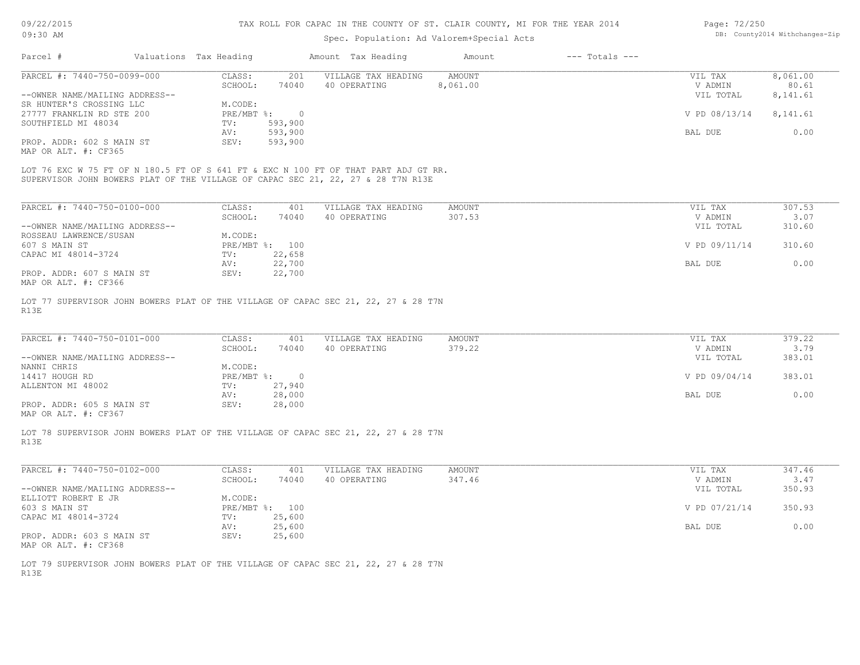# DB: County2014 Withchanges-Zip

| 09/22/2015                                                                                 |                        | TAX ROLL FOR CAPAC IN THE COUNTY OF ST. CLAIR COUNTY, MI FOR THE YEAR 2014 |                                           | Page: 72/250     |                    |                    |                                |
|--------------------------------------------------------------------------------------------|------------------------|----------------------------------------------------------------------------|-------------------------------------------|------------------|--------------------|--------------------|--------------------------------|
| 09:30 AM                                                                                   |                        |                                                                            | Spec. Population: Ad Valorem+Special Acts |                  |                    |                    | DB: County2014 Withchanges-Zip |
| Parcel #                                                                                   | Valuations Tax Heading |                                                                            | Amount Tax Heading                        | Amount           | $---$ Totals $---$ |                    |                                |
| PARCEL #: 7440-750-0099-000                                                                | CLASS:                 | 201                                                                        | VILLAGE TAX HEADING                       | <b>AMOUNT</b>    |                    | VIL TAX            | 8,061.00                       |
|                                                                                            | SCHOOL:                | 74040                                                                      | 40 OPERATING                              | 8,061.00         |                    | V ADMIN            | 80.61                          |
| --OWNER NAME/MAILING ADDRESS--<br>SR HUNTER'S CROSSING LLC                                 | M.CODE:                |                                                                            |                                           |                  |                    | VIL TOTAL          | 8,141.61                       |
| 27777 FRANKLIN RD STE 200                                                                  | PRE/MBT %:             | $\overline{0}$                                                             |                                           |                  |                    | V PD 08/13/14      | 8,141.61                       |
| SOUTHFIELD MI 48034                                                                        | TV:                    | 593,900                                                                    |                                           |                  |                    |                    |                                |
|                                                                                            | AV:                    | 593,900                                                                    |                                           |                  |                    | BAL DUE            | 0.00                           |
| PROP. ADDR: 602 S MAIN ST<br>MAP OR ALT. #: CF365                                          | SEV:                   | 593,900                                                                    |                                           |                  |                    |                    |                                |
| LOT 76 EXC W 75 FT OF N 180.5 FT OF S 641 FT & EXC N 100 FT OF THAT PART ADJ GT RR.        |                        |                                                                            |                                           |                  |                    |                    |                                |
| SUPERVISOR JOHN BOWERS PLAT OF THE VILLAGE OF CAPAC SEC 21, 22, 27 & 28 T7N R13E           |                        |                                                                            |                                           |                  |                    |                    |                                |
|                                                                                            |                        |                                                                            |                                           |                  |                    |                    |                                |
| PARCEL #: 7440-750-0100-000                                                                | CLASS:<br>SCHOOL:      | 401<br>74040                                                               | VILLAGE TAX HEADING<br>40 OPERATING       | AMOUNT<br>307.53 |                    | VIL TAX<br>V ADMIN | 307.53<br>3.07                 |
| --OWNER NAME/MAILING ADDRESS--                                                             |                        |                                                                            |                                           |                  |                    | VIL TOTAL          | 310.60                         |
| ROSSEAU LAWRENCE/SUSAN                                                                     | M.CODE:                |                                                                            |                                           |                  |                    |                    |                                |
| 607 S MAIN ST                                                                              |                        | PRE/MBT %: 100                                                             |                                           |                  |                    | V PD 09/11/14      | 310.60                         |
| CAPAC MI 48014-3724                                                                        | TV:                    | 22,658                                                                     |                                           |                  |                    |                    |                                |
| PROP. ADDR: 607 S MAIN ST                                                                  | AV:<br>SEV:            | 22,700<br>22,700                                                           |                                           |                  |                    | BAL DUE            | 0.00                           |
| MAP OR ALT. #: CF366                                                                       |                        |                                                                            |                                           |                  |                    |                    |                                |
| LOT 77 SUPERVISOR JOHN BOWERS PLAT OF THE VILLAGE OF CAPAC SEC 21, 22, 27 & 28 T7N         |                        |                                                                            |                                           |                  |                    |                    |                                |
| R13E                                                                                       |                        |                                                                            |                                           |                  |                    |                    |                                |
|                                                                                            |                        |                                                                            |                                           |                  |                    |                    |                                |
| PARCEL #: 7440-750-0101-000                                                                | CLASS:                 | 401                                                                        | VILLAGE TAX HEADING                       | AMOUNT           |                    | VIL TAX            | 379.22                         |
|                                                                                            | SCHOOL:                | 74040                                                                      | 40 OPERATING                              | 379.22           |                    | V ADMIN            | 3.79                           |
| --OWNER NAME/MAILING ADDRESS--                                                             |                        |                                                                            |                                           |                  |                    | VIL TOTAL          | 383.01                         |
| NANNI CHRIS<br>14417 HOUGH RD                                                              | M.CODE:<br>PRE/MBT %:  | $\overline{0}$                                                             |                                           |                  |                    | V PD 09/04/14      | 383.01                         |
| ALLENTON MI 48002                                                                          | TV:                    | 27,940                                                                     |                                           |                  |                    |                    |                                |
|                                                                                            | AV:                    | 28,000                                                                     |                                           |                  |                    | BAL DUE            | 0.00                           |
| PROP. ADDR: 605 S MAIN ST                                                                  | SEV:                   | 28,000                                                                     |                                           |                  |                    |                    |                                |
| MAP OR ALT. #: CF367                                                                       |                        |                                                                            |                                           |                  |                    |                    |                                |
| LOT 78 SUPERVISOR JOHN BOWERS PLAT OF THE VILLAGE OF CAPAC SEC 21, 22, 27 & 28 T7N<br>R13E |                        |                                                                            |                                           |                  |                    |                    |                                |
|                                                                                            |                        |                                                                            |                                           |                  |                    |                    |                                |
| PARCEL #: 7440-750-0102-000                                                                | CLASS:                 | 401                                                                        | VILLAGE TAX HEADING                       | AMOUNT           |                    | VIL TAX            | 347.46                         |
|                                                                                            | SCHOOL:                | 74040                                                                      | 40 OPERATING                              | 347.46           |                    | V ADMIN            | 3.47                           |
| --OWNER NAME/MAILING ADDRESS--                                                             |                        |                                                                            |                                           |                  |                    | VIL TOTAL          | 350.93                         |
| ELLIOTT ROBERT E JR<br>603 S MAIN ST                                                       | M.CODE:                | PRE/MBT %: 100                                                             |                                           |                  |                    | V PD 07/21/14      | 350.93                         |
| CAPAC MI 48014-3724                                                                        | TV:                    | 25,600                                                                     |                                           |                  |                    |                    |                                |
|                                                                                            | AV:                    | 25,600                                                                     |                                           |                  |                    | BAL DUE            | 0.00                           |
| PROP. ADDR: 603 S MAIN ST                                                                  | SEV:                   | 25,600                                                                     |                                           |                  |                    |                    |                                |
| MAP OR ALT. #: CF368                                                                       |                        |                                                                            |                                           |                  |                    |                    |                                |

R13E LOT 79 SUPERVISOR JOHN BOWERS PLAT OF THE VILLAGE OF CAPAC SEC 21, 22, 27 & 28 T7N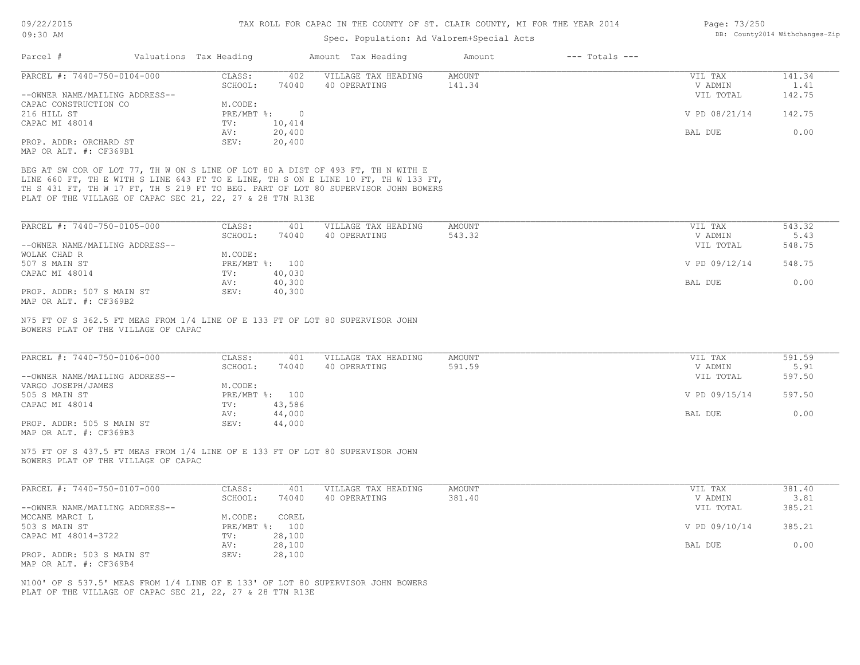## Spec. Population: Ad Valorem+Special Acts

| Page: 73/250 |                                |
|--------------|--------------------------------|
|              | DB: County2014 Withchanges-Zip |

| Parcel #                                                                        | Valuations Tax Heading |                   |                          | Amount Tax Heading                                                                 | Amount                  | $---$ Totals $---$ |                    |                |
|---------------------------------------------------------------------------------|------------------------|-------------------|--------------------------|------------------------------------------------------------------------------------|-------------------------|--------------------|--------------------|----------------|
| PARCEL #: 7440-750-0104-000                                                     |                        | CLASS:<br>SCHOOL: | 402<br>74040             | VILLAGE TAX HEADING<br>40 OPERATING                                                | <b>AMOUNT</b><br>141.34 |                    | VIL TAX<br>V ADMIN | 141.34<br>1.41 |
| --OWNER NAME/MAILING ADDRESS--                                                  |                        |                   |                          |                                                                                    |                         |                    | VIL TOTAL          | 142.75         |
| CAPAC CONSTRUCTION CO                                                           |                        | M.CODE:           |                          |                                                                                    |                         |                    |                    |                |
| 216 HILL ST                                                                     |                        | PRE/MBT %:        | $\overline{0}$           |                                                                                    |                         |                    | V PD 08/21/14      | 142.75         |
| CAPAC MI 48014                                                                  |                        | TV:               | 10,414                   |                                                                                    |                         |                    |                    |                |
|                                                                                 |                        | AV:               | 20,400                   |                                                                                    |                         |                    | BAL DUE            | 0.00           |
| PROP. ADDR: ORCHARD ST<br>MAP OR ALT. #: CF369B1                                |                        | SEV:              | 20,400                   |                                                                                    |                         |                    |                    |                |
|                                                                                 |                        |                   |                          |                                                                                    |                         |                    |                    |                |
| BEG AT SW COR OF LOT 77, TH W ON S LINE OF LOT 80 A DIST OF 493 FT, TH N WITH E |                        |                   |                          |                                                                                    |                         |                    |                    |                |
|                                                                                 |                        |                   |                          | LINE 660 FT, TH E WITH S LINE 643 FT TO E LINE, TH S ON E LINE 10 FT, TH W 133 FT, |                         |                    |                    |                |
|                                                                                 |                        |                   |                          | TH S 431 FT, TH W 17 FT, TH S 219 FT TO BEG. PART OF LOT 80 SUPERVISOR JOHN BOWERS |                         |                    |                    |                |
| PLAT OF THE VILLAGE OF CAPAC SEC 21, 22, 27 & 28 T7N R13E                       |                        |                   |                          |                                                                                    |                         |                    |                    |                |
|                                                                                 |                        |                   |                          |                                                                                    |                         |                    |                    |                |
| PARCEL #: 7440-750-0105-000                                                     |                        | CLASS:            | 401                      | VILLAGE TAX HEADING                                                                | <b>AMOUNT</b>           |                    | VIL TAX            | 543.32         |
|                                                                                 |                        | SCHOOL:           | 74040                    | 40 OPERATING                                                                       | 543.32                  |                    | V ADMIN            | 5.43           |
| --OWNER NAME/MAILING ADDRESS--                                                  |                        |                   |                          |                                                                                    |                         |                    | VIL TOTAL          | 548.75         |
| WOLAK CHAD R                                                                    |                        | M.CODE:           |                          |                                                                                    |                         |                    |                    |                |
| 507 S MAIN ST                                                                   |                        |                   | PRE/MBT %: 100           |                                                                                    |                         |                    | V PD 09/12/14      | 548.75         |
| CAPAC MI 48014                                                                  |                        | TV:<br>AV:        | 40,030<br>40,300         |                                                                                    |                         |                    | BAL DUE            | 0.00           |
| PROP. ADDR: 507 S MAIN ST                                                       |                        | SEV:              | 40,300                   |                                                                                    |                         |                    |                    |                |
| MAP OR ALT. #: CF369B2                                                          |                        |                   |                          |                                                                                    |                         |                    |                    |                |
|                                                                                 |                        |                   |                          |                                                                                    |                         |                    |                    |                |
| PARCEL #: 7440-750-0106-000                                                     |                        | CLASS:            | 401                      | VILLAGE TAX HEADING<br>40 OPERATING                                                | <b>AMOUNT</b><br>591.59 |                    | VIL TAX<br>V ADMIN | 591.59<br>5.91 |
| --OWNER NAME/MAILING ADDRESS--                                                  |                        | SCHOOL:           | 74040                    |                                                                                    |                         |                    | VIL TOTAL          | 597.50         |
| VARGO JOSEPH/JAMES                                                              |                        | M.CODE:           |                          |                                                                                    |                         |                    |                    |                |
| 505 S MAIN ST                                                                   |                        |                   | PRE/MBT %: 100           |                                                                                    |                         |                    | V PD 09/15/14      | 597.50         |
| CAPAC MI 48014                                                                  |                        | TV:               | 43,586                   |                                                                                    |                         |                    |                    |                |
|                                                                                 |                        | AV:               | 44,000                   |                                                                                    |                         |                    | BAL DUE            | 0.00           |
| PROP. ADDR: 505 S MAIN ST                                                       |                        | SEV:              | 44,000                   |                                                                                    |                         |                    |                    |                |
| MAP OR ALT. #: CF369B3                                                          |                        |                   |                          |                                                                                    |                         |                    |                    |                |
| N75 FT OF S 437.5 FT MEAS FROM 1/4 LINE OF E 133 FT OF LOT 80 SUPERVISOR JOHN   |                        |                   |                          |                                                                                    |                         |                    |                    |                |
| BOWERS PLAT OF THE VILLAGE OF CAPAC                                             |                        |                   |                          |                                                                                    |                         |                    |                    |                |
|                                                                                 |                        |                   |                          |                                                                                    |                         |                    |                    |                |
| PARCEL #: 7440-750-0107-000                                                     |                        | CLASS:            | 401                      | VILLAGE TAX HEADING                                                                | <b>AMOUNT</b>           |                    | VIL TAX            | 381.40         |
|                                                                                 |                        | SCHOOL:           | 74040                    | 40 OPERATING                                                                       | 381.40                  |                    | V ADMIN            | 3.81           |
| --OWNER NAME/MAILING ADDRESS--                                                  |                        |                   |                          |                                                                                    |                         |                    | VIL TOTAL          | 385.21         |
| MCCANE MARCI L                                                                  |                        | M.CODE:           | COREL                    |                                                                                    |                         |                    |                    |                |
| 503 S MAIN ST                                                                   |                        |                   | PRE/MBT %: 100<br>28,100 |                                                                                    |                         |                    | V PD 09/10/14      | 385.21         |
| CAPAC MI 48014-3722                                                             |                        | TV:<br>AV:        | 28,100                   |                                                                                    |                         |                    | BAL DUE            | 0.00           |
| PROP. ADDR: 503 S MAIN ST                                                       |                        | SEV:              | 28,100                   |                                                                                    |                         |                    |                    |                |
| MAP OR ALT. #: CF369B4                                                          |                        |                   |                          |                                                                                    |                         |                    |                    |                |
|                                                                                 |                        |                   |                          |                                                                                    |                         |                    |                    |                |
| N100' OF S 537.5' MEAS FROM 1/4 LINE OF E 133' OF LOT 80 SUPERVISOR JOHN BOWERS |                        |                   |                          |                                                                                    |                         |                    |                    |                |
| PLAT OF THE VILLAGE OF CAPAC SEC 21, 22, 27 & 28 T7N R13E                       |                        |                   |                          |                                                                                    |                         |                    |                    |                |
|                                                                                 |                        |                   |                          |                                                                                    |                         |                    |                    |                |
|                                                                                 |                        |                   |                          |                                                                                    |                         |                    |                    |                |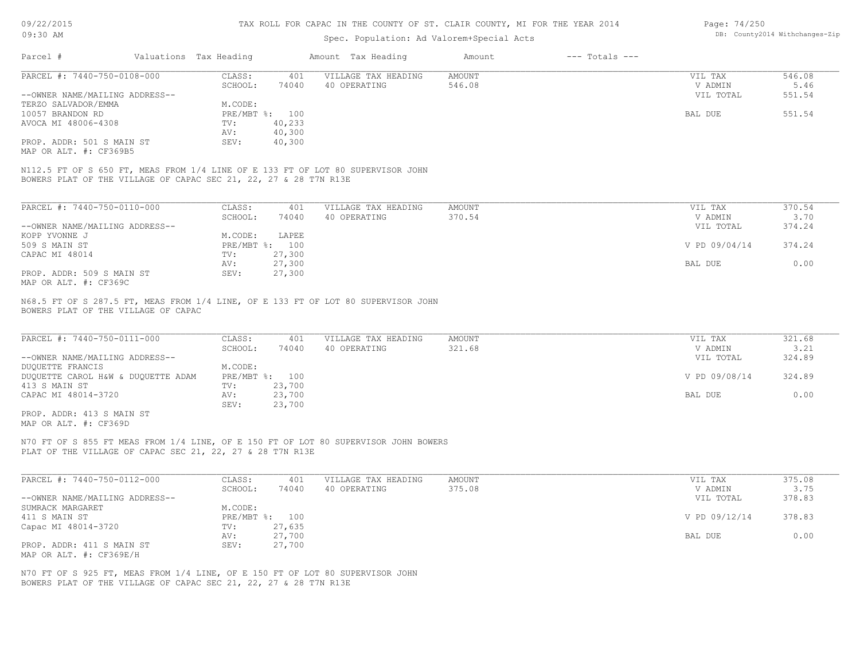| 09/22/2015<br>$09:30$ AM                                                                                                                            |                           | TAX ROLL FOR CAPAC IN THE COUNTY OF ST. CLAIR COUNTY, MI FOR THE YEAR 2014 | Page: 74/250<br>DB: County2014 Withchanges-Zip                            |                         |  |                    |                |
|-----------------------------------------------------------------------------------------------------------------------------------------------------|---------------------------|----------------------------------------------------------------------------|---------------------------------------------------------------------------|-------------------------|--|--------------------|----------------|
| Parcel #                                                                                                                                            |                           |                                                                            | Spec. Population: Ad Valorem+Special Acts<br>Amount Tax Heading<br>Amount |                         |  | $---$ Totals $---$ |                |
|                                                                                                                                                     | Valuations Tax Heading    |                                                                            |                                                                           |                         |  |                    |                |
| PARCEL #: 7440-750-0108-000                                                                                                                         | CLASS:<br>SCHOOL:         | 401<br>74040                                                               | VILLAGE TAX HEADING<br>40 OPERATING                                       | <b>AMOUNT</b><br>546.08 |  | VIL TAX<br>V ADMIN | 546.08<br>5.46 |
| --OWNER NAME/MAILING ADDRESS--<br>TERZO SALVADOR/EMMA                                                                                               | M.CODE:                   |                                                                            |                                                                           |                         |  | VIL TOTAL          | 551.54         |
| 10057 BRANDON RD                                                                                                                                    | PRE/MBT %: 100            |                                                                            |                                                                           |                         |  | BAL DUE            | 551.54         |
| AVOCA MI 48006-4308                                                                                                                                 | TV:<br>AV:                | 40,233<br>40,300                                                           |                                                                           |                         |  |                    |                |
| PROP. ADDR: 501 S MAIN ST<br>MAP OR ALT. #: CF369B5                                                                                                 | SEV:                      | 40,300                                                                     |                                                                           |                         |  |                    |                |
| N112.5 FT OF S 650 FT, MEAS FROM 1/4 LINE OF E 133 FT OF LOT 80 SUPERVISOR JOHN<br>BOWERS PLAT OF THE VILLAGE OF CAPAC SEC 21, 22, 27 & 28 T7N R13E |                           |                                                                            |                                                                           |                         |  |                    |                |
| PARCEL #: 7440-750-0110-000                                                                                                                         | CLASS:                    | 401                                                                        | VILLAGE TAX HEADING                                                       | AMOUNT                  |  | VIL TAX            | 370.54         |
|                                                                                                                                                     | SCHOOL:                   | 74040                                                                      | 40 OPERATING                                                              | 370.54                  |  | V ADMIN            | 3.70           |
| --OWNER NAME/MAILING ADDRESS--<br>KOPP YVONNE J                                                                                                     | M.CODE:                   | LAPEE                                                                      |                                                                           |                         |  | VIL TOTAL          | 374.24         |
| 509 S MAIN ST                                                                                                                                       | PRE/MBT %: 100            |                                                                            |                                                                           |                         |  | V PD 09/04/14      | 374.24         |
| CAPAC MI 48014                                                                                                                                      | TV:                       | 27,300                                                                     |                                                                           |                         |  |                    |                |
|                                                                                                                                                     | AV:                       | 27,300                                                                     |                                                                           |                         |  | BAL DUE            | 0.00           |
| PROP. ADDR: 509 S MAIN ST<br>MAP OR ALT. #: CF369C                                                                                                  | SEV:                      | 27,300                                                                     |                                                                           |                         |  |                    |                |
| PARCEL #: 7440-750-0111-000                                                                                                                         | CLASS:<br>SCHOOL:         | 401<br>74040                                                               | VILLAGE TAX HEADING<br>40 OPERATING                                       | AMOUNT<br>321.68        |  | VIL TAX<br>V ADMIN | 321.68<br>3.21 |
| --OWNER NAME/MAILING ADDRESS--                                                                                                                      |                           |                                                                            |                                                                           |                         |  | VIL TOTAL          | 324.89         |
| DUQUETTE FRANCIS<br>DUQUETTE CAROL H&W & DUQUETTE ADAM                                                                                              | M.CODE:<br>PRE/MBT %: 100 |                                                                            |                                                                           |                         |  | V PD 09/08/14      | 324.89         |
| 413 S MAIN ST                                                                                                                                       | TV:                       | 23,700                                                                     |                                                                           |                         |  |                    |                |
| CAPAC MI 48014-3720                                                                                                                                 | AV:<br>SEV:               | 23,700<br>23,700                                                           |                                                                           |                         |  | BAL DUE            | 0.00           |
| PROP. ADDR: 413 S MAIN ST<br>MAP OR ALT. #: CF369D                                                                                                  |                           |                                                                            |                                                                           |                         |  |                    |                |
| N70 FT OF S 855 FT MEAS FROM 1/4 LINE, OF E 150 FT OF LOT 80 SUPERVISOR JOHN BOWERS<br>PLAT OF THE VILLAGE OF CAPAC SEC 21, 22, 27 & 28 T7N R13E    |                           |                                                                            |                                                                           |                         |  |                    |                |
| PARCEL #: 7440-750-0112-000                                                                                                                         | CLASS:                    | 401                                                                        | VILLAGE TAX HEADING                                                       | AMOUNT                  |  | VIL TAX            | 375.08         |
|                                                                                                                                                     | SCHOOL:                   | 74040                                                                      | 40 OPERATING                                                              | 375.08                  |  | V ADMIN            | 3.75           |
| --OWNER NAME/MAILING ADDRESS--                                                                                                                      |                           |                                                                            |                                                                           |                         |  | VIL TOTAL          | 378.83         |
| SUMRACK MARGARET<br>411 S MAIN ST                                                                                                                   | M.CODE:<br>PRE/MBT %: 100 |                                                                            |                                                                           |                         |  | V PD 09/12/14      | 378.83         |
| Capac MI 48014-3720                                                                                                                                 | TV:                       | 27,635                                                                     |                                                                           |                         |  |                    |                |
|                                                                                                                                                     | AV:                       | 27,700                                                                     |                                                                           |                         |  | BAL DUE            | 0.00           |
|                                                                                                                                                     | SEV:                      | 27,700                                                                     |                                                                           |                         |  |                    |                |
| PROP. ADDR: 411 S MAIN ST<br>MAP OR ALT. #: CF369E/H                                                                                                |                           |                                                                            |                                                                           |                         |  |                    |                |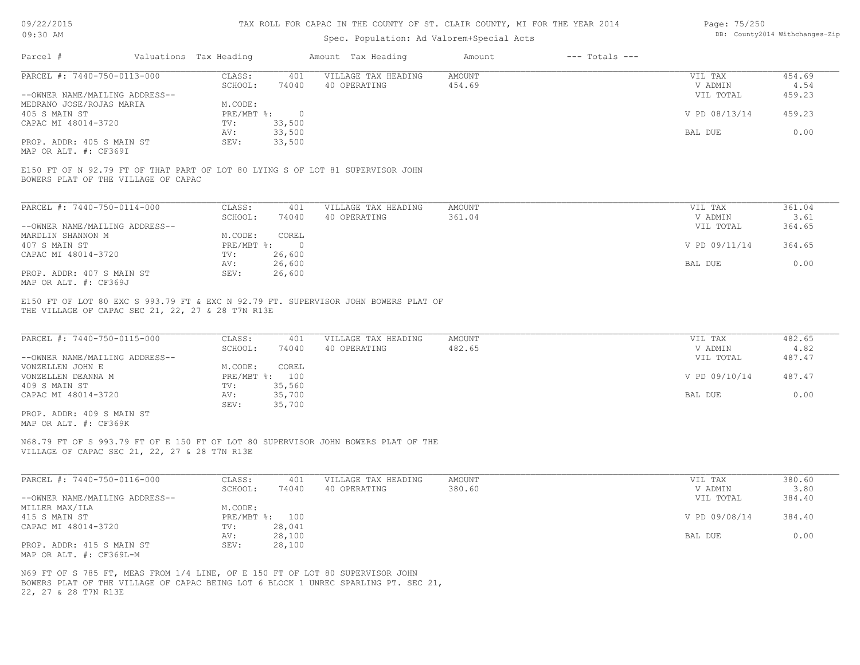| 09/22/2015 |  |
|------------|--|
| 09:30 AM   |  |

### Spec. Population: Ad Valorem+Special Acts

| Page: 75/250 |                                |
|--------------|--------------------------------|
|              | DB: County2014 Withchanges-Zip |

| Parcel #                            | Valuations Tax Heading |           | Amount Tax Heading                                                             | Amount | $---$ Totals $---$ |               |        |
|-------------------------------------|------------------------|-----------|--------------------------------------------------------------------------------|--------|--------------------|---------------|--------|
| PARCEL #: 7440-750-0113-000         | CLASS:                 | 401       | VILLAGE TAX HEADING                                                            | AMOUNT |                    | VIL TAX       | 454.69 |
|                                     | SCHOOL:                | 74040     | 40 OPERATING                                                                   | 454.69 |                    | V ADMIN       | 4.54   |
| --OWNER NAME/MAILING ADDRESS--      |                        |           |                                                                                |        |                    | VIL TOTAL     | 459.23 |
| MEDRANO JOSE/ROJAS MARIA            | M.CODE:                |           |                                                                                |        |                    |               |        |
| 405 S MAIN ST                       | PRE/MBT %:             | $\bigcap$ |                                                                                |        |                    | V PD 08/13/14 | 459.23 |
| CAPAC MI 48014-3720                 | TV:                    | 33,500    |                                                                                |        |                    |               |        |
|                                     | AV:                    | 33,500    |                                                                                |        |                    | BAL DUE       | 0.00   |
| PROP. ADDR: 405 S MAIN ST           | SEV:                   | 33,500    |                                                                                |        |                    |               |        |
| MAP OR ALT. #: CF369I               |                        |           |                                                                                |        |                    |               |        |
|                                     |                        |           |                                                                                |        |                    |               |        |
| BOWERS PLAT OF THE VILLAGE OF CAPAC |                        |           | E150 FT OF N 92.79 FT OF THAT PART OF LOT 80 LYING S OF LOT 81 SUPERVISOR JOHN |        |                    |               |        |
|                                     |                        |           |                                                                                |        |                    |               |        |
|                                     |                        |           |                                                                                |        |                    |               |        |

| PARCEL #: 7440-750-0114-000    | CLASS:     | 401      | VILLAGE TAX HEADING | AMOUNT | VIL TAX       | 361.04 |
|--------------------------------|------------|----------|---------------------|--------|---------------|--------|
|                                | SCHOOL:    | 74040    | 40 OPERATING        | 361.04 | V ADMIN       | 3.61   |
| --OWNER NAME/MAILING ADDRESS-- |            |          |                     |        | VIL TOTAL     | 364.65 |
| MARDLIN SHANNON M              | M.CODE:    | COREL    |                     |        |               |        |
| 407 S MAIN ST                  | PRE/MBT %: | $\Omega$ |                     |        | V PD 09/11/14 | 364.65 |
| CAPAC MI 48014-3720            | TV:        | 26,600   |                     |        |               |        |
|                                | AV:        | 26,600   |                     |        | BAL DUE       | 0.00   |
| PROP. ADDR: 407 S MAIN ST      | SEV:       | 26,600   |                     |        |               |        |
| MAP OR ALT. #: CF369J          |            |          |                     |        |               |        |

THE VILLAGE OF CAPAC SEC 21, 22, 27 & 28 T7N R13E E150 FT OF LOT 80 EXC S 993.79 FT & EXC N 92.79 FT. SUPERVISOR JOHN BOWERS PLAT OF

| PARCEL #: 7440-750-0115-000    | CLASS:     | 401    | VILLAGE TAX HEADING | AMOUNT | VIL TAX       | 482.65 |
|--------------------------------|------------|--------|---------------------|--------|---------------|--------|
|                                | SCHOOL:    | 74040  | 40 OPERATING        | 482.65 | V ADMIN       | 4.82   |
| --OWNER NAME/MAILING ADDRESS-- |            |        |                     |        | VIL TOTAL     | 487.47 |
| VONZELLEN JOHN E               | M.CODE:    | COREL  |                     |        |               |        |
| VONZELLEN DEANNA M             | PRE/MBT %: | 100    |                     |        | V PD 09/10/14 | 487.47 |
| 409 S MAIN ST                  | TV:        | 35,560 |                     |        |               |        |
| CAPAC MI 48014-3720            | AV:        | 35,700 |                     |        | BAL DUE       | 0.00   |
|                                | SEV:       | 35,700 |                     |        |               |        |
|                                |            |        |                     |        |               |        |

MAP OR ALT. #: CF369K PROP. ADDR: 409 S MAIN ST

VILLAGE OF CAPAC SEC 21, 22, 27 & 28 T7N R13E N68.79 FT OF S 993.79 FT OF E 150 FT OF LOT 80 SUPERVISOR JOHN BOWERS PLAT OF THE

| PARCEL #: 7440-750-0116-000    | CLASS:  | 401            | VILLAGE TAX HEADING | AMOUNT | VIL TAX       | 380.60 |
|--------------------------------|---------|----------------|---------------------|--------|---------------|--------|
|                                | SCHOOL: | 74040          | 40 OPERATING        | 380.60 | V ADMIN       | 3.80   |
| --OWNER NAME/MAILING ADDRESS-- |         |                |                     |        | VIL TOTAL     | 384.40 |
| MILLER MAX/ILA                 | M.CODE: |                |                     |        |               |        |
| 415 S MAIN ST                  |         | PRE/MBT %: 100 |                     |        | V PD 09/08/14 | 384.40 |
| CAPAC MI 48014-3720            | TV:     | 28,041         |                     |        |               |        |
|                                | AV:     | 28,100         |                     |        | BAL DUE       | 0.00   |
| PROP. ADDR: 415 S MAIN ST      | SEV:    | 28,100         |                     |        |               |        |
| MAP OR ALT. #: CF369L-M        |         |                |                     |        |               |        |

22, 27 & 28 T7N R13E BOWERS PLAT OF THE VILLAGE OF CAPAC BEING LOT 6 BLOCK 1 UNREC SPARLING PT. SEC 21, N69 FT OF S 785 FT, MEAS FROM 1/4 LINE, OF E 150 FT OF LOT 80 SUPERVISOR JOHN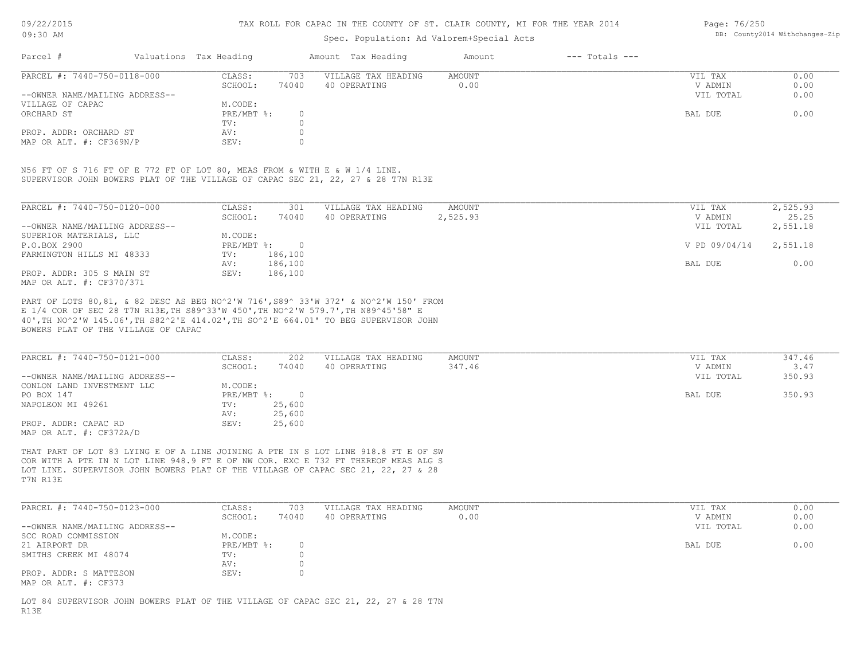### Spec. Population: Ad Valorem+Special Acts

Page: 76/250 DB: County2014 Withchanges-Zip

| Parcel #                       | Valuations Tax Heading |       | Amount Tax Heading  | Amount | $---$ Totals $---$ |           |      |
|--------------------------------|------------------------|-------|---------------------|--------|--------------------|-----------|------|
| PARCEL #: 7440-750-0118-000    | CLASS:                 | 703   | VILLAGE TAX HEADING | AMOUNT |                    | VIL TAX   | 0.00 |
|                                | SCHOOL:                | 74040 | 40 OPERATING        | 0.00   |                    | V ADMIN   | 0.00 |
| --OWNER NAME/MAILING ADDRESS-- |                        |       |                     |        |                    | VIL TOTAL | 0.00 |
| VILLAGE OF CAPAC               | M.CODE:                |       |                     |        |                    |           |      |
| ORCHARD ST                     | $PRE/MBT$ %:           |       |                     |        |                    | BAL DUE   | 0.00 |
|                                | TV:                    |       |                     |        |                    |           |      |
| PROP. ADDR: ORCHARD ST         | AV:                    |       |                     |        |                    |           |      |
| MAP OR ALT. #: CF369N/P        | SEV:                   |       |                     |        |                    |           |      |

SUPERVISOR JOHN BOWERS PLAT OF THE VILLAGE OF CAPAC SEC 21, 22, 27 & 28 T7N R13E N56 FT OF S 716 FT OF E 772 FT OF LOT 80, MEAS FROM & WITH E & W 1/4 LINE.

| PARCEL #: 7440-750-0120-000    | CLASS:     | 301     | VILLAGE TAX HEADING | AMOUNT   | 2,525.93<br>VIL TAX       |
|--------------------------------|------------|---------|---------------------|----------|---------------------------|
|                                | SCHOOL:    | 74040   | 40 OPERATING        | 2,525.93 | 25.25<br>V ADMIN          |
| --OWNER NAME/MAILING ADDRESS-- |            |         |                     |          | VIL TOTAL<br>2,551.18     |
| SUPERIOR MATERIALS, LLC        | M.CODE:    |         |                     |          |                           |
| P.O.BOX 2900                   | PRE/MBT %: |         |                     |          | 2,551.18<br>V PD 09/04/14 |
| FARMINGTON HILLS MI 48333      | TV:        | 186,100 |                     |          |                           |
|                                | AV:        | 186,100 |                     |          | 0.00<br>BAL DUE           |
| PROP. ADDR: 305 S MAIN ST      | SEV:       | 186,100 |                     |          |                           |
| MAP OR ALT. #: CF370/371       |            |         |                     |          |                           |

BOWERS PLAT OF THE VILLAGE OF CAPAC 40',TH NO^2'W 145.06',TH S82^2'E 414.02',TH SO^2'E 664.01' TO BEG SUPERVISOR JOHN E 1/4 COR OF SEC 28 T7N R13E,TH S89^33'W 450',TH NO^2'W 579.7',TH N89^45'58" E PART OF LOTS 80,81, & 82 DESC AS BEG NO^2'W 716',S89^ 33'W 372' & NO^2'W 150' FROM

| PARCEL #: 7440-750-0121-000    | CLASS:     | 202    | VILLAGE TAX HEADING | AMOUNT | VIL TAX   | 347.46 |
|--------------------------------|------------|--------|---------------------|--------|-----------|--------|
|                                | SCHOOL:    | 74040  | 40 OPERATING        | 347.46 | V ADMIN   | 3.47   |
| --OWNER NAME/MAILING ADDRESS-- |            |        |                     |        | VIL TOTAL | 350.93 |
| CONLON LAND INVESTMENT LLC     | M.CODE:    |        |                     |        |           |        |
| PO BOX 147                     | PRE/MBT %: |        |                     |        | BAL DUE   | 350.93 |
| NAPOLEON MI 49261              | TV:        | 25,600 |                     |        |           |        |
|                                | AV:        | 25,600 |                     |        |           |        |
| PROP. ADDR: CAPAC RD           | SEV:       | 25,600 |                     |        |           |        |
| MAP OR ALT. #: CF372A/D        |            |        |                     |        |           |        |

T7N R13E LOT LINE. SUPERVISOR JOHN BOWERS PLAT OF THE VILLAGE OF CAPAC SEC 21, 22, 27 & 28 COR WITH A PTE IN N LOT LINE 948.9 FT E OF NW COR. EXC E 732 FT THEREOF MEAS ALG S THAT PART OF LOT 83 LYING E OF A LINE JOINING A PTE IN S LOT LINE 918.8 FT E OF SW

| PARCEL #: 7440-750-0123-000    | CLASS:       | 703   | VILLAGE TAX HEADING | AMOUNT | VIL TAX   | 0.00 |
|--------------------------------|--------------|-------|---------------------|--------|-----------|------|
|                                | SCHOOL:      | 74040 | 40 OPERATING        | 0.00   | V ADMIN   | 0.00 |
| --OWNER NAME/MAILING ADDRESS-- |              |       |                     |        | VIL TOTAL | 0.00 |
| SCC ROAD COMMISSION            | M.CODE:      |       |                     |        |           |      |
| 21 AIRPORT DR                  | $PRE/MBT$ %: |       |                     |        | BAL DUE   | 0.00 |
| SMITHS CREEK MI 48074          | TV:          |       |                     |        |           |      |
|                                | AV:          |       |                     |        |           |      |
| PROP. ADDR: S MATTESON         | SEV:         |       |                     |        |           |      |
| MAP OR ALT. #: CF373           |              |       |                     |        |           |      |

R13E LOT 84 SUPERVISOR JOHN BOWERS PLAT OF THE VILLAGE OF CAPAC SEC 21, 22, 27 & 28 T7N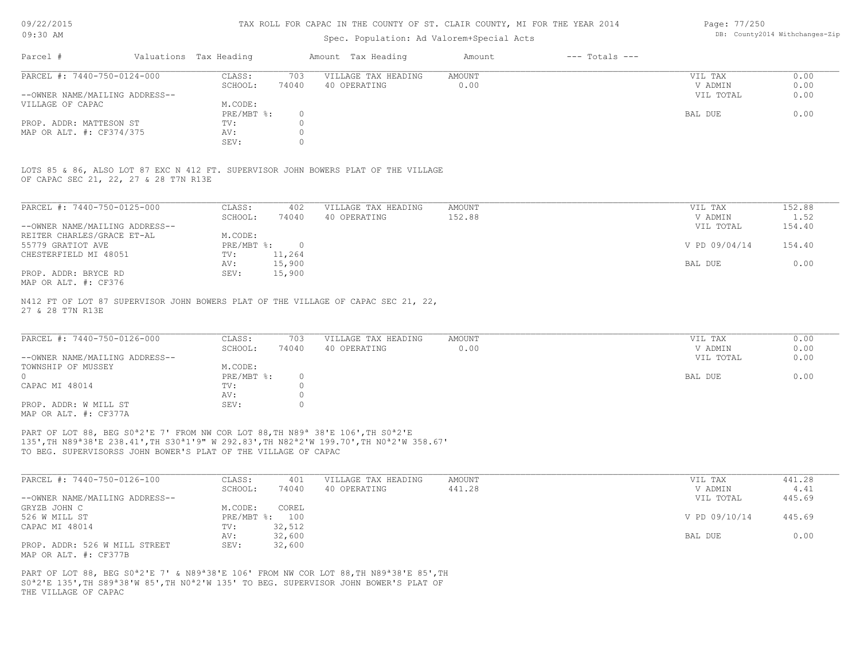#### TAX ROLL FOR CAPAC IN THE COUNTY OF ST. CLAIR COUNTY, MI FOR THE YEAR 2014

## Spec. Population: Ad Valorem+Special Acts

|                                |                        |       | ppost reparation. ha varefolling postar hour |        |                    |           |      |
|--------------------------------|------------------------|-------|----------------------------------------------|--------|--------------------|-----------|------|
| Parcel #                       | Valuations Tax Heading |       | Amount Tax Heading                           | Amount | $---$ Totals $---$ |           |      |
| PARCEL #: 7440-750-0124-000    | CLASS:                 | 703   | VILLAGE TAX HEADING                          | AMOUNT |                    | VIL TAX   | 0.00 |
|                                | SCHOOL:                | 74040 | 40 OPERATING                                 | 0.00   |                    | V ADMIN   | 0.00 |
| --OWNER NAME/MAILING ADDRESS-- |                        |       |                                              |        |                    | VIL TOTAL | 0.00 |
| VILLAGE OF CAPAC               | M.CODE:                |       |                                              |        |                    |           |      |
|                                | PRE/MBT %:             |       |                                              |        |                    | BAL DUE   | 0.00 |

|                                       |  |  |  |  |  | LOTS 85 & 86, ALSO LOT 87 EXC N 412 FT. SUPERVISOR JOHN BOWERS PLAT OF THE VILLAGE |  |  |  |
|---------------------------------------|--|--|--|--|--|------------------------------------------------------------------------------------|--|--|--|
| OF CAPAC SEC 21, 22, 27 & 28 T7N R13E |  |  |  |  |  |                                                                                    |  |  |  |

SEV: 0 MAP OR ALT. #: CF374/375 AV: 0 PROP. ADDR: MATTESON ST TV: 0

| PARCEL #: 7440-750-0125-000    | CLASS:     | 402    | VILLAGE TAX HEADING | AMOUNT | VIL TAX       | 152.88 |
|--------------------------------|------------|--------|---------------------|--------|---------------|--------|
|                                | SCHOOL:    | 74040  | 40 OPERATING        | 152.88 | V ADMIN       | 1.52   |
| --OWNER NAME/MAILING ADDRESS-- |            |        |                     |        | VIL TOTAL     | 154.40 |
| REITER CHARLES/GRACE ET-AL     | M.CODE:    |        |                     |        |               |        |
| 55779 GRATIOT AVE              | PRE/MBT %: |        |                     |        | V PD 09/04/14 | 154.40 |
| CHESTERFIELD MI 48051          | TV:        | 11,264 |                     |        |               |        |
|                                | AV:        | 15,900 |                     |        | BAL DUE       | 0.00   |
| PROP. ADDR: BRYCE RD           | SEV:       | 15,900 |                     |        |               |        |
|                                |            |        |                     |        |               |        |

MAP OR ALT. #: CF376

27 & 28 T7N R13E N412 FT OF LOT 87 SUPERVISOR JOHN BOWERS PLAT OF THE VILLAGE OF CAPAC SEC 21, 22,

| PARCEL #: 7440-750-0126-000    | CLASS:       | 703   | VILLAGE TAX HEADING | AMOUNT | VIL TAX   | 0.00 |
|--------------------------------|--------------|-------|---------------------|--------|-----------|------|
|                                | SCHOOL:      | 74040 | 40 OPERATING        | 0.00   | V ADMIN   | 0.00 |
| --OWNER NAME/MAILING ADDRESS-- |              |       |                     |        | VIL TOTAL | 0.00 |
| TOWNSHIP OF MUSSEY             | M.CODE:      |       |                     |        |           |      |
|                                | $PRE/MBT$ %: |       |                     |        | BAL DUE   | 0.00 |
| CAPAC MI 48014                 | TV:          |       |                     |        |           |      |
|                                | AV:          |       |                     |        |           |      |
| PROP. ADDR: W MILL ST          | SEV:         |       |                     |        |           |      |
| MAP OR ALT. #: CF377A          |              |       |                     |        |           |      |

TO BEG. SUPERVISORSS JOHN BOWER'S PLAT OF THE VILLAGE OF CAPAC 135',TH N89ª38'E 238.41',TH S30ª1'9" W 292.83',TH N82ª2'W 199.70',TH N0ª2'W 358.67' PART OF LOT 88, BEG S0<sup>ª2'E</sup> 7' FROM NW COR LOT 88, TH N89<sup>ª</sup> 38'E 106', TH S0<sup>ª2'E</sup>

| PARCEL #: 7440-750-0126-100    | CLASS:  | 401            | VILLAGE TAX HEADING | AMOUNT | VIL TAX       | 441.28 |
|--------------------------------|---------|----------------|---------------------|--------|---------------|--------|
|                                | SCHOOL: | 74040          | 40 OPERATING        | 441.28 | V ADMIN       | 4.41   |
| --OWNER NAME/MAILING ADDRESS-- |         |                |                     |        | VIL TOTAL     | 445.69 |
| GRYZB JOHN C                   | M.CODE: | COREL          |                     |        |               |        |
| 526 W MILL ST                  |         | PRE/MBT %: 100 |                     |        | V PD 09/10/14 | 445.69 |
| CAPAC MI 48014                 | TV:     | 32,512         |                     |        |               |        |
|                                | AV:     | 32,600         |                     |        | BAL DUE       | 0.00   |
| PROP. ADDR: 526 W MILL STREET  | SEV:    | 32,600         |                     |        |               |        |
| MAP OR ALT. #: CF377B          |         |                |                     |        |               |        |

THE VILLAGE OF CAPAC S0ª2'E 135',TH S89ª38'W 85',TH N0ª2'W 135' TO BEG. SUPERVISOR JOHN BOWER'S PLAT OF PART OF LOT 88, BEG S0<sup>a</sup>2'E 7' & N89<sup>a</sup>38'E 106' FROM NW COR LOT 88, TH N89<sup>a</sup>38'E 85', TH Page: 77/250 DB: County2014 Withchanges-Zip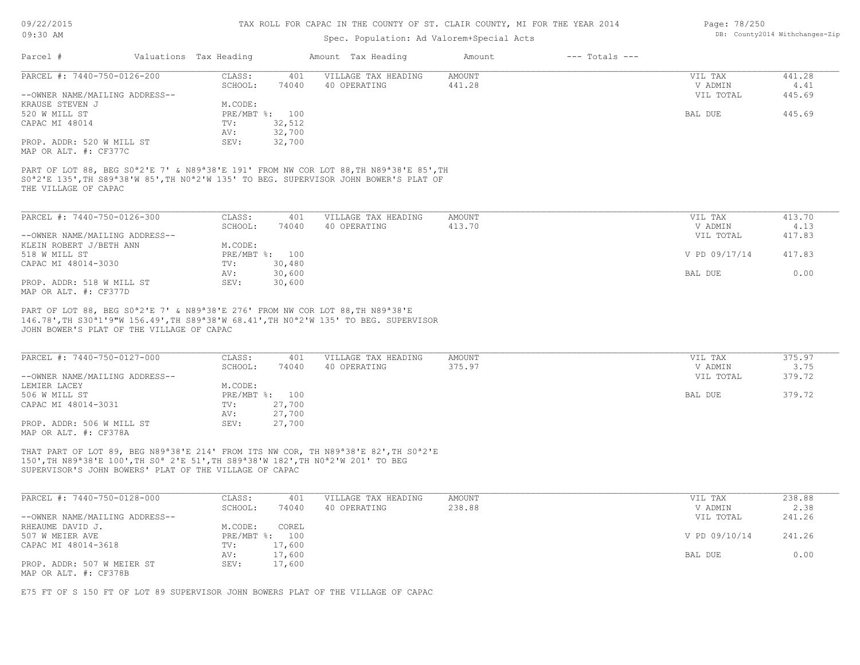### TAX ROLL FOR CAPAC IN THE COUNTY OF ST. CLAIR COUNTY, MI FOR THE YEAR 2014

# Spec. Population: Ad Valorem+Special Acts

| Page: 78/250 |                                |
|--------------|--------------------------------|
|              | DB: County2014 Withchanges-Zip |

| Parcel #                                                                                                                                                                                                                                                                                                                  | Valuations Tax Heading |              | Amount Tax Heading                  | Amount           | $---$ Totals $---$ |                                 |                          |
|---------------------------------------------------------------------------------------------------------------------------------------------------------------------------------------------------------------------------------------------------------------------------------------------------------------------------|------------------------|--------------|-------------------------------------|------------------|--------------------|---------------------------------|--------------------------|
| PARCEL #: 7440-750-0126-200                                                                                                                                                                                                                                                                                               | CLASS:                 | 401          | VILLAGE TAX HEADING                 | AMOUNT           |                    | VIL TAX                         | 441.28                   |
| --OWNER NAME/MAILING ADDRESS--                                                                                                                                                                                                                                                                                            | SCHOOL:                | 74040        | 40 OPERATING                        | 441.28           |                    | V ADMIN<br>VIL TOTAL            | 4.41<br>445.69           |
| KRAUSE STEVEN J                                                                                                                                                                                                                                                                                                           | M.CODE:                |              |                                     |                  |                    |                                 |                          |
| 520 W MILL ST                                                                                                                                                                                                                                                                                                             | PRE/MBT %: 100         |              |                                     |                  |                    | BAL DUE                         | 445.69                   |
| CAPAC MI 48014                                                                                                                                                                                                                                                                                                            | TV:                    | 32,512       |                                     |                  |                    |                                 |                          |
|                                                                                                                                                                                                                                                                                                                           | AV:                    | 32,700       |                                     |                  |                    |                                 |                          |
| PROP. ADDR: 520 W MILL ST                                                                                                                                                                                                                                                                                                 | SEV:                   | 32,700       |                                     |                  |                    |                                 |                          |
| MAP OR ALT. #: CF377C                                                                                                                                                                                                                                                                                                     |                        |              |                                     |                  |                    |                                 |                          |
| PART OF LOT 88, BEG S0 <sup>a</sup> 2'E 7' & N89 <sup>a</sup> 38'E 191' FROM NW COR LOT 88, TH N89 <sup>a</sup> 38'E 85', TH<br>S0 <sup>a</sup> 2'E 135', TH S89 <sup>a</sup> 38'W 85', TH N0 <sup>a</sup> 2'W 135' TO BEG. SUPERVISOR JOHN BOWER'S PLAT OF<br>THE VILLAGE OF CAPAC                                       |                        |              |                                     |                  |                    |                                 |                          |
|                                                                                                                                                                                                                                                                                                                           |                        |              |                                     |                  |                    |                                 |                          |
| PARCEL #: 7440-750-0126-300                                                                                                                                                                                                                                                                                               | CLASS:                 | 401          | VILLAGE TAX HEADING                 | <b>AMOUNT</b>    |                    | VIL TAX                         | 413.70                   |
| --OWNER NAME/MAILING ADDRESS--                                                                                                                                                                                                                                                                                            | SCHOOL:                | 74040        | 40 OPERATING                        | 413.70           |                    | V ADMIN<br>VIL TOTAL            | 4.13<br>417.83           |
| KLEIN ROBERT J/BETH ANN                                                                                                                                                                                                                                                                                                   | M.CODE:                |              |                                     |                  |                    |                                 |                          |
| 518 W MILL ST                                                                                                                                                                                                                                                                                                             | PRE/MBT %: 100         |              |                                     |                  |                    | V PD 09/17/14                   | 417.83                   |
| CAPAC MI 48014-3030                                                                                                                                                                                                                                                                                                       | TV:                    | 30,480       |                                     |                  |                    |                                 |                          |
|                                                                                                                                                                                                                                                                                                                           | AV:                    | 30,600       |                                     |                  |                    | BAL DUE                         | 0.00                     |
| PROP. ADDR: 518 W MILL ST<br>MAP OR ALT. #: CF377D                                                                                                                                                                                                                                                                        | SEV:                   | 30,600       |                                     |                  |                    |                                 |                          |
| PART OF LOT 88, BEG S0 <sup>a</sup> 2'E 7' & N89 <sup>a</sup> 38'E 276' FROM NW COR LOT 88, TH N89 <sup>a</sup> 38'E<br>146.78', TH S30 <sup>a</sup> 1'9"W 156.49', TH S89 <sup>a</sup> 38'W 68.41', TH NO <sup>a</sup> 2'W 135' TO BEG. SUPERVISOR<br>JOHN BOWER'S PLAT OF THE VILLAGE OF CAPAC                          |                        |              |                                     |                  |                    |                                 |                          |
| PARCEL #: 7440-750-0127-000<br>--OWNER NAME/MAILING ADDRESS--                                                                                                                                                                                                                                                             | CLASS:<br>SCHOOL:      | 401<br>74040 | VILLAGE TAX HEADING<br>40 OPERATING | AMOUNT<br>375.97 |                    | VIL TAX<br>V ADMIN<br>VIL TOTAL | 375.97<br>3.75<br>379.72 |
| LEMIER LACEY                                                                                                                                                                                                                                                                                                              | M.CODE:                |              |                                     |                  |                    |                                 |                          |
| 506 W MILL ST                                                                                                                                                                                                                                                                                                             | PRE/MBT %: 100         |              |                                     |                  |                    | BAL DUE                         | 379.72                   |
| CAPAC MI 48014-3031                                                                                                                                                                                                                                                                                                       | TV:                    | 27,700       |                                     |                  |                    |                                 |                          |
|                                                                                                                                                                                                                                                                                                                           | AV:                    | 27,700       |                                     |                  |                    |                                 |                          |
| PROP. ADDR: 506 W MILL ST<br>MAP OR ALT. #: CF378A                                                                                                                                                                                                                                                                        | SEV:                   | 27,700       |                                     |                  |                    |                                 |                          |
| THAT PART OF LOT 89, BEG N89 <sup>a</sup> 38'E 214' FROM ITS NW COR, TH N89 <sup>a</sup> 38'E 82', TH S0 <sup>a</sup> 2'E<br>150', TH N89 <sup>a</sup> 38'E 100', TH S0 <sup>a</sup> 2'E 51', TH S89 <sup>a</sup> 38'W 182', TH N0 <sup>a</sup> 2'W 201' TO BEG<br>SUPERVISOR'S JOHN BOWERS' PLAT OF THE VILLAGE OF CAPAC |                        |              |                                     |                  |                    |                                 |                          |
| PARCEL #: 7440-750-0128-000                                                                                                                                                                                                                                                                                               | CLASS:                 | 401          | VILLAGE TAX HEADING                 | AMOUNT           |                    | VIL TAX                         | 238.88                   |
|                                                                                                                                                                                                                                                                                                                           | SCHOOL:                | 74040        | 40 OPERATING                        | 238.88           |                    | V ADMIN                         | 2.38                     |
| --OWNER NAME/MAILING ADDRESS--                                                                                                                                                                                                                                                                                            |                        |              |                                     |                  |                    | VIL TOTAL                       | 241.26                   |
| RHEAUME DAVID J.                                                                                                                                                                                                                                                                                                          | M.CODE: COREL          |              |                                     |                  |                    |                                 |                          |
| 507 W MEIER AVE                                                                                                                                                                                                                                                                                                           | PRE/MBT %: 100         |              |                                     |                  |                    | V PD 09/10/14                   | 241.26                   |
| CAPAC MI 48014-3618                                                                                                                                                                                                                                                                                                       | TV:                    | 17,600       |                                     |                  |                    |                                 |                          |
|                                                                                                                                                                                                                                                                                                                           | AV:                    | 17,600       |                                     |                  |                    | BAL DUE                         | 0.00                     |
| PROP. ADDR: 507 W MEIER ST                                                                                                                                                                                                                                                                                                | SEV:                   | 17,600       |                                     |                  |                    |                                 |                          |
| MAP OR ALT. #: CF378B                                                                                                                                                                                                                                                                                                     |                        |              |                                     |                  |                    |                                 |                          |
| E75 FT OF S 150 FT OF LOT 89 SUPERVISOR JOHN BOWERS PLAT OF THE VILLAGE OF CAPAC                                                                                                                                                                                                                                          |                        |              |                                     |                  |                    |                                 |                          |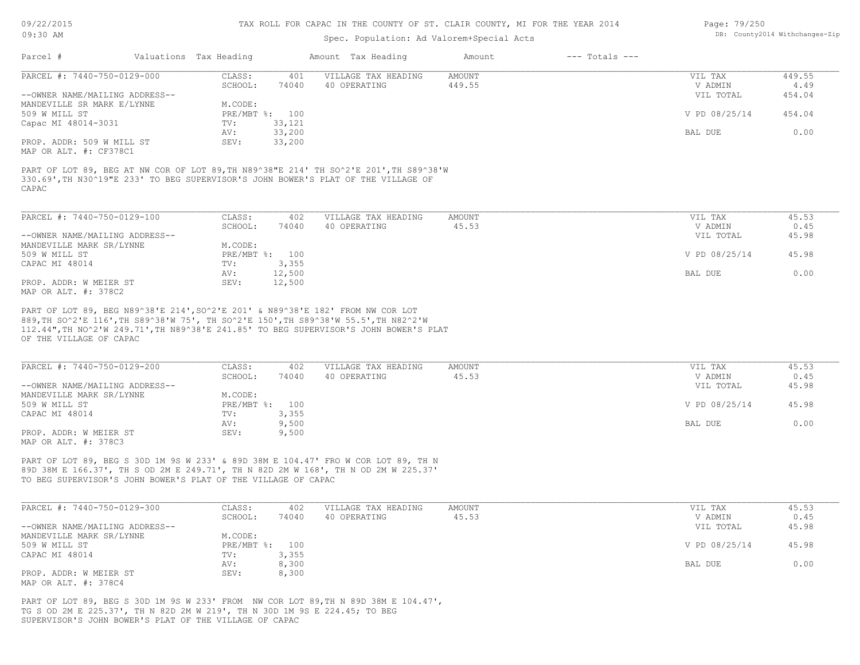### Spec. Population: Ad Valorem+Special Acts

| Page: 79/250 |                                |
|--------------|--------------------------------|
|              | DB: County2014 Withchanges-Zip |

| Parcel #                       | Valuations Tax Heading |                | Amount Tax Heading  | Amount | $---$ Totals $---$ |               |        |
|--------------------------------|------------------------|----------------|---------------------|--------|--------------------|---------------|--------|
| PARCEL #: 7440-750-0129-000    | CLASS:                 | 401            | VILLAGE TAX HEADING | AMOUNT |                    | VIL TAX       | 449.55 |
|                                | SCHOOL:                | 74040          | 40 OPERATING        | 449.55 |                    | V ADMIN       | 4.49   |
| --OWNER NAME/MAILING ADDRESS-- |                        |                |                     |        |                    | VIL TOTAL     | 454.04 |
| MANDEVILLE SR MARK E/LYNNE     | M.CODE:                |                |                     |        |                    |               |        |
| 509 W MILL ST                  |                        | PRE/MBT %: 100 |                     |        |                    | V PD 08/25/14 | 454.04 |
| Capac MI 48014-3031            | TV:                    | 33,121         |                     |        |                    |               |        |
|                                | AV:                    | 33,200         |                     |        |                    | BAL DUE       | 0.00   |
| PROP. ADDR: 509 W MILL ST      | SEV:                   | 33,200         |                     |        |                    |               |        |
| MAP OR ALT. #: CF378C1         |                        |                |                     |        |                    |               |        |
|                                |                        |                |                     |        |                    |               |        |

CAPAC 330.69',TH N30^19"E 233' TO BEG SUPERVISOR'S JOHN BOWER'S PLAT OF THE VILLAGE OF PART OF LOT 89, BEG AT NW COR OF LOT 89,TH N89^38"E 214' TH SO^2'E 201',TH S89^38'W

| PARCEL #: 7440-750-0129-100    | CLASS:     | 402    | VILLAGE TAX HEADING | AMOUNT | VIL TAX       | 45.53 |
|--------------------------------|------------|--------|---------------------|--------|---------------|-------|
|                                | SCHOOL:    | 74040  | 40 OPERATING        | 45.53  | V ADMIN       | 0.45  |
| --OWNER NAME/MAILING ADDRESS-- |            |        |                     |        | VIL TOTAL     | 45.98 |
| MANDEVILLE MARK SR/LYNNE       | M.CODE:    |        |                     |        |               |       |
| 509 W MILL ST                  | PRE/MBT %: | 100    |                     |        | V PD 08/25/14 | 45.98 |
| CAPAC MI 48014                 | TV:        | 3,355  |                     |        |               |       |
|                                | AV:        | 12,500 |                     |        | BAL DUE       | 0.00  |
| PROP. ADDR: W MEIER ST         | SEV:       | 12,500 |                     |        |               |       |
| MAP OR ALT. #: 378C2           |            |        |                     |        |               |       |

OF THE VILLAGE OF CAPAC 112.44",TH NO^2'W 249.71',TH N89^38'E 241.85' TO BEG SUPERVISOR'S JOHN BOWER'S PLAT 889,TH SO^2'E 116',TH S89^38'W 75', TH SO^2'E 150',TH S89^38'W 55.5',TH N82^2'W PART OF LOT 89, BEG N89^38'E 214',SO^2'E 201' & N89^38'E 182' FROM NW COR LOT

| PARCEL #: 7440-750-0129-200    | CLASS:     | 402   | VILLAGE TAX HEADING | AMOUNT | VIL TAX       | 45.53 |
|--------------------------------|------------|-------|---------------------|--------|---------------|-------|
|                                | SCHOOL:    | 74040 | 40 OPERATING        | 45.53  | V ADMIN       | 0.45  |
| --OWNER NAME/MAILING ADDRESS-- |            |       |                     |        | VIL TOTAL     | 45.98 |
| MANDEVILLE MARK SR/LYNNE       | M.CODE:    |       |                     |        |               |       |
| 509 W MILL ST                  | PRE/MBT %: | 100   |                     |        | V PD 08/25/14 | 45.98 |
| CAPAC MI 48014                 | TV:        | 3,355 |                     |        |               |       |
|                                | AV:        | 9,500 |                     |        | BAL DUE       | 0.00  |
| PROP. ADDR: W MEIER ST         | SEV:       | 9,500 |                     |        |               |       |
| MAP OR ALT. #: 378C3           |            |       |                     |        |               |       |

TO BEG SUPERVISOR'S JOHN BOWER'S PLAT OF THE VILLAGE OF CAPAC 89D 38M E 166.37', TH S OD 2M E 249.71', TH N 82D 2M W 168', TH N OD 2M W 225.37' PART OF LOT 89, BEG S 30D 1M 9S W 233' & 89D 38M E 104.47' FRO W COR LOT 89, TH N

| PARCEL #: 7440-750-0129-300    | CLASS:     | 402   | VILLAGE TAX HEADING | AMOUNT | VIL TAX       | 45.53 |
|--------------------------------|------------|-------|---------------------|--------|---------------|-------|
|                                | SCHOOL:    | 74040 | 40 OPERATING        | 45.53  | V ADMIN       | 0.45  |
| --OWNER NAME/MAILING ADDRESS-- |            |       |                     |        | VIL TOTAL     | 45.98 |
| MANDEVILLE MARK SR/LYNNE       | M.CODE:    |       |                     |        |               |       |
| 509 W MILL ST                  | PRE/MBT %: | 100   |                     |        | V PD 08/25/14 | 45.98 |
| CAPAC MI 48014                 | TV:        | 3,355 |                     |        |               |       |
|                                | AV:        | 8,300 |                     |        | BAL DUE       | 0.00  |
| PROP. ADDR: W MEIER ST         | SEV:       | 8,300 |                     |        |               |       |
| MAP OR ALT. #: 378C4           |            |       |                     |        |               |       |

SUPERVISOR'S JOHN BOWER'S PLAT OF THE VILLAGE OF CAPAC TG S OD 2M E 225.37', TH N 82D 2M W 219', TH N 30D 1M 9S E 224.45; TO BEG PART OF LOT 89, BEG S 30D 1M 9S W 233' FROM NW COR LOT 89,TH N 89D 38M E 104.47',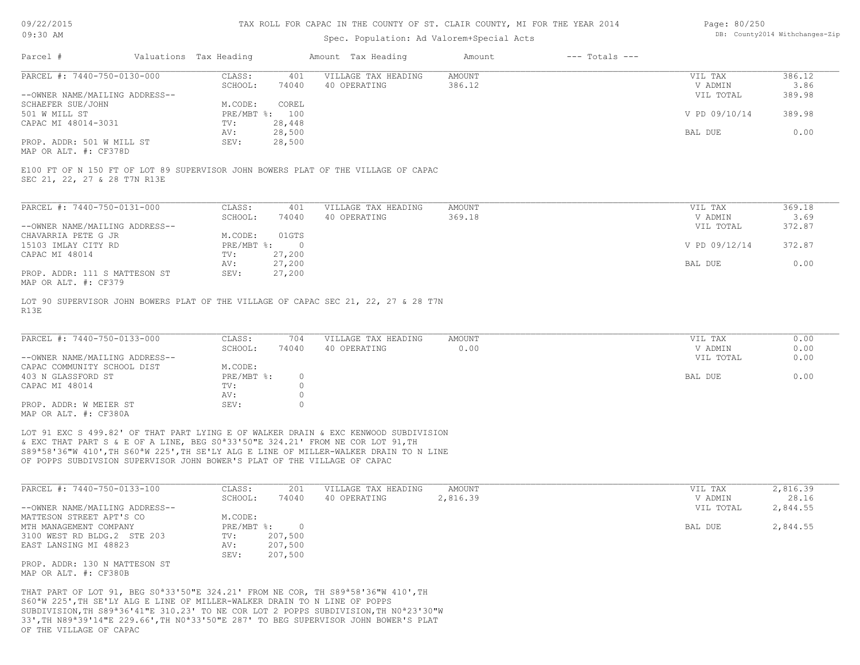#### TAX ROLL FOR CAPAC IN THE COUNTY OF ST. CLAIR COUNTY, MI FOR THE YEAR 2014

### Spec. Population: Ad Valorem+Special Acts

| Page: 80/250 |                                |
|--------------|--------------------------------|
|              | DB: County2014 Withchanges-Zip |

| Parcel #                       |        | Valuations Tax Heading |                     | Amount Tax Heading | Amount | $---$ Totals $---$ |               |        |
|--------------------------------|--------|------------------------|---------------------|--------------------|--------|--------------------|---------------|--------|
| PARCEL #: 7440-750-0130-000    | CLASS: | 401                    | VILLAGE TAX HEADING | AMOUNT             |        | VIL TAX            | 386.12        |        |
|                                |        | SCHOOL:                | 74040               | 40 OPERATING       | 386.12 |                    | V ADMIN       | 3.86   |
| --OWNER NAME/MAILING ADDRESS-- |        |                        |                     |                    |        |                    | VIL TOTAL     | 389.98 |
| SCHAEFER SUE/JOHN              |        | M.CODE:                | COREL               |                    |        |                    |               |        |
| 501 W MILL ST                  |        | PRE/MBT %: 100         |                     |                    |        |                    | V PD 09/10/14 | 389.98 |
| CAPAC MI 48014-3031            |        | TV:                    | 28,448              |                    |        |                    |               |        |
|                                |        | AV:                    | 28,500              |                    |        |                    | BAL DUE       | 0.00   |
| PROP. ADDR: 501 W MILL ST      |        | SEV:                   | 28,500              |                    |        |                    |               |        |
|                                |        |                        |                     |                    |        |                    |               |        |

MAP OR ALT. #: CF378D

SEC 21, 22, 27 & 28 T7N R13E E100 FT OF N 150 FT OF LOT 89 SUPERVISOR JOHN BOWERS PLAT OF THE VILLAGE OF CAPAC

| PARCEL #: 7440-750-0131-000    | CLASS:     | 401      | VILLAGE TAX HEADING | AMOUNT | VIL TAX       | 369.18 |
|--------------------------------|------------|----------|---------------------|--------|---------------|--------|
|                                | SCHOOL:    | 74040    | 40 OPERATING        | 369.18 | V ADMIN       | 3.69   |
| --OWNER NAME/MAILING ADDRESS-- |            |          |                     |        | VIL TOTAL     | 372.87 |
| CHAVARRIA PETE G JR            | M.CODE:    | 01GTS    |                     |        |               |        |
| 15103 IMLAY CITY RD            | PRE/MBT %: | $\Omega$ |                     |        | V PD 09/12/14 | 372.87 |
| CAPAC MI 48014                 | TV:        | 27,200   |                     |        |               |        |
|                                | AV:        | 27,200   |                     |        | BAL DUE       | 0.00   |
| PROP. ADDR: 111 S MATTESON ST  | SEV:       | 27,200   |                     |        |               |        |
| MAP OR ALT. #: CF379           |            |          |                     |        |               |        |

R13E LOT 90 SUPERVISOR JOHN BOWERS PLAT OF THE VILLAGE OF CAPAC SEC 21, 22, 27 & 28 T7N

| PARCEL #: 7440-750-0133-000    | CLASS:     | 704   | VILLAGE TAX HEADING | AMOUNT | VIL TAX   | 0.00 |
|--------------------------------|------------|-------|---------------------|--------|-----------|------|
|                                | SCHOOL:    | 74040 | 40 OPERATING        | 0.00   | V ADMIN   | 0.00 |
| --OWNER NAME/MAILING ADDRESS-- |            |       |                     |        | VIL TOTAL | 0.00 |
| CAPAC COMMUNITY SCHOOL DIST    | M.CODE:    |       |                     |        |           |      |
| 403 N GLASSFORD ST             | PRE/MBT %: |       |                     |        | BAL DUE   | 0.00 |
| CAPAC MI 48014                 | TV:        |       |                     |        |           |      |
|                                | AV:        |       |                     |        |           |      |
| PROP. ADDR: W MEIER ST         | SEV:       |       |                     |        |           |      |
| MAP OR ALT. #: CF380A          |            |       |                     |        |           |      |

OF POPPS SUBDIVSION SUPERVISOR JOHN BOWER'S PLAT OF THE VILLAGE OF CAPAC S89ª58'36"W 410',TH S60ªW 225',TH SE'LY ALG E LINE OF MILLER-WALKER DRAIN TO N LINE & EXC THAT PART S & E OF A LINE, BEG S0ª33'50"E 324.21' FROM NE COR LOT 91,TH LOT 91 EXC S 499.82' OF THAT PART LYING E OF WALKER DRAIN & EXC KENWOOD SUBDIVISION

| PARCEL #: 7440-750-0133-100    | CLASS:       | 201     | VILLAGE TAX HEADING | AMOUNT   | VIL TAX   | 2,816.39 |
|--------------------------------|--------------|---------|---------------------|----------|-----------|----------|
|                                | SCHOOL:      | 74040   | 40 OPERATING        | 2,816.39 | V ADMIN   | 28.16    |
| --OWNER NAME/MAILING ADDRESS-- |              |         |                     |          | VIL TOTAL | 2,844.55 |
| MATTESON STREET APT'S CO       | M.CODE:      |         |                     |          |           |          |
| MTH MANAGEMENT COMPANY         | $PRE/MBT$ %: |         |                     |          | BAL DUE   | 2,844.55 |
| 3100 WEST RD BLDG.2 STE 203    | TV:          | 207,500 |                     |          |           |          |
| EAST LANSING MI 48823          | AV:          | 207,500 |                     |          |           |          |
|                                | SEV:         | 207,500 |                     |          |           |          |
| PROP. ADDR: 130 N MATTESON ST  |              |         |                     |          |           |          |

MAP OR ALT. #: CF380B

OF THE VILLAGE OF CAPAC 33',TH N89ª39'14"E 229.66',TH N0ª33'50"E 287' TO BEG SUPERVISOR JOHN BOWER'S PLAT SUBDIVISION,TH S89ª36'41"E 310.23' TO NE COR LOT 2 POPPS SUBDIVISION,TH N0ª23'30"W S60ªW 225',TH SE'LY ALG E LINE OF MILLER-WALKER DRAIN TO N LINE OF POPPS THAT PART OF LOT 91, BEG S0ª33'50"E 324.21' FROM NE COR, TH S89ª58'36"W 410',TH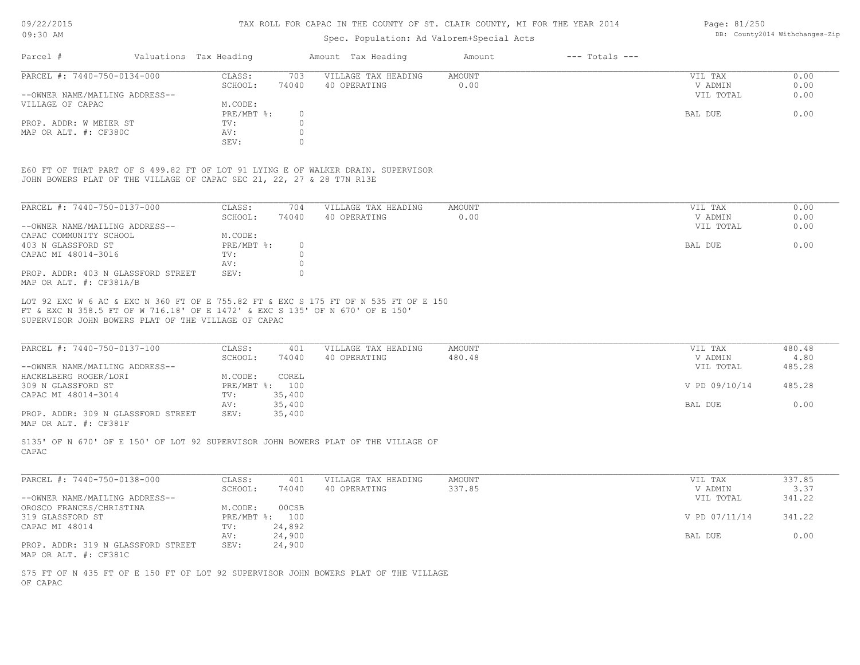#### TAX ROLL FOR CAPAC IN THE COUNTY OF ST. CLAIR COUNTY, MI FOR THE YEAR 2014

### Spec. Population: Ad Valorem+Special Acts

| Parcel #                       | Valuations Tax Heading |       | Amount Tax Heading  | Amount | $---$ Totals $---$ |           |      |
|--------------------------------|------------------------|-------|---------------------|--------|--------------------|-----------|------|
| PARCEL #: 7440-750-0134-000    | CLASS:                 | 703   | VILLAGE TAX HEADING | AMOUNT |                    | VIL TAX   | 0.00 |
|                                | SCHOOL:                | 74040 | 40 OPERATING        | 0.00   |                    | V ADMIN   | 0.00 |
| --OWNER NAME/MAILING ADDRESS-- |                        |       |                     |        |                    | VIL TOTAL | 0.00 |
| VILLAGE OF CAPAC               | M.CODE:                |       |                     |        |                    |           |      |
|                                | PRE/MBT %:             |       |                     |        |                    | BAL DUE   | 0.00 |
| PROP. ADDR: W MEIER ST         | TV:                    |       |                     |        |                    |           |      |
| MAP OR ALT. #: CF380C          | AV:                    |       |                     |        |                    |           |      |
|                                | SEV:                   |       |                     |        |                    |           |      |

JOHN BOWERS PLAT OF THE VILLAGE OF CAPAC SEC 21, 22, 27 & 28 T7N R13E E60 FT OF THAT PART OF S 499.82 FT OF LOT 91 LYING E OF WALKER DRAIN. SUPERVISOR

| PARCEL #: 7440-750-0137-000                                   | CLASS:     | 704      | VILLAGE TAX HEADING | AMOUNT | 0.00<br>VIL TAX   |
|---------------------------------------------------------------|------------|----------|---------------------|--------|-------------------|
|                                                               | SCHOOL:    | 74040    | 40 OPERATING        | 0.00   | 0.00<br>V ADMIN   |
| --OWNER NAME/MAILING ADDRESS--                                |            |          |                     |        | 0.00<br>VIL TOTAL |
| CAPAC COMMUNITY SCHOOL                                        | M.CODE:    |          |                     |        |                   |
| 403 N GLASSFORD ST                                            | PRE/MBT %: | $\Omega$ |                     |        | 0.00<br>BAL DUE   |
| CAPAC MI 48014-3016                                           | TV:        |          |                     |        |                   |
|                                                               | AV:        |          |                     |        |                   |
| PROP. ADDR: 403 N GLASSFORD STREET<br>MAP OR ALT. #: CF381A/B | SEV:       |          |                     |        |                   |

SUPERVISOR JOHN BOWERS PLAT OF THE VILLAGE OF CAPAC FT & EXC N 358.5 FT OF W 716.18' OF E 1472' & EXC S 135' OF N 670' OF E 150' LOT 92 EXC W 6 AC & EXC N 360 FT OF E 755.82 FT & EXC S 175 FT OF N 535 FT OF E 150

| PARCEL #: 7440-750-0137-100        | CLASS:  | 401            | VILLAGE TAX HEADING | AMOUNT | VIL TAX       | 480.48 |
|------------------------------------|---------|----------------|---------------------|--------|---------------|--------|
|                                    | SCHOOL: | 74040          | 40 OPERATING        | 480.48 | V ADMIN       | 4.80   |
| --OWNER NAME/MAILING ADDRESS--     |         |                |                     |        | VIL TOTAL     | 485.28 |
| HACKELBERG ROGER/LORI              | M.CODE: | COREL          |                     |        |               |        |
| 309 N GLASSFORD ST                 |         | PRE/MBT %: 100 |                     |        | V PD 09/10/14 | 485.28 |
| CAPAC MI 48014-3014                | TV:     | 35,400         |                     |        |               |        |
|                                    | AV:     | 35,400         |                     |        | BAL DUE       | 0.00   |
| PROP. ADDR: 309 N GLASSFORD STREET | SEV:    | 35,400         |                     |        |               |        |
| MAP OR ALT. #: CF381F              |         |                |                     |        |               |        |

CAPAC S135' OF N 670' OF E 150' OF LOT 92 SUPERVISOR JOHN BOWERS PLAT OF THE VILLAGE OF

| PARCEL #: 7440-750-0138-000        | CLASS:     | 401    | VILLAGE TAX HEADING | AMOUNT | VIL TAX       | 337.85 |
|------------------------------------|------------|--------|---------------------|--------|---------------|--------|
|                                    | SCHOOL:    | 74040  | 40 OPERATING        | 337.85 | V ADMIN       | 3.37   |
| --OWNER NAME/MAILING ADDRESS--     |            |        |                     |        | VIL TOTAL     | 341.22 |
| OROSCO FRANCES/CHRISTINA           | M.CODE:    | 00CSB  |                     |        |               |        |
| 319 GLASSFORD ST                   | PRE/MBT %: | 100    |                     |        | V PD 07/11/14 | 341.22 |
| CAPAC MI 48014                     | TV:        | 24,892 |                     |        |               |        |
|                                    | AV:        | 24,900 |                     |        | BAL DUE       | 0.00   |
| PROP. ADDR: 319 N GLASSFORD STREET | SEV:       | 24,900 |                     |        |               |        |
| MAP OR ALT. #: CF381C              |            |        |                     |        |               |        |

OF CAPAC S75 FT OF N 435 FT OF E 150 FT OF LOT 92 SUPERVISOR JOHN BOWERS PLAT OF THE VILLAGE Page: 81/250 DB: County2014 Withchanges-Zip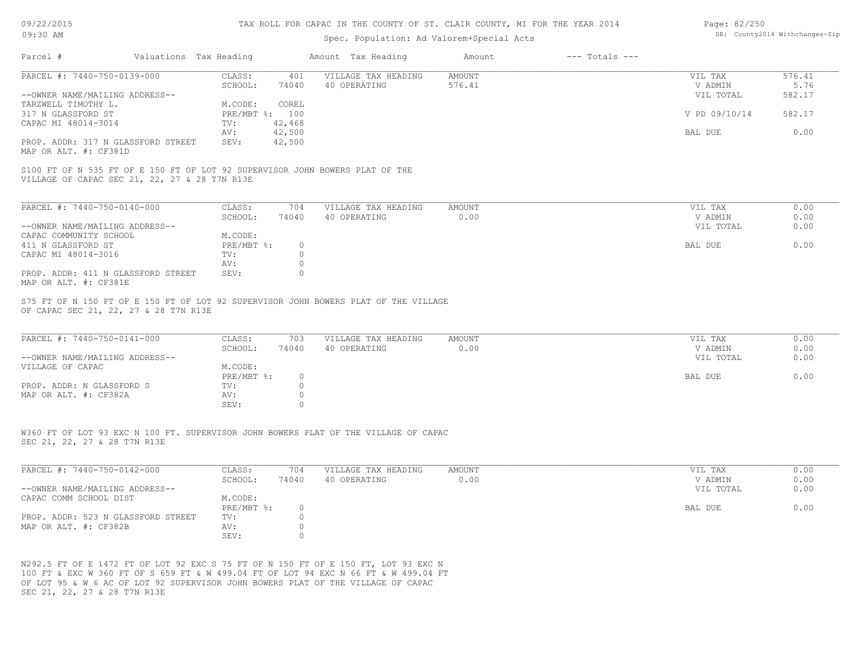| Page: 82/250 |                                |
|--------------|--------------------------------|
|              | DB: County2014 Withchanges-Zip |

| 09/22/2015                                                                                                                   | TAX ROLL FOR CAPAC IN THE COUNTY OF ST. CLAIR COUNTY, MI FOR THE YEAR 2014 | Page: 82/250              |                              |                                           |               |                    |           |                                                                                                                                                                                                                                                                                                         |  |  |
|------------------------------------------------------------------------------------------------------------------------------|----------------------------------------------------------------------------|---------------------------|------------------------------|-------------------------------------------|---------------|--------------------|-----------|---------------------------------------------------------------------------------------------------------------------------------------------------------------------------------------------------------------------------------------------------------------------------------------------------------|--|--|
| 09:30 AM                                                                                                                     |                                                                            |                           |                              | Spec. Population: Ad Valorem+Special Acts |               |                    |           | DB: County2014 Withchanges-Zip<br>576.41<br>VIL TAX<br>V ADMIN<br>5.76<br>582.17<br>VIL TOTAL<br>V PD 09/10/14<br>582.17<br>BAL DUE<br>0.00<br>VIL TAX<br>0.00<br>0.00<br>V ADMIN<br>0.00<br>VIL TOTAL<br>0.00<br>BAL DUE<br>0.00<br>VIL TAX<br>0.00<br>V ADMIN<br>VIL TOTAL<br>0.00<br>0.00<br>BAL DUE |  |  |
| Parcel #                                                                                                                     | Valuations Tax Heading                                                     |                           |                              | Amount Tax Heading                        | Amount        | $---$ Totals $---$ |           |                                                                                                                                                                                                                                                                                                         |  |  |
| PARCEL #: 7440-750-0139-000                                                                                                  | CLASS:                                                                     |                           | 401                          | VILLAGE TAX HEADING                       | <b>AMOUNT</b> |                    |           |                                                                                                                                                                                                                                                                                                         |  |  |
|                                                                                                                              | SCHOOL:                                                                    |                           | 74040                        | 40 OPERATING                              | 576.41        |                    |           |                                                                                                                                                                                                                                                                                                         |  |  |
| --OWNER NAME/MAILING ADDRESS--                                                                                               |                                                                            |                           |                              |                                           |               |                    |           |                                                                                                                                                                                                                                                                                                         |  |  |
| TARZWELL TIMOTHY L.                                                                                                          | M.CODE:                                                                    |                           | COREL                        |                                           |               |                    |           |                                                                                                                                                                                                                                                                                                         |  |  |
| 317 N GLASSFORD ST                                                                                                           |                                                                            | PRE/MBT %: 100            |                              |                                           |               |                    |           |                                                                                                                                                                                                                                                                                                         |  |  |
| CAPAC MI 48014-3014                                                                                                          | TV:                                                                        |                           | 42,468                       |                                           |               |                    |           |                                                                                                                                                                                                                                                                                                         |  |  |
| PROP. ADDR: 317 N GLASSFORD STREET<br>MAP OR ALT. #: CF381D                                                                  | AV:<br>SEV:                                                                |                           | 42,500<br>42,500             |                                           |               |                    |           |                                                                                                                                                                                                                                                                                                         |  |  |
| VILLAGE OF CAPAC SEC 21, 22, 27 & 28 T7N R13E<br>PARCEL #: 7440-750-0140-000                                                 | CLASS:                                                                     |                           | 704                          | VILLAGE TAX HEADING                       | AMOUNT        |                    |           |                                                                                                                                                                                                                                                                                                         |  |  |
|                                                                                                                              | SCHOOL:                                                                    |                           | 74040                        | 40 OPERATING                              | 0.00          |                    |           |                                                                                                                                                                                                                                                                                                         |  |  |
| --OWNER NAME/MAILING ADDRESS--                                                                                               |                                                                            |                           |                              |                                           |               |                    |           |                                                                                                                                                                                                                                                                                                         |  |  |
| CAPAC COMMUNITY SCHOOL                                                                                                       | M.CODE:                                                                    |                           |                              |                                           |               |                    |           |                                                                                                                                                                                                                                                                                                         |  |  |
| 411 N GLASSFORD ST                                                                                                           |                                                                            | $PRE/MBT$ $\frac{1}{6}$ : | $\circ$                      |                                           |               |                    |           |                                                                                                                                                                                                                                                                                                         |  |  |
| CAPAC MI 48014-3016                                                                                                          | TV:                                                                        |                           | $\circ$                      |                                           |               |                    |           |                                                                                                                                                                                                                                                                                                         |  |  |
|                                                                                                                              | AV:                                                                        |                           | $\circ$<br>$\Omega$          |                                           |               |                    |           |                                                                                                                                                                                                                                                                                                         |  |  |
| PROP. ADDR: 411 N GLASSFORD STREET<br>MAP OR ALT. #: CF381E                                                                  | SEV:                                                                       |                           |                              |                                           |               |                    |           |                                                                                                                                                                                                                                                                                                         |  |  |
| S75 FT OF N 150 FT OF E 150 FT OF LOT 92 SUPERVISOR JOHN BOWERS PLAT OF THE VILLAGE<br>OF CAPAC SEC 21, 22, 27 & 28 T7N R13E |                                                                            |                           |                              |                                           |               |                    |           |                                                                                                                                                                                                                                                                                                         |  |  |
| PARCEL #: 7440-750-0141-000                                                                                                  | CLASS:                                                                     |                           | 703                          | VILLAGE TAX HEADING                       | AMOUNT        |                    |           |                                                                                                                                                                                                                                                                                                         |  |  |
|                                                                                                                              | SCHOOL:                                                                    |                           | 74040                        | 40 OPERATING                              | 0.00          |                    |           |                                                                                                                                                                                                                                                                                                         |  |  |
| --OWNER NAME/MAILING ADDRESS--                                                                                               |                                                                            |                           |                              |                                           |               |                    |           |                                                                                                                                                                                                                                                                                                         |  |  |
| VILLAGE OF CAPAC                                                                                                             | M.CODE:                                                                    |                           |                              |                                           |               |                    |           |                                                                                                                                                                                                                                                                                                         |  |  |
|                                                                                                                              |                                                                            | PRE/MBT %:                | $\circ$                      |                                           |               |                    |           |                                                                                                                                                                                                                                                                                                         |  |  |
| PROP. ADDR: N GLASSFORD S                                                                                                    | TV:                                                                        |                           | $\mathbf{0}$<br>$\mathbf{0}$ |                                           |               |                    |           |                                                                                                                                                                                                                                                                                                         |  |  |
| MAP OR ALT. #: CF382A                                                                                                        | AV:<br>SEV:                                                                |                           | $\Omega$                     |                                           |               |                    |           |                                                                                                                                                                                                                                                                                                         |  |  |
|                                                                                                                              |                                                                            |                           |                              |                                           |               |                    |           |                                                                                                                                                                                                                                                                                                         |  |  |
| W360 FT OF LOT 93 EXC N 100 FT. SUPERVISOR JOHN BOWERS PLAT OF THE VILLAGE OF CAPAC                                          |                                                                            |                           |                              |                                           |               |                    |           |                                                                                                                                                                                                                                                                                                         |  |  |
| SEC 21, 22, 27 & 28 T7N R13E                                                                                                 |                                                                            |                           |                              |                                           |               |                    |           |                                                                                                                                                                                                                                                                                                         |  |  |
| PARCEL #: 7440-750-0142-000                                                                                                  | CLASS:                                                                     |                           | 704                          | VILLAGE TAX HEADING                       | AMOUNT        |                    | VIL TAX   | 0.00                                                                                                                                                                                                                                                                                                    |  |  |
|                                                                                                                              | SCHOOL:                                                                    |                           | 74040                        | 40 OPERATING                              | 0.00          |                    | V ADMIN   | 0.00                                                                                                                                                                                                                                                                                                    |  |  |
| --OWNER NAME/MAILING ADDRESS--                                                                                               |                                                                            |                           |                              |                                           |               |                    | VIL TOTAL | 0.00                                                                                                                                                                                                                                                                                                    |  |  |
| CAPAC COMM SCHOOL DIST                                                                                                       | M.CODE:                                                                    |                           |                              |                                           |               |                    |           |                                                                                                                                                                                                                                                                                                         |  |  |

SEV: 0 MAP OR ALT. #: CF382B AV: 0 PROP. ADDR: 523 N GLASSFORD STREET TV: 0 PRE/MBT  $\text{\$:}\qquad$  0  $\qquad$  0.00

SEC 21, 22, 27 & 28 T7N R13E OF LOT 95 & W 6 AC OF LOT 92 SUPERVISOR JOHN BOWERS PLAT OF THE VILLAGE OF CAPAC 100 FT & EXC W 360 FT OF S 659 FT & W 499.04 FT OF LOT 94 EXC N 66 FT & W 499.04 FT N292.5 FT OF E 1472 FT OF LOT 92 EXC S 75 FT OF N 150 FT OF E 150 FT, LOT 93 EXC N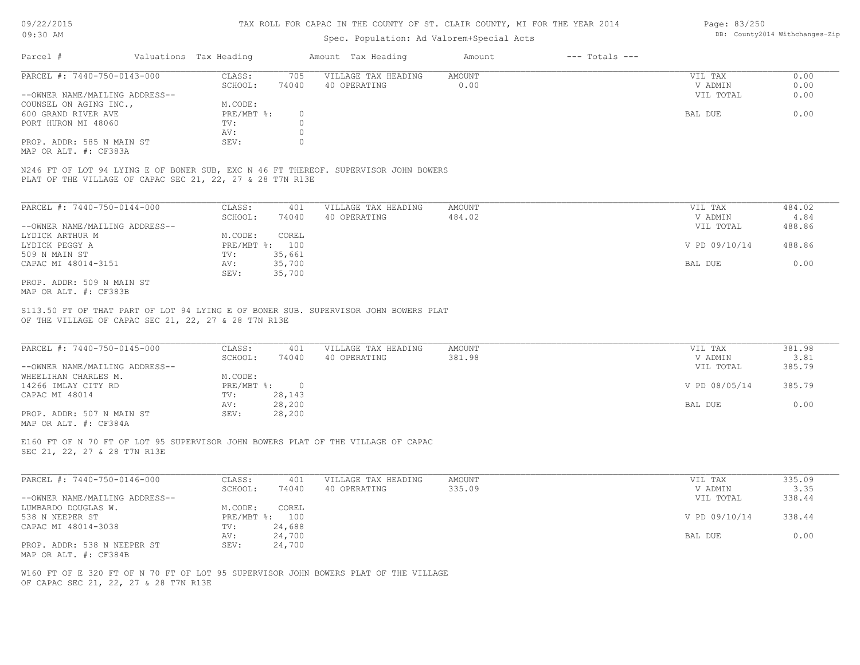#### TAX ROLL FOR CAPAC IN THE COUNTY OF ST. CLAIR COUNTY, MI FOR THE YEAR 2014

### Spec. Population: Ad Valorem+Special Acts

| Page: 83/250 |                                |
|--------------|--------------------------------|
|              | DB: County2014 Withchanges-Zip |

| Parcel #                       | Valuations Tax Heading |       | Amount Tax Heading  | Amount | $---$ Totals $---$ |           |      |
|--------------------------------|------------------------|-------|---------------------|--------|--------------------|-----------|------|
| PARCEL #: 7440-750-0143-000    | CLASS:                 | 705   | VILLAGE TAX HEADING | AMOUNT |                    | VIL TAX   | 0.00 |
|                                | SCHOOL:                | 74040 | 40 OPERATING        | 0.00   |                    | V ADMIN   | 0.00 |
| --OWNER NAME/MAILING ADDRESS-- |                        |       |                     |        |                    | VIL TOTAL | 0.00 |
| COUNSEL ON AGING INC.,         | M.CODE:                |       |                     |        |                    |           |      |
| 600 GRAND RIVER AVE            | PRE/MBT %:             |       |                     |        |                    | BAL DUE   | 0.00 |
| PORT HURON MI 48060            | TV:                    |       |                     |        |                    |           |      |
|                                | AV:                    |       |                     |        |                    |           |      |
| PROP. ADDR: 585 N MAIN ST      | SEV:                   |       |                     |        |                    |           |      |
|                                |                        |       |                     |        |                    |           |      |

MAP OR ALT. #: CF383A

PLAT OF THE VILLAGE OF CAPAC SEC 21, 22, 27 & 28 T7N R13E N246 FT OF LOT 94 LYING E OF BONER SUB, EXC N 46 FT THEREOF. SUPERVISOR JOHN BOWERS

| PARCEL #: 7440-750-0144-000    | CLASS:       | 401    | VILLAGE TAX HEADING | AMOUNT | VIL TAX       | 484.02 |
|--------------------------------|--------------|--------|---------------------|--------|---------------|--------|
|                                | SCHOOL:      | 74040  | 40 OPERATING        | 484.02 | V ADMIN       | 4.84   |
| --OWNER NAME/MAILING ADDRESS-- |              |        |                     |        | VIL TOTAL     | 488.86 |
| LYDICK ARTHUR M                | M.CODE:      | COREL  |                     |        |               |        |
| LYDICK PEGGY A                 | $PRE/MBT$ %: | 100    |                     |        | V PD 09/10/14 | 488.86 |
| 509 N MAIN ST                  | TV:          | 35,661 |                     |        |               |        |
| CAPAC MI 48014-3151            | AV:          | 35,700 |                     |        | BAL DUE       | 0.00   |
|                                | SEV:         | 35,700 |                     |        |               |        |
| PROP. ADDR: 509 N MAIN ST      |              |        |                     |        |               |        |

MAP OR ALT. #: CF383B

OF THE VILLAGE OF CAPAC SEC 21, 22, 27 & 28 T7N R13E S113.50 FT OF THAT PART OF LOT 94 LYING E OF BONER SUB. SUPERVISOR JOHN BOWERS PLAT

| PARCEL #: 7440-750-0145-000    | CLASS:     | 401    | VILLAGE TAX HEADING | AMOUNT | VIL TAX       | 381.98 |
|--------------------------------|------------|--------|---------------------|--------|---------------|--------|
|                                | SCHOOL:    | 74040  | 40 OPERATING        | 381.98 | V ADMIN       | 3.81   |
| --OWNER NAME/MAILING ADDRESS-- |            |        |                     |        | VIL TOTAL     | 385.79 |
| WHEELIHAN CHARLES M.           | M.CODE:    |        |                     |        |               |        |
| 14266 IMLAY CITY RD            | PRE/MBT %: | $\cap$ |                     |        | V PD 08/05/14 | 385.79 |
| CAPAC MI 48014                 | TV:        | 28,143 |                     |        |               |        |
|                                | AV:        | 28,200 |                     |        | BAL DUE       | 0.00   |
| PROP. ADDR: 507 N MAIN ST      | SEV:       | 28,200 |                     |        |               |        |
| MAP OR ALT. #: CF384A          |            |        |                     |        |               |        |

 $\mathcal{L}_\mathcal{L} = \mathcal{L}_\mathcal{L} = \mathcal{L}_\mathcal{L} = \mathcal{L}_\mathcal{L} = \mathcal{L}_\mathcal{L} = \mathcal{L}_\mathcal{L} = \mathcal{L}_\mathcal{L} = \mathcal{L}_\mathcal{L} = \mathcal{L}_\mathcal{L} = \mathcal{L}_\mathcal{L} = \mathcal{L}_\mathcal{L} = \mathcal{L}_\mathcal{L} = \mathcal{L}_\mathcal{L} = \mathcal{L}_\mathcal{L} = \mathcal{L}_\mathcal{L} = \mathcal{L}_\mathcal{L} = \mathcal{L}_\mathcal{L}$ 

SEC 21, 22, 27 & 28 T7N R13E E160 FT OF N 70 FT OF LOT 95 SUPERVISOR JOHN BOWERS PLAT OF THE VILLAGE OF CAPAC

| PARCEL #: 7440-750-0146-000    | CLASS:  | 401            | VILLAGE TAX HEADING | AMOUNT | VIL TAX       | 335.09 |
|--------------------------------|---------|----------------|---------------------|--------|---------------|--------|
|                                | SCHOOL: | 74040          | 40 OPERATING        | 335.09 | V ADMIN       | 3.35   |
| --OWNER NAME/MAILING ADDRESS-- |         |                |                     |        | VIL TOTAL     | 338.44 |
| LUMBARDO DOUGLAS W.            | M.CODE: | COREL          |                     |        |               |        |
| 538 N NEEPER ST                |         | PRE/MBT %: 100 |                     |        | V PD 09/10/14 | 338.44 |
| CAPAC MI 48014-3038            | TV:     | 24,688         |                     |        |               |        |
|                                | AV:     | 24,700         |                     |        | BAL DUE       | 0.00   |
| PROP. ADDR: 538 N NEEPER ST    | SEV:    | 24,700         |                     |        |               |        |
| MAP OR ALT. #: CF384B          |         |                |                     |        |               |        |

OF CAPAC SEC 21, 22, 27 & 28 T7N R13E W160 FT OF E 320 FT OF N 70 FT OF LOT 95 SUPERVISOR JOHN BOWERS PLAT OF THE VILLAGE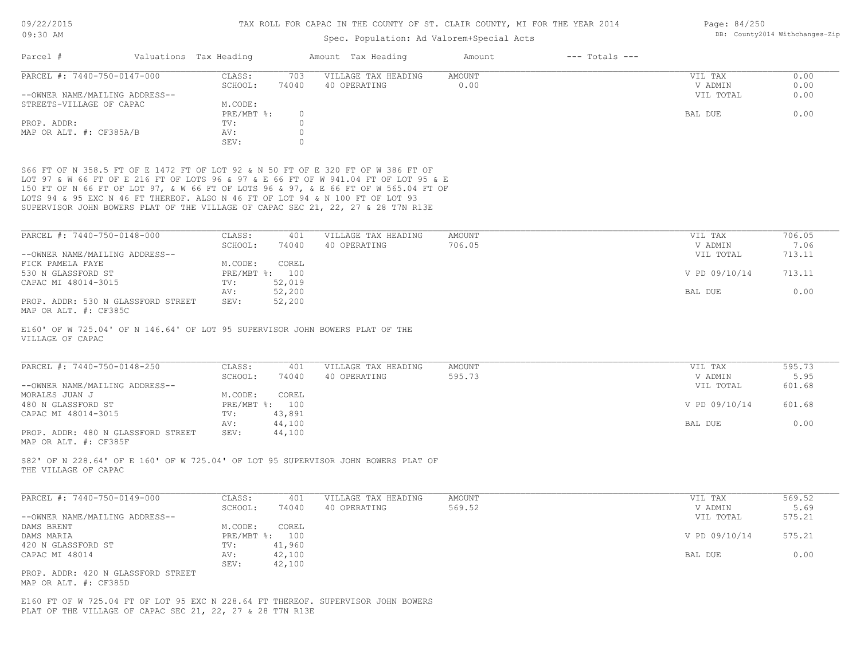| Page: 84/250 |                                |
|--------------|--------------------------------|
|              | DB: County2014 Withchanges-Zip |

| UY.OU AM                                                                                                                                                                                                                                                                                                                                        |                                    | Spec. Population: Ad Valorem+Special Acts |               | pp. codneyzoit withthanges alp |               |        |
|-------------------------------------------------------------------------------------------------------------------------------------------------------------------------------------------------------------------------------------------------------------------------------------------------------------------------------------------------|------------------------------------|-------------------------------------------|---------------|--------------------------------|---------------|--------|
| Valuations Tax Heading<br>Parcel #                                                                                                                                                                                                                                                                                                              |                                    | Amount Tax Heading                        | Amount        | $---$ Totals $---$             |               |        |
| PARCEL #: 7440-750-0147-000                                                                                                                                                                                                                                                                                                                     | CLASS:<br>703                      | VILLAGE TAX HEADING                       | <b>AMOUNT</b> |                                | VIL TAX       | 0.00   |
|                                                                                                                                                                                                                                                                                                                                                 | SCHOOL:<br>74040                   | 40 OPERATING                              | 0.00          |                                | V ADMIN       | 0.00   |
| --OWNER NAME/MAILING ADDRESS--                                                                                                                                                                                                                                                                                                                  |                                    |                                           |               |                                | VIL TOTAL     | 0.00   |
| STREETS-VILLAGE OF CAPAC                                                                                                                                                                                                                                                                                                                        | M.CODE:                            |                                           |               |                                |               |        |
|                                                                                                                                                                                                                                                                                                                                                 | PRE/MBT %:<br>$\circ$              |                                           |               |                                | BAL DUE       | 0.00   |
| PROP. ADDR:                                                                                                                                                                                                                                                                                                                                     | $\circ$<br>TV:                     |                                           |               |                                |               |        |
| MAP OR ALT. #: CF385A/B                                                                                                                                                                                                                                                                                                                         | $\circ$<br>AV:                     |                                           |               |                                |               |        |
|                                                                                                                                                                                                                                                                                                                                                 | SEV:                               |                                           |               |                                |               |        |
| LOT 97 & W 66 FT OF E 216 FT OF LOTS 96 & 97 & E 66 FT OF W 941.04 FT OF LOT 95 & E<br>150 FT OF N 66 FT OF LOT 97, & W 66 FT OF LOTS 96 & 97, & E 66 FT OF W 565.04 FT OF<br>LOTS 94 & 95 EXC N 46 FT THEREOF. ALSO N 46 FT OF LOT 94 & N 100 FT OF LOT 93<br>SUPERVISOR JOHN BOWERS PLAT OF THE VILLAGE OF CAPAC SEC 21, 22, 27 & 28 T7N R13E |                                    |                                           |               |                                |               |        |
| PARCEL #: 7440-750-0148-000                                                                                                                                                                                                                                                                                                                     | CLASS:<br>401                      | VILLAGE TAX HEADING                       | <b>AMOUNT</b> |                                | VIL TAX       | 706.05 |
|                                                                                                                                                                                                                                                                                                                                                 | 74040<br>SCHOOL:                   | 40 OPERATING                              | 706.05        |                                | V ADMIN       | 7.06   |
| --OWNER NAME/MAILING ADDRESS--                                                                                                                                                                                                                                                                                                                  |                                    |                                           |               |                                | VIL TOTAL     | 713.11 |
| FICK PAMELA FAYE<br>530 N GLASSFORD ST                                                                                                                                                                                                                                                                                                          | M.CODE:<br>COREL<br>PRE/MBT %: 100 |                                           |               |                                | V PD 09/10/14 | 713.11 |
| CAPAC MI 48014-3015                                                                                                                                                                                                                                                                                                                             | 52,019<br>TV:                      |                                           |               |                                |               |        |
|                                                                                                                                                                                                                                                                                                                                                 | 52,200<br>AV:                      |                                           |               |                                | BAL DUE       | 0.00   |
| PROP. ADDR: 530 N GLASSFORD STREET                                                                                                                                                                                                                                                                                                              | SEV:<br>52,200                     |                                           |               |                                |               |        |
| MAP OR ALT. #: CF385C                                                                                                                                                                                                                                                                                                                           |                                    |                                           |               |                                |               |        |
| E160' OF W 725.04' OF N 146.64' OF LOT 95 SUPERVISOR JOHN BOWERS PLAT OF THE<br>VILLAGE OF CAPAC                                                                                                                                                                                                                                                |                                    |                                           |               |                                |               |        |
| PARCEL #: 7440-750-0148-250                                                                                                                                                                                                                                                                                                                     | CLASS:<br>401                      | VILLAGE TAX HEADING                       | <b>AMOUNT</b> |                                | VIL TAX       | 595.73 |
|                                                                                                                                                                                                                                                                                                                                                 |                                    |                                           |               |                                |               |        |

|                                    | -------    | - - -  |              |        | .             | -----  |  |
|------------------------------------|------------|--------|--------------|--------|---------------|--------|--|
|                                    | SCHOOL:    | 74040  | 40 OPERATING | 595.73 | V ADMIN       | 5.95   |  |
| --OWNER NAME/MAILING ADDRESS--     |            |        |              |        | VIL TOTAL     | 601.68 |  |
| MORALES JUAN J                     | M.CODE:    | COREL  |              |        |               |        |  |
| 480 N GLASSFORD ST                 | PRE/MBT %: | 100    |              |        | V PD 09/10/14 | 601.68 |  |
| CAPAC MI 48014-3015                | TV:        | 43,891 |              |        |               |        |  |
|                                    | AV:        | 44,100 |              |        | BAL DUE       | 0.00   |  |
| PROP. ADDR: 480 N GLASSFORD STREET | SEV:       | 44,100 |              |        |               |        |  |
| MAP OR ALT. #: CF385F              |            |        |              |        |               |        |  |

THE VILLAGE OF CAPAC S82' OF N 228.64' OF E 160' OF W 725.04' OF LOT 95 SUPERVISOR JOHN BOWERS PLAT OF

| PARCEL #: 7440-750-0149-000                           | CLASS:  | 401            | VILLAGE TAX HEADING | AMOUNT | VIL TAX       | 569.52 |
|-------------------------------------------------------|---------|----------------|---------------------|--------|---------------|--------|
|                                                       | SCHOOL: | 74040          | 40 OPERATING        | 569.52 | V ADMIN       | 5.69   |
| --OWNER NAME/MAILING ADDRESS--                        |         |                |                     |        | VIL TOTAL     | 575.21 |
| DAMS BRENT                                            | M.CODE: | COREL          |                     |        |               |        |
| DAMS MARIA                                            |         | PRE/MBT %: 100 |                     |        | V PD 09/10/14 | 575.21 |
| 420 N GLASSFORD ST                                    | TV:     | 41,960         |                     |        |               |        |
| CAPAC MI 48014                                        | AV:     | 42,100         |                     |        | BAL DUE       | 0.00   |
|                                                       | SEV:    | 42,100         |                     |        |               |        |
| PROP. ADDR: 420 N GLASSFORD STREET                    |         |                |                     |        |               |        |
| $\cdots$ $\cdots$ $\cdots$ $\cdots$ $\cdots$ $\cdots$ |         |                |                     |        |               |        |

MAP OR ALT. #: CF385D

PLAT OF THE VILLAGE OF CAPAC SEC 21, 22, 27 & 28 T7N R13E E160 FT OF W 725.04 FT OF LOT 95 EXC N 228.64 FT THEREOF. SUPERVISOR JOHN BOWERS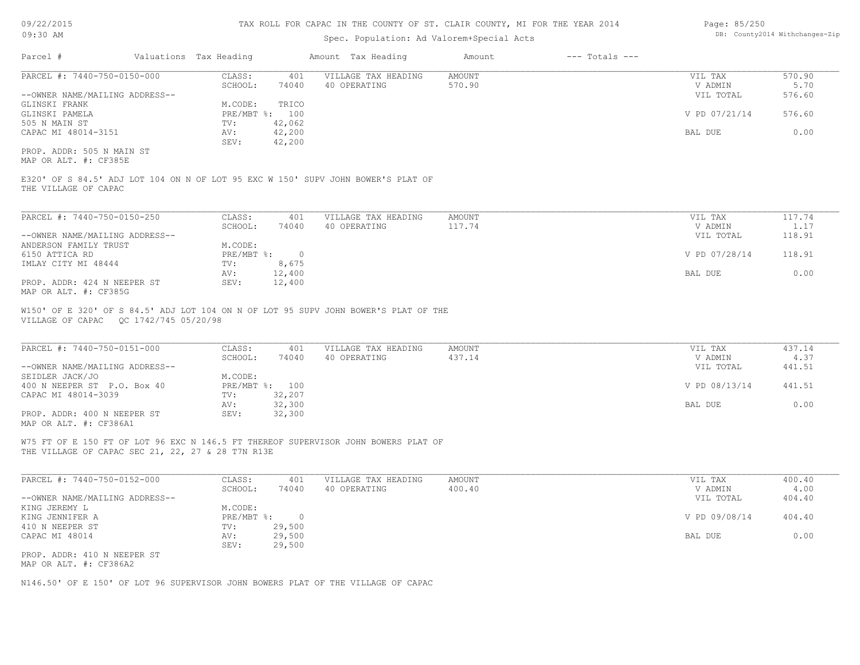### Spec. Population: Ad Valorem+Special Acts

| Page: 85/250 |                                |
|--------------|--------------------------------|
|              | DB: County2014 Withchanges-Zip |

| Parcel #                       | Valuations Tax Heading |        | Amount Tax Heading  | Amount | $---$ Totals $---$ |               |        |
|--------------------------------|------------------------|--------|---------------------|--------|--------------------|---------------|--------|
| PARCEL #: 7440-750-0150-000    | CLASS:                 | 401    | VILLAGE TAX HEADING | AMOUNT |                    | VIL TAX       | 570.90 |
|                                | SCHOOL:                | 74040  | 40 OPERATING        | 570.90 |                    | V ADMIN       | 5.70   |
| --OWNER NAME/MAILING ADDRESS-- |                        |        |                     |        |                    | VIL TOTAL     | 576.60 |
| GLINSKI FRANK                  | M.CODE:                | TRICO  |                     |        |                    |               |        |
| GLINSKI PAMELA                 | PRE/MBT %: 100         |        |                     |        |                    | V PD 07/21/14 | 576.60 |
| 505 N MAIN ST                  | TV:                    | 42,062 |                     |        |                    |               |        |
| CAPAC MI 48014-3151            | AV:                    | 42,200 |                     |        |                    | BAL DUE       | 0.00   |
|                                | SEV:                   | 42,200 |                     |        |                    |               |        |
| PROP. ADDR: 505 N MAIN ST      |                        |        |                     |        |                    |               |        |

MAP OR ALT. #: CF385E

THE VILLAGE OF CAPAC E320' OF S 84.5' ADJ LOT 104 ON N OF LOT 95 EXC W 150' SUPV JOHN BOWER'S PLAT OF

| PARCEL #: 7440-750-0150-250    | CLASS:     | 401    | VILLAGE TAX HEADING | AMOUNT | VIL TAX       | 117.74 |
|--------------------------------|------------|--------|---------------------|--------|---------------|--------|
|                                | SCHOOL:    | 74040  | 40 OPERATING        | 117.74 | V ADMIN       | 1.17   |
| --OWNER NAME/MAILING ADDRESS-- |            |        |                     |        | VIL TOTAL     | 118.91 |
| ANDERSON FAMILY TRUST          | M.CODE:    |        |                     |        |               |        |
| 6150 ATTICA RD                 | PRE/MBT %: |        |                     |        | V PD 07/28/14 | 118.91 |
| IMLAY CITY MI 48444            | TV:        | 8,675  |                     |        |               |        |
|                                | AV:        | 12,400 |                     |        | BAL DUE       | 0.00   |
| PROP. ADDR: 424 N NEEPER ST    | SEV:       | 12,400 |                     |        |               |        |
| MAP OR ALT. #: CF385G          |            |        |                     |        |               |        |

VILLAGE OF CAPAC QC 1742/745 05/20/98 W150' OF E 320' OF S 84.5' ADJ LOT 104 ON N OF LOT 95 SUPV JOHN BOWER'S PLAT OF THE

| PARCEL #: 7440-750-0151-000    | CLASS:     | 401    | VILLAGE TAX HEADING | AMOUNT | VIL TAX       | 437.14 |
|--------------------------------|------------|--------|---------------------|--------|---------------|--------|
|                                | SCHOOL:    | 74040  | 40 OPERATING        | 437.14 | V ADMIN       | 4.37   |
| --OWNER NAME/MAILING ADDRESS-- |            |        |                     |        | VIL TOTAL     | 441.51 |
| SEIDLER JACK/JO                | M.CODE:    |        |                     |        |               |        |
| 400 N NEEPER ST P.O. Box 40    | PRE/MBT %: | 100    |                     |        | V PD 08/13/14 | 441.51 |
| CAPAC MI 48014-3039            | TV:        | 32,207 |                     |        |               |        |
|                                | AV:        | 32,300 |                     |        | BAL DUE       | 0.00   |
| PROP. ADDR: 400 N NEEPER ST    | SEV:       | 32,300 |                     |        |               |        |
| MAP OR ALT. #: CF386A1         |            |        |                     |        |               |        |

 $\mathcal{L}_\mathcal{L} = \mathcal{L}_\mathcal{L} = \mathcal{L}_\mathcal{L} = \mathcal{L}_\mathcal{L} = \mathcal{L}_\mathcal{L} = \mathcal{L}_\mathcal{L} = \mathcal{L}_\mathcal{L} = \mathcal{L}_\mathcal{L} = \mathcal{L}_\mathcal{L} = \mathcal{L}_\mathcal{L} = \mathcal{L}_\mathcal{L} = \mathcal{L}_\mathcal{L} = \mathcal{L}_\mathcal{L} = \mathcal{L}_\mathcal{L} = \mathcal{L}_\mathcal{L} = \mathcal{L}_\mathcal{L} = \mathcal{L}_\mathcal{L}$ 

THE VILLAGE OF CAPAC SEC 21, 22, 27 & 28 T7N R13E W75 FT OF E 150 FT OF LOT 96 EXC N 146.5 FT THEREOF SUPERVISOR JOHN BOWERS PLAT OF

| PARCEL #: 7440-750-0152-000    | CLASS:     | 401    | VILLAGE TAX HEADING | AMOUNT | VIL TAX       | 400.40 |
|--------------------------------|------------|--------|---------------------|--------|---------------|--------|
|                                | SCHOOL:    | 74040  | 40 OPERATING        | 400.40 | V ADMIN       | 4.00   |
| --OWNER NAME/MAILING ADDRESS-- |            |        |                     |        | VIL TOTAL     | 404.40 |
| KING JEREMY L                  | M.CODE:    |        |                     |        |               |        |
| KING JENNIFER A                | PRE/MBT %: |        |                     |        | V PD 09/08/14 | 404.40 |
| 410 N NEEPER ST                | TV:        | 29,500 |                     |        |               |        |
| CAPAC MI 48014                 | AV:        | 29,500 |                     |        | BAL DUE       | 0.00   |
|                                | SEV:       | 29,500 |                     |        |               |        |
| PROP. ADDR: 410 N NEEPER ST    |            |        |                     |        |               |        |
| MAP OR ALT. #: CF386A2         |            |        |                     |        |               |        |

N146.50' OF E 150' OF LOT 96 SUPERVISOR JOHN BOWERS PLAT OF THE VILLAGE OF CAPAC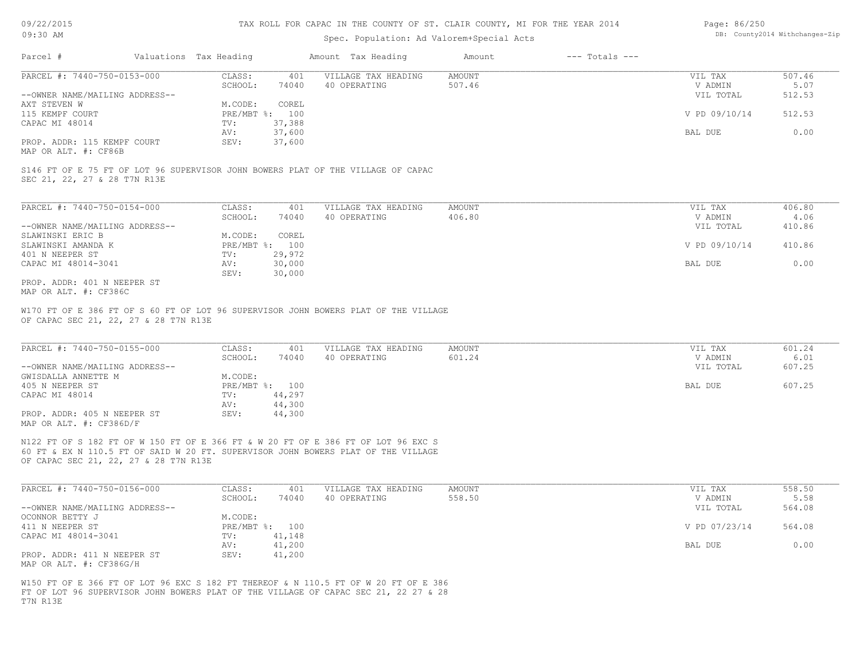### Spec. Population: Ad Valorem+Special Acts

| Page: 86/250 |                                |
|--------------|--------------------------------|
|              | DB: County2014 Withchanges-Zip |

| Parcel #                       | Valuations Tax Heading |        | Amount Tax Heading  | Amount | $---$ Totals $---$ |               |        |
|--------------------------------|------------------------|--------|---------------------|--------|--------------------|---------------|--------|
| PARCEL #: 7440-750-0153-000    | CLASS:                 | 401    | VILLAGE TAX HEADING | AMOUNT |                    | VIL TAX       | 507.46 |
|                                | SCHOOL:                | 74040  | 40 OPERATING        | 507.46 |                    | V ADMIN       | 5.07   |
| --OWNER NAME/MAILING ADDRESS-- |                        |        |                     |        |                    | VIL TOTAL     | 512.53 |
| AXT STEVEN W                   | M.CODE:                | COREL  |                     |        |                    |               |        |
| 115 KEMPF COURT                | PRE/MBT %: 100         |        |                     |        |                    | V PD 09/10/14 | 512.53 |
| CAPAC MI 48014                 | TV:                    | 37,388 |                     |        |                    |               |        |
|                                | AV:                    | 37,600 |                     |        |                    | BAL DUE       | 0.00   |
| PROP. ADDR: 115 KEMPF COURT    | SEV:                   | 37,600 |                     |        |                    |               |        |
|                                |                        |        |                     |        |                    |               |        |

MAP OR ALT. #: CF86B

SEC 21, 22, 27 & 28 T7N R13E S146 FT OF E 75 FT OF LOT 96 SUPERVISOR JOHN BOWERS PLAT OF THE VILLAGE OF CAPAC

| PARCEL #: 7440-750-0154-000    | CLASS:       | 401    | VILLAGE TAX HEADING | AMOUNT | VIL TAX       | 406.80 |
|--------------------------------|--------------|--------|---------------------|--------|---------------|--------|
|                                | SCHOOL:      | 74040  | 40 OPERATING        | 406.80 | V ADMIN       | 4.06   |
| --OWNER NAME/MAILING ADDRESS-- |              |        |                     |        | VIL TOTAL     | 410.86 |
| SLAWINSKI ERIC B               | M.CODE:      | COREL  |                     |        |               |        |
| SLAWINSKI AMANDA K             | $PRE/MBT$ %: | 100    |                     |        | V PD 09/10/14 | 410.86 |
| 401 N NEEPER ST                | TV:          | 29,972 |                     |        |               |        |
| CAPAC MI 48014-3041            | AV:          | 30,000 |                     |        | BAL DUE       | 0.00   |
|                                | SEV:         | 30,000 |                     |        |               |        |
| PROP. ADDR: 401 N NEEPER ST    |              |        |                     |        |               |        |

MAP OR ALT. #: CF386C

OF CAPAC SEC 21, 22, 27 & 28 T7N R13E W170 FT OF E 386 FT OF S 60 FT OF LOT 96 SUPERVISOR JOHN BOWERS PLAT OF THE VILLAGE

| PARCEL #: 7440-750-0155-000                            | CLASS:       | 401    | VILLAGE TAX HEADING | AMOUNT | VIL TAX   | 601.24 |
|--------------------------------------------------------|--------------|--------|---------------------|--------|-----------|--------|
|                                                        | SCHOOL:      | 74040  | 40 OPERATING        | 601.24 | V ADMIN   | 6.01   |
| --OWNER NAME/MAILING ADDRESS--                         |              |        |                     |        | VIL TOTAL | 607.25 |
| GWISDALLA ANNETTE M                                    | M.CODE:      |        |                     |        |           |        |
| 405 N NEEPER ST                                        | $PRE/MBT$ %: | 100    |                     |        | BAL DUE   | 607.25 |
| CAPAC MI 48014                                         | TV:          | 44,297 |                     |        |           |        |
|                                                        | AV:          | 44,300 |                     |        |           |        |
| PROP. ADDR: 405 N NEEPER ST<br>MAP OR ALT. #: CF386D/F | SEV:         | 44,300 |                     |        |           |        |

 $\mathcal{L}_\mathcal{L} = \mathcal{L}_\mathcal{L} = \mathcal{L}_\mathcal{L} = \mathcal{L}_\mathcal{L} = \mathcal{L}_\mathcal{L} = \mathcal{L}_\mathcal{L} = \mathcal{L}_\mathcal{L} = \mathcal{L}_\mathcal{L} = \mathcal{L}_\mathcal{L} = \mathcal{L}_\mathcal{L} = \mathcal{L}_\mathcal{L} = \mathcal{L}_\mathcal{L} = \mathcal{L}_\mathcal{L} = \mathcal{L}_\mathcal{L} = \mathcal{L}_\mathcal{L} = \mathcal{L}_\mathcal{L} = \mathcal{L}_\mathcal{L}$ 

OF CAPAC SEC 21, 22, 27 & 28 T7N R13E 60 FT & EX N 110.5 FT OF SAID W 20 FT. SUPERVISOR JOHN BOWERS PLAT OF THE VILLAGE N122 FT OF S 182 FT OF W 150 FT OF E 366 FT & W 20 FT OF E 386 FT OF LOT 96 EXC S

| PARCEL #: 7440-750-0156-000                            | CLASS:  | 401            | VILLAGE TAX HEADING | AMOUNT | VIL TAX       | 558.50 |
|--------------------------------------------------------|---------|----------------|---------------------|--------|---------------|--------|
|                                                        | SCHOOL: | 74040          | 40 OPERATING        | 558.50 | V ADMIN       | 5.58   |
| --OWNER NAME/MAILING ADDRESS--                         |         |                |                     |        | VIL TOTAL     | 564.08 |
| OCONNOR BETTY J                                        | M.CODE: |                |                     |        |               |        |
| 411 N NEEPER ST                                        |         | PRE/MBT %: 100 |                     |        | V PD 07/23/14 | 564.08 |
| CAPAC MI 48014-3041                                    | TV:     | 41,148         |                     |        |               |        |
|                                                        | AV:     | 41,200         |                     |        | BAL DUE       | 0.00   |
| PROP. ADDR: 411 N NEEPER ST<br>MAP OR ALT. #: CF386G/H | SEV:    | 41,200         |                     |        |               |        |

T7N R13E FT OF LOT 96 SUPERVISOR JOHN BOWERS PLAT OF THE VILLAGE OF CAPAC SEC 21, 22 27 & 28 W150 FT OF E 366 FT OF LOT 96 EXC S 182 FT THEREOF & N 110.5 FT OF W 20 FT OF E 386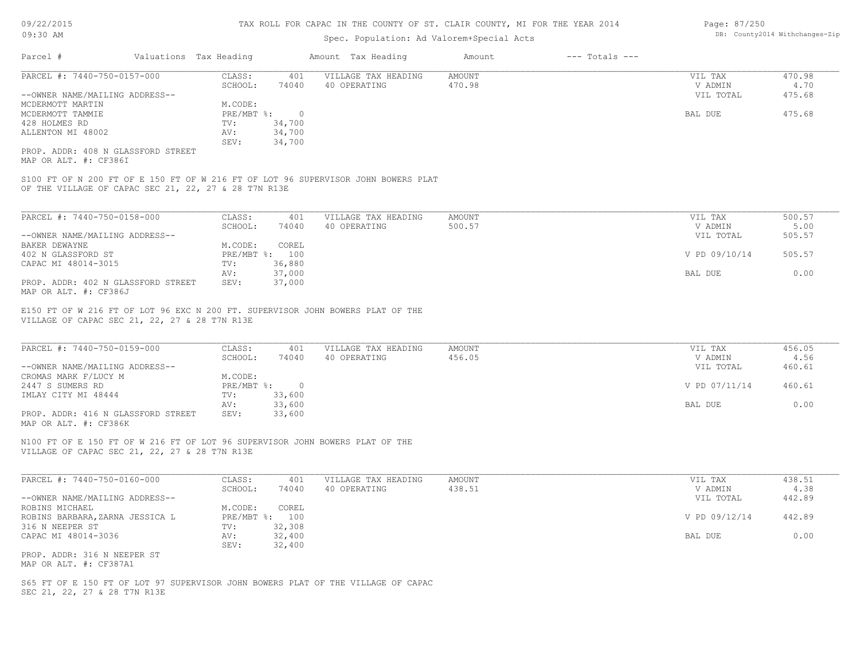#### TAX ROLL FOR CAPAC IN THE COUNTY OF ST. CLAIR COUNTY, MI FOR THE YEAR 2014

### Spec. Population: Ad Valorem+Special Acts

| Parcel #                           | Valuations Tax Heading |        | Amount Tax Heading  | Amount | $---$ Totals $---$ |           |        |
|------------------------------------|------------------------|--------|---------------------|--------|--------------------|-----------|--------|
| PARCEL #: 7440-750-0157-000        | CLASS:                 | 401    | VILLAGE TAX HEADING | AMOUNT |                    | VIL TAX   | 470.98 |
|                                    | SCHOOL:                | 74040  | 40 OPERATING        | 470.98 |                    | V ADMIN   | 4.70   |
| --OWNER NAME/MAILING ADDRESS--     |                        |        |                     |        |                    | VIL TOTAL | 475.68 |
| MCDERMOTT MARTIN                   | M.CODE:                |        |                     |        |                    |           |        |
| MCDERMOTT TAMMIE                   | $PRE/MBT$ %:           |        |                     |        |                    | BAL DUE   | 475.68 |
| 428 HOLMES RD                      | TV:                    | 34,700 |                     |        |                    |           |        |
| ALLENTON MI 48002                  | AV:                    | 34,700 |                     |        |                    |           |        |
|                                    | SEV:                   | 34,700 |                     |        |                    |           |        |
| PROP. ADDR: 408 N GLASSFORD STREET |                        |        |                     |        |                    |           |        |

MAP OR ALT. #: CF386I

OF THE VILLAGE OF CAPAC SEC 21, 22, 27 & 28 T7N R13E S100 FT OF N 200 FT OF E 150 FT OF W 216 FT OF LOT 96 SUPERVISOR JOHN BOWERS PLAT

| PARCEL #: 7440-750-0158-000        | CLASS:  | 401            | VILLAGE TAX HEADING | AMOUNT | VIL TAX       | 500.57 |
|------------------------------------|---------|----------------|---------------------|--------|---------------|--------|
|                                    | SCHOOL: | 74040          | 40 OPERATING        | 500.57 | V ADMIN       | 5.00   |
| --OWNER NAME/MAILING ADDRESS--     |         |                |                     |        | VIL TOTAL     | 505.57 |
| BAKER DEWAYNE                      | M.CODE: | COREL          |                     |        |               |        |
| 402 N GLASSFORD ST                 |         | PRE/MBT %: 100 |                     |        | V PD 09/10/14 | 505.57 |
| CAPAC MI 48014-3015                | TV:     | 36,880         |                     |        |               |        |
|                                    | AV:     | 37,000         |                     |        | BAL DUE       | 0.00   |
| PROP. ADDR: 402 N GLASSFORD STREET | SEV:    | 37,000         |                     |        |               |        |
| MAP OR ALT. #: CF386J              |         |                |                     |        |               |        |

VILLAGE OF CAPAC SEC 21, 22, 27 & 28 T7N R13E E150 FT OF W 216 FT OF LOT 96 EXC N 200 FT. SUPERVISOR JOHN BOWERS PLAT OF THE

| PARCEL #: 7440-750-0159-000        | CLASS:       | 401    | VILLAGE TAX HEADING | AMOUNT | VIL TAX       | 456.05 |
|------------------------------------|--------------|--------|---------------------|--------|---------------|--------|
|                                    | SCHOOL:      | 74040  | 40 OPERATING        | 456.05 | V ADMIN       | 4.56   |
| --OWNER NAME/MAILING ADDRESS--     |              |        |                     |        | VIL TOTAL     | 460.61 |
| CROMAS MARK F/LUCY M               | M.CODE:      |        |                     |        |               |        |
| 2447 S SUMERS RD                   | $PRE/MBT$ %: |        |                     |        | V PD 07/11/14 | 460.61 |
| IMLAY CITY MI 48444                | TV:          | 33,600 |                     |        |               |        |
|                                    | AV:          | 33,600 |                     |        | BAL DUE       | 0.00   |
| PROP. ADDR: 416 N GLASSFORD STREET | SEV:         | 33,600 |                     |        |               |        |
| MAP OR ALT. #: CF386K              |              |        |                     |        |               |        |

 $\mathcal{L}_\mathcal{L} = \mathcal{L}_\mathcal{L} = \mathcal{L}_\mathcal{L} = \mathcal{L}_\mathcal{L} = \mathcal{L}_\mathcal{L} = \mathcal{L}_\mathcal{L} = \mathcal{L}_\mathcal{L} = \mathcal{L}_\mathcal{L} = \mathcal{L}_\mathcal{L} = \mathcal{L}_\mathcal{L} = \mathcal{L}_\mathcal{L} = \mathcal{L}_\mathcal{L} = \mathcal{L}_\mathcal{L} = \mathcal{L}_\mathcal{L} = \mathcal{L}_\mathcal{L} = \mathcal{L}_\mathcal{L} = \mathcal{L}_\mathcal{L}$ 

VILLAGE OF CAPAC SEC 21, 22, 27 & 28 T7N R13E N100 FT OF E 150 FT OF W 216 FT OF LOT 96 SUPERVISOR JOHN BOWERS PLAT OF THE

| PARCEL #: 7440-750-0160-000     | CLASS:         | 401    | VILLAGE TAX HEADING | AMOUNT | VIL TAX       | 438.51 |
|---------------------------------|----------------|--------|---------------------|--------|---------------|--------|
|                                 | SCHOOL:        | 74040  | 40 OPERATING        | 438.51 | V ADMIN       | 4.38   |
| --OWNER NAME/MAILING ADDRESS--  |                |        |                     |        | VIL TOTAL     | 442.89 |
| ROBINS MICHAEL                  | M.CODE:        | COREL  |                     |        |               |        |
| ROBINS BARBARA, ZARNA JESSICA L | PRE/MBT %: 100 |        |                     |        | V PD 09/12/14 | 442.89 |
| 316 N NEEPER ST                 | TV:            | 32,308 |                     |        |               |        |
| CAPAC MI 48014-3036             | AV:            | 32,400 |                     |        | BAL DUE       | 0.00   |
|                                 | SEV:           | 32,400 |                     |        |               |        |
| PROP. ADDR: 316 N NEEPER ST     |                |        |                     |        |               |        |

MAP OR ALT. #: CF387A1

SEC 21, 22, 27 & 28 T7N R13E S65 FT OF E 150 FT OF LOT 97 SUPERVISOR JOHN BOWERS PLAT OF THE VILLAGE OF CAPAC Page: 87/250 DB: County2014 Withchanges-Zip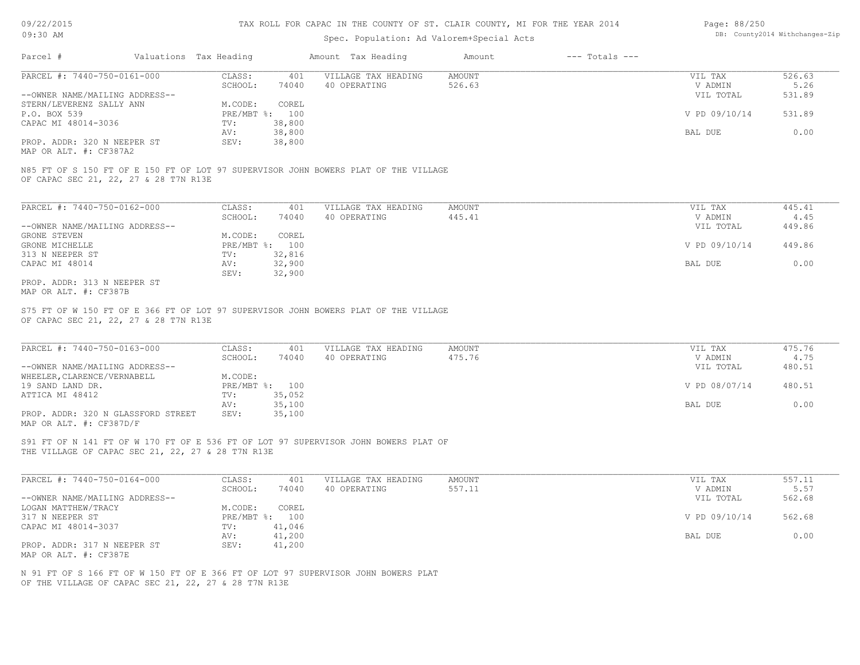### Spec. Population: Ad Valorem+Special Acts

| Page: 88/250 |                                |
|--------------|--------------------------------|
|              | DB: County2014 Withchanges-Zip |

| Parcel #                       | Valuations Tax Heading |        | Amount Tax Heading  | Amount | $---$ Totals $---$ |               |        |
|--------------------------------|------------------------|--------|---------------------|--------|--------------------|---------------|--------|
| PARCEL #: 7440-750-0161-000    | CLASS:                 | 401    | VILLAGE TAX HEADING | AMOUNT |                    | VIL TAX       | 526.63 |
|                                | SCHOOL:                | 74040  | 40 OPERATING        | 526.63 |                    | V ADMIN       | 5.26   |
| --OWNER NAME/MAILING ADDRESS-- |                        |        |                     |        |                    | VIL TOTAL     | 531.89 |
| STERN/LEVERENZ SALLY ANN       | M.CODE:                | COREL  |                     |        |                    |               |        |
| P.O. BOX 539                   | $PRE/MBT$ %:           | 100    |                     |        |                    | V PD 09/10/14 | 531.89 |
| CAPAC MI 48014-3036            | TV:                    | 38,800 |                     |        |                    |               |        |
|                                | AV:                    | 38,800 |                     |        |                    | BAL DUE       | 0.00   |
| PROP. ADDR: 320 N NEEPER ST    | SEV:                   | 38,800 |                     |        |                    |               |        |
|                                |                        |        |                     |        |                    |               |        |

MAP OR ALT. #: CF387A2

OF CAPAC SEC 21, 22, 27 & 28 T7N R13E N85 FT OF S 150 FT OF E 150 FT OF LOT 97 SUPERVISOR JOHN BOWERS PLAT OF THE VILLAGE

| PARCEL #: 7440-750-0162-000    | CLASS:     | 401    | VILLAGE TAX HEADING | AMOUNT | VIL TAX       | 445.41 |
|--------------------------------|------------|--------|---------------------|--------|---------------|--------|
|                                | SCHOOL:    | 74040  | 40 OPERATING        | 445.41 | V ADMIN       | 4.45   |
| --OWNER NAME/MAILING ADDRESS-- |            |        |                     |        | VIL TOTAL     | 449.86 |
| GRONE STEVEN                   | M.CODE:    | COREL  |                     |        |               |        |
| GRONE MICHELLE                 | PRE/MBT %: | 100    |                     |        | V PD 09/10/14 | 449.86 |
| 313 N NEEPER ST                | TV:        | 32,816 |                     |        |               |        |
| CAPAC MI 48014                 | AV:        | 32,900 |                     |        | BAL DUE       | 0.00   |
|                                | SEV:       | 32,900 |                     |        |               |        |
| PROP. ADDR: 313 N NEEPER ST    |            |        |                     |        |               |        |

MAP OR ALT. #: CF387B

OF CAPAC SEC 21, 22, 27 & 28 T7N R13E S75 FT OF W 150 FT OF E 366 FT OF LOT 97 SUPERVISOR JOHN BOWERS PLAT OF THE VILLAGE

| PARCEL #: 7440-750-0163-000        | CLASS:       | 401    | VILLAGE TAX HEADING | AMOUNT | VIL TAX       | 475.76 |
|------------------------------------|--------------|--------|---------------------|--------|---------------|--------|
|                                    | SCHOOL:      | 74040  | 40 OPERATING        | 475.76 | V ADMIN       | 4.75   |
| --OWNER NAME/MAILING ADDRESS--     |              |        |                     |        | VIL TOTAL     | 480.51 |
| WHEELER, CLARENCE/VERNABELL        | M.CODE:      |        |                     |        |               |        |
| 19 SAND LAND DR.                   | $PRE/MBT$ %: | 100    |                     |        | V PD 08/07/14 | 480.51 |
| ATTICA MI 48412                    | TV:          | 35,052 |                     |        |               |        |
|                                    | AV:          | 35,100 |                     |        | BAL DUE       | 0.00   |
| PROP. ADDR: 320 N GLASSFORD STREET | SEV:         | 35,100 |                     |        |               |        |
| MAP OR ALT. #: CF387D/F            |              |        |                     |        |               |        |

 $\mathcal{L}_\mathcal{L} = \mathcal{L}_\mathcal{L} = \mathcal{L}_\mathcal{L} = \mathcal{L}_\mathcal{L} = \mathcal{L}_\mathcal{L} = \mathcal{L}_\mathcal{L} = \mathcal{L}_\mathcal{L} = \mathcal{L}_\mathcal{L} = \mathcal{L}_\mathcal{L} = \mathcal{L}_\mathcal{L} = \mathcal{L}_\mathcal{L} = \mathcal{L}_\mathcal{L} = \mathcal{L}_\mathcal{L} = \mathcal{L}_\mathcal{L} = \mathcal{L}_\mathcal{L} = \mathcal{L}_\mathcal{L} = \mathcal{L}_\mathcal{L}$ 

THE VILLAGE OF CAPAC SEC 21, 22, 27 & 28 T7N R13E S91 FT OF N 141 FT OF W 170 FT OF E 536 FT OF LOT 97 SUPERVISOR JOHN BOWERS PLAT OF

| PARCEL #: 7440-750-0164-000    | CLASS:  | 401            | VILLAGE TAX HEADING | AMOUNT | VIL TAX       | 557.11 |
|--------------------------------|---------|----------------|---------------------|--------|---------------|--------|
|                                | SCHOOL: | 74040          | 40 OPERATING        | 557.11 | V ADMIN       | 5.57   |
| --OWNER NAME/MAILING ADDRESS-- |         |                |                     |        | VIL TOTAL     | 562.68 |
| LOGAN MATTHEW/TRACY            | M.CODE: | COREL          |                     |        |               |        |
| 317 N NEEPER ST                |         | PRE/MBT %: 100 |                     |        | V PD 09/10/14 | 562.68 |
| CAPAC MI 48014-3037            | TV:     | 41,046         |                     |        |               |        |
|                                | AV:     | 41,200         |                     |        | BAL DUE       | 0.00   |
| PROP. ADDR: 317 N NEEPER ST    | SEV:    | 41,200         |                     |        |               |        |
| MAP OR ALT. #: CF387E          |         |                |                     |        |               |        |

OF THE VILLAGE OF CAPAC SEC 21, 22, 27 & 28 T7N R13E N 91 FT OF S 166 FT OF W 150 FT OF E 366 FT OF LOT 97 SUPERVISOR JOHN BOWERS PLAT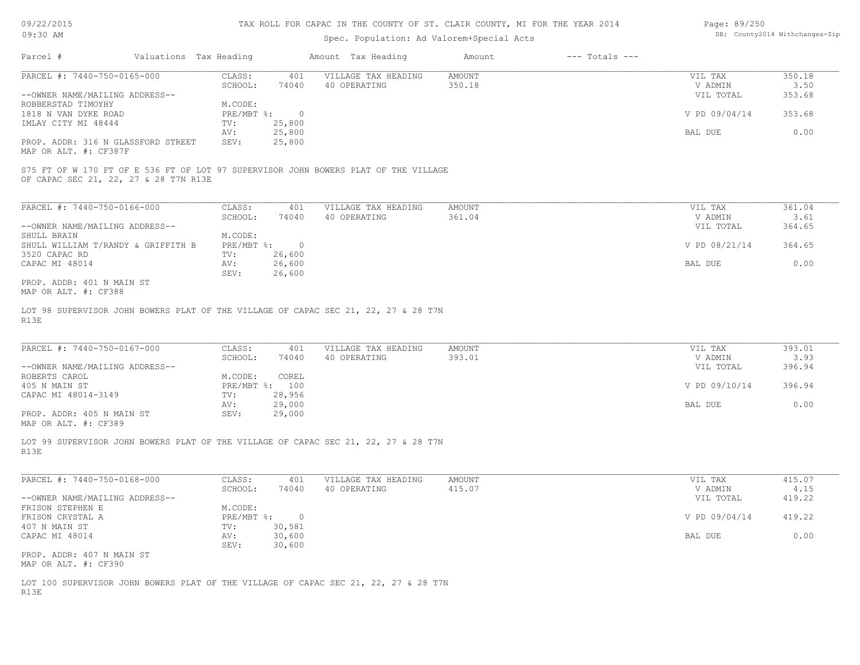| 09/22/2015 |  |  |
|------------|--|--|
|------------|--|--|

| Page: 89/250 |                                |
|--------------|--------------------------------|
|              | DB: County2014 Withchanges-Zip |

| 09:30 AM                                                                                   |                        |               | DB: County2014 Withchanges-Zip |                     |        |                    |                |        |
|--------------------------------------------------------------------------------------------|------------------------|---------------|--------------------------------|---------------------|--------|--------------------|----------------|--------|
| Parcel #                                                                                   | Valuations Tax Heading |               |                                | Amount Tax Heading  | Amount | $---$ Totals $---$ |                |        |
| PARCEL #: 7440-750-0165-000                                                                |                        | CLASS:        | 401                            | VILLAGE TAX HEADING | AMOUNT |                    | VIL TAX        | 350.18 |
|                                                                                            |                        | SCHOOL:       | 74040                          | 40 OPERATING        | 350.18 |                    | V ADMIN        | 3.50   |
| --OWNER NAME/MAILING ADDRESS--                                                             |                        |               |                                |                     |        |                    | VIL TOTAL      | 353.68 |
| ROBBERSTAD TIMOYHY                                                                         |                        | M.CODE:       |                                |                     |        |                    |                |        |
| 1818 N VAN DYKE ROAD                                                                       |                        | PRE/MBT %:    | $\overline{0}$                 |                     |        |                    | V PD 09/04/14  | 353.68 |
| IMLAY CITY MI 48444                                                                        |                        | TV:           | 25,800                         |                     |        |                    |                |        |
|                                                                                            |                        | AV:           | 25,800                         |                     |        |                    | <b>BAL DUE</b> | 0.00   |
| PROP. ADDR: 316 N GLASSFORD STREET                                                         |                        | SEV:          | 25,800                         |                     |        |                    |                |        |
| MAP OR ALT. #: CF387F                                                                      |                        |               |                                |                     |        |                    |                |        |
| OF CAPAC SEC 21, 22, 27 & 28 T7N R13E                                                      |                        |               |                                |                     |        |                    |                |        |
| PARCEL #: 7440-750-0166-000                                                                |                        | CLASS:        | 401                            | VILLAGE TAX HEADING | AMOUNT |                    | VIL TAX        | 361.04 |
|                                                                                            |                        | SCHOOL:       | 74040                          | 40 OPERATING        | 361.04 |                    | V ADMIN        | 3.61   |
| --OWNER NAME/MAILING ADDRESS--                                                             |                        |               |                                |                     |        |                    | VIL TOTAL      | 364.65 |
| SHULL BRAIN                                                                                |                        | M.CODE:       |                                |                     |        |                    |                |        |
| SHULL WILLIAM T/RANDY & GRIFFITH B                                                         |                        | PRE/MBT %:    | $\bigcirc$                     |                     |        |                    | V PD 08/21/14  | 364.65 |
| 3520 CAPAC RD                                                                              |                        | $\text{TV}$ : | 26,600                         |                     |        |                    |                |        |
| CAPAC MI 48014                                                                             |                        | AV:           | 26,600                         |                     |        |                    | BAL DUE        | 0.00   |
|                                                                                            |                        | SEV:          | 26,600                         |                     |        |                    |                |        |
| PROP. ADDR: 401 N MAIN ST                                                                  |                        |               |                                |                     |        |                    |                |        |
| MAP OR ALT. #: CF388                                                                       |                        |               |                                |                     |        |                    |                |        |
| LOT 98 SUPERVISOR JOHN BOWERS PLAT OF THE VILLAGE OF CAPAC SEC 21, 22, 27 & 28 T7N<br>R13E |                        |               |                                |                     |        |                    |                |        |
| PARCEL #: 7440-750-0167-000                                                                |                        | CLASS:        | 401                            | VILLAGE TAX HEADING | AMOUNT |                    | VIL TAX        | 393.01 |
|                                                                                            |                        | SCHOOL:       | 74040                          | 40 OPERATING        | 393.01 |                    | V ADMIN        | 3.93   |
| --OWNER NAME/MAILING ADDRESS--                                                             |                        |               |                                |                     |        |                    | VIL TOTAL      | 396.94 |
| זמסגי פייספפמס                                                                             |                        | M CODE.       | <b>COPFT</b>                   |                     |        |                    |                |        |

| ROBERTS CAROL                                     | COREL<br>M.CODE:        |               |        |
|---------------------------------------------------|-------------------------|---------------|--------|
| 405 N MAIN ST                                     | 100<br>$PRE/MBT$ $\div$ | V PD 09/10/14 | 396.94 |
| CAPAC MI 48014-3149                               | 28,956<br>TV:           |               |        |
|                                                   | 29,000<br>AV:           | BAL DUE       | 0.00   |
| PROP. ADDR: 405 N MAIN ST<br>MAP OR ALT. #: CF389 | 29,000<br>SEV:          |               |        |

R13E LOT 99 SUPERVISOR JOHN BOWERS PLAT OF THE VILLAGE OF CAPAC SEC 21, 22, 27 & 28 T7N

| PARCEL #: 7440-750-0168-000    | CLASS:     | 401    | VILLAGE TAX HEADING | AMOUNT | VIL TAX       | 415.07 |
|--------------------------------|------------|--------|---------------------|--------|---------------|--------|
|                                | SCHOOL:    | 74040  | 40 OPERATING        | 415.07 | V ADMIN       | 4.15   |
| --OWNER NAME/MAILING ADDRESS-- |            |        |                     |        | VIL TOTAL     | 419.22 |
| FRISON STEPHEN E               | M.CODE:    |        |                     |        |               |        |
| FRISON CRYSTAL A               | PRE/MBT %: |        |                     |        | V PD 09/04/14 | 419.22 |
| 407 N MAIN ST                  | TV:        | 30,581 |                     |        |               |        |
| CAPAC MI 48014                 | AV:        | 30,600 |                     |        | BAL DUE       | 0.00   |
|                                | SEV:       | 30,600 |                     |        |               |        |
| PROP. ADDR: 407 N MAIN ST      |            |        |                     |        |               |        |
| MAP OR ALT. #: CF390           |            |        |                     |        |               |        |

R13E LOT 100 SUPERVISOR JOHN BOWERS PLAT OF THE VILLAGE OF CAPAC SEC 21, 22, 27 & 28 T7N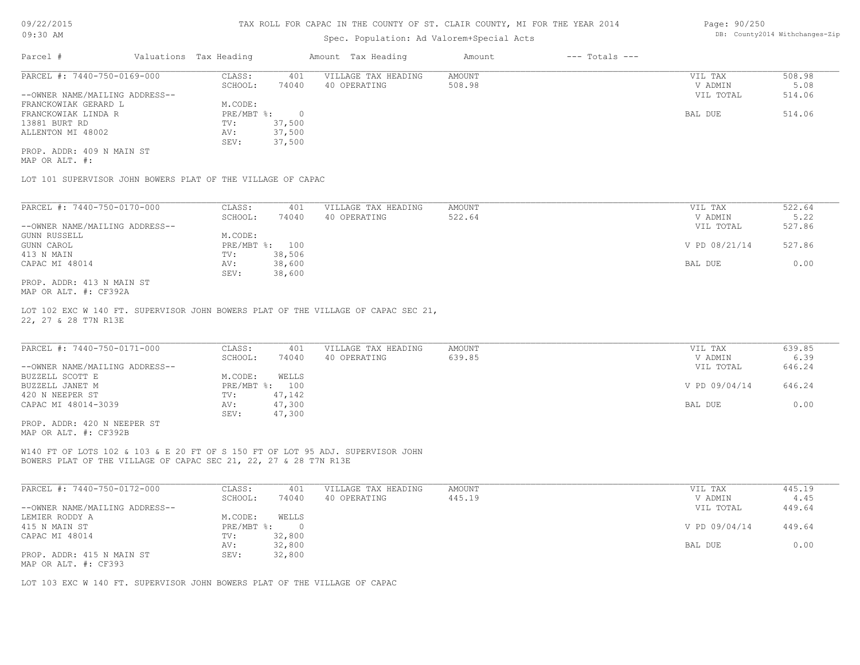### Spec. Population: Ad Valorem+Special Acts

| Parcel #                       | Valuations Tax Heading |        | Amount Tax Heading  | Amount | $---$ Totals $---$ |           |        |
|--------------------------------|------------------------|--------|---------------------|--------|--------------------|-----------|--------|
| PARCEL #: 7440-750-0169-000    | CLASS:                 | 401    | VILLAGE TAX HEADING | AMOUNT |                    | VIL TAX   | 508.98 |
|                                | SCHOOL:                | 74040  | 40 OPERATING        | 508.98 |                    | V ADMIN   | 5.08   |
| --OWNER NAME/MAILING ADDRESS-- |                        |        |                     |        |                    | VIL TOTAL | 514.06 |
| FRANCKOWIAK GERARD L           | M.CODE:                |        |                     |        |                    |           |        |
| FRANCKOWIAK LINDA R            | PRE/MBT %:             |        |                     |        |                    | BAL DUE   | 514.06 |
| 13881 BURT RD                  | TV:                    | 37,500 |                     |        |                    |           |        |
| ALLENTON MI 48002              | AV:                    | 37,500 |                     |        |                    |           |        |
|                                | SEV:                   | 37,500 |                     |        |                    |           |        |

MAP OR ALT. #: PROP. ADDR: 409 N MAIN ST

LOT 101 SUPERVISOR JOHN BOWERS PLAT OF THE VILLAGE OF CAPAC

| PARCEL #: 7440-750-0170-000    | CLASS:     | 401    | VILLAGE TAX HEADING | AMOUNT | VIL TAX       | 522.64 |
|--------------------------------|------------|--------|---------------------|--------|---------------|--------|
|                                | SCHOOL:    | 74040  | 40 OPERATING        | 522.64 | V ADMIN       | 5.22   |
| --OWNER NAME/MAILING ADDRESS-- |            |        |                     |        | VIL TOTAL     | 527.86 |
| GUNN RUSSELL                   | M.CODE:    |        |                     |        |               |        |
| GUNN CAROL                     | PRE/MBT %: | 100    |                     |        | V PD 08/21/14 | 527.86 |
| 413 N MAIN                     | TV:        | 38,506 |                     |        |               |        |
| CAPAC MI 48014                 | AV:        | 38,600 |                     |        | BAL DUE       | 0.00   |
|                                | SEV:       | 38,600 |                     |        |               |        |
| PROP. ADDR: 413 N MAIN ST      |            |        |                     |        |               |        |

MAP OR ALT. #: CF392A

22, 27 & 28 T7N R13E LOT 102 EXC W 140 FT. SUPERVISOR JOHN BOWERS PLAT OF THE VILLAGE OF CAPAC SEC 21,

| PARCEL #: 7440-750-0171-000    | CLASS:  | 401            | VILLAGE TAX HEADING | AMOUNT | VIL TAX       | 639.85 |
|--------------------------------|---------|----------------|---------------------|--------|---------------|--------|
|                                | SCHOOL: | 74040          | 40 OPERATING        | 639.85 | V ADMIN       | 6.39   |
| --OWNER NAME/MAILING ADDRESS-- |         |                |                     |        | VIL TOTAL     | 646.24 |
| BUZZELL SCOTT E                | M.CODE: | WELLS          |                     |        |               |        |
| BUZZELL JANET M                |         | PRE/MBT %: 100 |                     |        | V PD 09/04/14 | 646.24 |
| 420 N NEEPER ST                | TV:     | 47,142         |                     |        |               |        |
| CAPAC MI 48014-3039            | AV:     | 47,300         |                     |        | BAL DUE       | 0.00   |
|                                | SEV:    | 47,300         |                     |        |               |        |
| PROP. ADDR: 420 N NEEPER ST    |         |                |                     |        |               |        |

MAP OR ALT. #: CF392B

BOWERS PLAT OF THE VILLAGE OF CAPAC SEC 21, 22, 27 & 28 T7N R13E W140 FT OF LOTS 102 & 103 & E 20 FT OF S 150 FT OF LOT 95 ADJ. SUPERVISOR JOHN

| PARCEL #: 7440-750-0172-000    | CLASS:     | 401    | VILLAGE TAX HEADING | AMOUNT | VIL TAX       | 445.19 |
|--------------------------------|------------|--------|---------------------|--------|---------------|--------|
|                                | SCHOOL:    | 74040  | 40 OPERATING        | 445.19 | V ADMIN       | 4.45   |
| --OWNER NAME/MAILING ADDRESS-- |            |        |                     |        | VIL TOTAL     | 449.64 |
| LEMIER RODDY A                 | M.CODE:    | WELLS  |                     |        |               |        |
| 415 N MAIN ST                  | PRE/MBT %: |        |                     |        | V PD 09/04/14 | 449.64 |
| CAPAC MI 48014                 | TV:        | 32,800 |                     |        |               |        |
|                                | AV:        | 32,800 |                     |        | BAL DUE       | 0.00   |
| PROP. ADDR: 415 N MAIN ST      | SEV:       | 32,800 |                     |        |               |        |
| MAP OR ALT. #: CF393           |            |        |                     |        |               |        |

LOT 103 EXC W 140 FT. SUPERVISOR JOHN BOWERS PLAT OF THE VILLAGE OF CAPAC

Page: 90/250 DB: County2014 Withchanges-Zip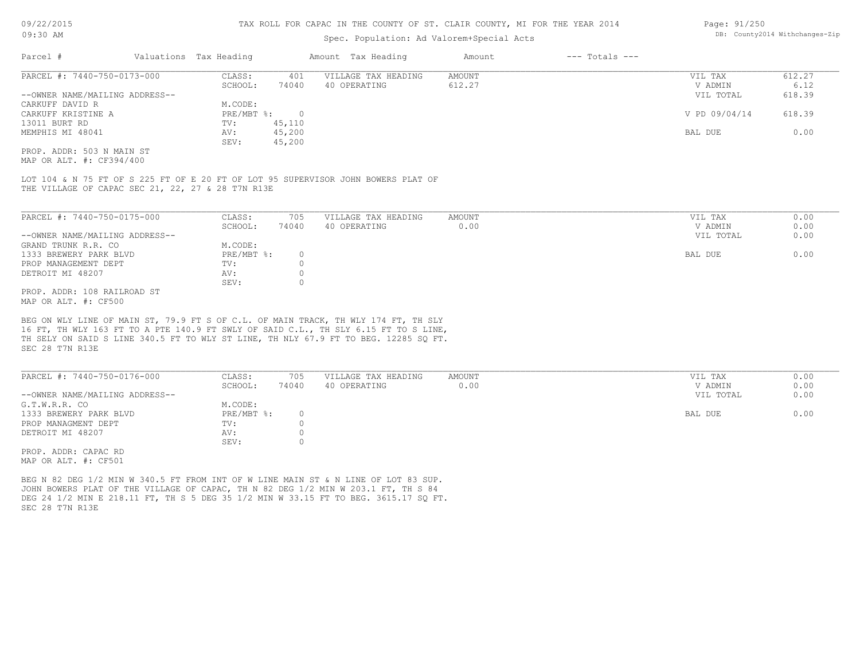#### TAX ROLL FOR CAPAC IN THE COUNTY OF ST. CLAIR COUNTY, MI FOR THE YEAR 2014

### Spec. Population: Ad Valorem+Special Acts

| Parcel #                       | Valuations Tax Heading |        | Amount Tax Heading  | Amount | $---$ Totals $---$ |               |        |
|--------------------------------|------------------------|--------|---------------------|--------|--------------------|---------------|--------|
| PARCEL #: 7440-750-0173-000    | CLASS:                 | 401    | VILLAGE TAX HEADING | AMOUNT |                    | VIL TAX       | 612.27 |
|                                | SCHOOL:                | 74040  | 40 OPERATING        | 612.27 |                    | V ADMIN       | 6.12   |
| --OWNER NAME/MAILING ADDRESS-- |                        |        |                     |        |                    | VIL TOTAL     | 618.39 |
| CARKUFF DAVID R                | M.CODE:                |        |                     |        |                    |               |        |
| CARKUFF KRISTINE A             | PRE/MBT %:             |        |                     |        |                    | V PD 09/04/14 | 618.39 |
| 13011 BURT RD                  | TV:                    | 45,110 |                     |        |                    |               |        |
| MEMPHIS MI 48041               | AV:                    | 45,200 |                     |        |                    | BAL DUE       | 0.00   |
|                                | SEV:                   | 45,200 |                     |        |                    |               |        |

MAP OR ALT. #: CF394/400 PROP. ADDR: 503 N MAIN ST

THE VILLAGE OF CAPAC SEC 21, 22, 27 & 28 T7N R13E LOT 104 & N 75 FT OF S 225 FT OF E 20 FT OF LOT 95 SUPERVISOR JOHN BOWERS PLAT OF

| PARCEL #: 7440-750-0175-000    | CLASS:       | 705   | VILLAGE TAX HEADING | AMOUNT | VIL TAX   | 0.00 |
|--------------------------------|--------------|-------|---------------------|--------|-----------|------|
|                                | SCHOOL:      | 74040 | 40 OPERATING        | 0.00   | V ADMIN   | 0.00 |
| --OWNER NAME/MAILING ADDRESS-- |              |       |                     |        | VIL TOTAL | 0.00 |
| GRAND TRUNK R.R. CO            | M.CODE:      |       |                     |        |           |      |
| 1333 BREWERY PARK BLVD         | $PRE/MBT$ %: |       |                     |        | BAL DUE   | 0.00 |
| PROP MANAGEMENT DEPT           | TV:          |       |                     |        |           |      |
| DETROIT MI 48207               | AV:          |       |                     |        |           |      |
|                                | SEV:         |       |                     |        |           |      |
| PROP. ADDR: 108 RAILROAD ST    |              |       |                     |        |           |      |
|                                |              |       |                     |        |           |      |

MAP OR ALT. #: CF500

SEC 28 T7N R13E TH SELY ON SAID S LINE 340.5 FT TO WLY ST LINE, TH NLY 67.9 FT TO BEG. 12285 SQ FT. 16 FT, TH WLY 163 FT TO A PTE 140.9 FT SWLY OF SAID C.L., TH SLY 6.15 FT TO S LINE, BEG ON WLY LINE OF MAIN ST, 79.9 FT S OF C.L. OF MAIN TRACK, TH WLY 174 FT, TH SLY

| PARCEL #: 7440-750-0176-000    | CLASS:       | 705   | VILLAGE TAX HEADING | AMOUNT | VIL TAX   | 0.00 |
|--------------------------------|--------------|-------|---------------------|--------|-----------|------|
|                                | SCHOOL:      | 74040 | 40 OPERATING        | 0.00   | V ADMIN   | 0.00 |
| --OWNER NAME/MAILING ADDRESS-- |              |       |                     |        | VIL TOTAL | 0.00 |
| G.T.W.R.R. CO                  | M.CODE:      |       |                     |        |           |      |
| 1333 BREWERY PARK BLVD         | $PRE/MBT$ %: |       |                     |        | BAL DUE   | 0.00 |
| PROP MANAGMENT DEPT            | TV:          |       |                     |        |           |      |
| DETROIT MI 48207               | AV:          |       |                     |        |           |      |
|                                | SEV:         |       |                     |        |           |      |
| PROP. ADDR: CAPAC RD           |              |       |                     |        |           |      |

MAP OR ALT. #: CF501

SEC 28 T7N R13E DEG 24 1/2 MIN E 218.11 FT, TH S 5 DEG 35 1/2 MIN W 33.15 FT TO BEG. 3615.17 SO FT. JOHN BOWERS PLAT OF THE VILLAGE OF CAPAC, TH N 82 DEG 1/2 MIN W 203.1 FT, TH S 84 BEG N 82 DEG 1/2 MIN W 340.5 FT FROM INT OF W LINE MAIN ST & N LINE OF LOT 83 SUP.

Page: 91/250 DB: County2014 Withchanges-Zip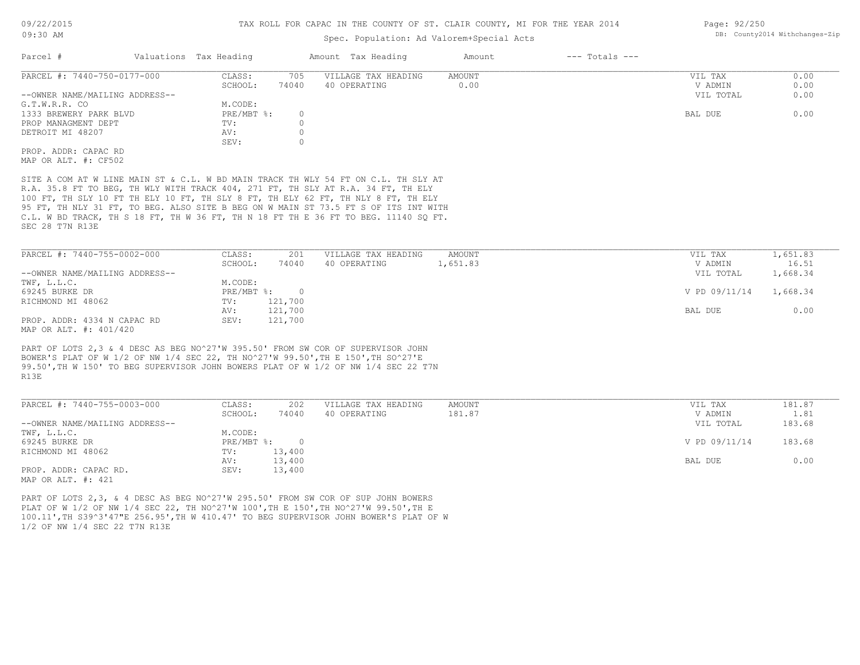### Spec. Population: Ad Valorem+Special Acts

| Parcel #                       | Valuations Tax Heading |       | Amount Tax Heading  | Amount | $---$ Totals $---$ |           |      |
|--------------------------------|------------------------|-------|---------------------|--------|--------------------|-----------|------|
| PARCEL #: 7440-750-0177-000    | CLASS:                 | 705   | VILLAGE TAX HEADING | AMOUNT |                    | VIL TAX   | 0.00 |
|                                | SCHOOL:                | 74040 | 40 OPERATING        | 0.00   |                    | V ADMIN   | 0.00 |
| --OWNER NAME/MAILING ADDRESS-- |                        |       |                     |        |                    | VIL TOTAL | 0.00 |
| G.T.W.R.R. CO                  | M.CODE:                |       |                     |        |                    |           |      |
| 1333 BREWERY PARK BLVD         | $PRE/MBT$ $\div$       |       |                     |        |                    | BAL DUE   | 0.00 |
| PROP MANAGMENT DEPT            | TV:                    |       |                     |        |                    |           |      |
| DETROIT MI 48207               | AV:                    |       |                     |        |                    |           |      |
|                                | SEV:                   |       |                     |        |                    |           |      |
| PROP. ADDR: CAPAC RD           |                        |       |                     |        |                    |           |      |
| MAP OR ALT. #: CF502           |                        |       |                     |        |                    |           |      |

SEC 28 T7N R13E C.L. W BD TRACK, TH S 18 FT, TH W 36 FT, TH N 18 FT TH E 36 FT TO BEG. 11140 SQ FT. 95 FT, TH NLY 31 FT, TO BEG. ALSO SITE B BEG ON W MAIN ST 73.5 FT S OF ITS INT WITH 100 FT, TH SLY 10 FT TH ELY 10 FT, TH SLY 8 FT, TH ELY 62 FT, TH NLY 8 FT, TH ELY R.A. 35.8 FT TO BEG, TH WLY WITH TRACK 404, 271 FT, TH SLY AT R.A. 34 FT, TH ELY SITE A COM AT W LINE MAIN ST & C.L. W BD MAIN TRACK TH WLY 54 FT ON C.L. TH SLY AT

| PARCEL #: 7440-755-0002-000    | CLASS:       | 201     | VILLAGE TAX HEADING | AMOUNT   | VIL TAX       | 1,651.83 |
|--------------------------------|--------------|---------|---------------------|----------|---------------|----------|
|                                | SCHOOL:      | 74040   | 40 OPERATING        | 1,651.83 | V ADMIN       | 16.51    |
| --OWNER NAME/MAILING ADDRESS-- |              |         |                     |          | VIL TOTAL     | 1,668.34 |
| TWF, L.L.C.                    | M.CODE:      |         |                     |          |               |          |
| 69245 BURKE DR                 | $PRE/MBT$ %: |         |                     |          | V PD 09/11/14 | 1,668.34 |
| RICHMOND MI 48062              | TV:          | 121,700 |                     |          |               |          |
|                                | AV:          | 121,700 |                     |          | BAL DUE       | 0.00     |
| PROP. ADDR: 4334 N CAPAC RD    | SEV:         | 121,700 |                     |          |               |          |
| MAP OR ALT. #: 401/420         |              |         |                     |          |               |          |

99.50',TH W 150' TO BEG SUPERVISOR JOHN BOWERS PLAT OF W 1/2 OF NW 1/4 SEC 22 T7N BOWER'S PLAT OF W 1/2 OF NW 1/4 SEC 22, TH NO^27'W 99.50',TH E 150',TH SO^27'E PART OF LOTS 2,3 & 4 DESC AS BEG NO^27'W 395.50' FROM SW COR OF SUPERVISOR JOHN

R13E

| PARCEL #: 7440-755-0003-000    | CLASS:     | 202      | VILLAGE TAX HEADING | AMOUNT | VIL TAX       | 181.87 |
|--------------------------------|------------|----------|---------------------|--------|---------------|--------|
|                                | SCHOOL:    | 74040    | 40 OPERATING        | 181.87 | V ADMIN       | 1.81   |
| --OWNER NAME/MAILING ADDRESS-- |            |          |                     |        | VIL TOTAL     | 183.68 |
| TWF, L.L.C.                    | M.CODE:    |          |                     |        |               |        |
| 69245 BURKE DR                 | PRE/MBT %: | $\Omega$ |                     |        | V PD 09/11/14 | 183.68 |
| RICHMOND MI 48062              | TV:        | 13,400   |                     |        |               |        |
|                                | AV:        | 13,400   |                     |        | BAL DUE       | 0.00   |
| PROP. ADDR: CAPAC RD.          | SEV:       | 13,400   |                     |        |               |        |
| $\frac{1}{2}$                  |            |          |                     |        |               |        |

MAP OR ALT. #: 421

1/2 OF NW 1/4 SEC 22 T7N R13E 100.11',TH S39^3'47"E 256.95',TH W 410.47' TO BEG SUPERVISOR JOHN BOWER'S PLAT OF W PLAT OF W 1/2 OF NW 1/4 SEC 22, TH NO^27'W 100',TH E 150',TH NO^27'W 99.50',TH E PART OF LOTS 2,3, & 4 DESC AS BEG NO^27'W 295.50' FROM SW COR OF SUP JOHN BOWERS

Page: 92/250 DB: County2014 Withchanges-Zip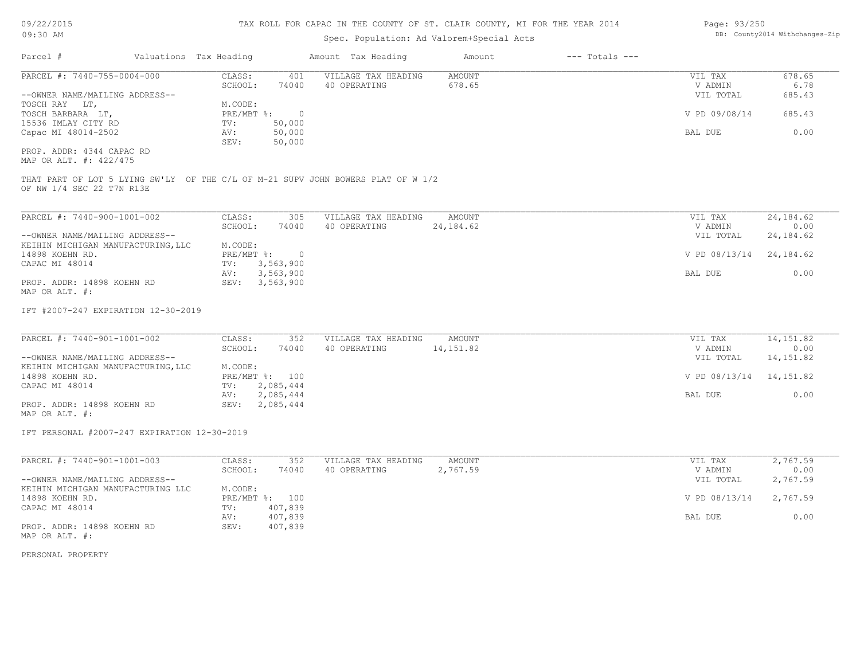| 09/22/2015 |  |
|------------|--|
| 09:30 AM   |  |

## Spec. Population: Ad Valorem+Special Acts

| Page: 93/250 |                                |
|--------------|--------------------------------|
|              | DB: County2014 Withchanges-Zip |

| Parcel #                                                                                                                                                                                                 | Valuations Tax Heading                                                                                                   | Amount Tax Heading                                                               | Amount               | $---$ Totals $---$ |                                                                       |                                                  |
|----------------------------------------------------------------------------------------------------------------------------------------------------------------------------------------------------------|--------------------------------------------------------------------------------------------------------------------------|----------------------------------------------------------------------------------|----------------------|--------------------|-----------------------------------------------------------------------|--------------------------------------------------|
| PARCEL #: 7440-755-0004-000<br>--OWNER NAME/MAILING ADDRESS--<br>TOSCH RAY LT,<br>TOSCH BARBARA LT,<br>15536 IMLAY CITY RD<br>Capac MI 48014-2502<br>PROP. ADDR: 4344 CAPAC RD<br>MAP OR ALT. #: 422/475 | CLASS:<br>401<br>SCHOOL:<br>74040<br>M.CODE:<br>PRE/MBT %: 0<br>50,000<br>TV:<br>AV:<br>50,000<br>50,000<br>SEV:         | VILLAGE TAX HEADING<br>40 OPERATING                                              | AMOUNT<br>678.65     |                    | VIL TAX<br>V ADMIN<br>VIL TOTAL<br>V PD 09/08/14<br>BAL DUE           | 678.65<br>6.78<br>685.43<br>685.43<br>0.00       |
| OF NW 1/4 SEC 22 T7N R13E                                                                                                                                                                                |                                                                                                                          | THAT PART OF LOT 5 LYING SW'LY OF THE C/L OF M-21 SUPV JOHN BOWERS PLAT OF W 1/2 |                      |                    |                                                                       |                                                  |
| PARCEL #: 7440-900-1001-002<br>--OWNER NAME/MAILING ADDRESS--<br>KEIHIN MICHIGAN MANUFACTURING, LLC<br>14898 KOEHN RD.                                                                                   | CLASS:<br>305<br>SCHOOL:<br>74040<br>M.CODE:<br>PRE/MBT %:<br>$\overline{0}$                                             | VILLAGE TAX HEADING<br>40 OPERATING                                              | AMOUNT<br>24,184.62  |                    | VIL TAX<br>V ADMIN<br>VIL TOTAL<br>V PD 08/13/14                      | 24, 184.62<br>0.00<br>24, 184.62<br>24,184.62    |
| CAPAC MI 48014<br>PROP. ADDR: 14898 KOEHN RD<br>MAP OR ALT. #:                                                                                                                                           | 3,563,900<br>TV:<br>3,563,900<br>AV:<br>SEV: 3,563,900                                                                   |                                                                                  |                      |                    | BAL DUE                                                               | 0.00                                             |
| IFT #2007-247 EXPIRATION 12-30-2019                                                                                                                                                                      |                                                                                                                          |                                                                                  |                      |                    |                                                                       |                                                  |
| PARCEL #: 7440-901-1001-002<br>--OWNER NAME/MAILING ADDRESS--<br>KEIHIN MICHIGAN MANUFACTURING, LLC<br>14898 KOEHN RD.<br>CAPAC MI 48014<br>PROP. ADDR: 14898 KOEHN RD<br>MAP OR ALT. #:                 | CLASS:<br>352<br>SCHOOL:<br>74040<br>M.CODE:<br>PRE/MBT %: 100<br>2,085,444<br>TV:<br>2,085,444<br>AV:<br>SEV: 2,085,444 | VILLAGE TAX HEADING<br>40 OPERATING                                              | AMOUNT<br>14, 151.82 |                    | VIL TAX<br>V ADMIN<br>VIL TOTAL<br>V PD 08/13/14 14,151.82<br>BAL DUE | 14, 151.82<br>0.00<br>14, 151.82<br>0.00         |
| IFT PERSONAL #2007-247 EXPIRATION 12-30-2019                                                                                                                                                             |                                                                                                                          |                                                                                  |                      |                    |                                                                       |                                                  |
| PARCEL #: 7440-901-1001-003<br>--OWNER NAME/MAILING ADDRESS--<br>KEIHIN MICHIGAN MANUFACTURING LLC<br>14898 KOEHN RD.<br>CAPAC MI 48014                                                                  | CLASS:<br>352<br>SCHOOL:<br>74040<br>M.CODE:<br>PRE/MBT %: 100<br>407,839<br>TV:<br>407,839<br>AV:                       | VILLAGE TAX HEADING<br>40 OPERATING                                              | AMOUNT<br>2,767.59   |                    | VIL TAX<br>V ADMIN<br>VIL TOTAL<br>V PD 08/13/14<br>BAL DUE           | 2,767.59<br>0.00<br>2,767.59<br>2,767.59<br>0.00 |
| PROP. ADDR: 14898 KOEHN RD<br>MAP OR ALT. #:                                                                                                                                                             | SEV:<br>407,839                                                                                                          |                                                                                  |                      |                    |                                                                       |                                                  |

PERSONAL PROPERTY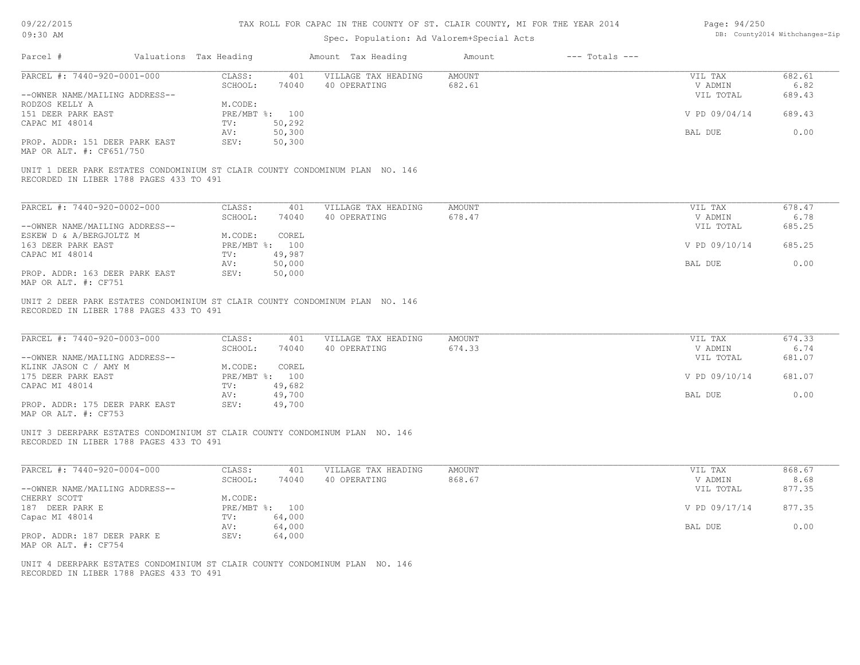| 09/22/2015 |  |
|------------|--|
|------------|--|

| Page: 94/250 |                                |
|--------------|--------------------------------|
|              | DB: County2014 Withchanges-Zip |

| 09:30 AM                                                                                                               |                        |                | Spec. Population: Ad Valorem+Special Acts                                    | DB: County2014 Withchanges-Zip |                    |                                 |                          |
|------------------------------------------------------------------------------------------------------------------------|------------------------|----------------|------------------------------------------------------------------------------|--------------------------------|--------------------|---------------------------------|--------------------------|
| Parcel #                                                                                                               | Valuations Tax Heading |                | Amount Tax Heading                                                           | Amount                         | $---$ Totals $---$ |                                 |                          |
| PARCEL #: 7440-920-0001-000                                                                                            | CLASS:                 | 401            | VILLAGE TAX HEADING                                                          | AMOUNT                         |                    | VIL TAX                         | 682.61                   |
|                                                                                                                        | SCHOOL:                | 74040          | 40 OPERATING                                                                 | 682.61                         |                    | V ADMIN                         | 6.82                     |
| --OWNER NAME/MAILING ADDRESS--                                                                                         |                        |                |                                                                              |                                |                    | VIL TOTAL                       | 689.43                   |
| RODZOS KELLY A                                                                                                         | M.CODE:                |                |                                                                              |                                |                    |                                 |                          |
| 151 DEER PARK EAST                                                                                                     |                        | PRE/MBT %: 100 |                                                                              |                                |                    | V PD 09/04/14                   | 689.43                   |
| CAPAC MI 48014                                                                                                         | TV:                    | 50,292         |                                                                              |                                |                    |                                 |                          |
|                                                                                                                        | AV:                    | 50,300         |                                                                              |                                |                    | BAL DUE                         | 0.00                     |
| PROP. ADDR: 151 DEER PARK EAST                                                                                         | SEV:                   | 50,300         |                                                                              |                                |                    |                                 |                          |
| MAP OR ALT. #: CF651/750                                                                                               |                        |                |                                                                              |                                |                    |                                 |                          |
| RECORDED IN LIBER 1788 PAGES 433 TO 491                                                                                |                        |                | UNIT 1 DEER PARK ESTATES CONDOMINIUM ST CLAIR COUNTY CONDOMINUM PLAN NO. 146 |                                |                    |                                 |                          |
| PARCEL #: 7440-920-0002-000                                                                                            | CLASS:                 | 401            | VILLAGE TAX HEADING                                                          | <b>AMOUNT</b>                  |                    | VIL TAX                         | 678.47                   |
|                                                                                                                        | SCHOOL:                | 74040          | 40 OPERATING                                                                 | 678.47                         |                    | V ADMIN                         | 6.78                     |
| --OWNER NAME/MAILING ADDRESS--                                                                                         |                        |                |                                                                              |                                |                    | VIL TOTAL                       | 685.25                   |
| ESKEW D & A/BERGJOLTZ M                                                                                                | M.CODE:                | COREL          |                                                                              |                                |                    |                                 |                          |
| 163 DEER PARK EAST                                                                                                     | PRE/MBT %: 100         |                |                                                                              |                                |                    | V PD 09/10/14                   | 685.25                   |
| CAPAC MI 48014                                                                                                         | TV:                    | 49,987         |                                                                              |                                |                    |                                 |                          |
|                                                                                                                        | AV:                    | 50,000         |                                                                              |                                |                    | BAL DUE                         | 0.00                     |
| PROP. ADDR: 163 DEER PARK EAST                                                                                         | SEV:                   | 50,000         |                                                                              |                                |                    |                                 |                          |
| MAP OR ALT. #: CF751                                                                                                   |                        |                |                                                                              |                                |                    |                                 |                          |
| PARCEL #: 7440-920-0003-000<br>--OWNER NAME/MAILING ADDRESS--                                                          | CLASS:<br>SCHOOL:      | 401<br>74040   | VILLAGE TAX HEADING<br>40 OPERATING                                          | <b>AMOUNT</b><br>674.33        |                    | VIL TAX<br>V ADMIN<br>VIL TOTAL | 674.33<br>6.74<br>681.07 |
| KLINK JASON C / AMY M                                                                                                  | M.CODE:                | COREL          |                                                                              |                                |                    |                                 |                          |
| 175 DEER PARK EAST                                                                                                     |                        | PRE/MBT %: 100 |                                                                              |                                |                    | V PD 09/10/14                   | 681.07                   |
| CAPAC MI 48014                                                                                                         | TV:                    | 49,682         |                                                                              |                                |                    |                                 |                          |
|                                                                                                                        | AV:                    | 49,700         |                                                                              |                                |                    | BAL DUE                         | 0.00                     |
| PROP. ADDR: 175 DEER PARK EAST<br>MAP OR ALT. #: CF753                                                                 | SEV:                   | 49,700         |                                                                              |                                |                    |                                 |                          |
| UNIT 3 DEERPARK ESTATES CONDOMINIUM ST CLAIR COUNTY CONDOMINUM PLAN NO. 146<br>RECORDED IN LIBER 1788 PAGES 433 TO 491 |                        |                |                                                                              |                                |                    |                                 |                          |
| PARCEL #: 7440-920-0004-000                                                                                            | CLASS:                 | 401            | VILLAGE TAX HEADING                                                          | <b>AMOUNT</b>                  |                    | VIL TAX                         | 868.67                   |
|                                                                                                                        | SCHOOL:                | 74040          | 40 OPERATING                                                                 | 868.67                         |                    | V ADMIN                         | 8.68                     |
| --OWNER NAME/MAILING ADDRESS--                                                                                         |                        |                |                                                                              |                                |                    | VIL TOTAL                       | 877.35                   |
| CHERRY SCOTT                                                                                                           | M.CODE:                |                |                                                                              |                                |                    |                                 |                          |
| 187 DEER PARK E                                                                                                        | PRE/MBT %: 100         |                |                                                                              |                                |                    | V PD 09/17/14                   | 877.35                   |
| Capac MI 48014                                                                                                         | TV:                    | 64,000         |                                                                              |                                |                    |                                 |                          |
|                                                                                                                        | AV:                    | 64,000         |                                                                              |                                |                    | BAL DUE                         | 0.00                     |
| PROP. ADDR: 187 DEER PARK E                                                                                            | SEV:                   | 64,000         |                                                                              |                                |                    |                                 |                          |
| MAP OR ALT. #: CF754                                                                                                   |                        |                |                                                                              |                                |                    |                                 |                          |
| UNIT 4 DEERPARK ESTATES CONDOMINIUM ST CLAIR COUNTY CONDOMINUM PLAN NO. 146<br>RECORDED IN LIBER 1788 PAGES 433 TO 491 |                        |                |                                                                              |                                |                    |                                 |                          |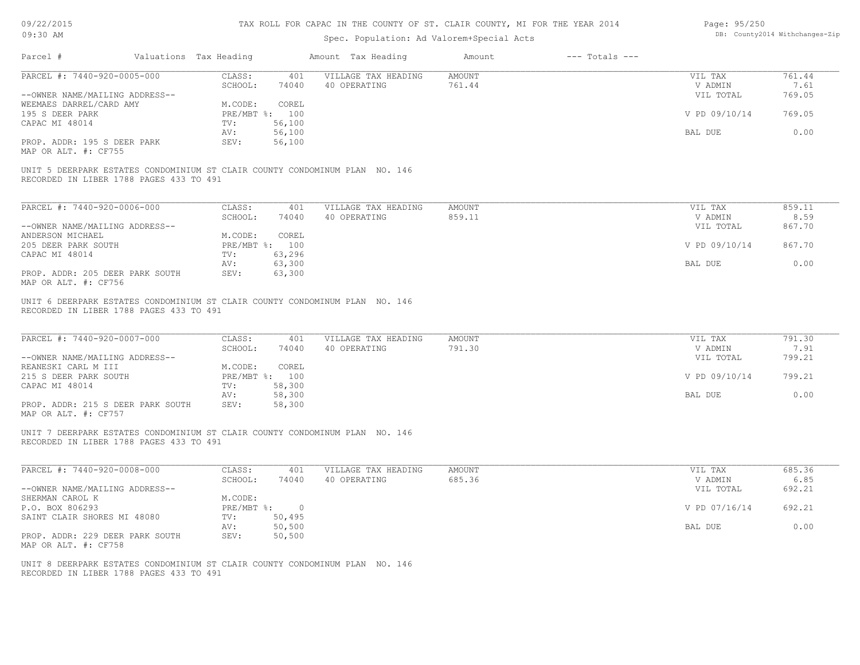| 09/22/2015 |  |
|------------|--|
| $09:30$ AM |  |

## Spec. Population: Ad Valorem+Special Acts

| Page: 95/250 |                                |
|--------------|--------------------------------|
|              | DB: County2014 Withchanges-Zip |

| Parcel #                                                                                                               | Valuations Tax Heading            | Amount Tax Heading                  | Amount                  | $---$ Totals $---$ |                                 |                          |
|------------------------------------------------------------------------------------------------------------------------|-----------------------------------|-------------------------------------|-------------------------|--------------------|---------------------------------|--------------------------|
| PARCEL #: 7440-920-0005-000                                                                                            | CLASS:<br>401                     | VILLAGE TAX HEADING                 | AMOUNT                  |                    | VIL TAX                         | 761.44                   |
|                                                                                                                        | SCHOOL:<br>74040                  | 40 OPERATING                        | 761.44                  |                    | V ADMIN                         | 7.61                     |
| --OWNER NAME/MAILING ADDRESS--                                                                                         |                                   |                                     |                         |                    | VIL TOTAL                       | 769.05                   |
| WEEMAES DARREL/CARD AMY                                                                                                | COREL<br>M.CODE:                  |                                     |                         |                    |                                 |                          |
| 195 S DEER PARK                                                                                                        | PRE/MBT %: 100                    |                                     |                         |                    | V PD 09/10/14                   | 769.05                   |
| CAPAC MI 48014                                                                                                         | 56,100<br>TV:                     |                                     |                         |                    |                                 |                          |
|                                                                                                                        | 56,100<br>AV:                     |                                     |                         |                    | BAL DUE                         | 0.00                     |
| PROP. ADDR: 195 S DEER PARK                                                                                            | SEV:<br>56,100                    |                                     |                         |                    |                                 |                          |
| MAP OR ALT. #: CF755                                                                                                   |                                   |                                     |                         |                    |                                 |                          |
| UNIT 5 DEERPARK ESTATES CONDOMINIUM ST CLAIR COUNTY CONDOMINUM PLAN NO. 146<br>RECORDED IN LIBER 1788 PAGES 433 TO 491 |                                   |                                     |                         |                    |                                 |                          |
| PARCEL #: 7440-920-0006-000                                                                                            | CLASS:<br>401                     | VILLAGE TAX HEADING                 | AMOUNT                  |                    | VIL TAX                         | 859.11                   |
|                                                                                                                        | SCHOOL:<br>74040                  | 40 OPERATING                        | 859.11                  |                    | V ADMIN                         | 8.59                     |
| --OWNER NAME/MAILING ADDRESS--                                                                                         |                                   |                                     |                         |                    | VIL TOTAL                       | 867.70                   |
| ANDERSON MICHAEL                                                                                                       | M.CODE:<br>COREL                  |                                     |                         |                    |                                 |                          |
| 205 DEER PARK SOUTH                                                                                                    | PRE/MBT %: 100                    |                                     |                         |                    | V PD 09/10/14                   | 867.70                   |
| CAPAC MI 48014                                                                                                         | TV:<br>63,296                     |                                     |                         |                    |                                 |                          |
|                                                                                                                        | 63,300<br>AV:                     |                                     |                         |                    | BAL DUE                         | 0.00                     |
| PROP. ADDR: 205 DEER PARK SOUTH                                                                                        | SEV:<br>63,300                    |                                     |                         |                    |                                 |                          |
| MAP OR ALT. #: CF756                                                                                                   |                                   |                                     |                         |                    |                                 |                          |
| PARCEL #: 7440-920-0007-000<br>--OWNER NAME/MAILING ADDRESS--                                                          | CLASS:<br>401<br>SCHOOL:<br>74040 | VILLAGE TAX HEADING<br>40 OPERATING | <b>AMOUNT</b><br>791.30 |                    | VIL TAX<br>V ADMIN<br>VIL TOTAL | 791.30<br>7.91<br>799.21 |
| REANESKI CARL M III                                                                                                    | M.CODE:<br>COREL                  |                                     |                         |                    |                                 |                          |
| 215 S DEER PARK SOUTH                                                                                                  | PRE/MBT %: 100                    |                                     |                         |                    | V PD 09/10/14                   | 799.21                   |
| CAPAC MI 48014                                                                                                         | 58,300<br>TV:                     |                                     |                         |                    |                                 |                          |
|                                                                                                                        | AV:<br>58,300                     |                                     |                         |                    | BAL DUE                         | 0.00                     |
| PROP. ADDR: 215 S DEER PARK SOUTH<br>MAP OR ALT. #: CF757                                                              | SEV:<br>58,300                    |                                     |                         |                    |                                 |                          |
| UNIT 7 DEERPARK ESTATES CONDOMINIUM ST CLAIR COUNTY CONDOMINUM PLAN NO. 146<br>RECORDED IN LIBER 1788 PAGES 433 TO 491 |                                   |                                     |                         |                    |                                 |                          |
| PARCEL #: 7440-920-0008-000                                                                                            | CLASS:<br>401                     | VILLAGE TAX HEADING                 | AMOUNT                  |                    | VIL TAX                         | 685.36                   |
|                                                                                                                        | SCHOOL:<br>74040                  | 40 OPERATING                        | 685.36                  |                    | V ADMIN                         | 6.85                     |
| --OWNER NAME/MAILING ADDRESS--                                                                                         |                                   |                                     |                         |                    | VIL TOTAL                       | 692.21                   |
| SHERMAN CAROL K                                                                                                        | M.CODE:                           |                                     |                         |                    |                                 |                          |
| P.O. BOX 806293                                                                                                        | PRE/MBT %: 0                      |                                     |                         |                    | V PD 07/16/14                   | 692.21                   |
| SAINT CLAIR SHORES MI 48080                                                                                            | TV: 50,495                        |                                     |                         |                    |                                 |                          |
|                                                                                                                        | 50,500<br>AV:                     |                                     |                         |                    | BAL DUE                         | 0.00                     |
| PROP. ADDR: 229 DEER PARK SOUTH                                                                                        | SEV:<br>50,500                    |                                     |                         |                    |                                 |                          |
| MAP OR ALT. #: CF758                                                                                                   |                                   |                                     |                         |                    |                                 |                          |
|                                                                                                                        |                                   |                                     |                         |                    |                                 |                          |
| UNIT 8 DEERPARK ESTATES CONDOMINIUM ST CLAIR COUNTY CONDOMINUM PLAN NO. 146<br>RECORDED IN LIBER 1788 PAGES 433 TO 491 |                                   |                                     |                         |                    |                                 |                          |
|                                                                                                                        |                                   |                                     |                         |                    |                                 |                          |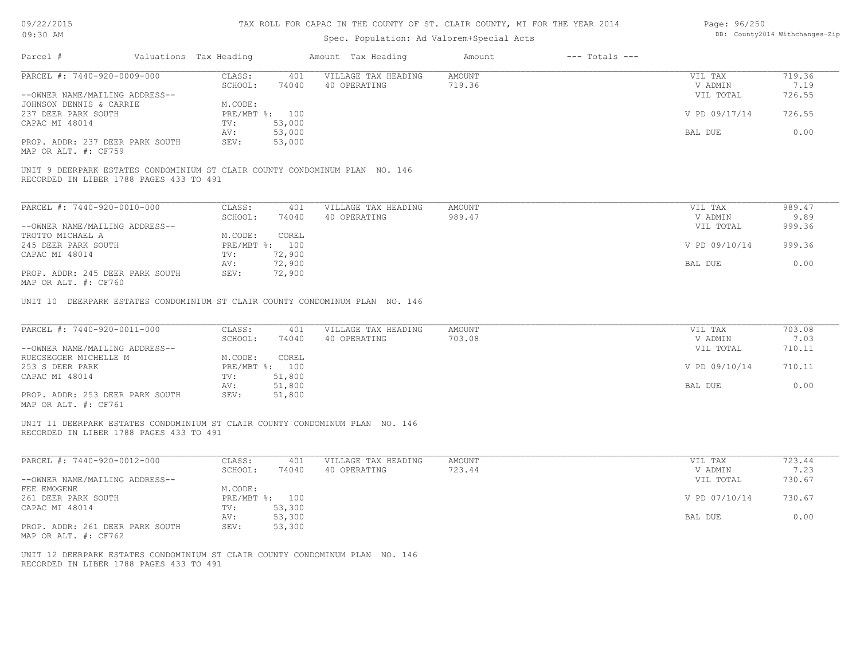| 09/22/2015 |  |
|------------|--|
|------------|--|

| Page: 96/250 |                               |
|--------------|-------------------------------|
|              | DB: County2014 Withchanges-Zi |

| 09/22/2015                                                                                                              |                                           |                         | TAX ROLL FOR CAPAC IN THE COUNTY OF ST. CLAIR COUNTY, MI FOR THE YEAR 2014 |                         |                    | Page: 96/250                    |                                |
|-------------------------------------------------------------------------------------------------------------------------|-------------------------------------------|-------------------------|----------------------------------------------------------------------------|-------------------------|--------------------|---------------------------------|--------------------------------|
| 09:30 AM                                                                                                                | Spec. Population: Ad Valorem+Special Acts |                         |                                                                            |                         |                    |                                 | DB: County2014 Withchanges-Zip |
| Parcel #                                                                                                                | Valuations Tax Heading                    |                         | Amount Tax Heading                                                         | Amount                  | $---$ Totals $---$ |                                 |                                |
| PARCEL #: 7440-920-0009-000                                                                                             | CLASS:                                    | 401                     | VILLAGE TAX HEADING                                                        | <b>AMOUNT</b>           |                    | VIL TAX                         | 719.36                         |
|                                                                                                                         | SCHOOL:                                   | 74040                   | 40 OPERATING                                                               | 719.36                  |                    | V ADMIN                         | 7.19                           |
| --OWNER NAME/MAILING ADDRESS--                                                                                          |                                           |                         |                                                                            |                         |                    | VIL TOTAL                       | 726.55                         |
| JOHNSON DENNIS & CARRIE                                                                                                 | M.CODE:                                   |                         |                                                                            |                         |                    |                                 |                                |
| 237 DEER PARK SOUTH                                                                                                     |                                           | PRE/MBT %: 100          |                                                                            |                         |                    | V PD 09/17/14                   | 726.55                         |
| CAPAC MI 48014                                                                                                          | TV:                                       | 53,000                  |                                                                            |                         |                    |                                 |                                |
|                                                                                                                         | AV:                                       | 53,000                  |                                                                            |                         |                    | BAL DUE                         | 0.00                           |
| PROP. ADDR: 237 DEER PARK SOUTH<br>MAP OR ALT. #: CF759                                                                 | SEV:                                      | 53,000                  |                                                                            |                         |                    |                                 |                                |
| UNIT 9 DEERPARK ESTATES CONDOMINIUM ST CLAIR COUNTY CONDOMINUM PLAN NO. 146<br>RECORDED IN LIBER 1788 PAGES 433 TO 491  |                                           |                         |                                                                            |                         |                    |                                 |                                |
|                                                                                                                         |                                           |                         |                                                                            |                         |                    |                                 |                                |
| PARCEL #: 7440-920-0010-000                                                                                             | CLASS:                                    | 401                     | VILLAGE TAX HEADING                                                        | AMOUNT                  |                    | VIL TAX                         | 989.47                         |
|                                                                                                                         | SCHOOL:                                   | 74040                   | 40 OPERATING                                                               | 989.47                  |                    | V ADMIN                         | 9.89                           |
| --OWNER NAME/MAILING ADDRESS--                                                                                          |                                           |                         |                                                                            |                         |                    | VIL TOTAL                       | 999.36                         |
| TROTTO MICHAEL A<br>245 DEER PARK SOUTH                                                                                 | M.CODE:                                   | COREL<br>PRE/MBT %: 100 |                                                                            |                         |                    | V PD 09/10/14                   | 999.36                         |
| CAPAC MI 48014                                                                                                          | TV:                                       | 72,900                  |                                                                            |                         |                    |                                 |                                |
|                                                                                                                         | AV:                                       | 72,900                  |                                                                            |                         |                    | BAL DUE                         | 0.00                           |
| PROP. ADDR: 245 DEER PARK SOUTH                                                                                         | SEV:                                      | 72,900                  |                                                                            |                         |                    |                                 |                                |
| MAP OR ALT. #: CF760                                                                                                    |                                           |                         |                                                                            |                         |                    |                                 |                                |
| PARCEL #: 7440-920-0011-000<br>--OWNER NAME/MAILING ADDRESS--                                                           | CLASS:<br>SCHOOL:                         | 401<br>74040            | VILLAGE TAX HEADING<br>40 OPERATING                                        | <b>AMOUNT</b><br>703.08 |                    | VIL TAX<br>V ADMIN<br>VIL TOTAL | 703.08<br>7.03<br>710.11       |
| RUEGSEGGER MICHELLE M<br>253 S DEER PARK                                                                                | M.CODE:                                   | COREL<br>PRE/MBT %: 100 |                                                                            |                         |                    | V PD 09/10/14                   | 710.11                         |
| CAPAC MI 48014                                                                                                          | TV:                                       | 51,800<br>51,800        |                                                                            |                         |                    | BAL DUE                         | 0.00                           |
| PROP. ADDR: 253 DEER PARK SOUTH                                                                                         | AV:<br>SEV:                               | 51,800                  |                                                                            |                         |                    |                                 |                                |
| MAP OR ALT. #: CF761                                                                                                    |                                           |                         |                                                                            |                         |                    |                                 |                                |
| UNIT 11 DEERPARK ESTATES CONDOMINIUM ST CLAIR COUNTY CONDOMINUM PLAN NO. 146<br>RECORDED IN LIBER 1788 PAGES 433 TO 491 |                                           |                         |                                                                            |                         |                    |                                 |                                |
| PARCEL #: 7440-920-0012-000                                                                                             | CLASS:                                    | 401                     | VILLAGE TAX HEADING                                                        | <b>AMOUNT</b>           |                    | VIL TAX                         | 723.44                         |
|                                                                                                                         | SCHOOL:                                   | 74040                   | 40 OPERATING                                                               | 723.44                  |                    | V ADMIN                         | 7.23                           |
| --OWNER NAME/MAILING ADDRESS--                                                                                          |                                           |                         |                                                                            |                         |                    | VIL TOTAL                       | 730.67                         |
| FEE EMOGENE                                                                                                             | M.CODE:                                   |                         |                                                                            |                         |                    |                                 |                                |
| 261 DEER PARK SOUTH                                                                                                     |                                           | PRE/MBT %: 100          |                                                                            |                         |                    | V PD 07/10/14                   | 730.67                         |
| CAPAC MI 48014                                                                                                          | TV:                                       | 53,300                  |                                                                            |                         |                    |                                 |                                |
|                                                                                                                         | AV:                                       | 53,300                  |                                                                            |                         |                    | BAL DUE                         | 0.00                           |
| PROP. ADDR: 261 DEER PARK SOUTH<br>MAP OR ALT. #: CF762                                                                 | SEV:                                      | 53,300                  |                                                                            |                         |                    |                                 |                                |
| UNIT 12 DEERPARK ESTATES CONDOMINIUM ST CLAIR COUNTY CONDOMINUM PLAN NO. 146<br>RECORDED IN LIBER 1788 PAGES 433 TO 491 |                                           |                         |                                                                            |                         |                    |                                 |                                |
|                                                                                                                         |                                           |                         |                                                                            |                         |                    |                                 |                                |
|                                                                                                                         |                                           |                         |                                                                            |                         |                    |                                 |                                |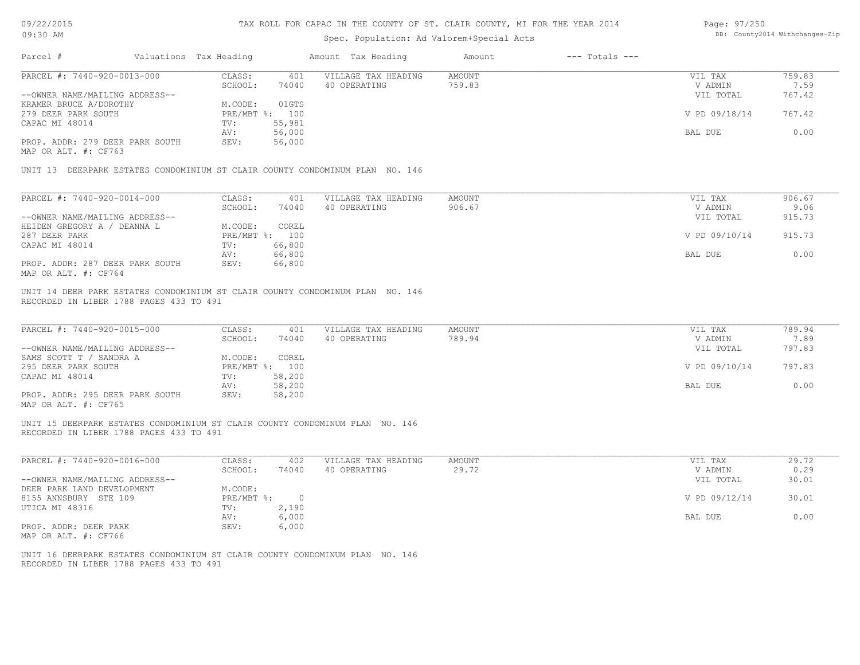| 09/22/2015                                                                    |                        |                  |                                | TAX ROLL FOR CAPAC IN THE COUNTY OF ST. CLAIR COUNTY, MI FOR THE YEAR 2014 |                    | Page: 97/250   |        |
|-------------------------------------------------------------------------------|------------------------|------------------|--------------------------------|----------------------------------------------------------------------------|--------------------|----------------|--------|
| 09:30 AM                                                                      |                        |                  | DB: County2014 Withchanges-Zip |                                                                            |                    |                |        |
|                                                                               |                        |                  |                                |                                                                            |                    |                |        |
| Parcel #                                                                      | Valuations Tax Heading |                  | Amount Tax Heading             | Amount                                                                     | $---$ Totals $---$ |                |        |
| PARCEL #: 7440-920-0013-000                                                   | CLASS:                 | 401              | VILLAGE TAX HEADING            | <b>AMOUNT</b>                                                              |                    | VIL TAX        | 759.83 |
|                                                                               | SCHOOL:                | 74040            | 40 OPERATING                   | 759.83                                                                     |                    | V ADMIN        | 7.59   |
| --OWNER NAME/MAILING ADDRESS--                                                |                        |                  |                                |                                                                            |                    | VIL TOTAL      | 767.42 |
| KRAMER BRUCE A/DOROTHY                                                        | M.CODE:                | 01GTS            |                                |                                                                            |                    |                |        |
| 279 DEER PARK SOUTH                                                           | PRE/MBT %: 100         |                  |                                |                                                                            |                    | V PD 09/18/14  | 767.42 |
| CAPAC MI 48014                                                                | TV:                    | 55,981           |                                |                                                                            |                    |                |        |
|                                                                               | AV:                    | 56,000           |                                |                                                                            |                    | BAL DUE        | 0.00   |
| PROP. ADDR: 279 DEER PARK SOUTH<br>MAP OR ALT. #: CF763                       | SEV:                   | 56,000           |                                |                                                                            |                    |                |        |
| UNIT 13 DEERPARK ESTATES CONDOMINIUM ST CLAIR COUNTY CONDOMINUM PLAN NO. 146  |                        |                  |                                |                                                                            |                    |                |        |
|                                                                               |                        |                  |                                |                                                                            |                    |                |        |
| $\overline{\text{PARCH}}$ #: 7440-920-0014-000                                | CLASS:                 | 401              | VILLAGE TAX HEADING            | <b>AMOUNT</b>                                                              |                    | VIL TAX        | 906.67 |
|                                                                               | SCHOOL:                | 74040            | 40 OPERATING                   | 906.67                                                                     |                    | V ADMIN        | 9.06   |
| --OWNER NAME/MAILING ADDRESS--                                                |                        |                  |                                |                                                                            |                    | VIL TOTAL      | 915.73 |
| HEIDEN GREGORY A / DEANNA L                                                   | M.CODE:                | COREL            |                                |                                                                            |                    |                |        |
| 287 DEER PARK                                                                 | PRE/MBT %: 100         |                  |                                |                                                                            |                    | V PD 09/10/14  | 915.73 |
| CAPAC MI 48014                                                                | TV:                    | 66,800           |                                |                                                                            |                    |                |        |
|                                                                               | AV:                    | 66,800           |                                |                                                                            |                    | BAL DUE        | 0.00   |
| PROP. ADDR: 287 DEER PARK SOUTH                                               | SEV:                   | 66,800           |                                |                                                                            |                    |                |        |
| MAP OR ALT. #: CF764                                                          |                        |                  |                                |                                                                            |                    |                |        |
| UNIT 14 DEER PARK ESTATES CONDOMINIUM ST CLAIR COUNTY CONDOMINUM PLAN NO. 146 |                        |                  |                                |                                                                            |                    |                |        |
| RECORDED IN LIBER 1788 PAGES 433 TO 491                                       |                        |                  |                                |                                                                            |                    |                |        |
|                                                                               |                        |                  |                                |                                                                            |                    |                |        |
| PARCEL #: 7440-920-0015-000                                                   | CLASS:                 | 401              | VILLAGE TAX HEADING            | <b>AMOUNT</b>                                                              |                    | VIL TAX        | 789.94 |
|                                                                               | SCHOOL:                | 74040            | 40 OPERATING                   | 789.94                                                                     |                    | V ADMIN        | 7.89   |
| --OWNER NAME/MAILING ADDRESS--                                                |                        |                  |                                |                                                                            |                    | VIL TOTAL      | 797.83 |
| SAMS SCOTT T / SANDRA A                                                       | M.CODE:                | COREL            |                                |                                                                            |                    |                |        |
| 295 DEER PARK SOUTH                                                           | PRE/MBT %: 100         |                  |                                |                                                                            |                    | V PD 09/10/14  | 797.83 |
| CAPAC MI 48014                                                                | TV:                    | 58,200           |                                |                                                                            |                    |                |        |
| PROP. ADDR: 295 DEER PARK SOUTH                                               | AV:<br>SEV:            | 58,200<br>58,200 |                                |                                                                            |                    | <b>BAL DUE</b> | 0.00   |
| MAP OR ALT. #: CF765                                                          |                        |                  |                                |                                                                            |                    |                |        |
| UNIT 15 DEERPARK ESTATES CONDOMINIUM ST CLAIR COUNTY CONDOMINUM PLAN NO. 146  |                        |                  |                                |                                                                            |                    |                |        |
| RECORDED IN LIBER 1788 PAGES 433 TO 491                                       |                        |                  |                                |                                                                            |                    |                |        |
|                                                                               |                        |                  |                                |                                                                            |                    |                |        |
| PARCEL #: 7440-920-0016-000                                                   | CLASS:                 | 402              | VILLAGE TAX HEADING            | <b>AMOUNT</b>                                                              |                    | VIL TAX        | 29.72  |
|                                                                               | SCHOOL:                | 74040            | 40 OPERATING                   | 29.72                                                                      |                    | V ADMIN        | 0.29   |
| --OWNER NAME/MAILING ADDRESS--                                                |                        |                  |                                |                                                                            |                    | VIL TOTAL      | 30.01  |
| DEER PARK LAND DEVELOPMENT                                                    | M.CODE:                |                  |                                |                                                                            |                    |                |        |
| 8155 ANNSBURY STE 109                                                         | PRE/MBT %:             | $\overline{0}$   |                                |                                                                            |                    | V PD 09/12/14  | 30.01  |
| UTICA MI 48316                                                                | TV:                    | 2,190            |                                |                                                                            |                    |                |        |
|                                                                               | AV:                    | 6,000            |                                |                                                                            |                    | BAL DUE        | 0.00   |

MAP OR ALT. #: CF766 PROP. ADDR: DEER PARK SEV: 6,000

RECORDED IN LIBER 1788 PAGES 433 TO 491 UNIT 16 DEERPARK ESTATES CONDOMINIUM ST CLAIR COUNTY CONDOMINUM PLAN NO. 146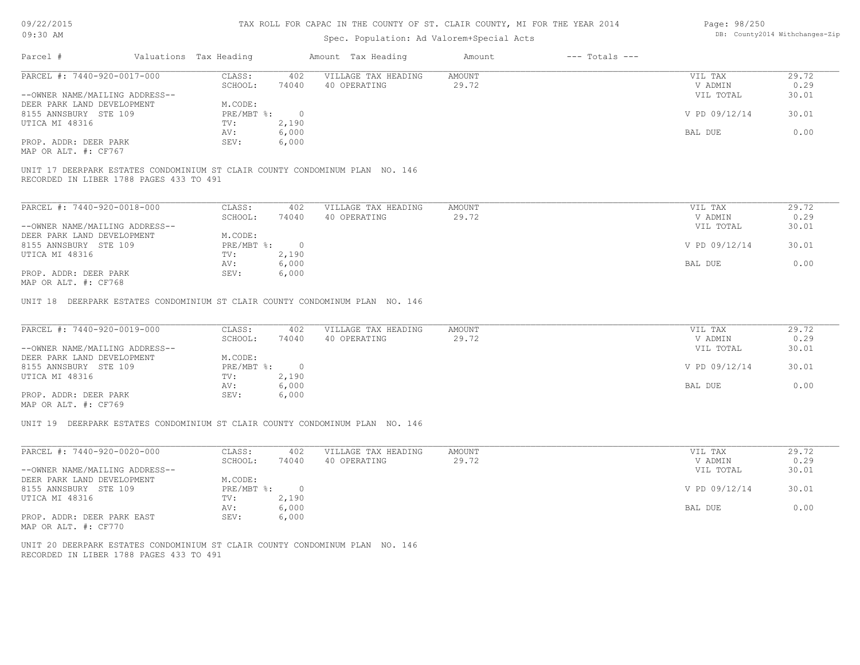## Spec. Population: Ad Valorem+Special Acts

| Page: 98/250 |                                |
|--------------|--------------------------------|
|              | DB: County2014 Withchanges-Zip |

| Parcel #                                | Valuations Tax Heading |       | Amount Tax Heading                                                           | Amount | $---$ Totals $---$ |               |       |
|-----------------------------------------|------------------------|-------|------------------------------------------------------------------------------|--------|--------------------|---------------|-------|
| PARCEL #: 7440-920-0017-000             | CLASS:                 | 402   | VILLAGE TAX HEADING                                                          | AMOUNT |                    | VIL TAX       | 29.72 |
|                                         | SCHOOL:                | 74040 | 40 OPERATING                                                                 | 29.72  |                    | V ADMIN       | 0.29  |
| --OWNER NAME/MAILING ADDRESS--          |                        |       |                                                                              |        |                    | VIL TOTAL     | 30.01 |
| DEER PARK LAND DEVELOPMENT              | M.CODE:                |       |                                                                              |        |                    |               |       |
| 8155 ANNSBURY STE 109                   | $PRE/MBT$ %:           |       |                                                                              |        |                    | V PD 09/12/14 | 30.01 |
| UTICA MI 48316                          | TV:                    | 2,190 |                                                                              |        |                    |               |       |
|                                         | AV:                    | 6,000 |                                                                              |        |                    | BAL DUE       | 0.00  |
| PROP. ADDR: DEER PARK                   | SEV:                   | 6,000 |                                                                              |        |                    |               |       |
| MAP OR ALT. #: CF767                    |                        |       |                                                                              |        |                    |               |       |
|                                         |                        |       |                                                                              |        |                    |               |       |
| RECORDED IN LIBER 1788 PAGES 433 TO 491 |                        |       | UNIT 17 DEERPARK ESTATES CONDOMINIUM ST CLAIR COUNTY CONDOMINUM PLAN NO. 146 |        |                    |               |       |

| PARCEL #: 7440-920-0018-000    | CLASS:     | 402    | VILLAGE TAX HEADING | AMOUNT | VIL TAX       | 29.72 |
|--------------------------------|------------|--------|---------------------|--------|---------------|-------|
|                                | SCHOOL:    | 74040  | 40 OPERATING        | 29.72  | V ADMIN       | 0.29  |
| --OWNER NAME/MAILING ADDRESS-- |            |        |                     |        | VIL TOTAL     | 30.01 |
| DEER PARK LAND DEVELOPMENT     | M.CODE:    |        |                     |        |               |       |
| 8155 ANNSBURY STE 109          | PRE/MBT %: | $\cap$ |                     |        | V PD 09/12/14 | 30.01 |
| UTICA MI 48316                 | TV:        | 2,190  |                     |        |               |       |
|                                | AV:        | 6,000  |                     |        | BAL DUE       | 0.00  |
| PROP. ADDR: DEER PARK          | SEV:       | 6,000  |                     |        |               |       |
| MAP OR ALT. #: CF768           |            |        |                     |        |               |       |

UNIT 18 DEERPARK ESTATES CONDOMINIUM ST CLAIR COUNTY CONDOMINUM PLAN NO. 146

| PARCEL #: 7440-920-0019-000                           | CLASS:     | 402   | VILLAGE TAX HEADING | AMOUNT | VIL TAX       | 29.72 |
|-------------------------------------------------------|------------|-------|---------------------|--------|---------------|-------|
|                                                       | SCHOOL:    | 74040 | 40 OPERATING        | 29.72  | V ADMIN       | 0.29  |
| --OWNER NAME/MAILING ADDRESS--                        |            |       |                     |        | VIL TOTAL     | 30.01 |
| DEER PARK LAND DEVELOPMENT                            | M.CODE:    |       |                     |        |               |       |
| 8155 ANNSBURY STE 109                                 | PRE/MBT %: |       |                     |        | V PD 09/12/14 | 30.01 |
| UTICA MI 48316                                        | TV:        | 2,190 |                     |        |               |       |
|                                                       | AV:        | 6,000 |                     |        | BAL DUE       | 0.00  |
| PROP. ADDR: DEER PARK                                 | SEV:       | 6,000 |                     |        |               |       |
| $\cdots$ $\cdots$ $\cdots$ $\cdots$ $\cdots$ $\cdots$ |            |       |                     |        |               |       |

MAP OR ALT. #: CF769

UNIT 19 DEERPARK ESTATES CONDOMINIUM ST CLAIR COUNTY CONDOMINUM PLAN NO. 146

| PARCEL #: 7440-920-0020-000    | CLASS:     | 402   | VILLAGE TAX HEADING | AMOUNT | VIL TAX       | 29.72 |
|--------------------------------|------------|-------|---------------------|--------|---------------|-------|
|                                | SCHOOL:    | 74040 | 40 OPERATING        | 29.72  | V ADMIN       | 0.29  |
| --OWNER NAME/MAILING ADDRESS-- |            |       |                     |        | VIL TOTAL     | 30.01 |
| DEER PARK LAND DEVELOPMENT     | M.CODE:    |       |                     |        |               |       |
| 8155 ANNSBURY STE 109          | PRE/MBT %: |       |                     |        | V PD 09/12/14 | 30.01 |
| UTICA MI 48316                 | TV:        | 2,190 |                     |        |               |       |
|                                | AV:        | 6,000 |                     |        | BAL DUE       | 0.00  |
| PROP. ADDR: DEER PARK EAST     | SEV:       | 6,000 |                     |        |               |       |
| MAP OR ALT. #: CF770           |            |       |                     |        |               |       |

RECORDED IN LIBER 1788 PAGES 433 TO 491 UNIT 20 DEERPARK ESTATES CONDOMINIUM ST CLAIR COUNTY CONDOMINUM PLAN NO. 146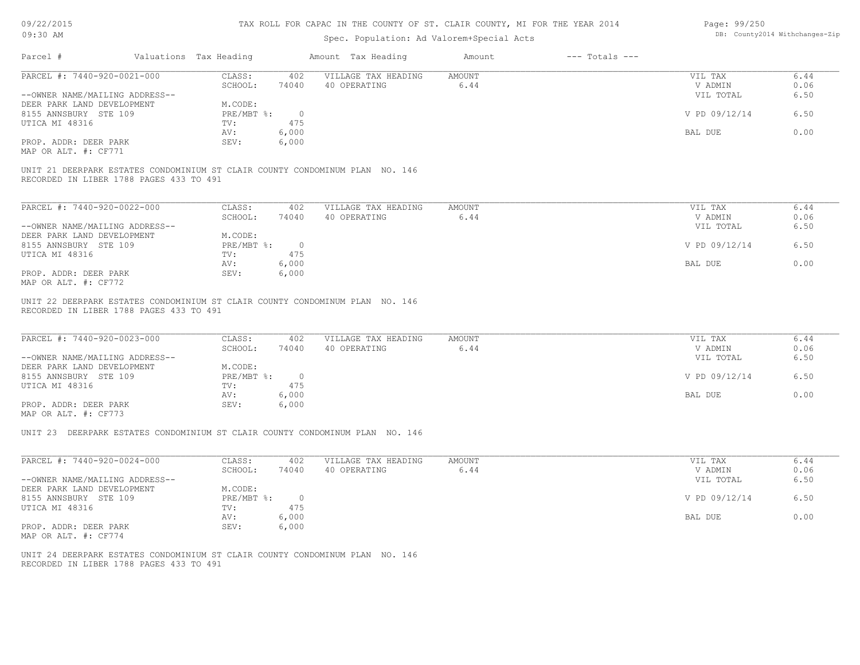| 09/22/2015 |  |
|------------|--|
|------------|--|

| Page: 99/250 |                                |
|--------------|--------------------------------|
|              | DB: County2014 Withchanges-Zip |

| 09/22/2013<br>09:30 AM                                                                                                  |                        |                | TAX ROLL FOR CAPAC IN THE COUNTI OF ST. CLAIR COUNTI, MI FOR THE IEAR 2014<br>Spec. Population: Ad Valorem+Special Acts |                       |                    | Page: 99/250       | DB: County2014 Withchanges-Zip |
|-------------------------------------------------------------------------------------------------------------------------|------------------------|----------------|-------------------------------------------------------------------------------------------------------------------------|-----------------------|--------------------|--------------------|--------------------------------|
| Parcel #                                                                                                                | Valuations Tax Heading |                | Amount Tax Heading                                                                                                      | Amount                | $---$ Totals $---$ |                    |                                |
| PARCEL #: 7440-920-0021-000                                                                                             | CLASS:                 | 402            | VILLAGE TAX HEADING                                                                                                     | <b>AMOUNT</b>         |                    | VIL TAX            | 6.44                           |
|                                                                                                                         | SCHOOL:                | 74040          | 40 OPERATING                                                                                                            | 6.44                  |                    | V ADMIN            | 0.06                           |
| --OWNER NAME/MAILING ADDRESS--                                                                                          |                        |                |                                                                                                                         |                       |                    | VIL TOTAL          | 6.50                           |
| DEER PARK LAND DEVELOPMENT                                                                                              | M.CODE:                |                |                                                                                                                         |                       |                    |                    |                                |
| 8155 ANNSBURY STE 109                                                                                                   | PRE/MBT %:             | $\overline{0}$ |                                                                                                                         |                       |                    | V PD 09/12/14      | 6.50                           |
| UTICA MI 48316                                                                                                          | TV:                    | 475            |                                                                                                                         |                       |                    |                    |                                |
|                                                                                                                         | AV:                    | 6,000          |                                                                                                                         |                       |                    | BAL DUE            | 0.00                           |
| PROP. ADDR: DEER PARK<br>MAP OR ALT. #: CF771                                                                           | SEV:                   | 6,000          |                                                                                                                         |                       |                    |                    |                                |
|                                                                                                                         |                        |                |                                                                                                                         |                       |                    |                    |                                |
| UNIT 21 DEERPARK ESTATES CONDOMINIUM ST CLAIR COUNTY CONDOMINUM PLAN NO. 146<br>RECORDED IN LIBER 1788 PAGES 433 TO 491 |                        |                |                                                                                                                         |                       |                    |                    |                                |
| PARCEL #: 7440-920-0022-000                                                                                             | CLASS:                 | 402            | VILLAGE TAX HEADING                                                                                                     | <b>AMOUNT</b>         |                    | VIL TAX            | 6.44                           |
|                                                                                                                         | SCHOOL:                | 74040          | 40 OPERATING                                                                                                            | 6.44                  |                    | V ADMIN            | 0.06                           |
| --OWNER NAME/MAILING ADDRESS--                                                                                          |                        |                |                                                                                                                         |                       |                    | VIL TOTAL          | 6.50                           |
| DEER PARK LAND DEVELOPMENT                                                                                              | M.CODE:                |                |                                                                                                                         |                       |                    |                    |                                |
| 8155 ANNSBURY STE 109                                                                                                   | PRE/MBT %:             | $\overline{0}$ |                                                                                                                         |                       |                    | V PD 09/12/14      | 6.50                           |
| UTICA MI 48316                                                                                                          | TV:                    | 475            |                                                                                                                         |                       |                    |                    |                                |
|                                                                                                                         | AV:                    | 6,000          |                                                                                                                         |                       |                    | BAL DUE            | 0.00                           |
| PROP. ADDR: DEER PARK<br>MAP OR ALT. #: CF772                                                                           | SEV:                   | 6,000          |                                                                                                                         |                       |                    |                    |                                |
| RECORDED IN LIBER 1788 PAGES 433 TO 491<br>PARCEL #: 7440-920-0023-000                                                  |                        |                |                                                                                                                         |                       |                    |                    |                                |
|                                                                                                                         | CLASS:<br>SCHOOL:      | 402<br>74040   | VILLAGE TAX HEADING<br>40 OPERATING                                                                                     | <b>AMOUNT</b><br>6.44 |                    | VIL TAX<br>V ADMIN | 6.44<br>0.06                   |
| --OWNER NAME/MAILING ADDRESS--                                                                                          |                        |                |                                                                                                                         |                       |                    | VIL TOTAL          | 6.50                           |
| DEER PARK LAND DEVELOPMENT                                                                                              | M.CODE:                |                |                                                                                                                         |                       |                    |                    |                                |
| 8155 ANNSBURY STE 109                                                                                                   | PRE/MBT %:             | $\overline{0}$ |                                                                                                                         |                       |                    | V PD 09/12/14      | 6.50                           |
| UTICA MI 48316                                                                                                          | TV:                    | 475            |                                                                                                                         |                       |                    |                    |                                |
|                                                                                                                         | AV:                    | 6,000          |                                                                                                                         |                       |                    | BAL DUE            | 0.00                           |
| PROP. ADDR: DEER PARK                                                                                                   | SEV:                   | 6,000          |                                                                                                                         |                       |                    |                    |                                |
| MAP OR ALT. #: CF773                                                                                                    |                        |                |                                                                                                                         |                       |                    |                    |                                |
| UNIT 23 DEERPARK ESTATES CONDOMINIUM ST CLAIR COUNTY CONDOMINUM PLAN NO. 146                                            |                        |                |                                                                                                                         |                       |                    |                    |                                |
| PARCEL #: 7440-920-0024-000                                                                                             | CLASS:                 | 402            | VILLAGE TAX HEADING                                                                                                     | <b>AMOUNT</b>         |                    | VIL TAX            | 6.44                           |
|                                                                                                                         | SCHOOL:                | 74040          | 40 OPERATING                                                                                                            | 6.44                  |                    | V ADMIN            | 0.06                           |
| --OWNER NAME/MAILING ADDRESS--                                                                                          |                        |                |                                                                                                                         |                       |                    | VIL TOTAL          | 6.50                           |
| DEER PARK LAND DEVELOPMENT                                                                                              | M.CODE:                |                |                                                                                                                         |                       |                    |                    |                                |
| 8155 ANNSBURY STE 109                                                                                                   | PRE/MBT %:             | $\overline{0}$ |                                                                                                                         |                       |                    | V PD 09/12/14      | 6.50                           |
| UTICA MI 48316                                                                                                          | TV:                    | 475            |                                                                                                                         |                       |                    |                    |                                |
| PROP. ADDR: DEER PARK                                                                                                   | AV:<br>SEV:            | 6,000          |                                                                                                                         |                       |                    | BAL DUE            | 0.00                           |
| MAP OR ALT. #: CF774                                                                                                    |                        | 6,000          |                                                                                                                         |                       |                    |                    |                                |
|                                                                                                                         |                        |                |                                                                                                                         |                       |                    |                    |                                |
| UNIT 24 DEERPARK ESTATES CONDOMINIUM ST CLAIR COUNTY CONDOMINUM PLAN NO. 146<br>RECORDED IN LIBER 1788 PAGES 433 TO 491 |                        |                |                                                                                                                         |                       |                    |                    |                                |
|                                                                                                                         |                        |                |                                                                                                                         |                       |                    |                    |                                |
|                                                                                                                         |                        |                |                                                                                                                         |                       |                    |                    |                                |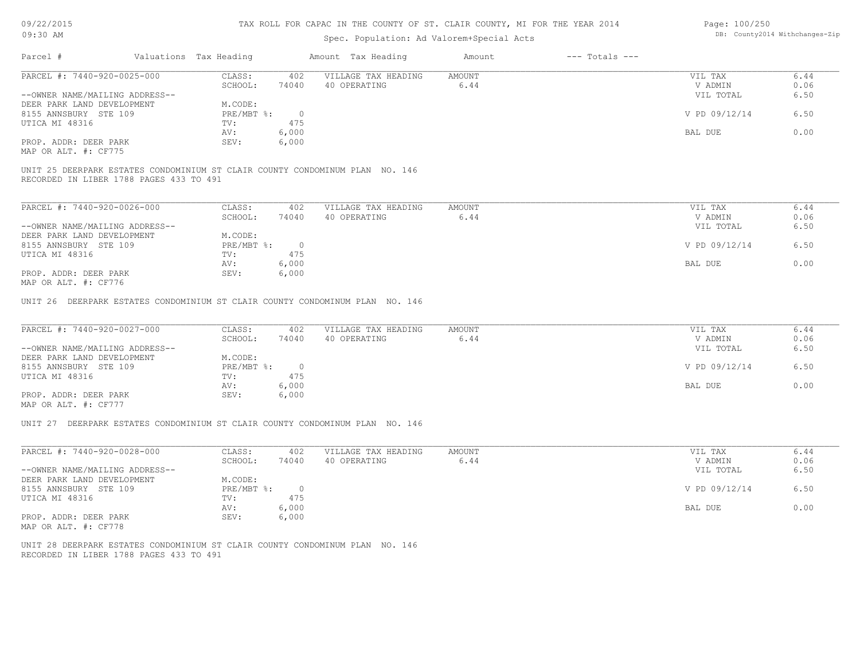### Spec. Population: Ad Valorem+Special Acts

| Page: 100/250 |                                |
|---------------|--------------------------------|
|               | DB: County2014 Withchanges-Zip |

| Parcel #                       | Valuations Tax Heading |       | Amount Tax Heading  | Amount | $---$ Totals $---$ |               |      |
|--------------------------------|------------------------|-------|---------------------|--------|--------------------|---------------|------|
| PARCEL #: 7440-920-0025-000    | CLASS:                 | 402   | VILLAGE TAX HEADING | AMOUNT |                    | VIL TAX       | 6.44 |
|                                | SCHOOL:                | 74040 | 40 OPERATING        | 6.44   |                    | V ADMIN       | 0.06 |
| --OWNER NAME/MAILING ADDRESS-- |                        |       |                     |        |                    | VIL TOTAL     | 6.50 |
| DEER PARK LAND DEVELOPMENT     | M.CODE:                |       |                     |        |                    |               |      |
| 8155 ANNSBURY STE 109          | PRE/MBT %:             |       |                     |        |                    | V PD 09/12/14 | 6.50 |
| UTICA MI 48316                 | TV:                    | 475   |                     |        |                    |               |      |
|                                | AV:                    | 6,000 |                     |        |                    | BAL DUE       | 0.00 |
| PROP. ADDR: DEER PARK          | SEV:                   | 6,000 |                     |        |                    |               |      |
| MAP OR ALT. #: CF775           |                        |       |                     |        |                    |               |      |

RECORDED IN LIBER 1788 PAGES 433 TO 491 UNIT 25 DEERPARK ESTATES CONDOMINIUM ST CLAIR COUNTY CONDOMINUM PLAN NO. 146

| PARCEL #: 7440-920-0026-000                                                                                                                                                                                                                                                                                                                                                                                                                                                                         | CLASS:     | 402   | VILLAGE TAX HEADING | AMOUNT | VIL TAX       | 6.44 |
|-----------------------------------------------------------------------------------------------------------------------------------------------------------------------------------------------------------------------------------------------------------------------------------------------------------------------------------------------------------------------------------------------------------------------------------------------------------------------------------------------------|------------|-------|---------------------|--------|---------------|------|
|                                                                                                                                                                                                                                                                                                                                                                                                                                                                                                     | SCHOOL:    | 74040 | 40 OPERATING        | 6.44   | V ADMIN       | 0.06 |
| --OWNER NAME/MAILING ADDRESS--                                                                                                                                                                                                                                                                                                                                                                                                                                                                      |            |       |                     |        | VIL TOTAL     | 6.50 |
| DEER PARK LAND DEVELOPMENT                                                                                                                                                                                                                                                                                                                                                                                                                                                                          | M.CODE:    |       |                     |        |               |      |
| 8155 ANNSBURY STE 109                                                                                                                                                                                                                                                                                                                                                                                                                                                                               | PRE/MBT %: |       |                     |        | V PD 09/12/14 | 6.50 |
| UTICA MI 48316                                                                                                                                                                                                                                                                                                                                                                                                                                                                                      | TV:        | 475   |                     |        |               |      |
|                                                                                                                                                                                                                                                                                                                                                                                                                                                                                                     | AV:        | 6,000 |                     |        | BAL DUE       | 0.00 |
| PROP. ADDR: DEER PARK<br>$M\lambda D$ $\cap$ $\overline{\phantom{a}}$ $\overline{\phantom{a}}$ $\overline{\phantom{a}}$ $\overline{\phantom{a}}$ $\overline{\phantom{a}}$ $\overline{\phantom{a}}$ $\overline{\phantom{a}}$ $\overline{\phantom{a}}$ $\overline{\phantom{a}}$ $\overline{\phantom{a}}$ $\overline{\phantom{a}}$ $\overline{\phantom{a}}$ $\overline{\phantom{a}}$ $\overline{\phantom{a}}$ $\overline{\phantom{a}}$ $\overline{\phantom{a}}$ $\overline{\phantom{a}}$ $\overline{\$ | SEV:       | 6,000 |                     |        |               |      |

MAP OR ALT. #: CF776

UNIT 26 DEERPARK ESTATES CONDOMINIUM ST CLAIR COUNTY CONDOMINUM PLAN NO. 146

| PARCEL #: 7440-920-0027-000    | CLASS:     | 402   | VILLAGE TAX HEADING | AMOUNT | VIL TAX       | 6.44 |
|--------------------------------|------------|-------|---------------------|--------|---------------|------|
|                                | SCHOOL:    | 74040 | 40 OPERATING        | 6.44   | V ADMIN       | 0.06 |
| --OWNER NAME/MAILING ADDRESS-- |            |       |                     |        | VIL TOTAL     | 6.50 |
| DEER PARK LAND DEVELOPMENT     | M.CODE:    |       |                     |        |               |      |
| 8155 ANNSBURY STE 109          | PRE/MBT %: |       |                     |        | V PD 09/12/14 | 6.50 |
| UTICA MI 48316                 | TV:        | 475   |                     |        |               |      |
|                                | AV:        | 6,000 |                     |        | BAL DUE       | 0.00 |
| PROP. ADDR: DEER PARK          | SEV:       | 6,000 |                     |        |               |      |
| $\frac{1}{2}$                  |            |       |                     |        |               |      |

MAP OR ALT. #: CF777

UNIT 27 DEERPARK ESTATES CONDOMINIUM ST CLAIR COUNTY CONDOMINUM PLAN NO. 146

| PARCEL #: 7440-920-0028-000    | CLASS:     | 402   | VILLAGE TAX HEADING | AMOUNT | VIL TAX       | 6.44 |
|--------------------------------|------------|-------|---------------------|--------|---------------|------|
|                                | SCHOOL:    | 74040 | 40 OPERATING        | 6.44   | V ADMIN       | 0.06 |
| --OWNER NAME/MAILING ADDRESS-- |            |       |                     |        | VIL TOTAL     | 6.50 |
| DEER PARK LAND DEVELOPMENT     | M.CODE:    |       |                     |        |               |      |
| 8155 ANNSBURY STE 109          | PRE/MBT %: |       |                     |        | V PD 09/12/14 | 6.50 |
| UTICA MI 48316                 | TV:        | 475   |                     |        |               |      |
|                                | AV:        | 6,000 |                     |        | BAL DUE       | 0.00 |
| PROP. ADDR: DEER PARK          | SEV:       | 6,000 |                     |        |               |      |
| MAP OR ALT. #: CF778           |            |       |                     |        |               |      |

RECORDED IN LIBER 1788 PAGES 433 TO 491 UNIT 28 DEERPARK ESTATES CONDOMINIUM ST CLAIR COUNTY CONDOMINUM PLAN NO. 146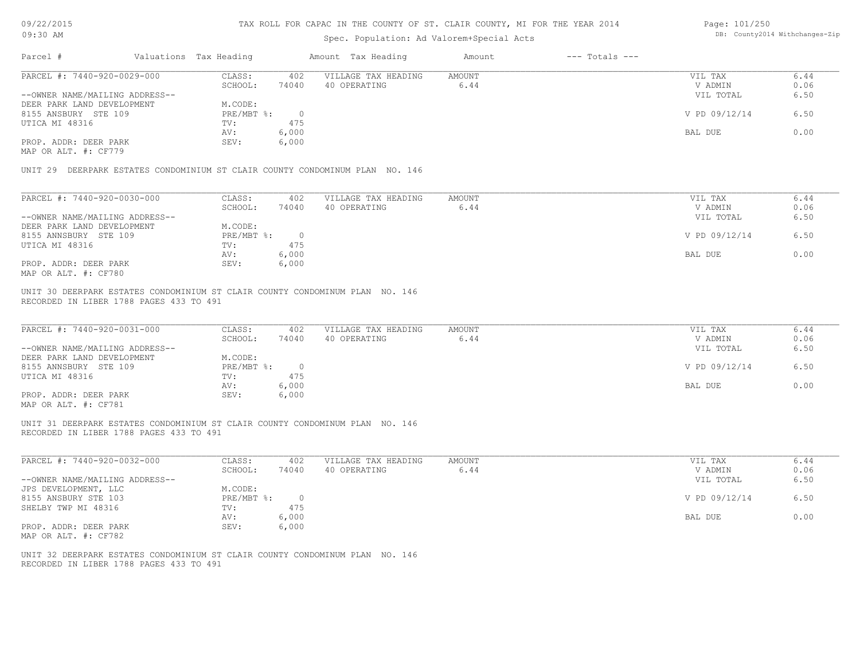#### TAX ROLL FOR CAPAC IN THE COUNTY OF ST. CLAIR COUNTY, MI FOR THE YEAR 2014

## Spec. Population: Ad Valorem+Special Acts

| Page: 101/250 |                                |
|---------------|--------------------------------|
|               | DB: County2014 Withchanges-Zip |

| Parcel #                       | Valuations Tax Heading |       | Amount Tax Heading  | Amount | $---$ Totals $---$ |               |      |
|--------------------------------|------------------------|-------|---------------------|--------|--------------------|---------------|------|
| PARCEL #: 7440-920-0029-000    | CLASS:                 | 402   | VILLAGE TAX HEADING | AMOUNT |                    | VIL TAX       | 6.44 |
|                                | SCHOOL:                | 74040 | 40 OPERATING        | 6.44   |                    | V ADMIN       | 0.06 |
| --OWNER NAME/MAILING ADDRESS-- |                        |       |                     |        |                    | VIL TOTAL     | 6.50 |
| DEER PARK LAND DEVELOPMENT     | M.CODE:                |       |                     |        |                    |               |      |
| 8155 ANSBURY STE 109           | PRE/MBT %:             |       |                     |        |                    | V PD 09/12/14 | 6.50 |
| UTICA MI 48316                 | TV:                    | 475   |                     |        |                    |               |      |
|                                | AV:                    | 6,000 |                     |        |                    | BAL DUE       | 0.00 |
| PROP. ADDR: DEER PARK          | SEV:                   | 6,000 |                     |        |                    |               |      |
| MAP OR ALT. #: CF779           |                        |       |                     |        |                    |               |      |
|                                |                        |       |                     |        |                    |               |      |
|                                |                        |       |                     |        |                    |               |      |

UNIT 29 DEERPARK ESTATES CONDOMINIUM ST CLAIR COUNTY CONDOMINUM PLAN NO. 146

| PARCEL #: 7440-920-0030-000    | CLASS:     | 402   | VILLAGE TAX HEADING | AMOUNT | VIL TAX       | 6.44 |
|--------------------------------|------------|-------|---------------------|--------|---------------|------|
|                                | SCHOOL:    | 74040 | 40 OPERATING        | 6.44   | V ADMIN       | 0.06 |
| --OWNER NAME/MAILING ADDRESS-- |            |       |                     |        | VIL TOTAL     | 6.50 |
| DEER PARK LAND DEVELOPMENT     | M.CODE:    |       |                     |        |               |      |
| 8155 ANNSBURY STE 109          | PRE/MBT %: |       |                     |        | V PD 09/12/14 | 6.50 |
| UTICA MI 48316                 | TV:        | 475   |                     |        |               |      |
|                                | AV:        | 6,000 |                     |        | BAL DUE       | 0.00 |
| PROP. ADDR: DEER PARK          | SEV:       | 6,000 |                     |        |               |      |
| MAP OR ALT. #: CF780           |            |       |                     |        |               |      |

RECORDED IN LIBER 1788 PAGES 433 TO 491 UNIT 30 DEERPARK ESTATES CONDOMINIUM ST CLAIR COUNTY CONDOMINUM PLAN NO. 146

| PARCEL #: 7440-920-0031-000    | CLASS:     | 402   | VILLAGE TAX HEADING | AMOUNT | VIL TAX       | 6.44 |
|--------------------------------|------------|-------|---------------------|--------|---------------|------|
|                                | SCHOOL:    | 74040 | 40 OPERATING        | 6.44   | V ADMIN       | 0.06 |
| --OWNER NAME/MAILING ADDRESS-- |            |       |                     |        | VIL TOTAL     | 6.50 |
| DEER PARK LAND DEVELOPMENT     | M.CODE:    |       |                     |        |               |      |
| 8155 ANNSBURY STE 109          | PRE/MBT %: |       |                     |        | V PD 09/12/14 | 6.50 |
| UTICA MI 48316                 | TV:        | 475   |                     |        |               |      |
|                                | AV:        | 6,000 |                     |        | BAL DUE       | 0.00 |
| PROP. ADDR: DEER PARK          | SEV:       | 6,000 |                     |        |               |      |
| $\frac{1}{2}$                  |            |       |                     |        |               |      |

MAP OR ALT. #: CF781

RECORDED IN LIBER 1788 PAGES 433 TO 491 UNIT 31 DEERPARK ESTATES CONDOMINIUM ST CLAIR COUNTY CONDOMINUM PLAN NO. 146

| PARCEL #: 7440-920-0032-000    | CLASS:     | 402   | VILLAGE TAX HEADING | AMOUNT | 6.44<br>VIL TAX       |  |
|--------------------------------|------------|-------|---------------------|--------|-----------------------|--|
|                                | SCHOOL:    | 74040 | 40 OPERATING        | 6.44   | 0.06<br>V ADMIN       |  |
| --OWNER NAME/MAILING ADDRESS-- |            |       |                     |        | 6.50<br>VIL TOTAL     |  |
| JPS DEVELOPMENT, LLC           | M.CODE:    |       |                     |        |                       |  |
| 8155 ANSBURY STE 103           | PRE/MBT %: |       |                     |        | V PD 09/12/14<br>6.50 |  |
| SHELBY TWP MI 48316            | TV:        | 475   |                     |        |                       |  |
|                                | AV:        | 6,000 |                     |        | 0.00<br>BAL DUE       |  |
| PROP. ADDR: DEER PARK          | SEV:       | 6,000 |                     |        |                       |  |

MAP OR ALT. #: CF782

RECORDED IN LIBER 1788 PAGES 433 TO 491 UNIT 32 DEERPARK ESTATES CONDOMINIUM ST CLAIR COUNTY CONDOMINUM PLAN NO. 146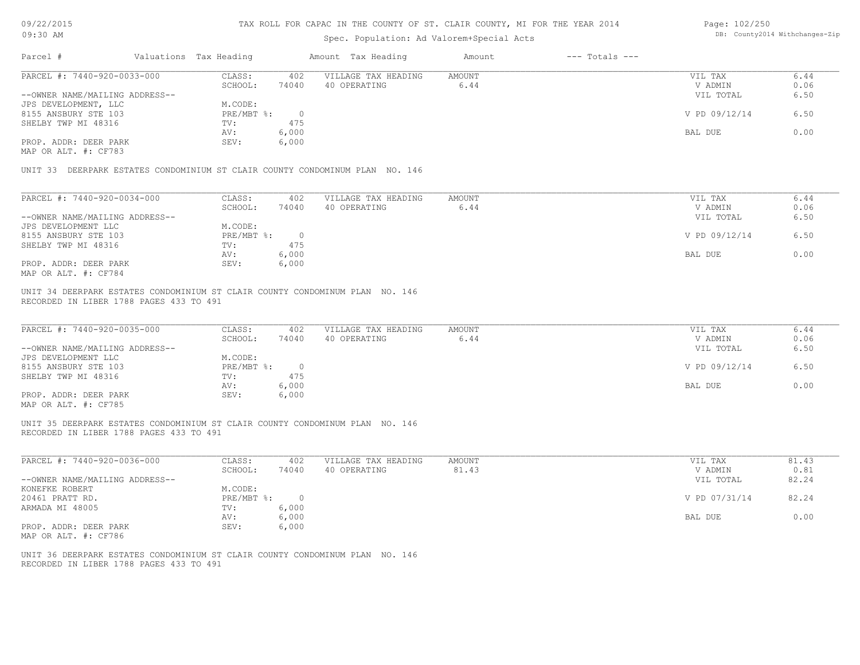#### TAX ROLL FOR CAPAC IN THE COUNTY OF ST. CLAIR COUNTY, MI FOR THE YEAR 2014

### Spec. Population: Ad Valorem+Special Acts

| Page: 102/250 |                                |
|---------------|--------------------------------|
|               | DB: County2014 Withchanges-Zip |

| Parcel #                       | Valuations Tax Heading |       | Amount Tax Heading  | Amount | $---$ Totals $---$ |               |      |
|--------------------------------|------------------------|-------|---------------------|--------|--------------------|---------------|------|
| PARCEL #: 7440-920-0033-000    | CLASS:                 | 402   | VILLAGE TAX HEADING | AMOUNT |                    | VIL TAX       | 6.44 |
|                                | SCHOOL:                | 74040 | 40 OPERATING        | 6.44   |                    | V ADMIN       | 0.06 |
| --OWNER NAME/MAILING ADDRESS-- |                        |       |                     |        |                    | VIL TOTAL     | 6.50 |
| JPS DEVELOPMENT, LLC           | M.CODE:                |       |                     |        |                    |               |      |
| 8155 ANSBURY STE 103           | PRE/MBT %:             |       |                     |        |                    | V PD 09/12/14 | 6.50 |
| SHELBY TWP MI 48316            | TV:                    | 475   |                     |        |                    |               |      |
|                                | AV:                    | 6,000 |                     |        |                    | BAL DUE       | 0.00 |
| PROP. ADDR: DEER PARK          | SEV:                   | 6,000 |                     |        |                    |               |      |
| MAP OR ALT. #: CF783           |                        |       |                     |        |                    |               |      |

UNIT 33 DEERPARK ESTATES CONDOMINIUM ST CLAIR COUNTY CONDOMINUM PLAN NO. 146

| PARCEL #: 7440-920-0034-000    | CLASS:     | 402   | VILLAGE TAX HEADING | AMOUNT | VIL TAX       | 6.44 |
|--------------------------------|------------|-------|---------------------|--------|---------------|------|
|                                | SCHOOL:    | 74040 | 40 OPERATING        | 6.44   | V ADMIN       | 0.06 |
| --OWNER NAME/MAILING ADDRESS-- |            |       |                     |        | VIL TOTAL     | 6.50 |
| JPS DEVELOPMENT LLC            | M.CODE:    |       |                     |        |               |      |
| 8155 ANSBURY STE 103           | PRE/MBT %: |       |                     |        | V PD 09/12/14 | 6.50 |
| SHELBY TWP MI 48316            | TV:        | 475   |                     |        |               |      |
|                                | AV:        | 6,000 |                     |        | BAL DUE       | 0.00 |
| PROP. ADDR: DEER PARK          | SEV:       | 6,000 |                     |        |               |      |
| MAP OR ALT. #: CF784           |            |       |                     |        |               |      |

RECORDED IN LIBER 1788 PAGES 433 TO 491 UNIT 34 DEERPARK ESTATES CONDOMINIUM ST CLAIR COUNTY CONDOMINUM PLAN NO. 146

| PARCEL #: 7440-920-0035-000    | CLASS:     | 402   | VILLAGE TAX HEADING | AMOUNT | VIL TAX       | 6.44 |
|--------------------------------|------------|-------|---------------------|--------|---------------|------|
|                                | SCHOOL:    | 74040 | ) OPERATING<br>40   | 6.44   | V ADMIN       | 0.06 |
| --OWNER NAME/MAILING ADDRESS-- |            |       |                     |        | VIL TOTAL     | 6.50 |
| JPS DEVELOPMENT LLC            | M.CODE:    |       |                     |        |               |      |
| 8155 ANSBURY STE 103           | PRE/MBT %: |       |                     |        | V PD 09/12/14 | 6.50 |
| SHELBY TWP MI 48316            | TV:        | 475   |                     |        |               |      |
|                                | AV:        | 6,000 |                     |        | BAL DUE       | 0.00 |
| PROP. ADDR: DEER PARK          | SEV:       | 6,000 |                     |        |               |      |
| MAP OR ALT. #: CF785           |            |       |                     |        |               |      |

 $\mathcal{L}_\mathcal{L} = \mathcal{L}_\mathcal{L} = \mathcal{L}_\mathcal{L} = \mathcal{L}_\mathcal{L} = \mathcal{L}_\mathcal{L} = \mathcal{L}_\mathcal{L} = \mathcal{L}_\mathcal{L} = \mathcal{L}_\mathcal{L} = \mathcal{L}_\mathcal{L} = \mathcal{L}_\mathcal{L} = \mathcal{L}_\mathcal{L} = \mathcal{L}_\mathcal{L} = \mathcal{L}_\mathcal{L} = \mathcal{L}_\mathcal{L} = \mathcal{L}_\mathcal{L} = \mathcal{L}_\mathcal{L} = \mathcal{L}_\mathcal{L}$ 

RECORDED IN LIBER 1788 PAGES 433 TO 491 UNIT 35 DEERPARK ESTATES CONDOMINIUM ST CLAIR COUNTY CONDOMINUM PLAN NO. 146

| PARCEL #: 7440-920-0036-000    | CLASS:           | 402   | VILLAGE TAX HEADING | AMOUNT | VIL TAX       | 81.43 |
|--------------------------------|------------------|-------|---------------------|--------|---------------|-------|
|                                | SCHOOL:          | 74040 | 40 OPERATING        | 81.43  | V ADMIN       | 0.81  |
| --OWNER NAME/MAILING ADDRESS-- |                  |       |                     |        | VIL TOTAL     | 82.24 |
| KONEFKE ROBERT                 | M.CODE:          |       |                     |        |               |       |
| 20461 PRATT RD.                | $PRE/MBT$ $\div$ |       |                     |        | V PD 07/31/14 | 82.24 |
| ARMADA MI 48005                | TV:              | 6,000 |                     |        |               |       |
|                                | AV:              | 6,000 |                     |        | BAL DUE       | 0.00  |
| PROP. ADDR: DEER PARK          | SEV:             | 6,000 |                     |        |               |       |
|                                |                  |       |                     |        |               |       |

MAP OR ALT. #: CF786

RECORDED IN LIBER 1788 PAGES 433 TO 491 UNIT 36 DEERPARK ESTATES CONDOMINIUM ST CLAIR COUNTY CONDOMINUM PLAN NO. 146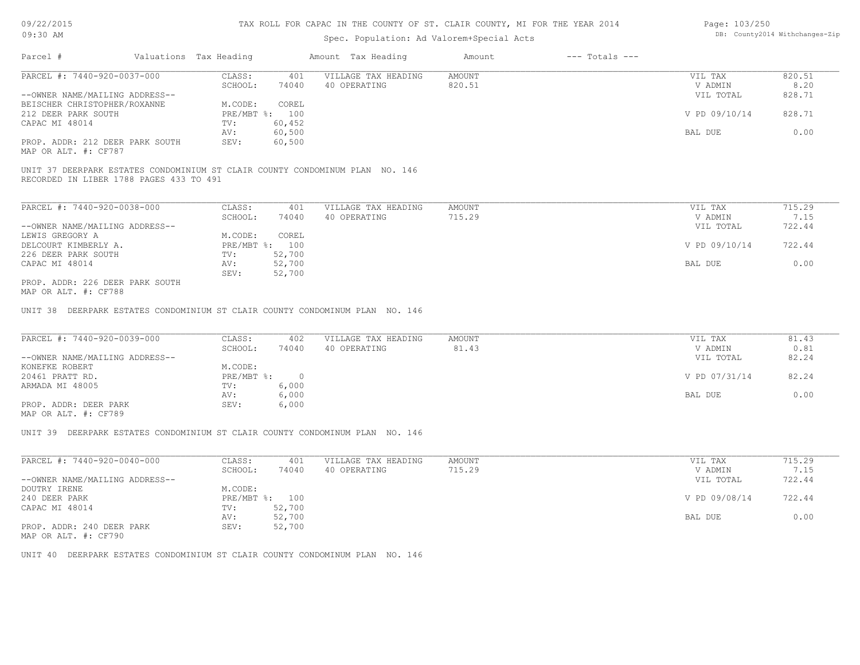## Spec. Population: Ad Valorem+Special Acts

| Page: 103/250 |                                |
|---------------|--------------------------------|
|               | DB: County2014 Withchanges-Zip |

| Parcel #                        | Valuations Tax Heading |                | Amount Tax Heading  | Amount | $---$ Totals $---$ |               |        |
|---------------------------------|------------------------|----------------|---------------------|--------|--------------------|---------------|--------|
| PARCEL #: 7440-920-0037-000     | CLASS:                 | 401            | VILLAGE TAX HEADING | AMOUNT |                    | VIL TAX       | 820.51 |
|                                 | SCHOOL:                | 74040          | 40 OPERATING        | 820.51 |                    | V ADMIN       | 8.20   |
| --OWNER NAME/MAILING ADDRESS--  |                        |                |                     |        |                    | VIL TOTAL     | 828.71 |
| BEISCHER CHRISTOPHER/ROXANNE    | M.CODE:                | COREL          |                     |        |                    |               |        |
| 212 DEER PARK SOUTH             |                        | PRE/MBT %: 100 |                     |        |                    | V PD 09/10/14 | 828.71 |
| CAPAC MI 48014                  | TV:                    | 60,452         |                     |        |                    |               |        |
|                                 | AV:                    | 60,500         |                     |        |                    | BAL DUE       | 0.00   |
| PROP. ADDR: 212 DEER PARK SOUTH | SEV:                   | 60,500         |                     |        |                    |               |        |
| MAP OR ALT. #: CF787            |                        |                |                     |        |                    |               |        |
|                                 |                        |                |                     |        |                    |               |        |

RECORDED IN LIBER 1788 PAGES 433 TO 491 UNIT 37 DEERPARK ESTATES CONDOMINIUM ST CLAIR COUNTY CONDOMINUM PLAN NO. 146

| PARCEL #: 7440-920-0038-000     | CLASS:     | 401    | VILLAGE TAX HEADING | AMOUNT | VIL TAX       | 715.29 |
|---------------------------------|------------|--------|---------------------|--------|---------------|--------|
|                                 | SCHOOL:    | 74040  | 40 OPERATING        | 715.29 | V ADMIN       | 7.15   |
| --OWNER NAME/MAILING ADDRESS--  |            |        |                     |        | VIL TOTAL     | 722.44 |
| LEWIS GREGORY A                 | M.CODE:    | COREL  |                     |        |               |        |
| DELCOURT KIMBERLY A.            | PRE/MBT %: | 100    |                     |        | V PD 09/10/14 | 722.44 |
| 226 DEER PARK SOUTH             | TV:        | 52,700 |                     |        |               |        |
| CAPAC MI 48014                  | AV:        | 52,700 |                     |        | BAL DUE       | 0.00   |
|                                 | SEV:       | 52,700 |                     |        |               |        |
| PROP. ADDR: 226 DEER PARK SOUTH |            |        |                     |        |               |        |
| MAP OR ALT. #: CF788            |            |        |                     |        |               |        |

MAP OR ALT. #: CF788

UNIT 38 DEERPARK ESTATES CONDOMINIUM ST CLAIR COUNTY CONDOMINUM PLAN NO. 146

| PARCEL #: 7440-920-0039-000    | CLASS:     | 402   | VILLAGE TAX HEADING | AMOUNT | VIL TAX       | 81.43 |
|--------------------------------|------------|-------|---------------------|--------|---------------|-------|
|                                | SCHOOL:    | 74040 | 40 OPERATING        | 81.43  | V ADMIN       | 0.81  |
| --OWNER NAME/MAILING ADDRESS-- |            |       |                     |        | VIL TOTAL     | 82.24 |
| KONEFKE ROBERT                 | M.CODE:    |       |                     |        |               |       |
| 20461 PRATT RD.                | PRE/MBT %: |       |                     |        | V PD 07/31/14 | 82.24 |
| ARMADA MI 48005                | TV:        | 6,000 |                     |        |               |       |
|                                | AV:        | 6,000 |                     |        | BAL DUE       | 0.00  |
| PROP. ADDR: DEER PARK          | SEV:       | 6,000 |                     |        |               |       |
|                                |            |       |                     |        |               |       |

MAP OR ALT. #: CF789

UNIT 39 DEERPARK ESTATES CONDOMINIUM ST CLAIR COUNTY CONDOMINUM PLAN NO. 146

| PARCEL #: 7440-920-0040-000    | CLASS:     | 401    | VILLAGE TAX HEADING | AMOUNT | VIL TAX       | 715.29 |
|--------------------------------|------------|--------|---------------------|--------|---------------|--------|
|                                | SCHOOL:    | 74040  | 40 OPERATING        | 715.29 | V ADMIN       | 7.15   |
| --OWNER NAME/MAILING ADDRESS-- |            |        |                     |        | VIL TOTAL     | 722.44 |
| DOUTRY IRENE                   | M.CODE:    |        |                     |        |               |        |
| 240 DEER PARK                  | PRE/MBT %: | 100    |                     |        | V PD 09/08/14 | 722.44 |
| CAPAC MI 48014                 | TV:        | 52,700 |                     |        |               |        |
|                                | AV:        | 52,700 |                     |        | BAL DUE       | 0.00   |
| PROP. ADDR: 240 DEER PARK      | SEV:       | 52,700 |                     |        |               |        |

MAP OR ALT. #: CF790

UNIT 40 DEERPARK ESTATES CONDOMINIUM ST CLAIR COUNTY CONDOMINUM PLAN NO. 146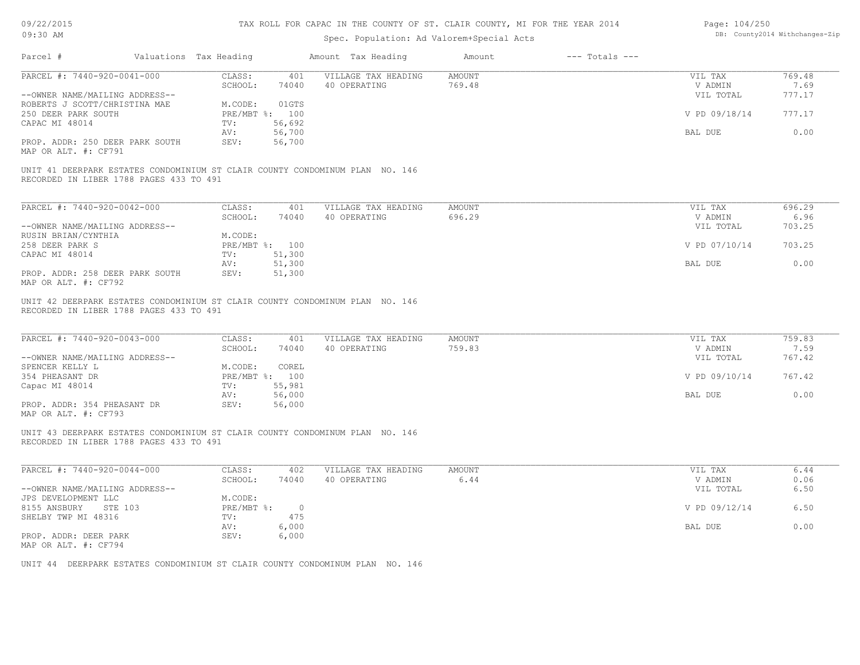| 09/22/2015 |  |
|------------|--|
| 00.30 AM   |  |

| Page: 104/250 |                                |
|---------------|--------------------------------|
|               | DB: County2014 Withchanges-Zip |

| 09:30 AM                                                                                                              |                                            |                                                             | DB: COUNtyZUI4 Witnchanges-Zip                                               |                         |                    |                                                             |                                            |
|-----------------------------------------------------------------------------------------------------------------------|--------------------------------------------|-------------------------------------------------------------|------------------------------------------------------------------------------|-------------------------|--------------------|-------------------------------------------------------------|--------------------------------------------|
| Parcel #                                                                                                              | Valuations Tax Heading                     |                                                             | Amount Tax Heading                                                           | Amount                  | $---$ Totals $---$ |                                                             |                                            |
| PARCEL #: 7440-920-0041-000                                                                                           | CLASS:                                     | 401                                                         | VILLAGE TAX HEADING                                                          | <b>AMOUNT</b>           |                    | VIL TAX                                                     | 769.48                                     |
|                                                                                                                       | SCHOOL:                                    | 74040                                                       | 40 OPERATING                                                                 | 769.48                  |                    | V ADMIN                                                     | 7.69                                       |
| --OWNER NAME/MAILING ADDRESS--                                                                                        |                                            |                                                             |                                                                              |                         |                    | VIL TOTAL                                                   | 777.17                                     |
| ROBERTS J SCOTT/CHRISTINA MAE                                                                                         | M.CODE:                                    | 01GTS                                                       |                                                                              |                         |                    |                                                             |                                            |
| 250 DEER PARK SOUTH                                                                                                   |                                            | PRE/MBT %: 100                                              |                                                                              |                         |                    | V PD 09/18/14                                               | 777.17                                     |
| CAPAC MI 48014                                                                                                        | TV:                                        | 56,692                                                      |                                                                              |                         |                    |                                                             |                                            |
|                                                                                                                       | AV:                                        | 56,700                                                      |                                                                              |                         |                    | BAL DUE                                                     | 0.00                                       |
| PROP. ADDR: 250 DEER PARK SOUTH                                                                                       | SEV:                                       | 56,700                                                      |                                                                              |                         |                    |                                                             |                                            |
| MAP OR ALT. #: CF791                                                                                                  |                                            |                                                             |                                                                              |                         |                    |                                                             |                                            |
| RECORDED IN LIBER 1788 PAGES 433 TO 491                                                                               |                                            |                                                             | UNIT 41 DEERPARK ESTATES CONDOMINIUM ST CLAIR COUNTY CONDOMINUM PLAN NO. 146 |                         |                    |                                                             |                                            |
| PARCEL #: 7440-920-0042-000                                                                                           | CLASS:                                     | 401                                                         | VILLAGE TAX HEADING                                                          | AMOUNT                  |                    | VIL TAX                                                     | 696.29                                     |
|                                                                                                                       | SCHOOL:                                    | 74040                                                       | 40 OPERATING                                                                 | 696.29                  |                    | V ADMIN                                                     | 6.96                                       |
| --OWNER NAME/MAILING ADDRESS--                                                                                        |                                            |                                                             |                                                                              |                         |                    | VIL TOTAL                                                   | 703.25                                     |
| RUSIN BRIAN/CYNTHIA                                                                                                   | M.CODE:                                    |                                                             |                                                                              |                         |                    |                                                             |                                            |
| 258 DEER PARK S                                                                                                       |                                            | PRE/MBT %: 100                                              |                                                                              |                         |                    | V PD 07/10/14                                               | 703.25                                     |
| CAPAC MI 48014                                                                                                        | TV:                                        | 51,300                                                      |                                                                              |                         |                    |                                                             |                                            |
|                                                                                                                       | AV:                                        | 51,300                                                      |                                                                              |                         |                    | BAL DUE                                                     | 0.00                                       |
| PROP. ADDR: 258 DEER PARK SOUTH                                                                                       | SEV:                                       | 51,300                                                      |                                                                              |                         |                    |                                                             |                                            |
| MAP OR ALT. #: CF792                                                                                                  |                                            |                                                             |                                                                              |                         |                    |                                                             |                                            |
| PARCEL #: 7440-920-0043-000<br>--OWNER NAME/MAILING ADDRESS--<br>SPENCER KELLY L<br>354 PHEASANT DR<br>Capac MI 48014 | CLASS:<br>SCHOOL:<br>M.CODE:<br>TV:<br>AV: | 401<br>74040<br>COREL<br>PRE/MBT %: 100<br>55,981<br>56,000 | VILLAGE TAX HEADING<br>40 OPERATING                                          | <b>AMOUNT</b><br>759.83 |                    | VIL TAX<br>V ADMIN<br>VIL TOTAL<br>V PD 09/10/14<br>BAL DUE | 759.83<br>7.59<br>767.42<br>767.42<br>0.00 |
| PROP. ADDR: 354 PHEASANT DR                                                                                           | SEV:                                       | 56,000                                                      |                                                                              |                         |                    |                                                             |                                            |
| MAP OR ALT. #: CF793                                                                                                  |                                            |                                                             |                                                                              |                         |                    |                                                             |                                            |
| RECORDED IN LIBER 1788 PAGES 433 TO 491                                                                               |                                            |                                                             | UNIT 43 DEERPARK ESTATES CONDOMINIUM ST CLAIR COUNTY CONDOMINUM PLAN NO. 146 |                         |                    |                                                             |                                            |
| PARCEL #: 7440-920-0044-000                                                                                           | CLASS:                                     | 402                                                         | VILLAGE TAX HEADING                                                          | <b>AMOUNT</b>           |                    | VIL TAX                                                     | 6.44                                       |
|                                                                                                                       | SCHOOL:                                    | 74040                                                       | 40 OPERATING                                                                 | 6.44                    |                    | V ADMIN                                                     | 0.06                                       |
| --OWNER NAME/MAILING ADDRESS--                                                                                        |                                            |                                                             |                                                                              |                         |                    | VIL TOTAL                                                   | 6.50                                       |
| JPS DEVELOPMENT LLC                                                                                                   | M.CODE:                                    |                                                             |                                                                              |                         |                    |                                                             |                                            |
| 8155 ANSBURY<br>STE 103                                                                                               | PRE/MBT %:                                 | $\overline{0}$                                              |                                                                              |                         |                    | V PD 09/12/14                                               | 6.50                                       |
| SHELBY TWP MI 48316                                                                                                   | TV:                                        | 475                                                         |                                                                              |                         |                    |                                                             |                                            |
|                                                                                                                       | AV:                                        | 6,000                                                       |                                                                              |                         |                    | BAL DUE                                                     | 0.00                                       |
| PROP. ADDR: DEER PARK                                                                                                 | SEV:                                       | 6,000                                                       |                                                                              |                         |                    |                                                             |                                            |
| MAP OR ALT. #: CF794                                                                                                  |                                            |                                                             |                                                                              |                         |                    |                                                             |                                            |
|                                                                                                                       |                                            |                                                             |                                                                              |                         |                    |                                                             |                                            |

UNIT 44 DEERPARK ESTATES CONDOMINIUM ST CLAIR COUNTY CONDOMINUM PLAN NO. 146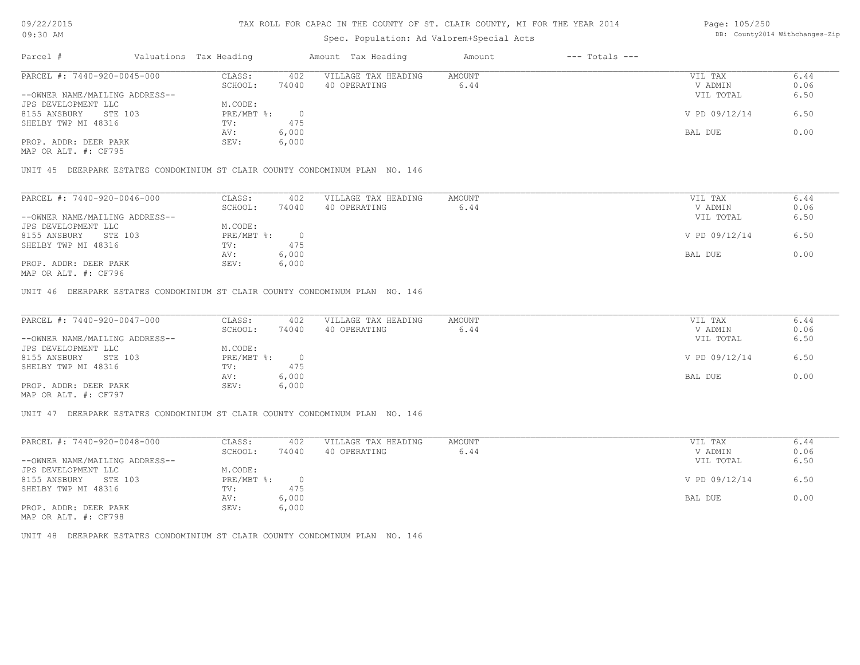## Spec. Population: Ad Valorem+Special Acts

| Page: 105/250 |                                |
|---------------|--------------------------------|
|               | DB: County2014 Withchanges-Zip |

| Parcel #                       |         | Valuations Tax Heading |       | Amount Tax Heading  | Amount | $---$ Totals $---$ |               |      |
|--------------------------------|---------|------------------------|-------|---------------------|--------|--------------------|---------------|------|
| PARCEL #: 7440-920-0045-000    |         | CLASS:                 | 402   | VILLAGE TAX HEADING | AMOUNT |                    | VIL TAX       | 6.44 |
|                                |         | SCHOOL:                | 74040 | 40 OPERATING        | 6.44   |                    | V ADMIN       | 0.06 |
| --OWNER NAME/MAILING ADDRESS-- |         |                        |       |                     |        |                    | VIL TOTAL     | 6.50 |
| JPS DEVELOPMENT LLC            |         | M.CODE:                |       |                     |        |                    |               |      |
| 8155 ANSBURY                   | STE 103 | PRE/MBT %:             |       |                     |        |                    | V PD 09/12/14 | 6.50 |
| SHELBY TWP MI 48316            |         | TV:                    | 475   |                     |        |                    |               |      |
|                                |         | AV:                    | 6,000 |                     |        |                    | BAL DUE       | 0.00 |
| PROP. ADDR: DEER PARK          |         | SEV:                   | 6,000 |                     |        |                    |               |      |

MAP OR ALT. #: CF795

UNIT 45 DEERPARK ESTATES CONDOMINIUM ST CLAIR COUNTY CONDOMINUM PLAN NO. 146

| PARCEL #: 7440-920-0046-000    | CLASS:     | 402   | VILLAGE TAX HEADING | AMOUNT | VIL TAX       | 6.44 |
|--------------------------------|------------|-------|---------------------|--------|---------------|------|
|                                | SCHOOL:    | 74040 | 40 OPERATING        | 6.44   | V ADMIN       | 0.06 |
| --OWNER NAME/MAILING ADDRESS-- |            |       |                     |        | VIL TOTAL     | 6.50 |
| JPS DEVELOPMENT LLC            | M.CODE:    |       |                     |        |               |      |
| 8155 ANSBURY<br>STE 103        | PRE/MBT %: |       |                     |        | V PD 09/12/14 | 6.50 |
| SHELBY TWP MI 48316            | TV:        | 475   |                     |        |               |      |
|                                | AV:        | 6,000 |                     |        | BAL DUE       | 0.00 |
| PROP. ADDR: DEER PARK          | SEV:       | 6,000 |                     |        |               |      |
| MAP OR ALT. #: CF796           |            |       |                     |        |               |      |

UNIT 46 DEERPARK ESTATES CONDOMINIUM ST CLAIR COUNTY CONDOMINUM PLAN NO. 146

| PARCEL #: 7440-920-0047-000                           | CLASS:     | 402   | VILLAGE TAX HEADING | AMOUNT | VIL TAX       | 6.44 |
|-------------------------------------------------------|------------|-------|---------------------|--------|---------------|------|
|                                                       | SCHOOL:    | 74040 | 40 OPERATING        | 6.44   | V ADMIN       | 0.06 |
| --OWNER NAME/MAILING ADDRESS--                        |            |       |                     |        | VIL TOTAL     | 6.50 |
| JPS DEVELOPMENT LLC                                   | M.CODE:    |       |                     |        |               |      |
| 8155 ANSBURY<br>STE 103                               | PRE/MBT %: |       |                     |        | V PD 09/12/14 | 6.50 |
| SHELBY TWP MI 48316                                   | TV:        | 475   |                     |        |               |      |
|                                                       | AV:        | 6,000 |                     |        | BAL DUE       | 0.00 |
| PROP. ADDR: DEER PARK                                 | SEV:       | 6,000 |                     |        |               |      |
| $\cdots$ $\cdots$ $\cdots$ $\cdots$ $\cdots$ $\cdots$ |            |       |                     |        |               |      |

MAP OR ALT. #: CF797

UNIT 47 DEERPARK ESTATES CONDOMINIUM ST CLAIR COUNTY CONDOMINUM PLAN NO. 146

| PARCEL #: 7440-920-0048-000            | CLASS:     | 402   | VILLAGE TAX HEADING | AMOUNT | VIL TAX       | 6.44 |
|----------------------------------------|------------|-------|---------------------|--------|---------------|------|
|                                        | SCHOOL:    | 74040 | 40 OPERATING        | 6.44   | V ADMIN       | 0.06 |
| --OWNER NAME/MAILING ADDRESS--         |            |       |                     |        | VIL TOTAL     | 6.50 |
| JPS DEVELOPMENT LLC                    | M.CODE:    |       |                     |        |               |      |
| 8155 ANSBURY<br>STE 103                | PRE/MBT %: |       |                     |        | V PD 09/12/14 | 6.50 |
| SHELBY TWP MI 48316                    | TV:        | 475   |                     |        |               |      |
|                                        | AV:        | 6,000 |                     |        | BAL DUE       | 0.00 |
| PROP. ADDR: DEER PARK<br>$\frac{1}{2}$ | SEV:       | 6,000 |                     |        |               |      |

MAP OR ALT. #: CF798

UNIT 48 DEERPARK ESTATES CONDOMINIUM ST CLAIR COUNTY CONDOMINUM PLAN NO. 146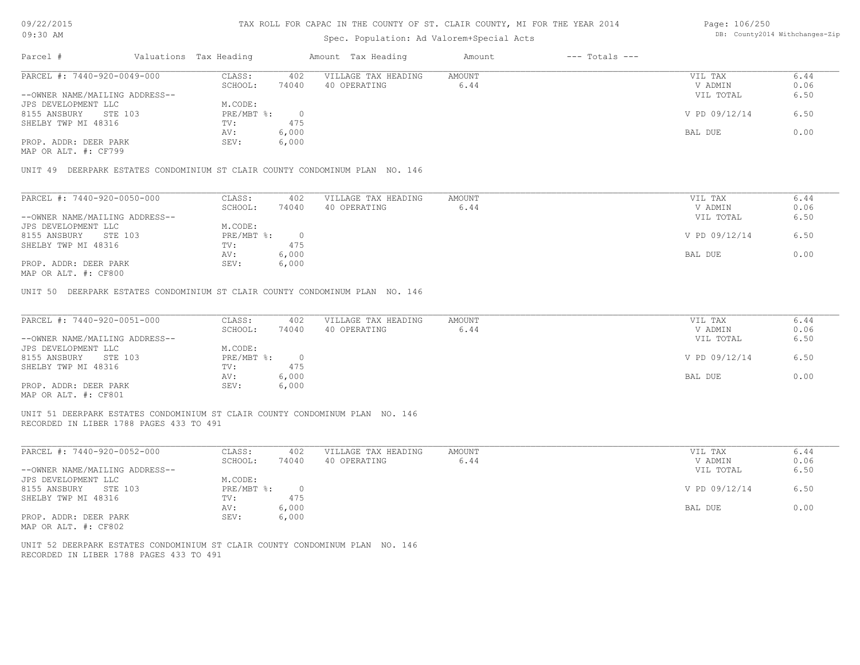#### TAX ROLL FOR CAPAC IN THE COUNTY OF ST. CLAIR COUNTY, MI FOR THE YEAR 2014

### Spec. Population: Ad Valorem+Special Acts

| Page: 106/250 |                                |
|---------------|--------------------------------|
|               | DB: County2014 Withchanges-Zip |

| Parcel #                       |         | Valuations Tax Heading |       | Amount Tax Heading  | Amount | $---$ Totals $---$ |               |      |
|--------------------------------|---------|------------------------|-------|---------------------|--------|--------------------|---------------|------|
| PARCEL #: 7440-920-0049-000    |         | CLASS:                 | 402   | VILLAGE TAX HEADING | AMOUNT |                    | VIL TAX       | 6.44 |
|                                |         | SCHOOL:                | 74040 | 40 OPERATING        | 6.44   |                    | V ADMIN       | 0.06 |
| --OWNER NAME/MAILING ADDRESS-- |         |                        |       |                     |        |                    | VIL TOTAL     | 6.50 |
| JPS DEVELOPMENT LLC            |         | M.CODE:                |       |                     |        |                    |               |      |
| 8155 ANSBURY                   | STE 103 | $PRE/MBT$ %:           |       |                     |        |                    | V PD 09/12/14 | 6.50 |
| SHELBY TWP MI 48316            |         | TV:                    | 475   |                     |        |                    |               |      |
|                                |         | AV:                    | 6,000 |                     |        |                    | BAL DUE       | 0.00 |
| PROP. ADDR: DEER PARK          |         | SEV:                   | 6,000 |                     |        |                    |               |      |
|                                |         |                        |       |                     |        |                    |               |      |

MAP OR ALT. #: CF799

UNIT 49 DEERPARK ESTATES CONDOMINIUM ST CLAIR COUNTY CONDOMINUM PLAN NO. 146

| PARCEL #: 7440-920-0050-000                           | CLASS:     | 402   | VILLAGE TAX HEADING | AMOUNT | VIL TAX       | 6.44 |
|-------------------------------------------------------|------------|-------|---------------------|--------|---------------|------|
|                                                       | SCHOOL:    | 74040 | 40 OPERATING        | 6.44   | V ADMIN       | 0.06 |
| --OWNER NAME/MAILING ADDRESS--                        |            |       |                     |        | VIL TOTAL     | 6.50 |
| JPS DEVELOPMENT LLC                                   | M.CODE:    |       |                     |        |               |      |
| 8155 ANSBURY<br>STE 103                               | PRE/MBT %: |       |                     |        | V PD 09/12/14 | 6.50 |
| SHELBY TWP MI 48316                                   | TV:        | 475   |                     |        |               |      |
|                                                       | AV:        | 6,000 |                     |        | BAL DUE       | 0.00 |
| PROP. ADDR: DEER PARK                                 | SEV:       | 6,000 |                     |        |               |      |
| $\cdots$ $\cdots$ $\cdots$ $\cdots$ $\cdots$ $\cdots$ |            |       |                     |        |               |      |

MAP OR ALT. #: CF800

UNIT 50 DEERPARK ESTATES CONDOMINIUM ST CLAIR COUNTY CONDOMINUM PLAN NO. 146

| PARCEL #: 7440-920-0051-000    | CLASS:       | 402   | VILLAGE TAX HEADING | AMOUNT | VIL TAX       | 6.44 |
|--------------------------------|--------------|-------|---------------------|--------|---------------|------|
|                                | SCHOOL:      | 74040 | 40 OPERATING        | 6.44   | V ADMIN       | 0.06 |
| --OWNER NAME/MAILING ADDRESS-- |              |       |                     |        | VIL TOTAL     | 6.50 |
| JPS DEVELOPMENT LLC            | M.CODE:      |       |                     |        |               |      |
| 8155 ANSBURY<br>STE 103        | $PRE/MBT$ %: |       |                     |        | V PD 09/12/14 | 6.50 |
| SHELBY TWP MI 48316            | TV:          | 475   |                     |        |               |      |
|                                | AV:          | 6,000 |                     |        | BAL DUE       | 0.00 |
| PROP. ADDR: DEER PARK          | SEV:         | 6,000 |                     |        |               |      |
| MAP OR ALT. #: CF801           |              |       |                     |        |               |      |

UNIT 51 DEERPARK ESTATES CONDOMINIUM ST CLAIR COUNTY CONDOMINUM PLAN NO. 146

RECORDED IN LIBER 1788 PAGES 433 TO 491

| PARCEL #: 7440-920-0052-000    | CLASS:     | 402   | VILLAGE TAX HEADING | AMOUNT | VIL TAX       | 6.44 |
|--------------------------------|------------|-------|---------------------|--------|---------------|------|
|                                | SCHOOL:    | 74040 | 40 OPERATING        | 6.44   | V ADMIN       | 0.06 |
| --OWNER NAME/MAILING ADDRESS-- |            |       |                     |        | VIL TOTAL     | 6.50 |
| JPS DEVELOPMENT LLC            | M.CODE:    |       |                     |        |               |      |
| 8155 ANSBURY<br>STE 103        | PRE/MBT %: |       |                     |        | V PD 09/12/14 | 6.50 |
| SHELBY TWP MI 48316            | TV:        | 475   |                     |        |               |      |
|                                | AV:        | 6,000 |                     |        | BAL DUE       | 0.00 |
| PROP. ADDR: DEER PARK          | SEV:       | 6,000 |                     |        |               |      |
| MAP OR ALT. #: CF802           |            |       |                     |        |               |      |

RECORDED IN LIBER 1788 PAGES 433 TO 491 UNIT 52 DEERPARK ESTATES CONDOMINIUM ST CLAIR COUNTY CONDOMINUM PLAN NO. 146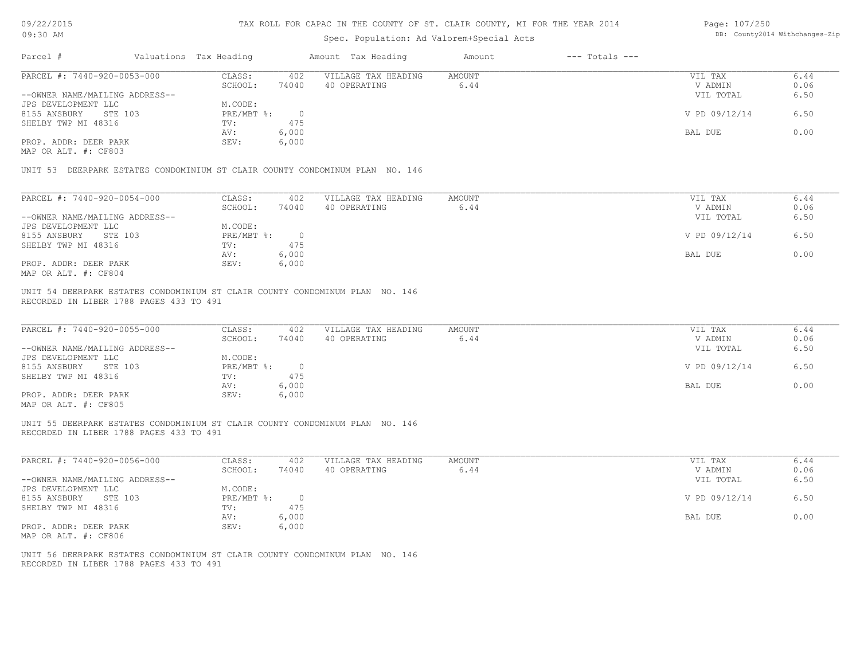#### TAX ROLL FOR CAPAC IN THE COUNTY OF ST. CLAIR COUNTY, MI FOR THE YEAR 2014

### Spec. Population: Ad Valorem+Special Acts

| Page: 107/250 |                                |
|---------------|--------------------------------|
|               | DB: County2014 Withchanges-Zip |

| Parcel #                                      | Valuations Tax Heading |          | Amount Tax Heading  | Amount | $---$ Totals $---$ |               |      |
|-----------------------------------------------|------------------------|----------|---------------------|--------|--------------------|---------------|------|
| PARCEL #: 7440-920-0053-000                   | CLASS:                 | 402      | VILLAGE TAX HEADING | AMOUNT |                    | VIL TAX       | 6.44 |
|                                               | SCHOOL:                | 74040    | 40 OPERATING        | 6.44   |                    | V ADMIN       | 0.06 |
| --OWNER NAME/MAILING ADDRESS--                |                        |          |                     |        |                    | VIL TOTAL     | 6.50 |
| JPS DEVELOPMENT LLC                           | M.CODE:                |          |                     |        |                    |               |      |
| 8155 ANSBURY<br>STE 103                       | PRE/MBT %:             | $\Omega$ |                     |        |                    | V PD 09/12/14 | 6.50 |
| SHELBY TWP MI 48316                           | TV:                    | 475      |                     |        |                    |               |      |
|                                               | AV:                    | 6,000    |                     |        |                    | BAL DUE       | 0.00 |
| PROP. ADDR: DEER PARK<br>MAP OR ALT. #: CF803 | SEV:                   | 6,000    |                     |        |                    |               |      |
|                                               |                        |          |                     |        |                    |               |      |

UNIT 53 DEERPARK ESTATES CONDOMINIUM ST CLAIR COUNTY CONDOMINUM PLAN NO. 146

| PARCEL #: 7440-920-0054-000    | CLASS:     | 402   | VILLAGE TAX HEADING | AMOUNT | VIL TAX       | 6.44 |
|--------------------------------|------------|-------|---------------------|--------|---------------|------|
|                                | SCHOOL:    | 74040 | 40 OPERATING        | 6.44   | V ADMIN       | 0.06 |
| --OWNER NAME/MAILING ADDRESS-- |            |       |                     |        | VIL TOTAL     | 6.50 |
| JPS DEVELOPMENT LLC            | M.CODE:    |       |                     |        |               |      |
| 8155 ANSBURY<br>STE 103        | PRE/MBT %: |       |                     |        | V PD 09/12/14 | 6.50 |
| SHELBY TWP MI 48316            | TV:        | 475   |                     |        |               |      |
|                                | AV:        | 6,000 |                     |        | BAL DUE       | 0.00 |
| PROP. ADDR: DEER PARK          | SEV:       | 6,000 |                     |        |               |      |
| MAP OR ALT. #: CF804           |            |       |                     |        |               |      |

RECORDED IN LIBER 1788 PAGES 433 TO 491 UNIT 54 DEERPARK ESTATES CONDOMINIUM ST CLAIR COUNTY CONDOMINUM PLAN NO. 146

| PARCEL #: 7440-920-0055-000    | CLASS:     | 402   | VILLAGE TAX HEADING | AMOUNT | VIL TAX       | 6.44 |
|--------------------------------|------------|-------|---------------------|--------|---------------|------|
|                                | SCHOOL:    | 74040 | 40 OPERATING        | 6.44   | V ADMIN       | 0.06 |
| --OWNER NAME/MAILING ADDRESS-- |            |       |                     |        | VIL TOTAL     | 6.50 |
| JPS DEVELOPMENT LLC            | M.CODE:    |       |                     |        |               |      |
| 8155 ANSBURY<br>STE 103        | PRE/MBT %: |       |                     |        | V PD 09/12/14 | 6.50 |
| SHELBY TWP MI 48316            | TV:        | 475   |                     |        |               |      |
|                                | AV:        | 6,000 |                     |        | BAL DUE       | 0.00 |
| PROP. ADDR: DEER PARK          | SEV:       | 6,000 |                     |        |               |      |
| MAP OR ALT. #: CF805           |            |       |                     |        |               |      |

 $\mathcal{L}_\mathcal{L} = \mathcal{L}_\mathcal{L} = \mathcal{L}_\mathcal{L} = \mathcal{L}_\mathcal{L} = \mathcal{L}_\mathcal{L} = \mathcal{L}_\mathcal{L} = \mathcal{L}_\mathcal{L} = \mathcal{L}_\mathcal{L} = \mathcal{L}_\mathcal{L} = \mathcal{L}_\mathcal{L} = \mathcal{L}_\mathcal{L} = \mathcal{L}_\mathcal{L} = \mathcal{L}_\mathcal{L} = \mathcal{L}_\mathcal{L} = \mathcal{L}_\mathcal{L} = \mathcal{L}_\mathcal{L} = \mathcal{L}_\mathcal{L}$ 

UNIT 55 DEERPARK ESTATES CONDOMINIUM ST CLAIR COUNTY CONDOMINUM PLAN NO. 146

RECORDED IN LIBER 1788 PAGES 433 TO 491

| PARCEL #: 7440-920-0056-000    | CLASS:     | 402   | VILLAGE TAX HEADING | AMOUNT | VIL TAX       | 6.44 |
|--------------------------------|------------|-------|---------------------|--------|---------------|------|
|                                | SCHOOL:    | 74040 | 40 OPERATING        | 6.44   | V ADMIN       | 0.06 |
| --OWNER NAME/MAILING ADDRESS-- |            |       |                     |        | VIL TOTAL     | 6.50 |
| JPS DEVELOPMENT LLC            | M.CODE:    |       |                     |        |               |      |
| 8155 ANSBURY<br>STE 103        | PRE/MBT %: |       |                     |        | V PD 09/12/14 | 6.50 |
| SHELBY TWP MI 48316            | TV:        | 475   |                     |        |               |      |
|                                | AV:        | 6,000 |                     |        | BAL DUE       | 0.00 |
| PROP. ADDR: DEER PARK          | SEV:       | 6,000 |                     |        |               |      |
|                                |            |       |                     |        |               |      |

MAP OR ALT. #: CF806

RECORDED IN LIBER 1788 PAGES 433 TO 491 UNIT 56 DEERPARK ESTATES CONDOMINIUM ST CLAIR COUNTY CONDOMINUM PLAN NO. 146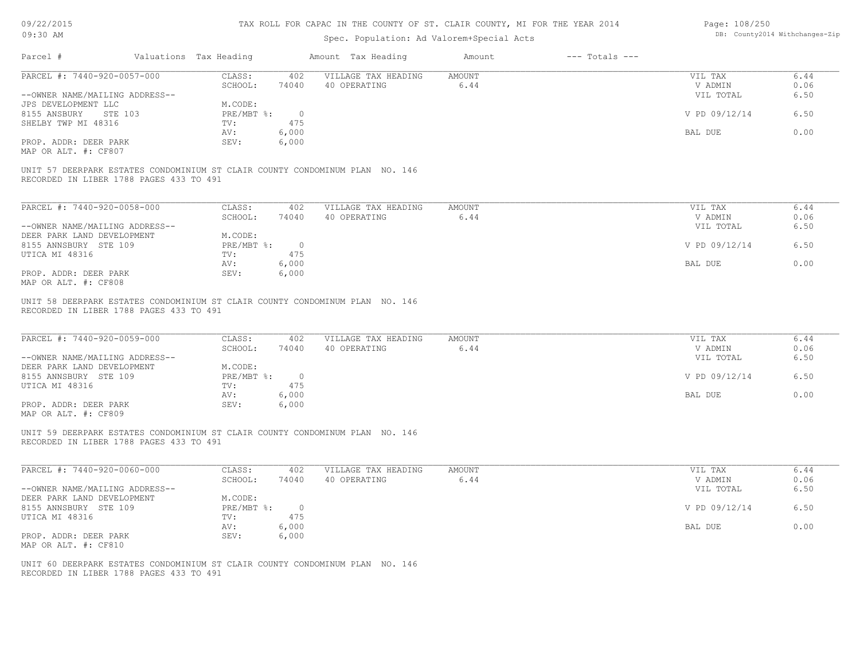| 09/22/2015 |  |
|------------|--|
|------------|--|

| Page: 108/250 |                                |
|---------------|--------------------------------|
|               | DB: County2014 Withchanges-Zip |

| 09:30 AM                                                                                                                                                                                                                                                                                                           |                                                                                                                               | Spec. Population: Ad Valorem+Special Acts | DB: County2014 Withchanges-Zip |                                                             |                                      |
|--------------------------------------------------------------------------------------------------------------------------------------------------------------------------------------------------------------------------------------------------------------------------------------------------------------------|-------------------------------------------------------------------------------------------------------------------------------|-------------------------------------------|--------------------------------|-------------------------------------------------------------|--------------------------------------|
| Parcel #                                                                                                                                                                                                                                                                                                           | Valuations Tax Heading                                                                                                        | Amount Tax Heading                        | $---$ Totals $---$<br>Amount   |                                                             |                                      |
| PARCEL #: 7440-920-0057-000                                                                                                                                                                                                                                                                                        | CLASS:<br>402                                                                                                                 | VILLAGE TAX HEADING                       | AMOUNT                         | VIL TAX                                                     | 6.44                                 |
|                                                                                                                                                                                                                                                                                                                    | SCHOOL:<br>74040                                                                                                              | 40 OPERATING                              | 6.44                           | V ADMIN                                                     | 0.06                                 |
| --OWNER NAME/MAILING ADDRESS--                                                                                                                                                                                                                                                                                     |                                                                                                                               |                                           |                                | VIL TOTAL                                                   | 6.50                                 |
| JPS DEVELOPMENT LLC                                                                                                                                                                                                                                                                                                | M.CODE:                                                                                                                       |                                           |                                |                                                             |                                      |
| 8155 ANSBURY STE 103                                                                                                                                                                                                                                                                                               | $PRE/MBT$ $\div$<br>$\overline{0}$                                                                                            |                                           |                                | V PD 09/12/14                                               | 6.50                                 |
| SHELBY TWP MI 48316                                                                                                                                                                                                                                                                                                | 475<br>TV:                                                                                                                    |                                           |                                |                                                             |                                      |
|                                                                                                                                                                                                                                                                                                                    | 6,000<br>AV:                                                                                                                  |                                           |                                | BAL DUE                                                     | 0.00                                 |
| PROP. ADDR: DEER PARK                                                                                                                                                                                                                                                                                              | SEV:<br>6,000                                                                                                                 |                                           |                                |                                                             |                                      |
| MAP OR ALT. #: CF807                                                                                                                                                                                                                                                                                               |                                                                                                                               |                                           |                                |                                                             |                                      |
| UNIT 57 DEERPARK ESTATES CONDOMINIUM ST CLAIR COUNTY CONDOMINUM PLAN NO. 146<br>RECORDED IN LIBER 1788 PAGES 433 TO 491                                                                                                                                                                                            |                                                                                                                               |                                           |                                |                                                             |                                      |
| PARCEL #: 7440-920-0058-000                                                                                                                                                                                                                                                                                        | CLASS:<br>402                                                                                                                 | VILLAGE TAX HEADING                       | AMOUNT                         | VIL TAX                                                     | 6.44                                 |
|                                                                                                                                                                                                                                                                                                                    | SCHOOL:<br>74040                                                                                                              | 40 OPERATING                              | 6.44                           | V ADMIN                                                     | 0.06                                 |
| --OWNER NAME/MAILING ADDRESS--                                                                                                                                                                                                                                                                                     |                                                                                                                               |                                           |                                | VIL TOTAL                                                   | 6.50                                 |
| DEER PARK LAND DEVELOPMENT                                                                                                                                                                                                                                                                                         | M.CODE:                                                                                                                       |                                           |                                |                                                             |                                      |
| 8155 ANNSBURY STE 109                                                                                                                                                                                                                                                                                              | $\overline{0}$                                                                                                                |                                           |                                |                                                             | 6.50                                 |
|                                                                                                                                                                                                                                                                                                                    | $PRE/MBT$ %:                                                                                                                  |                                           |                                | V PD 09/12/14                                               |                                      |
| UTICA MI 48316                                                                                                                                                                                                                                                                                                     | 475<br>TV:                                                                                                                    |                                           |                                |                                                             |                                      |
|                                                                                                                                                                                                                                                                                                                    | AV:<br>6,000                                                                                                                  |                                           |                                | BAL DUE                                                     | 0.00                                 |
| PROP. ADDR: DEER PARK<br>MAP OR ALT. #: CF808                                                                                                                                                                                                                                                                      | SEV:<br>6,000                                                                                                                 |                                           |                                |                                                             |                                      |
| PARCEL #: 7440-920-0059-000<br>--OWNER NAME/MAILING ADDRESS--<br>DEER PARK LAND DEVELOPMENT<br>8155 ANNSBURY STE 109<br>UTICA MI 48316<br>PROP. ADDR: DEER PARK<br>MAP OR ALT. #: CF809<br>UNIT 59 DEERPARK ESTATES CONDOMINIUM ST CLAIR COUNTY CONDOMINUM PLAN NO. 146<br>RECORDED IN LIBER 1788 PAGES 433 TO 491 | CLASS:<br>402<br>SCHOOL:<br>74040<br>M.CODE:<br>$PRE/MBT$ %:<br>$\overline{0}$<br>475<br>TV:<br>6,000<br>AV:<br>SEV:<br>6,000 | VILLAGE TAX HEADING<br>40 OPERATING       | <b>AMOUNT</b><br>6.44          | VIL TAX<br>V ADMIN<br>VIL TOTAL<br>V PD 09/12/14<br>BAL DUE | 6.44<br>0.06<br>6.50<br>6.50<br>0.00 |
| PARCEL #: 7440-920-0060-000                                                                                                                                                                                                                                                                                        | CLASS:<br>402                                                                                                                 | VILLAGE TAX HEADING                       | AMOUNT                         | VIL TAX                                                     | 6.44                                 |
|                                                                                                                                                                                                                                                                                                                    | SCHOOL:<br>74040                                                                                                              | 40 OPERATING                              | 6.44                           | V ADMIN                                                     | 0.06                                 |
| --OWNER NAME/MAILING ADDRESS--                                                                                                                                                                                                                                                                                     |                                                                                                                               |                                           |                                | VIL TOTAL                                                   | 6.50                                 |
| DEER PARK LAND DEVELOPMENT                                                                                                                                                                                                                                                                                         | M.CODE:                                                                                                                       |                                           |                                |                                                             |                                      |
| 8155 ANNSBURY STE 109                                                                                                                                                                                                                                                                                              | $PRE/MBT$ %:<br>$\circ$                                                                                                       |                                           |                                | V PD 09/12/14                                               | 6.50                                 |
| UTICA MI 48316                                                                                                                                                                                                                                                                                                     | $TV:$ 475                                                                                                                     |                                           |                                |                                                             |                                      |
|                                                                                                                                                                                                                                                                                                                    |                                                                                                                               |                                           |                                |                                                             |                                      |
|                                                                                                                                                                                                                                                                                                                    | AV:<br>6,000                                                                                                                  |                                           |                                | BAL DUE                                                     | 0.00                                 |
| PROP. ADDR: DEER PARK                                                                                                                                                                                                                                                                                              | SEV:<br>6,000                                                                                                                 |                                           |                                |                                                             |                                      |
| MAP OR ALT. #: CF810                                                                                                                                                                                                                                                                                               |                                                                                                                               |                                           |                                |                                                             |                                      |
| UNIT 60 DEERPARK ESTATES CONDOMINIUM ST CLAIR COUNTY CONDOMINUM PLAN NO. 146<br>RECORDED IN LIBER 1788 PAGES 433 TO 491                                                                                                                                                                                            |                                                                                                                               |                                           |                                |                                                             |                                      |
|                                                                                                                                                                                                                                                                                                                    |                                                                                                                               |                                           |                                |                                                             |                                      |
|                                                                                                                                                                                                                                                                                                                    |                                                                                                                               |                                           |                                |                                                             |                                      |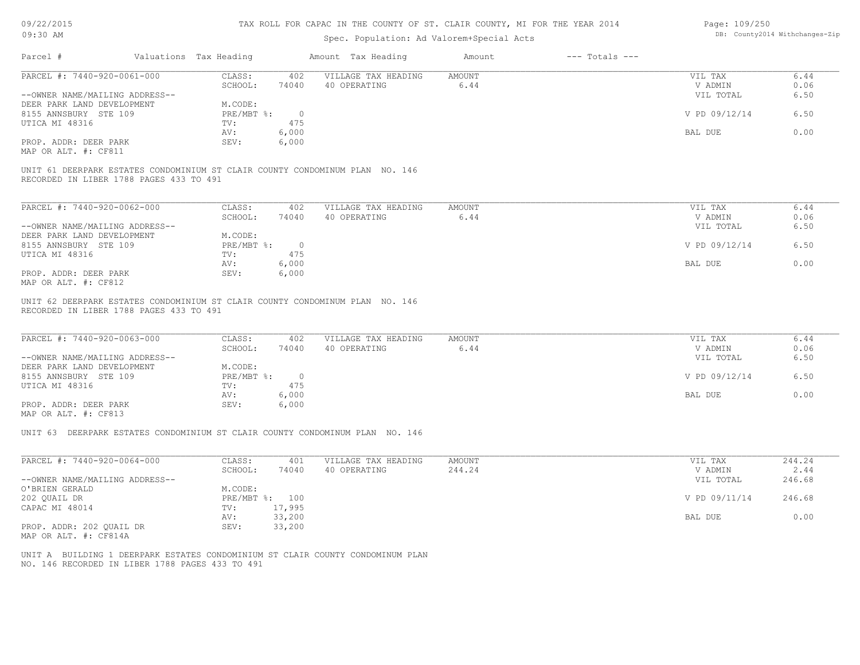| 09/22/2015 |  |
|------------|--|
|------------|--|

| Page: 109/250 |                                |
|---------------|--------------------------------|
|               | DB: County2014 Withchanges-Zip |

| Parcel #<br>Valuations Tax Heading<br>Amount Tax Heading<br>$---$ Totals $---$<br>Amount<br>PARCEL #: 7440-920-0061-000<br>VILLAGE TAX HEADING<br>CLASS:<br>402<br>AMOUNT<br>VIL TAX<br>SCHOOL:<br>40 OPERATING<br>6.44<br>74040<br>V ADMIN<br>--OWNER NAME/MAILING ADDRESS--<br>VIL TOTAL<br>DEER PARK LAND DEVELOPMENT<br>M.CODE:<br>8155 ANNSBURY STE 109<br>$PRE/MBT$ $\div$<br>$\overline{0}$<br>V PD 09/12/14<br>475<br>UTICA MI 48316<br>TV:<br>AV:<br>6,000<br>BAL DUE<br>PROP. ADDR: DEER PARK<br>SEV:<br>6,000<br>MAP OR ALT. #: CF811<br>UNIT 61 DEERPARK ESTATES CONDOMINIUM ST CLAIR COUNTY CONDOMINUM PLAN NO. 146<br>RECORDED IN LIBER 1788 PAGES 433 TO 491<br>PARCEL #: 7440-920-0062-000<br>CLASS:<br>402<br>VILLAGE TAX HEADING<br>AMOUNT<br>VIL TAX<br>6.44<br>SCHOOL:<br>74040<br>40 OPERATING<br>V ADMIN<br>--OWNER NAME/MAILING ADDRESS--<br>VIL TOTAL<br>DEER PARK LAND DEVELOPMENT<br>M.CODE:<br>V PD 09/12/14<br>8155 ANNSBURY STE 109<br>$PRE/MBT$ $\frac{1}{6}$ :<br>$\overline{0}$<br>UTICA MI 48316<br>475<br>TV:<br>6,000<br>BAL DUE<br>AV:<br>PROP. ADDR: DEER PARK<br>SEV:<br>6,000<br>MAP OR ALT. #: CF812<br>UNIT 62 DEERPARK ESTATES CONDOMINIUM ST CLAIR COUNTY CONDOMINUM PLAN NO. 146<br>RECORDED IN LIBER 1788 PAGES 433 TO 491<br>PARCEL #: 7440-920-0063-000<br>CLASS:<br>402<br>VILLAGE TAX HEADING<br>AMOUNT<br>VIL TAX<br>SCHOOL:<br>6.44<br>74040<br>40 OPERATING<br>V ADMIN<br>--OWNER NAME/MAILING ADDRESS--<br>VIL TOTAL<br>DEER PARK LAND DEVELOPMENT<br>M.CODE:<br>8155 ANNSBURY STE 109<br>$PRE/MBT$ $\frac{1}{6}$ :<br>$\overline{0}$<br>V PD 09/12/14<br>475<br>UTICA MI 48316<br>TV:<br>6,000<br>AV:<br>BAL DUE<br>PROP. ADDR: DEER PARK<br>SEV:<br>6,000<br>MAP OR ALT. #: CF813 | 6.44<br>0.06<br>6.50<br>6.50<br>0.00<br>6.44 |
|------------------------------------------------------------------------------------------------------------------------------------------------------------------------------------------------------------------------------------------------------------------------------------------------------------------------------------------------------------------------------------------------------------------------------------------------------------------------------------------------------------------------------------------------------------------------------------------------------------------------------------------------------------------------------------------------------------------------------------------------------------------------------------------------------------------------------------------------------------------------------------------------------------------------------------------------------------------------------------------------------------------------------------------------------------------------------------------------------------------------------------------------------------------------------------------------------------------------------------------------------------------------------------------------------------------------------------------------------------------------------------------------------------------------------------------------------------------------------------------------------------------------------------------------------------------------------------------------------------------------------------------------------------------------------------------------------------------------------------------|----------------------------------------------|
|                                                                                                                                                                                                                                                                                                                                                                                                                                                                                                                                                                                                                                                                                                                                                                                                                                                                                                                                                                                                                                                                                                                                                                                                                                                                                                                                                                                                                                                                                                                                                                                                                                                                                                                                          |                                              |
|                                                                                                                                                                                                                                                                                                                                                                                                                                                                                                                                                                                                                                                                                                                                                                                                                                                                                                                                                                                                                                                                                                                                                                                                                                                                                                                                                                                                                                                                                                                                                                                                                                                                                                                                          |                                              |
|                                                                                                                                                                                                                                                                                                                                                                                                                                                                                                                                                                                                                                                                                                                                                                                                                                                                                                                                                                                                                                                                                                                                                                                                                                                                                                                                                                                                                                                                                                                                                                                                                                                                                                                                          |                                              |
|                                                                                                                                                                                                                                                                                                                                                                                                                                                                                                                                                                                                                                                                                                                                                                                                                                                                                                                                                                                                                                                                                                                                                                                                                                                                                                                                                                                                                                                                                                                                                                                                                                                                                                                                          |                                              |
|                                                                                                                                                                                                                                                                                                                                                                                                                                                                                                                                                                                                                                                                                                                                                                                                                                                                                                                                                                                                                                                                                                                                                                                                                                                                                                                                                                                                                                                                                                                                                                                                                                                                                                                                          |                                              |
|                                                                                                                                                                                                                                                                                                                                                                                                                                                                                                                                                                                                                                                                                                                                                                                                                                                                                                                                                                                                                                                                                                                                                                                                                                                                                                                                                                                                                                                                                                                                                                                                                                                                                                                                          |                                              |
|                                                                                                                                                                                                                                                                                                                                                                                                                                                                                                                                                                                                                                                                                                                                                                                                                                                                                                                                                                                                                                                                                                                                                                                                                                                                                                                                                                                                                                                                                                                                                                                                                                                                                                                                          |                                              |
|                                                                                                                                                                                                                                                                                                                                                                                                                                                                                                                                                                                                                                                                                                                                                                                                                                                                                                                                                                                                                                                                                                                                                                                                                                                                                                                                                                                                                                                                                                                                                                                                                                                                                                                                          |                                              |
|                                                                                                                                                                                                                                                                                                                                                                                                                                                                                                                                                                                                                                                                                                                                                                                                                                                                                                                                                                                                                                                                                                                                                                                                                                                                                                                                                                                                                                                                                                                                                                                                                                                                                                                                          |                                              |
|                                                                                                                                                                                                                                                                                                                                                                                                                                                                                                                                                                                                                                                                                                                                                                                                                                                                                                                                                                                                                                                                                                                                                                                                                                                                                                                                                                                                                                                                                                                                                                                                                                                                                                                                          | 0.06                                         |
|                                                                                                                                                                                                                                                                                                                                                                                                                                                                                                                                                                                                                                                                                                                                                                                                                                                                                                                                                                                                                                                                                                                                                                                                                                                                                                                                                                                                                                                                                                                                                                                                                                                                                                                                          | 6.50                                         |
|                                                                                                                                                                                                                                                                                                                                                                                                                                                                                                                                                                                                                                                                                                                                                                                                                                                                                                                                                                                                                                                                                                                                                                                                                                                                                                                                                                                                                                                                                                                                                                                                                                                                                                                                          | 6.50                                         |
|                                                                                                                                                                                                                                                                                                                                                                                                                                                                                                                                                                                                                                                                                                                                                                                                                                                                                                                                                                                                                                                                                                                                                                                                                                                                                                                                                                                                                                                                                                                                                                                                                                                                                                                                          |                                              |
|                                                                                                                                                                                                                                                                                                                                                                                                                                                                                                                                                                                                                                                                                                                                                                                                                                                                                                                                                                                                                                                                                                                                                                                                                                                                                                                                                                                                                                                                                                                                                                                                                                                                                                                                          | 0.00                                         |
|                                                                                                                                                                                                                                                                                                                                                                                                                                                                                                                                                                                                                                                                                                                                                                                                                                                                                                                                                                                                                                                                                                                                                                                                                                                                                                                                                                                                                                                                                                                                                                                                                                                                                                                                          |                                              |
|                                                                                                                                                                                                                                                                                                                                                                                                                                                                                                                                                                                                                                                                                                                                                                                                                                                                                                                                                                                                                                                                                                                                                                                                                                                                                                                                                                                                                                                                                                                                                                                                                                                                                                                                          | 6.44<br>0.06<br>6.50<br>6.50                 |
|                                                                                                                                                                                                                                                                                                                                                                                                                                                                                                                                                                                                                                                                                                                                                                                                                                                                                                                                                                                                                                                                                                                                                                                                                                                                                                                                                                                                                                                                                                                                                                                                                                                                                                                                          | 0.00                                         |
|                                                                                                                                                                                                                                                                                                                                                                                                                                                                                                                                                                                                                                                                                                                                                                                                                                                                                                                                                                                                                                                                                                                                                                                                                                                                                                                                                                                                                                                                                                                                                                                                                                                                                                                                          |                                              |
| UNIT 63 DEERPARK ESTATES CONDOMINIUM ST CLAIR COUNTY CONDOMINUM PLAN NO. 146                                                                                                                                                                                                                                                                                                                                                                                                                                                                                                                                                                                                                                                                                                                                                                                                                                                                                                                                                                                                                                                                                                                                                                                                                                                                                                                                                                                                                                                                                                                                                                                                                                                             |                                              |
| PARCEL #: 7440-920-0064-000<br>VILLAGE TAX HEADING<br>CLASS:<br><b>AMOUNT</b><br>VIL TAX<br>401                                                                                                                                                                                                                                                                                                                                                                                                                                                                                                                                                                                                                                                                                                                                                                                                                                                                                                                                                                                                                                                                                                                                                                                                                                                                                                                                                                                                                                                                                                                                                                                                                                          | 244.24                                       |
| 244.24<br>SCHOOL:<br>74040<br>40 OPERATING<br>V ADMIN<br>--OWNER NAME/MAILING ADDRESS--<br>VIL TOTAL                                                                                                                                                                                                                                                                                                                                                                                                                                                                                                                                                                                                                                                                                                                                                                                                                                                                                                                                                                                                                                                                                                                                                                                                                                                                                                                                                                                                                                                                                                                                                                                                                                     | 2.44<br>246.68                               |
| O'BRIEN GERALD<br>M.CODE:                                                                                                                                                                                                                                                                                                                                                                                                                                                                                                                                                                                                                                                                                                                                                                                                                                                                                                                                                                                                                                                                                                                                                                                                                                                                                                                                                                                                                                                                                                                                                                                                                                                                                                                |                                              |
| 202 QUAIL DR<br>PRE/MBT %: 100<br>V PD 09/11/14                                                                                                                                                                                                                                                                                                                                                                                                                                                                                                                                                                                                                                                                                                                                                                                                                                                                                                                                                                                                                                                                                                                                                                                                                                                                                                                                                                                                                                                                                                                                                                                                                                                                                          | 246.68                                       |
| CAPAC MI 48014<br>TV:<br>17,995                                                                                                                                                                                                                                                                                                                                                                                                                                                                                                                                                                                                                                                                                                                                                                                                                                                                                                                                                                                                                                                                                                                                                                                                                                                                                                                                                                                                                                                                                                                                                                                                                                                                                                          |                                              |
| 33,200<br>BAL DUE<br>AV:<br>PROP. ADDR: 202 QUAIL DR<br>SEV:<br>33,200                                                                                                                                                                                                                                                                                                                                                                                                                                                                                                                                                                                                                                                                                                                                                                                                                                                                                                                                                                                                                                                                                                                                                                                                                                                                                                                                                                                                                                                                                                                                                                                                                                                                   | 0.00                                         |
| MAP OR ALT. #: CF814A                                                                                                                                                                                                                                                                                                                                                                                                                                                                                                                                                                                                                                                                                                                                                                                                                                                                                                                                                                                                                                                                                                                                                                                                                                                                                                                                                                                                                                                                                                                                                                                                                                                                                                                    |                                              |
| UNIT A BUILDING 1 DEERPARK ESTATES CONDOMINIUM ST CLAIR COUNTY CONDOMINUM PLAN<br>NO. 146 RECORDED IN LIBER 1788 PAGES 433 TO 491                                                                                                                                                                                                                                                                                                                                                                                                                                                                                                                                                                                                                                                                                                                                                                                                                                                                                                                                                                                                                                                                                                                                                                                                                                                                                                                                                                                                                                                                                                                                                                                                        |                                              |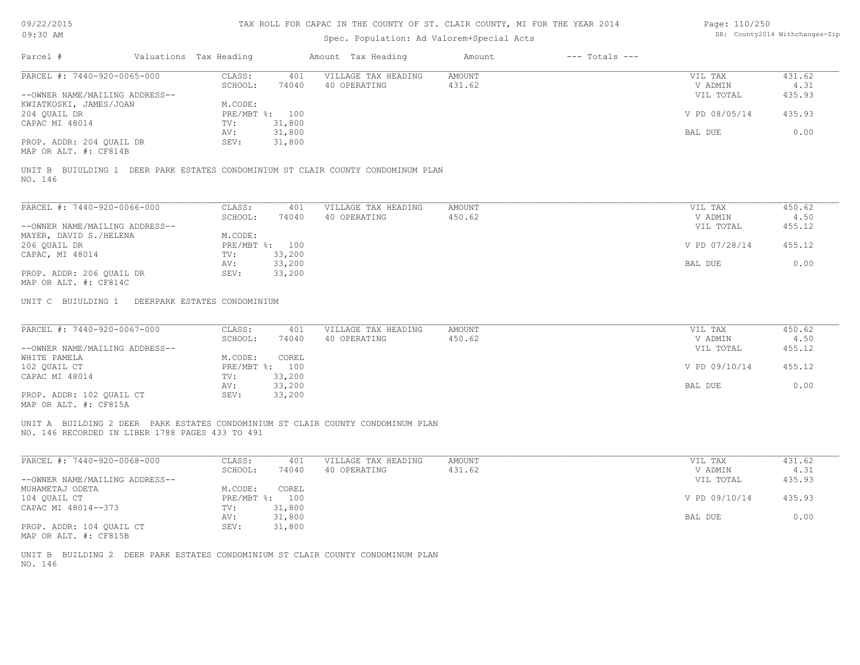# Spec. Population: Ad Valorem+Special Acts

| Page: 110/250 |                                |
|---------------|--------------------------------|
|               | DB: County2014 Withchanges-Zip |

| Parcel #                                          | Valuations Tax Heading |        | Amount Tax Heading                                            | Amount | $---$ Totals $---$ |               |        |
|---------------------------------------------------|------------------------|--------|---------------------------------------------------------------|--------|--------------------|---------------|--------|
| PARCEL #: 7440-920-0065-000                       | CLASS:                 | 401    | VILLAGE TAX HEADING                                           | AMOUNT |                    | VIL TAX       | 431.62 |
|                                                   | SCHOOL:                | 74040  | 40 OPERATING                                                  | 431.62 |                    | V ADMIN       | 4.31   |
| --OWNER NAME/MAILING ADDRESS--                    |                        |        |                                                               |        |                    | VIL TOTAL     | 435.93 |
| KWIATKOSKI, JAMES/JOAN                            | M.CODE:                |        |                                                               |        |                    |               |        |
| 204 QUAIL DR                                      | PRE/MBT %:             | 100    |                                                               |        |                    | V PD 08/05/14 | 435.93 |
| CAPAC MI 48014                                    | TV:                    | 31,800 |                                                               |        |                    |               |        |
|                                                   | AV:                    | 31,800 |                                                               |        |                    | BAL DUE       | 0.00   |
| PROP. ADDR: 204 QUAIL DR<br>MAP OR ALT. #: CF814B | SEV:                   | 31,800 |                                                               |        |                    |               |        |
| UNIT B BUIULDING 1                                |                        |        | DEER PARK ESTATES CONDOMINIUM ST CLAIR COUNTY CONDOMINUM PLAN |        |                    |               |        |
| NO. 146                                           |                        |        |                                                               |        |                    |               |        |
| PARCEL #: 7440-920-0066-000                       | CLASS:                 | 401    | VILLAGE TAX HEADING                                           | AMOUNT |                    | VIL TAX       | 450.62 |
|                                                   | SCHOOL:                | 74040  | 40 OPERATING                                                  | 450.62 |                    | V ADMIN       | 4.50   |
| --OWNER NAME/MAILING ADDRESS--                    |                        |        |                                                               |        |                    | VIL TOTAL     | 455.12 |
| MAYER, DAVID S./HELENA                            | M.CODE:                |        |                                                               |        |                    |               |        |
| 206 QUAIL DR                                      | $PRE/MBT$ $\div$       | 100    |                                                               |        |                    | V PD 07/28/14 | 455.12 |
| CAPAC, MI 48014                                   | TV:                    | 33,200 |                                                               |        |                    |               |        |
|                                                   | AV:                    | 33,200 |                                                               |        |                    | BAL DUE       | 0.00   |

MAP OR ALT. #: CF814C

UNIT C BUIULDING 1 DEERPARK ESTATES CONDOMINIUM

| PARCEL #: 7440-920-0067-000    | CLASS:       | 401    | VILLAGE TAX HEADING | AMOUNT | VIL TAX       | 450.62 |
|--------------------------------|--------------|--------|---------------------|--------|---------------|--------|
|                                | SCHOOL:      | 74040  | 40 OPERATING        | 450.62 | V ADMIN       | 4.50   |
| --OWNER NAME/MAILING ADDRESS-- |              |        |                     |        | VIL TOTAL     | 455.12 |
| WHITE PAMELA                   | M.CODE:      | COREL  |                     |        |               |        |
| 102 QUAIL CT                   | $PRE/MBT$ %: | 100    |                     |        | V PD 09/10/14 | 455.12 |
| CAPAC MI 48014                 | TV:          | 33,200 |                     |        |               |        |
|                                | AV:          | 33,200 |                     |        | BAL DUE       | 0.00   |
| PROP. ADDR: 102 OUAIL CT       | SEV:         | 33,200 |                     |        |               |        |
| $\frac{1}{2}$                  |              |        |                     |        |               |        |

MAP OR ALT. #: CF815A

NO. 146 RECORDED IN LIBER 1788 PAGES 433 TO 491 UNIT A BUILDING 2 DEER PARK ESTATES CONDOMINIUM ST CLAIR COUNTY CONDOMINUM PLAN

| PARCEL #: 7440-920-0068-000    | CLASS:     | 401    | VILLAGE TAX HEADING | AMOUNT | VIL TAX       | 431.62 |
|--------------------------------|------------|--------|---------------------|--------|---------------|--------|
|                                | SCHOOL:    | 74040  | 40 OPERATING        | 431.62 | V ADMIN       | 4.31   |
| --OWNER NAME/MAILING ADDRESS-- |            |        |                     |        | VIL TOTAL     | 435.93 |
| MUHAMETAJ ODETA                | M.CODE:    | COREL  |                     |        |               |        |
| 104 OUAIL CT                   | PRE/MBT %: | 100    |                     |        | V PD 09/10/14 | 435.93 |
| CAPAC MI 48014--373            | TV:        | 31,800 |                     |        |               |        |
|                                | AV:        | 31,800 |                     |        | BAL DUE       | 0.00   |
| PROP. ADDR: 104 OUAIL CT       | SEV:       | 31,800 |                     |        |               |        |

MAP OR ALT. #: CF815B

NO. 146 UNIT B BUILDING 2 DEER PARK ESTATES CONDOMINIUM ST CLAIR COUNTY CONDOMINUM PLAN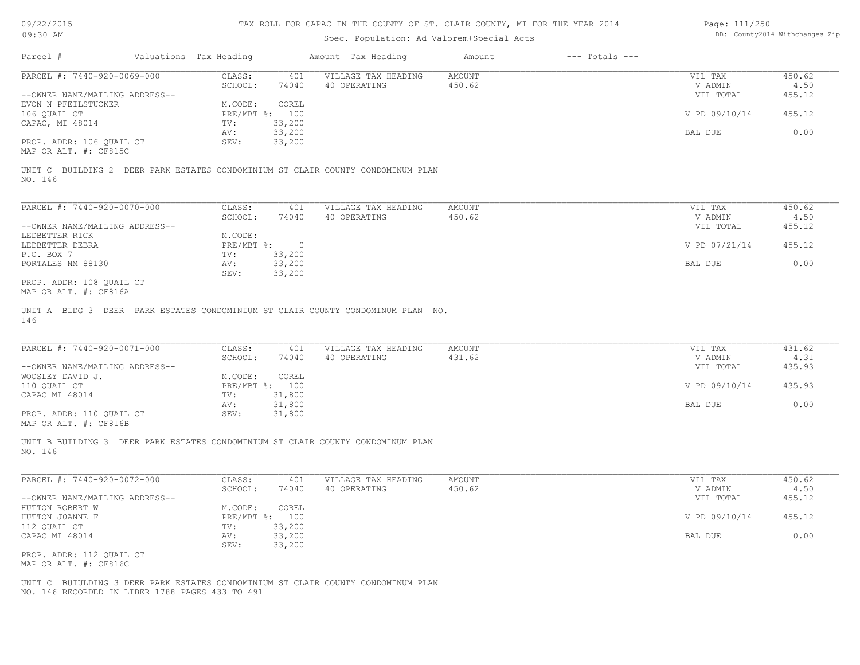| 09/22/2015                                                                      |                        |            |                |                     | TAX ROLL FOR CAPAC IN THE COUNTY OF ST. CLAIR COUNTY, MI FOR THE YEAR 2014 |                    | Page: 111/250 |                                |
|---------------------------------------------------------------------------------|------------------------|------------|----------------|---------------------|----------------------------------------------------------------------------|--------------------|---------------|--------------------------------|
| $09:30$ AM                                                                      |                        |            |                |                     | Spec. Population: Ad Valorem+Special Acts                                  |                    |               | DB: County2014 Withchanges-Zip |
| Parcel #                                                                        | Valuations Tax Heading |            |                | Amount Tax Heading  | Amount                                                                     | $---$ Totals $---$ |               |                                |
| PARCEL #: 7440-920-0069-000                                                     |                        | CLASS:     | 401            | VILLAGE TAX HEADING | AMOUNT                                                                     |                    | VIL TAX       | 450.62                         |
|                                                                                 |                        | SCHOOL:    | 74040          | 40 OPERATING        | 450.62                                                                     |                    | V ADMIN       | 4.50                           |
| --OWNER NAME/MAILING ADDRESS--                                                  |                        |            |                |                     |                                                                            |                    | VIL TOTAL     | 455.12                         |
| EVON N PFEILSTUCKER                                                             |                        | M.CODE:    | COREL          |                     |                                                                            |                    |               |                                |
| 106 OUAIL CT                                                                    |                        |            | PRE/MBT %: 100 |                     |                                                                            |                    | V PD 09/10/14 | 455.12                         |
| CAPAC, MI 48014                                                                 |                        | TV:        | 33,200         |                     |                                                                            |                    |               |                                |
|                                                                                 |                        | AV:        | 33,200         |                     |                                                                            |                    | BAL DUE       | 0.00                           |
| PROP. ADDR: 106 OUAIL CT                                                        |                        | SEV:       | 33,200         |                     |                                                                            |                    |               |                                |
| MAP OR ALT. #: CF815C                                                           |                        |            |                |                     |                                                                            |                    |               |                                |
|                                                                                 |                        |            |                |                     |                                                                            |                    |               |                                |
| UNIT C BUILDING 2 DEER PARK ESTATES CONDOMINIUM ST CLAIR COUNTY CONDOMINUM PLAN |                        |            |                |                     |                                                                            |                    |               |                                |
| NO. 146                                                                         |                        |            |                |                     |                                                                            |                    |               |                                |
|                                                                                 |                        |            |                |                     |                                                                            |                    |               |                                |
| PARCEL #: 7440-920-0070-000                                                     |                        | CLASS:     | 401            | VILLAGE TAX HEADING | <b>AMOUNT</b>                                                              |                    | VIL TAX       | 450.62                         |
|                                                                                 |                        | SCHOOL:    | 74040          | 40 OPERATING        | 450.62                                                                     |                    | V ADMIN       | 4.50                           |
| --OWNER NAME/MAILING ADDRESS--                                                  |                        |            |                |                     |                                                                            |                    | VIL TOTAL     | 455.12                         |
| LEDBETTER RICK                                                                  |                        | M.CODE:    |                |                     |                                                                            |                    |               |                                |
| LEDBETTER DEBRA                                                                 |                        | PRE/MBT %: | $\circ$        |                     |                                                                            |                    | V PD 07/21/14 | 455.12                         |
| P.O. BOX 7                                                                      |                        | TV:        | 33,200         |                     |                                                                            |                    |               |                                |
| PORTALES NM 88130                                                               |                        |            | 33,200         |                     |                                                                            |                    |               | 0.00                           |
|                                                                                 |                        | AV:        |                |                     |                                                                            |                    | BAL DUE       |                                |
|                                                                                 |                        | SEV:       | 33,200         |                     |                                                                            |                    |               |                                |
| PROP. ADDR: 108 QUAIL CT                                                        |                        |            |                |                     |                                                                            |                    |               |                                |
| MAP OR ALT. #: CF816A                                                           |                        |            |                |                     |                                                                            |                    |               |                                |
| UNIT A BLDG 3 DEER PARK ESTATES CONDOMINIUM ST CLAIR COUNTY CONDOMINUM PLAN NO. |                        |            |                |                     |                                                                            |                    |               |                                |
| 146                                                                             |                        |            |                |                     |                                                                            |                    |               |                                |
|                                                                                 |                        |            |                |                     |                                                                            |                    |               |                                |
|                                                                                 |                        |            |                |                     |                                                                            |                    |               |                                |
| PARCEL #: 7440-920-0071-000                                                     |                        | CLASS:     | 401            | VILLAGE TAX HEADING | <b>AMOUNT</b>                                                              |                    | VIL TAX       | 431.62                         |
|                                                                                 |                        | SCHOOL:    | 74040          | 40 OPERATING        | 431.62                                                                     |                    | V ADMIN       | 4.31                           |
| --OWNER NAME/MAILING ADDRESS--                                                  |                        |            |                |                     |                                                                            |                    | VIL TOTAL     | 435.93                         |
| WOOSLEY DAVID J.                                                                |                        | M.CODE:    | COREL          |                     |                                                                            |                    |               |                                |
| 110 QUAIL CT                                                                    |                        |            | PRE/MBT %: 100 |                     |                                                                            |                    | V PD 09/10/14 | 435.93                         |
| CAPAC MI 48014                                                                  |                        | TV:        | 31,800         |                     |                                                                            |                    |               |                                |
|                                                                                 |                        | AV:        | 31,800         |                     |                                                                            |                    | BAL DUE       | 0.00                           |
|                                                                                 |                        |            |                |                     |                                                                            |                    |               |                                |
| PROP. ADDR: 110 QUAIL CT                                                        |                        | SEV:       | 31,800         |                     |                                                                            |                    |               |                                |
| MAP OR ALT. #: CF816B                                                           |                        |            |                |                     |                                                                            |                    |               |                                |
|                                                                                 |                        |            |                |                     |                                                                            |                    |               |                                |

NO. 146 UNIT B BUILDING 3 DEER PARK ESTATES CONDOMINIUM ST CLAIR COUNTY CONDOMINUM PLAN

| PARCEL #: 7440-920-0072-000    | CLASS:       | 401    | VILLAGE TAX HEADING | AMOUNT | VIL TAX       | 450.62 |
|--------------------------------|--------------|--------|---------------------|--------|---------------|--------|
|                                | SCHOOL:      | 74040  | 40 OPERATING        | 450.62 | V ADMIN       | 4.50   |
| --OWNER NAME/MAILING ADDRESS-- |              |        |                     |        | VIL TOTAL     | 455.12 |
| HUTTON ROBERT W                | M.CODE:      | COREL  |                     |        |               |        |
| HUTTON JOANNE F                | $PRE/MBT$ %: | 100    |                     |        | V PD 09/10/14 | 455.12 |
| 112 QUAIL CT                   | TV:          | 33,200 |                     |        |               |        |
| CAPAC MI 48014                 | AV:          | 33,200 |                     |        | BAL DUE       | 0.00   |
|                                | SEV:         | 33,200 |                     |        |               |        |
| PROP. ADDR: 112 OUAIL CT       |              |        |                     |        |               |        |

MAP OR ALT. #: CF816C

NO. 146 RECORDED IN LIBER 1788 PAGES 433 TO 491 UNIT C BUIULDING 3 DEER PARK ESTATES CONDOMINIUM ST CLAIR COUNTY CONDOMINUM PLAN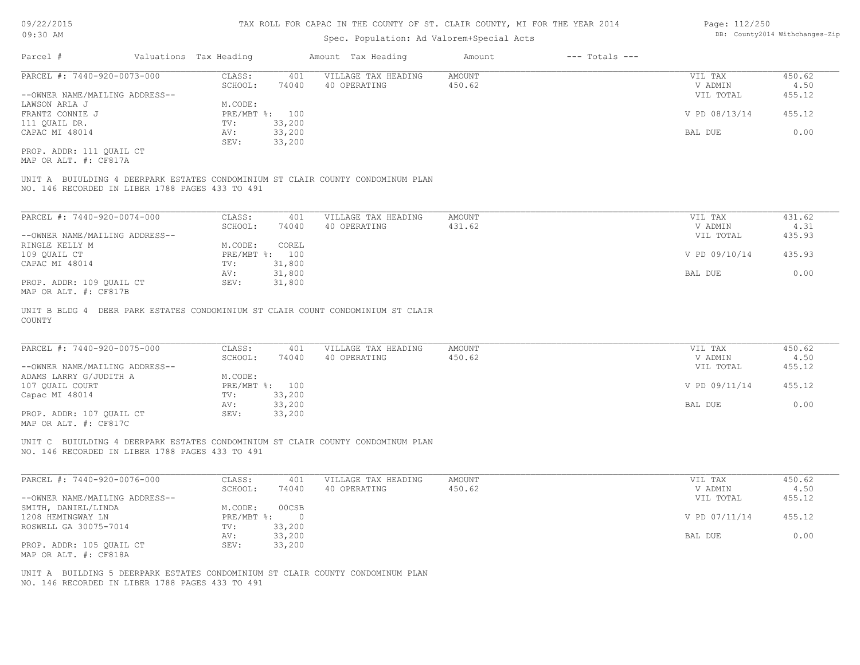#### TAX ROLL FOR CAPAC IN THE COUNTY OF ST. CLAIR COUNTY, MI FOR THE YEAR 2014

#### Spec. Population: Ad Valorem+Special Acts

| Parcel #                       | Valuations Tax Heading |                | Amount Tax Heading  | Amount | $---$ Totals $---$ |               |        |
|--------------------------------|------------------------|----------------|---------------------|--------|--------------------|---------------|--------|
| PARCEL #: 7440-920-0073-000    | CLASS:                 | 401            | VILLAGE TAX HEADING | AMOUNT |                    | VIL TAX       | 450.62 |
|                                | SCHOOL:                | 74040          | 40 OPERATING        | 450.62 |                    | V ADMIN       | 4.50   |
| --OWNER NAME/MAILING ADDRESS-- |                        |                |                     |        |                    | VIL TOTAL     | 455.12 |
| LAWSON ARLA J                  | M.CODE:                |                |                     |        |                    |               |        |
| FRANTZ CONNIE J                |                        | PRE/MBT %: 100 |                     |        |                    | V PD 08/13/14 | 455.12 |
| 111 QUAIL DR.                  | TV:                    | 33,200         |                     |        |                    |               |        |
| CAPAC MI 48014                 | AV:                    | 33,200         |                     |        |                    | BAL DUE       | 0.00   |
|                                | SEV:                   | 33,200         |                     |        |                    |               |        |
|                                |                        |                |                     |        |                    |               |        |

MAP OR ALT. #: CF817A PROP. ADDR: 111 QUAIL CT

NO. 146 RECORDED IN LIBER 1788 PAGES 433 TO 491 UNIT A BUIULDING 4 DEERPARK ESTATES CONDOMINIUM ST CLAIR COUNTY CONDOMINUM PLAN

| PARCEL #: 7440-920-0074-000    | CLASS:  | 401            | VILLAGE TAX HEADING | AMOUNT | VIL TAX       | 431.62 |
|--------------------------------|---------|----------------|---------------------|--------|---------------|--------|
|                                | SCHOOL: | 74040          | 40 OPERATING        | 431.62 | V ADMIN       | 4.31   |
| --OWNER NAME/MAILING ADDRESS-- |         |                |                     |        | VIL TOTAL     | 435.93 |
| RINGLE KELLY M                 | M.CODE: | COREL          |                     |        |               |        |
| 109 QUAIL CT                   |         | PRE/MBT %: 100 |                     |        | V PD 09/10/14 | 435.93 |
| CAPAC MI 48014                 | TV:     | 31,800         |                     |        |               |        |
|                                | AV:     | 31,800         |                     |        | BAL DUE       | 0.00   |
| PROP. ADDR: 109 OUAIL CT       | SEV:    | 31,800         |                     |        |               |        |
| $\frac{1}{2}$                  |         |                |                     |        |               |        |

MAP OR ALT. #: CF817B

COUNTY UNIT B BLDG 4 DEER PARK ESTATES CONDOMINIUM ST CLAIR COUNT CONDOMINIUM ST CLAIR

| PARCEL #: 7440-920-0075-000    | CLASS:     | 401    | VILLAGE TAX HEADING | AMOUNT | VIL TAX       | 450.62 |
|--------------------------------|------------|--------|---------------------|--------|---------------|--------|
|                                | SCHOOL:    | 74040  | 40 OPERATING        | 450.62 | V ADMIN       | 4.50   |
| --OWNER NAME/MAILING ADDRESS-- |            |        |                     |        | VIL TOTAL     | 455.12 |
| ADAMS LARRY G/JUDITH A         | M.CODE:    |        |                     |        |               |        |
| 107 OUAIL COURT                | PRE/MBT %: | 100    |                     |        | V PD 09/11/14 | 455.12 |
| Capac MI 48014                 | TV:        | 33,200 |                     |        |               |        |
|                                | AV:        | 33,200 |                     |        | BAL DUE       | 0.00   |
| PROP. ADDR: 107 OUAIL CT       | SEV:       | 33,200 |                     |        |               |        |
| MAP OR ALT. #: CF817C          |            |        |                     |        |               |        |

 $\mathcal{L}_\mathcal{L} = \mathcal{L}_\mathcal{L} = \mathcal{L}_\mathcal{L} = \mathcal{L}_\mathcal{L} = \mathcal{L}_\mathcal{L} = \mathcal{L}_\mathcal{L} = \mathcal{L}_\mathcal{L} = \mathcal{L}_\mathcal{L} = \mathcal{L}_\mathcal{L} = \mathcal{L}_\mathcal{L} = \mathcal{L}_\mathcal{L} = \mathcal{L}_\mathcal{L} = \mathcal{L}_\mathcal{L} = \mathcal{L}_\mathcal{L} = \mathcal{L}_\mathcal{L} = \mathcal{L}_\mathcal{L} = \mathcal{L}_\mathcal{L}$ 

NO. 146 RECORDED IN LIBER 1788 PAGES 433 TO 491 UNIT C BUIULDING 4 DEERPARK ESTATES CONDOMINIUM ST CLAIR COUNTY CONDOMINUM PLAN

| PARCEL #: 7440-920-0076-000    | CLASS:     | 401    | VILLAGE TAX HEADING | AMOUNT | VIL TAX       | 450.62 |
|--------------------------------|------------|--------|---------------------|--------|---------------|--------|
|                                | SCHOOL:    | 74040  | 40 OPERATING        | 450.62 | V ADMIN       | 4.50   |
| --OWNER NAME/MAILING ADDRESS-- |            |        |                     |        | VIL TOTAL     | 455.12 |
| SMITH, DANIEL/LINDA            | M.CODE:    | 00CSB  |                     |        |               |        |
| 1208 HEMINGWAY LN              | PRE/MBT %: |        |                     |        | V PD 07/11/14 | 455.12 |
| ROSWELL GA 30075-7014          | TV:        | 33,200 |                     |        |               |        |
|                                | AV:        | 33,200 |                     |        | BAL DUE       | 0.00   |
| PROP. ADDR: 105 QUAIL CT       | SEV:       | 33,200 |                     |        |               |        |
| MAP OR ALT. #: CF818A          |            |        |                     |        |               |        |

NO. 146 RECORDED IN LIBER 1788 PAGES 433 TO 491 UNIT A BUILDING 5 DEERPARK ESTATES CONDOMINIUM ST CLAIR COUNTY CONDOMINUM PLAN Page: 112/250 DB: County2014 Withchanges-Zip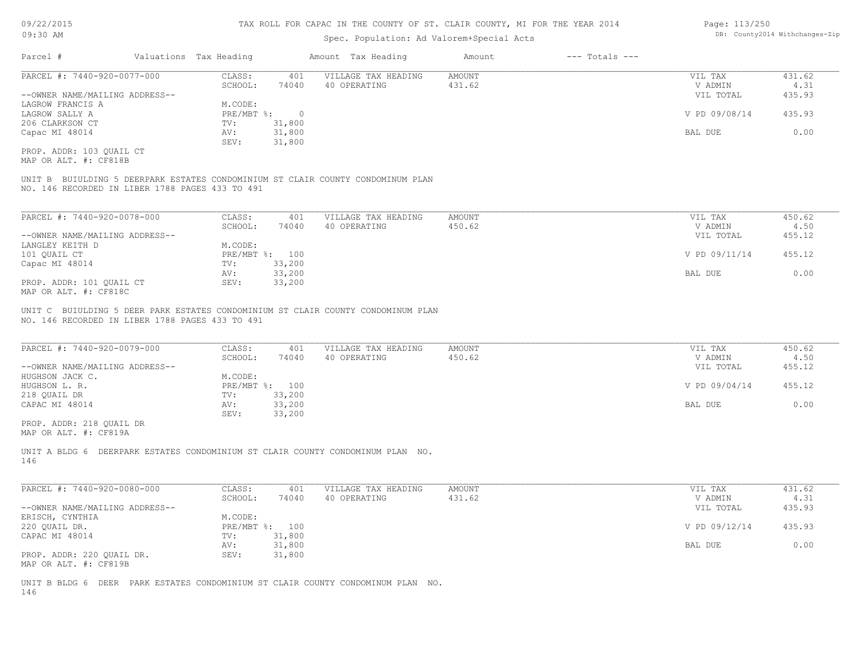#### TAX ROLL FOR CAPAC IN THE COUNTY OF ST. CLAIR COUNTY, MI FOR THE YEAR 2014 Page: 113/250

# Spec. Population: Ad Valorem+Special Acts

|  |  | LUYU. LLUILUV |                                |
|--|--|---------------|--------------------------------|
|  |  |               | DB: County2014 Withchanges-Zip |
|  |  |               |                                |
|  |  |               |                                |

| Parcel #                       | Valuations Tax Heading |        | Amount Tax Heading  | Amount | $---$ Totals $---$ |               |        |
|--------------------------------|------------------------|--------|---------------------|--------|--------------------|---------------|--------|
| PARCEL #: 7440-920-0077-000    | CLASS:                 | 401    | VILLAGE TAX HEADING | AMOUNT |                    | VIL TAX       | 431.62 |
|                                | SCHOOL:                | 74040  | 40 OPERATING        | 431.62 |                    | V ADMIN       | 4.31   |
| --OWNER NAME/MAILING ADDRESS-- |                        |        |                     |        |                    | VIL TOTAL     | 435.93 |
| LAGROW FRANCIS A               | M.CODE:                |        |                     |        |                    |               |        |
| LAGROW SALLY A                 | PRE/MBT %:             |        |                     |        |                    | V PD 09/08/14 | 435.93 |
| 206 CLARKSON CT                | TV:                    | 31,800 |                     |        |                    |               |        |
| Capac MI 48014                 | AV:                    | 31,800 |                     |        |                    | BAL DUE       | 0.00   |
|                                | SEV:                   | 31,800 |                     |        |                    |               |        |
| PROP. ADDR: 103 OUAIL CT       |                        |        |                     |        |                    |               |        |

MAP OR ALT. #: CF818B

NO. 146 RECORDED IN LIBER 1788 PAGES 433 TO 491 UNIT B BUIULDING 5 DEERPARK ESTATES CONDOMINIUM ST CLAIR COUNTY CONDOMINUM PLAN

| PARCEL #: 7440-920-0078-000    | CLASS:  | 401            | VILLAGE TAX HEADING | AMOUNT | VIL TAX       | 450.62 |
|--------------------------------|---------|----------------|---------------------|--------|---------------|--------|
|                                | SCHOOL: | 74040          | 40 OPERATING        | 450.62 | V ADMIN       | 4.50   |
| --OWNER NAME/MAILING ADDRESS-- |         |                |                     |        | VIL TOTAL     | 455.12 |
| LANGLEY KEITH D                | M.CODE: |                |                     |        |               |        |
| 101 OUAIL CT                   |         | PRE/MBT %: 100 |                     |        | V PD 09/11/14 | 455.12 |
| Capac MI 48014                 | TV:     | 33,200         |                     |        |               |        |
|                                | AV:     | 33,200         |                     |        | BAL DUE       | 0.00   |
| PROP. ADDR: 101 QUAIL CT       | SEV:    | 33,200         |                     |        |               |        |
| MAP OR ALT. #: CF818C          |         |                |                     |        |               |        |

NO. 146 RECORDED IN LIBER 1788 PAGES 433 TO 491 UNIT C BUIULDING 5 DEER PARK ESTATES CONDOMINIUM ST CLAIR COUNTY CONDOMINUM PLAN

| PARCEL #: 7440-920-0079-000    | CLASS:  | 401            | VILLAGE TAX HEADING | AMOUNT | VIL TAX       | 450.62 |
|--------------------------------|---------|----------------|---------------------|--------|---------------|--------|
|                                | SCHOOL: | 74040          | 40 OPERATING        | 450.62 | V ADMIN       | 4.50   |
| --OWNER NAME/MAILING ADDRESS-- |         |                |                     |        | VIL TOTAL     | 455.12 |
| HUGHSON JACK C.                | M.CODE: |                |                     |        |               |        |
| HUGHSON L. R.                  |         | PRE/MBT %: 100 |                     |        | V PD 09/04/14 | 455.12 |
| 218 QUAIL DR                   | TV:     | 33,200         |                     |        |               |        |
| CAPAC MI 48014                 | AV:     | 33,200         |                     |        | BAL DUE       | 0.00   |
|                                | SEV:    | 33,200         |                     |        |               |        |
| PROP. ADDR: 218 OUAIL DR       |         |                |                     |        |               |        |

MAP OR ALT. #: CF819A

146 UNIT A BLDG 6 DEERPARK ESTATES CONDOMINIUM ST CLAIR COUNTY CONDOMINUM PLAN NO.

| PARCEL #: 7440-920-0080-000    | CLASS:  | 401            | VILLAGE TAX HEADING | AMOUNT | VIL TAX       | 431.62 |
|--------------------------------|---------|----------------|---------------------|--------|---------------|--------|
|                                | SCHOOL: | 74040          | 40 OPERATING        | 431.62 | V ADMIN       | 4.31   |
| --OWNER NAME/MAILING ADDRESS-- |         |                |                     |        | VIL TOTAL     | 435.93 |
| ERISCH, CYNTHIA                | M.CODE: |                |                     |        |               |        |
| 220 QUAIL DR.                  |         | PRE/MBT %: 100 |                     |        | V PD 09/12/14 | 435.93 |
| CAPAC MI 48014                 | TV:     | 31,800         |                     |        |               |        |
|                                | AV:     | 31,800         |                     |        | BAL DUE       | 0.00   |
| PROP. ADDR: 220 QUAIL DR.      | SEV:    | 31,800         |                     |        |               |        |
| MAP OR ALT. #: CF819B          |         |                |                     |        |               |        |

146 UNIT B BLDG 6 DEER PARK ESTATES CONDOMINIUM ST CLAIR COUNTY CONDOMINUM PLAN NO.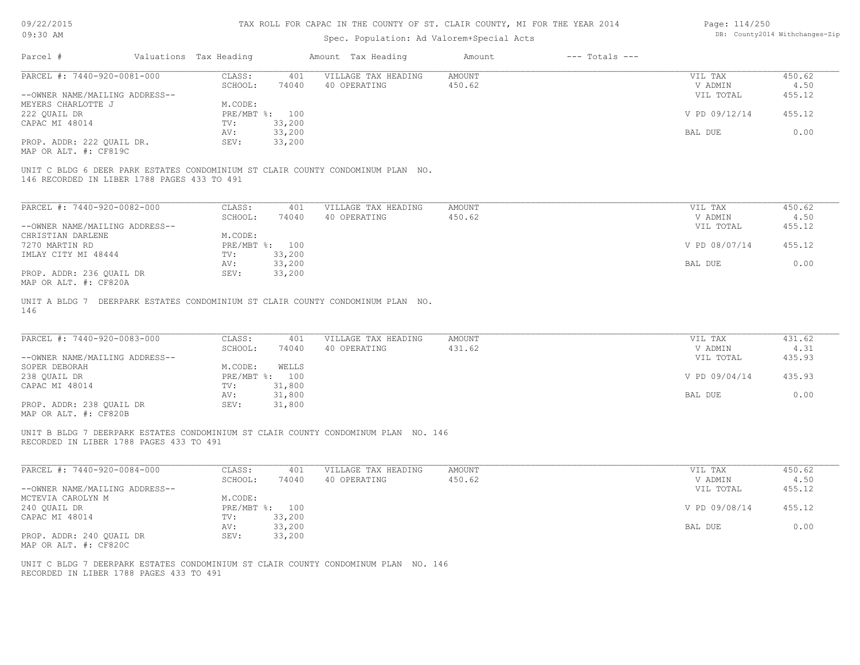| 09/22/2015                     |                                             |                        |                          | TAX ROLL FOR CAPAC IN THE COUNTY OF ST. CLAIR COUNTY, MI FOR THE YEAR 2014         |               |                                | Page: 114/250 |        |
|--------------------------------|---------------------------------------------|------------------------|--------------------------|------------------------------------------------------------------------------------|---------------|--------------------------------|---------------|--------|
| 09:30 AM                       | Spec. Population: Ad Valorem+Special Acts   |                        |                          |                                                                                    |               | DB: County2014 Withchanges-Zip |               |        |
| Parcel #                       |                                             | Valuations Tax Heading |                          | Amount Tax Heading                                                                 | Amount        | $---$ Totals $---$             |               |        |
| PARCEL #: 7440-920-0081-000    |                                             | CLASS:                 | 401                      | VILLAGE TAX HEADING                                                                | <b>AMOUNT</b> |                                | VIL TAX       | 450.62 |
|                                |                                             | SCHOOL:                | 74040                    | 40 OPERATING                                                                       | 450.62        |                                | V ADMIN       | 4.50   |
| --OWNER NAME/MAILING ADDRESS-- |                                             |                        |                          |                                                                                    |               |                                | VIL TOTAL     | 455.12 |
| MEYERS CHARLOTTE J             |                                             | M.CODE:                |                          |                                                                                    |               |                                |               |        |
| 222 QUAIL DR                   |                                             |                        | PRE/MBT %: 100           |                                                                                    |               |                                | V PD 09/12/14 | 455.12 |
| CAPAC MI 48014                 |                                             | TV:                    | 33,200                   |                                                                                    |               |                                |               |        |
|                                |                                             | AV:                    | 33,200                   |                                                                                    |               |                                | BAL DUE       | 0.00   |
| PROP. ADDR: 222 QUAIL DR.      |                                             | SEV:                   | 33,200                   |                                                                                    |               |                                |               |        |
| MAP OR ALT. #: CF819C          |                                             |                        |                          |                                                                                    |               |                                |               |        |
|                                | 146 RECORDED IN LIBER 1788 PAGES 433 TO 491 |                        |                          | UNIT C BLDG 6 DEER PARK ESTATES CONDOMINIUM ST CLAIR COUNTY CONDOMINUM PLAN NO.    |               |                                |               |        |
| PARCEL #: 7440-920-0082-000    |                                             | CLASS:                 | 401                      | VILLAGE TAX HEADING                                                                | <b>AMOUNT</b> |                                | VIL TAX       | 450.62 |
|                                |                                             | SCHOOL:                | 74040                    | 40 OPERATING                                                                       | 450.62        |                                | V ADMIN       | 4.50   |
| --OWNER NAME/MAILING ADDRESS-- |                                             |                        |                          |                                                                                    |               |                                | VIL TOTAL     | 455.12 |
| CHRISTIAN DARLENE              |                                             | M.CODE:                |                          |                                                                                    |               |                                |               |        |
| 7270 MARTIN RD                 |                                             |                        | PRE/MBT %: 100           |                                                                                    |               |                                | V PD 08/07/14 | 455.12 |
| IMLAY CITY MI 48444            |                                             | TV:                    | 33,200                   |                                                                                    |               |                                |               |        |
|                                |                                             | AV:                    | 33,200                   |                                                                                    |               |                                | BAL DUE       | 0.00   |
| PROP. ADDR: 236 QUAIL DR       |                                             | SEV:                   | 33,200                   |                                                                                    |               |                                |               |        |
| MAP OR ALT. #: CF820A          |                                             |                        |                          |                                                                                    |               |                                |               |        |
| 146                            |                                             |                        |                          | UNIT A BLDG 7 DEERPARK ESTATES CONDOMINIUM ST CLAIR COUNTY CONDOMINUM PLAN NO.     |               |                                |               |        |
| PARCEL #: 7440-920-0083-000    |                                             | CLASS:                 | 401                      | VILLAGE TAX HEADING                                                                | <b>AMOUNT</b> |                                | VIL TAX       | 431.62 |
|                                |                                             | SCHOOL:                | 74040                    | 40 OPERATING                                                                       | 431.62        |                                | V ADMIN       | 4.31   |
| --OWNER NAME/MAILING ADDRESS-- |                                             |                        |                          |                                                                                    |               |                                | VIL TOTAL     | 435.93 |
| SOPER DEBORAH                  |                                             | M.CODE:                | WELLS                    |                                                                                    |               |                                |               |        |
| 238 QUAIL DR                   |                                             |                        | PRE/MBT %: 100           |                                                                                    |               |                                | V PD 09/04/14 | 435.93 |
| CAPAC MI 48014                 |                                             | TV:                    | 31,800                   |                                                                                    |               |                                |               |        |
|                                |                                             | AV:                    | 31,800                   |                                                                                    |               |                                | BAL DUE       | 0.00   |
| PROP. ADDR: 238 OUAIL DR       |                                             | SEV:                   | 31,800                   |                                                                                    |               |                                |               |        |
| MAP OR ALT. #: CF820B          |                                             |                        |                          |                                                                                    |               |                                |               |        |
|                                |                                             |                        |                          | UNIT B BLDG 7 DEERPARK ESTATES CONDOMINIUM ST CLAIR COUNTY CONDOMINUM PLAN NO. 146 |               |                                |               |        |
|                                | RECORDED IN LIBER 1788 PAGES 433 TO 491     |                        |                          |                                                                                    |               |                                |               |        |
|                                |                                             |                        |                          |                                                                                    |               |                                |               |        |
| PARCEL #: 7440-920-0084-000    |                                             | CLASS:                 | 401                      | VILLAGE TAX HEADING                                                                | <b>AMOUNT</b> |                                | VIL TAX       | 450.62 |
|                                |                                             | SCHOOL:                | 74040                    | 40 OPERATING                                                                       | 450.62        |                                | V ADMIN       | 4.50   |
| --OWNER NAME/MAILING ADDRESS-- |                                             |                        |                          |                                                                                    |               |                                | VIL TOTAL     | 455.12 |
| MCTEVIA CAROLYN M              |                                             | M.CODE:                |                          |                                                                                    |               |                                |               |        |
| 240 QUAIL DR<br>CAPAC MI 48014 |                                             |                        | PRE/MBT %: 100<br>33,200 |                                                                                    |               |                                | V PD 09/08/14 | 455.12 |
|                                |                                             | TV:                    |                          |                                                                                    |               |                                |               |        |
|                                |                                             | AV:                    | 33,200                   |                                                                                    |               |                                | BAL DUE       | 0.00   |
| PROP. ADDR: 240 QUAIL DR       |                                             | SEV:                   | 33,200                   |                                                                                    |               |                                |               |        |

MAP OR ALT. #: CF820C

RECORDED IN LIBER 1788 PAGES 433 TO 491 UNIT C BLDG 7 DEERPARK ESTATES CONDOMINIUM ST CLAIR COUNTY CONDOMINUM PLAN NO. 146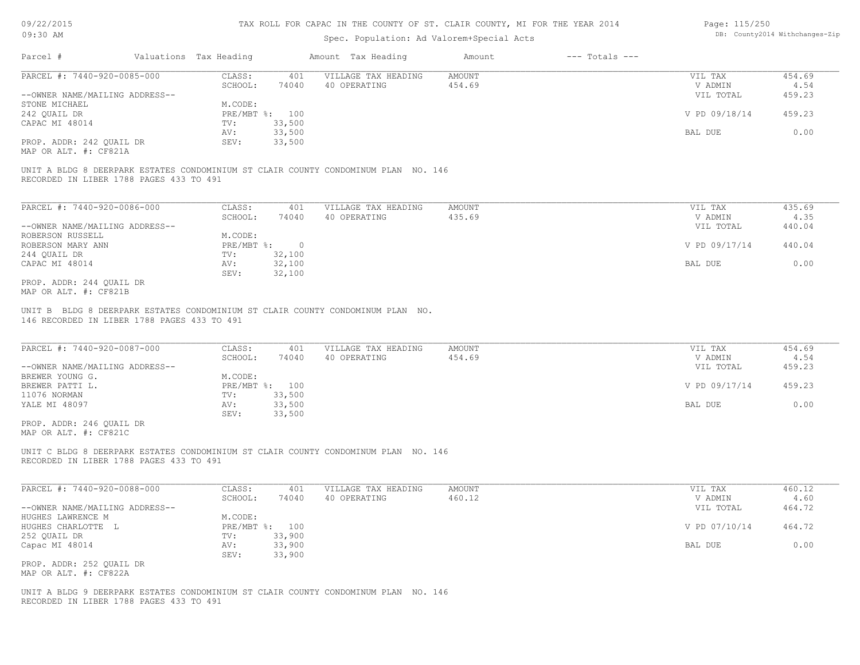| 09/22/2015 |  |
|------------|--|
| 09.30 AM   |  |

| Page: 115/250 |                                |
|---------------|--------------------------------|
|               | DB: County2014 Withchanges-Zip |

| <b>UNIOU HIM</b>                                              |                                                                                    | Spec. Population: Ad Valorem+Special Acts |                              |                                 | . countyzoit withonanges aip |
|---------------------------------------------------------------|------------------------------------------------------------------------------------|-------------------------------------------|------------------------------|---------------------------------|------------------------------|
| Parcel #                                                      | Valuations Tax Heading                                                             | Amount Tax Heading                        | $---$ Totals $---$<br>Amount |                                 |                              |
| PARCEL #: 7440-920-0085-000                                   | CLASS:<br>401                                                                      | VILLAGE TAX HEADING                       | <b>AMOUNT</b>                | VIL TAX                         | 454.69                       |
|                                                               | SCHOOL:<br>74040                                                                   | 40 OPERATING                              | 454.69                       | V ADMIN                         | 4.54                         |
| --OWNER NAME/MAILING ADDRESS--                                |                                                                                    |                                           |                              | VIL TOTAL                       | 459.23                       |
| STONE MICHAEL                                                 | M.CODE:                                                                            |                                           |                              |                                 | 459.23                       |
| 242 QUAIL DR<br>CAPAC MI 48014                                | PRE/MBT %: 100<br>33,500<br>TV:                                                    |                                           |                              | V PD 09/18/14                   |                              |
|                                                               | 33,500<br>AV:                                                                      |                                           |                              | BAL DUE                         | 0.00                         |
| PROP. ADDR: 242 QUAIL DR                                      | 33,500<br>SEV:                                                                     |                                           |                              |                                 |                              |
| MAP OR ALT. #: CF821A                                         |                                                                                    |                                           |                              |                                 |                              |
| RECORDED IN LIBER 1788 PAGES 433 TO 491                       | UNIT A BLDG 8 DEERPARK ESTATES CONDOMINIUM ST CLAIR COUNTY CONDOMINUM PLAN NO. 146 |                                           |                              |                                 |                              |
|                                                               |                                                                                    |                                           |                              |                                 |                              |
| PARCEL #: 7440-920-0086-000                                   | CLASS:<br>401                                                                      | VILLAGE TAX HEADING                       | <b>AMOUNT</b>                | VIL TAX                         | 435.69                       |
|                                                               | SCHOOL:<br>74040                                                                   | 40 OPERATING                              | 435.69                       | V ADMIN                         | 4.35                         |
| --OWNER NAME/MAILING ADDRESS--                                |                                                                                    |                                           |                              | VIL TOTAL                       | 440.04                       |
| ROBERSON RUSSELL                                              | M.CODE:                                                                            |                                           |                              |                                 |                              |
| ROBERSON MARY ANN                                             | $PRE/MBT$ %:<br>$\overline{0}$                                                     |                                           |                              | V PD 09/17/14                   | 440.04                       |
| 244 OUAIL DR<br>CAPAC MI 48014                                | 32,100<br>TV:<br>32,100<br>AV:                                                     |                                           |                              | BAL DUE                         | 0.00                         |
|                                                               | SEV:<br>32,100                                                                     |                                           |                              |                                 |                              |
| PROP. ADDR: 244 OUAIL DR<br>MAP OR ALT. #: CF821B             |                                                                                    |                                           |                              |                                 |                              |
| PARCEL #: 7440-920-0087-000<br>--OWNER NAME/MAILING ADDRESS-- | CLASS:<br>401<br>SCHOOL:<br>74040                                                  | VILLAGE TAX HEADING<br>40 OPERATING       | AMOUNT<br>454.69             | VIL TAX<br>V ADMIN<br>VIL TOTAL | 454.69<br>4.54<br>459.23     |
| BREWER YOUNG G.<br>BREWER PATTI L.                            | M.CODE:<br>PRE/MBT %: 100                                                          |                                           |                              | V PD 09/17/14                   | 459.23                       |
| 11076 NORMAN                                                  | TV:<br>33,500                                                                      |                                           |                              |                                 |                              |
| YALE MI 48097                                                 | 33,500<br>AV:                                                                      |                                           |                              | BAL DUE                         | 0.00                         |
|                                                               | SEV:<br>33,500                                                                     |                                           |                              |                                 |                              |
| PROP. ADDR: 246 QUAIL DR<br>MAP OR ALT. #: CF821C             |                                                                                    |                                           |                              |                                 |                              |
| RECORDED IN LIBER 1788 PAGES 433 TO 491                       | UNIT C BLDG 8 DEERPARK ESTATES CONDOMINIUM ST CLAIR COUNTY CONDOMINUM PLAN NO. 146 |                                           |                              |                                 |                              |
| PARCEL #: 7440-920-0088-000                                   | CLASS:<br>401                                                                      | VILLAGE TAX HEADING                       | AMOUNT                       | VIL TAX                         | 460.12                       |
|                                                               | SCHOOL:<br>74040                                                                   | 40 OPERATING                              | 460.12                       | V ADMIN                         | 4.60                         |
| --OWNER NAME/MAILING ADDRESS--                                |                                                                                    |                                           |                              | VIL TOTAL                       | 464.72                       |
| HUGHES LAWRENCE M                                             | M.CODE:                                                                            |                                           |                              |                                 |                              |
| HUGHES CHARLOTTE L                                            | PRE/MBT %: 100                                                                     |                                           |                              | V PD 07/10/14                   | 464.72                       |
| 252 QUAIL DR                                                  | 33,900<br>TV:                                                                      |                                           |                              |                                 |                              |
| Capac MI 48014                                                | AV:<br>33,900                                                                      |                                           |                              | BAL DUE                         | 0.00                         |
| PROP. ADDR: 252 QUAIL DR<br>MAP OR ALT. #: CF822A             | SEV:<br>33,900                                                                     |                                           |                              |                                 |                              |
| RECORDED IN LIBER 1788 PAGES 433 TO 491                       | UNIT A BLDG 9 DEERPARK ESTATES CONDOMINIUM ST CLAIR COUNTY CONDOMINUM PLAN NO. 146 |                                           |                              |                                 |                              |
|                                                               |                                                                                    |                                           |                              |                                 |                              |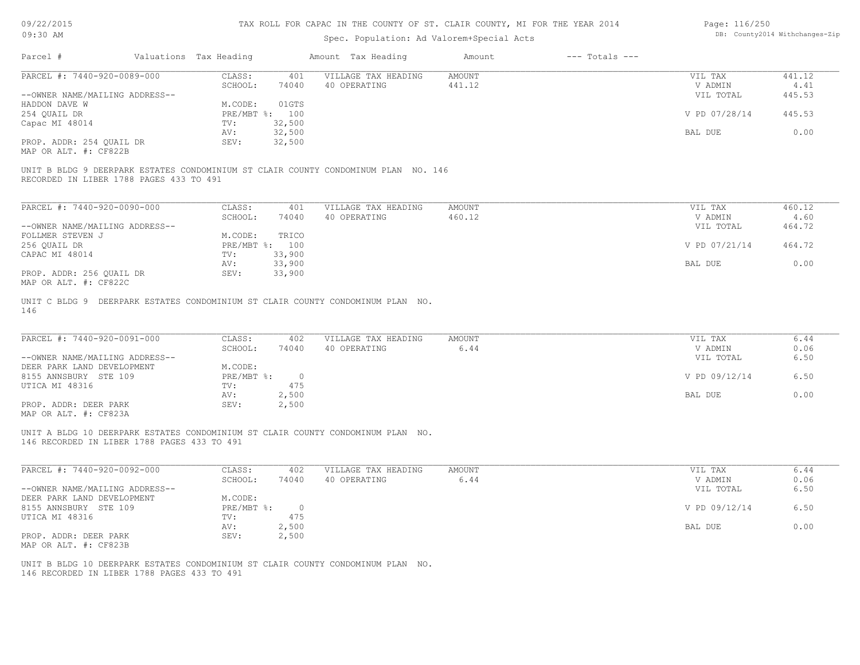| 09/22/2015 |
|------------|
|------------|

| Page: 116/250 |                               |
|---------------|-------------------------------|
|               | DB: County2014 Withchanges-Zi |

| V - 1 - - 1 - V - V<br>09:30 AM                   |                        |                |                                                                                    |                |                    | $100000 + 110000$  | DB: County2014 Withchanges-Zip |
|---------------------------------------------------|------------------------|----------------|------------------------------------------------------------------------------------|----------------|--------------------|--------------------|--------------------------------|
|                                                   |                        |                | Spec. Population: Ad Valorem+Special Acts                                          |                |                    |                    |                                |
| Parcel #                                          | Valuations Tax Heading |                | Amount Tax Heading                                                                 | Amount         | $---$ Totals $---$ |                    |                                |
| PARCEL #: 7440-920-0089-000                       | CLASS:                 | 401            | VILLAGE TAX HEADING                                                                | AMOUNT         |                    | VIL TAX            | 441.12                         |
|                                                   | SCHOOL:                | 74040          | 40 OPERATING                                                                       | 441.12         |                    | V ADMIN            | 4.41                           |
| --OWNER NAME/MAILING ADDRESS--                    |                        |                |                                                                                    |                |                    | VIL TOTAL          | 445.53                         |
| HADDON DAVE W                                     | M.CODE:                | 01GTS          |                                                                                    |                |                    |                    |                                |
| 254 QUAIL DR                                      |                        | PRE/MBT %: 100 |                                                                                    |                |                    | V PD 07/28/14      | 445.53                         |
| Capac MI 48014                                    | TV:                    | 32,500         |                                                                                    |                |                    |                    |                                |
|                                                   | AV:                    | 32,500         |                                                                                    |                |                    | BAL DUE            | 0.00                           |
| PROP. ADDR: 254 QUAIL DR<br>MAP OR ALT. #: CF822B | SEV:                   | 32,500         |                                                                                    |                |                    |                    |                                |
|                                                   |                        |                |                                                                                    |                |                    |                    |                                |
| RECORDED IN LIBER 1788 PAGES 433 TO 491           |                        |                | UNIT B BLDG 9 DEERPARK ESTATES CONDOMINIUM ST CLAIR COUNTY CONDOMINUM PLAN NO. 146 |                |                    |                    |                                |
| PARCEL #: 7440-920-0090-000                       | CLASS:                 | 401            | VILLAGE TAX HEADING                                                                | <b>AMOUNT</b>  |                    | VIL TAX            | 460.12                         |
|                                                   | SCHOOL:                | 74040          | 40 OPERATING                                                                       | 460.12         |                    | V ADMIN            | 4.60                           |
| --OWNER NAME/MAILING ADDRESS--                    |                        |                |                                                                                    |                |                    | VIL TOTAL          | 464.72                         |
| FOLLMER STEVEN J                                  | M.CODE:                | TRICO          |                                                                                    |                |                    |                    |                                |
| 256 QUAIL DR                                      |                        | PRE/MBT %: 100 |                                                                                    |                |                    | V PD 07/21/14      | 464.72                         |
| CAPAC MI 48014                                    | TV:                    | 33,900         |                                                                                    |                |                    |                    |                                |
|                                                   | AV:                    | 33,900         |                                                                                    |                |                    | BAL DUE            | 0.00                           |
| PROP. ADDR: 256 QUAIL DR                          | SEV:                   | 33,900         |                                                                                    |                |                    |                    |                                |
| MAP OR ALT. #: CF822C                             |                        |                |                                                                                    |                |                    |                    |                                |
| PARCEL #: 7440-920-0091-000                       | CLASS:<br>SCHOOL:      | 402<br>74040   | VILLAGE TAX HEADING<br>40 OPERATING                                                | AMOUNT<br>6.44 |                    | VIL TAX<br>V ADMIN | 6.44<br>0.06                   |
| --OWNER NAME/MAILING ADDRESS--                    |                        |                |                                                                                    |                |                    | VIL TOTAL          | 6.50                           |
| DEER PARK LAND DEVELOPMENT                        | M.CODE:                |                |                                                                                    |                |                    |                    |                                |
| 8155 ANNSBURY STE 109                             | $PRE/MBT$ %:           | $\overline{0}$ |                                                                                    |                |                    | V PD 09/12/14      | 6.50                           |
| UTICA MI 48316                                    | TV:                    | 475            |                                                                                    |                |                    |                    |                                |
|                                                   | AV:                    | 2,500          |                                                                                    |                |                    | BAL DUE            | 0.00                           |
| PROP. ADDR: DEER PARK<br>MAP OR ALT. #: CF823A    | SEV:                   | 2,500          |                                                                                    |                |                    |                    |                                |
| 146 RECORDED IN LIBER 1788 PAGES 433 TO 491       |                        |                | UNIT A BLDG 10 DEERPARK ESTATES CONDOMINIUM ST CLAIR COUNTY CONDOMINUM PLAN NO.    |                |                    |                    |                                |
| PARCEL #: 7440-920-0092-000                       | CLASS:                 | 402            | VILLAGE TAX HEADING                                                                | <b>AMOUNT</b>  |                    | VIL TAX            | 6.44                           |
|                                                   | SCHOOL:                | 74040          | 40 OPERATING                                                                       | 6.44           |                    | V ADMIN            | 0.06                           |
| --OWNER NAME/MAILING ADDRESS--                    |                        |                |                                                                                    |                |                    | VIL TOTAL          | 6.50                           |
| DEER PARK LAND DEVELOPMENT                        | M.CODE:<br>PRE/MBT %:  | $\overline{0}$ |                                                                                    |                |                    | V PD 09/12/14      | 6.50                           |
| 8155 ANNSBURY STE 109<br>UTICA MI 48316           | TV:                    | 475            |                                                                                    |                |                    |                    |                                |
|                                                   | AV:                    | 2,500          |                                                                                    |                |                    | BAL DUE            | 0.00                           |
| PROP. ADDR: DEER PARK                             | SEV:                   | 2,500          |                                                                                    |                |                    |                    |                                |
| MAP OR ALT. #: CF823B                             |                        |                |                                                                                    |                |                    |                    |                                |
|                                                   |                        |                |                                                                                    |                |                    |                    |                                |
| 146 RECORDED IN LIBER 1788 PAGES 433 TO 491       |                        |                | UNIT B BLDG 10 DEERPARK ESTATES CONDOMINIUM ST CLAIR COUNTY CONDOMINUM PLAN NO.    |                |                    |                    |                                |
|                                                   |                        |                |                                                                                    |                |                    |                    |                                |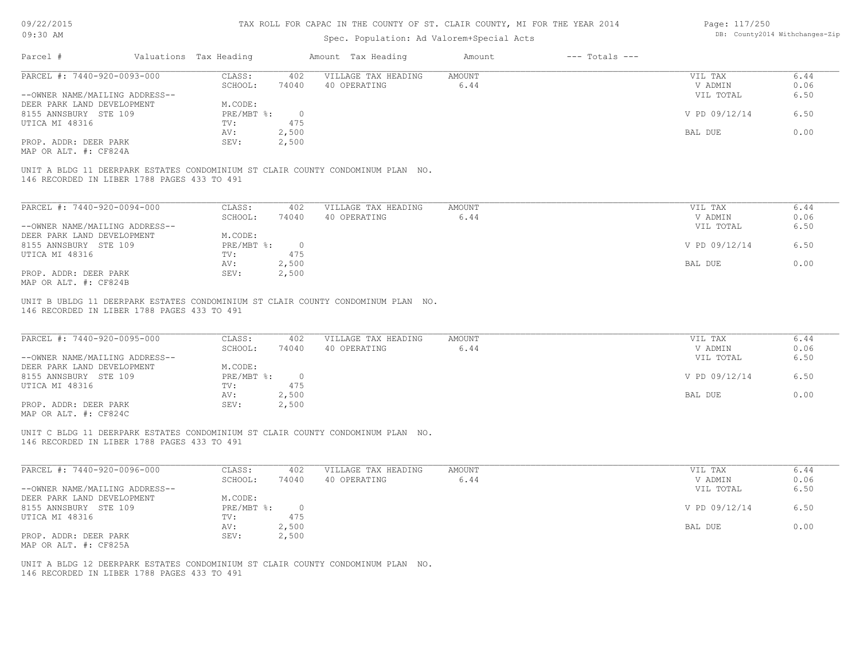| 09/22/2015<br>09:30 AM                                                                                                         | TAX ROLL FOR CAPAC IN THE COUNTY OF ST. CLAIR COUNTY, MI FOR THE YEAR 2014 | Page: 117/250<br>DB: County2014 Withchanges-Zip |                    |                     |                                           |                    |                    |              |
|--------------------------------------------------------------------------------------------------------------------------------|----------------------------------------------------------------------------|-------------------------------------------------|--------------------|---------------------|-------------------------------------------|--------------------|--------------------|--------------|
|                                                                                                                                |                                                                            |                                                 |                    |                     | Spec. Population: Ad Valorem+Special Acts |                    |                    |              |
| Parcel #                                                                                                                       | Valuations Tax Heading                                                     |                                                 | Amount Tax Heading |                     | Amount                                    | $---$ Totals $---$ |                    |              |
| PARCEL #: 7440-920-0093-000                                                                                                    | CLASS:                                                                     | 402                                             |                    | VILLAGE TAX HEADING | <b>AMOUNT</b><br>6.44                     |                    | VIL TAX<br>V ADMIN | 6.44         |
| --OWNER NAME/MAILING ADDRESS--                                                                                                 | SCHOOL:                                                                    | 74040                                           | 40 OPERATING       |                     |                                           |                    | VIL TOTAL          | 0.06<br>6.50 |
| DEER PARK LAND DEVELOPMENT                                                                                                     | M.CODE:                                                                    |                                                 |                    |                     |                                           |                    |                    |              |
| 8155 ANNSBURY STE 109                                                                                                          | PRE/MBT %:                                                                 | $\circ$                                         |                    |                     |                                           |                    | V PD 09/12/14      | 6.50         |
| UTICA MI 48316                                                                                                                 | TV:                                                                        | 475                                             |                    |                     |                                           |                    |                    |              |
|                                                                                                                                | AV:                                                                        | 2,500                                           |                    |                     |                                           |                    | BAL DUE            | 0.00         |
| PROP. ADDR: DEER PARK<br>MAP OR ALT. #: CF824A                                                                                 | SEV:                                                                       | 2,500                                           |                    |                     |                                           |                    |                    |              |
| UNIT A BLDG 11 DEERPARK ESTATES CONDOMINIUM ST CLAIR COUNTY CONDOMINUM PLAN NO.<br>146 RECORDED IN LIBER 1788 PAGES 433 TO 491 |                                                                            |                                                 |                    |                     |                                           |                    |                    |              |
|                                                                                                                                |                                                                            |                                                 |                    |                     |                                           |                    |                    |              |
| PARCEL #: 7440-920-0094-000                                                                                                    | CLASS:                                                                     | 402                                             |                    | VILLAGE TAX HEADING | <b>AMOUNT</b>                             |                    | VIL TAX            | 6.44         |
|                                                                                                                                | SCHOOL:                                                                    | 74040                                           | 40 OPERATING       |                     | 6.44                                      |                    | V ADMIN            | 0.06         |
| --OWNER NAME/MAILING ADDRESS--                                                                                                 |                                                                            |                                                 |                    |                     |                                           |                    | VIL TOTAL          | 6.50         |
| DEER PARK LAND DEVELOPMENT                                                                                                     | M.CODE:                                                                    |                                                 |                    |                     |                                           |                    |                    |              |
| 8155 ANNSBURY STE 109                                                                                                          | PRE/MBT %:                                                                 | $\circ$                                         |                    |                     |                                           |                    | V PD 09/12/14      | 6.50         |
| UTICA MI 48316                                                                                                                 | TV:                                                                        | 475                                             |                    |                     |                                           |                    |                    |              |
| PROP. ADDR: DEER PARK                                                                                                          | AV:<br>SEV:                                                                | 2,500<br>2,500                                  |                    |                     |                                           |                    | BAL DUE            | 0.00         |
| MAP OR ALT. #: CF824B                                                                                                          |                                                                            |                                                 |                    |                     |                                           |                    |                    |              |
| PARCEL #: 7440-920-0095-000                                                                                                    | CLASS:                                                                     | 402                                             |                    | VILLAGE TAX HEADING | <b>AMOUNT</b>                             |                    | VIL TAX            | 6.44         |
|                                                                                                                                | SCHOOL:                                                                    | 74040                                           | 40 OPERATING       |                     | 6.44                                      |                    | V ADMIN            | 0.06         |
| --OWNER NAME/MAILING ADDRESS--<br>DEER PARK LAND DEVELOPMENT                                                                   | M.CODE:                                                                    |                                                 |                    |                     |                                           |                    | VIL TOTAL          | 6.50         |
| 8155 ANNSBURY STE 109                                                                                                          | PRE/MBT %:                                                                 | $\overline{0}$                                  |                    |                     |                                           |                    | V PD 09/12/14      | 6.50         |
| UTICA MI 48316                                                                                                                 | TV:                                                                        | 475                                             |                    |                     |                                           |                    |                    |              |
|                                                                                                                                | AV:                                                                        | 2,500                                           |                    |                     |                                           |                    | BAL DUE            | 0.00         |
| PROP. ADDR: DEER PARK                                                                                                          | SEV:                                                                       | 2,500                                           |                    |                     |                                           |                    |                    |              |
| MAP OR ALT. #: CF824C                                                                                                          |                                                                            |                                                 |                    |                     |                                           |                    |                    |              |
| UNIT C BLDG 11 DEERPARK ESTATES CONDOMINIUM ST CLAIR COUNTY CONDOMINUM PLAN NO.<br>146 RECORDED IN LIBER 1788 PAGES 433 TO 491 |                                                                            |                                                 |                    |                     |                                           |                    |                    |              |
| PARCEL #: 7440-920-0096-000                                                                                                    | CLASS:                                                                     | 402                                             |                    | VILLAGE TAX HEADING | <b>AMOUNT</b><br>6.44                     |                    | VIL TAX            | 6.44         |
| --OWNER NAME/MAILING ADDRESS--                                                                                                 | SCHOOL:                                                                    | 74040                                           | 40 OPERATING       |                     |                                           |                    | V ADMIN            | 0.06<br>6.50 |
| DEER PARK LAND DEVELOPMENT                                                                                                     | M.CODE:                                                                    |                                                 |                    |                     |                                           |                    | VIL TOTAL          |              |
| 8155 ANNSBURY STE 109                                                                                                          | $PRE/MBT$ $\div$                                                           | $\circ$                                         |                    |                     |                                           |                    | V PD 09/12/14      | 6.50         |
| UTICA MI 48316                                                                                                                 | TV:                                                                        | 475                                             |                    |                     |                                           |                    |                    |              |
|                                                                                                                                | AV:                                                                        | 2,500                                           |                    |                     |                                           |                    | BAL DUE            | 0.00         |
| PROP. ADDR: DEER PARK                                                                                                          | SEV:                                                                       | 2,500                                           |                    |                     |                                           |                    |                    |              |
| MAP OR ALT. #: CF825A                                                                                                          |                                                                            |                                                 |                    |                     |                                           |                    |                    |              |
| UNIT A BLDG 12 DEERPARK ESTATES CONDOMINIUM ST CLAIR COUNTY CONDOMINUM PLAN NO.<br>146 RECORDED IN LIBER 1788 PAGES 433 TO 491 |                                                                            |                                                 |                    |                     |                                           |                    |                    |              |
|                                                                                                                                |                                                                            |                                                 |                    |                     |                                           |                    |                    |              |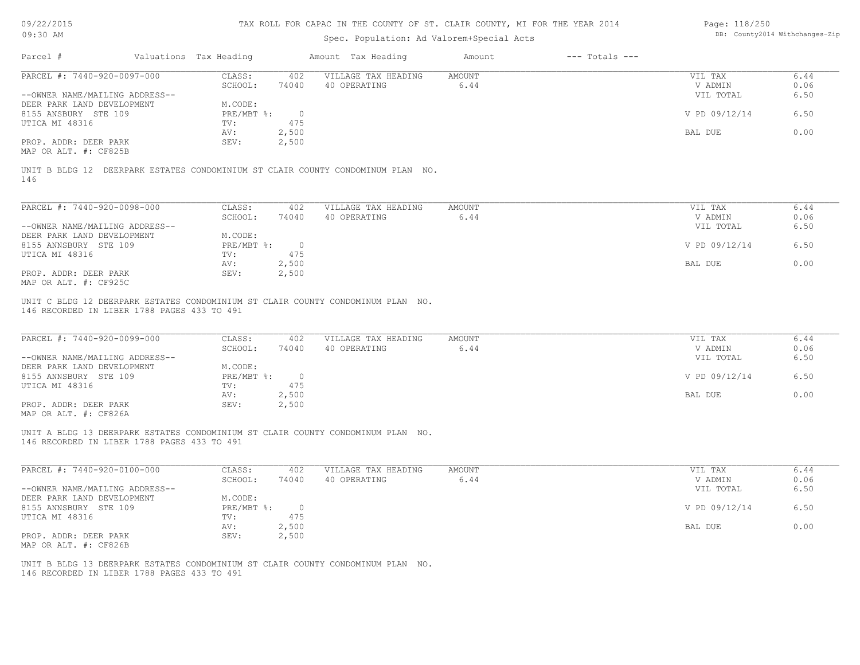| 09/22/2015 |  |
|------------|--|
|------------|--|

| Page: 118/250 |                                |
|---------------|--------------------------------|
|               | DB: County2014 Withchanges-Zip |

|                                                                                                                                |                                    | Spec. Population: Ad Valorem+Special Acts | DB: County2014 Withchanges-Zip |                    |              |
|--------------------------------------------------------------------------------------------------------------------------------|------------------------------------|-------------------------------------------|--------------------------------|--------------------|--------------|
| Parcel #                                                                                                                       | Valuations Tax Heading             | Amount Tax Heading                        | $---$ Totals $---$<br>Amount   |                    |              |
| PARCEL #: 7440-920-0097-000                                                                                                    | CLASS:<br>402                      | VILLAGE TAX HEADING                       | <b>AMOUNT</b>                  | VIL TAX            | 6.44         |
|                                                                                                                                | SCHOOL:<br>74040                   | 40 OPERATING                              | 6.44                           | V ADMIN            | 0.06         |
| --OWNER NAME/MAILING ADDRESS--                                                                                                 |                                    |                                           |                                | VIL TOTAL          | 6.50         |
| DEER PARK LAND DEVELOPMENT                                                                                                     | M.CODE:                            |                                           |                                |                    |              |
| 8155 ANSBURY STE 109                                                                                                           | $PRE/MBT$ $\div$<br>$\overline{0}$ |                                           |                                | V PD 09/12/14      | 6.50         |
| UTICA MI 48316                                                                                                                 | 475<br>TV:                         |                                           |                                |                    |              |
|                                                                                                                                | 2,500<br>AV:                       |                                           |                                | BAL DUE            | 0.00         |
| PROP. ADDR: DEER PARK<br>MAP OR ALT. #: CF825B                                                                                 | 2,500<br>SEV:                      |                                           |                                |                    |              |
| UNIT B BLDG 12 DEERPARK ESTATES CONDOMINIUM ST CLAIR COUNTY CONDOMINUM PLAN NO.<br>146                                         |                                    |                                           |                                |                    |              |
| PARCEL #: 7440-920-0098-000                                                                                                    | CLASS:<br>402                      | VILLAGE TAX HEADING                       | <b>AMOUNT</b>                  | VIL TAX            | 6.44         |
|                                                                                                                                | SCHOOL:<br>74040                   | 40 OPERATING                              | 6.44                           | V ADMIN            | 0.06         |
| --OWNER NAME/MAILING ADDRESS--                                                                                                 |                                    |                                           |                                | VIL TOTAL          | 6.50         |
| DEER PARK LAND DEVELOPMENT                                                                                                     | M.CODE:                            |                                           |                                |                    |              |
| 8155 ANNSBURY STE 109                                                                                                          | $PRE/MBT$ $\div$<br>$\overline{0}$ |                                           |                                | V PD 09/12/14      | 6.50         |
| UTICA MI 48316                                                                                                                 | 475<br>TV:                         |                                           |                                |                    |              |
|                                                                                                                                | 2,500<br>AV:                       |                                           |                                | BAL DUE            | 0.00         |
| PROP. ADDR: DEER PARK                                                                                                          | SEV:<br>2,500                      |                                           |                                |                    |              |
| MAP OR ALT. #: CF925C                                                                                                          |                                    |                                           |                                |                    |              |
| PARCEL #: 7440-920-0099-000                                                                                                    | CLASS:<br>402<br>SCHOOL:<br>74040  | VILLAGE TAX HEADING<br>40 OPERATING       | AMOUNT<br>6.44                 | VIL TAX<br>V ADMIN | 6.44<br>0.06 |
| --OWNER NAME/MAILING ADDRESS--                                                                                                 |                                    |                                           |                                | VIL TOTAL          | 6.50         |
| DEER PARK LAND DEVELOPMENT                                                                                                     | M.CODE:                            |                                           |                                |                    |              |
| 8155 ANNSBURY STE 109                                                                                                          | PRE/MBT %:<br>$\overline{0}$       |                                           |                                | V PD 09/12/14      | 6.50         |
| UTICA MI 48316                                                                                                                 | 475<br>TV:                         |                                           |                                |                    |              |
|                                                                                                                                | 2,500<br>AV:                       |                                           |                                | BAL DUE            | 0.00         |
| PROP. ADDR: DEER PARK                                                                                                          | SEV:<br>2,500                      |                                           |                                |                    |              |
| MAP OR ALT. #: CF826A                                                                                                          |                                    |                                           |                                |                    |              |
| UNIT A BLDG 13 DEERPARK ESTATES CONDOMINIUM ST CLAIR COUNTY CONDOMINUM PLAN NO.                                                |                                    |                                           |                                |                    |              |
| 146 RECORDED IN LIBER 1788 PAGES 433 TO 491                                                                                    |                                    |                                           |                                |                    |              |
| PARCEL #: 7440-920-0100-000                                                                                                    | CLASS:<br>402                      | VILLAGE TAX HEADING                       | AMOUNT                         | VIL TAX            | 6.44         |
|                                                                                                                                | SCHOOL:<br>74040                   | 40 OPERATING                              | 6.44                           | V ADMIN            | 0.06         |
| --OWNER NAME/MAILING ADDRESS--                                                                                                 |                                    |                                           |                                | VIL TOTAL          | 6.50         |
| DEER PARK LAND DEVELOPMENT                                                                                                     | M.CODE:                            |                                           |                                |                    |              |
| 8155 ANNSBURY STE 109                                                                                                          | $PRE/MBT$ $\div$<br>$\circ$        |                                           |                                | V PD 09/12/14      | 6.50         |
| UTICA MI 48316                                                                                                                 | 475<br>TV:                         |                                           |                                |                    |              |
|                                                                                                                                | 2,500<br>AV:                       |                                           |                                | BAL DUE            | 0.00         |
| PROP. ADDR: DEER PARK                                                                                                          | SEV:<br>2,500                      |                                           |                                |                    |              |
| MAP OR ALT. #: CF826B                                                                                                          |                                    |                                           |                                |                    |              |
| UNIT B BLDG 13 DEERPARK ESTATES CONDOMINIUM ST CLAIR COUNTY CONDOMINUM PLAN NO.<br>146 RECORDED IN LIBER 1788 PAGES 433 TO 491 |                                    |                                           |                                |                    |              |
|                                                                                                                                |                                    |                                           |                                |                    |              |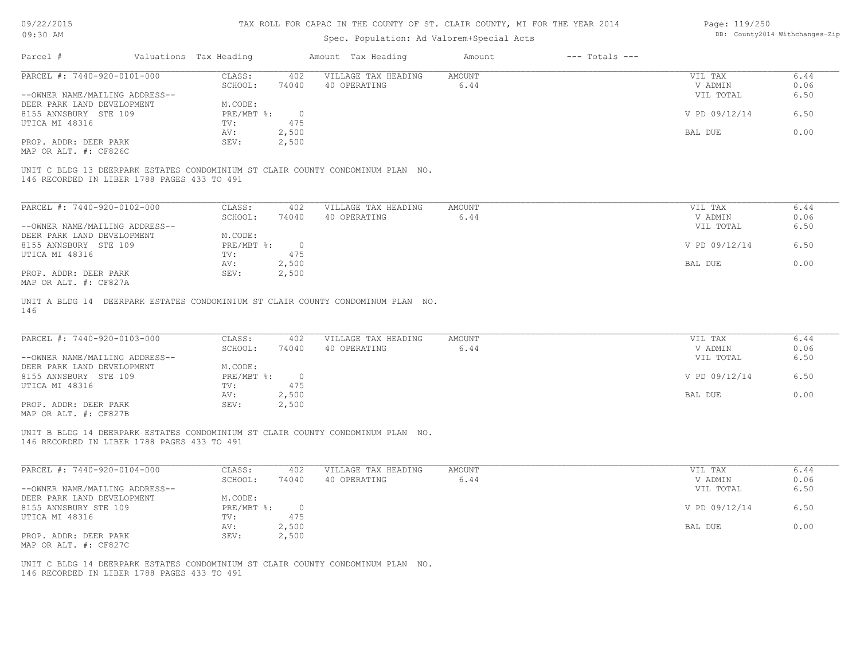| 09/22/2015 |  |
|------------|--|
| $09:30$ AM |  |

#### Spec. Population: Ad Valorem+Special Acts

| Page: 119/250 |                                |
|---------------|--------------------------------|
|               | DB: County2014 Withchanges-Zip |

| Parcel #                            |                                             | Valuations Tax Heading      |        | Amount Tax Heading                                                              | Amount                                           | $---$ Totals $---$ |               |               |
|-------------------------------------|---------------------------------------------|-----------------------------|--------|---------------------------------------------------------------------------------|--------------------------------------------------|--------------------|---------------|---------------|
| PARCEL #: 7440-920-0101-000         |                                             | CLASS:                      | 402    | VILLAGE TAX HEADING                                                             | AMOUNT                                           |                    | VIL TAX       | 6.44          |
|                                     |                                             | SCHOOL:                     | 74040  | 40 OPERATING                                                                    | 6.44                                             |                    | V ADMIN       | 0.06          |
| --OWNER NAME/MAILING ADDRESS--      |                                             |                             |        |                                                                                 |                                                  |                    | VIL TOTAL     | 6.50          |
| DEER PARK LAND DEVELOPMENT          |                                             | M.CODE:                     |        |                                                                                 |                                                  |                    |               |               |
| 8155 ANNSBURY STE 109               |                                             | PRE/MBT %:                  |        |                                                                                 |                                                  |                    | V PD 09/12/14 | 6.50          |
| UTICA MI 48316                      |                                             | TV:                         | 475    |                                                                                 |                                                  |                    |               |               |
|                                     |                                             | AV:                         | 2,500  |                                                                                 |                                                  |                    | BAL DUE       | 0.00          |
| PROP. ADDR: DEER PARK               |                                             | SEV:                        | 2,500  |                                                                                 |                                                  |                    |               |               |
| MAP OR ALT. #: CF826C               |                                             |                             |        |                                                                                 |                                                  |                    |               |               |
|                                     | 146 RECORDED IN LIBER 1788 PAGES 433 TO 491 |                             |        | UNIT C BLDG 13 DEERPARK ESTATES CONDOMINIUM ST CLAIR COUNTY CONDOMINUM PLAN NO. |                                                  |                    |               |               |
|                                     |                                             |                             |        |                                                                                 |                                                  |                    |               |               |
| <b>BRB 882 11 8440 800 8100 800</b> |                                             | $\sim$ $\sim$ $\sim$ $\sim$ | $\sim$ |                                                                                 | $\sim$ $\sim$ $\sim$ $\sim$ $\sim$ $\sim$ $\sim$ |                    | ---- ----     | $\sim$ $\sim$ |

| PARCEL #: 7440-920-0102-000    | CLASS:     | 402      | VILLAGE TAX HEADING | AMOUNT | VIL TAX       | 6.44 |
|--------------------------------|------------|----------|---------------------|--------|---------------|------|
|                                | SCHOOL:    | 74040    | 40 OPERATING        | 6.44   | V ADMIN       | 0.06 |
| --OWNER NAME/MAILING ADDRESS-- |            |          |                     |        | VIL TOTAL     | 6.50 |
| DEER PARK LAND DEVELOPMENT     | M.CODE:    |          |                     |        |               |      |
| 8155 ANNSBURY STE 109          | PRE/MBT %: | $\Omega$ |                     |        | V PD 09/12/14 | 6.50 |
| UTICA MI 48316                 | TV:        | 475      |                     |        |               |      |
|                                | AV:        | 2,500    |                     |        | BAL DUE       | 0.00 |
| PROP. ADDR: DEER PARK          | SEV:       | 2,500    |                     |        |               |      |
| MAP OR ALT. #: CF827A          |            |          |                     |        |               |      |

146 UNIT A BLDG 14 DEERPARK ESTATES CONDOMINIUM ST CLAIR COUNTY CONDOMINUM PLAN NO.

| PARCEL #: 7440-920-0103-000                           | CLASS:     | 402   | VILLAGE TAX HEADING | AMOUNT | VIL TAX       | 6.44 |
|-------------------------------------------------------|------------|-------|---------------------|--------|---------------|------|
|                                                       | SCHOOL:    | 74040 | 40 OPERATING        | 6.44   | V ADMIN       | 0.06 |
| --OWNER NAME/MAILING ADDRESS--                        |            |       |                     |        | VIL TOTAL     | 6.50 |
| DEER PARK LAND DEVELOPMENT                            | M.CODE:    |       |                     |        |               |      |
| 8155 ANNSBURY STE 109                                 | PRE/MBT %: |       |                     |        | V PD 09/12/14 | 6.50 |
| UTICA MI 48316                                        | TV:        | 475   |                     |        |               |      |
|                                                       | AV:        | 2,500 |                     |        | BAL DUE       | 0.00 |
| PROP. ADDR: DEER PARK                                 | SEV:       | 2,500 |                     |        |               |      |
| $\cdots$ $\cdots$ $\cdots$ $\cdots$ $\cdots$ $\cdots$ |            |       |                     |        |               |      |

MAP OR ALT. #: CF827B

146 RECORDED IN LIBER 1788 PAGES 433 TO 491 UNIT B BLDG 14 DEERPARK ESTATES CONDOMINIUM ST CLAIR COUNTY CONDOMINUM PLAN NO.

| PARCEL #: 7440-920-0104-000    | CLASS:     | 402      | VILLAGE TAX HEADING | AMOUNT | VIL TAX       | 6.44 |
|--------------------------------|------------|----------|---------------------|--------|---------------|------|
|                                | SCHOOL:    | 74040    | 40 OPERATING        | 6.44   | V ADMIN       | 0.06 |
| --OWNER NAME/MAILING ADDRESS-- |            |          |                     |        | VIL TOTAL     | 6.50 |
| DEER PARK LAND DEVELOPMENT     | M.CODE:    |          |                     |        |               |      |
| 8155 ANNSBURY STE 109          | PRE/MBT %: | $\Omega$ |                     |        | V PD 09/12/14 | 6.50 |
| UTICA MI 48316                 | TV:        | 475      |                     |        |               |      |
|                                | AV:        | 2,500    |                     |        | BAL DUE       | 0.00 |
| PROP. ADDR: DEER PARK          | SEV:       | 2,500    |                     |        |               |      |
| MAP OR ALT. #: CF827C          |            |          |                     |        |               |      |

 $\mathcal{L}_\mathcal{L} = \mathcal{L}_\mathcal{L} = \mathcal{L}_\mathcal{L} = \mathcal{L}_\mathcal{L} = \mathcal{L}_\mathcal{L} = \mathcal{L}_\mathcal{L} = \mathcal{L}_\mathcal{L} = \mathcal{L}_\mathcal{L} = \mathcal{L}_\mathcal{L} = \mathcal{L}_\mathcal{L} = \mathcal{L}_\mathcal{L} = \mathcal{L}_\mathcal{L} = \mathcal{L}_\mathcal{L} = \mathcal{L}_\mathcal{L} = \mathcal{L}_\mathcal{L} = \mathcal{L}_\mathcal{L} = \mathcal{L}_\mathcal{L}$ 

146 RECORDED IN LIBER 1788 PAGES 433 TO 491 UNIT C BLDG 14 DEERPARK ESTATES CONDOMINIUM ST CLAIR COUNTY CONDOMINUM PLAN NO.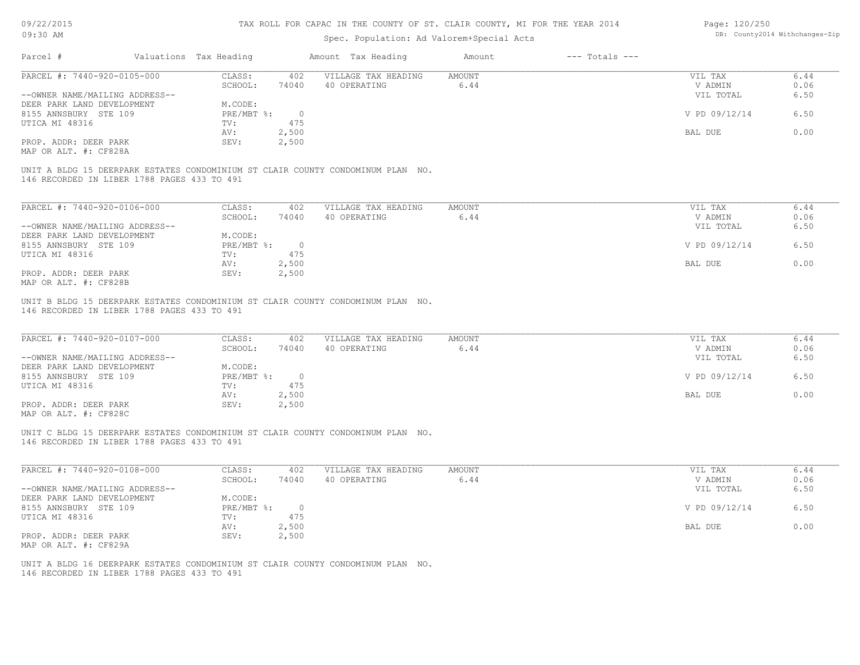| 09/22/2015 |  |
|------------|--|
| $09:30$ AM |  |

# Spec. Population: Ad Valorem+Special Acts

| Page: 120/250 |                                |
|---------------|--------------------------------|
|               | DB: County2014 Withchanges-Zip |

|                                                                                                                                                         | Valuations Tax Heading |                | Amount Tax Heading                  | Amount                | $---$ Totals $---$ |                    |              |
|---------------------------------------------------------------------------------------------------------------------------------------------------------|------------------------|----------------|-------------------------------------|-----------------------|--------------------|--------------------|--------------|
| PARCEL #: 7440-920-0105-000                                                                                                                             | CLASS:                 | 402            | VILLAGE TAX HEADING                 | AMOUNT                |                    | VIL TAX            | 6.44         |
|                                                                                                                                                         | SCHOOL:                | 74040          | 40 OPERATING                        | 6.44                  |                    | V ADMIN            | 0.06         |
| --OWNER NAME/MAILING ADDRESS--                                                                                                                          |                        |                |                                     |                       |                    | VIL TOTAL          | 6.50         |
| DEER PARK LAND DEVELOPMENT                                                                                                                              | M.CODE:                |                |                                     |                       |                    |                    |              |
| 8155 ANNSBURY STE 109                                                                                                                                   | PRE/MBT %:             | $\overline{0}$ |                                     |                       |                    | V PD 09/12/14      | 6.50         |
| UTICA MI 48316                                                                                                                                          | TV:                    | 475            |                                     |                       |                    |                    |              |
|                                                                                                                                                         | AV:                    | 2,500          |                                     |                       |                    | BAL DUE            | 0.00         |
| PROP. ADDR: DEER PARK                                                                                                                                   | SEV:                   | 2,500          |                                     |                       |                    |                    |              |
|                                                                                                                                                         |                        |                |                                     |                       |                    |                    |              |
| MAP OR ALT. #: CF828A<br>UNIT A BLDG 15 DEERPARK ESTATES CONDOMINIUM ST CLAIR COUNTY CONDOMINUM PLAN NO.<br>146 RECORDED IN LIBER 1788 PAGES 433 TO 491 |                        |                |                                     |                       |                    |                    |              |
| PARCEL #: 7440-920-0106-000                                                                                                                             | CLASS:<br>SCHOOL:      | 402<br>74040   | VILLAGE TAX HEADING<br>40 OPERATING | <b>AMOUNT</b><br>6.44 |                    | VIL TAX<br>V ADMIN | 6.44<br>0.06 |
| --OWNER NAME/MAILING ADDRESS--                                                                                                                          |                        |                |                                     |                       |                    | VIL TOTAL          |              |
| DEER PARK LAND DEVELOPMENT                                                                                                                              | M.CODE:                |                |                                     |                       |                    |                    | 6.50         |
| 8155 ANNSBURY STE 109                                                                                                                                   | PRE/MBT %:             | $\overline{0}$ |                                     |                       |                    | V PD 09/12/14      | 6.50         |
| UTICA MI 48316                                                                                                                                          | TV:                    | 475            |                                     |                       |                    |                    |              |
|                                                                                                                                                         | AV:                    | 2,500          |                                     |                       |                    | BAL DUE            | 0.00         |
| PROP. ADDR: DEER PARK                                                                                                                                   | SEV:                   | 2,500          |                                     |                       |                    |                    |              |

| PARCEL #: 7440-920-0107-000    | CLASS:     | 402   | VILLAGE TAX HEADING | AMOUNT | VIL TAX       | 6.44 |
|--------------------------------|------------|-------|---------------------|--------|---------------|------|
|                                | SCHOOL:    | 74040 | 40 OPERATING        | 6.44   | V ADMIN       | 0.06 |
| --OWNER NAME/MAILING ADDRESS-- |            |       |                     |        | VIL TOTAL     | 6.50 |
| DEER PARK LAND DEVELOPMENT     | M.CODE:    |       |                     |        |               |      |
| 8155 ANNSBURY STE 109          | PRE/MBT %: |       |                     |        | V PD 09/12/14 | 6.50 |
| UTICA MI 48316                 | TV:        | 475   |                     |        |               |      |
|                                | AV:        | 2,500 |                     |        | BAL DUE       | 0.00 |
| PROP. ADDR: DEER PARK          | SEV:       | 2,500 |                     |        |               |      |
| MAP OR ALT. #: CF828C          |            |       |                     |        |               |      |

146 RECORDED IN LIBER 1788 PAGES 433 TO 491 UNIT C BLDG 15 DEERPARK ESTATES CONDOMINIUM ST CLAIR COUNTY CONDOMINUM PLAN NO.

| PARCEL #: 7440-920-0108-000    | CLASS:     | 402   | VILLAGE TAX HEADING | AMOUNT | VIL TAX       | 6.44 |
|--------------------------------|------------|-------|---------------------|--------|---------------|------|
|                                | SCHOOL:    | 74040 | 40 OPERATING        | 6.44   | V ADMIN       | 0.06 |
| --OWNER NAME/MAILING ADDRESS-- |            |       |                     |        | VIL TOTAL     | 6.50 |
| DEER PARK LAND DEVELOPMENT     | M.CODE:    |       |                     |        |               |      |
| 8155 ANNSBURY STE 109          | PRE/MBT %: |       |                     |        | V PD 09/12/14 | 6.50 |
| UTICA MI 48316                 | TV:        | 475   |                     |        |               |      |
|                                | AV:        | 2,500 |                     |        | BAL DUE       | 0.00 |
| PROP. ADDR: DEER PARK          | SEV:       | 2,500 |                     |        |               |      |
| MAP OR ALT. #: CF829A          |            |       |                     |        |               |      |

146 RECORDED IN LIBER 1788 PAGES 433 TO 491 UNIT A BLDG 16 DEERPARK ESTATES CONDOMINIUM ST CLAIR COUNTY CONDOMINUM PLAN NO.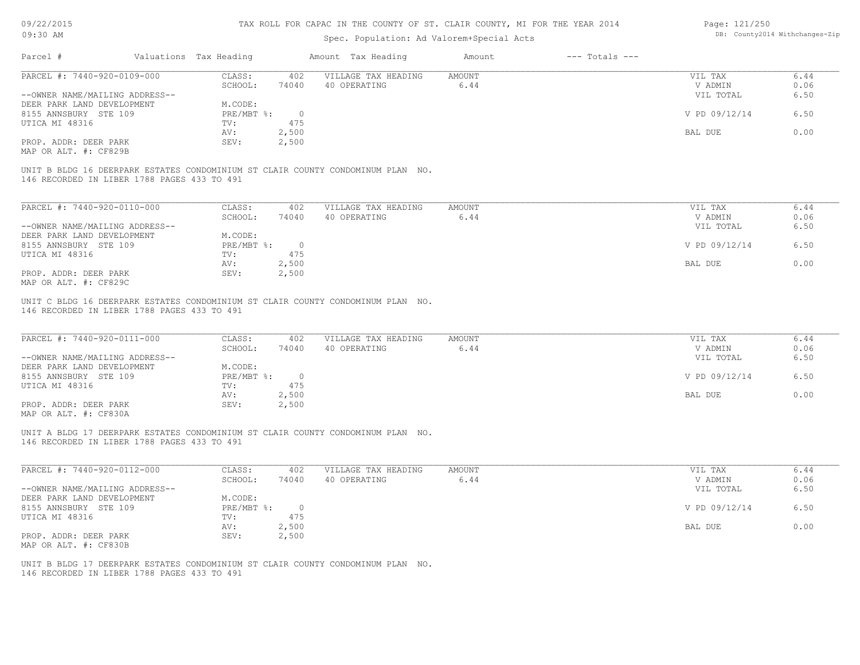| 09/22/2015<br>09:30 AM                         |                        |                | TAX ROLL FOR CAPAC IN THE COUNTY OF ST. CLAIR COUNTY, MI FOR THE YEAR 2014      |               |                    | Page: 121/250  | DB: County2014 Withchanges-Zip |
|------------------------------------------------|------------------------|----------------|---------------------------------------------------------------------------------|---------------|--------------------|----------------|--------------------------------|
|                                                |                        |                | Spec. Population: Ad Valorem+Special Acts                                       |               |                    |                |                                |
| Parcel #                                       | Valuations Tax Heading |                | Amount Tax Heading                                                              | Amount        | $---$ Totals $---$ |                |                                |
| PARCEL #: 7440-920-0109-000                    | CLASS:                 | 402            | VILLAGE TAX HEADING                                                             | <b>AMOUNT</b> |                    | VIL TAX        | 6.44                           |
|                                                | SCHOOL:                | 74040          | 40 OPERATING                                                                    | 6.44          |                    | V ADMIN        | 0.06                           |
| --OWNER NAME/MAILING ADDRESS--                 |                        |                |                                                                                 |               |                    | VIL TOTAL      | 6.50                           |
| DEER PARK LAND DEVELOPMENT                     | M.CODE:                |                |                                                                                 |               |                    |                |                                |
| 8155 ANNSBURY STE 109                          | PRE/MBT %:             | $\overline{0}$ |                                                                                 |               |                    | V PD 09/12/14  | 6.50                           |
| UTICA MI 48316                                 | TV:                    | 475            |                                                                                 |               |                    |                |                                |
|                                                | AV:                    | 2,500          |                                                                                 |               |                    | BAL DUE        | 0.00                           |
| PROP. ADDR: DEER PARK<br>MAP OR ALT. #: CF829B | SEV:                   | 2,500          |                                                                                 |               |                    |                |                                |
|                                                |                        |                | UNIT B BLDG 16 DEERPARK ESTATES CONDOMINIUM ST CLAIR COUNTY CONDOMINUM PLAN NO. |               |                    |                |                                |
| 146 RECORDED IN LIBER 1788 PAGES 433 TO 491    |                        |                |                                                                                 |               |                    |                |                                |
|                                                |                        |                |                                                                                 |               |                    |                |                                |
| PARCEL #: 7440-920-0110-000                    | CLASS:                 | 402            | VILLAGE TAX HEADING                                                             | <b>AMOUNT</b> |                    | VIL TAX        | 6.44                           |
|                                                | SCHOOL:                | 74040          | 40 OPERATING                                                                    | 6.44          |                    | V ADMIN        | 0.06                           |
| --OWNER NAME/MAILING ADDRESS--                 |                        |                |                                                                                 |               |                    | VIL TOTAL      | 6.50                           |
| DEER PARK LAND DEVELOPMENT                     | M.CODE:                |                |                                                                                 |               |                    |                |                                |
| 8155 ANNSBURY STE 109                          | PRE/MBT %:             | $\circ$        |                                                                                 |               |                    | V PD 09/12/14  | 6.50                           |
| UTICA MI 48316                                 | TV:                    | 475            |                                                                                 |               |                    |                |                                |
|                                                | AV:                    | 2,500          |                                                                                 |               |                    | BAL DUE        | 0.00                           |
| PROP. ADDR: DEER PARK                          | SEV:                   | 2,500          |                                                                                 |               |                    |                |                                |
| MAP OR ALT. #: CF829C                          |                        |                |                                                                                 |               |                    |                |                                |
|                                                |                        |                | UNIT C BLDG 16 DEERPARK ESTATES CONDOMINIUM ST CLAIR COUNTY CONDOMINUM PLAN NO. |               |                    |                |                                |
| 146 RECORDED IN LIBER 1788 PAGES 433 TO 491    |                        |                |                                                                                 |               |                    |                |                                |
| PARCEL #: 7440-920-0111-000                    | CLASS:                 | 402            | VILLAGE TAX HEADING                                                             | <b>AMOUNT</b> |                    | VIL TAX        | 6.44                           |
|                                                | SCHOOL:                | 74040          | 40 OPERATING                                                                    | 6.44          |                    | V ADMIN        | 0.06                           |
| --OWNER NAME/MAILING ADDRESS--                 |                        |                |                                                                                 |               |                    | VIL TOTAL      | 6.50                           |
| DEER PARK LAND DEVELOPMENT                     | M.CODE:                |                |                                                                                 |               |                    |                |                                |
| 8155 ANNSBURY STE 109                          | PRE/MBT %:             | $\overline{0}$ |                                                                                 |               |                    | V PD 09/12/14  | 6.50                           |
| UTICA MI 48316                                 | TV:                    | 475            |                                                                                 |               |                    |                |                                |
|                                                | AV:                    | 2,500          |                                                                                 |               |                    | <b>BAL DUE</b> | 0.00                           |
| PROP. ADDR: DEER PARK                          | SEV:                   | 2,500          |                                                                                 |               |                    |                |                                |
| MAP OR ALT. #: CF830A                          |                        |                |                                                                                 |               |                    |                |                                |
|                                                |                        |                | UNIT A BLDG 17 DEERPARK ESTATES CONDOMINIUM ST CLAIR COUNTY CONDOMINUM PLAN NO. |               |                    |                |                                |
| 146 RECORDED IN LIBER 1788 PAGES 433 TO 491    |                        |                |                                                                                 |               |                    |                |                                |
|                                                |                        |                |                                                                                 |               |                    |                |                                |
| PARCEL #: 7440-920-0112-000                    | CLASS:                 | 402            | VILLAGE TAX HEADING                                                             | <b>AMOUNT</b> |                    | VIL TAX        | 6.44                           |
|                                                | SCHOOL:                | 74040          | 40 OPERATING                                                                    | 6.44          |                    | V ADMIN        | 0.06                           |
| --OWNER NAME/MAILING ADDRESS--                 |                        |                |                                                                                 |               |                    | VIL TOTAL      | 6.50                           |
| DEER PARK LAND DEVELOPMENT                     | M.CODE:                |                |                                                                                 |               |                    |                |                                |
| 8155 ANNSBURY STE 109                          | PRE/MBT %:             | $\Omega$       |                                                                                 |               |                    | V PD 09/12/14  | 6.50                           |

BAL DUE 0.00

MAP OR ALT. #: CF830B PROP. ADDR: DEER PARK AV: 2,500<br>PROP. ADDR: DEER PARK SEV: 2,500

146 RECORDED IN LIBER 1788 PAGES 433 TO 491 UNIT B BLDG 17 DEERPARK ESTATES CONDOMINIUM ST CLAIR COUNTY CONDOMINUM PLAN NO.

UTICA MI 48316 TV: 475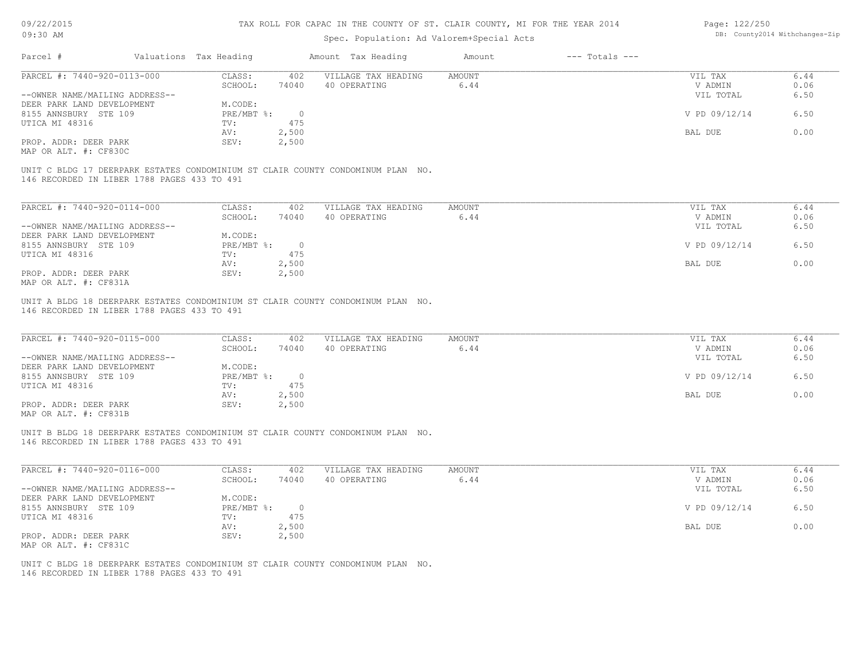| 09/22/2015<br>09:30 AM                                       |                        |                | TAX ROLL FOR CAPAC IN THE COUNTY OF ST. CLAIR COUNTY, MI FOR THE YEAR 2014      |                       |                    | Page: 122/250      | DB: County2014 Withchanges-Zip |
|--------------------------------------------------------------|------------------------|----------------|---------------------------------------------------------------------------------|-----------------------|--------------------|--------------------|--------------------------------|
|                                                              |                        |                | Spec. Population: Ad Valorem+Special Acts                                       |                       |                    |                    |                                |
| Parcel #                                                     | Valuations Tax Heading |                | Amount Tax Heading                                                              | Amount                | $---$ Totals $---$ |                    |                                |
| PARCEL #: 7440-920-0113-000                                  | CLASS:<br>SCHOOL:      | 402<br>74040   | VILLAGE TAX HEADING<br>40 OPERATING                                             | <b>AMOUNT</b><br>6.44 |                    | VIL TAX<br>V ADMIN | 6.44<br>0.06                   |
| --OWNER NAME/MAILING ADDRESS--<br>DEER PARK LAND DEVELOPMENT | M.CODE:                |                |                                                                                 |                       |                    | VIL TOTAL          | 6.50                           |
| 8155 ANNSBURY STE 109<br>UTICA MI 48316                      | PRE/MBT %:<br>TV:      | $\circ$<br>475 |                                                                                 |                       |                    | V PD 09/12/14      | 6.50                           |
|                                                              | AV:                    | 2,500          |                                                                                 |                       |                    | BAL DUE            | 0.00                           |
| PROP. ADDR: DEER PARK<br>MAP OR ALT. #: CF830C               | SEV:                   | 2,500          |                                                                                 |                       |                    |                    |                                |
| 146 RECORDED IN LIBER 1788 PAGES 433 TO 491                  |                        |                | UNIT C BLDG 17 DEERPARK ESTATES CONDOMINIUM ST CLAIR COUNTY CONDOMINUM PLAN NO. |                       |                    |                    |                                |
|                                                              |                        |                |                                                                                 |                       |                    |                    |                                |
| PARCEL #: 7440-920-0114-000                                  | CLASS:<br>SCHOOL:      | 402<br>74040   | VILLAGE TAX HEADING<br>40 OPERATING                                             | <b>AMOUNT</b><br>6.44 |                    | VIL TAX<br>V ADMIN | 6.44<br>0.06                   |
| --OWNER NAME/MAILING ADDRESS--                               |                        |                |                                                                                 |                       |                    | VIL TOTAL          | 6.50                           |
| DEER PARK LAND DEVELOPMENT                                   | M.CODE:                |                |                                                                                 |                       |                    |                    |                                |
| 8155 ANNSBURY STE 109                                        | PRE/MBT %:             | $\circ$        |                                                                                 |                       |                    | V PD 09/12/14      | 6.50                           |
| UTICA MI 48316                                               | TV:                    | 475            |                                                                                 |                       |                    |                    |                                |
| PROP. ADDR: DEER PARK                                        | AV:<br>SEV:            | 2,500<br>2,500 |                                                                                 |                       |                    | BAL DUE            | 0.00                           |
| MAP OR ALT. #: CF831A                                        |                        |                |                                                                                 |                       |                    |                    |                                |
| 146 RECORDED IN LIBER 1788 PAGES 433 TO 491                  |                        |                | UNIT A BLDG 18 DEERPARK ESTATES CONDOMINIUM ST CLAIR COUNTY CONDOMINUM PLAN NO. |                       |                    |                    |                                |
| PARCEL #: 7440-920-0115-000                                  | CLASS:                 | 402            | VILLAGE TAX HEADING                                                             | <b>AMOUNT</b>         |                    | VIL TAX            | 6.44                           |
|                                                              | SCHOOL:                | 74040          | 40 OPERATING                                                                    | 6.44                  |                    | V ADMIN            | 0.06                           |
| --OWNER NAME/MAILING ADDRESS--<br>DEER PARK LAND DEVELOPMENT | M.CODE:                |                |                                                                                 |                       |                    | VIL TOTAL          | 6.50                           |
| 8155 ANNSBURY STE 109                                        | PRE/MBT %:             | $\overline{0}$ |                                                                                 |                       |                    | V PD 09/12/14      | 6.50                           |
| UTICA MI 48316                                               | TV:                    | 475            |                                                                                 |                       |                    |                    |                                |
|                                                              | AV:                    | 2,500          |                                                                                 |                       |                    | BAL DUE            | 0.00                           |
| PROP. ADDR: DEER PARK<br>MAP OR ALT. #: CF831B               | SEV:                   | 2,500          |                                                                                 |                       |                    |                    |                                |
| 146 RECORDED IN LIBER 1788 PAGES 433 TO 491                  |                        |                | UNIT B BLDG 18 DEERPARK ESTATES CONDOMINIUM ST CLAIR COUNTY CONDOMINUM PLAN NO. |                       |                    |                    |                                |
| PARCEL #: 7440-920-0116-000                                  | CLASS:                 | 402            | VILLAGE TAX HEADING                                                             | <b>AMOUNT</b>         |                    | VIL TAX            | 6.44                           |
|                                                              | SCHOOL:                | 74040          | 40 OPERATING                                                                    | 6.44                  |                    | V ADMIN            | 0.06                           |
| --OWNER NAME/MAILING ADDRESS--<br>DEER PARK LAND DEVELOPMENT | M.CODE:                |                |                                                                                 |                       |                    | VIL TOTAL          | 6.50                           |
| 8155 ANNSBURY STE 109                                        | PRE/MBT %:             | $\overline{0}$ |                                                                                 |                       |                    | V PD 09/12/14      | 6.50                           |
| UTICA MI 48316                                               | TV:                    | 475            |                                                                                 |                       |                    |                    |                                |
|                                                              |                        |                |                                                                                 |                       |                    |                    |                                |

MAP OR ALT. #: CF831C PROP. ADDR: DEER PARK SEV: 2,500

146 RECORDED IN LIBER 1788 PAGES 433 TO 491 UNIT C BLDG 18 DEERPARK ESTATES CONDOMINIUM ST CLAIR COUNTY CONDOMINUM PLAN NO.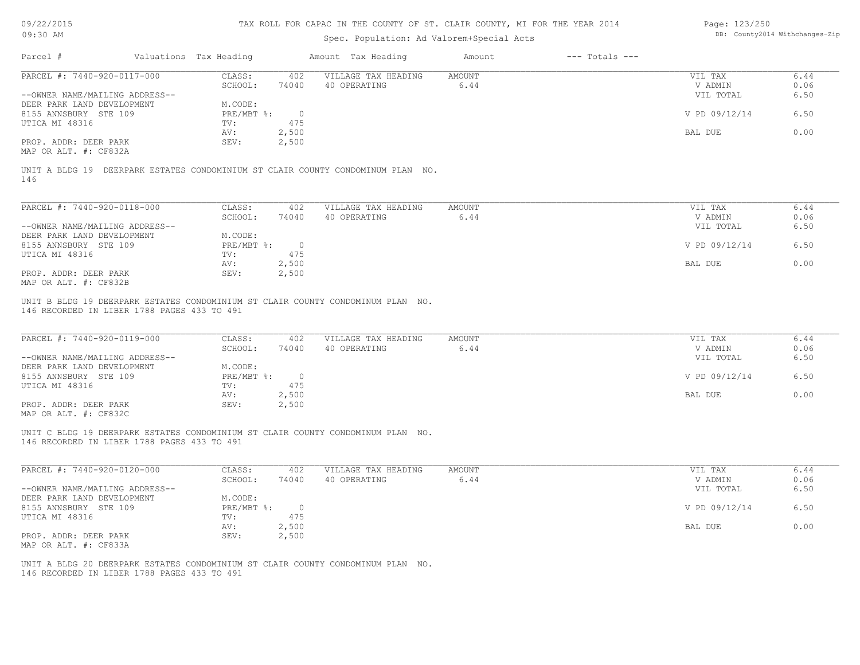| 09/22/2015 |  |
|------------|--|
|------------|--|

| Page: 123/250 |                                |
|---------------|--------------------------------|
|               | DB: County2014 Withchanges-Zip |

| 09:30 AM<br>Spec. Population: Ad Valorem+Special Acts<br>Valuations Tax Heading<br>Parcel #<br>Amount Tax Heading<br>PARCEL #: 7440-920-0117-000<br>CLASS:<br>VILLAGE TAX HEADING<br>402<br>SCHOOL:<br>74040<br>40 OPERATING<br>--OWNER NAME/MAILING ADDRESS--<br>DEER PARK LAND DEVELOPMENT<br>M.CODE:<br>8155 ANNSBURY STE 109<br>$PRE/MBT$ %:<br>$\overline{\phantom{0}}$<br>475<br>UTICA MI 48316<br>TV:<br>2,500<br>AV:<br>PROP. ADDR: DEER PARK<br>SEV:<br>2,500<br>MAP OR ALT. #: CF832A<br>UNIT A BLDG 19 DEERPARK ESTATES CONDOMINIUM ST CLAIR COUNTY CONDOMINUM PLAN NO.<br>146<br>PARCEL #: 7440-920-0118-000<br>CLASS:<br>402<br>VILLAGE TAX HEADING<br>SCHOOL:<br>40 OPERATING<br>74040<br>--OWNER NAME/MAILING ADDRESS--<br>M.CODE:<br>DEER PARK LAND DEVELOPMENT<br>$PRE/MBT$ $\frac{1}{6}$ :<br>8155 ANNSBURY STE 109<br>$\overline{0}$<br>475<br>UTICA MI 48316<br>TV:<br>2,500<br>AV:<br>PROP. ADDR: DEER PARK<br>SEV:<br>2,500<br>MAP OR ALT. #: CF832B<br>UNIT B BLDG 19 DEERPARK ESTATES CONDOMINIUM ST CLAIR COUNTY CONDOMINUM PLAN NO.<br>146 RECORDED IN LIBER 1788 PAGES 433 TO 491<br>PARCEL #: 7440-920-0119-000<br>CLASS:<br>VILLAGE TAX HEADING<br>402<br>SCHOOL:<br>74040<br>40 OPERATING<br>--OWNER NAME/MAILING ADDRESS--<br>DEER PARK LAND DEVELOPMENT<br>M.CODE:<br>8155 ANNSBURY STE 109<br>PRE/MBT %:<br>$\overline{0}$<br>475<br>TV:<br>2,500<br>AV:<br>SEV:<br>2,500<br>PROP. ADDR: DEER PARK<br>MAP OR ALT. #: CF832C<br>UNIT C BLDG 19 DEERPARK ESTATES CONDOMINIUM ST CLAIR COUNTY CONDOMINUM PLAN NO.<br>146 RECORDED IN LIBER 1788 PAGES 433 TO 491<br>PARCEL #: 7440-920-0120-000<br>VILLAGE TAX HEADING<br>CLASS:<br>402<br>SCHOOL:<br>74040<br>40 OPERATING<br>--OWNER NAME/MAILING ADDRESS-- | Amount<br>AMOUNT<br>6.44<br>AMOUNT<br>6.44<br>AMOUNT<br>6.44 | $---$ Totals $---$ | VIL TAX<br>V ADMIN<br>VIL TOTAL<br>V PD 09/12/14<br>BAL DUE<br>VIL TAX<br>V ADMIN<br>VIL TOTAL<br>V PD 09/12/14<br><b>BAL DUE</b><br>VIL TAX<br>V ADMIN | DB: County2014 Withchanges-Zip<br>6.44<br>0.06<br>6.50<br>6.50<br>0.00<br>6.44<br>0.06<br>6.50<br>6.50<br>0.00<br>6.44 |
|---------------------------------------------------------------------------------------------------------------------------------------------------------------------------------------------------------------------------------------------------------------------------------------------------------------------------------------------------------------------------------------------------------------------------------------------------------------------------------------------------------------------------------------------------------------------------------------------------------------------------------------------------------------------------------------------------------------------------------------------------------------------------------------------------------------------------------------------------------------------------------------------------------------------------------------------------------------------------------------------------------------------------------------------------------------------------------------------------------------------------------------------------------------------------------------------------------------------------------------------------------------------------------------------------------------------------------------------------------------------------------------------------------------------------------------------------------------------------------------------------------------------------------------------------------------------------------------------------------------------------------------------------------------------------------------------------------------------------------------------|--------------------------------------------------------------|--------------------|---------------------------------------------------------------------------------------------------------------------------------------------------------|------------------------------------------------------------------------------------------------------------------------|
|                                                                                                                                                                                                                                                                                                                                                                                                                                                                                                                                                                                                                                                                                                                                                                                                                                                                                                                                                                                                                                                                                                                                                                                                                                                                                                                                                                                                                                                                                                                                                                                                                                                                                                                                             |                                                              |                    |                                                                                                                                                         |                                                                                                                        |
|                                                                                                                                                                                                                                                                                                                                                                                                                                                                                                                                                                                                                                                                                                                                                                                                                                                                                                                                                                                                                                                                                                                                                                                                                                                                                                                                                                                                                                                                                                                                                                                                                                                                                                                                             |                                                              |                    |                                                                                                                                                         |                                                                                                                        |
|                                                                                                                                                                                                                                                                                                                                                                                                                                                                                                                                                                                                                                                                                                                                                                                                                                                                                                                                                                                                                                                                                                                                                                                                                                                                                                                                                                                                                                                                                                                                                                                                                                                                                                                                             |                                                              |                    |                                                                                                                                                         |                                                                                                                        |
|                                                                                                                                                                                                                                                                                                                                                                                                                                                                                                                                                                                                                                                                                                                                                                                                                                                                                                                                                                                                                                                                                                                                                                                                                                                                                                                                                                                                                                                                                                                                                                                                                                                                                                                                             |                                                              |                    |                                                                                                                                                         |                                                                                                                        |
|                                                                                                                                                                                                                                                                                                                                                                                                                                                                                                                                                                                                                                                                                                                                                                                                                                                                                                                                                                                                                                                                                                                                                                                                                                                                                                                                                                                                                                                                                                                                                                                                                                                                                                                                             |                                                              |                    |                                                                                                                                                         |                                                                                                                        |
|                                                                                                                                                                                                                                                                                                                                                                                                                                                                                                                                                                                                                                                                                                                                                                                                                                                                                                                                                                                                                                                                                                                                                                                                                                                                                                                                                                                                                                                                                                                                                                                                                                                                                                                                             |                                                              |                    |                                                                                                                                                         |                                                                                                                        |
|                                                                                                                                                                                                                                                                                                                                                                                                                                                                                                                                                                                                                                                                                                                                                                                                                                                                                                                                                                                                                                                                                                                                                                                                                                                                                                                                                                                                                                                                                                                                                                                                                                                                                                                                             |                                                              |                    |                                                                                                                                                         |                                                                                                                        |
|                                                                                                                                                                                                                                                                                                                                                                                                                                                                                                                                                                                                                                                                                                                                                                                                                                                                                                                                                                                                                                                                                                                                                                                                                                                                                                                                                                                                                                                                                                                                                                                                                                                                                                                                             |                                                              |                    |                                                                                                                                                         |                                                                                                                        |
|                                                                                                                                                                                                                                                                                                                                                                                                                                                                                                                                                                                                                                                                                                                                                                                                                                                                                                                                                                                                                                                                                                                                                                                                                                                                                                                                                                                                                                                                                                                                                                                                                                                                                                                                             |                                                              |                    |                                                                                                                                                         |                                                                                                                        |
|                                                                                                                                                                                                                                                                                                                                                                                                                                                                                                                                                                                                                                                                                                                                                                                                                                                                                                                                                                                                                                                                                                                                                                                                                                                                                                                                                                                                                                                                                                                                                                                                                                                                                                                                             |                                                              |                    |                                                                                                                                                         |                                                                                                                        |
| UTICA MI 48316                                                                                                                                                                                                                                                                                                                                                                                                                                                                                                                                                                                                                                                                                                                                                                                                                                                                                                                                                                                                                                                                                                                                                                                                                                                                                                                                                                                                                                                                                                                                                                                                                                                                                                                              |                                                              |                    |                                                                                                                                                         |                                                                                                                        |
|                                                                                                                                                                                                                                                                                                                                                                                                                                                                                                                                                                                                                                                                                                                                                                                                                                                                                                                                                                                                                                                                                                                                                                                                                                                                                                                                                                                                                                                                                                                                                                                                                                                                                                                                             |                                                              |                    |                                                                                                                                                         |                                                                                                                        |
|                                                                                                                                                                                                                                                                                                                                                                                                                                                                                                                                                                                                                                                                                                                                                                                                                                                                                                                                                                                                                                                                                                                                                                                                                                                                                                                                                                                                                                                                                                                                                                                                                                                                                                                                             |                                                              |                    |                                                                                                                                                         |                                                                                                                        |
|                                                                                                                                                                                                                                                                                                                                                                                                                                                                                                                                                                                                                                                                                                                                                                                                                                                                                                                                                                                                                                                                                                                                                                                                                                                                                                                                                                                                                                                                                                                                                                                                                                                                                                                                             |                                                              |                    |                                                                                                                                                         |                                                                                                                        |
|                                                                                                                                                                                                                                                                                                                                                                                                                                                                                                                                                                                                                                                                                                                                                                                                                                                                                                                                                                                                                                                                                                                                                                                                                                                                                                                                                                                                                                                                                                                                                                                                                                                                                                                                             |                                                              |                    |                                                                                                                                                         |                                                                                                                        |
|                                                                                                                                                                                                                                                                                                                                                                                                                                                                                                                                                                                                                                                                                                                                                                                                                                                                                                                                                                                                                                                                                                                                                                                                                                                                                                                                                                                                                                                                                                                                                                                                                                                                                                                                             |                                                              |                    | VIL TOTAL<br>V PD 09/12/14<br>BAL DUE                                                                                                                   | 0.06<br>6.50<br>6.50<br>0.00                                                                                           |
|                                                                                                                                                                                                                                                                                                                                                                                                                                                                                                                                                                                                                                                                                                                                                                                                                                                                                                                                                                                                                                                                                                                                                                                                                                                                                                                                                                                                                                                                                                                                                                                                                                                                                                                                             |                                                              |                    |                                                                                                                                                         |                                                                                                                        |
|                                                                                                                                                                                                                                                                                                                                                                                                                                                                                                                                                                                                                                                                                                                                                                                                                                                                                                                                                                                                                                                                                                                                                                                                                                                                                                                                                                                                                                                                                                                                                                                                                                                                                                                                             | AMOUNT<br>6.44                                               |                    | VIL TAX<br>V ADMIN                                                                                                                                      | 6.44<br>0.06                                                                                                           |
| M.CODE:<br>DEER PARK LAND DEVELOPMENT                                                                                                                                                                                                                                                                                                                                                                                                                                                                                                                                                                                                                                                                                                                                                                                                                                                                                                                                                                                                                                                                                                                                                                                                                                                                                                                                                                                                                                                                                                                                                                                                                                                                                                       |                                                              |                    | VIL TOTAL                                                                                                                                               | 6.50                                                                                                                   |
| 8155 ANNSBURY STE 109<br>PRE/MBT %:<br>$\circ$<br>UTICA MI 48316<br>475<br>TV:                                                                                                                                                                                                                                                                                                                                                                                                                                                                                                                                                                                                                                                                                                                                                                                                                                                                                                                                                                                                                                                                                                                                                                                                                                                                                                                                                                                                                                                                                                                                                                                                                                                              |                                                              |                    | V PD 09/12/14                                                                                                                                           | 6.50                                                                                                                   |
| AV:<br>2,500                                                                                                                                                                                                                                                                                                                                                                                                                                                                                                                                                                                                                                                                                                                                                                                                                                                                                                                                                                                                                                                                                                                                                                                                                                                                                                                                                                                                                                                                                                                                                                                                                                                                                                                                |                                                              |                    | BAL DUE                                                                                                                                                 | 0.00                                                                                                                   |
| SEV:<br>2,500<br>PROP. ADDR: DEER PARK<br>MAP OR ALT. #: CF833A                                                                                                                                                                                                                                                                                                                                                                                                                                                                                                                                                                                                                                                                                                                                                                                                                                                                                                                                                                                                                                                                                                                                                                                                                                                                                                                                                                                                                                                                                                                                                                                                                                                                             |                                                              |                    |                                                                                                                                                         |                                                                                                                        |
| UNIT A BLDG 20 DEERPARK ESTATES CONDOMINIUM ST CLAIR COUNTY CONDOMINUM PLAN NO.<br>146 RECORDED IN LIBER 1788 PAGES 433 TO 491                                                                                                                                                                                                                                                                                                                                                                                                                                                                                                                                                                                                                                                                                                                                                                                                                                                                                                                                                                                                                                                                                                                                                                                                                                                                                                                                                                                                                                                                                                                                                                                                              |                                                              |                    |                                                                                                                                                         |                                                                                                                        |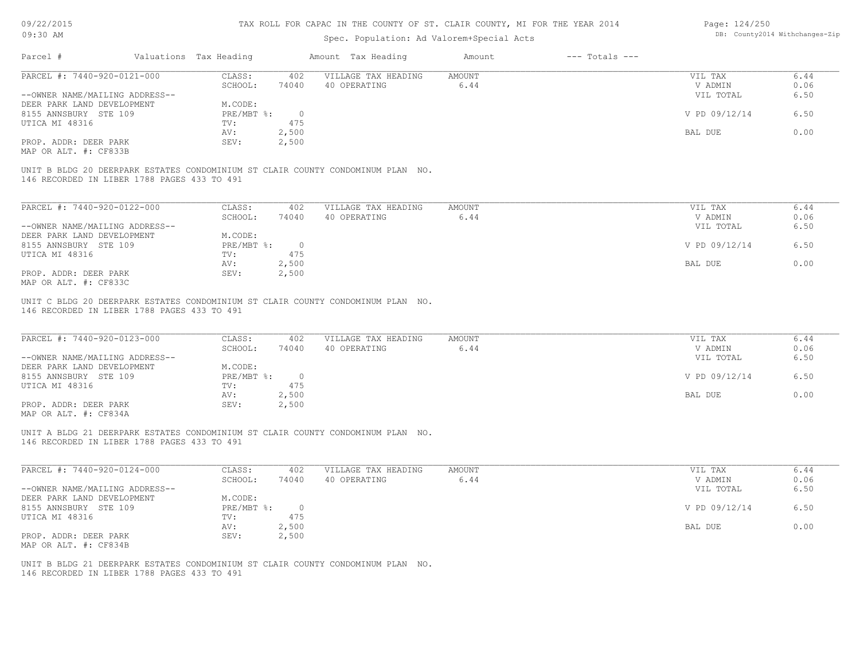| 09/22/2015 |  |
|------------|--|
|------------|--|

# Page: 124/250

| 09:30 AM                       |                                             |                        |                | Spec. Population: Ad Valorem+Special Acts                                       |               |                    |               | DB: County2014 Withchanges-Zip |
|--------------------------------|---------------------------------------------|------------------------|----------------|---------------------------------------------------------------------------------|---------------|--------------------|---------------|--------------------------------|
| Parcel #                       |                                             | Valuations Tax Heading |                | Amount Tax Heading                                                              | Amount        | $---$ Totals $---$ |               |                                |
| PARCEL #: 7440-920-0121-000    |                                             | CLASS:                 | 402            | VILLAGE TAX HEADING                                                             | AMOUNT        |                    | VIL TAX       | 6.44                           |
|                                |                                             | SCHOOL:                | 74040          | 40 OPERATING                                                                    | 6.44          |                    | V ADMIN       | 0.06                           |
| --OWNER NAME/MAILING ADDRESS-- |                                             |                        |                |                                                                                 |               |                    | VIL TOTAL     | 6.50                           |
| DEER PARK LAND DEVELOPMENT     |                                             | M.CODE:                |                |                                                                                 |               |                    |               |                                |
| 8155 ANNSBURY STE 109          |                                             | PRE/MBT %:             | $\overline{0}$ |                                                                                 |               |                    | V PD 09/12/14 | 6.50                           |
| UTICA MI 48316                 |                                             | TV:                    | 475            |                                                                                 |               |                    |               |                                |
|                                |                                             | AV:                    | 2,500          |                                                                                 |               |                    | BAL DUE       | 0.00                           |
| PROP. ADDR: DEER PARK          |                                             | SEV:                   | 2,500          |                                                                                 |               |                    |               |                                |
| MAP OR ALT. #: CF833B          |                                             |                        |                |                                                                                 |               |                    |               |                                |
|                                |                                             |                        |                | UNIT B BLDG 20 DEERPARK ESTATES CONDOMINIUM ST CLAIR COUNTY CONDOMINUM PLAN NO. |               |                    |               |                                |
|                                | 146 RECORDED IN LIBER 1788 PAGES 433 TO 491 |                        |                |                                                                                 |               |                    |               |                                |
|                                |                                             |                        |                |                                                                                 |               |                    |               |                                |
| PARCEL #: 7440-920-0122-000    |                                             | CLASS:                 | 402            | VILLAGE TAX HEADING                                                             | <b>AMOUNT</b> |                    | VIL TAX       | 6.44                           |
|                                |                                             | SCHOOL:                | 74040          | 40 OPERATING                                                                    | 6.44          |                    | V ADMIN       | 0.06                           |
| --OWNER NAME/MAILING ADDRESS-- |                                             |                        |                |                                                                                 |               |                    | VIL TOTAL     | 6.50                           |
| DEER PARK LAND DEVELOPMENT     |                                             | M.CODE:                |                |                                                                                 |               |                    |               |                                |
| 8155 ANNSBURY STE 109          |                                             | PRE/MBT %:             | $\overline{0}$ |                                                                                 |               |                    | V PD 09/12/14 | 6.50                           |
| UTICA MI 48316                 |                                             | TV:                    | 475            |                                                                                 |               |                    |               |                                |
|                                |                                             | AV:                    | 2,500          |                                                                                 |               |                    | BAL DUE       | 0.00                           |
| PROP. ADDR: DEER PARK          |                                             | SEV:                   | 2,500          |                                                                                 |               |                    |               |                                |
| MAP OR ALT. #: CF833C          |                                             |                        |                |                                                                                 |               |                    |               |                                |
|                                | 146 RECORDED IN LIBER 1788 PAGES 433 TO 491 |                        |                | UNIT C BLDG 20 DEERPARK ESTATES CONDOMINIUM ST CLAIR COUNTY CONDOMINUM PLAN NO. |               |                    |               |                                |
| PARCEL #: 7440-920-0123-000    |                                             | CLASS:                 | 402            | VILLAGE TAX HEADING                                                             | AMOUNT        |                    | VIL TAX       | 6.44                           |
|                                |                                             | SCHOOL:                | 74040          | 40 OPERATING                                                                    | 6.44          |                    | V ADMIN       | 0.06                           |
| --OWNER NAME/MAILING ADDRESS-- |                                             |                        |                |                                                                                 |               |                    | VIL TOTAL     | 6.50                           |
| DEER PARK LAND DEVELOPMENT     |                                             | M.CODE:                |                |                                                                                 |               |                    |               |                                |
| 8155 ANNSBURY STE 109          |                                             | PRE/MBT %:             | $\overline{0}$ |                                                                                 |               |                    | V PD 09/12/14 | 6.50                           |
| UTICA MI 48316                 |                                             | TV:                    | 475            |                                                                                 |               |                    |               |                                |
|                                |                                             | AV:                    | 2,500          |                                                                                 |               |                    | BAL DUE       | 0.00                           |
| PROP. ADDR: DEER PARK          |                                             | SEV:                   | 2,500          |                                                                                 |               |                    |               |                                |
| MAP OR ALT. #: CF834A          |                                             |                        |                |                                                                                 |               |                    |               |                                |
|                                |                                             |                        |                |                                                                                 |               |                    |               |                                |

146 RECORDED IN LIBER 1788 PAGES 433 TO 491 UNIT A BLDG 21 DEERPARK ESTATES CONDOMINIUM ST CLAIR COUNTY CONDOMINUM PLAN NO.

| PARCEL #: 7440-920-0124-000    | CLASS:     | 402      | VILLAGE TAX HEADING | AMOUNT | VIL TAX       | 6.44 |
|--------------------------------|------------|----------|---------------------|--------|---------------|------|
|                                | SCHOOL:    | 74040    | 40 OPERATING        | 6.44   | V ADMIN       | 0.06 |
| --OWNER NAME/MAILING ADDRESS-- |            |          |                     |        | VIL TOTAL     | 6.50 |
| DEER PARK LAND DEVELOPMENT     | M.CODE:    |          |                     |        |               |      |
| 8155 ANNSBURY STE 109          | PRE/MBT %: | $\Omega$ |                     |        | V PD 09/12/14 | 6.50 |
| UTICA MI 48316                 | TV:        | 475      |                     |        |               |      |
|                                | AV:        | 2,500    |                     |        | BAL DUE       | 0.00 |
| PROP. ADDR: DEER PARK          | SEV:       | 2,500    |                     |        |               |      |
| MAP OR ALT. #: CF834B          |            |          |                     |        |               |      |

 $\mathcal{L}_\mathcal{L} = \mathcal{L}_\mathcal{L} = \mathcal{L}_\mathcal{L} = \mathcal{L}_\mathcal{L} = \mathcal{L}_\mathcal{L} = \mathcal{L}_\mathcal{L} = \mathcal{L}_\mathcal{L} = \mathcal{L}_\mathcal{L} = \mathcal{L}_\mathcal{L} = \mathcal{L}_\mathcal{L} = \mathcal{L}_\mathcal{L} = \mathcal{L}_\mathcal{L} = \mathcal{L}_\mathcal{L} = \mathcal{L}_\mathcal{L} = \mathcal{L}_\mathcal{L} = \mathcal{L}_\mathcal{L} = \mathcal{L}_\mathcal{L}$ 

146 RECORDED IN LIBER 1788 PAGES 433 TO 491 UNIT B BLDG 21 DEERPARK ESTATES CONDOMINIUM ST CLAIR COUNTY CONDOMINUM PLAN NO.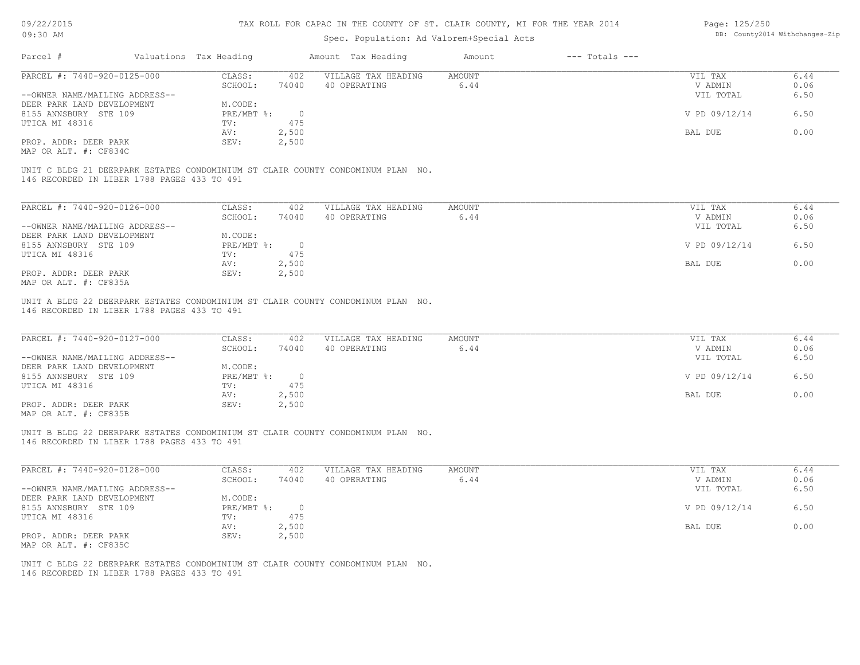| 09/22/2015 |  |
|------------|--|
| 09:30 AM   |  |

MAP OR ALT. #: CF835A

#### TAX ROLL FOR CAPAC IN THE COUNTY OF ST. CLAIR COUNTY, MI FOR THE YEAR 2014

### Spec. Population: Ad Valorem+Special Acts

| Page: 125/250 |                                |
|---------------|--------------------------------|
|               | DB: County2014 Withchanges-Zip |

| Parcel #                                                                        | Valuations Tax Heading |                | Amount Tax Heading  | Amount | $---$ Totals $---$ |               |      |
|---------------------------------------------------------------------------------|------------------------|----------------|---------------------|--------|--------------------|---------------|------|
| PARCEL #: 7440-920-0125-000                                                     | CLASS:                 | 402            | VILLAGE TAX HEADING | AMOUNT |                    | VIL TAX       | 6.44 |
|                                                                                 | SCHOOL:                | 74040          | 40 OPERATING        | 6.44   |                    | V ADMIN       | 0.06 |
| --OWNER NAME/MAILING ADDRESS--                                                  |                        |                |                     |        |                    | VIL TOTAL     | 6.50 |
| DEER PARK LAND DEVELOPMENT                                                      | M.CODE:                |                |                     |        |                    |               |      |
| 8155 ANNSBURY STE 109                                                           | PRE/MBT %:             | $\overline{0}$ |                     |        |                    | V PD 09/12/14 | 6.50 |
| UTICA MI 48316                                                                  | TV:                    | 475            |                     |        |                    |               |      |
|                                                                                 | AV:                    | 2,500          |                     |        |                    | BAL DUE       | 0.00 |
| PROP. ADDR: DEER PARK                                                           | SEV:                   | 2,500          |                     |        |                    |               |      |
| MAP OR ALT. #: CF834C                                                           |                        |                |                     |        |                    |               |      |
| UNIT C BLDG 21 DEERPARK ESTATES CONDOMINIUM ST CLAIR COUNTY CONDOMINUM PLAN NO. |                        |                |                     |        |                    |               |      |
| 146 RECORDED IN LIBER 1788 PAGES 433 TO 491                                     |                        |                |                     |        |                    |               |      |
|                                                                                 |                        |                |                     |        |                    |               |      |
|                                                                                 |                        |                |                     |        |                    |               |      |
| PARCEL #: 7440-920-0126-000                                                     | CLASS:                 | 402            | VILLAGE TAX HEADING | AMOUNT |                    | VIL TAX       | 6.44 |
|                                                                                 | SCHOOL:                | 74040          | 40 OPERATING        | 6.44   |                    | V ADMIN       | 0.06 |
| --OWNER NAME/MAILING ADDRESS--                                                  |                        |                |                     |        |                    | VIL TOTAL     | 6.50 |
| DEER PARK LAND DEVELOPMENT                                                      | M.CODE:                |                |                     |        |                    |               |      |
| 8155 ANNSBURY STE 109                                                           | $PRE/MBT$ $\div$       | $\overline{0}$ |                     |        |                    | V PD 09/12/14 | 6.50 |
| UTICA MI 48316                                                                  | TV:                    | 475            |                     |        |                    |               |      |
|                                                                                 | AV:                    | 2,500          |                     |        |                    | BAL DUE       | 0.00 |

146 RECORDED IN LIBER 1788 PAGES 433 TO 491 UNIT A BLDG 22 DEERPARK ESTATES CONDOMINIUM ST CLAIR COUNTY CONDOMINUM PLAN NO.

PROP. ADDR: DEER PARK SEV: 2,500

| PARCEL #: 7440-920-0127-000    | CLASS:     | 402   | VILLAGE TAX HEADING | AMOUNT | VIL TAX       | 6.44 |
|--------------------------------|------------|-------|---------------------|--------|---------------|------|
|                                | SCHOOL:    | 74040 | 40 OPERATING        | 6.44   | V ADMIN       | 0.06 |
| --OWNER NAME/MAILING ADDRESS-- |            |       |                     |        | VIL TOTAL     | 6.50 |
| DEER PARK LAND DEVELOPMENT     | M.CODE:    |       |                     |        |               |      |
| 8155 ANNSBURY STE 109          | PRE/MBT %: |       |                     |        | V PD 09/12/14 | 6.50 |
| UTICA MI 48316                 | TV:        | 475   |                     |        |               |      |
|                                | AV:        | 2,500 |                     |        | BAL DUE       | 0.00 |
| PROP. ADDR: DEER PARK          | SEV:       | 2,500 |                     |        |               |      |
| MAP OR ALT. #: CF835B          |            |       |                     |        |               |      |

146 RECORDED IN LIBER 1788 PAGES 433 TO 491 UNIT B BLDG 22 DEERPARK ESTATES CONDOMINIUM ST CLAIR COUNTY CONDOMINUM PLAN NO.

| PARCEL #: 7440-920-0128-000    | CLASS:     | 402   | VILLAGE TAX HEADING | AMOUNT | VIL TAX       | 6.44 |
|--------------------------------|------------|-------|---------------------|--------|---------------|------|
|                                | SCHOOL:    | 74040 | 40 OPERATING        | 6.44   | V ADMIN       | 0.06 |
| --OWNER NAME/MAILING ADDRESS-- |            |       |                     |        | VIL TOTAL     | 6.50 |
| DEER PARK LAND DEVELOPMENT     | M.CODE:    |       |                     |        |               |      |
| 8155 ANNSBURY STE 109          | PRE/MBT %: |       |                     |        | V PD 09/12/14 | 6.50 |
| UTICA MI 48316                 | TV:        | 475   |                     |        |               |      |
|                                | AV:        | 2,500 |                     |        | BAL DUE       | 0.00 |
| PROP. ADDR: DEER PARK          | SEV:       | 2,500 |                     |        |               |      |
| MAP OR ALT. #: CF835C          |            |       |                     |        |               |      |

146 RECORDED IN LIBER 1788 PAGES 433 TO 491 UNIT C BLDG 22 DEERPARK ESTATES CONDOMINIUM ST CLAIR COUNTY CONDOMINUM PLAN NO.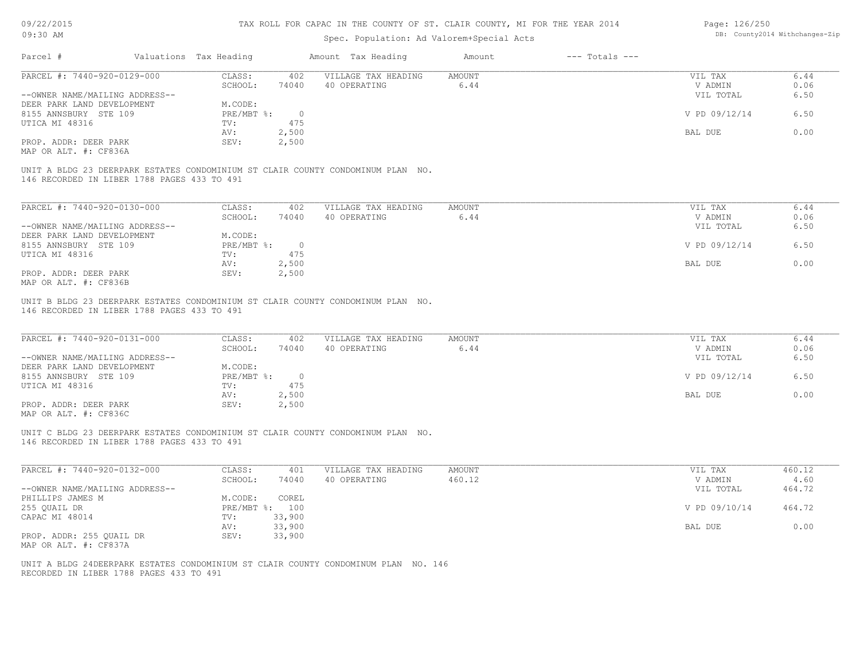| 09/22/2015 |  |
|------------|--|
| 09:30 AM   |  |

# Spec. Population: Ad Valorem+Special Acts

| Page: 126/250 |                                |
|---------------|--------------------------------|
|               | DB: County2014 Withchanges-Zip |

| .                                                   |                                             |                        |                          | Spec. Population: Ad Valorem+Special Acts                                                                      |                       |                    |                    |                      |
|-----------------------------------------------------|---------------------------------------------|------------------------|--------------------------|----------------------------------------------------------------------------------------------------------------|-----------------------|--------------------|--------------------|----------------------|
| Parcel #                                            |                                             | Valuations Tax Heading |                          | Amount Tax Heading                                                                                             | Amount                | $---$ Totals $---$ |                    |                      |
| PARCEL #: 7440-920-0129-000                         |                                             | CLASS:                 | 402                      | VILLAGE TAX HEADING                                                                                            | <b>AMOUNT</b>         |                    | VIL TAX            | 6.44                 |
|                                                     |                                             | SCHOOL:                | 74040                    | 40 OPERATING                                                                                                   | 6.44                  |                    | V ADMIN            | 0.06                 |
| --OWNER NAME/MAILING ADDRESS--                      |                                             |                        |                          |                                                                                                                |                       |                    | VIL TOTAL          | 6.50                 |
| DEER PARK LAND DEVELOPMENT                          |                                             | M.CODE:                |                          |                                                                                                                |                       |                    |                    |                      |
| 8155 ANNSBURY STE 109                               |                                             | PRE/MBT %:             | $\bigcirc$               |                                                                                                                |                       |                    | V PD 09/12/14      | 6.50                 |
| UTICA MI 48316                                      |                                             | TV:                    | 475                      |                                                                                                                |                       |                    |                    |                      |
|                                                     |                                             | AV:                    | 2,500                    |                                                                                                                |                       |                    | BAL DUE            | 0.00                 |
| PROP. ADDR: DEER PARK                               |                                             | SEV:                   | 2,500                    |                                                                                                                |                       |                    |                    |                      |
| MAP OR ALT. #: CF836A                               |                                             |                        |                          |                                                                                                                |                       |                    |                    |                      |
| PARCEL #: 7440-920-0130-000                         |                                             | CLASS:<br>SCHOOL:      | 402<br>74040             | VILLAGE TAX HEADING<br>40 OPERATING                                                                            | <b>AMOUNT</b><br>6.44 |                    | VIL TAX<br>V ADMIN | 6.44<br>0.06         |
| --OWNER NAME/MAILING ADDRESS--                      |                                             |                        |                          |                                                                                                                |                       |                    | VIL TOTAL          | 6.50                 |
| DEER PARK LAND DEVELOPMENT<br>8155 ANNSBURY STE 109 |                                             | M.CODE:<br>PRE/MBT %:  | $\overline{0}$           |                                                                                                                |                       |                    | V PD 09/12/14      | 6.50                 |
| UTICA MI 48316                                      |                                             | TV:                    | 475                      |                                                                                                                |                       |                    |                    |                      |
|                                                     |                                             | AV:                    | 2,500                    |                                                                                                                |                       |                    | BAL DUE            | 0.00                 |
| PROP. ADDR: DEER PARK                               |                                             | SEV:                   | 2,500                    |                                                                                                                |                       |                    |                    |                      |
| MAP OR ALT. #: CF836B                               |                                             |                        |                          |                                                                                                                |                       |                    |                    |                      |
|                                                     |                                             |                        |                          |                                                                                                                |                       |                    |                    |                      |
|                                                     |                                             |                        |                          | UNIT B BLDG 23 DEERPARK ESTATES CONDOMINIUM ST CLAIR COUNTY CONDOMINUM PLAN NO.                                |                       |                    |                    |                      |
|                                                     | 146 RECORDED IN LIBER 1788 PAGES 433 TO 491 |                        |                          |                                                                                                                |                       |                    |                    |                      |
|                                                     |                                             |                        |                          |                                                                                                                |                       |                    |                    |                      |
|                                                     |                                             | ------                 | $\overline{\phantom{a}}$ | interesting the component of the component of the component of the component of the component of the component | .                     |                    | ---- ----          | $\sim$ $\sim$ $\sim$ |

| PARCEL #: 7440-920-0131-000    | CLASS:     | 402   | VILLAGE TAX HEADING | AMOUNT | VIL TAX       | 6.44 |
|--------------------------------|------------|-------|---------------------|--------|---------------|------|
|                                | SCHOOL:    | 74040 | 40 OPERATING        | 6.44   | V ADMIN       | 0.06 |
| --OWNER NAME/MAILING ADDRESS-- |            |       |                     |        | VIL TOTAL     | 6.50 |
| DEER PARK LAND DEVELOPMENT     | M.CODE:    |       |                     |        |               |      |
| 8155 ANNSBURY STE 109          | PRE/MBT %: |       |                     |        | V PD 09/12/14 | 6.50 |
| UTICA MI 48316                 | TV:        | 475   |                     |        |               |      |
|                                | AV:        | 2,500 |                     |        | BAL DUE       | 0.00 |
| PROP. ADDR: DEER PARK          | SEV:       | 2,500 |                     |        |               |      |
|                                |            |       |                     |        |               |      |

MAP OR ALT. #: CF836C

146 RECORDED IN LIBER 1788 PAGES 433 TO 491 UNIT C BLDG 23 DEERPARK ESTATES CONDOMINIUM ST CLAIR COUNTY CONDOMINUM PLAN NO.

| PARCEL #: 7440-920-0132-000    | CLASS:       | 401    | VILLAGE TAX HEADING | AMOUNT | VIL TAX       | 460.12 |
|--------------------------------|--------------|--------|---------------------|--------|---------------|--------|
|                                | SCHOOL:      | 74040  | 40 OPERATING        | 460.12 | V ADMIN       | 4.60   |
| --OWNER NAME/MAILING ADDRESS-- |              |        |                     |        | VIL TOTAL     | 464.72 |
| PHILLIPS JAMES M               | M.CODE:      | COREL  |                     |        |               |        |
| 255 OUAIL DR                   | $PRE/MBT$ %: | 100    |                     |        | V PD 09/10/14 | 464.72 |
| CAPAC MI 48014                 | TV:          | 33,900 |                     |        |               |        |
|                                | AV:          | 33,900 |                     |        | BAL DUE       | 0.00   |
| PROP. ADDR: 255 QUAIL DR       | SEV:         | 33,900 |                     |        |               |        |
| MAP OR ALT. #: CF837A          |              |        |                     |        |               |        |

 $\mathcal{L}_\mathcal{L} = \mathcal{L}_\mathcal{L} = \mathcal{L}_\mathcal{L} = \mathcal{L}_\mathcal{L} = \mathcal{L}_\mathcal{L} = \mathcal{L}_\mathcal{L} = \mathcal{L}_\mathcal{L} = \mathcal{L}_\mathcal{L} = \mathcal{L}_\mathcal{L} = \mathcal{L}_\mathcal{L} = \mathcal{L}_\mathcal{L} = \mathcal{L}_\mathcal{L} = \mathcal{L}_\mathcal{L} = \mathcal{L}_\mathcal{L} = \mathcal{L}_\mathcal{L} = \mathcal{L}_\mathcal{L} = \mathcal{L}_\mathcal{L}$ 

RECORDED IN LIBER 1788 PAGES 433 TO 491 UNIT A BLDG 24DEERPARK ESTATES CONDOMINIUM ST CLAIR COUNTY CONDOMINUM PLAN NO. 146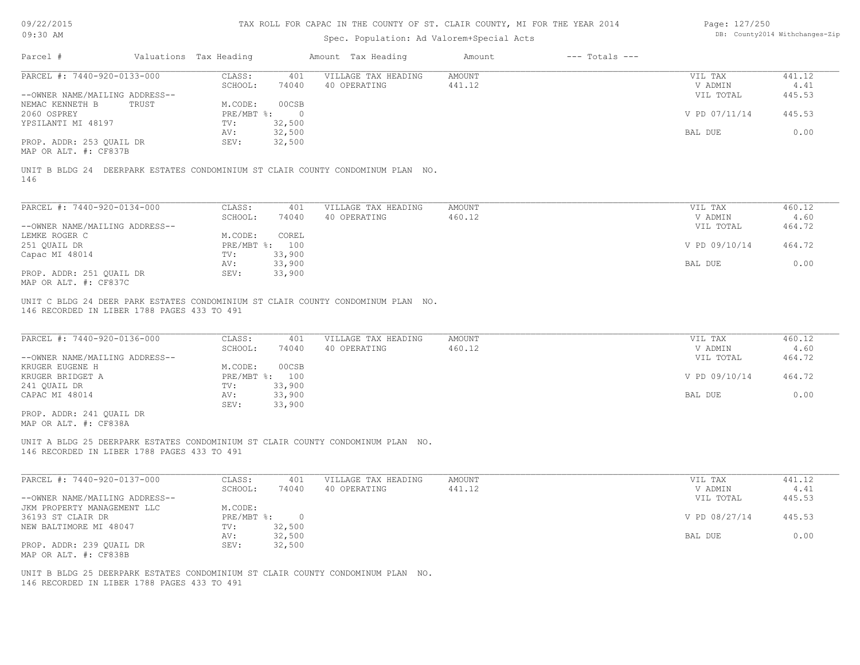| 09/22/2015                                                                                                   |       |                                           |                  | TAX ROLL FOR CAPAC IN THE COUNTY OF ST. CLAIR COUNTY, MI FOR THE YEAR 2014      |                  |                    | Page: 127/250                   |                                |  |
|--------------------------------------------------------------------------------------------------------------|-------|-------------------------------------------|------------------|---------------------------------------------------------------------------------|------------------|--------------------|---------------------------------|--------------------------------|--|
| 09:30 AM                                                                                                     |       | Spec. Population: Ad Valorem+Special Acts |                  |                                                                                 |                  |                    |                                 | DB: County2014 Withchanges-Zip |  |
| Parcel #                                                                                                     |       | Valuations Tax Heading                    |                  | Amount Tax Heading                                                              | Amount           | $---$ Totals $---$ |                                 |                                |  |
| PARCEL #: 7440-920-0133-000                                                                                  |       | CLASS:                                    | 401              | VILLAGE TAX HEADING                                                             | <b>AMOUNT</b>    |                    | VIL TAX                         | 441.12                         |  |
|                                                                                                              |       | SCHOOL:                                   | 74040            | 40 OPERATING                                                                    | 441.12           |                    | V ADMIN                         | 4.41                           |  |
| --OWNER NAME/MAILING ADDRESS--<br>NEMAC KENNETH B                                                            | TRUST | M.CODE:                                   | 00CSB            |                                                                                 |                  |                    | VIL TOTAL                       | 445.53                         |  |
| 2060 OSPREY                                                                                                  |       | PRE/MBT %:                                | $\bigcirc$       |                                                                                 |                  |                    | V PD 07/11/14                   | 445.53                         |  |
| YPSILANTI MI 48197                                                                                           |       | TV:                                       | 32,500           |                                                                                 |                  |                    |                                 |                                |  |
|                                                                                                              |       | AV:                                       | 32,500           |                                                                                 |                  |                    | BAL DUE                         | 0.00                           |  |
| PROP. ADDR: 253 QUAIL DR                                                                                     |       | SEV:                                      | 32,500           |                                                                                 |                  |                    |                                 |                                |  |
| MAP OR ALT. #: CF837B                                                                                        |       |                                           |                  |                                                                                 |                  |                    |                                 |                                |  |
| 146                                                                                                          |       |                                           |                  | UNIT B BLDG 24 DEERPARK ESTATES CONDOMINIUM ST CLAIR COUNTY CONDOMINUM PLAN NO. |                  |                    |                                 |                                |  |
| PARCEL #: 7440-920-0134-000                                                                                  |       | CLASS:                                    | 401              | VILLAGE TAX HEADING                                                             | <b>AMOUNT</b>    |                    | VIL TAX                         | 460.12                         |  |
|                                                                                                              |       | SCHOOL:                                   | 74040            | 40 OPERATING                                                                    | 460.12           |                    | V ADMIN                         | 4.60                           |  |
| --OWNER NAME/MAILING ADDRESS--                                                                               |       |                                           |                  |                                                                                 |                  |                    | VIL TOTAL                       | 464.72                         |  |
| LEMKE ROGER C                                                                                                |       | M.CODE:                                   | COREL            |                                                                                 |                  |                    |                                 |                                |  |
| 251 QUAIL DR                                                                                                 |       |                                           | PRE/MBT %: 100   |                                                                                 |                  |                    | V PD 09/10/14                   | 464.72                         |  |
| Capac MI 48014                                                                                               |       | TV:                                       | 33,900           |                                                                                 |                  |                    |                                 |                                |  |
|                                                                                                              |       | AV:                                       | 33,900           |                                                                                 |                  |                    | BAL DUE                         | 0.00                           |  |
| PROP. ADDR: 251 QUAIL DR<br>MAP OR ALT. #: CF837C                                                            |       | SEV:                                      | 33,900           |                                                                                 |                  |                    |                                 |                                |  |
| 146 RECORDED IN LIBER 1788 PAGES 433 TO 491<br>PARCEL #: 7440-920-0136-000<br>--OWNER NAME/MAILING ADDRESS-- |       | CLASS:<br>SCHOOL:                         | 401<br>74040     | VILLAGE TAX HEADING<br>40 OPERATING                                             | AMOUNT<br>460.12 |                    | VIL TAX<br>V ADMIN<br>VIL TOTAL | 460.12<br>4.60<br>464.72       |  |
| KRUGER EUGENE H                                                                                              |       | M.CODE:                                   | 00CSB            |                                                                                 |                  |                    |                                 |                                |  |
| KRUGER BRIDGET A                                                                                             |       |                                           | PRE/MBT %: 100   |                                                                                 |                  |                    | V PD 09/10/14                   | 464.72                         |  |
| 241 QUAIL DR                                                                                                 |       | TV:                                       | 33,900           |                                                                                 |                  |                    |                                 |                                |  |
| CAPAC MI 48014                                                                                               |       | AV:<br>SEV:                               | 33,900<br>33,900 |                                                                                 |                  |                    | BAL DUE                         | 0.00                           |  |
| PROP. ADDR: 241 QUAIL DR                                                                                     |       |                                           |                  |                                                                                 |                  |                    |                                 |                                |  |
| MAP OR ALT. #: CF838A                                                                                        |       |                                           |                  |                                                                                 |                  |                    |                                 |                                |  |
| 146 RECORDED IN LIBER 1788 PAGES 433 TO 491                                                                  |       |                                           |                  | UNIT A BLDG 25 DEERPARK ESTATES CONDOMINIUM ST CLAIR COUNTY CONDOMINUM PLAN NO. |                  |                    |                                 |                                |  |
|                                                                                                              |       |                                           |                  |                                                                                 |                  |                    |                                 |                                |  |
| PARCEL #: 7440-920-0137-000                                                                                  |       | CLASS:                                    | 401              | VILLAGE TAX HEADING                                                             | <b>AMOUNT</b>    |                    | VIL TAX                         | 441.12                         |  |
|                                                                                                              |       | SCHOOL:                                   | 74040            | 40 OPERATING                                                                    | 441.12           |                    | V ADMIN                         | 4.41                           |  |
| --OWNER NAME/MAILING ADDRESS--                                                                               |       |                                           |                  |                                                                                 |                  |                    | VIL TOTAL                       | 445.53                         |  |
| JKM PROPERTY MANAGEMENT LLC                                                                                  |       | M.CODE:                                   |                  |                                                                                 |                  |                    |                                 |                                |  |
| 36193 ST CLAIR DR                                                                                            |       | $PRE/MBT$ $\div$<br>TV:                   | $\overline{0}$   |                                                                                 |                  |                    | V PD 08/27/14                   | 445.53                         |  |
| NEW BALTIMORE MI 48047                                                                                       |       | AV:                                       | 32,500<br>32,500 |                                                                                 |                  |                    | BAL DUE                         | 0.00                           |  |
| PROP. ADDR: 239 QUAIL DR<br>MAP OR ALT. #: CF838B                                                            |       | SEV:                                      | 32,500           |                                                                                 |                  |                    |                                 |                                |  |

146 RECORDED IN LIBER 1788 PAGES 433 TO 491 UNIT B BLDG 25 DEERPARK ESTATES CONDOMINIUM ST CLAIR COUNTY CONDOMINUM PLAN NO.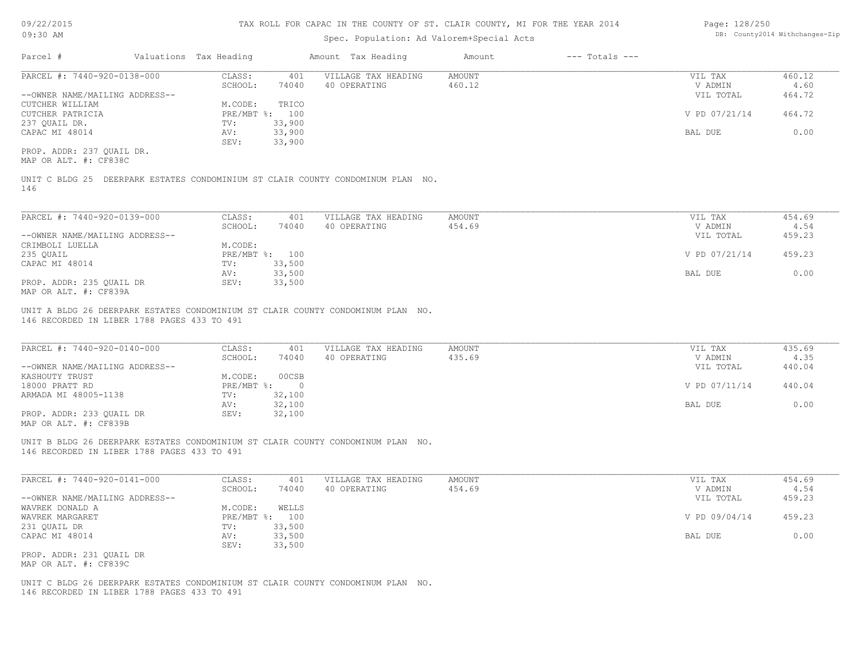### Spec. Population: Ad Valorem+Special Acts

| Page: 128/250 |                                |
|---------------|--------------------------------|
|               | DB: County2014 Withchanges-Zip |

| Parcel #                       | Valuations Tax Heading |        | Amount Tax Heading  | Amount | $---$ Totals $---$ |               |        |
|--------------------------------|------------------------|--------|---------------------|--------|--------------------|---------------|--------|
| PARCEL #: 7440-920-0138-000    | CLASS:                 | 401    | VILLAGE TAX HEADING | AMOUNT |                    | VIL TAX       | 460.12 |
|                                | SCHOOL:                | 74040  | 40 OPERATING        | 460.12 |                    | V ADMIN       | 4.60   |
| --OWNER NAME/MAILING ADDRESS-- |                        |        |                     |        |                    | VIL TOTAL     | 464.72 |
| CUTCHER WILLIAM                | M.CODE:                | TRICO  |                     |        |                    |               |        |
| CUTCHER PATRICIA               | PRE/MBT %: 100         |        |                     |        |                    | V PD 07/21/14 | 464.72 |
| 237 OUAIL DR.                  | TV:                    | 33,900 |                     |        |                    |               |        |
| CAPAC MI 48014                 | AV:                    | 33,900 |                     |        |                    | BAL DUE       | 0.00   |
|                                | SEV:                   | 33,900 |                     |        |                    |               |        |
|                                |                        |        |                     |        |                    |               |        |

MAP OR ALT. #: CF838C PROP. ADDR: 237 QUAIL DR.

146 UNIT C BLDG 25 DEERPARK ESTATES CONDOMINIUM ST CLAIR COUNTY CONDOMINUM PLAN NO.

| PARCEL #: 7440-920-0139-000    | CLASS:  | 401            | VILLAGE TAX HEADING | AMOUNT | VIL TAX       | 454.69 |
|--------------------------------|---------|----------------|---------------------|--------|---------------|--------|
|                                | SCHOOL: | 74040          | 40 OPERATING        | 454.69 | V ADMIN       | 4.54   |
| --OWNER NAME/MAILING ADDRESS-- |         |                |                     |        | VIL TOTAL     | 459.23 |
| CRIMBOLI LUELLA                | M.CODE: |                |                     |        |               |        |
| 235 QUAIL                      |         | PRE/MBT %: 100 |                     |        | V PD 07/21/14 | 459.23 |
| CAPAC MI 48014                 | TV:     | 33,500         |                     |        |               |        |
|                                | AV:     | 33,500         |                     |        | BAL DUE       | 0.00   |
| PROP. ADDR: 235 QUAIL DR       | SEV:    | 33,500         |                     |        |               |        |
| $\frac{1}{2}$                  |         |                |                     |        |               |        |

MAP OR ALT. #: CF839A

146 RECORDED IN LIBER 1788 PAGES 433 TO 491 UNIT A BLDG 26 DEERPARK ESTATES CONDOMINIUM ST CLAIR COUNTY CONDOMINUM PLAN NO.

| PARCEL #: 7440-920-0140-000    | CLASS:       | 401    | VILLAGE TAX HEADING | AMOUNT | VIL TAX       | 435.69 |
|--------------------------------|--------------|--------|---------------------|--------|---------------|--------|
|                                | SCHOOL:      | 74040  | 40 OPERATING        | 435.69 | V ADMIN       | 4.35   |
| --OWNER NAME/MAILING ADDRESS-- |              |        |                     |        | VIL TOTAL     | 440.04 |
| KASHOUTY TRUST                 | M.CODE:      | 00CSB  |                     |        |               |        |
| 18000 PRATT RD                 | $PRE/MBT$ %: | $\Box$ |                     |        | V PD 07/11/14 | 440.04 |
| ARMADA MI 48005-1138           | TV:          | 32,100 |                     |        |               |        |
|                                | AV:          | 32,100 |                     |        | BAL DUE       | 0.00   |
| PROP. ADDR: 233 OUAIL DR       | SEV:         | 32,100 |                     |        |               |        |
| MAP OR ALT. #: CF839B          |              |        |                     |        |               |        |

 $\mathcal{L}_\mathcal{L} = \mathcal{L}_\mathcal{L} = \mathcal{L}_\mathcal{L} = \mathcal{L}_\mathcal{L} = \mathcal{L}_\mathcal{L} = \mathcal{L}_\mathcal{L} = \mathcal{L}_\mathcal{L} = \mathcal{L}_\mathcal{L} = \mathcal{L}_\mathcal{L} = \mathcal{L}_\mathcal{L} = \mathcal{L}_\mathcal{L} = \mathcal{L}_\mathcal{L} = \mathcal{L}_\mathcal{L} = \mathcal{L}_\mathcal{L} = \mathcal{L}_\mathcal{L} = \mathcal{L}_\mathcal{L} = \mathcal{L}_\mathcal{L}$ 

146 RECORDED IN LIBER 1788 PAGES 433 TO 491 UNIT B BLDG 26 DEERPARK ESTATES CONDOMINIUM ST CLAIR COUNTY CONDOMINUM PLAN NO.

| PARCEL #: 7440-920-0141-000    | CLASS:       | 401    | VILLAGE TAX HEADING | AMOUNT | VIL TAX       | 454.69 |
|--------------------------------|--------------|--------|---------------------|--------|---------------|--------|
|                                | SCHOOL:      | 74040  | 40 OPERATING        | 454.69 | V ADMIN       | 4.54   |
| --OWNER NAME/MAILING ADDRESS-- |              |        |                     |        | VIL TOTAL     | 459.23 |
| WAVREK DONALD A                | M.CODE:      | WELLS  |                     |        |               |        |
| WAVREK MARGARET                | $PRE/MBT$ %: | 100    |                     |        | V PD 09/04/14 | 459.23 |
| 231 QUAIL DR                   | TV:          | 33,500 |                     |        |               |        |
| CAPAC MI 48014                 | AV:          | 33,500 |                     |        | BAL DUE       | 0.00   |
|                                | SEV:         | 33,500 |                     |        |               |        |
| PROP. ADDR: 231 OUAIL DR       |              |        |                     |        |               |        |

MAP OR ALT. #: CF839C

146 RECORDED IN LIBER 1788 PAGES 433 TO 491 UNIT C BLDG 26 DEERPARK ESTATES CONDOMINIUM ST CLAIR COUNTY CONDOMINUM PLAN NO.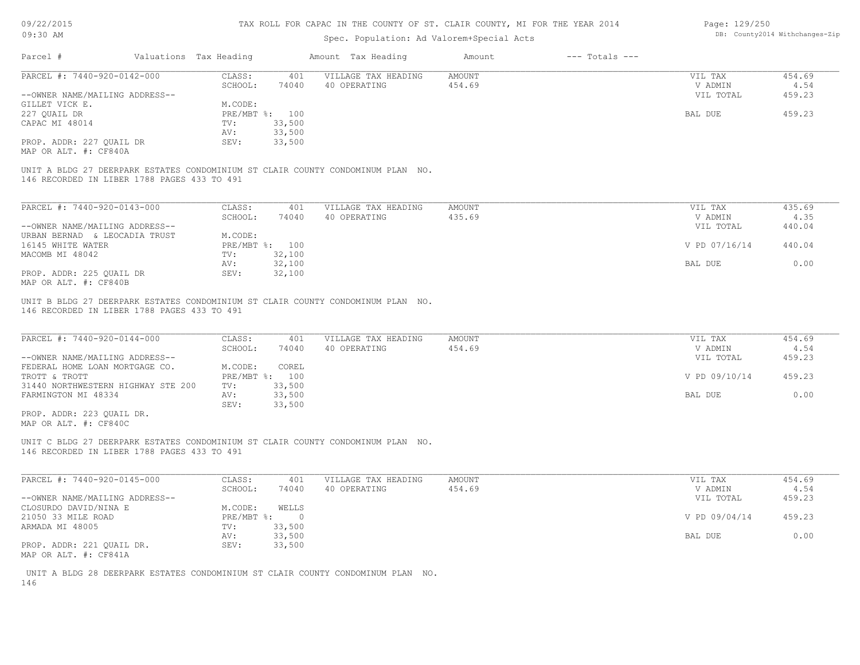| 09/22/2015 |  |
|------------|--|
| 09.30 AM   |  |

| Page: 129/250 |                                |
|---------------|--------------------------------|
|               | DB: County2014 Withchanges-Zip |

| UY: JU AM                                                                                                                      |                        |                | DD. COUNCYZUIE WICHCHANGES-AIL      |                  |                    |                    |                |
|--------------------------------------------------------------------------------------------------------------------------------|------------------------|----------------|-------------------------------------|------------------|--------------------|--------------------|----------------|
| Parcel #                                                                                                                       | Valuations Tax Heading |                | Amount Tax Heading                  | Amount           | $---$ Totals $---$ |                    |                |
| PARCEL #: 7440-920-0142-000                                                                                                    | CLASS:                 | 401            | VILLAGE TAX HEADING                 | <b>AMOUNT</b>    |                    | VIL TAX            | 454.69         |
|                                                                                                                                | SCHOOL:                | 74040          | 40 OPERATING                        | 454.69           |                    | V ADMIN            | 4.54           |
| --OWNER NAME/MAILING ADDRESS--                                                                                                 |                        |                |                                     |                  |                    | VIL TOTAL          | 459.23         |
| GILLET VICK E.                                                                                                                 | M.CODE:                |                |                                     |                  |                    |                    |                |
| 227 QUAIL DR                                                                                                                   | PRE/MBT %: 100         |                |                                     |                  |                    | BAL DUE            | 459.23         |
| CAPAC MI 48014                                                                                                                 | TV:                    | 33,500         |                                     |                  |                    |                    |                |
|                                                                                                                                | AV:                    | 33,500         |                                     |                  |                    |                    |                |
| PROP. ADDR: 227 QUAIL DR                                                                                                       | SEV:                   | 33,500         |                                     |                  |                    |                    |                |
| MAP OR ALT. #: CF840A                                                                                                          |                        |                |                                     |                  |                    |                    |                |
| UNIT A BLDG 27 DEERPARK ESTATES CONDOMINIUM ST CLAIR COUNTY CONDOMINUM PLAN NO.<br>146 RECORDED IN LIBER 1788 PAGES 433 TO 491 |                        |                |                                     |                  |                    |                    |                |
| PARCEL #: 7440-920-0143-000                                                                                                    | CLASS:                 | 401            | VILLAGE TAX HEADING                 | <b>AMOUNT</b>    |                    | VIL TAX            | 435.69         |
|                                                                                                                                | SCHOOL:                | 74040          | 40 OPERATING                        | 435.69           |                    | V ADMIN            | 4.35           |
| --OWNER NAME/MAILING ADDRESS--                                                                                                 |                        |                |                                     |                  |                    | VIL TOTAL          | 440.04         |
| URBAN BERNAD & LEOCADIA TRUST                                                                                                  | M.CODE:                |                |                                     |                  |                    |                    |                |
| 16145 WHITE WATER                                                                                                              | PRE/MBT %: 100         |                |                                     |                  |                    | V PD 07/16/14      | 440.04         |
| MACOMB MI 48042                                                                                                                | TV:                    | 32,100         |                                     |                  |                    |                    |                |
|                                                                                                                                | AV:                    | 32,100         |                                     |                  |                    | BAL DUE            | 0.00           |
| PROP. ADDR: 225 QUAIL DR                                                                                                       | SEV:                   | 32,100         |                                     |                  |                    |                    |                |
| MAP OR ALT. #: CF840B                                                                                                          |                        |                |                                     |                  |                    |                    |                |
| PARCEL #: 7440-920-0144-000                                                                                                    | CLASS:<br>SCHOOL:      | 401<br>74040   | VILLAGE TAX HEADING<br>40 OPERATING | AMOUNT<br>454.69 |                    | VIL TAX<br>V ADMIN | 454.69<br>4.54 |
| --OWNER NAME/MAILING ADDRESS--                                                                                                 |                        |                |                                     |                  |                    | VIL TOTAL          | 459.23         |
| FEDERAL HOME LOAN MORTGAGE CO.                                                                                                 | M.CODE:                | COREL          |                                     |                  |                    |                    |                |
| TROTT & TROTT                                                                                                                  | PRE/MBT %: 100         |                |                                     |                  |                    | V PD 09/10/14      | 459.23         |
| 31440 NORTHWESTERN HIGHWAY STE 200                                                                                             | TV:                    | 33,500         |                                     |                  |                    |                    |                |
| FARMINGTON MI 48334                                                                                                            | AV:                    | 33,500         |                                     |                  |                    | BAL DUE            | 0.00           |
| PROP. ADDR: 223 QUAIL DR.                                                                                                      | SEV:                   | 33,500         |                                     |                  |                    |                    |                |
| MAP OR ALT. #: CF840C                                                                                                          |                        |                |                                     |                  |                    |                    |                |
| UNIT C BLDG 27 DEERPARK ESTATES CONDOMINIUM ST CLAIR COUNTY CONDOMINUM PLAN NO.<br>146 RECORDED IN LIBER 1788 PAGES 433 TO 491 |                        |                |                                     |                  |                    |                    |                |
| PARCEL #: 7440-920-0145-000                                                                                                    | CLASS:                 | 401            | VILLAGE TAX HEADING                 | <b>AMOUNT</b>    |                    | VIL TAX            | 454.69         |
|                                                                                                                                | SCHOOL:                | 74040          | 40 OPERATING                        | 454.69           |                    | V ADMIN            | 4.54           |
| --OWNER NAME/MAILING ADDRESS--                                                                                                 |                        |                |                                     |                  |                    | VIL TOTAL          | 459.23         |
| CLOSURDO DAVID/NINA E                                                                                                          | M.CODE:                | WELLS          |                                     |                  |                    |                    |                |
| 21050 33 MILE ROAD                                                                                                             | PRE/MBT %:             | $\overline{0}$ |                                     |                  |                    | V PD 09/04/14      | 459.23         |
| ARMADA MI 48005                                                                                                                | TV:                    | 33,500         |                                     |                  |                    |                    |                |
|                                                                                                                                | AV:                    | 33,500         |                                     |                  |                    | BAL DUE            | 0.00           |
| PROP. ADDR: 221 QUAIL DR.                                                                                                      | SEV:                   | 33,500         |                                     |                  |                    |                    |                |
| MAP OR ALT. #: CF841A                                                                                                          |                        |                |                                     |                  |                    |                    |                |
|                                                                                                                                |                        |                |                                     |                  |                    |                    |                |
| UNIT A BLDG 28 DEERPARK ESTATES CONDOMINIUM ST CLAIR COUNTY CONDOMINUM PLAN NO.                                                |                        |                |                                     |                  |                    |                    |                |
| 146                                                                                                                            |                        |                |                                     |                  |                    |                    |                |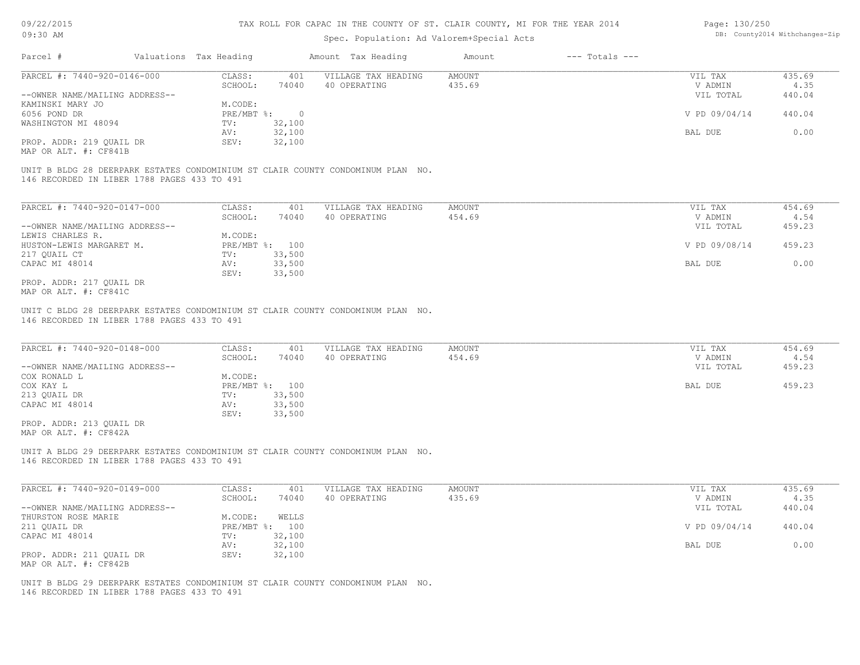#### TAX ROLL FOR CAPAC IN THE COUNTY OF ST. CLAIR COUNTY, MI FOR THE YEAR 2014

### Spec. Population: Ad Valorem+Special Acts

| Page: 130/250 |                                |
|---------------|--------------------------------|
|               | DB: County2014 Withchanges-Zip |

| Parcel #                       | Valuations Tax Heading |        | Amount Tax Heading  | Amount | $---$ Totals $---$ |               |        |
|--------------------------------|------------------------|--------|---------------------|--------|--------------------|---------------|--------|
| PARCEL #: 7440-920-0146-000    | CLASS:                 | 401    | VILLAGE TAX HEADING | AMOUNT |                    | VIL TAX       | 435.69 |
|                                | SCHOOL:                | 74040  | 40 OPERATING        | 435.69 |                    | V ADMIN       | 4.35   |
| --OWNER NAME/MAILING ADDRESS-- |                        |        |                     |        |                    | VIL TOTAL     | 440.04 |
| KAMINSKI MARY JO               | M.CODE:                |        |                     |        |                    |               |        |
| 6056 POND DR                   | PRE/MBT %:             |        |                     |        |                    | V PD 09/04/14 | 440.04 |
| WASHINGTON MI 48094            | TV:                    | 32,100 |                     |        |                    |               |        |
|                                | AV:                    | 32,100 |                     |        |                    | BAL DUE       | 0.00   |
| PROP. ADDR: 219 OUAIL DR       | SEV:                   | 32,100 |                     |        |                    |               |        |
| MAP OR ALT. #: CF841B          |                        |        |                     |        |                    |               |        |
|                                |                        |        |                     |        |                    |               |        |

146 RECORDED IN LIBER 1788 PAGES 433 TO 491 UNIT B BLDG 28 DEERPARK ESTATES CONDOMINIUM ST CLAIR COUNTY CONDOMINUM PLAN NO.

| PARCEL #: 7440-920-0147-000    | CLASS:       | 401    | VILLAGE TAX HEADING | AMOUNT | VIL TAX       | 454.69 |
|--------------------------------|--------------|--------|---------------------|--------|---------------|--------|
|                                | SCHOOL:      | 74040  | 40 OPERATING        | 454.69 | V ADMIN       | 4.54   |
| --OWNER NAME/MAILING ADDRESS-- |              |        |                     |        | VIL TOTAL     | 459.23 |
| LEWIS CHARLES R.               | M.CODE:      |        |                     |        |               |        |
| HUSTON-LEWIS MARGARET M.       | $PRE/MBT$ %: | 100    |                     |        | V PD 09/08/14 | 459.23 |
| 217 QUAIL CT                   | TV:          | 33,500 |                     |        |               |        |
| CAPAC MI 48014                 | AV:          | 33,500 |                     |        | BAL DUE       | 0.00   |
|                                | SEV:         | 33,500 |                     |        |               |        |
| PROP. ADDR: 217 QUAIL DR       |              |        |                     |        |               |        |

MAP OR ALT. #: CF841C

146 RECORDED IN LIBER 1788 PAGES 433 TO 491 UNIT C BLDG 28 DEERPARK ESTATES CONDOMINIUM ST CLAIR COUNTY CONDOMINUM PLAN NO.

| PARCEL #: 7440-920-0148-000    | CLASS:  | 401            | VILLAGE TAX HEADING | AMOUNT | VIL TAX   | 454.69 |
|--------------------------------|---------|----------------|---------------------|--------|-----------|--------|
|                                | SCHOOL: | 74040          | 40 OPERATING        | 454.69 | V ADMIN   | 4.54   |
| --OWNER NAME/MAILING ADDRESS-- |         |                |                     |        | VIL TOTAL | 459.23 |
| COX RONALD L                   | M.CODE: |                |                     |        |           |        |
| COX KAY L                      |         | PRE/MBT %: 100 |                     |        | BAL DUE   | 459.23 |
| 213 QUAIL DR                   | TV:     | 33,500         |                     |        |           |        |
| CAPAC MI 48014                 | AV:     | 33,500         |                     |        |           |        |
|                                | SEV:    | 33,500         |                     |        |           |        |
| PROP. ADDR: 213 QUAIL DR       |         |                |                     |        |           |        |
| MAP OR ALT. #: CF842A          |         |                |                     |        |           |        |

146 RECORDED IN LIBER 1788 PAGES 433 TO 491 UNIT A BLDG 29 DEERPARK ESTATES CONDOMINIUM ST CLAIR COUNTY CONDOMINUM PLAN NO.

| PARCEL #: 7440-920-0149-000    | CLASS:     | 401    | VILLAGE TAX HEADING | AMOUNT | VIL TAX       | 435.69 |
|--------------------------------|------------|--------|---------------------|--------|---------------|--------|
|                                | SCHOOL:    | 74040  | 40 OPERATING        | 435.69 | V ADMIN       | 4.35   |
| --OWNER NAME/MAILING ADDRESS-- |            |        |                     |        | VIL TOTAL     | 440.04 |
| THURSTON ROSE MARIE            | M.CODE:    | WELLS  |                     |        |               |        |
| 211 QUAIL DR                   | PRE/MBT %: | 100    |                     |        | V PD 09/04/14 | 440.04 |
| CAPAC MI 48014                 | TV:        | 32,100 |                     |        |               |        |
|                                | AV:        | 32,100 |                     |        | BAL DUE       | 0.00   |
| PROP. ADDR: 211 QUAIL DR       | SEV:       | 32,100 |                     |        |               |        |
| MAP OR ALT. #: CF842B          |            |        |                     |        |               |        |

146 RECORDED IN LIBER 1788 PAGES 433 TO 491 UNIT B BLDG 29 DEERPARK ESTATES CONDOMINIUM ST CLAIR COUNTY CONDOMINUM PLAN NO.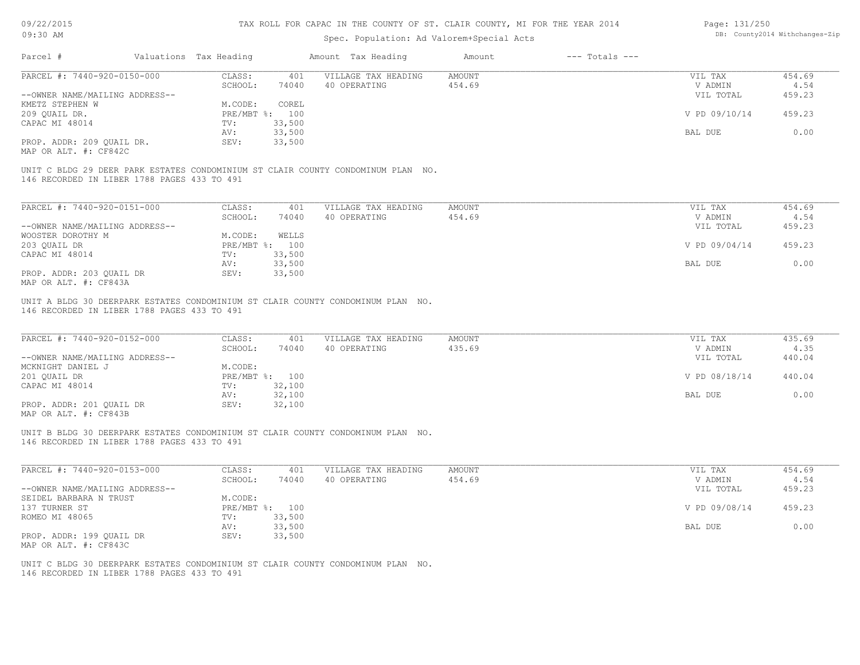| 09/22/2015                                                                                                                                                     |                        | TAX ROLL FOR CAPAC IN THE COUNTY OF ST. CLAIR COUNTY, MI FOR THE YEAR 2014 | Page: 131/250       |               |                    |               |        |
|----------------------------------------------------------------------------------------------------------------------------------------------------------------|------------------------|----------------------------------------------------------------------------|---------------------|---------------|--------------------|---------------|--------|
| 09:30 AM                                                                                                                                                       |                        | DB: County2014 Withchanges-Zip                                             |                     |               |                    |               |        |
| Parcel #                                                                                                                                                       | Valuations Tax Heading |                                                                            | Amount Tax Heading  | Amount        | $---$ Totals $---$ |               |        |
| PARCEL #: 7440-920-0150-000                                                                                                                                    | CLASS:                 | 401                                                                        | VILLAGE TAX HEADING | AMOUNT        |                    | VIL TAX       | 454.69 |
|                                                                                                                                                                | SCHOOL:                | 74040                                                                      | 40 OPERATING        | 454.69        |                    | V ADMIN       | 4.54   |
| --OWNER NAME/MAILING ADDRESS--                                                                                                                                 |                        |                                                                            |                     |               |                    | VIL TOTAL     | 459.23 |
| KMETZ STEPHEN W                                                                                                                                                | M.CODE:                | COREL                                                                      |                     |               |                    |               |        |
| 209 QUAIL DR.                                                                                                                                                  | PRE/MBT %: 100         |                                                                            |                     |               |                    | V PD 09/10/14 | 459.23 |
| CAPAC MI 48014                                                                                                                                                 | TV:                    | 33,500                                                                     |                     |               |                    |               |        |
|                                                                                                                                                                | AV:                    | 33,500                                                                     |                     |               |                    | BAL DUE       | 0.00   |
| PROP. ADDR: 209 QUAIL DR.                                                                                                                                      | SEV:                   | 33,500                                                                     |                     |               |                    |               |        |
| MAP OR ALT. #: CF842C                                                                                                                                          |                        |                                                                            |                     |               |                    |               |        |
| UNIT C BLDG 29 DEER PARK ESTATES CONDOMINIUM ST CLAIR COUNTY CONDOMINUM PLAN NO.<br>146 RECORDED IN LIBER 1788 PAGES 433 TO 491<br>PARCEL #: 7440-920-0151-000 | CLASS:                 | 401                                                                        | VILLAGE TAX HEADING | <b>AMOUNT</b> |                    | VIL TAX       | 454.69 |
|                                                                                                                                                                | SCHOOL:                | 74040                                                                      | 40 OPERATING        | 454.69        |                    | V ADMIN       | 4.54   |
| --OWNER NAME/MAILING ADDRESS--                                                                                                                                 |                        |                                                                            |                     |               |                    | VIL TOTAL     | 459.23 |
| WOOSTER DOROTHY M                                                                                                                                              | M.CODE:                | WELLS                                                                      |                     |               |                    |               |        |
| 203 QUAIL DR                                                                                                                                                   | PRE/MBT %: 100         |                                                                            |                     |               |                    | V PD 09/04/14 | 459.23 |
| CAPAC MI 48014                                                                                                                                                 | TV:                    | 33,500                                                                     |                     |               |                    |               |        |
|                                                                                                                                                                | AV:                    | 33,500                                                                     |                     |               |                    | BAL DUE       | 0.00   |
| PROP. ADDR: 203 OUAIL DR<br>MAP OR ALT. #: CF843A                                                                                                              | SEV:                   | 33,500                                                                     |                     |               |                    |               |        |
| UNIT A BLDG 30 DEERPARK ESTATES CONDOMINIUM ST CLAIR COUNTY CONDOMINUM PLAN NO.<br>146 RECORDED IN LIBER 1788 PAGES 433 TO 491                                 |                        |                                                                            |                     |               |                    |               |        |
| PARCEL #: 7440-920-0152-000                                                                                                                                    | CLASS:                 | 401                                                                        | VILLAGE TAX HEADING | AMOUNT        |                    | VIL TAX       | 435.69 |
|                                                                                                                                                                | SCHOOL:                | 74040                                                                      | 40 OPERATING        | 435.69        |                    | V ADMIN       | 4.35   |
| --OWNER NAME/MAILING ADDRESS--                                                                                                                                 |                        |                                                                            |                     |               |                    | VIL TOTAL     | 440.04 |
| MCKNIGHT DANIEL J                                                                                                                                              | M.CODE:                |                                                                            |                     |               |                    |               |        |
| 201 OUAIL DR                                                                                                                                                   | PRE/MBT %: 100         |                                                                            |                     |               |                    | V PD 08/18/14 | 440.04 |
| CAPAC MI 48014                                                                                                                                                 | TV:                    | 32,100                                                                     |                     |               |                    |               |        |
|                                                                                                                                                                | AV:                    | 32,100                                                                     |                     |               |                    | BAL DUE       | 0.00   |
| PROP. ADDR: 201 OUAIL DR<br>MAP OR ALT. #: CF843B                                                                                                              | SEV:                   | 32,100                                                                     |                     |               |                    |               |        |
| UNIT B BLDG 30 DEERPARK ESTATES CONDOMINIUM ST CLAIR COUNTY CONDOMINUM PLAN NO.<br>146 RECORDED IN LIBER 1788 PAGES 433 TO 491                                 |                        |                                                                            |                     |               |                    |               |        |
| PARCEL #: 7440-920-0153-000                                                                                                                                    | CLASS:                 | 401                                                                        | VILLAGE TAX HEADING | AMOUNT        |                    | VIL TAX       | 454.69 |
|                                                                                                                                                                | SCHOOL:                | 74040                                                                      | 40 OPERATING        | 454.69        |                    | V ADMIN       | 4.54   |
| --OWNER NAME/MAILING ADDRESS--                                                                                                                                 |                        |                                                                            |                     |               |                    | VIL TOTAL     | 459.23 |
| SEIDEL BARBARA N TRUST                                                                                                                                         | M.CODE:                |                                                                            |                     |               |                    |               |        |
| 137 TURNER ST                                                                                                                                                  | PRE/MBT %:             | 100                                                                        |                     |               |                    | V PD 09/08/14 | 459.23 |
|                                                                                                                                                                |                        |                                                                            |                     |               |                    |               |        |

AV: 33,500 BAL DUE 0.00

MAP OR ALT. #: CF843C PROP. ADDR: 199 QUAIL DR SEV: 33,500

ROMEO MI 48065 TV: 33,500<br>
AV: 33,500

146 RECORDED IN LIBER 1788 PAGES 433 TO 491 UNIT C BLDG 30 DEERPARK ESTATES CONDOMINIUM ST CLAIR COUNTY CONDOMINUM PLAN NO.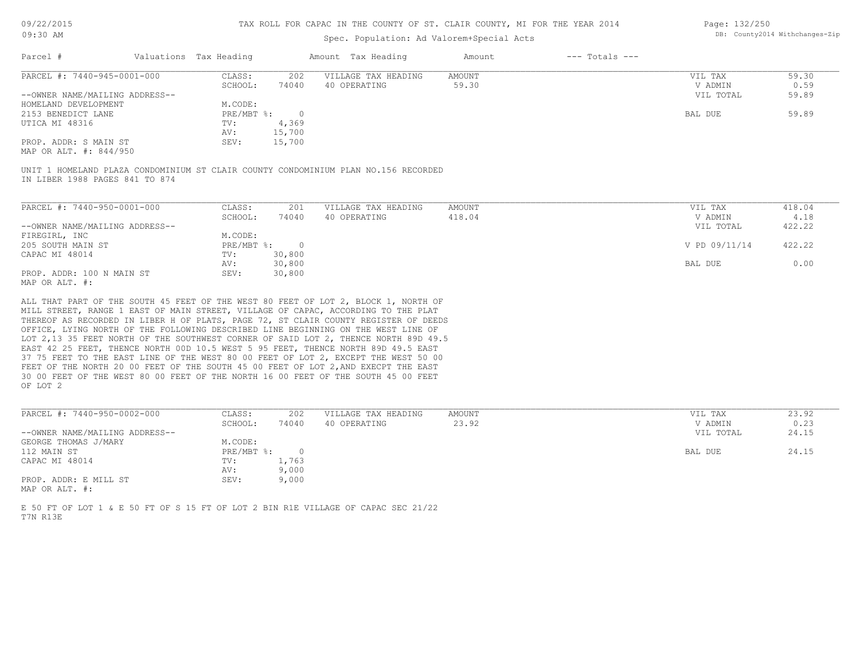# Spec. Population: Ad Valorem+Special Acts

| Page: 132/250 |                                |
|---------------|--------------------------------|
|               | DB: County2014 Withchanges-Zip |

| Parcel #                       | Valuations Tax Heading |        | Amount Tax Heading  | Amount | $---$ Totals $---$ |           |       |
|--------------------------------|------------------------|--------|---------------------|--------|--------------------|-----------|-------|
| PARCEL #: 7440-945-0001-000    | CLASS:                 | 202    | VILLAGE TAX HEADING | AMOUNT |                    | VIL TAX   | 59.30 |
|                                | SCHOOL:                | 74040  | 40 OPERATING        | 59.30  |                    | V ADMIN   | 0.59  |
| --OWNER NAME/MAILING ADDRESS-- |                        |        |                     |        |                    | VIL TOTAL | 59.89 |
| HOMELAND DEVELOPMENT           | M.CODE:                |        |                     |        |                    |           |       |
| 2153 BENEDICT LANE             | $PRE/MBT$ %:           |        |                     |        |                    | BAL DUE   | 59.89 |
| UTICA MI 48316                 | TV:                    | 4,369  |                     |        |                    |           |       |
|                                | AV:                    | 15,700 |                     |        |                    |           |       |
| PROP. ADDR: S MAIN ST          | SEV:                   | 15,700 |                     |        |                    |           |       |

MAP OR ALT. #: 844/950

IN LIBER 1988 PAGES 841 TO 874 UNIT 1 HOMELAND PLAZA CONDOMINIUM ST CLAIR COUNTY CONDOMINIUM PLAN NO.156 RECORDED

| PARCEL #: 7440-950-0001-000    | CLASS:     | 201    | VILLAGE TAX HEADING | AMOUNT | VIL TAX       | 418.04 |
|--------------------------------|------------|--------|---------------------|--------|---------------|--------|
|                                | SCHOOL:    | 74040  | 40 OPERATING        | 418.04 | V ADMIN       | 4.18   |
| --OWNER NAME/MAILING ADDRESS-- |            |        |                     |        | VIL TOTAL     | 422.22 |
| FIREGIRL, INC                  | M.CODE:    |        |                     |        |               |        |
| 205 SOUTH MAIN ST              | PRE/MBT %: |        |                     |        | V PD 09/11/14 | 422.22 |
| CAPAC MI 48014                 | TV:        | 30,800 |                     |        |               |        |
|                                | AV:        | 30,800 |                     |        | BAL DUE       | 0.00   |
| PROP. ADDR: 100 N MAIN ST      | SEV:       | 30,800 |                     |        |               |        |
| MAP OR ALT. #:                 |            |        |                     |        |               |        |

OF LOT 2 30 00 FEET OF THE WEST 80 00 FEET OF THE NORTH 16 00 FEET OF THE SOUTH 45 00 FEET FEET OF THE NORTH 20 00 FEET OF THE SOUTH 45 00 FEET OF LOT 2, AND EXECPT THE EAST 37 75 FEET TO THE EAST LINE OF THE WEST 80 00 FEET OF LOT 2, EXCEPT THE WEST 50 00 EAST 42 25 FEET, THENCE NORTH 00D 10.5 WEST 5 95 FEET, THENCE NORTH 89D 49.5 EAST LOT 2,13 35 FEET NORTH OF THE SOUTHWEST CORNER OF SAID LOT 2, THENCE NORTH 89D 49.5 OFFICE, LYING NORTH OF THE FOLLOWING DESCRIBED LINE BEGINNING ON THE WEST LINE OF THEREOF AS RECORDED IN LIBER H OF PLATS, PAGE 72, ST CLAIR COUNTY REGISTER OF DEEDS MILL STREET, RANGE 1 EAST OF MAIN STREET, VILLAGE OF CAPAC, ACCORDING TO THE PLAT ALL THAT PART OF THE SOUTH 45 FEET OF THE WEST 80 FEET OF LOT 2, BLOCK 1, NORTH OF

| PARCEL #: 7440-950-0002-000    | CLASS:     | 202   | VILLAGE TAX HEADING | AMOUNT | VIL TAX   | 23.92 |
|--------------------------------|------------|-------|---------------------|--------|-----------|-------|
|                                | SCHOOL:    | 74040 | 40 OPERATING        | 23.92  | V ADMIN   | 0.23  |
| --OWNER NAME/MAILING ADDRESS-- |            |       |                     |        | VIL TOTAL | 24.15 |
| GEORGE THOMAS J/MARY           | M.CODE:    |       |                     |        |           |       |
| 112 MAIN ST                    | PRE/MBT %: |       |                     |        | BAL DUE   | 24.15 |
| CAPAC MI 48014                 | TV:        | 1,763 |                     |        |           |       |
|                                | AV:        | 9,000 |                     |        |           |       |
| PROP. ADDR: E MILL ST          | SEV:       | 9,000 |                     |        |           |       |
| MAP OR ALT. #:                 |            |       |                     |        |           |       |

 $\mathcal{L}_\mathcal{L} = \mathcal{L}_\mathcal{L} = \mathcal{L}_\mathcal{L} = \mathcal{L}_\mathcal{L} = \mathcal{L}_\mathcal{L} = \mathcal{L}_\mathcal{L} = \mathcal{L}_\mathcal{L} = \mathcal{L}_\mathcal{L} = \mathcal{L}_\mathcal{L} = \mathcal{L}_\mathcal{L} = \mathcal{L}_\mathcal{L} = \mathcal{L}_\mathcal{L} = \mathcal{L}_\mathcal{L} = \mathcal{L}_\mathcal{L} = \mathcal{L}_\mathcal{L} = \mathcal{L}_\mathcal{L} = \mathcal{L}_\mathcal{L}$ 

T7N R13E E 50 FT OF LOT 1 & E 50 FT OF S 15 FT OF LOT 2 BIN R1E VILLAGE OF CAPAC SEC 21/22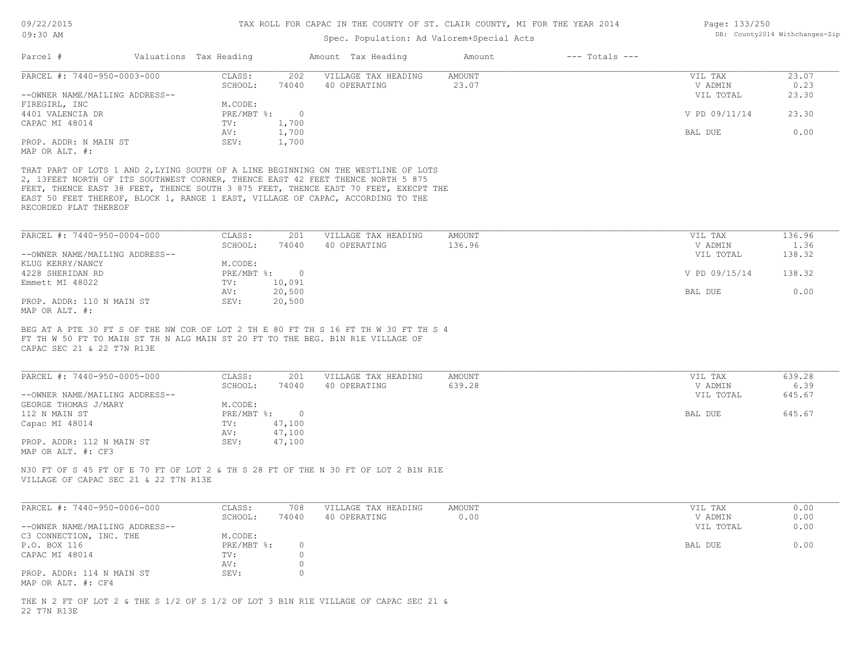| Page: 133/250 |                               |
|---------------|-------------------------------|
|               | DB: County2014 Withchanges-Zi |

| Parcel #<br>Valuations Tax Heading<br>Amount Tax Heading<br>$---$ Totals $---$<br>Amount<br>PARCEL #: 7440-950-0003-000<br>23.07<br>CLASS:<br>202<br>VILLAGE TAX HEADING<br>AMOUNT<br>VIL TAX<br>23.07<br>0.23<br>SCHOOL:<br>74040<br>40 OPERATING<br>V ADMIN<br>23.30<br>--OWNER NAME/MAILING ADDRESS--<br>VIL TOTAL<br>FIREGIRL, INC<br>M.CODE:<br>4401 VALENCIA DR<br>PRE/MBT %:<br>$\overline{0}$<br>V PD 09/11/14<br>23.30<br>1,700<br>CAPAC MI 48014<br>TV:<br>0.00<br>1,700<br>BAL DUE<br>AV:<br>PROP. ADDR: N MAIN ST<br>SEV:<br>1,700<br>MAP OR ALT. #:<br>THAT PART OF LOTS 1 AND 2, LYING SOUTH OF A LINE BEGINNING ON THE WESTLINE OF LOTS<br>2, 13FEET NORTH OF ITS SOUTHWEST CORNER, THENCE EAST 42 FEET THENCE NORTH 5 875<br>FEET, THENCE EAST 38 FEET, THENCE SOUTH 3 875 FEET, THENCE EAST 70 FEET, EXECPT THE<br>EAST 50 FEET THEREOF, BLOCK 1, RANGE 1 EAST, VILLAGE OF CAPAC, ACCORDING TO THE<br>RECORDED PLAT THEREOF<br>PARCEL #: 7440-950-0004-000<br>CLASS:<br>201<br><b>AMOUNT</b><br>136.96<br>VILLAGE TAX HEADING<br>VIL TAX<br>SCHOOL:<br>40 OPERATING<br>136.96<br>V ADMIN<br>1.36<br>74040<br>VIL TOTAL<br>138.32<br>--OWNER NAME/MAILING ADDRESS--<br>KLUG KERRY/NANCY<br>M.CODE:<br>138.32<br>4228 SHERIDAN RD<br>PRE/MBT %:<br>$\overline{0}$<br>V PD 09/15/14<br>Emmett MI 48022<br>10,091<br>TV:<br>20,500<br>0.00<br>AV:<br>BAL DUE<br>PROP. ADDR: 110 N MAIN ST<br>SEV:<br>20,500<br>MAP OR ALT. #:<br>BEG AT A PTE 30 FT S OF THE NW COR OF LOT 2 TH E 80 FT TH S 16 FT TH W 30 FT TH S 4<br>FT TH W 50 FT TO MAIN ST TH N ALG MAIN ST 20 FT TO THE BEG. B1N R1E VILLAGE OF<br>CAPAC SEC 21 & 22 T7N R13E<br>PARCEL #: 7440-950-0005-000<br>CLASS:<br>VILLAGE TAX HEADING<br><b>AMOUNT</b><br>639.28<br>201<br>VIL TAX<br>40 OPERATING<br>639.28<br>6.39<br>SCHOOL:<br>74040<br>V ADMIN<br>--OWNER NAME/MAILING ADDRESS--<br>645.67<br>VIL TOTAL<br>GEORGE THOMAS J/MARY<br>M.CODE:<br>PRE/MBT %:<br>$\overline{0}$<br>645.67<br>112 N MAIN ST<br>BAL DUE<br>Capac MI 48014<br>47,100<br>TV:<br>47,100<br>AV:<br>47,100<br>PROP. ADDR: 112 N MAIN ST<br>SEV:<br>MAP OR ALT. #: CF3<br>N30 FT OF S 45 FT OF E 70 FT OF LOT 2 & TH S 28 FT OF THE N 30 FT OF LOT 2 B1N R1E<br>VILLAGE OF CAPAC SEC 21 & 22 T7N R13E<br>PARCEL #: 7440-950-0006-000<br>0.00<br>CLASS:<br>708<br>VILLAGE TAX HEADING<br>AMOUNT<br>VIL TAX<br>0.00<br>SCHOOL:<br>74040<br>40 OPERATING<br>0.00<br>V ADMIN<br>--OWNER NAME/MAILING ADDRESS--<br>VIL TOTAL<br>0.00<br>C3 CONNECTION, INC. THE<br>M.CODE:<br>P.O. BOX 116<br>$PRE/MBT$ $\div$<br>0.00<br>$\circ$<br>BAL DUE<br>CAPAC MI 48014<br>$\circ$<br>TV:<br>$\circ$<br>AV:<br>PROP. ADDR: 114 N MAIN ST<br>SEV:<br>$\circ$<br>MAP OR ALT. #: CF4<br>THE N 2 FT OF LOT 2 & THE S 1/2 OF S 1/2 OF LOT 3 B1N R1E VILLAGE OF CAPAC SEC 21 & | $09:30$ AM  |  |  | Spec. Population: Ad Valorem+Special Acts | DB: County2014 Withchanges-Zip |  |  |
|----------------------------------------------------------------------------------------------------------------------------------------------------------------------------------------------------------------------------------------------------------------------------------------------------------------------------------------------------------------------------------------------------------------------------------------------------------------------------------------------------------------------------------------------------------------------------------------------------------------------------------------------------------------------------------------------------------------------------------------------------------------------------------------------------------------------------------------------------------------------------------------------------------------------------------------------------------------------------------------------------------------------------------------------------------------------------------------------------------------------------------------------------------------------------------------------------------------------------------------------------------------------------------------------------------------------------------------------------------------------------------------------------------------------------------------------------------------------------------------------------------------------------------------------------------------------------------------------------------------------------------------------------------------------------------------------------------------------------------------------------------------------------------------------------------------------------------------------------------------------------------------------------------------------------------------------------------------------------------------------------------------------------------------------------------------------------------------------------------------------------------------------------------------------------------------------------------------------------------------------------------------------------------------------------------------------------------------------------------------------------------------------------------------------------------------------------------------------------------------------------------------------------------------------------------------------------------------------------------------------------------------------------------------------------------------------------------------------------------------------------------------------------------------------------------------|-------------|--|--|-------------------------------------------|--------------------------------|--|--|
|                                                                                                                                                                                                                                                                                                                                                                                                                                                                                                                                                                                                                                                                                                                                                                                                                                                                                                                                                                                                                                                                                                                                                                                                                                                                                                                                                                                                                                                                                                                                                                                                                                                                                                                                                                                                                                                                                                                                                                                                                                                                                                                                                                                                                                                                                                                                                                                                                                                                                                                                                                                                                                                                                                                                                                                                                |             |  |  |                                           |                                |  |  |
|                                                                                                                                                                                                                                                                                                                                                                                                                                                                                                                                                                                                                                                                                                                                                                                                                                                                                                                                                                                                                                                                                                                                                                                                                                                                                                                                                                                                                                                                                                                                                                                                                                                                                                                                                                                                                                                                                                                                                                                                                                                                                                                                                                                                                                                                                                                                                                                                                                                                                                                                                                                                                                                                                                                                                                                                                |             |  |  |                                           |                                |  |  |
|                                                                                                                                                                                                                                                                                                                                                                                                                                                                                                                                                                                                                                                                                                                                                                                                                                                                                                                                                                                                                                                                                                                                                                                                                                                                                                                                                                                                                                                                                                                                                                                                                                                                                                                                                                                                                                                                                                                                                                                                                                                                                                                                                                                                                                                                                                                                                                                                                                                                                                                                                                                                                                                                                                                                                                                                                |             |  |  |                                           |                                |  |  |
|                                                                                                                                                                                                                                                                                                                                                                                                                                                                                                                                                                                                                                                                                                                                                                                                                                                                                                                                                                                                                                                                                                                                                                                                                                                                                                                                                                                                                                                                                                                                                                                                                                                                                                                                                                                                                                                                                                                                                                                                                                                                                                                                                                                                                                                                                                                                                                                                                                                                                                                                                                                                                                                                                                                                                                                                                |             |  |  |                                           |                                |  |  |
|                                                                                                                                                                                                                                                                                                                                                                                                                                                                                                                                                                                                                                                                                                                                                                                                                                                                                                                                                                                                                                                                                                                                                                                                                                                                                                                                                                                                                                                                                                                                                                                                                                                                                                                                                                                                                                                                                                                                                                                                                                                                                                                                                                                                                                                                                                                                                                                                                                                                                                                                                                                                                                                                                                                                                                                                                |             |  |  |                                           |                                |  |  |
|                                                                                                                                                                                                                                                                                                                                                                                                                                                                                                                                                                                                                                                                                                                                                                                                                                                                                                                                                                                                                                                                                                                                                                                                                                                                                                                                                                                                                                                                                                                                                                                                                                                                                                                                                                                                                                                                                                                                                                                                                                                                                                                                                                                                                                                                                                                                                                                                                                                                                                                                                                                                                                                                                                                                                                                                                |             |  |  |                                           |                                |  |  |
|                                                                                                                                                                                                                                                                                                                                                                                                                                                                                                                                                                                                                                                                                                                                                                                                                                                                                                                                                                                                                                                                                                                                                                                                                                                                                                                                                                                                                                                                                                                                                                                                                                                                                                                                                                                                                                                                                                                                                                                                                                                                                                                                                                                                                                                                                                                                                                                                                                                                                                                                                                                                                                                                                                                                                                                                                |             |  |  |                                           |                                |  |  |
|                                                                                                                                                                                                                                                                                                                                                                                                                                                                                                                                                                                                                                                                                                                                                                                                                                                                                                                                                                                                                                                                                                                                                                                                                                                                                                                                                                                                                                                                                                                                                                                                                                                                                                                                                                                                                                                                                                                                                                                                                                                                                                                                                                                                                                                                                                                                                                                                                                                                                                                                                                                                                                                                                                                                                                                                                |             |  |  |                                           |                                |  |  |
|                                                                                                                                                                                                                                                                                                                                                                                                                                                                                                                                                                                                                                                                                                                                                                                                                                                                                                                                                                                                                                                                                                                                                                                                                                                                                                                                                                                                                                                                                                                                                                                                                                                                                                                                                                                                                                                                                                                                                                                                                                                                                                                                                                                                                                                                                                                                                                                                                                                                                                                                                                                                                                                                                                                                                                                                                |             |  |  |                                           |                                |  |  |
|                                                                                                                                                                                                                                                                                                                                                                                                                                                                                                                                                                                                                                                                                                                                                                                                                                                                                                                                                                                                                                                                                                                                                                                                                                                                                                                                                                                                                                                                                                                                                                                                                                                                                                                                                                                                                                                                                                                                                                                                                                                                                                                                                                                                                                                                                                                                                                                                                                                                                                                                                                                                                                                                                                                                                                                                                |             |  |  |                                           |                                |  |  |
|                                                                                                                                                                                                                                                                                                                                                                                                                                                                                                                                                                                                                                                                                                                                                                                                                                                                                                                                                                                                                                                                                                                                                                                                                                                                                                                                                                                                                                                                                                                                                                                                                                                                                                                                                                                                                                                                                                                                                                                                                                                                                                                                                                                                                                                                                                                                                                                                                                                                                                                                                                                                                                                                                                                                                                                                                |             |  |  |                                           |                                |  |  |
|                                                                                                                                                                                                                                                                                                                                                                                                                                                                                                                                                                                                                                                                                                                                                                                                                                                                                                                                                                                                                                                                                                                                                                                                                                                                                                                                                                                                                                                                                                                                                                                                                                                                                                                                                                                                                                                                                                                                                                                                                                                                                                                                                                                                                                                                                                                                                                                                                                                                                                                                                                                                                                                                                                                                                                                                                |             |  |  |                                           |                                |  |  |
|                                                                                                                                                                                                                                                                                                                                                                                                                                                                                                                                                                                                                                                                                                                                                                                                                                                                                                                                                                                                                                                                                                                                                                                                                                                                                                                                                                                                                                                                                                                                                                                                                                                                                                                                                                                                                                                                                                                                                                                                                                                                                                                                                                                                                                                                                                                                                                                                                                                                                                                                                                                                                                                                                                                                                                                                                |             |  |  |                                           |                                |  |  |
|                                                                                                                                                                                                                                                                                                                                                                                                                                                                                                                                                                                                                                                                                                                                                                                                                                                                                                                                                                                                                                                                                                                                                                                                                                                                                                                                                                                                                                                                                                                                                                                                                                                                                                                                                                                                                                                                                                                                                                                                                                                                                                                                                                                                                                                                                                                                                                                                                                                                                                                                                                                                                                                                                                                                                                                                                |             |  |  |                                           |                                |  |  |
|                                                                                                                                                                                                                                                                                                                                                                                                                                                                                                                                                                                                                                                                                                                                                                                                                                                                                                                                                                                                                                                                                                                                                                                                                                                                                                                                                                                                                                                                                                                                                                                                                                                                                                                                                                                                                                                                                                                                                                                                                                                                                                                                                                                                                                                                                                                                                                                                                                                                                                                                                                                                                                                                                                                                                                                                                |             |  |  |                                           |                                |  |  |
|                                                                                                                                                                                                                                                                                                                                                                                                                                                                                                                                                                                                                                                                                                                                                                                                                                                                                                                                                                                                                                                                                                                                                                                                                                                                                                                                                                                                                                                                                                                                                                                                                                                                                                                                                                                                                                                                                                                                                                                                                                                                                                                                                                                                                                                                                                                                                                                                                                                                                                                                                                                                                                                                                                                                                                                                                |             |  |  |                                           |                                |  |  |
|                                                                                                                                                                                                                                                                                                                                                                                                                                                                                                                                                                                                                                                                                                                                                                                                                                                                                                                                                                                                                                                                                                                                                                                                                                                                                                                                                                                                                                                                                                                                                                                                                                                                                                                                                                                                                                                                                                                                                                                                                                                                                                                                                                                                                                                                                                                                                                                                                                                                                                                                                                                                                                                                                                                                                                                                                |             |  |  |                                           |                                |  |  |
|                                                                                                                                                                                                                                                                                                                                                                                                                                                                                                                                                                                                                                                                                                                                                                                                                                                                                                                                                                                                                                                                                                                                                                                                                                                                                                                                                                                                                                                                                                                                                                                                                                                                                                                                                                                                                                                                                                                                                                                                                                                                                                                                                                                                                                                                                                                                                                                                                                                                                                                                                                                                                                                                                                                                                                                                                |             |  |  |                                           |                                |  |  |
|                                                                                                                                                                                                                                                                                                                                                                                                                                                                                                                                                                                                                                                                                                                                                                                                                                                                                                                                                                                                                                                                                                                                                                                                                                                                                                                                                                                                                                                                                                                                                                                                                                                                                                                                                                                                                                                                                                                                                                                                                                                                                                                                                                                                                                                                                                                                                                                                                                                                                                                                                                                                                                                                                                                                                                                                                |             |  |  |                                           |                                |  |  |
|                                                                                                                                                                                                                                                                                                                                                                                                                                                                                                                                                                                                                                                                                                                                                                                                                                                                                                                                                                                                                                                                                                                                                                                                                                                                                                                                                                                                                                                                                                                                                                                                                                                                                                                                                                                                                                                                                                                                                                                                                                                                                                                                                                                                                                                                                                                                                                                                                                                                                                                                                                                                                                                                                                                                                                                                                |             |  |  |                                           |                                |  |  |
|                                                                                                                                                                                                                                                                                                                                                                                                                                                                                                                                                                                                                                                                                                                                                                                                                                                                                                                                                                                                                                                                                                                                                                                                                                                                                                                                                                                                                                                                                                                                                                                                                                                                                                                                                                                                                                                                                                                                                                                                                                                                                                                                                                                                                                                                                                                                                                                                                                                                                                                                                                                                                                                                                                                                                                                                                |             |  |  |                                           |                                |  |  |
|                                                                                                                                                                                                                                                                                                                                                                                                                                                                                                                                                                                                                                                                                                                                                                                                                                                                                                                                                                                                                                                                                                                                                                                                                                                                                                                                                                                                                                                                                                                                                                                                                                                                                                                                                                                                                                                                                                                                                                                                                                                                                                                                                                                                                                                                                                                                                                                                                                                                                                                                                                                                                                                                                                                                                                                                                |             |  |  |                                           |                                |  |  |
|                                                                                                                                                                                                                                                                                                                                                                                                                                                                                                                                                                                                                                                                                                                                                                                                                                                                                                                                                                                                                                                                                                                                                                                                                                                                                                                                                                                                                                                                                                                                                                                                                                                                                                                                                                                                                                                                                                                                                                                                                                                                                                                                                                                                                                                                                                                                                                                                                                                                                                                                                                                                                                                                                                                                                                                                                |             |  |  |                                           |                                |  |  |
|                                                                                                                                                                                                                                                                                                                                                                                                                                                                                                                                                                                                                                                                                                                                                                                                                                                                                                                                                                                                                                                                                                                                                                                                                                                                                                                                                                                                                                                                                                                                                                                                                                                                                                                                                                                                                                                                                                                                                                                                                                                                                                                                                                                                                                                                                                                                                                                                                                                                                                                                                                                                                                                                                                                                                                                                                |             |  |  |                                           |                                |  |  |
|                                                                                                                                                                                                                                                                                                                                                                                                                                                                                                                                                                                                                                                                                                                                                                                                                                                                                                                                                                                                                                                                                                                                                                                                                                                                                                                                                                                                                                                                                                                                                                                                                                                                                                                                                                                                                                                                                                                                                                                                                                                                                                                                                                                                                                                                                                                                                                                                                                                                                                                                                                                                                                                                                                                                                                                                                |             |  |  |                                           |                                |  |  |
|                                                                                                                                                                                                                                                                                                                                                                                                                                                                                                                                                                                                                                                                                                                                                                                                                                                                                                                                                                                                                                                                                                                                                                                                                                                                                                                                                                                                                                                                                                                                                                                                                                                                                                                                                                                                                                                                                                                                                                                                                                                                                                                                                                                                                                                                                                                                                                                                                                                                                                                                                                                                                                                                                                                                                                                                                |             |  |  |                                           |                                |  |  |
|                                                                                                                                                                                                                                                                                                                                                                                                                                                                                                                                                                                                                                                                                                                                                                                                                                                                                                                                                                                                                                                                                                                                                                                                                                                                                                                                                                                                                                                                                                                                                                                                                                                                                                                                                                                                                                                                                                                                                                                                                                                                                                                                                                                                                                                                                                                                                                                                                                                                                                                                                                                                                                                                                                                                                                                                                |             |  |  |                                           |                                |  |  |
|                                                                                                                                                                                                                                                                                                                                                                                                                                                                                                                                                                                                                                                                                                                                                                                                                                                                                                                                                                                                                                                                                                                                                                                                                                                                                                                                                                                                                                                                                                                                                                                                                                                                                                                                                                                                                                                                                                                                                                                                                                                                                                                                                                                                                                                                                                                                                                                                                                                                                                                                                                                                                                                                                                                                                                                                                |             |  |  |                                           |                                |  |  |
|                                                                                                                                                                                                                                                                                                                                                                                                                                                                                                                                                                                                                                                                                                                                                                                                                                                                                                                                                                                                                                                                                                                                                                                                                                                                                                                                                                                                                                                                                                                                                                                                                                                                                                                                                                                                                                                                                                                                                                                                                                                                                                                                                                                                                                                                                                                                                                                                                                                                                                                                                                                                                                                                                                                                                                                                                |             |  |  |                                           |                                |  |  |
|                                                                                                                                                                                                                                                                                                                                                                                                                                                                                                                                                                                                                                                                                                                                                                                                                                                                                                                                                                                                                                                                                                                                                                                                                                                                                                                                                                                                                                                                                                                                                                                                                                                                                                                                                                                                                                                                                                                                                                                                                                                                                                                                                                                                                                                                                                                                                                                                                                                                                                                                                                                                                                                                                                                                                                                                                |             |  |  |                                           |                                |  |  |
|                                                                                                                                                                                                                                                                                                                                                                                                                                                                                                                                                                                                                                                                                                                                                                                                                                                                                                                                                                                                                                                                                                                                                                                                                                                                                                                                                                                                                                                                                                                                                                                                                                                                                                                                                                                                                                                                                                                                                                                                                                                                                                                                                                                                                                                                                                                                                                                                                                                                                                                                                                                                                                                                                                                                                                                                                |             |  |  |                                           |                                |  |  |
|                                                                                                                                                                                                                                                                                                                                                                                                                                                                                                                                                                                                                                                                                                                                                                                                                                                                                                                                                                                                                                                                                                                                                                                                                                                                                                                                                                                                                                                                                                                                                                                                                                                                                                                                                                                                                                                                                                                                                                                                                                                                                                                                                                                                                                                                                                                                                                                                                                                                                                                                                                                                                                                                                                                                                                                                                |             |  |  |                                           |                                |  |  |
|                                                                                                                                                                                                                                                                                                                                                                                                                                                                                                                                                                                                                                                                                                                                                                                                                                                                                                                                                                                                                                                                                                                                                                                                                                                                                                                                                                                                                                                                                                                                                                                                                                                                                                                                                                                                                                                                                                                                                                                                                                                                                                                                                                                                                                                                                                                                                                                                                                                                                                                                                                                                                                                                                                                                                                                                                | 22 T7N R13E |  |  |                                           |                                |  |  |
|                                                                                                                                                                                                                                                                                                                                                                                                                                                                                                                                                                                                                                                                                                                                                                                                                                                                                                                                                                                                                                                                                                                                                                                                                                                                                                                                                                                                                                                                                                                                                                                                                                                                                                                                                                                                                                                                                                                                                                                                                                                                                                                                                                                                                                                                                                                                                                                                                                                                                                                                                                                                                                                                                                                                                                                                                |             |  |  |                                           |                                |  |  |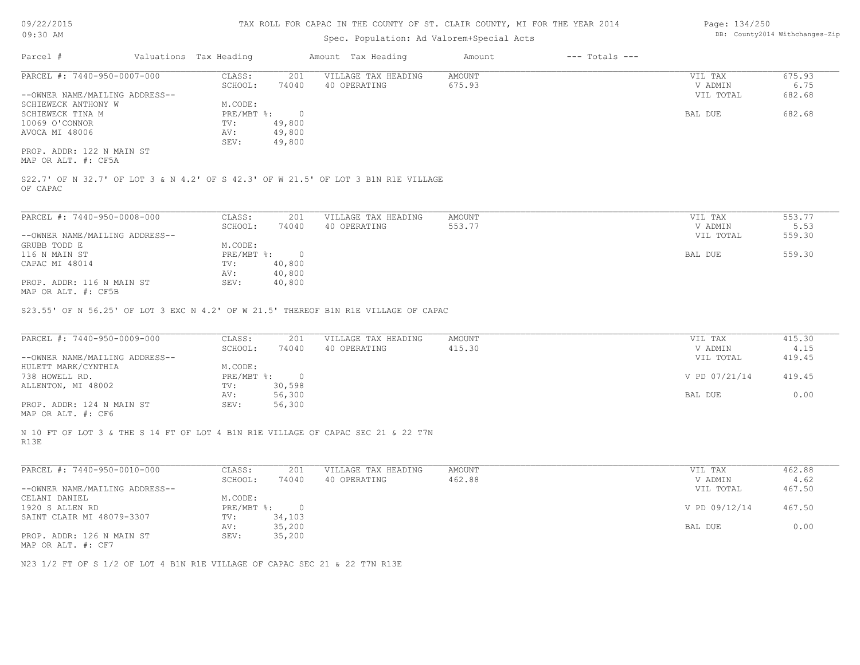#### TAX ROLL FOR CAPAC IN THE COUNTY OF ST. CLAIR COUNTY, MI FOR THE YEAR 2014

#### Spec. Population: Ad Valorem+Special Acts

| Page: 134/250 |                                |
|---------------|--------------------------------|
|               | DB: County2014 Withchanges-Zip |

| Parcel #                       | Valuations Tax Heading |        | Amount Tax Heading                                                                 | Amount | $---$ Totals $---$ |           |        |
|--------------------------------|------------------------|--------|------------------------------------------------------------------------------------|--------|--------------------|-----------|--------|
| PARCEL #: 7440-950-0007-000    | CLASS:                 | 201    | VILLAGE TAX HEADING                                                                | AMOUNT |                    | VIL TAX   | 675.93 |
|                                | SCHOOL:                | 74040  | 40 OPERATING                                                                       | 675.93 |                    | V ADMIN   | 6.75   |
| --OWNER NAME/MAILING ADDRESS-- |                        |        |                                                                                    |        |                    | VIL TOTAL | 682.68 |
| SCHIEWECK ANTHONY W            | M.CODE:                |        |                                                                                    |        |                    |           |        |
| SCHIEWECK TINA M               | $PRE/MBT$ %:           |        |                                                                                    |        |                    | BAL DUE   | 682.68 |
| 10069 O'CONNOR                 | TV:                    | 49,800 |                                                                                    |        |                    |           |        |
| AVOCA MI 48006                 | AV:                    | 49,800 |                                                                                    |        |                    |           |        |
|                                | SEV:                   | 49,800 |                                                                                    |        |                    |           |        |
| PROP. ADDR: 122 N MAIN ST      |                        |        |                                                                                    |        |                    |           |        |
| MAP OR ALT. #: CF5A            |                        |        |                                                                                    |        |                    |           |        |
|                                |                        |        |                                                                                    |        |                    |           |        |
|                                |                        |        | S22.7' OF N 32.7' OF LOT 3 & N 4.2' OF S 42.3' OF W 21.5' OF LOT 3 B1N R1E VILLAGE |        |                    |           |        |
| OF CAPAC                       |                        |        |                                                                                    |        |                    |           |        |

MAP OR ALT. #: CF5B PROP. ADDR: 116 N MAIN ST SEV: 40,800 AV: 40,800 CAPAC MI 48014 TV: 40,800 116 N MAIN ST PRE/MBT %: 0 BAL DUE 559.30 GRUBB TODD E M.CODE:<br>116 N MAIN ST PRE/MBT %: --OWNER NAME/MAILING ADDRESS-- VIL TOTAL 559.30 SCHOOL: 74040 40 OPERATING 553.77 5.53 and 5.53 and 5.53 53 and 5.53 and 5.53 for the set of the set of the set of the set of the set of the set of the set of the set of the set of the set of the set of the set of the set PARCEL #: 7440-950-0008-000 CLASS: 201 VILLAGE TAX HEADING AMOUNT VIL TAX 553.77 VIL TAX 553.77 553.77 VIL TAX 553.77  $\mathcal{L}_\mathcal{L} = \mathcal{L}_\mathcal{L} = \mathcal{L}_\mathcal{L} = \mathcal{L}_\mathcal{L} = \mathcal{L}_\mathcal{L} = \mathcal{L}_\mathcal{L} = \mathcal{L}_\mathcal{L} = \mathcal{L}_\mathcal{L} = \mathcal{L}_\mathcal{L} = \mathcal{L}_\mathcal{L} = \mathcal{L}_\mathcal{L} = \mathcal{L}_\mathcal{L} = \mathcal{L}_\mathcal{L} = \mathcal{L}_\mathcal{L} = \mathcal{L}_\mathcal{L} = \mathcal{L}_\mathcal{L} = \mathcal{L}_\mathcal{L}$ 

S23.55' OF N 56.25' OF LOT 3 EXC N 4.2' OF W 21.5' THEREOF B1N R1E VILLAGE OF CAPAC

| PARCEL #: 7440-950-0009-000    | CLASS:     | 201    | VILLAGE TAX HEADING | AMOUNT | VIL TAX       | 415.30 |
|--------------------------------|------------|--------|---------------------|--------|---------------|--------|
|                                | SCHOOL:    | 74040  | 40 OPERATING        | 415.30 | V ADMIN       | 4.15   |
| --OWNER NAME/MAILING ADDRESS-- |            |        |                     |        | VIL TOTAL     | 419.45 |
| HULETT MARK/CYNTHIA            | M.CODE:    |        |                     |        |               |        |
| 738 HOWELL RD.                 | PRE/MBT %: |        |                     |        | V PD 07/21/14 | 419.45 |
| ALLENTON, MI 48002             | TV:        | 30,598 |                     |        |               |        |
|                                | AV:        | 56,300 |                     |        | BAL DUE       | 0.00   |
| PROP. ADDR: 124 N MAIN ST      | SEV:       | 56,300 |                     |        |               |        |
|                                |            |        |                     |        |               |        |

MAP OR ALT. #: CF6

R13E N 10 FT OF LOT 3 & THE S 14 FT OF LOT 4 B1N R1E VILLAGE OF CAPAC SEC 21 & 22 T7N

| PARCEL #: 7440-950-0010-000    | CLASS:     | 201      | VILLAGE TAX HEADING | AMOUNT | VIL TAX       | 462.88 |
|--------------------------------|------------|----------|---------------------|--------|---------------|--------|
|                                | SCHOOL:    | 74040    | 40 OPERATING        | 462.88 | V ADMIN       | 4.62   |
| --OWNER NAME/MAILING ADDRESS-- |            |          |                     |        | VIL TOTAL     | 467.50 |
| CELANI DANIEL                  | M.CODE:    |          |                     |        |               |        |
| 1920 S ALLEN RD                | PRE/MBT %: | $\Omega$ |                     |        | V PD 09/12/14 | 467.50 |
| SAINT CLAIR MI 48079-3307      | TV:        | 34,103   |                     |        |               |        |
|                                | AV:        | 35,200   |                     |        | BAL DUE       | 0.00   |
| PROP. ADDR: 126 N MAIN ST      | SEV:       | 35,200   |                     |        |               |        |
| MAP OR ALT. #: CF7             |            |          |                     |        |               |        |

 $\mathcal{L}_\mathcal{L} = \mathcal{L}_\mathcal{L} = \mathcal{L}_\mathcal{L} = \mathcal{L}_\mathcal{L} = \mathcal{L}_\mathcal{L} = \mathcal{L}_\mathcal{L} = \mathcal{L}_\mathcal{L} = \mathcal{L}_\mathcal{L} = \mathcal{L}_\mathcal{L} = \mathcal{L}_\mathcal{L} = \mathcal{L}_\mathcal{L} = \mathcal{L}_\mathcal{L} = \mathcal{L}_\mathcal{L} = \mathcal{L}_\mathcal{L} = \mathcal{L}_\mathcal{L} = \mathcal{L}_\mathcal{L} = \mathcal{L}_\mathcal{L}$ 

N23 1/2 FT OF S 1/2 OF LOT 4 B1N R1E VILLAGE OF CAPAC SEC 21 & 22 T7N R13E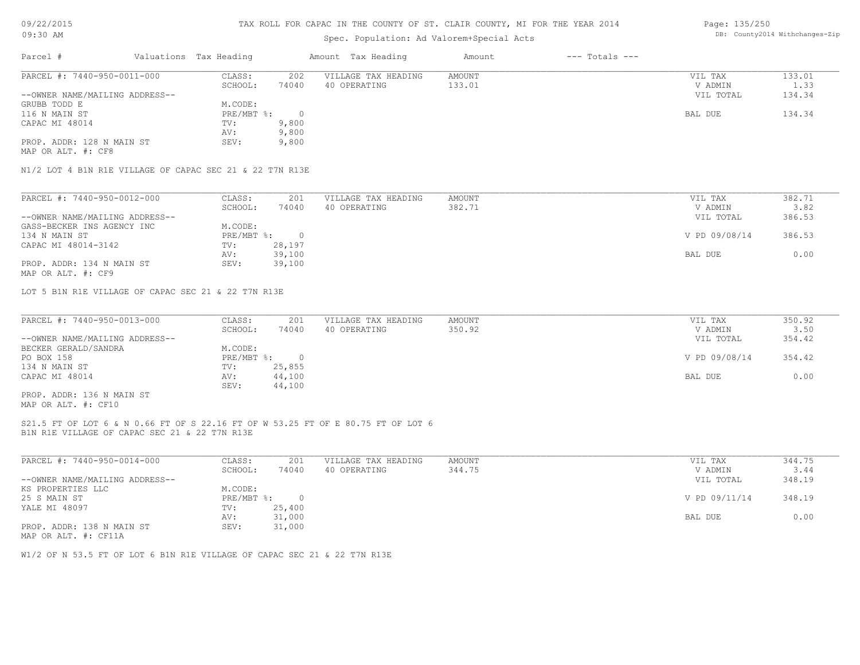### TAX ROLL FOR CAPAC IN THE COUNTY OF ST. CLAIR COUNTY, MI FOR THE YEAR 2014

# Spec. Population: Ad Valorem+Special Acts

| Parcel #                       | Valuations Tax Heading |       | Amount Tax Heading  | Amount | $---$ Totals $---$ |           |        |
|--------------------------------|------------------------|-------|---------------------|--------|--------------------|-----------|--------|
| PARCEL #: 7440-950-0011-000    | CLASS:                 | 202   | VILLAGE TAX HEADING | AMOUNT |                    | VIL TAX   | 133.01 |
|                                | SCHOOL:                | 74040 | 40 OPERATING        | 133.01 |                    | V ADMIN   | 1.33   |
| --OWNER NAME/MAILING ADDRESS-- |                        |       |                     |        |                    | VIL TOTAL | 134.34 |
| GRUBB TODD E                   | M.CODE:                |       |                     |        |                    |           |        |
| 116 N MAIN ST                  | PRE/MBT %:             |       |                     |        |                    | BAL DUE   | 134.34 |
| CAPAC MI 48014                 | TV:                    | 9,800 |                     |        |                    |           |        |
|                                | AV:                    | 9,800 |                     |        |                    |           |        |
| PROP. ADDR: 128 N MAIN ST      | SEV:                   | 9,800 |                     |        |                    |           |        |
| MAP OR ALT. #: CF8             |                        |       |                     |        |                    |           |        |

N1/2 LOT 4 B1N R1E VILLAGE OF CAPAC SEC 21 & 22 T7N R13E

| PARCEL #: 7440-950-0012-000    | CLASS:     | 201    | VILLAGE TAX HEADING | AMOUNT | VIL TAX       | 382.71 |
|--------------------------------|------------|--------|---------------------|--------|---------------|--------|
|                                | SCHOOL:    | 74040  | 40 OPERATING        | 382.71 | V ADMIN       | 3.82   |
| --OWNER NAME/MAILING ADDRESS-- |            |        |                     |        | VIL TOTAL     | 386.53 |
| GASS-BECKER INS AGENCY INC     | M.CODE:    |        |                     |        |               |        |
| 134 N MAIN ST                  | PRE/MBT %: |        |                     |        | V PD 09/08/14 | 386.53 |
| CAPAC MI 48014-3142            | TV:        | 28,197 |                     |        |               |        |
|                                | AV:        | 39,100 |                     |        | BAL DUE       | 0.00   |
| PROP. ADDR: 134 N MAIN ST      | SEV:       | 39,100 |                     |        |               |        |
| MAP OR ALT. #: CF9             |            |        |                     |        |               |        |

LOT 5 B1N R1E VILLAGE OF CAPAC SEC 21 & 22 T7N R13E

| PARCEL #: 7440-950-0013-000    | CLASS:     | 201    | VILLAGE TAX HEADING | AMOUNT | VIL TAX       | 350.92 |
|--------------------------------|------------|--------|---------------------|--------|---------------|--------|
|                                | SCHOOL:    | 74040  | 40 OPERATING        | 350.92 | V ADMIN       | 3.50   |
| --OWNER NAME/MAILING ADDRESS-- |            |        |                     |        | VIL TOTAL     | 354.42 |
| BECKER GERALD/SANDRA           | M.CODE:    |        |                     |        |               |        |
| PO BOX 158                     | PRE/MBT %: |        |                     |        | V PD 09/08/14 | 354.42 |
| 134 N MAIN ST                  | TV:        | 25,855 |                     |        |               |        |
| CAPAC MI 48014                 | AV:        | 44,100 |                     |        | BAL DUE       | 0.00   |
|                                | SEV:       | 44,100 |                     |        |               |        |
| PROP. ADDR: 136 N MAIN ST      |            |        |                     |        |               |        |

MAP OR ALT. #: CF10

#### B1N R1E VILLAGE OF CAPAC SEC 21 & 22 T7N R13E S21.5 FT OF LOT 6 & N 0.66 FT OF S 22.16 FT OF W 53.25 FT OF E 80.75 FT OF LOT 6

| PARCEL #: 7440-950-0014-000                                                                                     | CLASS:     | 201    | VILLAGE TAX HEADING | AMOUNT | VIL TAX       | 344.75 |
|-----------------------------------------------------------------------------------------------------------------|------------|--------|---------------------|--------|---------------|--------|
|                                                                                                                 | SCHOOL:    | 74040  | 40 OPERATING        | 344.75 | V ADMIN       | 3.44   |
| --OWNER NAME/MAILING ADDRESS--                                                                                  |            |        |                     |        | VIL TOTAL     | 348.19 |
| KS PROPERTIES LLC                                                                                               | M.CODE:    |        |                     |        |               |        |
| 25 S MAIN ST                                                                                                    | PRE/MBT %: | $\cap$ |                     |        | V PD 09/11/14 | 348.19 |
| YALE MI 48097                                                                                                   | TV:        | 25,400 |                     |        |               |        |
|                                                                                                                 | AV:        | 31,000 |                     |        | BAL DUE       | 0.00   |
| PROP. ADDR: 138 N MAIN ST                                                                                       | SEV:       | 31,000 |                     |        |               |        |
| the contract of the contract of the contract of the contract of the contract of the contract of the contract of |            |        |                     |        |               |        |

MAP OR ALT. #: CF11A

W1/2 OF N 53.5 FT OF LOT 6 B1N R1E VILLAGE OF CAPAC SEC 21 & 22 T7N R13E

Page: 135/250 DB: County2014 Withchanges-Zip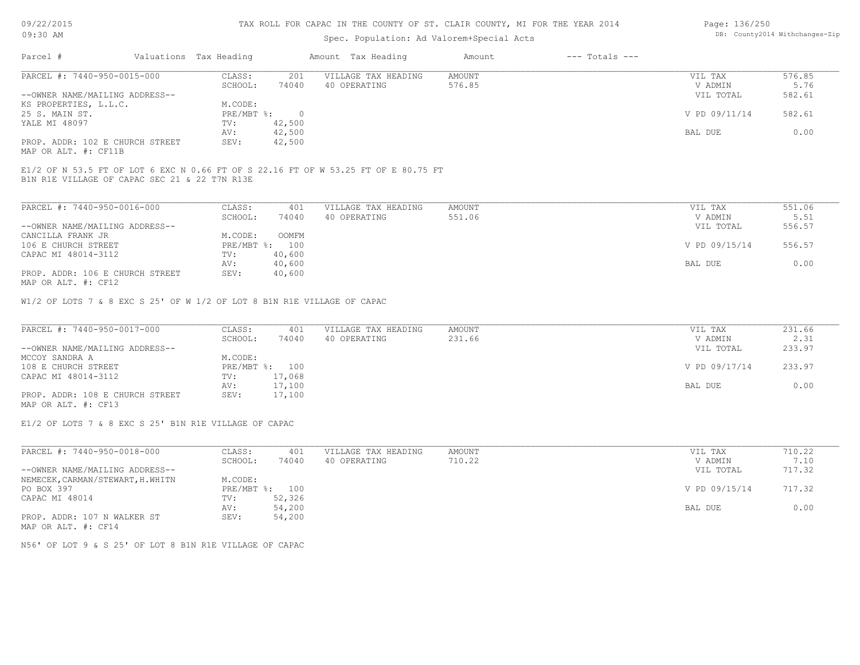#### TAX ROLL FOR CAPAC IN THE COUNTY OF ST. CLAIR COUNTY, MI FOR THE YEAR 2014

# Spec. Population: Ad Valorem+Special Acts

| Page: 136/250 |                                |
|---------------|--------------------------------|
|               | DB: County2014 Withchanges-Zip |

| Parcel #<br>$---$ Totals $---$<br>Valuations Tax Heading<br>Amount Tax Heading<br>Amount |               |        |
|------------------------------------------------------------------------------------------|---------------|--------|
| PARCEL #: 7440-950-0015-000<br>VILLAGE TAX HEADING<br>CLASS:<br>201<br>AMOUNT            | VIL TAX       | 576.85 |
| 74040<br>576.85<br>SCHOOL:<br>40 OPERATING                                               | V ADMIN       | 5.76   |
| --OWNER NAME/MAILING ADDRESS--                                                           | VIL TOTAL     | 582.61 |
| M.CODE:<br>KS PROPERTIES, L.L.C.                                                         |               |        |
| PRE/MBT %:<br>25 S. MAIN ST.                                                             | V PD 09/11/14 | 582.61 |
| 42,500<br>YALE MI 48097<br>TV:                                                           |               |        |
| 42,500<br>AV:                                                                            | BAL DUE       | 0.00   |
| PROP. ADDR: 102 E CHURCH STREET<br>42,500<br>SEV:                                        |               |        |

MAP OR ALT. #: CF11B

B1N R1E VILLAGE OF CAPAC SEC 21 & 22 T7N R13E E1/2 OF N 53.5 FT OF LOT 6 EXC N 0.66 FT OF S 22.16 FT OF W 53.25 FT OF E 80.75 FT

| PARCEL #: 7440-950-0016-000                                      | CLASS:     | 401    | VILLAGE TAX HEADING | AMOUNT | VIL TAX       | 551.06 |
|------------------------------------------------------------------|------------|--------|---------------------|--------|---------------|--------|
|                                                                  | SCHOOL:    | 74040  | 40 OPERATING        | 551.06 | V ADMIN       | 5.51   |
| --OWNER NAME/MAILING ADDRESS--                                   |            |        |                     |        | VIL TOTAL     | 556.57 |
| CANCILLA FRANK JR                                                | M.CODE:    | OOMFM  |                     |        |               |        |
| 106 E CHURCH STREET                                              | PRE/MBT %: | 100    |                     |        | V PD 09/15/14 | 556.57 |
| CAPAC MI 48014-3112                                              | TV:        | 40,600 |                     |        |               |        |
|                                                                  | AV:        | 40,600 |                     |        | BAL DUE       | 0.00   |
| PROP. ADDR: 106 E CHURCH STREET<br>$MAD$ $CD$ $ATH$ $H$ , $CD12$ | SEV:       | 40,600 |                     |        |               |        |

MAP OR ALT. #: CF12

W1/2 OF LOTS 7 & 8 EXC S 25' OF W 1/2 OF LOT 8 B1N R1E VILLAGE OF CAPAC

| PARCEL #: 7440-950-0017-000     | CLASS:  | 401            | VILLAGE TAX HEADING | AMOUNT | VIL TAX       | 231.66 |
|---------------------------------|---------|----------------|---------------------|--------|---------------|--------|
|                                 | SCHOOL: | 74040          | 40 OPERATING        | 231.66 | V ADMIN       | 2.31   |
| --OWNER NAME/MAILING ADDRESS--  |         |                |                     |        | VIL TOTAL     | 233.97 |
| MCCOY SANDRA A                  | M.CODE: |                |                     |        |               |        |
| 108 E CHURCH STREET             |         | PRE/MBT %: 100 |                     |        | V PD 09/17/14 | 233.97 |
| CAPAC MI 48014-3112             | TV:     | 17,068         |                     |        |               |        |
|                                 | AV:     | 17,100         |                     |        | BAL DUE       | 0.00   |
| PROP. ADDR: 108 E CHURCH STREET | SEV:    | 17,100         |                     |        |               |        |
| MAP OR ALT. #: CF13             |         |                |                     |        |               |        |

E1/2 OF LOTS 7 & 8 EXC S 25' B1N R1E VILLAGE OF CAPAC

| PARCEL #: 7440-950-0018-000       | CLASS:       | 401    | VILLAGE TAX HEADING | AMOUNT | VIL TAX       | 710.22 |
|-----------------------------------|--------------|--------|---------------------|--------|---------------|--------|
|                                   | SCHOOL:      | 74040  | 40 OPERATING        | 710.22 | V ADMIN       | 7.10   |
| --OWNER NAME/MAILING ADDRESS--    |              |        |                     |        | VIL TOTAL     | 717.32 |
| NEMECEK, CARMAN/STEWART, H. WHITN | M.CODE:      |        |                     |        |               |        |
| PO BOX 397                        | $PRE/MBT$ %: | 100    |                     |        | V PD 09/15/14 | 717.32 |
| CAPAC MI 48014                    | TV:          | 52,326 |                     |        |               |        |
|                                   | AV:          | 54,200 |                     |        | BAL DUE       | 0.00   |
| PROP. ADDR: 107 N WALKER ST       | SEV:         | 54,200 |                     |        |               |        |
| MAP OR ALT. #: CF14               |              |        |                     |        |               |        |

N56' OF LOT 9 & S 25' OF LOT 8 B1N R1E VILLAGE OF CAPAC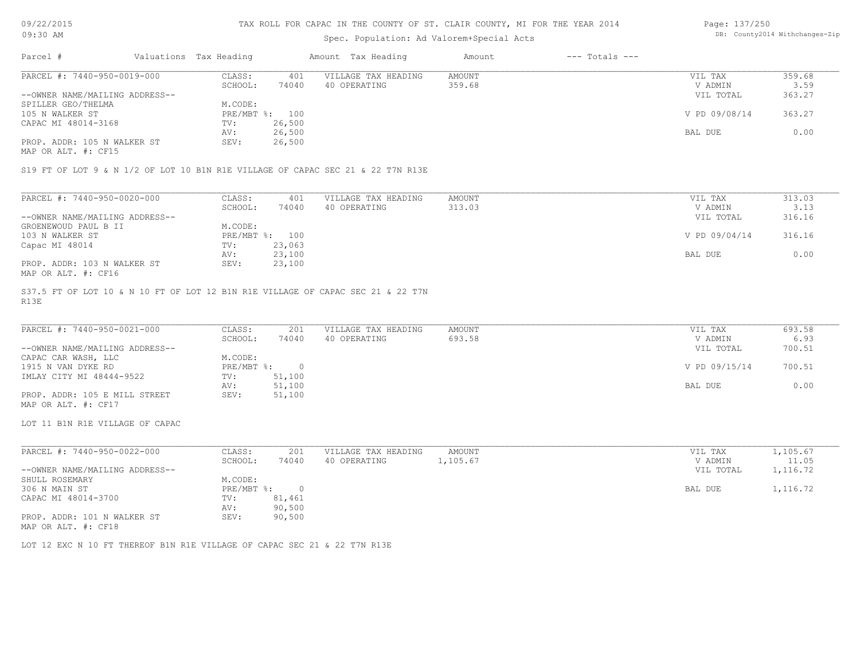#### TAX ROLL FOR CAPAC IN THE COUNTY OF ST. CLAIR COUNTY, MI FOR THE YEAR 2014

# Spec. Population: Ad Valorem+Special Acts

| Page: 137/250 |                                |
|---------------|--------------------------------|
|               | DB: County2014 Withchanges-Zip |

| Parcel #                       | Valuations Tax Heading |        | Amount Tax Heading  | Amount | $---$ Totals $---$ |               |        |
|--------------------------------|------------------------|--------|---------------------|--------|--------------------|---------------|--------|
| PARCEL #: 7440-950-0019-000    | CLASS:                 | 401    | VILLAGE TAX HEADING | AMOUNT |                    | VIL TAX       | 359.68 |
|                                | SCHOOL:                | 74040  | 40 OPERATING        | 359.68 |                    | V ADMIN       | 3.59   |
| --OWNER NAME/MAILING ADDRESS-- |                        |        |                     |        |                    | VIL TOTAL     | 363.27 |
| SPILLER GEO/THELMA             | M.CODE:                |        |                     |        |                    |               |        |
| 105 N WALKER ST                | PRE/MBT %: 100         |        |                     |        |                    | V PD 09/08/14 | 363.27 |
| CAPAC MI 48014-3168            | TV:                    | 26,500 |                     |        |                    |               |        |
|                                | AV:                    | 26,500 |                     |        |                    | BAL DUE       | 0.00   |
| PROP. ADDR: 105 N WALKER ST    | SEV:                   | 26,500 |                     |        |                    |               |        |
|                                |                        |        |                     |        |                    |               |        |

MAP OR ALT. #: CF15

S19 FT OF LOT 9 & N 1/2 OF LOT 10 B1N R1E VILLAGE OF CAPAC SEC 21 & 22 T7N R13E

| PARCEL #: 7440-950-0020-000    | CLASS:  | 401            | VILLAGE TAX HEADING | AMOUNT | VIL TAX       | 313.03 |
|--------------------------------|---------|----------------|---------------------|--------|---------------|--------|
|                                | SCHOOL: | 74040          | 40 OPERATING        | 313.03 | V ADMIN       | 3.13   |
| --OWNER NAME/MAILING ADDRESS-- |         |                |                     |        | VIL TOTAL     | 316.16 |
| GROENEWOUD PAUL B II           | M.CODE: |                |                     |        |               |        |
| 103 N WALKER ST                |         | PRE/MBT %: 100 |                     |        | V PD 09/04/14 | 316.16 |
| Capac MI 48014                 | TV:     | 23,063         |                     |        |               |        |
|                                | AV:     | 23,100         |                     |        | BAL DUE       | 0.00   |
| PROP. ADDR: 103 N WALKER ST    | SEV:    | 23,100         |                     |        |               |        |
| MAP OR ALT. #: CF16            |         |                |                     |        |               |        |

R13E S37.5 FT OF LOT 10 & N 10 FT OF LOT 12 B1N R1E VILLAGE OF CAPAC SEC 21 & 22 T7N

| PARCEL #: 7440-950-0021-000    | CLASS:     | 201    | VILLAGE TAX HEADING | AMOUNT | VIL TAX       | 693.58 |
|--------------------------------|------------|--------|---------------------|--------|---------------|--------|
|                                | SCHOOL:    | 74040  | 40 OPERATING        | 693.58 | V ADMIN       | 6.93   |
| --OWNER NAME/MAILING ADDRESS-- |            |        |                     |        | VIL TOTAL     | 700.51 |
| CAPAC CAR WASH, LLC            | M.CODE:    |        |                     |        |               |        |
| 1915 N VAN DYKE RD             | PRE/MBT %: |        |                     |        | V PD 09/15/14 | 700.51 |
| IMLAY CITY MI 48444-9522       | TV:        | 51,100 |                     |        |               |        |
|                                | AV:        | 51,100 |                     |        | BAL DUE       | 0.00   |
| PROP. ADDR: 105 E MILL STREET  | SEV:       | 51,100 |                     |        |               |        |
| MAP OR ALT. #: CF17            |            |        |                     |        |               |        |

LOT 11 B1N R1E VILLAGE OF CAPAC

| PARCEL #: 7440-950-0022-000    | CLASS:     | 201    | VILLAGE TAX HEADING | AMOUNT   | VIL TAX   | 1,105.67 |
|--------------------------------|------------|--------|---------------------|----------|-----------|----------|
|                                | SCHOOL:    | 74040  | 40 OPERATING        | 1,105.67 | V ADMIN   | 11.05    |
| --OWNER NAME/MAILING ADDRESS-- |            |        |                     |          | VIL TOTAL | 1,116.72 |
| SHULL ROSEMARY                 | M.CODE:    |        |                     |          |           |          |
| 306 N MAIN ST                  | PRE/MBT %: |        |                     |          | BAL DUE   | 1,116.72 |
| CAPAC MI 48014-3700            | TV:        | 81,461 |                     |          |           |          |
|                                | AV:        | 90,500 |                     |          |           |          |
| PROP. ADDR: 101 N WALKER ST    | SEV:       | 90,500 |                     |          |           |          |
| MAP OR ALT. #: CF18            |            |        |                     |          |           |          |

LOT 12 EXC N 10 FT THEREOF B1N R1E VILLAGE OF CAPAC SEC 21 & 22 T7N R13E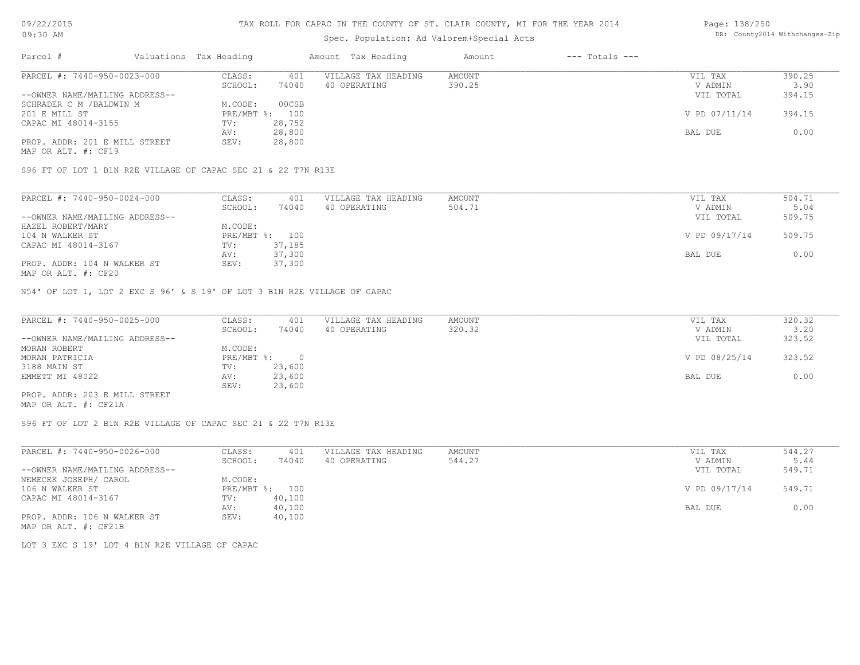# Spec. Population: Ad Valorem+Special Acts

#### Page: 138/250 DB: County2014 Withchanges-Zip

| Parcel #                       | Valuations Tax Heading |                | Amount Tax Heading  | Amount | $---$ Totals $---$ |               |        |
|--------------------------------|------------------------|----------------|---------------------|--------|--------------------|---------------|--------|
| PARCEL #: 7440-950-0023-000    | CLASS:                 | 401            | VILLAGE TAX HEADING | AMOUNT |                    | VIL TAX       | 390.25 |
|                                | SCHOOL:                | 74040          | 40 OPERATING        | 390.25 |                    | V ADMIN       | 3.90   |
| --OWNER NAME/MAILING ADDRESS-- |                        |                |                     |        |                    | VIL TOTAL     | 394.15 |
| SCHRADER C M / BALDWIN M       | M.CODE:                | 00CSB          |                     |        |                    |               |        |
| 201 E MILL ST                  |                        | PRE/MBT %: 100 |                     |        |                    | V PD 07/11/14 | 394.15 |
| CAPAC MI 48014-3155            | TV:                    | 28,752         |                     |        |                    |               |        |
|                                | AV:                    | 28,800         |                     |        |                    | BAL DUE       | 0.00   |
| PROP. ADDR: 201 E MILL STREET  | SEV:                   | 28,800         |                     |        |                    |               |        |
|                                |                        |                |                     |        |                    |               |        |

MAP OR ALT. #: CF19

S96 FT OF LOT 1 B1N R2E VILLAGE OF CAPAC SEC 21 & 22 T7N R13E

| PARCEL #: 7440-950-0024-000    | CLASS:  | 401            | VILLAGE TAX HEADING | AMOUNT | VIL TAX       | 504.71 |
|--------------------------------|---------|----------------|---------------------|--------|---------------|--------|
|                                | SCHOOL: | 74040          | 40 OPERATING        | 504.71 | V ADMIN       | 5.04   |
| --OWNER NAME/MAILING ADDRESS-- |         |                |                     |        | VIL TOTAL     | 509.75 |
| HAZEL ROBERT/MARY              | M.CODE: |                |                     |        |               |        |
| 104 N WALKER ST                |         | PRE/MBT %: 100 |                     |        | V PD 09/17/14 | 509.75 |
| CAPAC MI 48014-3167            | TV:     | 37,185         |                     |        |               |        |
|                                | AV:     | 37,300         |                     |        | BAL DUE       | 0.00   |
| PROP. ADDR: 104 N WALKER ST    | SEV:    | 37,300         |                     |        |               |        |
|                                |         |                |                     |        |               |        |

MAP OR ALT. #: CF20

N54' OF LOT 1, LOT 2 EXC S 96' & S 19' OF LOT 3 B1N R2E VILLAGE OF CAPAC

| PARCEL #: 7440-950-0025-000    | CLASS:     | 401    | VILLAGE TAX HEADING | AMOUNT | VIL TAX       | 320.32 |
|--------------------------------|------------|--------|---------------------|--------|---------------|--------|
|                                | SCHOOL:    | 74040  | 40 OPERATING        | 320.32 | V ADMIN       | 3.20   |
| --OWNER NAME/MAILING ADDRESS-- |            |        |                     |        | VIL TOTAL     | 323.52 |
| MORAN ROBERT                   | M.CODE:    |        |                     |        |               |        |
| MORAN PATRICIA                 | PRE/MBT %: |        |                     |        | V PD 08/25/14 | 323.52 |
| 3188 MAIN ST                   | TV:        | 23,600 |                     |        |               |        |
| EMMETT MI 48022                | AV:        | 23,600 |                     |        | BAL DUE       | 0.00   |
|                                | SEV:       | 23,600 |                     |        |               |        |
| PROP. ADDR: 203 E MILL STREET  |            |        |                     |        |               |        |

MAP OR ALT. #: CF21A

S96 FT OF LOT 2 B1N R2E VILLAGE OF CAPAC SEC 21 & 22 T7N R13E

| PARCEL #: 7440-950-0026-000    | CLASS:  | 401            | VILLAGE TAX HEADING | AMOUNT | VIL TAX       | 544.27 |
|--------------------------------|---------|----------------|---------------------|--------|---------------|--------|
|                                | SCHOOL: | 74040          | 40 OPERATING        | 544.27 | V ADMIN       | 5.44   |
| --OWNER NAME/MAILING ADDRESS-- |         |                |                     |        | VIL TOTAL     | 549.71 |
| NEMECEK JOSEPH/ CAROL          | M.CODE: |                |                     |        |               |        |
| 106 N WALKER ST                |         | PRE/MBT %: 100 |                     |        | V PD 09/17/14 | 549.71 |
| CAPAC MI 48014-3167            | TV:     | 40,100         |                     |        |               |        |
|                                | AV:     | 40,100         |                     |        | BAL DUE       | 0.00   |
| PROP. ADDR: 106 N WALKER ST    | SEV:    | 40,100         |                     |        |               |        |
| MAP OR ALT. #: CF21B           |         |                |                     |        |               |        |

LOT 3 EXC S 19' LOT 4 B1N R2E VILLAGE OF CAPAC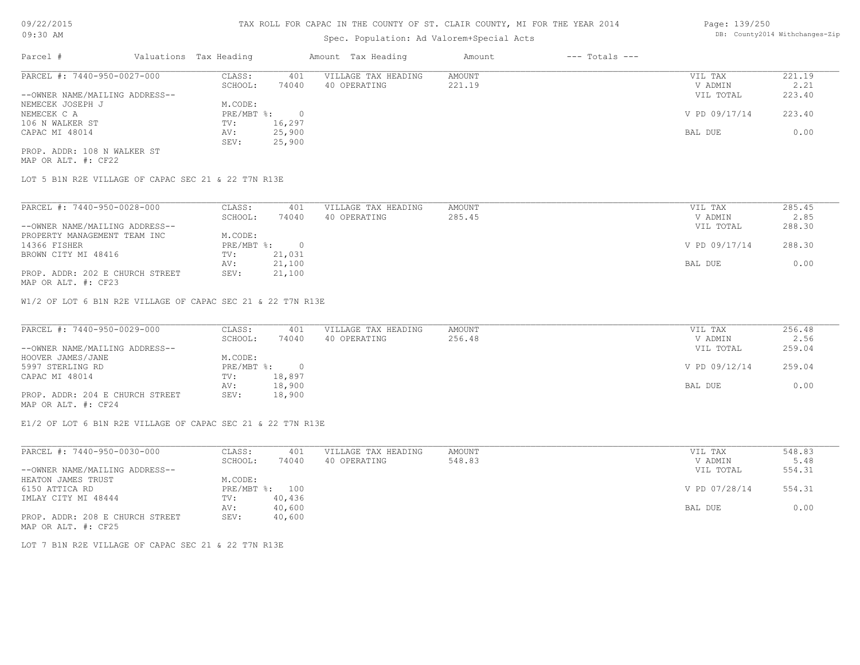# Spec. Population: Ad Valorem+Special Acts

| Page: 139/250 |                                |
|---------------|--------------------------------|
|               | DB: County2014 Withchanges-Zip |

| Parcel #                       | Valuations Tax Heading |        | Amount Tax Heading  | Amount | $---$ Totals $---$ |               |        |
|--------------------------------|------------------------|--------|---------------------|--------|--------------------|---------------|--------|
| PARCEL #: 7440-950-0027-000    | CLASS:                 | 401    | VILLAGE TAX HEADING | AMOUNT |                    | VIL TAX       | 221.19 |
|                                | SCHOOL:                | 74040  | 40 OPERATING        | 221.19 |                    | V ADMIN       | 2.21   |
| --OWNER NAME/MAILING ADDRESS-- |                        |        |                     |        |                    | VIL TOTAL     | 223.40 |
| NEMECEK JOSEPH J               | M.CODE:                |        |                     |        |                    |               |        |
| NEMECEK C A                    | $PRE/MBT$ $\div$       |        |                     |        |                    | V PD 09/17/14 | 223.40 |
| 106 N WALKER ST                | TV:                    | 16,297 |                     |        |                    |               |        |
| CAPAC MI 48014                 | AV:                    | 25,900 |                     |        |                    | BAL DUE       | 0.00   |
|                                | SEV:                   | 25,900 |                     |        |                    |               |        |
| PROP. ADDR: 108 N WALKER ST    |                        |        |                     |        |                    |               |        |

MAP OR ALT. #: CF22

LOT 5 B1N R2E VILLAGE OF CAPAC SEC 21 & 22 T7N R13E

| PARCEL #: 7440-950-0028-000     | CLASS:     | 401      | VILLAGE TAX HEADING | AMOUNT | VIL TAX       | 285.45 |
|---------------------------------|------------|----------|---------------------|--------|---------------|--------|
|                                 | SCHOOL:    | 74040    | 40 OPERATING        | 285.45 | V ADMIN       | 2.85   |
| --OWNER NAME/MAILING ADDRESS--  |            |          |                     |        | VIL TOTAL     | 288.30 |
| PROPERTY MANAGEMENT TEAM INC    | M.CODE:    |          |                     |        |               |        |
| 14366 FISHER                    | PRE/MBT %: | $\Omega$ |                     |        | V PD 09/17/14 | 288.30 |
| BROWN CITY MI 48416             | TV:        | 21,031   |                     |        |               |        |
|                                 | AV:        | 21,100   |                     |        | BAL DUE       | 0.00   |
| PROP. ADDR: 202 E CHURCH STREET | SEV:       | 21,100   |                     |        |               |        |
|                                 |            |          |                     |        |               |        |

MAP OR ALT. #: CF23

W1/2 OF LOT 6 B1N R2E VILLAGE OF CAPAC SEC 21 & 22 T7N R13E

| PARCEL #: 7440-950-0029-000     | CLASS:       | 401    | VILLAGE TAX HEADING | AMOUNT | VIL TAX       | 256.48 |
|---------------------------------|--------------|--------|---------------------|--------|---------------|--------|
|                                 | SCHOOL:      | 74040  | 40 OPERATING        | 256.48 | V ADMIN       | 2.56   |
| --OWNER NAME/MAILING ADDRESS--  |              |        |                     |        | VIL TOTAL     | 259.04 |
| HOOVER JAMES/JANE               | M.CODE:      |        |                     |        |               |        |
| 5997 STERLING RD                | $PRE/MBT$ %: |        |                     |        | V PD 09/12/14 | 259.04 |
| CAPAC MI 48014                  | TV:          | 18,897 |                     |        |               |        |
|                                 | AV:          | 18,900 |                     |        | BAL DUE       | 0.00   |
| PROP. ADDR: 204 E CHURCH STREET | SEV:         | 18,900 |                     |        |               |        |
|                                 |              |        |                     |        |               |        |

MAP OR ALT. #: CF24

E1/2 OF LOT 6 B1N R2E VILLAGE OF CAPAC SEC 21 & 22 T7N R13E

| PARCEL #: 7440-950-0030-000     | CLASS:  | 401            | VILLAGE TAX HEADING | AMOUNT | VIL TAX       | 548.83 |
|---------------------------------|---------|----------------|---------------------|--------|---------------|--------|
|                                 | SCHOOL: | 74040          | 40 OPERATING        | 548.83 | V ADMIN       | 5.48   |
| --OWNER NAME/MAILING ADDRESS--  |         |                |                     |        | VIL TOTAL     | 554.31 |
| HEATON JAMES TRUST              | M.CODE: |                |                     |        |               |        |
| 6150 ATTICA RD                  |         | PRE/MBT %: 100 |                     |        | V PD 07/28/14 | 554.31 |
| IMLAY CITY MI 48444             | TV:     | 40,436         |                     |        |               |        |
|                                 | AV:     | 40,600         |                     |        | BAL DUE       | 0.00   |
| PROP. ADDR: 208 E CHURCH STREET | SEV:    | 40,600         |                     |        |               |        |
| MAP OR ALT. #: CF25             |         |                |                     |        |               |        |

LOT 7 B1N R2E VILLAGE OF CAPAC SEC 21 & 22 T7N R13E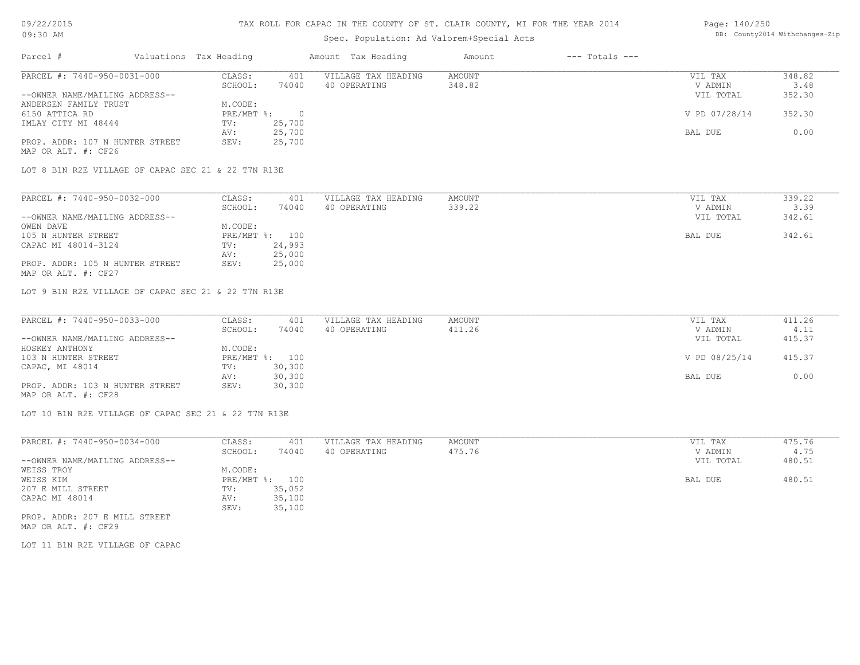### TAX ROLL FOR CAPAC IN THE COUNTY OF ST. CLAIR COUNTY, MI FOR THE YEAR 2014

# Spec. Population: Ad Valorem+Special Acts

#### Page: 140/250 DB: County2014 Withchanges-Zip

| Parcel #                        |                                                     | Valuations Tax Heading |          | Amount Tax Heading  | Amount | $---$ Totals $---$ |               |        |
|---------------------------------|-----------------------------------------------------|------------------------|----------|---------------------|--------|--------------------|---------------|--------|
| PARCEL #: 7440-950-0031-000     |                                                     | CLASS:                 | 401      | VILLAGE TAX HEADING | AMOUNT |                    | VIL TAX       | 348.82 |
|                                 |                                                     | SCHOOL:                | 74040    | 40 OPERATING        | 348.82 |                    | V ADMIN       | 3.48   |
| --OWNER NAME/MAILING ADDRESS--  |                                                     |                        |          |                     |        |                    | VIL TOTAL     | 352.30 |
| ANDERSEN FAMILY TRUST           |                                                     | M.CODE:                |          |                     |        |                    |               |        |
| 6150 ATTICA RD                  |                                                     | PRE/MBT %:             | $\Omega$ |                     |        |                    | V PD 07/28/14 | 352.30 |
| IMLAY CITY MI 48444             |                                                     | TV:                    | 25,700   |                     |        |                    |               |        |
|                                 |                                                     | AV:                    | 25,700   |                     |        |                    | BAL DUE       | 0.00   |
| PROP. ADDR: 107 N HUNTER STREET |                                                     | SEV:                   | 25,700   |                     |        |                    |               |        |
| MAP OR ALT. #: CF26             |                                                     |                        |          |                     |        |                    |               |        |
|                                 | LOT 8 B1N R2E VILLAGE OF CAPAC SEC 21 & 22 T7N R13E |                        |          |                     |        |                    |               |        |
|                                 |                                                     |                        |          |                     |        |                    |               |        |
| PARCEL #: 7440-950-0032-000     |                                                     | CLASS:                 | 401      | VILLAGE TAX HEADING | AMOUNT |                    | VIL TAX       | 339.22 |
|                                 |                                                     | SCHOOL:                | 74040    | 40 OPERATING        | 339.22 |                    | V ADMIN       | 3.39   |
| --OWNER NAME/MAILING ADDRESS--  |                                                     |                        |          |                     |        |                    | VIL TOTAL     | 342.61 |

| --OWNER NAME/MAILING ADDRESS--                         |         |                | VIL TOTAL | 342.61 |
|--------------------------------------------------------|---------|----------------|-----------|--------|
| OWEN DAVE                                              | M.CODE: |                |           |        |
| 105 N HUNTER STREET                                    |         | PRE/MBT %: 100 | BAL DUE   | 342.61 |
| CAPAC MI 48014-3124                                    | TV:     | 24,993         |           |        |
|                                                        | AV:     | 25,000         |           |        |
| PROP. ADDR: 105 N HUNTER STREET<br>MAP OR ALT. #: CF27 | SEV:    | 25,000         |           |        |

LOT 9 B1N R2E VILLAGE OF CAPAC SEC 21 & 22 T7N R13E

| PARCEL #: 7440-950-0033-000     | CLASS:       | 401    | VILLAGE TAX HEADING | AMOUNT | VIL TAX       | 411.26 |
|---------------------------------|--------------|--------|---------------------|--------|---------------|--------|
|                                 | SCHOOL:      | 74040  | 40 OPERATING        | 411.26 | V ADMIN       | 4.11   |
| --OWNER NAME/MAILING ADDRESS--  |              |        |                     |        | VIL TOTAL     | 415.37 |
| HOSKEY ANTHONY                  | M.CODE:      |        |                     |        |               |        |
| 103 N HUNTER STREET             | $PRE/MBT$ %: | 100    |                     |        | V PD 08/25/14 | 415.37 |
| CAPAC, MI 48014                 | TV:          | 30,300 |                     |        |               |        |
|                                 | AV:          | 30,300 |                     |        | BAL DUE       | 0.00   |
| PROP. ADDR: 103 N HUNTER STREET | SEV:         | 30,300 |                     |        |               |        |
| MAP OR ALT. #: CF28             |              |        |                     |        |               |        |

 $\mathcal{L}_\mathcal{L} = \mathcal{L}_\mathcal{L} = \mathcal{L}_\mathcal{L} = \mathcal{L}_\mathcal{L} = \mathcal{L}_\mathcal{L} = \mathcal{L}_\mathcal{L} = \mathcal{L}_\mathcal{L} = \mathcal{L}_\mathcal{L} = \mathcal{L}_\mathcal{L} = \mathcal{L}_\mathcal{L} = \mathcal{L}_\mathcal{L} = \mathcal{L}_\mathcal{L} = \mathcal{L}_\mathcal{L} = \mathcal{L}_\mathcal{L} = \mathcal{L}_\mathcal{L} = \mathcal{L}_\mathcal{L} = \mathcal{L}_\mathcal{L}$ 

LOT 10 B1N R2E VILLAGE OF CAPAC SEC 21 & 22 T7N R13E

| PARCEL #: 7440-950-0034-000    | CLASS:     | 401    | VILLAGE TAX HEADING | AMOUNT | VIL TAX   | 475.76 |
|--------------------------------|------------|--------|---------------------|--------|-----------|--------|
|                                | SCHOOL:    | 74040  | 40 OPERATING        | 475.76 | V ADMIN   | 4.75   |
| --OWNER NAME/MAILING ADDRESS-- |            |        |                     |        | VIL TOTAL | 480.51 |
| WEISS TROY                     | M.CODE:    |        |                     |        |           |        |
| WEISS KIM                      | PRE/MBT %: | 100    |                     |        | BAL DUE   | 480.51 |
| 207 E MILL STREET              | TV:        | 35,052 |                     |        |           |        |
| CAPAC MI 48014                 | AV:        | 35,100 |                     |        |           |        |
|                                | SEV:       | 35,100 |                     |        |           |        |
| PROP. ADDR: 207 E MILL STREET  |            |        |                     |        |           |        |

MAP OR ALT. #: CF29

LOT 11 B1N R2E VILLAGE OF CAPAC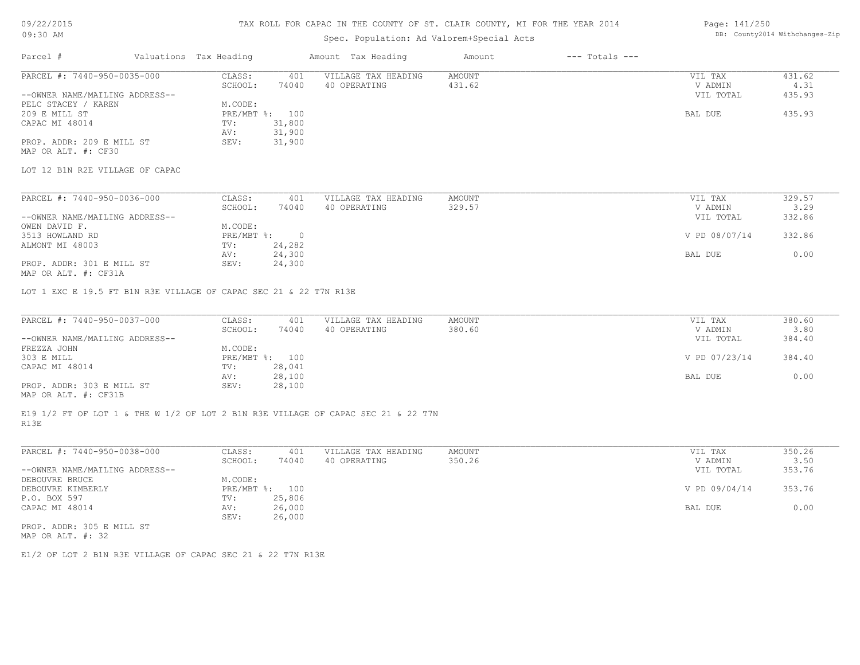#### TAX ROLL FOR CAPAC IN THE COUNTY OF ST. CLAIR COUNTY, MI FOR THE YEAR 2014

# Spec. Population: Ad Valorem+Special Acts

#### Page: 141/250 DB: County2014 Withchanges-Zip

| Parcel #                        | Valuations Tax Heading |        | Amount Tax Heading  | Amount | $---$ Totals $---$ |           |        |
|---------------------------------|------------------------|--------|---------------------|--------|--------------------|-----------|--------|
| PARCEL #: 7440-950-0035-000     | CLASS:                 | 401    | VILLAGE TAX HEADING | AMOUNT |                    | VIL TAX   | 431.62 |
|                                 | SCHOOL:                | 74040  | 40 OPERATING        | 431.62 |                    | V ADMIN   | 4.31   |
| --OWNER NAME/MAILING ADDRESS--  |                        |        |                     |        |                    | VIL TOTAL | 435.93 |
| PELC STACEY / KAREN             | M.CODE:                |        |                     |        |                    |           |        |
| 209 E MILL ST                   | PRE/MBT %: 100         |        |                     |        |                    | BAL DUE   | 435.93 |
| CAPAC MI 48014                  | TV:                    | 31,800 |                     |        |                    |           |        |
|                                 | AV:                    | 31,900 |                     |        |                    |           |        |
| PROP. ADDR: 209 E MILL ST       | SEV:                   | 31,900 |                     |        |                    |           |        |
| MAP OR ALT. #: CF30             |                        |        |                     |        |                    |           |        |
| LOT 12 B1N R2E VILLAGE OF CAPAC |                        |        |                     |        |                    |           |        |
|                                 |                        |        |                     |        |                    |           |        |
| PARCEL #: 7440-950-0036-000     | CLASS:                 | 401    | VILLAGE TAX HEADING | AMOUNT |                    | VIL TAX   | 329.57 |
|                                 | SCHOOL:                | 74040  | 40 OPERATING        | 329.57 |                    | V ADMIN   | 3.29   |

|                                | SCHOOL:                   | 74040  | 40 ofekating | 329.37 | V ALMIN       | 3.ZY   |
|--------------------------------|---------------------------|--------|--------------|--------|---------------|--------|
| --OWNER NAME/MAILING ADDRESS-- |                           |        |              |        | VIL TOTAL     | 332.86 |
| OWEN DAVID F.                  | M.CODE:                   |        |              |        |               |        |
| 3513 HOWLAND RD                | $PRE/MBT$ $\frac{6}{3}$ : | - 0    |              |        | V PD 08/07/14 | 332.86 |
| ALMONT MI 48003                | TV:                       | 24,282 |              |        |               |        |
|                                | AV:                       | 24,300 |              |        | BAL DUE       | 0.00   |
| PROP. ADDR: 301 E MILL ST      | SEV:                      | 24,300 |              |        |               |        |
|                                |                           |        |              |        |               |        |

MAP OR ALT. #: CF31A

LOT 1 EXC E 19.5 FT B1N R3E VILLAGE OF CAPAC SEC 21 & 22 T7N R13E

| PARCEL #: 7440-950-0037-000    | CLASS:  | 401            | VILLAGE TAX HEADING | AMOUNT | VIL TAX       | 380.60 |
|--------------------------------|---------|----------------|---------------------|--------|---------------|--------|
|                                | SCHOOL: | 74040          | 40 OPERATING        | 380.60 | V ADMIN       | 3.80   |
| --OWNER NAME/MAILING ADDRESS-- |         |                |                     |        | VIL TOTAL     | 384.40 |
| FREZZA JOHN                    | M.CODE: |                |                     |        |               |        |
| 303 E MILL                     |         | PRE/MBT %: 100 |                     |        | V PD 07/23/14 | 384.40 |
| CAPAC MI 48014                 | TV:     | 28,041         |                     |        |               |        |
|                                | AV:     | 28,100         |                     |        | BAL DUE       | 0.00   |
| PROP. ADDR: 303 E MILL ST      | SEV:    | 28,100         |                     |        |               |        |
|                                |         |                |                     |        |               |        |

MAP OR ALT. #: CF31B

R13E E19 1/2 FT OF LOT 1 & THE W 1/2 OF LOT 2 B1N R3E VILLAGE OF CAPAC SEC 21 & 22 T7N

| PARCEL #: 7440-950-0038-000    | CLASS:  | 401            | VILLAGE TAX HEADING | AMOUNT | VIL TAX       | 350.26 |
|--------------------------------|---------|----------------|---------------------|--------|---------------|--------|
|                                | SCHOOL: | 74040          | 40 OPERATING        | 350.26 | V ADMIN       | 3.50   |
| --OWNER NAME/MAILING ADDRESS-- |         |                |                     |        | VIL TOTAL     | 353.76 |
| DEBOUVRE BRUCE                 | M.CODE: |                |                     |        |               |        |
| DEBOUVRE KIMBERLY              |         | PRE/MBT %: 100 |                     |        | V PD 09/04/14 | 353.76 |
| P.O. BOX 597                   | TV:     | 25,806         |                     |        |               |        |
| CAPAC MI 48014                 | AV:     | 26,000         |                     |        | BAL DUE       | 0.00   |
|                                | SEV:    | 26,000         |                     |        |               |        |
| PROP. ADDR: 305 E MILL ST      |         |                |                     |        |               |        |

MAP OR ALT. #: 32

E1/2 OF LOT 2 B1N R3E VILLAGE OF CAPAC SEC 21 & 22 T7N R13E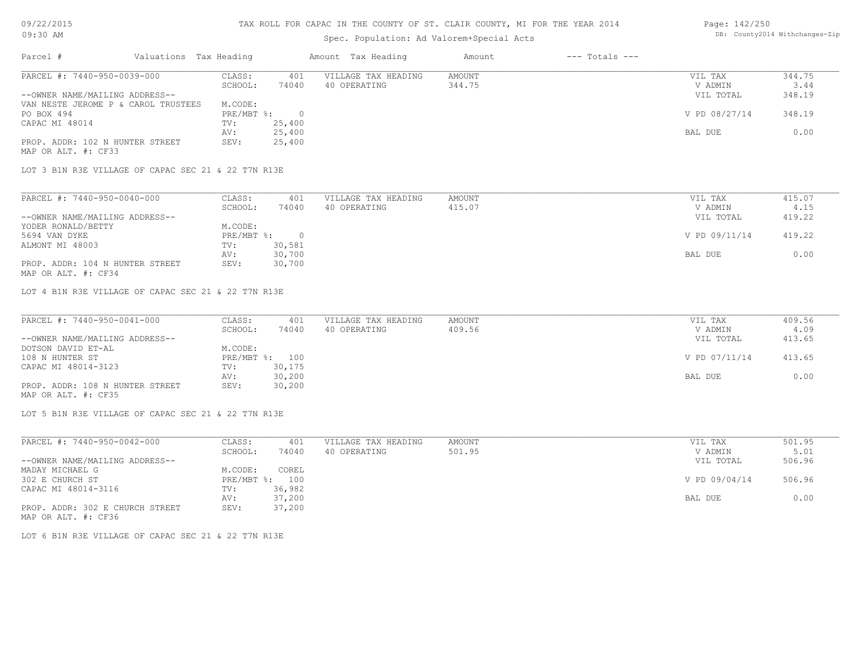### TAX ROLL FOR CAPAC IN THE COUNTY OF ST. CLAIR COUNTY, MI FOR THE YEAR 2014

# Spec. Population: Ad Valorem+Special Acts

#### Page: 142/250 DB: County2014 Withchanges-Zip

| Parcel #                                               | Valuations Tax Heading |        | Amount Tax Heading  | Amount | $---$ Totals $---$ |               |        |
|--------------------------------------------------------|------------------------|--------|---------------------|--------|--------------------|---------------|--------|
| PARCEL #: 7440-950-0039-000                            | CLASS:                 | 401    | VILLAGE TAX HEADING | AMOUNT |                    | VIL TAX       | 344.75 |
|                                                        | SCHOOL:                | 74040  | 40 OPERATING        | 344.75 |                    | V ADMIN       | 3.44   |
| --OWNER NAME/MAILING ADDRESS--                         |                        |        |                     |        |                    | VIL TOTAL     | 348.19 |
| VAN NESTE JEROME P & CAROL TRUSTEES                    | M.CODE:                |        |                     |        |                    |               |        |
| PO BOX 494                                             | $PRE/MBT$ %:           |        |                     |        |                    | V PD 08/27/14 | 348.19 |
| CAPAC MI 48014                                         | TV:                    | 25,400 |                     |        |                    |               |        |
|                                                        | AV:                    | 25,400 |                     |        |                    | BAL DUE       | 0.00   |
| PROP. ADDR: 102 N HUNTER STREET<br>MAP OR ALT. #: CF33 | SEV:                   | 25,400 |                     |        |                    |               |        |

LOT 3 B1N R3E VILLAGE OF CAPAC SEC 21 & 22 T7N R13E

| PARCEL #: 7440-950-0040-000     | CLASS:     | 401    | VILLAGE TAX HEADING | AMOUNT | VIL TAX       | 415.07 |
|---------------------------------|------------|--------|---------------------|--------|---------------|--------|
|                                 | SCHOOL:    | 74040  | 40 OPERATING        | 415.07 | V ADMIN       | 4.15   |
| --OWNER NAME/MAILING ADDRESS--  |            |        |                     |        | VIL TOTAL     | 419.22 |
| YODER RONALD/BETTY              | M.CODE:    |        |                     |        |               |        |
| 5694 VAN DYKE                   | PRE/MBT %: |        |                     |        | V PD 09/11/14 | 419.22 |
| ALMONT MI 48003                 | TV:        | 30,581 |                     |        |               |        |
|                                 | AV:        | 30,700 |                     |        | BAL DUE       | 0.00   |
| PROP. ADDR: 104 N HUNTER STREET | SEV:       | 30,700 |                     |        |               |        |
| MAP OR ALT. #: CF34             |            |        |                     |        |               |        |

LOT 4 B1N R3E VILLAGE OF CAPAC SEC 21 & 22 T7N R13E

| PARCEL #: 7440-950-0041-000     | CLASS:  | 401            | VILLAGE TAX HEADING | AMOUNT | VIL TAX       | 409.56 |
|---------------------------------|---------|----------------|---------------------|--------|---------------|--------|
|                                 | SCHOOL: | 74040          | 40 OPERATING        | 409.56 | V ADMIN       | 4.09   |
| --OWNER NAME/MAILING ADDRESS--  |         |                |                     |        | VIL TOTAL     | 413.65 |
| DOTSON DAVID ET-AL              | M.CODE: |                |                     |        |               |        |
| 108 N HUNTER ST                 |         | PRE/MBT %: 100 |                     |        | V PD 07/11/14 | 413.65 |
| CAPAC MI 48014-3123             | TV:     | 30,175         |                     |        |               |        |
|                                 | AV:     | 30,200         |                     |        | BAL DUE       | 0.00   |
| PROP. ADDR: 108 N HUNTER STREET | SEV:    | 30,200         |                     |        |               |        |
| MAP OR ALT. #: CF35             |         |                |                     |        |               |        |

LOT 5 B1N R3E VILLAGE OF CAPAC SEC 21 & 22 T7N R13E

| PARCEL #: 7440-950-0042-000     | CLASS:     | 401    | VILLAGE TAX HEADING | AMOUNT | VIL TAX       | 501.95 |
|---------------------------------|------------|--------|---------------------|--------|---------------|--------|
|                                 | SCHOOL:    | 74040  | 40 OPERATING        | 501.95 | V ADMIN       | 5.01   |
| --OWNER NAME/MAILING ADDRESS--  |            |        |                     |        | VIL TOTAL     | 506.96 |
| MADAY MICHAEL G                 | M.CODE:    | COREL  |                     |        |               |        |
| 302 E CHURCH ST                 | PRE/MBT %: | 100    |                     |        | V PD 09/04/14 | 506.96 |
| CAPAC MI 48014-3116             | TV:        | 36,982 |                     |        |               |        |
|                                 | AV:        | 37,200 |                     |        | BAL DUE       | 0.00   |
| PROP. ADDR: 302 E CHURCH STREET | SEV:       | 37,200 |                     |        |               |        |
| MAP OR ALT. #: CF36             |            |        |                     |        |               |        |

LOT 6 B1N R3E VILLAGE OF CAPAC SEC 21 & 22 T7N R13E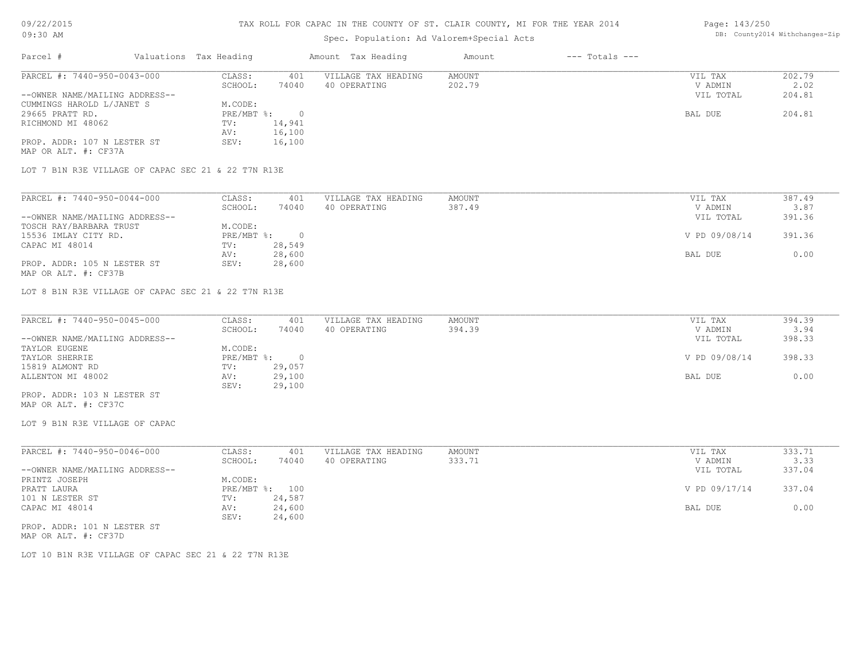# TAX ROLL FOR CAPAC IN THE COUNTY OF ST. CLAIR COUNTY, MI FOR THE YEAR 2014

# Spec. Population: Ad Valorem+Special Acts

#### Page: 143/250 DB: County2014 Withchanges-Zip

| Parcel #                       |                                                     | Valuations Tax Heading |        | Amount Tax Heading  | Amount | $---$ Totals $---$ |           |        |
|--------------------------------|-----------------------------------------------------|------------------------|--------|---------------------|--------|--------------------|-----------|--------|
| PARCEL #: 7440-950-0043-000    |                                                     | CLASS:                 | 401    | VILLAGE TAX HEADING | AMOUNT |                    | VIL TAX   | 202.79 |
|                                |                                                     | SCHOOL:                | 74040  | 40 OPERATING        | 202.79 |                    | V ADMIN   | 2.02   |
| --OWNER NAME/MAILING ADDRESS-- |                                                     |                        |        |                     |        |                    | VIL TOTAL | 204.81 |
| CUMMINGS HAROLD L/JANET S      |                                                     | M.CODE:                |        |                     |        |                    |           |        |
| 29665 PRATT RD.                |                                                     | PRE/MBT %:             | $\cap$ |                     |        |                    | BAL DUE   | 204.81 |
| RICHMOND MI 48062              |                                                     | TV:                    | 14,941 |                     |        |                    |           |        |
|                                |                                                     | AV:                    | 16,100 |                     |        |                    |           |        |
| PROP. ADDR: 107 N LESTER ST    |                                                     | SEV:                   | 16,100 |                     |        |                    |           |        |
| MAP OR ALT. #: CF37A           |                                                     |                        |        |                     |        |                    |           |        |
|                                | LOT 7 B1N R3E VILLAGE OF CAPAC SEC 21 & 22 T7N R13E |                        |        |                     |        |                    |           |        |
|                                |                                                     |                        |        |                     |        |                    |           |        |
|                                |                                                     |                        |        |                     |        |                    |           |        |

| PARCEL #: 7440-950-0044-000    | CLASS:     | 401    | VILLAGE TAX HEADING | AMOUNT | VIL TAX       | 387.49 |
|--------------------------------|------------|--------|---------------------|--------|---------------|--------|
|                                | SCHOOL:    | 74040  | 40 OPERATING        | 387.49 | V ADMIN       | 3.87   |
| --OWNER NAME/MAILING ADDRESS-- |            |        |                     |        | VIL TOTAL     | 391.36 |
| TOSCH RAY/BARBARA TRUST        | M.CODE:    |        |                     |        |               |        |
| 15536 IMLAY CITY RD.           | PRE/MBT %: |        |                     |        | V PD 09/08/14 | 391.36 |
| CAPAC MI 48014                 | TV:        | 28,549 |                     |        |               |        |
|                                | AV:        | 28,600 |                     |        | BAL DUE       | 0.00   |
| PROP. ADDR: 105 N LESTER ST    | SEV:       | 28,600 |                     |        |               |        |
| MAP OR ALT. #: CF37B           |            |        |                     |        |               |        |

LOT 8 B1N R3E VILLAGE OF CAPAC SEC 21 & 22 T7N R13E

| PARCEL #: 7440-950-0045-000    | CLASS:     | 401    | VILLAGE TAX HEADING | AMOUNT | VIL TAX       | 394.39 |
|--------------------------------|------------|--------|---------------------|--------|---------------|--------|
|                                | SCHOOL:    | 74040  | 40 OPERATING        | 394.39 | V ADMIN       | 3.94   |
| --OWNER NAME/MAILING ADDRESS-- |            |        |                     |        | VIL TOTAL     | 398.33 |
| TAYLOR EUGENE                  | M.CODE:    |        |                     |        |               |        |
| TAYLOR SHERRIE                 | PRE/MBT %: |        |                     |        | V PD 09/08/14 | 398.33 |
| 15819 ALMONT RD                | TV:        | 29,057 |                     |        |               |        |
| ALLENTON MI 48002              | AV:        | 29,100 |                     |        | BAL DUE       | 0.00   |
|                                | SEV:       | 29,100 |                     |        |               |        |
| PROP. ADDR: 103 N LESTER ST    |            |        |                     |        |               |        |

MAP OR ALT. #: CF37C

LOT 9 B1N R3E VILLAGE OF CAPAC

| PARCEL #: 7440-950-0046-000    | CLASS:  | 401            | VILLAGE TAX HEADING | AMOUNT | VIL TAX       | 333.71 |
|--------------------------------|---------|----------------|---------------------|--------|---------------|--------|
|                                | SCHOOL: | 74040          | 40 OPERATING        | 333.71 | V ADMIN       | 3.33   |
| --OWNER NAME/MAILING ADDRESS-- |         |                |                     |        | VIL TOTAL     | 337.04 |
| PRINTZ JOSEPH                  | M.CODE: |                |                     |        |               |        |
| PRATT LAURA                    |         | PRE/MBT %: 100 |                     |        | V PD 09/17/14 | 337.04 |
| 101 N LESTER ST                | TV:     | 24,587         |                     |        |               |        |
| CAPAC MI 48014                 | AV:     | 24,600         |                     |        | BAL DUE       | 0.00   |
|                                | SEV:    | 24,600         |                     |        |               |        |
| PROP. ADDR: 101 N LESTER ST    |         |                |                     |        |               |        |

MAP OR ALT. #: CF37D

LOT 10 B1N R3E VILLAGE OF CAPAC SEC 21 & 22 T7N R13E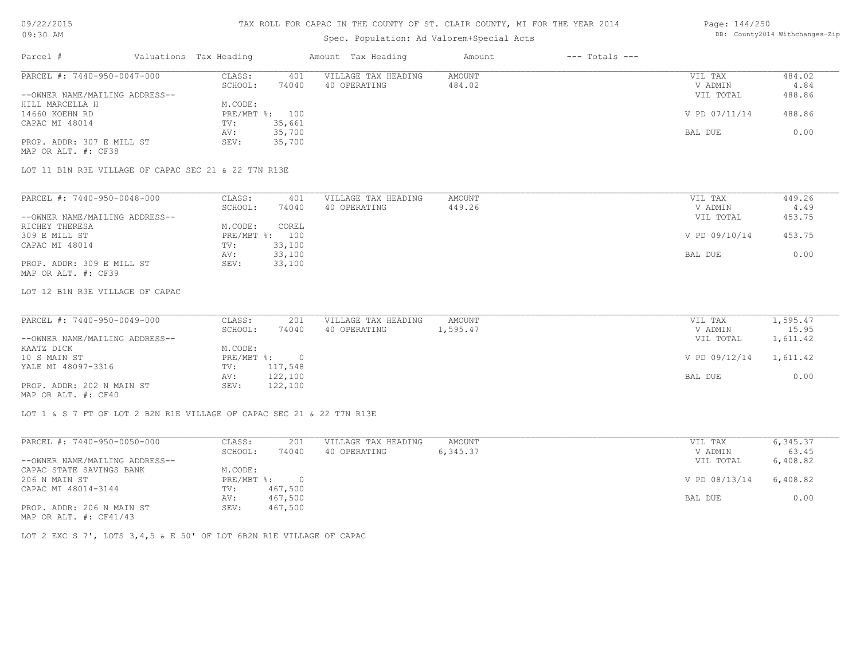### TAX ROLL FOR CAPAC IN THE COUNTY OF ST. CLAIR COUNTY, MI FOR THE YEAR 2014

# Spec. Population: Ad Valorem+Special Acts

#### Page: 144/250 DB: County2014 Withchanges-Zip

| Parcel #                       | Valuations Tax Heading |                | Amount Tax Heading  | Amount | $---$ Totals $---$ |               |        |
|--------------------------------|------------------------|----------------|---------------------|--------|--------------------|---------------|--------|
| PARCEL #: 7440-950-0047-000    | CLASS:                 | 401            | VILLAGE TAX HEADING | AMOUNT |                    | VIL TAX       | 484.02 |
|                                | SCHOOL:                | 74040          | 40 OPERATING        | 484.02 |                    | V ADMIN       | 4.84   |
| --OWNER NAME/MAILING ADDRESS-- |                        |                |                     |        |                    | VIL TOTAL     | 488.86 |
| HILL MARCELLA H                | M.CODE:                |                |                     |        |                    |               |        |
| 14660 KOEHN RD                 |                        | PRE/MBT %: 100 |                     |        |                    | V PD 07/11/14 | 488.86 |
| CAPAC MI 48014                 | TV:                    | 35,661         |                     |        |                    |               |        |
|                                | AV:                    | 35,700         |                     |        |                    | BAL DUE       | 0.00   |
| PROP. ADDR: 307 E MILL ST      | SEV:                   | 35,700         |                     |        |                    |               |        |
| MAP OR ALT. #: CF38            |                        |                |                     |        |                    |               |        |

LOT 11 B1N R3E VILLAGE OF CAPAC SEC 21 & 22 T7N R13E

| PARCEL #: 7440-950-0048-000    | CLASS:  | 401            | VILLAGE TAX HEADING | AMOUNT | VIL TAX       | 449.26 |
|--------------------------------|---------|----------------|---------------------|--------|---------------|--------|
|                                | SCHOOL: | 74040          | 40 OPERATING        | 449.26 | V ADMIN       | 4.49   |
| --OWNER NAME/MAILING ADDRESS-- |         |                |                     |        | VIL TOTAL     | 453.75 |
| RICHEY THERESA                 | M.CODE: | COREL          |                     |        |               |        |
| 309 E MILL ST                  |         | PRE/MBT %: 100 |                     |        | V PD 09/10/14 | 453.75 |
| CAPAC MI 48014                 | TV:     | 33,100         |                     |        |               |        |
|                                | AV:     | 33,100         |                     |        | BAL DUE       | 0.00   |
| PROP. ADDR: 309 E MILL ST      | SEV:    | 33,100         |                     |        |               |        |
| MAP OR ALT. #: CF39            |         |                |                     |        |               |        |

LOT 12 B1N R3E VILLAGE OF CAPAC

| PARCEL #: 7440-950-0049-000    | CLASS:       | 201      | VILLAGE TAX HEADING | AMOUNT   | VIL TAX                | 1,595.47 |  |
|--------------------------------|--------------|----------|---------------------|----------|------------------------|----------|--|
|                                | SCHOOL:      | 74040    | 40 OPERATING        | 1,595.47 | V ADMIN                | 15.95    |  |
| --OWNER NAME/MAILING ADDRESS-- |              |          |                     |          | VIL TOTAL              | 1,611.42 |  |
| KAATZ DICK                     | M.CODE:      |          |                     |          |                        |          |  |
| 10 S MAIN ST                   | $PRE/MBT$ %: | $\Omega$ |                     |          | V PD 09/12/14 1,611.42 |          |  |
| YALE MI 48097-3316             | TV:          | 117,548  |                     |          |                        |          |  |
|                                | AV:          | 122,100  |                     |          | BAL DUE                | 0.00     |  |
| PROP. ADDR: 202 N MAIN ST      | SEV:         | 122,100  |                     |          |                        |          |  |

 $\mathcal{L}_\mathcal{L} = \mathcal{L}_\mathcal{L} = \mathcal{L}_\mathcal{L} = \mathcal{L}_\mathcal{L} = \mathcal{L}_\mathcal{L} = \mathcal{L}_\mathcal{L} = \mathcal{L}_\mathcal{L} = \mathcal{L}_\mathcal{L} = \mathcal{L}_\mathcal{L} = \mathcal{L}_\mathcal{L} = \mathcal{L}_\mathcal{L} = \mathcal{L}_\mathcal{L} = \mathcal{L}_\mathcal{L} = \mathcal{L}_\mathcal{L} = \mathcal{L}_\mathcal{L} = \mathcal{L}_\mathcal{L} = \mathcal{L}_\mathcal{L}$ 

MAP OR ALT. #: CF40

LOT 1 & S 7 FT OF LOT 2 B2N R1E VILLAGE OF CAPAC SEC 21 & 22 T7N R13E

| PARCEL #: 7440-950-0050-000    | CLASS:     | 201      | VILLAGE TAX HEADING | AMOUNT   | VIL TAX       | 6,345.37 |
|--------------------------------|------------|----------|---------------------|----------|---------------|----------|
|                                | SCHOOL:    | 74040    | 40 OPERATING        | 6,345.37 | V ADMIN       | 63.45    |
| --OWNER NAME/MAILING ADDRESS-- |            |          |                     |          | VIL TOTAL     | 6,408.82 |
| CAPAC STATE SAVINGS BANK       | M.CODE:    |          |                     |          |               |          |
| 206 N MAIN ST                  | PRE/MBT %: | $\Omega$ |                     |          | V PD 08/13/14 | 6,408.82 |
| CAPAC MI 48014-3144            | TV:        | 467,500  |                     |          |               |          |
|                                | AV:        | 467,500  |                     |          | BAL DUE       | 0.00     |
| PROP. ADDR: 206 N MAIN ST      | SEV:       | 467,500  |                     |          |               |          |
| MAP OR ALT. $\#$ : CF41/43     |            |          |                     |          |               |          |

LOT 2 EXC S 7', LOTS 3,4,5 & E 50' OF LOT 6B2N R1E VILLAGE OF CAPAC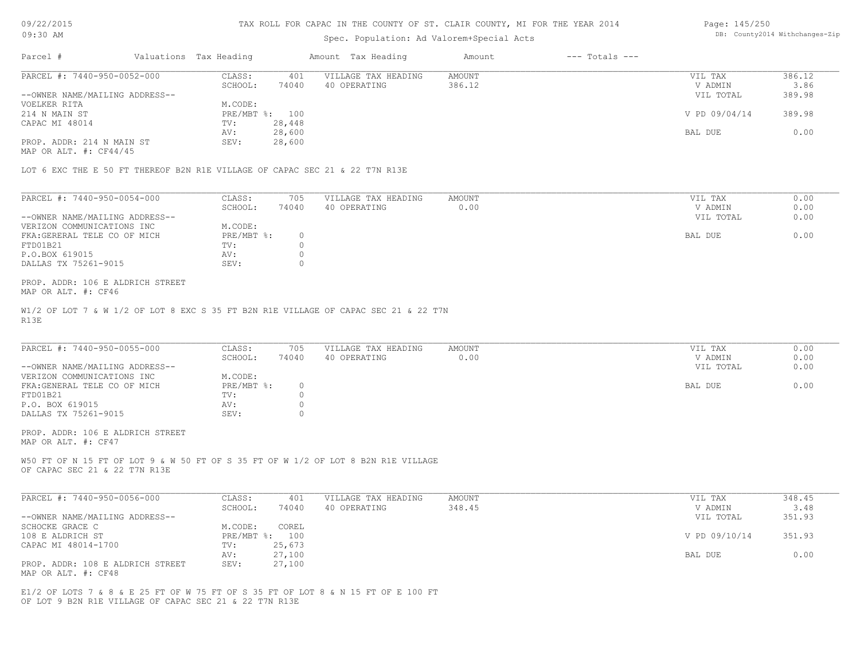#### TAX ROLL FOR CAPAC IN THE COUNTY OF ST. CLAIR COUNTY, MI FOR THE YEAR 2014

### Spec. Population: Ad Valorem+Special Acts

| Page: 145/250 |                                |
|---------------|--------------------------------|
|               | DB: County2014 Withchanges-Zip |

| Parcel #                       | Valuations Tax Heading |        | Amount Tax Heading  | Amount | $---$ Totals $---$ |               |        |
|--------------------------------|------------------------|--------|---------------------|--------|--------------------|---------------|--------|
| PARCEL #: 7440-950-0052-000    | CLASS:                 | 401    | VILLAGE TAX HEADING | AMOUNT |                    | VIL TAX       | 386.12 |
|                                | SCHOOL:                | 74040  | 40 OPERATING        | 386.12 |                    | V ADMIN       | 3.86   |
| --OWNER NAME/MAILING ADDRESS-- |                        |        |                     |        |                    | VIL TOTAL     | 389.98 |
| VOELKER RITA                   | M.CODE:                |        |                     |        |                    |               |        |
| 214 N MAIN ST                  | PRE/MBT %: 100         |        |                     |        |                    | V PD 09/04/14 | 389.98 |
| CAPAC MI 48014                 | TV:                    | 28,448 |                     |        |                    |               |        |
|                                | AV:                    | 28,600 |                     |        |                    | BAL DUE       | 0.00   |
| PROP. ADDR: 214 N MAIN ST      | SEV:                   | 28,600 |                     |        |                    |               |        |

MAP OR ALT. #: CF44/45

LOT 6 EXC THE E 50 FT THEREOF B2N R1E VILLAGE OF CAPAC SEC 21 & 22 T7N R13E

| PARCEL #: 7440-950-0054-000    | CLASS:     | 705   | VILLAGE TAX HEADING | AMOUNT | VIL TAX   | 0.00 |
|--------------------------------|------------|-------|---------------------|--------|-----------|------|
|                                | SCHOOL:    | 74040 | 40 OPERATING        | 0.00   | V ADMIN   | 0.00 |
| --OWNER NAME/MAILING ADDRESS-- |            |       |                     |        | VIL TOTAL | 0.00 |
| VERIZON COMMUNICATIONS INC     | M.CODE:    |       |                     |        |           |      |
| FKA: GERERAL TELE CO OF MICH   | PRE/MBT %: |       |                     |        | BAL DUE   | 0.00 |
| FTD01B21                       | TV:        |       |                     |        |           |      |
| P.O.BOX 619015                 | AV:        |       |                     |        |           |      |
| DALLAS TX 75261-9015           | SEV:       |       |                     |        |           |      |

MAP OR ALT. #: CF46 PROP. ADDR: 106 E ALDRICH STREET

R13E W1/2 OF LOT 7 & W 1/2 OF LOT 8 EXC S 35 FT B2N R1E VILLAGE OF CAPAC SEC 21 & 22 T7N

| PARCEL #: 7440-950-0055-000    | CLASS:     | 705   | VILLAGE TAX HEADING | AMOUNT | VIL TAX |           | 0.00 |
|--------------------------------|------------|-------|---------------------|--------|---------|-----------|------|
|                                | SCHOOL:    | 74040 | 40 OPERATING        | 0.00   |         | V ADMIN   | 0.00 |
| --OWNER NAME/MAILING ADDRESS-- |            |       |                     |        |         | VIL TOTAL | 0.00 |
| VERIZON COMMUNICATIONS INC     | M.CODE:    |       |                     |        |         |           |      |
| FKA: GENERAL TELE CO OF MICH   | PRE/MBT %: |       |                     |        | BAL DUE |           | 0.00 |
| FTD01B21                       | TV:        |       |                     |        |         |           |      |
| P.O. BOX 619015                | AV:        |       |                     |        |         |           |      |
| DALLAS TX 75261-9015           | SEV:       |       |                     |        |         |           |      |

MAP OR ALT. #: CF47 PROP. ADDR: 106 E ALDRICH STREET

OF CAPAC SEC 21 & 22 T7N R13E W50 FT OF N 15 FT OF LOT 9 & W 50 FT OF S 35 FT OF W 1/2 OF LOT 8 B2N R1E VILLAGE

| PARCEL #: 7440-950-0056-000      | CLASS:  | 401            | VILLAGE TAX HEADING | AMOUNT | VIL TAX       | 348.45 |
|----------------------------------|---------|----------------|---------------------|--------|---------------|--------|
|                                  | SCHOOL: | 74040          | 40 OPERATING        | 348.45 | V ADMIN       | 3.48   |
| --OWNER NAME/MAILING ADDRESS--   |         |                |                     |        | VIL TOTAL     | 351.93 |
| SCHOCKE GRACE C                  | M.CODE: | COREL          |                     |        |               |        |
| 108 E ALDRICH ST                 |         | PRE/MBT %: 100 |                     |        | V PD 09/10/14 | 351.93 |
| CAPAC MI 48014-1700              | TV:     | 25,673         |                     |        |               |        |
|                                  | AV:     | 27,100         |                     |        | BAL DUE       | 0.00   |
| PROP. ADDR: 108 E ALDRICH STREET | SEV:    | 27,100         |                     |        |               |        |
| MAP OR ALT. #: CF48              |         |                |                     |        |               |        |

OF LOT 9 B2N R1E VILLAGE OF CAPAC SEC 21 & 22 T7N R13E E1/2 OF LOTS 7 & 8 & E 25 FT OF W 75 FT OF S 35 FT OF LOT 8 & N 15 FT OF E 100 FT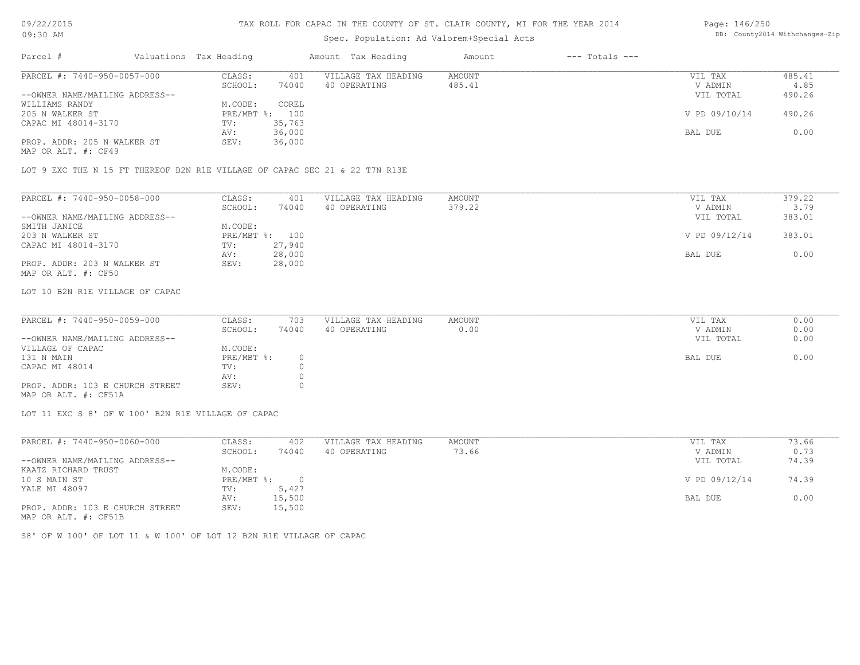# Spec. Population: Ad Valorem+Special Acts

#### Page: 146/250 DB: County2014 Withchanges-Zip

| Parcel #                       |         | Valuations Tax Heading |                | Amount Tax Heading  | Amount | $---$ Totals $---$ |               |        |
|--------------------------------|---------|------------------------|----------------|---------------------|--------|--------------------|---------------|--------|
| PARCEL #: 7440-950-0057-000    |         | CLASS:                 | 401            | VILLAGE TAX HEADING | AMOUNT |                    | VIL TAX       | 485.41 |
|                                | SCHOOL: | 74040                  | 40 OPERATING   | 485.41              |        | V ADMIN            | 4.85          |        |
| --OWNER NAME/MAILING ADDRESS-- |         |                        |                |                     |        |                    | VIL TOTAL     | 490.26 |
| WILLIAMS RANDY                 |         | M.CODE:                | COREL          |                     |        |                    |               |        |
| 205 N WALKER ST                |         |                        | PRE/MBT %: 100 |                     |        |                    | V PD 09/10/14 | 490.26 |
| CAPAC MI 48014-3170            |         | TV:                    | 35,763         |                     |        |                    |               |        |
|                                |         | AV:                    | 36,000         |                     |        |                    | BAL DUE       | 0.00   |
| PROP. ADDR: 205 N WALKER ST    |         | SEV:                   | 36,000         |                     |        |                    |               |        |
|                                |         |                        |                |                     |        |                    |               |        |

MAP OR ALT. #: CF49

LOT 9 EXC THE N 15 FT THEREOF B2N R1E VILLAGE OF CAPAC SEC 21 & 22 T7N R13E

| PARCEL #: 7440-950-0058-000    | CLASS:  | 401            | VILLAGE TAX HEADING | AMOUNT | VIL TAX       | 379.22 |
|--------------------------------|---------|----------------|---------------------|--------|---------------|--------|
|                                | SCHOOL: | 74040          | 40 OPERATING        | 379.22 | V ADMIN       | 3.79   |
| --OWNER NAME/MAILING ADDRESS-- |         |                |                     |        | VIL TOTAL     | 383.01 |
| SMITH JANICE                   | M.CODE: |                |                     |        |               |        |
| 203 N WALKER ST                |         | PRE/MBT %: 100 |                     |        | V PD 09/12/14 | 383.01 |
| CAPAC MI 48014-3170            | TV:     | 27,940         |                     |        |               |        |
|                                | AV:     | 28,000         |                     |        | BAL DUE       | 0.00   |
| PROP. ADDR: 203 N WALKER ST    | SEV:    | 28,000         |                     |        |               |        |
| MAP OR ALT. #: CF50            |         |                |                     |        |               |        |

LOT 10 B2N R1E VILLAGE OF CAPAC

| PARCEL #: 7440-950-0059-000     | CLASS:     | 703    | VILLAGE TAX HEADING | AMOUNT | VIL TAX   | 0.00 |
|---------------------------------|------------|--------|---------------------|--------|-----------|------|
|                                 | SCHOOL:    | 74040  | 40 OPERATING        | 0.00   | V ADMIN   | 0.00 |
| --OWNER NAME/MAILING ADDRESS--  |            |        |                     |        | VIL TOTAL | 0.00 |
| VILLAGE OF CAPAC                | M.CODE:    |        |                     |        |           |      |
| 131 N MAIN                      | PRE/MBT %: | $\cap$ |                     |        | BAL DUE   | 0.00 |
| CAPAC MI 48014                  | TV:        |        |                     |        |           |      |
|                                 | AV:        |        |                     |        |           |      |
| PROP. ADDR: 103 E CHURCH STREET | SEV:       |        |                     |        |           |      |
|                                 |            |        |                     |        |           |      |

 $\_$  , and the state of the state of the state of the state of the state of the state of the state of the state of the state of the state of the state of the state of the state of the state of the state of the state of the

MAP OR ALT. #: CF51A

LOT 11 EXC S 8' OF W 100' B2N R1E VILLAGE OF CAPAC

| PARCEL #: 7440-950-0060-000     | CLASS:     | 402    | VILLAGE TAX HEADING | AMOUNT | VIL TAX       | 73.66 |
|---------------------------------|------------|--------|---------------------|--------|---------------|-------|
|                                 | SCHOOL:    | 74040  | 40 OPERATING        | 73.66  | V ADMIN       | 0.73  |
| --OWNER NAME/MAILING ADDRESS--  |            |        |                     |        | VIL TOTAL     | 74.39 |
| KAATZ RICHARD TRUST             | M.CODE:    |        |                     |        |               |       |
| 10 S MAIN ST                    | PRE/MBT %: |        |                     |        | V PD 09/12/14 | 74.39 |
| YALE MI 48097                   | TV:        | 5,427  |                     |        |               |       |
|                                 | AV:        | 15,500 |                     |        | BAL DUE       | 0.00  |
| PROP. ADDR: 103 E CHURCH STREET | SEV:       | 15,500 |                     |        |               |       |
| MAP OR ALT. #: CF51B            |            |        |                     |        |               |       |

S8' OF W 100' OF LOT 11 & W 100' OF LOT 12 B2N R1E VILLAGE OF CAPAC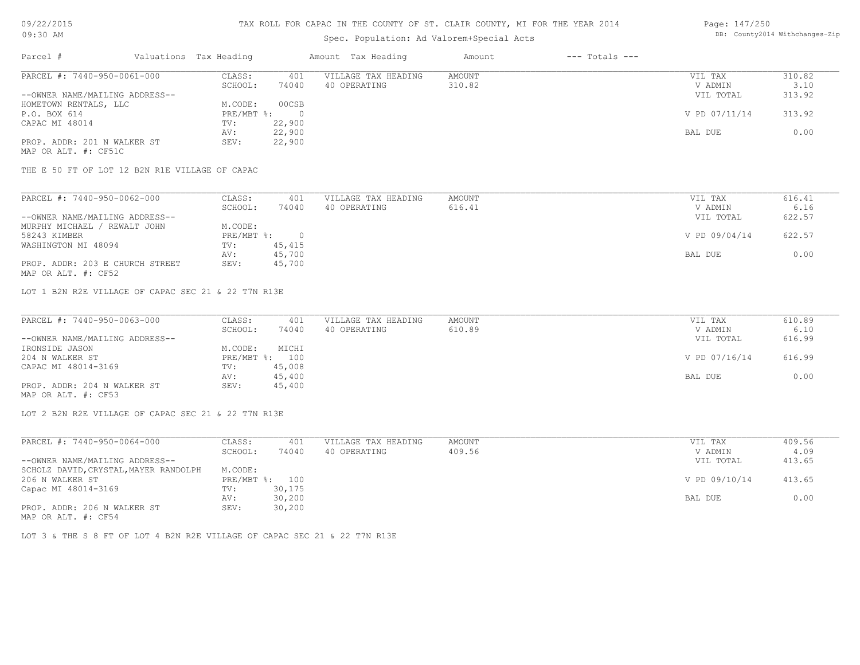# Spec. Population: Ad Valorem+Special Acts

#### Page: 147/250 DB: County2014 Withchanges-Zip

| Parcel #                       | Valuations Tax Heading |        | Amount Tax Heading  | Amount | $---$ Totals $---$ |               |        |
|--------------------------------|------------------------|--------|---------------------|--------|--------------------|---------------|--------|
| PARCEL #: 7440-950-0061-000    | CLASS:                 | 401    | VILLAGE TAX HEADING | AMOUNT |                    | VIL TAX       | 310.82 |
|                                | SCHOOL:                | 74040  | 40 OPERATING        | 310.82 |                    | V ADMIN       | 3.10   |
| --OWNER NAME/MAILING ADDRESS-- |                        |        |                     |        |                    | VIL TOTAL     | 313.92 |
| HOMETOWN RENTALS, LLC          | M.CODE:                | 00CSB  |                     |        |                    |               |        |
| P.O. BOX 614                   | $PRE/MBT$ %:           |        |                     |        |                    | V PD 07/11/14 | 313.92 |
| CAPAC MI 48014                 | TV:                    | 22,900 |                     |        |                    |               |        |
|                                | AV:                    | 22,900 |                     |        |                    | BAL DUE       | 0.00   |
| PROP. ADDR: 201 N WALKER ST    | SEV:                   | 22,900 |                     |        |                    |               |        |
| MAP OR ALT. #: CF51C           |                        |        |                     |        |                    |               |        |

THE E 50 FT OF LOT 12 B2N R1E VILLAGE OF CAPAC

| PARCEL #: 7440-950-0062-000     | CLASS:     | 401    | VILLAGE TAX HEADING | AMOUNT | VIL TAX       | 616.41 |
|---------------------------------|------------|--------|---------------------|--------|---------------|--------|
|                                 | SCHOOL:    | 74040  | 40 OPERATING        | 616.41 | V ADMIN       | 6.16   |
| --OWNER NAME/MAILING ADDRESS--  |            |        |                     |        | VIL TOTAL     | 622.57 |
| MURPHY MICHAEL / REWALT JOHN    | M.CODE:    |        |                     |        |               |        |
| 58243 KIMBER                    | PRE/MBT %: |        |                     |        | V PD 09/04/14 | 622.57 |
| WASHINGTON MI 48094             | TV:        | 45,415 |                     |        |               |        |
|                                 | AV:        | 45,700 |                     |        | BAL DUE       | 0.00   |
| PROP. ADDR: 203 E CHURCH STREET | SEV:       | 45,700 |                     |        |               |        |
| MAP OR ALT. #: CF52             |            |        |                     |        |               |        |

LOT 1 B2N R2E VILLAGE OF CAPAC SEC 21 & 22 T7N R13E

| PARCEL #: 7440-950-0063-000    | CLASS:  | 401            | VILLAGE TAX HEADING | AMOUNT | VIL TAX       | 610.89 |
|--------------------------------|---------|----------------|---------------------|--------|---------------|--------|
|                                | SCHOOL: | 74040          | 40 OPERATING        | 610.89 | V ADMIN       | 6.10   |
| --OWNER NAME/MAILING ADDRESS-- |         |                |                     |        | VIL TOTAL     | 616.99 |
| IRONSIDE JASON                 | M.CODE: | MICHI          |                     |        |               |        |
| 204 N WALKER ST                |         | PRE/MBT %: 100 |                     |        | V PD 07/16/14 | 616.99 |
| CAPAC MI 48014-3169            | TV:     | 45,008         |                     |        |               |        |
|                                | AV:     | 45,400         |                     |        | BAL DUE       | 0.00   |
| PROP. ADDR: 204 N WALKER ST    | SEV:    | 45,400         |                     |        |               |        |
| MAP OR ALT. #: CF53            |         |                |                     |        |               |        |

LOT 2 B2N R2E VILLAGE OF CAPAC SEC 21 & 22 T7N R13E

| PARCEL #: 7440-950-0064-000           | CLASS:     | 401    | VILLAGE TAX HEADING | AMOUNT | VIL TAX       | 409.56 |
|---------------------------------------|------------|--------|---------------------|--------|---------------|--------|
|                                       | SCHOOL:    | 74040  | 40 OPERATING        | 409.56 | V ADMIN       | 4.09   |
| --OWNER NAME/MAILING ADDRESS--        |            |        |                     |        | VIL TOTAL     | 413.65 |
| SCHOLZ DAVID, CRYSTAL, MAYER RANDOLPH | M.CODE:    |        |                     |        |               |        |
| 206 N WALKER ST                       | PRE/MBT %: | 100    |                     |        | V PD 09/10/14 | 413.65 |
| Capac MI 48014-3169                   | TV:        | 30,175 |                     |        |               |        |
|                                       | AV:        | 30,200 |                     |        | BAL DUE       | 0.00   |
| PROP. ADDR: 206 N WALKER ST           | SEV:       | 30,200 |                     |        |               |        |
| $\frac{1}{2}$                         |            |        |                     |        |               |        |

MAP OR ALT. #: CF54

LOT 3 & THE S 8 FT OF LOT 4 B2N R2E VILLAGE OF CAPAC SEC 21 & 22 T7N R13E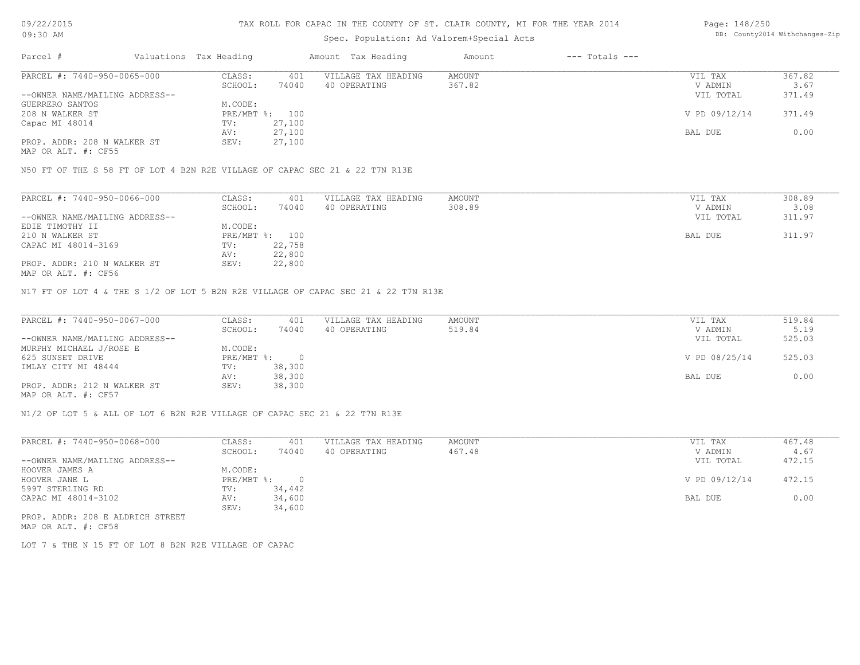### TAX ROLL FOR CAPAC IN THE COUNTY OF ST. CLAIR COUNTY, MI FOR THE YEAR 2014

# Spec. Population: Ad Valorem+Special Acts

| Page: 148/250 |                                |
|---------------|--------------------------------|
|               | DB: County2014 Withchanges-Zip |

| Parcel #<br>$---$ Totals $---$<br>Valuations Tax Heading<br>Amount Tax Heading<br>Amount |               |        |
|------------------------------------------------------------------------------------------|---------------|--------|
| PARCEL #: 7440-950-0065-000<br>VILLAGE TAX HEADING<br>CLASS:<br>AMOUNT<br>401            | VIL TAX       | 367.82 |
| 74040<br>367.82<br>SCHOOL:<br>40 OPERATING                                               | V ADMIN       | 3.67   |
| --OWNER NAME/MAILING ADDRESS--                                                           | VIL TOTAL     | 371.49 |
| M.CODE:<br>GUERRERO SANTOS                                                               |               |        |
| 208 N WALKER ST<br>PRE/MBT %: 100                                                        | V PD 09/12/14 | 371.49 |
| 27,100<br>Capac MI 48014<br>TV:                                                          |               |        |
| 27,100<br>AV:                                                                            | BAL DUE       | 0.00   |
| PROP. ADDR: 208 N WALKER ST<br>27,100<br>SEV:                                            |               |        |

MAP OR ALT. #: CF55

N50 FT OF THE S 58 FT OF LOT 4 B2N R2E VILLAGE OF CAPAC SEC 21 & 22 T7N R13E

| PARCEL #: 7440-950-0066-000    | CLASS:     | 401    | VILLAGE TAX HEADING | AMOUNT | VIL TAX   | 308.89 |
|--------------------------------|------------|--------|---------------------|--------|-----------|--------|
|                                | SCHOOL:    | 74040  | 40 OPERATING        | 308.89 | V ADMIN   | 3.08   |
| --OWNER NAME/MAILING ADDRESS-- |            |        |                     |        | VIL TOTAL | 311.97 |
| EDIE TIMOTHY II                | M.CODE:    |        |                     |        |           |        |
| 210 N WALKER ST                | PRE/MBT %: | 100    |                     |        | BAL DUE   | 311.97 |
| CAPAC MI 48014-3169            | TV:        | 22,758 |                     |        |           |        |
|                                | AV:        | 22,800 |                     |        |           |        |
| PROP. ADDR: 210 N WALKER ST    | SEV:       | 22,800 |                     |        |           |        |

MAP OR ALT. #: CF56

N17 FT OF LOT 4 & THE S 1/2 OF LOT 5 B2N R2E VILLAGE OF CAPAC SEC 21 & 22 T7N R13E

| PARCEL #: 7440-950-0067-000    | CLASS:     | 401    | VILLAGE TAX HEADING | AMOUNT | VIL TAX       | 519.84 |
|--------------------------------|------------|--------|---------------------|--------|---------------|--------|
|                                | SCHOOL:    | 74040  | 40 OPERATING        | 519.84 | V ADMIN       | 5.19   |
| --OWNER NAME/MAILING ADDRESS-- |            |        |                     |        | VIL TOTAL     | 525.03 |
| MURPHY MICHAEL J/ROSE E        | M.CODE:    |        |                     |        |               |        |
| 625 SUNSET DRIVE               | PRE/MBT %: |        |                     |        | V PD 08/25/14 | 525.03 |
| IMLAY CITY MI 48444            | TV:        | 38,300 |                     |        |               |        |
|                                | AV:        | 38,300 |                     |        | BAL DUE       | 0.00   |
| PROP. ADDR: 212 N WALKER ST    | SEV:       | 38,300 |                     |        |               |        |
| MAP OR ALT. #: CF57            |            |        |                     |        |               |        |

N1/2 OF LOT 5 & ALL OF LOT 6 B2N R2E VILLAGE OF CAPAC SEC 21 & 22 T7N R13E

| PARCEL #: 7440-950-0068-000      | CLASS:     | 401      | VILLAGE TAX HEADING | AMOUNT | VIL TAX       | 467.48 |
|----------------------------------|------------|----------|---------------------|--------|---------------|--------|
|                                  | SCHOOL:    | 74040    | 40 OPERATING        | 467.48 | V ADMIN       | 4.67   |
| --OWNER NAME/MAILING ADDRESS--   |            |          |                     |        | VIL TOTAL     | 472.15 |
| HOOVER JAMES A                   | M.CODE:    |          |                     |        |               |        |
| HOOVER JANE L                    | PRE/MBT %: | $\Omega$ |                     |        | V PD 09/12/14 | 472.15 |
| 5997 STERLING RD                 | TV:        | 34,442   |                     |        |               |        |
| CAPAC MI 48014-3102              | AV:        | 34,600   |                     |        | BAL DUE       | 0.00   |
|                                  | SEV:       | 34,600   |                     |        |               |        |
| PROP. ADDR: 208 E ALDRICH STREET |            |          |                     |        |               |        |

MAP OR ALT. #: CF58

LOT 7 & THE N 15 FT OF LOT 8 B2N R2E VILLAGE OF CAPAC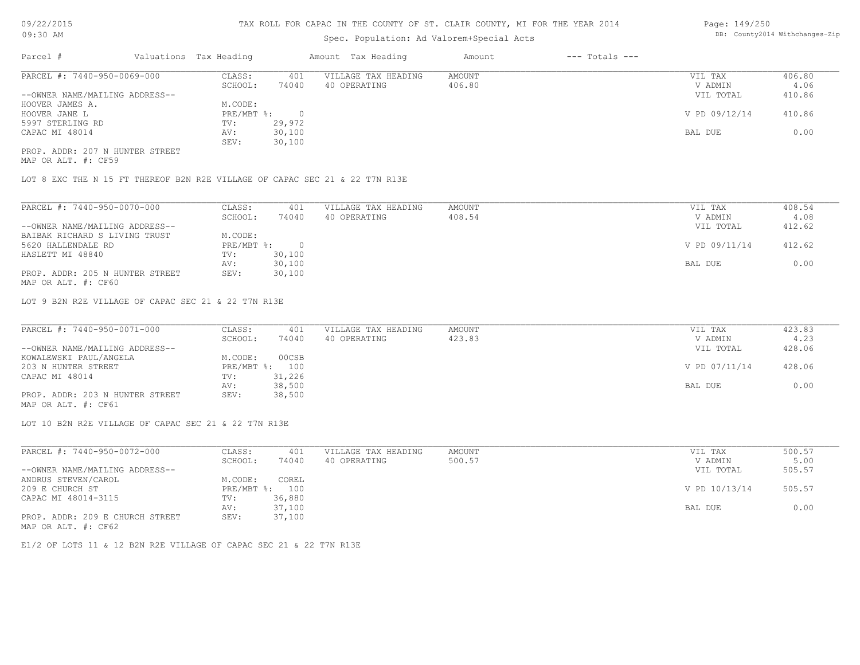# Spec. Population: Ad Valorem+Special Acts

| Page: 149/250 |                                |
|---------------|--------------------------------|
|               | DB: County2014 Withchanges-Zip |

| Parcel #                       | Valuations Tax Heading |        | Amount Tax Heading  | Amount | $---$ Totals $---$ |               |        |
|--------------------------------|------------------------|--------|---------------------|--------|--------------------|---------------|--------|
| PARCEL #: 7440-950-0069-000    | CLASS:                 | 401    | VILLAGE TAX HEADING | AMOUNT |                    | VIL TAX       | 406.80 |
|                                | SCHOOL:                | 74040  | 40 OPERATING        | 406.80 |                    | V ADMIN       | 4.06   |
| --OWNER NAME/MAILING ADDRESS-- |                        |        |                     |        |                    | VIL TOTAL     | 410.86 |
| HOOVER JAMES A.                | M.CODE:                |        |                     |        |                    |               |        |
| HOOVER JANE L                  | PRE/MBT %:             |        |                     |        |                    | V PD 09/12/14 | 410.86 |
| 5997 STERLING RD               | TV:                    | 29,972 |                     |        |                    |               |        |
| CAPAC MI 48014                 | AV:                    | 30,100 |                     |        |                    | BAL DUE       | 0.00   |
|                                | SEV:                   | 30,100 |                     |        |                    |               |        |
|                                |                        |        |                     |        |                    |               |        |

MAP OR ALT. #: CF59 PROP. ADDR: 207 N HUNTER STREET

LOT 8 EXC THE N 15 FT THEREOF B2N R2E VILLAGE OF CAPAC SEC 21 & 22 T7N R13E

| PARCEL #: 7440-950-0070-000     | CLASS:     | 401       | VILLAGE TAX HEADING | AMOUNT | VIL TAX       | 408.54 |
|---------------------------------|------------|-----------|---------------------|--------|---------------|--------|
|                                 | SCHOOL:    | 74040     | 40 OPERATING        | 408.54 | V ADMIN       | 4.08   |
| --OWNER NAME/MAILING ADDRESS--  |            |           |                     |        | VIL TOTAL     | 412.62 |
| BAIBAK RICHARD S LIVING TRUST   | M.CODE:    |           |                     |        |               |        |
| 5620 HALLENDALE RD              | PRE/MBT %: | $\bigcap$ |                     |        | V PD 09/11/14 | 412.62 |
| HASLETT MI 48840                | TV:        | 30,100    |                     |        |               |        |
|                                 | AV:        | 30,100    |                     |        | BAL DUE       | 0.00   |
| PROP. ADDR: 205 N HUNTER STREET | SEV:       | 30,100    |                     |        |               |        |
| MAP OR ALT. #: CF60             |            |           |                     |        |               |        |

LOT 9 B2N R2E VILLAGE OF CAPAC SEC 21 & 22 T7N R13E

| PARCEL #: 7440-950-0071-000     | CLASS:  | 401            | VILLAGE TAX HEADING | AMOUNT | VIL TAX       | 423.83 |
|---------------------------------|---------|----------------|---------------------|--------|---------------|--------|
|                                 | SCHOOL: | 74040          | 40 OPERATING        | 423.83 | V ADMIN       | 4.23   |
| --OWNER NAME/MAILING ADDRESS--  |         |                |                     |        | VIL TOTAL     | 428.06 |
| KOWALEWSKI PAUL/ANGELA          | M.CODE: | 00CSB          |                     |        |               |        |
| 203 N HUNTER STREET             |         | PRE/MBT %: 100 |                     |        | V PD 07/11/14 | 428.06 |
| CAPAC MI 48014                  | TV:     | 31,226         |                     |        |               |        |
|                                 | AV:     | 38,500         |                     |        | BAL DUE       | 0.00   |
| PROP. ADDR: 203 N HUNTER STREET | SEV:    | 38,500         |                     |        |               |        |
|                                 |         |                |                     |        |               |        |

MAP OR ALT. #: CF61

LOT 10 B2N R2E VILLAGE OF CAPAC SEC 21 & 22 T7N R13E

| PARCEL #: 7440-950-0072-000     | CLASS:     | 401    | VILLAGE TAX HEADING | AMOUNT | VIL TAX       | 500.57 |
|---------------------------------|------------|--------|---------------------|--------|---------------|--------|
|                                 | SCHOOL:    | 74040  | 40 OPERATING        | 500.57 | V ADMIN       | 5.00   |
| --OWNER NAME/MAILING ADDRESS--  |            |        |                     |        | VIL TOTAL     | 505.57 |
| ANDRUS STEVEN/CAROL             | M.CODE:    | COREL  |                     |        |               |        |
| 209 E CHURCH ST                 | PRE/MBT %: | 100    |                     |        | V PD 10/13/14 | 505.57 |
| CAPAC MI 48014-3115             | TV:        | 36,880 |                     |        |               |        |
|                                 | AV:        | 37,100 |                     |        | BAL DUE       | 0.00   |
| PROP. ADDR: 209 E CHURCH STREET | SEV:       | 37,100 |                     |        |               |        |
| MAP OR ALT. #: CF62             |            |        |                     |        |               |        |

E1/2 OF LOTS 11 & 12 B2N R2E VILLAGE OF CAPAC SEC 21 & 22 T7N R13E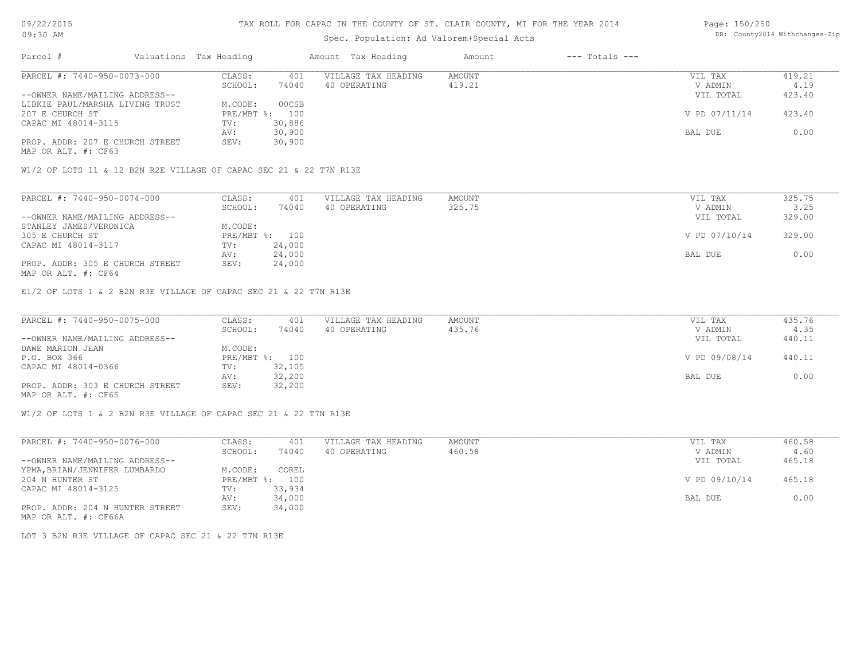MAP OR ALT. #: CF63

#### TAX ROLL FOR CAPAC IN THE COUNTY OF ST. CLAIR COUNTY, MI FOR THE YEAR 2014

# Spec. Population: Ad Valorem+Special Acts

|                                 |         |                        |                     | Amount             | $---$ Totals $---$ |               |        |
|---------------------------------|---------|------------------------|---------------------|--------------------|--------------------|---------------|--------|
| PARCEL #: 7440-950-0073-000     | CLASS:  | 401                    | VILLAGE TAX HEADING | AMOUNT             |                    | VIL TAX       | 419.21 |
|                                 | SCHOOL: | 74040                  | 40 OPERATING        | 419.21             |                    | V ADMIN       | 4.19   |
| --OWNER NAME/MAILING ADDRESS--  |         |                        |                     |                    |                    | VIL TOTAL     | 423.40 |
| LIBKIE PAUL/MARSHA LIVING TRUST | M.CODE: | 00CSB                  |                     |                    |                    |               |        |
|                                 |         |                        |                     |                    |                    | V PD 07/11/14 | 423.40 |
| CAPAC MI 48014-3115             | TV:     | 30,886                 |                     |                    |                    |               |        |
|                                 | AV:     | 30,900                 |                     |                    |                    | BAL DUE       | 0.00   |
|                                 |         | Valuations Tax Heading | PRE/MBT %: 100      | Amount Tax Heading |                    |               |        |

W1/2 OF LOTS 11 & 12 B2N R2E VILLAGE OF CAPAC SEC 21 & 22 T7N R13E

PROP. ADDR: 207 E CHURCH STREET SEV: 30,900

| PARCEL #: 7440-950-0074-000     | CLASS:  | 401            | VILLAGE TAX HEADING | AMOUNT | VIL TAX       | 325.75 |
|---------------------------------|---------|----------------|---------------------|--------|---------------|--------|
|                                 | SCHOOL: | 74040          | 40 OPERATING        | 325.75 | V ADMIN       | 3.25   |
| --OWNER NAME/MAILING ADDRESS--  |         |                |                     |        | VIL TOTAL     | 329.00 |
| STANLEY JAMES/VERONICA          | M.CODE: |                |                     |        |               |        |
| 305 E CHURCH ST                 |         | PRE/MBT %: 100 |                     |        | V PD 07/10/14 | 329.00 |
| CAPAC MI 48014-3117             | TV:     | 24,000         |                     |        |               |        |
|                                 | AV:     | 24,000         |                     |        | BAL DUE       | 0.00   |
| PROP. ADDR: 305 E CHURCH STREET | SEV:    | 24,000         |                     |        |               |        |
| MAP OR ALT. #: CF64             |         |                |                     |        |               |        |

E1/2 OF LOTS 1 & 2 B2N R3E VILLAGE OF CAPAC SEC 21 & 22 T7N R13E

| PARCEL #: 7440-950-0075-000     | CLASS:  | 401            | VILLAGE TAX HEADING | AMOUNT | VIL TAX       | 435.76 |
|---------------------------------|---------|----------------|---------------------|--------|---------------|--------|
|                                 | SCHOOL: | 74040          | 40 OPERATING        | 435.76 | V ADMIN       | 4.35   |
| --OWNER NAME/MAILING ADDRESS--  |         |                |                     |        | VIL TOTAL     | 440.11 |
| DAWE MARION JEAN                | M.CODE: |                |                     |        |               |        |
| P.O. BOX 366                    |         | PRE/MBT %: 100 |                     |        | V PD 09/08/14 | 440.11 |
| CAPAC MI 48014-0366             | TV:     | 32,105         |                     |        |               |        |
|                                 | AV:     | 32,200         |                     |        | BAL DUE       | 0.00   |
| PROP. ADDR: 303 E CHURCH STREET | SEV:    | 32,200         |                     |        |               |        |
| MAP OR ALT. #: CF65             |         |                |                     |        |               |        |

W1/2 OF LOTS 1 & 2 B2N R3E VILLAGE OF CAPAC SEC 21 & 22 T7N R13E

| PARCEL #: 7440-950-0076-000     | CLASS:       | 401    | VILLAGE TAX HEADING | AMOUNT | VIL TAX       | 460.58 |
|---------------------------------|--------------|--------|---------------------|--------|---------------|--------|
|                                 | SCHOOL:      | 74040  | 40 OPERATING        | 460.58 | V ADMIN       | 4.60   |
| --OWNER NAME/MAILING ADDRESS--  |              |        |                     |        | VIL TOTAL     | 465.18 |
| YPMA, BRIAN/JENNIFER LUMBARDO   | M.CODE:      | COREL  |                     |        |               |        |
| 204 N HUNTER ST                 | $PRE/MBT$ %: | 100    |                     |        | V PD 09/10/14 | 465.18 |
| CAPAC MI 48014-3125             | TV:          | 33,934 |                     |        |               |        |
|                                 | AV:          | 34,000 |                     |        | BAL DUE       | 0.00   |
| PROP. ADDR: 204 N HUNTER STREET | SEV:         | 34,000 |                     |        |               |        |
| MAP OR ALT. #: CF66A            |              |        |                     |        |               |        |

LOT 3 B2N R3E VILLAGE OF CAPAC SEC 21 & 22 T7N R13E

Page: 150/250 DB: County2014 Withchanges-Zip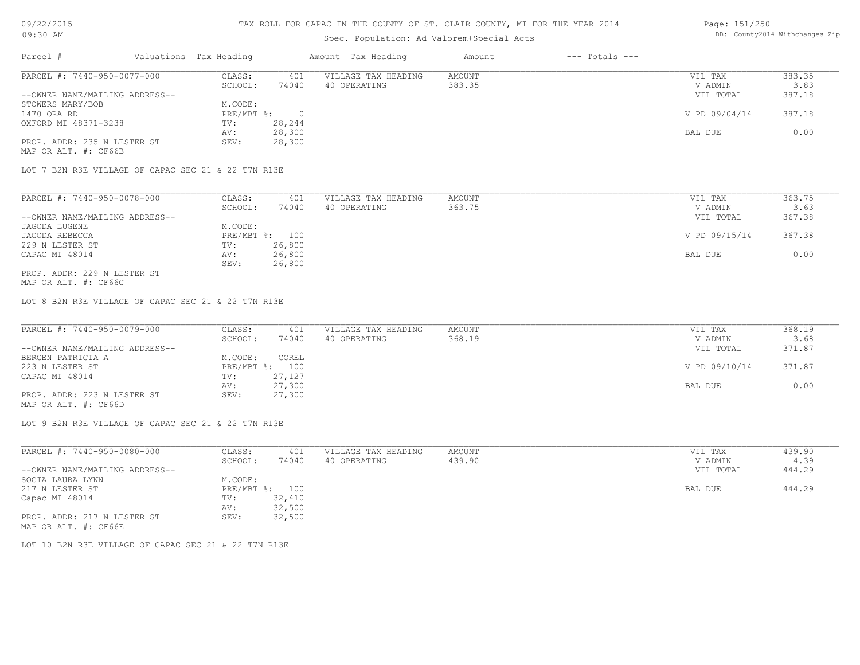#### TAX ROLL FOR CAPAC IN THE COUNTY OF ST. CLAIR COUNTY, MI FOR THE YEAR 2014

### Spec. Population: Ad Valorem+Special Acts

#### Page: 151/250 DB: County2014 Withchanges-Zip

| Parcel #                       | Valuations Tax Heading |        | Amount Tax Heading  | Amount | $---$ Totals $---$ |               |        |
|--------------------------------|------------------------|--------|---------------------|--------|--------------------|---------------|--------|
| PARCEL #: 7440-950-0077-000    | CLASS:                 | 401    | VILLAGE TAX HEADING | AMOUNT |                    | VIL TAX       | 383.35 |
|                                | SCHOOL:                | 74040  | 40 OPERATING        | 383.35 |                    | V ADMIN       | 3.83   |
| --OWNER NAME/MAILING ADDRESS-- |                        |        |                     |        |                    | VIL TOTAL     | 387.18 |
| STOWERS MARY/BOB               | M.CODE:                |        |                     |        |                    |               |        |
| 1470 ORA RD                    | $PRE/MBT$ $\div$       |        |                     |        |                    | V PD 09/04/14 | 387.18 |
| OXFORD MI 48371-3238           | TV:                    | 28,244 |                     |        |                    |               |        |
|                                | AV:                    | 28,300 |                     |        |                    | BAL DUE       | 0.00   |
| PROP. ADDR: 235 N LESTER ST    | SEV:                   | 28,300 |                     |        |                    |               |        |
| MAP OR ALT. #: CF66B           |                        |        |                     |        |                    |               |        |

LOT 7 B2N R3E VILLAGE OF CAPAC SEC 21 & 22 T7N R13E

| PARCEL #: 7440-950-0078-000    | CLASS:     | 401    | VILLAGE TAX HEADING | AMOUNT | VIL TAX       | 363.75 |
|--------------------------------|------------|--------|---------------------|--------|---------------|--------|
|                                | SCHOOL:    | 74040  | 40 OPERATING        | 363.75 | V ADMIN       | 3.63   |
| --OWNER NAME/MAILING ADDRESS-- |            |        |                     |        | VIL TOTAL     | 367.38 |
| JAGODA EUGENE                  | M.CODE:    |        |                     |        |               |        |
| JAGODA REBECCA                 | PRE/MBT %: | 100    |                     |        | V PD 09/15/14 | 367.38 |
| 229 N LESTER ST                | TV:        | 26,800 |                     |        |               |        |
| CAPAC MI 48014                 | AV:        | 26,800 |                     |        | BAL DUE       | 0.00   |
|                                | SEV:       | 26,800 |                     |        |               |        |
| PROP. ADDR: 229 N LESTER ST    |            |        |                     |        |               |        |

MAP OR ALT. #: CF66C

LOT 8 B2N R3E VILLAGE OF CAPAC SEC 21 & 22 T7N R13E

| PARCEL #: 7440-950-0079-000    | CLASS:  | 401            | VILLAGE TAX HEADING | AMOUNT | VIL TAX       | 368.19 |
|--------------------------------|---------|----------------|---------------------|--------|---------------|--------|
|                                | SCHOOL: | 74040          | 40 OPERATING        | 368.19 | V ADMIN       | 3.68   |
| --OWNER NAME/MAILING ADDRESS-- |         |                |                     |        | VIL TOTAL     | 371.87 |
| BERGEN PATRICIA A              | M.CODE: | COREL          |                     |        |               |        |
| 223 N LESTER ST                |         | PRE/MBT %: 100 |                     |        | V PD 09/10/14 | 371.87 |
| CAPAC MI 48014                 | TV:     | 27,127         |                     |        |               |        |
|                                | AV:     | 27,300         |                     |        | BAL DUE       | 0.00   |
| PROP. ADDR: 223 N LESTER ST    | SEV:    | 27,300         |                     |        |               |        |
|                                |         |                |                     |        |               |        |

MAP OR ALT. #: CF66D

LOT 9 B2N R3E VILLAGE OF CAPAC SEC 21 & 22 T7N R13E

| PARCEL #: 7440-950-0080-000                         | CLASS:  | 401            | VILLAGE TAX HEADING | AMOUNT | VIL TAX   | 439.90 |
|-----------------------------------------------------|---------|----------------|---------------------|--------|-----------|--------|
|                                                     | SCHOOL: | 74040          | 40 OPERATING        | 439.90 | V ADMIN   | 4.39   |
| --OWNER NAME/MAILING ADDRESS--                      |         |                |                     |        | VIL TOTAL | 444.29 |
| SOCIA LAURA LYNN                                    | M.CODE: |                |                     |        |           |        |
| 217 N LESTER ST                                     |         | PRE/MBT %: 100 |                     |        | BAL DUE   | 444.29 |
| Capac MI 48014                                      | TV:     | 32,410         |                     |        |           |        |
|                                                     | AV:     | 32,500         |                     |        |           |        |
| PROP. ADDR: 217 N LESTER ST<br>MAP OR ALT. #: CF66E | SEV:    | 32,500         |                     |        |           |        |

LOT 10 B2N R3E VILLAGE OF CAPAC SEC 21 & 22 T7N R13E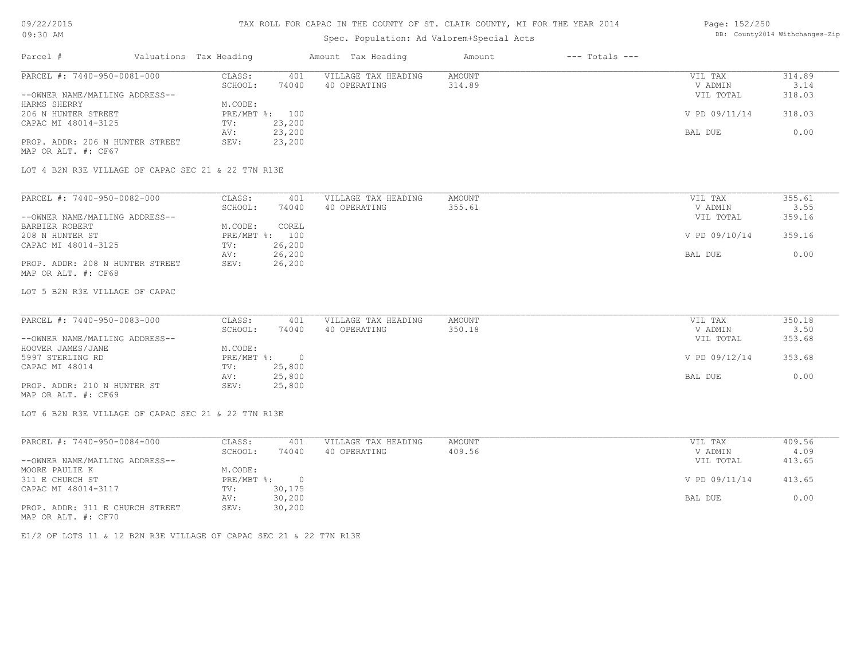# TAX ROLL FOR CAPAC IN THE COUNTY OF ST. CLAIR COUNTY, MI FOR THE YEAR 2014

# Spec. Population: Ad Valorem+Special Acts

#### Page: 152/250 DB: County2014 Withchanges-Zip

| Parcel #                                            | Valuations Tax Heading |        | Amount Tax Heading  | Amount | $---$ Totals $---$ |               |        |
|-----------------------------------------------------|------------------------|--------|---------------------|--------|--------------------|---------------|--------|
| PARCEL #: 7440-950-0081-000                         | CLASS:                 | 401    | VILLAGE TAX HEADING | AMOUNT |                    | VIL TAX       | 314.89 |
|                                                     | SCHOOL:                | 74040  | 40 OPERATING        | 314.89 |                    | V ADMIN       | 3.14   |
| --OWNER NAME/MAILING ADDRESS--                      |                        |        |                     |        |                    | VIL TOTAL     | 318.03 |
| HARMS SHERRY                                        | M.CODE:                |        |                     |        |                    |               |        |
| 206 N HUNTER STREET                                 | PRE/MBT %: 100         |        |                     |        |                    | V PD 09/11/14 | 318.03 |
| CAPAC MI 48014-3125                                 | TV:                    | 23,200 |                     |        |                    |               |        |
|                                                     | AV:                    | 23,200 |                     |        |                    | BAL DUE       | 0.00   |
| PROP. ADDR: 206 N HUNTER STREET                     | SEV:                   | 23,200 |                     |        |                    |               |        |
| MAP OR ALT. #: CF67                                 |                        |        |                     |        |                    |               |        |
| LOT 4 B2N R3E VILLAGE OF CAPAC SEC 21 & 22 T7N R13E |                        |        |                     |        |                    |               |        |
|                                                     |                        |        |                     |        |                    |               |        |
| PARCEL #: 7440-950-0082-000                         | CLASS:                 | 401    | VILLAGE TAX HEADING | AMOUNT |                    | VIL TAX       | 355.61 |
|                                                     | SCHOOL:                | 74040  | 40 OPERATING        | 355.61 |                    | V ADMIN       | 3.55   |

|                                 | SUMUUL:    | 74 U 4 U | 40 ofekating | 333.01 | V ADMIN       |        |
|---------------------------------|------------|----------|--------------|--------|---------------|--------|
| --OWNER NAME/MAILING ADDRESS--  |            |          |              |        | VIL TOTAL     | 359.16 |
| BARBIER ROBERT                  | M.CODE:    | COREL    |              |        |               |        |
| 208 N HUNTER ST                 | PRE/MBT %: | 100      |              |        | V PD 09/10/14 | 359.16 |
| CAPAC MI 48014-3125             | TV:        | 26,200   |              |        |               |        |
|                                 | AV:        | 26,200   |              |        | BAL DUE       | 0.00   |
| PROP. ADDR: 208 N HUNTER STREET | SEV:       | 26,200   |              |        |               |        |
| MAP OR ALT. #: CF68             |            |          |              |        |               |        |

LOT 5 B2N R3E VILLAGE OF CAPAC

| PARCEL #: 7440-950-0083-000    | CLASS:     | 401    | VILLAGE TAX HEADING | AMOUNT | VIL TAX       | 350.18 |
|--------------------------------|------------|--------|---------------------|--------|---------------|--------|
|                                | SCHOOL:    | 74040  | 40 OPERATING        | 350.18 | V ADMIN       | 3.50   |
| --OWNER NAME/MAILING ADDRESS-- |            |        |                     |        | VIL TOTAL     | 353.68 |
| HOOVER JAMES/JANE              | M.CODE:    |        |                     |        |               |        |
| 5997 STERLING RD               | PRE/MBT %: |        |                     |        | V PD 09/12/14 | 353.68 |
| CAPAC MI 48014                 | TV:        | 25,800 |                     |        |               |        |
|                                | AV:        | 25,800 |                     |        | BAL DUE       | 0.00   |
| PROP. ADDR: 210 N HUNTER ST    | SEV:       | 25,800 |                     |        |               |        |
| MAP OR ALT. #: CF69            |            |        |                     |        |               |        |

LOT 6 B2N R3E VILLAGE OF CAPAC SEC 21 & 22 T7N R13E

| PARCEL #: 7440-950-0084-000     | CLASS:     | 401    | VILLAGE TAX HEADING | AMOUNT | VIL TAX       | 409.56 |
|---------------------------------|------------|--------|---------------------|--------|---------------|--------|
|                                 | SCHOOL:    | 74040  | 40 OPERATING        | 409.56 | V ADMIN       | 4.09   |
| --OWNER NAME/MAILING ADDRESS--  |            |        |                     |        | VIL TOTAL     | 413.65 |
| MOORE PAULIE K                  | M.CODE:    |        |                     |        |               |        |
| 311 E CHURCH ST                 | PRE/MBT %: |        |                     |        | V PD 09/11/14 | 413.65 |
| CAPAC MI 48014-3117             | TV:        | 30,175 |                     |        |               |        |
|                                 | AV:        | 30,200 |                     |        | BAL DUE       | 0.00   |
| PROP. ADDR: 311 E CHURCH STREET | SEV:       | 30,200 |                     |        |               |        |
| MAP OR ALT. #: CF70             |            |        |                     |        |               |        |

E1/2 OF LOTS 11 & 12 B2N R3E VILLAGE OF CAPAC SEC 21 & 22 T7N R13E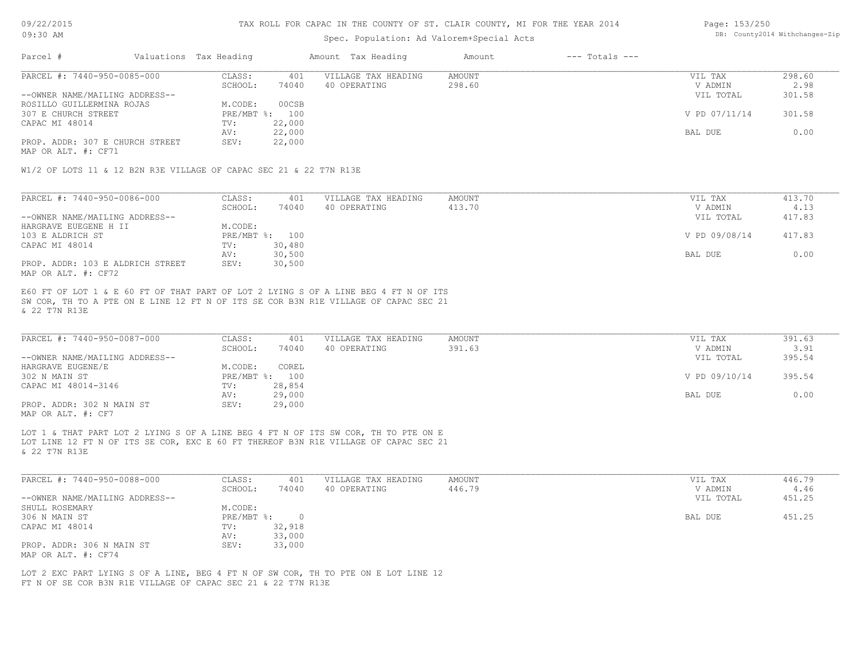### Spec. Population: Ad Valorem+Special Acts

#### Page: 153/250 DB: County2014 Withchanges-Zip

| Parcel #                        | Valuations Tax Heading |        | Amount Tax Heading  | Amount | $---$ Totals $---$ |               |        |
|---------------------------------|------------------------|--------|---------------------|--------|--------------------|---------------|--------|
| PARCEL #: 7440-950-0085-000     | CLASS:                 | 401    | VILLAGE TAX HEADING | AMOUNT |                    | VIL TAX       | 298.60 |
|                                 | SCHOOL:                | 74040  | 40 OPERATING        | 298.60 |                    | V ADMIN       | 2.98   |
| --OWNER NAME/MAILING ADDRESS--  |                        |        |                     |        |                    | VIL TOTAL     | 301.58 |
| ROSILLO GUILLERMINA ROJAS       | M.CODE:                | 00CSB  |                     |        |                    |               |        |
| 307 E CHURCH STREET             | PRE/MBT %: 100         |        |                     |        |                    | V PD 07/11/14 | 301.58 |
| CAPAC MI 48014                  | TV:                    | 22,000 |                     |        |                    |               |        |
|                                 | AV:                    | 22,000 |                     |        |                    | BAL DUE       | 0.00   |
| PROP. ADDR: 307 E CHURCH STREET | SEV:                   | 22,000 |                     |        |                    |               |        |
|                                 |                        |        |                     |        |                    |               |        |

MAP OR ALT. #: CF71

W1/2 OF LOTS 11 & 12 B2N R3E VILLAGE OF CAPAC SEC 21 & 22 T7N R13E

| PARCEL #: 7440-950-0086-000      | CLASS:  | 401            | VILLAGE TAX HEADING | AMOUNT | VIL TAX       | 413.70 |
|----------------------------------|---------|----------------|---------------------|--------|---------------|--------|
|                                  | SCHOOL: | 74040          | 40 OPERATING        | 413.70 | V ADMIN       | 4.13   |
| --OWNER NAME/MAILING ADDRESS--   |         |                |                     |        | VIL TOTAL     | 417.83 |
| HARGRAVE EUEGENE H II            | M.CODE: |                |                     |        |               |        |
| 103 E ALDRICH ST                 |         | PRE/MBT %: 100 |                     |        | V PD 09/08/14 | 417.83 |
| CAPAC MI 48014                   | TV:     | 30,480         |                     |        |               |        |
|                                  | AV:     | 30,500         |                     |        | BAL DUE       | 0.00   |
| PROP. ADDR: 103 E ALDRICH STREET | SEV:    | 30,500         |                     |        |               |        |
| MAP OR ALT. #: CF72              |         |                |                     |        |               |        |

& 22 T7N R13E SW COR, TH TO A PTE ON E LINE 12 FT N OF ITS SE COR B3N R1E VILLAGE OF CAPAC SEC 21 E60 FT OF LOT 1 & E 60 FT OF THAT PART OF LOT 2 LYING S OF A LINE BEG 4 FT N OF ITS

| PARCEL #: 7440-950-0087-000    | CLASS:  | 401            | VILLAGE TAX HEADING | AMOUNT | VIL TAX       | 391.63 |
|--------------------------------|---------|----------------|---------------------|--------|---------------|--------|
|                                | SCHOOL: | 74040          | 40 OPERATING        | 391.63 | V ADMIN       | 3.91   |
| --OWNER NAME/MAILING ADDRESS-- |         |                |                     |        | VIL TOTAL     | 395.54 |
| HARGRAVE EUGENE/E              | M.CODE: | COREL          |                     |        |               |        |
| 302 N MAIN ST                  |         | PRE/MBT %: 100 |                     |        | V PD 09/10/14 | 395.54 |
| CAPAC MI 48014-3146            | TV:     | 28,854         |                     |        |               |        |
|                                | AV:     | 29,000         |                     |        | BAL DUE       | 0.00   |
| PROP. ADDR: 302 N MAIN ST      | SEV:    | 29,000         |                     |        |               |        |
| MAP OR ALT. #: CF7             |         |                |                     |        |               |        |

& 22 T7N R13E LOT LINE 12 FT N OF ITS SE COR, EXC E 60 FT THEREOF B3N R1E VILLAGE OF CAPAC SEC 21 LOT 1 & THAT PART LOT 2 LYING S OF A LINE BEG 4 FT N OF ITS SW COR, TH TO PTE ON E

| PARCEL #: 7440-950-0088-000    | CLASS:       | 401    | VILLAGE TAX HEADING | AMOUNT | VIL TAX   | 446.79 |
|--------------------------------|--------------|--------|---------------------|--------|-----------|--------|
|                                | SCHOOL:      | 74040  | 40 OPERATING        | 446.79 | V ADMIN   | 4.46   |
| --OWNER NAME/MAILING ADDRESS-- |              |        |                     |        | VIL TOTAL | 451.25 |
| SHULL ROSEMARY                 | M.CODE:      |        |                     |        |           |        |
| 306 N MAIN ST                  | $PRE/MBT$ %: |        |                     |        | BAL DUE   | 451.25 |
| CAPAC MI 48014                 | TV:          | 32,918 |                     |        |           |        |
|                                | AV:          | 33,000 |                     |        |           |        |
| PROP. ADDR: 306 N MAIN ST      | SEV:         | 33,000 |                     |        |           |        |
| MAP OR ALT. #: CF74            |              |        |                     |        |           |        |

FT N OF SE COR B3N R1E VILLAGE OF CAPAC SEC 21 & 22 T7N R13E LOT 2 EXC PART LYING S OF A LINE, BEG 4 FT N OF SW COR, TH TO PTE ON E LOT LINE 12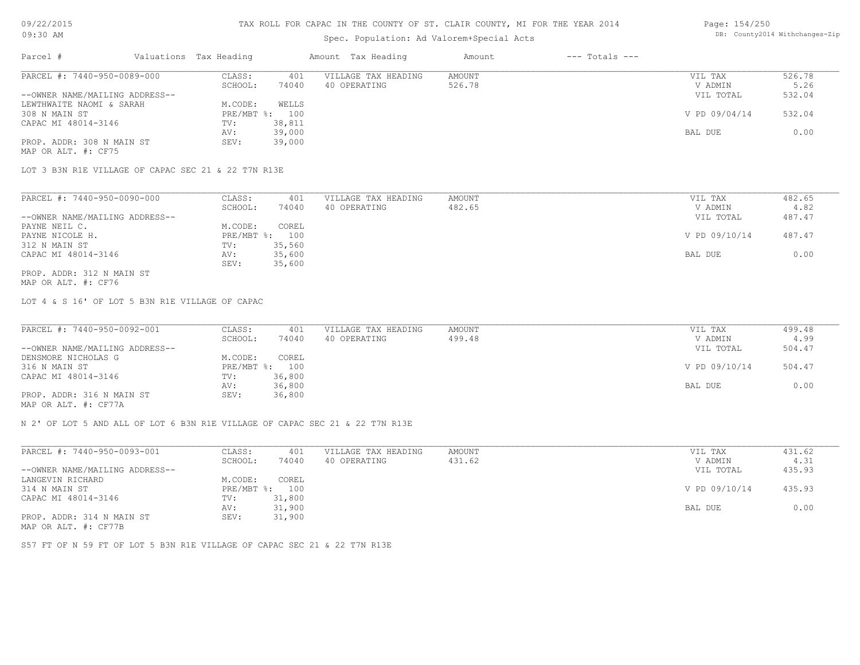# Spec. Population: Ad Valorem+Special Acts

| Parcel #                       | Valuations Tax Heading |        | Amount Tax Heading  | Amount | $---$ Totals $---$ |               |        |
|--------------------------------|------------------------|--------|---------------------|--------|--------------------|---------------|--------|
| PARCEL #: 7440-950-0089-000    | CLASS:                 | 401    | VILLAGE TAX HEADING | AMOUNT |                    | VIL TAX       | 526.78 |
|                                | SCHOOL:                | 74040  | 40 OPERATING        | 526.78 |                    | V ADMIN       | 5.26   |
| --OWNER NAME/MAILING ADDRESS-- |                        |        |                     |        |                    | VIL TOTAL     | 532.04 |
| LEWTHWAITE NAOMI & SARAH       | M.CODE:                | WELLS  |                     |        |                    |               |        |
| 308 N MAIN ST                  | PRE/MBT %: 100         |        |                     |        |                    | V PD 09/04/14 | 532.04 |
| CAPAC MI 48014-3146            | TV:                    | 38,811 |                     |        |                    |               |        |
|                                | AV:                    | 39,000 |                     |        |                    | BAL DUE       | 0.00   |
| PROP. ADDR: 308 N MAIN ST      | SEV:                   | 39,000 |                     |        |                    |               |        |

MAP OR ALT. #: CF75

LOT 3 B3N R1E VILLAGE OF CAPAC SEC 21 & 22 T7N R13E

| PARCEL #: 7440-950-0090-000    | CLASS:     | 401    | VILLAGE TAX HEADING | AMOUNT | VIL TAX       | 482.65 |
|--------------------------------|------------|--------|---------------------|--------|---------------|--------|
|                                | SCHOOL:    | 74040  | 40 OPERATING        | 482.65 | V ADMIN       | 4.82   |
| --OWNER NAME/MAILING ADDRESS-- |            |        |                     |        | VIL TOTAL     | 487.47 |
| PAYNE NEIL C.                  | M.CODE:    | COREL  |                     |        |               |        |
| PAYNE NICOLE H.                | PRE/MBT %: | 100    |                     |        | V PD 09/10/14 | 487.47 |
| 312 N MAIN ST                  | TV:        | 35,560 |                     |        |               |        |
| CAPAC MI 48014-3146            | AV:        | 35,600 |                     |        | BAL DUE       | 0.00   |
|                                | SEV:       | 35,600 |                     |        |               |        |
| PROP. ADDR: 312 N MAIN ST      |            |        |                     |        |               |        |

MAP OR ALT. #: CF76

LOT 4 & S 16' OF LOT 5 B3N R1E VILLAGE OF CAPAC

| PARCEL #: 7440-950-0092-001    | CLASS:     | 401    | VILLAGE TAX HEADING | AMOUNT | VIL TAX       | 499.48 |
|--------------------------------|------------|--------|---------------------|--------|---------------|--------|
|                                | SCHOOL:    | 74040  | 40 OPERATING        | 499.48 | V ADMIN       | 4.99   |
| --OWNER NAME/MAILING ADDRESS-- |            |        |                     |        | VIL TOTAL     | 504.47 |
| DENSMORE NICHOLAS G            | M.CODE:    | COREL  |                     |        |               |        |
| 316 N MAIN ST                  | PRE/MBT %: | 100    |                     |        | V PD 09/10/14 | 504.47 |
| CAPAC MI 48014-3146            | TV:        | 36,800 |                     |        |               |        |
|                                | AV:        | 36,800 |                     |        | BAL DUE       | 0.00   |
| PROP. ADDR: 316 N MAIN ST      | SEV:       | 36,800 |                     |        |               |        |
|                                |            |        |                     |        |               |        |

MAP OR ALT. #: CF77A

N 2' OF LOT 5 AND ALL OF LOT 6 B3N R1E VILLAGE OF CAPAC SEC 21 & 22 T7N R13E

| PARCEL #: 7440-950-0093-001    | CLASS:  | 401            | VILLAGE TAX HEADING | AMOUNT | VIL TAX       | 431.62 |
|--------------------------------|---------|----------------|---------------------|--------|---------------|--------|
|                                | SCHOOL: | 74040          | 40 OPERATING        | 431.62 | V ADMIN       | 4.31   |
| --OWNER NAME/MAILING ADDRESS-- |         |                |                     |        | VIL TOTAL     | 435.93 |
| LANGEVIN RICHARD               | M.CODE: | COREL          |                     |        |               |        |
| 314 N MAIN ST                  |         | PRE/MBT %: 100 |                     |        | V PD 09/10/14 | 435.93 |
| CAPAC MI 48014-3146            | TV:     | 31,800         |                     |        |               |        |
|                                | AV:     | 31,900         |                     |        | BAL DUE       | 0.00   |
| PROP. ADDR: 314 N MAIN ST      | SEV:    | 31,900         |                     |        |               |        |
| MAP OR ALT. #: CF77B           |         |                |                     |        |               |        |

S57 FT OF N 59 FT OF LOT 5 B3N R1E VILLAGE OF CAPAC SEC 21 & 22 T7N R13E

Page: 154/250 DB: County2014 Withchanges-Zip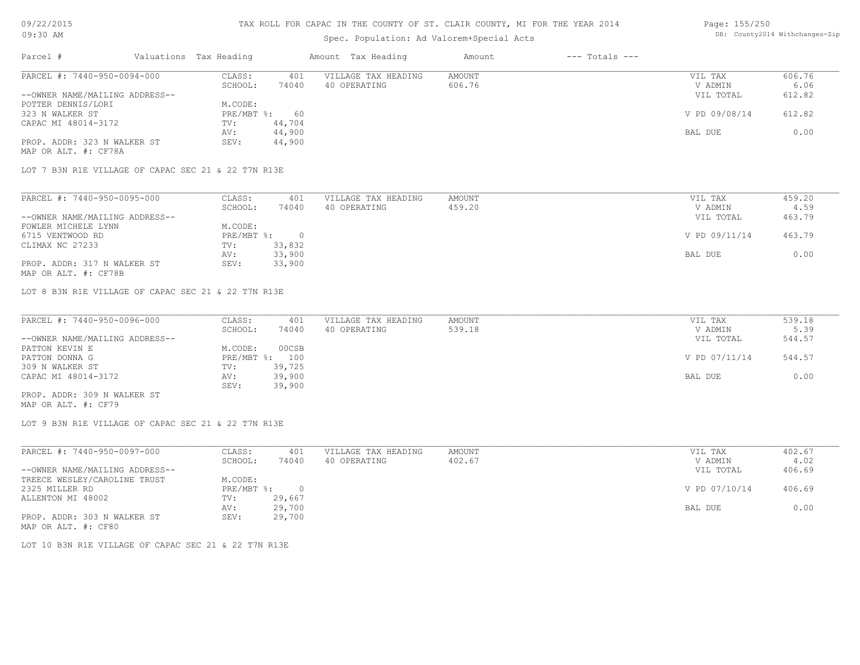#### TAX ROLL FOR CAPAC IN THE COUNTY OF ST. CLAIR COUNTY, MI FOR THE YEAR 2014

# Spec. Population: Ad Valorem+Special Acts

#### Page: 155/250 DB: County2014 Withchanges-Zip

| Parcel #                       |  | Valuations Tax Heading |        | Amount Tax Heading  | Amount | $---$ Totals $---$ |               |        |
|--------------------------------|--|------------------------|--------|---------------------|--------|--------------------|---------------|--------|
| PARCEL #: 7440-950-0094-000    |  | CLASS:                 | 401    | VILLAGE TAX HEADING | AMOUNT |                    | VIL TAX       | 606.76 |
|                                |  | SCHOOL:                | 74040  | 40 OPERATING        | 606.76 |                    | V ADMIN       | 6.06   |
| --OWNER NAME/MAILING ADDRESS-- |  |                        |        |                     |        |                    | VIL TOTAL     | 612.82 |
| POTTER DENNIS/LORI             |  | M.CODE:                |        |                     |        |                    |               |        |
| 323 N WALKER ST                |  | $PRE/MBT$ %:           | 60     |                     |        |                    | V PD 09/08/14 | 612.82 |
| CAPAC MI 48014-3172            |  | TV:                    | 44,704 |                     |        |                    |               |        |
|                                |  | AV:                    | 44,900 |                     |        |                    | BAL DUE       | 0.00   |
| PROP. ADDR: 323 N WALKER ST    |  | SEV:                   | 44,900 |                     |        |                    |               |        |
| MAP OR ALT. #: CF78A           |  |                        |        |                     |        |                    |               |        |

LOT 7 B3N R1E VILLAGE OF CAPAC SEC 21 & 22 T7N R13E

| PARCEL #: 7440-950-0095-000    | CLASS:     | 401    | VILLAGE TAX HEADING | AMOUNT | VIL TAX       | 459.20 |
|--------------------------------|------------|--------|---------------------|--------|---------------|--------|
|                                | SCHOOL:    | 74040  | 40 OPERATING        | 459.20 | V ADMIN       | 4.59   |
| --OWNER NAME/MAILING ADDRESS-- |            |        |                     |        | VIL TOTAL     | 463.79 |
| FOWLER MICHELE LYNN            | M.CODE:    |        |                     |        |               |        |
| 6715 VENTWOOD RD               | PRE/MBT %: |        |                     |        | V PD 09/11/14 | 463.79 |
| CLIMAX NC 27233                | TV:        | 33,832 |                     |        |               |        |
|                                | AV:        | 33,900 |                     |        | BAL DUE       | 0.00   |
| PROP. ADDR: 317 N WALKER ST    | SEV:       | 33,900 |                     |        |               |        |
| MAP OR ALT. #: CF78B           |            |        |                     |        |               |        |

LOT 8 B3N R1E VILLAGE OF CAPAC SEC 21 & 22 T7N R13E

| PARCEL #: 7440-950-0096-000    | CLASS:  | 401            | VILLAGE TAX HEADING | AMOUNT | VIL TAX       | 539.18 |
|--------------------------------|---------|----------------|---------------------|--------|---------------|--------|
|                                | SCHOOL: | 74040          | 40 OPERATING        | 539.18 | V ADMIN       | 5.39   |
| --OWNER NAME/MAILING ADDRESS-- |         |                |                     |        | VIL TOTAL     | 544.57 |
| PATTON KEVIN E                 | M.CODE: | 00CSB          |                     |        |               |        |
| PATTON DONNA G                 |         | PRE/MBT %: 100 |                     |        | V PD 07/11/14 | 544.57 |
| 309 N WALKER ST                | TV:     | 39,725         |                     |        |               |        |
| CAPAC MI 48014-3172            | AV:     | 39,900         |                     |        | BAL DUE       | 0.00   |
|                                | SEV:    | 39,900         |                     |        |               |        |
| PROP. ADDR: 309 N WALKER ST    |         |                |                     |        |               |        |

MAP OR ALT. #: CF79

LOT 9 B3N R1E VILLAGE OF CAPAC SEC 21 & 22 T7N R13E

| PARCEL #: 7440-950-0097-000    | CLASS:     | 401    | VILLAGE TAX HEADING | AMOUNT | VIL TAX       | 402.67 |
|--------------------------------|------------|--------|---------------------|--------|---------------|--------|
|                                | SCHOOL:    | 74040  | 40 OPERATING        | 402.67 | V ADMIN       | 4.02   |
| --OWNER NAME/MAILING ADDRESS-- |            |        |                     |        | VIL TOTAL     | 406.69 |
| TREECE WESLEY/CAROLINE TRUST   | M.CODE:    |        |                     |        |               |        |
| 2325 MILLER RD                 | PRE/MBT %: |        |                     |        | V PD 07/10/14 | 406.69 |
| ALLENTON MI 48002              | TV:        | 29,667 |                     |        |               |        |
|                                | AV:        | 29,700 |                     |        | BAL DUE       | 0.00   |
| PROP. ADDR: 303 N WALKER ST    | SEV:       | 29,700 |                     |        |               |        |
| MAP OR ALT. #: CF80            |            |        |                     |        |               |        |

LOT 10 B3N R1E VILLAGE OF CAPAC SEC 21 & 22 T7N R13E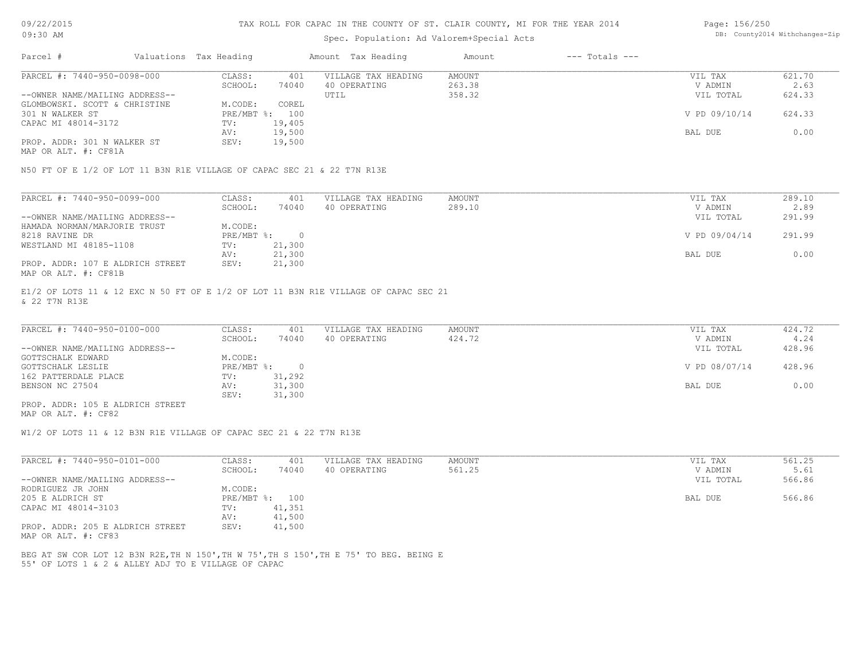### Spec. Population: Ad Valorem+Special Acts

#### Page: 156/250 DB: County2014 Withchanges-Zip

| Parcel #                       | Valuations Tax Heading |        | Amount Tax Heading  | Amount | $---$ Totals $---$ |               |        |
|--------------------------------|------------------------|--------|---------------------|--------|--------------------|---------------|--------|
| PARCEL #: 7440-950-0098-000    | CLASS:                 | 401    | VILLAGE TAX HEADING | AMOUNT |                    | VIL TAX       | 621.70 |
|                                | SCHOOL:                | 74040  | 40 OPERATING        | 263.38 |                    | V ADMIN       | 2.63   |
| --OWNER NAME/MAILING ADDRESS-- |                        |        | UTIL                | 358.32 |                    | VIL TOTAL     | 624.33 |
| GLOMBOWSKI. SCOTT & CHRISTINE  | M.CODE:                | COREL  |                     |        |                    |               |        |
| 301 N WALKER ST                | PRE/MBT %: 100         |        |                     |        |                    | V PD 09/10/14 | 624.33 |
| CAPAC MI 48014-3172            | TV:                    | 19,405 |                     |        |                    |               |        |
|                                | AV:                    | 19,500 |                     |        |                    | BAL DUE       | 0.00   |
| PROP. ADDR: 301 N WALKER ST    | SEV:                   | 19,500 |                     |        |                    |               |        |
|                                |                        |        |                     |        |                    |               |        |

MAP OR ALT. #: CF81A

N50 FT OF E 1/2 OF LOT 11 B3N R1E VILLAGE OF CAPAC SEC 21 & 22 T7N R13E

| PARCEL #: 7440-950-0099-000      | CLASS:     | 401    | VILLAGE TAX HEADING | AMOUNT | VIL TAX       | 289.10 |
|----------------------------------|------------|--------|---------------------|--------|---------------|--------|
|                                  | SCHOOL:    | 74040  | 40 OPERATING        | 289.10 | V ADMIN       | 2.89   |
| --OWNER NAME/MAILING ADDRESS--   |            |        |                     |        | VIL TOTAL     | 291.99 |
| HAMADA NORMAN/MARJORIE TRUST     | M.CODE:    |        |                     |        |               |        |
| 8218 RAVINE DR                   | PRE/MBT %: |        |                     |        | V PD 09/04/14 | 291.99 |
| WESTLAND MI 48185-1108           | TV:        | 21,300 |                     |        |               |        |
|                                  | AV:        | 21,300 |                     |        | BAL DUE       | 0.00   |
| PROP. ADDR: 107 E ALDRICH STREET | SEV:       | 21,300 |                     |        |               |        |
| MAP OR ALT. #: CF81B             |            |        |                     |        |               |        |

& 22 T7N R13E E1/2 OF LOTS 11 & 12 EXC N 50 FT OF E 1/2 OF LOT 11 B3N R1E VILLAGE OF CAPAC SEC 21

| PARCEL #: 7440-950-0100-000      | CLASS:       | 401    | VILLAGE TAX HEADING | AMOUNT | VIL TAX       | 424.72 |
|----------------------------------|--------------|--------|---------------------|--------|---------------|--------|
|                                  | SCHOOL:      | 74040  | 40 OPERATING        | 424.72 | V ADMIN       | 4.24   |
| --OWNER NAME/MAILING ADDRESS--   |              |        |                     |        | VIL TOTAL     | 428.96 |
| GOTTSCHALK EDWARD                | M.CODE:      |        |                     |        |               |        |
| GOTTSCHALK LESLIE                | $PRE/MBT$ %: |        |                     |        | V PD 08/07/14 | 428.96 |
| 162 PATTERDALE PLACE             | TV:          | 31,292 |                     |        |               |        |
| BENSON NC 27504                  | AV:          | 31,300 |                     |        | BAL DUE       | 0.00   |
|                                  | SEV:         | 31,300 |                     |        |               |        |
| PROP. ADDR: 105 E ALDRICH STREET |              |        |                     |        |               |        |

MAP OR ALT. #: CF82

W1/2 OF LOTS 11 & 12 B3N R1E VILLAGE OF CAPAC SEC 21 & 22 T7N R13E

| PARCEL #: 7440-950-0101-000                             | CLASS:  | 401            | VILLAGE TAX HEADING | AMOUNT | VIL TAX   | 561.25 |
|---------------------------------------------------------|---------|----------------|---------------------|--------|-----------|--------|
|                                                         | SCHOOL: | 74040          | 40 OPERATING        | 561.25 | V ADMIN   | 5.61   |
| --OWNER NAME/MAILING ADDRESS--                          |         |                |                     |        | VIL TOTAL | 566.86 |
| RODRIGUEZ JR JOHN                                       | M.CODE: |                |                     |        |           |        |
| 205 E ALDRICH ST                                        |         | PRE/MBT %: 100 |                     |        | BAL DUE   | 566.86 |
| CAPAC MI 48014-3103                                     | TV:     | 41,351         |                     |        |           |        |
|                                                         | AV:     | 41,500         |                     |        |           |        |
| PROP. ADDR: 205 E ALDRICH STREET<br>MAP OR ALT. #: CF83 | SEV:    | 41,500         |                     |        |           |        |

55' OF LOTS 1 & 2 & ALLEY ADJ TO E VILLAGE OF CAPAC BEG AT SW COR LOT 12 B3N R2E,TH N 150',TH W 75',TH S 150',TH E 75' TO BEG. BEING E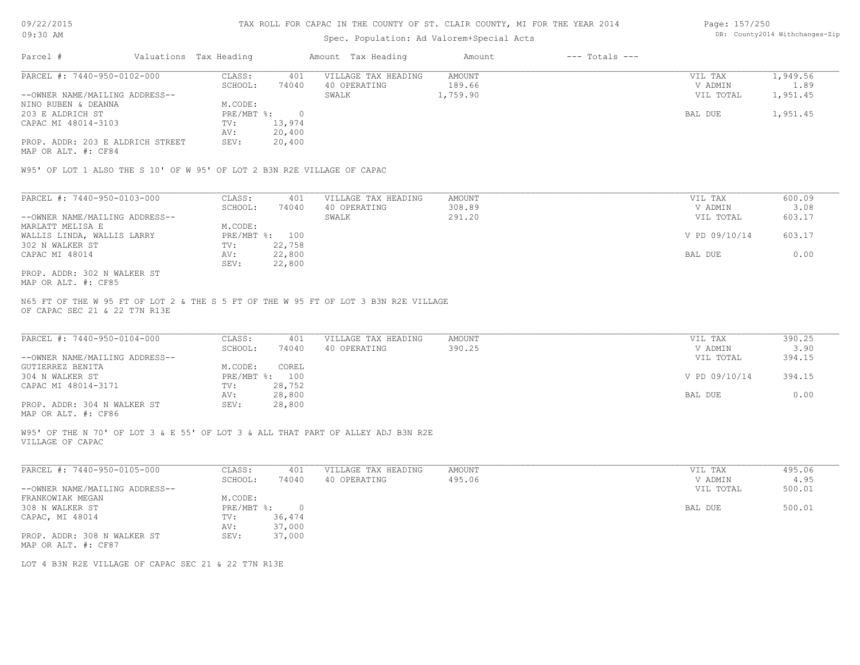# Spec. Population: Ad Valorem+Special Acts

Page: 157/250 DB: County2014 Withchanges-Zip

| Parcel #                         | Valuations Tax Heading |        | Amount Tax Heading  | Amount   | $---$ Totals $---$ |           |          |
|----------------------------------|------------------------|--------|---------------------|----------|--------------------|-----------|----------|
| PARCEL #: 7440-950-0102-000      | CLASS:                 | 401    | VILLAGE TAX HEADING | AMOUNT   |                    | VIL TAX   | 1,949.56 |
|                                  | SCHOOL:                | 74040  | 40 OPERATING        | 189.66   |                    | V ADMIN   | 1.89     |
| --OWNER NAME/MAILING ADDRESS--   |                        |        | SWALK               | 1,759.90 |                    | VIL TOTAL | 1,951.45 |
| NINO RUBEN & DEANNA              | M.CODE:                |        |                     |          |                    |           |          |
| 203 E ALDRICH ST                 | $PRE/MBT$ %:           |        |                     |          |                    | BAL DUE   | 1,951.45 |
| CAPAC MI 48014-3103              | TV:                    | 13,974 |                     |          |                    |           |          |
|                                  | AV:                    | 20,400 |                     |          |                    |           |          |
| PROP. ADDR: 203 E ALDRICH STREET | SEV:                   | 20,400 |                     |          |                    |           |          |

MAP OR ALT. #: CF84

W95' OF LOT 1 ALSO THE S 10' OF W 95' OF LOT 2 B3N R2E VILLAGE OF CAPAC

| PARCEL #: 7440-950-0103-000    | CLASS:     | 401    | VILLAGE TAX HEADING | AMOUNT | VIL TAX       | 600.09 |
|--------------------------------|------------|--------|---------------------|--------|---------------|--------|
|                                | SCHOOL:    | 74040  | 40 OPERATING        | 308.89 | V ADMIN       | 3.08   |
| --OWNER NAME/MAILING ADDRESS-- |            |        | SWALK               | 291.20 | VIL TOTAL     | 603.17 |
| MARLATT MELISA E               | M.CODE:    |        |                     |        |               |        |
| WALLIS LINDA, WALLIS LARRY     | PRE/MBT %: | 100    |                     |        | V PD 09/10/14 | 603.17 |
| 302 N WALKER ST                | TV:        | 22,758 |                     |        |               |        |
| CAPAC MI 48014                 | AV:        | 22,800 |                     |        | BAL DUE       | 0.00   |
|                                | SEV:       | 22,800 |                     |        |               |        |
| PROP. ADDR: 302 N WALKER ST    |            |        |                     |        |               |        |

MAP OR ALT. #: CF85

OF CAPAC SEC 21 & 22 T7N R13E N65 FT OF THE W 95 FT OF LOT 2 & THE S 5 FT OF THE W 95 FT OF LOT 3 B3N R2E VILLAGE

| PARCEL #: 7440-950-0104-000    | CLASS:  | 401            | VILLAGE TAX HEADING | AMOUNT | VIL TAX       | 390.25 |
|--------------------------------|---------|----------------|---------------------|--------|---------------|--------|
|                                | SCHOOL: | 74040          | 40 OPERATING        | 390.25 | V ADMIN       | 3.90   |
| --OWNER NAME/MAILING ADDRESS-- |         |                |                     |        | VIL TOTAL     | 394.15 |
| GUTIERREZ BENITA               | M.CODE: | COREL          |                     |        |               |        |
| 304 N WALKER ST                |         | PRE/MBT %: 100 |                     |        | V PD 09/10/14 | 394.15 |
| CAPAC MI 48014-3171            | TV:     | 28,752         |                     |        |               |        |
|                                | AV:     | 28,800         |                     |        | BAL DUE       | 0.00   |
| PROP. ADDR: 304 N WALKER ST    | SEV:    | 28,800         |                     |        |               |        |
|                                |         |                |                     |        |               |        |

MAP OR ALT. #: CF86

VILLAGE OF CAPAC W95' OF THE N 70' OF LOT 3 & E 55' OF LOT 3 & ALL THAT PART OF ALLEY ADJ B3N R2E

| PARCEL #: 7440-950-0105-000    | CLASS:     | 401      | VILLAGE TAX HEADING | AMOUNT | VIL TAX   | 495.06 |
|--------------------------------|------------|----------|---------------------|--------|-----------|--------|
|                                | SCHOOL:    | 74040    | 40 OPERATING        | 495.06 | V ADMIN   | 4.95   |
| --OWNER NAME/MAILING ADDRESS-- |            |          |                     |        | VIL TOTAL | 500.01 |
| FRANKOWIAK MEGAN               | M.CODE:    |          |                     |        |           |        |
| 308 N WALKER ST                | PRE/MBT %: | $\Omega$ |                     |        | BAL DUE   | 500.01 |
| CAPAC, MI 48014                | TV:        | 36,474   |                     |        |           |        |
|                                | AV:        | 37,000   |                     |        |           |        |
| PROP. ADDR: 308 N WALKER ST    | SEV:       | 37,000   |                     |        |           |        |
| MAP OR ALT. #: CF87            |            |          |                     |        |           |        |

 $\_$  , and the state of the state of the state of the state of the state of the state of the state of the state of the state of the state of the state of the state of the state of the state of the state of the state of the

LOT 4 B3N R2E VILLAGE OF CAPAC SEC 21 & 22 T7N R13E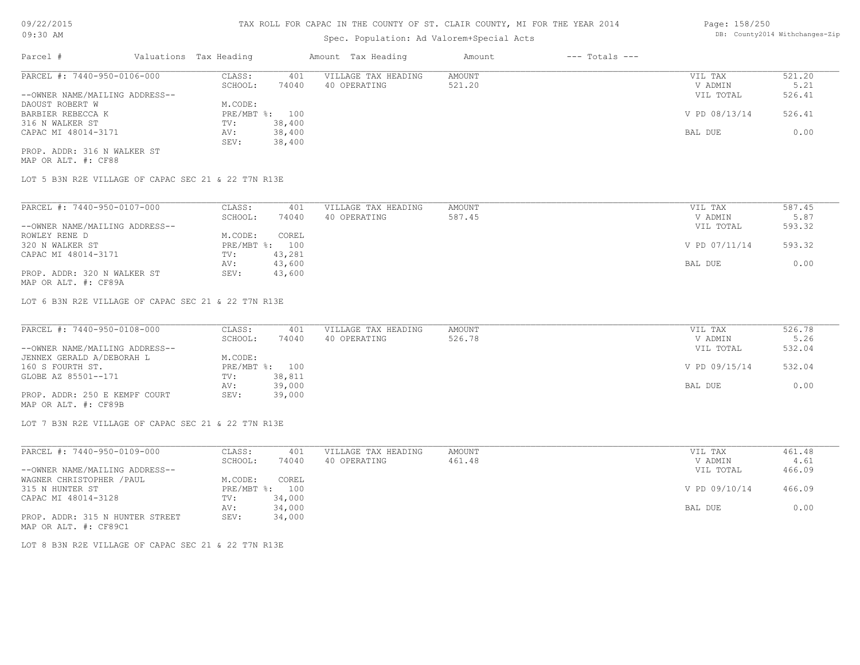# Spec. Population: Ad Valorem+Special Acts

| Parcel #                       | Valuations Tax Heading |                | Amount Tax Heading  | Amount | $---$ Totals $---$ |               |        |
|--------------------------------|------------------------|----------------|---------------------|--------|--------------------|---------------|--------|
| PARCEL #: 7440-950-0106-000    | CLASS:                 | 401            | VILLAGE TAX HEADING | AMOUNT |                    | VIL TAX       | 521.20 |
|                                | SCHOOL:                | 74040          | 40 OPERATING        | 521.20 |                    | V ADMIN       | 5.21   |
| --OWNER NAME/MAILING ADDRESS-- |                        |                |                     |        |                    | VIL TOTAL     | 526.41 |
| DAOUST ROBERT W                | M.CODE:                |                |                     |        |                    |               |        |
| BARBIER REBECCA K              |                        | PRE/MBT %: 100 |                     |        |                    | V PD 08/13/14 | 526.41 |
| 316 N WALKER ST                | TV:                    | 38,400         |                     |        |                    |               |        |
| CAPAC MI 48014-3171            | AV:                    | 38,400         |                     |        |                    | BAL DUE       | 0.00   |
|                                |                        |                |                     |        |                    |               |        |

MAP OR ALT. #: CF88 PROP. ADDR: 316 N WALKER ST

LOT 5 B3N R2E VILLAGE OF CAPAC SEC 21 & 22 T7N R13E

SEV: 38,400

| PARCEL #: 7440-950-0107-000    | CLASS:  | 401            | VILLAGE TAX HEADING | AMOUNT | VIL TAX       | 587.45 |
|--------------------------------|---------|----------------|---------------------|--------|---------------|--------|
|                                | SCHOOL: | 74040          | 40 OPERATING        | 587.45 | V ADMIN       | 5.87   |
| --OWNER NAME/MAILING ADDRESS-- |         |                |                     |        | VIL TOTAL     | 593.32 |
| ROWLEY RENE D                  | M.CODE: | COREL          |                     |        |               |        |
| 320 N WALKER ST                |         | PRE/MBT %: 100 |                     |        | V PD 07/11/14 | 593.32 |
| CAPAC MI 48014-3171            | TV:     | 43,281         |                     |        |               |        |
|                                | AV:     | 43,600         |                     |        | BAL DUE       | 0.00   |
| PROP. ADDR: 320 N WALKER ST    | SEV:    | 43,600         |                     |        |               |        |
| MAP OR ALT. #: CF89A           |         |                |                     |        |               |        |

LOT 6 B3N R2E VILLAGE OF CAPAC SEC 21 & 22 T7N R13E

| PARCEL #: 7440-950-0108-000    | CLASS:  | 401            | VILLAGE TAX HEADING | AMOUNT | VIL TAX       | 526.78 |
|--------------------------------|---------|----------------|---------------------|--------|---------------|--------|
|                                | SCHOOL: | 74040          | 40 OPERATING        | 526.78 | V ADMIN       | 5.26   |
| --OWNER NAME/MAILING ADDRESS-- |         |                |                     |        | VIL TOTAL     | 532.04 |
| JENNEX GERALD A/DEBORAH L      | M.CODE: |                |                     |        |               |        |
| 160 S FOURTH ST.               |         | PRE/MBT %: 100 |                     |        | V PD 09/15/14 | 532.04 |
| GLOBE AZ 85501--171            | TV:     | 38,811         |                     |        |               |        |
|                                | AV:     | 39,000         |                     |        | BAL DUE       | 0.00   |
| PROP. ADDR: 250 E KEMPF COURT  | SEV:    | 39,000         |                     |        |               |        |
| MAP OR ALT. #: CF89B           |         |                |                     |        |               |        |

LOT 7 B3N R2E VILLAGE OF CAPAC SEC 21 & 22 T7N R13E

| PARCEL #: 7440-950-0109-000     | CLASS:  | 401            | VILLAGE TAX HEADING | AMOUNT | VIL TAX       | 461.48 |
|---------------------------------|---------|----------------|---------------------|--------|---------------|--------|
|                                 | SCHOOL: | 74040          | 40 OPERATING        | 461.48 | V ADMIN       | 4.61   |
| --OWNER NAME/MAILING ADDRESS--  |         |                |                     |        | VIL TOTAL     | 466.09 |
| WAGNER CHRISTOPHER / PAUL       | M.CODE: | COREL          |                     |        |               |        |
| 315 N HUNTER ST                 |         | PRE/MBT %: 100 |                     |        | V PD 09/10/14 | 466.09 |
| CAPAC MI 48014-3128             | TV:     | 34,000         |                     |        |               |        |
|                                 | AV:     | 34,000         |                     |        | BAL DUE       | 0.00   |
| PROP. ADDR: 315 N HUNTER STREET | SEV:    | 34,000         |                     |        |               |        |
| MAP OR ALT. #: CF89C1           |         |                |                     |        |               |        |

LOT 8 B3N R2E VILLAGE OF CAPAC SEC 21 & 22 T7N R13E

Page: 158/250 DB: County2014 Withchanges-Zip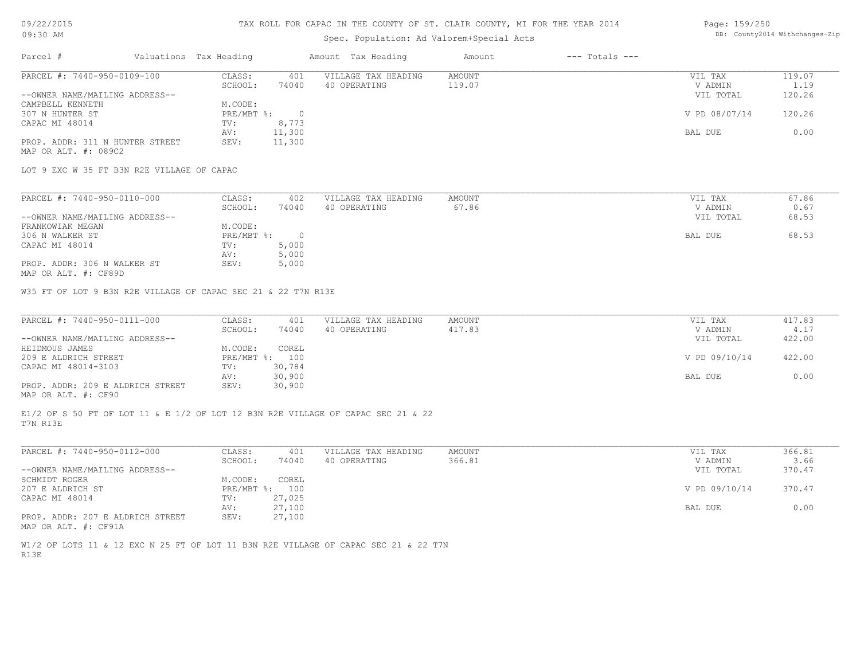#### TAX ROLL FOR CAPAC IN THE COUNTY OF ST. CLAIR COUNTY, MI FOR THE YEAR 2014

### Spec. Population: Ad Valorem+Special Acts

#### Page: 159/250 DB: County2014 Withchanges-Zip

| Parcel #                        | Valuations Tax Heading |        | Amount Tax Heading  | Amount | $---$ Totals $---$ |               |        |
|---------------------------------|------------------------|--------|---------------------|--------|--------------------|---------------|--------|
| PARCEL #: 7440-950-0109-100     | CLASS:                 | 401    | VILLAGE TAX HEADING | AMOUNT |                    | VIL TAX       | 119.07 |
|                                 | SCHOOL:                | 74040  | 40 OPERATING        | 119.07 |                    | V ADMIN       | 1.19   |
| --OWNER NAME/MAILING ADDRESS--  |                        |        |                     |        |                    | VIL TOTAL     | 120.26 |
| CAMPBELL KENNETH                | M.CODE:                |        |                     |        |                    |               |        |
| 307 N HUNTER ST                 | $PRE/MBT$ %:           |        |                     |        |                    | V PD 08/07/14 | 120.26 |
| CAPAC MI 48014                  | TV:                    | 8,773  |                     |        |                    |               |        |
|                                 | AV:                    | 11,300 |                     |        |                    | BAL DUE       | 0.00   |
| PROP. ADDR: 311 N HUNTER STREET | SEV:                   | 11,300 |                     |        |                    |               |        |
| MAP OR ALT. #: 089C2            |                        |        |                     |        |                    |               |        |

LOT 9 EXC W 35 FT B3N R2E VILLAGE OF CAPAC

| PARCEL #: 7440-950-0110-000    | CLASS:     | 402   | VILLAGE TAX HEADING | AMOUNT | VIL TAX   | 67.86 |
|--------------------------------|------------|-------|---------------------|--------|-----------|-------|
|                                | SCHOOL:    | 74040 | 40 OPERATING        | 67.86  | V ADMIN   | 0.67  |
| --OWNER NAME/MAILING ADDRESS-- |            |       |                     |        | VIL TOTAL | 68.53 |
| FRANKOWIAK MEGAN               | M.CODE:    |       |                     |        |           |       |
| 306 N WALKER ST                | PRE/MBT %: |       |                     |        | BAL DUE   | 68.53 |
| CAPAC MI 48014                 | TV:        | 5,000 |                     |        |           |       |
|                                | AV:        | 5,000 |                     |        |           |       |
| PROP. ADDR: 306 N WALKER ST    | SEV:       | 5,000 |                     |        |           |       |

MAP OR ALT. #: CF89D

W35 FT OF LOT 9 B3N R2E VILLAGE OF CAPAC SEC 21 & 22 T7N R13E

| PARCEL #: 7440-950-0111-000      | CLASS:  | 401            | VILLAGE TAX HEADING | AMOUNT | VIL TAX       | 417.83 |
|----------------------------------|---------|----------------|---------------------|--------|---------------|--------|
|                                  | SCHOOL: | 74040          | 40 OPERATING        | 417.83 | V ADMIN       | 4.17   |
| --OWNER NAME/MAILING ADDRESS--   |         |                |                     |        | VIL TOTAL     | 422.00 |
| HEIDMOUS JAMES                   | M.CODE: | COREL          |                     |        |               |        |
| 209 E ALDRICH STREET             |         | PRE/MBT %: 100 |                     |        | V PD 09/10/14 | 422.00 |
| CAPAC MI 48014-3103              | TV:     | 30,784         |                     |        |               |        |
|                                  | AV:     | 30,900         |                     |        | BAL DUE       | 0.00   |
| PROP. ADDR: 209 E ALDRICH STREET | SEV:    | 30,900         |                     |        |               |        |
|                                  |         |                |                     |        |               |        |

MAP OR ALT. #: CF90

T7N R13E E1/2 OF S 50 FT OF LOT 11 & E 1/2 OF LOT 12 B3N R2E VILLAGE OF CAPAC SEC 21 & 22

| PARCEL #: 7440-950-0112-000      | CLASS:  | 401            | VILLAGE TAX HEADING | AMOUNT | VIL TAX       | 366.81 |
|----------------------------------|---------|----------------|---------------------|--------|---------------|--------|
|                                  | SCHOOL: | 74040          | 40 OPERATING        | 366.81 | V ADMIN       | 3.66   |
| --OWNER NAME/MAILING ADDRESS--   |         |                |                     |        | VIL TOTAL     | 370.47 |
| SCHMIDT ROGER                    | M.CODE: | COREL          |                     |        |               |        |
| 207 E ALDRICH ST                 |         | PRE/MBT %: 100 |                     |        | V PD 09/10/14 | 370.47 |
| CAPAC MI 48014                   | TV:     | 27,025         |                     |        |               |        |
|                                  | AV:     | 27,100         |                     |        | BAL DUE       | 0.00   |
| PROP. ADDR: 207 E ALDRICH STREET | SEV:    | 27,100         |                     |        |               |        |
|                                  |         |                |                     |        |               |        |

MAP OR ALT. #: CF91A

R13E W1/2 OF LOTS 11 & 12 EXC N 25 FT OF LOT 11 B3N R2E VILLAGE OF CAPAC SEC 21 & 22 T7N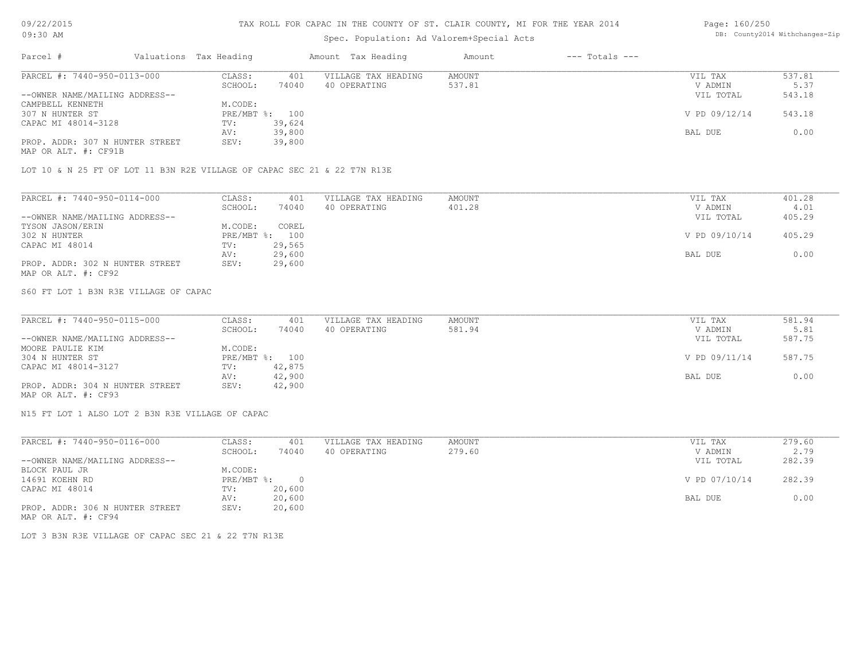### TAX ROLL FOR CAPAC IN THE COUNTY OF ST. CLAIR COUNTY, MI FOR THE YEAR 2014

# Spec. Population: Ad Valorem+Special Acts

#### Page: 160/250 DB: County2014 Withchanges-Zip

| Parcel #                        | Valuations Tax Heading |        | Amount Tax Heading  | Amount | $---$ Totals $---$ |               |        |
|---------------------------------|------------------------|--------|---------------------|--------|--------------------|---------------|--------|
| PARCEL #: 7440-950-0113-000     | CLASS:                 | 401    | VILLAGE TAX HEADING | AMOUNT |                    | VIL TAX       | 537.81 |
|                                 | SCHOOL:                | 74040  | 40 OPERATING        | 537.81 |                    | V ADMIN       | 5.37   |
| --OWNER NAME/MAILING ADDRESS--  |                        |        |                     |        |                    | VIL TOTAL     | 543.18 |
| CAMPBELL KENNETH                | M.CODE:                |        |                     |        |                    |               |        |
| 307 N HUNTER ST                 | PRE/MBT %: 100         |        |                     |        |                    | V PD 09/12/14 | 543.18 |
| CAPAC MI 48014-3128             | TV:                    | 39,624 |                     |        |                    |               |        |
|                                 | AV:                    | 39,800 |                     |        |                    | BAL DUE       | 0.00   |
| PROP. ADDR: 307 N HUNTER STREET | SEV:                   | 39,800 |                     |        |                    |               |        |
|                                 |                        |        |                     |        |                    |               |        |

MAP OR ALT. #: CF91B

LOT 10 & N 25 FT OF LOT 11 B3N R2E VILLAGE OF CAPAC SEC 21 & 22 T7N R13E

| PARCEL #: 7440-950-0114-000     | CLASS:       | 401    | VILLAGE TAX HEADING | AMOUNT | VIL TAX       | 401.28 |
|---------------------------------|--------------|--------|---------------------|--------|---------------|--------|
|                                 | SCHOOL:      | 74040  | 40 OPERATING        | 401.28 | V ADMIN       | 4.01   |
| --OWNER NAME/MAILING ADDRESS--  |              |        |                     |        | VIL TOTAL     | 405.29 |
| TYSON JASON/ERIN                | M.CODE:      | COREL  |                     |        |               |        |
| 302 N HUNTER                    | $PRE/MBT$ %: | 100    |                     |        | V PD 09/10/14 | 405.29 |
| CAPAC MI 48014                  | TV:          | 29,565 |                     |        |               |        |
|                                 | AV:          | 29,600 |                     |        | BAL DUE       | 0.00   |
| PROP. ADDR: 302 N HUNTER STREET | SEV:         | 29,600 |                     |        |               |        |
| MAP OR ALT. #: CF92             |              |        |                     |        |               |        |

S60 FT LOT 1 B3N R3E VILLAGE OF CAPAC

| PARCEL #: 7440-950-0115-000     | CLASS:  | 401            | VILLAGE TAX HEADING | AMOUNT | VIL TAX       | 581.94 |
|---------------------------------|---------|----------------|---------------------|--------|---------------|--------|
|                                 | SCHOOL: | 74040          | 40 OPERATING        | 581.94 | V ADMIN       | 5.81   |
| --OWNER NAME/MAILING ADDRESS--  |         |                |                     |        | VIL TOTAL     | 587.75 |
| MOORE PAULIE KIM                | M.CODE: |                |                     |        |               |        |
| 304 N HUNTER ST                 |         | PRE/MBT %: 100 |                     |        | V PD 09/11/14 | 587.75 |
| CAPAC MI 48014-3127             | TV:     | 42,875         |                     |        |               |        |
|                                 | AV:     | 42,900         |                     |        | BAL DUE       | 0.00   |
| PROP. ADDR: 304 N HUNTER STREET | SEV:    | 42,900         |                     |        |               |        |
| MAP OR ALT. #: CF93             |         |                |                     |        |               |        |

N15 FT LOT 1 ALSO LOT 2 B3N R3E VILLAGE OF CAPAC

| PARCEL #: 7440-950-0116-000     | CLASS:     | 401      | VILLAGE TAX HEADING | AMOUNT | VIL TAX       | 279.60 |
|---------------------------------|------------|----------|---------------------|--------|---------------|--------|
|                                 | SCHOOL:    | 74040    | 40 OPERATING        | 279.60 | V ADMIN       | 2.79   |
| --OWNER NAME/MAILING ADDRESS--  |            |          |                     |        | VIL TOTAL     | 282.39 |
| BLOCK PAUL JR                   | M.CODE:    |          |                     |        |               |        |
| 14691 KOEHN RD                  | PRE/MBT %: | $\Omega$ |                     |        | V PD 07/10/14 | 282.39 |
| CAPAC MI 48014                  | TV:        | 20,600   |                     |        |               |        |
|                                 | AV:        | 20,600   |                     |        | BAL DUE       | 0.00   |
| PROP. ADDR: 306 N HUNTER STREET | SEV:       | 20,600   |                     |        |               |        |
| MAP OR ALT. #: CF94             |            |          |                     |        |               |        |

LOT 3 B3N R3E VILLAGE OF CAPAC SEC 21 & 22 T7N R13E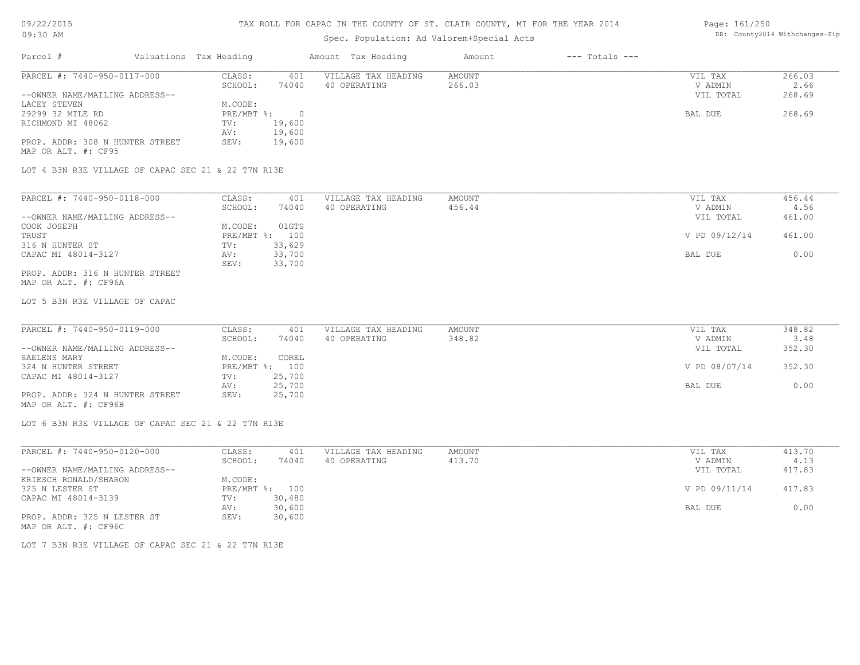### TAX ROLL FOR CAPAC IN THE COUNTY OF ST. CLAIR COUNTY, MI FOR THE YEAR 2014

# Spec. Population: Ad Valorem+Special Acts

#### Page: 161/250 DB: County2014 Withchanges-Zip

| Parcel #                                               | Valuations Tax Heading |        | Amount Tax Heading  | Amount | $---$ Totals $---$ |           |        |
|--------------------------------------------------------|------------------------|--------|---------------------|--------|--------------------|-----------|--------|
| PARCEL #: 7440-950-0117-000                            | CLASS:                 | 401    | VILLAGE TAX HEADING | AMOUNT |                    | VIL TAX   | 266.03 |
|                                                        | SCHOOL:                | 74040  | 40 OPERATING        | 266.03 |                    | V ADMIN   | 2.66   |
| --OWNER NAME/MAILING ADDRESS--                         |                        |        |                     |        |                    | VIL TOTAL | 268.69 |
| LACEY STEVEN                                           | M.CODE:                |        |                     |        |                    |           |        |
| 29299 32 MILE RD                                       | $PRE/MBT$ %:           |        |                     |        |                    | BAL DUE   | 268.69 |
| RICHMOND MI 48062                                      | TV:                    | 19,600 |                     |        |                    |           |        |
|                                                        | AV:                    | 19,600 |                     |        |                    |           |        |
| PROP. ADDR: 308 N HUNTER STREET<br>MAP OR ALT. #: CF95 | SEV:                   | 19,600 |                     |        |                    |           |        |

LOT 4 B3N R3E VILLAGE OF CAPAC SEC 21 & 22 T7N R13E

| PARCEL #: 7440-950-0118-000     | CLASS:     | 401    | VILLAGE TAX HEADING | AMOUNT | VIL TAX       | 456.44 |
|---------------------------------|------------|--------|---------------------|--------|---------------|--------|
|                                 | SCHOOL:    | 74040  | 40 OPERATING        | 456.44 | V ADMIN       | 4.56   |
| --OWNER NAME/MAILING ADDRESS--  |            |        |                     |        | VIL TOTAL     | 461.00 |
| COOK JOSEPH                     | M.CODE:    | 01GTS  |                     |        |               |        |
| TRUST                           | PRE/MBT %: | 100    |                     |        | V PD 09/12/14 | 461.00 |
| 316 N HUNTER ST                 | TV:        | 33,629 |                     |        |               |        |
| CAPAC MI 48014-3127             | AV:        | 33,700 |                     |        | BAL DUE       | 0.00   |
|                                 | SEV:       | 33,700 |                     |        |               |        |
| PROP. ADDR: 316 N HUNTER STREET |            |        |                     |        |               |        |

MAP OR ALT. #: CF96A

LOT 5 B3N R3E VILLAGE OF CAPAC

| PARCEL #: 7440-950-0119-000     | CLASS:  | 401            | VILLAGE TAX HEADING | AMOUNT | VIL TAX       | 348.82 |
|---------------------------------|---------|----------------|---------------------|--------|---------------|--------|
|                                 | SCHOOL: | 74040          | 40 OPERATING        | 348.82 | V ADMIN       | 3.48   |
| --OWNER NAME/MAILING ADDRESS--  |         |                |                     |        | VIL TOTAL     | 352.30 |
| SAELENS MARY                    | M.CODE: | COREL          |                     |        |               |        |
| 324 N HUNTER STREET             |         | PRE/MBT %: 100 |                     |        | V PD 08/07/14 | 352.30 |
| CAPAC MI 48014-3127             | TV:     | 25,700         |                     |        |               |        |
|                                 | AV:     | 25,700         |                     |        | BAL DUE       | 0.00   |
| PROP. ADDR: 324 N HUNTER STREET | SEV:    | 25,700         |                     |        |               |        |
| MAP OR ALT. #: CF96B            |         |                |                     |        |               |        |

LOT 6 B3N R3E VILLAGE OF CAPAC SEC 21 & 22 T7N R13E

| PARCEL #: 7440-950-0120-000    | CLASS:  | 401            | VILLAGE TAX HEADING | AMOUNT | VIL TAX       | 413.70 |
|--------------------------------|---------|----------------|---------------------|--------|---------------|--------|
|                                | SCHOOL: | 74040          | 40 OPERATING        | 413.70 | V ADMIN       | 4.13   |
| --OWNER NAME/MAILING ADDRESS-- |         |                |                     |        | VIL TOTAL     | 417.83 |
| KRIESCH RONALD/SHARON          | M.CODE: |                |                     |        |               |        |
| 325 N LESTER ST                |         | PRE/MBT %: 100 |                     |        | V PD 09/11/14 | 417.83 |
| CAPAC MI 48014-3139            | TV:     | 30,480         |                     |        |               |        |
|                                | AV:     | 30,600         |                     |        | BAL DUE       | 0.00   |
| PROP. ADDR: 325 N LESTER ST    | SEV:    | 30,600         |                     |        |               |        |
| MAP OR ALT. #: CF96C           |         |                |                     |        |               |        |

LOT 7 B3N R3E VILLAGE OF CAPAC SEC 21 & 22 T7N R13E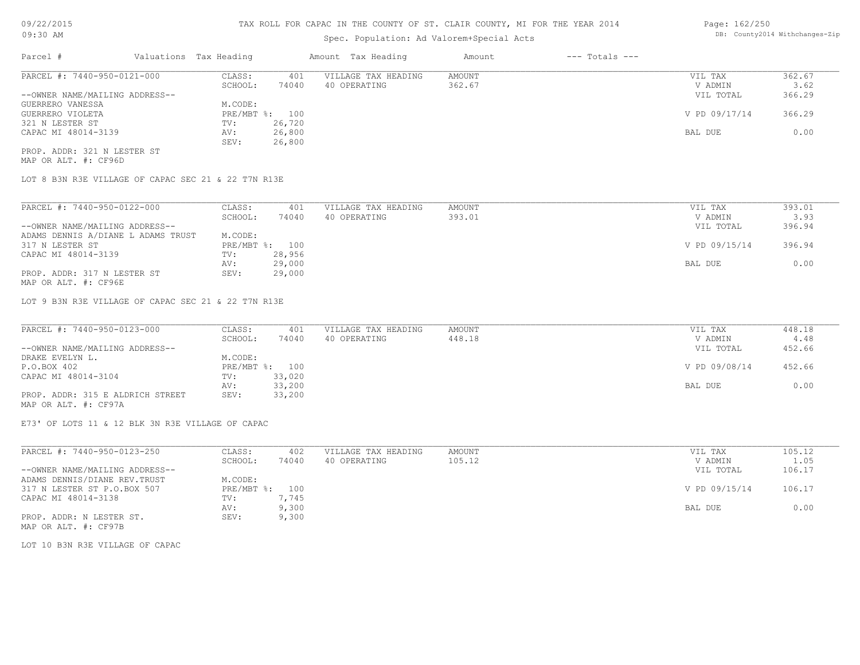# Spec. Population: Ad Valorem+Special Acts

#### Page: 162/250 DB: County2014 Withchanges-Zip

| Parcel #                       |  | Valuations Tax Heading |        | Amount Tax Heading  | Amount | $---$ Totals $---$ |               |        |
|--------------------------------|--|------------------------|--------|---------------------|--------|--------------------|---------------|--------|
| PARCEL #: 7440-950-0121-000    |  | CLASS:                 | 401    | VILLAGE TAX HEADING | AMOUNT |                    | VIL TAX       | 362.67 |
|                                |  | SCHOOL:                | 74040  | 40 OPERATING        | 362.67 |                    | V ADMIN       | 3.62   |
| --OWNER NAME/MAILING ADDRESS-- |  |                        |        |                     |        |                    | VIL TOTAL     | 366.29 |
| GUERRERO VANESSA               |  | M.CODE:                |        |                     |        |                    |               |        |
| GUERRERO VIOLETA               |  | PRE/MBT %: 100         |        |                     |        |                    | V PD 09/17/14 | 366.29 |
| 321 N LESTER ST                |  | TV:                    | 26,720 |                     |        |                    |               |        |
| CAPAC MI 48014-3139            |  | AV:                    | 26,800 |                     |        |                    | BAL DUE       | 0.00   |
|                                |  | SEV:                   | 26,800 |                     |        |                    |               |        |
| PROP. ADDR: 321 N LESTER ST    |  |                        |        |                     |        |                    |               |        |

MAP OR ALT. #: CF96D

LOT 8 B3N R3E VILLAGE OF CAPAC SEC 21 & 22 T7N R13E

| PARCEL #: 7440-950-0122-000        | CLASS:       | 401    | VILLAGE TAX HEADING | AMOUNT | VIL TAX       | 393.01 |
|------------------------------------|--------------|--------|---------------------|--------|---------------|--------|
|                                    | SCHOOL:      | 74040  | 40 OPERATING        | 393.01 | V ADMIN       | 3.93   |
| --OWNER NAME/MAILING ADDRESS--     |              |        |                     |        | VIL TOTAL     | 396.94 |
| ADAMS DENNIS A/DIANE L ADAMS TRUST | M.CODE:      |        |                     |        |               |        |
| 317 N LESTER ST                    | $PRE/MBT$ %: | 100    |                     |        | V PD 09/15/14 | 396.94 |
| CAPAC MI 48014-3139                | TV:          | 28,956 |                     |        |               |        |
|                                    | AV:          | 29,000 |                     |        | BAL DUE       | 0.00   |
| PROP. ADDR: 317 N LESTER ST        | SEV:         | 29,000 |                     |        |               |        |
| MAP OR ALT. #: CF96E               |              |        |                     |        |               |        |

LOT 9 B3N R3E VILLAGE OF CAPAC SEC 21 & 22 T7N R13E

| PARCEL #: 7440-950-0123-000      | CLASS:  | 401            | VILLAGE TAX HEADING | AMOUNT | VIL TAX       | 448.18 |
|----------------------------------|---------|----------------|---------------------|--------|---------------|--------|
|                                  | SCHOOL: | 74040          | 40 OPERATING        | 448.18 | V ADMIN       | 4.48   |
| --OWNER NAME/MAILING ADDRESS--   |         |                |                     |        | VIL TOTAL     | 452.66 |
| DRAKE EVELYN L.                  | M.CODE: |                |                     |        |               |        |
| P.O.BOX 402                      |         | PRE/MBT %: 100 |                     |        | V PD 09/08/14 | 452.66 |
| CAPAC MI 48014-3104              | TV:     | 33,020         |                     |        |               |        |
|                                  | AV:     | 33,200         |                     |        | BAL DUE       | 0.00   |
| PROP. ADDR: 315 E ALDRICH STREET | SEV:    | 33,200         |                     |        |               |        |
|                                  |         |                |                     |        |               |        |

MAP OR ALT. #: CF97A

E73' OF LOTS 11 & 12 BLK 3N R3E VILLAGE OF CAPAC

| PARCEL #: 7440-950-0123-250    | CLASS:         | 402   | VILLAGE TAX HEADING | AMOUNT | VIL TAX       | 105.12 |
|--------------------------------|----------------|-------|---------------------|--------|---------------|--------|
|                                | SCHOOL:        | 74040 | 40 OPERATING        | 105.12 | V ADMIN       | 1.05   |
| --OWNER NAME/MAILING ADDRESS-- |                |       |                     |        | VIL TOTAL     | 106.17 |
| ADAMS DENNIS/DIANE REV.TRUST   | M.CODE:        |       |                     |        |               |        |
| 317 N LESTER ST P.O.BOX 507    | PRE/MBT %: 100 |       |                     |        | V PD 09/15/14 | 106.17 |
| CAPAC MI 48014-3138            | TV:            | 7.745 |                     |        |               |        |
|                                | AV:            | 9,300 |                     |        | BAL DUE       | 0.00   |
| PROP. ADDR: N LESTER ST.       | SEV:           | 9,300 |                     |        |               |        |
| MAP OR ALT. #: CF97B           |                |       |                     |        |               |        |

LOT 10 B3N R3E VILLAGE OF CAPAC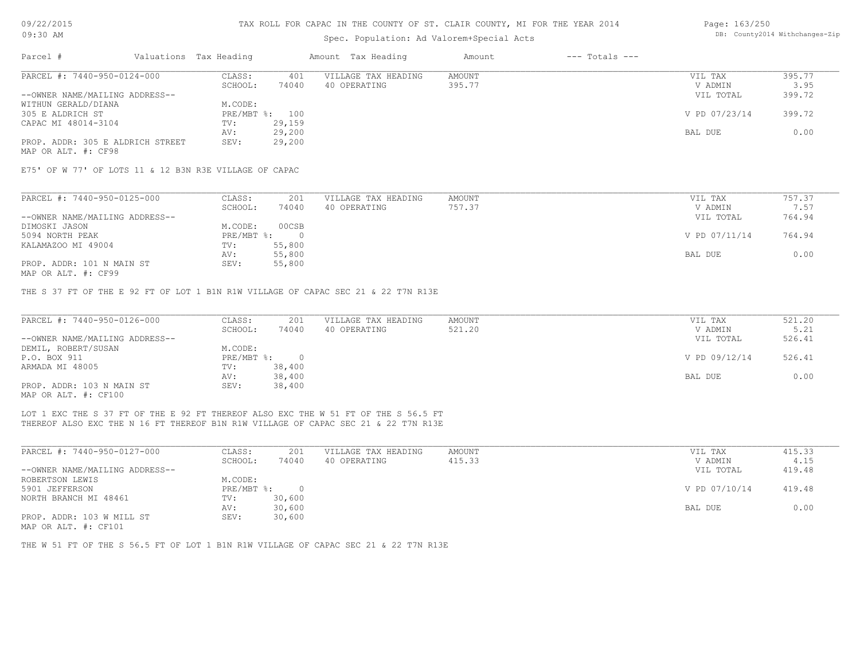# 09/22/2015

### TAX ROLL FOR CAPAC IN THE COUNTY OF ST. CLAIR COUNTY, MI FOR THE YEAR 2014

| Page: 163/250 |                               |
|---------------|-------------------------------|
|               | DB: County2014 Withchanges-Zi |

| 0 <i>016616</i> 04                                      |                        |                |                                                                                                                                                                          |               |                    | $-$ 200 $ -$ 200 $-$ 200 $-$ |                                |
|---------------------------------------------------------|------------------------|----------------|--------------------------------------------------------------------------------------------------------------------------------------------------------------------------|---------------|--------------------|------------------------------|--------------------------------|
| 09:30 AM                                                |                        |                | Spec. Population: Ad Valorem+Special Acts                                                                                                                                |               |                    |                              | DB: County2014 Withchanges-Zip |
| Parcel #                                                | Valuations Tax Heading |                | Amount Tax Heading                                                                                                                                                       | Amount        | $---$ Totals $---$ |                              |                                |
| PARCEL #: 7440-950-0124-000                             | CLASS:                 | 401            | VILLAGE TAX HEADING                                                                                                                                                      | <b>AMOUNT</b> |                    | VIL TAX                      | 395.77                         |
|                                                         | SCHOOL:                | 74040          | 40 OPERATING                                                                                                                                                             | 395.77        |                    | V ADMIN                      | 3.95                           |
| --OWNER NAME/MAILING ADDRESS--                          |                        |                |                                                                                                                                                                          |               |                    | VIL TOTAL                    | 399.72                         |
| WITHUN GERALD/DIANA                                     | M.CODE:                |                |                                                                                                                                                                          |               |                    |                              |                                |
| 305 E ALDRICH ST                                        |                        | PRE/MBT %: 100 |                                                                                                                                                                          |               |                    | V PD 07/23/14                | 399.72                         |
| CAPAC MI 48014-3104                                     | TV:                    | 29,159         |                                                                                                                                                                          |               |                    |                              |                                |
|                                                         | AV:                    | 29,200         |                                                                                                                                                                          |               |                    | BAL DUE                      | 0.00                           |
| PROP. ADDR: 305 E ALDRICH STREET<br>MAP OR ALT. #: CF98 | SEV:                   | 29,200         |                                                                                                                                                                          |               |                    |                              |                                |
| E75' OF W 77' OF LOTS 11 & 12 B3N R3E VILLAGE OF CAPAC  |                        |                |                                                                                                                                                                          |               |                    |                              |                                |
|                                                         |                        |                |                                                                                                                                                                          |               |                    |                              |                                |
| PARCEL #: 7440-950-0125-000                             | CLASS:                 | 201            | VILLAGE TAX HEADING                                                                                                                                                      | <b>AMOUNT</b> |                    | VIL TAX                      | 757.37                         |
|                                                         | SCHOOL:                | 74040          | 40 OPERATING                                                                                                                                                             | 757.37        |                    | V ADMIN                      | 7.57                           |
| --OWNER NAME/MAILING ADDRESS--                          |                        |                |                                                                                                                                                                          |               |                    | VIL TOTAL                    | 764.94                         |
| DIMOSKI JASON                                           | M.CODE:                | 00CSB          |                                                                                                                                                                          |               |                    |                              |                                |
| 5094 NORTH PEAK                                         | PRE/MBT %:             | $\circ$        |                                                                                                                                                                          |               |                    | V PD 07/11/14                | 764.94                         |
| KALAMAZOO MI 49004                                      | TV:                    | 55,800         |                                                                                                                                                                          |               |                    |                              |                                |
|                                                         | AV:                    | 55,800         |                                                                                                                                                                          |               |                    | BAL DUE                      | 0.00                           |
| PROP. ADDR: 101 N MAIN ST<br>MAP OR ALT. #: CF99        | SEV:                   | 55,800         |                                                                                                                                                                          |               |                    |                              |                                |
|                                                         |                        |                | THE S 37 FT OF THE E 92 FT OF LOT 1 B1N R1W VILLAGE OF CAPAC SEC 21 & 22 T7N R13E                                                                                        |               |                    |                              |                                |
| PARCEL #: 7440-950-0126-000                             | CLASS:                 | 201            | VILLAGE TAX HEADING                                                                                                                                                      | <b>AMOUNT</b> |                    | VIL TAX                      | 521.20                         |
|                                                         | SCHOOL:                | 74040          | 40 OPERATING                                                                                                                                                             | 521.20        |                    | V ADMIN                      | 5.21                           |
| --OWNER NAME/MAILING ADDRESS--                          |                        |                |                                                                                                                                                                          |               |                    | VIL TOTAL                    | 526.41                         |
| DEMIL, ROBERT/SUSAN                                     | M.CODE:                |                |                                                                                                                                                                          |               |                    |                              |                                |
| P.O. BOX 911                                            | PRE/MBT %:             | $\overline{0}$ |                                                                                                                                                                          |               |                    | V PD 09/12/14                | 526.41                         |
| ARMADA MI 48005                                         | TV:                    | 38,400         |                                                                                                                                                                          |               |                    |                              |                                |
|                                                         | AV:                    | 38,400         |                                                                                                                                                                          |               |                    | BAL DUE                      | 0.00                           |
| PROP. ADDR: 103 N MAIN ST<br>MAP OR ALT. #: CF100       | SEV:                   | 38,400         |                                                                                                                                                                          |               |                    |                              |                                |
|                                                         |                        |                | LOT 1 EXC THE S 37 FT OF THE E 92 FT THEREOF ALSO EXC THE W 51 FT OF THE S 56.5 FT<br>THEREOF ALSO EXC THE N 16 FT THEREOF B1N R1W VILLAGE OF CAPAC SEC 21 & 22 T7N R13E |               |                    |                              |                                |
| PARCEL #: 7440-950-0127-000                             | CLASS:                 | 201            | VILLAGE TAX HEADING                                                                                                                                                      | <b>AMOUNT</b> |                    | VIL TAX                      | 415.33                         |
|                                                         |                        |                |                                                                                                                                                                          |               |                    |                              |                                |

| FARULL #: 7440-930-0127-000    | - CCAT-      | ZUI    | ATTAGE TAV UEVATIMA | <b>AMOON L</b> | VID IAA       | 419.99 |  |
|--------------------------------|--------------|--------|---------------------|----------------|---------------|--------|--|
|                                | SCHOOL:      | 74040  | 40 OPERATING        | 415.33         | V ADMIN       | 4.15   |  |
| --OWNER NAME/MAILING ADDRESS-- |              |        |                     |                | VIL TOTAL     | 419.48 |  |
| ROBERTSON LEWIS                | M.CODE:      |        |                     |                |               |        |  |
| 5901 JEFFERSON                 | $PRE/MBT$ %: |        |                     |                | V PD 07/10/14 | 419.48 |  |
| NORTH BRANCH MI 48461          | TV:          | 30,600 |                     |                |               |        |  |
|                                | AV:          | 30,600 |                     |                | BAL DUE       | 0.00   |  |
| PROP. ADDR: 103 W MILL ST      | SEV:         | 30,600 |                     |                |               |        |  |
| MAP OR ALT. #: CF101           |              |        |                     |                |               |        |  |

THE W 51 FT OF THE S 56.5 FT OF LOT 1 B1N R1W VILLAGE OF CAPAC SEC 21 & 22 T7N R13E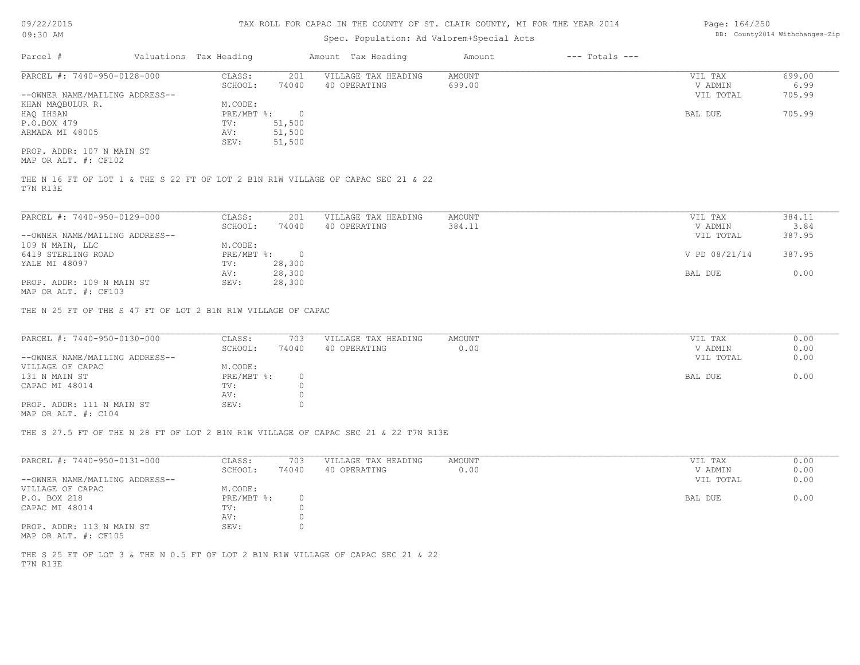#### TAX ROLL FOR CAPAC IN THE COUNTY OF ST. CLAIR COUNTY, MI FOR THE YEAR 2014

# Spec. Population: Ad Valorem+Special Acts

| Parcel #                       | Valuations Tax Heading |        | Amount Tax Heading  | Amount | $---$ Totals $---$ |           |        |
|--------------------------------|------------------------|--------|---------------------|--------|--------------------|-----------|--------|
| PARCEL #: 7440-950-0128-000    | CLASS:                 | 201    | VILLAGE TAX HEADING | AMOUNT |                    | VIL TAX   | 699.00 |
|                                | SCHOOL:                | 74040  | 40 OPERATING        | 699.00 |                    | V ADMIN   | 6.99   |
| --OWNER NAME/MAILING ADDRESS-- |                        |        |                     |        |                    | VIL TOTAL | 705.99 |
| KHAN MAQBULUR R.               | M.CODE:                |        |                     |        |                    |           |        |
| HAQ IHSAN                      | PRE/MBT %:             |        |                     |        |                    | BAL DUE   | 705.99 |
| P.O.BOX 479                    | TV:                    | 51,500 |                     |        |                    |           |        |
| ARMADA MI 48005                | AV:                    | 51,500 |                     |        |                    |           |        |
|                                | SEV:                   | 51,500 |                     |        |                    |           |        |
| PROP. ADDR: 107 N MAIN ST      |                        |        |                     |        |                    |           |        |

MAP OR ALT. #: CF102

T7N R13E THE N 16 FT OF LOT 1 & THE S 22 FT OF LOT 2 B1N R1W VILLAGE OF CAPAC SEC 21 & 22

| PARCEL #: 7440-950-0129-000    | CLASS:       | 201    | VILLAGE TAX HEADING | AMOUNT | VIL TAX       | 384.11 |
|--------------------------------|--------------|--------|---------------------|--------|---------------|--------|
|                                | SCHOOL:      | 74040  | 40 OPERATING        | 384.11 | V ADMIN       | 3.84   |
| --OWNER NAME/MAILING ADDRESS-- |              |        |                     |        | VIL TOTAL     | 387.95 |
| 109 N MAIN, LLC                | M.CODE:      |        |                     |        |               |        |
| 6419 STERLING ROAD             | $PRE/MBT$ %: |        |                     |        | V PD 08/21/14 | 387.95 |
| YALE MI 48097                  | TV:          | 28,300 |                     |        |               |        |
|                                | AV:          | 28,300 |                     |        | BAL DUE       | 0.00   |
| PROP. ADDR: 109 N MAIN ST      | SEV:         | 28,300 |                     |        |               |        |
| MAP OR ALT. #: CF103           |              |        |                     |        |               |        |

THE N 25 FT OF THE S 47 FT OF LOT 2 B1N R1W VILLAGE OF CAPAC

| PARCEL #: 7440-950-0130-000    | CLASS:       | 703   | VILLAGE TAX HEADING | AMOUNT | VIL TAX   | 0.00 |
|--------------------------------|--------------|-------|---------------------|--------|-----------|------|
|                                | SCHOOL:      | 74040 | 40 OPERATING        | 0.00   | V ADMIN   | 0.00 |
| --OWNER NAME/MAILING ADDRESS-- |              |       |                     |        | VIL TOTAL | 0.00 |
| VILLAGE OF CAPAC               | M.CODE:      |       |                     |        |           |      |
| 131 N MAIN ST                  | $PRE/MBT$ %: |       |                     |        | BAL DUE   | 0.00 |
| CAPAC MI 48014                 | TV:          |       |                     |        |           |      |
|                                | AV:          |       |                     |        |           |      |
| PROP. ADDR: 111 N MAIN ST      | SEV:         |       |                     |        |           |      |
| MAP OR ALT. #: C104            |              |       |                     |        |           |      |

THE S 27.5 FT OF THE N 28 FT OF LOT 2 B1N R1W VILLAGE OF CAPAC SEC 21 & 22 T7N R13E

| PARCEL #: 7440-950-0131-000    | CLASS:     | 703   | VILLAGE TAX HEADING | AMOUNT | VIL TAX   | 0.00 |
|--------------------------------|------------|-------|---------------------|--------|-----------|------|
|                                |            |       |                     |        |           |      |
|                                | SCHOOL:    | 74040 | 40 OPERATING        | 0.00   | V ADMIN   | 0.00 |
| --OWNER NAME/MAILING ADDRESS-- |            |       |                     |        | VIL TOTAL | 0.00 |
| VILLAGE OF CAPAC               | M.CODE:    |       |                     |        |           |      |
| P.O. BOX 218                   | PRE/MBT %: |       |                     |        | BAL DUE   | 0.00 |
| CAPAC MI 48014                 | TV:        |       |                     |        |           |      |
|                                | AV:        |       |                     |        |           |      |
| PROP. ADDR: 113 N MAIN ST      | SEV:       |       |                     |        |           |      |
|                                |            |       |                     |        |           |      |

MAP OR ALT. #: CF105

T7N R13E THE S 25 FT OF LOT 3 & THE N 0.5 FT OF LOT 2 B1N R1W VILLAGE OF CAPAC SEC 21 & 22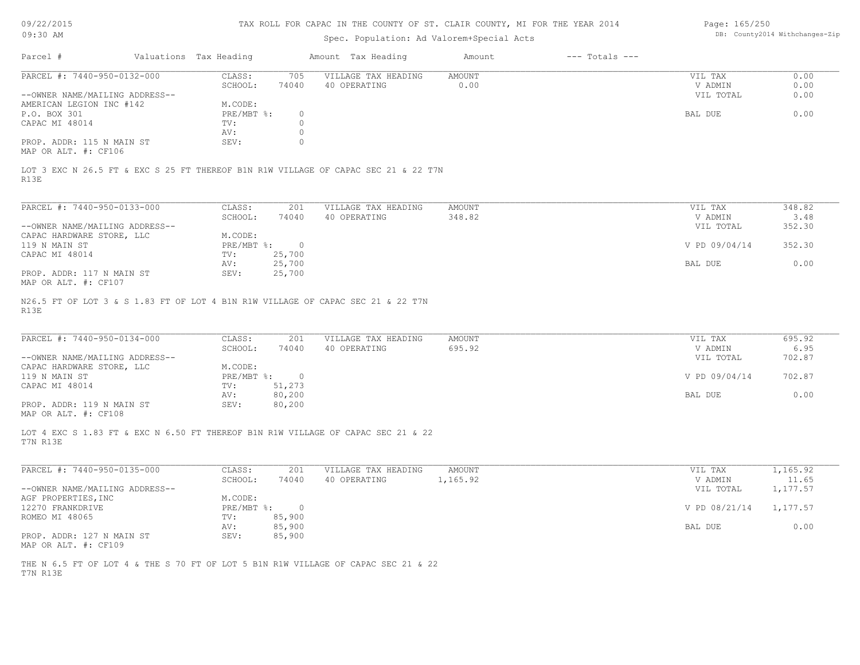| Page: 165/250 |                                |
|---------------|--------------------------------|
|               | DB: County2014 Withchanges-Zip |

| Parcel #<br>PARCEL #: 7440-950-0132-000                                                      |                                    | Spec. Population: Ad Valorem+Special Acts | TAX ROLL FOR CAPAC IN THE COUNTY OF ST. CLAIR COUNTY, MI FOR THE YEAR 2014 |                    | Page: 165/250          | DB: County2014 Withchanges-Zip |
|----------------------------------------------------------------------------------------------|------------------------------------|-------------------------------------------|----------------------------------------------------------------------------|--------------------|------------------------|--------------------------------|
|                                                                                              | Valuations Tax Heading             | Amount Tax Heading                        | Amount                                                                     | $---$ Totals $---$ |                        |                                |
|                                                                                              | CLASS:<br>705                      | VILLAGE TAX HEADING                       | <b>AMOUNT</b>                                                              |                    | VIL TAX                | 0.00                           |
|                                                                                              | 74040<br>SCHOOL:                   | 40 OPERATING                              | 0.00                                                                       |                    | V ADMIN                | 0.00                           |
| --OWNER NAME/MAILING ADDRESS--                                                               |                                    |                                           |                                                                            |                    | VIL TOTAL              | 0.00                           |
| AMERICAN LEGION INC #142                                                                     | M.CODE:                            |                                           |                                                                            |                    |                        |                                |
| P.O. BOX 301                                                                                 | $PRE/MBT$ %:<br>$\circ$            |                                           |                                                                            |                    | BAL DUE                | 0.00                           |
| CAPAC MI 48014                                                                               | $\circ$<br>TV:                     |                                           |                                                                            |                    |                        |                                |
|                                                                                              | $\circ$<br>AV:                     |                                           |                                                                            |                    |                        |                                |
| PROP. ADDR: 115 N MAIN ST<br>MAP OR ALT. #: CF106                                            | SEV:<br>$\circ$                    |                                           |                                                                            |                    |                        |                                |
| LOT 3 EXC N 26.5 FT & EXC S 25 FT THEREOF B1N R1W VILLAGE OF CAPAC SEC 21 & 22 T7N<br>R13E   |                                    |                                           |                                                                            |                    |                        |                                |
| PARCEL #: 7440-950-0133-000                                                                  | CLASS:<br>201                      | VILLAGE TAX HEADING                       | <b>AMOUNT</b>                                                              |                    | VIL TAX                | 348.82                         |
|                                                                                              | SCHOOL:<br>74040                   | 40 OPERATING                              | 348.82                                                                     |                    | V ADMIN                | 3.48                           |
| --OWNER NAME/MAILING ADDRESS--                                                               |                                    |                                           |                                                                            |                    | VIL TOTAL              | 352.30                         |
| CAPAC HARDWARE STORE, LLC                                                                    | M.CODE:                            |                                           |                                                                            |                    |                        |                                |
| 119 N MAIN ST                                                                                | $PRE/MBT$ $\div$<br>$\overline{0}$ |                                           |                                                                            |                    | V PD 09/04/14          | 352.30                         |
| CAPAC MI 48014                                                                               | 25,700<br>TV:                      |                                           |                                                                            |                    |                        |                                |
|                                                                                              | AV:<br>25,700                      |                                           |                                                                            |                    | BAL DUE                | 0.00                           |
| PROP. ADDR: 117 N MAIN ST<br>MAP OR ALT. #: CF107                                            | 25,700<br>SEV:                     |                                           |                                                                            |                    |                        |                                |
| R13E<br>PARCEL #: 7440-950-0134-000                                                          | CLASS:<br>201                      | VILLAGE TAX HEADING                       | <b>AMOUNT</b>                                                              |                    | VIL TAX                | 695.92                         |
|                                                                                              | SCHOOL:<br>74040                   | 40 OPERATING                              | 695.92                                                                     |                    | V ADMIN                | 6.95                           |
| --OWNER NAME/MAILING ADDRESS--                                                               |                                    |                                           |                                                                            |                    | VIL TOTAL              | 702.87                         |
| CAPAC HARDWARE STORE, LLC                                                                    | M.CODE:                            |                                           |                                                                            |                    |                        |                                |
| 119 N MAIN ST                                                                                | $PRE/MBT$ $\div$<br>$\overline{0}$ |                                           |                                                                            |                    | V PD 09/04/14          | 702.87                         |
| CAPAC MI 48014                                                                               | 51,273<br>TV:                      |                                           |                                                                            |                    |                        |                                |
|                                                                                              | AV:<br>80,200                      |                                           |                                                                            |                    | BAL DUE                | 0.00                           |
| PROP. ADDR: 119 N MAIN ST<br>MAP OR ALT. #: CF108                                            | SEV:<br>80,200                     |                                           |                                                                            |                    |                        |                                |
| LOT 4 EXC S 1.83 FT & EXC N 6.50 FT THEREOF B1N R1W VILLAGE OF CAPAC SEC 21 & 22<br>T7N R13E |                                    |                                           |                                                                            |                    |                        |                                |
|                                                                                              | CLASS:<br>201                      | VILLAGE TAX HEADING                       | <b>AMOUNT</b>                                                              |                    | VIL TAX                | 1,165.92                       |
| PARCEL #: 7440-950-0135-000                                                                  |                                    | 40 OPERATING                              | 1,165.92                                                                   |                    | V ADMIN                | 11.65                          |
|                                                                                              | SCHOOL:<br>74040                   |                                           |                                                                            |                    | VIL TOTAL              | 1,177.57                       |
| --OWNER NAME/MAILING ADDRESS--                                                               |                                    |                                           |                                                                            |                    |                        |                                |
| AGF PROPERTIES, INC                                                                          | M.CODE:                            |                                           |                                                                            |                    |                        |                                |
| 12270 FRANKDRIVE                                                                             | PRE/MBT %: 0                       |                                           |                                                                            |                    | V PD 08/21/14 1,177.57 |                                |
| ROMEO MI 48065                                                                               | TV:<br>85,900                      |                                           |                                                                            |                    |                        |                                |
|                                                                                              | AV:<br>85,900                      |                                           |                                                                            |                    | BAL DUE                | 0.00                           |
| PROP. ADDR: 127 N MAIN ST                                                                    | 85,900<br>SEV:                     |                                           |                                                                            |                    |                        |                                |
| MAP OR ALT. #: CF109                                                                         |                                    |                                           |                                                                            |                    |                        |                                |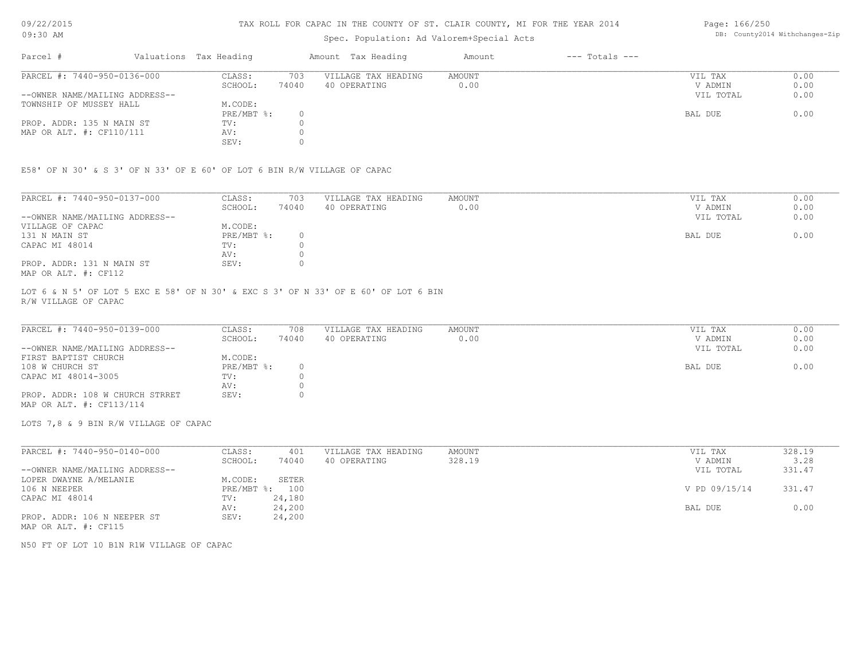#### TAX ROLL FOR CAPAC IN THE COUNTY OF ST. CLAIR COUNTY, MI FOR THE YEAR 2014

## Spec. Population: Ad Valorem+Special Acts

| Parcel #                       | Valuations Tax Heading |       | Amount Tax Heading  | Amount | $---$ Totals $---$ |           |      |
|--------------------------------|------------------------|-------|---------------------|--------|--------------------|-----------|------|
| PARCEL #: 7440-950-0136-000    | CLASS:                 | 703   | VILLAGE TAX HEADING | AMOUNT |                    | VIL TAX   | 0.00 |
|                                | SCHOOL:                | 74040 | 40 OPERATING        | 0.00   |                    | V ADMIN   | 0.00 |
| --OWNER NAME/MAILING ADDRESS-- |                        |       |                     |        |                    | VIL TOTAL | 0.00 |
| TOWNSHIP OF MUSSEY HALL        | M.CODE:                |       |                     |        |                    |           |      |
|                                | PRE/MBT %:             |       |                     |        |                    | BAL DUE   | 0.00 |
| PROP. ADDR: 135 N MAIN ST      | TV:                    |       |                     |        |                    |           |      |
| MAP OR ALT. #: CF110/111       | AV:                    |       |                     |        |                    |           |      |
|                                | SEV:                   |       |                     |        |                    |           |      |

E58' OF N 30' & S 3' OF N 33' OF E 60' OF LOT 6 BIN R/W VILLAGE OF CAPAC

| PARCEL #: 7440-950-0137-000    | CLASS:     | 703   | VILLAGE TAX HEADING | AMOUNT | VIL TAX   | 0.00 |
|--------------------------------|------------|-------|---------------------|--------|-----------|------|
|                                | SCHOOL:    | 74040 | 40 OPERATING        | 0.00   | V ADMIN   | 0.00 |
| --OWNER NAME/MAILING ADDRESS-- |            |       |                     |        | VIL TOTAL | 0.00 |
| VILLAGE OF CAPAC               | M.CODE:    |       |                     |        |           |      |
| 131 N MAIN ST                  | PRE/MBT %: |       |                     |        | BAL DUE   | 0.00 |
| CAPAC MI 48014                 | TV:        |       |                     |        |           |      |
|                                | AV:        |       |                     |        |           |      |
| PROP. ADDR: 131 N MAIN ST      | SEV:       |       |                     |        |           |      |
| MAP OR ALT. #: CF112           |            |       |                     |        |           |      |

R/W VILLAGE OF CAPAC LOT 6 & N 5' OF LOT 5 EXC E 58' OF N 30' & EXC S 3' OF N 33' OF E 60' OF LOT 6 BIN

| PARCEL #: 7440-950-0139-000     | CLASS:     | 708   | VILLAGE TAX HEADING | AMOUNT | VIL TAX   | 0.00 |
|---------------------------------|------------|-------|---------------------|--------|-----------|------|
|                                 | SCHOOL:    | 74040 | 40 OPERATING        | 0.00   | V ADMIN   | 0.00 |
| --OWNER NAME/MAILING ADDRESS--  |            |       |                     |        | VIL TOTAL | 0.00 |
| FIRST BAPTIST CHURCH            | M.CODE:    |       |                     |        |           |      |
| 108 W CHURCH ST                 | PRE/MBT %: |       |                     |        | BAL DUE   | 0.00 |
| CAPAC MI 48014-3005             | TV:        |       |                     |        |           |      |
|                                 | AV:        |       |                     |        |           |      |
| PROP. ADDR: 108 W CHURCH STRRET | SEV:       |       |                     |        |           |      |
| MAP OR ALT. #: CF113/114        |            |       |                     |        |           |      |

LOTS 7,8 & 9 BIN R/W VILLAGE OF CAPAC

| PARCEL #: 7440-950-0140-000    | CLASS:     | 401    | VILLAGE TAX HEADING | AMOUNT | VIL TAX       | 328.19 |
|--------------------------------|------------|--------|---------------------|--------|---------------|--------|
|                                | SCHOOL:    | 74040  | 40 OPERATING        | 328.19 | V ADMIN       | 3.28   |
| --OWNER NAME/MAILING ADDRESS-- |            |        |                     |        | VIL TOTAL     | 331.47 |
| LOPER DWAYNE A/MELANIE         | M.CODE:    | SETER  |                     |        |               |        |
| 106 N NEEPER                   | PRE/MBT %: | 100    |                     |        | V PD 09/15/14 | 331.47 |
| CAPAC MI 48014                 | TV:        | 24,180 |                     |        |               |        |
|                                | AV:        | 24,200 |                     |        | BAL DUE       | 0.00   |
| PROP. ADDR: 106 N NEEPER ST    | SEV:       | 24,200 |                     |        |               |        |
| MAP OR ALT. #: CF115           |            |        |                     |        |               |        |

N50 FT OF LOT 10 B1N R1W VILLAGE OF CAPAC

DB: County2014 Withchanges-Zip

Page: 166/250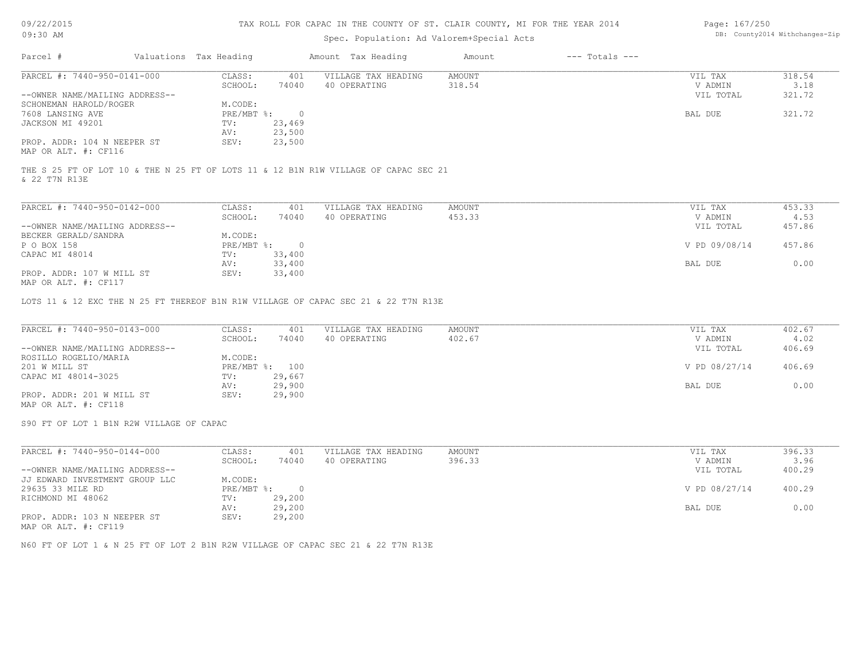#### TAX ROLL FOR CAPAC IN THE COUNTY OF ST. CLAIR COUNTY, MI FOR THE YEAR 2014

# Spec. Population: Ad Valorem+Special Acts

| Page: 167/250 |                                |
|---------------|--------------------------------|
|               | DB: County2014 Withchanges-Zip |

| Parcel #                       | Valuations Tax Heading |        | Amount Tax Heading  | Amount | $---$ Totals $---$ |           |        |
|--------------------------------|------------------------|--------|---------------------|--------|--------------------|-----------|--------|
| PARCEL #: 7440-950-0141-000    | CLASS:                 | 401    | VILLAGE TAX HEADING | AMOUNT |                    | VIL TAX   | 318.54 |
|                                | SCHOOL:                | 74040  | 40 OPERATING        | 318.54 |                    | V ADMIN   | 3.18   |
| --OWNER NAME/MAILING ADDRESS-- |                        |        |                     |        |                    | VIL TOTAL | 321.72 |
| SCHONEMAN HAROLD/ROGER         | M.CODE:                |        |                     |        |                    |           |        |
| 7608 LANSING AVE               | PRE/MBT %:             |        |                     |        |                    | BAL DUE   | 321.72 |
| JACKSON MI 49201               | TV:                    | 23,469 |                     |        |                    |           |        |
|                                | AV:                    | 23,500 |                     |        |                    |           |        |
| PROP. ADDR: 104 N NEEPER ST    | SEV:                   | 23,500 |                     |        |                    |           |        |
| MAP OR ALT. #: CF116           |                        |        |                     |        |                    |           |        |

& 22 T7N R13E THE S 25 FT OF LOT 10 & THE N 25 FT OF LOTS 11 & 12 B1N R1W VILLAGE OF CAPAC SEC 21

| PARCEL #: 7440-950-0142-000    | CLASS:     | 401    | VILLAGE TAX HEADING | AMOUNT | VIL TAX       | 453.33 |
|--------------------------------|------------|--------|---------------------|--------|---------------|--------|
|                                | SCHOOL:    | 74040  | 40 OPERATING        | 453.33 | V ADMIN       | 4.53   |
| --OWNER NAME/MAILING ADDRESS-- |            |        |                     |        | VIL TOTAL     | 457.86 |
| BECKER GERALD/SANDRA           | M.CODE:    |        |                     |        |               |        |
| P O BOX 158                    | PRE/MBT %: |        |                     |        | V PD 09/08/14 | 457.86 |
| CAPAC MI 48014                 | TV:        | 33,400 |                     |        |               |        |
|                                | AV:        | 33,400 |                     |        | BAL DUE       | 0.00   |
| PROP. ADDR: 107 W MILL ST      | SEV:       | 33,400 |                     |        |               |        |
| MAP OR ALT. #: CF117           |            |        |                     |        |               |        |

LOTS 11 & 12 EXC THE N 25 FT THEREOF B1N R1W VILLAGE OF CAPAC SEC 21 & 22 T7N R13E

| PARCEL #: 7440-950-0143-000    | CLASS:  | 401            | VILLAGE TAX HEADING | AMOUNT | VIL TAX       | 402.67 |
|--------------------------------|---------|----------------|---------------------|--------|---------------|--------|
|                                | SCHOOL: | 74040          | 40 OPERATING        | 402.67 | V ADMIN       | 4.02   |
| --OWNER NAME/MAILING ADDRESS-- |         |                |                     |        | VIL TOTAL     | 406.69 |
| ROSILLO ROGELIO/MARIA          | M.CODE: |                |                     |        |               |        |
| 201 W MILL ST                  |         | PRE/MBT %: 100 |                     |        | V PD 08/27/14 | 406.69 |
| CAPAC MI 48014-3025            | TV:     | 29,667         |                     |        |               |        |
|                                | AV:     | 29,900         |                     |        | BAL DUE       | 0.00   |
| PROP. ADDR: 201 W MILL ST      | SEV:    | 29,900         |                     |        |               |        |
| MAP OR ALT. #: CF118           |         |                |                     |        |               |        |

S90 FT OF LOT 1 B1N R2W VILLAGE OF CAPAC

| PARCEL #: 7440-950-0144-000    | CLASS:     | 401    | VILLAGE TAX HEADING | AMOUNT | VIL TAX       | 396.33 |
|--------------------------------|------------|--------|---------------------|--------|---------------|--------|
|                                | SCHOOL:    | 74040  | 40 OPERATING        | 396.33 | V ADMIN       | 3.96   |
| --OWNER NAME/MAILING ADDRESS-- |            |        |                     |        | VIL TOTAL     | 400.29 |
| JJ EDWARD INVESTMENT GROUP LLC | M.CODE:    |        |                     |        |               |        |
| 29635 33 MILE RD               | PRE/MBT %: |        |                     |        | V PD 08/27/14 | 400.29 |
| RICHMOND MI 48062              | TV:        | 29,200 |                     |        |               |        |
|                                | AV:        | 29,200 |                     |        | BAL DUE       | 0.00   |
| PROP. ADDR: 103 N NEEPER ST    | SEV:       | 29,200 |                     |        |               |        |
| MAP OR ALT. #: CF119           |            |        |                     |        |               |        |

N60 FT OF LOT 1 & N 25 FT OF LOT 2 B1N R2W VILLAGE OF CAPAC SEC 21 & 22 T7N R13E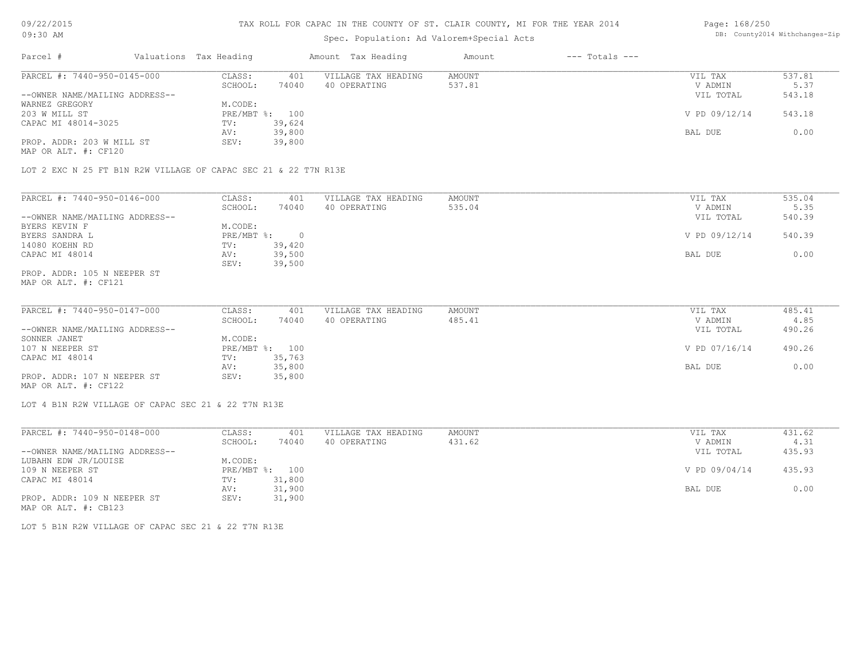#### TAX ROLL FOR CAPAC IN THE COUNTY OF ST. CLAIR COUNTY, MI FOR THE YEAR 2014

# Spec. Population: Ad Valorem+Special Acts

#### Page: 168/250 DB: County2014 Withchanges-Zip

| Parcel #                       | Valuations Tax Heading |        | Amount Tax Heading  | Amount | $---$ Totals $---$ |               |        |
|--------------------------------|------------------------|--------|---------------------|--------|--------------------|---------------|--------|
| PARCEL #: 7440-950-0145-000    | CLASS:                 | 401    | VILLAGE TAX HEADING | AMOUNT |                    | VIL TAX       | 537.81 |
|                                | SCHOOL:                | 74040  | 40 OPERATING        | 537.81 |                    | V ADMIN       | 5.37   |
| --OWNER NAME/MAILING ADDRESS-- |                        |        |                     |        |                    | VIL TOTAL     | 543.18 |
| WARNEZ GREGORY                 | M.CODE:                |        |                     |        |                    |               |        |
| 203 W MILL ST                  | PRE/MBT %: 100         |        |                     |        |                    | V PD 09/12/14 | 543.18 |
| CAPAC MI 48014-3025            | TV:                    | 39,624 |                     |        |                    |               |        |
|                                | AV:                    | 39,800 |                     |        |                    | BAL DUE       | 0.00   |
| PROP. ADDR: 203 W MILL ST      | SEV:                   | 39,800 |                     |        |                    |               |        |
| MAP OR ALT. #: CF120           |                        |        |                     |        |                    |               |        |

LOT 2 EXC N 25 FT B1N R2W VILLAGE OF CAPAC SEC 21 & 22 T7N R13E

| PARCEL #: 7440-950-0146-000    | CLASS:       | 401    | VILLAGE TAX HEADING | AMOUNT | VIL TAX       | 535.04 |
|--------------------------------|--------------|--------|---------------------|--------|---------------|--------|
|                                | SCHOOL:      | 74040  | 40 OPERATING        | 535.04 | V ADMIN       | 5.35   |
| --OWNER NAME/MAILING ADDRESS-- |              |        |                     |        | VIL TOTAL     | 540.39 |
| BYERS KEVIN F                  | M.CODE:      |        |                     |        |               |        |
| BYERS SANDRA L                 | $PRE/MBT$ %: |        |                     |        | V PD 09/12/14 | 540.39 |
| 14080 KOEHN RD                 | TV:          | 39,420 |                     |        |               |        |
| CAPAC MI 48014                 | AV:          | 39,500 |                     |        | BAL DUE       | 0.00   |
|                                | SEV:         | 39,500 |                     |        |               |        |
| PROP. ADDR: 105 N NEEPER ST    |              |        |                     |        |               |        |

MAP OR ALT. #: CF121

| PARCEL #: 7440-950-0147-000    | CLASS:  | 401            | VILLAGE TAX HEADING | AMOUNT | VIL TAX       | 485.41 |
|--------------------------------|---------|----------------|---------------------|--------|---------------|--------|
|                                | SCHOOL: | 74040          | 40 OPERATING        | 485.41 | V ADMIN       | 4.85   |
| --OWNER NAME/MAILING ADDRESS-- |         |                |                     |        | VIL TOTAL     | 490.26 |
| SONNER JANET                   | M.CODE: |                |                     |        |               |        |
| 107 N NEEPER ST                |         | PRE/MBT %: 100 |                     |        | V PD 07/16/14 | 490.26 |
| CAPAC MI 48014                 | TV:     | 35,763         |                     |        |               |        |
|                                | AV:     | 35,800         |                     |        | BAL DUE       | 0.00   |
| PROP. ADDR: 107 N NEEPER ST    | SEV:    | 35,800         |                     |        |               |        |
|                                |         |                |                     |        |               |        |

MAP OR ALT. #: CF122

LOT 4 B1N R2W VILLAGE OF CAPAC SEC 21 & 22 T7N R13E

| PARCEL #: 7440-950-0148-000    | CLASS:  | 401            | VILLAGE TAX HEADING | AMOUNT | VIL TAX       | 431.62 |
|--------------------------------|---------|----------------|---------------------|--------|---------------|--------|
|                                | SCHOOL: | 74040          | 40 OPERATING        | 431.62 | V ADMIN       | 4.31   |
| --OWNER NAME/MAILING ADDRESS-- |         |                |                     |        | VIL TOTAL     | 435.93 |
| LUBAHN EDW JR/LOUISE           | M.CODE: |                |                     |        |               |        |
| 109 N NEEPER ST                |         | PRE/MBT %: 100 |                     |        | V PD 09/04/14 | 435.93 |
| CAPAC MI 48014                 | TV:     | 31,800         |                     |        |               |        |
|                                | AV:     | 31,900         |                     |        | BAL DUE       | 0.00   |
| PROP. ADDR: 109 N NEEPER ST    | SEV:    | 31,900         |                     |        |               |        |
| MAP OR ALT. #: CB123           |         |                |                     |        |               |        |

LOT 5 B1N R2W VILLAGE OF CAPAC SEC 21 & 22 T7N R13E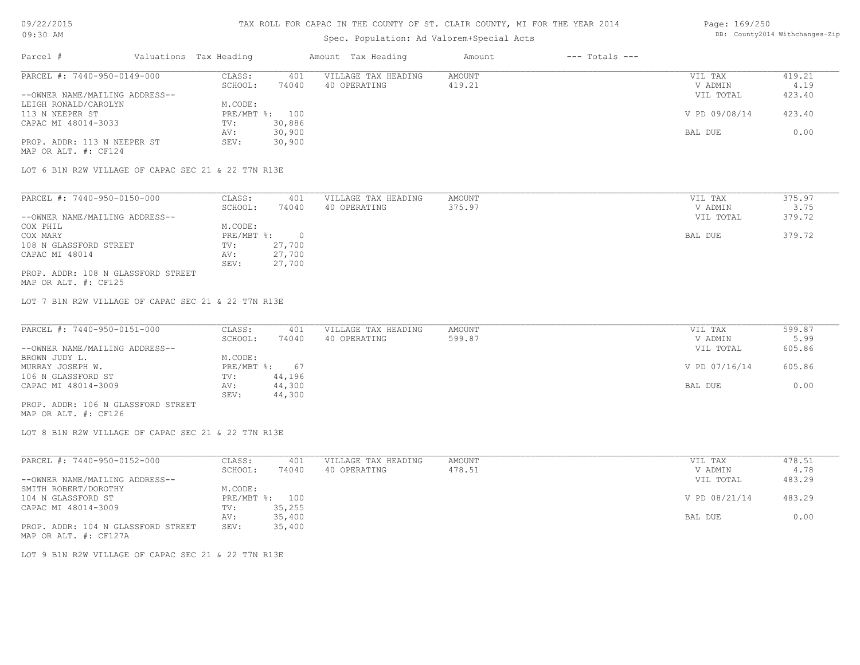#### TAX ROLL FOR CAPAC IN THE COUNTY OF ST. CLAIR COUNTY, MI FOR THE YEAR 2014

# Spec. Population: Ad Valorem+Special Acts

#### Page: 169/250 DB: County2014 Withchanges-Zip

| Parcel #                                            | Valuations Tax Heading |        | Amount Tax Heading  | Amount | $---$ Totals $---$ |               |        |
|-----------------------------------------------------|------------------------|--------|---------------------|--------|--------------------|---------------|--------|
| PARCEL #: 7440-950-0149-000                         | CLASS:                 | 401    | VILLAGE TAX HEADING | AMOUNT |                    | VIL TAX       | 419.21 |
|                                                     | SCHOOL:                | 74040  | 40 OPERATING        | 419.21 |                    | V ADMIN       | 4.19   |
| --OWNER NAME/MAILING ADDRESS--                      |                        |        |                     |        |                    | VIL TOTAL     | 423.40 |
| LEIGH RONALD/CAROLYN                                | M.CODE:                |        |                     |        |                    |               |        |
| 113 N NEEPER ST                                     | PRE/MBT %: 100         |        |                     |        |                    | V PD 09/08/14 | 423.40 |
| CAPAC MI 48014-3033                                 | TV:                    | 30,886 |                     |        |                    |               |        |
|                                                     | AV:                    | 30,900 |                     |        |                    | BAL DUE       | 0.00   |
| PROP. ADDR: 113 N NEEPER ST                         | SEV:                   | 30,900 |                     |        |                    |               |        |
| MAP OR ALT. #: CF124                                |                        |        |                     |        |                    |               |        |
| LOT 6 B1N R2W VILLAGE OF CAPAC SEC 21 & 22 T7N R13E |                        |        |                     |        |                    |               |        |
|                                                     |                        |        |                     |        |                    |               |        |
| PARCEL #: 7440-950-0150-000                         | CLASS:                 | 401    | VILLAGE TAX HEADING | AMOUNT |                    | VIL TAX       | 375.97 |
|                                                     | SCHOOL:                | 74040  | 40 OPERATING        | 375.97 |                    | V ADMIN       | 3.75   |

|                                    | SCHOOL:      | 74 U 4 U | 40 ofekating | 313.91 | V ADMIN   | 3.73   |
|------------------------------------|--------------|----------|--------------|--------|-----------|--------|
| --OWNER NAME/MAILING ADDRESS--     |              |          |              |        | VIL TOTAL | 379.72 |
| COX PHIL                           | M.CODE:      |          |              |        |           |        |
| COX MARY                           | $PRE/MBT$ %: |          |              |        | BAL DUE   | 379.72 |
| 108 N GLASSFORD STREET             | TV:          | 27,700   |              |        |           |        |
| CAPAC MI 48014                     | AV:          | 27,700   |              |        |           |        |
|                                    | SEV:         | 27,700   |              |        |           |        |
| PROP. ADDR: 108 N GLASSFORD STREET |              |          |              |        |           |        |
|                                    |              |          |              |        |           |        |

MAP OR ALT. #: CF125

LOT 7 B1N R2W VILLAGE OF CAPAC SEC 21 & 22 T7N R13E

| PARCEL #: 7440-950-0151-000        | CLASS:       | 401    | VILLAGE TAX HEADING | AMOUNT | VIL TAX       | 599.87 |
|------------------------------------|--------------|--------|---------------------|--------|---------------|--------|
|                                    | SCHOOL:      | 74040  | 40 OPERATING        | 599.87 | V ADMIN       | 5.99   |
| --OWNER NAME/MAILING ADDRESS--     |              |        |                     |        | VIL TOTAL     | 605.86 |
| BROWN JUDY L.                      | M.CODE:      |        |                     |        |               |        |
| MURRAY JOSEPH W.                   | $PRE/MBT$ %: | 67     |                     |        | V PD 07/16/14 | 605.86 |
| 106 N GLASSFORD ST                 | TV:          | 44,196 |                     |        |               |        |
| CAPAC MI 48014-3009                | AV:          | 44,300 |                     |        | BAL DUE       | 0.00   |
|                                    | SEV:         | 44,300 |                     |        |               |        |
| PROP. ADDR: 106 N GLASSFORD STREET |              |        |                     |        |               |        |

MAP OR ALT. #: CF126

LOT 8 B1N R2W VILLAGE OF CAPAC SEC 21 & 22 T7N R13E

| PARCEL #: 7440-950-0152-000        | CLASS:     | 401    | VILLAGE TAX HEADING | AMOUNT | VIL TAX       | 478.51 |
|------------------------------------|------------|--------|---------------------|--------|---------------|--------|
|                                    | SCHOOL:    | 74040  | 40 OPERATING        | 478.51 | V ADMIN       | 4.78   |
| --OWNER NAME/MAILING ADDRESS--     |            |        |                     |        | VIL TOTAL     | 483.29 |
| SMITH ROBERT/DOROTHY               | M.CODE:    |        |                     |        |               |        |
| 104 N GLASSFORD ST                 | PRE/MBT %: | 100    |                     |        | V PD 08/21/14 | 483.29 |
| CAPAC MI 48014-3009                | TV:        | 35,255 |                     |        |               |        |
|                                    | AV:        | 35,400 |                     |        | BAL DUE       | 0.00   |
| PROP. ADDR: 104 N GLASSFORD STREET | SEV:       | 35,400 |                     |        |               |        |
| MAP OR ALT. #: CF127A              |            |        |                     |        |               |        |

LOT 9 B1N R2W VILLAGE OF CAPAC SEC 21 & 22 T7N R13E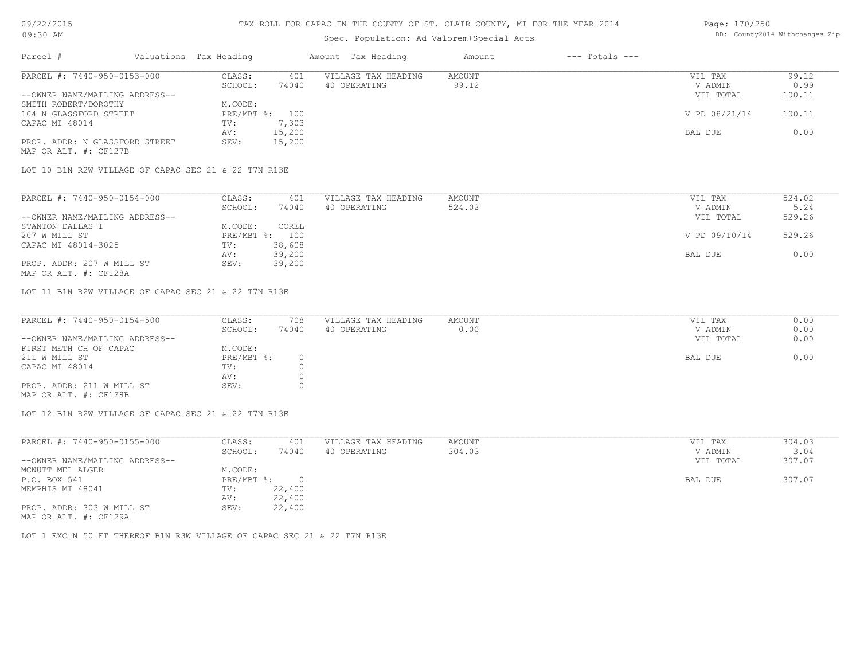### TAX ROLL FOR CAPAC IN THE COUNTY OF ST. CLAIR COUNTY, MI FOR THE YEAR 2014

# Spec. Population: Ad Valorem+Special Acts

#### Page: 170/250 DB: County2014 Withchanges-Zip

| Parcel #                       | Valuations Tax Heading |        | Amount Tax Heading  | Amount | $---$ Totals $---$ |               |        |
|--------------------------------|------------------------|--------|---------------------|--------|--------------------|---------------|--------|
| PARCEL #: 7440-950-0153-000    | CLASS:                 | 401    | VILLAGE TAX HEADING | AMOUNT |                    | VIL TAX       | 99.12  |
|                                | SCHOOL:                | 74040  | 40 OPERATING        | 99.12  |                    | V ADMIN       | 0.99   |
| --OWNER NAME/MAILING ADDRESS-- |                        |        |                     |        |                    | VIL TOTAL     | 100.11 |
| SMITH ROBERT/DOROTHY           | M.CODE:                |        |                     |        |                    |               |        |
| 104 N GLASSFORD STREET         | PRE/MBT %: 100         |        |                     |        |                    | V PD 08/21/14 | 100.11 |
| CAPAC MI 48014                 | TV:                    | 7,303  |                     |        |                    |               |        |
|                                | AV:                    | 15,200 |                     |        |                    | BAL DUE       | 0.00   |
| PROP. ADDR: N GLASSFORD STREET | SEV:                   | 15,200 |                     |        |                    |               |        |
| MAP OR ALT. #: CF127B          |                        |        |                     |        |                    |               |        |
| PARCEL #: 7440-950-0154-000    | CLASS:                 | 401    | VILLAGE TAX HEADING | AMOUNT |                    | VIL TAX       | 524.02 |
|                                | SCHOOL:                | 74040  | 40 OPERATING        | 524.02 |                    | V ADMIN       | 5.24   |
| --OWNER NAME/MAILING ADDRESS-- |                        |        |                     |        |                    | VIL TOTAL     | 529.26 |
| STANTON DALLAS I               | M.CODE:                | COREL  |                     |        |                    |               |        |
| 207 W MILL ST                  | PRE/MBT %: 100         |        |                     |        |                    | V PD 09/10/14 | 529.26 |
| CAPAC MI 48014-3025            | TV:                    | 38,608 |                     |        |                    |               |        |
|                                | AV:                    | 39,200 |                     |        |                    | BAL DUE       | 0.00   |
| PROP. ADDR: 207 W MILL ST      | SEV:                   | 39,200 |                     |        |                    |               |        |
| MAP OR ALT. #: CF128A          |                        |        |                     |        |                    |               |        |

LOT 11 B1N R2W VILLAGE OF CAPAC SEC 21 & 22 T7N R13E

| PARCEL #: 7440-950-0154-500    | CLASS:     | 708   | VILLAGE TAX HEADING | AMOUNT | VIL TAX   | 0.00 |
|--------------------------------|------------|-------|---------------------|--------|-----------|------|
|                                | SCHOOL:    | 74040 | 40 OPERATING        | 0.00   | V ADMIN   | 0.00 |
| --OWNER NAME/MAILING ADDRESS-- |            |       |                     |        | VIL TOTAL | 0.00 |
| FIRST METH CH OF CAPAC         | M.CODE:    |       |                     |        |           |      |
| 211 W MILL ST                  | PRE/MBT %: |       |                     |        | BAL DUE   | 0.00 |
| CAPAC MI 48014                 | TV:        |       |                     |        |           |      |
|                                | AV:        |       |                     |        |           |      |
| PROP. ADDR: 211 W MILL ST      | SEV:       |       |                     |        |           |      |
| MAP OR ALT. #: CF128B          |            |       |                     |        |           |      |

 $\_$  , and the state of the state of the state of the state of the state of the state of the state of the state of the state of the state of the state of the state of the state of the state of the state of the state of the

LOT 12 B1N R2W VILLAGE OF CAPAC SEC 21 & 22 T7N R13E

| PARCEL #: 7440-950-0155-000    | CLASS:     | 401      | VILLAGE TAX HEADING | AMOUNT | 304.03<br>VIL TAX   |      |
|--------------------------------|------------|----------|---------------------|--------|---------------------|------|
|                                | SCHOOL:    | 74040    | 40 OPERATING        | 304.03 | V ADMIN             | 3.04 |
| --OWNER NAME/MAILING ADDRESS-- |            |          |                     |        | 307.07<br>VIL TOTAL |      |
| MCNUTT MEL ALGER               | M.CODE:    |          |                     |        |                     |      |
| P.O. BOX 541                   | PRE/MBT %: | $\Omega$ |                     |        | 307.07<br>BAL DUE   |      |
| MEMPHIS MI 48041               | TV:        | 22,400   |                     |        |                     |      |
|                                | AV:        | 22,400   |                     |        |                     |      |
| PROP. ADDR: 303 W MILL ST      | SEV:       | 22,400   |                     |        |                     |      |
| MAP OR ALT. #: CF129A          |            |          |                     |        |                     |      |

LOT 1 EXC N 50 FT THEREOF B1N R3W VILLAGE OF CAPAC SEC 21 & 22 T7N R13E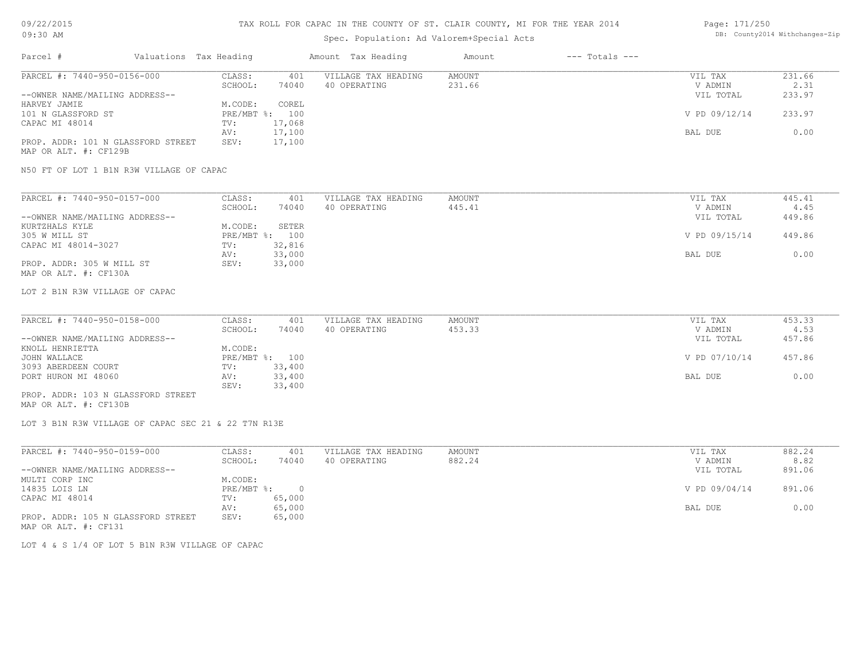# Spec. Population: Ad Valorem+Special Acts

#### Page: 171/250 DB: County2014 Withchanges-Zip

| Parcel #                           | Valuations Tax Heading |                | Amount Tax Heading  | Amount | $---$ Totals $---$ |               |        |
|------------------------------------|------------------------|----------------|---------------------|--------|--------------------|---------------|--------|
| PARCEL #: 7440-950-0156-000        | CLASS:                 | 401            | VILLAGE TAX HEADING | AMOUNT |                    | VIL TAX       | 231.66 |
|                                    | SCHOOL:                | 74040          | 40 OPERATING        | 231.66 |                    | V ADMIN       | 2.31   |
| --OWNER NAME/MAILING ADDRESS--     |                        |                |                     |        |                    | VIL TOTAL     | 233.97 |
| HARVEY JAMIE                       | M.CODE:                | COREL          |                     |        |                    |               |        |
| 101 N GLASSFORD ST                 |                        | PRE/MBT %: 100 |                     |        |                    | V PD 09/12/14 | 233.97 |
| CAPAC MI 48014                     | TV:                    | 17,068         |                     |        |                    |               |        |
|                                    | AV:                    | 17,100         |                     |        |                    | BAL DUE       | 0.00   |
| PROP. ADDR: 101 N GLASSFORD STREET | SEV:                   | 17,100         |                     |        |                    |               |        |
| MAP OR ALT. #: CF129B              |                        |                |                     |        |                    |               |        |

N50 FT OF LOT 1 B1N R3W VILLAGE OF CAPAC

| PARCEL #: 7440-950-0157-000    | CLASS:  | 401            | VILLAGE TAX HEADING | AMOUNT | VIL TAX       | 445.41 |
|--------------------------------|---------|----------------|---------------------|--------|---------------|--------|
|                                | SCHOOL: | 74040          | 40 OPERATING        | 445.41 | V ADMIN       | 4.45   |
| --OWNER NAME/MAILING ADDRESS-- |         |                |                     |        | VIL TOTAL     | 449.86 |
| KURTZHALS KYLE                 | M.CODE: | SETER          |                     |        |               |        |
| 305 W MILL ST                  |         | PRE/MBT %: 100 |                     |        | V PD 09/15/14 | 449.86 |
| CAPAC MI 48014-3027            | TV:     | 32,816         |                     |        |               |        |
|                                | AV:     | 33,000         |                     |        | BAL DUE       | 0.00   |
| PROP. ADDR: 305 W MILL ST      | SEV:    | 33,000         |                     |        |               |        |
| MAP OR ALT. #: CF130A          |         |                |                     |        |               |        |

LOT 2 B1N R3W VILLAGE OF CAPAC

| PARCEL #: 7440-950-0158-000        | CLASS:  | 401            | VILLAGE TAX HEADING | AMOUNT | VIL TAX       | 453.33 |
|------------------------------------|---------|----------------|---------------------|--------|---------------|--------|
|                                    | SCHOOL: | 74040          | 40 OPERATING        | 453.33 | V ADMIN       | 4.53   |
| --OWNER NAME/MAILING ADDRESS--     |         |                |                     |        | VIL TOTAL     | 457.86 |
| KNOLL HENRIETTA                    | M.CODE: |                |                     |        |               |        |
| JOHN WALLACE                       |         | PRE/MBT %: 100 |                     |        | V PD 07/10/14 | 457.86 |
| 3093 ABERDEEN COURT                | TV:     | 33,400         |                     |        |               |        |
| PORT HURON MI 48060                | AV:     | 33,400         |                     |        | BAL DUE       | 0.00   |
|                                    | SEV:    | 33,400         |                     |        |               |        |
| PROP. ADDR: 103 N GLASSFORD STREET |         |                |                     |        |               |        |

MAP OR ALT. #: CF130B

LOT 3 B1N R3W VILLAGE OF CAPAC SEC 21 & 22 T7N R13E

| PARCEL #: 7440-950-0159-000        | CLASS:       | 401    | VILLAGE TAX HEADING | AMOUNT | VIL TAX       | 882.24 |
|------------------------------------|--------------|--------|---------------------|--------|---------------|--------|
|                                    | SCHOOL:      | 74040  | 40 OPERATING        | 882.24 | V ADMIN       | 8.82   |
| --OWNER NAME/MAILING ADDRESS--     |              |        |                     |        | VIL TOTAL     | 891.06 |
| MULTI CORP INC                     | M.CODE:      |        |                     |        |               |        |
| 14835 LOIS LN                      | $PRE/MBT$ %: |        |                     |        | V PD 09/04/14 | 891.06 |
| CAPAC MI 48014                     | TV:          | 65,000 |                     |        |               |        |
|                                    | AV:          | 65,000 |                     |        | BAL DUE       | 0.00   |
| PROP. ADDR: 105 N GLASSFORD STREET | SEV:         | 65,000 |                     |        |               |        |
| MAP OR ALT. #: CF131               |              |        |                     |        |               |        |

LOT 4 & S 1/4 OF LOT 5 B1N R3W VILLAGE OF CAPAC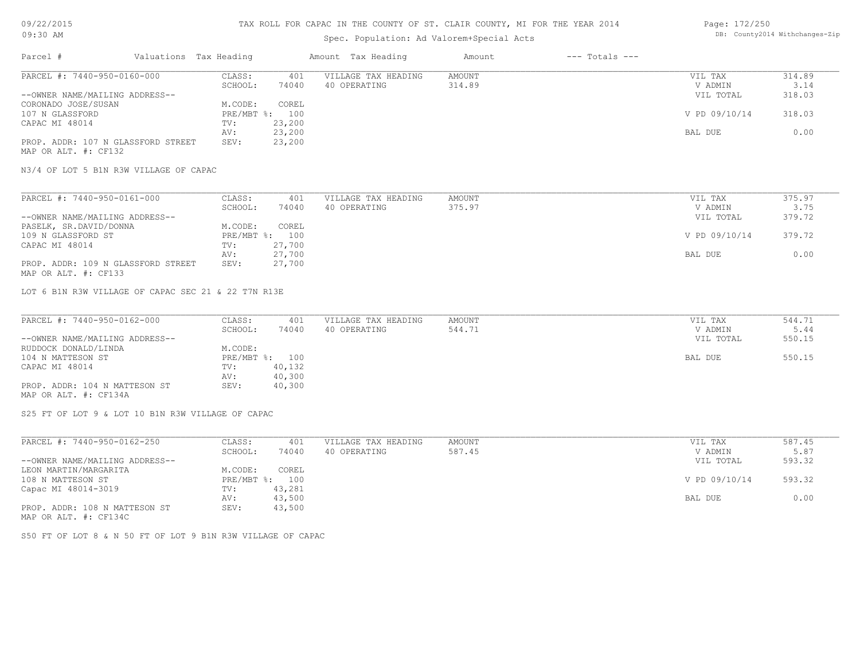# Spec. Population: Ad Valorem+Special Acts

#### Page: 172/250 DB: County2014 Withchanges-Zip

| Parcel #                           | Valuations Tax Heading |                | Amount Tax Heading  | Amount | $---$ Totals $---$ |               |        |
|------------------------------------|------------------------|----------------|---------------------|--------|--------------------|---------------|--------|
| PARCEL #: 7440-950-0160-000        | CLASS:                 | 401            | VILLAGE TAX HEADING | AMOUNT |                    | VIL TAX       | 314.89 |
|                                    | SCHOOL:                | 74040          | 40 OPERATING        | 314.89 |                    | V ADMIN       | 3.14   |
| --OWNER NAME/MAILING ADDRESS--     |                        |                |                     |        |                    | VIL TOTAL     | 318.03 |
| CORONADO JOSE/SUSAN                | M.CODE:                | COREL          |                     |        |                    |               |        |
| 107 N GLASSFORD                    |                        | PRE/MBT %: 100 |                     |        |                    | V PD 09/10/14 | 318.03 |
| CAPAC MI 48014                     | TV:                    | 23,200         |                     |        |                    |               |        |
|                                    | AV:                    | 23,200         |                     |        |                    | BAL DUE       | 0.00   |
| PROP. ADDR: 107 N GLASSFORD STREET | SEV:                   | 23,200         |                     |        |                    |               |        |
| MAP OR ALT. #: CF132               |                        |                |                     |        |                    |               |        |

N3/4 OF LOT 5 B1N R3W VILLAGE OF CAPAC

| PARCEL #: 7440-950-0161-000        | CLASS:  | 401            | VILLAGE TAX HEADING | AMOUNT | VIL TAX       | 375.97 |
|------------------------------------|---------|----------------|---------------------|--------|---------------|--------|
|                                    | SCHOOL: | 74040          | 40 OPERATING        | 375.97 | V ADMIN       | 3.75   |
| --OWNER NAME/MAILING ADDRESS--     |         |                |                     |        | VIL TOTAL     | 379.72 |
| PASELK, SR.DAVID/DONNA             | M.CODE: | COREL          |                     |        |               |        |
| 109 N GLASSFORD ST                 |         | PRE/MBT %: 100 |                     |        | V PD 09/10/14 | 379.72 |
| CAPAC MI 48014                     | TV:     | 27,700         |                     |        |               |        |
|                                    | AV:     | 27,700         |                     |        | BAL DUE       | 0.00   |
| PROP. ADDR: 109 N GLASSFORD STREET | SEV:    | 27,700         |                     |        |               |        |
| MAP OR ALT. #: CF133               |         |                |                     |        |               |        |

LOT 6 B1N R3W VILLAGE OF CAPAC SEC 21 & 22 T7N R13E

| PARCEL #: 7440-950-0162-000    | CLASS:  | 401            | VILLAGE TAX HEADING | AMOUNT | VIL TAX   | 544.71 |
|--------------------------------|---------|----------------|---------------------|--------|-----------|--------|
|                                | SCHOOL: | 74040          | 40 OPERATING        | 544.71 | V ADMIN   | 5.44   |
| --OWNER NAME/MAILING ADDRESS-- |         |                |                     |        | VIL TOTAL | 550.15 |
| RUDDOCK DONALD/LINDA           | M.CODE: |                |                     |        |           |        |
| 104 N MATTESON ST              |         | PRE/MBT %: 100 |                     |        | BAL DUE   | 550.15 |
| CAPAC MI 48014                 | TV:     | 40,132         |                     |        |           |        |
|                                | AV:     | 40,300         |                     |        |           |        |
| PROP. ADDR: 104 N MATTESON ST  | SEV:    | 40,300         |                     |        |           |        |
| MAP OR ALT. #: CF134A          |         |                |                     |        |           |        |

S25 FT OF LOT 9 & LOT 10 B1N R3W VILLAGE OF CAPAC

| PARCEL #: 7440-950-0162-250    | CLASS:     | 401    | VILLAGE TAX HEADING | AMOUNT | VIL TAX       | 587.45 |
|--------------------------------|------------|--------|---------------------|--------|---------------|--------|
|                                | SCHOOL:    | 74040  | 40 OPERATING        | 587.45 | V ADMIN       | 5.87   |
| --OWNER NAME/MAILING ADDRESS-- |            |        |                     |        | VIL TOTAL     | 593.32 |
| LEON MARTIN/MARGARITA          | M.CODE:    | COREL  |                     |        |               |        |
| 108 N MATTESON ST              | PRE/MBT %: | 100    |                     |        | V PD 09/10/14 | 593.32 |
| Capac MI 48014-3019            | TV:        | 43,281 |                     |        |               |        |
|                                | AV:        | 43,500 |                     |        | BAL DUE       | 0.00   |
| PROP. ADDR: 108 N MATTESON ST  | SEV:       | 43,500 |                     |        |               |        |
| MAP OR ALT. #: CF134C          |            |        |                     |        |               |        |

S50 FT OF LOT 8 & N 50 FT OF LOT 9 B1N R3W VILLAGE OF CAPAC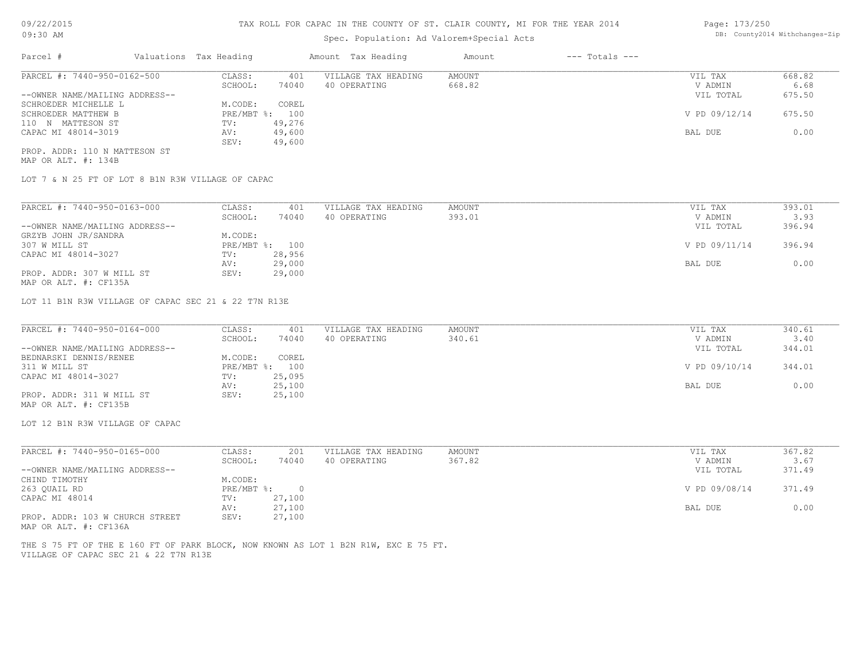# Spec. Population: Ad Valorem+Special Acts

| Parcel #                       | Valuations Tax Heading |        | Amount Tax Heading  | Amount | $---$ Totals $---$ |               |        |
|--------------------------------|------------------------|--------|---------------------|--------|--------------------|---------------|--------|
| PARCEL #: 7440-950-0162-500    | CLASS:                 | 401    | VILLAGE TAX HEADING | AMOUNT |                    | VIL TAX       | 668.82 |
|                                | SCHOOL:                | 74040  | 40 OPERATING        | 668.82 |                    | V ADMIN       | 6.68   |
| --OWNER NAME/MAILING ADDRESS-- |                        |        |                     |        |                    | VIL TOTAL     | 675.50 |
| SCHROEDER MICHELLE L           | M.CODE:                | COREL  |                     |        |                    |               |        |
| SCHROEDER MATTHEW B            | PRE/MBT %: 100         |        |                     |        |                    | V PD 09/12/14 | 675.50 |
| 110 N MATTESON ST              | TV:                    | 49,276 |                     |        |                    |               |        |
| CAPAC MI 48014-3019            | AV:                    | 49,600 |                     |        |                    | BAL DUE       | 0.00   |
|                                | SEV:                   | 49,600 |                     |        |                    |               |        |
|                                |                        |        |                     |        |                    |               |        |

MAP OR ALT. #: 134B PROP. ADDR: 110 N MATTESON ST

LOT 7 & N 25 FT OF LOT 8 B1N R3W VILLAGE OF CAPAC

| PARCEL #: 7440-950-0163-000    | CLASS:     | 401    | VILLAGE TAX HEADING | AMOUNT | VIL TAX       | 393.01 |
|--------------------------------|------------|--------|---------------------|--------|---------------|--------|
|                                | SCHOOL:    | 74040  | 40 OPERATING        | 393.01 | V ADMIN       | 3.93   |
| --OWNER NAME/MAILING ADDRESS-- |            |        |                     |        | VIL TOTAL     | 396.94 |
| GRZYB JOHN JR/SANDRA           | M.CODE:    |        |                     |        |               |        |
| 307 W MILL ST                  | PRE/MBT %: | 100    |                     |        | V PD 09/11/14 | 396.94 |
| CAPAC MI 48014-3027            | TV:        | 28,956 |                     |        |               |        |
|                                | AV:        | 29,000 |                     |        | BAL DUE       | 0.00   |
| PROP. ADDR: 307 W MILL ST      | SEV:       | 29,000 |                     |        |               |        |
| MAP OR ALT. #: CF135A          |            |        |                     |        |               |        |

LOT 11 B1N R3W VILLAGE OF CAPAC SEC 21 & 22 T7N R13E

| PARCEL #: 7440-950-0164-000    | CLASS:  | 401            | VILLAGE TAX HEADING | AMOUNT | VIL TAX       | 340.61 |
|--------------------------------|---------|----------------|---------------------|--------|---------------|--------|
|                                | SCHOOL: | 74040          | 40 OPERATING        | 340.61 | V ADMIN       | 3.40   |
| --OWNER NAME/MAILING ADDRESS-- |         |                |                     |        | VIL TOTAL     | 344.01 |
| BEDNARSKI DENNIS/RENEE         | M.CODE: | COREL          |                     |        |               |        |
| 311 W MILL ST                  |         | PRE/MBT %: 100 |                     |        | V PD 09/10/14 | 344.01 |
| CAPAC MI 48014-3027            | TV:     | 25,095         |                     |        |               |        |
|                                | AV:     | 25,100         |                     |        | BAL DUE       | 0.00   |
| PROP. ADDR: 311 W MILL ST      | SEV:    | 25,100         |                     |        |               |        |
| MAP OR ALT. #: CF135B          |         |                |                     |        |               |        |

LOT 12 B1N R3W VILLAGE OF CAPAC

| PARCEL #: 7440-950-0165-000     | CLASS:       | 201    | VILLAGE TAX HEADING | AMOUNT | VIL TAX       | 367.82 |
|---------------------------------|--------------|--------|---------------------|--------|---------------|--------|
|                                 | SCHOOL:      | 74040  | 40 OPERATING        | 367.82 | V ADMIN       | 3.67   |
| --OWNER NAME/MAILING ADDRESS--  |              |        |                     |        | VIL TOTAL     | 371.49 |
| CHIND TIMOTHY                   | M.CODE:      |        |                     |        |               |        |
| 263 QUAIL RD                    | $PRE/MBT$ %: |        |                     |        | V PD 09/08/14 | 371.49 |
| CAPAC MI 48014                  | TV:          | 27,100 |                     |        |               |        |
|                                 | AV:          | 27,100 |                     |        | BAL DUE       | 0.00   |
| PROP. ADDR: 103 W CHURCH STREET | SEV:         | 27,100 |                     |        |               |        |
| MAP OR ALT. #: CF136A           |              |        |                     |        |               |        |

VILLAGE OF CAPAC SEC 21 & 22 T7N R13E THE S 75 FT OF THE E 160 FT OF PARK BLOCK, NOW KNOWN AS LOT 1 B2N R1W, EXC E 75 FT.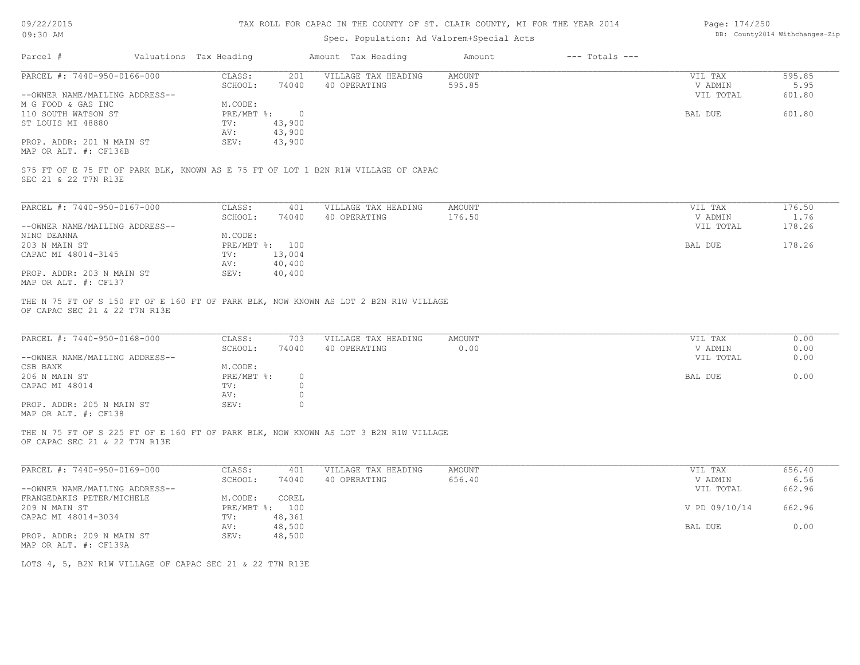| 09/22/2015 |  |
|------------|--|
| $09:30$ AM |  |

# Spec. Population: Ad Valorem+Special Acts

| Page: 174/250 |                                |
|---------------|--------------------------------|
|               | DB: County2014 Withchanges-Zip |

| Parcel #                                                                                                             | Valuations Tax Heading            | Amount Tax Heading                  | Amount         | $---$ Totals $---$ |                    |              |
|----------------------------------------------------------------------------------------------------------------------|-----------------------------------|-------------------------------------|----------------|--------------------|--------------------|--------------|
| PARCEL #: 7440-950-0166-000                                                                                          | CLASS:<br>201                     | VILLAGE TAX HEADING                 | AMOUNT         |                    | VIL TAX            | 595.85       |
|                                                                                                                      | SCHOOL:<br>74040                  | 40 OPERATING                        | 595.85         |                    | V ADMIN            | 5.95         |
| --OWNER NAME/MAILING ADDRESS--                                                                                       |                                   |                                     |                |                    | VIL TOTAL          | 601.80       |
| M G FOOD & GAS INC<br>110 SOUTH WATSON ST                                                                            | M.CODE:<br>PRE/MBT %:             | $\overline{0}$                      |                |                    | BAL DUE            | 601.80       |
| ST LOUIS MI 48880                                                                                                    | 43,900<br>TV:                     |                                     |                |                    |                    |              |
|                                                                                                                      | AV:<br>43,900                     |                                     |                |                    |                    |              |
| PROP. ADDR: 201 N MAIN ST                                                                                            | SEV:<br>43,900                    |                                     |                |                    |                    |              |
| MAP OR ALT. #: CF136B                                                                                                |                                   |                                     |                |                    |                    |              |
| S75 FT OF E 75 FT OF PARK BLK, KNOWN AS E 75 FT OF LOT 1 B2N R1W VILLAGE OF CAPAC                                    |                                   |                                     |                |                    |                    |              |
| SEC 21 & 22 T7N R13E                                                                                                 |                                   |                                     |                |                    |                    |              |
| PARCEL #: 7440-950-0167-000                                                                                          | CLASS:<br>401                     | VILLAGE TAX HEADING                 | <b>AMOUNT</b>  |                    | VIL TAX            | 176.50       |
|                                                                                                                      | SCHOOL:<br>74040                  | 40 OPERATING                        | 176.50         |                    | V ADMIN            | 1.76         |
| --OWNER NAME/MAILING ADDRESS--                                                                                       |                                   |                                     |                |                    | VIL TOTAL          | 178.26       |
| NINO DEANNA                                                                                                          | M.CODE:                           |                                     |                |                    |                    |              |
| 203 N MAIN ST                                                                                                        | PRE/MBT %: 100                    |                                     |                |                    | BAL DUE            | 178.26       |
| CAPAC MI 48014-3145                                                                                                  | 13,004<br>TV:                     |                                     |                |                    |                    |              |
|                                                                                                                      | AV:<br>40,400                     |                                     |                |                    |                    |              |
| PROP. ADDR: 203 N MAIN ST<br>MAP OR ALT. #: CF137                                                                    | 40,400<br>SEV:                    |                                     |                |                    |                    |              |
| THE N 75 FT OF S 150 FT OF E 160 FT OF PARK BLK, NOW KNOWN AS LOT 2 B2N R1W VILLAGE<br>OF CAPAC SEC 21 & 22 T7N R13E |                                   |                                     |                |                    |                    |              |
| PARCEL #: 7440-950-0168-000                                                                                          | CLASS:<br>703<br>SCHOOL:<br>74040 | VILLAGE TAX HEADING<br>40 OPERATING | AMOUNT<br>0.00 |                    | VIL TAX<br>V ADMIN | 0.00<br>0.00 |
| --OWNER NAME/MAILING ADDRESS--                                                                                       |                                   |                                     |                |                    | VIL TOTAL          | 0.00         |
| CSB BANK                                                                                                             | M.CODE:                           |                                     |                |                    |                    |              |
| 206 N MAIN ST                                                                                                        | PRE/MBT %:                        | $\circ$                             |                |                    | BAL DUE            | 0.00         |
| CAPAC MI 48014                                                                                                       | TV:                               | $\circ$                             |                |                    |                    |              |
|                                                                                                                      | AV:                               | $\circ$                             |                |                    |                    |              |
| PROP. ADDR: 205 N MAIN ST<br>MAP OR ALT. #: CF138                                                                    | SEV:                              | $\circ$                             |                |                    |                    |              |
| THE N 75 FT OF S 225 FT OF E 160 FT OF PARK BLK, NOW KNOWN AS LOT 3 B2N R1W VILLAGE<br>OF CAPAC SEC 21 & 22 T7N R13E |                                   |                                     |                |                    |                    |              |
| PARCEL #: 7440-950-0169-000                                                                                          | CLASS:<br>401                     | VILLAGE TAX HEADING                 | <b>AMOUNT</b>  |                    | VIL TAX            | 656.40       |
|                                                                                                                      | SCHOOL:<br>74040                  | 40 OPERATING                        | 656.40         |                    | V ADMIN            | 6.56         |
| --OWNER NAME/MAILING ADDRESS--                                                                                       |                                   |                                     |                |                    | VIL TOTAL          | 662.96       |
| FRANGEDAKIS PETER/MICHELE                                                                                            | M.CODE:<br>COREL                  |                                     |                |                    |                    |              |
| 209 N MAIN ST                                                                                                        | PRE/MBT %: 100                    |                                     |                |                    | V PD 09/10/14      | 662.96       |
| CAPAC MI 48014-3034                                                                                                  | TV:<br>48,361                     |                                     |                |                    |                    |              |
|                                                                                                                      | 48,500<br>AV:                     |                                     |                |                    | BAL DUE            | 0.00         |
| PROP. ADDR: 209 N MAIN ST                                                                                            | 48,500<br>SEV:                    |                                     |                |                    |                    |              |
| MAP OR ALT. #: CF139A                                                                                                |                                   |                                     |                |                    |                    |              |
| LOTS 4, 5, B2N R1W VILLAGE OF CAPAC SEC 21 & 22 T7N R13E                                                             |                                   |                                     |                |                    |                    |              |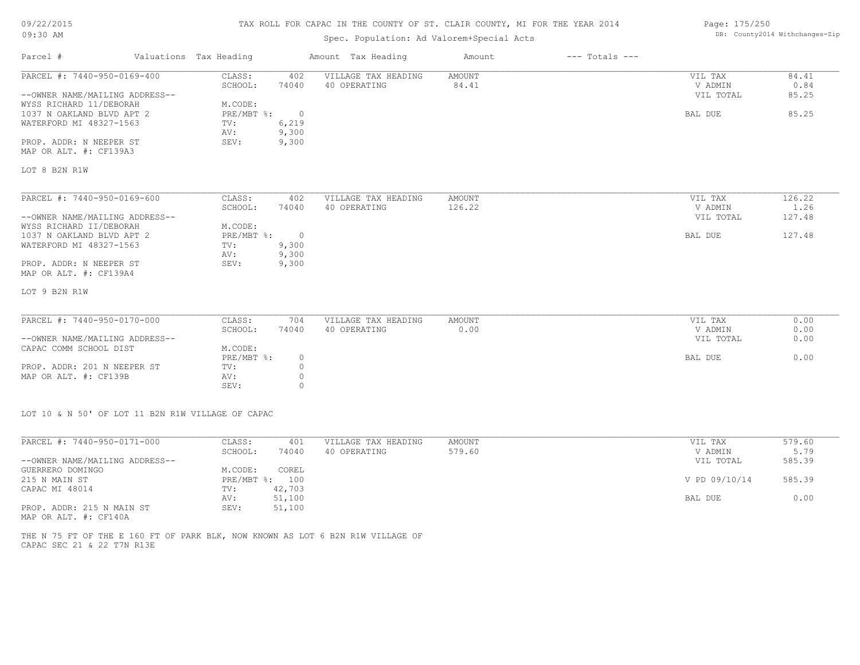# TAX ROLL FOR CAPAC IN THE COUNTY OF ST. CLAIR COUNTY, MI FOR THE YEAR 2014

# Spec. Population: Ad Valorem+Special Acts

#### Page: 175/250 DB: County2014 Withchanges-Zip

| Parcel #                       | Valuations Tax Heading |                | Amount Tax Heading  | Amount | $---$ Totals $---$ |           |        |
|--------------------------------|------------------------|----------------|---------------------|--------|--------------------|-----------|--------|
| PARCEL #: 7440-950-0169-400    | CLASS:                 | 402            | VILLAGE TAX HEADING | AMOUNT |                    | VIL TAX   | 84.41  |
|                                | SCHOOL:                | 74040          | 40 OPERATING        | 84.41  |                    | V ADMIN   | 0.84   |
| --OWNER NAME/MAILING ADDRESS-- |                        |                |                     |        |                    | VIL TOTAL | 85.25  |
| WYSS RICHARD 11/DEBORAH        | M.CODE:                |                |                     |        |                    |           |        |
| 1037 N OAKLAND BLVD APT 2      | PRE/MBT %:             | $\sim$ 0       |                     |        |                    | BAL DUE   | 85.25  |
| WATERFORD MI 48327-1563        | TV:                    | 6,219          |                     |        |                    |           |        |
|                                | AV:                    | 9,300          |                     |        |                    |           |        |
| PROP. ADDR: N NEEPER ST        | SEV:                   | 9,300          |                     |        |                    |           |        |
| MAP OR ALT. #: CF139A3         |                        |                |                     |        |                    |           |        |
| LOT 8 B2N R1W                  |                        |                |                     |        |                    |           |        |
| PARCEL #: 7440-950-0169-600    | CLASS:                 | 402            | VILLAGE TAX HEADING | AMOUNT |                    | VIL TAX   | 126.22 |
|                                | SCHOOL:                | 74040          | 40 OPERATING        | 126.22 |                    | V ADMIN   | 1.26   |
| --OWNER NAME/MAILING ADDRESS-- |                        |                |                     |        |                    | VIL TOTAL | 127.48 |
| WYSS RICHARD II/DEBORAH        | M.CODE:                |                |                     |        |                    |           |        |
| 1037 N OAKLAND BLVD APT 2      | PRE/MBT %:             | $\overline{0}$ |                     |        |                    | BAL DUE   | 127.48 |
| WATERFORD MI 48327-1563        | TV:                    | 9,300          |                     |        |                    |           |        |
|                                | AV:                    | 9,300          |                     |        |                    |           |        |
| PROP. ADDR: N NEEPER ST        | SEV:                   | 9,300          |                     |        |                    |           |        |
| MAP OR ALT. #: CF139A4         |                        |                |                     |        |                    |           |        |
| LOT 9 B2N R1W                  |                        |                |                     |        |                    |           |        |
|                                |                        |                |                     |        |                    |           |        |
| PARCEL #: 7440-950-0170-000    | CLASS:                 | 704            | VILLAGE TAX HEADING | AMOUNT |                    | VIL TAX   | 0.00   |
|                                | SCHOOL:                | 74040          | 40 OPERATING        | 0.00   |                    | V ADMIN   | 0.00   |
| --OWNER NAME/MAILING ADDRESS-- |                        |                |                     |        |                    | VIL TOTAL | 0.00   |
| CAPAC COMM SCHOOL DIST         | M.CODE:                |                |                     |        |                    |           |        |
|                                | PRE/MBT %:             | 0              |                     |        |                    | BAL DUE   | 0.00   |
| PROP. ADDR: 201 N NEEPER ST    | TV:                    | $\circ$        |                     |        |                    |           |        |
| MAP OR ALT. #: CF139B          | AV:                    | $\Omega$       |                     |        |                    |           |        |

LOT 10 & N 50' OF LOT 11 B2N R1W VILLAGE OF CAPAC

SEV: 0

| PARCEL #: 7440-950-0171-000    | CLASS:       | 401    | VILLAGE TAX HEADING | AMOUNT | VIL TAX       | 579.60 |
|--------------------------------|--------------|--------|---------------------|--------|---------------|--------|
|                                | SCHOOL:      | 74040  | 40 OPERATING        | 579.60 | V ADMIN       | 5.79   |
| --OWNER NAME/MAILING ADDRESS-- |              |        |                     |        | VIL TOTAL     | 585.39 |
| GUERRERO DOMINGO               | M.CODE:      | COREL  |                     |        |               |        |
| 215 N MAIN ST                  | $PRE/MBT$ %: | 100    |                     |        | V PD 09/10/14 | 585.39 |
| CAPAC MI 48014                 | TV:          | 42,703 |                     |        |               |        |
|                                | AV:          | 51,100 |                     |        | BAL DUE       | 0.00   |
| PROP. ADDR: 215 N MAIN ST      | SEV:         | 51,100 |                     |        |               |        |
| MAP OR ALT. #: CF140A          |              |        |                     |        |               |        |

CAPAC SEC 21 & 22 T7N R13E THE N 75 FT OF THE E 160 FT OF PARK BLK, NOW KNOWN AS LOT 6 B2N R1W VILLAGE OF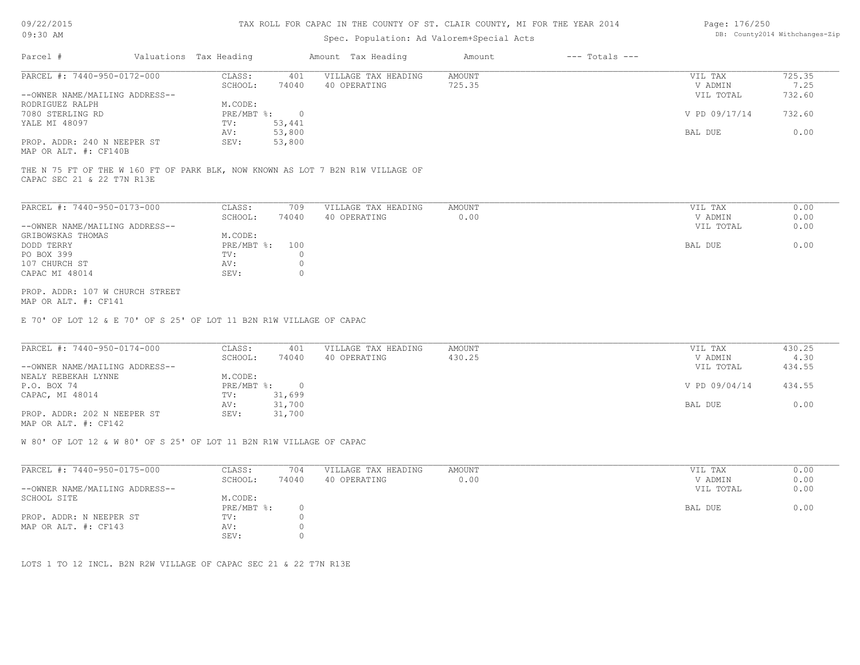#### TAX ROLL FOR CAPAC IN THE COUNTY OF ST. CLAIR COUNTY, MI FOR THE YEAR 2014

# Spec. Population: Ad Valorem+Special Acts

#### Page: 176/250 DB: County2014 Withchanges-Zip

| Parcel #                       | Valuations Tax Heading |        | Amount Tax Heading  | Amount | $---$ Totals $---$ |               |        |
|--------------------------------|------------------------|--------|---------------------|--------|--------------------|---------------|--------|
| PARCEL #: 7440-950-0172-000    | CLASS:                 | 401    | VILLAGE TAX HEADING | AMOUNT |                    | VIL TAX       | 725.35 |
|                                | SCHOOL:                | 74040  | 40 OPERATING        | 725.35 |                    | V ADMIN       | 7.25   |
| --OWNER NAME/MAILING ADDRESS-- |                        |        |                     |        |                    | VIL TOTAL     | 732.60 |
| RODRIGUEZ RALPH                | M.CODE:                |        |                     |        |                    |               |        |
| 7080 STERLING RD               | $PRE/MBT$ %:           |        |                     |        |                    | V PD 09/17/14 | 732.60 |
| YALE MI 48097                  | TV:                    | 53,441 |                     |        |                    |               |        |
|                                | AV:                    | 53,800 |                     |        |                    | BAL DUE       | 0.00   |
| PROP. ADDR: 240 N NEEPER ST    | SEV:                   | 53,800 |                     |        |                    |               |        |
|                                |                        |        |                     |        |                    |               |        |

MAP OR ALT. #: CF140B

CAPAC SEC 21 & 22 T7N R13E THE N 75 FT OF THE W 160 FT OF PARK BLK, NOW KNOWN AS LOT 7 B2N R1W VILLAGE OF

| PARCEL #: 7440-950-0173-000    | CLASS:           | 709   | VILLAGE TAX HEADING | AMOUNT | VIL TAX   | 0.00 |
|--------------------------------|------------------|-------|---------------------|--------|-----------|------|
|                                | SCHOOL:          | 74040 | 40 OPERATING        | 0.00   | V ADMIN   | 0.00 |
| --OWNER NAME/MAILING ADDRESS-- |                  |       |                     |        | VIL TOTAL | 0.00 |
| GRIBOWSKAS THOMAS              | M.CODE:          |       |                     |        |           |      |
| DODD TERRY                     | $PRE/MBT$ $\div$ | 100   |                     |        | BAL DUE   | 0.00 |
| PO BOX 399                     | TV:              |       |                     |        |           |      |
| 107 CHURCH ST                  | AV:              |       |                     |        |           |      |
| CAPAC MI 48014                 | SEV:             |       |                     |        |           |      |
|                                |                  |       |                     |        |           |      |

MAP OR ALT. #: CF141 PROP. ADDR: 107 W CHURCH STREET

E 70' OF LOT 12 & E 70' OF S 25' OF LOT 11 B2N R1W VILLAGE OF CAPAC

| PARCEL #: 7440-950-0174-000    | CLASS:       | 401    | VILLAGE TAX HEADING | AMOUNT | VIL TAX       | 430.25 |
|--------------------------------|--------------|--------|---------------------|--------|---------------|--------|
|                                | SCHOOL:      | 74040  | 40 OPERATING        | 430.25 | V ADMIN       | 4.30   |
| --OWNER NAME/MAILING ADDRESS-- |              |        |                     |        | VIL TOTAL     | 434.55 |
| NEALY REBEKAH LYNNE            | M.CODE:      |        |                     |        |               |        |
| P.O. BOX 74                    | $PRE/MBT$ %: |        |                     |        | V PD 09/04/14 | 434.55 |
| CAPAC, MI 48014                | TV:          | 31,699 |                     |        |               |        |
|                                | AV:          | 31,700 |                     |        | BAL DUE       | 0.00   |
| PROP. ADDR: 202 N NEEPER ST    | SEV:         | 31,700 |                     |        |               |        |
| MAP OR ALT. #: CF142           |              |        |                     |        |               |        |

W 80' OF LOT 12 & W 80' OF S 25' OF LOT 11 B2N R1W VILLAGE OF CAPAC

| PARCEL #: 7440-950-0175-000    | CLASS:     | 704   | VILLAGE TAX HEADING | AMOUNT | VIL TAX   | 0.00 |
|--------------------------------|------------|-------|---------------------|--------|-----------|------|
|                                | SCHOOL:    | 74040 | 40 OPERATING        | 0.00   | V ADMIN   | 0.00 |
| --OWNER NAME/MAILING ADDRESS-- |            |       |                     |        | VIL TOTAL | 0.00 |
| SCHOOL SITE                    | M.CODE:    |       |                     |        |           |      |
|                                | PRE/MBT %: |       |                     |        | BAL DUE   | 0.00 |
| PROP. ADDR: N NEEPER ST        | TV:        |       |                     |        |           |      |
| MAP OR ALT. #: CF143           | AV:        |       |                     |        |           |      |
|                                | SEV:       |       |                     |        |           |      |

LOTS 1 TO 12 INCL. B2N R2W VILLAGE OF CAPAC SEC 21 & 22 T7N R13E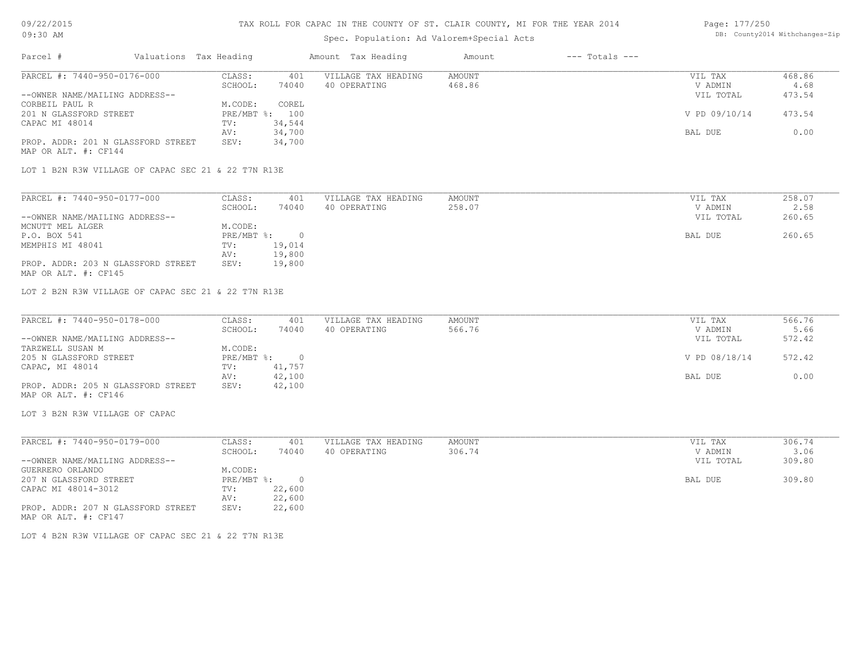| Spec. Population: Ad Valorem+Special Acts<br>Valuations Tax Heading<br>$---$ Totals $---$<br>Parcel #<br>Amount Tax Heading<br>Amount<br>PARCEL #: 7440-950-0176-000<br>CLASS:<br>401<br>VILLAGE TAX HEADING<br>AMOUNT<br>VIL TAX<br>SCHOOL:<br>74040<br>40 OPERATING<br>468.86<br>V ADMIN<br>--OWNER NAME/MAILING ADDRESS--<br>VIL TOTAL<br>CORBEIL PAUL R<br>M.CODE:<br>COREL<br>201 N GLASSFORD STREET<br>PRE/MBT %: 100<br>V PD 09/10/14<br>34,544<br>CAPAC MI 48014<br>TV:<br>34,700<br>BAL DUE<br>AV:<br>PROP. ADDR: 201 N GLASSFORD STREET<br>34,700<br>SEV:<br>LOT 1 B2N R3W VILLAGE OF CAPAC SEC 21 & 22 T7N R13E<br>PARCEL #: 7440-950-0177-000<br>CLASS:<br>VILLAGE TAX HEADING<br><b>AMOUNT</b><br>258.07<br>401<br>VIL TAX<br>SCHOOL:<br>74040<br>40 OPERATING<br>258.07<br>V ADMIN<br>260.65<br>--OWNER NAME/MAILING ADDRESS--<br>VIL TOTAL<br>MCNUTT MEL ALGER<br>M.CODE:<br>P.O. BOX 541<br>PRE/MBT %:<br>$\circ$<br>BAL DUE<br>260.65<br>19,014<br>TV:<br>19,800<br>AV:<br>PROP. ADDR: 203 N GLASSFORD STREET<br>SEV:<br>19,800<br>LOT 2 B2N R3W VILLAGE OF CAPAC SEC 21 & 22 T7N R13E<br>PARCEL #: 7440-950-0178-000<br>CLASS:<br>VILLAGE TAX HEADING<br>AMOUNT<br>VIL TAX<br>401<br>566.76<br>SCHOOL:<br>74040<br>40 OPERATING<br>V ADMIN<br>--OWNER NAME/MAILING ADDRESS--<br>VIL TOTAL<br>TARZWELL SUSAN M<br>M.CODE:<br>$\circ$<br>572.42<br>205 N GLASSFORD STREET<br>PRE/MBT %:<br>V PD 08/18/14<br>41,757<br>CAPAC, MI 48014<br>TV:<br>42,100<br>BAL DUE<br>AV:<br>PROP. ADDR: 205 N GLASSFORD STREET<br>42,100<br>SEV:<br>LOT 3 B2N R3W VILLAGE OF CAPAC<br>PARCEL #: 7440-950-0179-000<br>VILLAGE TAX HEADING<br>CLASS:<br>AMOUNT<br>VIL TAX<br>401<br>SCHOOL:<br>40 OPERATING<br>306.74<br>V ADMIN<br>74040<br>--OWNER NAME/MAILING ADDRESS--<br>VIL TOTAL<br>M.CODE:<br>GUERRERO ORLANDO<br>$\circ$<br>207 N GLASSFORD STREET<br>PRE/MBT %:<br>BAL DUE<br>CAPAC MI 48014-3012<br>22,600<br>TV:<br>22,600<br>AV:<br>22,600<br>PROP. ADDR: 207 N GLASSFORD STREET<br>SEV: | 09/22/2015 |  | TAX ROLL FOR CAPAC IN THE COUNTY OF ST. CLAIR COUNTY, MI FOR THE YEAR 2014 | Page: 177/250<br>DB: County2014 Withchanges-Zip |  |  |        |
|------------------------------------------------------------------------------------------------------------------------------------------------------------------------------------------------------------------------------------------------------------------------------------------------------------------------------------------------------------------------------------------------------------------------------------------------------------------------------------------------------------------------------------------------------------------------------------------------------------------------------------------------------------------------------------------------------------------------------------------------------------------------------------------------------------------------------------------------------------------------------------------------------------------------------------------------------------------------------------------------------------------------------------------------------------------------------------------------------------------------------------------------------------------------------------------------------------------------------------------------------------------------------------------------------------------------------------------------------------------------------------------------------------------------------------------------------------------------------------------------------------------------------------------------------------------------------------------------------------------------------------------------------------------------------------------------------------------------------------------------------------------------------------------------------------------------------------------------------------------------------------------------------------------------------------------------------------------------------------------------------|------------|--|----------------------------------------------------------------------------|-------------------------------------------------|--|--|--------|
| MAP OR ALT. #: CF144<br>MEMPHIS MI 48041<br>MAP OR ALT. #: CF145<br>MAP OR ALT. #: CF146<br>MAP OR ALT. #: CF147                                                                                                                                                                                                                                                                                                                                                                                                                                                                                                                                                                                                                                                                                                                                                                                                                                                                                                                                                                                                                                                                                                                                                                                                                                                                                                                                                                                                                                                                                                                                                                                                                                                                                                                                                                                                                                                                                     | 09:30 AM   |  |                                                                            |                                                 |  |  |        |
|                                                                                                                                                                                                                                                                                                                                                                                                                                                                                                                                                                                                                                                                                                                                                                                                                                                                                                                                                                                                                                                                                                                                                                                                                                                                                                                                                                                                                                                                                                                                                                                                                                                                                                                                                                                                                                                                                                                                                                                                      |            |  |                                                                            |                                                 |  |  |        |
|                                                                                                                                                                                                                                                                                                                                                                                                                                                                                                                                                                                                                                                                                                                                                                                                                                                                                                                                                                                                                                                                                                                                                                                                                                                                                                                                                                                                                                                                                                                                                                                                                                                                                                                                                                                                                                                                                                                                                                                                      |            |  |                                                                            |                                                 |  |  | 468.86 |
|                                                                                                                                                                                                                                                                                                                                                                                                                                                                                                                                                                                                                                                                                                                                                                                                                                                                                                                                                                                                                                                                                                                                                                                                                                                                                                                                                                                                                                                                                                                                                                                                                                                                                                                                                                                                                                                                                                                                                                                                      |            |  |                                                                            |                                                 |  |  | 4.68   |
|                                                                                                                                                                                                                                                                                                                                                                                                                                                                                                                                                                                                                                                                                                                                                                                                                                                                                                                                                                                                                                                                                                                                                                                                                                                                                                                                                                                                                                                                                                                                                                                                                                                                                                                                                                                                                                                                                                                                                                                                      |            |  |                                                                            |                                                 |  |  | 473.54 |
|                                                                                                                                                                                                                                                                                                                                                                                                                                                                                                                                                                                                                                                                                                                                                                                                                                                                                                                                                                                                                                                                                                                                                                                                                                                                                                                                                                                                                                                                                                                                                                                                                                                                                                                                                                                                                                                                                                                                                                                                      |            |  |                                                                            |                                                 |  |  |        |
|                                                                                                                                                                                                                                                                                                                                                                                                                                                                                                                                                                                                                                                                                                                                                                                                                                                                                                                                                                                                                                                                                                                                                                                                                                                                                                                                                                                                                                                                                                                                                                                                                                                                                                                                                                                                                                                                                                                                                                                                      |            |  |                                                                            |                                                 |  |  | 473.54 |
|                                                                                                                                                                                                                                                                                                                                                                                                                                                                                                                                                                                                                                                                                                                                                                                                                                                                                                                                                                                                                                                                                                                                                                                                                                                                                                                                                                                                                                                                                                                                                                                                                                                                                                                                                                                                                                                                                                                                                                                                      |            |  |                                                                            |                                                 |  |  |        |
|                                                                                                                                                                                                                                                                                                                                                                                                                                                                                                                                                                                                                                                                                                                                                                                                                                                                                                                                                                                                                                                                                                                                                                                                                                                                                                                                                                                                                                                                                                                                                                                                                                                                                                                                                                                                                                                                                                                                                                                                      |            |  |                                                                            |                                                 |  |  | 0.00   |
|                                                                                                                                                                                                                                                                                                                                                                                                                                                                                                                                                                                                                                                                                                                                                                                                                                                                                                                                                                                                                                                                                                                                                                                                                                                                                                                                                                                                                                                                                                                                                                                                                                                                                                                                                                                                                                                                                                                                                                                                      |            |  |                                                                            |                                                 |  |  |        |
|                                                                                                                                                                                                                                                                                                                                                                                                                                                                                                                                                                                                                                                                                                                                                                                                                                                                                                                                                                                                                                                                                                                                                                                                                                                                                                                                                                                                                                                                                                                                                                                                                                                                                                                                                                                                                                                                                                                                                                                                      |            |  |                                                                            |                                                 |  |  |        |
|                                                                                                                                                                                                                                                                                                                                                                                                                                                                                                                                                                                                                                                                                                                                                                                                                                                                                                                                                                                                                                                                                                                                                                                                                                                                                                                                                                                                                                                                                                                                                                                                                                                                                                                                                                                                                                                                                                                                                                                                      |            |  |                                                                            |                                                 |  |  |        |
|                                                                                                                                                                                                                                                                                                                                                                                                                                                                                                                                                                                                                                                                                                                                                                                                                                                                                                                                                                                                                                                                                                                                                                                                                                                                                                                                                                                                                                                                                                                                                                                                                                                                                                                                                                                                                                                                                                                                                                                                      |            |  |                                                                            |                                                 |  |  | 2.58   |
|                                                                                                                                                                                                                                                                                                                                                                                                                                                                                                                                                                                                                                                                                                                                                                                                                                                                                                                                                                                                                                                                                                                                                                                                                                                                                                                                                                                                                                                                                                                                                                                                                                                                                                                                                                                                                                                                                                                                                                                                      |            |  |                                                                            |                                                 |  |  |        |
|                                                                                                                                                                                                                                                                                                                                                                                                                                                                                                                                                                                                                                                                                                                                                                                                                                                                                                                                                                                                                                                                                                                                                                                                                                                                                                                                                                                                                                                                                                                                                                                                                                                                                                                                                                                                                                                                                                                                                                                                      |            |  |                                                                            |                                                 |  |  |        |
|                                                                                                                                                                                                                                                                                                                                                                                                                                                                                                                                                                                                                                                                                                                                                                                                                                                                                                                                                                                                                                                                                                                                                                                                                                                                                                                                                                                                                                                                                                                                                                                                                                                                                                                                                                                                                                                                                                                                                                                                      |            |  |                                                                            |                                                 |  |  |        |
|                                                                                                                                                                                                                                                                                                                                                                                                                                                                                                                                                                                                                                                                                                                                                                                                                                                                                                                                                                                                                                                                                                                                                                                                                                                                                                                                                                                                                                                                                                                                                                                                                                                                                                                                                                                                                                                                                                                                                                                                      |            |  |                                                                            |                                                 |  |  |        |
|                                                                                                                                                                                                                                                                                                                                                                                                                                                                                                                                                                                                                                                                                                                                                                                                                                                                                                                                                                                                                                                                                                                                                                                                                                                                                                                                                                                                                                                                                                                                                                                                                                                                                                                                                                                                                                                                                                                                                                                                      |            |  |                                                                            |                                                 |  |  |        |
|                                                                                                                                                                                                                                                                                                                                                                                                                                                                                                                                                                                                                                                                                                                                                                                                                                                                                                                                                                                                                                                                                                                                                                                                                                                                                                                                                                                                                                                                                                                                                                                                                                                                                                                                                                                                                                                                                                                                                                                                      |            |  |                                                                            |                                                 |  |  |        |
|                                                                                                                                                                                                                                                                                                                                                                                                                                                                                                                                                                                                                                                                                                                                                                                                                                                                                                                                                                                                                                                                                                                                                                                                                                                                                                                                                                                                                                                                                                                                                                                                                                                                                                                                                                                                                                                                                                                                                                                                      |            |  |                                                                            |                                                 |  |  | 566.76 |
|                                                                                                                                                                                                                                                                                                                                                                                                                                                                                                                                                                                                                                                                                                                                                                                                                                                                                                                                                                                                                                                                                                                                                                                                                                                                                                                                                                                                                                                                                                                                                                                                                                                                                                                                                                                                                                                                                                                                                                                                      |            |  |                                                                            |                                                 |  |  | 5.66   |
|                                                                                                                                                                                                                                                                                                                                                                                                                                                                                                                                                                                                                                                                                                                                                                                                                                                                                                                                                                                                                                                                                                                                                                                                                                                                                                                                                                                                                                                                                                                                                                                                                                                                                                                                                                                                                                                                                                                                                                                                      |            |  |                                                                            |                                                 |  |  | 572.42 |
|                                                                                                                                                                                                                                                                                                                                                                                                                                                                                                                                                                                                                                                                                                                                                                                                                                                                                                                                                                                                                                                                                                                                                                                                                                                                                                                                                                                                                                                                                                                                                                                                                                                                                                                                                                                                                                                                                                                                                                                                      |            |  |                                                                            |                                                 |  |  |        |
|                                                                                                                                                                                                                                                                                                                                                                                                                                                                                                                                                                                                                                                                                                                                                                                                                                                                                                                                                                                                                                                                                                                                                                                                                                                                                                                                                                                                                                                                                                                                                                                                                                                                                                                                                                                                                                                                                                                                                                                                      |            |  |                                                                            |                                                 |  |  |        |
|                                                                                                                                                                                                                                                                                                                                                                                                                                                                                                                                                                                                                                                                                                                                                                                                                                                                                                                                                                                                                                                                                                                                                                                                                                                                                                                                                                                                                                                                                                                                                                                                                                                                                                                                                                                                                                                                                                                                                                                                      |            |  |                                                                            |                                                 |  |  | 0.00   |
|                                                                                                                                                                                                                                                                                                                                                                                                                                                                                                                                                                                                                                                                                                                                                                                                                                                                                                                                                                                                                                                                                                                                                                                                                                                                                                                                                                                                                                                                                                                                                                                                                                                                                                                                                                                                                                                                                                                                                                                                      |            |  |                                                                            |                                                 |  |  |        |
|                                                                                                                                                                                                                                                                                                                                                                                                                                                                                                                                                                                                                                                                                                                                                                                                                                                                                                                                                                                                                                                                                                                                                                                                                                                                                                                                                                                                                                                                                                                                                                                                                                                                                                                                                                                                                                                                                                                                                                                                      |            |  |                                                                            |                                                 |  |  |        |
|                                                                                                                                                                                                                                                                                                                                                                                                                                                                                                                                                                                                                                                                                                                                                                                                                                                                                                                                                                                                                                                                                                                                                                                                                                                                                                                                                                                                                                                                                                                                                                                                                                                                                                                                                                                                                                                                                                                                                                                                      |            |  |                                                                            |                                                 |  |  | 306.74 |
|                                                                                                                                                                                                                                                                                                                                                                                                                                                                                                                                                                                                                                                                                                                                                                                                                                                                                                                                                                                                                                                                                                                                                                                                                                                                                                                                                                                                                                                                                                                                                                                                                                                                                                                                                                                                                                                                                                                                                                                                      |            |  |                                                                            |                                                 |  |  | 3.06   |
|                                                                                                                                                                                                                                                                                                                                                                                                                                                                                                                                                                                                                                                                                                                                                                                                                                                                                                                                                                                                                                                                                                                                                                                                                                                                                                                                                                                                                                                                                                                                                                                                                                                                                                                                                                                                                                                                                                                                                                                                      |            |  |                                                                            |                                                 |  |  | 309.80 |
|                                                                                                                                                                                                                                                                                                                                                                                                                                                                                                                                                                                                                                                                                                                                                                                                                                                                                                                                                                                                                                                                                                                                                                                                                                                                                                                                                                                                                                                                                                                                                                                                                                                                                                                                                                                                                                                                                                                                                                                                      |            |  |                                                                            |                                                 |  |  |        |
|                                                                                                                                                                                                                                                                                                                                                                                                                                                                                                                                                                                                                                                                                                                                                                                                                                                                                                                                                                                                                                                                                                                                                                                                                                                                                                                                                                                                                                                                                                                                                                                                                                                                                                                                                                                                                                                                                                                                                                                                      |            |  |                                                                            |                                                 |  |  | 309.80 |
|                                                                                                                                                                                                                                                                                                                                                                                                                                                                                                                                                                                                                                                                                                                                                                                                                                                                                                                                                                                                                                                                                                                                                                                                                                                                                                                                                                                                                                                                                                                                                                                                                                                                                                                                                                                                                                                                                                                                                                                                      |            |  |                                                                            |                                                 |  |  |        |
|                                                                                                                                                                                                                                                                                                                                                                                                                                                                                                                                                                                                                                                                                                                                                                                                                                                                                                                                                                                                                                                                                                                                                                                                                                                                                                                                                                                                                                                                                                                                                                                                                                                                                                                                                                                                                                                                                                                                                                                                      |            |  |                                                                            |                                                 |  |  |        |
|                                                                                                                                                                                                                                                                                                                                                                                                                                                                                                                                                                                                                                                                                                                                                                                                                                                                                                                                                                                                                                                                                                                                                                                                                                                                                                                                                                                                                                                                                                                                                                                                                                                                                                                                                                                                                                                                                                                                                                                                      |            |  |                                                                            |                                                 |  |  |        |
| LOT 4 B2N R3W VILLAGE OF CAPAC SEC 21 & 22 T7N R13E                                                                                                                                                                                                                                                                                                                                                                                                                                                                                                                                                                                                                                                                                                                                                                                                                                                                                                                                                                                                                                                                                                                                                                                                                                                                                                                                                                                                                                                                                                                                                                                                                                                                                                                                                                                                                                                                                                                                                  |            |  |                                                                            |                                                 |  |  |        |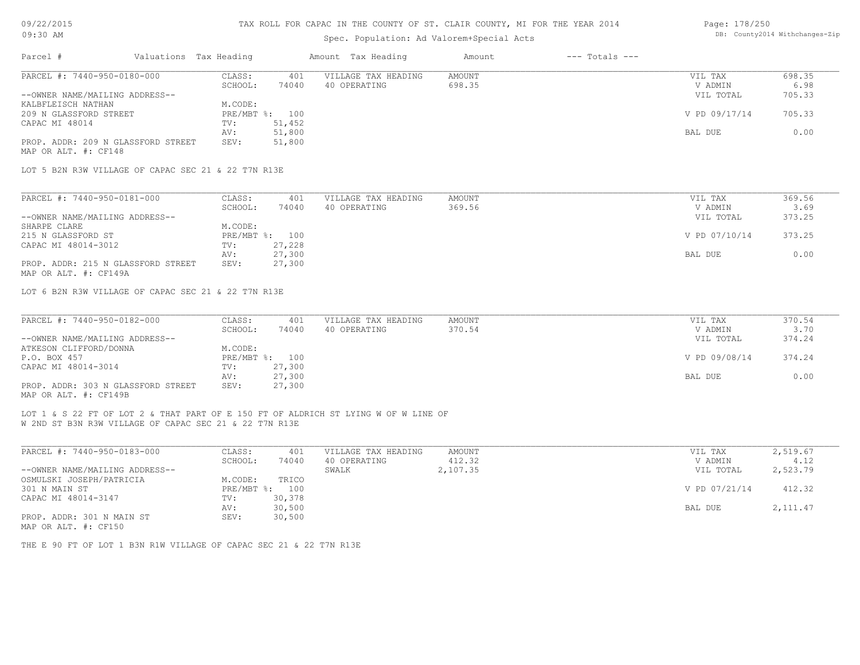# 09/22/2015

# TAX ROLL FOR CAPAC IN THE COUNTY OF ST. CLAIR COUNTY, MI FOR THE YEAR 2014

| Page: 178/250 |                                |
|---------------|--------------------------------|
|               | DB: County2014 Withchanges-Zip |

| 09:30 AM                                                                                                                                      |                        |         | Spec. Population: Ad Valorem+Special Acts | DB: County2014 Withchanges-Zip |               |                    |               |           |
|-----------------------------------------------------------------------------------------------------------------------------------------------|------------------------|---------|-------------------------------------------|--------------------------------|---------------|--------------------|---------------|-----------|
| Parcel #                                                                                                                                      | Valuations Tax Heading |         |                                           | Amount Tax Heading             | Amount        | $---$ Totals $---$ |               |           |
| PARCEL #: 7440-950-0180-000                                                                                                                   |                        | CLASS:  | 401                                       | VILLAGE TAX HEADING            | <b>AMOUNT</b> |                    | VIL TAX       | 698.35    |
|                                                                                                                                               |                        | SCHOOL: | 74040                                     | 40 OPERATING                   | 698.35        |                    | V ADMIN       | 6.98      |
| --OWNER NAME/MAILING ADDRESS--                                                                                                                |                        |         |                                           |                                |               |                    | VIL TOTAL     | 705.33    |
| KALBFLEISCH NATHAN                                                                                                                            |                        | M.CODE: |                                           |                                |               |                    |               |           |
| 209 N GLASSFORD STREET                                                                                                                        |                        |         | PRE/MBT %: 100                            |                                |               |                    | V PD 09/17/14 | 705.33    |
| CAPAC MI 48014                                                                                                                                |                        | TV:     | 51,452                                    |                                |               |                    |               |           |
|                                                                                                                                               |                        | AV:     | 51,800                                    |                                |               |                    | BAL DUE       | 0.00      |
| PROP. ADDR: 209 N GLASSFORD STREET<br>MAP OR ALT. #: CF148                                                                                    |                        | SEV:    | 51,800                                    |                                |               |                    |               |           |
| LOT 5 B2N R3W VILLAGE OF CAPAC SEC 21 & 22 T7N R13E                                                                                           |                        |         |                                           |                                |               |                    |               |           |
| PARCEL #: 7440-950-0181-000                                                                                                                   |                        | CLASS:  | 401                                       | VILLAGE TAX HEADING            | AMOUNT        |                    | VIL TAX       | 369.56    |
|                                                                                                                                               |                        | SCHOOL: | 74040                                     | 40 OPERATING                   | 369.56        |                    | V ADMIN       | 3.69      |
| --OWNER NAME/MAILING ADDRESS--                                                                                                                |                        |         |                                           |                                |               |                    | VIL TOTAL     | 373.25    |
| SHARPE CLARE                                                                                                                                  |                        | M.CODE: |                                           |                                |               |                    |               |           |
| 215 N GLASSFORD ST                                                                                                                            |                        |         | PRE/MBT %: 100                            |                                |               |                    | V PD 07/10/14 | 373.25    |
| CAPAC MI 48014-3012                                                                                                                           |                        | TV:     | 27,228                                    |                                |               |                    |               |           |
|                                                                                                                                               |                        | AV:     | 27,300                                    |                                |               |                    | BAL DUE       | 0.00      |
| PROP. ADDR: 215 N GLASSFORD STREET                                                                                                            |                        | SEV:    | 27,300                                    |                                |               |                    |               |           |
| MAP OR ALT. #: CF149A                                                                                                                         |                        |         |                                           |                                |               |                    |               |           |
| PARCEL #: 7440-950-0182-000                                                                                                                   |                        | CLASS:  | 401                                       | VILLAGE TAX HEADING            | <b>AMOUNT</b> |                    | VIL TAX       | 370.54    |
|                                                                                                                                               |                        | SCHOOL: | 74040                                     | 40 OPERATING                   | 370.54        |                    | V ADMIN       | 3.70      |
| --OWNER NAME/MAILING ADDRESS--                                                                                                                |                        |         |                                           |                                |               |                    | VIL TOTAL     | 374.24    |
| ATKESON CLIFFORD/DONNA                                                                                                                        |                        | M.CODE: |                                           |                                |               |                    |               |           |
| P.O. BOX 457                                                                                                                                  |                        |         | PRE/MBT %: 100                            |                                |               |                    | V PD 09/08/14 | 374.24    |
| CAPAC MI 48014-3014                                                                                                                           |                        | TV:     | 27,300                                    |                                |               |                    |               |           |
|                                                                                                                                               |                        | AV:     | 27,300                                    |                                |               |                    | BAL DUE       | 0.00      |
| PROP. ADDR: 303 N GLASSFORD STREET<br>MAP OR ALT. #: CF149B                                                                                   |                        | SEV:    | 27,300                                    |                                |               |                    |               |           |
| LOT 1 & S 22 FT OF LOT 2 & THAT PART OF E 150 FT OF ALDRICH ST LYING W OF W LINE OF<br>W 2ND ST B3N R3W VILLAGE OF CAPAC SEC 21 & 22 T7N R13E |                        |         |                                           |                                |               |                    |               |           |
| PARCEL #: 7440-950-0183-000                                                                                                                   |                        | CLASS:  | 401                                       | VILLAGE TAX HEADING            | AMOUNT        |                    | VIL TAX       | 2,519.67  |
|                                                                                                                                               |                        | SCHOOL: | 74040                                     | 40 OPERATING                   | 412.32        |                    | V ADMIN       | 4.12      |
| --OWNER NAME/MAILING ADDRESS--                                                                                                                |                        |         |                                           | SWALK                          | 2,107.35      |                    | VIL TOTAL     | 2,523.79  |
| OSMULSKI JOSEPH/PATRICIA                                                                                                                      |                        | M.CODE: | TRICO                                     |                                |               |                    |               |           |
| 301 N MAIN ST                                                                                                                                 |                        |         | PRE/MBT %: 100                            |                                |               |                    | V PD 07/21/14 | 412.32    |
| CAPAC MI 48014-3147                                                                                                                           |                        | TV:     | 30,378                                    |                                |               |                    |               |           |
|                                                                                                                                               |                        | AV:     | 30,500                                    |                                |               |                    | BAL DUE       | 2, 111.47 |
| PROP. ADDR: 301 N MAIN ST<br>MAP OR ALT. #: CF150                                                                                             |                        | SEV:    | 30,500                                    |                                |               |                    |               |           |
| THE E 90 FT OF LOT 1 B3N R1W VILLAGE OF CAPAC SEC 21 & 22 T7N R13E                                                                            |                        |         |                                           |                                |               |                    |               |           |
|                                                                                                                                               |                        |         |                                           |                                |               |                    |               |           |
|                                                                                                                                               |                        |         |                                           |                                |               |                    |               |           |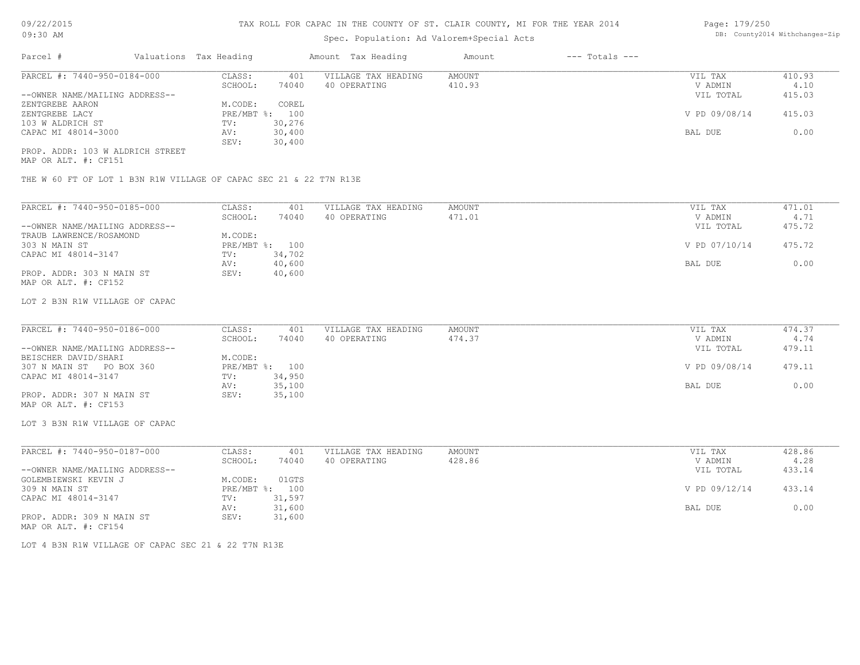# Spec. Population: Ad Valorem+Special Acts

| Page: 179/250 |                                |
|---------------|--------------------------------|
|               | DB: County2014 Withchanges-Zip |

| Parcel #                         | Valuations Tax Heading |                | Amount Tax Heading  | Amount | $---$ Totals $---$ |               |        |
|----------------------------------|------------------------|----------------|---------------------|--------|--------------------|---------------|--------|
| PARCEL #: 7440-950-0184-000      | CLASS:                 | 401            | VILLAGE TAX HEADING | AMOUNT |                    | VIL TAX       | 410.93 |
|                                  | SCHOOL:                | 74040          | 40 OPERATING        | 410.93 |                    | V ADMIN       | 4.10   |
| --OWNER NAME/MAILING ADDRESS--   |                        |                |                     |        |                    | VIL TOTAL     | 415.03 |
| ZENTGREBE AARON                  | M.CODE:                | COREL          |                     |        |                    |               |        |
| ZENTGREBE LACY                   |                        | PRE/MBT %: 100 |                     |        |                    | V PD 09/08/14 | 415.03 |
| 103 W ALDRICH ST                 | TV:                    | 30,276         |                     |        |                    |               |        |
| CAPAC MI 48014-3000              | AV:                    | 30,400         |                     |        |                    | BAL DUE       | 0.00   |
|                                  | SEV:                   | 30,400         |                     |        |                    |               |        |
| PROP. ADDR: 103 W ALDRICH STREET |                        |                |                     |        |                    |               |        |

MAP OR ALT. #: CF151

THE W 60 FT OF LOT 1 B3N R1W VILLAGE OF CAPAC SEC 21 & 22 T7N R13E

| PARCEL #: 7440-950-0185-000    | CLASS:       | 401    | VILLAGE TAX HEADING | AMOUNT | 471.01<br>VIL TAX       |
|--------------------------------|--------------|--------|---------------------|--------|-------------------------|
|                                | SCHOOL:      | 74040  | 40 OPERATING        | 471.01 | 4.71<br>V ADMIN         |
| --OWNER NAME/MAILING ADDRESS-- |              |        |                     |        | 475.72<br>VIL TOTAL     |
| TRAUB LAWRENCE/ROSAMOND        | M.CODE:      |        |                     |        |                         |
| 303 N MAIN ST                  | $PRE/MBT$ %: | 100    |                     |        | V PD 07/10/14<br>475.72 |
| CAPAC MI 48014-3147            | TV:          | 34,702 |                     |        |                         |
|                                | AV:          | 40,600 |                     |        | 0.00<br>BAL DUE         |
| PROP. ADDR: 303 N MAIN ST      | SEV:         | 40,600 |                     |        |                         |
| MAP OR ALT. #: CF152           |              |        |                     |        |                         |

#### LOT 2 B3N R1W VILLAGE OF CAPAC

| PARCEL #: 7440-950-0186-000    | CLASS:  | 401            | VILLAGE TAX HEADING | AMOUNT | VIL TAX       | 474.37 |
|--------------------------------|---------|----------------|---------------------|--------|---------------|--------|
|                                | SCHOOL: | 74040          | 40 OPERATING        | 474.37 | V ADMIN       | 4.74   |
| --OWNER NAME/MAILING ADDRESS-- |         |                |                     |        | VIL TOTAL     | 479.11 |
| BEISCHER DAVID/SHARI           | M.CODE: |                |                     |        |               |        |
| 307 N MAIN ST PO BOX 360       |         | PRE/MBT %: 100 |                     |        | V PD 09/08/14 | 479.11 |
| CAPAC MI 48014-3147            | TV:     | 34,950         |                     |        |               |        |
|                                | AV:     | 35,100         |                     |        | BAL DUE       | 0.00   |
| PROP. ADDR: 307 N MAIN ST      | SEV:    | 35,100         |                     |        |               |        |
| MAP OR ALT. #: CF153           |         |                |                     |        |               |        |

LOT 3 B3N R1W VILLAGE OF CAPAC

| PARCEL #: 7440-950-0187-000    | CLASS:  | 401            | VILLAGE TAX HEADING | AMOUNT | VIL TAX       | 428.86 |
|--------------------------------|---------|----------------|---------------------|--------|---------------|--------|
|                                | SCHOOL: | 74040          | 40 OPERATING        | 428.86 | V ADMIN       | 4.28   |
| --OWNER NAME/MAILING ADDRESS-- |         |                |                     |        | VIL TOTAL     | 433.14 |
| GOLEMBIEWSKI KEVIN J           | M.CODE: | 01GTS          |                     |        |               |        |
| 309 N MAIN ST                  |         | PRE/MBT %: 100 |                     |        | V PD 09/12/14 | 433.14 |
| CAPAC MI 48014-3147            | TV:     | 31,597         |                     |        |               |        |
|                                | AV:     | 31,600         |                     |        | BAL DUE       | 0.00   |
| PROP. ADDR: 309 N MAIN ST      | SEV:    | 31,600         |                     |        |               |        |
| MAP OR ALT. #: CF154           |         |                |                     |        |               |        |

LOT 4 B3N R1W VILLAGE OF CAPAC SEC 21 & 22 T7N R13E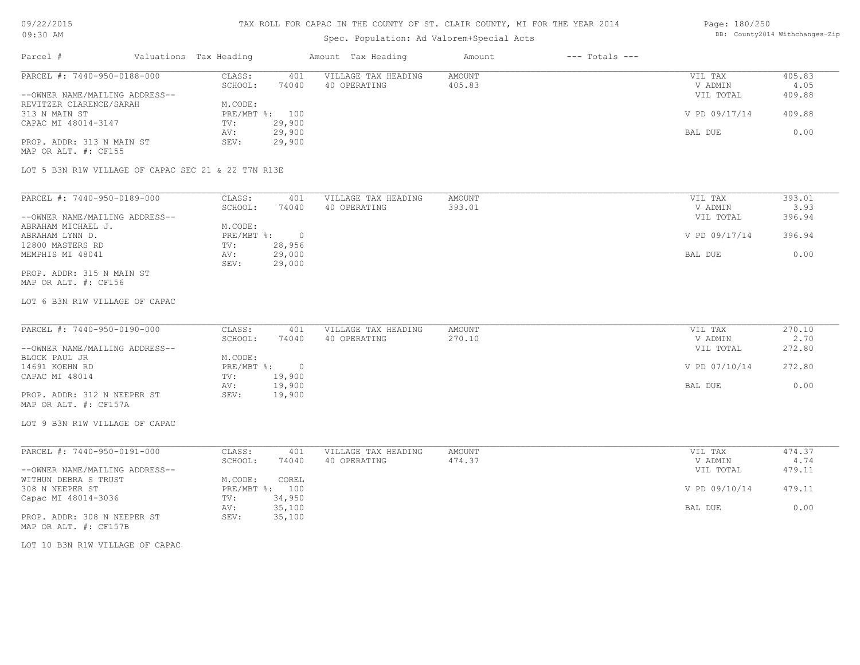# TAX ROLL FOR CAPAC IN THE COUNTY OF ST. CLAIR COUNTY, MI FOR THE YEAR 2014

# Spec. Population: Ad Valorem+Special Acts

#### Page: 180/250 DB: County2014 Withchanges-Zip

| Parcel #                       |                                                     | Valuations Tax Heading |                | Amount Tax Heading  | Amount | $---$ Totals $---$ |               |        |
|--------------------------------|-----------------------------------------------------|------------------------|----------------|---------------------|--------|--------------------|---------------|--------|
| PARCEL #: 7440-950-0188-000    |                                                     | CLASS:                 | 401            | VILLAGE TAX HEADING | AMOUNT |                    | VIL TAX       | 405.83 |
|                                |                                                     | SCHOOL:                | 74040          | 40 OPERATING        | 405.83 |                    | V ADMIN       | 4.05   |
| --OWNER NAME/MAILING ADDRESS-- |                                                     |                        |                |                     |        |                    | VIL TOTAL     | 409.88 |
| REVITZER CLARENCE/SARAH        |                                                     | M.CODE:                |                |                     |        |                    |               |        |
| 313 N MAIN ST                  |                                                     |                        | PRE/MBT %: 100 |                     |        |                    | V PD 09/17/14 | 409.88 |
| CAPAC MI 48014-3147            |                                                     | TV:                    | 29,900         |                     |        |                    |               |        |
|                                |                                                     | AV:                    | 29,900         |                     |        |                    | BAL DUE       | 0.00   |
| PROP. ADDR: 313 N MAIN ST      |                                                     | SEV:                   | 29,900         |                     |        |                    |               |        |
| MAP OR ALT. #: CF155           |                                                     |                        |                |                     |        |                    |               |        |
|                                |                                                     |                        |                |                     |        |                    |               |        |
|                                | LOT 5 B3N R1W VILLAGE OF CAPAC SEC 21 & 22 T7N R13E |                        |                |                     |        |                    |               |        |
|                                |                                                     |                        |                |                     |        |                    |               |        |
|                                |                                                     |                        |                |                     |        |                    |               |        |

| PARCEL #: 7440-950-0189-000    | CLASS:     | 401      | VILLAGE TAX HEADING | AMOUNT | VIL TAX       | 393.01 |
|--------------------------------|------------|----------|---------------------|--------|---------------|--------|
|                                | SCHOOL:    | 74040    | 40 OPERATING        | 393.01 | V ADMIN       | 3.93   |
| --OWNER NAME/MAILING ADDRESS-- |            |          |                     |        | VIL TOTAL     | 396.94 |
| ABRAHAM MICHAEL J.             | M.CODE:    |          |                     |        |               |        |
| ABRAHAM LYNN D.                | PRE/MBT %: | $\Omega$ |                     |        | V PD 09/17/14 | 396.94 |
| 12800 MASTERS RD               | TV:        | 28,956   |                     |        |               |        |
| MEMPHIS MI 48041               | AV:        | 29,000   |                     |        | BAL DUE       | 0.00   |
|                                | SEV:       | 29,000   |                     |        |               |        |
| PROP. ADDR: 315 N MAIN ST      |            |          |                     |        |               |        |

MAP OR ALT. #: CF156

#### LOT 6 B3N R1W VILLAGE OF CAPAC

| PARCEL #: 7440-950-0190-000    | CLASS:     | 401    | VILLAGE TAX HEADING | AMOUNT | VIL TAX       | 270.10 |
|--------------------------------|------------|--------|---------------------|--------|---------------|--------|
|                                | SCHOOL:    | 74040  | 40 OPERATING        | 270.10 | V ADMIN       | 2.70   |
| --OWNER NAME/MAILING ADDRESS-- |            |        |                     |        | VIL TOTAL     | 272.80 |
| BLOCK PAUL JR                  | M.CODE:    |        |                     |        |               |        |
| 14691 KOEHN RD                 | PRE/MBT %: |        |                     |        | V PD 07/10/14 | 272.80 |
| CAPAC MI 48014                 | TV:        | 19,900 |                     |        |               |        |
|                                | AV:        | 19,900 |                     |        | BAL DUE       | 0.00   |
| PROP. ADDR: 312 N NEEPER ST    | SEV:       | 19,900 |                     |        |               |        |
| MAP OR ALT. #: CF157A          |            |        |                     |        |               |        |

LOT 9 B3N R1W VILLAGE OF CAPAC

| PARCEL #: 7440-950-0191-000    | CLASS:  | 401            | VILLAGE TAX HEADING | AMOUNT | VIL TAX       | 474.37 |
|--------------------------------|---------|----------------|---------------------|--------|---------------|--------|
|                                | SCHOOL: | 74040          | 40 OPERATING        | 474.37 | V ADMIN       | 4.74   |
| --OWNER NAME/MAILING ADDRESS-- |         |                |                     |        | VIL TOTAL     | 479.11 |
| WITHUN DEBRA S TRUST           | M.CODE: | COREL          |                     |        |               |        |
| 308 N NEEPER ST                |         | PRE/MBT %: 100 |                     |        | V PD 09/10/14 | 479.11 |
| Capac MI 48014-3036            | TV:     | 34,950         |                     |        |               |        |
|                                | AV:     | 35,100         |                     |        | BAL DUE       | 0.00   |
| PROP. ADDR: 308 N NEEPER ST    | SEV:    | 35,100         |                     |        |               |        |
| MAP OR ALT. #: CF157B          |         |                |                     |        |               |        |

LOT 10 B3N R1W VILLAGE OF CAPAC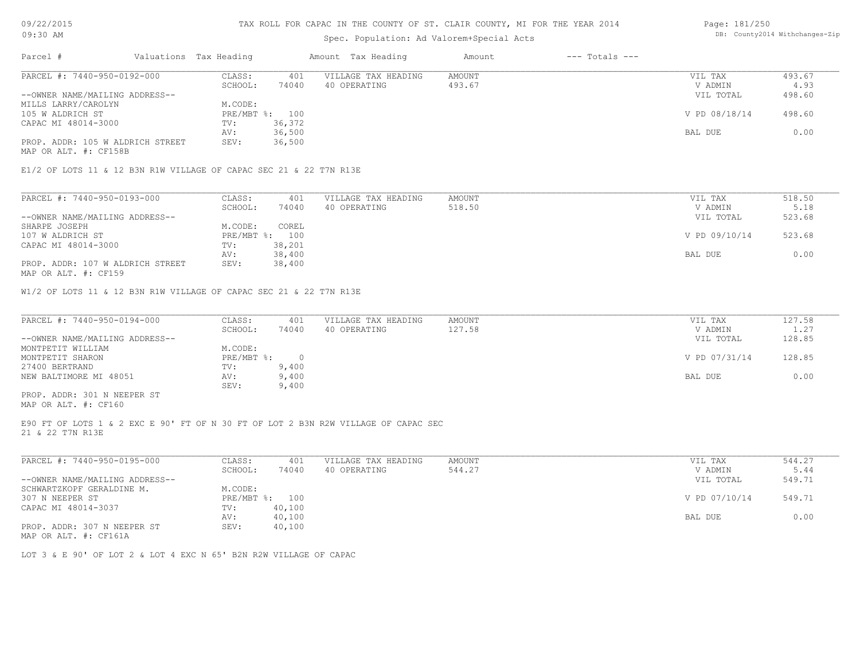### TAX ROLL FOR CAPAC IN THE COUNTY OF ST. CLAIR COUNTY, MI FOR THE YEAR 2014

# Spec. Population: Ad Valorem+Special Acts

| Parcel #                         | Valuations Tax Heading |        | Amount Tax Heading  | Amount | $---$ Totals $---$ |               |        |
|----------------------------------|------------------------|--------|---------------------|--------|--------------------|---------------|--------|
| PARCEL #: 7440-950-0192-000      | CLASS:                 | 401    | VILLAGE TAX HEADING | AMOUNT |                    | VIL TAX       | 493.67 |
|                                  | SCHOOL:                | 74040  | 40 OPERATING        | 493.67 |                    | V ADMIN       | 4.93   |
| --OWNER NAME/MAILING ADDRESS--   |                        |        |                     |        |                    | VIL TOTAL     | 498.60 |
| MILLS LARRY/CAROLYN              | M.CODE:                |        |                     |        |                    |               |        |
| 105 W ALDRICH ST                 | PRE/MBT %: 100         |        |                     |        |                    | V PD 08/18/14 | 498.60 |
| CAPAC MI 48014-3000              | TV:                    | 36,372 |                     |        |                    |               |        |
|                                  | AV:                    | 36,500 |                     |        |                    | BAL DUE       | 0.00   |
| PROP. ADDR: 105 W ALDRICH STREET | SEV:                   | 36,500 |                     |        |                    |               |        |

MAP OR ALT. #: CF158B

E1/2 OF LOTS 11 & 12 B3N R1W VILLAGE OF CAPAC SEC 21 & 22 T7N R13E

| PARCEL #: 7440-950-0193-000                                                                                     | CLASS:       | 401    | VILLAGE TAX HEADING | AMOUNT | VIL TAX       | 518.50 |
|-----------------------------------------------------------------------------------------------------------------|--------------|--------|---------------------|--------|---------------|--------|
|                                                                                                                 | SCHOOL:      | 74040  | 40 OPERATING        | 518.50 | V ADMIN       | 5.18   |
| --OWNER NAME/MAILING ADDRESS--                                                                                  |              |        |                     |        | VIL TOTAL     | 523.68 |
| SHARPE JOSEPH                                                                                                   | M.CODE:      | COREL  |                     |        |               |        |
| 107 W ALDRICH ST                                                                                                | $PRE/MBT$ %: | 100    |                     |        | V PD 09/10/14 | 523.68 |
| CAPAC MI 48014-3000                                                                                             | TV:          | 38,201 |                     |        |               |        |
|                                                                                                                 | AV:          | 38,400 |                     |        | BAL DUE       | 0.00   |
| PROP. ADDR: 107 W ALDRICH STREET                                                                                | SEV:         | 38,400 |                     |        |               |        |
| the contract of the contract of the contract of the contract of the contract of the contract of the contract of |              |        |                     |        |               |        |

MAP OR ALT. #: CF159

W1/2 OF LOTS 11 & 12 B3N R1W VILLAGE OF CAPAC SEC 21 & 22 T7N R13E

| PARCEL #: 7440-950-0194-000    | CLASS:       | 401   | VILLAGE TAX HEADING | AMOUNT | VIL TAX       | 127.58 |
|--------------------------------|--------------|-------|---------------------|--------|---------------|--------|
|                                | SCHOOL:      | 74040 | 40 OPERATING        | 127.58 | V ADMIN       | 1.27   |
| --OWNER NAME/MAILING ADDRESS-- |              |       |                     |        | VIL TOTAL     | 128.85 |
| MONTPETIT WILLIAM              | M.CODE:      |       |                     |        |               |        |
| MONTPETIT SHARON               | $PRE/MBT$ %: |       |                     |        | V PD 07/31/14 | 128.85 |
| 27400 BERTRAND                 | TV:          | 9,400 |                     |        |               |        |
| NEW BALTIMORE MI 48051         | AV:          | 9,400 |                     |        | BAL DUE       | 0.00   |
|                                | SEV:         | 9,400 |                     |        |               |        |
| PROP. ADDR: 301 N NEEPER ST    |              |       |                     |        |               |        |

MAP OR ALT. #: CF160

21 & 22 T7N R13E E90 FT OF LOTS 1 & 2 EXC E 90' FT OF N 30 FT OF LOT 2 B3N R2W VILLAGE OF CAPAC SEC

| PARCEL #: 7440-950-0195-000                  | CLASS:     | 401    | VILLAGE TAX HEADING | AMOUNT | VIL TAX       | 544.27 |
|----------------------------------------------|------------|--------|---------------------|--------|---------------|--------|
|                                              | SCHOOL:    | 74040  | 40 OPERATING        | 544.27 | V ADMIN       | 5.44   |
| --OWNER NAME/MAILING ADDRESS--               |            |        |                     |        | VIL TOTAL     | 549.71 |
| SCHWARTZKOPF GERALDINE M.                    | M.CODE:    |        |                     |        |               |        |
| 307 N NEEPER ST                              | PRE/MBT %: | 100    |                     |        | V PD 07/10/14 | 549.71 |
| CAPAC MI 48014-3037                          | TV:        | 40,100 |                     |        |               |        |
|                                              | AV:        | 40,100 |                     |        | BAL DUE       | 0.00   |
| PROP. ADDR: 307 N NEEPER ST<br>$\frac{1}{2}$ | SEV:       | 40,100 |                     |        |               |        |

MAP OR ALT. #: CF161A

LOT 3 & E 90' OF LOT 2 & LOT 4 EXC N 65' B2N R2W VILLAGE OF CAPAC

Page: 181/250 DB: County2014 Withchanges-Zip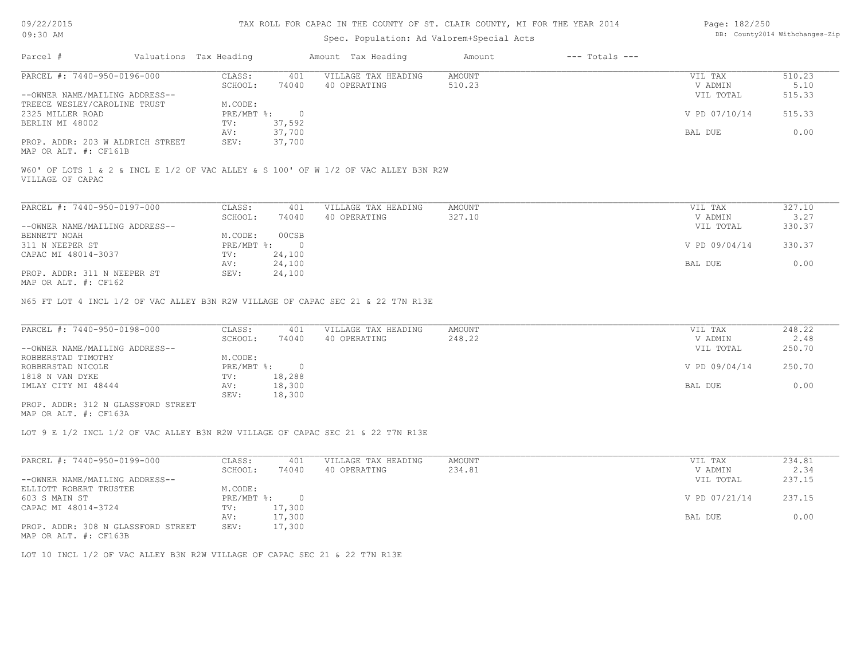# Spec. Population: Ad Valorem+Special Acts

| Page: 182/250 |                                |
|---------------|--------------------------------|
|               | DB: County2014 Withchanges-Zip |

| Parcel #                         | Valuations Tax Heading |        | Amount Tax Heading  | Amount | $---$ Totals $---$ |               |        |
|----------------------------------|------------------------|--------|---------------------|--------|--------------------|---------------|--------|
| PARCEL #: 7440-950-0196-000      | CLASS:                 | 401    | VILLAGE TAX HEADING | AMOUNT |                    | VIL TAX       | 510.23 |
|                                  | SCHOOL:                | 74040  | 40 OPERATING        | 510.23 |                    | V ADMIN       | 5.10   |
| --OWNER NAME/MAILING ADDRESS--   |                        |        |                     |        |                    | VIL TOTAL     | 515.33 |
| TREECE WESLEY/CAROLINE TRUST     | M.CODE:                |        |                     |        |                    |               |        |
| 2325 MILLER ROAD                 | $PRE/MBT$ %:           |        |                     |        |                    | V PD 07/10/14 | 515.33 |
| BERLIN MI 48002                  | TV:                    | 37,592 |                     |        |                    |               |        |
|                                  | AV:                    | 37,700 |                     |        |                    | BAL DUE       | 0.00   |
| PROP. ADDR: 203 W ALDRICH STREET | SEV:                   | 37,700 |                     |        |                    |               |        |
|                                  |                        |        |                     |        |                    |               |        |

MAP OR ALT. #: CF161B

VILLAGE OF CAPAC W60' OF LOTS 1 & 2 & INCL E 1/2 OF VAC ALLEY & S 100' OF W 1/2 OF VAC ALLEY B3N R2W

| PARCEL #: 7440-950-0197-000                           | CLASS:       | 401      | VILLAGE TAX HEADING | AMOUNT | VIL TAX       | 327.10 |
|-------------------------------------------------------|--------------|----------|---------------------|--------|---------------|--------|
|                                                       | SCHOOL:      | 74040    | 40 OPERATING        | 327.10 | V ADMIN       | 3.27   |
| --OWNER NAME/MAILING ADDRESS--                        |              |          |                     |        | VIL TOTAL     | 330.37 |
| BENNETT NOAH                                          | M.CODE:      | 00CSB    |                     |        |               |        |
| 311 N NEEPER ST                                       | $PRE/MBT$ %: | $\Omega$ |                     |        | V PD 09/04/14 | 330.37 |
| CAPAC MI 48014-3037                                   | TV:          | 24,100   |                     |        |               |        |
|                                                       | AV:          | 24,100   |                     |        | BAL DUE       | 0.00   |
| PROP. ADDR: 311 N NEEPER ST<br>2016) און יחזה מה מהוא | SEV:         | 24,100   |                     |        |               |        |

MAP OR ALT. #: CF162

N65 FT LOT 4 INCL 1/2 OF VAC ALLEY B3N R2W VILLAGE OF CAPAC SEC 21 & 22 T7N R13E

| PARCEL #: 7440-950-0198-000        | CLASS:     | 401    | VILLAGE TAX HEADING | AMOUNT | VIL TAX       | 248.22 |
|------------------------------------|------------|--------|---------------------|--------|---------------|--------|
|                                    | SCHOOL:    | 74040  | 40 OPERATING        | 248.22 | V ADMIN       | 2.48   |
| --OWNER NAME/MAILING ADDRESS--     |            |        |                     |        | VIL TOTAL     | 250.70 |
| ROBBERSTAD TIMOTHY                 | M.CODE:    |        |                     |        |               |        |
| ROBBERSTAD NICOLE                  | PRE/MBT %: |        |                     |        | V PD 09/04/14 | 250.70 |
| 1818 N VAN DYKE                    | TV:        | 18,288 |                     |        |               |        |
| IMLAY CITY MI 48444                | AV:        | 18,300 |                     |        | BAL DUE       | 0.00   |
|                                    | SEV:       | 18,300 |                     |        |               |        |
| PROP. ADDR: 312 N GLASSFORD STREET |            |        |                     |        |               |        |

MAP OR ALT. #: CF163A

LOT 9 E 1/2 INCL 1/2 OF VAC ALLEY B3N R2W VILLAGE OF CAPAC SEC 21 & 22 T7N R13E

| PARCEL #: 7440-950-0199-000        | CLASS:     | 401    | VILLAGE TAX HEADING | AMOUNT | VIL TAX       | 234.81 |
|------------------------------------|------------|--------|---------------------|--------|---------------|--------|
|                                    | SCHOOL:    | 74040  | 40 OPERATING        | 234.81 | V ADMIN       | 2.34   |
| --OWNER NAME/MAILING ADDRESS--     |            |        |                     |        | VIL TOTAL     | 237.15 |
| ELLIOTT ROBERT TRUSTEE             | M.CODE:    |        |                     |        |               |        |
| 603 S MAIN ST                      | PRE/MBT %: |        |                     |        | V PD 07/21/14 | 237.15 |
| CAPAC MI 48014-3724                | TV:        | 17,300 |                     |        |               |        |
|                                    | AV:        | 17,300 |                     |        | BAL DUE       | 0.00   |
| PROP. ADDR: 308 N GLASSFORD STREET | SEV:       | 17,300 |                     |        |               |        |

MAP OR ALT. #: CF163B

LOT 10 INCL 1/2 OF VAC ALLEY B3N R2W VILLAGE OF CAPAC SEC 21 & 22 T7N R13E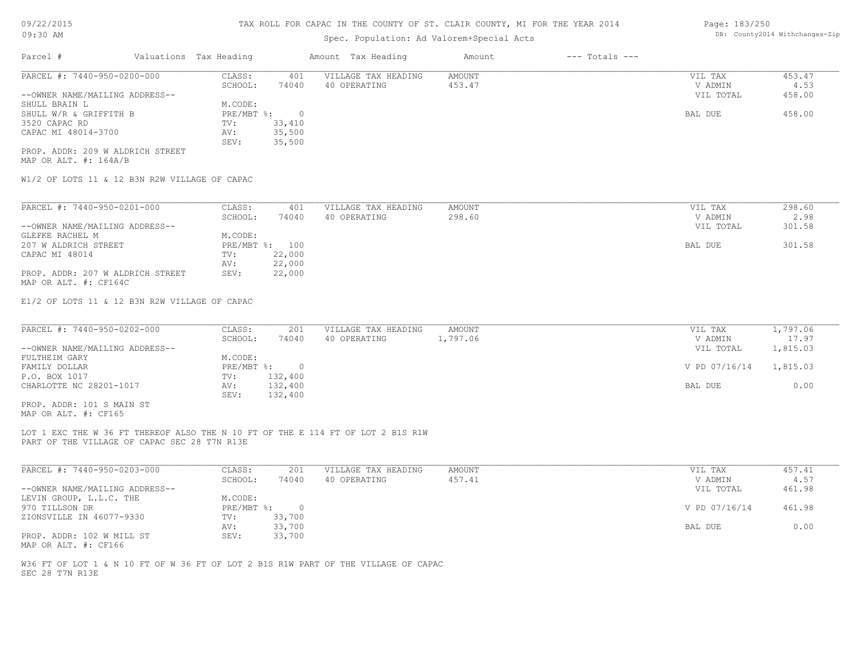# Spec. Population: Ad Valorem+Special Acts

| Parcel #                       | Valuations Tax Heading |        | Amount Tax Heading  | Amount | $---$ Totals $---$ |           |        |
|--------------------------------|------------------------|--------|---------------------|--------|--------------------|-----------|--------|
| PARCEL #: 7440-950-0200-000    | CLASS:                 | 401    | VILLAGE TAX HEADING | AMOUNT |                    | VIL TAX   | 453.47 |
|                                | SCHOOL:                | 74040  | 40 OPERATING        | 453.47 |                    | V ADMIN   | 4.53   |
| --OWNER NAME/MAILING ADDRESS-- |                        |        |                     |        |                    | VIL TOTAL | 458.00 |
| SHULL BRAIN L                  | M.CODE:                |        |                     |        |                    |           |        |
| SHULL W/R & GRIFFITH B         | PRE/MBT %:             |        |                     |        |                    | BAL DUE   | 458.00 |
| 3520 CAPAC RD                  | TV:                    | 33,410 |                     |        |                    |           |        |
| CAPAC MI 48014-3700            | AV:                    | 35,500 |                     |        |                    |           |        |
|                                | SEV:                   | 35,500 |                     |        |                    |           |        |
|                                |                        |        |                     |        |                    |           |        |

MAP OR ALT. #: 164A/B PROP. ADDR: 209 W ALDRICH STREET

W1/2 OF LOTS 11 & 12 B3N R2W VILLAGE OF CAPAC

| PARCEL #: 7440-950-0201-000      | CLASS:       | 401    | VILLAGE TAX HEADING | AMOUNT | VIL TAX   | 298.60 |
|----------------------------------|--------------|--------|---------------------|--------|-----------|--------|
|                                  | SCHOOL:      | 74040  | 40 OPERATING        | 298.60 | V ADMIN   | 2.98   |
| --OWNER NAME/MAILING ADDRESS--   |              |        |                     |        | VIL TOTAL | 301.58 |
| GLEFKE RACHEL M                  | M.CODE:      |        |                     |        |           |        |
| 207 W ALDRICH STREET             | $PRE/MBT$ %: | 100    |                     |        | BAL DUE   | 301.58 |
| CAPAC MI 48014                   | TV:          | 22,000 |                     |        |           |        |
|                                  | AV:          | 22,000 |                     |        |           |        |
| PROP. ADDR: 207 W ALDRICH STREET | SEV:         | 22,000 |                     |        |           |        |
| MAP OR ALT. #: CF164C            |              |        |                     |        |           |        |

E1/2 OF LOTS 11 & 12 B3N R2W VILLAGE OF CAPAC

| PARCEL #: 7440-950-0202-000    | CLASS:     | 201     | VILLAGE TAX HEADING | AMOUNT   | VIL TAX       | 1,797.06 |
|--------------------------------|------------|---------|---------------------|----------|---------------|----------|
|                                | SCHOOL:    | 74040   | 40 OPERATING        | 1,797.06 | V ADMIN       | 17.97    |
| --OWNER NAME/MAILING ADDRESS-- |            |         |                     |          | VIL TOTAL     | 1,815.03 |
| FULTHEIM GARY                  | M.CODE:    |         |                     |          |               |          |
| FAMILY DOLLAR                  | PRE/MBT %: |         |                     |          | V PD 07/16/14 | 1,815.03 |
| P.O. BOX 1017                  | TV:        | 132,400 |                     |          |               |          |
| CHARLOTTE NC 28201-1017        | AV:        | 132,400 |                     |          | BAL DUE       | 0.00     |
|                                | SEV:       | 132,400 |                     |          |               |          |
| PROP. ADDR: 101 S MAIN ST      |            |         |                     |          |               |          |

MAP OR ALT. #: CF165

PART OF THE VILLAGE OF CAPAC SEC 28 T7N R13E LOT 1 EXC THE W 36 FT THEREOF ALSO THE N 10 FT OF THE E 114 FT OF LOT 2 B1S R1W

| PARCEL #: 7440-950-0203-000    | CLASS:       | 201    | VILLAGE TAX HEADING | AMOUNT | VIL TAX       | 457.41 |
|--------------------------------|--------------|--------|---------------------|--------|---------------|--------|
|                                | SCHOOL:      | 74040  | 40 OPERATING        | 457.41 | V ADMIN       | 4.57   |
| --OWNER NAME/MAILING ADDRESS-- |              |        |                     |        | VIL TOTAL     | 461.98 |
| LEVIN GROUP, L.L.C. THE        | M.CODE:      |        |                     |        |               |        |
| 970 TILLSON DR                 | $PRE/MBT$ %: |        |                     |        | V PD 07/16/14 | 461.98 |
| ZIONSVILLE IN 46077-9330       | TV:          | 33,700 |                     |        |               |        |
|                                | AV:          | 33,700 |                     |        | BAL DUE       | 0.00   |
| PROP. ADDR: 102 W MILL ST      | SEV:         | 33,700 |                     |        |               |        |
| MAP OR ALT. #: CF166           |              |        |                     |        |               |        |

SEC 28 T7N R13E W36 FT OF LOT 1 & N 10 FT OF W 36 FT OF LOT 2 B1S R1W PART OF THE VILLAGE OF CAPAC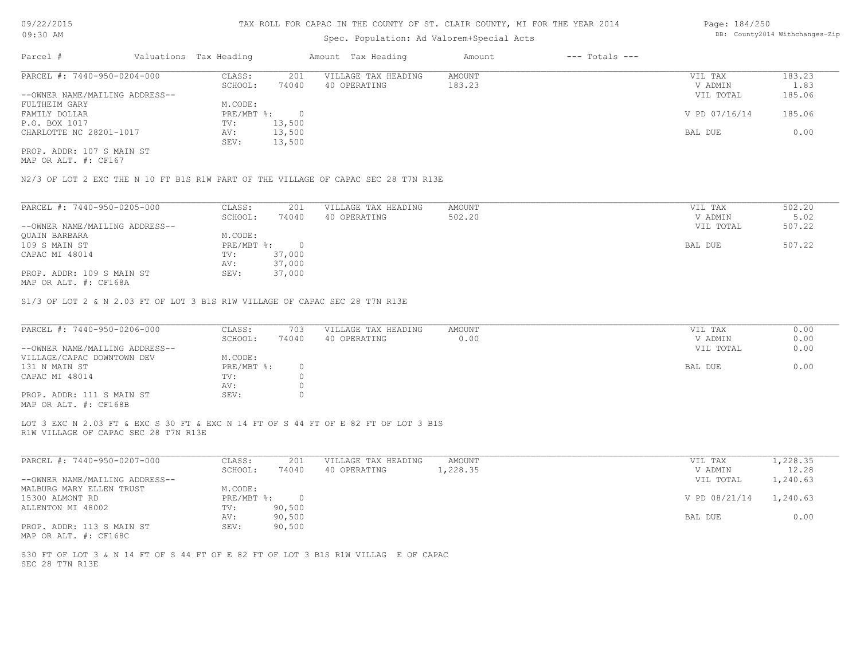# Spec. Population: Ad Valorem+Special Acts

| Page: 184/250 |                                |
|---------------|--------------------------------|
|               | DB: County2014 Withchanges-Zip |

| Parcel #                       | Valuations Tax Heading |        | Amount Tax Heading  | Amount | $---$ Totals $---$ |               |        |
|--------------------------------|------------------------|--------|---------------------|--------|--------------------|---------------|--------|
| PARCEL #: 7440-950-0204-000    | CLASS:                 | 201    | VILLAGE TAX HEADING | AMOUNT |                    | VIL TAX       | 183.23 |
|                                | SCHOOL:                | 74040  | 40 OPERATING        | 183.23 |                    | V ADMIN       | 1.83   |
| --OWNER NAME/MAILING ADDRESS-- |                        |        |                     |        |                    | VIL TOTAL     | 185.06 |
| FULTHEIM GARY                  | M.CODE:                |        |                     |        |                    |               |        |
| FAMILY DOLLAR                  | $PRE/MBT$ %:           |        |                     |        |                    | V PD 07/16/14 | 185.06 |
| P.O. BOX 1017                  | TV:                    | 13,500 |                     |        |                    |               |        |
| CHARLOTTE NC 28201-1017        | AV:                    | 13,500 |                     |        |                    | BAL DUE       | 0.00   |
|                                | SEV:                   | 13,500 |                     |        |                    |               |        |
| PROP. ADDR: 107 S MAIN ST      |                        |        |                     |        |                    |               |        |

MAP OR ALT. #: CF167

N2/3 OF LOT 2 EXC THE N 10 FT B1S R1W PART OF THE VILLAGE OF CAPAC SEC 28 T7N R13E

| PARCEL #: 7440-950-0205-000                                                                                                                                                                                                                                                                                                          | CLASS:     | 201    | VILLAGE TAX HEADING | AMOUNT | VIL TAX   | 502.20 |
|--------------------------------------------------------------------------------------------------------------------------------------------------------------------------------------------------------------------------------------------------------------------------------------------------------------------------------------|------------|--------|---------------------|--------|-----------|--------|
|                                                                                                                                                                                                                                                                                                                                      | SCHOOL:    | 74040  | 40 OPERATING        | 502.20 | V ADMIN   | 5.02   |
| --OWNER NAME/MAILING ADDRESS--                                                                                                                                                                                                                                                                                                       |            |        |                     |        | VIL TOTAL | 507.22 |
| OUAIN BARBARA                                                                                                                                                                                                                                                                                                                        | M.CODE:    |        |                     |        |           |        |
| 109 S MAIN ST                                                                                                                                                                                                                                                                                                                        | PRE/MBT %: | $\cap$ |                     |        | BAL DUE   | 507.22 |
| CAPAC MI 48014                                                                                                                                                                                                                                                                                                                       | TV:        | 37,000 |                     |        |           |        |
|                                                                                                                                                                                                                                                                                                                                      | AV:        | 37,000 |                     |        |           |        |
| PROP. ADDR: 109 S MAIN ST                                                                                                                                                                                                                                                                                                            | SEV:       | 37,000 |                     |        |           |        |
| $M \wedge D \wedge T$ $\mathsf{m}$ $\mathsf{m}$ $\mathsf{m}$ $\mathsf{m}$ $\mathsf{m}$ $\mathsf{m}$ $\mathsf{m}$ $\mathsf{m}$ $\mathsf{m}$ $\mathsf{m}$ $\mathsf{m}$ $\mathsf{m}$ $\mathsf{m}$ $\mathsf{m}$ $\mathsf{m}$ $\mathsf{m}$ $\mathsf{m}$ $\mathsf{m}$ $\mathsf{m}$ $\mathsf{m}$ $\mathsf{m}$ $\mathsf{m}$ $\mathsf{m}$ $\$ |            |        |                     |        |           |        |

MAP OR ALT. #: CF168A

S1/3 OF LOT 2 & N 2.03 FT OF LOT 3 B1S R1W VILLAGE OF CAPAC SEC 28 T7N R13E

| PARCEL #: 7440-950-0206-000    | CLASS:     | 703   | VILLAGE TAX HEADING | AMOUNT | VIL TAX   | 0.00 |
|--------------------------------|------------|-------|---------------------|--------|-----------|------|
|                                | SCHOOL:    | 74040 | 40 OPERATING        | 0.00   | V ADMIN   | 0.00 |
| --OWNER NAME/MAILING ADDRESS-- |            |       |                     |        | VIL TOTAL | 0.00 |
| VILLAGE/CAPAC DOWNTOWN DEV     | M.CODE:    |       |                     |        |           |      |
| 131 N MAIN ST                  | PRE/MBT %: |       |                     |        | BAL DUE   | 0.00 |
| CAPAC MI 48014                 | TV:        |       |                     |        |           |      |
|                                | AV:        |       |                     |        |           |      |
| PROP. ADDR: 111 S MAIN ST      | SEV:       |       |                     |        |           |      |
| MAP OR ALT. #: CF168B          |            |       |                     |        |           |      |

LOT 3 EXC N 2.03 FT & EXC S 30 FT & EXC N 14 FT OF S 44 FT OF E 82 FT OF LOT 3 B1S

R1W VILLAGE OF CAPAC SEC 28 T7N R13E

| CLASS:  | 201    | VILLAGE TAX HEADING | AMOUNT   | VIL TAX   | 1,228.35      |
|---------|--------|---------------------|----------|-----------|---------------|
| SCHOOL: | 74040  | 40 OPERATING        | 1,228.35 | V ADMIN   | 12.28         |
|         |        |                     |          | VIL TOTAL | 1,240.63      |
| M.CODE: |        |                     |          |           |               |
|         |        |                     |          |           | 1,240.63      |
| TV:     | 90,500 |                     |          |           |               |
| AV:     | 90,500 |                     |          | BAL DUE   | 0.00          |
| SEV:    | 90,500 |                     |          |           |               |
|         |        | PRE/MBT %:          |          |           | V PD 08/21/14 |

MAP OR ALT. #: CF168C

SEC 28 T7N R13E S30 FT OF LOT 3 & N 14 FT OF S 44 FT OF E 82 FT OF LOT 3 B1S R1W VILLAG E OF CAPAC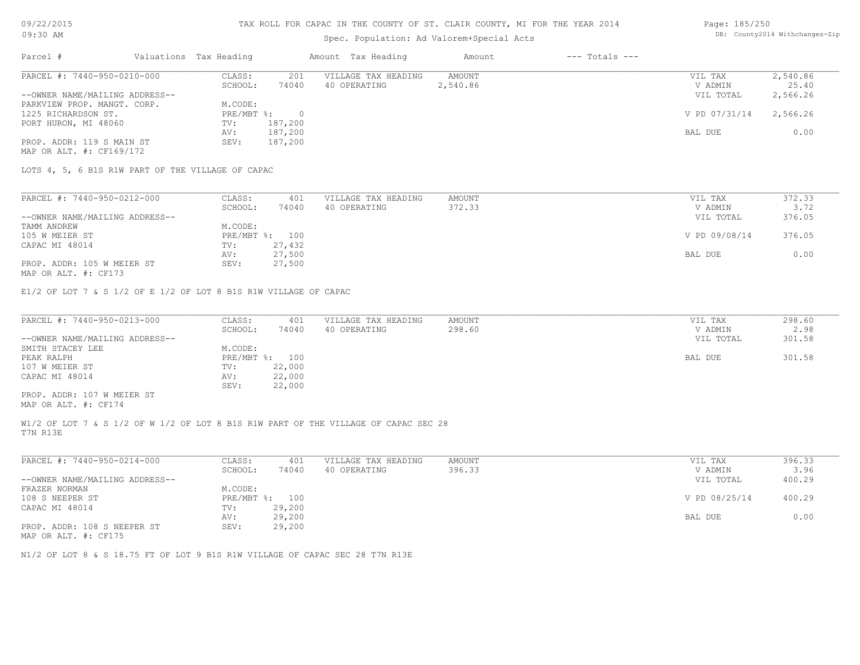# Spec. Population: Ad Valorem+Special Acts

#### Page: 185/250 DB: County2014 Withchanges-Zip

| Parcel #                       | Valuations Tax Heading |          | Amount Tax Heading  | Amount   | $---$ Totals $---$ |               |          |
|--------------------------------|------------------------|----------|---------------------|----------|--------------------|---------------|----------|
| PARCEL #: 7440-950-0210-000    | CLASS:                 | 201      | VILLAGE TAX HEADING | AMOUNT   |                    | VIL TAX       | 2,540.86 |
|                                | SCHOOL:                | 74040    | 40 OPERATING        | 2,540.86 |                    | V ADMIN       | 25.40    |
| --OWNER NAME/MAILING ADDRESS-- |                        |          |                     |          |                    | VIL TOTAL     | 2,566.26 |
| PARKVIEW PROP. MANGT. CORP.    | M.CODE:                |          |                     |          |                    |               |          |
| 1225 RICHARDSON ST.            | $PRE/MBT$ %:           | $\Omega$ |                     |          |                    | V PD 07/31/14 | 2,566.26 |
| PORT HURON, MI 48060           | TV:                    | 187,200  |                     |          |                    |               |          |
|                                | AV:                    | 187,200  |                     |          |                    | BAL DUE       | 0.00     |
| PROP. ADDR: 119 S MAIN ST      | SEV:                   | 187,200  |                     |          |                    |               |          |
| MAP OR ALT. #: CF169/172       |                        |          |                     |          |                    |               |          |

| PARCEL #: 7440-950-0212-000    | CLASS:  | 401            | VILLAGE TAX HEADING | AMOUNT | VIL TAX       | 372.33 |
|--------------------------------|---------|----------------|---------------------|--------|---------------|--------|
|                                | SCHOOL: | 74040          | 40 OPERATING        | 372.33 | V ADMIN       | 3.72   |
| --OWNER NAME/MAILING ADDRESS-- |         |                |                     |        | VIL TOTAL     | 376.05 |
| TAMM ANDREW                    | M.CODE: |                |                     |        |               |        |
| 105 W MEIER ST                 |         | PRE/MBT %: 100 |                     |        | V PD 09/08/14 | 376.05 |
| CAPAC MI 48014                 | TV:     | 27,432         |                     |        |               |        |
|                                | AV:     | 27,500         |                     |        | BAL DUE       | 0.00   |
| PROP. ADDR: 105 W MEIER ST     | SEV:    | 27,500         |                     |        |               |        |

MAP OR ALT. #: CF173

E1/2 OF LOT 7 & S 1/2 OF E 1/2 OF LOT 8 B1S R1W VILLAGE OF CAPAC

| PARCEL #: 7440-950-0213-000    | CLASS:         | 401    | VILLAGE TAX HEADING | AMOUNT | VIL TAX   | 298.60 |
|--------------------------------|----------------|--------|---------------------|--------|-----------|--------|
|                                | SCHOOL:        | 74040  | 40 OPERATING        | 298.60 | V ADMIN   | 2.98   |
| --OWNER NAME/MAILING ADDRESS-- |                |        |                     |        | VIL TOTAL | 301.58 |
| SMITH STACEY LEE               | M.CODE:        |        |                     |        |           |        |
| PEAK RALPH                     | PRE/MBT %: 100 |        |                     |        | BAL DUE   | 301.58 |
| 107 W MEIER ST                 | TV:            | 22,000 |                     |        |           |        |
| CAPAC MI 48014                 | AV:            | 22,000 |                     |        |           |        |
|                                | SEV:           | 22,000 |                     |        |           |        |
| PROP. ADDR: 107 W MEIER ST     |                |        |                     |        |           |        |

MAP OR ALT. #: CF174

T7N R13E W1/2 OF LOT 7 & S 1/2 OF W 1/2 OF LOT 8 B1S R1W PART OF THE VILLAGE OF CAPAC SEC 28

| PARCEL #: 7440-950-0214-000    | CLASS:       | 401    | VILLAGE TAX HEADING | AMOUNT | VIL TAX       | 396.33 |
|--------------------------------|--------------|--------|---------------------|--------|---------------|--------|
|                                | SCHOOL:      | 74040  | 40 OPERATING        | 396.33 | V ADMIN       | 3.96   |
| --OWNER NAME/MAILING ADDRESS-- |              |        |                     |        | VIL TOTAL     | 400.29 |
| FRAZER NORMAN                  | M.CODE:      |        |                     |        |               |        |
| 108 S NEEPER ST                | $PRE/MBT$ %: | 100    |                     |        | V PD 08/25/14 | 400.29 |
| CAPAC MI 48014                 | TV:          | 29,200 |                     |        |               |        |
|                                | AV:          | 29,200 |                     |        | BAL DUE       | 0.00   |
| PROP. ADDR: 108 S NEEPER ST    | SEV:         | 29,200 |                     |        |               |        |

MAP OR ALT. #: CF175

N1/2 OF LOT 8 & S 18.75 FT OF LOT 9 B1S R1W VILLAGE OF CAPAC SEC 28 T7N R13E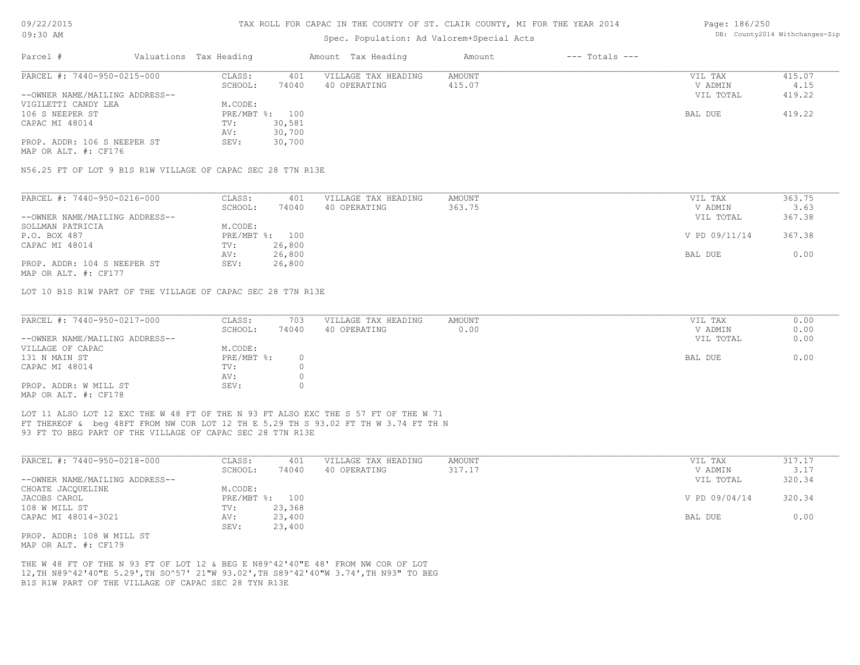### Spec. Population: Ad Valorem+Special Acts

#### Page: 186/250 DB: County2014 Withchanges-Zip

| Parcel #                                                    | Valuations Tax Heading |        | Amount Tax Heading  | Amount        | $---$ Totals $---$ |               |        |
|-------------------------------------------------------------|------------------------|--------|---------------------|---------------|--------------------|---------------|--------|
| PARCEL #: 7440-950-0215-000                                 | CLASS:                 | 401    | VILLAGE TAX HEADING | <b>AMOUNT</b> |                    | VIL TAX       | 415.07 |
|                                                             | SCHOOL:                | 74040  | 40 OPERATING        | 415.07        |                    | V ADMIN       | 4.15   |
| --OWNER NAME/MAILING ADDRESS--                              |                        |        |                     |               |                    | VIL TOTAL     | 419.22 |
| VIGILETTI CANDY LEA                                         | M.CODE:                |        |                     |               |                    |               |        |
| 106 S NEEPER ST                                             | PRE/MBT %:             | 100    |                     |               |                    | BAL DUE       | 419.22 |
| CAPAC MI 48014                                              | TV:                    | 30,581 |                     |               |                    |               |        |
|                                                             | AV:                    | 30,700 |                     |               |                    |               |        |
| PROP. ADDR: 106 S NEEPER ST<br>MAP OR ALT. #: CF176         | SEV:                   | 30,700 |                     |               |                    |               |        |
| N56.25 FT OF LOT 9 B1S R1W VILLAGE OF CAPAC SEC 28 T7N R13E |                        |        |                     |               |                    |               |        |
|                                                             |                        |        |                     |               |                    |               |        |
| PARCEL #: 7440-950-0216-000                                 | CLASS:                 | 401    | VILLAGE TAX HEADING | <b>AMOUNT</b> |                    | VIL TAX       | 363.75 |
|                                                             | SCHOOL:                | 74040  | 40 OPERATING        | 363.75        |                    | V ADMIN       | 3.63   |
| --OWNER NAME/MAILING ADDRESS--                              |                        |        |                     |               |                    | VIL TOTAL     | 367.38 |
| SOLLMAN PATRICIA                                            | M.CODE:                |        |                     |               |                    |               |        |
| P.O. BOX 487                                                | PRE/MBT %:             | 100    |                     |               |                    | V PD 09/11/14 | 367.38 |
| CAPAC MI 48014                                              | TV:                    | 26,800 |                     |               |                    |               |        |
|                                                             | AV:                    | 26,800 |                     |               |                    | BAL DUE       | 0.00   |
| PROP. ADDR: 104 S NEEPER ST                                 | SEV:                   | 26,800 |                     |               |                    |               |        |

MAP OR ALT. #: CF177

LOT 10 B1S R1W PART OF THE VILLAGE OF CAPAC SEC 28 T7N R13E

| PARCEL #: 7440-950-0217-000    | CLASS:     | 703      | VILLAGE TAX HEADING | AMOUNT | VIL TAX   | 0.00 |
|--------------------------------|------------|----------|---------------------|--------|-----------|------|
|                                | SCHOOL:    | 74040    | 40 OPERATING        | 0.00   | V ADMIN   | 0.00 |
| --OWNER NAME/MAILING ADDRESS-- |            |          |                     |        | VIL TOTAL | 0.00 |
| VILLAGE OF CAPAC               | M.CODE:    |          |                     |        |           |      |
| 131 N MAIN ST                  | PRE/MBT %: | $\Omega$ |                     |        | BAL DUE   | 0.00 |
| CAPAC MI 48014                 | TV:        |          |                     |        |           |      |
|                                | AV:        |          |                     |        |           |      |
| PROP. ADDR: W MILL ST          | SEV:       |          |                     |        |           |      |
| MAD OD ATTL # + CE178          |            |          |                     |        |           |      |

 $\_$  , and the state of the state of the state of the state of the state of the state of the state of the state of the state of the state of the state of the state of the state of the state of the state of the state of the

MAP OR ALT. #: CF178

93 FT TO BEG PART OF THE VILLAGE OF CAPAC SEC 28 T7N R13E FT THEREOF & beg 48FT FROM NW COR LOT 12 TH E 5.29 TH S 93.02 FT TH W 3.74 FT TH N LOT 11 ALSO LOT 12 EXC THE W 48 FT OF THE N 93 FT ALSO EXC THE S 57 FT OF THE W 71

| PARCEL #: 7440-950-0218-000    | CLASS:     | 401    | VILLAGE TAX HEADING | AMOUNT | 317.17<br>VIL TAX       |  |
|--------------------------------|------------|--------|---------------------|--------|-------------------------|--|
|                                | SCHOOL:    | 74040  | 40 OPERATING        | 317.17 | 3.17<br>V ADMIN         |  |
| --OWNER NAME/MAILING ADDRESS-- |            |        |                     |        | 320.34<br>VIL TOTAL     |  |
| CHOATE JACOUELINE              | M.CODE:    |        |                     |        |                         |  |
| JACOBS CAROL                   | PRE/MBT %: | 100    |                     |        | V PD 09/04/14<br>320.34 |  |
| 108 W MILL ST                  | TV:        | 23,368 |                     |        |                         |  |
| CAPAC MI 48014-3021            | AV:        | 23,400 |                     |        | 0.00<br>BAL DUE         |  |
|                                | SEV:       | 23,400 |                     |        |                         |  |
| PROP. ADDR: 108 W MILL ST      |            |        |                     |        |                         |  |

MAP OR ALT. #: CF179

B1S R1W PART OF THE VILLAGE OF CAPAC SEC 28 TYN R13E 12,TH N89^42'40"E 5.29',TH SO^57' 21"W 93.02',TH S89^42'40"W 3.74',TH N93" TO BEG THE W 48 FT OF THE N 93 FT OF LOT 12 & BEG E N89^42'40"E 48' FROM NW COR OF LOT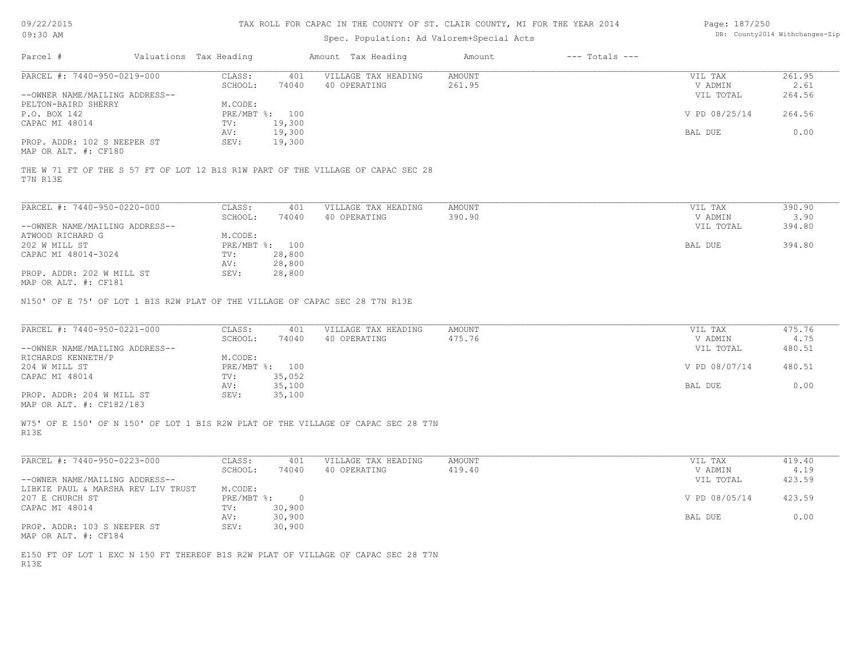| 09/22/2015 |  |
|------------|--|
|------------|--|

| Page: 187/250 |                                |
|---------------|--------------------------------|
|               | DB: County2014 Withchanges-Zip |

| $---$ Totals $---$<br>Parcel #<br>Valuations Tax Heading<br>Amount Tax Heading<br>Amount<br>PARCEL #: 7440-950-0219-000<br>CLASS:<br>VILLAGE TAX HEADING<br>AMOUNT<br>401<br>VIL TAX<br>261.95<br>SCHOOL:<br>40 OPERATING<br>261.95<br>V ADMIN<br>2.61<br>74040<br>264.56<br>--OWNER NAME/MAILING ADDRESS--<br>VIL TOTAL<br>PELTON-BAIRD SHERRY<br>M.CODE:<br>264.56<br>P.O. BOX 142<br>PRE/MBT %: 100<br>V PD 08/25/14<br>19,300<br>CAPAC MI 48014<br>TV:<br>19,300<br>0.00<br>AV:<br>BAL DUE<br>PROP. ADDR: 102 S NEEPER ST<br>SEV:<br>19,300<br>MAP OR ALT. #: CF180<br>THE W 71 FT OF THE S 57 FT OF LOT 12 B1S R1W PART OF THE VILLAGE OF CAPAC SEC 28<br>T7N R13E<br>PARCEL #: 7440-950-0220-000<br>CLASS:<br>401<br>VILLAGE TAX HEADING<br><b>AMOUNT</b><br>VIL TAX<br>390.90<br>390.90<br>SCHOOL:<br>74040<br>40 OPERATING<br>V ADMIN<br>3.90<br>--OWNER NAME/MAILING ADDRESS--<br>VIL TOTAL<br>394.80<br>ATWOOD RICHARD G<br>M.CODE:<br>394.80<br>202 W MILL ST<br>PRE/MBT %: 100<br>BAL DUE<br>28,800<br>CAPAC MI 48014-3024<br>TV:<br>28,800<br>AV:<br>PROP. ADDR: 202 W MILL ST<br>28,800<br>SEV:<br>MAP OR ALT. #: CF181<br>N150' OF E 75' OF LOT 1 BIS R2W PLAT OF THE VILLAGE OF CAPAC SEC 28 T7N R13E<br>PARCEL #: 7440-950-0221-000<br>CLASS:<br>401<br>VILLAGE TAX HEADING<br><b>AMOUNT</b><br>VIL TAX<br>475.76<br>475.76<br>4.75<br>SCHOOL:<br>74040<br>40 OPERATING<br>V ADMIN<br>480.51<br>--OWNER NAME/MAILING ADDRESS--<br>VIL TOTAL<br>RICHARDS KENNETH/P<br>M.CODE:<br>PRE/MBT %: 100<br>V PD 08/07/14<br>480.51<br>204 W MILL ST<br>CAPAC MI 48014<br>TV:<br>35,052<br>35,100<br>BAL DUE<br>0.00<br>AV:<br>PROP. ADDR: 204 W MILL ST<br>35,100<br>SEV:<br>MAP OR ALT. #: CF182/183<br>W75' OF E 150' OF N 150' OF LOT 1 BIS R2W PLAT OF THE VILLAGE OF CAPAC SEC 28 T7N<br>R13E<br>PARCEL #: 7440-950-0223-000<br>VILLAGE TAX HEADING<br>CLASS:<br>401<br><b>AMOUNT</b><br>VIL TAX<br>419.40<br>40 OPERATING<br>419.40<br>SCHOOL:<br>74040<br>V ADMIN<br>4.19<br>423.59<br>--OWNER NAME/MAILING ADDRESS--<br>VIL TOTAL<br>LIBKIE PAUL & MARSHA REV LIV TRUST<br>M.CODE:<br>V PD 08/05/14<br>207 E CHURCH ST<br>PRE/MBT %:<br>423.59<br>$\overline{0}$<br>CAPAC MI 48014<br>TV:<br>30,900<br>30,900<br>0.00<br>AV:<br>BAL DUE<br>PROP. ADDR: 103 S NEEPER ST<br>SEV:<br>30,900<br>MAP OR ALT. #: CF184<br>E150 FT OF LOT 1 EXC N 150 FT THEREOF B1S R2W PLAT OF VILLAGE OF CAPAC SEC 28 T7N<br>R13E | v - / - - / - v - -<br>09:30 AM | inn noill fon onfno in fhl oodnif of 01. Cliffn courtly his fon fhl flinn goff | $-244$<br>DB: County2014 Withchanges-Zip |  |  |  |
|-------------------------------------------------------------------------------------------------------------------------------------------------------------------------------------------------------------------------------------------------------------------------------------------------------------------------------------------------------------------------------------------------------------------------------------------------------------------------------------------------------------------------------------------------------------------------------------------------------------------------------------------------------------------------------------------------------------------------------------------------------------------------------------------------------------------------------------------------------------------------------------------------------------------------------------------------------------------------------------------------------------------------------------------------------------------------------------------------------------------------------------------------------------------------------------------------------------------------------------------------------------------------------------------------------------------------------------------------------------------------------------------------------------------------------------------------------------------------------------------------------------------------------------------------------------------------------------------------------------------------------------------------------------------------------------------------------------------------------------------------------------------------------------------------------------------------------------------------------------------------------------------------------------------------------------------------------------------------------------------------------------------------------------------------------------------------------------------------------------------------------------------------------------------------------------------------------------------------------------------------------------------------------------------------------------------------------------------------------------------------------------------------------------------------------|---------------------------------|--------------------------------------------------------------------------------|------------------------------------------|--|--|--|
|                                                                                                                                                                                                                                                                                                                                                                                                                                                                                                                                                                                                                                                                                                                                                                                                                                                                                                                                                                                                                                                                                                                                                                                                                                                                                                                                                                                                                                                                                                                                                                                                                                                                                                                                                                                                                                                                                                                                                                                                                                                                                                                                                                                                                                                                                                                                                                                                                               |                                 |                                                                                |                                          |  |  |  |
|                                                                                                                                                                                                                                                                                                                                                                                                                                                                                                                                                                                                                                                                                                                                                                                                                                                                                                                                                                                                                                                                                                                                                                                                                                                                                                                                                                                                                                                                                                                                                                                                                                                                                                                                                                                                                                                                                                                                                                                                                                                                                                                                                                                                                                                                                                                                                                                                                               |                                 |                                                                                |                                          |  |  |  |
|                                                                                                                                                                                                                                                                                                                                                                                                                                                                                                                                                                                                                                                                                                                                                                                                                                                                                                                                                                                                                                                                                                                                                                                                                                                                                                                                                                                                                                                                                                                                                                                                                                                                                                                                                                                                                                                                                                                                                                                                                                                                                                                                                                                                                                                                                                                                                                                                                               |                                 |                                                                                |                                          |  |  |  |
|                                                                                                                                                                                                                                                                                                                                                                                                                                                                                                                                                                                                                                                                                                                                                                                                                                                                                                                                                                                                                                                                                                                                                                                                                                                                                                                                                                                                                                                                                                                                                                                                                                                                                                                                                                                                                                                                                                                                                                                                                                                                                                                                                                                                                                                                                                                                                                                                                               |                                 |                                                                                |                                          |  |  |  |
|                                                                                                                                                                                                                                                                                                                                                                                                                                                                                                                                                                                                                                                                                                                                                                                                                                                                                                                                                                                                                                                                                                                                                                                                                                                                                                                                                                                                                                                                                                                                                                                                                                                                                                                                                                                                                                                                                                                                                                                                                                                                                                                                                                                                                                                                                                                                                                                                                               |                                 |                                                                                |                                          |  |  |  |
|                                                                                                                                                                                                                                                                                                                                                                                                                                                                                                                                                                                                                                                                                                                                                                                                                                                                                                                                                                                                                                                                                                                                                                                                                                                                                                                                                                                                                                                                                                                                                                                                                                                                                                                                                                                                                                                                                                                                                                                                                                                                                                                                                                                                                                                                                                                                                                                                                               |                                 |                                                                                |                                          |  |  |  |
|                                                                                                                                                                                                                                                                                                                                                                                                                                                                                                                                                                                                                                                                                                                                                                                                                                                                                                                                                                                                                                                                                                                                                                                                                                                                                                                                                                                                                                                                                                                                                                                                                                                                                                                                                                                                                                                                                                                                                                                                                                                                                                                                                                                                                                                                                                                                                                                                                               |                                 |                                                                                |                                          |  |  |  |
|                                                                                                                                                                                                                                                                                                                                                                                                                                                                                                                                                                                                                                                                                                                                                                                                                                                                                                                                                                                                                                                                                                                                                                                                                                                                                                                                                                                                                                                                                                                                                                                                                                                                                                                                                                                                                                                                                                                                                                                                                                                                                                                                                                                                                                                                                                                                                                                                                               |                                 |                                                                                |                                          |  |  |  |
|                                                                                                                                                                                                                                                                                                                                                                                                                                                                                                                                                                                                                                                                                                                                                                                                                                                                                                                                                                                                                                                                                                                                                                                                                                                                                                                                                                                                                                                                                                                                                                                                                                                                                                                                                                                                                                                                                                                                                                                                                                                                                                                                                                                                                                                                                                                                                                                                                               |                                 |                                                                                |                                          |  |  |  |
|                                                                                                                                                                                                                                                                                                                                                                                                                                                                                                                                                                                                                                                                                                                                                                                                                                                                                                                                                                                                                                                                                                                                                                                                                                                                                                                                                                                                                                                                                                                                                                                                                                                                                                                                                                                                                                                                                                                                                                                                                                                                                                                                                                                                                                                                                                                                                                                                                               |                                 |                                                                                |                                          |  |  |  |
|                                                                                                                                                                                                                                                                                                                                                                                                                                                                                                                                                                                                                                                                                                                                                                                                                                                                                                                                                                                                                                                                                                                                                                                                                                                                                                                                                                                                                                                                                                                                                                                                                                                                                                                                                                                                                                                                                                                                                                                                                                                                                                                                                                                                                                                                                                                                                                                                                               |                                 |                                                                                |                                          |  |  |  |
|                                                                                                                                                                                                                                                                                                                                                                                                                                                                                                                                                                                                                                                                                                                                                                                                                                                                                                                                                                                                                                                                                                                                                                                                                                                                                                                                                                                                                                                                                                                                                                                                                                                                                                                                                                                                                                                                                                                                                                                                                                                                                                                                                                                                                                                                                                                                                                                                                               |                                 |                                                                                |                                          |  |  |  |
|                                                                                                                                                                                                                                                                                                                                                                                                                                                                                                                                                                                                                                                                                                                                                                                                                                                                                                                                                                                                                                                                                                                                                                                                                                                                                                                                                                                                                                                                                                                                                                                                                                                                                                                                                                                                                                                                                                                                                                                                                                                                                                                                                                                                                                                                                                                                                                                                                               |                                 |                                                                                |                                          |  |  |  |
|                                                                                                                                                                                                                                                                                                                                                                                                                                                                                                                                                                                                                                                                                                                                                                                                                                                                                                                                                                                                                                                                                                                                                                                                                                                                                                                                                                                                                                                                                                                                                                                                                                                                                                                                                                                                                                                                                                                                                                                                                                                                                                                                                                                                                                                                                                                                                                                                                               |                                 |                                                                                |                                          |  |  |  |
|                                                                                                                                                                                                                                                                                                                                                                                                                                                                                                                                                                                                                                                                                                                                                                                                                                                                                                                                                                                                                                                                                                                                                                                                                                                                                                                                                                                                                                                                                                                                                                                                                                                                                                                                                                                                                                                                                                                                                                                                                                                                                                                                                                                                                                                                                                                                                                                                                               |                                 |                                                                                |                                          |  |  |  |
|                                                                                                                                                                                                                                                                                                                                                                                                                                                                                                                                                                                                                                                                                                                                                                                                                                                                                                                                                                                                                                                                                                                                                                                                                                                                                                                                                                                                                                                                                                                                                                                                                                                                                                                                                                                                                                                                                                                                                                                                                                                                                                                                                                                                                                                                                                                                                                                                                               |                                 |                                                                                |                                          |  |  |  |
|                                                                                                                                                                                                                                                                                                                                                                                                                                                                                                                                                                                                                                                                                                                                                                                                                                                                                                                                                                                                                                                                                                                                                                                                                                                                                                                                                                                                                                                                                                                                                                                                                                                                                                                                                                                                                                                                                                                                                                                                                                                                                                                                                                                                                                                                                                                                                                                                                               |                                 |                                                                                |                                          |  |  |  |
|                                                                                                                                                                                                                                                                                                                                                                                                                                                                                                                                                                                                                                                                                                                                                                                                                                                                                                                                                                                                                                                                                                                                                                                                                                                                                                                                                                                                                                                                                                                                                                                                                                                                                                                                                                                                                                                                                                                                                                                                                                                                                                                                                                                                                                                                                                                                                                                                                               |                                 |                                                                                |                                          |  |  |  |
|                                                                                                                                                                                                                                                                                                                                                                                                                                                                                                                                                                                                                                                                                                                                                                                                                                                                                                                                                                                                                                                                                                                                                                                                                                                                                                                                                                                                                                                                                                                                                                                                                                                                                                                                                                                                                                                                                                                                                                                                                                                                                                                                                                                                                                                                                                                                                                                                                               |                                 |                                                                                |                                          |  |  |  |
|                                                                                                                                                                                                                                                                                                                                                                                                                                                                                                                                                                                                                                                                                                                                                                                                                                                                                                                                                                                                                                                                                                                                                                                                                                                                                                                                                                                                                                                                                                                                                                                                                                                                                                                                                                                                                                                                                                                                                                                                                                                                                                                                                                                                                                                                                                                                                                                                                               |                                 |                                                                                |                                          |  |  |  |
|                                                                                                                                                                                                                                                                                                                                                                                                                                                                                                                                                                                                                                                                                                                                                                                                                                                                                                                                                                                                                                                                                                                                                                                                                                                                                                                                                                                                                                                                                                                                                                                                                                                                                                                                                                                                                                                                                                                                                                                                                                                                                                                                                                                                                                                                                                                                                                                                                               |                                 |                                                                                |                                          |  |  |  |
|                                                                                                                                                                                                                                                                                                                                                                                                                                                                                                                                                                                                                                                                                                                                                                                                                                                                                                                                                                                                                                                                                                                                                                                                                                                                                                                                                                                                                                                                                                                                                                                                                                                                                                                                                                                                                                                                                                                                                                                                                                                                                                                                                                                                                                                                                                                                                                                                                               |                                 |                                                                                |                                          |  |  |  |
|                                                                                                                                                                                                                                                                                                                                                                                                                                                                                                                                                                                                                                                                                                                                                                                                                                                                                                                                                                                                                                                                                                                                                                                                                                                                                                                                                                                                                                                                                                                                                                                                                                                                                                                                                                                                                                                                                                                                                                                                                                                                                                                                                                                                                                                                                                                                                                                                                               |                                 |                                                                                |                                          |  |  |  |
|                                                                                                                                                                                                                                                                                                                                                                                                                                                                                                                                                                                                                                                                                                                                                                                                                                                                                                                                                                                                                                                                                                                                                                                                                                                                                                                                                                                                                                                                                                                                                                                                                                                                                                                                                                                                                                                                                                                                                                                                                                                                                                                                                                                                                                                                                                                                                                                                                               |                                 |                                                                                |                                          |  |  |  |
|                                                                                                                                                                                                                                                                                                                                                                                                                                                                                                                                                                                                                                                                                                                                                                                                                                                                                                                                                                                                                                                                                                                                                                                                                                                                                                                                                                                                                                                                                                                                                                                                                                                                                                                                                                                                                                                                                                                                                                                                                                                                                                                                                                                                                                                                                                                                                                                                                               |                                 |                                                                                |                                          |  |  |  |
|                                                                                                                                                                                                                                                                                                                                                                                                                                                                                                                                                                                                                                                                                                                                                                                                                                                                                                                                                                                                                                                                                                                                                                                                                                                                                                                                                                                                                                                                                                                                                                                                                                                                                                                                                                                                                                                                                                                                                                                                                                                                                                                                                                                                                                                                                                                                                                                                                               |                                 |                                                                                |                                          |  |  |  |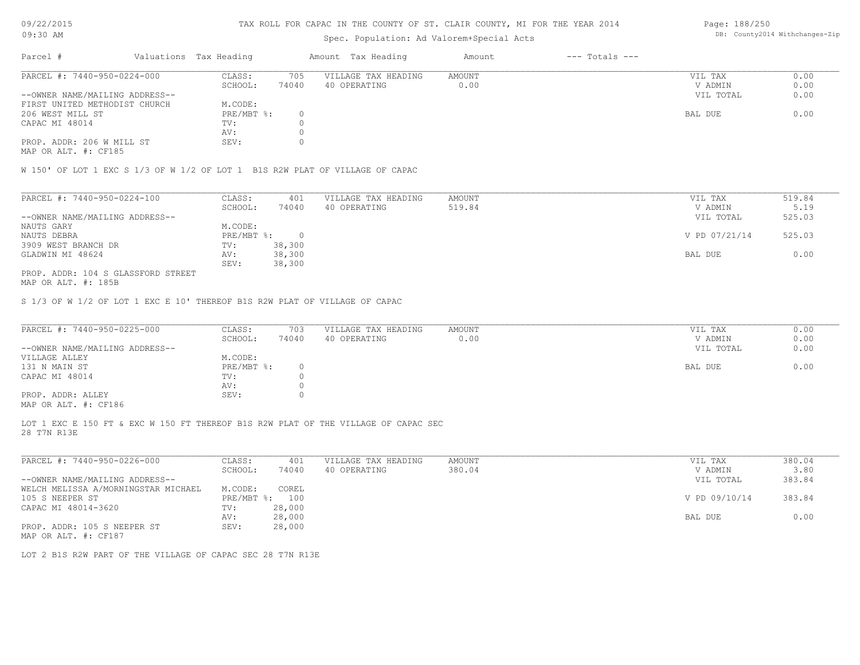# Spec. Population: Ad Valorem+Special Acts

| Page: 188/250 |                                |
|---------------|--------------------------------|
|               | DB: County2014 Withchanges-Zip |

| Parcel #                       | Valuations Tax Heading |       | Amount Tax Heading  | Amount | $---$ Totals $---$ |           |      |
|--------------------------------|------------------------|-------|---------------------|--------|--------------------|-----------|------|
| PARCEL #: 7440-950-0224-000    | CLASS:                 | 705   | VILLAGE TAX HEADING | AMOUNT |                    | VIL TAX   | 0.00 |
|                                | SCHOOL:                | 74040 | 40 OPERATING        | 0.00   |                    | V ADMIN   | 0.00 |
| --OWNER NAME/MAILING ADDRESS-- |                        |       |                     |        |                    | VIL TOTAL | 0.00 |
| FIRST UNITED METHODIST CHURCH  | M.CODE:                |       |                     |        |                    |           |      |
| 206 WEST MILL ST               | PRE/MBT %:             |       |                     |        |                    | BAL DUE   | 0.00 |
| CAPAC MI 48014                 | TV:                    |       |                     |        |                    |           |      |
|                                | AV:                    |       |                     |        |                    |           |      |
| PROP. ADDR: 206 W MILL ST      | SEV:                   |       |                     |        |                    |           |      |

MAP OR ALT. #: CF185

W 150' OF LOT 1 EXC S 1/3 OF W 1/2 OF LOT 1 B1S R2W PLAT OF VILLAGE OF CAPAC

| PARCEL #: 7440-950-0224-100        | CLASS:     | 401    | VILLAGE TAX HEADING | AMOUNT | VIL TAX       | 519.84 |
|------------------------------------|------------|--------|---------------------|--------|---------------|--------|
|                                    | SCHOOL:    | 74040  | 40 OPERATING        | 519.84 | V ADMIN       | 5.19   |
| --OWNER NAME/MAILING ADDRESS--     |            |        |                     |        | VIL TOTAL     | 525.03 |
| NAUTS GARY                         | M.CODE:    |        |                     |        |               |        |
| NAUTS DEBRA                        | PRE/MBT %: |        |                     |        | V PD 07/21/14 | 525.03 |
| 3909 WEST BRANCH DR                | TV:        | 38,300 |                     |        |               |        |
| GLADWIN MI 48624                   | AV:        | 38,300 |                     |        | BAL DUE       | 0.00   |
|                                    | SEV:       | 38,300 |                     |        |               |        |
| PROP. ADDR: 104 S GLASSFORD STREET |            |        |                     |        |               |        |

MAP OR ALT. #: 185B

S 1/3 OF W 1/2 OF LOT 1 EXC E 10' THEREOF B1S R2W PLAT OF VILLAGE OF CAPAC

| PARCEL #: 7440-950-0225-000                  | CLASS:     | 703   | VILLAGE TAX HEADING | AMOUNT | VIL TAX   | 0.00 |
|----------------------------------------------|------------|-------|---------------------|--------|-----------|------|
|                                              | SCHOOL:    | 74040 | 40 OPERATING        | 0.00   | V ADMIN   | 0.00 |
| --OWNER NAME/MAILING ADDRESS--               |            |       |                     |        | VIL TOTAL | 0.00 |
| VILLAGE ALLEY                                | M.CODE:    |       |                     |        |           |      |
| 131 N MAIN ST                                | PRE/MBT %: |       |                     |        | BAL DUE   | 0.00 |
| CAPAC MI 48014                               | TV:        |       |                     |        |           |      |
|                                              | AV:        |       |                     |        |           |      |
| PROP. ADDR: ALLEY                            | SEV:       |       |                     |        |           |      |
| $\cdots$ $\cdots$ $\cdots$ $\cdots$ $\cdots$ |            |       |                     |        |           |      |

MAP OR ALT. #: CF186

28 T7N R13E LOT 1 EXC E 150 FT & EXC W 150 FT THEREOF B1S R2W PLAT OF THE VILLAGE OF CAPAC SEC

| PARCEL #: 7440-950-0226-000         | CLASS:     | 401    | VILLAGE TAX HEADING | AMOUNT | VIL TAX       | 380.04 |
|-------------------------------------|------------|--------|---------------------|--------|---------------|--------|
|                                     | SCHOOL:    | 74040  | 40 OPERATING        | 380.04 | V ADMIN       | 3.80   |
| --OWNER NAME/MAILING ADDRESS--      |            |        |                     |        | VIL TOTAL     | 383.84 |
| WELCH MELISSA A/MORNINGSTAR MICHAEL | M.CODE:    | COREL  |                     |        |               |        |
| 105 S NEEPER ST                     | PRE/MBT %: | 100    |                     |        | V PD 09/10/14 | 383.84 |
| CAPAC MI 48014-3620                 | TV:        | 28,000 |                     |        |               |        |
|                                     | AV:        | 28,000 |                     |        | BAL DUE       | 0.00   |
| PROP. ADDR: 105 S NEEPER ST         | SEV:       | 28,000 |                     |        |               |        |
| MAP OR ALT. #: CF187                |            |        |                     |        |               |        |

LOT 2 B1S R2W PART OF THE VILLAGE OF CAPAC SEC 28 T7N R13E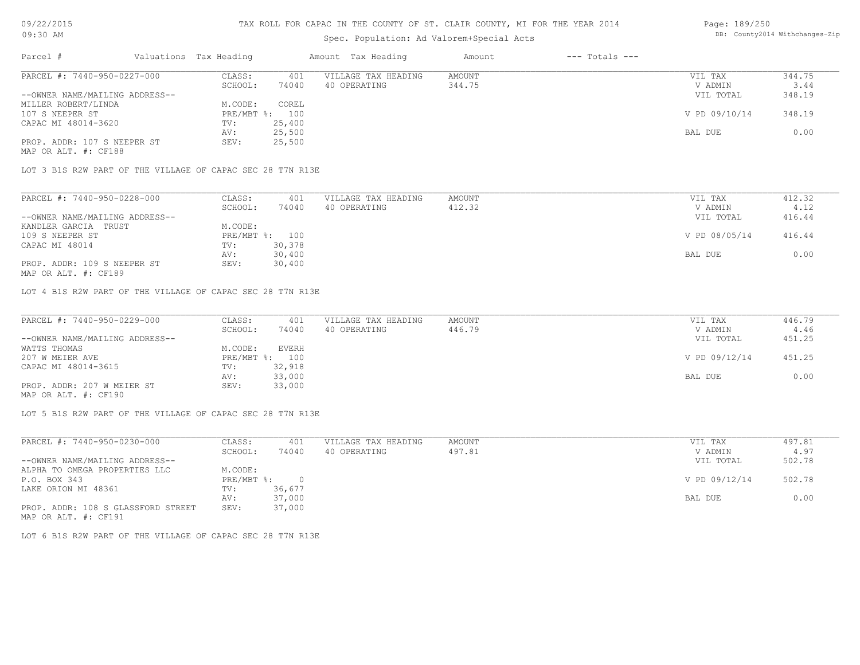# Spec. Population: Ad Valorem+Special Acts

| Parcel #                       | Valuations Tax Heading |        | Amount Tax Heading  | Amount | $---$ Totals $---$ |               |        |
|--------------------------------|------------------------|--------|---------------------|--------|--------------------|---------------|--------|
| PARCEL #: 7440-950-0227-000    | CLASS:                 | 401    | VILLAGE TAX HEADING | AMOUNT |                    | VIL TAX       | 344.75 |
|                                | SCHOOL:                | 74040  | 40 OPERATING        | 344.75 |                    | V ADMIN       | 3.44   |
| --OWNER NAME/MAILING ADDRESS-- |                        |        |                     |        |                    | VIL TOTAL     | 348.19 |
| MILLER ROBERT/LINDA            | M.CODE:                | COREL  |                     |        |                    |               |        |
| 107 S NEEPER ST                | PRE/MBT %: 100         |        |                     |        |                    | V PD 09/10/14 | 348.19 |
| CAPAC MI 48014-3620            | TV:                    | 25,400 |                     |        |                    |               |        |
|                                | AV:                    | 25,500 |                     |        |                    | BAL DUE       | 0.00   |
| PROP. ADDR: 107 S NEEPER ST    | SEV:                   | 25,500 |                     |        |                    |               |        |

MAP OR ALT. #: CF188

LOT 3 B1S R2W PART OF THE VILLAGE OF CAPAC SEC 28 T7N R13E

| PARCEL #: 7440-950-0228-000    | CLASS:  | 401            | VILLAGE TAX HEADING | AMOUNT | VIL TAX       | 412.32 |
|--------------------------------|---------|----------------|---------------------|--------|---------------|--------|
|                                | SCHOOL: | 74040          | 40 OPERATING        | 412.32 | V ADMIN       | 4.12   |
| --OWNER NAME/MAILING ADDRESS-- |         |                |                     |        | VIL TOTAL     | 416.44 |
| KANDLER GARCIA TRUST           | M.CODE: |                |                     |        |               |        |
| 109 S NEEPER ST                |         | PRE/MBT %: 100 |                     |        | V PD 08/05/14 | 416.44 |
| CAPAC MI 48014                 | TV:     | 30,378         |                     |        |               |        |
|                                | AV:     | 30,400         |                     |        | BAL DUE       | 0.00   |
| PROP. ADDR: 109 S NEEPER ST    | SEV:    | 30,400         |                     |        |               |        |
|                                |         |                |                     |        |               |        |

MAP OR ALT. #: CF189

LOT 4 B1S R2W PART OF THE VILLAGE OF CAPAC SEC 28 T7N R13E

| PARCEL #: 7440-950-0229-000    | CLASS:  | 401            | VILLAGE TAX HEADING | AMOUNT | VIL TAX       | 446.79 |
|--------------------------------|---------|----------------|---------------------|--------|---------------|--------|
|                                | SCHOOL: | 74040          | 40 OPERATING        | 446.79 | V ADMIN       | 4.46   |
| --OWNER NAME/MAILING ADDRESS-- |         |                |                     |        | VIL TOTAL     | 451.25 |
| WATTS THOMAS                   | M.CODE: | <b>EVERH</b>   |                     |        |               |        |
| 207 W MEIER AVE                |         | PRE/MBT %: 100 |                     |        | V PD 09/12/14 | 451.25 |
| CAPAC MI 48014-3615            | TV:     | 32,918         |                     |        |               |        |
|                                | AV:     | 33,000         |                     |        | BAL DUE       | 0.00   |
| PROP. ADDR: 207 W MEIER ST     | SEV:    | 33,000         |                     |        |               |        |
| MAP OR ALT. #: CF190           |         |                |                     |        |               |        |

LOT 5 B1S R2W PART OF THE VILLAGE OF CAPAC SEC 28 T7N R13E

| PARCEL #: 7440-950-0230-000        | CLASS:     | 401    | VILLAGE TAX HEADING | AMOUNT | VIL TAX       | 497.81 |
|------------------------------------|------------|--------|---------------------|--------|---------------|--------|
|                                    | SCHOOL:    | 74040  | 40 OPERATING        | 497.81 | V ADMIN       | 4.97   |
| --OWNER NAME/MAILING ADDRESS--     |            |        |                     |        | VIL TOTAL     | 502.78 |
| ALPHA TO OMEGA PROPERTIES LLC      | M.CODE:    |        |                     |        |               |        |
| P.O. BOX 343                       | PRE/MBT %: | $\Box$ |                     |        | V PD 09/12/14 | 502.78 |
| LAKE ORION MI 48361                | TV:        | 36,677 |                     |        |               |        |
|                                    | AV:        | 37,000 |                     |        | BAL DUE       | 0.00   |
| PROP. ADDR: 108 S GLASSFORD STREET | SEV:       | 37,000 |                     |        |               |        |
| MAP OR ALT. #: CF191               |            |        |                     |        |               |        |

LOT 6 B1S R2W PART OF THE VILLAGE OF CAPAC SEC 28 T7N R13E

Page: 189/250 DB: County2014 Withchanges-Zip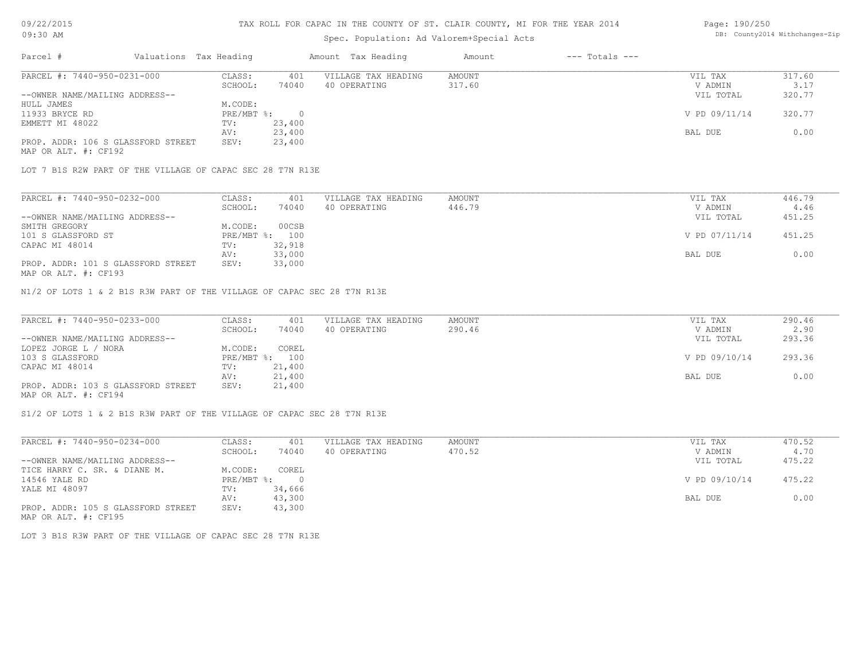### TAX ROLL FOR CAPAC IN THE COUNTY OF ST. CLAIR COUNTY, MI FOR THE YEAR 2014

### Spec. Population: Ad Valorem+Special Acts

#### Page: 190/250 DB: County2014 Withchanges-Zip

| Parcel #                           | Valuations Tax Heading |        | Amount Tax Heading  | Amount | $---$ Totals $---$ |               |        |
|------------------------------------|------------------------|--------|---------------------|--------|--------------------|---------------|--------|
| PARCEL #: 7440-950-0231-000        | CLASS:                 | 401    | VILLAGE TAX HEADING | AMOUNT |                    | VIL TAX       | 317.60 |
|                                    | SCHOOL:                | 74040  | 40 OPERATING        | 317.60 |                    | V ADMIN       | 3.17   |
| --OWNER NAME/MAILING ADDRESS--     |                        |        |                     |        |                    | VIL TOTAL     | 320.77 |
| HULL JAMES                         | M.CODE:                |        |                     |        |                    |               |        |
| 11933 BRYCE RD                     | PRE/MBT %:             |        |                     |        |                    | V PD 09/11/14 | 320.77 |
| EMMETT MI 48022                    | TV:                    | 23,400 |                     |        |                    |               |        |
|                                    | AV:                    | 23,400 |                     |        |                    | BAL DUE       | 0.00   |
| PROP. ADDR: 106 S GLASSFORD STREET | SEV:                   | 23,400 |                     |        |                    |               |        |
| MAP OR ALT. #: CF192               |                        |        |                     |        |                    |               |        |

LOT 7 B1S R2W PART OF THE VILLAGE OF CAPAC SEC 28 T7N R13E

| PARCEL #: 7440-950-0232-000        | CLASS:  | 401            | VILLAGE TAX HEADING | AMOUNT | VIL TAX       | 446.79 |
|------------------------------------|---------|----------------|---------------------|--------|---------------|--------|
|                                    | SCHOOL: | 74040          | 40 OPERATING        | 446.79 | V ADMIN       | 4.46   |
| --OWNER NAME/MAILING ADDRESS--     |         |                |                     |        | VIL TOTAL     | 451.25 |
| SMITH GREGORY                      | M.CODE: | 00CSB          |                     |        |               |        |
| 101 S GLASSFORD ST                 |         | PRE/MBT %: 100 |                     |        | V PD 07/11/14 | 451.25 |
| CAPAC MI 48014                     | TV:     | 32,918         |                     |        |               |        |
|                                    | AV:     | 33,000         |                     |        | BAL DUE       | 0.00   |
| PROP. ADDR: 101 S GLASSFORD STREET | SEV:    | 33,000         |                     |        |               |        |
|                                    |         |                |                     |        |               |        |

MAP OR ALT. #: CF193

N1/2 OF LOTS 1 & 2 B1S R3W PART OF THE VILLAGE OF CAPAC SEC 28 T7N R13E

| PARCEL #: 7440-950-0233-000        | CLASS:  | 401            | VILLAGE TAX HEADING | AMOUNT | VIL TAX       | 290.46 |
|------------------------------------|---------|----------------|---------------------|--------|---------------|--------|
|                                    | SCHOOL: | 74040          | 40 OPERATING        | 290.46 | V ADMIN       | 2.90   |
| --OWNER NAME/MAILING ADDRESS--     |         |                |                     |        | VIL TOTAL     | 293.36 |
| LOPEZ JORGE L / NORA               | M.CODE: | COREL          |                     |        |               |        |
| 103 S GLASSFORD                    |         | PRE/MBT %: 100 |                     |        | V PD 09/10/14 | 293.36 |
| CAPAC MI 48014                     | TV:     | 21,400         |                     |        |               |        |
|                                    | AV:     | 21,400         |                     |        | BAL DUE       | 0.00   |
| PROP. ADDR: 103 S GLASSFORD STREET | SEV:    | 21,400         |                     |        |               |        |
| MAP OR ALT. #: CF194               |         |                |                     |        |               |        |

S1/2 OF LOTS 1 & 2 B1S R3W PART OF THE VILLAGE OF CAPAC SEC 28 T7N R13E

| PARCEL #: 7440-950-0234-000        | CLASS:     | 401      | VILLAGE TAX HEADING | AMOUNT | VIL TAX       | 470.52 |
|------------------------------------|------------|----------|---------------------|--------|---------------|--------|
|                                    | SCHOOL:    | 74040    | 40 OPERATING        | 470.52 | V ADMIN       | 4.70   |
| --OWNER NAME/MAILING ADDRESS--     |            |          |                     |        | VIL TOTAL     | 475.22 |
| TICE HARRY C. SR. & DIANE M.       | M.CODE:    | COREL    |                     |        |               |        |
| 14546 YALE RD                      | PRE/MBT %: | $\Omega$ |                     |        | V PD 09/10/14 | 475.22 |
| YALE MI 48097                      | TV:        | 34,666   |                     |        |               |        |
|                                    | AV:        | 43,300   |                     |        | BAL DUE       | 0.00   |
| PROP. ADDR: 105 S GLASSFORD STREET | SEV:       | 43,300   |                     |        |               |        |
| MAP OR ALT. #: CF195               |            |          |                     |        |               |        |

LOT 3 B1S R3W PART OF THE VILLAGE OF CAPAC SEC 28 T7N R13E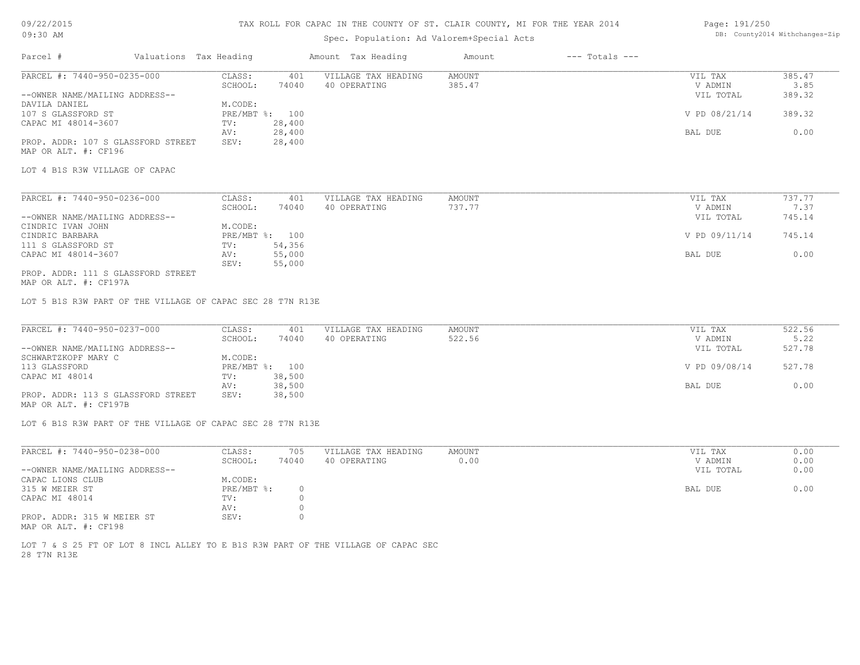# 09/22/2015

### 09:30 AM

### TAX ROLL FOR CAPAC IN THE COUNTY OF ST. CLAIR COUNTY, MI FOR THE YEAR 2014

# Spec. Population: Ad Valorem+Special Acts

#### Page: 191/250 DB: County2014 Withchanges-Zip

| Parcel #<br>Valuations Tax Heading                                                |                           | Amount Tax Heading  | Amount        | $---$ Totals $---$ |               |                |
|-----------------------------------------------------------------------------------|---------------------------|---------------------|---------------|--------------------|---------------|----------------|
| PARCEL #: 7440-950-0235-000                                                       | CLASS:<br>401             | VILLAGE TAX HEADING | AMOUNT        |                    | VIL TAX       | 385.47         |
|                                                                                   | SCHOOL:<br>74040          | 40 OPERATING        | 385.47        |                    | V ADMIN       | 3.85           |
| --OWNER NAME/MAILING ADDRESS--                                                    |                           |                     |               |                    | VIL TOTAL     | 389.32         |
| DAVILA DANIEL<br>107 S GLASSFORD ST                                               | M.CODE:<br>PRE/MBT %: 100 |                     |               |                    | V PD 08/21/14 | 389.32         |
| CAPAC MI 48014-3607                                                               | TV:<br>28,400             |                     |               |                    |               |                |
|                                                                                   | 28,400<br>AV:             |                     |               |                    | BAL DUE       | 0.00           |
| PROP. ADDR: 107 S GLASSFORD STREET                                                | 28,400<br>SEV:            |                     |               |                    |               |                |
| MAP OR ALT. #: CF196                                                              |                           |                     |               |                    |               |                |
|                                                                                   |                           |                     |               |                    |               |                |
| LOT 4 B1S R3W VILLAGE OF CAPAC                                                    |                           |                     |               |                    |               |                |
| PARCEL #: 7440-950-0236-000                                                       | CLASS:<br>401             | VILLAGE TAX HEADING | <b>AMOUNT</b> |                    | VIL TAX       | 737.77         |
|                                                                                   | SCHOOL:<br>74040          | 40 OPERATING        | 737.77        |                    | V ADMIN       | 7.37           |
| --OWNER NAME/MAILING ADDRESS--                                                    |                           |                     |               |                    | VIL TOTAL     | 745.14         |
| CINDRIC IVAN JOHN                                                                 | M.CODE:                   |                     |               |                    |               |                |
| CINDRIC BARBARA                                                                   | PRE/MBT %: 100            |                     |               |                    | V PD 09/11/14 | 745.14         |
| 111 S GLASSFORD ST                                                                | 54,356<br>TV:             |                     |               |                    |               |                |
| CAPAC MI 48014-3607                                                               | 55,000<br>AV:             |                     |               |                    | BAL DUE       | 0.00           |
|                                                                                   | 55,000<br>SEV:            |                     |               |                    |               |                |
| PROP. ADDR: 111 S GLASSFORD STREET<br>MAP OR ALT. #: CF197A                       |                           |                     |               |                    |               |                |
|                                                                                   |                           |                     |               |                    |               |                |
| LOT 5 B1S R3W PART OF THE VILLAGE OF CAPAC SEC 28 T7N R13E                        |                           |                     |               |                    |               |                |
|                                                                                   |                           |                     |               |                    |               |                |
| PARCEL #: 7440-950-0237-000                                                       | CLASS:<br>401             | VILLAGE TAX HEADING | <b>AMOUNT</b> |                    | VIL TAX       | 522.56         |
|                                                                                   | SCHOOL:<br>74040          | 40 OPERATING        | 522.56        |                    | V ADMIN       | 5.22<br>527.78 |
| --OWNER NAME/MAILING ADDRESS--<br>SCHWARTZKOPF MARY C                             | M.CODE:                   |                     |               |                    | VIL TOTAL     |                |
| 113 GLASSFORD                                                                     | PRE/MBT %: 100            |                     |               |                    | V PD 09/08/14 | 527.78         |
| CAPAC MI 48014                                                                    | 38,500<br>TV:             |                     |               |                    |               |                |
|                                                                                   | 38,500<br>AV:             |                     |               |                    | BAL DUE       | 0.00           |
| PROP. ADDR: 113 S GLASSFORD STREET                                                | SEV:<br>38,500            |                     |               |                    |               |                |
| MAP OR ALT. #: CF197B                                                             |                           |                     |               |                    |               |                |
| LOT 6 B1S R3W PART OF THE VILLAGE OF CAPAC SEC 28 T7N R13E                        |                           |                     |               |                    |               |                |
| PARCEL #: 7440-950-0238-000                                                       | CLASS:<br>705             | VILLAGE TAX HEADING | <b>AMOUNT</b> |                    | VIL TAX       | 0.00           |
|                                                                                   | SCHOOL:<br>74040          | 40 OPERATING        | 0.00          |                    | V ADMIN       | 0.00           |
| --OWNER NAME/MAILING ADDRESS--                                                    |                           |                     |               |                    | VIL TOTAL     | 0.00           |
| CAPAC LIONS CLUB                                                                  | M.CODE:                   |                     |               |                    |               |                |
| 315 W MEIER ST                                                                    | PRE/MBT %:<br>$\circ$     |                     |               |                    | BAL DUE       | 0.00           |
| CAPAC MI 48014                                                                    | TV:<br>$\Omega$           |                     |               |                    |               |                |
|                                                                                   | $\circ$<br>AV:            |                     |               |                    |               |                |
| PROP. ADDR: 315 W MEIER ST                                                        | SEV:<br>$\circ$           |                     |               |                    |               |                |
| MAP OR ALT. #: CF198                                                              |                           |                     |               |                    |               |                |
| LOT 7 & S 25 FT OF LOT 8 INCL ALLEY TO E B1S R3W PART OF THE VILLAGE OF CAPAC SEC |                           |                     |               |                    |               |                |
| 28 T7N R13E                                                                       |                           |                     |               |                    |               |                |
|                                                                                   |                           |                     |               |                    |               |                |
|                                                                                   |                           |                     |               |                    |               |                |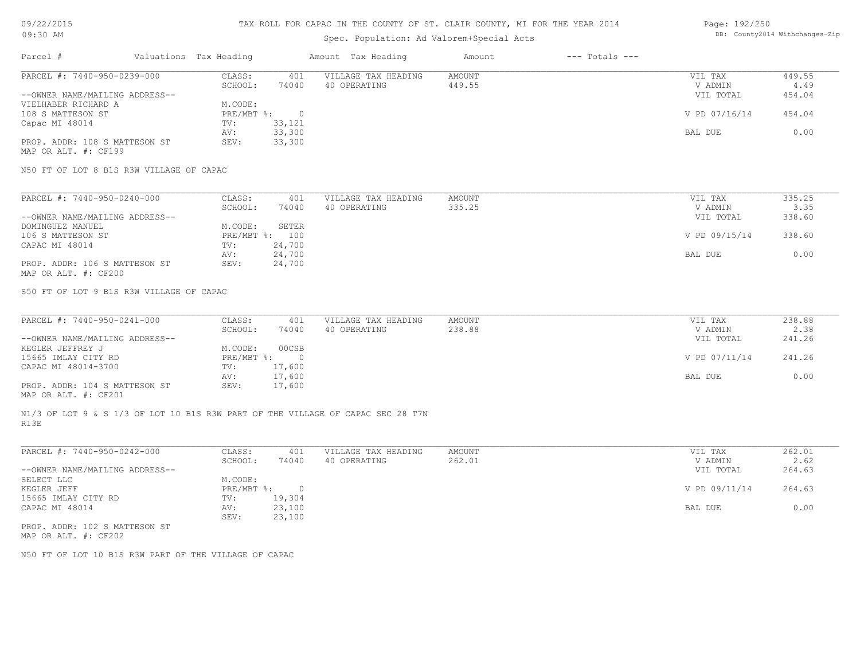### TAX ROLL FOR CAPAC IN THE COUNTY OF ST. CLAIR COUNTY, MI FOR THE YEAR 2014

### Spec. Population: Ad Valorem+Special Acts

#### Page: 192/250 DB: County2014 Withchanges-Zip

| Parcel #                       | Valuations Tax Heading |        | Amount Tax Heading  | Amount | $---$ Totals $---$ |               |        |
|--------------------------------|------------------------|--------|---------------------|--------|--------------------|---------------|--------|
| PARCEL #: 7440-950-0239-000    | CLASS:                 | 401    | VILLAGE TAX HEADING | AMOUNT |                    | VIL TAX       | 449.55 |
|                                | SCHOOL:                | 74040  | 40 OPERATING        | 449.55 |                    | V ADMIN       | 4.49   |
| --OWNER NAME/MAILING ADDRESS-- |                        |        |                     |        |                    | VIL TOTAL     | 454.04 |
| VIELHABER RICHARD A            | M.CODE:                |        |                     |        |                    |               |        |
| 108 S MATTESON ST              | $PRE/MBT$ $\div$       |        |                     |        |                    | V PD 07/16/14 | 454.04 |
| Capac MI 48014                 | TV:                    | 33,121 |                     |        |                    |               |        |
|                                | AV:                    | 33,300 |                     |        |                    | BAL DUE       | 0.00   |
| PROP. ADDR: 108 S MATTESON ST  | SEV:                   | 33,300 |                     |        |                    |               |        |
| MAP OR ALT. #: CF199           |                        |        |                     |        |                    |               |        |

N50 FT OF LOT 8 B1S R3W VILLAGE OF CAPAC

| PARCEL #: 7440-950-0240-000    | CLASS:  | 401            | VILLAGE TAX HEADING | AMOUNT | VIL TAX       | 335.25 |
|--------------------------------|---------|----------------|---------------------|--------|---------------|--------|
|                                | SCHOOL: | 74040          | 40 OPERATING        | 335.25 | V ADMIN       | 3.35   |
| --OWNER NAME/MAILING ADDRESS-- |         |                |                     |        | VIL TOTAL     | 338.60 |
| DOMINGUEZ MANUEL               | M.CODE: | SETER          |                     |        |               |        |
| 106 S MATTESON ST              |         | PRE/MBT %: 100 |                     |        | V PD 09/15/14 | 338.60 |
| CAPAC MI 48014                 | TV:     | 24,700         |                     |        |               |        |
|                                | AV:     | 24,700         |                     |        | BAL DUE       | 0.00   |
| PROP. ADDR: 106 S MATTESON ST  | SEV:    | 24,700         |                     |        |               |        |
| MAP OR ALT. #: CF200           |         |                |                     |        |               |        |

S50 FT OF LOT 9 B1S R3W VILLAGE OF CAPAC

| PARCEL #: 7440-950-0241-000    | CLASS:       | 401    | VILLAGE TAX HEADING | AMOUNT | VIL TAX       | 238.88 |
|--------------------------------|--------------|--------|---------------------|--------|---------------|--------|
|                                | SCHOOL:      | 74040  | 40 OPERATING        | 238.88 | V ADMIN       | 2.38   |
| --OWNER NAME/MAILING ADDRESS-- |              |        |                     |        | VIL TOTAL     | 241.26 |
| KEGLER JEFFREY J               | M.CODE:      | 00CSB  |                     |        |               |        |
| 15665 IMLAY CITY RD            | $PRE/MBT$ %: |        |                     |        | V PD 07/11/14 | 241.26 |
| CAPAC MI 48014-3700            | TV:          | 17,600 |                     |        |               |        |
|                                | AV:          | 17,600 |                     |        | BAL DUE       | 0.00   |
| PROP. ADDR: 104 S MATTESON ST  | SEV:         | 17,600 |                     |        |               |        |
|                                |              |        |                     |        |               |        |

MAP OR ALT. #: CF201

R13E N1/3 OF LOT 9 & S 1/3 OF LOT 10 B1S R3W PART OF THE VILLAGE OF CAPAC SEC 28 T7N

| PARCEL #: 7440-950-0242-000    | CLASS:       | 401    | VILLAGE TAX HEADING | AMOUNT | VIL TAX       | 262.01 |
|--------------------------------|--------------|--------|---------------------|--------|---------------|--------|
|                                | SCHOOL:      | 74040  | 40 OPERATING        | 262.01 | V ADMIN       | 2.62   |
| --OWNER NAME/MAILING ADDRESS-- |              |        |                     |        | VIL TOTAL     | 264.63 |
| SELECT LLC                     | M.CODE:      |        |                     |        |               |        |
| KEGLER JEFF                    | $PRE/MBT$ %: |        |                     |        | V PD 09/11/14 | 264.63 |
| 15665 IMLAY CITY RD            | TV:          | 19,304 |                     |        |               |        |
| CAPAC MI 48014                 | AV:          | 23,100 |                     |        | BAL DUE       | 0.00   |
|                                | SEV:         | 23,100 |                     |        |               |        |
| PROP. ADDR: 102 S MATTESON ST  |              |        |                     |        |               |        |

MAP OR ALT. #: CF202

N50 FT OF LOT 10 B1S R3W PART OF THE VILLAGE OF CAPAC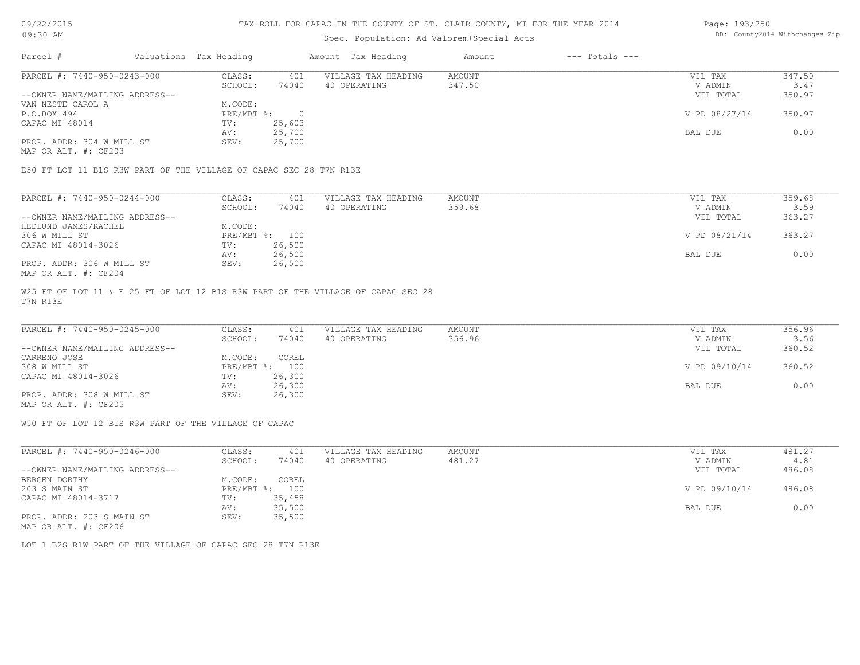### TAX ROLL FOR CAPAC IN THE COUNTY OF ST. CLAIR COUNTY, MI FOR THE YEAR 2014

# Spec. Population: Ad Valorem+Special Acts

| Page: 193/250 |                                |
|---------------|--------------------------------|
|               | DB: County2014 Withchanges-Zip |

| Parcel #                       | Valuations Tax Heading |        | Amount Tax Heading  | Amount | $---$ Totals $---$ |               |        |
|--------------------------------|------------------------|--------|---------------------|--------|--------------------|---------------|--------|
| PARCEL #: 7440-950-0243-000    | CLASS:                 | 401    | VILLAGE TAX HEADING | AMOUNT |                    | VIL TAX       | 347.50 |
|                                | SCHOOL:                | 74040  | 40 OPERATING        | 347.50 |                    | V ADMIN       | 3.47   |
| --OWNER NAME/MAILING ADDRESS-- |                        |        |                     |        |                    | VIL TOTAL     | 350.97 |
| VAN NESTE CAROL A              | M.CODE:                |        |                     |        |                    |               |        |
| P.O.BOX 494                    | PRE/MBT %:             |        |                     |        |                    | V PD 08/27/14 | 350.97 |
| CAPAC MI 48014                 | TV:                    | 25,603 |                     |        |                    |               |        |
|                                | AV:                    | 25,700 |                     |        |                    | BAL DUE       | 0.00   |
| PROP. ADDR: 304 W MILL ST      | SEV:                   | 25,700 |                     |        |                    |               |        |

MAP OR ALT. #: CF203

E50 FT LOT 11 B1S R3W PART OF THE VILLAGE OF CAPAC SEC 28 T7N R13E

| PARCEL #: 7440-950-0244-000    | CLASS:  | 401            | VILLAGE TAX HEADING | AMOUNT | VIL TAX       | 359.68 |
|--------------------------------|---------|----------------|---------------------|--------|---------------|--------|
|                                | SCHOOL: | 74040          | 40 OPERATING        | 359.68 | V ADMIN       | 3.59   |
| --OWNER NAME/MAILING ADDRESS-- |         |                |                     |        | VIL TOTAL     | 363.27 |
| HEDLUND JAMES/RACHEL           | M.CODE: |                |                     |        |               |        |
| 306 W MILL ST                  |         | PRE/MBT %: 100 |                     |        | V PD 08/21/14 | 363.27 |
| CAPAC MI 48014-3026            | TV:     | 26,500         |                     |        |               |        |
|                                | AV:     | 26,500         |                     |        | BAL DUE       | 0.00   |
| PROP. ADDR: 306 W MILL ST      | SEV:    | 26,500         |                     |        |               |        |
| MAP OR ALT. #: CF204           |         |                |                     |        |               |        |

T7N R13E W25 FT OF LOT 11 & E 25 FT OF LOT 12 B1S R3W PART OF THE VILLAGE OF CAPAC SEC 28

| PARCEL #: 7440-950-0245-000    | CLASS:  | 401            | VILLAGE TAX HEADING | AMOUNT | VIL TAX       | 356.96 |
|--------------------------------|---------|----------------|---------------------|--------|---------------|--------|
|                                | SCHOOL: | 74040          | 40 OPERATING        | 356.96 | V ADMIN       | 3.56   |
| --OWNER NAME/MAILING ADDRESS-- |         |                |                     |        | VIL TOTAL     | 360.52 |
| CARRENO JOSE                   | M.CODE: | COREL          |                     |        |               |        |
| 308 W MILL ST                  |         | PRE/MBT %: 100 |                     |        | V PD 09/10/14 | 360.52 |
| CAPAC MI 48014-3026            | TV:     | 26,300         |                     |        |               |        |
|                                | AV:     | 26,300         |                     |        | BAL DUE       | 0.00   |
| PROP. ADDR: 308 W MILL ST      | SEV:    | 26,300         |                     |        |               |        |
|                                |         |                |                     |        |               |        |

MAP OR ALT. #: CF205

W50 FT OF LOT 12 B1S R3W PART OF THE VILLAGE OF CAPAC

| PARCEL #: 7440-950-0246-000    | CLASS:  | 401            | VILLAGE TAX HEADING | AMOUNT | VIL TAX       | 481.27 |
|--------------------------------|---------|----------------|---------------------|--------|---------------|--------|
|                                | SCHOOL: | 74040          | 40 OPERATING        | 481.27 | V ADMIN       | 4.81   |
| --OWNER NAME/MAILING ADDRESS-- |         |                |                     |        | VIL TOTAL     | 486.08 |
| BERGEN DORTHY                  | M.CODE: | COREL          |                     |        |               |        |
| 203 S MAIN ST                  |         | PRE/MBT %: 100 |                     |        | V PD 09/10/14 | 486.08 |
| CAPAC MI 48014-3717            | TV:     | 35,458         |                     |        |               |        |
|                                | AV:     | 35,500         |                     |        | BAL DUE       | 0.00   |
| PROP. ADDR: 203 S MAIN ST      | SEV:    | 35,500         |                     |        |               |        |
| MAP OR ALT. #: CF206           |         |                |                     |        |               |        |

LOT 1 B2S R1W PART OF THE VILLAGE OF CAPAC SEC 28 T7N R13E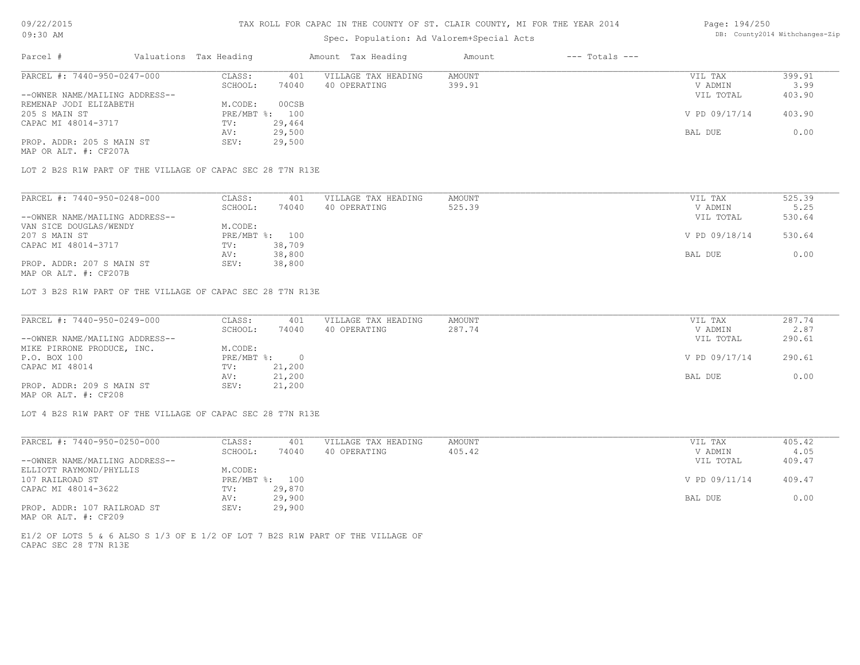# Spec. Population: Ad Valorem+Special Acts

| Parcel #                       | Valuations Tax Heading |        | Amount Tax Heading  | Amount | $---$ Totals $---$ |               |        |
|--------------------------------|------------------------|--------|---------------------|--------|--------------------|---------------|--------|
| PARCEL #: 7440-950-0247-000    | CLASS:                 | 401    | VILLAGE TAX HEADING | AMOUNT |                    | VIL TAX       | 399.91 |
|                                | SCHOOL:                | 74040  | 40 OPERATING        | 399.91 |                    | V ADMIN       | 3.99   |
| --OWNER NAME/MAILING ADDRESS-- |                        |        |                     |        |                    | VIL TOTAL     | 403.90 |
| REMENAP JODI ELIZABETH         | M.CODE:                | 00CSB  |                     |        |                    |               |        |
| 205 S MAIN ST                  | PRE/MBT %: 100         |        |                     |        |                    | V PD 09/17/14 | 403.90 |
| CAPAC MI 48014-3717            | TV:                    | 29,464 |                     |        |                    |               |        |
|                                | AV:                    | 29,500 |                     |        |                    | BAL DUE       | 0.00   |
| PROP. ADDR: 205 S MAIN ST      | SEV:                   | 29,500 |                     |        |                    |               |        |

MAP OR ALT. #: CF207A

LOT 2 B2S R1W PART OF THE VILLAGE OF CAPAC SEC 28 T7N R13E

| PARCEL #: 7440-950-0248-000    | CLASS:         | 401    | VILLAGE TAX HEADING | AMOUNT | VIL TAX       | 525.39 |
|--------------------------------|----------------|--------|---------------------|--------|---------------|--------|
|                                | SCHOOL:        | 74040  | 40 OPERATING        | 525.39 | V ADMIN       | 5.25   |
| --OWNER NAME/MAILING ADDRESS-- |                |        |                     |        | VIL TOTAL     | 530.64 |
| VAN SICE DOUGLAS/WENDY         | M.CODE:        |        |                     |        |               |        |
| 207 S MAIN ST                  | PRE/MBT %: 100 |        |                     |        | V PD 09/18/14 | 530.64 |
| CAPAC MI 48014-3717            | TV:            | 38,709 |                     |        |               |        |
|                                | AV:            | 38,800 |                     |        | BAL DUE       | 0.00   |
| PROP. ADDR: 207 S MAIN ST      | SEV:           | 38,800 |                     |        |               |        |

MAP OR ALT. #: CF207B

LOT 3 B2S R1W PART OF THE VILLAGE OF CAPAC SEC 28 T7N R13E

| PARCEL #: 7440-950-0249-000    | CLASS:     | 401    | VILLAGE TAX HEADING | AMOUNT | VIL TAX       | 287.74 |
|--------------------------------|------------|--------|---------------------|--------|---------------|--------|
|                                | SCHOOL:    | 74040  | 40 OPERATING        | 287.74 | V ADMIN       | 2.87   |
| --OWNER NAME/MAILING ADDRESS-- |            |        |                     |        | VIL TOTAL     | 290.61 |
| MIKE PIRRONE PRODUCE, INC.     | M.CODE:    |        |                     |        |               |        |
| P.O. BOX 100                   | PRE/MBT %: |        |                     |        | V PD 09/17/14 | 290.61 |
| CAPAC MI 48014                 | TV:        | 21,200 |                     |        |               |        |
|                                | AV:        | 21,200 |                     |        | BAL DUE       | 0.00   |
| PROP. ADDR: 209 S MAIN ST      | SEV:       | 21,200 |                     |        |               |        |
| MAP OR ALT. #: CF208           |            |        |                     |        |               |        |

LOT 4 B2S R1W PART OF THE VILLAGE OF CAPAC SEC 28 T7N R13E

| PARCEL #: 7440-950-0250-000    | CLASS:       | 401    | VILLAGE TAX HEADING | AMOUNT | VIL TAX       | 405.42 |
|--------------------------------|--------------|--------|---------------------|--------|---------------|--------|
|                                | SCHOOL:      | 74040  | 40 OPERATING        | 405.42 | V ADMIN       | 4.05   |
| --OWNER NAME/MAILING ADDRESS-- |              |        |                     |        | VIL TOTAL     | 409.47 |
| ELLIOTT RAYMOND/PHYLLIS        | M.CODE:      |        |                     |        |               |        |
| 107 RAILROAD ST                | $PRE/MBT$ %: | 100    |                     |        | V PD 09/11/14 | 409.47 |
| CAPAC MI 48014-3622            | TV:          | 29,870 |                     |        |               |        |
|                                | AV:          | 29,900 |                     |        | BAL DUE       | 0.00   |
| PROP. ADDR: 107 RAILROAD ST    | SEV:         | 29,900 |                     |        |               |        |

MAP OR ALT. #: CF209

CAPAC SEC 28 T7N R13E E1/2 OF LOTS 5 & 6 ALSO S 1/3 OF E 1/2 OF LOT 7 B2S R1W PART OF THE VILLAGE OF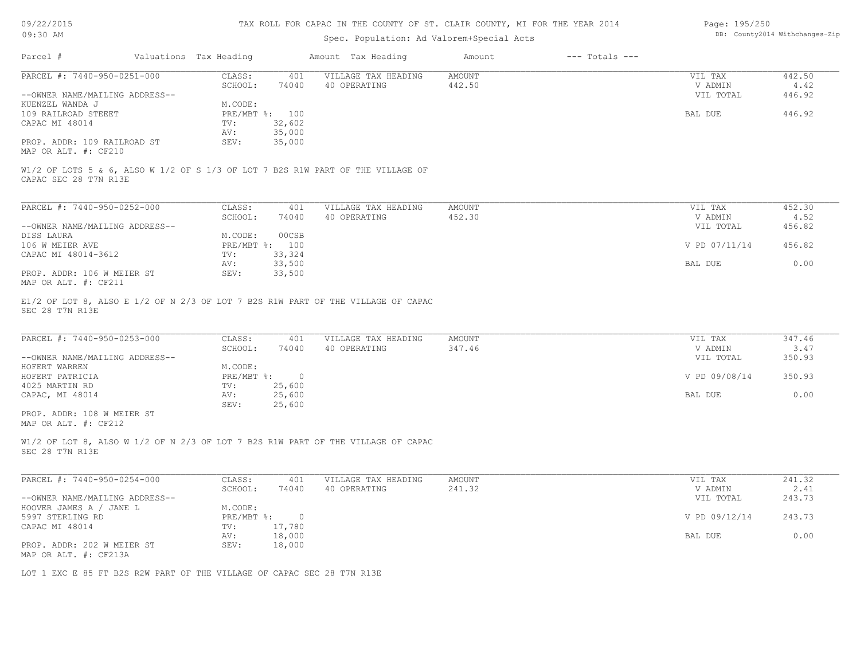| 09/22/2015 |  |
|------------|--|
|------------|--|

| Page: 195/250 |                               |
|---------------|-------------------------------|
|               | DB: County2014 Withchanges-Zi |

| 09:30 AM                                                               |  |                        |                | Spec. Population: Ad Valorem+Special Acts                                        | DB: County2014 Withchanges-Zip |                    |                    |                |
|------------------------------------------------------------------------|--|------------------------|----------------|----------------------------------------------------------------------------------|--------------------------------|--------------------|--------------------|----------------|
| Parcel #                                                               |  | Valuations Tax Heading |                | Amount Tax Heading                                                               | Amount                         | $---$ Totals $---$ |                    |                |
| PARCEL #: 7440-950-0251-000                                            |  | CLASS:<br>SCHOOL:      | 401<br>74040   | VILLAGE TAX HEADING<br>40 OPERATING                                              | AMOUNT<br>442.50               |                    | VIL TAX<br>V ADMIN | 442.50<br>4.42 |
| --OWNER NAME/MAILING ADDRESS--                                         |  |                        |                |                                                                                  |                                |                    | VIL TOTAL          | 446.92         |
| KUENZEL WANDA J                                                        |  | M.CODE:                |                |                                                                                  |                                |                    |                    |                |
| 109 RAILROAD STEEET                                                    |  | PRE/MBT %: 100         |                |                                                                                  |                                |                    | BAL DUE            | 446.92         |
| CAPAC MI 48014                                                         |  | TV:                    | 32,602         |                                                                                  |                                |                    |                    |                |
|                                                                        |  | AV:                    | 35,000         |                                                                                  |                                |                    |                    |                |
| PROP. ADDR: 109 RAILROAD ST                                            |  | SEV:                   | 35,000         |                                                                                  |                                |                    |                    |                |
| MAP OR ALT. #: CF210                                                   |  |                        |                |                                                                                  |                                |                    |                    |                |
| CAPAC SEC 28 T7N R13E                                                  |  |                        |                | W1/2 OF LOTS 5 & 6, ALSO W 1/2 OF S 1/3 OF LOT 7 B2S R1W PART OF THE VILLAGE OF  |                                |                    |                    |                |
| PARCEL #: 7440-950-0252-000                                            |  | CLASS:                 | 401            | VILLAGE TAX HEADING                                                              | AMOUNT                         |                    | VIL TAX            | 452.30         |
|                                                                        |  | SCHOOL:                | 74040          | 40 OPERATING                                                                     | 452.30                         |                    | V ADMIN            | 4.52           |
| --OWNER NAME/MAILING ADDRESS--                                         |  |                        |                |                                                                                  |                                |                    | VIL TOTAL          | 456.82         |
| DISS LAURA                                                             |  | M.CODE:                | 00CSB          |                                                                                  |                                |                    |                    |                |
| 106 W MEIER AVE                                                        |  | PRE/MBT %: 100         |                |                                                                                  |                                |                    | V PD 07/11/14      | 456.82         |
| CAPAC MI 48014-3612                                                    |  | TV:                    | 33,324         |                                                                                  |                                |                    |                    |                |
|                                                                        |  |                        | 33,500         |                                                                                  |                                |                    | BAL DUE            | 0.00           |
| PROP. ADDR: 106 W MEIER ST                                             |  | AV:<br>SEV:            | 33,500         |                                                                                  |                                |                    |                    |                |
| MAP OR ALT. #: CF211                                                   |  |                        |                |                                                                                  |                                |                    |                    |                |
| SEC 28 T7N R13E                                                        |  |                        |                |                                                                                  |                                |                    |                    |                |
| PARCEL #: 7440-950-0253-000                                            |  | CLASS:                 | 401            | VILLAGE TAX HEADING                                                              | AMOUNT                         |                    | VIL TAX            | 347.46         |
|                                                                        |  | SCHOOL:                | 74040          | 40 OPERATING                                                                     | 347.46                         |                    | V ADMIN            | 3.47           |
| --OWNER NAME/MAILING ADDRESS--                                         |  |                        |                |                                                                                  |                                |                    | VIL TOTAL          | 350.93         |
| HOFERT WARREN                                                          |  | M.CODE:                |                |                                                                                  |                                |                    |                    |                |
| HOFERT PATRICIA                                                        |  | $PRE/MBT$ %:           | $\overline{0}$ |                                                                                  |                                |                    | V PD 09/08/14      | 350.93         |
| 4025 MARTIN RD                                                         |  | TV:                    | 25,600         |                                                                                  |                                |                    |                    |                |
| CAPAC, MI 48014                                                        |  | AV:                    | 25,600         |                                                                                  |                                |                    | BAL DUE            | 0.00           |
|                                                                        |  | SEV:                   | 25,600         |                                                                                  |                                |                    |                    |                |
| PROP. ADDR: 108 W MEIER ST                                             |  |                        |                |                                                                                  |                                |                    |                    |                |
| MAP OR ALT. #: CF212                                                   |  |                        |                |                                                                                  |                                |                    |                    |                |
| SEC 28 T7N R13E                                                        |  |                        |                | W1/2 OF LOT 8, ALSO W 1/2 OF N 2/3 OF LOT 7 B2S R1W PART OF THE VILLAGE OF CAPAC |                                |                    |                    |                |
| PARCEL #: 7440-950-0254-000                                            |  | CLASS:                 | 401            | VILLAGE TAX HEADING                                                              | AMOUNT                         |                    | VIL TAX            | 241.32         |
|                                                                        |  | SCHOOL:                | 74040          | 40 OPERATING                                                                     | 241.32                         |                    | V ADMIN            | 2.41           |
| --OWNER NAME/MAILING ADDRESS--                                         |  |                        |                |                                                                                  |                                |                    | VIL TOTAL          | 243.73         |
| HOOVER JAMES A / JANE L                                                |  | M.CODE:                |                |                                                                                  |                                |                    |                    |                |
| 5997 STERLING RD                                                       |  |                        | PRE/MBT %: 0   |                                                                                  |                                |                    | V PD 09/12/14      | 243.73         |
| CAPAC MI 48014                                                         |  | TV:                    | 17,780         |                                                                                  |                                |                    |                    |                |
|                                                                        |  | AV:                    | 18,000         |                                                                                  |                                |                    | BAL DUE            | 0.00           |
| PROP. ADDR: 202 W MEIER ST                                             |  | SEV:                   | 18,000         |                                                                                  |                                |                    |                    |                |
| MAP OR ALT. #: CF213A                                                  |  |                        |                |                                                                                  |                                |                    |                    |                |
|                                                                        |  |                        |                |                                                                                  |                                |                    |                    |                |
| LOT 1 EXC E 85 FT B2S R2W PART OF THE VILLAGE OF CAPAC SEC 28 T7N R13E |  |                        |                |                                                                                  |                                |                    |                    |                |
|                                                                        |  |                        |                |                                                                                  |                                |                    |                    |                |
|                                                                        |  |                        |                |                                                                                  |                                |                    |                    |                |
|                                                                        |  |                        |                |                                                                                  |                                |                    |                    |                |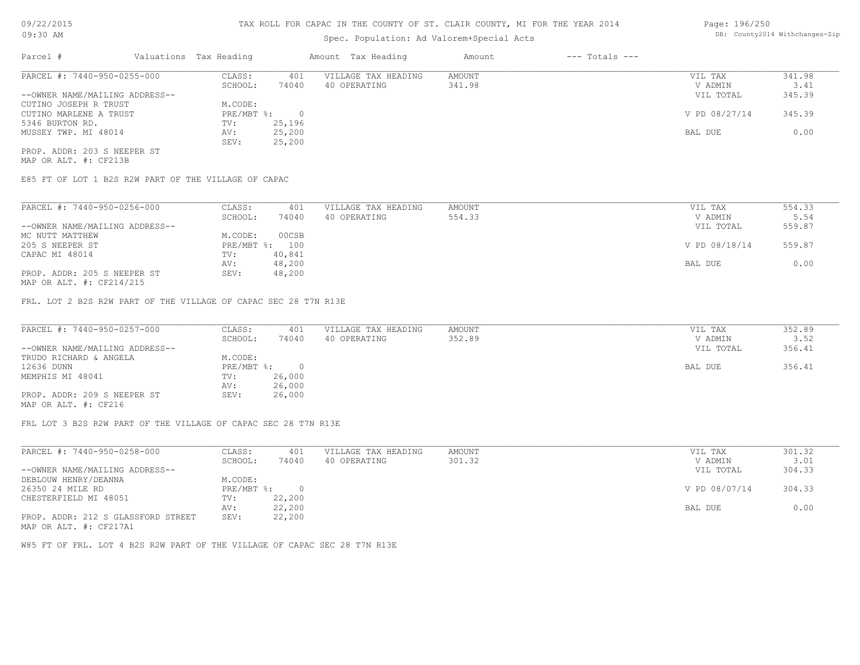### Spec. Population: Ad Valorem+Special Acts

| Page: 196/250 |                                |
|---------------|--------------------------------|
|               | DB: County2014 Withchanges-Zip |

| Parcel #                       | Valuations Tax Heading |        | Amount Tax Heading  | Amount | $---$ Totals $---$ |               |        |
|--------------------------------|------------------------|--------|---------------------|--------|--------------------|---------------|--------|
| PARCEL #: 7440-950-0255-000    | CLASS:                 | 401    | VILLAGE TAX HEADING | AMOUNT |                    | VIL TAX       | 341.98 |
|                                | SCHOOL:                | 74040  | 40 OPERATING        | 341.98 |                    | V ADMIN       | 3.41   |
| --OWNER NAME/MAILING ADDRESS-- |                        |        |                     |        |                    | VIL TOTAL     | 345.39 |
| CUTINO JOSEPH R TRUST          | M.CODE:                |        |                     |        |                    |               |        |
| CUTINO MARLENE A TRUST         | $PRE/MBT$ $\div$       |        |                     |        |                    | V PD 08/27/14 | 345.39 |
| 5346 BURTON RD.                | TV:                    | 25,196 |                     |        |                    |               |        |
| MUSSEY TWP. MI 48014           | AV:                    | 25,200 |                     |        |                    | BAL DUE       | 0.00   |
|                                | SEV:                   | 25,200 |                     |        |                    |               |        |
| PROP. ADDR: 203 S NEEPER ST    |                        |        |                     |        |                    |               |        |

MAP OR ALT. #: CF213B

E85 FT OF LOT 1 B2S R2W PART OF THE VILLAGE OF CAPAC

| PARCEL #: 7440-950-0256-000    | CLASS:                    | 401    | VILLAGE TAX HEADING | AMOUNT | VIL TAX       | 554.33 |
|--------------------------------|---------------------------|--------|---------------------|--------|---------------|--------|
|                                | SCHOOL:                   | 74040  | 40 OPERATING        | 554.33 | V ADMIN       | 5.54   |
| --OWNER NAME/MAILING ADDRESS-- |                           |        |                     |        | VIL TOTAL     | 559.87 |
| MC NUTT MATTHEW                | M.CODE:                   | 00CSB  |                     |        |               |        |
| 205 S NEEPER ST                | $PRE/MBT$ $\frac{1}{6}$ : | 100    |                     |        | V PD 08/18/14 | 559.87 |
| CAPAC MI 48014                 | TV:                       | 40,841 |                     |        |               |        |
|                                | AV:                       | 48,200 |                     |        | BAL DUE       | 0.00   |
| PROP. ADDR: 205 S NEEPER ST    | SEV:                      | 48,200 |                     |        |               |        |
|                                |                           |        |                     |        |               |        |

MAP OR ALT. #: CF214/215

FRL. LOT 2 B2S R2W PART OF THE VILLAGE OF CAPAC SEC 28 T7N R13E

| PARCEL #: 7440-950-0257-000    | CLASS:     | 401    | VILLAGE TAX HEADING | AMOUNT | VIL TAX   | 352.89 |
|--------------------------------|------------|--------|---------------------|--------|-----------|--------|
|                                | SCHOOL:    | 74040  | 40 OPERATING        | 352.89 | V ADMIN   | 3.52   |
| --OWNER NAME/MAILING ADDRESS-- |            |        |                     |        | VIL TOTAL | 356.41 |
| TRUDO RICHARD & ANGELA         | M.CODE:    |        |                     |        |           |        |
| 12636 DUNN                     | PRE/MBT %: |        |                     |        | BAL DUE   | 356.41 |
| MEMPHIS MI 48041               | TV:        | 26,000 |                     |        |           |        |
|                                | AV:        | 26,000 |                     |        |           |        |
| PROP. ADDR: 209 S NEEPER ST    | SEV:       | 26,000 |                     |        |           |        |
| MAP OR ALT. #: CF216           |            |        |                     |        |           |        |

FRL LOT 3 B2S R2W PART OF THE VILLAGE OF CAPAC SEC 28 T7N R13E

| PARCEL #: 7440-950-0258-000        | CLASS:       | 401    | VILLAGE TAX HEADING | AMOUNT | VIL TAX       | 301.32 |
|------------------------------------|--------------|--------|---------------------|--------|---------------|--------|
|                                    | SCHOOL:      | 74040  | 40 OPERATING        | 301.32 | V ADMIN       | 3.01   |
| --OWNER NAME/MAILING ADDRESS--     |              |        |                     |        | VIL TOTAL     | 304.33 |
| DEBLOUW HENRY/DEANNA               | M.CODE:      |        |                     |        |               |        |
| 26350 24 MILE RD                   | $PRE/MBT$ %: |        |                     |        | V PD 08/07/14 | 304.33 |
| CHESTERFIELD MI 48051              | TV:          | 22,200 |                     |        |               |        |
|                                    | AV:          | 22,200 |                     |        | BAL DUE       | 0.00   |
| PROP. ADDR: 212 S GLASSFORD STREET | SEV:         | 22,200 |                     |        |               |        |
| MAP OR ALT. #: CF217A1             |              |        |                     |        |               |        |

W85 FT OF FRL. LOT 4 B2S R2W PART OF THE VILLAGE OF CAPAC SEC 28 T7N R13E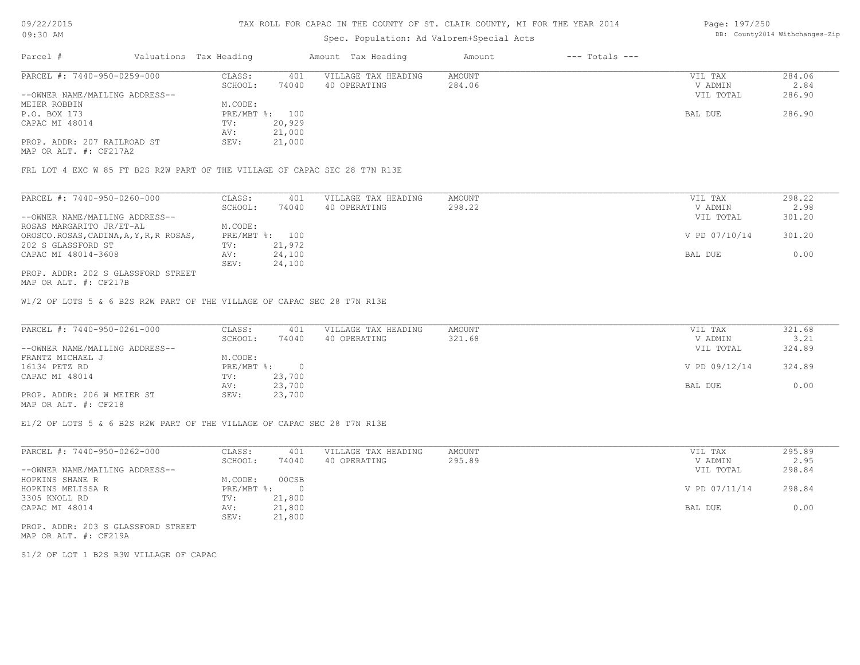#### TAX ROLL FOR CAPAC IN THE COUNTY OF ST. CLAIR COUNTY, MI FOR THE YEAR 2014

# Spec. Population: Ad Valorem+Special Acts

| Page: 197/250 |                                |
|---------------|--------------------------------|
|               | DB: County2014 Withchanges-Zip |

| Parcel #                       | Valuations Tax Heading |        | Amount Tax Heading  | Amount | $---$ Totals $---$ |           |        |
|--------------------------------|------------------------|--------|---------------------|--------|--------------------|-----------|--------|
| PARCEL #: 7440-950-0259-000    | CLASS:                 | 401    | VILLAGE TAX HEADING | AMOUNT |                    | VIL TAX   | 284.06 |
|                                | SCHOOL:                | 74040  | 40 OPERATING        | 284.06 |                    | V ADMIN   | 2.84   |
| --OWNER NAME/MAILING ADDRESS-- |                        |        |                     |        |                    | VIL TOTAL | 286.90 |
| MEIER ROBBIN                   | M.CODE:                |        |                     |        |                    |           |        |
| P.O. BOX 173                   | PRE/MBT %: 100         |        |                     |        |                    | BAL DUE   | 286.90 |
| CAPAC MI 48014                 | TV:                    | 20,929 |                     |        |                    |           |        |
|                                | AV:                    | 21,000 |                     |        |                    |           |        |
| PROP. ADDR: 207 RAILROAD ST    | SEV:                   | 21,000 |                     |        |                    |           |        |

MAP OR ALT. #: CF217A2

FRL LOT 4 EXC W 85 FT B2S R2W PART OF THE VILLAGE OF CAPAC SEC 28 T7N R13E

| PARCEL #: 7440-950-0260-000             | CLASS:         | 401    | VILLAGE TAX HEADING | AMOUNT | VIL TAX       | 298.22 |
|-----------------------------------------|----------------|--------|---------------------|--------|---------------|--------|
|                                         | SCHOOL:        | 74040  | 40 OPERATING        | 298.22 | V ADMIN       | 2.98   |
| --OWNER NAME/MAILING ADDRESS--          |                |        |                     |        | VIL TOTAL     | 301.20 |
| ROSAS MARGARITO JR/ET-AL                | M.CODE:        |        |                     |        |               |        |
| OROSCO.ROSAS, CADINA, A, Y, R, R ROSAS, | PRE/MBT %: 100 |        |                     |        | V PD 07/10/14 | 301.20 |
| 202 S GLASSFORD ST                      | TV:            | 21,972 |                     |        |               |        |
| CAPAC MI 48014-3608                     | AV:            | 24,100 |                     |        | BAL DUE       | 0.00   |
|                                         | SEV:           | 24,100 |                     |        |               |        |
| PROP. ADDR: 202 S GLASSFORD STREET      |                |        |                     |        |               |        |

MAP OR ALT. #: CF217B

W1/2 OF LOTS 5 & 6 B2S R2W PART OF THE VILLAGE OF CAPAC SEC 28 T7N R13E

| PARCEL #: 7440-950-0261-000    | CLASS:     | 401    | VILLAGE TAX HEADING | AMOUNT | VIL TAX       | 321.68 |
|--------------------------------|------------|--------|---------------------|--------|---------------|--------|
|                                | SCHOOL:    | 74040  | 40 OPERATING        | 321.68 | V ADMIN       | 3.21   |
| --OWNER NAME/MAILING ADDRESS-- |            |        |                     |        | VIL TOTAL     | 324.89 |
| FRANTZ MICHAEL J               | M.CODE:    |        |                     |        |               |        |
| 16134 PETZ RD                  | PRE/MBT %: |        |                     |        | V PD 09/12/14 | 324.89 |
| CAPAC MI 48014                 | TV:        | 23,700 |                     |        |               |        |
|                                | AV:        | 23,700 |                     |        | BAL DUE       | 0.00   |
| PROP. ADDR: 206 W MEIER ST     | SEV:       | 23,700 |                     |        |               |        |
| MAP OR ALT. #: CF218           |            |        |                     |        |               |        |

E1/2 OF LOTS 5 & 6 B2S R2W PART OF THE VILLAGE OF CAPAC SEC 28 T7N R13E

| PARCEL #: 7440-950-0262-000    | CLASS:     | 401    | VILLAGE TAX HEADING | AMOUNT | VIL TAX       | 295.89 |
|--------------------------------|------------|--------|---------------------|--------|---------------|--------|
|                                | SCHOOL:    | 74040  | 40 OPERATING        | 295.89 | V ADMIN       | 2.95   |
| --OWNER NAME/MAILING ADDRESS-- |            |        |                     |        | VIL TOTAL     | 298.84 |
| HOPKINS SHANE R                | M.CODE:    | 00CSB  |                     |        |               |        |
| HOPKINS MELISSA R              | PRE/MBT %: |        |                     |        | V PD 07/11/14 | 298.84 |
| 3305 KNOLL RD                  | TV:        | 21,800 |                     |        |               |        |
| CAPAC MI 48014                 | AV:        | 21,800 |                     |        | BAL DUE       | 0.00   |
|                                | SEV:       | 21,800 |                     |        |               |        |
|                                |            |        |                     |        |               |        |

MAP OR ALT. #: CF219A PROP. ADDR: 203 S GLASSFORD STREET

S1/2 OF LOT 1 B2S R3W VILLAGE OF CAPAC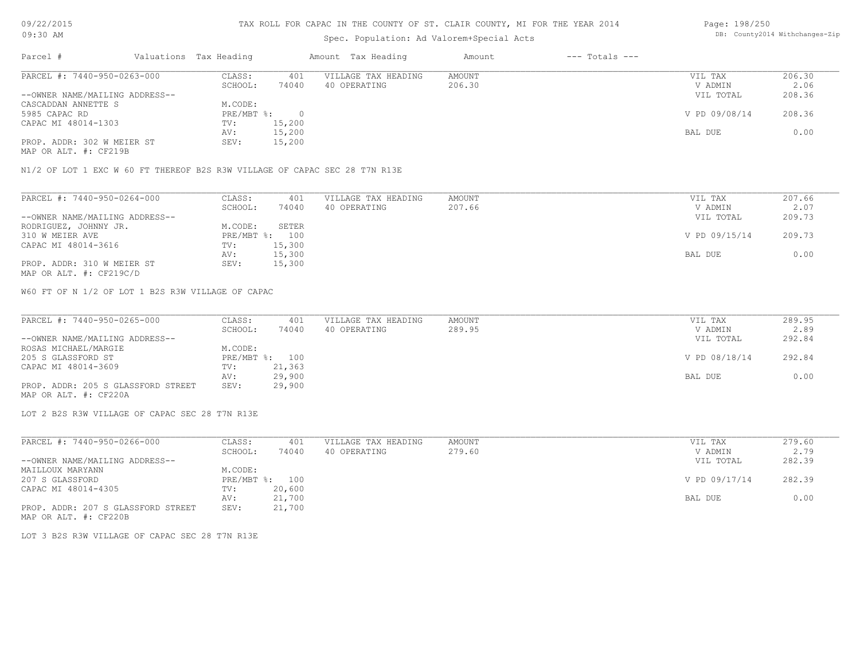# Spec. Population: Ad Valorem+Special Acts

| Page: 198/250 |                                |
|---------------|--------------------------------|
|               | DB: County2014 Withchanges-Zip |

| Parcel #                       | Valuations Tax Heading |        | Amount Tax Heading  | Amount | $---$ Totals $---$ |               |        |
|--------------------------------|------------------------|--------|---------------------|--------|--------------------|---------------|--------|
| PARCEL #: 7440-950-0263-000    | CLASS:                 | 401    | VILLAGE TAX HEADING | AMOUNT |                    | VIL TAX       | 206.30 |
|                                | SCHOOL:                | 74040  | 40 OPERATING        | 206.30 |                    | V ADMIN       | 2.06   |
| --OWNER NAME/MAILING ADDRESS-- |                        |        |                     |        |                    | VIL TOTAL     | 208.36 |
| CASCADDAN ANNETTE S            | M.CODE:                |        |                     |        |                    |               |        |
| 5985 CAPAC RD                  | PRE/MBT %:             |        |                     |        |                    | V PD 09/08/14 | 208.36 |
| CAPAC MI 48014-1303            | TV:                    | 15,200 |                     |        |                    |               |        |
|                                | AV:                    | 15,200 |                     |        |                    | BAL DUE       | 0.00   |
| PROP. ADDR: 302 W MEIER ST     | SEV:                   | 15,200 |                     |        |                    |               |        |
|                                |                        |        |                     |        |                    |               |        |

MAP OR ALT. #: CF219B

N1/2 OF LOT 1 EXC W 60 FT THEREOF B2S R3W VILLAGE OF CAPAC SEC 28 T7N R13E

| PARCEL #: 7440-950-0264-000    | CLASS:  | 401            | VILLAGE TAX HEADING | AMOUNT | VIL TAX       | 207.66 |
|--------------------------------|---------|----------------|---------------------|--------|---------------|--------|
|                                | SCHOOL: | 74040          | 40 OPERATING        | 207.66 | V ADMIN       | 2.07   |
| --OWNER NAME/MAILING ADDRESS-- |         |                |                     |        | VIL TOTAL     | 209.73 |
| RODRIGUEZ, JOHNNY JR.          | M.CODE: | SETER          |                     |        |               |        |
| 310 W MEIER AVE                |         | PRE/MBT %: 100 |                     |        | V PD 09/15/14 | 209.73 |
| CAPAC MI 48014-3616            | TV:     | 15,300         |                     |        |               |        |
|                                | AV:     | 15,300         |                     |        | BAL DUE       | 0.00   |
| PROP. ADDR: 310 W MEIER ST     | SEV:    | 15,300         |                     |        |               |        |
|                                |         |                |                     |        |               |        |

MAP OR ALT. #: CF219C/D

W60 FT OF N 1/2 OF LOT 1 B2S R3W VILLAGE OF CAPAC

| PARCEL #: 7440-950-0265-000        | CLASS:  | 401            | VILLAGE TAX HEADING | AMOUNT | VIL TAX       | 289.95 |
|------------------------------------|---------|----------------|---------------------|--------|---------------|--------|
|                                    | SCHOOL: | 74040          | 40 OPERATING        | 289.95 | V ADMIN       | 2.89   |
| --OWNER NAME/MAILING ADDRESS--     |         |                |                     |        | VIL TOTAL     | 292.84 |
| ROSAS MICHAEL/MARGIE               | M.CODE: |                |                     |        |               |        |
| 205 S GLASSFORD ST                 |         | PRE/MBT %: 100 |                     |        | V PD 08/18/14 | 292.84 |
| CAPAC MI 48014-3609                | TV:     | 21,363         |                     |        |               |        |
|                                    | AV:     | 29,900         |                     |        | BAL DUE       | 0.00   |
| PROP. ADDR: 205 S GLASSFORD STREET | SEV:    | 29,900         |                     |        |               |        |
| MAP OR ALT. #: CF220A              |         |                |                     |        |               |        |

LOT 2 B2S R3W VILLAGE OF CAPAC SEC 28 T7N R13E

LOT 3 B2S R3W VILLAGE OF CAPAC SEC 28 T7N R13E

| PARCEL #: 7440-950-0266-000        | CLASS:  | 401            | VILLAGE TAX HEADING | AMOUNT | VIL TAX       | 279.60 |
|------------------------------------|---------|----------------|---------------------|--------|---------------|--------|
|                                    | SCHOOL: | 74040          | 40 OPERATING        | 279.60 | V ADMIN       | 2.79   |
| --OWNER NAME/MAILING ADDRESS--     |         |                |                     |        | VIL TOTAL     | 282.39 |
| MAILLOUX MARYANN                   | M.CODE: |                |                     |        |               |        |
| 207 S GLASSFORD                    |         | PRE/MBT %: 100 |                     |        | V PD 09/17/14 | 282.39 |
| CAPAC MI 48014-4305                | TV:     | 20,600         |                     |        |               |        |
|                                    | AV:     | 21,700         |                     |        | BAL DUE       | 0.00   |
| PROP. ADDR: 207 S GLASSFORD STREET | SEV:    | 21,700         |                     |        |               |        |
| MAP OR ALT. #: CF220B              |         |                |                     |        |               |        |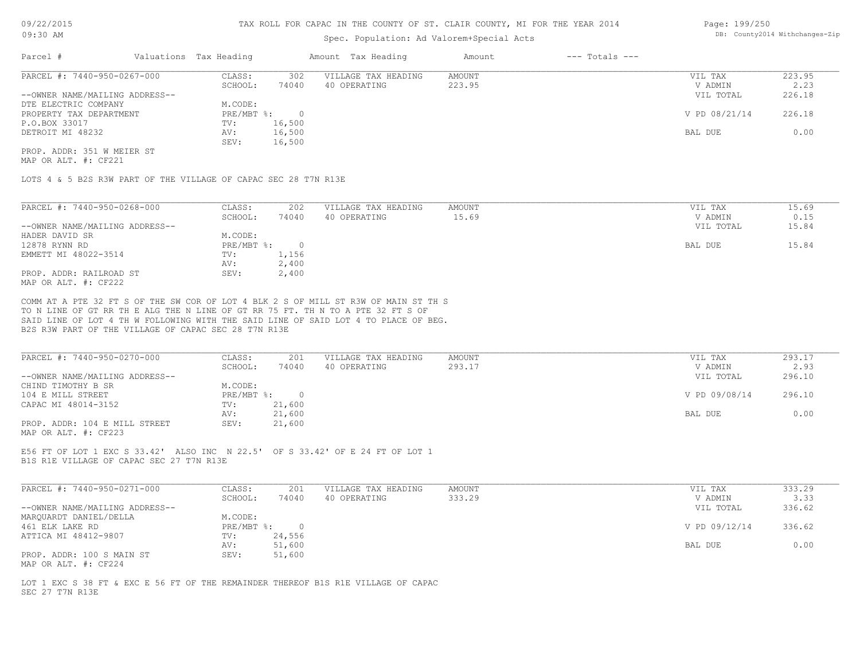### Spec. Population: Ad Valorem+Special Acts

| Page: 199/250                  |
|--------------------------------|
| DB: County2014 Withchanges-Zip |
|                                |

| Parcel #                       | Valuations Tax Heading |        | Amount Tax Heading  | Amount | $---$ Totals $---$ |               |        |
|--------------------------------|------------------------|--------|---------------------|--------|--------------------|---------------|--------|
| PARCEL #: 7440-950-0267-000    | CLASS:                 | 302    | VILLAGE TAX HEADING | AMOUNT |                    | VIL TAX       | 223.95 |
|                                | SCHOOL:                | 74040  | 40 OPERATING        | 223.95 |                    | V ADMIN       | 2.23   |
| --OWNER NAME/MAILING ADDRESS-- |                        |        |                     |        |                    | VIL TOTAL     | 226.18 |
| DTE ELECTRIC COMPANY           | M.CODE:                |        |                     |        |                    |               |        |
| PROPERTY TAX DEPARTMENT        | $PRE/MBT$ %:           |        |                     |        |                    | V PD 08/21/14 | 226.18 |
| P.O.BOX 33017                  | TV:                    | 16,500 |                     |        |                    |               |        |
| DETROIT MI 48232               | AV:                    | 16,500 |                     |        |                    | BAL DUE       | 0.00   |
|                                | SEV:                   | 16,500 |                     |        |                    |               |        |
| PROP. ADDR: 351 W MEIER ST     |                        |        |                     |        |                    |               |        |

MAP OR ALT. #: CF221

LOTS 4 & 5 B2S R3W PART OF THE VILLAGE OF CAPAC SEC 28 T7N R13E

| PARCEL #: 7440-950-0268-000    | CLASS:     | 202    | VILLAGE TAX HEADING | AMOUNT | 15.69<br>VIL TAX   |
|--------------------------------|------------|--------|---------------------|--------|--------------------|
|                                | SCHOOL:    | 74040  | 40 OPERATING        | 15.69  | 0.15<br>V ADMIN    |
| --OWNER NAME/MAILING ADDRESS-- |            |        |                     |        | 15.84<br>VIL TOTAL |
| HADER DAVID SR                 | M.CODE:    |        |                     |        |                    |
| 12878 RYNN RD                  | PRE/MBT %: | $\Box$ |                     |        | BAL DUE<br>15.84   |
| EMMETT MI 48022-3514           | TV:        | 1,156  |                     |        |                    |
|                                | AV:        | 2,400  |                     |        |                    |
| PROP. ADDR: RAILROAD ST        | SEV:       | 2,400  |                     |        |                    |
| MAP OR ALT. #: CF222           |            |        |                     |        |                    |

B2S R3W PART OF THE VILLAGE OF CAPAC SEC 28 T7N R13E SAID LINE OF LOT 4 TH W FOLLOWING WITH THE SAID LINE OF SAID LOT 4 TO PLACE OF BEG. TO N LINE OF GT RR TH E ALG THE N LINE OF GT RR 75 FT. TH N TO A PTE 32 FT S OF COMM AT A PTE 32 FT S OF THE SW COR OF LOT 4 BLK 2 S OF MILL ST R3W OF MAIN ST TH S

| PARCEL #: 7440-950-0270-000    | CLASS:     | 201    | VILLAGE TAX HEADING | AMOUNT | VIL TAX       | 293.17 |
|--------------------------------|------------|--------|---------------------|--------|---------------|--------|
|                                | SCHOOL:    | 74040  | 40 OPERATING        | 293.17 | V ADMIN       | 2.93   |
| --OWNER NAME/MAILING ADDRESS-- |            |        |                     |        | VIL TOTAL     | 296.10 |
| CHIND TIMOTHY B SR             | M.CODE:    |        |                     |        |               |        |
| 104 E MILL STREET              | PRE/MBT %: |        |                     |        | V PD 09/08/14 | 296.10 |
| CAPAC MI 48014-3152            | TV:        | 21,600 |                     |        |               |        |
|                                | AV:        | 21,600 |                     |        | BAL DUE       | 0.00   |
| PROP. ADDR: 104 E MILL STREET  | SEV:       | 21,600 |                     |        |               |        |
| MAP OR ALT. #: CF223           |            |        |                     |        |               |        |

B1S R1E VILLAGE OF CAPAC SEC 27 T7N R13E E56 FT OF LOT 1 EXC S 33.42' ALSO INC N 22.5' OF S 33.42' OF E 24 FT OF LOT 1

| PARCEL #: 7440-950-0271-000    | CLASS:       | 201    | VILLAGE TAX HEADING | AMOUNT | VIL TAX       | 333.29 |
|--------------------------------|--------------|--------|---------------------|--------|---------------|--------|
|                                | SCHOOL:      | 74040  | 40 OPERATING        | 333.29 | V ADMIN       | 3.33   |
| --OWNER NAME/MAILING ADDRESS-- |              |        |                     |        | VIL TOTAL     | 336.62 |
| MARQUARDT DANIEL/DELLA         | M.CODE:      |        |                     |        |               |        |
| 461 ELK LAKE RD                | $PRE/MBT$ %: |        |                     |        | V PD 09/12/14 | 336.62 |
| ATTICA MI 48412-9807           | TV:          | 24,556 |                     |        |               |        |
|                                | AV:          | 51,600 |                     |        | BAL DUE       | 0.00   |
| PROP. ADDR: 100 S MAIN ST      | SEV:         | 51,600 |                     |        |               |        |
| MAP OR ALT. #: CF224           |              |        |                     |        |               |        |

SEC 27 T7N R13E LOT 1 EXC S 38 FT & EXC E 56 FT OF THE REMAINDER THEREOF B1S R1E VILLAGE OF CAPAC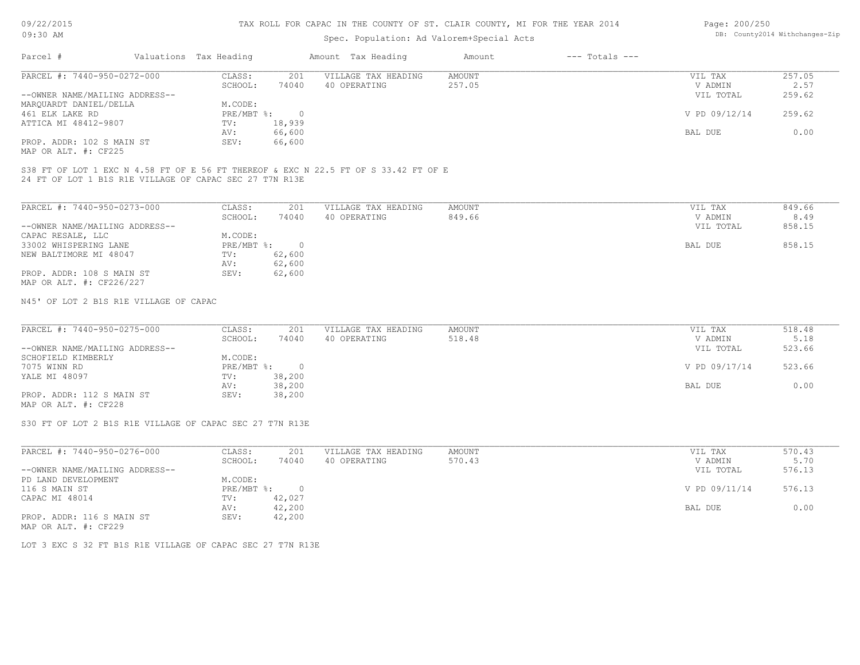# Spec. Population: Ad Valorem+Special Acts

| Page: 200/250 |                                |
|---------------|--------------------------------|
|               | DB: County2014 Withchanges-Zip |

| Parcel #                       | Valuations Tax Heading |        | Amount Tax Heading  | Amount | $---$ Totals $---$ |               |        |
|--------------------------------|------------------------|--------|---------------------|--------|--------------------|---------------|--------|
| PARCEL #: 7440-950-0272-000    | CLASS:                 | 201    | VILLAGE TAX HEADING | AMOUNT |                    | VIL TAX       | 257.05 |
|                                | SCHOOL:                | 74040  | 40 OPERATING        | 257.05 |                    | V ADMIN       | 2.57   |
| --OWNER NAME/MAILING ADDRESS-- |                        |        |                     |        |                    | VIL TOTAL     | 259.62 |
| MAROUARDT DANIEL/DELLA         | M.CODE:                |        |                     |        |                    |               |        |
| 461 ELK LAKE RD                | $PRE/MBT$ %:           |        |                     |        |                    | V PD 09/12/14 | 259.62 |
| ATTICA MI 48412-9807           | TV:                    | 18,939 |                     |        |                    |               |        |
|                                | AV:                    | 66,600 |                     |        |                    | BAL DUE       | 0.00   |
| PROP. ADDR: 102 S MAIN ST      | SEV:                   | 66,600 |                     |        |                    |               |        |
|                                |                        |        |                     |        |                    |               |        |

MAP OR ALT. #: CF225

24 FT OF LOT 1 B1S R1E VILLAGE OF CAPAC SEC 27 T7N R13E S38 FT OF LOT 1 EXC N 4.58 FT OF E 56 FT THEREOF & EXC N 22.5 FT OF S 33.42 FT OF E

| PARCEL #: 7440-950-0273-000    | CLASS:     | 201    | VILLAGE TAX HEADING | AMOUNT | VIL TAX   | 849.66 |
|--------------------------------|------------|--------|---------------------|--------|-----------|--------|
|                                | SCHOOL:    | 74040  | 40 OPERATING        | 849.66 | V ADMIN   | 8.49   |
| --OWNER NAME/MAILING ADDRESS-- |            |        |                     |        | VIL TOTAL | 858.15 |
| CAPAC RESALE, LLC              | M.CODE:    |        |                     |        |           |        |
| 33002 WHISPERING LANE          | PRE/MBT %: |        |                     |        | BAL DUE   | 858.15 |
| NEW BALTIMORE MI 48047         | TV:        | 62,600 |                     |        |           |        |
|                                | AV:        | 62,600 |                     |        |           |        |
| PROP. ADDR: 108 S MAIN ST      | SEV:       | 62,600 |                     |        |           |        |
| MAP OR ALT. #: CF226/227       |            |        |                     |        |           |        |

N45' OF LOT 2 B1S R1E VILLAGE OF CAPAC

| PARCEL #: 7440-950-0275-000    | CLASS:       | 201    | VILLAGE TAX HEADING | AMOUNT | VIL TAX       | 518.48 |
|--------------------------------|--------------|--------|---------------------|--------|---------------|--------|
|                                | SCHOOL:      | 74040  | 40 OPERATING        | 518.48 | V ADMIN       | 5.18   |
| --OWNER NAME/MAILING ADDRESS-- |              |        |                     |        | VIL TOTAL     | 523.66 |
| SCHOFIELD KIMBERLY             | M.CODE:      |        |                     |        |               |        |
| 7075 WINN RD                   | $PRE/MBT$ %: |        |                     |        | V PD 09/17/14 | 523.66 |
| YALE MI 48097                  | TV:          | 38,200 |                     |        |               |        |
|                                | AV:          | 38,200 |                     |        | BAL DUE       | 0.00   |
| PROP. ADDR: 112 S MAIN ST      | SEV:         | 38,200 |                     |        |               |        |
|                                |              |        |                     |        |               |        |

MAP OR ALT. #: CF228

S30 FT OF LOT 2 B1S R1E VILLAGE OF CAPAC SEC 27 T7N R13E

| PARCEL #: 7440-950-0276-000    | CLASS:       | 201    | VILLAGE TAX HEADING | AMOUNT | VIL TAX       | 570.43 |
|--------------------------------|--------------|--------|---------------------|--------|---------------|--------|
|                                | SCHOOL:      | 74040  | 40 OPERATING        | 570.43 | V ADMIN       | 5.70   |
| --OWNER NAME/MAILING ADDRESS-- |              |        |                     |        | VIL TOTAL     | 576.13 |
| PD LAND DEVELOPMENT            | M.CODE:      |        |                     |        |               |        |
| 116 S MAIN ST                  | $PRE/MBT$ %: |        |                     |        | V PD 09/11/14 | 576.13 |
| CAPAC MI 48014                 | TV:          | 42,027 |                     |        |               |        |
|                                | AV:          | 42,200 |                     |        | BAL DUE       | 0.00   |
| PROP. ADDR: 116 S MAIN ST      | SEV:         | 42,200 |                     |        |               |        |
| MAP OR ALT. #: CF229           |              |        |                     |        |               |        |

LOT 3 EXC S 32 FT B1S R1E VILLAGE OF CAPAC SEC 27 T7N R13E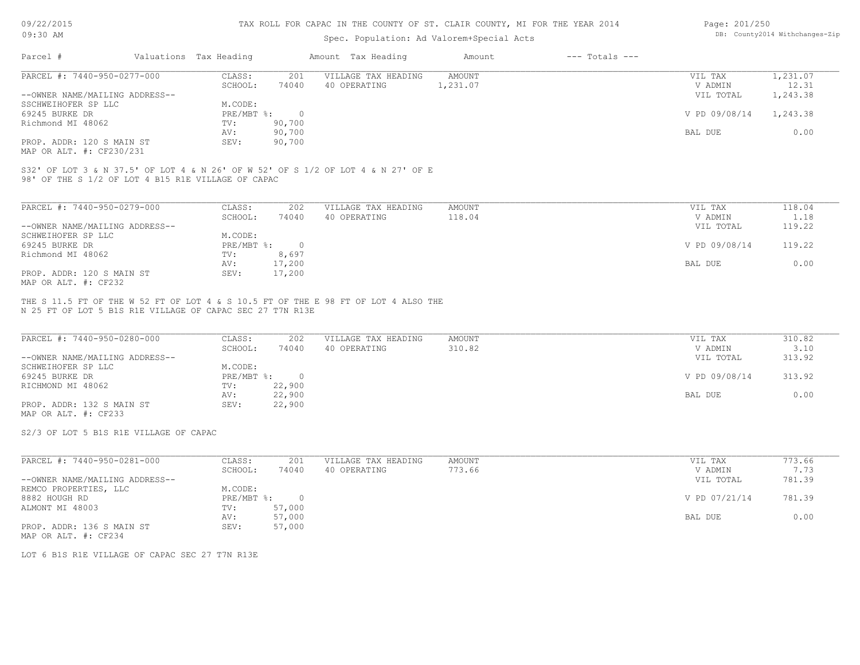#### TAX ROLL FOR CAPAC IN THE COUNTY OF ST. CLAIR COUNTY, MI FOR THE YEAR 2014

# Spec. Population: Ad Valorem+Special Acts

| Page: 201/250 |                                |
|---------------|--------------------------------|
|               | DB: County2014 Withchanges-Zip |

| Parcel #                       |  | Valuations Tax Heading |                                      | Amount Tax Heading | Amount   | $---$ Totals $---$ |               |          |
|--------------------------------|--|------------------------|--------------------------------------|--------------------|----------|--------------------|---------------|----------|
| PARCEL #: 7440-950-0277-000    |  | CLASS:                 | VILLAGE TAX HEADING<br>AMOUNT<br>201 |                    | VIL TAX  | 1,231.07           |               |          |
|                                |  | SCHOOL:                | 74040                                | 40 OPERATING       | 1,231.07 |                    | V ADMIN       | 12.31    |
| --OWNER NAME/MAILING ADDRESS-- |  |                        |                                      |                    |          |                    | VIL TOTAL     | 1,243.38 |
| SSCHWEIHOFER SP LLC            |  | M.CODE:                |                                      |                    |          |                    |               |          |
| 69245 BURKE DR                 |  | PRE/MBT %:             |                                      |                    |          |                    | V PD 09/08/14 | 1,243.38 |
| Richmond MI 48062              |  | TV:                    | 90,700                               |                    |          |                    |               |          |
|                                |  | AV:                    | 90,700                               |                    |          |                    | BAL DUE       | 0.00     |
| PROP. ADDR: 120 S MAIN ST      |  | SEV:                   | 90,700                               |                    |          |                    |               |          |
|                                |  |                        |                                      |                    |          |                    |               |          |

MAP OR ALT. #: CF230/231

98' OF THE S 1/2 OF LOT 4 B15 R1E VILLAGE OF CAPAC S32' OF LOT 3 & N 37.5' OF LOT 4 & N 26' OF W 52' OF S 1/2 OF LOT 4 & N 27' OF E

| PARCEL #: 7440-950-0279-000    | CLASS:     | 202    | VILLAGE TAX HEADING | AMOUNT | VIL TAX       | 118.04 |
|--------------------------------|------------|--------|---------------------|--------|---------------|--------|
|                                | SCHOOL:    | 74040  | 40 OPERATING        | 118.04 | V ADMIN       | 1.18   |
| --OWNER NAME/MAILING ADDRESS-- |            |        |                     |        | VIL TOTAL     | 119.22 |
| SCHWEIHOFER SP LLC             | M.CODE:    |        |                     |        |               |        |
| 69245 BURKE DR                 | PRE/MBT %: |        |                     |        | V PD 09/08/14 | 119.22 |
| Richmond MI 48062              | TV:        | 8,697  |                     |        |               |        |
|                                | AV:        | 17,200 |                     |        | BAL DUE       | 0.00   |
| PROP. ADDR: 120 S MAIN ST      | SEV:       | 17,200 |                     |        |               |        |
| MAP OR ALT. #: CF232           |            |        |                     |        |               |        |

N 25 FT OF LOT 5 B1S R1E VILLAGE OF CAPAC SEC 27 T7N R13E THE S 11.5 FT OF THE W 52 FT OF LOT 4 & S 10.5 FT OF THE E 98 FT OF LOT 4 ALSO THE

| PARCEL #: 7440-950-0280-000    | CLASS:     | 202    | VILLAGE TAX HEADING | AMOUNT | VIL TAX       | 310.82 |
|--------------------------------|------------|--------|---------------------|--------|---------------|--------|
|                                | SCHOOL:    | 74040  | 40 OPERATING        | 310.82 | V ADMIN       | 3.10   |
| --OWNER NAME/MAILING ADDRESS-- |            |        |                     |        | VIL TOTAL     | 313.92 |
| SCHWEIHOFER SP LLC             | M.CODE:    |        |                     |        |               |        |
| 69245 BURKE DR                 | PRE/MBT %: |        |                     |        | V PD 09/08/14 | 313.92 |
| RICHMOND MI 48062              | TV:        | 22,900 |                     |        |               |        |
|                                | AV:        | 22,900 |                     |        | BAL DUE       | 0.00   |
| PROP. ADDR: 132 S MAIN ST      | SEV:       | 22,900 |                     |        |               |        |

MAP OR ALT. #: CF233

S2/3 OF LOT 5 B1S R1E VILLAGE OF CAPAC

| PARCEL #: 7440-950-0281-000    | CLASS:     | 201    | VILLAGE TAX HEADING | AMOUNT | VIL TAX       | 773.66 |
|--------------------------------|------------|--------|---------------------|--------|---------------|--------|
|                                | SCHOOL:    | 74040  | 40 OPERATING        | 773.66 | V ADMIN       | 7.73   |
| --OWNER NAME/MAILING ADDRESS-- |            |        |                     |        | VIL TOTAL     | 781.39 |
| REMCO PROPERTIES, LLC          | M.CODE:    |        |                     |        |               |        |
| 8882 HOUGH RD                  | PRE/MBT %: | $\cap$ |                     |        | V PD 07/21/14 | 781.39 |
| ALMONT MI 48003                | TV:        | 57,000 |                     |        |               |        |
|                                | AV:        | 57,000 |                     |        | BAL DUE       | 0.00   |
| PROP. ADDR: 136 S MAIN ST      | SEV:       | 57,000 |                     |        |               |        |
| MAP OR ALT. #: CF234           |            |        |                     |        |               |        |

LOT 6 B1S R1E VILLAGE OF CAPAC SEC 27 T7N R13E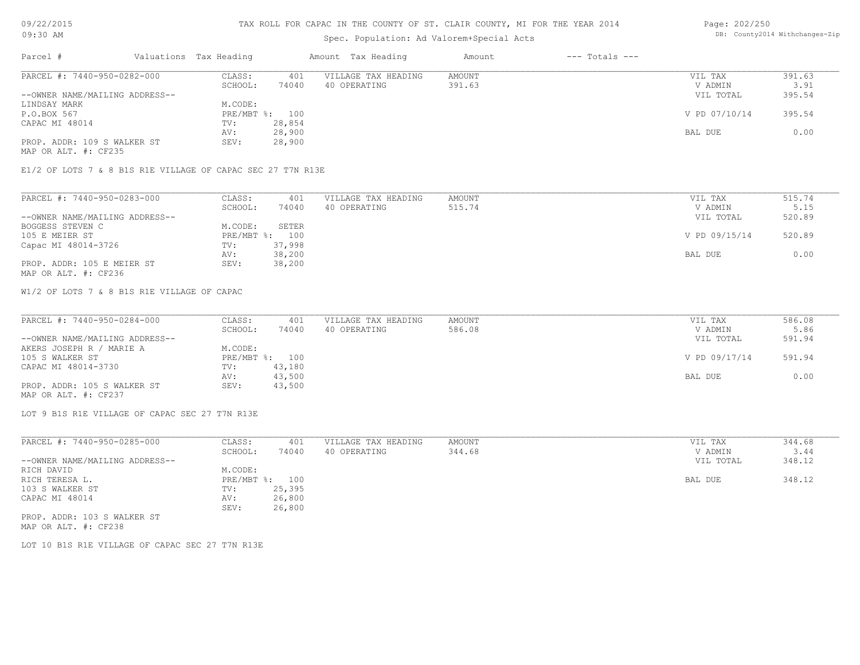#### TAX ROLL FOR CAPAC IN THE COUNTY OF ST. CLAIR COUNTY, MI FOR THE YEAR 2014

# Spec. Population: Ad Valorem+Special Acts

| .                           |                                |                        |              | spec. Population: Ad valorem+special Acts |                  |                    |                      |                |
|-----------------------------|--------------------------------|------------------------|--------------|-------------------------------------------|------------------|--------------------|----------------------|----------------|
| Parcel #                    |                                | Valuations Tax Heading |              | Amount Tax Heading                        | Amount           | $---$ Totals $---$ |                      |                |
| PARCEL #: 7440-950-0282-000 |                                | CLASS:<br>SCHOOL:      | 401<br>74040 | VILLAGE TAX HEADING<br>40 OPERATING       | AMOUNT<br>391.63 |                    | VIL TAX              | 391.63         |
|                             | --OWNER NAME/MAILING ADDRESS-- |                        |              |                                           |                  |                    | V ADMIN<br>VIL TOTAL | 3.91<br>395.54 |

| UNIVER MEET HELLESING HESTILGS                                                                                  |              |        |               | ------ |
|-----------------------------------------------------------------------------------------------------------------|--------------|--------|---------------|--------|
| LINDSAY MARK                                                                                                    | M.CODE:      |        |               |        |
| P.O.BOX 567                                                                                                     | $PRE/MBT$ %: | 100    | V PD 07/10/14 | 395.54 |
| CAPAC MI 48014                                                                                                  | TV:          | 28,854 |               |        |
|                                                                                                                 | AV:          | 28,900 | BAL DUE       | 0.00   |
| PROP. ADDR: 109 S WALKER ST                                                                                     | SEV:         | 28,900 |               |        |
| the contract of the contract of the contract of the contract of the contract of the contract of the contract of |              |        |               |        |

MAP OR ALT. #: CF235

E1/2 OF LOTS 7 & 8 B1S R1E VILLAGE OF CAPAC SEC 27 T7N R13E

| PARCEL #: 7440-950-0283-000    | CLASS:  | 401            | VILLAGE TAX HEADING | AMOUNT | VIL TAX       | 515.74 |
|--------------------------------|---------|----------------|---------------------|--------|---------------|--------|
|                                | SCHOOL: | 74040          | 40 OPERATING        | 515.74 | V ADMIN       | 5.15   |
| --OWNER NAME/MAILING ADDRESS-- |         |                |                     |        | VIL TOTAL     | 520.89 |
| BOGGESS STEVEN C               | M.CODE: | SETER          |                     |        |               |        |
| 105 E MEIER ST                 |         | PRE/MBT %: 100 |                     |        | V PD 09/15/14 | 520.89 |
| Capac MI 48014-3726            | TV:     | 37,998         |                     |        |               |        |
|                                | AV:     | 38,200         |                     |        | BAL DUE       | 0.00   |
| PROP. ADDR: 105 E MEIER ST     | SEV:    | 38,200         |                     |        |               |        |
| MAP OR ALT. #: CF236           |         |                |                     |        |               |        |

W1/2 OF LOTS 7 & 8 B1S R1E VILLAGE OF CAPAC

| PARCEL #: 7440-950-0284-000    | CLASS:  | 401            | VILLAGE TAX HEADING | AMOUNT | VIL TAX       | 586.08 |
|--------------------------------|---------|----------------|---------------------|--------|---------------|--------|
|                                | SCHOOL: | 74040          | 40 OPERATING        | 586.08 | V ADMIN       | 5.86   |
| --OWNER NAME/MAILING ADDRESS-- |         |                |                     |        | VIL TOTAL     | 591.94 |
| AKERS JOSEPH R / MARIE A       | M.CODE: |                |                     |        |               |        |
| 105 S WALKER ST                |         | PRE/MBT %: 100 |                     |        | V PD 09/17/14 | 591.94 |
| CAPAC MI 48014-3730            | TV:     | 43,180         |                     |        |               |        |
|                                | AV:     | 43,500         |                     |        | BAL DUE       | 0.00   |
| PROP. ADDR: 105 S WALKER ST    | SEV:    | 43,500         |                     |        |               |        |
| MAP OR ALT. #: CF237           |         |                |                     |        |               |        |

LOT 9 B1S R1E VILLAGE OF CAPAC SEC 27 T7N R13E

| PARCEL #: 7440-950-0285-000    | CLASS:     | 401    | VILLAGE TAX HEADING | AMOUNT | VIL TAX   | 344.68 |
|--------------------------------|------------|--------|---------------------|--------|-----------|--------|
|                                | SCHOOL:    | 74040  | 40 OPERATING        | 344.68 | V ADMIN   | 3.44   |
| --OWNER NAME/MAILING ADDRESS-- |            |        |                     |        | VIL TOTAL | 348.12 |
| RICH DAVID                     | M.CODE:    |        |                     |        |           |        |
| RICH TERESA L.                 | PRE/MBT %: | 100    |                     |        | BAL DUE   | 348.12 |
| 103 S WALKER ST                | TV:        | 25,395 |                     |        |           |        |
| CAPAC MI 48014                 | AV:        | 26,800 |                     |        |           |        |
|                                | SEV:       | 26,800 |                     |        |           |        |
| PROP. ADDR: 103 S WALKER ST    |            |        |                     |        |           |        |
|                                |            |        |                     |        |           |        |

MAP OR ALT. #: CF238

LOT 10 B1S R1E VILLAGE OF CAPAC SEC 27 T7N R13E

Page: 202/250 DB: County2014 Withchanges-Zip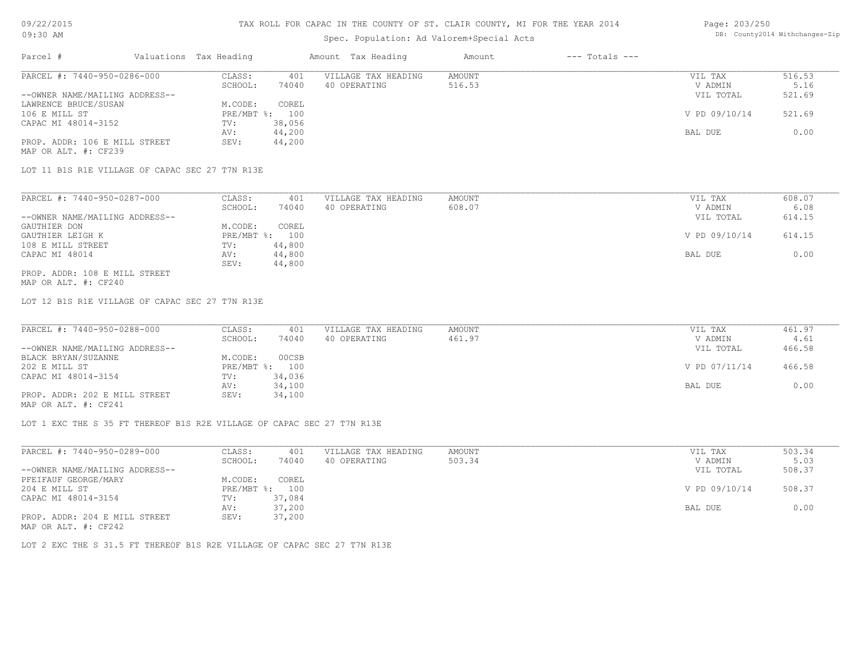# Spec. Population: Ad Valorem+Special Acts

| Parcel #                       | Valuations Tax Heading |        | Amount Tax Heading  | Amount | $---$ Totals $---$ |               |        |
|--------------------------------|------------------------|--------|---------------------|--------|--------------------|---------------|--------|
| PARCEL #: 7440-950-0286-000    | CLASS:                 | 401    | VILLAGE TAX HEADING | AMOUNT |                    | VIL TAX       | 516.53 |
|                                | SCHOOL:                | 74040  | 40 OPERATING        | 516.53 |                    | V ADMIN       | 5.16   |
| --OWNER NAME/MAILING ADDRESS-- |                        |        |                     |        |                    | VIL TOTAL     | 521.69 |
| LAWRENCE BRUCE/SUSAN           | M.CODE:                | COREL  |                     |        |                    |               |        |
| 106 E MILL ST                  | PRE/MBT %: 100         |        |                     |        |                    | V PD 09/10/14 | 521.69 |
| CAPAC MI 48014-3152            | TV:                    | 38,056 |                     |        |                    |               |        |
|                                | AV:                    | 44,200 |                     |        |                    | BAL DUE       | 0.00   |
| PROP. ADDR: 106 E MILL STREET  | SEV:                   | 44,200 |                     |        |                    |               |        |

MAP OR ALT. #: CF239

LOT 11 B1S R1E VILLAGE OF CAPAC SEC 27 T7N R13E

| PARCEL #: 7440-950-0287-000    | CLASS:  | 401            | VILLAGE TAX HEADING | AMOUNT | VIL TAX       | 608.07 |
|--------------------------------|---------|----------------|---------------------|--------|---------------|--------|
|                                | SCHOOL: | 74040          | 40 OPERATING        | 608.07 | V ADMIN       | 6.08   |
| --OWNER NAME/MAILING ADDRESS-- |         |                |                     |        | VIL TOTAL     | 614.15 |
| GAUTHIER DON                   | M.CODE: | COREL          |                     |        |               |        |
| GAUTHIER LEIGH K               |         | PRE/MBT %: 100 |                     |        | V PD 09/10/14 | 614.15 |
| 108 E MILL STREET              | TV:     | 44,800         |                     |        |               |        |
| CAPAC MI 48014                 | AV:     | 44,800         |                     |        | BAL DUE       | 0.00   |
|                                | SEV:    | 44,800         |                     |        |               |        |
| PROP. ADDR: 108 E MILL STREET  |         |                |                     |        |               |        |

MAP OR ALT. #: CF240

LOT 12 B1S R1E VILLAGE OF CAPAC SEC 27 T7N R13E

| PARCEL #: 7440-950-0288-000    | CLASS:  | 401            | VILLAGE TAX HEADING | AMOUNT | VIL TAX       | 461.97 |
|--------------------------------|---------|----------------|---------------------|--------|---------------|--------|
|                                | SCHOOL: | 74040          | 40 OPERATING        | 461.97 | V ADMIN       | 4.61   |
| --OWNER NAME/MAILING ADDRESS-- |         |                |                     |        | VIL TOTAL     | 466.58 |
| BLACK BRYAN/SUZANNE            | M.CODE: | 00CSB          |                     |        |               |        |
| 202 E MILL ST                  |         | PRE/MBT %: 100 |                     |        | V PD 07/11/14 | 466.58 |
| CAPAC MI 48014-3154            | TV:     | 34,036         |                     |        |               |        |
|                                | AV:     | 34,100         |                     |        | BAL DUE       | 0.00   |
| PROP. ADDR: 202 E MILL STREET  | SEV:    | 34,100         |                     |        |               |        |
|                                |         |                |                     |        |               |        |

MAP OR ALT. #: CF241

LOT 1 EXC THE S 35 FT THEREOF B1S R2E VILLAGE OF CAPAC SEC 27 T7N R13E

| PARCEL #: 7440-950-0289-000    | CLASS:  | 401            | VILLAGE TAX HEADING | AMOUNT | VIL TAX       | 503.34 |
|--------------------------------|---------|----------------|---------------------|--------|---------------|--------|
|                                | SCHOOL: | 74040          | 40 OPERATING        | 503.34 | V ADMIN       | 5.03   |
| --OWNER NAME/MAILING ADDRESS-- |         |                |                     |        | VIL TOTAL     | 508.37 |
| PFEIFAUF GEORGE/MARY           | M.CODE: | COREL          |                     |        |               |        |
| 204 E MILL ST                  |         | PRE/MBT %: 100 |                     |        | V PD 09/10/14 | 508.37 |
| CAPAC MI 48014-3154            | TV:     | 37,084         |                     |        |               |        |
|                                | AV:     | 37,200         |                     |        | BAL DUE       | 0.00   |
| PROP. ADDR: 204 E MILL STREET  | SEV:    | 37,200         |                     |        |               |        |
| MAP OR ALT. #: CF242           |         |                |                     |        |               |        |

LOT 2 EXC THE S 31.5 FT THEREOF B1S R2E VILLAGE OF CAPAC SEC 27 T7N R13E

Page: 203/250 DB: County2014 Withchanges-Zip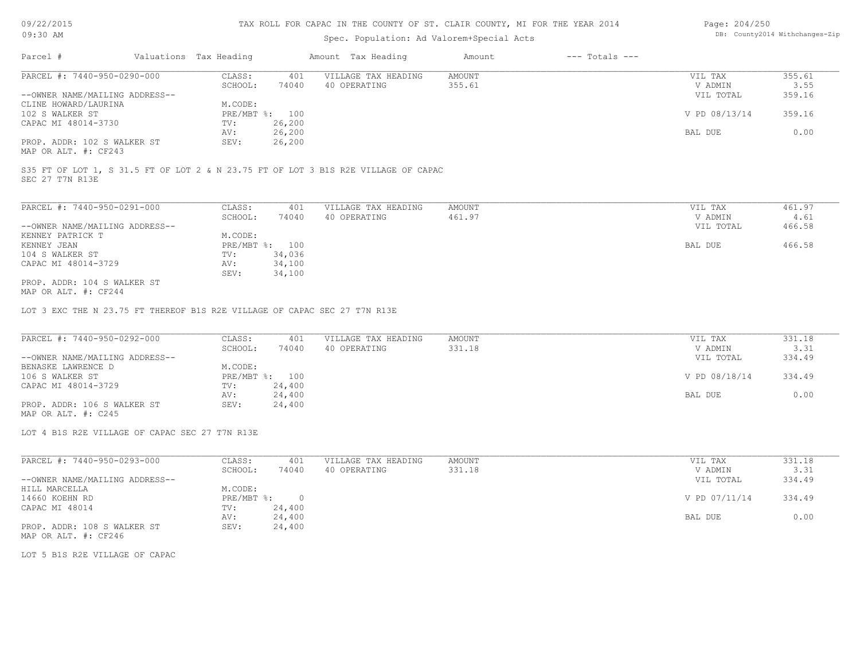### TAX ROLL FOR CAPAC IN THE COUNTY OF ST. CLAIR COUNTY, MI FOR THE YEAR 2014

# Spec. Population: Ad Valorem+Special Acts

| Page: 204/250 |                                |
|---------------|--------------------------------|
|               | DB: County2014 Withchanges-Zip |

| Parcel #                       | Valuations Tax Heading |                | Amount Tax Heading  | Amount | $---$ Totals $---$ |               |        |
|--------------------------------|------------------------|----------------|---------------------|--------|--------------------|---------------|--------|
| PARCEL #: 7440-950-0290-000    | CLASS:                 | 401            | VILLAGE TAX HEADING | AMOUNT |                    | VIL TAX       | 355.61 |
|                                | SCHOOL:                | 74040          | 40 OPERATING        | 355.61 |                    | V ADMIN       | 3.55   |
| --OWNER NAME/MAILING ADDRESS-- |                        |                |                     |        |                    | VIL TOTAL     | 359.16 |
| CLINE HOWARD/LAURINA           | M.CODE:                |                |                     |        |                    |               |        |
| 102 S WALKER ST                |                        | PRE/MBT %: 100 |                     |        |                    | V PD 08/13/14 | 359.16 |
| CAPAC MI 48014-3730            | TV:                    | 26,200         |                     |        |                    |               |        |
|                                | AV:                    | 26,200         |                     |        |                    | BAL DUE       | 0.00   |
| PROP. ADDR: 102 S WALKER ST    | SEV:                   | 26,200         |                     |        |                    |               |        |
|                                |                        |                |                     |        |                    |               |        |

MAP OR ALT. #: CF243

SEC 27 T7N R13E S35 FT OF LOT 1, S 31.5 FT OF LOT 2 & N 23.75 FT OF LOT 3 B1S R2E VILLAGE OF CAPAC

| PARCEL #: 7440-950-0291-000                                                                                     | CLASS:  | 401            | VILLAGE TAX HEADING | AMOUNT | 461.97<br>VIL TAX   |  |
|-----------------------------------------------------------------------------------------------------------------|---------|----------------|---------------------|--------|---------------------|--|
|                                                                                                                 | SCHOOL: | 74040          | 40 OPERATING        | 461.97 | 4.61<br>V ADMIN     |  |
| --OWNER NAME/MAILING ADDRESS--                                                                                  |         |                |                     |        | 466.58<br>VIL TOTAL |  |
| KENNEY PATRICK T                                                                                                | M.CODE: |                |                     |        |                     |  |
| KENNEY JEAN                                                                                                     |         | PRE/MBT %: 100 |                     |        | 466.58<br>BAL DUE   |  |
| 104 S WALKER ST                                                                                                 | TV:     | 34,036         |                     |        |                     |  |
| CAPAC MI 48014-3729                                                                                             | AV:     | 34,100         |                     |        |                     |  |
|                                                                                                                 | SEV:    | 34,100         |                     |        |                     |  |
| PROP. ADDR: 104 S WALKER ST                                                                                     |         |                |                     |        |                     |  |
| the contract of the contract of the contract of the contract of the contract of the contract of the contract of |         |                |                     |        |                     |  |

MAP OR ALT. #: CF244

LOT 3 EXC THE N 23.75 FT THEREOF B1S R2E VILLAGE OF CAPAC SEC 27 T7N R13E

| PARCEL #: 7440-950-0292-000    | CLASS:  | 401            | VILLAGE TAX HEADING | AMOUNT | VIL TAX       | 331.18 |
|--------------------------------|---------|----------------|---------------------|--------|---------------|--------|
|                                | SCHOOL: | 74040          | 40 OPERATING        | 331.18 | V ADMIN       | 3.31   |
| --OWNER NAME/MAILING ADDRESS-- |         |                |                     |        | VIL TOTAL     | 334.49 |
| BENASKE LAWRENCE D             | M.CODE: |                |                     |        |               |        |
| 106 S WALKER ST                |         | PRE/MBT %: 100 |                     |        | V PD 08/18/14 | 334.49 |
| CAPAC MI 48014-3729            | TV:     | 24,400         |                     |        |               |        |
|                                | AV:     | 24,400         |                     |        | BAL DUE       | 0.00   |
| PROP. ADDR: 106 S WALKER ST    | SEV:    | 24,400         |                     |        |               |        |

MAP OR ALT. #: C245

LOT 4 B1S R2E VILLAGE OF CAPAC SEC 27 T7N R13E

| PARCEL #: 7440-950-0293-000    | CLASS:     | 401    | VILLAGE TAX HEADING | AMOUNT | VIL TAX       | 331.18 |
|--------------------------------|------------|--------|---------------------|--------|---------------|--------|
|                                | SCHOOL:    | 74040  | 40 OPERATING        | 331.18 | V ADMIN       | 3.31   |
| --OWNER NAME/MAILING ADDRESS-- |            |        |                     |        | VIL TOTAL     | 334.49 |
| HILL MARCELLA                  | M.CODE:    |        |                     |        |               |        |
| 14660 KOEHN RD                 | PRE/MBT %: |        |                     |        | V PD 07/11/14 | 334.49 |
| CAPAC MI 48014                 | TV:        | 24,400 |                     |        |               |        |
|                                | AV:        | 24,400 |                     |        | BAL DUE       | 0.00   |
| PROP. ADDR: 108 S WALKER ST    | SEV:       | 24,400 |                     |        |               |        |
| MAP OR ALT. #: CF246           |            |        |                     |        |               |        |

LOT 5 B1S R2E VILLAGE OF CAPAC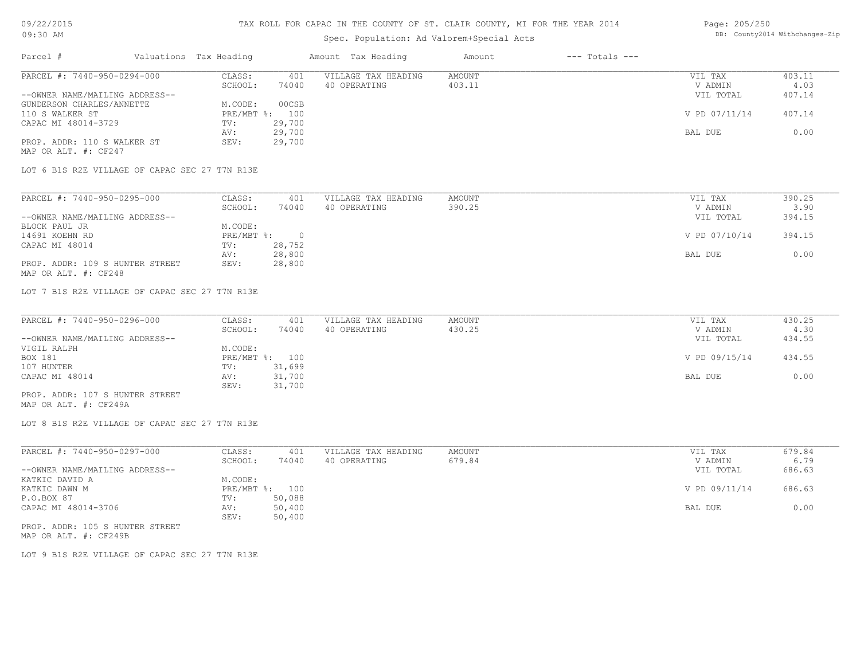# Spec. Population: Ad Valorem+Special Acts

#### Page: 205/250 DB: County2014 Withchanges-Zip

| Parcel #                                            | Valuations Tax Heading |                | Amount Tax Heading  | Amount | $---$ Totals $---$ |               |        |
|-----------------------------------------------------|------------------------|----------------|---------------------|--------|--------------------|---------------|--------|
| PARCEL #: 7440-950-0294-000                         | CLASS:                 | 401            | VILLAGE TAX HEADING | AMOUNT |                    | VIL TAX       | 403.11 |
|                                                     | SCHOOL:                | 74040          | 40 OPERATING        | 403.11 |                    | V ADMIN       | 4.03   |
| --OWNER NAME/MAILING ADDRESS--                      |                        |                |                     |        |                    | VIL TOTAL     | 407.14 |
| GUNDERSON CHARLES/ANNETTE                           | M.CODE:                | 00CSB          |                     |        |                    |               |        |
| 110 S WALKER ST                                     |                        | PRE/MBT %: 100 |                     |        |                    | V PD 07/11/14 | 407.14 |
| CAPAC MI 48014-3729                                 | TV:                    | 29,700         |                     |        |                    |               |        |
|                                                     | AV:                    | 29,700         |                     |        |                    | BAL DUE       | 0.00   |
| PROP. ADDR: 110 S WALKER ST<br>MAP OR ALT. #: CF247 | SEV:                   | 29,700         |                     |        |                    |               |        |

LOT 6 B1S R2E VILLAGE OF CAPAC SEC 27 T7N R13E

| PARCEL #: 7440-950-0295-000     | CLASS:     | 401    | VILLAGE TAX HEADING | AMOUNT | VIL TAX       | 390.25 |
|---------------------------------|------------|--------|---------------------|--------|---------------|--------|
|                                 | SCHOOL:    | 74040  | 40 OPERATING        | 390.25 | V ADMIN       | 3.90   |
| --OWNER NAME/MAILING ADDRESS--  |            |        |                     |        | VIL TOTAL     | 394.15 |
| BLOCK PAUL JR                   | M.CODE:    |        |                     |        |               |        |
| 14691 KOEHN RD                  | PRE/MBT %: |        |                     |        | V PD 07/10/14 | 394.15 |
| CAPAC MI 48014                  | TV:        | 28,752 |                     |        |               |        |
|                                 | AV:        | 28,800 |                     |        | BAL DUE       | 0.00   |
| PROP. ADDR: 109 S HUNTER STREET | SEV:       | 28,800 |                     |        |               |        |
| MAP OR ALT. #: CF248            |            |        |                     |        |               |        |

LOT 7 B1S R2E VILLAGE OF CAPAC SEC 27 T7N R13E

| PARCEL #: 7440-950-0296-000     | CLASS:  | 401            | VILLAGE TAX HEADING | AMOUNT | VIL TAX       | 430.25 |
|---------------------------------|---------|----------------|---------------------|--------|---------------|--------|
|                                 | SCHOOL: | 74040          | 40 OPERATING        | 430.25 | V ADMIN       | 4.30   |
| --OWNER NAME/MAILING ADDRESS--  |         |                |                     |        | VIL TOTAL     | 434.55 |
| VIGIL RALPH                     | M.CODE: |                |                     |        |               |        |
| BOX 181                         |         | PRE/MBT %: 100 |                     |        | V PD 09/15/14 | 434.55 |
| 107 HUNTER                      | TV:     | 31,699         |                     |        |               |        |
| CAPAC MI 48014                  | AV:     | 31,700         |                     |        | BAL DUE       | 0.00   |
|                                 | SEV:    | 31,700         |                     |        |               |        |
| PROP. ADDR: 107 S HUNTER STREET |         |                |                     |        |               |        |

MAP OR ALT. #: CF249A

LOT 8 B1S R2E VILLAGE OF CAPAC SEC 27 T7N R13E

| PARCEL #: 7440-950-0297-000     | CLASS:       | 401    | VILLAGE TAX HEADING | AMOUNT | VIL TAX       | 679.84 |
|---------------------------------|--------------|--------|---------------------|--------|---------------|--------|
|                                 | SCHOOL:      | 74040  | 40 OPERATING        | 679.84 | V ADMIN       | 6.79   |
| --OWNER NAME/MAILING ADDRESS--  |              |        |                     |        | VIL TOTAL     | 686.63 |
| KATKIC DAVID A                  | M.CODE:      |        |                     |        |               |        |
| KATKIC DAWN M                   | $PRE/MBT$ %: | 100    |                     |        | V PD 09/11/14 | 686.63 |
| P.O.BOX 87                      | TV:          | 50,088 |                     |        |               |        |
| CAPAC MI 48014-3706             | AV:          | 50,400 |                     |        | BAL DUE       | 0.00   |
|                                 | SEV:         | 50,400 |                     |        |               |        |
| PROP. ADDR: 105 S HUNTER STREET |              |        |                     |        |               |        |

MAP OR ALT. #: CF249B

LOT 9 B1S R2E VILLAGE OF CAPAC SEC 27 T7N R13E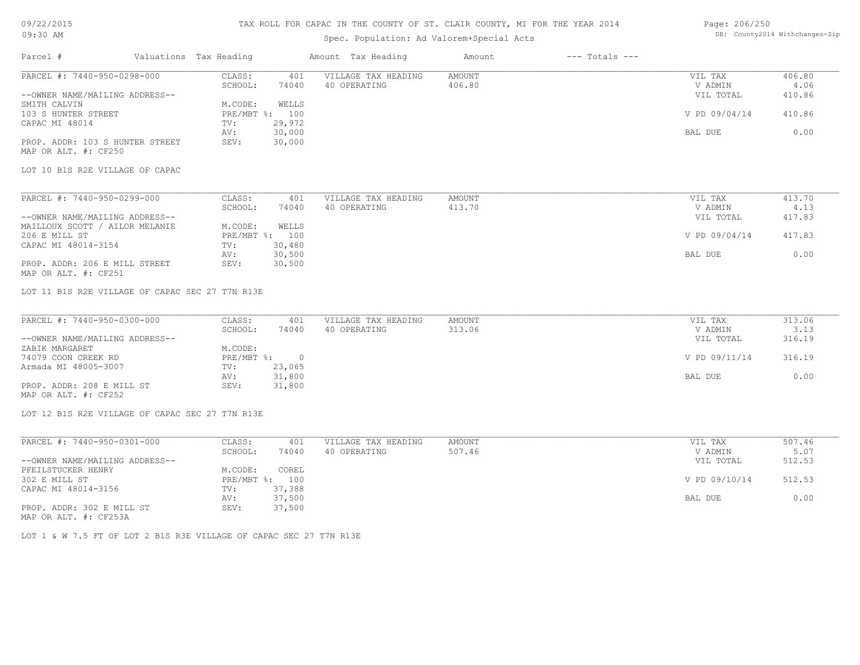# TAX ROLL FOR CAPAC IN THE COUNTY OF ST. CLAIR COUNTY, MI FOR THE YEAR 2014

# Spec. Population: Ad Valorem+Special Acts

### Page: 206/250 DB: County2014 Withchanges-Zip

| Parcel #                                                                       | Valuations Tax Heading |                  | Amount Tax Heading  | Amount | $---$ Totals $---$ |               |        |
|--------------------------------------------------------------------------------|------------------------|------------------|---------------------|--------|--------------------|---------------|--------|
| PARCEL #: 7440-950-0298-000                                                    | CLASS:                 |                  | VILLAGE TAX HEADING | AMOUNT |                    | VIL TAX       | 406.80 |
|                                                                                | SCHOOL:                | 401<br>74040     | 40 OPERATING        | 406.80 |                    | V ADMIN       | 4.06   |
| --OWNER NAME/MAILING ADDRESS--                                                 |                        |                  |                     |        |                    | VIL TOTAL     | 410.86 |
| SMITH CALVIN                                                                   | M.CODE:                | WELLS            |                     |        |                    |               |        |
| 103 S HUNTER STREET                                                            |                        | PRE/MBT %: 100   |                     |        |                    | V PD 09/04/14 | 410.86 |
| CAPAC MI 48014                                                                 | TV:                    | 29,972           |                     |        |                    |               |        |
|                                                                                |                        | 30,000           |                     |        |                    |               | 0.00   |
|                                                                                | AV:                    |                  |                     |        |                    | BAL DUE       |        |
| PROP. ADDR: 103 S HUNTER STREET                                                | SEV:                   | 30,000           |                     |        |                    |               |        |
| MAP OR ALT. #: CF250                                                           |                        |                  |                     |        |                    |               |        |
| LOT 10 B1S R2E VILLAGE OF CAPAC                                                |                        |                  |                     |        |                    |               |        |
| PARCEL #: 7440-950-0299-000                                                    | CLASS:                 | 401              | VILLAGE TAX HEADING | AMOUNT |                    | VIL TAX       | 413.70 |
|                                                                                | SCHOOL:                | 74040            | 40 OPERATING        | 413.70 |                    | V ADMIN       | 4.13   |
| --OWNER NAME/MAILING ADDRESS--                                                 |                        |                  |                     |        |                    | VIL TOTAL     | 417.83 |
| MAILLOUX SCOTT / AILOR MELANIE                                                 | M.CODE:                | WELLS            |                     |        |                    |               |        |
| 206 E MILL ST                                                                  |                        | PRE/MBT %: 100   |                     |        |                    | V PD 09/04/14 | 417.83 |
| CAPAC MI 48014-3154                                                            | TV:                    |                  |                     |        |                    |               |        |
|                                                                                |                        | 30,480           |                     |        |                    |               |        |
|                                                                                | AV:                    | 30,500           |                     |        |                    | BAL DUE       | 0.00   |
| PROP. ADDR: 206 E MILL STREET                                                  | SEV:                   | 30,500           |                     |        |                    |               |        |
| MAP OR ALT. #: CF251                                                           |                        |                  |                     |        |                    |               |        |
| LOT 11 B1S R2E VILLAGE OF CAPAC SEC 27 T7N R13E<br>PARCEL #: 7440-950-0300-000 | CLASS:                 | 401              | VILLAGE TAX HEADING | AMOUNT |                    | VIL TAX       | 313.06 |
|                                                                                | SCHOOL:                | 74040            | 40 OPERATING        | 313.06 |                    | V ADMIN       | 3.13   |
| --OWNER NAME/MAILING ADDRESS--                                                 |                        |                  |                     |        |                    | VIL TOTAL     | 316.19 |
| ZABIK MARGARET                                                                 | M.CODE:                |                  |                     |        |                    |               |        |
| 74079 COON CREEK RD                                                            |                        | PRE/MBT %: 0     |                     |        |                    | V PD 09/11/14 | 316.19 |
| Armada MI 48005-3007                                                           | TV:                    | 23,065<br>31,800 |                     |        |                    | BAL DUE       | 0.00   |
| PROP. ADDR: 208 E MILL ST                                                      | AV:<br>SEV:            | 31,800           |                     |        |                    |               |        |
| MAP OR ALT. #: CF252                                                           |                        |                  |                     |        |                    |               |        |
|                                                                                |                        |                  |                     |        |                    |               |        |
| LOT 12 B1S R2E VILLAGE OF CAPAC SEC 27 T7N R13E                                |                        |                  |                     |        |                    |               |        |
| PARCEL #: 7440-950-0301-000                                                    | CLASS:                 | 401              | VILLAGE TAX HEADING | AMOUNT |                    | VIL TAX       | 507.46 |
|                                                                                | SCHOOL:                | 74040            | 40 OPERATING        | 507.46 |                    | V ADMIN       | 5.07   |
| --OWNER NAME/MAILING ADDRESS--                                                 |                        |                  |                     |        |                    | VIL TOTAL     | 512.53 |
| PFEILSTUCKER HENRY                                                             | M.CODE:                | COREL            |                     |        |                    |               |        |
| 302 E MILL ST                                                                  |                        | PRE/MBT %: 100   |                     |        |                    | V PD 09/10/14 | 512.53 |
| CAPAC MI 48014-3156                                                            | TV:                    | 37,388           |                     |        |                    |               |        |
|                                                                                | AV:                    | 37,500           |                     |        |                    | BAL DUE       | 0.00   |
| PROP. ADDR: 302 E MILL ST                                                      | SEV:                   | 37,500           |                     |        |                    |               |        |
| MAP OR ALT. #: CF253A                                                          |                        |                  |                     |        |                    |               |        |
|                                                                                |                        |                  |                     |        |                    |               |        |

LOT 1 & W 7.5 FT OF LOT 2 B1S R3E VILLAGE OF CAPAC SEC 27 T7N R13E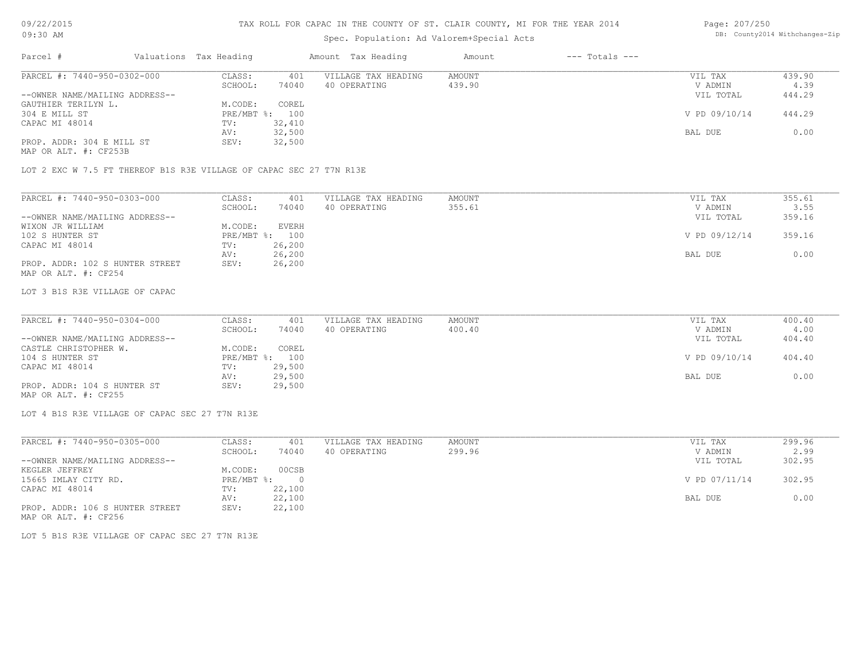# Spec. Population: Ad Valorem+Special Acts

#### Page: 207/250 DB: County2014 Withchanges-Zip

| Parcel #                       | Valuations Tax Heading |        | Amount Tax Heading  | Amount | $---$ Totals $---$ |               |        |
|--------------------------------|------------------------|--------|---------------------|--------|--------------------|---------------|--------|
| PARCEL #: 7440-950-0302-000    | CLASS:                 | 401    | VILLAGE TAX HEADING | AMOUNT |                    | VIL TAX       | 439.90 |
|                                | SCHOOL:                | 74040  | 40 OPERATING        | 439.90 |                    | V ADMIN       | 4.39   |
| --OWNER NAME/MAILING ADDRESS-- |                        |        |                     |        |                    | VIL TOTAL     | 444.29 |
| GAUTHIER TERILYN L.            | M.CODE:                | COREL  |                     |        |                    |               |        |
| 304 E MILL ST                  | PRE/MBT %: 100         |        |                     |        |                    | V PD 09/10/14 | 444.29 |
| CAPAC MI 48014                 | TV:                    | 32,410 |                     |        |                    |               |        |
|                                | AV:                    | 32,500 |                     |        |                    | BAL DUE       | 0.00   |
| PROP. ADDR: 304 E MILL ST      | SEV:                   | 32,500 |                     |        |                    |               |        |
|                                |                        |        |                     |        |                    |               |        |

MAP OR ALT. #: CF253B

LOT 2 EXC W 7.5 FT THEREOF B1S R3E VILLAGE OF CAPAC SEC 27 T7N R13E

| PARCEL #: 7440-950-0303-000     | CLASS:  | 401            | VILLAGE TAX HEADING | AMOUNT | VIL TAX       | 355.61 |
|---------------------------------|---------|----------------|---------------------|--------|---------------|--------|
|                                 | SCHOOL: | 74040          | 40 OPERATING        | 355.61 | V ADMIN       | 3.55   |
| --OWNER NAME/MAILING ADDRESS--  |         |                |                     |        | VIL TOTAL     | 359.16 |
| WIXON JR WILLIAM                | M.CODE: | EVERH          |                     |        |               |        |
| 102 S HUNTER ST                 |         | PRE/MBT %: 100 |                     |        | V PD 09/12/14 | 359.16 |
| CAPAC MI 48014                  | TV:     | 26,200         |                     |        |               |        |
|                                 | AV:     | 26,200         |                     |        | BAL DUE       | 0.00   |
| PROP. ADDR: 102 S HUNTER STREET | SEV:    | 26,200         |                     |        |               |        |
| MAP OR ALT. #: CF254            |         |                |                     |        |               |        |

#### LOT 3 B1S R3E VILLAGE OF CAPAC

| PARCEL #: 7440-950-0304-000    | CLASS:       | 401    | VILLAGE TAX HEADING | AMOUNT | VIL TAX       | 400.40 |
|--------------------------------|--------------|--------|---------------------|--------|---------------|--------|
|                                | SCHOOL:      | 74040  | 40 OPERATING        | 400.40 | V ADMIN       | 4.00   |
| --OWNER NAME/MAILING ADDRESS-- |              |        |                     |        | VIL TOTAL     | 404.40 |
| CASTLE CHRISTOPHER W.          | M.CODE:      | COREL  |                     |        |               |        |
| 104 S HUNTER ST                | $PRE/MBT$ %: | 100    |                     |        | V PD 09/10/14 | 404.40 |
| CAPAC MI 48014                 | TV:          | 29,500 |                     |        |               |        |
|                                | AV:          | 29,500 |                     |        | BAL DUE       | 0.00   |
| PROP. ADDR: 104 S HUNTER ST    | SEV:         | 29,500 |                     |        |               |        |
| MAP OR ALT. #: CF255           |              |        |                     |        |               |        |

 $\_$  , and the state of the state of the state of the state of the state of the state of the state of the state of the state of the state of the state of the state of the state of the state of the state of the state of the

LOT 4 B1S R3E VILLAGE OF CAPAC SEC 27 T7N R13E

| PARCEL #: 7440-950-0305-000                                                                                                                        | CLASS:     | 401    | VILLAGE TAX HEADING | AMOUNT | VIL TAX       | 299.96 |
|----------------------------------------------------------------------------------------------------------------------------------------------------|------------|--------|---------------------|--------|---------------|--------|
|                                                                                                                                                    | SCHOOL:    | 74040  | 40 OPERATING        | 299.96 | V ADMIN       | 2.99   |
| --OWNER NAME/MAILING ADDRESS--                                                                                                                     |            |        |                     |        | VIL TOTAL     | 302.95 |
| KEGLER JEFFREY                                                                                                                                     | M.CODE:    | 00CSB  |                     |        |               |        |
| 15665 IMLAY CITY RD.                                                                                                                               | PRE/MBT %: | - 0    |                     |        | V PD 07/11/14 | 302.95 |
| CAPAC MI 48014                                                                                                                                     | TV:        | 22,100 |                     |        |               |        |
|                                                                                                                                                    | AV:        | 22,100 |                     |        | BAL DUE       | 0.00   |
| PROP. ADDR: 106 S HUNTER STREET<br>the contract of the contract of the contract of the contract of the contract of the contract of the contract of | SEV:       | 22,100 |                     |        |               |        |

MAP OR ALT. #: CF256

LOT 5 B1S R3E VILLAGE OF CAPAC SEC 27 T7N R13E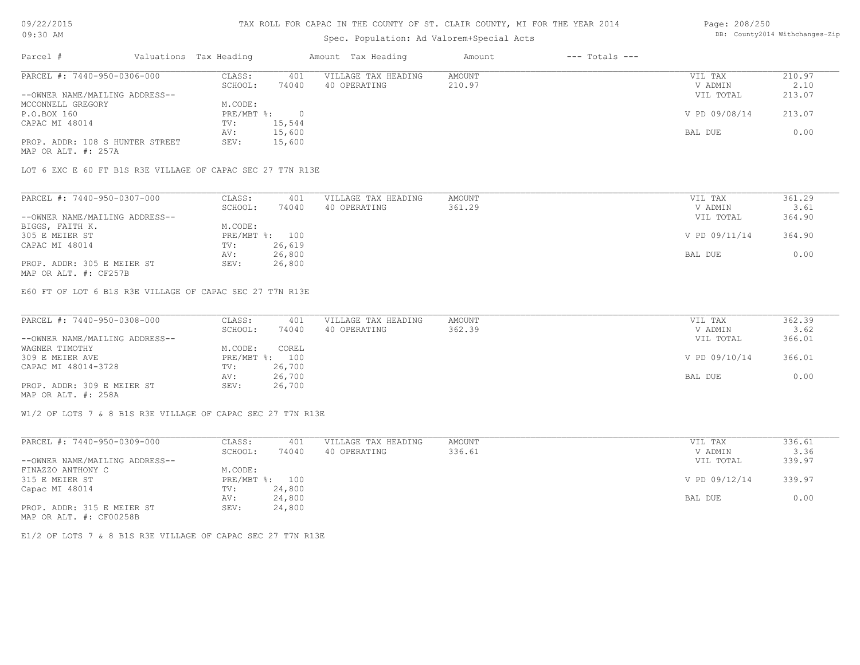### TAX ROLL FOR CAPAC IN THE COUNTY OF ST. CLAIR COUNTY, MI FOR THE YEAR 2014

# Spec. Population: Ad Valorem+Special Acts

| Parcel #                        | Valuations Tax Heading |        | Amount Tax Heading  | Amount | $---$ Totals $---$ |               |        |
|---------------------------------|------------------------|--------|---------------------|--------|--------------------|---------------|--------|
| PARCEL #: 7440-950-0306-000     | CLASS:                 | 401    | VILLAGE TAX HEADING | AMOUNT |                    | VIL TAX       | 210.97 |
|                                 | SCHOOL:                | 74040  | 40 OPERATING        | 210.97 |                    | V ADMIN       | 2.10   |
| --OWNER NAME/MAILING ADDRESS--  |                        |        |                     |        |                    | VIL TOTAL     | 213.07 |
| MCCONNELL GREGORY               | M.CODE:                |        |                     |        |                    |               |        |
| P.O.BOX 160                     | $PRE/MBT$ %:           |        |                     |        |                    | V PD 09/08/14 | 213.07 |
| CAPAC MI 48014                  | TV:                    | 15,544 |                     |        |                    |               |        |
|                                 | AV:                    | 15,600 |                     |        |                    | BAL DUE       | 0.00   |
| PROP. ADDR: 108 S HUNTER STREET | SEV:                   | 15,600 |                     |        |                    |               |        |
| MAD OD AIT # • 2578             |                        |        |                     |        |                    |               |        |

MAP OR ALT. #: 257A

LOT 6 EXC E 60 FT B1S R3E VILLAGE OF CAPAC SEC 27 T7N R13E

| PARCEL #: 7440-950-0307-000    | CLASS:  | 401            | VILLAGE TAX HEADING | AMOUNT | VIL TAX       | 361.29 |
|--------------------------------|---------|----------------|---------------------|--------|---------------|--------|
|                                | SCHOOL: | 74040          | 40 OPERATING        | 361.29 | V ADMIN       | 3.61   |
| --OWNER NAME/MAILING ADDRESS-- |         |                |                     |        | VIL TOTAL     | 364.90 |
| BIGGS, FAITH K.                | M.CODE: |                |                     |        |               |        |
| 305 E MEIER ST                 |         | PRE/MBT %: 100 |                     |        | V PD 09/11/14 | 364.90 |
| CAPAC MI 48014                 | TV:     | 26,619         |                     |        |               |        |
|                                | AV:     | 26,800         |                     |        | BAL DUE       | 0.00   |
| PROP. ADDR: 305 E MEIER ST     | SEV:    | 26,800         |                     |        |               |        |
|                                |         |                |                     |        |               |        |

MAP OR ALT. #: CF257B

E60 FT OF LOT 6 B1S R3E VILLAGE OF CAPAC SEC 27 T7N R13E

| PARCEL #: 7440-950-0308-000    | CLASS:  | 401            | VILLAGE TAX HEADING | AMOUNT | VIL TAX       | 362.39 |
|--------------------------------|---------|----------------|---------------------|--------|---------------|--------|
|                                | SCHOOL: | 74040          | 40 OPERATING        | 362.39 | V ADMIN       | 3.62   |
| --OWNER NAME/MAILING ADDRESS-- |         |                |                     |        | VIL TOTAL     | 366.01 |
| WAGNER TIMOTHY                 | M.CODE: | COREL          |                     |        |               |        |
| 309 E MEIER AVE                |         | PRE/MBT %: 100 |                     |        | V PD 09/10/14 | 366.01 |
| CAPAC MI 48014-3728            | TV:     | 26,700         |                     |        |               |        |
|                                | AV:     | 26,700         |                     |        | BAL DUE       | 0.00   |
| PROP. ADDR: 309 E MEIER ST     | SEV:    | 26,700         |                     |        |               |        |
| MAP OR ALT. #: 258A            |         |                |                     |        |               |        |

W1/2 OF LOTS 7 & 8 B1S R3E VILLAGE OF CAPAC SEC 27 T7N R13E

| PARCEL #: 7440-950-0309-000    | CLASS:       | 401    | VILLAGE TAX HEADING | AMOUNT | VIL TAX       | 336.61 |
|--------------------------------|--------------|--------|---------------------|--------|---------------|--------|
|                                | SCHOOL:      | 74040  | 40 OPERATING        | 336.61 | V ADMIN       | 3.36   |
| --OWNER NAME/MAILING ADDRESS-- |              |        |                     |        | VIL TOTAL     | 339.97 |
| FINAZZO ANTHONY C              | M.CODE:      |        |                     |        |               |        |
| 315 E MEIER ST                 | $PRE/MBT$ %: | 100    |                     |        | V PD 09/12/14 | 339.97 |
| Capac MI 48014                 | TV:          | 24,800 |                     |        |               |        |
|                                | AV:          | 24,800 |                     |        | BAL DUE       | 0.00   |
| PROP. ADDR: 315 E MEIER ST     | SEV:         | 24,800 |                     |        |               |        |
| MAP OR ALT. #: CF00258B        |              |        |                     |        |               |        |

E1/2 OF LOTS 7 & 8 B1S R3E VILLAGE OF CAPAC SEC 27 T7N R13E

Page: 208/250 DB: County2014 Withchanges-Zip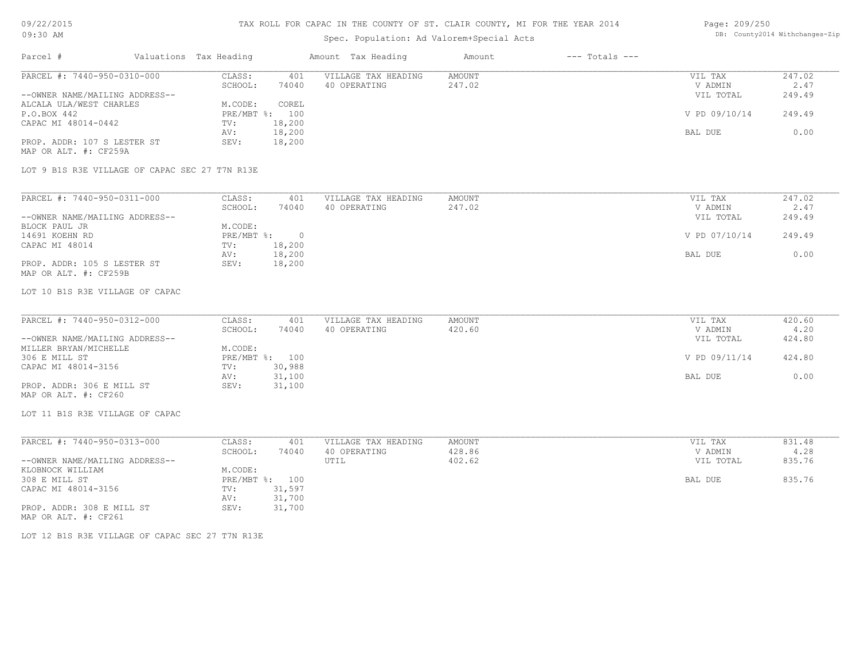# Spec. Population: Ad Valorem+Special Acts

#### Page: 209/250 DB: County2014 Withchanges-Zip

| Parcel #                                       | Valuations Tax Heading |                      | Amount Tax Heading  | Amount | $---$ Totals $---$ |               |                      |
|------------------------------------------------|------------------------|----------------------|---------------------|--------|--------------------|---------------|----------------------|
| PARCEL #: 7440-950-0310-000                    | CLASS:                 | 401                  | VILLAGE TAX HEADING | AMOUNT |                    | VIL TAX       | 247.02               |
|                                                | SCHOOL:                | 74040                | 40 OPERATING        | 247.02 |                    | V ADMIN       | 2.47                 |
| --OWNER NAME/MAILING ADDRESS--                 |                        |                      |                     |        |                    | VIL TOTAL     | 249.49               |
| ALCALA ULA/WEST CHARLES                        | M.CODE:                | COREL                |                     |        |                    |               |                      |
| P.O.BOX 442                                    |                        | PRE/MBT %: 100       |                     |        |                    | V PD 09/10/14 | 249.49               |
| CAPAC MI 48014-0442                            | TV:                    | 18,200               |                     |        |                    |               |                      |
|                                                | AV:                    | 18,200               |                     |        |                    | BAL DUE       | 0.00                 |
| PROP. ADDR: 107 S LESTER ST                    | SEV:                   | 18,200               |                     |        |                    |               |                      |
| MAP OR ALT. #: CF259A                          |                        |                      |                     |        |                    |               |                      |
|                                                |                        |                      |                     |        |                    |               |                      |
| LOT 9 B1S R3E VILLAGE OF CAPAC SEC 27 T7N R13E |                        |                      |                     |        |                    |               |                      |
|                                                |                        |                      |                     |        |                    |               |                      |
|                                                |                        | $\sim$ $\sim$ $\sim$ |                     |        |                    | ---- - ---    | $\sim$ $\sim$ $\sim$ |

| PARCEL #: 7440-950-0311-000    | CLASS:       | 401    | VILLAGE TAX HEADING | AMOUNT | VIL TAX       | 247.02 |
|--------------------------------|--------------|--------|---------------------|--------|---------------|--------|
|                                | SCHOOL:      | 74040  | 40 OPERATING        | 247.02 | V ADMIN       | 2.47   |
| --OWNER NAME/MAILING ADDRESS-- |              |        |                     |        | VIL TOTAL     | 249.49 |
| BLOCK PAUL JR                  | M.CODE:      |        |                     |        |               |        |
| 14691 KOEHN RD                 | $PRE/MBT$ %: | $\Box$ |                     |        | V PD 07/10/14 | 249.49 |
| CAPAC MI 48014                 | TV:          | 18,200 |                     |        |               |        |
|                                | AV:          | 18,200 |                     |        | BAL DUE       | 0.00   |
| PROP. ADDR: 105 S LESTER ST    | SEV:         | 18,200 |                     |        |               |        |
| MAP OR ALT. #: CF259B          |              |        |                     |        |               |        |

### LOT 10 B1S R3E VILLAGE OF CAPAC

| PARCEL #: 7440-950-0312-000    | CLASS:  | 401            | VILLAGE TAX HEADING | AMOUNT | VIL TAX       | 420.60 |
|--------------------------------|---------|----------------|---------------------|--------|---------------|--------|
|                                | SCHOOL: | 74040          | 40 OPERATING        | 420.60 | V ADMIN       | 4.20   |
| --OWNER NAME/MAILING ADDRESS-- |         |                |                     |        | VIL TOTAL     | 424.80 |
| MILLER BRYAN/MICHELLE          | M.CODE: |                |                     |        |               |        |
| 306 E MILL ST                  |         | PRE/MBT %: 100 |                     |        | V PD 09/11/14 | 424.80 |
| CAPAC MI 48014-3156            | TV:     | 30,988         |                     |        |               |        |
|                                | AV:     | 31,100         |                     |        | BAL DUE       | 0.00   |
| PROP. ADDR: 306 E MILL ST      | SEV:    | 31,100         |                     |        |               |        |
| MAP OR ALT. #: CF260           |         |                |                     |        |               |        |

### LOT 11 B1S R3E VILLAGE OF CAPAC

| PARCEL #: 7440-950-0313-000    | CLASS:       | 401    | VILLAGE TAX HEADING | AMOUNT | VIL TAX   | 831.48 |
|--------------------------------|--------------|--------|---------------------|--------|-----------|--------|
|                                | SCHOOL:      | 74040  | 40 OPERATING        | 428.86 | V ADMIN   | 4.28   |
| --OWNER NAME/MAILING ADDRESS-- |              |        | UTIL                | 402.62 | VIL TOTAL | 835.76 |
| KLOBNOCK WILLIAM               | M.CODE:      |        |                     |        |           |        |
| 308 E MILL ST                  | $PRE/MBT$ %: | 100    |                     |        | BAL DUE   | 835.76 |
| CAPAC MI 48014-3156            | TV:          | 31,597 |                     |        |           |        |
|                                | AV:          | 31,700 |                     |        |           |        |
| PROP. ADDR: 308 E MILL ST      | SEV:         | 31,700 |                     |        |           |        |
| MAP OR ALT. #: CF261           |              |        |                     |        |           |        |

LOT 12 B1S R3E VILLAGE OF CAPAC SEC 27 T7N R13E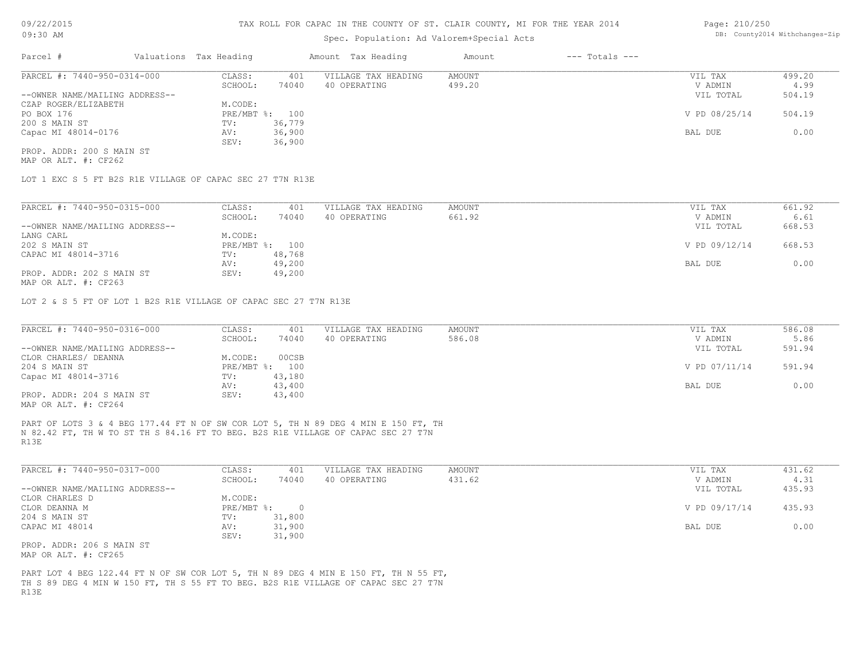### Spec. Population: Ad Valorem+Special Acts

#### Page: 210/250 DB: County2014 Withchanges-Zip

| Parcel #                       |  | Valuations Tax Heading |        | Amount Tax Heading  | Amount | $---$ Totals $---$ |               |        |
|--------------------------------|--|------------------------|--------|---------------------|--------|--------------------|---------------|--------|
| PARCEL #: 7440-950-0314-000    |  | CLASS:                 | 401    | VILLAGE TAX HEADING | AMOUNT |                    | VIL TAX       | 499.20 |
|                                |  | SCHOOL:                | 74040  | 40 OPERATING        | 499.20 |                    | V ADMIN       | 4.99   |
| --OWNER NAME/MAILING ADDRESS-- |  |                        |        |                     |        |                    | VIL TOTAL     | 504.19 |
| CZAP ROGER/ELIZABETH           |  | M.CODE:                |        |                     |        |                    |               |        |
| PO BOX 176                     |  | PRE/MBT %: 100         |        |                     |        |                    | V PD 08/25/14 | 504.19 |
| 200 S MAIN ST                  |  | TV:                    | 36,779 |                     |        |                    |               |        |
| Capac MI 48014-0176            |  | AV:                    | 36,900 |                     |        |                    | BAL DUE       | 0.00   |
|                                |  | SEV:                   | 36,900 |                     |        |                    |               |        |
| PROP. ADDR: 200 S MAIN ST      |  |                        |        |                     |        |                    |               |        |

MAP OR ALT. #: CF262

LOT 1 EXC S 5 FT B2S R1E VILLAGE OF CAPAC SEC 27 T7N R13E

| PARCEL #: 7440-950-0315-000                  | CLASS:     | 401    | VILLAGE TAX HEADING | AMOUNT | VIL TAX       | 661.92 |
|----------------------------------------------|------------|--------|---------------------|--------|---------------|--------|
|                                              | SCHOOL:    | 74040  | 40 OPERATING        | 661.92 | V ADMIN       | 6.61   |
| --OWNER NAME/MAILING ADDRESS--               |            |        |                     |        | VIL TOTAL     | 668.53 |
| LANG CARL                                    | M.CODE:    |        |                     |        |               |        |
| 202 S MAIN ST                                | PRE/MBT %: | 100    |                     |        | V PD 09/12/14 | 668.53 |
| CAPAC MI 48014-3716                          | TV:        | 48,768 |                     |        |               |        |
|                                              | AV:        | 49,200 |                     |        | BAL DUE       | 0.00   |
| PROP. ADDR: 202 S MAIN ST                    | SEV:       | 49,200 |                     |        |               |        |
| $\cdots$ $\cdots$ $\cdots$ $\cdots$ $\cdots$ |            |        |                     |        |               |        |

MAP OR ALT. #: CF263

LOT 2 & S 5 FT OF LOT 1 B2S R1E VILLAGE OF CAPAC SEC 27 T7N R13E

| PARCEL #: 7440-950-0316-000    | CLASS:  | 401            | VILLAGE TAX HEADING | AMOUNT | VIL TAX       | 586.08 |
|--------------------------------|---------|----------------|---------------------|--------|---------------|--------|
|                                | SCHOOL: | 74040          | 40 OPERATING        | 586.08 | V ADMIN       | 5.86   |
| --OWNER NAME/MAILING ADDRESS-- |         |                |                     |        | VIL TOTAL     | 591.94 |
| CLOR CHARLES/ DEANNA           | M.CODE: | 00CSB          |                     |        |               |        |
| 204 S MAIN ST                  |         | PRE/MBT %: 100 |                     |        | V PD 07/11/14 | 591.94 |
| Capac MI 48014-3716            | TV:     | 43,180         |                     |        |               |        |
|                                | AV:     | 43,400         |                     |        | BAL DUE       | 0.00   |
| PROP. ADDR: 204 S MAIN ST      | SEV:    | 43,400         |                     |        |               |        |
| MAP OR ALT. #: CF264           |         |                |                     |        |               |        |

R13E N 82.42 FT, TH W TO ST TH S 84.16 FT TO BEG. B2S R1E VILLAGE OF CAPAC SEC 27 T7N PART OF LOTS 3 & 4 BEG 177.44 FT N OF SW COR LOT 5, TH N 89 DEG 4 MIN E 150 FT, TH

| PARCEL #: 7440-950-0317-000    | CLASS:       | 401    | VILLAGE TAX HEADING | AMOUNT | VIL TAX       | 431.62 |
|--------------------------------|--------------|--------|---------------------|--------|---------------|--------|
|                                | SCHOOL:      | 74040  | 40 OPERATING        | 431.62 | V ADMIN       | 4.31   |
| --OWNER NAME/MAILING ADDRESS-- |              |        |                     |        | VIL TOTAL     | 435.93 |
| CLOR CHARLES D                 | M.CODE:      |        |                     |        |               |        |
| CLOR DEANNA M                  | $PRE/MBT$ %: |        |                     |        | V PD 09/17/14 | 435.93 |
| 204 S MAIN ST                  | TV:          | 31,800 |                     |        |               |        |
| CAPAC MI 48014                 | AV:          | 31,900 |                     |        | BAL DUE       | 0.00   |
|                                | SEV:         | 31,900 |                     |        |               |        |
| PROP. ADDR: 206 S MAIN ST      |              |        |                     |        |               |        |

MAP OR ALT. #: CF265

R13E TH S 89 DEG 4 MIN W 150 FT, TH S 55 FT TO BEG. B2S R1E VILLAGE OF CAPAC SEC 27 T7N PART LOT 4 BEG 122.44 FT N OF SW COR LOT 5, TH N 89 DEG 4 MIN E 150 FT, TH N 55 FT,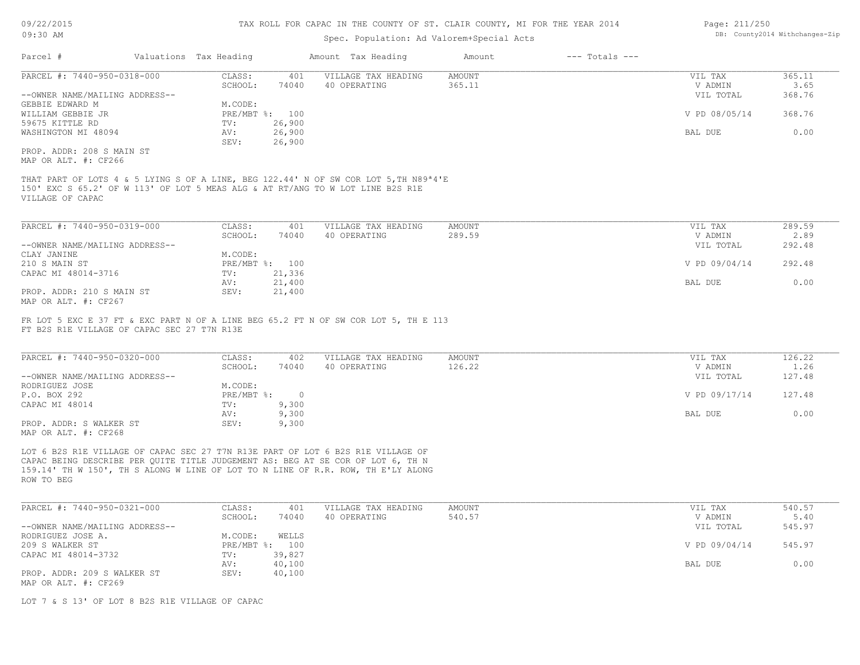# Spec. Population: Ad Valorem+Special Acts

| Page: 211/250 |                                |
|---------------|--------------------------------|
|               | DB: County2014 Withchanges-Zip |

| Parcel #                                                                                       | Valuations Tax Heading |                    |                            | Amount Tax Heading                                                                                                                                                                 | Amount                  | $---$ Totals $---$ |                                 |                          |
|------------------------------------------------------------------------------------------------|------------------------|--------------------|----------------------------|------------------------------------------------------------------------------------------------------------------------------------------------------------------------------------|-------------------------|--------------------|---------------------------------|--------------------------|
| PARCEL #: 7440-950-0318-000<br>--OWNER NAME/MAILING ADDRESS--                                  |                        | CLASS:<br>SCHOOL:  | 401<br>74040               | VILLAGE TAX HEADING<br>40 OPERATING                                                                                                                                                | AMOUNT<br>365.11        |                    | VIL TAX<br>V ADMIN<br>VIL TOTAL | 365.11<br>3.65<br>368.76 |
| GEBBIE EDWARD M<br>WILLIAM GEBBIE JR                                                           |                        | M.CODE:            | PRE/MBT %: 100             |                                                                                                                                                                                    |                         |                    | V PD 08/05/14                   | 368.76                   |
| 59675 KITTLE RD<br>WASHINGTON MI 48094                                                         |                        | TV:<br>AV:<br>SEV: | 26,900<br>26,900           |                                                                                                                                                                                    |                         |                    | BAL DUE                         | 0.00                     |
| PROP. ADDR: 208 S MAIN ST<br>MAP OR ALT. #: CF266                                              |                        |                    | 26,900                     |                                                                                                                                                                                    |                         |                    |                                 |                          |
| VILLAGE OF CAPAC                                                                               |                        |                    |                            | THAT PART OF LOTS 4 & 5 LYING S OF A LINE, BEG 122.44' N OF SW COR LOT 5, TH N89 <sup>a4'E</sup><br>150' EXC S 65.2' OF W 113' OF LOT 5 MEAS ALG & AT RT/ANG TO W LOT LINE B2S R1E |                         |                    |                                 |                          |
| PARCEL #: 7440-950-0319-000                                                                    |                        | CLASS:             | 401                        | VILLAGE TAX HEADING                                                                                                                                                                | <b>AMOUNT</b>           |                    | VIL TAX                         | 289.59                   |
| --OWNER NAME/MAILING ADDRESS--                                                                 |                        | SCHOOL:            | 74040                      | 40 OPERATING                                                                                                                                                                       | 289.59                  |                    | V ADMIN<br>VIL TOTAL            | 2.89<br>292.48           |
| CLAY JANINE<br>210 S MAIN ST                                                                   |                        | M.CODE:            | PRE/MBT %: 100             |                                                                                                                                                                                    |                         |                    | V PD 09/04/14                   | 292.48                   |
| CAPAC MI 48014-3716                                                                            |                        | TV:<br>AV:         | 21,336<br>21,400           |                                                                                                                                                                                    |                         |                    | BAL DUE                         | 0.00                     |
| PROP. ADDR: 210 S MAIN ST<br>MAP OR ALT. #: CF267                                              |                        | SEV:               | 21,400                     |                                                                                                                                                                                    |                         |                    |                                 |                          |
| FT B2S R1E VILLAGE OF CAPAC SEC 27 T7N R13E<br>PARCEL #: 7440-950-0320-000                     |                        | CLASS:<br>SCHOOL:  | 402<br>74040               | FR LOT 5 EXC E 37 FT & EXC PART N OF A LINE BEG 65.2 FT N OF SW COR LOT 5, TH E 113<br>VILLAGE TAX HEADING<br>40 OPERATING                                                         | <b>AMOUNT</b><br>126.22 |                    | VIL TAX<br>V ADMIN              | 126.22<br>1.26           |
| --OWNER NAME/MAILING ADDRESS--<br>RODRIGUEZ JOSE                                               |                        | M.CODE:            |                            |                                                                                                                                                                                    |                         |                    | VIL TOTAL                       | 127.48                   |
| P.O. BOX 292<br>CAPAC MI 48014                                                                 |                        | TV:                | PRE/MBT %: 0<br>9,300      |                                                                                                                                                                                    |                         |                    | V PD 09/17/14                   | 127.48                   |
| PROP. ADDR: S WALKER ST                                                                        |                        | AV:<br>SEV:        | 9,300<br>9,300             |                                                                                                                                                                                    |                         |                    | BAL DUE                         | 0.00                     |
| MAP OR ALT. #: CF268                                                                           |                        |                    |                            | LOT 6 B2S R1E VILLAGE OF CAPAC SEC 27 T7N R13E PART OF LOT 6 B2S R1E VILLAGE OF<br>CAPAC BEING DESCRIBE PER QUITE TITLE JUDGEMENT AS: BEG AT SE COR OF LOT 6, TH N                 |                         |                    |                                 |                          |
| 159.14' TH W 150', TH S ALONG W LINE OF LOT TO N LINE OF R.R. ROW, TH E'LY ALONG<br>ROW TO BEG |                        |                    |                            |                                                                                                                                                                                    |                         |                    |                                 |                          |
| PARCEL #: 7440-950-0321-000                                                                    |                        | CLASS:             | 401                        | VILLAGE TAX HEADING                                                                                                                                                                | <b>AMOUNT</b>           |                    | VIL TAX                         | 540.57                   |
| --OWNER NAME/MAILING ADDRESS--                                                                 |                        | SCHOOL:            | 74040                      | 40 OPERATING                                                                                                                                                                       | 540.57                  |                    | V ADMIN<br>VIL TOTAL            | 5.40<br>545.97           |
| RODRIGUEZ JOSE A.<br>209 S WALKER ST                                                           |                        | M.CODE:            | WELLS<br>PRE/MBT %: 100    |                                                                                                                                                                                    |                         |                    | V PD 09/04/14                   | 545.97                   |
| CAPAC MI 48014-3732<br>PROP. ADDR: 209 S WALKER ST<br>MAP OR ALT. #: CF269                     |                        | TV:<br>AV:<br>SEV: | 39,827<br>40,100<br>40,100 |                                                                                                                                                                                    |                         |                    | BAL DUE                         | 0.00                     |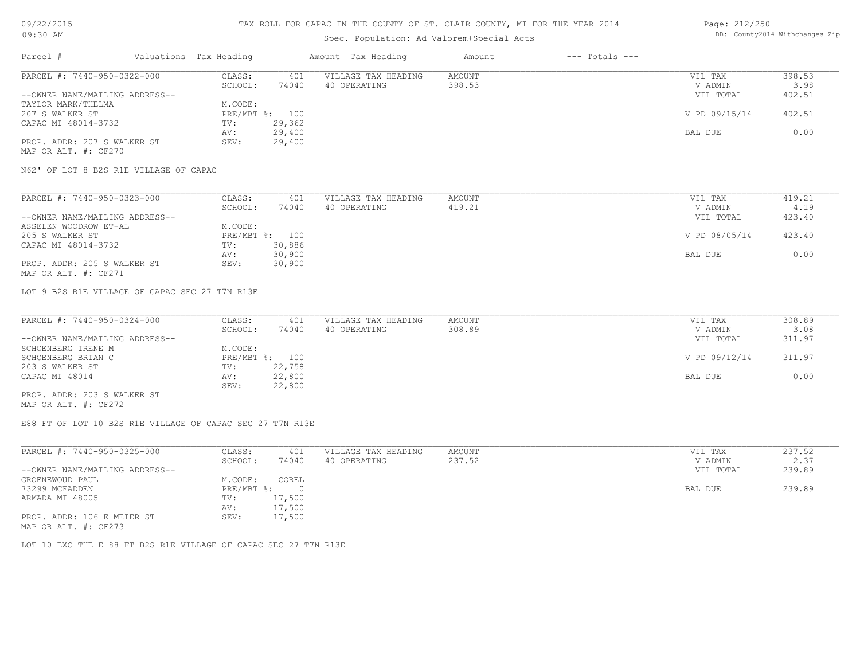### TAX ROLL FOR CAPAC IN THE COUNTY OF ST. CLAIR COUNTY, MI FOR THE YEAR 2014

# Spec. Population: Ad Valorem+Special Acts

### Page: 212/250 DB: County2014 Withchanges-Zip

| Parcel #                       | Valuations Tax Heading |        | Amount Tax Heading  | Amount | $---$ Totals $---$ |               |        |
|--------------------------------|------------------------|--------|---------------------|--------|--------------------|---------------|--------|
| PARCEL #: 7440-950-0322-000    | CLASS:                 | 401    | VILLAGE TAX HEADING | AMOUNT |                    | VIL TAX       | 398.53 |
|                                | SCHOOL:                | 74040  | 40 OPERATING        | 398.53 |                    | V ADMIN       | 3.98   |
| --OWNER NAME/MAILING ADDRESS-- |                        |        |                     |        |                    | VIL TOTAL     | 402.51 |
| TAYLOR MARK/THELMA             | M.CODE:                |        |                     |        |                    |               |        |
| 207 S WALKER ST                | PRE/MBT %: 100         |        |                     |        |                    | V PD 09/15/14 | 402.51 |
| CAPAC MI 48014-3732            | TV:                    | 29,362 |                     |        |                    |               |        |
|                                | AV:                    | 29,400 |                     |        |                    | BAL DUE       | 0.00   |
| PROP. ADDR: 207 S WALKER ST    | SEV:                   | 29,400 |                     |        |                    |               |        |
|                                |                        |        |                     |        |                    |               |        |

MAP OR ALT. #: CF270

N62' OF LOT 8 B2S R1E VILLAGE OF CAPAC

| PARCEL #: 7440-950-0323-000    | CLASS:  | 401            | VILLAGE TAX HEADING | AMOUNT | VIL TAX       | 419.21 |
|--------------------------------|---------|----------------|---------------------|--------|---------------|--------|
|                                | SCHOOL: | 74040          | 40 OPERATING        | 419.21 | V ADMIN       | 4.19   |
| --OWNER NAME/MAILING ADDRESS-- |         |                |                     |        | VIL TOTAL     | 423.40 |
| ASSELEN WOODROW ET-AL          | M.CODE: |                |                     |        |               |        |
| 205 S WALKER ST                |         | PRE/MBT %: 100 |                     |        | V PD 08/05/14 | 423.40 |
| CAPAC MI 48014-3732            | TV:     | 30,886         |                     |        |               |        |
|                                | AV:     | 30,900         |                     |        | BAL DUE       | 0.00   |
| PROP. ADDR: 205 S WALKER ST    | SEV:    | 30,900         |                     |        |               |        |
| MAP OR ALT. #: CF271           |         |                |                     |        |               |        |

LOT 9 B2S R1E VILLAGE OF CAPAC SEC 27 T7N R13E

| PARCEL #: 7440-950-0324-000    | CLASS:  | 401            | VILLAGE TAX HEADING | AMOUNT | VIL TAX       | 308.89 |
|--------------------------------|---------|----------------|---------------------|--------|---------------|--------|
|                                | SCHOOL: | 74040          | 40 OPERATING        | 308.89 | V ADMIN       | 3.08   |
| --OWNER NAME/MAILING ADDRESS-- |         |                |                     |        | VIL TOTAL     | 311.97 |
| SCHOENBERG IRENE M             | M.CODE: |                |                     |        |               |        |
| SCHOENBERG BRIAN C             |         | PRE/MBT %: 100 |                     |        | V PD 09/12/14 | 311.97 |
| 203 S WALKER ST                | TV:     | 22,758         |                     |        |               |        |
| CAPAC MI 48014                 | AV:     | 22,800         |                     |        | BAL DUE       | 0.00   |
|                                | SEV:    | 22,800         |                     |        |               |        |
| PROP. ADDR: 203 S WALKER ST    |         |                |                     |        |               |        |

MAP OR ALT. #: CF272

E88 FT OF LOT 10 B2S R1E VILLAGE OF CAPAC SEC 27 T7N R13E

| PARCEL #: 7440-950-0325-000    | CLASS:     | 401    | VILLAGE TAX HEADING | AMOUNT | VIL TAX   | 237.52 |
|--------------------------------|------------|--------|---------------------|--------|-----------|--------|
|                                | SCHOOL:    | 74040  | 40 OPERATING        | 237.52 | V ADMIN   | 2.37   |
| --OWNER NAME/MAILING ADDRESS-- |            |        |                     |        | VIL TOTAL | 239.89 |
| GROENEWOUD PAUL                | M.CODE:    | COREL  |                     |        |           |        |
| 73299 MCFADDEN                 | PRE/MBT %: |        |                     |        | BAL DUE   | 239.89 |
| ARMADA MI 48005                | TV:        | 17,500 |                     |        |           |        |
|                                | AV:        | 17,500 |                     |        |           |        |
| PROP. ADDR: 106 E MEIER ST     | SEV:       | 17,500 |                     |        |           |        |
| MAP OR ALT. #: CF273           |            |        |                     |        |           |        |

LOT 10 EXC THE E 88 FT B2S R1E VILLAGE OF CAPAC SEC 27 T7N R13E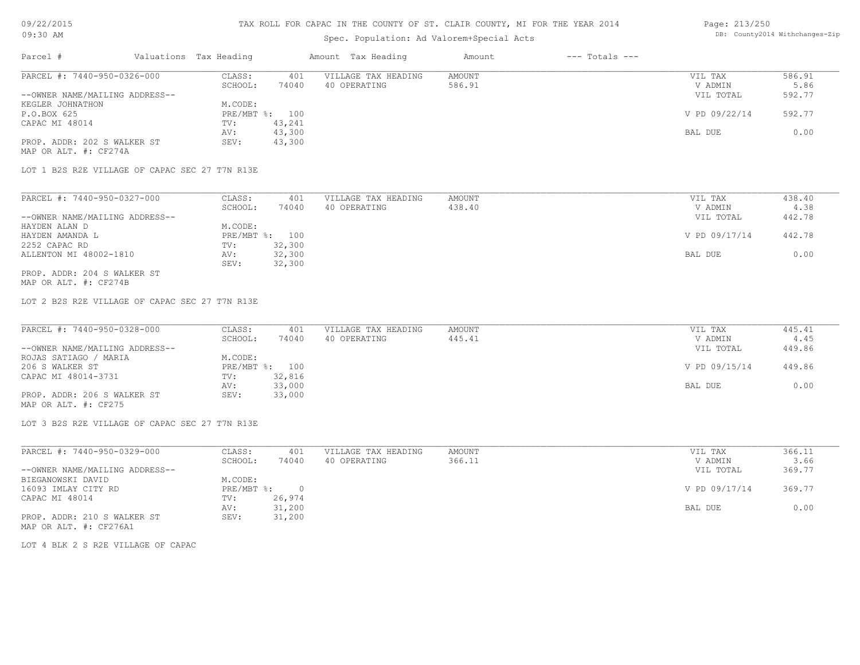# Spec. Population: Ad Valorem+Special Acts

#### Page: 213/250 DB: County2014 Withchanges-Zip

| Parcel #                       | Valuations Tax Heading |        | Amount Tax Heading  | Amount | $---$ Totals $---$ |               |        |
|--------------------------------|------------------------|--------|---------------------|--------|--------------------|---------------|--------|
| PARCEL #: 7440-950-0326-000    | CLASS:                 | 401    | VILLAGE TAX HEADING | AMOUNT |                    | VIL TAX       | 586.91 |
|                                | SCHOOL:                | 74040  | 40 OPERATING        | 586.91 |                    | V ADMIN       | 5.86   |
| --OWNER NAME/MAILING ADDRESS-- |                        |        |                     |        |                    | VIL TOTAL     | 592.77 |
| KEGLER JOHNATHON               | M.CODE:                |        |                     |        |                    |               |        |
| P.O.BOX 625                    | $PRE/MBT$ %:           | 100    |                     |        |                    | V PD 09/22/14 | 592.77 |
| CAPAC MI 48014                 | TV:                    | 43,241 |                     |        |                    |               |        |
|                                | AV:                    | 43,300 |                     |        |                    | BAL DUE       | 0.00   |
| PROP. ADDR: 202 S WALKER ST    | SEV:                   | 43,300 |                     |        |                    |               |        |
| MAP OR ALT. #: CF274A          |                        |        |                     |        |                    |               |        |

LOT 1 B2S R2E VILLAGE OF CAPAC SEC 27 T7N R13E

| PARCEL #: 7440-950-0327-000    | CLASS:  | 401            | VILLAGE TAX HEADING | AMOUNT | VIL TAX       | 438.40 |
|--------------------------------|---------|----------------|---------------------|--------|---------------|--------|
|                                | SCHOOL: | 74040          | 40 OPERATING        | 438.40 | V ADMIN       | 4.38   |
| --OWNER NAME/MAILING ADDRESS-- |         |                |                     |        | VIL TOTAL     | 442.78 |
| HAYDEN ALAN D                  | M.CODE: |                |                     |        |               |        |
| HAYDEN AMANDA L                |         | PRE/MBT %: 100 |                     |        | V PD 09/17/14 | 442.78 |
| 2252 CAPAC RD                  | TV:     | 32,300         |                     |        |               |        |
| ALLENTON MI 48002-1810         | AV:     | 32,300         |                     |        | BAL DUE       | 0.00   |
|                                | SEV:    | 32,300         |                     |        |               |        |
| PROP. ADDR: 204 S WALKER ST    |         |                |                     |        |               |        |

MAP OR ALT. #: CF274B

LOT 2 B2S R2E VILLAGE OF CAPAC SEC 27 T7N R13E

| PARCEL #: 7440-950-0328-000    | CLASS:  | 401            | VILLAGE TAX HEADING | AMOUNT | VIL TAX       | 445.41 |
|--------------------------------|---------|----------------|---------------------|--------|---------------|--------|
|                                | SCHOOL: | 74040          | 40 OPERATING        | 445.41 | V ADMIN       | 4.45   |
| --OWNER NAME/MAILING ADDRESS-- |         |                |                     |        | VIL TOTAL     | 449.86 |
| ROJAS SATIAGO / MARIA          | M.CODE: |                |                     |        |               |        |
| 206 S WALKER ST                |         | PRE/MBT %: 100 |                     |        | V PD 09/15/14 | 449.86 |
| CAPAC MI 48014-3731            | TV:     | 32,816         |                     |        |               |        |
|                                | AV:     | 33,000         |                     |        | BAL DUE       | 0.00   |
| PROP. ADDR: 206 S WALKER ST    | SEV:    | 33,000         |                     |        |               |        |
| MAP OR ALT. #: CF275           |         |                |                     |        |               |        |

LOT 3 B2S R2E VILLAGE OF CAPAC SEC 27 T7N R13E

| PARCEL #: 7440-950-0329-000    | CLASS:       | 401    | VILLAGE TAX HEADING | AMOUNT | VIL TAX       | 366.11 |
|--------------------------------|--------------|--------|---------------------|--------|---------------|--------|
|                                | SCHOOL:      | 74040  | 40 OPERATING        | 366.11 | V ADMIN       | 3.66   |
| --OWNER NAME/MAILING ADDRESS-- |              |        |                     |        | VIL TOTAL     | 369.77 |
| BIEGANOWSKI DAVID              | M.CODE:      |        |                     |        |               |        |
| 16093 IMLAY CITY RD            | $PRE/MBT$ %: |        |                     |        | V PD 09/17/14 | 369.77 |
| CAPAC MI 48014                 | TV:          | 26,974 |                     |        |               |        |
|                                | AV:          | 31,200 |                     |        | BAL DUE       | 0.00   |
| PROP. ADDR: 210 S WALKER ST    | SEV:         | 31,200 |                     |        |               |        |
| MAP OR ALT. #: CF276A1         |              |        |                     |        |               |        |

LOT 4 BLK 2 S R2E VILLAGE OF CAPAC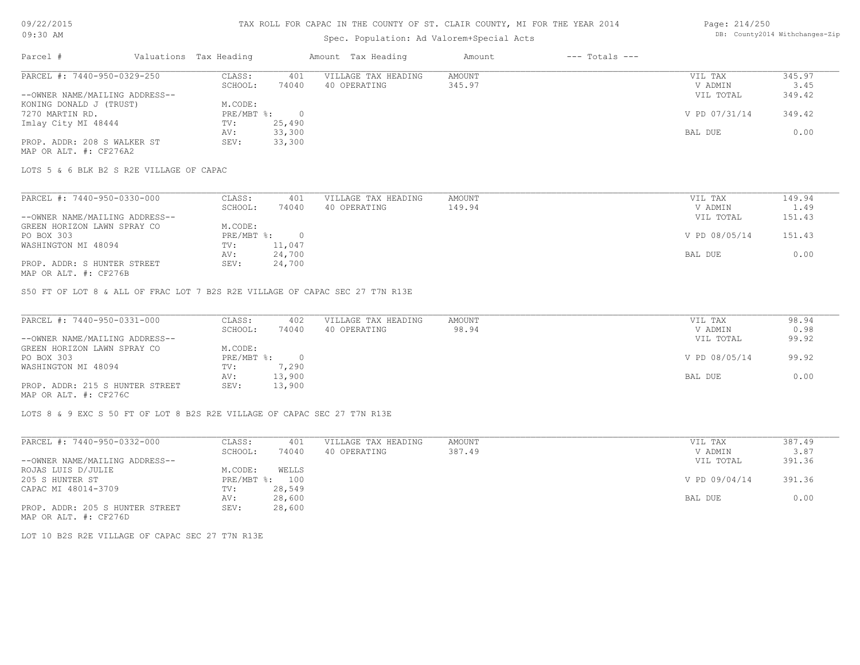# TAX ROLL FOR CAPAC IN THE COUNTY OF ST. CLAIR COUNTY, MI FOR THE YEAR 2014

# Spec. Population: Ad Valorem+Special Acts

#### Page: 214/250 DB: County2014 Withchanges-Zip

| Parcel #                       | Valuations Tax Heading |        | Amount Tax Heading  | Amount | $---$ Totals $---$ |               |        |
|--------------------------------|------------------------|--------|---------------------|--------|--------------------|---------------|--------|
| PARCEL #: 7440-950-0329-250    | CLASS:                 | 401    | VILLAGE TAX HEADING | AMOUNT |                    | VIL TAX       | 345.97 |
|                                | SCHOOL:                | 74040  | 40 OPERATING        | 345.97 |                    | V ADMIN       | 3.45   |
| --OWNER NAME/MAILING ADDRESS-- |                        |        |                     |        |                    | VIL TOTAL     | 349.42 |
| KONING DONALD J (TRUST)        | M.CODE:                |        |                     |        |                    |               |        |
| 7270 MARTIN RD.                | PRE/MBT %:             |        |                     |        |                    | V PD 07/31/14 | 349.42 |
| Imlay City MI 48444            | TV:                    | 25,490 |                     |        |                    |               |        |
|                                | AV:                    | 33,300 |                     |        |                    | BAL DUE       | 0.00   |
| PROP. ADDR: 208 S WALKER ST    | SEV:                   | 33,300 |                     |        |                    |               |        |
| MAP OR ALT. #: CF276A2         |                        |        |                     |        |                    |               |        |

LOTS 5 & 6 BLK B2 S R2E VILLAGE OF CAPAC

| PARCEL #: 7440-950-0330-000    | CLASS:     | 401    | VILLAGE TAX HEADING | AMOUNT | VIL TAX       | 149.94 |
|--------------------------------|------------|--------|---------------------|--------|---------------|--------|
|                                | SCHOOL:    | 74040  | 40 OPERATING        | 149.94 | V ADMIN       | 1.49   |
| --OWNER NAME/MAILING ADDRESS-- |            |        |                     |        | VIL TOTAL     | 151.43 |
| GREEN HORIZON LAWN SPRAY CO    | M.CODE:    |        |                     |        |               |        |
| PO BOX 303                     | PRE/MBT %: |        |                     |        | V PD 08/05/14 | 151.43 |
| WASHINGTON MI 48094            | TV:        | 11,047 |                     |        |               |        |
|                                | AV:        | 24,700 |                     |        | BAL DUE       | 0.00   |
| PROP. ADDR: S HUNTER STREET    | SEV:       | 24,700 |                     |        |               |        |
|                                |            |        |                     |        |               |        |

MAP OR ALT. #: CF276B

S50 FT OF LOT 8 & ALL OF FRAC LOT 7 B2S R2E VILLAGE OF CAPAC SEC 27 T7N R13E

| PARCEL #: 7440-950-0331-000     | CLASS:     | 402    | VILLAGE TAX HEADING | AMOUNT | VIL TAX       | 98.94 |
|---------------------------------|------------|--------|---------------------|--------|---------------|-------|
|                                 | SCHOOL:    | 74040  | 40 OPERATING        | 98.94  | V ADMIN       | 0.98  |
| --OWNER NAME/MAILING ADDRESS--  |            |        |                     |        | VIL TOTAL     | 99.92 |
| GREEN HORIZON LAWN SPRAY CO     | M.CODE:    |        |                     |        |               |       |
| PO BOX 303                      | PRE/MBT %: |        |                     |        | V PD 08/05/14 | 99.92 |
| WASHINGTON MI 48094             | TV:        | 7,290  |                     |        |               |       |
|                                 | AV:        | 13,900 |                     |        | BAL DUE       | 0.00  |
| PROP. ADDR: 215 S HUNTER STREET | SEV:       | 13,900 |                     |        |               |       |
| MAP OR ALT. #: CF276C           |            |        |                     |        |               |       |

LOTS 8 & 9 EXC S 50 FT OF LOT 8 B2S R2E VILLAGE OF CAPAC SEC 27 T7N R13E

| PARCEL #: 7440-950-0332-000     | CLASS:       | 401    | VILLAGE TAX HEADING | AMOUNT | VIL TAX       | 387.49 |
|---------------------------------|--------------|--------|---------------------|--------|---------------|--------|
|                                 | SCHOOL:      | 74040  | 40 OPERATING        | 387.49 | V ADMIN       | 3.87   |
| --OWNER NAME/MAILING ADDRESS--  |              |        |                     |        | VIL TOTAL     | 391.36 |
| ROJAS LUIS D/JULIE              | M.CODE:      | WELLS  |                     |        |               |        |
| 205 S HUNTER ST                 | $PRE/MBT$ %: | 100    |                     |        | V PD 09/04/14 | 391.36 |
| CAPAC MI 48014-3709             | TV:          | 28,549 |                     |        |               |        |
|                                 | AV:          | 28,600 |                     |        | BAL DUE       | 0.00   |
| PROP. ADDR: 205 S HUNTER STREET | SEV:         | 28,600 |                     |        |               |        |

MAP OR ALT. #: CF276D

LOT 10 B2S R2E VILLAGE OF CAPAC SEC 27 T7N R13E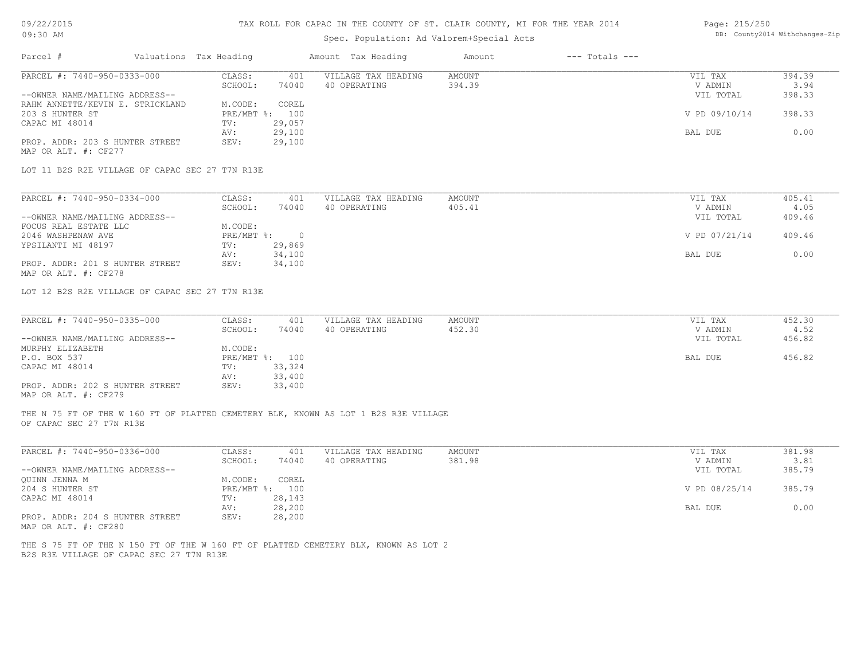#### TAX ROLL FOR CAPAC IN THE COUNTY OF ST. CLAIR COUNTY, MI FOR THE YEAR 2014 Page: 215/250

| Parcel #<br>Valuations Tax Heading<br>Amount Tax Heading<br>$---$ Totals $---$<br>Amount<br>PARCEL #: 7440-950-0333-000<br>CLASS:<br><b>AMOUNT</b><br>394.39<br>401<br>VILLAGE TAX HEADING<br>VIL TAX<br>3.94<br>SCHOOL:<br>74040<br>40 OPERATING<br>394.39<br>V ADMIN<br>398.33<br>--OWNER NAME/MAILING ADDRESS--<br>VIL TOTAL<br>RAHM ANNETTE/KEVIN E. STRICKLAND<br>M.CODE:<br>COREL<br>PRE/MBT %: 100<br>398.33<br>203 S HUNTER ST<br>V PD 09/10/14<br>CAPAC MI 48014<br>29,057<br>TV:<br>29,100<br>0.00<br>AV:<br>BAL DUE<br>PROP. ADDR: 203 S HUNTER STREET<br>SEV:<br>29,100<br>MAP OR ALT. #: CF277<br>LOT 11 B2S R2E VILLAGE OF CAPAC SEC 27 T7N R13E<br>PARCEL #: 7440-950-0334-000<br>405.41<br>CLASS:<br>401<br>VILLAGE TAX HEADING<br>AMOUNT<br>VIL TAX<br>SCHOOL:<br>74040<br>40 OPERATING<br>405.41<br>V ADMIN<br>4.05<br>409.46<br>--OWNER NAME/MAILING ADDRESS--<br>VIL TOTAL<br>FOCUS REAL ESTATE LLC<br>M.CODE:<br>2046 WASHPENAW AVE<br>$PRE/MBT$ %:<br>$\overline{\phantom{0}}$<br>V PD 07/21/14<br>409.46<br>29,869<br>TV:<br>34,100<br>0.00<br>AV:<br>BAL DUE<br>PROP. ADDR: 201 S HUNTER STREET<br>SEV:<br>34,100<br>MAP OR ALT. #: CF278<br>LOT 12 B2S R2E VILLAGE OF CAPAC SEC 27 T7N R13E<br>PARCEL #: 7440-950-0335-000<br>452.30<br>CLASS:<br>401<br>VILLAGE TAX HEADING<br>AMOUNT<br>VIL TAX<br>452.30<br>4.52<br>SCHOOL:<br>74040<br>40 OPERATING<br>V ADMIN<br>--OWNER NAME/MAILING ADDRESS--<br>456.82<br>VIL TOTAL<br>MURPHY ELIZABETH<br>M.CODE:<br>456.82<br>P.O. BOX 537<br>PRE/MBT %: 100<br>BAL DUE<br>CAPAC MI 48014<br>33,324<br>TV:<br>33,400<br>AV:<br>PROP. ADDR: 202 S HUNTER STREET<br>SEV:<br>33,400<br>OF CAPAC SEC 27 T7N R13E<br>PARCEL #: 7440-950-0336-000<br>CLASS:<br>VILLAGE TAX HEADING<br><b>AMOUNT</b><br>381.98<br>401<br>VIL TAX<br>3.81<br>SCHOOL:<br>74040<br>40 OPERATING<br>381.98<br>V ADMIN<br>--OWNER NAME/MAILING ADDRESS--<br>385.79<br>VIL TOTAL<br>M.CODE:<br>COREL<br>QUINN JENNA M<br>204 S HUNTER ST<br>PRE/MBT %: 100<br>385.79<br>V PD 08/25/14<br>CAPAC MI 48014<br>28,143<br>TV:<br>0.00<br>AV:<br>28,200<br>BAL DUE<br>PROP. ADDR: 204 S HUNTER STREET<br>SEV:<br>28,200<br>MAP OR ALT. #: CF280 | 09:30 AM |  | Spec. Population: Ad Valorem+Special Acts |  | DB: County2014 Withchanges-Zip |
|---------------------------------------------------------------------------------------------------------------------------------------------------------------------------------------------------------------------------------------------------------------------------------------------------------------------------------------------------------------------------------------------------------------------------------------------------------------------------------------------------------------------------------------------------------------------------------------------------------------------------------------------------------------------------------------------------------------------------------------------------------------------------------------------------------------------------------------------------------------------------------------------------------------------------------------------------------------------------------------------------------------------------------------------------------------------------------------------------------------------------------------------------------------------------------------------------------------------------------------------------------------------------------------------------------------------------------------------------------------------------------------------------------------------------------------------------------------------------------------------------------------------------------------------------------------------------------------------------------------------------------------------------------------------------------------------------------------------------------------------------------------------------------------------------------------------------------------------------------------------------------------------------------------------------------------------------------------------------------------------------------------------------------------------------------------------------------------------------------------------------------------------------------------------------------|----------|--|-------------------------------------------|--|--------------------------------|
| YPSILANTI MI 48197                                                                                                                                                                                                                                                                                                                                                                                                                                                                                                                                                                                                                                                                                                                                                                                                                                                                                                                                                                                                                                                                                                                                                                                                                                                                                                                                                                                                                                                                                                                                                                                                                                                                                                                                                                                                                                                                                                                                                                                                                                                                                                                                                              |          |  |                                           |  |                                |
| MAP OR ALT. #: CF279<br>THE N 75 FT OF THE W 160 FT OF PLATTED CEMETERY BLK, KNOWN AS LOT 1 B2S R3E VILLAGE<br>THE S 75 FT OF THE N 150 FT OF THE W 160 FT OF PLATTED CEMETERY BLK, KNOWN AS LOT 2                                                                                                                                                                                                                                                                                                                                                                                                                                                                                                                                                                                                                                                                                                                                                                                                                                                                                                                                                                                                                                                                                                                                                                                                                                                                                                                                                                                                                                                                                                                                                                                                                                                                                                                                                                                                                                                                                                                                                                              |          |  |                                           |  |                                |
|                                                                                                                                                                                                                                                                                                                                                                                                                                                                                                                                                                                                                                                                                                                                                                                                                                                                                                                                                                                                                                                                                                                                                                                                                                                                                                                                                                                                                                                                                                                                                                                                                                                                                                                                                                                                                                                                                                                                                                                                                                                                                                                                                                                 |          |  |                                           |  |                                |
|                                                                                                                                                                                                                                                                                                                                                                                                                                                                                                                                                                                                                                                                                                                                                                                                                                                                                                                                                                                                                                                                                                                                                                                                                                                                                                                                                                                                                                                                                                                                                                                                                                                                                                                                                                                                                                                                                                                                                                                                                                                                                                                                                                                 |          |  |                                           |  |                                |
|                                                                                                                                                                                                                                                                                                                                                                                                                                                                                                                                                                                                                                                                                                                                                                                                                                                                                                                                                                                                                                                                                                                                                                                                                                                                                                                                                                                                                                                                                                                                                                                                                                                                                                                                                                                                                                                                                                                                                                                                                                                                                                                                                                                 |          |  |                                           |  |                                |
|                                                                                                                                                                                                                                                                                                                                                                                                                                                                                                                                                                                                                                                                                                                                                                                                                                                                                                                                                                                                                                                                                                                                                                                                                                                                                                                                                                                                                                                                                                                                                                                                                                                                                                                                                                                                                                                                                                                                                                                                                                                                                                                                                                                 |          |  |                                           |  |                                |
|                                                                                                                                                                                                                                                                                                                                                                                                                                                                                                                                                                                                                                                                                                                                                                                                                                                                                                                                                                                                                                                                                                                                                                                                                                                                                                                                                                                                                                                                                                                                                                                                                                                                                                                                                                                                                                                                                                                                                                                                                                                                                                                                                                                 |          |  |                                           |  |                                |
|                                                                                                                                                                                                                                                                                                                                                                                                                                                                                                                                                                                                                                                                                                                                                                                                                                                                                                                                                                                                                                                                                                                                                                                                                                                                                                                                                                                                                                                                                                                                                                                                                                                                                                                                                                                                                                                                                                                                                                                                                                                                                                                                                                                 |          |  |                                           |  |                                |
|                                                                                                                                                                                                                                                                                                                                                                                                                                                                                                                                                                                                                                                                                                                                                                                                                                                                                                                                                                                                                                                                                                                                                                                                                                                                                                                                                                                                                                                                                                                                                                                                                                                                                                                                                                                                                                                                                                                                                                                                                                                                                                                                                                                 |          |  |                                           |  |                                |
|                                                                                                                                                                                                                                                                                                                                                                                                                                                                                                                                                                                                                                                                                                                                                                                                                                                                                                                                                                                                                                                                                                                                                                                                                                                                                                                                                                                                                                                                                                                                                                                                                                                                                                                                                                                                                                                                                                                                                                                                                                                                                                                                                                                 |          |  |                                           |  |                                |
|                                                                                                                                                                                                                                                                                                                                                                                                                                                                                                                                                                                                                                                                                                                                                                                                                                                                                                                                                                                                                                                                                                                                                                                                                                                                                                                                                                                                                                                                                                                                                                                                                                                                                                                                                                                                                                                                                                                                                                                                                                                                                                                                                                                 |          |  |                                           |  |                                |
|                                                                                                                                                                                                                                                                                                                                                                                                                                                                                                                                                                                                                                                                                                                                                                                                                                                                                                                                                                                                                                                                                                                                                                                                                                                                                                                                                                                                                                                                                                                                                                                                                                                                                                                                                                                                                                                                                                                                                                                                                                                                                                                                                                                 |          |  |                                           |  |                                |
|                                                                                                                                                                                                                                                                                                                                                                                                                                                                                                                                                                                                                                                                                                                                                                                                                                                                                                                                                                                                                                                                                                                                                                                                                                                                                                                                                                                                                                                                                                                                                                                                                                                                                                                                                                                                                                                                                                                                                                                                                                                                                                                                                                                 |          |  |                                           |  |                                |
|                                                                                                                                                                                                                                                                                                                                                                                                                                                                                                                                                                                                                                                                                                                                                                                                                                                                                                                                                                                                                                                                                                                                                                                                                                                                                                                                                                                                                                                                                                                                                                                                                                                                                                                                                                                                                                                                                                                                                                                                                                                                                                                                                                                 |          |  |                                           |  |                                |
|                                                                                                                                                                                                                                                                                                                                                                                                                                                                                                                                                                                                                                                                                                                                                                                                                                                                                                                                                                                                                                                                                                                                                                                                                                                                                                                                                                                                                                                                                                                                                                                                                                                                                                                                                                                                                                                                                                                                                                                                                                                                                                                                                                                 |          |  |                                           |  |                                |
|                                                                                                                                                                                                                                                                                                                                                                                                                                                                                                                                                                                                                                                                                                                                                                                                                                                                                                                                                                                                                                                                                                                                                                                                                                                                                                                                                                                                                                                                                                                                                                                                                                                                                                                                                                                                                                                                                                                                                                                                                                                                                                                                                                                 |          |  |                                           |  |                                |
|                                                                                                                                                                                                                                                                                                                                                                                                                                                                                                                                                                                                                                                                                                                                                                                                                                                                                                                                                                                                                                                                                                                                                                                                                                                                                                                                                                                                                                                                                                                                                                                                                                                                                                                                                                                                                                                                                                                                                                                                                                                                                                                                                                                 |          |  |                                           |  |                                |
|                                                                                                                                                                                                                                                                                                                                                                                                                                                                                                                                                                                                                                                                                                                                                                                                                                                                                                                                                                                                                                                                                                                                                                                                                                                                                                                                                                                                                                                                                                                                                                                                                                                                                                                                                                                                                                                                                                                                                                                                                                                                                                                                                                                 |          |  |                                           |  |                                |
|                                                                                                                                                                                                                                                                                                                                                                                                                                                                                                                                                                                                                                                                                                                                                                                                                                                                                                                                                                                                                                                                                                                                                                                                                                                                                                                                                                                                                                                                                                                                                                                                                                                                                                                                                                                                                                                                                                                                                                                                                                                                                                                                                                                 |          |  |                                           |  |                                |
|                                                                                                                                                                                                                                                                                                                                                                                                                                                                                                                                                                                                                                                                                                                                                                                                                                                                                                                                                                                                                                                                                                                                                                                                                                                                                                                                                                                                                                                                                                                                                                                                                                                                                                                                                                                                                                                                                                                                                                                                                                                                                                                                                                                 |          |  |                                           |  |                                |
|                                                                                                                                                                                                                                                                                                                                                                                                                                                                                                                                                                                                                                                                                                                                                                                                                                                                                                                                                                                                                                                                                                                                                                                                                                                                                                                                                                                                                                                                                                                                                                                                                                                                                                                                                                                                                                                                                                                                                                                                                                                                                                                                                                                 |          |  |                                           |  |                                |
|                                                                                                                                                                                                                                                                                                                                                                                                                                                                                                                                                                                                                                                                                                                                                                                                                                                                                                                                                                                                                                                                                                                                                                                                                                                                                                                                                                                                                                                                                                                                                                                                                                                                                                                                                                                                                                                                                                                                                                                                                                                                                                                                                                                 |          |  |                                           |  |                                |
|                                                                                                                                                                                                                                                                                                                                                                                                                                                                                                                                                                                                                                                                                                                                                                                                                                                                                                                                                                                                                                                                                                                                                                                                                                                                                                                                                                                                                                                                                                                                                                                                                                                                                                                                                                                                                                                                                                                                                                                                                                                                                                                                                                                 |          |  |                                           |  |                                |
|                                                                                                                                                                                                                                                                                                                                                                                                                                                                                                                                                                                                                                                                                                                                                                                                                                                                                                                                                                                                                                                                                                                                                                                                                                                                                                                                                                                                                                                                                                                                                                                                                                                                                                                                                                                                                                                                                                                                                                                                                                                                                                                                                                                 |          |  |                                           |  |                                |
|                                                                                                                                                                                                                                                                                                                                                                                                                                                                                                                                                                                                                                                                                                                                                                                                                                                                                                                                                                                                                                                                                                                                                                                                                                                                                                                                                                                                                                                                                                                                                                                                                                                                                                                                                                                                                                                                                                                                                                                                                                                                                                                                                                                 |          |  |                                           |  |                                |
|                                                                                                                                                                                                                                                                                                                                                                                                                                                                                                                                                                                                                                                                                                                                                                                                                                                                                                                                                                                                                                                                                                                                                                                                                                                                                                                                                                                                                                                                                                                                                                                                                                                                                                                                                                                                                                                                                                                                                                                                                                                                                                                                                                                 |          |  |                                           |  |                                |
|                                                                                                                                                                                                                                                                                                                                                                                                                                                                                                                                                                                                                                                                                                                                                                                                                                                                                                                                                                                                                                                                                                                                                                                                                                                                                                                                                                                                                                                                                                                                                                                                                                                                                                                                                                                                                                                                                                                                                                                                                                                                                                                                                                                 |          |  |                                           |  |                                |
|                                                                                                                                                                                                                                                                                                                                                                                                                                                                                                                                                                                                                                                                                                                                                                                                                                                                                                                                                                                                                                                                                                                                                                                                                                                                                                                                                                                                                                                                                                                                                                                                                                                                                                                                                                                                                                                                                                                                                                                                                                                                                                                                                                                 |          |  |                                           |  |                                |
|                                                                                                                                                                                                                                                                                                                                                                                                                                                                                                                                                                                                                                                                                                                                                                                                                                                                                                                                                                                                                                                                                                                                                                                                                                                                                                                                                                                                                                                                                                                                                                                                                                                                                                                                                                                                                                                                                                                                                                                                                                                                                                                                                                                 |          |  |                                           |  |                                |
|                                                                                                                                                                                                                                                                                                                                                                                                                                                                                                                                                                                                                                                                                                                                                                                                                                                                                                                                                                                                                                                                                                                                                                                                                                                                                                                                                                                                                                                                                                                                                                                                                                                                                                                                                                                                                                                                                                                                                                                                                                                                                                                                                                                 |          |  |                                           |  |                                |
|                                                                                                                                                                                                                                                                                                                                                                                                                                                                                                                                                                                                                                                                                                                                                                                                                                                                                                                                                                                                                                                                                                                                                                                                                                                                                                                                                                                                                                                                                                                                                                                                                                                                                                                                                                                                                                                                                                                                                                                                                                                                                                                                                                                 |          |  |                                           |  |                                |
|                                                                                                                                                                                                                                                                                                                                                                                                                                                                                                                                                                                                                                                                                                                                                                                                                                                                                                                                                                                                                                                                                                                                                                                                                                                                                                                                                                                                                                                                                                                                                                                                                                                                                                                                                                                                                                                                                                                                                                                                                                                                                                                                                                                 |          |  |                                           |  |                                |
|                                                                                                                                                                                                                                                                                                                                                                                                                                                                                                                                                                                                                                                                                                                                                                                                                                                                                                                                                                                                                                                                                                                                                                                                                                                                                                                                                                                                                                                                                                                                                                                                                                                                                                                                                                                                                                                                                                                                                                                                                                                                                                                                                                                 |          |  |                                           |  |                                |
|                                                                                                                                                                                                                                                                                                                                                                                                                                                                                                                                                                                                                                                                                                                                                                                                                                                                                                                                                                                                                                                                                                                                                                                                                                                                                                                                                                                                                                                                                                                                                                                                                                                                                                                                                                                                                                                                                                                                                                                                                                                                                                                                                                                 |          |  |                                           |  |                                |
|                                                                                                                                                                                                                                                                                                                                                                                                                                                                                                                                                                                                                                                                                                                                                                                                                                                                                                                                                                                                                                                                                                                                                                                                                                                                                                                                                                                                                                                                                                                                                                                                                                                                                                                                                                                                                                                                                                                                                                                                                                                                                                                                                                                 |          |  |                                           |  |                                |
| B2S R3E VILLAGE OF CAPAC SEC 27 T7N R13E                                                                                                                                                                                                                                                                                                                                                                                                                                                                                                                                                                                                                                                                                                                                                                                                                                                                                                                                                                                                                                                                                                                                                                                                                                                                                                                                                                                                                                                                                                                                                                                                                                                                                                                                                                                                                                                                                                                                                                                                                                                                                                                                        |          |  |                                           |  |                                |
|                                                                                                                                                                                                                                                                                                                                                                                                                                                                                                                                                                                                                                                                                                                                                                                                                                                                                                                                                                                                                                                                                                                                                                                                                                                                                                                                                                                                                                                                                                                                                                                                                                                                                                                                                                                                                                                                                                                                                                                                                                                                                                                                                                                 |          |  |                                           |  |                                |
|                                                                                                                                                                                                                                                                                                                                                                                                                                                                                                                                                                                                                                                                                                                                                                                                                                                                                                                                                                                                                                                                                                                                                                                                                                                                                                                                                                                                                                                                                                                                                                                                                                                                                                                                                                                                                                                                                                                                                                                                                                                                                                                                                                                 |          |  |                                           |  |                                |
|                                                                                                                                                                                                                                                                                                                                                                                                                                                                                                                                                                                                                                                                                                                                                                                                                                                                                                                                                                                                                                                                                                                                                                                                                                                                                                                                                                                                                                                                                                                                                                                                                                                                                                                                                                                                                                                                                                                                                                                                                                                                                                                                                                                 |          |  |                                           |  |                                |
|                                                                                                                                                                                                                                                                                                                                                                                                                                                                                                                                                                                                                                                                                                                                                                                                                                                                                                                                                                                                                                                                                                                                                                                                                                                                                                                                                                                                                                                                                                                                                                                                                                                                                                                                                                                                                                                                                                                                                                                                                                                                                                                                                                                 |          |  |                                           |  |                                |
|                                                                                                                                                                                                                                                                                                                                                                                                                                                                                                                                                                                                                                                                                                                                                                                                                                                                                                                                                                                                                                                                                                                                                                                                                                                                                                                                                                                                                                                                                                                                                                                                                                                                                                                                                                                                                                                                                                                                                                                                                                                                                                                                                                                 |          |  |                                           |  |                                |
|                                                                                                                                                                                                                                                                                                                                                                                                                                                                                                                                                                                                                                                                                                                                                                                                                                                                                                                                                                                                                                                                                                                                                                                                                                                                                                                                                                                                                                                                                                                                                                                                                                                                                                                                                                                                                                                                                                                                                                                                                                                                                                                                                                                 |          |  |                                           |  |                                |
|                                                                                                                                                                                                                                                                                                                                                                                                                                                                                                                                                                                                                                                                                                                                                                                                                                                                                                                                                                                                                                                                                                                                                                                                                                                                                                                                                                                                                                                                                                                                                                                                                                                                                                                                                                                                                                                                                                                                                                                                                                                                                                                                                                                 |          |  |                                           |  |                                |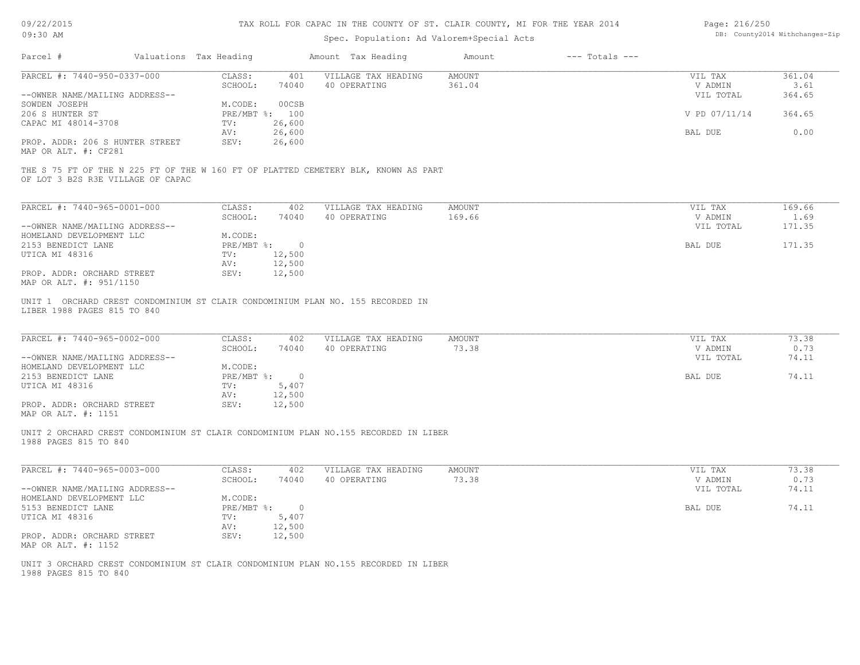| 09/22/2015 |  |
|------------|--|
| 09:30 AM   |  |

# Spec. Population: Ad Valorem+Special Acts

| Page: 216/250 |                                |
|---------------|--------------------------------|
|               | DB: County2014 Withchanges-Zip |

|                                                         | Valuations Tax Heading  |                         | Amount Tax Heading                                                                  | Amount                  | $---$ Totals $---$ |                      |                |
|---------------------------------------------------------|-------------------------|-------------------------|-------------------------------------------------------------------------------------|-------------------------|--------------------|----------------------|----------------|
| PARCEL #: 7440-950-0337-000                             | CLASS:<br>SCHOOL:       | 401<br>74040            | VILLAGE TAX HEADING<br>40 OPERATING                                                 | <b>AMOUNT</b><br>361.04 |                    | VIL TAX<br>V ADMIN   | 361.04<br>3.61 |
| --OWNER NAME/MAILING ADDRESS--                          |                         |                         |                                                                                     |                         |                    | VIL TOTAL            | 364.65         |
| SOWDEN JOSEPH                                           | M.CODE:                 | 00CSB                   |                                                                                     |                         |                    |                      |                |
| 206 S HUNTER ST<br>CAPAC MI 48014-3708                  | PRE/MBT %: 100<br>TV:   | 26,600                  |                                                                                     |                         |                    | V PD 07/11/14        | 364.65         |
|                                                         | AV:                     | 26,600                  |                                                                                     |                         |                    | BAL DUE              | 0.00           |
| PROP. ADDR: 206 S HUNTER STREET<br>MAP OR ALT. #: CF281 | SEV:                    | 26,600                  |                                                                                     |                         |                    |                      |                |
| OF LOT 3 B2S R3E VILLAGE OF CAPAC                       |                         |                         | THE S 75 FT OF THE N 225 FT OF THE W 160 FT OF PLATTED CEMETERY BLK, KNOWN AS PART  |                         |                    |                      |                |
| PARCEL #: 7440-965-0001-000                             | CLASS:                  | 402                     | VILLAGE TAX HEADING                                                                 | AMOUNT                  |                    | VIL TAX              | 169.66         |
|                                                         | SCHOOL:                 | 74040                   | 40 OPERATING                                                                        | 169.66                  |                    | V ADMIN              | 1.69           |
| --OWNER NAME/MAILING ADDRESS--                          |                         |                         |                                                                                     |                         |                    | VIL TOTAL            | 171.35         |
| HOMELAND DEVELOPMENT LLC<br>2153 BENEDICT LANE          | M.CODE:<br>PRE/MBT %: 0 |                         |                                                                                     |                         |                    | BAL DUE              | 171.35         |
| UTICA MI 48316                                          | TV:                     | 12,500                  |                                                                                     |                         |                    |                      |                |
|                                                         | AV:                     | 12,500                  |                                                                                     |                         |                    |                      |                |
| PROP. ADDR: ORCHARD STREET<br>MAP OR ALT. #: 951/1150   | SEV:                    | 12,500                  |                                                                                     |                         |                    |                      |                |
| PARCEL #: 7440-965-0002-000                             |                         | 402                     |                                                                                     | AMOUNT                  |                    |                      |                |
|                                                         | CLASS:                  |                         | VILLAGE TAX HEADING                                                                 |                         |                    | VIL TAX              | 73.38          |
| --OWNER NAME/MAILING ADDRESS--                          | SCHOOL:                 | 74040                   | 40 OPERATING                                                                        | 73.38                   |                    | V ADMIN<br>VIL TOTAL | 0.73<br>74.11  |
| HOMELAND DEVELOPMENT LLC                                | M.CODE:                 |                         |                                                                                     |                         |                    |                      |                |
| 2153 BENEDICT LANE                                      | PRE/MBT %:              | $\overline{0}$          |                                                                                     |                         |                    | BAL DUE              | 74.11          |
| UTICA MI 48316                                          | TV:                     | 5,407                   |                                                                                     |                         |                    |                      |                |
| PROP. ADDR: ORCHARD STREET                              | AV:<br>SEV:             | 12,500<br>12,500        |                                                                                     |                         |                    |                      |                |
| MAP OR ALT. #: 1151                                     |                         |                         |                                                                                     |                         |                    |                      |                |
| 1988 PAGES 815 TO 840                                   |                         |                         | UNIT 2 ORCHARD CREST CONDOMINIUM ST CLAIR CONDOMINIUM PLAN NO.155 RECORDED IN LIBER |                         |                    |                      |                |
| PARCEL #: 7440-965-0003-000                             | CLASS:                  | 402                     | VILLAGE TAX HEADING                                                                 | <b>AMOUNT</b>           |                    | VIL TAX              | 73.38          |
|                                                         | SCHOOL:                 | 74040                   | 40 OPERATING                                                                        | 73.38                   |                    | V ADMIN              | 0.73           |
| --OWNER NAME/MAILING ADDRESS--                          |                         |                         |                                                                                     |                         |                    | VIL TOTAL            | 74.11          |
| HOMELAND DEVELOPMENT LLC                                | M.CODE:                 |                         |                                                                                     |                         |                    |                      |                |
| 5153 BENEDICT LANE<br>UTICA MI 48316                    | PRE/MBT %:<br>TV:       | $\overline{0}$<br>5,407 |                                                                                     |                         |                    | BAL DUE              | 74.11          |
|                                                         | AV:                     | 12,500                  |                                                                                     |                         |                    |                      |                |
| PROP. ADDR: ORCHARD STREET<br>MAP OR ALT. #: 1152       | SEV:                    | 12,500                  |                                                                                     |                         |                    |                      |                |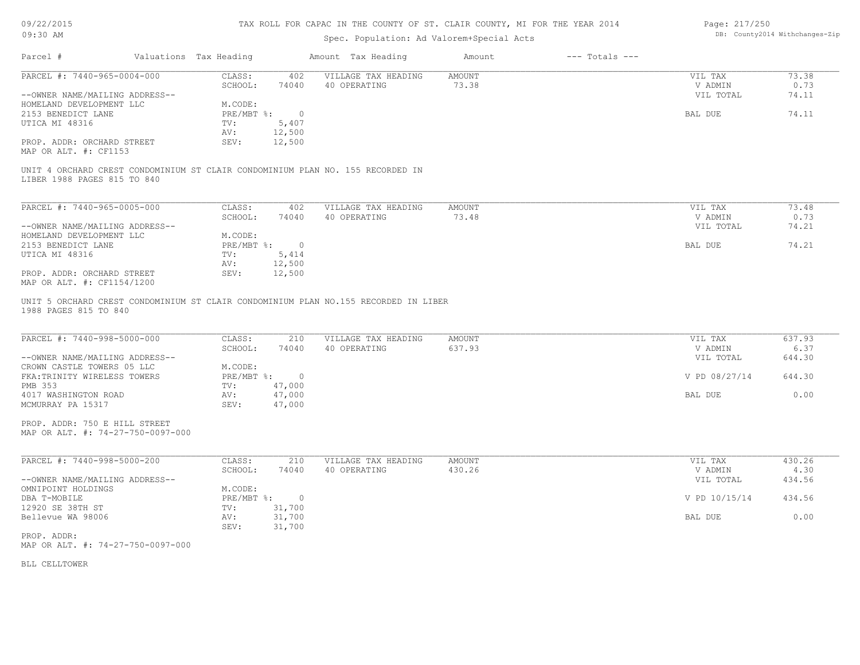| 09/22/2015 |  |
|------------|--|
| $09:30$ AM |  |

# TAX ROLL FOR CAPAC IN THE COUNTY OF ST. CLAIR COUNTY, MI FOR THE YEAR 2014

# Spec. Population: Ad Valorem+Special Acts

| Page: 217/250 |                                |
|---------------|--------------------------------|
|               | DB: County2014 Withchanges-Zip |

| Parcel #                                                                                                      | Valuations Tax Heading |                | Amount Tax Heading  | Amount | $---$ Totals $---$ |               |        |
|---------------------------------------------------------------------------------------------------------------|------------------------|----------------|---------------------|--------|--------------------|---------------|--------|
| PARCEL #: 7440-965-0004-000                                                                                   | CLASS:                 | 402            | VILLAGE TAX HEADING | AMOUNT |                    | VIL TAX       | 73.38  |
|                                                                                                               | SCHOOL:                | 74040          | 40 OPERATING        | 73.38  |                    | V ADMIN       | 0.73   |
| --OWNER NAME/MAILING ADDRESS--                                                                                |                        |                |                     |        |                    | VIL TOTAL     | 74.11  |
| HOMELAND DEVELOPMENT LLC                                                                                      | M.CODE:                |                |                     |        |                    |               |        |
| 2153 BENEDICT LANE                                                                                            | $PRE/MBT$ %:           | $\overline{0}$ |                     |        |                    | BAL DUE       | 74.11  |
| UTICA MI 48316                                                                                                | TV:                    | 5,407          |                     |        |                    |               |        |
|                                                                                                               | AV:                    | 12,500         |                     |        |                    |               |        |
| PROP. ADDR: ORCHARD STREET<br>MAP OR ALT. #: CF1153                                                           | SEV:                   | 12,500         |                     |        |                    |               |        |
| UNIT 4 ORCHARD CREST CONDOMINIUM ST CLAIR CONDOMINIUM PLAN NO. 155 RECORDED IN<br>LIBER 1988 PAGES 815 TO 840 |                        |                |                     |        |                    |               |        |
| PARCEL #: 7440-965-0005-000                                                                                   | CLASS:                 | 402            | VILLAGE TAX HEADING | AMOUNT |                    | VIL TAX       | 73.48  |
|                                                                                                               | SCHOOL:                | 74040          | 40 OPERATING        | 73.48  |                    | V ADMIN       | 0.73   |
| --OWNER NAME/MAILING ADDRESS--                                                                                |                        |                |                     |        |                    | VIL TOTAL     | 74.21  |
| HOMELAND DEVELOPMENT LLC                                                                                      | M.CODE:                |                |                     |        |                    |               |        |
| 2153 BENEDICT LANE                                                                                            | PRE/MBT %:             | $\overline{0}$ |                     |        |                    | BAL DUE       | 74.21  |
| UTICA MI 48316                                                                                                | TV:                    | 5,414          |                     |        |                    |               |        |
|                                                                                                               | AV:                    | 12,500         |                     |        |                    |               |        |
| PROP. ADDR: ORCHARD STREET<br>MAP OR ALT. #: CF1154/1200                                                      | SEV:                   | 12,500         |                     |        |                    |               |        |
| UNIT 5 ORCHARD CREST CONDOMINIUM ST CLAIR CONDOMINIUM PLAN NO.155 RECORDED IN LIBER<br>1988 PAGES 815 TO 840  |                        |                |                     |        |                    |               |        |
| PARCEL #: 7440-998-5000-000                                                                                   | CLASS:                 | 210            | VILLAGE TAX HEADING | AMOUNT |                    | VIL TAX       | 637.93 |
|                                                                                                               | SCHOOL:                | 74040          | 40 OPERATING        | 637.93 |                    | V ADMIN       | 6.37   |
| --OWNER NAME/MAILING ADDRESS--                                                                                |                        |                |                     |        |                    | VIL TOTAL     | 644.30 |
| CROWN CASTLE TOWERS 05 LLC                                                                                    | M.CODE:                |                |                     |        |                    |               |        |
| FKA: TRINITY WIRELESS TOWERS                                                                                  | $PRE/MBT$ %:           | $\overline{0}$ |                     |        |                    |               |        |
| <b>PMB 353</b>                                                                                                |                        |                |                     |        |                    | V PD 08/27/14 | 644.30 |
| 4017 WASHINGTON ROAD                                                                                          | TV:                    | 47,000         |                     |        |                    |               |        |
|                                                                                                               | AV:                    | 47,000         |                     |        |                    | BAL DUE       | 0.00   |
| MCMURRAY PA 15317                                                                                             | SEV:                   | 47,000         |                     |        |                    |               |        |
| PROP. ADDR: 750 E HILL STREET<br>MAP OR ALT. #: 74-27-750-0097-000                                            |                        |                |                     |        |                    |               |        |
| PARCEL #: 7440-998-5000-200                                                                                   | CLASS:                 | 210            | VILLAGE TAX HEADING | AMOUNT |                    | VIL TAX       | 430.26 |
|                                                                                                               | SCHOOL:                | 74040          | 40 OPERATING        | 430.26 |                    | V ADMIN       | 4.30   |
| --OWNER NAME/MAILING ADDRESS--                                                                                |                        |                |                     |        |                    | VIL TOTAL     | 434.56 |
| OMNIPOINT HOLDINGS                                                                                            | M.CODE:                |                |                     |        |                    |               |        |
| DBA T-MOBILE                                                                                                  | $PRE/MBT$ $\div$       | $\overline{0}$ |                     |        |                    | V PD 10/15/14 | 434.56 |
| 12920 SE 38TH ST                                                                                              | TV:                    | 31,700         |                     |        |                    |               |        |
| Bellevue WA 98006                                                                                             | AV:                    | 31,700         |                     |        |                    | BAL DUE       | 0.00   |
|                                                                                                               | SEV:                   | 31,700         |                     |        |                    |               |        |
| PROP. ADDR:<br>MAP OR ALT. #: 74-27-750-0097-000                                                              |                        |                |                     |        |                    |               |        |

BLL CELLTOWER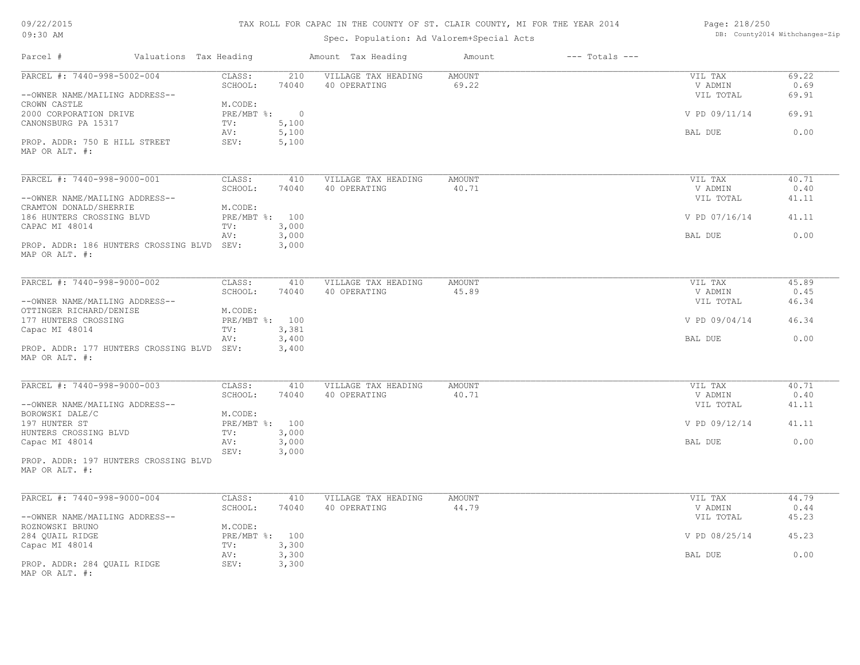# TAX ROLL FOR CAPAC IN THE COUNTY OF ST. CLAIR COUNTY, MI FOR THE YEAR 2014

# Spec. Population: Ad Valorem+Special Acts

Page: 218/250 DB: County2014 Withchanges-Zip

| Parcel #                                                      | Valuations Tax Heading                      | Amount Tax Heading                  | Amount          | $---$ Totals $---$ |                                 |                        |
|---------------------------------------------------------------|---------------------------------------------|-------------------------------------|-----------------|--------------------|---------------------------------|------------------------|
| PARCEL #: 7440-998-5002-004<br>--OWNER NAME/MAILING ADDRESS-- | CLASS:<br>210<br>SCHOOL:<br>74040           | VILLAGE TAX HEADING<br>40 OPERATING | AMOUNT<br>69.22 |                    | VIL TAX<br>V ADMIN<br>VIL TOTAL | 69.22<br>0.69<br>69.91 |
| CROWN CASTLE<br>2000 CORPORATION DRIVE<br>CANONSBURG PA 15317 | M.CODE:<br>$PRE/MBT$ $\div$<br>5,100<br>TV: | $\circ$                             |                 |                    | V PD 09/11/14                   | 69.91                  |
|                                                               | 5,100<br>AV:                                |                                     |                 |                    | BAL DUE                         | 0.00                   |
| PROP. ADDR: 750 E HILL STREET<br>MAP OR ALT. #:               | 5,100<br>SEV:                               |                                     |                 |                    |                                 |                        |
| PARCEL #: 7440-998-9000-001                                   | CLASS:<br>410                               | VILLAGE TAX HEADING                 | <b>AMOUNT</b>   |                    | VIL TAX                         | 40.71                  |
| --OWNER NAME/MAILING ADDRESS--                                | SCHOOL:<br>74040                            | 40 OPERATING                        | 40.71           |                    | V ADMIN<br>VIL TOTAL            | 0.40<br>41.11          |
| CRAMTON DONALD/SHERRIE<br>186 HUNTERS CROSSING BLVD           | M.CODE:<br>PRE/MBT %: 100                   |                                     |                 |                    | V PD 07/16/14                   | 41.11                  |
| CAPAC MI 48014                                                | 3,000<br>TV:<br>3,000<br>AV:                |                                     |                 |                    | BAL DUE                         | 0.00                   |
| PROP. ADDR: 186 HUNTERS CROSSING BLVD<br>MAP OR ALT. #:       | SEV:<br>3,000                               |                                     |                 |                    |                                 |                        |
| PARCEL #: 7440-998-9000-002                                   | CLASS:<br>410                               | VILLAGE TAX HEADING                 | AMOUNT          |                    | VIL TAX                         | 45.89                  |
|                                                               | SCHOOL:<br>74040                            | 40 OPERATING                        | 45.89           |                    | V ADMIN                         | 0.45                   |
| --OWNER NAME/MAILING ADDRESS--<br>OTTINGER RICHARD/DENISE     | M.CODE:                                     |                                     |                 |                    | VIL TOTAL                       | 46.34                  |
| 177 HUNTERS CROSSING<br>Capac MI 48014                        | PRE/MBT %: 100<br>3,381<br>TV:              |                                     |                 |                    | V PD 09/04/14                   | 46.34                  |
|                                                               | 3,400<br>AV:                                |                                     |                 |                    | BAL DUE                         | 0.00                   |
| PROP. ADDR: 177 HUNTERS CROSSING BLVD<br>MAP OR ALT. #:       | 3,400<br>SEV:                               |                                     |                 |                    |                                 |                        |
| PARCEL #: 7440-998-9000-003                                   | CLASS:<br>410                               | VILLAGE TAX HEADING                 | <b>AMOUNT</b>   |                    | VIL TAX                         | 40.71                  |
| --OWNER NAME/MAILING ADDRESS--                                | SCHOOL:<br>74040                            | 40 OPERATING                        | 40.71           |                    | V ADMIN<br>VIL TOTAL            | 0.40<br>41.11          |
| BOROWSKI DALE/C                                               | M.CODE:                                     |                                     |                 |                    |                                 |                        |
| 197 HUNTER ST<br>HUNTERS CROSSING BLVD                        | PRE/MBT %: 100<br>3,000<br>TV:              |                                     |                 |                    | V PD 09/12/14                   | 41.11                  |
| Capac MI 48014                                                | 3,000<br>AV:<br>SEV:<br>3,000               |                                     |                 |                    | BAL DUE                         | 0.00                   |
| PROP. ADDR: 197 HUNTERS CROSSING BLVD<br>MAP OR ALT. #:       |                                             |                                     |                 |                    |                                 |                        |
| PARCEL #: 7440-998-9000-004                                   | CLASS:<br>410                               | VILLAGE TAX HEADING                 | <b>AMOUNT</b>   |                    | VIL TAX                         | 44.79                  |
| --OWNER NAME/MAILING ADDRESS--                                | SCHOOL:<br>74040                            | 40 OPERATING                        | 44.79           |                    | V ADMIN<br>VIL TOTAL            | 0.44<br>45.23          |
| ROZNOWSKI BRUNO<br>284 QUAIL RIDGE                            | M.CODE:<br>PRE/MBT %: 100                   |                                     |                 |                    | V PD 08/25/14                   | 45.23                  |
| Capac MI 48014                                                | 3,300<br>TV:                                |                                     |                 |                    |                                 |                        |
| PROP. ADDR: 284 QUAIL RIDGE                                   | 3,300<br>AV:<br>3,300<br>SEV:               |                                     |                 |                    | BAL DUE                         | 0.00                   |
| MAP OR ALT. #:                                                |                                             |                                     |                 |                    |                                 |                        |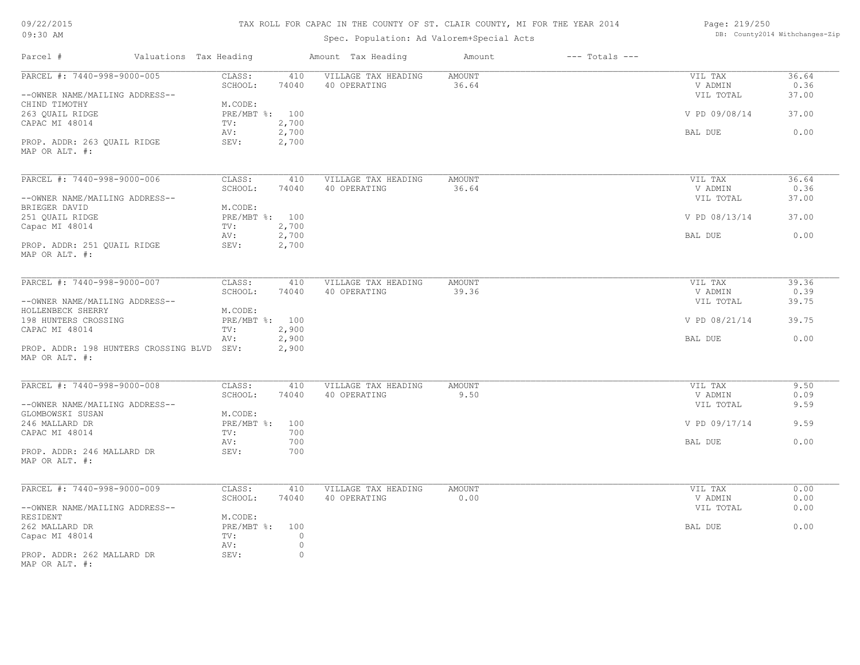# TAX ROLL FOR CAPAC IN THE COUNTY OF ST. CLAIR COUNTY, MI FOR THE YEAR 2014

# Spec. Population: Ad Valorem+Special Acts

Page: 219/250 DB: County2014 Withchanges-Zip

| Parcel #                                   | Valuations Tax Heading | Amount Tax Heading  | Amount        | $---$ Totals $---$ |               |       |
|--------------------------------------------|------------------------|---------------------|---------------|--------------------|---------------|-------|
| PARCEL #: 7440-998-9000-005                | CLASS:<br>410          | VILLAGE TAX HEADING | AMOUNT        |                    | VIL TAX       | 36.64 |
|                                            | SCHOOL:<br>74040       | 40 OPERATING        | 36.64         |                    | V ADMIN       | 0.36  |
| --OWNER NAME/MAILING ADDRESS--             |                        |                     |               |                    | VIL TOTAL     | 37.00 |
| CHIND TIMOTHY                              | M.CODE:                |                     |               |                    |               |       |
| 263 QUAIL RIDGE                            | PRE/MBT %: 100         |                     |               |                    | V PD 09/08/14 | 37.00 |
| CAPAC MI 48014                             | 2,700<br>TV:           |                     |               |                    |               |       |
|                                            | 2,700<br>AV:           |                     |               |                    | BAL DUE       | 0.00  |
| PROP. ADDR: 263 QUAIL RIDGE                | SEV:<br>2,700          |                     |               |                    |               |       |
| MAP OR ALT. #:                             |                        |                     |               |                    |               |       |
|                                            |                        |                     |               |                    |               |       |
| PARCEL #: 7440-998-9000-006                | CLASS:<br>410          | VILLAGE TAX HEADING | <b>AMOUNT</b> |                    | VIL TAX       | 36.64 |
|                                            | SCHOOL:<br>74040       | 40 OPERATING        | 36.64         |                    | V ADMIN       | 0.36  |
| --OWNER NAME/MAILING ADDRESS--             |                        |                     |               |                    | VIL TOTAL     | 37.00 |
| BRIEGER DAVID                              | M.CODE:                |                     |               |                    |               |       |
| 251 OUAIL RIDGE                            | PRE/MBT %: 100         |                     |               |                    | V PD 08/13/14 | 37.00 |
| Capac MI 48014                             | 2,700<br>TV:           |                     |               |                    |               |       |
|                                            | 2,700<br>AV:           |                     |               |                    | BAL DUE       | 0.00  |
| PROP. ADDR: 251 QUAIL RIDGE                | SEV:<br>2,700          |                     |               |                    |               |       |
| MAP OR ALT. #:                             |                        |                     |               |                    |               |       |
|                                            |                        |                     |               |                    |               |       |
| PARCEL #: 7440-998-9000-007                | CLASS:<br>410          | VILLAGE TAX HEADING | <b>AMOUNT</b> |                    | VIL TAX       | 39.36 |
|                                            | SCHOOL:<br>74040       | 40 OPERATING        | 39.36         |                    | V ADMIN       | 0.39  |
| --OWNER NAME/MAILING ADDRESS--             |                        |                     |               |                    | VIL TOTAL     | 39.75 |
|                                            |                        |                     |               |                    |               |       |
| HOLLENBECK SHERRY                          | M.CODE:                |                     |               |                    |               |       |
| 198 HUNTERS CROSSING                       | PRE/MBT %: 100         |                     |               |                    | V PD 08/21/14 | 39.75 |
| CAPAC MI 48014                             | 2,900<br>TV:           |                     |               |                    |               |       |
|                                            | 2,900<br>AV:           |                     |               |                    | BAL DUE       | 0.00  |
| PROP. ADDR: 198 HUNTERS CROSSING BLVD SEV: | 2,900                  |                     |               |                    |               |       |
| MAP OR ALT. #:                             |                        |                     |               |                    |               |       |
|                                            |                        |                     |               |                    |               |       |
| PARCEL #: 7440-998-9000-008                | CLASS:<br>410          | VILLAGE TAX HEADING | <b>AMOUNT</b> |                    | VIL TAX       | 9.50  |
|                                            | SCHOOL:<br>74040       | 40 OPERATING        | 9.50          |                    | V ADMIN       | 0.09  |
| --OWNER NAME/MAILING ADDRESS--             |                        |                     |               |                    | VIL TOTAL     | 9.59  |
| GLOMBOWSKI SUSAN                           | M.CODE:                |                     |               |                    |               |       |
| 246 MALLARD DR                             | PRE/MBT %:<br>100      |                     |               |                    | V PD 09/17/14 | 9.59  |
| CAPAC MI 48014                             | 700<br>TV:             |                     |               |                    |               |       |
|                                            | 700<br>AV:             |                     |               |                    | BAL DUE       | 0.00  |
| PROP. ADDR: 246 MALLARD DR                 | SEV:<br>700            |                     |               |                    |               |       |
| MAP OR ALT. #:                             |                        |                     |               |                    |               |       |
|                                            |                        |                     |               |                    |               |       |
| PARCEL #: 7440-998-9000-009                | CLASS:<br>410          | VILLAGE TAX HEADING | AMOUNT        |                    | VIL TAX       | 0.00  |
|                                            | SCHOOL:<br>74040       | 40 OPERATING        | 0.00          |                    | V ADMIN       | 0.00  |
| --OWNER NAME/MAILING ADDRESS--             |                        |                     |               |                    | VIL TOTAL     | 0.00  |
| RESIDENT                                   | M.CODE:                |                     |               |                    |               |       |
| 262 MALLARD DR                             | PRE/MBT %:<br>100      |                     |               |                    | BAL DUE       | 0.00  |
|                                            |                        |                     |               |                    |               |       |
| Capac MI 48014                             | TV:<br>$\circ$         |                     |               |                    |               |       |
|                                            | $\circ$<br>AV:         |                     |               |                    |               |       |
| PROP. ADDR: 262 MALLARD DR                 | SEV:<br>$\circ$        |                     |               |                    |               |       |
| MAP OR ALT. #:                             |                        |                     |               |                    |               |       |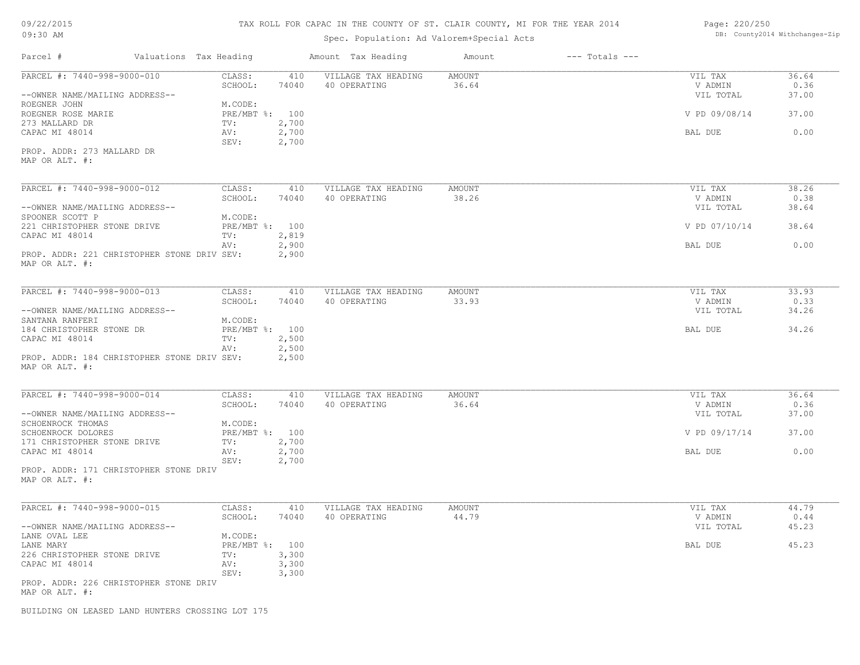# TAX ROLL FOR CAPAC IN THE COUNTY OF ST. CLAIR COUNTY, MI FOR THE YEAR 2014

# Spec. Population: Ad Valorem+Special Acts

| Page: 220/250 |                                |
|---------------|--------------------------------|
|               | DB: County2014 Withchanges-Zip |

| Parcel #                                                      | Valuations Tax Heading |                           |                         | Amount Tax Heading                  | Amount          | $---$ Totals $---$ |                                 |                        |
|---------------------------------------------------------------|------------------------|---------------------------|-------------------------|-------------------------------------|-----------------|--------------------|---------------------------------|------------------------|
| PARCEL #: 7440-998-9000-010<br>--OWNER NAME/MAILING ADDRESS-- |                        | CLASS:<br>SCHOOL:         | 410<br>74040            | VILLAGE TAX HEADING<br>40 OPERATING | AMOUNT<br>36.64 |                    | VIL TAX<br>V ADMIN<br>VIL TOTAL | 36.64<br>0.36<br>37.00 |
| ROEGNER JOHN<br>ROEGNER ROSE MARIE                            |                        | M.CODE:<br>PRE/MBT %: 100 |                         |                                     |                 |                    | V PD 09/08/14                   | 37.00                  |
| 273 MALLARD DR<br>CAPAC MI 48014                              |                        | TV:<br>AV:<br>SEV:        | 2,700<br>2,700<br>2,700 |                                     |                 |                    | BAL DUE                         | 0.00                   |
| PROP. ADDR: 273 MALLARD DR<br>MAP OR ALT. #:                  |                        |                           |                         |                                     |                 |                    |                                 |                        |
| PARCEL #: 7440-998-9000-012                                   |                        | CLASS:                    | 410                     | VILLAGE TAX HEADING                 | <b>AMOUNT</b>   |                    | VIL TAX                         | 38.26                  |
| --OWNER NAME/MAILING ADDRESS--                                |                        | SCHOOL:                   | 74040                   | 40 OPERATING                        | 38.26           |                    | V ADMIN<br>VIL TOTAL            | 0.38<br>38.64          |
| SPOONER SCOTT P<br>221 CHRISTOPHER STONE DRIVE                |                        | M.CODE:<br>PRE/MBT %: 100 |                         |                                     |                 |                    | V PD 07/10/14                   | 38.64                  |
| CAPAC MI 48014                                                |                        | TV:<br>AV:                | 2,819<br>2,900          |                                     |                 |                    | BAL DUE                         | 0.00                   |
| PROP. ADDR: 221 CHRISTOPHER STONE DRIV SEV:<br>MAP OR ALT. #: |                        |                           | 2,900                   |                                     |                 |                    |                                 |                        |
| PARCEL #: 7440-998-9000-013                                   |                        | CLASS:                    | 410                     | VILLAGE TAX HEADING                 | AMOUNT          |                    | VIL TAX                         | 33.93                  |
| --OWNER NAME/MAILING ADDRESS--                                |                        | SCHOOL:                   | 74040                   | 40 OPERATING                        | 33.93           |                    | V ADMIN<br>VIL TOTAL            | 0.33<br>34.26          |
| SANTANA RANFERI<br>184 CHRISTOPHER STONE DR                   |                        | M.CODE:<br>PRE/MBT %: 100 |                         |                                     |                 |                    | BAL DUE                         | 34.26                  |
| CAPAC MI 48014                                                |                        | TV:<br>AV:                | 2,500<br>2,500          |                                     |                 |                    |                                 |                        |
| PROP. ADDR: 184 CHRISTOPHER STONE DRIV SEV:<br>MAP OR ALT. #: |                        |                           | 2,500                   |                                     |                 |                    |                                 |                        |
| PARCEL #: 7440-998-9000-014                                   |                        | CLASS:                    | 410                     | VILLAGE TAX HEADING                 | <b>AMOUNT</b>   |                    | VIL TAX                         | 36.64                  |
| --OWNER NAME/MAILING ADDRESS--                                |                        | SCHOOL:                   | 74040                   | 40 OPERATING                        | 36.64           |                    | V ADMIN<br>VIL TOTAL            | 0.36<br>37.00          |
| SCHOENROCK THOMAS<br>SCHOENROCK DOLORES                       |                        | M.CODE:<br>PRE/MBT %: 100 |                         |                                     |                 |                    | V PD 09/17/14                   | 37.00                  |
| 171 CHRISTOPHER STONE DRIVE                                   |                        | TV:                       | 2,700                   |                                     |                 |                    |                                 |                        |
| CAPAC MI 48014                                                |                        | AV:<br>SEV:               | 2,700<br>2,700          |                                     |                 |                    | BAL DUE                         | 0.00                   |
| PROP. ADDR: 171 CHRISTOPHER STONE DRIV<br>MAP OR ALT. #:      |                        |                           |                         |                                     |                 |                    |                                 |                        |
| PARCEL #: 7440-998-9000-015                                   |                        | CLASS:                    | 410                     | VILLAGE TAX HEADING                 | AMOUNT          |                    | VIL TAX                         | 44.79                  |
| --OWNER NAME/MAILING ADDRESS--                                |                        | SCHOOL:                   | 74040                   | 40 OPERATING                        | 44.79           |                    | V ADMIN<br>VIL TOTAL            | 0.44<br>45.23          |
| LANE OVAL LEE<br>LANE MARY                                    |                        | M.CODE:<br>PRE/MBT %: 100 |                         |                                     |                 |                    | BAL DUE                         | 45.23                  |
| 226 CHRISTOPHER STONE DRIVE<br>CAPAC MI 48014                 |                        | TV:<br>AV:                | 3,300<br>3,300          |                                     |                 |                    |                                 |                        |
|                                                               |                        | SEV:                      | 3,300                   |                                     |                 |                    |                                 |                        |
| PROP. ADDR: 226 CHRISTOPHER STONE DRIV<br>MAP OR ALT. #:      |                        |                           |                         |                                     |                 |                    |                                 |                        |
| BUILDING ON LEASED LAND HUNTERS CROSSING LOT 175              |                        |                           |                         |                                     |                 |                    |                                 |                        |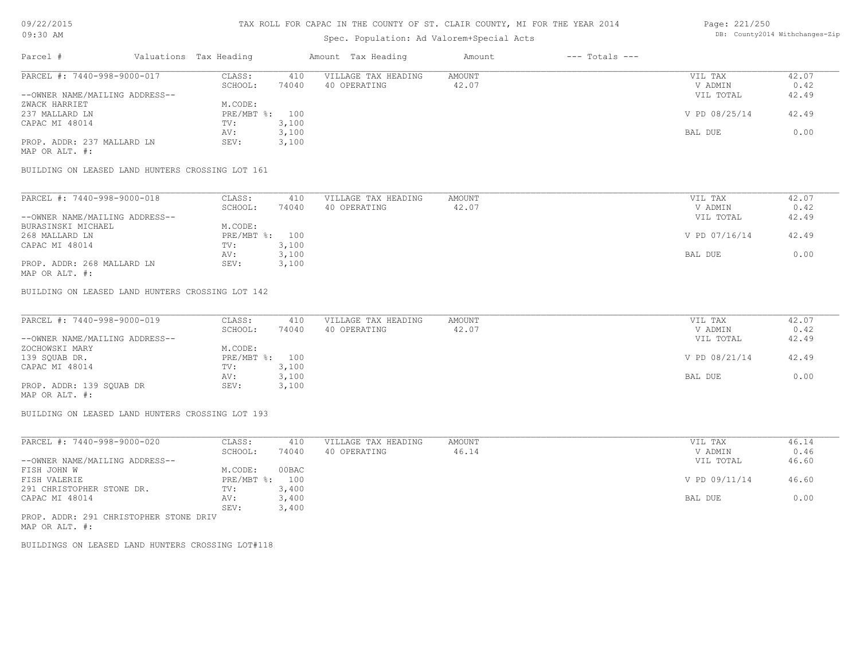## TAX ROLL FOR CAPAC IN THE COUNTY OF ST. CLAIR COUNTY, MI FOR THE YEAR 2014

# Spec. Population: Ad Valorem+Special Acts

| Parcel #                       | Valuations Tax Heading |       | Amount Tax Heading  | Amount | $---$ Totals $---$ |               |       |
|--------------------------------|------------------------|-------|---------------------|--------|--------------------|---------------|-------|
| PARCEL #: 7440-998-9000-017    | CLASS:                 | 410   | VILLAGE TAX HEADING | AMOUNT |                    | VIL TAX       | 42.07 |
|                                | SCHOOL:                | 74040 | 40 OPERATING        | 42.07  |                    | V ADMIN       | 0.42  |
| --OWNER NAME/MAILING ADDRESS-- |                        |       |                     |        |                    | VIL TOTAL     | 42.49 |
| ZWACK HARRIET                  | M.CODE:                |       |                     |        |                    |               |       |
| 237 MALLARD LN                 | PRE/MBT %: 100         |       |                     |        |                    | V PD 08/25/14 | 42.49 |
| CAPAC MI 48014                 | TV:                    | 3,100 |                     |        |                    |               |       |
|                                | AV:                    | 3,100 |                     |        |                    | BAL DUE       | 0.00  |
| PROP. ADDR: 237 MALLARD LN     | SEV:                   | 3,100 |                     |        |                    |               |       |

MAP OR ALT. #:

BUILDING ON LEASED LAND HUNTERS CROSSING LOT 161

| PARCEL #: 7440-998-9000-018    | CLASS:         | 410   | VILLAGE TAX HEADING | AMOUNT | VIL TAX       | 42.07 |
|--------------------------------|----------------|-------|---------------------|--------|---------------|-------|
|                                | SCHOOL:        | 74040 | 40 OPERATING        | 42.07  | V ADMIN       | 0.42  |
| --OWNER NAME/MAILING ADDRESS-- |                |       |                     |        | VIL TOTAL     | 42.49 |
| BURASINSKI MICHAEL             | M.CODE:        |       |                     |        |               |       |
| 268 MALLARD LN                 | PRE/MBT %: 100 |       |                     |        | V PD 07/16/14 | 42.49 |
| CAPAC MI 48014                 | TV:            | 3,100 |                     |        |               |       |
|                                | AV:            | 3,100 |                     |        | BAL DUE       | 0.00  |
| PROP. ADDR: 268 MALLARD LN     | SEV:           | 3,100 |                     |        |               |       |
| MAP OR ALT. #:                 |                |       |                     |        |               |       |

BUILDING ON LEASED LAND HUNTERS CROSSING LOT 142

| PARCEL #: 7440-998-9000-019    | CLASS:  | 410            | VILLAGE TAX HEADING | AMOUNT | VIL TAX       | 42.07 |
|--------------------------------|---------|----------------|---------------------|--------|---------------|-------|
|                                | SCHOOL: | 74040          | 40 OPERATING        | 42.07  | V ADMIN       | 0.42  |
| --OWNER NAME/MAILING ADDRESS-- |         |                |                     |        | VIL TOTAL     | 42.49 |
| ZOCHOWSKI MARY                 | M.CODE: |                |                     |        |               |       |
| 139 SQUAB DR.                  |         | PRE/MBT %: 100 |                     |        | V PD 08/21/14 | 42.49 |
| CAPAC MI 48014                 | TV:     | 3,100          |                     |        |               |       |
|                                | AV:     | 3,100          |                     |        | BAL DUE       | 0.00  |
| PROP. ADDR: 139 SQUAB DR       | SEV:    | 3,100          |                     |        |               |       |
| MAP OR ALT. #:                 |         |                |                     |        |               |       |

BUILDING ON LEASED LAND HUNTERS CROSSING LOT 193

| PARCEL #: 7440-998-9000-020            | CLASS:       | 410   | VILLAGE TAX HEADING | AMOUNT | VIL TAX       | 46.14 |
|----------------------------------------|--------------|-------|---------------------|--------|---------------|-------|
|                                        | SCHOOL:      | 74040 | 40 OPERATING        | 46.14  | V ADMIN       | 0.46  |
| --OWNER NAME/MAILING ADDRESS--         |              |       |                     |        | VIL TOTAL     | 46.60 |
| FISH JOHN W                            | M.CODE:      | 00BAC |                     |        |               |       |
| FISH VALERIE                           | $PRE/MBT$ %: | 100   |                     |        | V PD 09/11/14 | 46.60 |
| 291 CHRISTOPHER STONE DR.              | TV:          | 3,400 |                     |        |               |       |
| CAPAC MI 48014                         | AV:          | 3,400 |                     |        | BAL DUE       | 0.00  |
|                                        | SEV:         | 3,400 |                     |        |               |       |
| 11700 SLOD: 201 CUPTOMONIER CHONE DRIV |              |       |                     |        |               |       |

MAP OR ALT. #: PROP. ADDR: 291 CHRISTOPHER STONE DRIV

BUILDINGS ON LEASED LAND HUNTERS CROSSING LOT#118

Page: 221/250 DB: County2014 Withchanges-Zip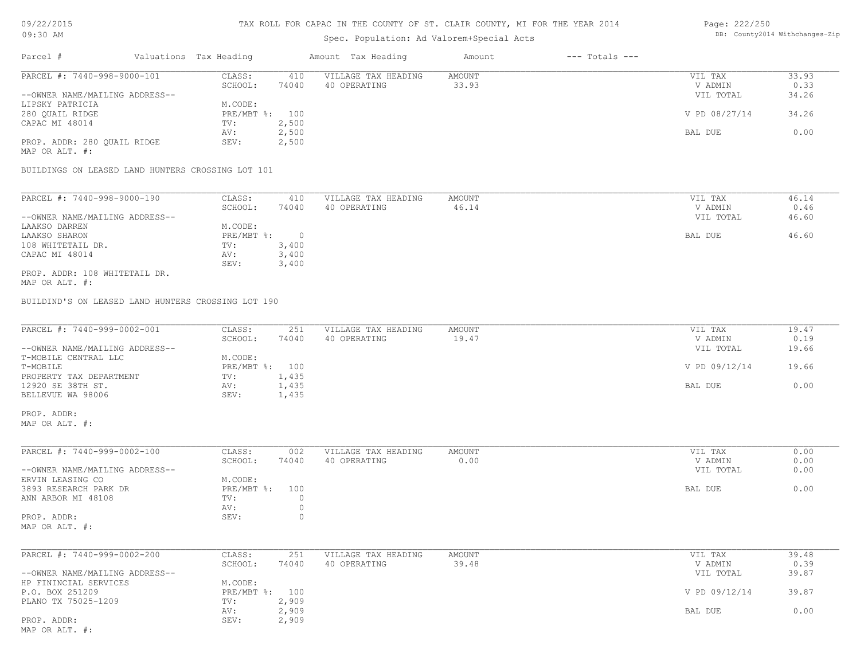# TAX ROLL FOR CAPAC IN THE COUNTY OF ST. CLAIR COUNTY, MI FOR THE YEAR 2014

# Spec. Population: Ad Valorem+Special Acts

## Page: 222/250 DB: County2014 Withchanges-Zip

| Parcel #                                          | Valuations Tax Heading |         | Amount Tax Heading  | Amount    | $---$ Totals $---$ |                    |                |
|---------------------------------------------------|------------------------|---------|---------------------|-----------|--------------------|--------------------|----------------|
| PARCEL #: 7440-998-9000-101                       | CLASS:                 | 410     | VILLAGE TAX HEADING | AMOUNT    |                    | VIL TAX            | 33.93          |
|                                                   | SCHOOL:                | 74040   | 40 OPERATING        | 33.93     |                    | V ADMIN            | 0.33           |
| --OWNER NAME/MAILING ADDRESS--                    |                        |         |                     |           |                    | VIL TOTAL          | 34.26          |
| LIPSKY PATRICIA                                   | M.CODE:                |         |                     |           |                    |                    |                |
| 280 OUAIL RIDGE                                   | PRE/MBT %: 100         |         |                     |           |                    | V PD 08/27/14      | 34.26          |
| CAPAC MI 48014                                    | TV:                    | 2,500   |                     |           |                    |                    |                |
|                                                   | AV:                    | 2,500   |                     |           |                    | BAL DUE            | 0.00           |
| PROP. ADDR: 280 OUAIL RIDGE                       | SEV:                   | 2,500   |                     |           |                    |                    |                |
| MAP OR ALT. #:                                    |                        |         |                     |           |                    |                    |                |
| BUILDINGS ON LEASED LAND HUNTERS CROSSING LOT 101 |                        |         |                     |           |                    |                    |                |
|                                                   |                        |         |                     |           |                    |                    |                |
| PARCEL #: 7440-998-9000-190                       | CLASS:                 | 410     | VILLAGE TAX HEADING | AMOUNT    |                    | VIL TAX            | 46.14          |
|                                                   | $CCTIQQT$ .            | $71010$ | 10.00000000000      | $AC = 1A$ |                    | <b>IT A DIATIT</b> | 0 <sup>0</sup> |

|                                | ------       | ---   |              | .     | .         | ------ |
|--------------------------------|--------------|-------|--------------|-------|-----------|--------|
|                                | SCHOOL:      | 74040 | 40 OPERATING | 46.14 | V ADMIN   | 0.46   |
| --OWNER NAME/MAILING ADDRESS-- |              |       |              |       | VIL TOTAL | 46.60  |
| LAAKSO DARREN                  | M.CODE:      |       |              |       |           |        |
| LAAKSO SHARON                  | $PRE/MBT$ %: |       |              |       | BAL DUE   | 46.60  |
| 108 WHITETAIL DR.              | TV:          | 3,400 |              |       |           |        |
| CAPAC MI 48014                 | AV:          | 3,400 |              |       |           |        |
|                                | SEV:         | 3,400 |              |       |           |        |
| PROP. ADDR: 108 WHITETAIL DR.  |              |       |              |       |           |        |

MAP OR ALT. #:

BUILDIND'S ON LEASED LAND HUNTERS CROSSING LOT 190

| PARCEL #: 7440-999-0002-001    | CLASS:         | 251   | VILLAGE TAX HEADING | AMOUNT | VIL TAX       | 19.47 |
|--------------------------------|----------------|-------|---------------------|--------|---------------|-------|
|                                | SCHOOL:        | 74040 | 40 OPERATING        | 19.47  | V ADMIN       | 0.19  |
| --OWNER NAME/MAILING ADDRESS-- |                |       |                     |        | VIL TOTAL     | 19.66 |
| T-MOBILE CENTRAL LLC           | M.CODE:        |       |                     |        |               |       |
| T-MOBILE                       | PRE/MBT %: 100 |       |                     |        | V PD 09/12/14 | 19.66 |
| PROPERTY TAX DEPARTMENT        | TV:            | 1,435 |                     |        |               |       |
| 12920 SE 38TH ST.              | AV:            | 1,435 |                     |        | BAL DUE       | 0.00  |
| BELLEVUE WA 98006              | SEV:           | 1,435 |                     |        |               |       |

MAP OR ALT. #: PROP. ADDR:

| PARCEL #: 7440-999-0002-100    | CLASS:         | 002   | VILLAGE TAX HEADING | AMOUNT | VIL TAX   | 0.00 |
|--------------------------------|----------------|-------|---------------------|--------|-----------|------|
|                                | SCHOOL:        | 74040 | 40 OPERATING        | 0.00   | V ADMIN   | 0.00 |
| --OWNER NAME/MAILING ADDRESS-- |                |       |                     |        | VIL TOTAL | 0.00 |
| ERVIN LEASING CO               | M.CODE:        |       |                     |        |           |      |
| 3893 RESEARCH PARK DR          | PRE/MBT %: 100 |       |                     |        | BAL DUE   | 0.00 |
| ANN ARBOR MI 48108             | TV:            |       |                     |        |           |      |
|                                | AV:            |       |                     |        |           |      |
| PROP. ADDR:                    | SEV:           |       |                     |        |           |      |
| MAP OR ALT. #:                 |                |       |                     |        |           |      |

| PARCEL #: 7440-999-0002-200                   | CLASS:  | 251            | VILLAGE TAX HEADING | AMOUNT | VIL TAX       | 39.48 |
|-----------------------------------------------|---------|----------------|---------------------|--------|---------------|-------|
|                                               | SCHOOL: | 74040          | 40 OPERATING        | 39.48  | V ADMIN       | 0.39  |
| --OWNER NAME/MAILING ADDRESS--                |         |                |                     |        | VIL TOTAL     | 39.87 |
| HP FININCIAL SERVICES                         | M.CODE: |                |                     |        |               |       |
| P.O. BOX 251209                               |         | PRE/MBT %: 100 |                     |        | V PD 09/12/14 | 39.87 |
| PLANO TX 75025-1209                           | TV:     | 2,909          |                     |        |               |       |
|                                               | AV:     | 2,909          |                     |        | BAL DUE       | 0.00  |
| PROP. ADDR:                                   | SEV:    | 2,909          |                     |        |               |       |
| $M \wedge D$ $\wedge D$ $\wedge T$ $m$ $\#$ . |         |                |                     |        |               |       |

MAP OR ALT. #: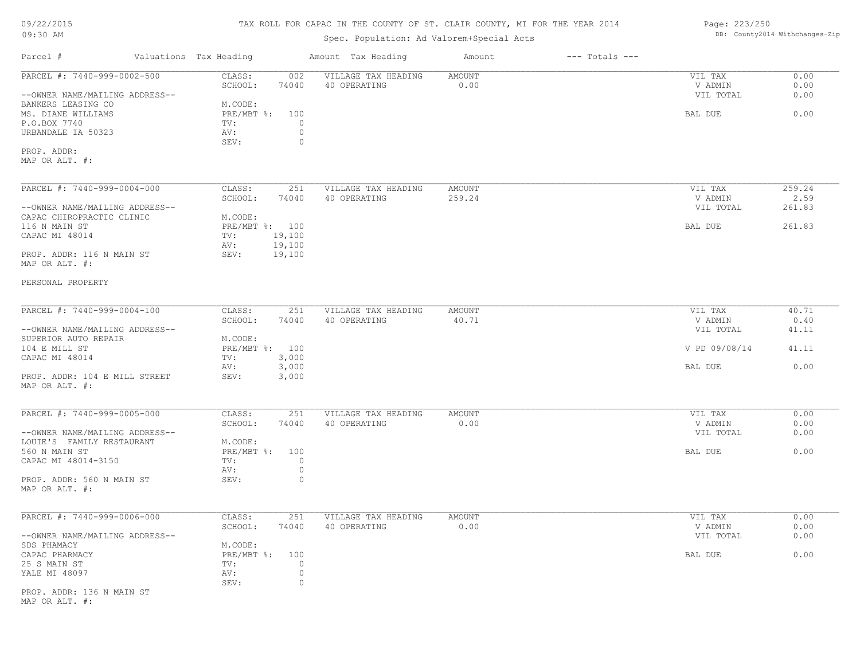# TAX ROLL FOR CAPAC IN THE COUNTY OF ST. CLAIR COUNTY, MI FOR THE YEAR 2014

# Spec. Population: Ad Valorem+Special Acts

# Page: 223/250 DB: County2014 Withchanges-Zip

| Parcel #                                        | Valuations Tax Heading |                                   | Amount Tax Heading                  | Amount         | $---$ Totals $---$ |                    |              |
|-------------------------------------------------|------------------------|-----------------------------------|-------------------------------------|----------------|--------------------|--------------------|--------------|
| PARCEL #: 7440-999-0002-500                     |                        | CLASS:<br>002<br>SCHOOL:<br>74040 | VILLAGE TAX HEADING<br>40 OPERATING | AMOUNT<br>0.00 |                    | VIL TAX<br>V ADMIN | 0.00<br>0.00 |
| --OWNER NAME/MAILING ADDRESS--                  |                        |                                   |                                     |                |                    | VIL TOTAL          | 0.00         |
| BANKERS LEASING CO                              |                        | M.CODE:                           |                                     |                |                    |                    |              |
| MS. DIANE WILLIAMS                              |                        | PRE/MBT %: 100                    |                                     |                |                    | BAL DUE            | 0.00         |
| P.O.BOX 7740                                    |                        | TV:<br>$\circ$                    |                                     |                |                    |                    |              |
| URBANDALE IA 50323                              |                        | $\circ$<br>AV:                    |                                     |                |                    |                    |              |
|                                                 |                        | $\circ$<br>SEV:                   |                                     |                |                    |                    |              |
| PROP. ADDR:<br>MAP OR ALT. #:                   |                        |                                   |                                     |                |                    |                    |              |
| PARCEL #: 7440-999-0004-000                     |                        | CLASS:<br>251                     | VILLAGE TAX HEADING                 | <b>AMOUNT</b>  |                    | VIL TAX            | 259.24       |
|                                                 |                        | SCHOOL:<br>74040                  | 40 OPERATING                        | 259.24         |                    | V ADMIN            | 2.59         |
| --OWNER NAME/MAILING ADDRESS--                  |                        |                                   |                                     |                |                    | VIL TOTAL          | 261.83       |
| CAPAC CHIROPRACTIC CLINIC                       |                        | M.CODE:                           |                                     |                |                    |                    |              |
| 116 N MAIN ST                                   |                        | PRE/MBT %: 100                    |                                     |                |                    | BAL DUE            | 261.83       |
| CAPAC MI 48014                                  |                        | 19,100<br>TV:                     |                                     |                |                    |                    |              |
|                                                 |                        | AV:<br>19,100                     |                                     |                |                    |                    |              |
| PROP. ADDR: 116 N MAIN ST<br>MAP OR ALT. #:     |                        | SEV:<br>19,100                    |                                     |                |                    |                    |              |
| PERSONAL PROPERTY                               |                        |                                   |                                     |                |                    |                    |              |
| PARCEL #: 7440-999-0004-100                     |                        | CLASS:<br>251                     | VILLAGE TAX HEADING                 | AMOUNT         |                    | VIL TAX            | 40.71        |
|                                                 |                        | SCHOOL:<br>74040                  | 40 OPERATING                        | 40.71          |                    | V ADMIN            | 0.40         |
| --OWNER NAME/MAILING ADDRESS--                  |                        |                                   |                                     |                |                    | VIL TOTAL          | 41.11        |
| SUPERIOR AUTO REPAIR                            |                        | M.CODE:                           |                                     |                |                    |                    |              |
| 104 E MILL ST                                   |                        | PRE/MBT %: 100                    |                                     |                |                    | V PD 09/08/14      | 41.11        |
| CAPAC MI 48014                                  |                        | 3,000<br>TV:                      |                                     |                |                    |                    |              |
|                                                 |                        | 3,000<br>AV:                      |                                     |                |                    | BAL DUE            | 0.00         |
| PROP. ADDR: 104 E MILL STREET<br>MAP OR ALT. #: |                        | SEV:<br>3,000                     |                                     |                |                    |                    |              |
| PARCEL #: 7440-999-0005-000                     |                        | 251<br>CLASS:                     | VILLAGE TAX HEADING                 | AMOUNT         |                    | VIL TAX            | 0.00         |
|                                                 |                        | SCHOOL:<br>74040                  | 40 OPERATING                        | 0.00           |                    | V ADMIN            | 0.00         |
| --OWNER NAME/MAILING ADDRESS--                  |                        |                                   |                                     |                |                    | VIL TOTAL          | 0.00         |
| LOUIE'S FAMILY RESTAURANT                       |                        | M.CODE:                           |                                     |                |                    |                    |              |
| 560 N MAIN ST                                   |                        | PRE/MBT %: 100                    |                                     |                |                    | BAL DUE            | 0.00         |
| CAPAC MI 48014-3150                             |                        | TV:<br>$\circ$                    |                                     |                |                    |                    |              |
|                                                 |                        | AV:<br>$\circ$                    |                                     |                |                    |                    |              |
| PROP. ADDR: 560 N MAIN ST<br>MAP OR ALT. #:     |                        | SEV:<br>$\circ$                   |                                     |                |                    |                    |              |
| PARCEL #: 7440-999-0006-000                     |                        | CLASS:<br>251                     | VILLAGE TAX HEADING                 | AMOUNT         |                    | VIL TAX            | 0.00         |
|                                                 |                        | SCHOOL:<br>74040                  | 40 OPERATING                        | 0.00           |                    | V ADMIN            | 0.00         |
| --OWNER NAME/MAILING ADDRESS--                  |                        |                                   |                                     |                |                    | VIL TOTAL          | 0.00         |
| SDS PHAMACY                                     |                        | M.CODE:                           |                                     |                |                    |                    |              |
| CAPAC PHARMACY                                  |                        | PRE/MBT %: 100                    |                                     |                |                    | BAL DUE            | 0.00         |
| 25 S MAIN ST                                    |                        | TV:<br>$\circ$                    |                                     |                |                    |                    |              |
| YALE MI 48097                                   |                        | AV:<br>$\circ$                    |                                     |                |                    |                    |              |
|                                                 |                        | SEV:<br>$\circ$                   |                                     |                |                    |                    |              |
| PROP. ADDR: 136 N MAIN ST<br>MAP OR ALT. #:     |                        |                                   |                                     |                |                    |                    |              |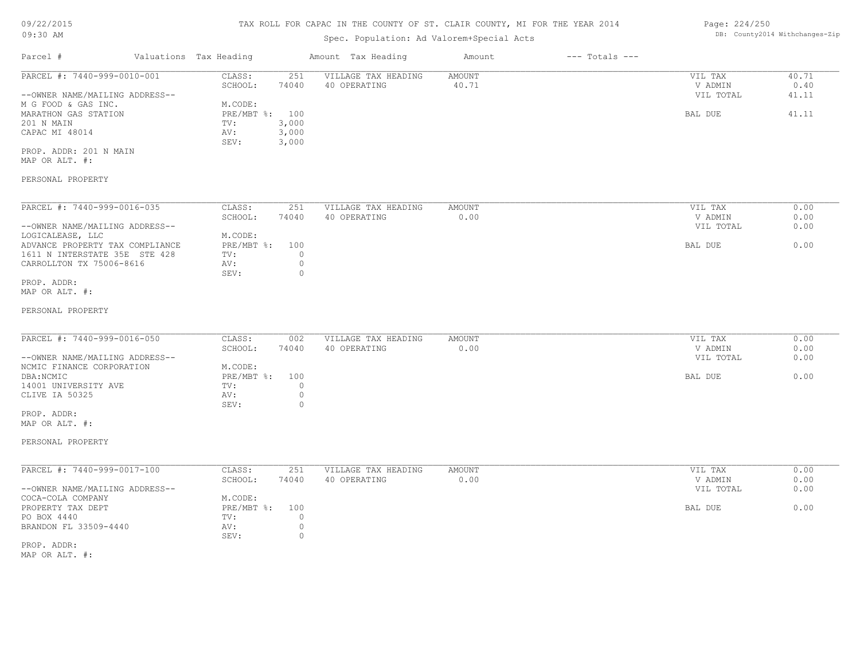### TAX ROLL FOR CAPAC IN THE COUNTY OF ST. CLAIR COUNTY, MI FOR THE YEAR 2014

# Spec. Population: Ad Valorem+Special Acts

## Parcel # Valuations Tax Heading Amount Tax Heading Amount --- Totals ---PROP. ADDR: 201 N MAIN SEV: 3,000 CAPAC MI 48014 AV: 3,000 201 N MAIN TV: 3,000 MARATHON GAS STATION **PRE/MBT %:** 100 **BAL DUE** 41.11 M G FOOD & GAS INC. M.CODE: --OWNER NAME/MAILING ADDRESS-- VIL TOTAL 41.11 SCHOOL: 74040 40 OPERATING 40.71 40 and the set of the set of the set of the set of the set of the set of the set of the set of the set of the set of the set of the set of the set of the set of the set of the set of the se PARCEL #: 7440-999-0010-001 CLASS: 251 VILLAGE TAX HEADING AMOUNT VIL TAX VIL TAX 40.71 0.40  $\mathcal{L}_\mathcal{L} = \mathcal{L}_\mathcal{L} = \mathcal{L}_\mathcal{L} = \mathcal{L}_\mathcal{L} = \mathcal{L}_\mathcal{L} = \mathcal{L}_\mathcal{L} = \mathcal{L}_\mathcal{L} = \mathcal{L}_\mathcal{L} = \mathcal{L}_\mathcal{L} = \mathcal{L}_\mathcal{L} = \mathcal{L}_\mathcal{L} = \mathcal{L}_\mathcal{L} = \mathcal{L}_\mathcal{L} = \mathcal{L}_\mathcal{L} = \mathcal{L}_\mathcal{L} = \mathcal{L}_\mathcal{L} = \mathcal{L}_\mathcal{L}$

MAP OR ALT. #:

## PERSONAL PROPERTY

| PARCEL #: 7440-999-0016-035     | CLASS:     | 251   | VILLAGE TAX HEADING | AMOUNT | 0.00<br>VIL TAX   |
|---------------------------------|------------|-------|---------------------|--------|-------------------|
|                                 | SCHOOL:    | 74040 | 40 OPERATING        | 0.00   | 0.00<br>V ADMIN   |
| --OWNER NAME/MAILING ADDRESS--  |            |       |                     |        | 0.00<br>VIL TOTAL |
| LOGICALEASE, LLC                | M.CODE:    |       |                     |        |                   |
| ADVANCE PROPERTY TAX COMPLIANCE | PRE/MBT %: | 100   |                     |        | 0.00<br>BAL DUE   |
| 1611 N INTERSTATE 35E STE 428   | TV:        |       |                     |        |                   |
| CARROLLTON TX 75006-8616        | AV:        |       |                     |        |                   |
|                                 | SEV:       |       |                     |        |                   |
| PROP. ADDR:                     |            |       |                     |        |                   |

MAP OR ALT. #:

### PERSONAL PROPERTY

| PARCEL #: 7440-999-0016-050    | CLASS:     | 002   | VILLAGE TAX HEADING | AMOUNT | VIL TAX   | 0.00 |
|--------------------------------|------------|-------|---------------------|--------|-----------|------|
|                                | SCHOOL:    | 74040 | 40 OPERATING        | 0.00   | V ADMIN   | 0.00 |
| --OWNER NAME/MAILING ADDRESS-- |            |       |                     |        | VIL TOTAL | 0.00 |
| NCMIC FINANCE CORPORATION      | M.CODE:    |       |                     |        |           |      |
| DBA:NCMIC                      | PRE/MBT %: | 100   |                     |        | BAL DUE   | 0.00 |
| 14001 UNIVERSITY AVE           | TV:        |       |                     |        |           |      |
| CLIVE IA 50325                 | AV:        |       |                     |        |           |      |
|                                | SEV:       |       |                     |        |           |      |

MAP OR ALT. #: PROP. ADDR:

PERSONAL PROPERTY

| PARCEL #: 7440-999-0017-100    | CLASS:       | 251   | VILLAGE TAX HEADING | AMOUNT | VIL TAX   | 0.00 |
|--------------------------------|--------------|-------|---------------------|--------|-----------|------|
|                                | SCHOOL:      | 74040 | 40 OPERATING        | 0.00   | V ADMIN   | 0.00 |
| --OWNER NAME/MAILING ADDRESS-- |              |       |                     |        | VIL TOTAL | 0.00 |
| COCA-COLA COMPANY              | M.CODE:      |       |                     |        |           |      |
| PROPERTY TAX DEPT              | $PRE/MBT$ %: | 100   |                     |        | BAL DUE   | 0.00 |
| PO BOX 4440                    | TV:          |       |                     |        |           |      |
| BRANDON FL 33509-4440          | AV:          |       |                     |        |           |      |
|                                | SEV:         |       |                     |        |           |      |
| PROP. ADDR:                    |              |       |                     |        |           |      |

MAP OR ALT. #:

Page: 224/250 DB: County2014 Withchanges-Zip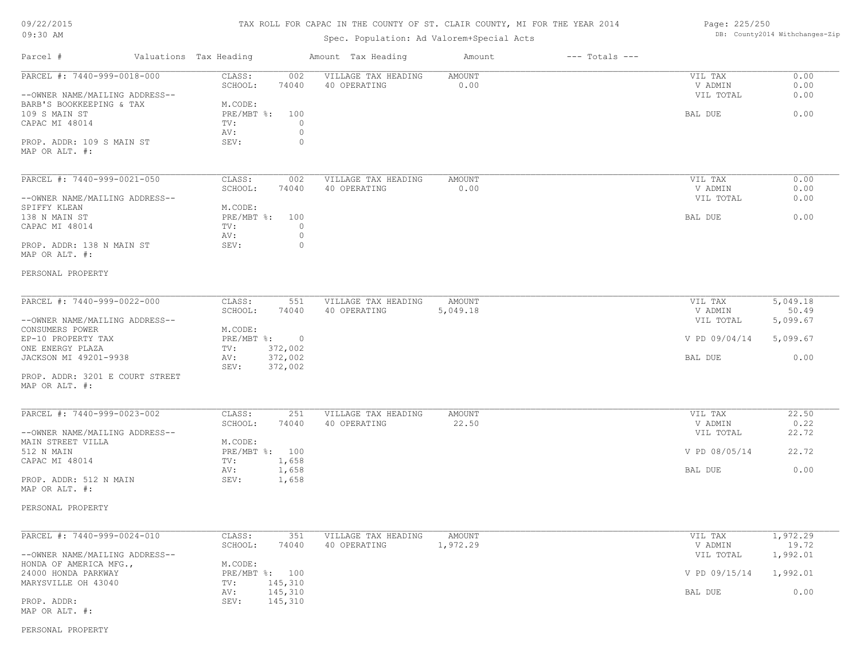# TAX ROLL FOR CAPAC IN THE COUNTY OF ST. CLAIR COUNTY, MI FOR THE YEAR 2014

# Spec. Population: Ad Valorem+Special Acts

| Page: 225/250 |                                |
|---------------|--------------------------------|
|               | DB: County2014 Withchanges-Zip |

| PARCEL #: 7440-999-0018-000<br>CLASS:<br>002<br>VILLAGE TAX HEADING<br>AMOUNT<br>VIL TAX<br>SCHOOL:<br>74040<br>40 OPERATING<br>0.00<br>V ADMIN<br>--OWNER NAME/MAILING ADDRESS--<br>VIL TOTAL<br>M.CODE:<br>PRE/MBT %:<br>100<br>BAL DUE<br>TV:<br>0<br>0<br>AV:<br>0<br>PROP. ADDR: 109 S MAIN ST<br>SEV:<br>PARCEL #: 7440-999-0021-050<br>CLASS:<br>002<br>VILLAGE TAX HEADING<br>AMOUNT<br>VIL TAX<br>SCHOOL:<br>74040<br>40 OPERATING<br>0.00<br>V ADMIN<br>--OWNER NAME/MAILING ADDRESS--<br>VIL TOTAL<br>SPIFFY KLEAN<br>M.CODE:<br>0.00<br>$PRE/MBT$ %:<br>100<br>138 N MAIN ST<br>BAL DUE<br>0<br>TV:<br>AV:<br>0<br>0<br>SEV:<br>PERSONAL PROPERTY<br>PARCEL #: 7440-999-0022-000<br>CLASS:<br>VILLAGE TAX HEADING<br>551<br>AMOUNT<br>VIL TAX<br>SCHOOL:<br>74040<br>40 OPERATING<br>5,049.18<br>V ADMIN<br>--OWNER NAME/MAILING ADDRESS--<br>5,099.67<br>VIL TOTAL<br>M.CODE:<br>$PRE/MBT$ $\div$ 0<br>V PD 09/04/14<br>372,002<br>ONE ENERGY PLAZA<br>TV:<br>372,002<br><b>BAL DUE</b><br>AV:<br>372,002<br>SEV:<br>PROP. ADDR: 3201 E COURT STREET<br>PARCEL #: 7440-999-0023-002<br>CLASS:<br>251<br>VILLAGE TAX HEADING<br>AMOUNT<br>VIL TAX<br>40 OPERATING<br>22.50<br>SCHOOL:<br>74040<br>V ADMIN<br>--OWNER NAME/MAILING ADDRESS--<br>VIL TOTAL<br>M.CODE:<br>512 N MAIN<br>PRE/MBT %: 100<br>V PD 08/05/14<br>1,658<br>CAPAC MI 48014<br>TV:<br>AV:<br>1,658<br>BAL DUE<br>SEV:<br>1,658<br>PERSONAL PROPERTY<br>PARCEL #: 7440-999-0024-010<br>CLASS:<br>351<br>1,972.29<br>VILLAGE TAX HEADING<br>AMOUNT<br>VIL TAX<br>1,972.29<br>SCHOOL:<br>74040<br>40 OPERATING<br>V ADMIN<br>1,992.01<br>--OWNER NAME/MAILING ADDRESS--<br>VIL TOTAL<br>M.CODE:<br>HONDA OF AMERICA MFG.,<br>24000 HONDA PARKWAY<br>PRE/MBT %: 100<br>V PD 09/15/14<br>MARYSVILLE OH 43040<br>145,310<br>TV:<br>145,310<br>BAL DUE<br>AV:<br>PROP. ADDR:<br>SEV:<br>145,310 | Parcel #                                                    | Valuations Tax Heading | Amount Tax Heading | Amount | $---$ Totals $---$ |                      |
|--------------------------------------------------------------------------------------------------------------------------------------------------------------------------------------------------------------------------------------------------------------------------------------------------------------------------------------------------------------------------------------------------------------------------------------------------------------------------------------------------------------------------------------------------------------------------------------------------------------------------------------------------------------------------------------------------------------------------------------------------------------------------------------------------------------------------------------------------------------------------------------------------------------------------------------------------------------------------------------------------------------------------------------------------------------------------------------------------------------------------------------------------------------------------------------------------------------------------------------------------------------------------------------------------------------------------------------------------------------------------------------------------------------------------------------------------------------------------------------------------------------------------------------------------------------------------------------------------------------------------------------------------------------------------------------------------------------------------------------------------------------------------------------------------------------------------------------------------------------------------|-------------------------------------------------------------|------------------------|--------------------|--------|--------------------|----------------------|
|                                                                                                                                                                                                                                                                                                                                                                                                                                                                                                                                                                                                                                                                                                                                                                                                                                                                                                                                                                                                                                                                                                                                                                                                                                                                                                                                                                                                                                                                                                                                                                                                                                                                                                                                                                                                                                                                          |                                                             |                        |                    |        |                    | 0.00<br>0.00<br>0.00 |
|                                                                                                                                                                                                                                                                                                                                                                                                                                                                                                                                                                                                                                                                                                                                                                                                                                                                                                                                                                                                                                                                                                                                                                                                                                                                                                                                                                                                                                                                                                                                                                                                                                                                                                                                                                                                                                                                          | BARB'S BOOKKEEPING & TAX<br>109 S MAIN ST<br>CAPAC MI 48014 |                        |                    |        |                    | 0.00                 |
|                                                                                                                                                                                                                                                                                                                                                                                                                                                                                                                                                                                                                                                                                                                                                                                                                                                                                                                                                                                                                                                                                                                                                                                                                                                                                                                                                                                                                                                                                                                                                                                                                                                                                                                                                                                                                                                                          | MAP OR ALT. #:                                              |                        |                    |        |                    |                      |
|                                                                                                                                                                                                                                                                                                                                                                                                                                                                                                                                                                                                                                                                                                                                                                                                                                                                                                                                                                                                                                                                                                                                                                                                                                                                                                                                                                                                                                                                                                                                                                                                                                                                                                                                                                                                                                                                          |                                                             |                        |                    |        |                    | 0.00<br>0.00         |
|                                                                                                                                                                                                                                                                                                                                                                                                                                                                                                                                                                                                                                                                                                                                                                                                                                                                                                                                                                                                                                                                                                                                                                                                                                                                                                                                                                                                                                                                                                                                                                                                                                                                                                                                                                                                                                                                          |                                                             |                        |                    |        |                    | 0.00                 |
|                                                                                                                                                                                                                                                                                                                                                                                                                                                                                                                                                                                                                                                                                                                                                                                                                                                                                                                                                                                                                                                                                                                                                                                                                                                                                                                                                                                                                                                                                                                                                                                                                                                                                                                                                                                                                                                                          |                                                             |                        |                    |        |                    |                      |
|                                                                                                                                                                                                                                                                                                                                                                                                                                                                                                                                                                                                                                                                                                                                                                                                                                                                                                                                                                                                                                                                                                                                                                                                                                                                                                                                                                                                                                                                                                                                                                                                                                                                                                                                                                                                                                                                          | CAPAC MI 48014                                              |                        |                    |        |                    |                      |
|                                                                                                                                                                                                                                                                                                                                                                                                                                                                                                                                                                                                                                                                                                                                                                                                                                                                                                                                                                                                                                                                                                                                                                                                                                                                                                                                                                                                                                                                                                                                                                                                                                                                                                                                                                                                                                                                          | PROP. ADDR: 138 N MAIN ST<br>MAP OR ALT. #:                 |                        |                    |        |                    |                      |
|                                                                                                                                                                                                                                                                                                                                                                                                                                                                                                                                                                                                                                                                                                                                                                                                                                                                                                                                                                                                                                                                                                                                                                                                                                                                                                                                                                                                                                                                                                                                                                                                                                                                                                                                                                                                                                                                          |                                                             |                        |                    |        |                    |                      |
|                                                                                                                                                                                                                                                                                                                                                                                                                                                                                                                                                                                                                                                                                                                                                                                                                                                                                                                                                                                                                                                                                                                                                                                                                                                                                                                                                                                                                                                                                                                                                                                                                                                                                                                                                                                                                                                                          |                                                             |                        |                    |        |                    | 5,049.18             |
|                                                                                                                                                                                                                                                                                                                                                                                                                                                                                                                                                                                                                                                                                                                                                                                                                                                                                                                                                                                                                                                                                                                                                                                                                                                                                                                                                                                                                                                                                                                                                                                                                                                                                                                                                                                                                                                                          |                                                             |                        |                    |        |                    | 50.49                |
|                                                                                                                                                                                                                                                                                                                                                                                                                                                                                                                                                                                                                                                                                                                                                                                                                                                                                                                                                                                                                                                                                                                                                                                                                                                                                                                                                                                                                                                                                                                                                                                                                                                                                                                                                                                                                                                                          | CONSUMERS POWER                                             |                        |                    |        |                    |                      |
|                                                                                                                                                                                                                                                                                                                                                                                                                                                                                                                                                                                                                                                                                                                                                                                                                                                                                                                                                                                                                                                                                                                                                                                                                                                                                                                                                                                                                                                                                                                                                                                                                                                                                                                                                                                                                                                                          | EP-10 PROPERTY TAX                                          |                        |                    |        |                    | 5,099.67             |
|                                                                                                                                                                                                                                                                                                                                                                                                                                                                                                                                                                                                                                                                                                                                                                                                                                                                                                                                                                                                                                                                                                                                                                                                                                                                                                                                                                                                                                                                                                                                                                                                                                                                                                                                                                                                                                                                          | JACKSON MI 49201-9938                                       |                        |                    |        |                    | 0.00                 |
|                                                                                                                                                                                                                                                                                                                                                                                                                                                                                                                                                                                                                                                                                                                                                                                                                                                                                                                                                                                                                                                                                                                                                                                                                                                                                                                                                                                                                                                                                                                                                                                                                                                                                                                                                                                                                                                                          | MAP OR ALT. #:                                              |                        |                    |        |                    |                      |
|                                                                                                                                                                                                                                                                                                                                                                                                                                                                                                                                                                                                                                                                                                                                                                                                                                                                                                                                                                                                                                                                                                                                                                                                                                                                                                                                                                                                                                                                                                                                                                                                                                                                                                                                                                                                                                                                          |                                                             |                        |                    |        |                    | 22.50                |
|                                                                                                                                                                                                                                                                                                                                                                                                                                                                                                                                                                                                                                                                                                                                                                                                                                                                                                                                                                                                                                                                                                                                                                                                                                                                                                                                                                                                                                                                                                                                                                                                                                                                                                                                                                                                                                                                          |                                                             |                        |                    |        |                    | 0.22<br>22.72        |
|                                                                                                                                                                                                                                                                                                                                                                                                                                                                                                                                                                                                                                                                                                                                                                                                                                                                                                                                                                                                                                                                                                                                                                                                                                                                                                                                                                                                                                                                                                                                                                                                                                                                                                                                                                                                                                                                          | MAIN STREET VILLA                                           |                        |                    |        |                    |                      |
|                                                                                                                                                                                                                                                                                                                                                                                                                                                                                                                                                                                                                                                                                                                                                                                                                                                                                                                                                                                                                                                                                                                                                                                                                                                                                                                                                                                                                                                                                                                                                                                                                                                                                                                                                                                                                                                                          |                                                             |                        |                    |        |                    | 22.72                |
|                                                                                                                                                                                                                                                                                                                                                                                                                                                                                                                                                                                                                                                                                                                                                                                                                                                                                                                                                                                                                                                                                                                                                                                                                                                                                                                                                                                                                                                                                                                                                                                                                                                                                                                                                                                                                                                                          |                                                             |                        |                    |        |                    | 0.00                 |
|                                                                                                                                                                                                                                                                                                                                                                                                                                                                                                                                                                                                                                                                                                                                                                                                                                                                                                                                                                                                                                                                                                                                                                                                                                                                                                                                                                                                                                                                                                                                                                                                                                                                                                                                                                                                                                                                          | PROP. ADDR: 512 N MAIN<br>MAP OR ALT. #:                    |                        |                    |        |                    |                      |
|                                                                                                                                                                                                                                                                                                                                                                                                                                                                                                                                                                                                                                                                                                                                                                                                                                                                                                                                                                                                                                                                                                                                                                                                                                                                                                                                                                                                                                                                                                                                                                                                                                                                                                                                                                                                                                                                          |                                                             |                        |                    |        |                    |                      |
|                                                                                                                                                                                                                                                                                                                                                                                                                                                                                                                                                                                                                                                                                                                                                                                                                                                                                                                                                                                                                                                                                                                                                                                                                                                                                                                                                                                                                                                                                                                                                                                                                                                                                                                                                                                                                                                                          |                                                             |                        |                    |        |                    |                      |
|                                                                                                                                                                                                                                                                                                                                                                                                                                                                                                                                                                                                                                                                                                                                                                                                                                                                                                                                                                                                                                                                                                                                                                                                                                                                                                                                                                                                                                                                                                                                                                                                                                                                                                                                                                                                                                                                          |                                                             |                        |                    |        |                    | 19.72                |
|                                                                                                                                                                                                                                                                                                                                                                                                                                                                                                                                                                                                                                                                                                                                                                                                                                                                                                                                                                                                                                                                                                                                                                                                                                                                                                                                                                                                                                                                                                                                                                                                                                                                                                                                                                                                                                                                          |                                                             |                        |                    |        |                    |                      |
|                                                                                                                                                                                                                                                                                                                                                                                                                                                                                                                                                                                                                                                                                                                                                                                                                                                                                                                                                                                                                                                                                                                                                                                                                                                                                                                                                                                                                                                                                                                                                                                                                                                                                                                                                                                                                                                                          |                                                             |                        |                    |        |                    | 1,992.01             |
|                                                                                                                                                                                                                                                                                                                                                                                                                                                                                                                                                                                                                                                                                                                                                                                                                                                                                                                                                                                                                                                                                                                                                                                                                                                                                                                                                                                                                                                                                                                                                                                                                                                                                                                                                                                                                                                                          |                                                             |                        |                    |        |                    | 0.00                 |
|                                                                                                                                                                                                                                                                                                                                                                                                                                                                                                                                                                                                                                                                                                                                                                                                                                                                                                                                                                                                                                                                                                                                                                                                                                                                                                                                                                                                                                                                                                                                                                                                                                                                                                                                                                                                                                                                          | MAP OR ALT. #:                                              |                        |                    |        |                    |                      |

PERSONAL PROPERTY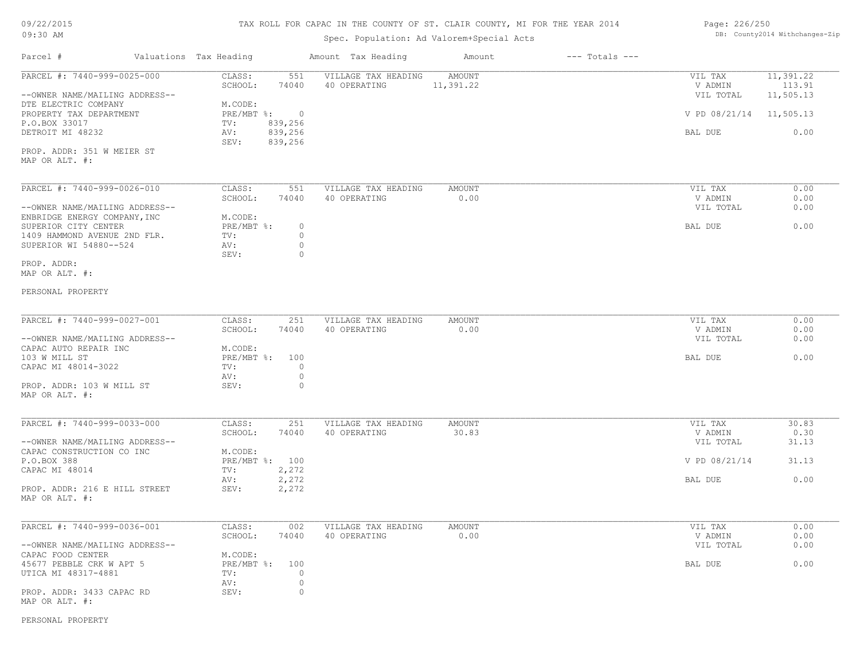# TAX ROLL FOR CAPAC IN THE COUNTY OF ST. CLAIR COUNTY, MI FOR THE YEAR 2014

# Spec. Population: Ad Valorem+Special Acts

## Page: 226/250 DB: County2014 Withchanges-Zip

| Parcel #                                                | Valuations Tax Heading |                                              | Amount Tax Heading                  | Amount                | $---$ Totals $---$ |                         |                     |
|---------------------------------------------------------|------------------------|----------------------------------------------|-------------------------------------|-----------------------|--------------------|-------------------------|---------------------|
| PARCEL #: 7440-999-0025-000                             |                        | CLASS:<br>551                                | VILLAGE TAX HEADING                 | AMOUNT                |                    | VIL TAX                 | 11,391.22           |
| --OWNER NAME/MAILING ADDRESS--                          |                        | SCHOOL:<br>74040                             | 40 OPERATING                        | 11,391.22             |                    | V ADMIN<br>VIL TOTAL    | 113.91<br>11,505.13 |
| DTE ELECTRIC COMPANY<br>PROPERTY TAX DEPARTMENT         |                        | M.CODE:<br>PRE/MBT %: 0                      |                                     |                       |                    | V PD 08/21/14 11,505.13 |                     |
| P.O.BOX 33017                                           |                        | 839,256<br>TV:                               |                                     |                       |                    |                         |                     |
| DETROIT MI 48232                                        |                        | 839,256<br>AV:<br>839,256<br>SEV:            |                                     |                       |                    | BAL DUE                 | 0.00                |
| PROP. ADDR: 351 W MEIER ST<br>MAP OR ALT. #:            |                        |                                              |                                     |                       |                    |                         |                     |
|                                                         |                        |                                              |                                     |                       |                    |                         |                     |
| PARCEL #: 7440-999-0026-010                             |                        | CLASS:<br>551<br>SCHOOL:<br>74040            | VILLAGE TAX HEADING<br>40 OPERATING | <b>AMOUNT</b><br>0.00 |                    | VIL TAX<br>V ADMIN      | 0.00<br>0.00        |
| --OWNER NAME/MAILING ADDRESS--                          |                        |                                              |                                     |                       |                    | VIL TOTAL               | 0.00                |
| ENBRIDGE ENERGY COMPANY, INC                            |                        | M.CODE:<br>PRE/MBT %:<br>$\circ$             |                                     |                       |                    | BAL DUE                 | 0.00                |
| SUPERIOR CITY CENTER<br>1409 HAMMOND AVENUE 2ND FLR.    |                        | TV:<br>$\circ$                               |                                     |                       |                    |                         |                     |
| SUPERIOR WI 54880--524                                  |                        | $\circ$<br>AV:<br>SEV:<br>$\circ$            |                                     |                       |                    |                         |                     |
| PROP. ADDR:<br>MAP OR ALT. #:                           |                        |                                              |                                     |                       |                    |                         |                     |
|                                                         |                        |                                              |                                     |                       |                    |                         |                     |
| PERSONAL PROPERTY                                       |                        |                                              |                                     |                       |                    |                         |                     |
| PARCEL #: 7440-999-0027-001                             |                        | CLASS:<br>251                                | VILLAGE TAX HEADING                 | AMOUNT                |                    | VIL TAX                 | 0.00                |
|                                                         |                        | SCHOOL:<br>74040                             | 40 OPERATING                        | 0.00                  |                    | V ADMIN                 | 0.00                |
| --OWNER NAME/MAILING ADDRESS--<br>CAPAC AUTO REPAIR INC |                        | M.CODE:                                      |                                     |                       |                    | VIL TOTAL               | 0.00                |
| 103 W MILL ST                                           |                        | PRE/MBT %: 100                               |                                     |                       |                    | BAL DUE                 | 0.00                |
| CAPAC MI 48014-3022                                     |                        | $\Omega$<br>TV:                              |                                     |                       |                    |                         |                     |
| PROP. ADDR: 103 W MILL ST                               |                        | $\circ$<br>AV:<br>SEV:<br>$\circ$            |                                     |                       |                    |                         |                     |
| MAP OR ALT. #:                                          |                        |                                              |                                     |                       |                    |                         |                     |
| PARCEL #: 7440-999-0033-000                             |                        | CLASS:<br>251                                | VILLAGE TAX HEADING                 | AMOUNT                |                    | VIL TAX                 | 30.83               |
|                                                         |                        | SCHOOL:<br>74040                             | 40 OPERATING                        | 30.83                 |                    | V ADMIN                 | 0.30                |
| --OWNER NAME/MAILING ADDRESS--                          |                        | M.CODE:                                      |                                     |                       |                    | VIL TOTAL               | 31.13               |
| CAPAC CONSTRUCTION CO INC<br>P.O.BOX 388                |                        | PRE/MBT %: 100                               |                                     |                       |                    | V PD 08/21/14           | 31.13               |
| CAPAC MI 48014                                          |                        | 2,272<br>TV:                                 |                                     |                       |                    |                         |                     |
|                                                         |                        | 2,272<br>AV:                                 |                                     |                       |                    | BAL DUE                 | 0.00                |
| PROP. ADDR: 216 E HILL STREET<br>MAP OR ALT. #:         |                        | SEV:<br>2,272                                |                                     |                       |                    |                         |                     |
| PARCEL #: 7440-999-0036-001                             |                        | CLASS:<br>002                                | VILLAGE TAX HEADING                 | <b>AMOUNT</b>         |                    | VIL TAX                 | 0.00                |
|                                                         |                        | SCHOOL:<br>74040                             | 40 OPERATING                        | 0.00                  |                    | V ADMIN                 | 0.00                |
| --OWNER NAME/MAILING ADDRESS--                          |                        |                                              |                                     |                       |                    | VIL TOTAL               | 0.00                |
| CAPAC FOOD CENTER                                       |                        | M.CODE:                                      |                                     |                       |                    |                         | 0.00                |
| 45677 PEBBLE CRK W APT 5<br>UTICA MI 48317-4881         |                        | PRE/MBT %: 100<br>$\Omega$<br>TV:<br>$\circ$ |                                     |                       |                    | BAL DUE                 |                     |
| PROP. ADDR: 3433 CAPAC RD<br>MAP OR ALT. #:             |                        | AV:<br>SEV:<br>$\circ$                       |                                     |                       |                    |                         |                     |

PERSONAL PROPERTY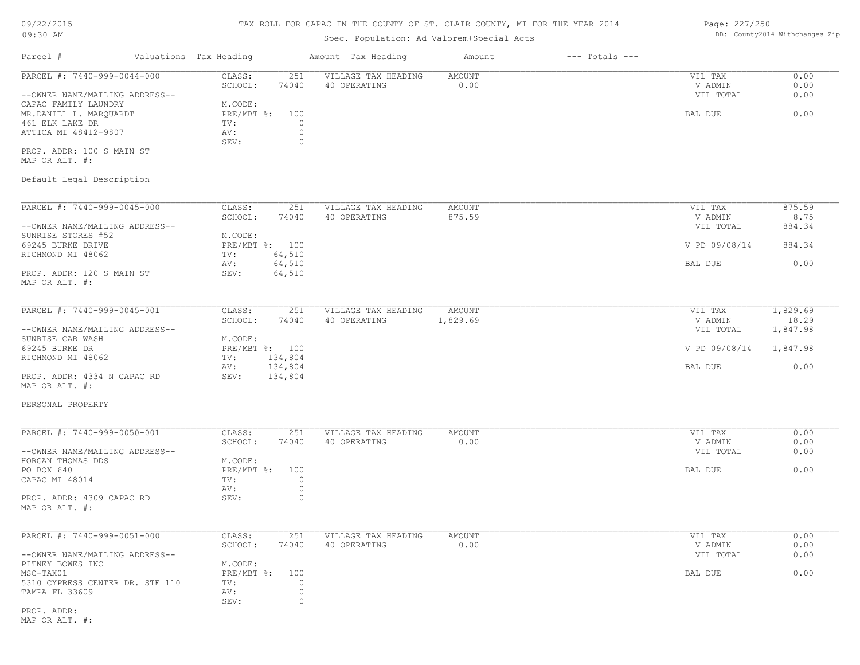# TAX ROLL FOR CAPAC IN THE COUNTY OF ST. CLAIR COUNTY, MI FOR THE YEAR 2014

# Spec. Population: Ad Valorem+Special Acts

## Page: 227/250 DB: County2014 Withchanges-Zip

| Parcel #                                       | Valuations Tax Heading                             | Amount Tax Heading                  | Amount                | $---$ Totals $---$ |                    |              |
|------------------------------------------------|----------------------------------------------------|-------------------------------------|-----------------------|--------------------|--------------------|--------------|
| PARCEL #: 7440-999-0044-000                    | CLASS:<br>251<br>SCHOOL:<br>74040                  | VILLAGE TAX HEADING<br>40 OPERATING | AMOUNT<br>0.00        |                    | VIL TAX<br>V ADMIN | 0.00<br>0.00 |
| --OWNER NAME/MAILING ADDRESS--                 |                                                    |                                     |                       |                    | VIL TOTAL          | 0.00         |
| CAPAC FAMILY LAUNDRY<br>MR.DANIEL L. MARQUARDT | M.CODE:<br>PRE/MBT %:<br>100                       |                                     |                       |                    | BAL DUE            | 0.00         |
| 461 ELK LAKE DR<br>ATTICA MI 48412-9807        | TV:<br>$\circ$<br>$\circ$                          |                                     |                       |                    |                    |              |
|                                                | AV:<br>$\circ$<br>SEV:                             |                                     |                       |                    |                    |              |
| PROP. ADDR: 100 S MAIN ST<br>MAP OR ALT. #:    |                                                    |                                     |                       |                    |                    |              |
| Default Legal Description                      |                                                    |                                     |                       |                    |                    |              |
| PARCEL #: 7440-999-0045-000                    | CLASS:<br>251                                      | VILLAGE TAX HEADING                 | AMOUNT                |                    | VIL TAX            | 875.59       |
|                                                | SCHOOL:<br>74040                                   | 40 OPERATING                        | 875.59                |                    | V ADMIN            | 8.75         |
| --OWNER NAME/MAILING ADDRESS--                 |                                                    |                                     |                       |                    | VIL TOTAL          | 884.34       |
| SUNRISE STORES #52                             | M.CODE:                                            |                                     |                       |                    |                    |              |
| 69245 BURKE DRIVE<br>RICHMOND MI 48062         | PRE/MBT %: 100<br>64,510<br>TV:                    |                                     |                       |                    | V PD 09/08/14      | 884.34       |
|                                                | 64,510<br>AV:                                      |                                     |                       |                    | BAL DUE            | 0.00         |
| PROP. ADDR: 120 S MAIN ST<br>MAP OR ALT. #:    | SEV:<br>64,510                                     |                                     |                       |                    |                    |              |
| PARCEL #: 7440-999-0045-001                    | CLASS:<br>251                                      | VILLAGE TAX HEADING                 | AMOUNT                |                    | VIL TAX            | 1,829.69     |
|                                                | SCHOOL:<br>74040                                   | 40 OPERATING                        | 1,829.69              |                    | V ADMIN            | 18.29        |
| --OWNER NAME/MAILING ADDRESS--                 |                                                    |                                     |                       |                    | VIL TOTAL          | 1,847.98     |
| SUNRISE CAR WASH<br>69245 BURKE DR             | M.CODE:<br>PRE/MBT %: 100                          |                                     |                       |                    | V PD 09/08/14      | 1,847.98     |
| RICHMOND MI 48062                              | 134,804<br>TV:                                     |                                     |                       |                    |                    |              |
|                                                | 134,804<br>AV:                                     |                                     |                       |                    | BAL DUE            | 0.00         |
| PROP. ADDR: 4334 N CAPAC RD<br>MAP OR ALT. #:  | SEV:<br>134,804                                    |                                     |                       |                    |                    |              |
| PERSONAL PROPERTY                              |                                                    |                                     |                       |                    |                    |              |
| PARCEL #: 7440-999-0050-001                    | CLASS:<br>251                                      | VILLAGE TAX HEADING                 | AMOUNT                |                    | VIL TAX            | 0.00         |
|                                                | SCHOOL:<br>74040                                   | 40 OPERATING                        | 0.00                  |                    | V ADMIN            | 0.00         |
| --OWNER NAME/MAILING ADDRESS--                 |                                                    |                                     |                       |                    | VIL TOTAL          | 0.00         |
| HORGAN THOMAS DDS                              | M.CODE:                                            |                                     |                       |                    |                    |              |
| PO BOX 640<br>CAPAC MI 48014                   | $PRE/MBT$ $\frac{1}{6}$ :<br>100<br>$\circ$<br>TV: |                                     |                       |                    | BAL DUE            | 0.00         |
|                                                | $\circ$<br>AV:                                     |                                     |                       |                    |                    |              |
| PROP. ADDR: 4309 CAPAC RD<br>MAP OR ALT. #:    | $\circ$<br>SEV:                                    |                                     |                       |                    |                    |              |
|                                                |                                                    |                                     |                       |                    |                    |              |
| PARCEL #: 7440-999-0051-000                    | CLASS:<br>251<br>SCHOOL:<br>74040                  | VILLAGE TAX HEADING<br>40 OPERATING | <b>AMOUNT</b><br>0.00 |                    | VIL TAX<br>V ADMIN | 0.00<br>0.00 |
| --OWNER NAME/MAILING ADDRESS--                 |                                                    |                                     |                       |                    | VIL TOTAL          | 0.00         |
| PITNEY BOWES INC                               | M.CODE:                                            |                                     |                       |                    |                    |              |
| MSC-TAX01                                      | PRE/MBT %:<br>100                                  |                                     |                       |                    | BAL DUE            | 0.00         |
| 5310 CYPRESS CENTER DR. STE 110                | 0<br>TV:                                           |                                     |                       |                    |                    |              |
| TAMPA FL 33609                                 | $\circ$<br>AV:<br>0<br>SEV:                        |                                     |                       |                    |                    |              |
| PROP. ADDR:                                    |                                                    |                                     |                       |                    |                    |              |
| MAP OR ALT. #:                                 |                                                    |                                     |                       |                    |                    |              |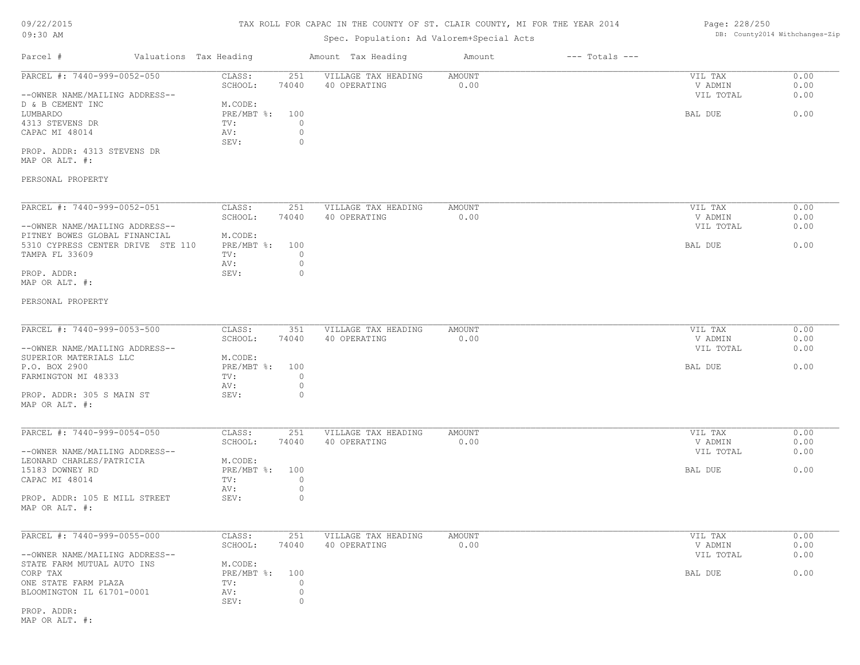# 09/22/2015

## TAX ROLL FOR CAPAC IN THE COUNTY OF ST. CLAIR COUNTY, MI FOR THE YEAR 2014 Page: 228/250

| 09:30 AM                                                                                                              |                                                                                     | Spec. Population: Ad Valorem+Special Acts |                              | DB: County2014 Withchanges-Zip  |                      |  |
|-----------------------------------------------------------------------------------------------------------------------|-------------------------------------------------------------------------------------|-------------------------------------------|------------------------------|---------------------------------|----------------------|--|
| Parcel #<br>Valuations Tax Heading                                                                                    |                                                                                     | Amount Tax Heading                        | $---$ Totals $---$<br>Amount |                                 |                      |  |
| PARCEL #: 7440-999-0052-050<br>--OWNER NAME/MAILING ADDRESS--<br>D & B CEMENT INC                                     | CLASS:<br>251<br>SCHOOL:<br>74040<br>M.CODE:                                        | VILLAGE TAX HEADING<br>40 OPERATING       | AMOUNT<br>0.00               | VIL TAX<br>V ADMIN<br>VIL TOTAL | 0.00<br>0.00<br>0.00 |  |
| LUMBARDO<br>4313 STEVENS DR<br>CAPAC MI 48014<br>PROP. ADDR: 4313 STEVENS DR<br>MAP OR ALT. #:                        | PRE/MBT %:<br>100<br>TV:<br>$\circ$<br>$\circ$<br>AV:<br>SEV:<br>$\circ$            |                                           |                              | BAL DUE                         | 0.00                 |  |
| PERSONAL PROPERTY                                                                                                     |                                                                                     |                                           |                              |                                 |                      |  |
| PARCEL #: 7440-999-0052-051<br>--OWNER NAME/MAILING ADDRESS--                                                         | CLASS:<br>251<br>SCHOOL:<br>74040                                                   | VILLAGE TAX HEADING<br>40 OPERATING       | AMOUNT<br>0.00               | VIL TAX<br>V ADMIN<br>VIL TOTAL | 0.00<br>0.00<br>0.00 |  |
| PITNEY BOWES GLOBAL FINANCIAL<br>5310 CYPRESS CENTER DRIVE STE 110<br>TAMPA FL 33609<br>PROP. ADDR:<br>MAP OR ALT. #: | M.CODE:<br>PRE/MBT %:<br>100<br>$\circ$<br>TV:<br>$\circ$<br>AV:<br>SEV:<br>$\circ$ |                                           |                              | BAL DUE                         | 0.00                 |  |
| PERSONAL PROPERTY                                                                                                     |                                                                                     |                                           |                              |                                 |                      |  |
| PARCEL #: 7440-999-0053-500<br>--OWNER NAME/MAILING ADDRESS--                                                         | CLASS:<br>351<br>SCHOOL:<br>74040                                                   | VILLAGE TAX HEADING<br>40 OPERATING       | AMOUNT<br>0.00               | VIL TAX<br>V ADMIN<br>VIL TOTAL | 0.00<br>0.00<br>0.00 |  |
| SUPERIOR MATERIALS LLC<br>P.O. BOX 2900<br>FARMINGTON MI 48333                                                        | M.CODE:<br>PRE/MBT %:<br>100<br>$\circ$<br>TV:<br>AV:<br>$\circ$                    |                                           |                              | BAL DUE                         | 0.00                 |  |
| PROP. ADDR: 305 S MAIN ST<br>MAP OR ALT. #:                                                                           | SEV:<br>0                                                                           |                                           |                              |                                 |                      |  |
| PARCEL #: 7440-999-0054-050<br>--OWNER NAME/MAILING ADDRESS--                                                         | CLASS:<br>251<br>SCHOOL:<br>74040                                                   | VILLAGE TAX HEADING<br>40 OPERATING       | <b>AMOUNT</b><br>0.00        | VIL TAX<br>V ADMIN<br>VIL TOTAL | 0.00<br>0.00<br>0.00 |  |
| LEONARD CHARLES/PATRICIA<br>15183 DOWNEY RD<br>CAPAC MI 48014                                                         | M.CODE:<br>PRE/MBT %:<br>100<br>$\circ$<br>TV:<br>$\circ$<br>AV:                    |                                           |                              | BAL DUE                         | 0.00                 |  |
| PROP. ADDR: 105 E MILL STREET<br>MAP OR ALT. #:                                                                       | $\circ$<br>SEV:                                                                     |                                           |                              |                                 |                      |  |
| PARCEL #: 7440-999-0055-000<br>--OWNER NAME/MAILING ADDRESS--                                                         | 251<br>CLASS:<br>SCHOOL:<br>74040                                                   | VILLAGE TAX HEADING<br>40 OPERATING       | AMOUNT<br>0.00               | VIL TAX<br>V ADMIN<br>VIL TOTAL | 0.00<br>0.00<br>0.00 |  |
| STATE FARM MUTUAL AUTO INS<br>CORP TAX<br>ONE STATE FARM PLAZA<br>BLOOMINGTON IL 61701-0001                           | M.CODE:<br>PRE/MBT %:<br>100<br>$\circ$<br>TV:<br>0<br>AV:<br>0<br>SEV:             |                                           |                              | BAL DUE                         | 0.00                 |  |
| PROP. ADDR:<br>MAP OR ALT. #:                                                                                         |                                                                                     |                                           |                              |                                 |                      |  |
|                                                                                                                       |                                                                                     |                                           |                              |                                 |                      |  |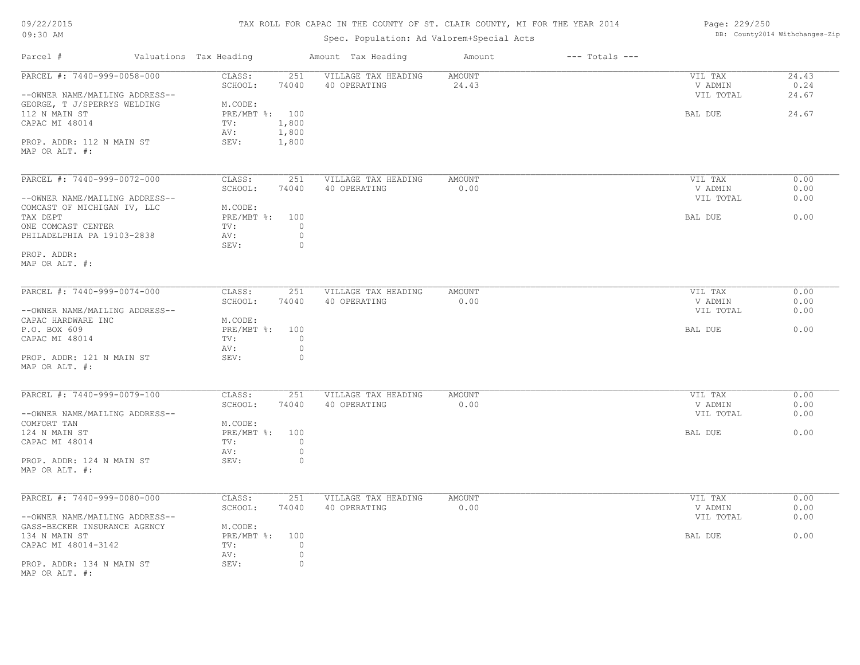| 09/22/2015 |  |
|------------|--|
| 09:30 AM   |  |

# TAX ROLL FOR CAPAC IN THE COUNTY OF ST. CLAIR COUNTY, MI FOR THE YEAR 2014

Spec. Population: Ad Valorem+Special Acts

Page: 229/250 DB: County2014 Withchanges-Zip

| Parcel #                                                      | Valuations Tax Heading            | Amount Tax Heading                  | Amount                 | $---$ Totals $---$ |                    |               |
|---------------------------------------------------------------|-----------------------------------|-------------------------------------|------------------------|--------------------|--------------------|---------------|
| PARCEL #: 7440-999-0058-000                                   | 251<br>CLASS:<br>SCHOOL:<br>74040 | VILLAGE TAX HEADING<br>40 OPERATING | <b>AMOUNT</b><br>24.43 |                    | VIL TAX<br>V ADMIN | 24.43<br>0.24 |
| --OWNER NAME/MAILING ADDRESS--<br>GEORGE, T J/SPERRYS WELDING | M.CODE:                           |                                     |                        |                    | VIL TOTAL          | 24.67         |
| 112 N MAIN ST                                                 | PRE/MBT %: 100                    |                                     |                        |                    | BAL DUE            | 24.67         |
| CAPAC MI 48014                                                | 1,800<br>TV:                      |                                     |                        |                    |                    |               |
|                                                               | AV:<br>1,800                      |                                     |                        |                    |                    |               |
| PROP. ADDR: 112 N MAIN ST                                     | 1,800<br>SEV:                     |                                     |                        |                    |                    |               |
| MAP OR ALT. #:                                                |                                   |                                     |                        |                    |                    |               |
| PARCEL #: 7440-999-0072-000                                   | CLASS:<br>251                     | VILLAGE TAX HEADING                 | AMOUNT                 |                    | VIL TAX            | 0.00          |
|                                                               | SCHOOL:<br>74040                  | 40 OPERATING                        | 0.00                   |                    | V ADMIN            | 0.00          |
| --OWNER NAME/MAILING ADDRESS--                                |                                   |                                     |                        |                    | VIL TOTAL          | 0.00          |
| COMCAST OF MICHIGAN IV, LLC                                   | M.CODE:                           |                                     |                        |                    |                    |               |
| TAX DEPT                                                      | PRE/MBT %: 100                    |                                     |                        |                    | BAL DUE            | 0.00          |
| ONE COMCAST CENTER                                            | $\circ$<br>TV:                    |                                     |                        |                    |                    |               |
| PHILADELPHIA PA 19103-2838                                    | $\circ$<br>AV:                    |                                     |                        |                    |                    |               |
|                                                               | SEV:<br>$\circ$                   |                                     |                        |                    |                    |               |
| PROP. ADDR:                                                   |                                   |                                     |                        |                    |                    |               |
| MAP OR ALT. #:                                                |                                   |                                     |                        |                    |                    |               |
| PARCEL #: 7440-999-0074-000                                   | CLASS:<br>251                     | VILLAGE TAX HEADING                 | <b>AMOUNT</b>          |                    | VIL TAX            | 0.00          |
|                                                               | SCHOOL:<br>74040                  | 40 OPERATING                        | 0.00                   |                    | V ADMIN            | 0.00          |
| --OWNER NAME/MAILING ADDRESS--                                |                                   |                                     |                        |                    | VIL TOTAL          | 0.00          |
| CAPAC HARDWARE INC                                            | M.CODE:                           |                                     |                        |                    |                    |               |
| P.O. BOX 609                                                  | PRE/MBT %: 100                    |                                     |                        |                    | BAL DUE            | 0.00          |
| CAPAC MI 48014                                                | $\circ$<br>TV:                    |                                     |                        |                    |                    |               |
|                                                               | $\circ$<br>AV:                    |                                     |                        |                    |                    |               |
| PROP. ADDR: 121 N MAIN ST                                     | SEV:<br>$\circ$                   |                                     |                        |                    |                    |               |
| MAP OR ALT. #:                                                |                                   |                                     |                        |                    |                    |               |
| PARCEL #: 7440-999-0079-100                                   | CLASS:<br>251                     | VILLAGE TAX HEADING                 | <b>AMOUNT</b>          |                    | VIL TAX            | 0.00          |
|                                                               | SCHOOL:<br>74040                  | 40 OPERATING                        | 0.00                   |                    | V ADMIN            | 0.00          |
| --OWNER NAME/MAILING ADDRESS--                                |                                   |                                     |                        |                    | VIL TOTAL          | 0.00          |
| COMFORT TAN                                                   | M.CODE:                           |                                     |                        |                    |                    |               |
| 124 N MAIN ST                                                 | PRE/MBT %: 100                    |                                     |                        |                    | BAL DUE            | 0.00          |
| CAPAC MI 48014                                                | TV:<br>$\circ$                    |                                     |                        |                    |                    |               |
| PROP. ADDR: 124 N MAIN ST                                     | $\circ$<br>AV:<br>$\circ$<br>SEV: |                                     |                        |                    |                    |               |
| MAP OR ALT. #:                                                |                                   |                                     |                        |                    |                    |               |
|                                                               |                                   |                                     |                        |                    |                    |               |
| PARCEL #: 7440-999-0080-000                                   | CLASS:<br>251                     | VILLAGE TAX HEADING                 | <b>AMOUNT</b>          |                    | VIL TAX            | 0.00          |
|                                                               | SCHOOL:<br>74040                  | 40 OPERATING                        | 0.00                   |                    | V ADMIN            | 0.00          |
| --OWNER NAME/MAILING ADDRESS--                                |                                   |                                     |                        |                    | VIL TOTAL          | 0.00          |
| GASS-BECKER INSURANCE AGENCY                                  | M.CODE:                           |                                     |                        |                    |                    |               |
| 134 N MAIN ST                                                 | PRE/MBT %: 100                    |                                     |                        |                    | BAL DUE            | 0.00          |
| CAPAC MI 48014-3142                                           | $\circ$<br>TV:                    |                                     |                        |                    |                    |               |
| PROP. ADDR: 134 N MAIN ST                                     | $\circ$<br>AV:<br>SEV:<br>$\circ$ |                                     |                        |                    |                    |               |
| MAP OR ALT. #:                                                |                                   |                                     |                        |                    |                    |               |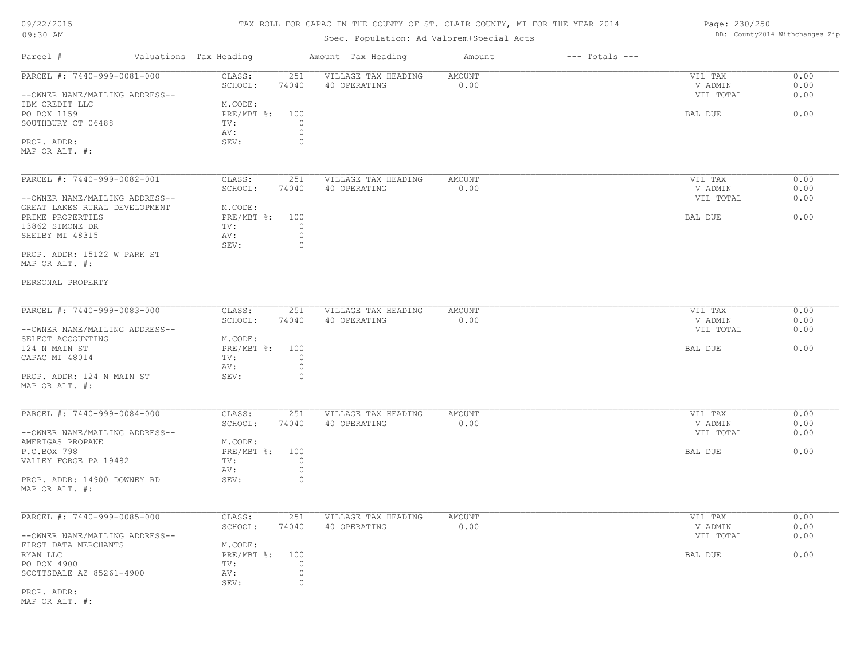# TAX ROLL FOR CAPAC IN THE COUNTY OF ST. CLAIR COUNTY, MI FOR THE YEAR 2014

# Spec. Population: Ad Valorem+Special Acts

| Page: 230/250 |                                |
|---------------|--------------------------------|
|               | DB: County2014 Withchanges-Zip |

| Parcel #                                      | Valuations Tax Heading    |                    | Amount Tax Heading  | Amount        | $---$ Totals $---$ |                      |              |
|-----------------------------------------------|---------------------------|--------------------|---------------------|---------------|--------------------|----------------------|--------------|
| PARCEL #: 7440-999-0081-000                   | CLASS:                    | 251                | VILLAGE TAX HEADING | <b>AMOUNT</b> |                    | VIL TAX              | 0.00         |
| --OWNER NAME/MAILING ADDRESS--                | SCHOOL:                   | 74040              | 40 OPERATING        | 0.00          |                    | V ADMIN<br>VIL TOTAL | 0.00<br>0.00 |
| IBM CREDIT LLC                                | M.CODE:                   |                    |                     |               |                    |                      | 0.00         |
| PO BOX 1159<br>SOUTHBURY CT 06488             | PRE/MBT %: 100<br>TV:     | $\circ$            |                     |               |                    | BAL DUE              |              |
|                                               | AV:                       | $\circ$            |                     |               |                    |                      |              |
| PROP. ADDR:                                   | SEV:                      | $\circ$            |                     |               |                    |                      |              |
| MAP OR ALT. #:                                |                           |                    |                     |               |                    |                      |              |
|                                               |                           |                    |                     |               |                    |                      |              |
| PARCEL #: 7440-999-0082-001                   | CLASS:                    | 251                | VILLAGE TAX HEADING | <b>AMOUNT</b> |                    | VIL TAX              | 0.00         |
|                                               | SCHOOL:                   | 74040              | 40 OPERATING        | 0.00          |                    | V ADMIN              | 0.00         |
| --OWNER NAME/MAILING ADDRESS--                |                           |                    |                     |               |                    | VIL TOTAL            | 0.00         |
| GREAT LAKES RURAL DEVELOPMENT                 | M.CODE:                   |                    |                     |               |                    |                      |              |
| PRIME PROPERTIES                              | $PRE/MBT$ $\div$          | 100                |                     |               |                    | BAL DUE              | 0.00         |
| 13862 SIMONE DR                               | TV:                       | $\circ$            |                     |               |                    |                      |              |
| SHELBY MI 48315                               | AV:                       | $\circ$            |                     |               |                    |                      |              |
|                                               | SEV:                      | $\circ$            |                     |               |                    |                      |              |
| PROP. ADDR: 15122 W PARK ST<br>MAP OR ALT. #: |                           |                    |                     |               |                    |                      |              |
| PERSONAL PROPERTY                             |                           |                    |                     |               |                    |                      |              |
|                                               |                           |                    |                     |               |                    |                      |              |
| PARCEL #: 7440-999-0083-000                   | CLASS:                    | 251                | VILLAGE TAX HEADING | AMOUNT        |                    | VIL TAX              | 0.00         |
|                                               | SCHOOL:                   | 74040              | 40 OPERATING        | 0.00          |                    | V ADMIN              | 0.00         |
| --OWNER NAME/MAILING ADDRESS--                |                           |                    |                     |               |                    | VIL TOTAL            | 0.00         |
| SELECT ACCOUNTING<br>124 N MAIN ST            | M.CODE:<br>PRE/MBT %: 100 |                    |                     |               |                    | BAL DUE              | 0.00         |
| CAPAC MI 48014                                | TV:                       | $\circ$            |                     |               |                    |                      |              |
|                                               | AV:                       | $\circ$            |                     |               |                    |                      |              |
| PROP. ADDR: 124 N MAIN ST                     | SEV:                      | $\circ$            |                     |               |                    |                      |              |
| MAP OR ALT. #:                                |                           |                    |                     |               |                    |                      |              |
|                                               |                           |                    |                     |               |                    |                      |              |
| PARCEL #: 7440-999-0084-000                   | CLASS:                    | 251                | VILLAGE TAX HEADING | <b>AMOUNT</b> |                    | VIL TAX              | 0.00         |
|                                               | SCHOOL:                   | 74040              | 40 OPERATING        | 0.00          |                    | V ADMIN              | 0.00         |
| --OWNER NAME/MAILING ADDRESS--                |                           |                    |                     |               |                    | VIL TOTAL            | 0.00         |
| AMERIGAS PROPANE                              | M.CODE:                   |                    |                     |               |                    |                      |              |
| P.O.BOX 798                                   | PRE/MBT %: 100            |                    |                     |               |                    | BAL DUE              | 0.00         |
| VALLEY FORGE PA 19482                         | TV:                       | $\circ$            |                     |               |                    |                      |              |
| PROP. ADDR: 14900 DOWNEY RD                   | AV:<br>SEV:               | $\circ$<br>$\circ$ |                     |               |                    |                      |              |
| MAP OR ALT. #:                                |                           |                    |                     |               |                    |                      |              |
|                                               |                           |                    |                     |               |                    |                      |              |
| PARCEL #: 7440-999-0085-000                   | CLASS:                    | 251                | VILLAGE TAX HEADING | AMOUNT        |                    | VIL TAX              | 0.00         |
|                                               | SCHOOL:                   | 74040              | 40 OPERATING        | 0.00          |                    | V ADMIN              | 0.00         |
| --OWNER NAME/MAILING ADDRESS--                |                           |                    |                     |               |                    | VIL TOTAL            | 0.00         |
| FIRST DATA MERCHANTS                          | M.CODE:                   |                    |                     |               |                    |                      |              |
| RYAN LLC                                      | PRE/MBT %: 100            |                    |                     |               |                    | BAL DUE              | 0.00         |
| PO BOX 4900                                   | TV:                       | $\circ$            |                     |               |                    |                      |              |
| SCOTTSDALE AZ 85261-4900                      | AV:<br>SEV:               | $\circ$<br>$\circ$ |                     |               |                    |                      |              |
| PROP. ADDR:                                   |                           |                    |                     |               |                    |                      |              |
|                                               |                           |                    |                     |               |                    |                      |              |

MAP OR ALT. #: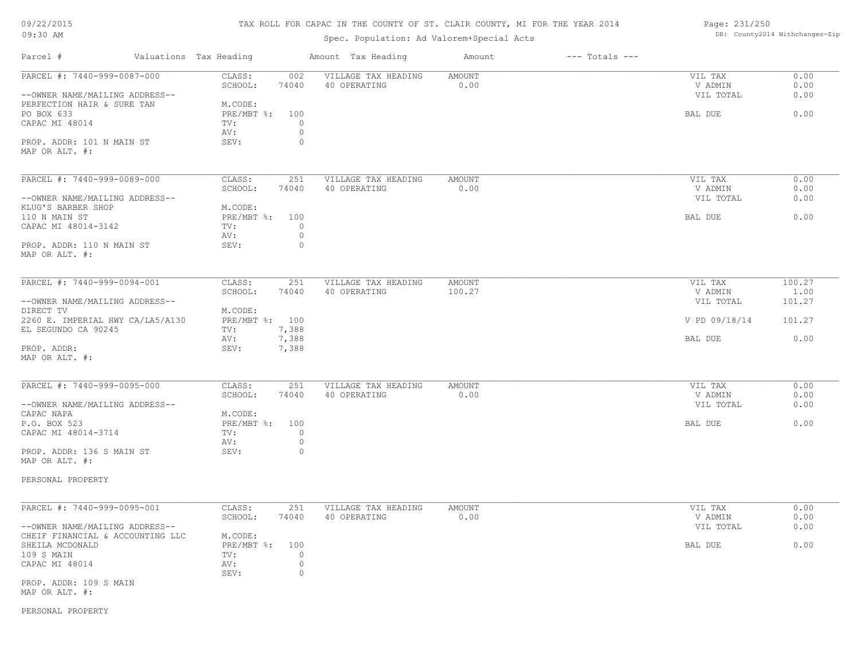# TAX ROLL FOR CAPAC IN THE COUNTY OF ST. CLAIR COUNTY, MI FOR THE YEAR 2014

# Spec. Population: Ad Valorem+Special Acts

Page: 231/250 DB: County2014 Withchanges-Zip

| Parcel #                                                     | Valuations Tax Heading |                                      |                     | Amount Tax Heading                  | Amount         | $---$ Totals $---$ |                    |              |
|--------------------------------------------------------------|------------------------|--------------------------------------|---------------------|-------------------------------------|----------------|--------------------|--------------------|--------------|
| PARCEL #: 7440-999-0087-000                                  |                        | CLASS:<br>SCHOOL:                    | 002<br>74040        | VILLAGE TAX HEADING<br>40 OPERATING | AMOUNT<br>0.00 |                    | VIL TAX<br>V ADMIN | 0.00<br>0.00 |
| --OWNER NAME/MAILING ADDRESS--<br>PERFECTION HAIR & SURE TAN |                        | M.CODE:                              |                     |                                     |                |                    | VIL TOTAL          | 0.00         |
| PO BOX 633                                                   |                        | $PRE/MBT$ $\frac{6}{3}$ :            | 100                 |                                     |                |                    | BAL DUE            | 0.00         |
| CAPAC MI 48014                                               |                        | TV:                                  | $\circ$             |                                     |                |                    |                    |              |
|                                                              |                        | AV:                                  | $\circ$             |                                     |                |                    |                    |              |
| PROP. ADDR: 101 N MAIN ST<br>MAP OR ALT. #:                  |                        | SEV:                                 | 0                   |                                     |                |                    |                    |              |
| PARCEL #: 7440-999-0089-000                                  |                        | CLASS:                               | 251                 | VILLAGE TAX HEADING                 | AMOUNT         |                    | VIL TAX            | 0.00         |
|                                                              |                        | SCHOOL:                              | 74040               | 40 OPERATING                        | 0.00           |                    | V ADMIN            | 0.00         |
| --OWNER NAME/MAILING ADDRESS--                               |                        |                                      |                     |                                     |                |                    | VIL TOTAL          | 0.00         |
| KLUG'S BARBER SHOP<br>110 N MAIN ST                          |                        | M.CODE:<br>$PRE/MBT$ $\frac{6}{3}$ : | 100                 |                                     |                |                    | BAL DUE            | 0.00         |
| CAPAC MI 48014-3142                                          |                        | TV:                                  | $\circ$             |                                     |                |                    |                    |              |
|                                                              |                        | AV:                                  | $\circ$             |                                     |                |                    |                    |              |
| PROP. ADDR: 110 N MAIN ST<br>MAP OR ALT. #:                  |                        | SEV:                                 | $\circ$             |                                     |                |                    |                    |              |
| PARCEL #: 7440-999-0094-001                                  |                        | CLASS:                               | 251                 | VILLAGE TAX HEADING                 | AMOUNT         |                    | VIL TAX            | 100.27       |
|                                                              |                        | SCHOOL:                              | 74040               | 40 OPERATING                        | 100.27         |                    | V ADMIN            | 1.00         |
| --OWNER NAME/MAILING ADDRESS--                               |                        |                                      |                     |                                     |                |                    | VIL TOTAL          | 101.27       |
| DIRECT TV                                                    |                        | M.CODE:                              |                     |                                     |                |                    |                    |              |
| 2260 E. IMPERIAL HWY CA/LA5/A130                             |                        | PRE/MBT %: 100                       |                     |                                     |                |                    | V PD 09/18/14      | 101.27       |
| EL SEGUNDO CA 90245                                          |                        | TV:                                  | 7,388               |                                     |                |                    |                    |              |
| PROP. ADDR:                                                  |                        | AV:<br>SEV:                          | 7,388<br>7,388      |                                     |                |                    | BAL DUE            | 0.00         |
| MAP OR ALT. #:                                               |                        |                                      |                     |                                     |                |                    |                    |              |
| PARCEL #: 7440-999-0095-000                                  |                        | CLASS:                               | 251                 | VILLAGE TAX HEADING                 | AMOUNT         |                    | VIL TAX            | 0.00         |
|                                                              |                        | SCHOOL:                              | 74040               | 40 OPERATING                        | 0.00           |                    | V ADMIN            | 0.00         |
| --OWNER NAME/MAILING ADDRESS--                               |                        |                                      |                     |                                     |                |                    | VIL TOTAL          | 0.00         |
| CAPAC NAPA                                                   |                        | M.CODE:                              |                     |                                     |                |                    |                    |              |
| P.O. BOX 523                                                 |                        | $PRE/MBT$ %:                         | 100                 |                                     |                |                    | BAL DUE            | 0.00         |
| CAPAC MI 48014-3714                                          |                        | TV:                                  | $\circ$             |                                     |                |                    |                    |              |
| PROP. ADDR: 136 S MAIN ST                                    |                        | AV:<br>SEV:                          | 0<br>0              |                                     |                |                    |                    |              |
| MAP OR ALT. #:                                               |                        |                                      |                     |                                     |                |                    |                    |              |
| PERSONAL PROPERTY                                            |                        |                                      |                     |                                     |                |                    |                    |              |
| PARCEL #: 7440-999-0095-001                                  |                        | CLASS:                               | 251                 | VILLAGE TAX HEADING                 | AMOUNT         |                    | VIL TAX            | 0.00         |
|                                                              |                        | SCHOOL:                              | 74040               | 40 OPERATING                        | 0.00           |                    | V ADMIN            | 0.00         |
| --OWNER NAME/MAILING ADDRESS--                               |                        |                                      |                     |                                     |                |                    | VIL TOTAL          | 0.00         |
| CHEIF FINANCIAL & ACCOUNTING LLC                             |                        | M.CODE:                              |                     |                                     |                |                    |                    |              |
| SHEILA MCDONALD<br>109 S MAIN                                |                        | $PRE/MBT$ $\div$<br>TV:              | 100<br>$\mathbf{0}$ |                                     |                |                    | BAL DUE            | 0.00         |
| CAPAC MI 48014                                               |                        | AV:                                  | $\circ$             |                                     |                |                    |                    |              |
|                                                              |                        | SEV:                                 | $\circ$             |                                     |                |                    |                    |              |
| PROP. ADDR: 109 S MAIN<br>MAP OR ALT. #:                     |                        |                                      |                     |                                     |                |                    |                    |              |
|                                                              |                        |                                      |                     |                                     |                |                    |                    |              |
| PERSONAL PROPERTY                                            |                        |                                      |                     |                                     |                |                    |                    |              |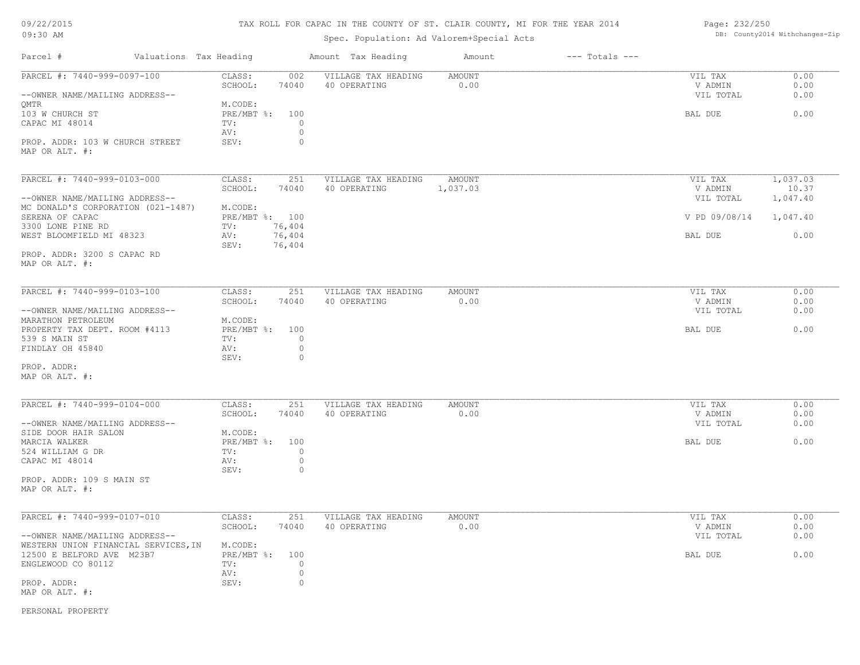# TAX ROLL FOR CAPAC IN THE COUNTY OF ST. CLAIR COUNTY, MI FOR THE YEAR 2014

# Spec. Population: Ad Valorem+Special Acts

| Page: 232/250 |                                |
|---------------|--------------------------------|
|               | DB: County2014 Withchanges-Zip |

| Parcel #                                                               | Valuations Tax Heading                                                     | Amount Tax Heading                  | Amount                | $---$ Totals $---$ |                                 |                      |
|------------------------------------------------------------------------|----------------------------------------------------------------------------|-------------------------------------|-----------------------|--------------------|---------------------------------|----------------------|
| PARCEL #: 7440-999-0097-100<br>--OWNER NAME/MAILING ADDRESS--          | CLASS:<br>002<br>74040<br>SCHOOL:                                          | VILLAGE TAX HEADING<br>40 OPERATING | <b>AMOUNT</b><br>0.00 |                    | VIL TAX<br>V ADMIN<br>VIL TOTAL | 0.00<br>0.00<br>0.00 |
| QMTR<br>103 W CHURCH ST<br>CAPAC MI 48014                              | M.CODE:<br>PRE/MBT %: 100<br>TV:<br>$\circ$<br>$\circ$<br>AV:              |                                     |                       |                    | BAL DUE                         | 0.00                 |
| PROP. ADDR: 103 W CHURCH STREET<br>MAP OR ALT. #:                      | SEV:<br>$\circ$                                                            |                                     |                       |                    |                                 |                      |
| PARCEL #: 7440-999-0103-000                                            | CLASS:<br>251<br>SCHOOL:<br>74040                                          | VILLAGE TAX HEADING<br>40 OPERATING | AMOUNT<br>1,037.03    |                    | VIL TAX<br>V ADMIN              | 1,037.03<br>10.37    |
| --OWNER NAME/MAILING ADDRESS--<br>MC DONALD'S CORPORATION (021-1487)   | M.CODE:                                                                    |                                     |                       |                    | VIL TOTAL                       | 1,047.40             |
| SERENA OF CAPAC<br>3300 LONE PINE RD                                   | PRE/MBT %: 100<br>76,404<br>TV:                                            |                                     |                       |                    | V PD 09/08/14                   | 1,047.40             |
| WEST BLOOMFIELD MI 48323                                               | 76,404<br>AV:<br>76,404<br>SEV:                                            |                                     |                       |                    | BAL DUE                         | 0.00                 |
| PROP. ADDR: 3200 S CAPAC RD<br>MAP OR ALT. #:                          |                                                                            |                                     |                       |                    |                                 |                      |
| PARCEL #: 7440-999-0103-100                                            | CLASS:<br>251<br>SCHOOL:<br>74040                                          | VILLAGE TAX HEADING<br>40 OPERATING | <b>AMOUNT</b><br>0.00 |                    | VIL TAX<br>V ADMIN              | 0.00<br>0.00         |
| --OWNER NAME/MAILING ADDRESS--<br>MARATHON PETROLEUM                   | M.CODE:                                                                    |                                     |                       |                    | VIL TOTAL                       | 0.00                 |
| PROPERTY TAX DEPT. ROOM #4113<br>539 S MAIN ST<br>FINDLAY OH 45840     | PRE/MBT %:<br>100<br>$\circ$<br>TV:<br>$\circ$<br>AV:<br>$\circ$<br>SEV:   |                                     |                       |                    | BAL DUE                         | 0.00                 |
| PROP. ADDR:<br>MAP OR ALT. #:                                          |                                                                            |                                     |                       |                    |                                 |                      |
| PARCEL #: 7440-999-0104-000                                            | CLASS:<br>251<br>SCHOOL:<br>74040                                          | VILLAGE TAX HEADING<br>40 OPERATING | <b>AMOUNT</b><br>0.00 |                    | VIL TAX<br>V ADMIN              | 0.00<br>0.00         |
| --OWNER NAME/MAILING ADDRESS--<br>SIDE DOOR HAIR SALON                 | M.CODE:                                                                    |                                     |                       |                    | VIL TOTAL                       | 0.00                 |
| MARCIA WALKER<br>524 WILLIAM G DR<br>CAPAC MI 48014                    | $PRE/MBT$ %:<br>100<br>$\circ$<br>TV:<br>$\circ$<br>AV:<br>$\circ$<br>SEV: |                                     |                       |                    | BAL DUE                         | 0.00                 |
| PROP. ADDR: 109 S MAIN ST<br>MAP OR ALT. #:                            |                                                                            |                                     |                       |                    |                                 |                      |
| PARCEL #: 7440-999-0107-010                                            | 251<br>CLASS:<br>SCHOOL:<br>74040                                          | VILLAGE TAX HEADING<br>40 OPERATING | <b>AMOUNT</b><br>0.00 |                    | VIL TAX<br>V ADMIN              | 0.00<br>0.00         |
| --OWNER NAME/MAILING ADDRESS--<br>WESTERN UNION FINANCIAL SERVICES, IN | M.CODE:                                                                    |                                     |                       |                    | VIL TOTAL                       | 0.00                 |
| 12500 E BELFORD AVE M23B7<br>ENGLEWOOD CO 80112                        | PRE/MBT %: 100<br>TV:<br>$\circ$<br>$\circ$<br>AV:                         |                                     |                       |                    | BAL DUE                         | 0.00                 |
| PROP. ADDR:<br>MAP OR ALT. #:                                          | $\circ$<br>SEV:                                                            |                                     |                       |                    |                                 |                      |

PERSONAL PROPERTY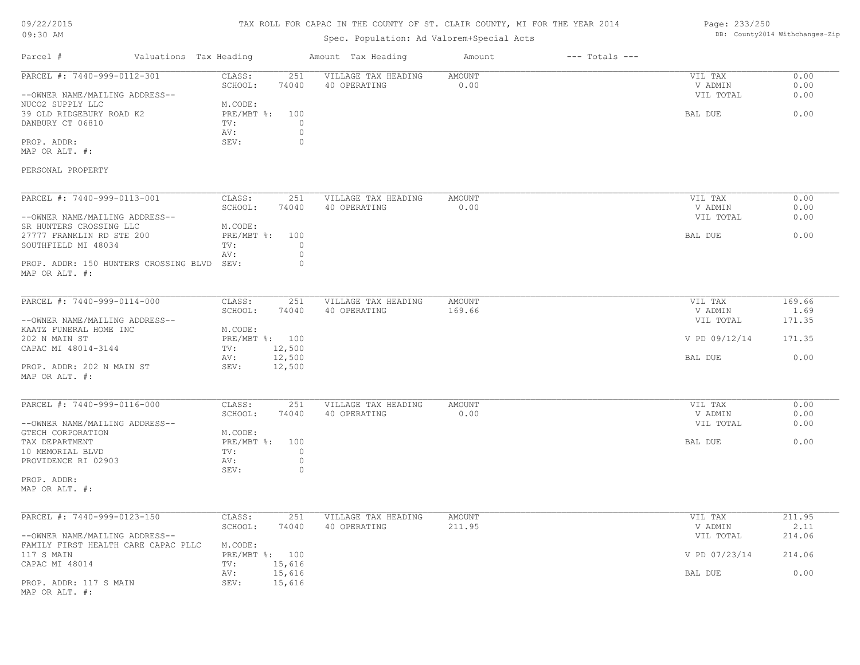# TAX ROLL FOR CAPAC IN THE COUNTY OF ST. CLAIR COUNTY, MI FOR THE YEAR 2014

# Spec. Population: Ad Valorem+Special Acts

## Page: 233/250 DB: County2014 Withchanges-Zip

| Parcel #                                                                                                                          | Valuations Tax Heading                                                          | Amount Tax Heading                                        | Amount                  | $---$ Totals $---$ |                                            |                              |
|-----------------------------------------------------------------------------------------------------------------------------------|---------------------------------------------------------------------------------|-----------------------------------------------------------|-------------------------|--------------------|--------------------------------------------|------------------------------|
| PARCEL #: 7440-999-0112-301<br>--OWNER NAME/MAILING ADDRESS--<br>NUCO2 SUPPLY LLC<br>39 OLD RIDGEBURY ROAD K2<br>DANBURY CT 06810 | CLASS:<br>251<br>SCHOOL:<br>74040<br>M.CODE:<br>PRE/MBT %:<br>100<br>TV:<br>AV: | VILLAGE TAX HEADING<br>40 OPERATING<br>$\circ$<br>$\circ$ | AMOUNT<br>0.00          |                    | VIL TAX<br>V ADMIN<br>VIL TOTAL<br>BAL DUE | 0.00<br>0.00<br>0.00<br>0.00 |
| PROP. ADDR:<br>MAP OR ALT. #:<br>PERSONAL PROPERTY                                                                                | SEV:                                                                            | $\circ$                                                   |                         |                    |                                            |                              |
| PARCEL #: 7440-999-0113-001                                                                                                       | CLASS:<br>251                                                                   | VILLAGE TAX HEADING                                       | <b>AMOUNT</b>           |                    | VIL TAX                                    | 0.00                         |
| --OWNER NAME/MAILING ADDRESS--<br>SR HUNTERS CROSSING LLC                                                                         | SCHOOL:<br>74040<br>M.CODE:                                                     | 40 OPERATING                                              | 0.00                    |                    | V ADMIN<br>VIL TOTAL                       | 0.00<br>0.00                 |
| 27777 FRANKLIN RD STE 200<br>SOUTHFIELD MI 48034<br>PROP. ADDR: 150 HUNTERS CROSSING BLVD                                         | PRE/MBT %:<br>100<br>TV:<br>AV:<br>SEV:                                         | $\Omega$<br>$\circ$<br>$\circ$                            |                         |                    | BAL DUE                                    | 0.00                         |
| MAP OR ALT. #:                                                                                                                    |                                                                                 |                                                           |                         |                    |                                            |                              |
| PARCEL #: 7440-999-0114-000                                                                                                       | CLASS:<br>251<br>SCHOOL:<br>74040                                               | VILLAGE TAX HEADING<br>40 OPERATING                       | AMOUNT<br>169.66        |                    | VIL TAX<br>V ADMIN                         | 169.66<br>1.69               |
| --OWNER NAME/MAILING ADDRESS--<br>KAATZ FUNERAL HOME INC                                                                          | M.CODE:                                                                         |                                                           |                         |                    | VIL TOTAL                                  | 171.35                       |
| 202 N MAIN ST<br>CAPAC MI 48014-3144                                                                                              | PRE/MBT %: 100<br>12,500<br>TV:                                                 |                                                           |                         |                    | V PD 09/12/14                              | 171.35                       |
| PROP. ADDR: 202 N MAIN ST<br>MAP OR ALT. #:                                                                                       | 12,500<br>AV:<br>SEV:<br>12,500                                                 |                                                           |                         |                    | BAL DUE                                    | 0.00                         |
| PARCEL #: 7440-999-0116-000                                                                                                       | CLASS:<br>251                                                                   | VILLAGE TAX HEADING                                       | <b>AMOUNT</b>           |                    | VIL TAX                                    | 0.00                         |
| --OWNER NAME/MAILING ADDRESS--<br>GTECH CORPORATION                                                                               | SCHOOL:<br>74040<br>M.CODE:                                                     | 40 OPERATING                                              | 0.00                    |                    | V ADMIN<br>VIL TOTAL                       | 0.00<br>0.00                 |
| TAX DEPARTMENT<br>10 MEMORIAL BLVD<br>PROVIDENCE RI 02903                                                                         | PRE/MBT %:<br>100<br>TV:<br>AV:<br>SEV:                                         | $\circ$<br>$\circ$<br>$\circ$                             |                         |                    | BAL DUE                                    | 0.00                         |
| PROP. ADDR:<br>MAP OR ALT. #:                                                                                                     |                                                                                 |                                                           |                         |                    |                                            |                              |
| PARCEL #: 7440-999-0123-150                                                                                                       | CLASS:<br>251<br>SCHOOL:<br>74040                                               | VILLAGE TAX HEADING<br>40 OPERATING                       | <b>AMOUNT</b><br>211.95 |                    | VIL TAX<br>V ADMIN                         | 211.95<br>2.11               |
| --OWNER NAME/MAILING ADDRESS--<br>FAMILY FIRST HEALTH CARE CAPAC PLLC                                                             | M.CODE:                                                                         |                                                           |                         |                    | VIL TOTAL                                  | 214.06                       |
| 117 S MAIN<br>CAPAC MI 48014                                                                                                      | PRE/MBT %: 100<br>15,616<br>TV:                                                 |                                                           |                         |                    | V PD 07/23/14                              | 214.06                       |
| PROP. ADDR: 117 S MAIN<br>MAP OR ALT. #:                                                                                          | 15,616<br>AV:<br>15,616<br>SEV:                                                 |                                                           |                         |                    | BAL DUE                                    | 0.00                         |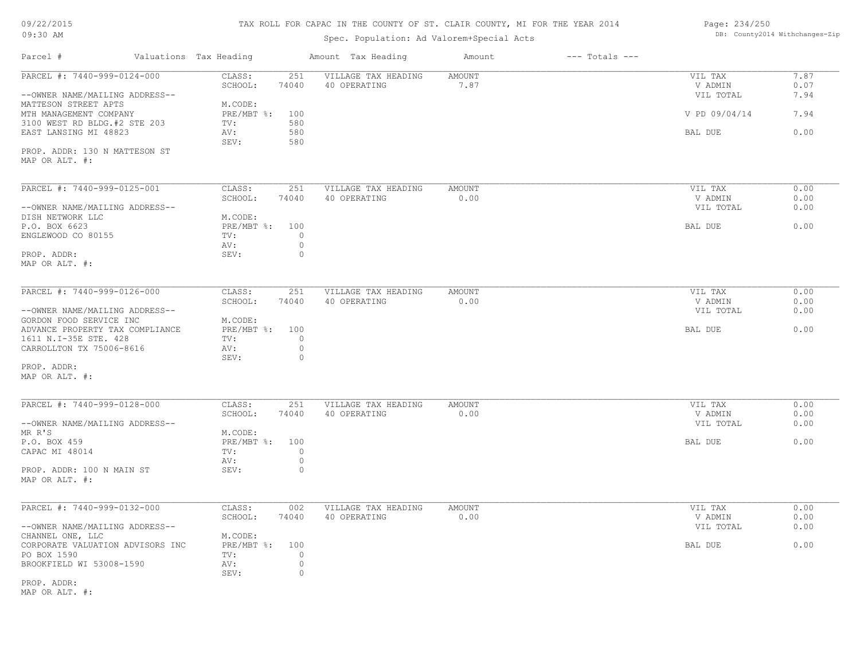# TAX ROLL FOR CAPAC IN THE COUNTY OF ST. CLAIR COUNTY, MI FOR THE YEAR 2014

# Spec. Population: Ad Valorem+Special Acts

| Page: 234/250 |                                |
|---------------|--------------------------------|
|               | DB: County2014 Withchanges-Zip |

| Parcel #                                                                             | Valuations Tax Heading |                                  |                                      | Amount Tax Heading                  | Amount                | $---$ Totals $---$ |                                 |                      |
|--------------------------------------------------------------------------------------|------------------------|----------------------------------|--------------------------------------|-------------------------------------|-----------------------|--------------------|---------------------------------|----------------------|
| PARCEL #: 7440-999-0124-000<br>--OWNER NAME/MAILING ADDRESS--                        |                        | CLASS:<br>SCHOOL:                | 251<br>74040                         | VILLAGE TAX HEADING<br>40 OPERATING | <b>AMOUNT</b><br>7.87 |                    | VIL TAX<br>V ADMIN<br>VIL TOTAL | 7.87<br>0.07<br>7.94 |
| MATTESON STREET APTS<br>MTH MANAGEMENT COMPANY                                       |                        | M.CODE:<br>PRE/MBT %:            | 100                                  |                                     |                       |                    | V PD 09/04/14                   | 7.94                 |
| 3100 WEST RD BLDG.#2 STE 203<br>EAST LANSING MI 48823                                |                        | TV:<br>AV:<br>SEV:               | 580<br>580<br>580                    |                                     |                       |                    | BAL DUE                         | 0.00                 |
| PROP. ADDR: 130 N MATTESON ST<br>MAP OR ALT. #:                                      |                        |                                  |                                      |                                     |                       |                    |                                 |                      |
| PARCEL #: 7440-999-0125-001                                                          |                        | CLASS:<br>SCHOOL:                | 251<br>74040                         | VILLAGE TAX HEADING<br>40 OPERATING | <b>AMOUNT</b><br>0.00 |                    | VIL TAX<br>V ADMIN              | 0.00<br>0.00         |
| --OWNER NAME/MAILING ADDRESS--<br>DISH NETWORK LLC                                   |                        | M.CODE:                          |                                      |                                     |                       |                    | VIL TOTAL                       | 0.00                 |
| P.O. BOX 6623<br>ENGLEWOOD CO 80155                                                  |                        | PRE/MBT %:<br>TV:<br>AV:         | 100<br>$\circ$<br>$\circ$            |                                     |                       |                    | BAL DUE                         | 0.00                 |
| PROP. ADDR:<br>MAP OR ALT. #:                                                        |                        | SEV:                             | $\circ$                              |                                     |                       |                    |                                 |                      |
| PARCEL #: 7440-999-0126-000                                                          |                        | CLASS:<br>SCHOOL:                | 251<br>74040                         | VILLAGE TAX HEADING<br>40 OPERATING | AMOUNT<br>0.00        |                    | VIL TAX<br>V ADMIN              | 0.00<br>0.00         |
| --OWNER NAME/MAILING ADDRESS--<br>GORDON FOOD SERVICE INC                            |                        | M.CODE:                          |                                      |                                     |                       |                    | VIL TOTAL                       | 0.00                 |
| ADVANCE PROPERTY TAX COMPLIANCE<br>1611 N.I-35E STE. 428<br>CARROLLTON TX 75006-8616 |                        | PRE/MBT %:<br>TV:<br>AV:<br>SEV: | 100<br>$\circ$<br>$\circ$<br>$\circ$ |                                     |                       |                    | BAL DUE                         | 0.00                 |
| PROP. ADDR:<br>MAP OR ALT. #:                                                        |                        |                                  |                                      |                                     |                       |                    |                                 |                      |
| PARCEL #: 7440-999-0128-000                                                          |                        | CLASS:<br>SCHOOL:                | 251<br>74040                         | VILLAGE TAX HEADING<br>40 OPERATING | AMOUNT<br>0.00        |                    | VIL TAX<br>V ADMIN              | 0.00<br>0.00         |
| --OWNER NAME/MAILING ADDRESS--<br>MR R'S                                             |                        | M.CODE:                          |                                      |                                     |                       |                    | VIL TOTAL                       | 0.00                 |
| P.O. BOX 459<br>CAPAC MI 48014                                                       |                        | PRE/MBT %:<br>TV:                | 100<br>$\circ$                       |                                     |                       |                    | BAL DUE                         | 0.00                 |
| PROP. ADDR: 100 N MAIN ST<br>MAP OR ALT. #:                                          |                        | AV:<br>SEV:                      | $\circ$<br>$\circ$                   |                                     |                       |                    |                                 |                      |
| PARCEL #: 7440-999-0132-000                                                          |                        | CLASS:                           | 002                                  | VILLAGE TAX HEADING                 | <b>AMOUNT</b>         |                    | VIL TAX                         | 0.00                 |
| --OWNER NAME/MAILING ADDRESS--                                                       |                        | SCHOOL:                          | 74040                                | 40 OPERATING                        | 0.00                  |                    | V ADMIN<br>VIL TOTAL            | 0.00<br>0.00         |
| CHANNEL ONE, LLC<br>CORPORATE VALUATION ADVISORS INC<br>PO BOX 1590                  |                        | M.CODE:<br>$PRE/MBT$ %:<br>TV:   | 100<br>$\circ$                       |                                     |                       |                    | BAL DUE                         | 0.00                 |
| BROOKFIELD WI 53008-1590                                                             |                        | AV:<br>SEV:                      | $\circ$<br>0                         |                                     |                       |                    |                                 |                      |
| PROP. ADDR:<br>MAP OR ALT. #:                                                        |                        |                                  |                                      |                                     |                       |                    |                                 |                      |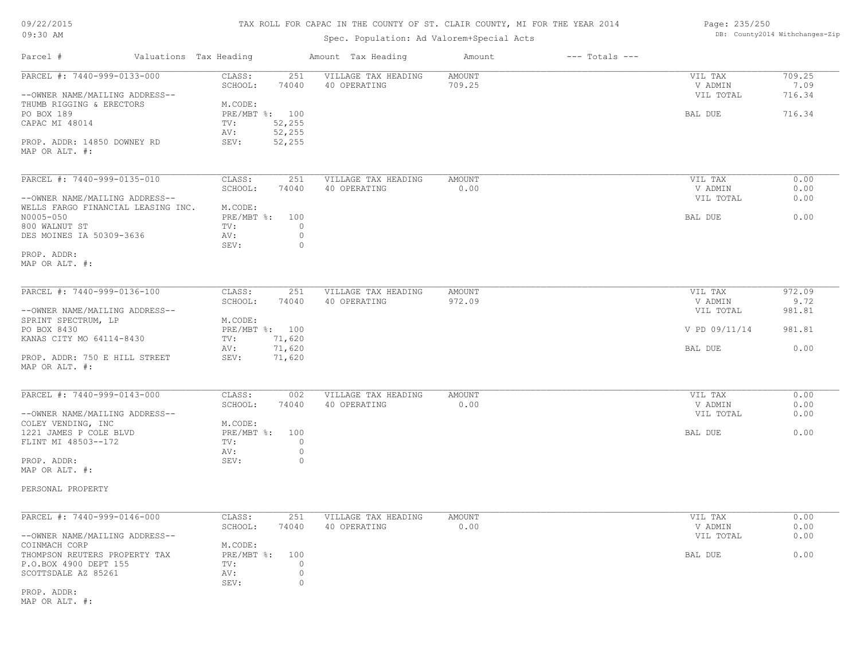| 09/22/2015 |  |
|------------|--|
| 09:30 AM   |  |

# TAX ROLL FOR CAPAC IN THE COUNTY OF ST. CLAIR COUNTY, MI FOR THE YEAR 2014

Spec. Population: Ad Valorem+Special Acts

| Page: 235/250 |                                |
|---------------|--------------------------------|
|               | DB: County2014 Withchanges-Zip |

| Parcel #                                                                                | Valuations Tax Heading                                                        | Amount Tax Heading                  | Amount                  | $---$ Totals $---$ |                                 |                          |
|-----------------------------------------------------------------------------------------|-------------------------------------------------------------------------------|-------------------------------------|-------------------------|--------------------|---------------------------------|--------------------------|
| PARCEL #: 7440-999-0133-000<br>--OWNER NAME/MAILING ADDRESS--                           | 251<br>CLASS:<br>SCHOOL:<br>74040                                             | VILLAGE TAX HEADING<br>40 OPERATING | <b>AMOUNT</b><br>709.25 |                    | VIL TAX<br>V ADMIN<br>VIL TOTAL | 709.25<br>7.09<br>716.34 |
| THUMB RIGGING & ERECTORS<br>PO BOX 189<br>CAPAC MI 48014<br>PROP. ADDR: 14850 DOWNEY RD | M.CODE:<br>PRE/MBT %: 100<br>52,255<br>TV:<br>52,255<br>AV:<br>52,255<br>SEV: |                                     |                         |                    | BAL DUE                         | 716.34                   |
| MAP OR ALT. #:                                                                          |                                                                               |                                     |                         |                    |                                 |                          |
| PARCEL #: 7440-999-0135-010                                                             | CLASS:<br>251<br>SCHOOL:<br>74040                                             | VILLAGE TAX HEADING<br>40 OPERATING | <b>AMOUNT</b><br>0.00   |                    | VIL TAX<br>V ADMIN              | 0.00<br>0.00             |
| --OWNER NAME/MAILING ADDRESS--<br>WELLS FARGO FINANCIAL LEASING INC.                    | M.CODE:                                                                       |                                     |                         |                    | VIL TOTAL                       | 0.00                     |
| N0005-050<br>800 WALNUT ST<br>DES MOINES IA 50309-3636                                  | $PRE/MBT$ $\div$<br>100<br>TV:<br>AV:<br>SEV:                                 | $\circ$<br>$\circ$<br>$\circ$       |                         |                    | BAL DUE                         | 0.00                     |
| PROP. ADDR:<br>MAP OR ALT. #:                                                           |                                                                               |                                     |                         |                    |                                 |                          |
| PARCEL #: 7440-999-0136-100                                                             | CLASS:<br>251                                                                 | VILLAGE TAX HEADING                 | <b>AMOUNT</b>           |                    | VIL TAX                         | 972.09                   |
| --OWNER NAME/MAILING ADDRESS--                                                          | 74040<br>SCHOOL:                                                              | 40 OPERATING                        | 972.09                  |                    | V ADMIN<br>VIL TOTAL            | 9.72<br>981.81           |
| SPRINT SPECTRUM, LP                                                                     | M.CODE:                                                                       |                                     |                         |                    |                                 |                          |
| PO BOX 8430                                                                             | PRE/MBT %: 100                                                                |                                     |                         |                    | V PD 09/11/14                   | 981.81                   |
| KANAS CITY MO 64114-8430                                                                | 71,620<br>TV:<br>71,620<br>AV:                                                |                                     |                         |                    | BAL DUE                         | 0.00                     |
| PROP. ADDR: 750 E HILL STREET<br>MAP OR ALT. #:                                         | 71,620<br>SEV:                                                                |                                     |                         |                    |                                 |                          |
| PARCEL #: 7440-999-0143-000                                                             | CLASS:<br>002                                                                 | VILLAGE TAX HEADING                 | <b>AMOUNT</b>           |                    | VIL TAX                         | 0.00                     |
| --OWNER NAME/MAILING ADDRESS--                                                          | SCHOOL:<br>74040                                                              | 40 OPERATING                        | 0.00                    |                    | V ADMIN<br>VIL TOTAL            | 0.00<br>0.00             |
| COLEY VENDING, INC                                                                      | M.CODE:                                                                       |                                     |                         |                    |                                 |                          |
| 1221 JAMES P COLE BLVD<br>FLINT MI 48503--172                                           | $PRE/MBT$ %:<br>100<br>TV:                                                    | $\circ$                             |                         |                    | BAL DUE                         | 0.00                     |
| PROP. ADDR:                                                                             | AV:<br>SEV:                                                                   | $\circ$<br>$\circ$                  |                         |                    |                                 |                          |
| MAP OR ALT. #:                                                                          |                                                                               |                                     |                         |                    |                                 |                          |
| PERSONAL PROPERTY                                                                       |                                                                               |                                     |                         |                    |                                 |                          |
| PARCEL #: 7440-999-0146-000                                                             | CLASS:<br>251                                                                 | VILLAGE TAX HEADING                 | <b>AMOUNT</b>           |                    | VIL TAX                         | 0.00                     |
| --OWNER NAME/MAILING ADDRESS--                                                          | SCHOOL:<br>74040                                                              | 40 OPERATING                        | 0.00                    |                    | V ADMIN<br>VIL TOTAL            | 0.00<br>0.00             |
| COINMACH CORP                                                                           | M.CODE:                                                                       |                                     |                         |                    |                                 |                          |
| THOMPSON REUTERS PROPERTY TAX<br>P.O.BOX 4900 DEPT 155<br>SCOTTSDALE AZ 85261           | $PRE/MBT$ $\div$<br>100<br>TV:<br>AV:<br>SEV:                                 | 0<br>$\circ$<br>$\circ$             |                         |                    | BAL DUE                         | 0.00                     |
| PROP. ADDR:<br>MAP OR ALT. #:                                                           |                                                                               |                                     |                         |                    |                                 |                          |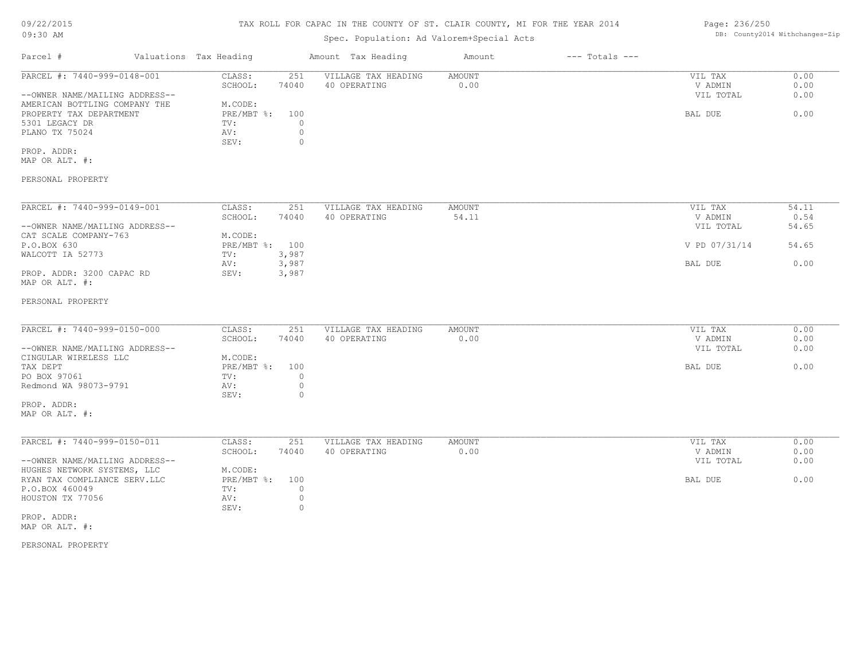# TAX ROLL FOR CAPAC IN THE COUNTY OF ST. CLAIR COUNTY, MI FOR THE YEAR 2014

# Spec. Population: Ad Valorem+Special Acts

| Parcel #                                                                                                    | Valuations Tax Heading                                                                    | Amount Tax Heading                  | Amount                | $---$ Totals $---$ |                                 |                      |
|-------------------------------------------------------------------------------------------------------------|-------------------------------------------------------------------------------------------|-------------------------------------|-----------------------|--------------------|---------------------------------|----------------------|
| PARCEL #: 7440-999-0148-001<br>--OWNER NAME/MAILING ADDRESS--                                               | 251<br>CLASS:<br>74040<br>SCHOOL:                                                         | VILLAGE TAX HEADING<br>40 OPERATING | <b>AMOUNT</b><br>0.00 |                    | VIL TAX<br>V ADMIN<br>VIL TOTAL | 0.00<br>0.00<br>0.00 |
| AMERICAN BOTTLING COMPANY THE<br>PROPERTY TAX DEPARTMENT<br>5301 LEGACY DR<br>PLANO TX 75024<br>PROP. ADDR: | M.CODE:<br>$PRE/MBT$ $\div$<br>100<br>$\circ$<br>TV:<br>$\circ$<br>AV:<br>$\circ$<br>SEV: |                                     |                       |                    | BAL DUE                         | 0.00                 |
| MAP OR ALT. #:                                                                                              |                                                                                           |                                     |                       |                    |                                 |                      |
| PERSONAL PROPERTY                                                                                           |                                                                                           |                                     |                       |                    |                                 |                      |
| PARCEL #: 7440-999-0149-001                                                                                 | CLASS:<br>251                                                                             | VILLAGE TAX HEADING                 | <b>AMOUNT</b>         |                    | VIL TAX                         | 54.11                |
| --OWNER NAME/MAILING ADDRESS--                                                                              | SCHOOL:<br>74040                                                                          | 40 OPERATING                        | 54.11                 |                    | V ADMIN<br>VIL TOTAL            | 0.54<br>54.65        |
| CAT SCALE COMPANY-763<br>P.O.BOX 630                                                                        | M.CODE:<br>PRE/MBT %: 100                                                                 |                                     |                       |                    | V PD 07/31/14                   | 54.65                |
| WALCOTT IA 52773                                                                                            | 3,987<br>TV:<br>3,987<br>AV:                                                              |                                     |                       |                    | BAL DUE                         | 0.00                 |
| PROP. ADDR: 3200 CAPAC RD<br>MAP OR ALT. #:                                                                 | 3,987<br>SEV:                                                                             |                                     |                       |                    |                                 |                      |
| PERSONAL PROPERTY                                                                                           |                                                                                           |                                     |                       |                    |                                 |                      |
| PARCEL #: 7440-999-0150-000                                                                                 | 251<br>CLASS:                                                                             | VILLAGE TAX HEADING                 | AMOUNT                |                    | VIL TAX                         | 0.00                 |
| --OWNER NAME/MAILING ADDRESS--                                                                              | 74040<br>SCHOOL:                                                                          | 40 OPERATING                        | 0.00                  |                    | V ADMIN<br>VIL TOTAL            | 0.00<br>0.00         |
| CINGULAR WIRELESS LLC<br>TAX DEPT                                                                           | M.CODE:<br>$PRE/MBT$ $\frac{1}{6}$ :<br>100                                               |                                     |                       |                    | BAL DUE                         | 0.00                 |
| PO BOX 97061<br>Redmond WA 98073-9791                                                                       | $\circ$<br>TV:<br>$\circ$<br>AV:<br>SEV:<br>$\circ$                                       |                                     |                       |                    |                                 |                      |
| PROP. ADDR:<br>MAP OR ALT. #:                                                                               |                                                                                           |                                     |                       |                    |                                 |                      |
| PARCEL #: 7440-999-0150-011                                                                                 | CLASS:<br>251                                                                             | VILLAGE TAX HEADING                 | AMOUNT                |                    | VIL TAX                         | 0.00                 |
| --OWNER NAME/MAILING ADDRESS--                                                                              | SCHOOL:<br>74040                                                                          | 40 OPERATING                        | 0.00                  |                    | V ADMIN<br>VIL TOTAL            | 0.00<br>0.00         |
| HUGHES NETWORK SYSTEMS, LLC<br>RYAN TAX COMPLIANCE SERV.LLC                                                 | M.CODE:<br>PRE/MBT %:<br>100                                                              |                                     |                       |                    | BAL DUE                         | 0.00                 |
| P.O.BOX 460049<br>HOUSTON TX 77056                                                                          | TV:<br>$\circ$<br>$\circ$<br>AV:                                                          |                                     |                       |                    |                                 |                      |
| PROP. ADDR:<br>MAP OR ALT. #:                                                                               | SEV:<br>$\circ$                                                                           |                                     |                       |                    |                                 |                      |

PERSONAL PROPERTY

Page: 236/250 DB: County2014 Withchanges-Zip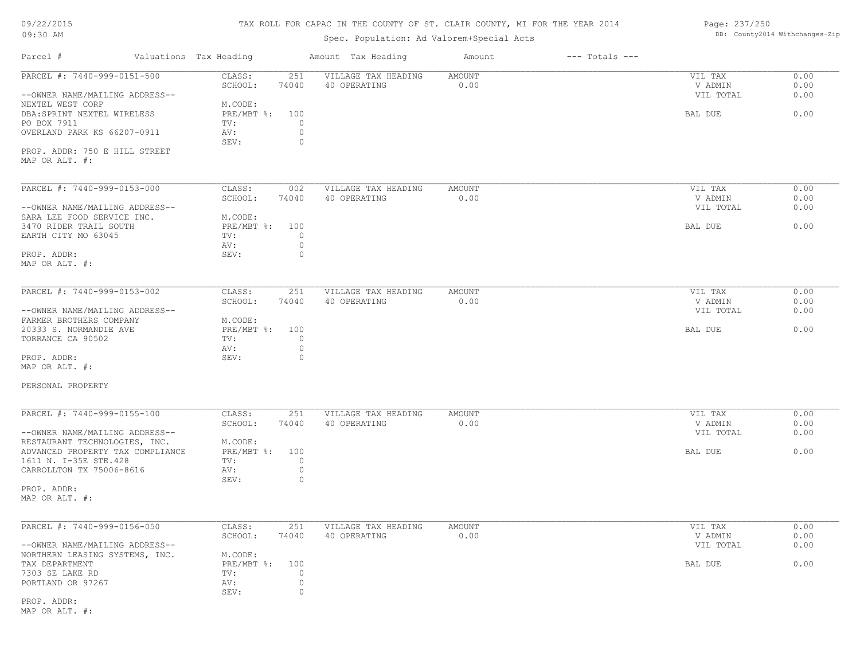# TAX ROLL FOR CAPAC IN THE COUNTY OF ST. CLAIR COUNTY, MI FOR THE YEAR 2014

Page: 237/250

DB: County2014 Withchanges-Zip

# Spec. Population: Ad Valorem+Special Acts

| Parcel #<br>Valuations Tax Heading                 |                                   | Amount Tax Heading                  | Amount                | $---$ Totals $---$ |                      |              |
|----------------------------------------------------|-----------------------------------|-------------------------------------|-----------------------|--------------------|----------------------|--------------|
| PARCEL #: 7440-999-0151-500                        | CLASS:<br>251<br>SCHOOL:<br>74040 | VILLAGE TAX HEADING<br>40 OPERATING | <b>AMOUNT</b><br>0.00 |                    | VIL TAX<br>V ADMIN   | 0.00<br>0.00 |
| --OWNER NAME/MAILING ADDRESS--<br>NEXTEL WEST CORP | M.CODE:                           |                                     |                       |                    | VIL TOTAL            | 0.00         |
| DBA: SPRINT NEXTEL WIRELESS                        | PRE/MBT %: 100                    |                                     |                       |                    | BAL DUE              | 0.00         |
| PO BOX 7911                                        | TV:<br>$\circ$                    |                                     |                       |                    |                      |              |
| OVERLAND PARK KS 66207-0911                        | AV:<br>$\circ$                    |                                     |                       |                    |                      |              |
| PROP. ADDR: 750 E HILL STREET                      | SEV:<br>$\circ$                   |                                     |                       |                    |                      |              |
| MAP OR ALT. #:                                     |                                   |                                     |                       |                    |                      |              |
|                                                    |                                   |                                     |                       |                    |                      |              |
| PARCEL #: 7440-999-0153-000                        | CLASS:<br>002                     | VILLAGE TAX HEADING                 | AMOUNT                |                    | VIL TAX              | 0.00         |
|                                                    | SCHOOL:<br>74040                  | 40 OPERATING                        | 0.00                  |                    | V ADMIN              | 0.00         |
| --OWNER NAME/MAILING ADDRESS--                     |                                   |                                     |                       |                    | VIL TOTAL            | 0.00         |
| SARA LEE FOOD SERVICE INC.                         | M.CODE:                           |                                     |                       |                    |                      |              |
| 3470 RIDER TRAIL SOUTH                             | PRE/MBT %: 100                    |                                     |                       |                    | BAL DUE              | 0.00         |
| EARTH CITY MO 63045                                | TV:<br>$\circ$                    |                                     |                       |                    |                      |              |
|                                                    | $\circ$<br>AV:                    |                                     |                       |                    |                      |              |
| PROP. ADDR:                                        | SEV:<br>$\circ$                   |                                     |                       |                    |                      |              |
| MAP OR ALT. #:                                     |                                   |                                     |                       |                    |                      |              |
| PARCEL #: 7440-999-0153-002                        | CLASS:<br>251                     | VILLAGE TAX HEADING                 | AMOUNT                |                    | VIL TAX              | 0.00         |
|                                                    | SCHOOL:<br>74040                  | 40 OPERATING                        | 0.00                  |                    | V ADMIN              | 0.00         |
| --OWNER NAME/MAILING ADDRESS--                     |                                   |                                     |                       |                    | VIL TOTAL            | 0.00         |
| FARMER BROTHERS COMPANY                            | M.CODE:                           |                                     |                       |                    |                      |              |
| 20333 S. NORMANDIE AVE                             | PRE/MBT %: 100                    |                                     |                       |                    | BAL DUE              | 0.00         |
| TORRANCE CA 90502                                  | $\circ$<br>TV:                    |                                     |                       |                    |                      |              |
|                                                    | $\circ$<br>AV:                    |                                     |                       |                    |                      |              |
| PROP. ADDR:                                        | SEV:<br>$\circ$                   |                                     |                       |                    |                      |              |
| MAP OR ALT. #:                                     |                                   |                                     |                       |                    |                      |              |
| PERSONAL PROPERTY                                  |                                   |                                     |                       |                    |                      |              |
|                                                    |                                   |                                     |                       |                    |                      |              |
| PARCEL #: 7440-999-0155-100                        | CLASS:<br>251                     | VILLAGE TAX HEADING                 | AMOUNT                |                    | VIL TAX              | 0.00         |
| --OWNER NAME/MAILING ADDRESS--                     | SCHOOL:<br>74040                  | 40 OPERATING                        | 0.00                  |                    | V ADMIN<br>VIL TOTAL | 0.00<br>0.00 |
| RESTAURANT TECHNOLOGIES, INC.                      | M.CODE:                           |                                     |                       |                    |                      |              |
| ADVANCED PROPERTY TAX COMPLIANCE                   | PRE/MBT %: 100                    |                                     |                       |                    | BAL DUE              | 0.00         |
| 1611 N. I-35E STE.428                              | $\circ$<br>TV:                    |                                     |                       |                    |                      |              |
| CARROLLTON TX 75006-8616                           | AV:<br>$\circ$<br>$\circ$         |                                     |                       |                    |                      |              |
| PROP. ADDR:                                        | SEV:                              |                                     |                       |                    |                      |              |
| MAP OR ALT. #:                                     |                                   |                                     |                       |                    |                      |              |
|                                                    |                                   |                                     |                       |                    |                      |              |
| PARCEL #: 7440-999-0156-050                        | 251<br>CLASS:                     | VILLAGE TAX HEADING                 | AMOUNT                |                    | VIL TAX              | 0.00         |
|                                                    | SCHOOL:<br>74040                  | 40 OPERATING                        | 0.00                  |                    | V ADMIN              | 0.00         |
| --OWNER NAME/MAILING ADDRESS--                     |                                   |                                     |                       |                    | VIL TOTAL            | 0.00         |
| NORTHERN LEASING SYSTEMS, INC.                     | M.CODE:                           |                                     |                       |                    |                      | 0.00         |
| TAX DEPARTMENT<br>7303 SE LAKE RD                  | PRE/MBT %: 100<br>TV:<br>$\circ$  |                                     |                       |                    | BAL DUE              |              |
| PORTLAND OR 97267                                  | $\circ$<br>AV:                    |                                     |                       |                    |                      |              |
|                                                    | SEV:<br>$\circ$                   |                                     |                       |                    |                      |              |
|                                                    |                                   |                                     |                       |                    |                      |              |

MAP OR ALT. #: PROP. ADDR: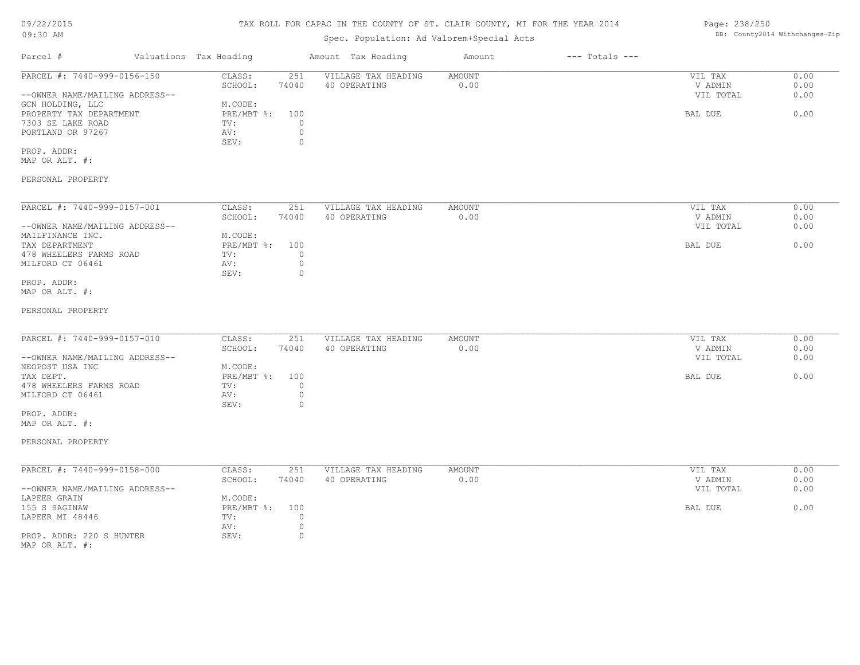# TAX ROLL FOR CAPAC IN THE COUNTY OF ST. CLAIR COUNTY, MI FOR THE YEAR 2014

# Spec. Population: Ad Valorem+Special Acts

| Parcel #                       | Valuations Tax Heading |       | Amount Tax Heading  | Amount | $---$ Totals $---$ |           |      |
|--------------------------------|------------------------|-------|---------------------|--------|--------------------|-----------|------|
| PARCEL #: 7440-999-0156-150    | CLASS:                 | 251   | VILLAGE TAX HEADING | AMOUNT |                    | VIL TAX   | 0.00 |
|                                | SCHOOL:                | 74040 | 40 OPERATING        | 0.00   |                    | V ADMIN   | 0.00 |
| --OWNER NAME/MAILING ADDRESS-- |                        |       |                     |        |                    | VIL TOTAL | 0.00 |
| GCN HOLDING, LLC               | M.CODE:                |       |                     |        |                    |           |      |
| PROPERTY TAX DEPARTMENT        | PRE/MBT %: 100         |       |                     |        |                    | BAL DUE   | 0.00 |
| 7303 SE LAKE ROAD              | TV:                    |       |                     |        |                    |           |      |
| PORTLAND OR 97267              | AV:                    |       |                     |        |                    |           |      |
|                                | SEV:                   |       |                     |        |                    |           |      |
| PROP. ADDR:                    |                        |       |                     |        |                    |           |      |

MAP OR ALT. #:

## PERSONAL PROPERTY

| PARCEL #: 7440-999-0157-001    | CLASS:     | 251   | VILLAGE TAX HEADING | AMOUNT | 0.00<br>VIL TAX   |
|--------------------------------|------------|-------|---------------------|--------|-------------------|
|                                | SCHOOL:    | 74040 | 40 OPERATING        | 0.00   | 0.00<br>V ADMIN   |
| --OWNER NAME/MAILING ADDRESS-- |            |       |                     |        | 0.00<br>VIL TOTAL |
| MAILFINANCE INC.               | M.CODE:    |       |                     |        |                   |
| TAX DEPARTMENT                 | PRE/MBT %: | 100   |                     |        | 0.00<br>BAL DUE   |
| 478 WHEELERS FARMS ROAD        | TV:        |       |                     |        |                   |
| MILFORD CT 06461               | AV:        |       |                     |        |                   |
|                                | SEV:       |       |                     |        |                   |
| PROP. ADDR:                    |            |       |                     |        |                   |

MAP OR ALT. #:

### PERSONAL PROPERTY

| PARCEL #: 7440-999-0157-010    | CLASS:     | 251   | VILLAGE TAX HEADING | AMOUNT | VIL TAX   | 0.00 |
|--------------------------------|------------|-------|---------------------|--------|-----------|------|
|                                | SCHOOL:    | 74040 | 40 OPERATING        | 0.00   | V ADMIN   | 0.00 |
| --OWNER NAME/MAILING ADDRESS-- |            |       |                     |        | VIL TOTAL | 0.00 |
| NEOPOST USA INC                | M.CODE:    |       |                     |        |           |      |
| TAX DEPT.                      | PRE/MBT %: | 100   |                     |        | BAL DUE   | 0.00 |
| 478 WHEELERS FARMS ROAD        | TV:        |       |                     |        |           |      |
| MILFORD CT 06461               | AV:        |       |                     |        |           |      |
|                                | SEV:       |       |                     |        |           |      |

MAP OR ALT. #: PROP. ADDR:

PERSONAL PROPERTY

| PARCEL #: 7440-999-0158-000    | CLASS:       | 251   | VILLAGE TAX HEADING | AMOUNT | VIL TAX   | 0.00 |
|--------------------------------|--------------|-------|---------------------|--------|-----------|------|
|                                | SCHOOL:      | 74040 | 40 OPERATING        | 0.00   | V ADMIN   | 0.00 |
| --OWNER NAME/MAILING ADDRESS-- |              |       |                     |        | VIL TOTAL | 0.00 |
| LAPEER GRAIN                   | M.CODE:      |       |                     |        |           |      |
| 155 S SAGINAW                  | $PRE/MBT$ %: | 100   |                     |        | BAL DUE   | 0.00 |
| LAPEER MI 48446                | TV:          |       |                     |        |           |      |
|                                | AV:          |       |                     |        |           |      |
| PROP. ADDR: 220 S HUNTER       | SEV:         |       |                     |        |           |      |
| MAP OR ALT. #:                 |              |       |                     |        |           |      |

Page: 238/250 DB: County2014 Withchanges-Zip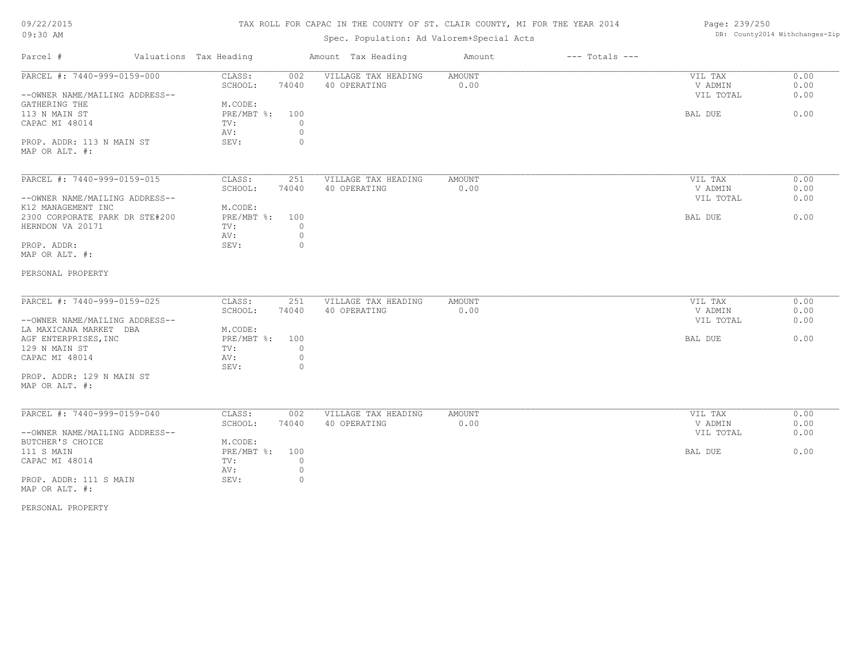# TAX ROLL FOR CAPAC IN THE COUNTY OF ST. CLAIR COUNTY, MI FOR THE YEAR 2014

# Spec. Population: Ad Valorem+Special Acts

| Page: 239/250 |                                |
|---------------|--------------------------------|
|               | DB: County2014 Withchanges-Zip |

| Parcel #                                                      | Valuations Tax Heading            | Amount Tax Heading                  | Amount         | $---$ Totals $---$ |                                 |                      |
|---------------------------------------------------------------|-----------------------------------|-------------------------------------|----------------|--------------------|---------------------------------|----------------------|
| PARCEL #: 7440-999-0159-000<br>--OWNER NAME/MAILING ADDRESS-- | 002<br>CLASS:<br>SCHOOL:<br>74040 | VILLAGE TAX HEADING<br>40 OPERATING | AMOUNT<br>0.00 |                    | VIL TAX<br>V ADMIN<br>VIL TOTAL | 0.00<br>0.00<br>0.00 |
| GATHERING THE                                                 | M.CODE:                           |                                     |                |                    |                                 |                      |
| 113 N MAIN ST                                                 | $PRE/MBT$ $\div$<br>100           |                                     |                |                    | BAL DUE                         | 0.00                 |
| CAPAC MI 48014                                                | TV:                               | $\circ$                             |                |                    |                                 |                      |
|                                                               | AV:                               | $\circ$                             |                |                    |                                 |                      |
| PROP. ADDR: 113 N MAIN ST                                     | SEV:                              | $\circ$                             |                |                    |                                 |                      |
| MAP OR ALT. #:                                                |                                   |                                     |                |                    |                                 |                      |
|                                                               |                                   |                                     |                |                    |                                 |                      |
| PARCEL #: 7440-999-0159-015                                   | CLASS:<br>251                     | VILLAGE TAX HEADING                 | AMOUNT         |                    | VIL TAX                         | 0.00                 |
|                                                               | 74040<br>SCHOOL:                  | 40 OPERATING                        | 0.00           |                    | V ADMIN                         | 0.00                 |
| --OWNER NAME/MAILING ADDRESS--                                |                                   |                                     |                |                    | VIL TOTAL                       | 0.00                 |
| K12 MANAGEMENT INC                                            | M.CODE:                           |                                     |                |                    |                                 |                      |
| 2300 CORPORATE PARK DR STE#200                                | PRE/MBT %:<br>100                 |                                     |                |                    | BAL DUE                         | 0.00                 |
| HERNDON VA 20171                                              | TV:                               | $\circ$                             |                |                    |                                 |                      |
|                                                               | AV:                               | $\circ$                             |                |                    |                                 |                      |
| PROP. ADDR:                                                   | SEV:                              | $\circ$                             |                |                    |                                 |                      |
| MAP OR ALT. #:                                                |                                   |                                     |                |                    |                                 |                      |
| PERSONAL PROPERTY                                             |                                   |                                     |                |                    |                                 |                      |
|                                                               |                                   |                                     |                |                    |                                 |                      |
| PARCEL #: 7440-999-0159-025                                   | 251<br>CLASS:                     | VILLAGE TAX HEADING                 | AMOUNT         |                    | VIL TAX                         | 0.00                 |
|                                                               | SCHOOL:<br>74040                  | 40 OPERATING                        | 0.00           |                    | V ADMIN                         | 0.00                 |
| --OWNER NAME/MAILING ADDRESS--                                |                                   |                                     |                |                    | VIL TOTAL                       | 0.00                 |
| LA MAXICANA MARKET DBA                                        | M.CODE:                           |                                     |                |                    |                                 |                      |
| AGF ENTERPRISES, INC                                          | $PRE/MBT$ $\div$<br>100           |                                     |                |                    | BAL DUE                         | 0.00                 |
| 129 N MAIN ST                                                 | TV:                               | $\circ$                             |                |                    |                                 |                      |
| CAPAC MI 48014                                                | AV:                               | $\circ$                             |                |                    |                                 |                      |
|                                                               | SEV:                              | $\circ$                             |                |                    |                                 |                      |
| PROP. ADDR: 129 N MAIN ST                                     |                                   |                                     |                |                    |                                 |                      |
| MAP OR ALT. #:                                                |                                   |                                     |                |                    |                                 |                      |
| PARCEL #: 7440-999-0159-040                                   | CLASS:<br>002                     | VILLAGE TAX HEADING                 | AMOUNT         |                    | VIL TAX                         | 0.00                 |
|                                                               | SCHOOL:<br>74040                  | 40 OPERATING                        | 0.00           |                    | V ADMIN                         | 0.00                 |
| --OWNER NAME/MAILING ADDRESS--                                |                                   |                                     |                |                    | VIL TOTAL                       | 0.00                 |
| BUTCHER'S CHOICE                                              | M.CODE:                           |                                     |                |                    |                                 |                      |
| 111 S MAIN                                                    | PRE/MBT %:<br>100                 |                                     |                |                    | BAL DUE                         | 0.00                 |
| CAPAC MI 48014                                                | TV:                               | $\circ$                             |                |                    |                                 |                      |
|                                                               | AV:                               | $\circ$                             |                |                    |                                 |                      |
| PROP. ADDR: 111 S MAIN                                        | SEV:                              | $\circ$                             |                |                    |                                 |                      |
| MAP OR ALT. #:                                                |                                   |                                     |                |                    |                                 |                      |
|                                                               |                                   |                                     |                |                    |                                 |                      |

PERSONAL PROPERTY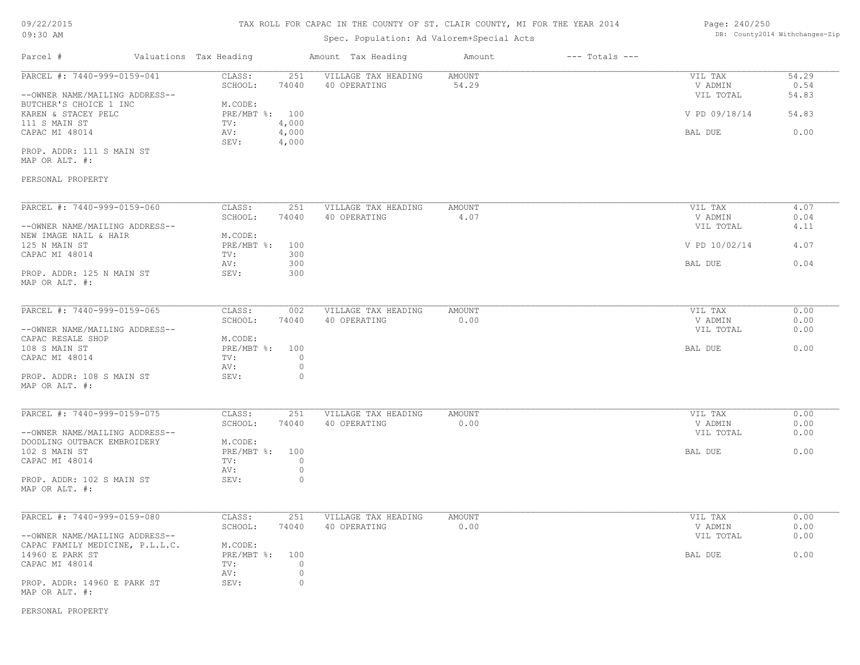# TAX ROLL FOR CAPAC IN THE COUNTY OF ST. CLAIR COUNTY, MI FOR THE YEAR 2014

# Spec. Population: Ad Valorem+Special Acts

## Page: 240/250 DB: County2014 Withchanges-Zip

| Parcel #                        | Valuations Tax Heading        | Amount Tax Heading  | Amount        | $---$ Totals $---$ |               |       |
|---------------------------------|-------------------------------|---------------------|---------------|--------------------|---------------|-------|
| PARCEL #: 7440-999-0159-041     | CLASS:<br>251                 | VILLAGE TAX HEADING | <b>AMOUNT</b> |                    | VIL TAX       | 54.29 |
|                                 | 74040<br>SCHOOL:              | 40 OPERATING        | 54.29         |                    | V ADMIN       | 0.54  |
| --OWNER NAME/MAILING ADDRESS--  |                               |                     |               |                    | VIL TOTAL     | 54.83 |
| BUTCHER'S CHOICE 1 INC          | M.CODE:                       |                     |               |                    |               |       |
| KAREN & STACEY PELC             | PRE/MBT %: 100                |                     |               |                    | V PD 09/18/14 | 54.83 |
| 111 S MAIN ST                   | TV:<br>4,000                  |                     |               |                    |               |       |
| CAPAC MI 48014                  | 4,000<br>AV:<br>SEV:<br>4,000 |                     |               |                    | BAL DUE       | 0.00  |
| PROP. ADDR: 111 S MAIN ST       |                               |                     |               |                    |               |       |
| MAP OR ALT. #:                  |                               |                     |               |                    |               |       |
| PERSONAL PROPERTY               |                               |                     |               |                    |               |       |
| PARCEL #: 7440-999-0159-060     | CLASS:<br>251                 | VILLAGE TAX HEADING | AMOUNT        |                    | VIL TAX       | 4.07  |
|                                 | SCHOOL:<br>74040              | 40 OPERATING        | 4.07          |                    | V ADMIN       | 0.04  |
| --OWNER NAME/MAILING ADDRESS--  |                               |                     |               |                    | VIL TOTAL     | 4.11  |
| NEW IMAGE NAIL & HAIR           | M.CODE:                       |                     |               |                    |               |       |
| 125 N MAIN ST                   | PRE/MBT %: 100                |                     |               |                    | V PD 10/02/14 | 4.07  |
| CAPAC MI 48014                  | TV:<br>300                    |                     |               |                    |               |       |
|                                 | 300<br>AV:                    |                     |               |                    | BAL DUE       | 0.04  |
| PROP. ADDR: 125 N MAIN ST       | 300<br>SEV:                   |                     |               |                    |               |       |
| MAP OR ALT. #:                  |                               |                     |               |                    |               |       |
|                                 |                               |                     |               |                    |               |       |
| PARCEL #: 7440-999-0159-065     | CLASS:<br>002                 | VILLAGE TAX HEADING | AMOUNT        |                    | VIL TAX       | 0.00  |
|                                 | 74040<br>SCHOOL:              | 40 OPERATING        | 0.00          |                    | V ADMIN       | 0.00  |
| --OWNER NAME/MAILING ADDRESS--  |                               |                     |               |                    | VIL TOTAL     | 0.00  |
| CAPAC RESALE SHOP               | M.CODE:                       |                     |               |                    |               |       |
| 108 S MAIN ST                   | PRE/MBT %: 100                |                     |               |                    | BAL DUE       | 0.00  |
| CAPAC MI 48014                  | TV:<br>$\circ$                |                     |               |                    |               |       |
|                                 | $\circ$<br>AV:                |                     |               |                    |               |       |
| PROP. ADDR: 108 S MAIN ST       | $\circ$<br>SEV:               |                     |               |                    |               |       |
| MAP OR ALT. #:                  |                               |                     |               |                    |               |       |
|                                 |                               |                     |               |                    |               |       |
| PARCEL #: 7440-999-0159-075     | CLASS:<br>251                 | VILLAGE TAX HEADING | <b>AMOUNT</b> |                    | VIL TAX       | 0.00  |
|                                 | SCHOOL:<br>74040              | 40 OPERATING        | 0.00          |                    | V ADMIN       | 0.00  |
| --OWNER NAME/MAILING ADDRESS--  |                               |                     |               |                    | VIL TOTAL     | 0.00  |
| DOODLING OUTBACK EMBROIDERY     | M.CODE:                       |                     |               |                    |               |       |
| 102 S MAIN ST                   | PRE/MBT %: 100                |                     |               |                    | BAL DUE       | 0.00  |
| CAPAC MI 48014                  | $\circ$<br>TV:                |                     |               |                    |               |       |
|                                 | AV:<br>$\circ$                |                     |               |                    |               |       |
| PROP. ADDR: 102 S MAIN ST       | $\circ$<br>SEV:               |                     |               |                    |               |       |
| MAP OR ALT. #:                  |                               |                     |               |                    |               |       |
|                                 |                               |                     |               |                    |               |       |
| PARCEL #: 7440-999-0159-080     | CLASS:<br>251                 | VILLAGE TAX HEADING | <b>AMOUNT</b> |                    | VIL TAX       | 0.00  |
|                                 | SCHOOL:<br>74040              | 40 OPERATING        | 0.00          |                    | V ADMIN       | 0.00  |
| --OWNER NAME/MAILING ADDRESS--  |                               |                     |               |                    | VIL TOTAL     | 0.00  |
| CAPAC FAMILY MEDICINE, P.L.L.C. | M.CODE:                       |                     |               |                    |               |       |
| 14960 E PARK ST                 | $PRE/MBT$ %:<br>100           |                     |               |                    | BAL DUE       | 0.00  |
| CAPAC MI 48014                  | $\circ$<br>TV:                |                     |               |                    |               |       |
|                                 | $\circ$<br>AV:                |                     |               |                    |               |       |
| PROP. ADDR: 14960 E PARK ST     | SEV:<br>$\circ$               |                     |               |                    |               |       |
| MAP OR ALT. #:                  |                               |                     |               |                    |               |       |

PERSONAL PROPERTY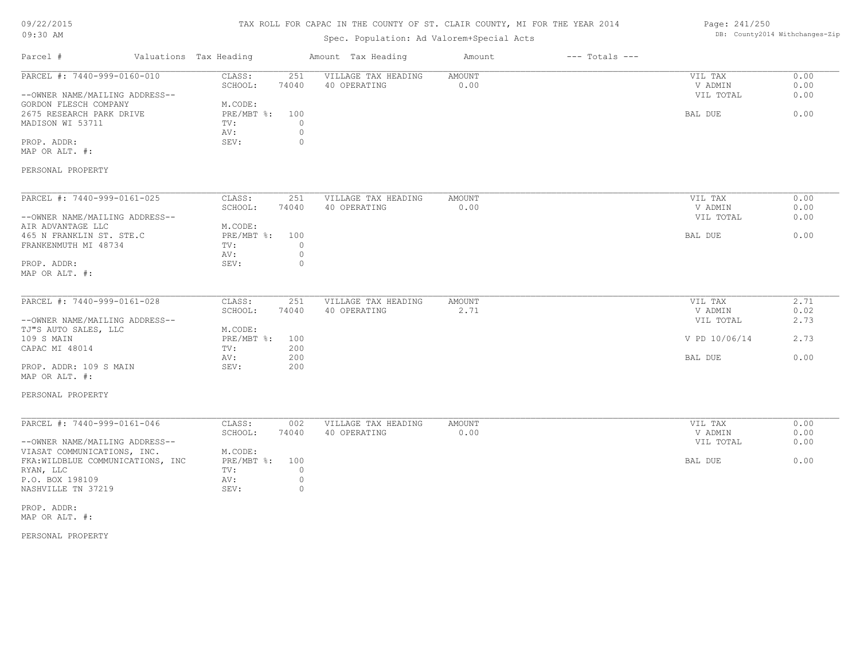# TAX ROLL FOR CAPAC IN THE COUNTY OF ST. CLAIR COUNTY, MI FOR THE YEAR 2014

# Spec. Population: Ad Valorem+Special Acts

## Page: 241/250 DB: County2014 Withchanges-Zip

| Parcel #                                                         | Valuations Tax Heading |                                |                           | Amount Tax Heading                  | Amount         | $---$ Totals $---$ |                    |              |
|------------------------------------------------------------------|------------------------|--------------------------------|---------------------------|-------------------------------------|----------------|--------------------|--------------------|--------------|
| PARCEL #: 7440-999-0160-010                                      |                        | CLASS:<br>SCHOOL:              | 251<br>74040              | VILLAGE TAX HEADING<br>40 OPERATING | AMOUNT<br>0.00 |                    | VIL TAX<br>V ADMIN | 0.00<br>0.00 |
| --OWNER NAME/MAILING ADDRESS--<br>GORDON FLESCH COMPANY          |                        | M.CODE:                        |                           |                                     |                |                    | VIL TOTAL          | 0.00         |
| 2675 RESEARCH PARK DRIVE<br>MADISON WI 53711                     |                        | $PRE/MBT$ $\div$<br>TV:<br>AV: | 100<br>$\circ$<br>$\circ$ |                                     |                |                    | BAL DUE            | 0.00         |
| PROP. ADDR:<br>MAP OR ALT. #:                                    |                        | SEV:                           | $\circ$                   |                                     |                |                    |                    |              |
| PERSONAL PROPERTY                                                |                        |                                |                           |                                     |                |                    |                    |              |
| PARCEL #: 7440-999-0161-025                                      |                        | CLASS:                         | 251                       | VILLAGE TAX HEADING                 | AMOUNT         |                    | VIL TAX            | 0.00         |
|                                                                  |                        | SCHOOL:                        | 74040                     | 40 OPERATING                        | 0.00           |                    | V ADMIN            | 0.00         |
| --OWNER NAME/MAILING ADDRESS--<br>AIR ADVANTAGE LLC              |                        | M.CODE:                        |                           |                                     |                |                    | VIL TOTAL          | 0.00         |
| 465 N FRANKLIN ST. STE.C                                         |                        | $PRE/MBT$ $\div$               | 100                       |                                     |                |                    | BAL DUE            | 0.00         |
| FRANKENMUTH MI 48734                                             |                        | TV:                            | $\circ$                   |                                     |                |                    |                    |              |
|                                                                  |                        | AV:                            | $\circ$                   |                                     |                |                    |                    |              |
| PROP. ADDR:<br>MAP OR ALT. #:                                    |                        | SEV:                           | $\mathbf{0}$              |                                     |                |                    |                    |              |
| PARCEL #: 7440-999-0161-028                                      |                        | CLASS:                         | 251                       | VILLAGE TAX HEADING                 | AMOUNT         |                    | VIL TAX            | 2.71         |
|                                                                  |                        | SCHOOL:                        | 74040                     | 40 OPERATING                        | 2.71           |                    | V ADMIN            | 0.02         |
| --OWNER NAME/MAILING ADDRESS--                                   |                        |                                |                           |                                     |                |                    | VIL TOTAL          | 2.73         |
| TJ"S AUTO SALES, LLC                                             |                        | M.CODE:                        |                           |                                     |                |                    |                    |              |
| 109 S MAIN<br>CAPAC MI 48014                                     |                        | PRE/MBT %:<br>TV:              | 100<br>200                |                                     |                |                    | V PD 10/06/14      | 2.73         |
|                                                                  |                        | AV:                            | 200                       |                                     |                |                    | BAL DUE            | 0.00         |
| PROP. ADDR: 109 S MAIN<br>MAP OR ALT. #:                         |                        | SEV:                           | 200                       |                                     |                |                    |                    |              |
| PERSONAL PROPERTY                                                |                        |                                |                           |                                     |                |                    |                    |              |
| PARCEL #: 7440-999-0161-046                                      |                        | CLASS:                         | 002                       | VILLAGE TAX HEADING                 |                |                    | VIL TAX            | 0.00         |
|                                                                  |                        | SCHOOL:                        | 74040                     | 40 OPERATING                        | AMOUNT<br>0.00 |                    | V ADMIN            | 0.00         |
| --OWNER NAME/MAILING ADDRESS--                                   |                        |                                |                           |                                     |                |                    | VIL TOTAL          | 0.00         |
| VIASAT COMMUNICATIONS, INC.<br>FKA: WILDBLUE COMMUNICATIONS, INC |                        | M.CODE:<br>$PRE/MBT$ $\div$    | 100                       |                                     |                |                    | BAL DUE            | 0.00         |
| RYAN, LLC                                                        |                        | TV:                            | $\circ$                   |                                     |                |                    |                    |              |
| P.O. BOX 198109                                                  |                        | AV:                            | $\circ$                   |                                     |                |                    |                    |              |

MAP OR ALT. #: PROP. ADDR:

PERSONAL PROPERTY

NASHVILLE TN 37219 SEV: 0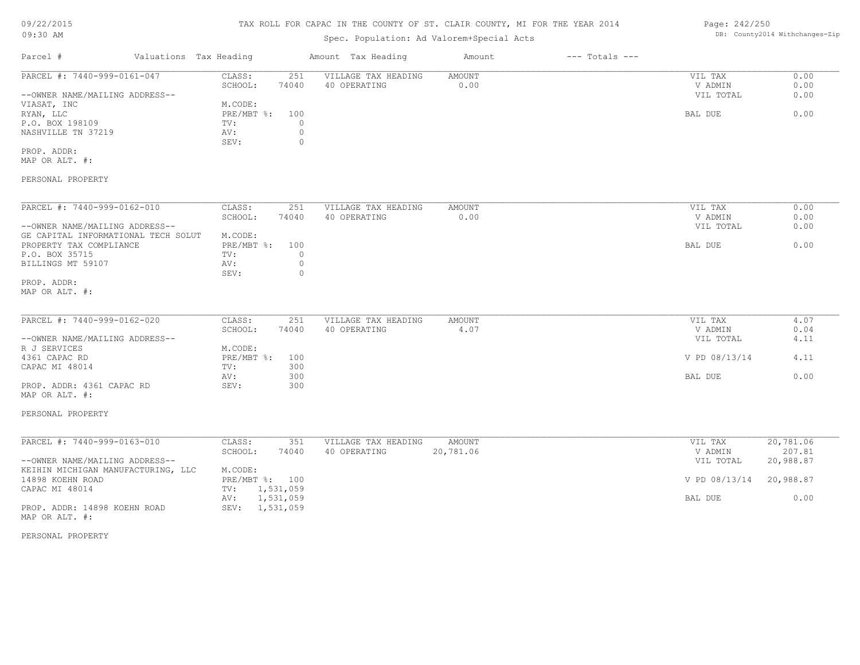| 09/22/2015                                     |                               |                    | TAX ROLL FOR CAPAC IN THE COUNTY OF ST. CLAIR COUNTY, MI FOR THE YEAR 2014 |               |                    | Page: 242/250        |                                |
|------------------------------------------------|-------------------------------|--------------------|----------------------------------------------------------------------------|---------------|--------------------|----------------------|--------------------------------|
| 09:30 AM                                       |                               |                    | Spec. Population: Ad Valorem+Special Acts                                  |               |                    |                      | DB: County2014 Withchanges-Zip |
| Parcel #                                       | Valuations Tax Heading        |                    | Amount Tax Heading                                                         | Amount        | $---$ Totals $---$ |                      |                                |
| PARCEL #: 7440-999-0161-047                    | CLASS:                        | 251                | VILLAGE TAX HEADING                                                        | <b>AMOUNT</b> |                    | VIL TAX              | 0.00                           |
|                                                | SCHOOL:                       | 74040              | 40 OPERATING                                                               | 0.00          |                    | V ADMIN              | 0.00                           |
| --OWNER NAME/MAILING ADDRESS--<br>VIASAT, INC  | M.CODE:                       |                    |                                                                            |               |                    | VIL TOTAL            | 0.00                           |
| RYAN, LLC                                      | PRE/MBT %:                    | 100                |                                                                            |               |                    | BAL DUE              | 0.00                           |
| P.O. BOX 198109                                | TV:                           | $\circ$            |                                                                            |               |                    |                      |                                |
| NASHVILLE TN 37219                             | AV:<br>SEV:                   | $\circ$<br>$\circ$ |                                                                            |               |                    |                      |                                |
| PROP. ADDR:<br>MAP OR ALT. #:                  |                               |                    |                                                                            |               |                    |                      |                                |
| PERSONAL PROPERTY                              |                               |                    |                                                                            |               |                    |                      |                                |
| PARCEL #: 7440-999-0162-010                    | CLASS:                        | 251                | VILLAGE TAX HEADING                                                        | AMOUNT        |                    | VIL TAX              | 0.00                           |
|                                                | SCHOOL:                       | 74040              | 40 OPERATING                                                               | 0.00          |                    | V ADMIN              | 0.00                           |
| --OWNER NAME/MAILING ADDRESS--                 |                               |                    |                                                                            |               |                    | VIL TOTAL            | 0.00                           |
| GE CAPITAL INFORMATIONAL TECH SOLUT            | M.CODE:                       |                    |                                                                            |               |                    |                      |                                |
| PROPERTY TAX COMPLIANCE                        | $PRE/MBT$ $\div$ :            | 100<br>$\circ$     |                                                                            |               |                    | BAL DUE              | 0.00                           |
| P.O. BOX 35715<br>BILLINGS MT 59107            | TV:<br>AV:                    | $\circ$            |                                                                            |               |                    |                      |                                |
|                                                | SEV:                          | $\circ$            |                                                                            |               |                    |                      |                                |
| PROP. ADDR:<br>MAP OR ALT. #:                  |                               |                    |                                                                            |               |                    |                      |                                |
|                                                |                               |                    |                                                                            |               |                    |                      |                                |
| PARCEL #: 7440-999-0162-020                    | CLASS:                        | 251                | VILLAGE TAX HEADING                                                        | AMOUNT        |                    | VIL TAX              | 4.07                           |
|                                                | SCHOOL:                       | 74040              | 40 OPERATING                                                               | 4.07          |                    | V ADMIN              | 0.04                           |
| --OWNER NAME/MAILING ADDRESS--                 |                               |                    |                                                                            |               |                    | VIL TOTAL            | 4.11                           |
| R J SERVICES<br>4361 CAPAC RD                  | M.CODE:<br>$PRE/MBT$ $\div$ : | 100                |                                                                            |               |                    | V PD 08/13/14        | 4.11                           |
| CAPAC MI 48014                                 | TV:                           | 300                |                                                                            |               |                    |                      |                                |
|                                                | AV:                           | 300                |                                                                            |               |                    | BAL DUE              | 0.00                           |
| PROP. ADDR: 4361 CAPAC RD                      | SEV:                          | 300                |                                                                            |               |                    |                      |                                |
| MAP OR ALT. #:                                 |                               |                    |                                                                            |               |                    |                      |                                |
| PERSONAL PROPERTY                              |                               |                    |                                                                            |               |                    |                      |                                |
|                                                |                               |                    |                                                                            |               |                    |                      |                                |
| PARCEL #: 7440-999-0163-010                    | CLASS:                        | 351                | VILLAGE TAX HEADING                                                        | AMOUNT        |                    | VIL TAX              | 20,781.06                      |
| --OWNER NAME/MAILING ADDRESS--                 | SCHOOL:                       | 74040              | 40 OPERATING                                                               | 20,781.06     |                    | V ADMIN<br>VIL TOTAL | 207.81<br>20,988.87            |
| KEIHIN MICHIGAN MANUFACTURING, LLC             | M.CODE:                       |                    |                                                                            |               |                    |                      |                                |
| 14898 KOEHN ROAD                               | PRE/MBT %: 100                |                    |                                                                            |               |                    | V PD 08/13/14        | 20,988.87                      |
| CAPAC MI 48014                                 | 1,531,059<br>TV:              |                    |                                                                            |               |                    |                      |                                |
|                                                | 1,531,059<br>AV:              |                    |                                                                            |               |                    | BAL DUE              | 0.00                           |
| PROP. ADDR: 14898 KOEHN ROAD<br>MAP OR ALT. #: | SEV: 1,531,059                |                    |                                                                            |               |                    |                      |                                |
| PERSONAL PROPERTY                              |                               |                    |                                                                            |               |                    |                      |                                |
|                                                |                               |                    |                                                                            |               |                    |                      |                                |
|                                                |                               |                    |                                                                            |               |                    |                      |                                |
|                                                |                               |                    |                                                                            |               |                    |                      |                                |
|                                                |                               |                    |                                                                            |               |                    |                      |                                |
|                                                |                               |                    |                                                                            |               |                    |                      |                                |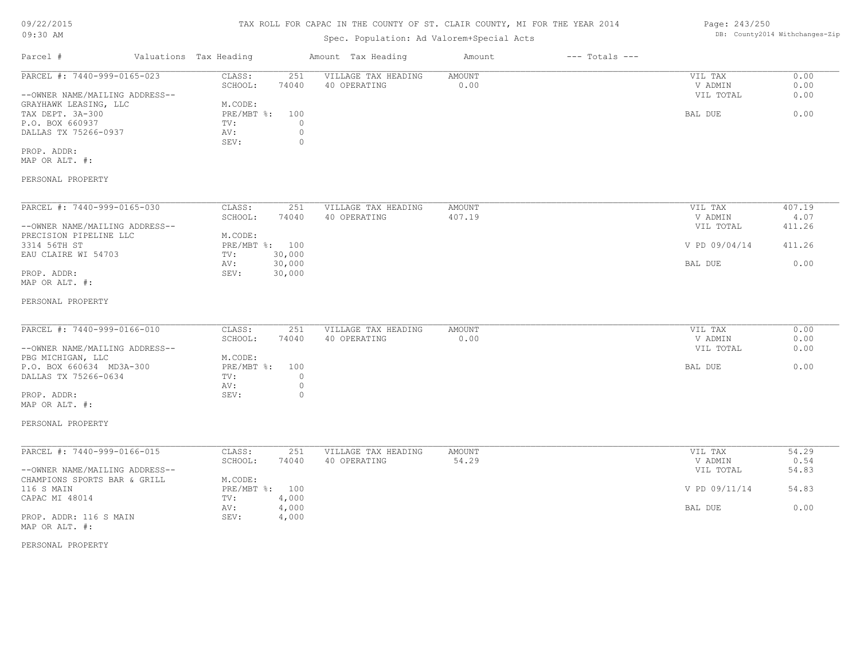## TAX ROLL FOR CAPAC IN THE COUNTY OF ST. CLAIR COUNTY, MI FOR THE YEAR 2014

| UYIJU AM                                                                                            |                                                                                      | Spec. Population: Ad Valorem+Special Acts |                         |                    |                                 | DD. COUNCYZULE WICHCHANGES-AIP |
|-----------------------------------------------------------------------------------------------------|--------------------------------------------------------------------------------------|-------------------------------------------|-------------------------|--------------------|---------------------------------|--------------------------------|
| Parcel #                                                                                            | Valuations Tax Heading                                                               | Amount Tax Heading                        | Amount                  | $---$ Totals $---$ |                                 |                                |
| PARCEL #: 7440-999-0165-023<br>--OWNER NAME/MAILING ADDRESS--                                       | CLASS:<br>251<br>SCHOOL:<br>74040                                                    | VILLAGE TAX HEADING<br>40 OPERATING       | AMOUNT<br>0.00          |                    | VIL TAX<br>V ADMIN<br>VIL TOTAL | 0.00<br>0.00<br>0.00           |
| GRAYHAWK LEASING, LLC<br>TAX DEPT. 3A-300<br>P.O. BOX 660937<br>DALLAS TX 75266-0937<br>PROP. ADDR: | M.CODE:<br>PRE/MBT %:<br>100<br>$\Omega$<br>TV:<br>$\circ$<br>AV:<br>SEV:<br>$\circ$ |                                           |                         |                    | BAL DUE                         | 0.00                           |
| MAP OR ALT. #:<br>PERSONAL PROPERTY                                                                 |                                                                                      |                                           |                         |                    |                                 |                                |
|                                                                                                     |                                                                                      |                                           |                         |                    |                                 |                                |
| PARCEL #: 7440-999-0165-030<br>--OWNER NAME/MAILING ADDRESS--                                       | CLASS:<br>251<br>SCHOOL:<br>74040                                                    | VILLAGE TAX HEADING<br>40 OPERATING       | <b>AMOUNT</b><br>407.19 |                    | VIL TAX<br>V ADMIN<br>VIL TOTAL | 407.19<br>4.07<br>411.26       |
| PRECISION PIPELINE LLC<br>3314 56TH ST<br>EAU CLAIRE WI 54703                                       | M.CODE:<br>PRE/MBT %: 100<br>30,000<br>TV:                                           |                                           |                         |                    | V PD 09/04/14                   | 411.26                         |
| PROP. ADDR:<br>MAP OR ALT. #:                                                                       | 30,000<br>AV:<br>SEV:<br>30,000                                                      |                                           |                         |                    | BAL DUE                         | 0.00                           |
| PERSONAL PROPERTY                                                                                   |                                                                                      |                                           |                         |                    |                                 |                                |
| PARCEL #: 7440-999-0166-010<br>--OWNER NAME/MAILING ADDRESS--                                       | CLASS:<br>251<br>74040<br>SCHOOL:                                                    | VILLAGE TAX HEADING<br>40 OPERATING       | <b>AMOUNT</b><br>0.00   |                    | VIL TAX<br>V ADMIN<br>VIL TOTAL | 0.00<br>0.00<br>0.00           |
| PBG MICHIGAN, LLC<br>P.O. BOX 660634 MD3A-300<br>DALLAS TX 75266-0634                               | M.CODE:<br>PRE/MBT %:<br>100<br>$\circ$<br>TV:<br>$\circ$<br>AV:                     |                                           |                         |                    | BAL DUE                         | 0.00                           |
| PROP. ADDR:<br>MAP OR ALT. #:                                                                       | SEV:<br>$\circ$                                                                      |                                           |                         |                    |                                 |                                |
| PERSONAL PROPERTY                                                                                   |                                                                                      |                                           |                         |                    |                                 |                                |
| PARCEL #: 7440-999-0166-015<br>--OWNER NAME/MAILING ADDRESS--                                       | CLASS:<br>251<br>74040<br>SCHOOL:                                                    | VILLAGE TAX HEADING<br>40 OPERATING       | <b>AMOUNT</b><br>54.29  |                    | VIL TAX<br>V ADMIN<br>VIL TOTAL | 54.29<br>0.54<br>54.83         |
| CHAMPIONS SPORTS BAR & GRILL<br>116 S MAIN<br>CAPAC MI 48014                                        | M.CODE:<br>PRE/MBT %: 100<br>4,000<br>TV:                                            |                                           |                         |                    | V PD 09/11/14                   | 54.83                          |

AV: 4,000 BAL DUE 0.00

MAP OR ALT. #: PROP. ADDR: 116 S MAIN SEV: 4,000

PERSONAL PROPERTY

DB: County2014 Withchanges-Zip

Page: 243/250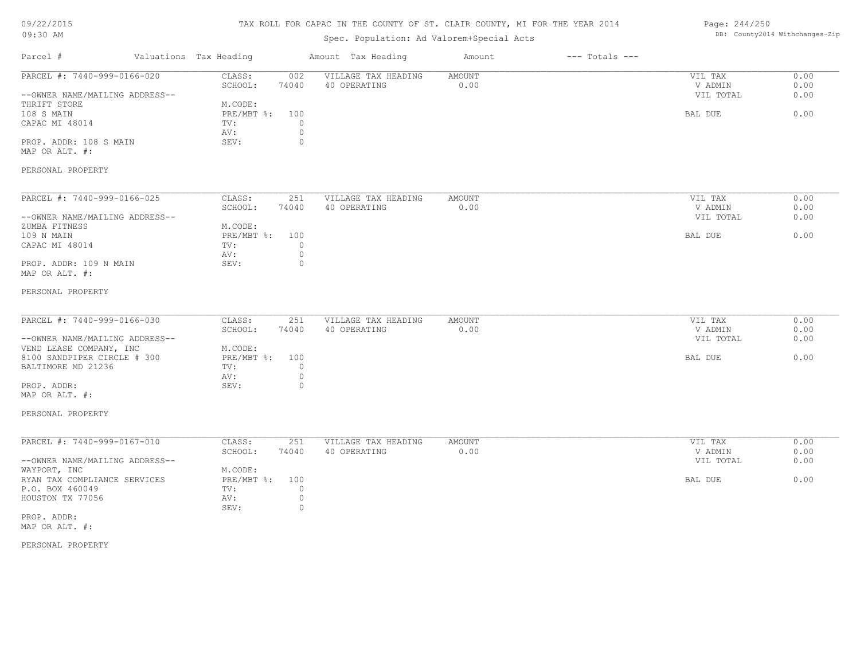## TAX ROLL FOR CAPAC IN THE COUNTY OF ST. CLAIR COUNTY, MI FOR THE YEAR 2014

# Spec. Population: Ad Valorem+Special Acts

## Page: 244/250 DB: County2014 Withchanges-Zip

| PARCEL #: 7440-999-0166-020<br>--OWNER NAME/MAILING ADDRESS--<br>THRIFT STORE<br>108 S MAIN<br>CAPAC MI 48014 | CLASS:<br>002<br>SCHOOL:<br>74040<br>M.CODE:                            | VILLAGE TAX HEADING<br>40 OPERATING | AMOUNT<br>0.00        | VIL TAX                         | 0.00                 |
|---------------------------------------------------------------------------------------------------------------|-------------------------------------------------------------------------|-------------------------------------|-----------------------|---------------------------------|----------------------|
|                                                                                                               |                                                                         |                                     |                       | V ADMIN<br>VIL TOTAL            | 0.00<br>0.00         |
| PROP. ADDR: 108 S MAIN<br>MAP OR ALT. #:                                                                      | PRE/MBT %: 100<br>$\circ$<br>TV:<br>$\circ$<br>AV:<br>$\circ$<br>SEV:   |                                     |                       | BAL DUE                         | 0.00                 |
| PERSONAL PROPERTY                                                                                             |                                                                         |                                     |                       |                                 |                      |
| PARCEL #: 7440-999-0166-025                                                                                   | CLASS:<br>251<br>SCHOOL:<br>74040                                       | VILLAGE TAX HEADING<br>40 OPERATING | AMOUNT<br>0.00        | VIL TAX<br>V ADMIN              | 0.00<br>0.00         |
| --OWNER NAME/MAILING ADDRESS--<br>ZUMBA FITNESS<br>109 N MAIN<br>CAPAC MI 48014                               | M.CODE:<br>$PRE/MBT$ $\div$<br>100<br>$\circ$<br>TV:                    |                                     |                       | VIL TOTAL<br>BAL DUE            | 0.00<br>0.00         |
| PROP. ADDR: 109 N MAIN<br>MAP OR ALT. #:                                                                      | $\circ$<br>AV:<br>SEV:<br>$\circ$                                       |                                     |                       |                                 |                      |
| PERSONAL PROPERTY                                                                                             |                                                                         |                                     |                       |                                 |                      |
| PARCEL #: 7440-999-0166-030<br>--OWNER NAME/MAILING ADDRESS--                                                 | CLASS:<br>251<br>SCHOOL:<br>74040                                       | VILLAGE TAX HEADING<br>40 OPERATING | <b>AMOUNT</b><br>0.00 | VIL TAX<br>V ADMIN<br>VIL TOTAL | 0.00<br>0.00<br>0.00 |
| VEND LEASE COMPANY, INC<br>8100 SANDPIPER CIRCLE # 300<br>BALTIMORE MD 21236                                  | M.CODE:<br>PRE/MBT %: 100<br>$\circ$<br>TV:                             |                                     |                       | BAL DUE                         | 0.00                 |
| PROP. ADDR:<br>MAP OR ALT. #:                                                                                 | $\circ$<br>AV:<br>SEV:<br>$\circ$                                       |                                     |                       |                                 |                      |
| PERSONAL PROPERTY                                                                                             |                                                                         |                                     |                       |                                 |                      |
| PARCEL #: 7440-999-0167-010<br>--OWNER NAME/MAILING ADDRESS--                                                 | CLASS:<br>251<br>SCHOOL:<br>74040                                       | VILLAGE TAX HEADING<br>40 OPERATING | <b>AMOUNT</b><br>0.00 | VIL TAX<br>V ADMIN<br>VIL TOTAL | 0.00<br>0.00<br>0.00 |
| WAYPORT, INC<br>RYAN TAX COMPLIANCE SERVICES<br>P.O. BOX 460049<br>HOUSTON TX 77056                           | M.CODE:<br>PRE/MBT %:<br>100<br>$\circ$<br>TV:<br>$\circledcirc$<br>AV: |                                     |                       | BAL DUE                         | 0.00                 |
| PROP. ADDR:<br>MAP OR ALT. #:                                                                                 | $\circledcirc$<br>SEV:                                                  |                                     |                       |                                 |                      |
| PERSONAL PROPERTY                                                                                             |                                                                         |                                     |                       |                                 |                      |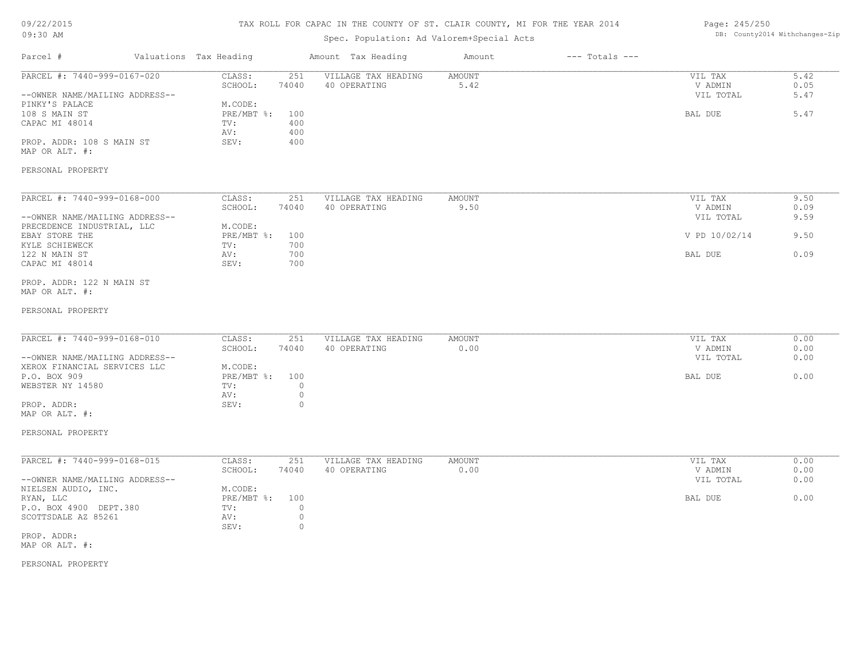# 09/22/2015

### TAX ROLL FOR CAPAC IN THE COUNTY OF ST. CLAIR COUNTY, MI FOR THE YEAR 2014 Page: 245/250

| 09:30 AM                                                       |                                                                                 | Spec. Population: Ad Valorem+Special Acts |                |                    |                                 | DB: County2014 Withchanges-Zip |
|----------------------------------------------------------------|---------------------------------------------------------------------------------|-------------------------------------------|----------------|--------------------|---------------------------------|--------------------------------|
| Parcel #                                                       | Valuations Tax Heading                                                          | Amount Tax Heading                        | Amount         | $---$ Totals $---$ |                                 |                                |
| PARCEL #: 7440-999-0167-020<br>--OWNER NAME/MAILING ADDRESS--  | 251<br>CLASS:<br>SCHOOL:<br>74040                                               | VILLAGE TAX HEADING<br>40 OPERATING       | AMOUNT<br>5.42 |                    | VIL TAX<br>V ADMIN<br>VIL TOTAL | 5.42<br>0.05<br>5.47           |
| PINKY'S PALACE<br>108 S MAIN ST<br>CAPAC MI 48014              | M.CODE:<br>PRE/MBT %:<br>100<br>400<br>TV:<br>400<br>AV:                        |                                           |                |                    | BAL DUE                         | 5.47                           |
| PROP. ADDR: 108 S MAIN ST<br>MAP OR ALT. #:                    | SEV:<br>400                                                                     |                                           |                |                    |                                 |                                |
| PERSONAL PROPERTY                                              |                                                                                 |                                           |                |                    |                                 |                                |
| PARCEL #: 7440-999-0168-000                                    | CLASS:<br>251<br>SCHOOL:<br>74040                                               | VILLAGE TAX HEADING<br>40 OPERATING       | AMOUNT<br>9.50 |                    | VIL TAX<br>V ADMIN              | 9.50<br>0.09                   |
| --OWNER NAME/MAILING ADDRESS--<br>PRECEDENCE INDUSTRIAL, LLC   | M.CODE:                                                                         |                                           |                |                    | VIL TOTAL                       | 9.59                           |
| EBAY STORE THE<br>KYLE SCHIEWECK                               | PRE/MBT %:<br>100<br>700<br>TV:                                                 |                                           |                |                    | V PD 10/02/14                   | 9.50                           |
| 122 N MAIN ST<br>CAPAC MI 48014                                | 700<br>AV:<br>700<br>SEV:                                                       |                                           |                |                    | BAL DUE                         | 0.09                           |
| PROP. ADDR: 122 N MAIN ST<br>MAP OR ALT. #:                    |                                                                                 |                                           |                |                    |                                 |                                |
| PERSONAL PROPERTY                                              |                                                                                 |                                           |                |                    |                                 |                                |
| PARCEL #: 7440-999-0168-010                                    | CLASS:<br>251<br>SCHOOL:<br>74040                                               | VILLAGE TAX HEADING<br>40 OPERATING       | AMOUNT<br>0.00 |                    | VIL TAX<br>V ADMIN              | 0.00<br>0.00                   |
| --OWNER NAME/MAILING ADDRESS--<br>XEROX FINANCIAL SERVICES LLC | M.CODE:                                                                         |                                           |                |                    | VIL TOTAL                       | 0.00                           |
| P.O. BOX 909<br>WEBSTER NY 14580                               | $PRE/MBT$ $\frac{1}{6}$ :<br>100<br>$\circ$<br>TV:                              |                                           |                |                    | BAL DUE                         | 0.00                           |
| PROP. ADDR:<br>MAP OR ALT. #:                                  | $\circ$<br>AV:<br>SEV:<br>$\circ$                                               |                                           |                |                    |                                 |                                |
| PERSONAL PROPERTY                                              |                                                                                 |                                           |                |                    |                                 |                                |
| PARCEL #: 7440-999-0168-015                                    | CLASS:<br>251<br>SCHOOL:<br>74040                                               | VILLAGE TAX HEADING<br>40 OPERATING       | AMOUNT<br>0.00 |                    | VIL TAX<br>V ADMIN              | 0.00<br>0.00                   |
| --OWNER NAME/MAILING ADDRESS--<br>NIELSEN AUDIO, INC.          | M.CODE:                                                                         |                                           |                |                    | VIL TOTAL                       | 0.00                           |
| RYAN, LLC<br>P.O. BOX 4900 DEPT.380<br>SCOTTSDALE AZ 85261     | 100<br>PRE/MBT %:<br>TV:<br>$\circ$<br>$\circledcirc$<br>AV:<br>SEV:<br>$\circ$ |                                           |                |                    | BAL DUE                         | 0.00                           |
| PROP. ADDR:<br>MAP OR ALT. #:                                  |                                                                                 |                                           |                |                    |                                 |                                |
|                                                                |                                                                                 |                                           |                |                    |                                 |                                |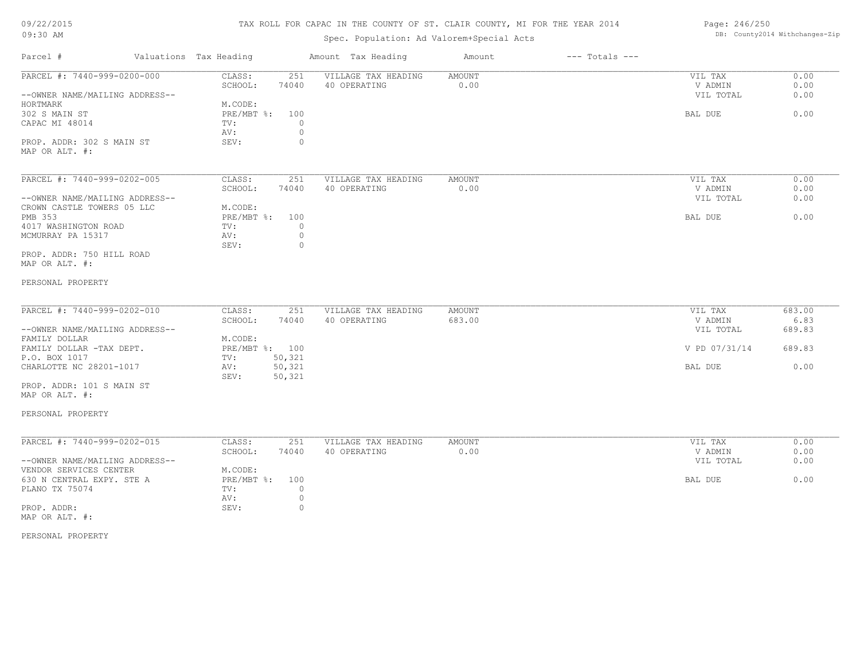# TAX ROLL FOR CAPAC IN THE COUNTY OF ST. CLAIR COUNTY, MI FOR THE YEAR 2014

# Spec. Population: Ad Valorem+Special Acts

## Page: 246/250 DB: County2014 Withchanges-Zip

| Parcel #                                    | Valuations Tax Heading |                   |                    | Amount Tax Heading                  | Amount                | $---$ Totals $---$ |                    |              |
|---------------------------------------------|------------------------|-------------------|--------------------|-------------------------------------|-----------------------|--------------------|--------------------|--------------|
| PARCEL #: 7440-999-0200-000                 |                        | CLASS:<br>SCHOOL: | 251<br>74040       | VILLAGE TAX HEADING<br>40 OPERATING | <b>AMOUNT</b><br>0.00 |                    | VIL TAX<br>V ADMIN | 0.00<br>0.00 |
| --OWNER NAME/MAILING ADDRESS--<br>HORTMARK  |                        | M.CODE:           |                    |                                     |                       |                    | VIL TOTAL          | 0.00         |
| 302 S MAIN ST                               |                        | PRE/MBT %:        | 100                |                                     |                       |                    | BAL DUE            | 0.00         |
| CAPAC MI 48014                              |                        | TV:<br>AV:        | $\circ$<br>$\circ$ |                                     |                       |                    |                    |              |
| PROP. ADDR: 302 S MAIN ST                   |                        | SEV:              | $\circ$            |                                     |                       |                    |                    |              |
| MAP OR ALT. #:                              |                        |                   |                    |                                     |                       |                    |                    |              |
| PARCEL #: 7440-999-0202-005                 |                        | CLASS:            | 251                | VILLAGE TAX HEADING                 | AMOUNT                |                    | VIL TAX            | 0.00         |
|                                             |                        | SCHOOL:           | 74040              | 40 OPERATING                        | 0.00                  |                    | V ADMIN            | 0.00         |
| --OWNER NAME/MAILING ADDRESS--              |                        |                   |                    |                                     |                       |                    | VIL TOTAL          | 0.00         |
| CROWN CASTLE TOWERS 05 LLC                  |                        | M.CODE:           |                    |                                     |                       |                    |                    |              |
| PMB 353                                     |                        | PRE/MBT %:        | 100                |                                     |                       |                    | BAL DUE            | 0.00         |
| 4017 WASHINGTON ROAD                        |                        | TV:               | $\circ$            |                                     |                       |                    |                    |              |
| MCMURRAY PA 15317                           |                        | AV:<br>SEV:       | $\circ$<br>$\circ$ |                                     |                       |                    |                    |              |
| PROP. ADDR: 750 HILL ROAD                   |                        |                   |                    |                                     |                       |                    |                    |              |
| MAP OR ALT. #:                              |                        |                   |                    |                                     |                       |                    |                    |              |
| PERSONAL PROPERTY                           |                        |                   |                    |                                     |                       |                    |                    |              |
| PARCEL #: 7440-999-0202-010                 |                        | CLASS:            | 251                | VILLAGE TAX HEADING                 | AMOUNT                |                    | VIL TAX            | 683.00       |
|                                             |                        | SCHOOL:           | 74040              | 40 OPERATING                        | 683.00                |                    | V ADMIN            | 6.83         |
| --OWNER NAME/MAILING ADDRESS--              |                        |                   |                    |                                     |                       |                    | VIL TOTAL          | 689.83       |
| FAMILY DOLLAR                               |                        | M.CODE:           |                    |                                     |                       |                    |                    |              |
| FAMILY DOLLAR -TAX DEPT.                    |                        | PRE/MBT %: 100    |                    |                                     |                       |                    | V PD 07/31/14      | 689.83       |
| P.O. BOX 1017                               |                        | TV:               | 50,321             |                                     |                       |                    |                    |              |
| CHARLOTTE NC 28201-1017                     |                        | AV:<br>SEV:       | 50,321<br>50,321   |                                     |                       |                    | BAL DUE            | 0.00         |
| PROP. ADDR: 101 S MAIN ST<br>MAP OR ALT. #: |                        |                   |                    |                                     |                       |                    |                    |              |
| PERSONAL PROPERTY                           |                        |                   |                    |                                     |                       |                    |                    |              |
| PARCEL #: 7440-999-0202-015                 |                        | CLASS:            | 251                | VILLAGE TAX HEADING                 | <b>AMOUNT</b>         |                    | VIL TAX            | 0.00         |
|                                             |                        | SCHOOL:           | 74040              | 40 OPERATING                        | 0.00                  |                    | V ADMIN            | 0.00         |
| --OWNER NAME/MAILING ADDRESS--              |                        |                   |                    |                                     |                       |                    | VIL TOTAL          | 0.00         |
| VENDOR SERVICES CENTER                      |                        | M.CODE:           |                    |                                     |                       |                    |                    |              |
| 630 N CENTRAL EXPY. STE A                   |                        | PRE/MBT %:        | 100                |                                     |                       |                    | BAL DUE            | 0.00         |
| PLANO TX 75074                              |                        | TV:               | $\circ$            |                                     |                       |                    |                    |              |
| PROP. ADDR:                                 |                        | AV:<br>SEV:       | $\circ$<br>$\circ$ |                                     |                       |                    |                    |              |
| MAP OR ALT. #:                              |                        |                   |                    |                                     |                       |                    |                    |              |
|                                             |                        |                   |                    |                                     |                       |                    |                    |              |

PERSONAL PROPERTY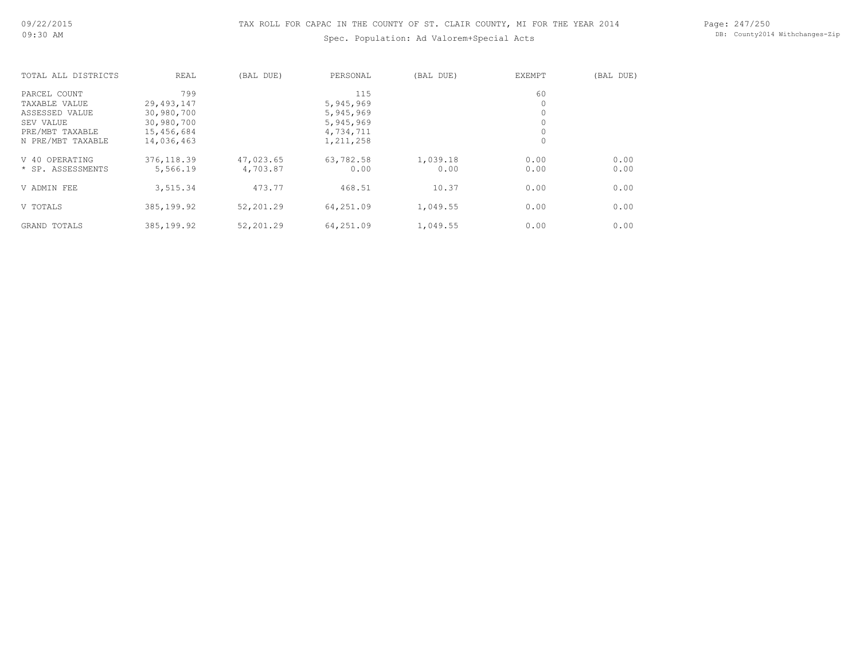Page: 247/250 DB: County2014 Withchanges-Zip

| TOTAL ALL DISTRICTS | REAL        | (BAL DUE) | PERSONAL  | (BAL DUE) | <b>EXEMPT</b> | (BAL DUE) |
|---------------------|-------------|-----------|-----------|-----------|---------------|-----------|
| PARCEL COUNT        | 799         |           | 115       |           | 60            |           |
| TAXABLE VALUE       | 29,493,147  |           | 5,945,969 |           |               |           |
| ASSESSED VALUE      | 30,980,700  |           | 5,945,969 |           |               |           |
| SEV VALUE           | 30,980,700  |           | 5,945,969 |           |               |           |
| PRE/MBT TAXABLE     | 15,456,684  |           | 4,734,711 |           |               |           |
| N PRE/MBT TAXABLE   | 14,036,463  |           | 1,211,258 |           | 0             |           |
| OPERATING<br>V 40   | 376, 118.39 | 47,023.65 | 63,782.58 | 1,039.18  | 0.00          | 0.00      |
| * SP. ASSESSMENTS   | 5,566.19    | 4,703.87  | 0.00      | 0.00      | 0.00          | 0.00      |
| V ADMIN FEE         | 3,515.34    | 473.77    | 468.51    | 10.37     | 0.00          | 0.00      |
| V TOTALS            | 385,199.92  | 52,201.29 | 64,251.09 | 1,049.55  | 0.00          | 0.00      |
| GRAND TOTALS        | 385,199.92  | 52,201.29 | 64,251.09 | 1,049.55  | 0.00          | 0.00      |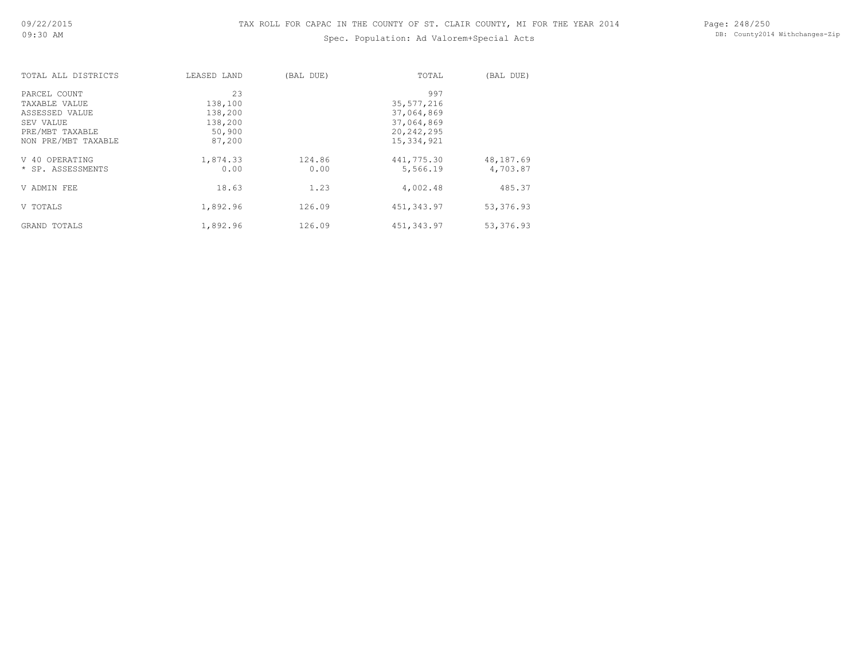Page: 248/250 DB: County2014 Withchanges-Zip

| TOTAL ALL DISTRICTS | LEASED LAND | (BAL DUE) | TOTAL        | (BAL DUE) |
|---------------------|-------------|-----------|--------------|-----------|
| PARCEL COUNT        | 23          |           | 997          |           |
| TAXABLE VALUE       | 138,100     |           | 35, 577, 216 |           |
| ASSESSED VALUE      | 138,200     |           | 37,064,869   |           |
| SEV VALUE           | 138,200     |           | 37,064,869   |           |
| PRE/MBT TAXABLE     | 50,900      |           | 20,242,295   |           |
| NON PRE/MBT TAXABLE | 87,200      |           | 15,334,921   |           |
| V 40 OPERATING      | 1,874.33    | 124.86    | 441,775.30   | 48,187.69 |
| * SP. ASSESSMENTS   | 0.00        | 0.00      | 5,566.19     | 4,703.87  |
| V ADMIN FEE         | 18.63       | 1.23      | 4,002.48     | 485.37    |
| V TOTALS            | 1,892.96    | 126.09    | 451, 343.97  | 53,376.93 |
| GRAND TOTALS        | 1,892.96    | 126.09    | 451,343.97   | 53,376.93 |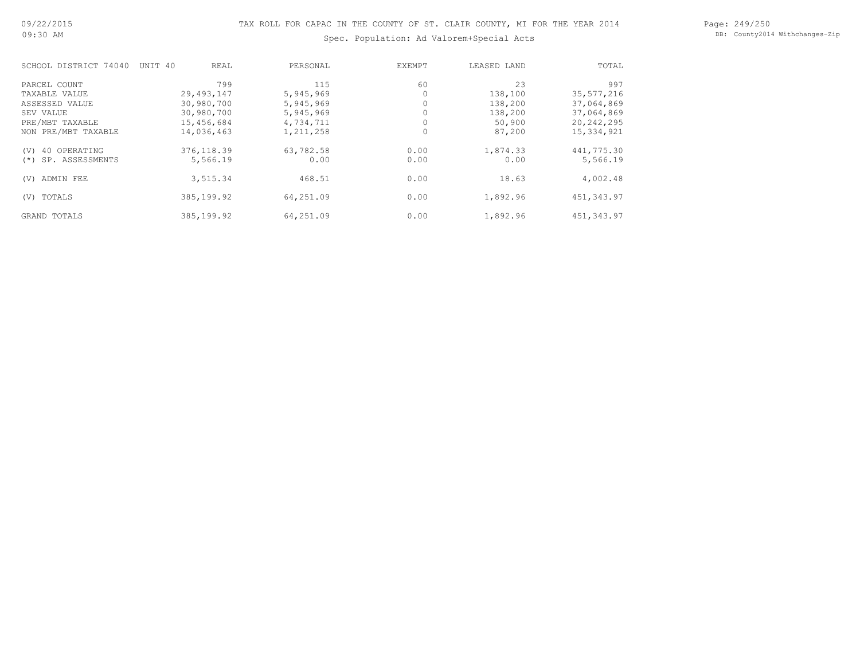Page: 249/250 DB: County2014 Withchanges-Zip

| SCHOOL DISTRICT 74040     | UNIT 40      | REAL     | PERSONAL  | <b>EXEMPT</b> | LEASED LAND | TOTAL        |
|---------------------------|--------------|----------|-----------|---------------|-------------|--------------|
| PARCEL COUNT              |              | 799      | 115       | 60            | 23          | 997          |
| TAXABLE VALUE             | 29, 493, 147 |          | 5,945,969 |               | 138,100     | 35,577,216   |
| ASSESSED VALUE            | 30,980,700   |          | 5,945,969 |               | 138,200     | 37,064,869   |
| SEV VALUE                 | 30,980,700   |          | 5,945,969 |               | 138,200     | 37,064,869   |
| PRE/MBT TAXABLE           | 15,456,684   |          | 4,734,711 | 0             | 50,900      | 20,242,295   |
| NON PRE/MBT TAXABLE       | 14,036,463   |          | 1,211,258 | 0             | 87,200      | 15, 334, 921 |
| 40 OPERATING<br>(V)       | 376, 118.39  |          | 63,782.58 | 0.00          | 1,874.33    | 441,775.30   |
| SP. ASSESSMENTS<br>$(* )$ |              | 5,566.19 | 0.00      | 0.00          | 0.00        | 5,566.19     |
| ADMIN FEE<br>(V)          |              | 3,515.34 | 468.51    | 0.00          | 18.63       | 4,002.48     |
| TOTALS<br>(V)             | 385, 199.92  |          | 64,251.09 | 0.00          | 1,892.96    | 451, 343.97  |
| <b>GRAND TOTALS</b>       | 385, 199.92  |          | 64,251.09 | 0.00          | 1,892.96    | 451,343.97   |